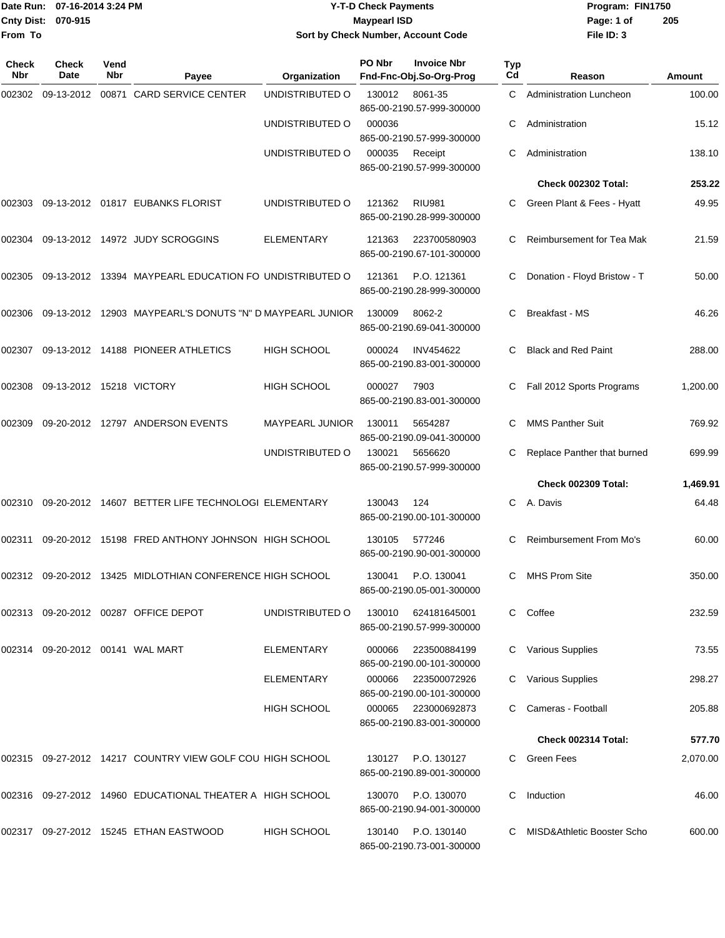## Date Run: 07-16-2014 3:24 PM **Program:** FIN1750 **Cnty Dist:** 070-915 **Page: 1 of Page: 1 of Page: 1 of Page: 1 of Page: 1 of Page: 1 of Y-T-D Check Payments 070-915 Maypearl ISD Sort by Check Number, Account Code**

| Check<br>Nbr | Check<br>Date                    | Vend<br>Nbr | Payee                                                     | Organization           | PO Nbr | <b>Invoice Nbr</b><br>Fnd-Fnc-Obj.So-Org-Prog | Typ<br>Cd | Reason                         | Amount   |
|--------------|----------------------------------|-------------|-----------------------------------------------------------|------------------------|--------|-----------------------------------------------|-----------|--------------------------------|----------|
| 002302       | 09-13-2012                       |             | 00871 CARD SERVICE CENTER                                 | UNDISTRIBUTED O        | 130012 | 8061-35<br>865-00-2190.57-999-300000          | C.        | <b>Administration Luncheon</b> | 100.00   |
|              |                                  |             |                                                           | UNDISTRIBUTED O        | 000036 | 865-00-2190.57-999-300000                     | С         | Administration                 | 15.12    |
|              |                                  |             |                                                           | UNDISTRIBUTED O        | 000035 | Receipt<br>865-00-2190.57-999-300000          | С         | Administration                 | 138.10   |
|              |                                  |             |                                                           |                        |        |                                               |           | <b>Check 002302 Total:</b>     | 253.22   |
| 002303       |                                  |             | 09-13-2012  01817  EUBANKS FLORIST                        | UNDISTRIBUTED O        | 121362 | <b>RIU981</b><br>865-00-2190.28-999-300000    | C         | Green Plant & Fees - Hyatt     | 49.95    |
| 002304       |                                  |             | 09-13-2012 14972 JUDY SCROGGINS                           | ELEMENTARY             | 121363 | 223700580903<br>865-00-2190.67-101-300000     | С         | Reimbursement for Tea Mak      | 21.59    |
| 002305       |                                  |             | 09-13-2012 13394 MAYPEARL EDUCATION FO UNDISTRIBUTED O    |                        | 121361 | P.O. 121361<br>865-00-2190.28-999-300000      | С         | Donation - Floyd Bristow - T   | 50.00    |
| 002306       |                                  |             | 09-13-2012 12903 MAYPEARL'S DONUTS "N" D MAYPEARL JUNIOR  |                        | 130009 | 8062-2<br>865-00-2190.69-041-300000           |           | <b>Breakfast - MS</b>          | 46.26    |
| 002307       |                                  |             | 09-13-2012 14188 PIONEER ATHLETICS                        | HIGH SCHOOL            | 000024 | <b>INV454622</b><br>865-00-2190.83-001-300000 | C.        | <b>Black and Red Paint</b>     | 288.00   |
| 002308       | 09-13-2012 15218 VICTORY         |             |                                                           | <b>HIGH SCHOOL</b>     | 000027 | 7903<br>865-00-2190.83-001-300000             | С         | Fall 2012 Sports Programs      | 1,200.00 |
| 002309       |                                  |             | 09-20-2012 12797 ANDERSON EVENTS                          | <b>MAYPEARL JUNIOR</b> | 130011 | 5654287<br>865-00-2190.09-041-300000          | С         | <b>MMS Panther Suit</b>        | 769.92   |
|              |                                  |             |                                                           | UNDISTRIBUTED O        | 130021 | 5656620<br>865-00-2190.57-999-300000          | С         | Replace Panther that burned    | 699.99   |
|              |                                  |             |                                                           |                        |        |                                               |           | <b>Check 002309 Total:</b>     | 1,469.91 |
| 002310       |                                  |             | 09-20-2012 14607 BETTER LIFE TECHNOLOGI ELEMENTARY        |                        | 130043 | 124<br>865-00-2190.00-101-300000              | C         | A. Davis                       | 64.48    |
| 002311       |                                  |             | 09-20-2012 15198 FRED ANTHONY JOHNSON HIGH SCHOOL         |                        | 130105 | 577246<br>865-00-2190.90-001-300000           | С         | <b>Reimbursement From Mo's</b> | 60.00    |
|              |                                  |             | 002312 09-20-2012 13425 MIDLOTHIAN CONFERENCE HIGH SCHOOL |                        | 130041 | P.O. 130041<br>865-00-2190.05-001-300000      | C         | <b>MHS Prom Site</b>           | 350.00   |
|              |                                  |             | 002313 09-20-2012 00287 OFFICE DEPOT                      | UNDISTRIBUTED O        | 130010 | 624181645001<br>865-00-2190.57-999-300000     |           | C Coffee                       | 232.59   |
|              | 002314 09-20-2012 00141 WAL MART |             |                                                           | ELEMENTARY             | 000066 | 223500884199<br>865-00-2190.00-101-300000     | C         | <b>Various Supplies</b>        | 73.55    |
|              |                                  |             |                                                           | ELEMENTARY             | 000066 | 223500072926<br>865-00-2190.00-101-300000     |           | Various Supplies               | 298.27   |
|              |                                  |             |                                                           | <b>HIGH SCHOOL</b>     | 000065 | 223000692873<br>865-00-2190.83-001-300000     |           | Cameras - Football             | 205.88   |
|              |                                  |             |                                                           |                        |        |                                               |           | Check 002314 Total:            | 577.70   |
|              |                                  |             | 002315 09-27-2012 14217 COUNTRY VIEW GOLF COU HIGH SCHOOL |                        | 130127 | P.O. 130127<br>865-00-2190.89-001-300000      | C.        | Green Fees                     | 2,070.00 |
|              |                                  |             | 002316 09-27-2012 14960 EDUCATIONAL THEATER A HIGH SCHOOL |                        | 130070 | P.O. 130070<br>865-00-2190.94-001-300000      | C         | Induction                      | 46.00    |
|              |                                  |             | 002317 09-27-2012 15245 ETHAN EASTWOOD                    | HIGH SCHOOL            | 130140 | P.O. 130140<br>865-00-2190.73-001-300000      |           | MISD&Athletic Booster Scho     | 600.00   |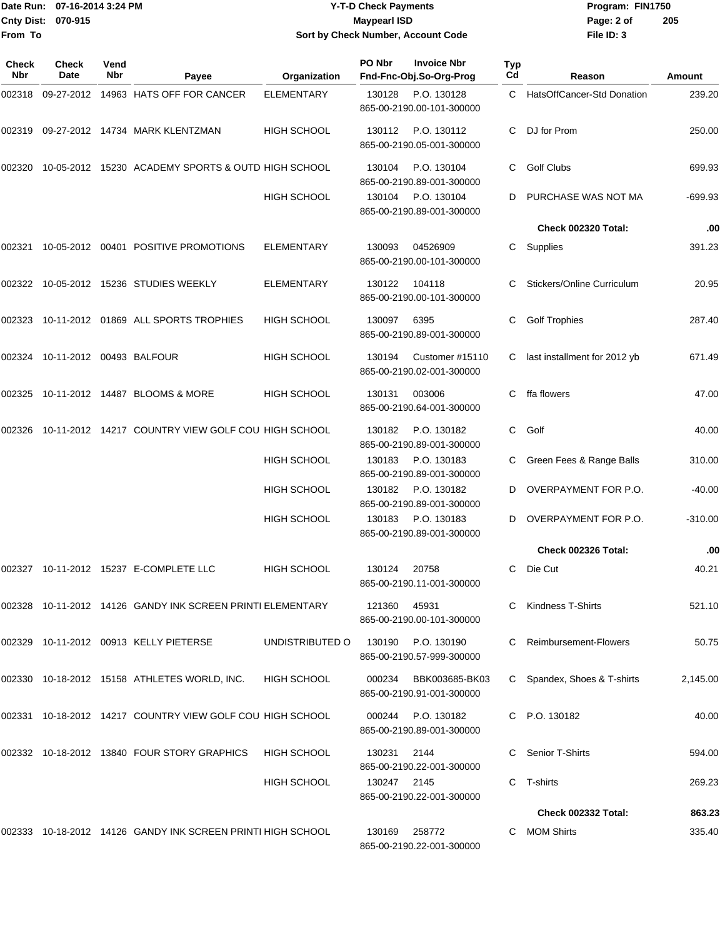## Date Run: 07-16-2014 3:24 PM **Program:** FIN1750 **Cnty Dist:** 070-915 **Page: 2 of Page: 2 of MaypearI ISD Y-T-D Check Payments 070-915 Maypearl ISD Sort by Check Number, Account Code**

| Check<br>Nbr | Check<br>Date                   | Vend<br>Nbr | Payee                                                               | Organization       | PO Nbr      | <b>Invoice Nbr</b><br>Fnd-Fnc-Obj.So-Org-Prog   | Typ<br>Cd | Reason                       | <b>Amount</b> |
|--------------|---------------------------------|-------------|---------------------------------------------------------------------|--------------------|-------------|-------------------------------------------------|-----------|------------------------------|---------------|
| 002318       |                                 |             | 09-27-2012 14963 HATS OFF FOR CANCER                                | <b>ELEMENTARY</b>  | 130128      | P.O. 130128<br>865-00-2190.00-101-300000        |           | C HatsOffCancer-Std Donation | 239.20        |
| 002319       |                                 |             | 09-27-2012 14734 MARK KLENTZMAN                                     | <b>HIGH SCHOOL</b> | 130112      | P.O. 130112<br>865-00-2190.05-001-300000        | C.        | DJ for Prom                  | 250.00        |
| 002320       |                                 |             | 10-05-2012 15230 ACADEMY SPORTS & OUTD HIGH SCHOOL                  |                    | 130104      | P.O. 130104<br>865-00-2190.89-001-300000        | C         | <b>Golf Clubs</b>            | 699.93        |
|              |                                 |             |                                                                     | <b>HIGH SCHOOL</b> | 130104      | P.O. 130104<br>865-00-2190.89-001-300000        | D         | PURCHASE WAS NOT MA          | $-699.93$     |
|              |                                 |             |                                                                     |                    |             |                                                 |           | Check 002320 Total:          | .00           |
| 002321       |                                 |             | 10-05-2012 00401 POSITIVE PROMOTIONS                                | <b>ELEMENTARY</b>  | 130093      | 04526909<br>865-00-2190.00-101-300000           | С         | Supplies                     | 391.23        |
|              |                                 |             | 002322  10-05-2012  15236  STUDIES WEEKLY                           | <b>ELEMENTARY</b>  | 130122      | 104118<br>865-00-2190.00-101-300000             | С         | Stickers/Online Curriculum   | 20.95         |
|              |                                 |             | 002323 10-11-2012 01869 ALL SPORTS TROPHIES                         | <b>HIGH SCHOOL</b> | 130097      | 6395<br>865-00-2190.89-001-300000               | С         | <b>Golf Trophies</b>         | 287.40        |
|              | 002324 10-11-2012 00493 BALFOUR |             |                                                                     | <b>HIGH SCHOOL</b> | 130194      | Customer #15110<br>865-00-2190.02-001-300000    | C.        | last installment for 2012 yb | 671.49        |
| 002325       |                                 |             | 10-11-2012  14487  BLOOMS & MORE                                    | <b>HIGH SCHOOL</b> | 130131      | 003006<br>865-00-2190.64-001-300000             | C         | ffa flowers                  | 47.00         |
| 002326       |                                 |             | 10-11-2012 14217 COUNTRY VIEW GOLF COU HIGH SCHOOL                  |                    | 130182      | P.O. 130182<br>865-00-2190.89-001-300000        | C         | Golf                         | 40.00         |
|              |                                 |             |                                                                     | <b>HIGH SCHOOL</b> | 130183      | P.O. 130183<br>865-00-2190.89-001-300000        | C         | Green Fees & Range Balls     | 310.00        |
|              |                                 |             |                                                                     | <b>HIGH SCHOOL</b> | 130182      | P.O. 130182<br>865-00-2190.89-001-300000        | D         | OVERPAYMENT FOR P.O.         | $-40.00$      |
|              |                                 |             |                                                                     | HIGH SCHOOL        | 130183      | P.O. 130183<br>865-00-2190.89-001-300000        | D         | OVERPAYMENT FOR P.O.         | $-310.00$     |
|              |                                 |             |                                                                     |                    |             |                                                 |           | Check 002326 Total:          | .00           |
|              |                                 |             |                                                                     | <b>HIGH SCHOOL</b> | 130124      | 20758<br>865-00-2190.11-001-300000              | C         | Die Cut                      | 40.21         |
|              |                                 |             | 002328    10-11-2012    14126    GANDY INK SCREEN PRINTI ELEMENTARY |                    | 121360      | 45931<br>865-00-2190.00-101-300000              |           | Kindness T-Shirts            | 521.10        |
|              |                                 |             | 002329 10-11-2012 00913 KELLY PIETERSE                              | UNDISTRIBUTED O    |             | 130190 P.O. 130190<br>865-00-2190.57-999-300000 | C.        | Reimbursement-Flowers        | 50.75         |
|              |                                 |             | 002330 10-18-2012 15158 ATHLETES WORLD, INC.                        | <b>HIGH SCHOOL</b> | 000234      | BBK003685-BK03<br>865-00-2190.91-001-300000     |           | Spandex, Shoes & T-shirts    | 2,145.00      |
|              |                                 |             | 002331 10-18-2012 14217 COUNTRY VIEW GOLF COU HIGH SCHOOL           |                    | 000244      | P.O. 130182<br>865-00-2190.89-001-300000        |           | C P.O. 130182                | 40.00         |
|              |                                 |             | 002332 10-18-2012 13840 FOUR STORY GRAPHICS                         | <b>HIGH SCHOOL</b> | 130231      | 2144<br>865-00-2190.22-001-300000               |           | Senior T-Shirts              | 594.00        |
|              |                                 |             |                                                                     | <b>HIGH SCHOOL</b> | 130247 2145 | 865-00-2190.22-001-300000                       | C.        | T-shirts                     | 269.23        |
|              |                                 |             |                                                                     |                    |             |                                                 |           | Check 002332 Total:          | 863.23        |
|              |                                 |             | 002333 10-18-2012 14126   GANDY INK SCREEN PRINTI HIGH SCHOOL       |                    | 130169      | 258772<br>865-00-2190.22-001-300000             |           | C MOM Shirts                 | 335.40        |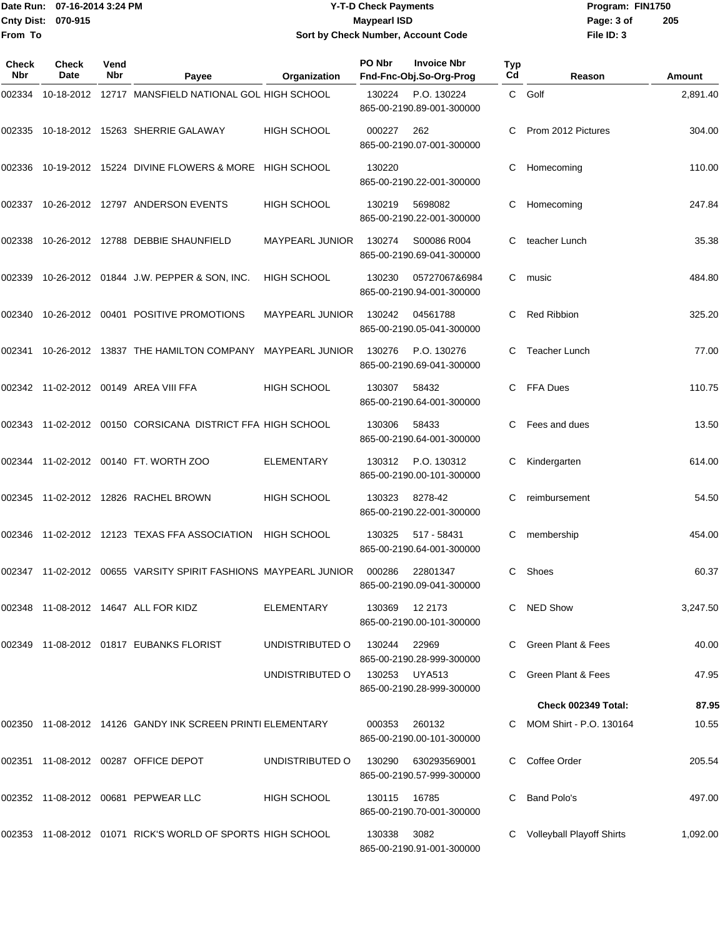## Date Run: 07-16-2014 3:24 PM **Program:** FIN1750 **Cnty Dist:** 070-915 **Page: 3 of Page: 3 of MaypearI ISD Y-T-D Check Payments 070-915 Maypearl ISD Sort by Check Number, Account Code**

| Check<br><b>Nbr</b> | Check<br>Date | Vend<br>Nbr | Payee                                                         | Organization           | PO Nbr | <b>Invoice Nbr</b><br>Fnd-Fnc-Obj.So-Org-Prog | Typ<br>Cd | Reason                           | Amount   |
|---------------------|---------------|-------------|---------------------------------------------------------------|------------------------|--------|-----------------------------------------------|-----------|----------------------------------|----------|
| 002334              |               |             | 10-18-2012 12717 MANSFIELD NATIONAL GOL HIGH SCHOOL           |                        | 130224 | P.O. 130224<br>865-00-2190.89-001-300000      |           | C Golf                           | 2,891.40 |
| 002335              |               |             | 10-18-2012  15263  SHERRIE GALAWAY                            | <b>HIGH SCHOOL</b>     | 000227 | 262<br>865-00-2190.07-001-300000              |           | Prom 2012 Pictures               | 304.00   |
| 002336              |               |             | 10-19-2012 15224 DIVINE FLOWERS & MORE HIGH SCHOOL            |                        | 130220 | 865-00-2190.22-001-300000                     | С         | Homecoming                       | 110.00   |
| 002337              |               |             | 10-26-2012  12797  ANDERSON EVENTS                            | <b>HIGH SCHOOL</b>     | 130219 | 5698082<br>865-00-2190.22-001-300000          | С         | Homecoming                       | 247.84   |
| 002338              |               |             | 10-26-2012  12788  DEBBIE SHAUNFIELD                          | <b>MAYPEARL JUNIOR</b> | 130274 | S00086 R004<br>865-00-2190.69-041-300000      | C         | teacher Lunch                    | 35.38    |
| 002339              |               |             | 10-26-2012 01844 J.W. PEPPER & SON, INC.                      | <b>HIGH SCHOOL</b>     | 130230 | 05727067&6984<br>865-00-2190.94-001-300000    | C         | music                            | 484.80   |
| 002340              |               |             | 10-26-2012 00401 POSITIVE PROMOTIONS                          | <b>MAYPEARL JUNIOR</b> | 130242 | 04561788<br>865-00-2190.05-041-300000         | C         | <b>Red Ribbion</b>               | 325.20   |
| 002341              |               |             | 10-26-2012 13837 THE HAMILTON COMPANY MAYPEARL JUNIOR         |                        | 130276 | P.O. 130276<br>865-00-2190.69-041-300000      | C.        | Teacher Lunch                    | 77.00    |
|                     |               |             | 002342 11-02-2012 00149 AREA VIII FFA                         | <b>HIGH SCHOOL</b>     | 130307 | 58432<br>865-00-2190.64-001-300000            | C         | FFA Dues                         | 110.75   |
|                     |               |             | 002343 11-02-2012 00150  CORSICANA  DISTRICT FFA  HIGH SCHOOL |                        | 130306 | 58433<br>865-00-2190.64-001-300000            | C.        | Fees and dues                    | 13.50    |
|                     |               |             |                                                               | <b>ELEMENTARY</b>      | 130312 | P.O. 130312<br>865-00-2190.00-101-300000      | C         | Kindergarten                     | 614.00   |
|                     |               |             | 002345 11-02-2012 12826 RACHEL BROWN                          | <b>HIGH SCHOOL</b>     | 130323 | 8278-42<br>865-00-2190.22-001-300000          | C         | reimbursement                    | 54.50    |
| 002346              |               |             | 11-02-2012 12123 TEXAS FFA ASSOCIATION                        | <b>HIGH SCHOOL</b>     | 130325 | 517 - 58431<br>865-00-2190.64-001-300000      | С         | membership                       | 454.00   |
|                     |               |             |                                                               |                        | 000286 | 22801347<br>865-00-2190.09-041-300000         | C         | Shoes                            | 60.37    |
|                     |               |             | 002348 11-08-2012 14647 ALL FOR KIDZ                          | ELEMENTARY             | 130369 | 12 2173<br>865-00-2190.00-101-300000          |           | C NED Show                       | 3,247.50 |
|                     |               |             | 002349 11-08-2012 01817 EUBANKS FLORIST                       | UNDISTRIBUTED O        | 130244 | 22969<br>865-00-2190.28-999-300000            |           | C Green Plant & Fees             | 40.00    |
|                     |               |             |                                                               | UNDISTRIBUTED O        | 130253 | UYA513<br>865-00-2190.28-999-300000           |           | Green Plant & Fees               | 47.95    |
|                     |               |             |                                                               |                        |        |                                               |           | Check 002349 Total:              | 87.95    |
|                     |               |             | 002350 11-08-2012 14126 GANDY INK SCREEN PRINTI ELEMENTARY    |                        | 000353 | 260132<br>865-00-2190.00-101-300000           |           | C MOM Shirt - P.O. 130164        | 10.55    |
|                     |               |             | 002351 11-08-2012 00287 OFFICE DEPOT                          | UNDISTRIBUTED O        | 130290 | 630293569001<br>865-00-2190.57-999-300000     |           | Coffee Order                     | 205.54   |
|                     |               |             | 002352 11-08-2012 00681 PEPWEAR LLC                           | HIGH SCHOOL            | 130115 | 16785<br>865-00-2190.70-001-300000            |           | Band Polo's                      | 497.00   |
|                     |               |             | 002353 11-08-2012 01071 RICK'S WORLD OF SPORTS HIGH SCHOOL    |                        | 130338 | 3082<br>865-00-2190.91-001-300000             |           | <b>Volleyball Playoff Shirts</b> | 1,092.00 |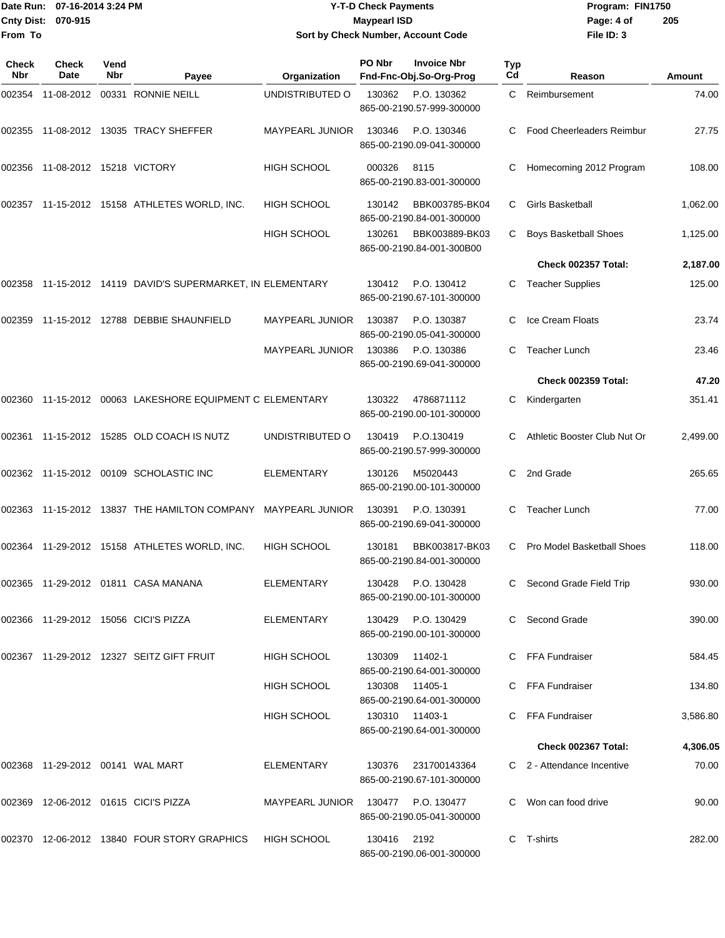|              | Date Run: 07-16-2014 3:24 PM    |             |                                                              |                        | <b>Y-T-D Check Payments</b> |                                               |           | Program: FIN1750                 |               |
|--------------|---------------------------------|-------------|--------------------------------------------------------------|------------------------|-----------------------------|-----------------------------------------------|-----------|----------------------------------|---------------|
| From To      | Cnty Dist: 070-915              |             |                                                              |                        | <b>Maypearl ISD</b>         | Sort by Check Number, Account Code            |           | Page: 4 of<br>File ID: 3         | 205           |
| Check<br>Nbr | Check<br>Date                   | Vend<br>Nbr | Payee                                                        | Organization           | PO Nbr                      | <b>Invoice Nbr</b><br>Fnd-Fnc-Obj.So-Org-Prog | Typ<br>Cd | Reason                           | <b>Amount</b> |
|              |                                 |             |                                                              | UNDISTRIBUTED O        | 130362                      | P.O. 130362<br>865-00-2190.57-999-300000      | C.        | Reimbursement                    | 74.00         |
|              |                                 |             |                                                              | <b>MAYPEARL JUNIOR</b> | 130346                      | P.O. 130346<br>865-00-2190.09-041-300000      | С         | <b>Food Cheerleaders Reimbur</b> | 27.75         |
|              | 002356 11-08-2012 15218 VICTORY |             |                                                              | <b>HIGH SCHOOL</b>     | 000326                      | 8115<br>865-00-2190.83-001-300000             | С         | Homecoming 2012 Program          | 108.00        |
|              |                                 |             | 002357 11-15-2012 15158 ATHLETES WORLD, INC.                 | <b>HIGH SCHOOL</b>     | 130142                      | BBK003785-BK04<br>865-00-2190.84-001-300000   | C         | Girls Basketball                 | 1,062.00      |
|              |                                 |             |                                                              | <b>HIGH SCHOOL</b>     | 130261                      | BBK003889-BK03<br>865-00-2190.84-001-300B00   | С         | <b>Boys Basketball Shoes</b>     | 1,125.00      |
|              |                                 |             |                                                              |                        |                             |                                               |           | Check 002357 Total:              | 2,187.00      |
|              |                                 |             | 002358 11-15-2012 14119 DAVID'S SUPERMARKET, IN ELEMENTARY   |                        | 130412                      | P.O. 130412<br>865-00-2190.67-101-300000      | С         | <b>Teacher Supplies</b>          | 125.00        |
|              |                                 |             | 002359    11-15-2012    12788    DEBBIE SHAUNFIELD           | MAYPEARL JUNIOR        | 130387                      | P.O. 130387<br>865-00-2190.05-041-300000      | С         | Ice Cream Floats                 | 23.74         |
|              |                                 |             |                                                              | <b>MAYPEARL JUNIOR</b> | 130386                      | P.O. 130386<br>865-00-2190.69-041-300000      | С         | <b>Teacher Lunch</b>             | 23.46         |
|              |                                 |             |                                                              |                        |                             |                                               |           | <b>Check 002359 Total:</b>       | 47.20         |
|              |                                 |             | 002360 11-15-2012 00063 LAKESHORE EQUIPMENT C ELEMENTARY     |                        | 130322                      | 4786871112<br>865-00-2190.00-101-300000       | С         | Kindergarten                     | 351.41        |
|              |                                 |             | 002361 11-15-2012 15285 OLD COACH IS NUTZ                    | UNDISTRIBUTED O        | 130419                      | P.O.130419<br>865-00-2190.57-999-300000       |           | Athletic Booster Club Nut Or     | 2,499.00      |
|              |                                 |             | 002362 11-15-2012 00109 SCHOLASTIC INC                       | ELEMENTARY             | 130126                      | M5020443<br>865-00-2190.00-101-300000         | C.        | 2nd Grade                        | 265.65        |
|              |                                 |             | 002363 11-15-2012 13837 THE HAMILTON COMPANY MAYPEARL JUNIOR |                        | 130391                      | P.O. 130391<br>865-00-2190.69-041-300000      | С         | <b>Teacher Lunch</b>             | 77.00         |
|              |                                 |             | 002364 11-29-2012 15158 ATHLETES WORLD, INC.                 | <b>HIGH SCHOOL</b>     | 130181                      | BBK003817-BK03<br>865-00-2190.84-001-300000   |           | C Pro Model Basketball Shoes     | 118.00        |
|              |                                 |             | 002365  11-29-2012  01811  CASA MANANA                       | <b>ELEMENTARY</b>      | 130428                      | P.O. 130428<br>865-00-2190.00-101-300000      |           | C Second Grade Field Trip        | 930.00        |
|              |                                 |             | 002366  11-29-2012  15056  CICI'S PIZZA                      | ELEMENTARY             | 130429                      | P.O. 130429<br>865-00-2190.00-101-300000      |           | C Second Grade                   | 390.00        |
|              |                                 |             | 002367  11-29-2012  12327  SEITZ GIFT FRUIT                  | HIGH SCHOOL            | 130309                      | 11402-1<br>865-00-2190.64-001-300000          |           | C FFA Fundraiser                 | 584.45        |
|              |                                 |             |                                                              | HIGH SCHOOL            | 130308                      | 11405-1<br>865-00-2190.64-001-300000          |           | C FFA Fundraiser                 | 134.80        |
|              |                                 |             |                                                              | HIGH SCHOOL            | 130310                      | 11403-1<br>865-00-2190.64-001-300000          |           | C FFA Fundraiser                 | 3,586.80      |
|              |                                 |             |                                                              |                        |                             |                                               |           | Check 002367 Total:              | 4,306.05      |
|              |                                 |             |                                                              | ELEMENTARY             | 130376                      | 231700143364<br>865-00-2190.67-101-300000     |           | C 2 - Attendance Incentive       | 70.00         |
|              |                                 |             | 002369 12-06-2012 01615 CICI'S PIZZA                         | MAYPEARL JUNIOR        | 130477                      | P.O. 130477<br>865-00-2190.05-041-300000      |           | C Won can food drive             | 90.00         |

002370 12-06-2012 13840 FOUR STORY GRAPHICS HIGH SCHOOL 130416 2192 C T-shirts C T-shirts 282.00

865-00-2190.06-001-300000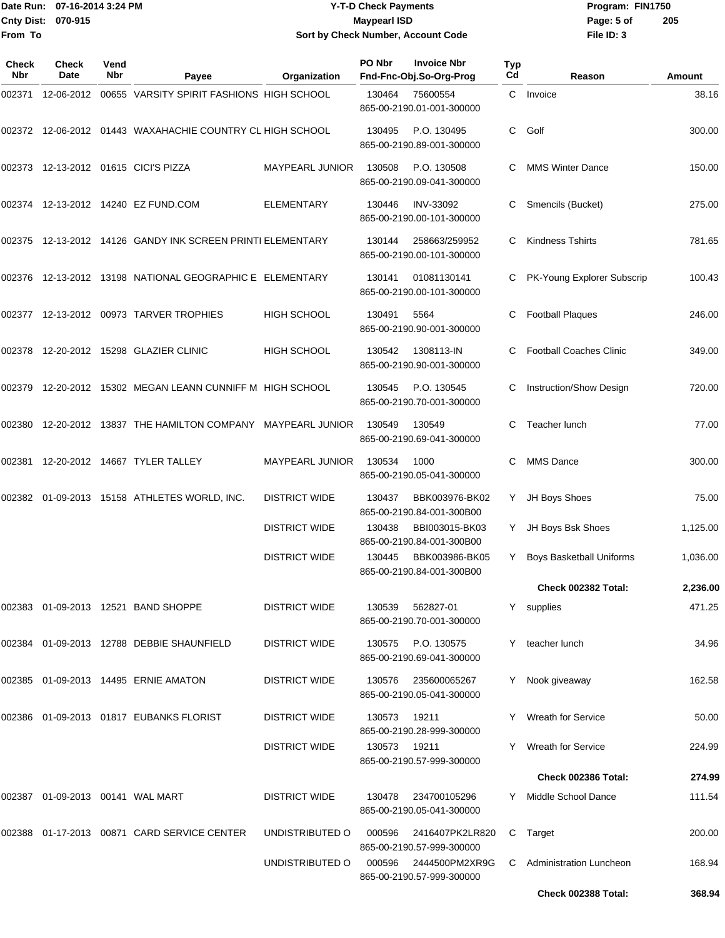## Date Run: 07-16-2014 3:24 PM **Program:** FIN1750 **Cnty Dist:** 070-915 **Page:** 5 of **Y-T-D Check Payments 070-915 Maypearl ISD Sort by Check Number, Account Code**

| Check<br><b>Nbr</b> | Check<br>Date | Vend<br>Nbr | Payee                                                     | Organization           | PO Nbr | <b>Invoice Nbr</b><br>Fnd-Fnc-Obj.So-Org-Prog | Typ<br>Cd | Reason                         | Amount   |
|---------------------|---------------|-------------|-----------------------------------------------------------|------------------------|--------|-----------------------------------------------|-----------|--------------------------------|----------|
| 002371              | 12-06-2012    |             | 00655 VARSITY SPIRIT FASHIONS HIGH SCHOOL                 |                        | 130464 | 75600554<br>865-00-2190.01-001-300000         | C.        | Invoice                        | 38.16    |
|                     |               |             | 002372 12-06-2012 01443 WAXAHACHIE COUNTRY CL HIGH SCHOOL |                        | 130495 | P.O. 130495<br>865-00-2190.89-001-300000      | C         | Golf                           | 300.00   |
| 002373              |               |             | 12-13-2012  01615  CICI'S PIZZA                           | MAYPEARL JUNIOR        | 130508 | P.O. 130508<br>865-00-2190.09-041-300000      | C.        | <b>MMS Winter Dance</b>        | 150.00   |
|                     |               |             | 002374  12-13-2012  14240  EZ FUND.COM                    | <b>ELEMENTARY</b>      | 130446 | <b>INV-33092</b><br>865-00-2190.00-101-300000 | С         | Smencils (Bucket)              | 275.00   |
| 002375              |               |             | 12-13-2012 14126 GANDY INK SCREEN PRINTI ELEMENTARY       |                        | 130144 | 258663/259952<br>865-00-2190.00-101-300000    | C         | <b>Kindness Tshirts</b>        | 781.65   |
| 002376              |               |             | 12-13-2012  13198  NATIONAL GEOGRAPHIC E ELEMENTARY       |                        | 130141 | 01081130141<br>865-00-2190.00-101-300000      | C         | PK-Young Explorer Subscrip     | 100.43   |
|                     |               |             | 002377  12-13-2012  00973  TARVER TROPHIES                | <b>HIGH SCHOOL</b>     | 130491 | 5564<br>865-00-2190.90-001-300000             | С         | <b>Football Plaques</b>        | 246.00   |
| 002378              |               |             | 12-20-2012  15298  GLAZIER CLINIC                         | <b>HIGH SCHOOL</b>     | 130542 | 1308113-IN<br>865-00-2190.90-001-300000       | C.        | <b>Football Coaches Clinic</b> | 349.00   |
| 002379              |               |             | 12-20-2012 15302 MEGAN LEANN CUNNIFF M HIGH SCHOOL        |                        | 130545 | P.O. 130545<br>865-00-2190.70-001-300000      |           | Instruction/Show Design        | 720.00   |
| 002380              |               |             | 12-20-2012 13837 THE HAMILTON COMPANY MAYPEARL JUNIOR     |                        | 130549 | 130549<br>865-00-2190.69-041-300000           | С         | Teacher lunch                  | 77.00    |
| 002381              |               |             | 12-20-2012  14667  TYLER TALLEY                           | <b>MAYPEARL JUNIOR</b> | 130534 | 1000<br>865-00-2190.05-041-300000             | C         | <b>MMS Dance</b>               | 300.00   |
| 002382              |               |             | 01-09-2013 15158 ATHLETES WORLD, INC.                     | <b>DISTRICT WIDE</b>   | 130437 | BBK003976-BK02<br>865-00-2190.84-001-300B00   | Y.        | JH Boys Shoes                  | 75.00    |
|                     |               |             |                                                           | <b>DISTRICT WIDE</b>   | 130438 | BBI003015-BK03<br>865-00-2190.84-001-300B00   | Y.        | JH Boys Bsk Shoes              | 1,125.00 |
|                     |               |             |                                                           | <b>DISTRICT WIDE</b>   | 130445 | BBK003986-BK05<br>865-00-2190.84-001-300B00   | Y         | Boys Basketball Uniforms       | 1,036.00 |
|                     |               |             |                                                           |                        |        |                                               |           | Check 002382 Total:            | 2,236.00 |
|                     |               |             |                                                           | <b>DISTRICT WIDE</b>   | 130539 | 562827-01<br>865-00-2190.70-001-300000        |           | Y supplies                     | 471.25   |
|                     |               |             | 002384  01-09-2013  12788  DEBBIE SHAUNFIELD              | <b>DISTRICT WIDE</b>   | 130575 | P.O. 130575<br>865-00-2190.69-041-300000      | Y         | teacher lunch                  | 34.96    |
|                     |               |             | 002385  01-09-2013  14495  ERNIE AMATON                   | <b>DISTRICT WIDE</b>   | 130576 | 235600065267<br>865-00-2190.05-041-300000     | Y         | Nook giveaway                  | 162.58   |
| 002386              |               |             | 01-09-2013  01817  EUBANKS FLORIST                        | <b>DISTRICT WIDE</b>   | 130573 | 19211<br>865-00-2190.28-999-300000            | Y         | <b>Wreath for Service</b>      | 50.00    |
|                     |               |             |                                                           | <b>DISTRICT WIDE</b>   | 130573 | 19211<br>865-00-2190.57-999-300000            | Y.        | <b>Wreath for Service</b>      | 224.99   |
|                     |               |             |                                                           |                        |        |                                               |           | Check 002386 Total:            | 274.99   |
| 002387              |               |             |                                                           | <b>DISTRICT WIDE</b>   | 130478 | 234700105296<br>865-00-2190.05-041-300000     | Y         | Middle School Dance            | 111.54   |
| 002388              |               |             | 01-17-2013 00871 CARD SERVICE CENTER                      | UNDISTRIBUTED O        | 000596 | 2416407PK2LR820<br>865-00-2190.57-999-300000  |           | C Target                       | 200.00   |
|                     |               |             |                                                           | UNDISTRIBUTED O        | 000596 | 2444500PM2XR9G<br>865-00-2190.57-999-300000   | C         | Administration Luncheon        | 168.94   |
|                     |               |             |                                                           |                        |        |                                               |           | Check 002388 Total:            | 368.94   |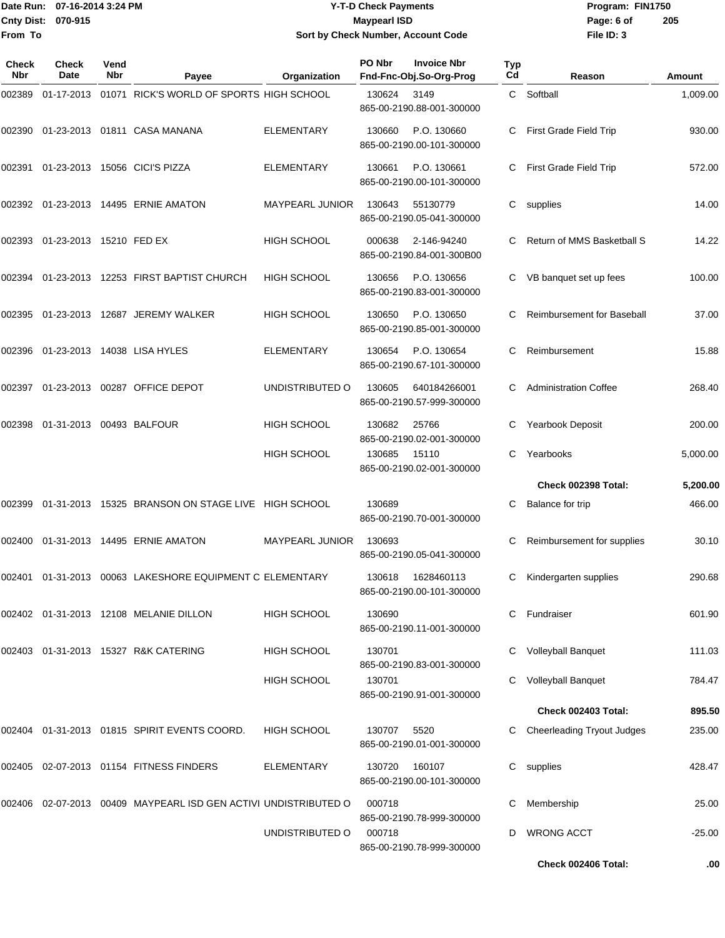## Date Run: 07-16-2014 3:24 PM **Program:** FIN1750 **Cnty Dist:** 070-915 **Page: 6 of Page: 6 of Page: 6 of Page: 6 of Page: 6 of Page: 6 of Y-T-D Check Payments 070-915 Maypearl ISD Sort by Check Number, Account Code**

| Check<br>Nbr | <b>Check</b><br><b>Date</b> | Vend<br>Nbr | Payee                                                    | Organization           | PO Nbr | <b>Invoice Nbr</b><br>Fnd-Fnc-Obj.So-Org-Prog | Typ<br>Cd      | Reason                            | Amount   |
|--------------|-----------------------------|-------------|----------------------------------------------------------|------------------------|--------|-----------------------------------------------|----------------|-----------------------------------|----------|
| 002389       |                             |             | 01-17-2013 01071 RICK'S WORLD OF SPORTS HIGH SCHOOL      |                        | 130624 | 3149<br>865-00-2190.88-001-300000             | $\mathsf{C}^-$ | Softball                          | 1,009.00 |
| 002390       |                             |             | 01-23-2013   01811   CASA MANANA                         | <b>ELEMENTARY</b>      | 130660 | P.O. 130660<br>865-00-2190.00-101-300000      | C.             | First Grade Field Trip            | 930.00   |
| 002391       |                             |             | 01-23-2013 15056 CICI'S PIZZA                            | <b>ELEMENTARY</b>      | 130661 | P.O. 130661<br>865-00-2190.00-101-300000      | C              | First Grade Field Trip            | 572.00   |
|              |                             |             | 002392 01-23-2013 14495 ERNIE AMATON                     | MAYPEARL JUNIOR        | 130643 | 55130779<br>865-00-2190.05-041-300000         | C              | supplies                          | 14.00    |
| 002393       | 01-23-2013 15210 FED EX     |             |                                                          | <b>HIGH SCHOOL</b>     | 000638 | 2-146-94240<br>865-00-2190.84-001-300B00      | C.             | Return of MMS Basketball S        | 14.22    |
| 002394       |                             |             | 01-23-2013 12253 FIRST BAPTIST CHURCH                    | <b>HIGH SCHOOL</b>     | 130656 | P.O. 130656<br>865-00-2190.83-001-300000      |                | VB banquet set up fees            | 100.00   |
| 002395       |                             |             | 01-23-2013 12687 JEREMY WALKER                           | <b>HIGH SCHOOL</b>     | 130650 | P.O. 130650<br>865-00-2190.85-001-300000      | C              | Reimbursement for Baseball        | 37.00    |
| 002396       |                             |             | 01-23-2013 14038 LISA HYLES                              | <b>ELEMENTARY</b>      | 130654 | P.O. 130654<br>865-00-2190.67-101-300000      | C              | Reimbursement                     | 15.88    |
| 002397       |                             |             | 01-23-2013 00287 OFFICE DEPOT                            | UNDISTRIBUTED O        | 130605 | 640184266001<br>865-00-2190.57-999-300000     |                | <b>Administration Coffee</b>      | 268.40   |
| 002398       | 01-31-2013 00493 BALFOUR    |             |                                                          | <b>HIGH SCHOOL</b>     | 130682 | 25766<br>865-00-2190.02-001-300000            | C              | Yearbook Deposit                  | 200.00   |
|              |                             |             |                                                          | <b>HIGH SCHOOL</b>     | 130685 | 15110<br>865-00-2190.02-001-300000            | C.             | Yearbooks                         | 5,000.00 |
|              |                             |             |                                                          |                        |        |                                               |                | Check 002398 Total:               | 5,200.00 |
| 002399       |                             |             | 01-31-2013 15325 BRANSON ON STAGE LIVE HIGH SCHOOL       |                        | 130689 | 865-00-2190.70-001-300000                     | C              | Balance for trip                  | 466.00   |
| 002400       |                             |             | 01-31-2013  14495  ERNIE AMATON                          | <b>MAYPEARL JUNIOR</b> | 130693 | 865-00-2190.05-041-300000                     |                | Reimbursement for supplies        | 30.10    |
| 002401       |                             |             | 01-31-2013 00063 LAKESHORE EQUIPMENT C ELEMENTARY        |                        | 130618 | 1628460113<br>865-00-2190.00-101-300000       | C              | Kindergarten supplies             | 290.68   |
|              |                             |             | 002402 01-31-2013 12108 MELANIE DILLON                   | <b>HIGH SCHOOL</b>     | 130690 | 865-00-2190.11-001-300000                     |                | C Fundraiser                      | 601.90   |
|              |                             |             | 002403  01-31-2013  15327  R&K CATERING                  | <b>HIGH SCHOOL</b>     | 130701 | 865-00-2190.83-001-300000                     |                | <b>Volleyball Banquet</b>         | 111.03   |
|              |                             |             |                                                          | <b>HIGH SCHOOL</b>     | 130701 | 865-00-2190.91-001-300000                     |                | <b>Volleyball Banquet</b>         | 784.47   |
|              |                             |             |                                                          |                        |        |                                               |                | Check 002403 Total:               | 895.50   |
| 002404       |                             |             | 01-31-2013 01815 SPIRIT EVENTS COORD.                    | <b>HIGH SCHOOL</b>     | 130707 | 5520<br>865-00-2190.01-001-300000             |                | <b>Cheerleading Tryout Judges</b> | 235.00   |
|              |                             |             | 002405 02-07-2013 01154 FITNESS FINDERS                  | ELEMENTARY             | 130720 | 160107<br>865-00-2190.00-101-300000           |                | C supplies                        | 428.47   |
| 002406       |                             |             | 02-07-2013 00409 MAYPEARL ISD GEN ACTIVI UNDISTRIBUTED O |                        | 000718 | 865-00-2190.78-999-300000                     | C              | Membership                        | 25.00    |
|              |                             |             |                                                          | UNDISTRIBUTED O        | 000718 | 865-00-2190.78-999-300000                     | D              | <b>WRONG ACCT</b>                 | $-25.00$ |
|              |                             |             |                                                          |                        |        |                                               |                | Check 002406 Total:               | .00      |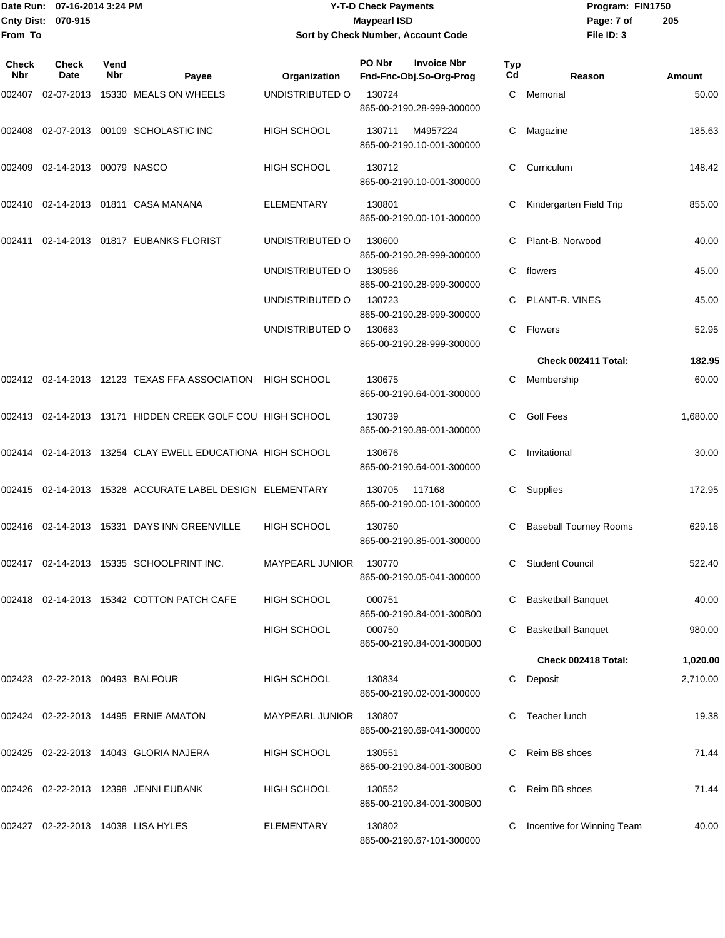Date Run: 07-16-2014 3:24 PM **Program:** FIN1750 **Cnty Dist:** 070-915 **Page: 7 of Page: 7 of Page: 7 of Page: 7 of Page: 7 of From To**

## **Y-T-D Check Payments 070-915 Maypearl ISD Sort by Check Number, Account Code**

| Check<br>Nbr | <b>Check</b><br>Date            | Vend<br>Nbr | Payee                                                     | Organization           | PO Nbr | <b>Invoice Nbr</b><br>Fnd-Fnc-Obj.So-Org-Prog | Typ<br>Cd | Reason                        | Amount   |
|--------------|---------------------------------|-------------|-----------------------------------------------------------|------------------------|--------|-----------------------------------------------|-----------|-------------------------------|----------|
| 002407       |                                 |             | 02-07-2013 15330 MEALS ON WHEELS                          | UNDISTRIBUTED O        | 130724 | 865-00-2190.28-999-300000                     | C         | Memorial                      | 50.00    |
| 002408       |                                 |             | 02-07-2013 00109 SCHOLASTIC INC                           | <b>HIGH SCHOOL</b>     | 130711 | M4957224<br>865-00-2190.10-001-300000         | С         | Magazine                      | 185.63   |
| 002409       | 02-14-2013 00079 NASCO          |             |                                                           | <b>HIGH SCHOOL</b>     | 130712 | 865-00-2190.10-001-300000                     | С         | Curriculum                    | 148.42   |
| 002410       |                                 |             | 02-14-2013  01811  CASA MANANA                            | <b>ELEMENTARY</b>      | 130801 | 865-00-2190.00-101-300000                     |           | Kindergarten Field Trip       | 855.00   |
| 002411       |                                 |             | 02-14-2013  01817  EUBANKS FLORIST                        | UNDISTRIBUTED O        | 130600 | 865-00-2190.28-999-300000                     | С         | Plant-B. Norwood              | 40.00    |
|              |                                 |             |                                                           | UNDISTRIBUTED O        | 130586 | 865-00-2190.28-999-300000                     | С         | flowers                       | 45.00    |
|              |                                 |             |                                                           | UNDISTRIBUTED O        | 130723 | 865-00-2190.28-999-300000                     |           | PLANT-R. VINES                | 45.00    |
|              |                                 |             |                                                           | UNDISTRIBUTED O        | 130683 | 865-00-2190.28-999-300000                     | C         | Flowers                       | 52.95    |
|              |                                 |             |                                                           |                        |        |                                               |           | Check 002411 Total:           | 182.95   |
|              |                                 |             | 002412 02-14-2013 12123 TEXAS FFA ASSOCIATION HIGH SCHOOL |                        | 130675 | 865-00-2190.64-001-300000                     | С         | Membership                    | 60.00    |
|              |                                 |             | 002413 02-14-2013 13171 HIDDEN CREEK GOLF COU HIGH SCHOOL |                        | 130739 | 865-00-2190.89-001-300000                     |           | <b>Golf Fees</b>              | 1,680.00 |
|              |                                 |             | 002414 02-14-2013 13254 CLAY EWELL EDUCATIONA HIGH SCHOOL |                        | 130676 | 865-00-2190.64-001-300000                     | С         | Invitational                  | 30.00    |
|              |                                 |             | 002415 02-14-2013 15328 ACCURATE LABEL DESIGN ELEMENTARY  |                        | 130705 | 117168<br>865-00-2190.00-101-300000           | C.        | Supplies                      | 172.95   |
|              |                                 |             | 002416 02-14-2013 15331 DAYS INN GREENVILLE               | <b>HIGH SCHOOL</b>     | 130750 | 865-00-2190.85-001-300000                     |           | <b>Baseball Tourney Rooms</b> | 629.16   |
|              |                                 |             | 002417 02-14-2013 15335 SCHOOLPRINT INC.                  | <b>MAYPEARL JUNIOR</b> | 130770 | 865-00-2190.05-041-300000                     | С         | <b>Student Council</b>        | 522.40   |
|              |                                 |             | 002418 02-14-2013 15342 COTTON PATCH CAFE                 | HIGH SCHOOL            | 000751 | 865-00-2190.84-001-300B00                     |           | <b>Basketball Banquet</b>     | 40.00    |
|              |                                 |             |                                                           | <b>HIGH SCHOOL</b>     | 000750 | 865-00-2190.84-001-300B00                     |           | <b>Basketball Banquet</b>     | 980.00   |
|              |                                 |             |                                                           |                        |        |                                               |           | Check 002418 Total:           | 1,020.00 |
|              | 002423 02-22-2013 00493 BALFOUR |             |                                                           | <b>HIGH SCHOOL</b>     | 130834 | 865-00-2190.02-001-300000                     | C.        | Deposit                       | 2,710.00 |
|              |                                 |             | 002424 02-22-2013 14495 ERNIE AMATON                      | <b>MAYPEARL JUNIOR</b> | 130807 | 865-00-2190.69-041-300000                     |           | Teacher lunch                 | 19.38    |
|              |                                 |             | 002425 02-22-2013 14043 GLORIA NAJERA                     | <b>HIGH SCHOOL</b>     | 130551 | 865-00-2190.84-001-300B00                     | С         | Reim BB shoes                 | 71.44    |
|              |                                 |             | 002426 02-22-2013 12398 JENNI EUBANK                      | HIGH SCHOOL            | 130552 | 865-00-2190.84-001-300B00                     | С         | Reim BB shoes                 | 71.44    |
|              |                                 |             | 002427 02-22-2013 14038 LISA HYLES                        | <b>ELEMENTARY</b>      | 130802 | 865-00-2190.67-101-300000                     | С         | Incentive for Winning Team    | 40.00    |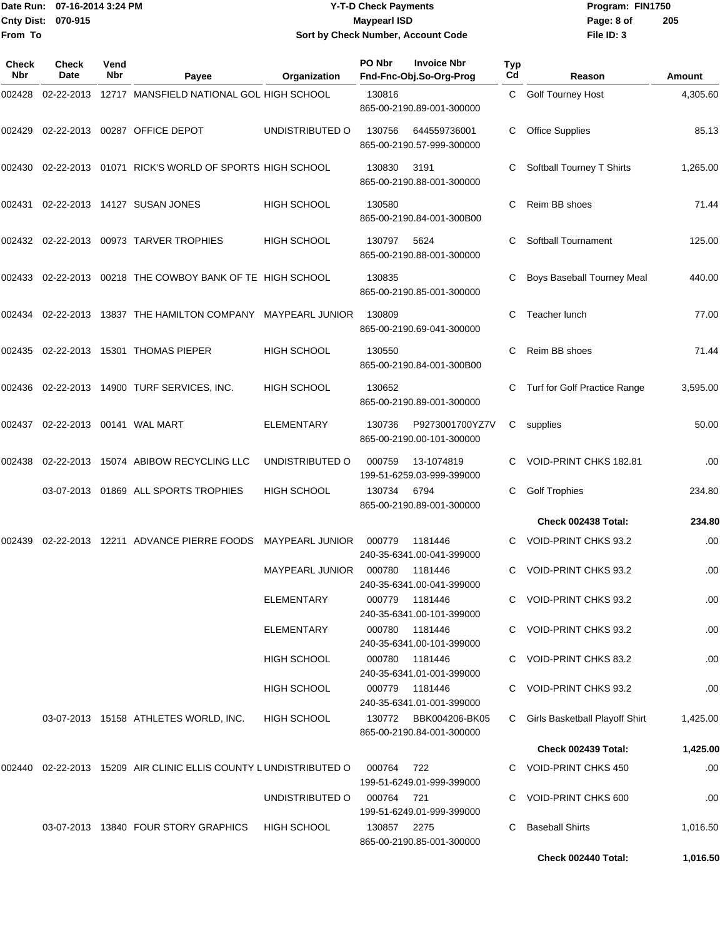|                           | Date Run: 07-16-2014 3:24 PM | <b>Y-T-D Check Payments</b>        | Program:          |
|---------------------------|------------------------------|------------------------------------|-------------------|
| <b>Cnty Dist: 070-915</b> |                              | <b>Maypearl ISD</b>                | Page: 8 of        |
| lFrom To                  |                              | Sort by Check Number, Account Code | <b>File ID: 3</b> |

## **025 Payments 070-915 Maypearl ISD Sort by Check Number, Account Code**

**Date Run: Program: FIN1750 File ID: 3 205**

| <b>Check</b><br>Nbr | Check<br>Date | Vend<br>Nbr | Payee                                                               | Organization           | PO Nbr | <b>Invoice Nbr</b><br>Fnd-Fnc-Obj.So-Org-Prog | <b>Typ</b><br>Cd | Reason                         | Amount   |
|---------------------|---------------|-------------|---------------------------------------------------------------------|------------------------|--------|-----------------------------------------------|------------------|--------------------------------|----------|
| 002428              | 02-22-2013    |             | 12717 MANSFIELD NATIONAL GOL HIGH SCHOOL                            |                        | 130816 | 865-00-2190.89-001-300000                     | C.               | Golf Tourney Host              | 4,305.60 |
| 002429              |               |             | 02-22-2013 00287 OFFICE DEPOT                                       | UNDISTRIBUTED O        | 130756 | 644559736001<br>865-00-2190.57-999-300000     | С                | <b>Office Supplies</b>         | 85.13    |
| 002430              | 02-22-2013    |             | 01071 RICK'S WORLD OF SPORTS HIGH SCHOOL                            |                        | 130830 | 3191<br>865-00-2190.88-001-300000             | C                | Softball Tourney T Shirts      | 1,265.00 |
| 002431              |               |             | 02-22-2013 14127 SUSAN JONES                                        | HIGH SCHOOL            | 130580 | 865-00-2190.84-001-300B00                     | C                | Reim BB shoes                  | 71.44    |
|                     |               |             |                                                                     | <b>HIGH SCHOOL</b>     | 130797 | 5624<br>865-00-2190.88-001-300000             | C                | Softball Tournament            | 125.00   |
| 002433              |               |             | 02-22-2013 00218 THE COWBOY BANK OF TE HIGH SCHOOL                  |                        | 130835 | 865-00-2190.85-001-300000                     | C                | Boys Baseball Tourney Meal     | 440.00   |
| 002434              |               |             | 02-22-2013 13837 THE HAMILTON COMPANY                               | MAYPEARL JUNIOR        | 130809 | 865-00-2190.69-041-300000                     | С                | Teacher lunch                  | 77.00    |
| 002435              |               |             | 02-22-2013 15301 THOMAS PIEPER                                      | <b>HIGH SCHOOL</b>     | 130550 | 865-00-2190.84-001-300B00                     | C                | Reim BB shoes                  | 71.44    |
| 002436              |               |             | 02-22-2013  14900  TURF SERVICES, INC.                              | <b>HIGH SCHOOL</b>     | 130652 | 865-00-2190.89-001-300000                     | C                | Turf for Golf Practice Range   | 3,595.00 |
| 002437              |               |             |                                                                     | ELEMENTARY             | 130736 | P9273001700YZ7V<br>865-00-2190.00-101-300000  | C                | supplies                       | 50.00    |
| 002438              | 02-22-2013    |             | 15074 ABIBOW RECYCLING LLC                                          | UNDISTRIBUTED O        | 000759 | 13-1074819<br>199-51-6259.03-999-399000       | C                | VOID-PRINT CHKS 182.81         | .00      |
|                     |               |             | 03-07-2013 01869 ALL SPORTS TROPHIES                                | <b>HIGH SCHOOL</b>     | 130734 | 6794<br>865-00-2190.89-001-300000             | С                | <b>Golf Trophies</b>           | 234.80   |
|                     |               |             |                                                                     |                        |        |                                               |                  | Check 002438 Total:            | 234.80   |
| 002439              | 02-22-2013    |             | 12211 ADVANCE PIERRE FOODS                                          | <b>MAYPEARL JUNIOR</b> | 000779 | 1181446<br>240-35-6341.00-041-399000          |                  | VOID-PRINT CHKS 93.2           | .00      |
|                     |               |             |                                                                     | <b>MAYPEARL JUNIOR</b> | 000780 | 1181446<br>240-35-6341.00-041-399000          |                  | <b>VOID-PRINT CHKS 93.2</b>    | .00      |
|                     |               |             |                                                                     | ELEMENTARY             | 000779 | 1181446<br>240-35-6341.00-101-399000          |                  | C VOID-PRINT CHKS 93.2         | .00      |
|                     |               |             |                                                                     | ELEMENTARY             | 000780 | 1181446<br>240-35-6341.00-101-399000          |                  | C VOID-PRINT CHKS 93.2         | .00      |
|                     |               |             |                                                                     | HIGH SCHOOL            | 000780 | 1181446<br>240-35-6341.01-001-399000          |                  | C VOID-PRINT CHKS 83.2         | .00      |
|                     |               |             |                                                                     | HIGH SCHOOL            | 000779 | 1181446<br>240-35-6341.01-001-399000          |                  | C VOID-PRINT CHKS 93.2         | .00      |
|                     |               |             | 03-07-2013 15158 ATHLETES WORLD, INC.                               | <b>HIGH SCHOOL</b>     | 130772 | BBK004206-BK05<br>865-00-2190.84-001-300000   | C                | Girls Basketball Playoff Shirt | 1,425.00 |
|                     |               |             |                                                                     |                        |        |                                               |                  | Check 002439 Total:            | 1,425.00 |
|                     |               |             | 002440  02-22-2013  15209  AIR CLINIC ELLIS COUNTY LUNDISTRIBUTED O |                        | 000764 | 722<br>199-51-6249.01-999-399000              |                  | C VOID-PRINT CHKS 450          | .00      |
|                     |               |             |                                                                     | UNDISTRIBUTED O        | 000764 | 721<br>199-51-6249.01-999-399000              |                  | VOID-PRINT CHKS 600            | .00      |
|                     |               |             | 03-07-2013 13840 FOUR STORY GRAPHICS                                | HIGH SCHOOL            | 130857 | 2275<br>865-00-2190.85-001-300000             | C.               | <b>Baseball Shirts</b>         | 1,016.50 |
|                     |               |             |                                                                     |                        |        |                                               |                  | Check 002440 Total:            | 1,016.50 |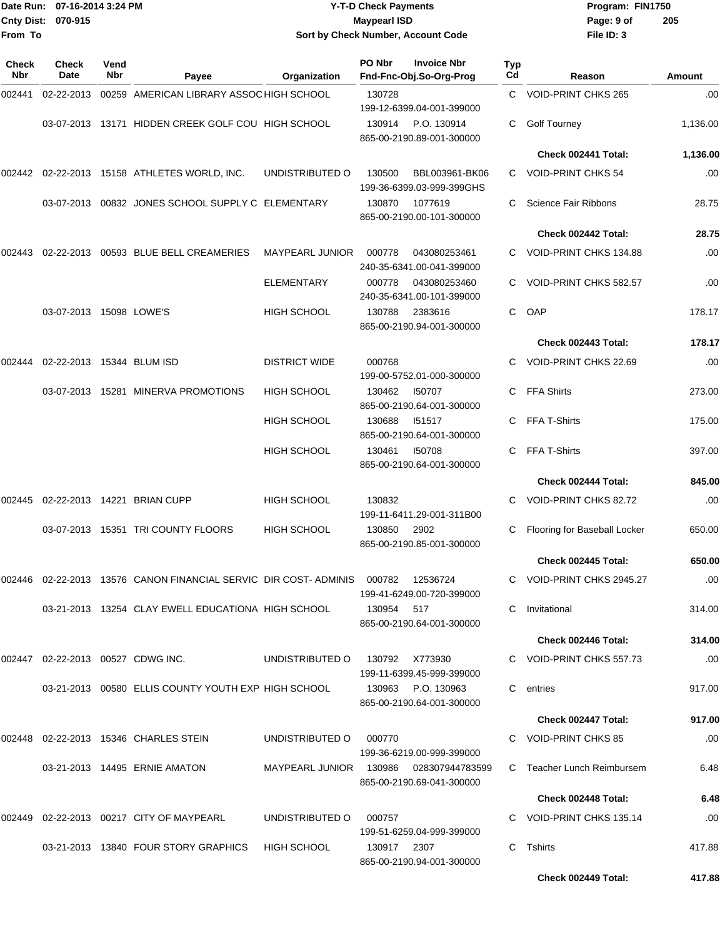|                     | Date Run: 07-16-2014 3:24 PM |             |                                                                              |                                        | <b>Y-T-D Check Payments</b>                             |                     | Program: FIN1750               |               |
|---------------------|------------------------------|-------------|------------------------------------------------------------------------------|----------------------------------------|---------------------------------------------------------|---------------------|--------------------------------|---------------|
|                     | Cnty Dist: 070-915           |             |                                                                              |                                        | <b>Maypearl ISD</b>                                     |                     | Page: 9 of                     | 205           |
| From To             |                              |             |                                                                              |                                        | Sort by Check Number, Account Code                      |                     | File ID: 3                     |               |
| Check<br><b>Nbr</b> | Check<br>Date                | Vend<br>Nbr | Payee                                                                        | Organization                           | PO Nbr<br><b>Invoice Nbr</b><br>Fnd-Fnc-Obj.So-Org-Prog | Typ<br>Cd           | Reason                         | <b>Amount</b> |
| 002441              | 02-22-2013                   |             | 00259 AMERICAN LIBRARY ASSOC HIGH SCHOOL                                     |                                        | 130728                                                  | C.                  | VOID-PRINT CHKS 265            | .00           |
|                     |                              |             |                                                                              |                                        | 199-12-6399.04-001-399000                               |                     |                                |               |
|                     |                              |             | 03-07-2013 13171 HIDDEN CREEK GOLF COU HIGH SCHOOL                           |                                        | P.O. 130914<br>130914<br>865-00-2190.89-001-300000      | С                   | <b>Golf Tourney</b>            | 1,136.00      |
|                     |                              |             |                                                                              |                                        |                                                         |                     | Check 002441 Total:            | 1,136.00      |
| 002442              |                              |             | 02-22-2013 15158 ATHLETES WORLD, INC.                                        | UNDISTRIBUTED O                        | 130500                                                  | BBL003961-BK06<br>С | <b>VOID-PRINT CHKS 54</b>      | .00           |
|                     |                              |             |                                                                              |                                        | 199-36-6399.03-999-399GHS                               |                     |                                |               |
|                     |                              |             | 03-07-2013  00832  JONES SCHOOL SUPPLY C ELEMENTARY                          |                                        | 130870<br>1077619<br>865-00-2190.00-101-300000          | С                   | <b>Science Fair Ribbons</b>    | 28.75         |
|                     |                              |             |                                                                              |                                        |                                                         |                     | Check 002442 Total:            | 28.75         |
| 002443              | 02-22-2013                   |             | 00593 BLUE BELL CREAMERIES                                                   | <b>MAYPEARL JUNIOR</b>                 | 000778<br>043080253461<br>240-35-6341.00-041-399000     |                     | VOID-PRINT CHKS 134.88         | .00           |
|                     |                              |             |                                                                              | <b>ELEMENTARY</b>                      | 000778<br>043080253460<br>240-35-6341.00-101-399000     | С                   | VOID-PRINT CHKS 582.57         | .00           |
|                     | 03-07-2013 15098 LOWE'S      |             |                                                                              | <b>HIGH SCHOOL</b>                     | 130788<br>2383616<br>865-00-2190.94-001-300000          | C                   | OAP                            | 178.17        |
|                     |                              |             |                                                                              |                                        |                                                         |                     | Check 002443 Total:            | 178.17        |
| 002444              | 02-22-2013 15344 BLUM ISD    |             |                                                                              | <b>DISTRICT WIDE</b>                   | 000768<br>199-00-5752.01-000-300000                     | С                   | VOID-PRINT CHKS 22.69          | .00           |
|                     |                              |             | 03-07-2013 15281 MINERVA PROMOTIONS                                          | <b>HIGH SCHOOL</b>                     | 130462<br>150707<br>865-00-2190.64-001-300000           | С                   | <b>FFA Shirts</b>              | 273.00        |
|                     |                              |             |                                                                              | HIGH SCHOOL                            | 130688<br>151517<br>865-00-2190.64-001-300000           | С                   | FFA T-Shirts                   | 175.00        |
|                     |                              |             |                                                                              | HIGH SCHOOL                            | 130461<br>150708<br>865-00-2190.64-001-300000           | С                   | FFA T-Shirts                   | 397.00        |
|                     |                              |             |                                                                              |                                        |                                                         |                     | Check 002444 Total:            | 845.00        |
| 002445              |                              |             | 02-22-2013 14221 BRIAN CUPP                                                  | <b>HIGH SCHOOL</b>                     | 130832<br>199-11-6411.29-001-311B00                     | С                   | VOID-PRINT CHKS 82.72          | .00           |
|                     |                              |             | 03-07-2013 15351 TRI COUNTY FLOORS                                           | HIGH SCHOOL                            | 2902<br>130850<br>865-00-2190.85-001-300000             |                     | C Flooring for Baseball Locker | 650.00        |
|                     |                              |             |                                                                              |                                        |                                                         |                     | Check 002445 Total:            | 650.00        |
|                     |                              |             | 002446  02-22-2013  13576  CANON FINANCIAL SERVIC  DIR COST- ADMINIS  000782 |                                        | 12536724<br>199-41-6249.00-720-399000                   |                     | C VOID-PRINT CHKS 2945.27      | .00           |
|                     |                              |             | 03-21-2013 13254 CLAY EWELL EDUCATIONA HIGH SCHOOL                           |                                        | 130954<br>517<br>865-00-2190.64-001-300000              | C.                  | Invitational                   | 314.00        |
|                     |                              |             |                                                                              |                                        |                                                         |                     | Check 002446 Total:            | 314.00        |
|                     |                              |             | 002447 02-22-2013 00527 CDWG INC.                                            | UNDISTRIBUTED O                        | 130792<br>X773930<br>199-11-6399.45-999-399000          |                     | C VOID-PRINT CHKS 557.73       | .00           |
|                     |                              |             | 03-21-2013 00580 ELLIS COUNTY YOUTH EXP HIGH SCHOOL                          |                                        | 130963 P.O. 130963<br>865-00-2190.64-001-300000         | C.                  | entries                        | 917.00        |
|                     |                              |             |                                                                              |                                        |                                                         |                     | Check 002447 Total:            | 917.00        |
|                     |                              |             | 002448  02-22-2013  15346  CHARLES STEIN                                     | UNDISTRIBUTED O                        | 000770<br>199-36-6219.00-999-399000                     |                     | C VOID-PRINT CHKS 85           | .00           |
|                     |                              |             | 03-21-2013 14495 ERNIE AMATON                                                | MAYPEARL JUNIOR 130986 028307944783599 | 865-00-2190.69-041-300000                               |                     | C Teacher Lunch Reimbursem     | 6.48          |
|                     |                              |             |                                                                              |                                        |                                                         |                     | Check 002448 Total:            | 6.48          |
|                     |                              |             | 002449  02-22-2013  00217  CITY OF MAYPEARL                                  | UNDISTRIBUTED O                        | 000757<br>199-51-6259.04-999-399000                     |                     | C VOID-PRINT CHKS 135.14       | .00           |
|                     |                              |             | 03-21-2013 13840 FOUR STORY GRAPHICS                                         | <b>HIGH SCHOOL</b>                     | 130917 2307<br>865-00-2190.94-001-300000                |                     | C Tshirts                      | 417.88        |

**Check 002449 Total: 417.88**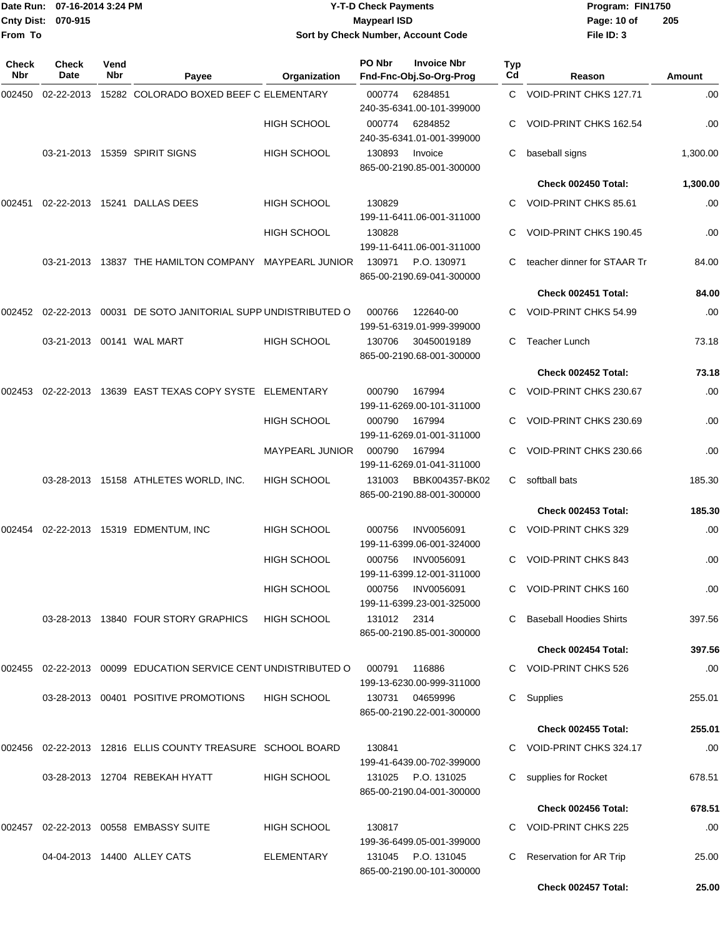|                    | Date Run: 07-16-2014 3:24 PM |
|--------------------|------------------------------|
| Cnty Dist: 070-915 |                              |
| From To            |                              |

## **Date Run: Program: FIN1750 07-16-2014 3:24 PM Y-T-D Check Payments Cnty Dist: Page: 10 of 070-915 Maypearl ISD Sort by Check Number, Account Code**

| Check<br>Nbr | <b>Check</b><br>Date | Vend<br>Nbr | Payee                                                                    | Organization           | PO Nbr      | <b>Invoice Nbr</b><br>Fnd-Fnc-Obj.So-Org-Prog   | Typ<br>Cd    | Reason                         | Amount   |
|--------------|----------------------|-------------|--------------------------------------------------------------------------|------------------------|-------------|-------------------------------------------------|--------------|--------------------------------|----------|
| 002450       | 02-22-2013           |             | 15282 COLORADO BOXED BEEF C ELEMENTARY                                   |                        | 000774      | 6284851<br>240-35-6341.00-101-399000            |              | C VOID-PRINT CHKS 127.71       | .00      |
|              |                      |             |                                                                          | <b>HIGH SCHOOL</b>     | 000774      | 6284852<br>240-35-6341.01-001-399000            |              | VOID-PRINT CHKS 162.54         | .00      |
|              |                      |             | 03-21-2013 15359 SPIRIT SIGNS                                            | <b>HIGH SCHOOL</b>     | 130893      | Invoice<br>865-00-2190.85-001-300000            | C            | baseball signs                 | 1,300.00 |
|              |                      |             |                                                                          |                        |             |                                                 |              | Check 002450 Total:            | 1,300.00 |
| 002451       |                      |             | 02-22-2013 15241 DALLAS DEES                                             | <b>HIGH SCHOOL</b>     | 130829      | 199-11-6411.06-001-311000                       | C.           | VOID-PRINT CHKS 85.61          | .00      |
|              |                      |             |                                                                          | <b>HIGH SCHOOL</b>     | 130828      | 199-11-6411.06-001-311000                       |              | VOID-PRINT CHKS 190.45         | .00      |
|              |                      |             | 03-21-2013 13837 THE HAMILTON COMPANY MAYPEARL JUNIOR                    |                        | 130971      | P.O. 130971<br>865-00-2190.69-041-300000        |              | teacher dinner for STAAR Tr    | 84.00    |
|              |                      |             |                                                                          |                        |             |                                                 |              | Check 002451 Total:            | 84.00    |
| 002452       |                      |             | 02-22-2013 00031 DE SOTO JANITORIAL SUPP UNDISTRIBUTED O                 |                        | 000766      | 122640-00<br>199-51-6319.01-999-399000          |              | C VOID-PRINT CHKS 54.99        | .00      |
|              |                      |             |                                                                          | <b>HIGH SCHOOL</b>     | 130706      | 30450019189<br>865-00-2190.68-001-300000        | C            | <b>Teacher Lunch</b>           | 73.18    |
|              |                      |             |                                                                          |                        |             |                                                 |              | Check 002452 Total:            | 73.18    |
| 002453       |                      |             | 02-22-2013 13639 EAST TEXAS COPY SYSTE ELEMENTARY                        |                        | 000790      | 167994<br>199-11-6269.00-101-311000             |              | VOID-PRINT CHKS 230.67         | .00      |
|              |                      |             |                                                                          | <b>HIGH SCHOOL</b>     | 000790      | 167994<br>199-11-6269.01-001-311000             |              | VOID-PRINT CHKS 230.69         | .00      |
|              |                      |             |                                                                          | <b>MAYPEARL JUNIOR</b> | 000790      | 167994<br>199-11-6269.01-041-311000             |              | VOID-PRINT CHKS 230.66         | .00      |
|              |                      |             | 03-28-2013 15158 ATHLETES WORLD, INC.                                    | <b>HIGH SCHOOL</b>     | 131003      | BBK004357-BK02<br>865-00-2190.88-001-300000     | C            | softball bats                  | 185.30   |
|              |                      |             |                                                                          |                        |             |                                                 |              | Check 002453 Total:            | 185.30   |
| 002454       |                      |             | 02-22-2013  15319  EDMENTUM, INC                                         | <b>HIGH SCHOOL</b>     | 000756      | INV0056091<br>199-11-6399.06-001-324000         |              | C VOID-PRINT CHKS 329          | .00      |
|              |                      |             |                                                                          | <b>HIGH SCHOOL</b>     | 000756      | INV0056091<br>199-11-6399.12-001-311000         |              | <b>VOID-PRINT CHKS 843</b>     | .00      |
|              |                      |             |                                                                          | HIGH SCHOOL            | 000756      | INV0056091<br>199-11-6399.23-001-325000         |              | VOID-PRINT CHKS 160            | .00      |
|              |                      |             | 03-28-2013 13840 FOUR STORY GRAPHICS                                     | <b>HIGH SCHOOL</b>     | 131012 2314 | 865-00-2190.85-001-300000                       | $\mathbf{C}$ | <b>Baseball Hoodies Shirts</b> | 397.56   |
|              |                      |             |                                                                          |                        |             |                                                 |              | Check 002454 Total:            | 397.56   |
| 002455       |                      |             | 02-22-2013 00099 EDUCATION SERVICE CENT UNDISTRIBUTED O                  |                        | 000791      | 116886<br>199-13-6230.00-999-311000             |              | C VOID-PRINT CHKS 526          | .00      |
|              |                      |             | 03-28-2013 00401 POSITIVE PROMOTIONS                                     | <b>HIGH SCHOOL</b>     | 130731      | 04659996<br>865-00-2190.22-001-300000           |              | C Supplies                     | 255.01   |
|              |                      |             |                                                                          |                        |             |                                                 |              | Check 002455 Total:            | 255.01   |
|              |                      |             | 002456   02-22-2013   12816   ELLIS   COUNTY   TREASURE   SCHOOL   BOARD |                        | 130841      | 199-41-6439.00-702-399000                       |              | C VOID-PRINT CHKS 324.17       | .00      |
|              |                      |             | 03-28-2013 12704 REBEKAH HYATT                                           | <b>HIGH SCHOOL</b>     |             | 131025 P.O. 131025<br>865-00-2190.04-001-300000 |              | supplies for Rocket            | 678.51   |
|              |                      |             |                                                                          |                        |             |                                                 |              | Check 002456 Total:            | 678.51   |
| 002457       |                      |             | 02-22-2013  00558  EMBASSY SUITE                                         | <b>HIGH SCHOOL</b>     | 130817      | 199-36-6499.05-001-399000                       |              | C VOID-PRINT CHKS 225          | .00      |
|              |                      |             | 04-04-2013 14400 ALLEY CATS                                              | ELEMENTARY             |             | 131045 P.O. 131045<br>865-00-2190.00-101-300000 | C            | Reservation for AR Trip        | 25.00    |
|              |                      |             |                                                                          |                        |             |                                                 |              | Check 002457 Total:            | 25.00    |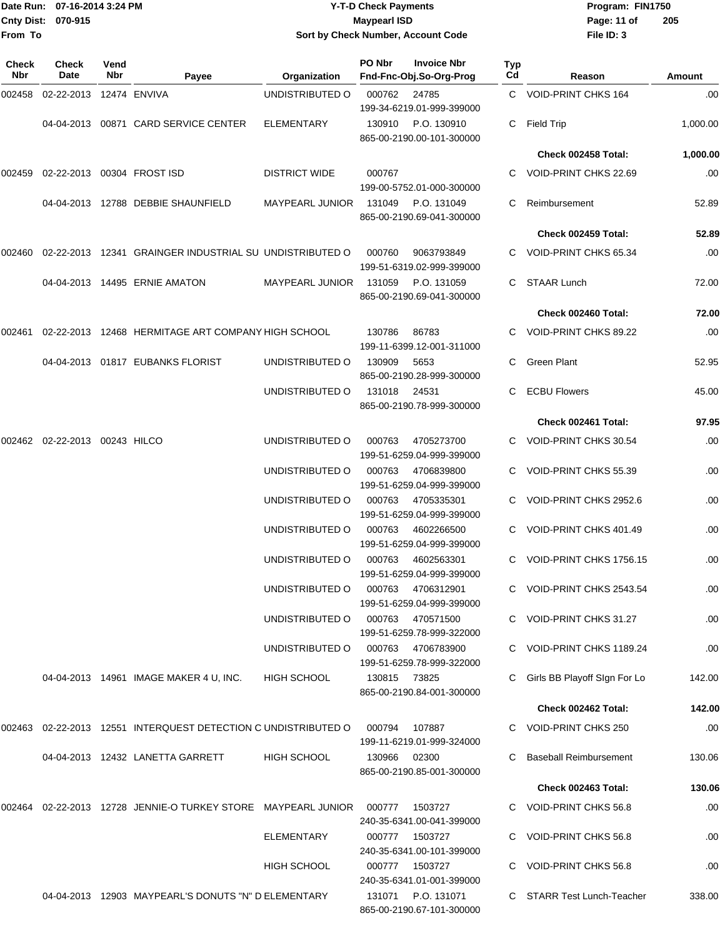## Date Run: 07-16-2014 3:24 PM **Program:** FIN1750 **Cnty Dist:** 070-915 **Page: 11 of** Maypearl ISD **CONTEX 150 Page: 11 of Y-T-D Check Payments 070-915 Maypearl ISD Sort by Check Number, Account Code**

| Check<br>Nbr | <b>Check</b><br>Date    | Vend<br>Nbr | Payee                                                   | Organization           | PO Nbr       | <b>Invoice Nbr</b><br>Fnd-Fnc-Obj.So-Org-Prog   | Typ<br>Cd | Reason                        | Amount   |
|--------------|-------------------------|-------------|---------------------------------------------------------|------------------------|--------------|-------------------------------------------------|-----------|-------------------------------|----------|
| 002458       | 02-22-2013 12474 ENVIVA |             |                                                         | UNDISTRIBUTED O        | 000762       | 24785<br>199-34-6219.01-999-399000              |           | C VOID-PRINT CHKS 164         | .00      |
|              |                         |             | 04-04-2013  00871  CARD SERVICE CENTER                  | <b>ELEMENTARY</b>      | 130910       | P.O. 130910<br>865-00-2190.00-101-300000        | C.        | Field Trip                    | 1,000.00 |
|              |                         |             |                                                         |                        |              |                                                 |           | Check 002458 Total:           | 1,000.00 |
| 002459       |                         |             | 02-22-2013 00304 FROST ISD                              | <b>DISTRICT WIDE</b>   | 000767       | 199-00-5752.01-000-300000                       |           | C VOID-PRINT CHKS 22.69       | .00      |
|              |                         |             | 04-04-2013  12788  DEBBIE SHAUNFIELD                    | <b>MAYPEARL JUNIOR</b> | 131049       | P.O. 131049<br>865-00-2190.69-041-300000        | C.        | Reimbursement                 | 52.89    |
|              |                         |             |                                                         |                        |              |                                                 |           | Check 002459 Total:           | 52.89    |
| 002460       |                         |             | 02-22-2013 12341 GRAINGER INDUSTRIAL SU UNDISTRIBUTED O |                        | 000760       | 9063793849<br>199-51-6319.02-999-399000         |           | C VOID-PRINT CHKS 65.34       | .00      |
|              |                         |             | 04-04-2013  14495  ERNIE AMATON                         | <b>MAYPEARL JUNIOR</b> | 131059       | P.O. 131059<br>865-00-2190.69-041-300000        |           | <b>STAAR Lunch</b>            | 72.00    |
|              |                         |             |                                                         |                        |              |                                                 |           | Check 002460 Total:           | 72.00    |
| 002461       |                         |             | 02-22-2013 12468 HERMITAGE ART COMPANY HIGH SCHOOL      |                        | 130786       | 86783<br>199-11-6399.12-001-311000              |           | VOID-PRINT CHKS 89.22         | .00      |
|              |                         |             | 04-04-2013  01817  EUBANKS FLORIST                      | UNDISTRIBUTED O        | 130909       | 5653<br>865-00-2190.28-999-300000               | C.        | <b>Green Plant</b>            | 52.95    |
|              |                         |             |                                                         | UNDISTRIBUTED O        | 131018       | 24531<br>865-00-2190.78-999-300000              | C.        | <b>ECBU Flowers</b>           | 45.00    |
|              |                         |             |                                                         |                        |              |                                                 |           | Check 002461 Total:           | 97.95    |
| 002462       | 02-22-2013 00243 HILCO  |             |                                                         | UNDISTRIBUTED O        | 000763       | 4705273700<br>199-51-6259.04-999-399000         |           | C VOID-PRINT CHKS 30.54       | .00      |
|              |                         |             |                                                         | UNDISTRIBUTED O        | 000763       | 4706839800<br>199-51-6259.04-999-399000         |           | VOID-PRINT CHKS 55.39         | .00      |
|              |                         |             |                                                         | UNDISTRIBUTED O        | 000763       | 4705335301<br>199-51-6259.04-999-399000         |           | VOID-PRINT CHKS 2952.6        | .00      |
|              |                         |             |                                                         | UNDISTRIBUTED O        | 000763       | 4602266500<br>199-51-6259.04-999-399000         |           | VOID-PRINT CHKS 401.49        | .00      |
|              |                         |             |                                                         | UNDISTRIBUTED O        | 000763       | 4602563301<br>199-51-6259.04-999-399000         |           | VOID-PRINT CHKS 1756.15       | .00      |
|              |                         |             |                                                         | UNDISTRIBUTED O        | 000763       | 4706312901<br>199-51-6259.04-999-399000         |           | VOID-PRINT CHKS 2543.54       | .00      |
|              |                         |             |                                                         | UNDISTRIBUTED O        |              | 000763 470571500<br>199-51-6259.78-999-322000   |           | C VOID-PRINT CHKS 31.27       | .00      |
|              |                         |             |                                                         | UNDISTRIBUTED O        | 000763       | 4706783900<br>199-51-6259.78-999-322000         |           | C VOID-PRINT CHKS 1189.24     | .00      |
|              |                         |             | 04-04-2013 14961 IMAGE MAKER 4 U, INC.                  | <b>HIGH SCHOOL</b>     | 130815       | 73825<br>865-00-2190.84-001-300000              |           | Girls BB Playoff SIgn For Lo  | 142.00   |
|              |                         |             |                                                         |                        |              |                                                 |           | Check 002462 Total:           | 142.00   |
| 002463       |                         |             | 02-22-2013 12551 INTERQUEST DETECTION C UNDISTRIBUTED O |                        | 000794       | 107887<br>199-11-6219.01-999-324000             |           | C VOID-PRINT CHKS 250         | .00      |
|              |                         |             | 04-04-2013 12432 LANETTA GARRETT                        | <b>HIGH SCHOOL</b>     | 130966 02300 | 865-00-2190.85-001-300000                       |           | <b>Baseball Reimbursement</b> | 130.06   |
|              |                         |             |                                                         |                        |              |                                                 |           | Check 002463 Total:           | 130.06   |
| 002464       |                         |             | 02-22-2013 12728 JENNIE-O TURKEY STORE MAYPEARL JUNIOR  |                        | 000777       | 1503727<br>240-35-6341.00-041-399000            |           | C VOID-PRINT CHKS 56.8        | .00      |
|              |                         |             |                                                         | ELEMENTARY             | 000777       | 1503727<br>240-35-6341.00-101-399000            |           | <b>VOID-PRINT CHKS 56.8</b>   | .00      |
|              |                         |             |                                                         | <b>HIGH SCHOOL</b>     |              | 000777 1503727<br>240-35-6341.01-001-399000     |           | C VOID-PRINT CHKS 56.8        | .00      |
|              |                         |             | 04-04-2013 12903 MAYPEARL'S DONUTS "N" D ELEMENTARY     |                        |              | 131071 P.O. 131071<br>865-00-2190.67-101-300000 |           | C STARR Test Lunch-Teacher    | 338.00   |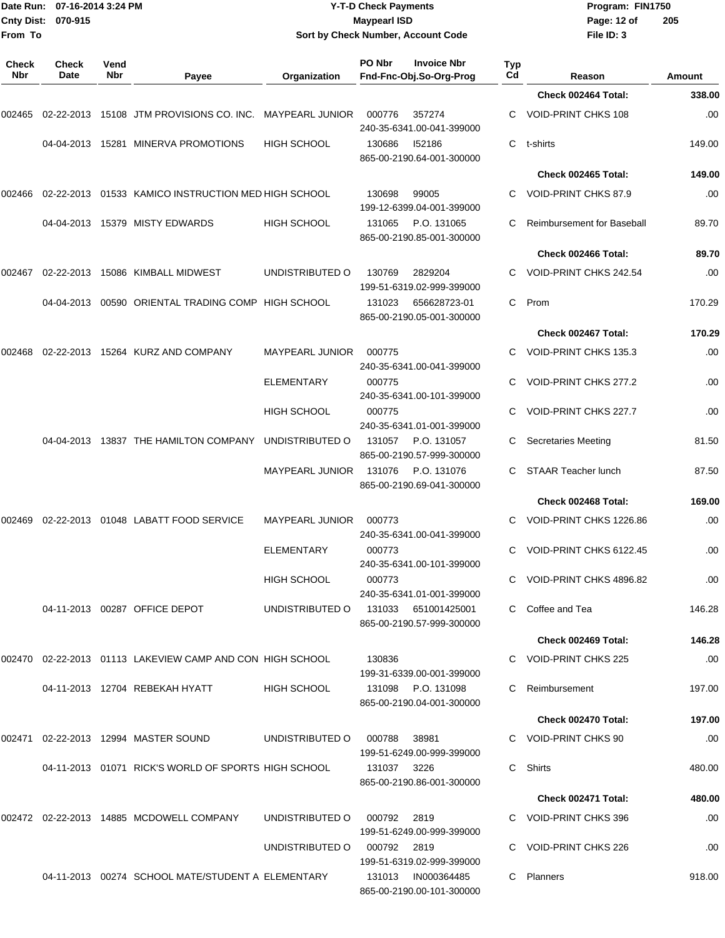| From To      | Date Run: 07-16-2014 3:24 PM<br>Cnty Dist: 070-915 |             |                                                             | <b>Y-T-D Check Payments</b><br><b>Maypearl ISD</b><br>Sort by Check Number, Account Code |                  |                                                 |           | Program: FIN1750<br>Page: 12 of<br>File ID: 3  | 205        |
|--------------|----------------------------------------------------|-------------|-------------------------------------------------------------|------------------------------------------------------------------------------------------|------------------|-------------------------------------------------|-----------|------------------------------------------------|------------|
| Check<br>Nbr | <b>Check</b><br>Date                               | Vend<br>Nbr | Payee                                                       | Organization                                                                             | PO Nbr           | <b>Invoice Nbr</b><br>Fnd-Fnc-Obj.So-Org-Prog   | Typ<br>Cd | Reason                                         | Amount     |
|              |                                                    |             |                                                             |                                                                                          |                  |                                                 |           | Check 002464 Total:                            | 338.00     |
| 002465       |                                                    |             | 02-22-2013 15108 JTM PROVISIONS CO. INC. MAYPEARL JUNIOR    |                                                                                          | 000776           | 357274<br>240-35-6341.00-041-399000             |           | VOID-PRINT CHKS 108                            | .00        |
|              |                                                    |             | 04-04-2013 15281 MINERVA PROMOTIONS                         | <b>HIGH SCHOOL</b>                                                                       | 130686           | 152186<br>865-00-2190.64-001-300000             | C         | t-shirts                                       | 149.00     |
|              |                                                    |             |                                                             |                                                                                          |                  |                                                 |           | Check 002465 Total:                            | 149.00     |
| 002466       |                                                    |             | 02-22-2013 01533 KAMICO INSTRUCTION MED HIGH SCHOOL         |                                                                                          | 130698           | 99005<br>199-12-6399.04-001-399000              |           | VOID-PRINT CHKS 87.9                           | .00        |
|              |                                                    |             | 04-04-2013 15379 MISTY EDWARDS                              | <b>HIGH SCHOOL</b>                                                                       | 131065           | P.O. 131065<br>865-00-2190.85-001-300000        | C.        | <b>Reimbursement for Baseball</b>              | 89.70      |
|              |                                                    |             |                                                             |                                                                                          |                  |                                                 |           | Check 002466 Total:                            | 89.70      |
| 002467       |                                                    |             | 02-22-2013 15086 KIMBALL MIDWEST                            | UNDISTRIBUTED O                                                                          | 130769           | 2829204<br>199-51-6319.02-999-399000            | C.        | VOID-PRINT CHKS 242.54                         | .00        |
|              |                                                    |             | 04-04-2013 00590 ORIENTAL TRADING COMP HIGH SCHOOL          |                                                                                          | 131023           | 656628723-01<br>865-00-2190.05-001-300000       | C         | Prom                                           | 170.29     |
|              |                                                    |             |                                                             |                                                                                          |                  |                                                 |           | Check 002467 Total:                            | 170.29     |
|              |                                                    |             | 002468 02-22-2013 15264   KURZ AND COMPANY                  | <b>MAYPEARL JUNIOR</b>                                                                   | 000775           | 240-35-6341.00-041-399000                       |           | VOID-PRINT CHKS 135.3                          | .00        |
|              |                                                    |             |                                                             | <b>ELEMENTARY</b><br><b>HIGH SCHOOL</b>                                                  | 000775<br>000775 | 240-35-6341.00-101-399000                       | C         | VOID-PRINT CHKS 277.2<br>VOID-PRINT CHKS 227.7 | .00<br>.00 |
|              |                                                    |             |                                                             |                                                                                          |                  | 240-35-6341.01-001-399000                       |           |                                                |            |
|              |                                                    |             | 04-04-2013 13837 THE HAMILTON COMPANY                       | UNDISTRIBUTED O                                                                          | 131057           | P.O. 131057<br>865-00-2190.57-999-300000        |           | <b>Secretaries Meeting</b>                     | 81.50      |
|              |                                                    |             |                                                             | MAYPEARL JUNIOR                                                                          | 131076           | P.O. 131076<br>865-00-2190.69-041-300000        | C         | <b>STAAR Teacher lunch</b>                     | 87.50      |
|              |                                                    |             |                                                             |                                                                                          |                  |                                                 |           | Check 002468 Total:                            | 169.00     |
| 002469       |                                                    |             | 02-22-2013  01048  LABATT FOOD SERVICE                      | MAYPEARL JUNIOR                                                                          | 000773           | 240-35-6341.00-041-399000                       |           | VOID-PRINT CHKS 1226.86                        | .00        |
|              |                                                    |             |                                                             | ELEMENTARY                                                                               | 000773           | 240-35-6341.00-101-399000                       |           | C VOID-PRINT CHKS 6122.45                      | .00        |
|              |                                                    |             |                                                             | <b>HIGH SCHOOL</b>                                                                       | 000773           | 240-35-6341.01-001-399000                       |           | C VOID-PRINT CHKS 4896.82                      | .00        |
|              |                                                    |             | 04-11-2013 00287 OFFICE DEPOT                               | UNDISTRIBUTED O 131033 651001425001                                                      |                  | 865-00-2190.57-999-300000                       |           | C Coffee and Tea                               | 146.28     |
|              |                                                    |             |                                                             |                                                                                          |                  |                                                 |           | Check 002469 Total:                            | 146.28     |
|              |                                                    |             | 002470 02-22-2013 01113  LAKEVIEW CAMP AND CON  HIGH SCHOOL |                                                                                          | 130836           | 199-31-6339.00-001-399000                       |           | C VOID-PRINT CHKS 225                          | .00        |
|              |                                                    |             | 04-11-2013 12704 REBEKAH HYATT                              | <b>HIGH SCHOOL</b>                                                                       |                  | 131098 P.O. 131098<br>865-00-2190.04-001-300000 |           | C Reimbursement                                | 197.00     |
|              |                                                    |             |                                                             |                                                                                          |                  |                                                 |           | Check 002470 Total:                            | 197.00     |
|              |                                                    |             |                                                             | UNDISTRIBUTED O                                                                          | 000788           | 38981<br>199-51-6249.00-999-399000              |           | C VOID-PRINT CHKS 90                           | .00.       |
|              |                                                    |             | 04-11-2013  01071  RICK'S WORLD OF SPORTS HIGH SCHOOL       |                                                                                          | 131037 3226      | 865-00-2190.86-001-300000                       |           | C Shirts                                       | 480.00     |
|              |                                                    |             |                                                             |                                                                                          |                  |                                                 |           | Check 002471 Total:                            | 480.00     |
|              |                                                    |             |                                                             | UNDISTRIBUTED O                                                                          | 000792 2819      | 199-51-6249.00-999-399000                       |           | C VOID-PRINT CHKS 396                          | .00        |
|              |                                                    |             |                                                             | UNDISTRIBUTED O                                                                          | 000792 2819      | 199-51-6319.02-999-399000                       |           | C VOID-PRINT CHKS 226                          | .00        |
|              |                                                    |             | 04-11-2013  00274  SCHOOL MATE/STUDENT A ELEMENTARY         |                                                                                          | 131013           | IN000364485<br>865-00-2190.00-101-300000        |           | C Planners                                     | 918.00     |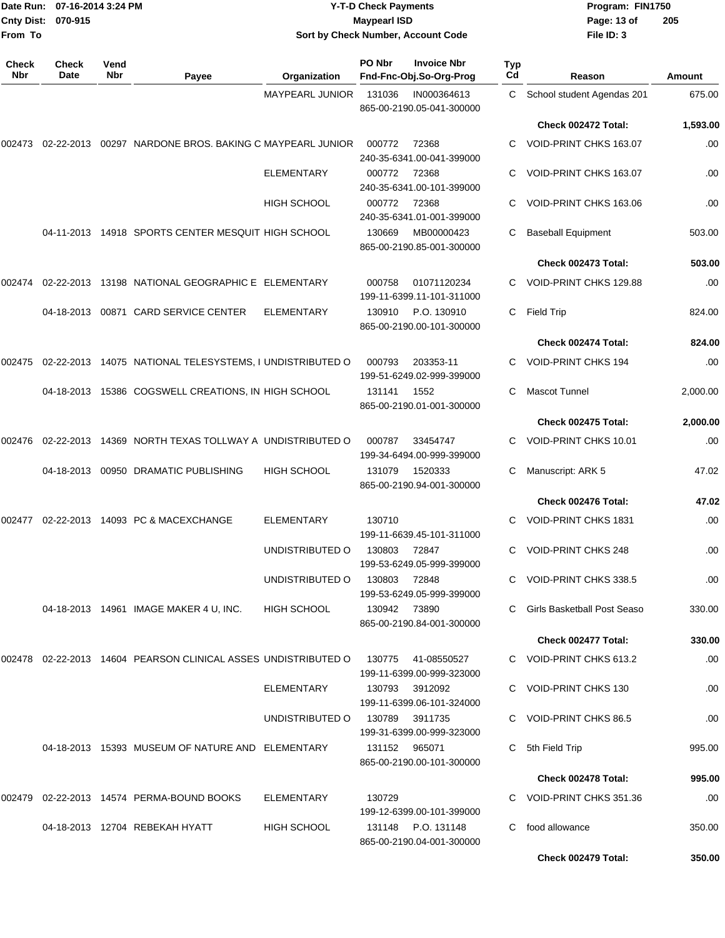| Date Run:<br><b>Cnty Dist:</b><br>From To | 07-16-2014 3:24 PM<br>070-915 |             |                                                                   | <b>Y-T-D Check Payments</b><br><b>Maypearl ISD</b><br>Sort by Check Number, Account Code |               |                                                 |           |                                         | Program: FIN1750<br>205 |  |
|-------------------------------------------|-------------------------------|-------------|-------------------------------------------------------------------|------------------------------------------------------------------------------------------|---------------|-------------------------------------------------|-----------|-----------------------------------------|-------------------------|--|
| <b>Check</b><br>Nbr                       | <b>Check</b><br>Date          | Vend<br>Nbr | Payee                                                             | Organization                                                                             | PO Nbr        | <b>Invoice Nbr</b><br>Fnd-Fnc-Obj.So-Org-Prog   | Typ<br>Cd | Reason                                  | <b>Amount</b>           |  |
|                                           |                               |             |                                                                   | <b>MAYPEARL JUNIOR</b>                                                                   | 131036        | IN000364613<br>865-00-2190.05-041-300000        | C.        | School student Agendas 201              | 675.00                  |  |
|                                           |                               |             |                                                                   |                                                                                          |               |                                                 |           | Check 002472 Total:                     | 1,593.00                |  |
| 002473                                    |                               |             | 02-22-2013  00297  NARDONE BROS. BAKING C MAYPEARL JUNIOR         |                                                                                          | 000772        | 72368<br>240-35-6341.00-041-399000              |           | VOID-PRINT CHKS 163.07                  | .00                     |  |
|                                           |                               |             |                                                                   | <b>ELEMENTARY</b>                                                                        | 000772        | 72368<br>240-35-6341.00-101-399000              |           | VOID-PRINT CHKS 163.07                  | .00                     |  |
|                                           |                               |             |                                                                   | HIGH SCHOOL                                                                              | 000772        | 72368<br>240-35-6341.01-001-399000              |           | VOID-PRINT CHKS 163.06                  | .00                     |  |
|                                           |                               |             | 04-11-2013 14918 SPORTS CENTER MESQUIT HIGH SCHOOL                |                                                                                          | 130669        | MB00000423<br>865-00-2190.85-001-300000         | C         | <b>Baseball Equipment</b>               | 503.00                  |  |
|                                           |                               |             |                                                                   |                                                                                          |               |                                                 |           | Check 002473 Total:                     | 503.00                  |  |
| 002474                                    |                               |             | 02-22-2013 13198 NATIONAL GEOGRAPHIC E ELEMENTARY                 |                                                                                          | 000758        | 01071120234<br>199-11-6399.11-101-311000        |           | VOID-PRINT CHKS 129.88                  | .00                     |  |
|                                           |                               |             | 04-18-2013  00871  CARD SERVICE CENTER                            | ELEMENTARY                                                                               | 130910        | P.O. 130910<br>865-00-2190.00-101-300000        | C         | <b>Field Trip</b>                       | 824.00                  |  |
|                                           |                               |             |                                                                   |                                                                                          |               |                                                 |           | Check 002474 Total:                     | 824.00                  |  |
| 002475                                    |                               |             | 02-22-2013 14075 NATIONAL TELESYSTEMS, I UNDISTRIBUTED O          |                                                                                          | 000793        | 203353-11<br>199-51-6249.02-999-399000          |           | <b>VOID-PRINT CHKS 194</b>              | .00                     |  |
|                                           |                               |             | 04-18-2013 15386 COGSWELL CREATIONS, IN HIGH SCHOOL               |                                                                                          | 131141        | 1552<br>865-00-2190.01-001-300000               | C         | <b>Mascot Tunnel</b>                    | 2,000.00                |  |
|                                           |                               |             |                                                                   |                                                                                          |               |                                                 |           | Check 002475 Total:                     | 2,000.00                |  |
| 002476                                    |                               |             | 02-22-2013 14369 NORTH TEXAS TOLLWAY A UNDISTRIBUTED O            |                                                                                          | 000787        | 33454747<br>199-34-6494.00-999-399000           |           | VOID-PRINT CHKS 10.01                   | .00                     |  |
|                                           |                               |             | 04-18-2013 00950 DRAMATIC PUBLISHING                              | <b>HIGH SCHOOL</b>                                                                       | 131079        | 1520333<br>865-00-2190.94-001-300000            | C         | Manuscript: ARK 5                       | 47.02                   |  |
|                                           |                               |             |                                                                   |                                                                                          |               |                                                 |           | Check 002476 Total:                     | 47.02                   |  |
| 002477                                    |                               |             | 02-22-2013 14093 PC & MACEXCHANGE                                 | <b>ELEMENTARY</b>                                                                        | 130710        | 199-11-6639.45-101-311000                       | C         | <b>VOID-PRINT CHKS 1831</b>             | .00                     |  |
|                                           |                               |             |                                                                   | UNDISTRIBUTED O                                                                          | 130803 72847  | 199-53-6249.05-999-399000                       |           | C VOID-PRINT CHKS 248                   | .00                     |  |
|                                           |                               |             |                                                                   | UNDISTRIBUTED O                                                                          | 130803 72848  | 199-53-6249.05-999-399000                       |           | C VOID-PRINT CHKS 338.5                 | .00                     |  |
|                                           |                               |             | 04-18-2013 14961 IMAGE MAKER 4 U. INC.                            | HIGH SCHOOL                                                                              | 130942 73890  | 865-00-2190.84-001-300000                       |           | C Girls Basketball Post Seaso           | 330.00                  |  |
|                                           |                               |             |                                                                   |                                                                                          |               |                                                 |           | Check 002477 Total:                     | 330.00                  |  |
|                                           |                               |             | 002478  02-22-2013  14604  PEARSON CLINICAL ASSES UNDISTRIBUTED O |                                                                                          | 130775        | 41-08550527<br>199-11-6399.00-999-323000        |           | C VOID-PRINT CHKS 613.2                 | .00.                    |  |
|                                           |                               |             |                                                                   | ELEMENTARY                                                                               | 130793        | 3912092<br>199-11-6399.06-101-324000            |           | C VOID-PRINT CHKS 130                   | .00                     |  |
|                                           |                               |             |                                                                   | UNDISTRIBUTED O                                                                          |               | 130789 3911735<br>199-31-6399.00-999-323000     |           | C VOID-PRINT CHKS 86.5                  | .00                     |  |
|                                           |                               |             | 04-18-2013 15393 MUSEUM OF NATURE AND ELEMENTARY                  |                                                                                          | 131152 965071 | 865-00-2190.00-101-300000                       | C.        | 5th Field Trip                          | 995.00                  |  |
|                                           |                               |             |                                                                   |                                                                                          |               |                                                 |           | Check 002478 Total:                     | 995.00                  |  |
|                                           |                               |             | 002479 02-22-2013 14574 PERMA-BOUND BOOKS                         | ELEMENTARY                                                                               | 130729        | 199-12-6399.00-101-399000                       |           | C VOID-PRINT CHKS 351.36                | .00.                    |  |
|                                           |                               |             | 04-18-2013 12704 REBEKAH HYATT                                    | <b>HIGH SCHOOL</b>                                                                       |               | 131148 P.O. 131148<br>865-00-2190.04-001-300000 |           | C food allowance<br>Check 002479 Total: | 350.00<br>350.00        |  |
|                                           |                               |             |                                                                   |                                                                                          |               |                                                 |           |                                         |                         |  |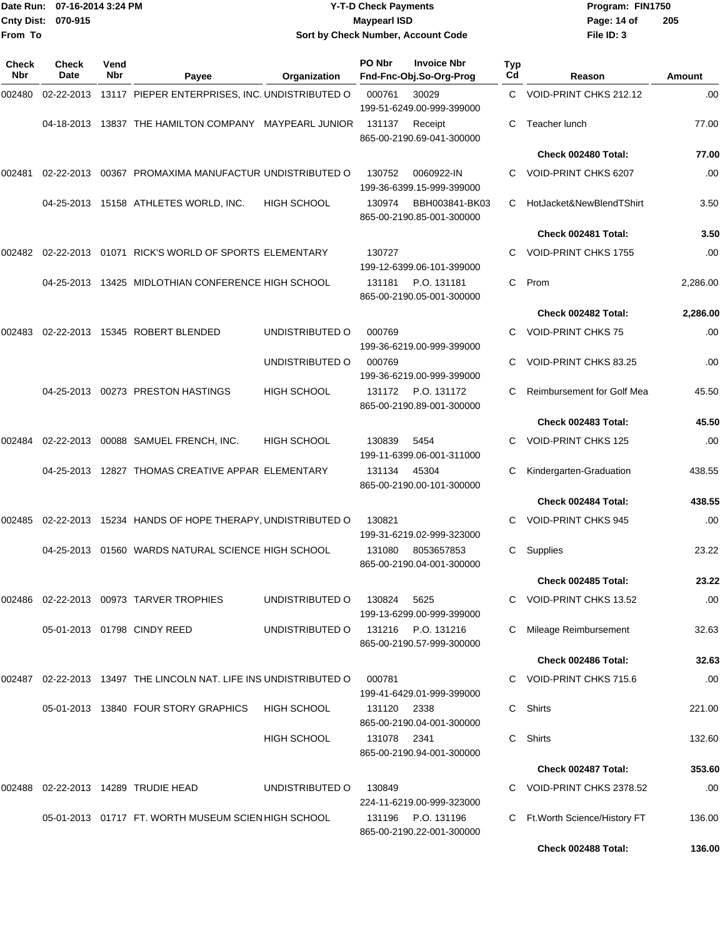|                     | Date Run: 07-16-2014 3:24 PM |             |                                                                   |                                    | <b>Y-T-D Check Payments</b> |                                                 |           | Program: FIN1750                  |          |
|---------------------|------------------------------|-------------|-------------------------------------------------------------------|------------------------------------|-----------------------------|-------------------------------------------------|-----------|-----------------------------------|----------|
|                     | Cnty Dist: 070-915           |             |                                                                   | <b>Maypearl ISD</b>                | Page: 14 of                 | 205                                             |           |                                   |          |
| From To             |                              |             |                                                                   | Sort by Check Number, Account Code | File ID: 3                  |                                                 |           |                                   |          |
| <b>Check</b><br>Nbr | Check<br>Date                | Vend<br>Nbr | Payee                                                             | Organization                       | PO Nbr                      | <b>Invoice Nbr</b><br>Fnd-Fnc-Obj.So-Org-Prog   | Typ<br>Cd | Reason                            | Amount   |
| 002480              | 02-22-2013                   |             | 13117 PIEPER ENTERPRISES, INC. UNDISTRIBUTED O                    |                                    | 000761                      | 30029<br>199-51-6249.00-999-399000              | C.        | VOID-PRINT CHKS 212.12            | .00      |
|                     | 04-18-2013                   |             | 13837 THE HAMILTON COMPANY MAYPEARL JUNIOR                        |                                    | 131137                      | Receipt<br>865-00-2190.69-041-300000            | C.        | Teacher lunch                     | 77.00    |
|                     |                              |             |                                                                   |                                    |                             |                                                 |           | Check 002480 Total:               | 77.00    |
| 002481              | 02-22-2013                   |             | 00367 PROMAXIMA MANUFACTUR UNDISTRIBUTED O                        |                                    | 130752                      | 0060922-IN<br>199-36-6399.15-999-399000         | C         | <b>VOID-PRINT CHKS 6207</b>       | .00      |
|                     |                              |             | 04-25-2013 15158 ATHLETES WORLD, INC.                             | <b>HIGH SCHOOL</b>                 | 130974                      | BBH003841-BK03<br>865-00-2190.85-001-300000     | C.        | HotJacket&NewBlendTShirt          | 3.50     |
|                     |                              |             |                                                                   |                                    |                             |                                                 |           | Check 002481 Total:               | 3.50     |
| 002482              | 02-22-2013                   |             | 01071 RICK'S WORLD OF SPORTS ELEMENTARY                           |                                    | 130727                      | 199-12-6399.06-101-399000                       |           | <b>VOID-PRINT CHKS 1755</b>       | .00      |
|                     |                              |             | 04-25-2013 13425 MIDLOTHIAN CONFERENCE HIGH SCHOOL                |                                    | 131181                      | P.O. 131181<br>865-00-2190.05-001-300000        | C         | Prom                              | 2,286.00 |
|                     |                              |             |                                                                   |                                    |                             |                                                 |           | Check 002482 Total:               | 2,286.00 |
| 002483              |                              |             | 02-22-2013 15345 ROBERT BLENDED                                   | UNDISTRIBUTED O                    | 000769                      | 199-36-6219.00-999-399000                       |           | <b>VOID-PRINT CHKS 75</b>         | .00      |
|                     |                              |             |                                                                   | UNDISTRIBUTED O                    | 000769                      | 199-36-6219.00-999-399000                       | С         | VOID-PRINT CHKS 83.25             | .00      |
|                     |                              |             | 04-25-2013  00273  PRESTON HASTINGS                               | <b>HIGH SCHOOL</b>                 | 131172                      | P.O. 131172<br>865-00-2190.89-001-300000        | С         | <b>Reimbursement for Golf Mea</b> | 45.50    |
|                     |                              |             |                                                                   |                                    |                             |                                                 |           | Check 002483 Total:               | 45.50    |
| 002484              |                              |             | 02-22-2013  00088  SAMUEL FRENCH, INC.                            | <b>HIGH SCHOOL</b>                 | 130839                      | 5454<br>199-11-6399.06-001-311000               | C         | <b>VOID-PRINT CHKS 125</b>        | .00      |
|                     |                              |             | 04-25-2013 12827 THOMAS CREATIVE APPAR ELEMENTARY                 |                                    | 131134                      | 45304<br>865-00-2190.00-101-300000              |           | Kindergarten-Graduation           | 438.55   |
|                     |                              |             |                                                                   |                                    |                             |                                                 |           | Check 002484 Total:               | 438.55   |
|                     |                              |             | 002485 02-22-2013 15234 HANDS OF HOPE THERAPY, UNDISTRIBUTED O    |                                    | 130821                      | 199-31-6219.02-999-323000                       |           | C VOID-PRINT CHKS 945             | .00      |
|                     |                              |             | 04-25-2013  01560  WARDS NATURAL SCIENCE HIGH SCHOOL              |                                    |                             | 131080 8053657853<br>865-00-2190.04-001-300000  |           | C Supplies                        | 23.22    |
|                     |                              |             |                                                                   |                                    |                             |                                                 |           | Check 002485 Total:               | 23.22    |
|                     |                              |             | 002486 02-22-2013 00973 TARVER TROPHIES                           | UNDISTRIBUTED O                    | 130824                      | 5625<br>199-13-6299.00-999-399000               |           | C VOID-PRINT CHKS 13.52           | .00      |
|                     |                              |             | 05-01-2013  01798  CINDY REED                                     | UNDISTRIBUTED O                    |                             | 131216 P.O. 131216<br>865-00-2190.57-999-300000 |           | C Mileage Reimbursement           | 32.63    |
|                     |                              |             |                                                                   |                                    |                             |                                                 |           | Check 002486 Total:               | 32.63    |
|                     |                              |             | 002487 02-22-2013 13497 THE LINCOLN NAT. LIFE INS UNDISTRIBUTED O |                                    | 000781                      | 199-41-6429.01-999-399000                       |           | C VOID-PRINT CHKS 715.6           | .00      |
|                     |                              |             | 05-01-2013 13840 FOUR STORY GRAPHICS                              | <b>HIGH SCHOOL</b>                 | 131120 2338                 | 865-00-2190.04-001-300000                       |           | C Shirts                          | 221.00   |
|                     |                              |             |                                                                   | <b>HIGH SCHOOL</b>                 | 131078 2341                 | 865-00-2190.94-001-300000                       | C.        | Shirts                            | 132.60   |
|                     |                              |             |                                                                   |                                    |                             |                                                 |           | Check 002487 Total:               | 353.60   |
|                     |                              |             | 002488 02-22-2013 14289 TRUDIE HEAD                               | UNDISTRIBUTED O                    | 130849                      | 224-11-6219.00-999-323000                       |           | C VOID-PRINT CHKS 2378.52         | .00      |
|                     |                              |             | 05-01-2013 01717 FT. WORTH MUSEUM SCIEN HIGH SCHOOL               |                                    |                             | 131196 P.O. 131196                              |           | C Ft. Worth Science/History FT    | 136.00   |

865-00-2190.22-001-300000

**Check 002488 Total: 136.00**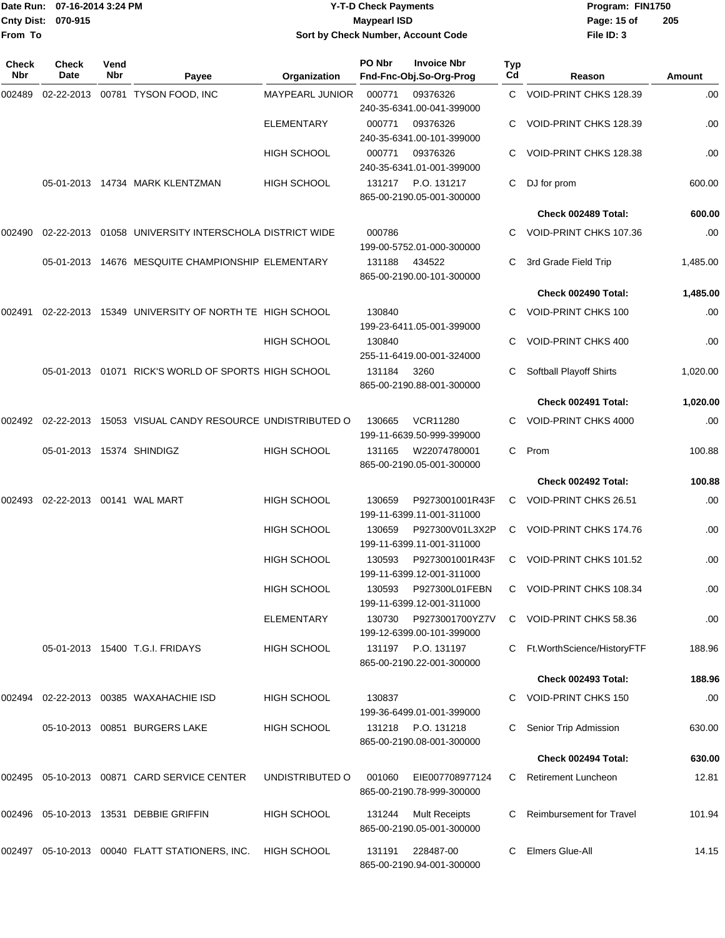## Date Run: 07-16-2014 3:24 PM **Program:** FIN1750 **Cnty Dist:** 070-915 **Page: 15 of MaypearI ISD Page: 15 of Y-T-D Check Payments 070-915 Maypearl ISD Sort by Check Number, Account Code**

| Check<br><b>Nbr</b> | <b>Check</b><br>Date      | Vend<br>Nbr | Payee                                                   | Organization           | PO Nbr | <b>Invoice Nbr</b><br>Fnd-Fnc-Obj.So-Org-Prog     | <b>Typ</b><br>Cd | Reason                          | Amount   |
|---------------------|---------------------------|-------------|---------------------------------------------------------|------------------------|--------|---------------------------------------------------|------------------|---------------------------------|----------|
| 002489              |                           |             | 02-22-2013  00781  TYSON FOOD, INC                      | <b>MAYPEARL JUNIOR</b> | 000771 | 09376326<br>240-35-6341.00-041-399000             | C                | VOID-PRINT CHKS 128.39          | .00      |
|                     |                           |             |                                                         | <b>ELEMENTARY</b>      | 000771 | 09376326<br>240-35-6341.00-101-399000             | С                | VOID-PRINT CHKS 128.39          | .00      |
|                     |                           |             |                                                         | <b>HIGH SCHOOL</b>     | 000771 | 09376326<br>240-35-6341.01-001-399000             | С                | VOID-PRINT CHKS 128.38          | .00      |
|                     |                           |             | 05-01-2013  14734  MARK KLENTZMAN                       | <b>HIGH SCHOOL</b>     | 131217 | P.O. 131217<br>865-00-2190.05-001-300000          | C                | DJ for prom                     | 600.00   |
|                     |                           |             |                                                         |                        |        |                                                   |                  | Check 002489 Total:             | 600.00   |
| 002490              |                           |             | 02-22-2013  01058  UNIVERSITY INTERSCHOLA DISTRICT WIDE |                        | 000786 | 199-00-5752.01-000-300000                         |                  | VOID-PRINT CHKS 107.36          | .00      |
|                     |                           |             | 05-01-2013 14676 MESQUITE CHAMPIONSHIP ELEMENTARY       |                        | 131188 | 434522<br>865-00-2190.00-101-300000               | С                | 3rd Grade Field Trip            | 1,485.00 |
|                     |                           |             |                                                         |                        |        |                                                   |                  | Check 002490 Total:             | 1,485.00 |
| 002491              |                           |             | 02-22-2013 15349 UNIVERSITY OF NORTH TE HIGH SCHOOL     |                        | 130840 | 199-23-6411.05-001-399000                         | C                | <b>VOID-PRINT CHKS 100</b>      | .00      |
|                     |                           |             |                                                         | <b>HIGH SCHOOL</b>     | 130840 | 255-11-6419.00-001-324000                         | С                | VOID-PRINT CHKS 400             | .00      |
|                     |                           |             | 05-01-2013  01071  RICK'S WORLD OF SPORTS HIGH SCHOOL   |                        | 131184 | 3260<br>865-00-2190.88-001-300000                 | С                | Softball Playoff Shirts         | 1,020.00 |
|                     |                           |             |                                                         |                        |        |                                                   |                  | Check 002491 Total:             | 1,020.00 |
| 002492              |                           |             | 02-22-2013 15053 VISUAL CANDY RESOURCE UNDISTRIBUTED O  |                        | 130665 | <b>VCR11280</b><br>199-11-6639.50-999-399000      |                  | VOID-PRINT CHKS 4000            | .00      |
|                     | 05-01-2013 15374 SHINDIGZ |             |                                                         | <b>HIGH SCHOOL</b>     | 131165 | W22074780001<br>865-00-2190.05-001-300000         | С                | Prom                            | 100.88   |
|                     |                           |             |                                                         |                        |        |                                                   |                  | Check 002492 Total:             | 100.88   |
| 002493              |                           |             | 02-22-2013  00141  WAL MART                             | <b>HIGH SCHOOL</b>     | 130659 | P9273001001R43F<br>199-11-6399.11-001-311000      | C                | VOID-PRINT CHKS 26.51           | .00      |
|                     |                           |             |                                                         | <b>HIGH SCHOOL</b>     | 130659 | P927300V01L3X2P<br>199-11-6399.11-001-311000      | C                | VOID-PRINT CHKS 174.76          | .00      |
|                     |                           |             |                                                         | <b>HIGH SCHOOL</b>     | 130593 | P9273001001R43F<br>199-11-6399.12-001-311000      | C                | VOID-PRINT CHKS 101.52          | .00      |
|                     |                           |             |                                                         | <b>HIGH SCHOOL</b>     | 130593 | P927300L01FEBN<br>199-11-6399.12-001-311000       |                  | VOID-PRINT CHKS 108.34          | .00      |
|                     |                           |             |                                                         | <b>ELEMENTARY</b>      | 130730 | P9273001700YZ7V<br>199-12-6399.00-101-399000      |                  | C VOID-PRINT CHKS 58.36         | .00      |
|                     |                           |             | 05-01-2013 15400 T.G.I. FRIDAYS                         | <b>HIGH SCHOOL</b>     | 131197 | P.O. 131197<br>865-00-2190.22-001-300000          |                  | Ft.WorthScience/HistoryFTF      | 188.96   |
|                     |                           |             |                                                         |                        |        |                                                   |                  | Check 002493 Total:             | 188.96   |
|                     |                           |             | 002494 02-22-2013 00385 WAXAHACHIE ISD                  | <b>HIGH SCHOOL</b>     | 130837 | 199-36-6499.01-001-399000                         |                  | <b>VOID-PRINT CHKS 150</b>      | .00      |
|                     |                           |             | 05-10-2013 00851 BURGERS LAKE                           | <b>HIGH SCHOOL</b>     |        | 131218 P.O. 131218<br>865-00-2190.08-001-300000   |                  | Senior Trip Admission           | 630.00   |
|                     |                           |             |                                                         |                        |        |                                                   |                  | Check 002494 Total:             | 630.00   |
| 002495              |                           |             | 05-10-2013 00871 CARD SERVICE CENTER                    | UNDISTRIBUTED O        | 001060 | EIE007708977124<br>865-00-2190.78-999-300000      | C.               | <b>Retirement Luncheon</b>      | 12.81    |
|                     |                           |             | 002496 05-10-2013 13531 DEBBIE GRIFFIN                  | <b>HIGH SCHOOL</b>     | 131244 | <b>Mult Receipts</b><br>865-00-2190.05-001-300000 |                  | <b>Reimbursement for Travel</b> | 101.94   |
|                     |                           |             | 002497  05-10-2013  00040  FLATT STATIONERS, INC.       | HIGH SCHOOL            | 131191 | 228487-00<br>865-00-2190.94-001-300000            |                  | Elmers Glue-All                 | 14.15    |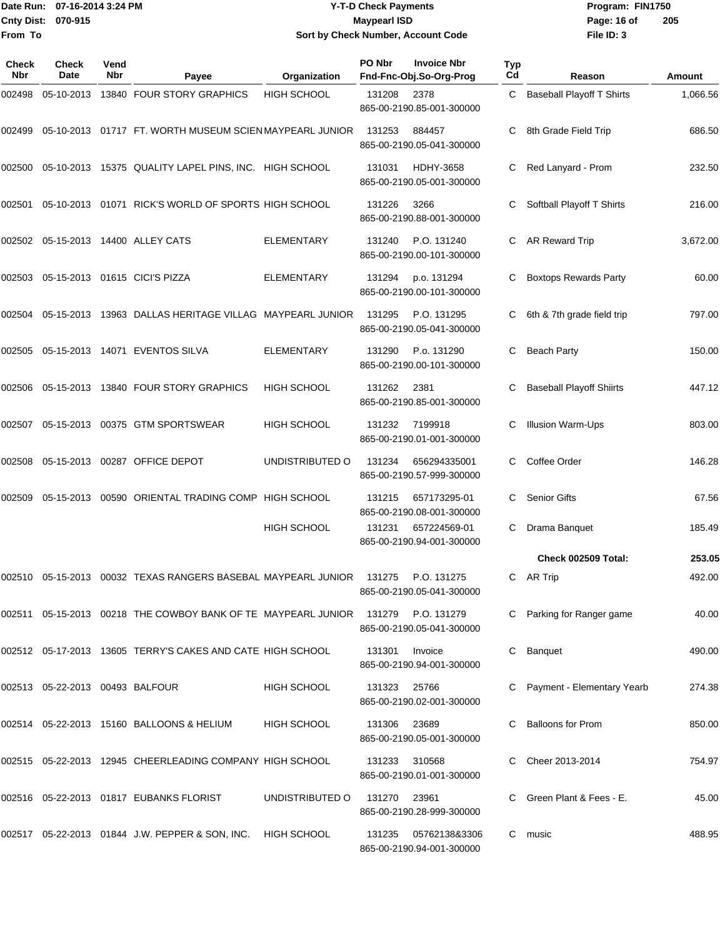## Date Run: 07-16-2014 3:24 PM **Program:** FIN1750 **Cnty Dist:** 070-915 **Page: 16 of** Maypearl ISD **Contract ISD Y-T-D Check Payments 070-915 Maypearl ISD Sort by Check Number, Account Code**

| <b>Check</b><br>Nbr | <b>Check</b><br>Date            | Vend<br><b>Nbr</b> | Payee                                                                            | Organization       | PO Nbr | <b>Invoice Nbr</b><br>Fnd-Fnc-Obj.So-Org-Prog | <b>Typ</b><br>Cd | Reason                           | Amount   |
|---------------------|---------------------------------|--------------------|----------------------------------------------------------------------------------|--------------------|--------|-----------------------------------------------|------------------|----------------------------------|----------|
| 002498              | 05-10-2013                      |                    | 13840 FOUR STORY GRAPHICS                                                        | <b>HIGH SCHOOL</b> | 131208 | 2378<br>865-00-2190.85-001-300000             | C                | <b>Baseball Playoff T Shirts</b> | 1,066.56 |
| 002499              |                                 |                    | 05-10-2013  01717  FT. WORTH MUSEUM SCIEN MAYPEARL JUNIOR                        |                    | 131253 | 884457<br>865-00-2190.05-041-300000           | С                | 8th Grade Field Trip             | 686.50   |
| 002500              |                                 |                    | 05-10-2013 15375 QUALITY LAPEL PINS, INC. HIGH SCHOOL                            |                    | 131031 | <b>HDHY-3658</b><br>865-00-2190.05-001-300000 | C                | Red Lanyard - Prom               | 232.50   |
| 002501              |                                 |                    | 05-10-2013  01071  RICK'S WORLD OF SPORTS HIGH SCHOOL                            |                    | 131226 | 3266<br>865-00-2190.88-001-300000             |                  | Softball Playoff T Shirts        | 216.00   |
| 002502              |                                 |                    | 05-15-2013 14400 ALLEY CATS                                                      | <b>ELEMENTARY</b>  | 131240 | P.O. 131240<br>865-00-2190.00-101-300000      | C.               | AR Reward Trip                   | 3,672.00 |
| 002503              |                                 |                    | 05-15-2013 01615 CICI'S PIZZA                                                    | <b>ELEMENTARY</b>  | 131294 | p.o. 131294<br>865-00-2190.00-101-300000      | С                | <b>Boxtops Rewards Party</b>     | 60.00    |
| 002504              | 05-15-2013                      |                    | 13963 DALLAS HERITAGE VILLAG MAYPEARL JUNIOR                                     |                    | 131295 | P.O. 131295<br>865-00-2190.05-041-300000      | С                | 6th & 7th grade field trip       | 797.00   |
| 002505              |                                 |                    | 05-15-2013  14071  EVENTOS SILVA                                                 | <b>ELEMENTARY</b>  | 131290 | P.o. 131290<br>865-00-2190.00-101-300000      | С                | <b>Beach Party</b>               | 150.00   |
| 002506              |                                 |                    | 05-15-2013 13840 FOUR STORY GRAPHICS                                             | <b>HIGH SCHOOL</b> | 131262 | 2381<br>865-00-2190.85-001-300000             | С                | <b>Baseball Playoff Shiirts</b>  | 447.12   |
| 002507              | 05-15-2013                      |                    | 00375 GTM SPORTSWEAR                                                             | <b>HIGH SCHOOL</b> | 131232 | 7199918<br>865-00-2190.01-001-300000          | C                | <b>Illusion Warm-Ups</b>         | 803.00   |
| 002508              |                                 |                    | 05-15-2013 00287 OFFICE DEPOT                                                    | UNDISTRIBUTED O    | 131234 | 656294335001<br>865-00-2190.57-999-300000     | C                | Coffee Order                     | 146.28   |
| 002509              |                                 |                    | 05-15-2013 00590 ORIENTAL TRADING COMP HIGH SCHOOL                               |                    | 131215 | 657173295-01<br>865-00-2190.08-001-300000     | C                | <b>Senior Gifts</b>              | 67.56    |
|                     |                                 |                    |                                                                                  | <b>HIGH SCHOOL</b> | 131231 | 657224569-01<br>865-00-2190.94-001-300000     | C                | Drama Banquet                    | 185.49   |
|                     |                                 |                    |                                                                                  |                    |        |                                               |                  | Check 002509 Total:              | 253.05   |
| 002510              | 05-15-2013                      |                    | 00032 TEXAS RANGERS BASEBAL MAYPEARL JUNIOR                                      |                    | 131275 | P.O. 131275<br>865-00-2190.05-041-300000      |                  | C AR Trip                        | 492.00   |
|                     |                                 |                    | 002511 05-15-2013 00218 THE COWBOY BANK OF TE MAYPEARL JUNIOR 131279 P.O. 131279 |                    |        | 865-00-2190.05-041-300000                     |                  | C Parking for Ranger game        | 40.00    |
|                     |                                 |                    | 002512 05-17-2013 13605 TERRY'S CAKES AND CATE HIGH SCHOOL                       |                    | 131301 | Invoice<br>865-00-2190.94-001-300000          |                  | Banquet                          | 490.00   |
|                     | 002513 05-22-2013 00493 BALFOUR |                    |                                                                                  | HIGH SCHOOL        | 131323 | 25766<br>865-00-2190.02-001-300000            |                  | C Payment - Elementary Yearb     | 274.38   |
|                     |                                 |                    | 002514 05-22-2013 15160 BALLOONS & HELIUM                                        | <b>HIGH SCHOOL</b> | 131306 | 23689<br>865-00-2190.05-001-300000            |                  | C Balloons for Prom              | 850.00   |
|                     |                                 |                    | 002515 05-22-2013 12945 CHEERLEADING COMPANY HIGH SCHOOL                         |                    | 131233 | 310568<br>865-00-2190.01-001-300000           |                  | Cheer 2013-2014                  | 754.97   |
|                     |                                 |                    | 002516 05-22-2013 01817 EUBANKS FLORIST                                          | UNDISTRIBUTED O    | 131270 | 23961<br>865-00-2190.28-999-300000            |                  | C Green Plant & Fees - E.        | 45.00    |
|                     |                                 |                    | 002517 05-22-2013 01844 J.W. PEPPER & SON, INC. HIGH SCHOOL                      |                    | 131235 | 05762138&3306<br>865-00-2190.94-001-300000    | C.               | music                            | 488.95   |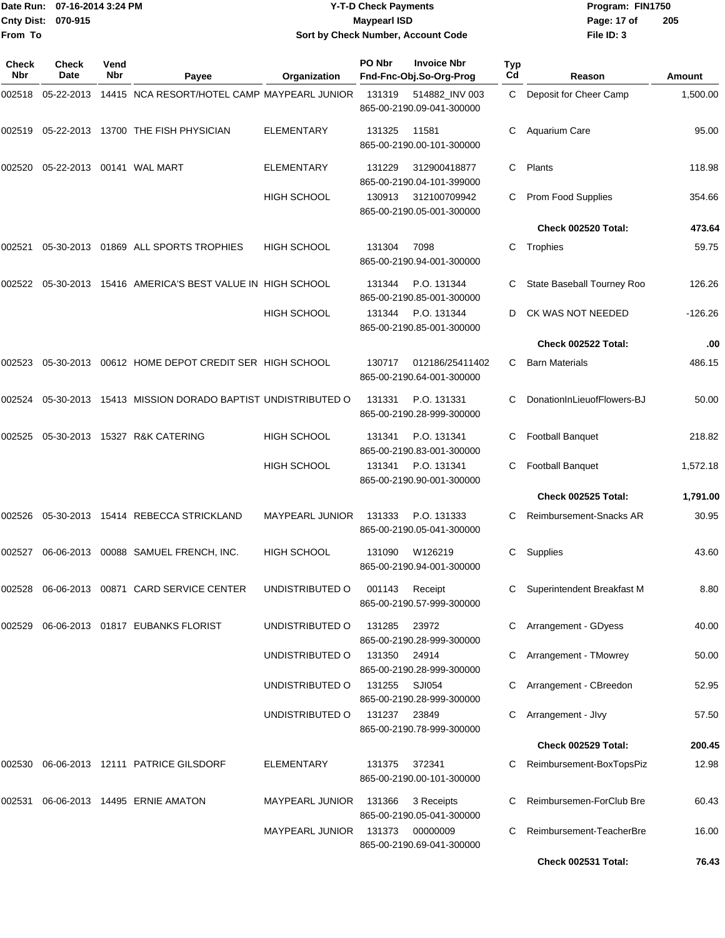|                    | Date Run: 07-16-2014 3:24 PM |
|--------------------|------------------------------|
| Cnty Dist: 070-915 |                              |
| From To            |                              |

## **Date Run: Program: FIN1750 07-16-2014 3:24 PM Y-T-D Check Payments Cnty Dist: Page: 17 of 070-915 Maypearl ISD Sort by Check Number, Account Code**

| Check<br><b>Nbr</b> | <b>Check</b><br>Date | Vend<br><b>Nbr</b> | Payee                                                   | Organization           | PO Nbr        | <b>Invoice Nbr</b><br>Fnd-Fnc-Obj.So-Org-Prog | <b>Typ</b><br>Cd | Reason                       | Amount    |
|---------------------|----------------------|--------------------|---------------------------------------------------------|------------------------|---------------|-----------------------------------------------|------------------|------------------------------|-----------|
| 002518              |                      |                    | 05-22-2013 14415 NCA RESORT/HOTEL CAMP MAYPEARL JUNIOR  |                        | 131319        | 514882_INV 003<br>865-00-2190.09-041-300000   | C.               | Deposit for Cheer Camp       | 1,500.00  |
| 002519              |                      |                    | 05-22-2013 13700 THE FISH PHYSICIAN                     | <b>ELEMENTARY</b>      | 131325        | 11581<br>865-00-2190.00-101-300000            | C.               | Aquarium Care                | 95.00     |
| 002520              |                      |                    | 05-22-2013  00141  WAL MART                             | <b>ELEMENTARY</b>      | 131229        | 312900418877<br>865-00-2190.04-101-399000     | C                | Plants                       | 118.98    |
|                     |                      |                    |                                                         | <b>HIGH SCHOOL</b>     | 130913        | 312100709942<br>865-00-2190.05-001-300000     | C.               | Prom Food Supplies           | 354.66    |
|                     |                      |                    |                                                         |                        |               |                                               |                  | Check 002520 Total:          | 473.64    |
| 002521              |                      |                    | 05-30-2013 01869 ALL SPORTS TROPHIES                    | <b>HIGH SCHOOL</b>     | 131304        | 7098<br>865-00-2190.94-001-300000             | C.               | Trophies                     | 59.75     |
| 002522              |                      |                    | 05-30-2013 15416 AMERICA'S BEST VALUE IN HIGH SCHOOL    |                        | 131344        | P.O. 131344<br>865-00-2190.85-001-300000      | С                | State Baseball Tourney Roo   | 126.26    |
|                     |                      |                    |                                                         | <b>HIGH SCHOOL</b>     | 131344        | P.O. 131344<br>865-00-2190.85-001-300000      | D                | CK WAS NOT NEEDED            | $-126.26$ |
|                     |                      |                    |                                                         |                        |               |                                               |                  | Check 002522 Total:          | .00       |
| 002523              |                      |                    | 05-30-2013 00612 HOME DEPOT CREDIT SER HIGH SCHOOL      |                        | 130717        | 012186/25411402<br>865-00-2190.64-001-300000  | C                | <b>Barn Materials</b>        | 486.15    |
| 002524              |                      |                    | 05-30-2013 15413 MISSION DORADO BAPTIST UNDISTRIBUTED O |                        | 131331        | P.O. 131331<br>865-00-2190.28-999-300000      | С                | DonationInLieuofFlowers-BJ   | 50.00     |
| 002525              |                      |                    | 05-30-2013 15327 R&K CATERING                           | <b>HIGH SCHOOL</b>     | 131341        | P.O. 131341<br>865-00-2190.83-001-300000      |                  | <b>Football Banquet</b>      | 218.82    |
|                     |                      |                    |                                                         | HIGH SCHOOL            | 131341        | P.O. 131341<br>865-00-2190.90-001-300000      | С                | <b>Football Banquet</b>      | 1,572.18  |
|                     |                      |                    |                                                         |                        |               |                                               |                  | Check 002525 Total:          | 1,791.00  |
| 002526              |                      |                    | 05-30-2013 15414 REBECCA STRICKLAND                     | MAYPEARL JUNIOR        | 131333        | P.O. 131333<br>865-00-2190.05-041-300000      | С                | Reimbursement-Snacks AR      | 30.95     |
| 002527              |                      |                    | 06-06-2013  00088  SAMUEL FRENCH, INC.                  | <b>HIGH SCHOOL</b>     | 131090        | W126219<br>865-00-2190.94-001-300000          | С                | Supplies                     | 43.60     |
|                     |                      |                    | 002528 06-06-2013 00871 CARD SERVICE CENTER             | UNDISTRIBUTED O        | 001143        | Receipt<br>865-00-2190.57-999-300000          |                  | C Superintendent Breakfast M | 8.80      |
|                     |                      |                    | 002529 06-06-2013 01817 EUBANKS FLORIST                 | UNDISTRIBUTED O        | 131285        | 23972<br>865-00-2190.28-999-300000            |                  | C Arrangement - GDyess       | 40.00     |
|                     |                      |                    |                                                         | UNDISTRIBUTED O        | 131350 24914  | 865-00-2190.28-999-300000                     |                  | Arrangement - TMowrey        | 50.00     |
|                     |                      |                    |                                                         | UNDISTRIBUTED O        | 131255 SJI054 | 865-00-2190.28-999-300000                     |                  | C Arrangement - CBreedon     | 52.95     |
|                     |                      |                    |                                                         | UNDISTRIBUTED O        | 131237 23849  | 865-00-2190.78-999-300000                     |                  | C Arrangement - Jlvy         | 57.50     |
|                     |                      |                    |                                                         |                        |               |                                               |                  | Check 002529 Total:          | 200.45    |
| 002530              |                      |                    | 06-06-2013 12111 PATRICE GILSDORF                       | <b>ELEMENTARY</b>      | 131375        | 372341<br>865-00-2190.00-101-300000           |                  | C Reimbursement-BoxTopsPiz   | 12.98     |
| 002531              |                      |                    | 06-06-2013 14495 ERNIE AMATON                           | MAYPEARL JUNIOR        | 131366        | 3 Receipts<br>865-00-2190.05-041-300000       |                  | Reimbursemen-ForClub Bre     | 60.43     |
|                     |                      |                    |                                                         | <b>MAYPEARL JUNIOR</b> | 131373        | 00000009<br>865-00-2190.69-041-300000         |                  | Reimbursement-TeacherBre     | 16.00     |
|                     |                      |                    |                                                         |                        |               |                                               |                  | <b>Check 002531 Total:</b>   | 76.43     |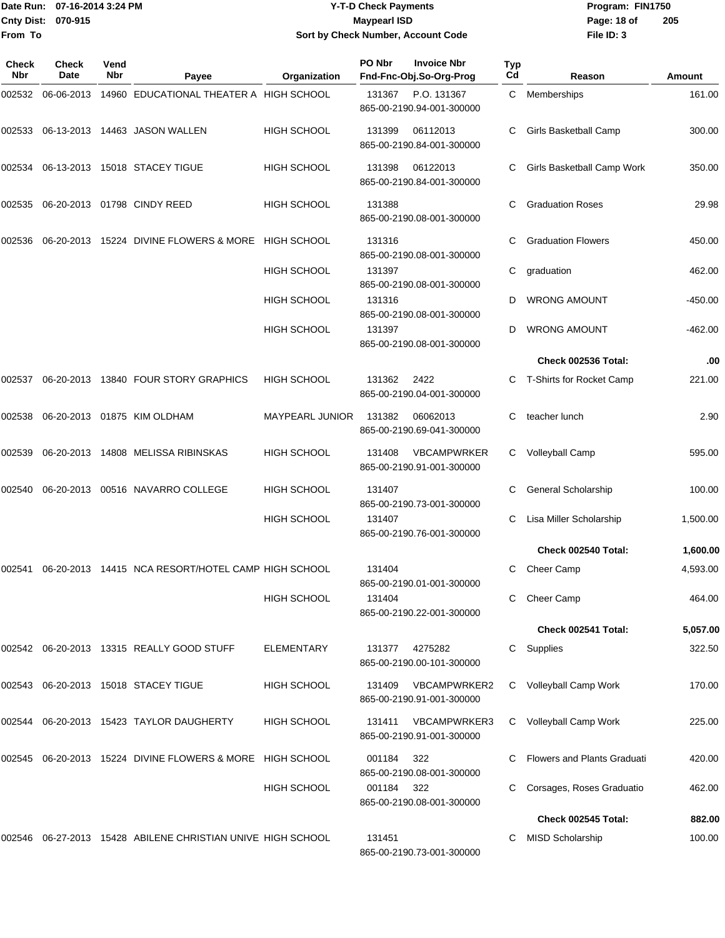|                     | ■Date Run: 07-16-2014 3:24 PM | <b>Y-T-D Check Payments</b>        | Program: I  |
|---------------------|-------------------------------|------------------------------------|-------------|
| 1Cntv Dist: 070-915 |                               | Maypearl ISD                       | Page: 18 of |
| From To             |                               | Sort by Check Number, Account Code | File ID: 3  |

## **0** Payments **Sort by Check Number, Account Code**

**Date Run: Program: FIN1750 File ID: 3 205**

| <b>Check</b><br><b>Nbr</b> | Check<br>Date | Vend<br>Nbr | Payee                                                          | Organization       | PO Nbr | <b>Invoice Nbr</b><br>Fnd-Fnc-Obj.So-Org-Prog    | Typ<br>Cd | Reason                        | Amount   |
|----------------------------|---------------|-------------|----------------------------------------------------------------|--------------------|--------|--------------------------------------------------|-----------|-------------------------------|----------|
| 002532                     | 06-06-2013    |             | 14960 EDUCATIONAL THEATER A HIGH SCHOOL                        |                    | 131367 | P.O. 131367<br>865-00-2190.94-001-300000         | C.        | Memberships                   | 161.00   |
| 002533                     |               |             | 06-13-2013  14463  JASON WALLEN                                | <b>HIGH SCHOOL</b> | 131399 | 06112013<br>865-00-2190.84-001-300000            |           | Girls Basketball Camp         | 300.00   |
| 002534                     |               |             | 06-13-2013 15018 STACEY TIGUE                                  | <b>HIGH SCHOOL</b> | 131398 | 06122013<br>865-00-2190.84-001-300000            |           | Girls Basketball Camp Work    | 350.00   |
| 002535                     |               |             | 06-20-2013 01798 CINDY REED                                    | <b>HIGH SCHOOL</b> | 131388 | 865-00-2190.08-001-300000                        | C         | <b>Graduation Roses</b>       | 29.98    |
| 002536                     |               |             | 06-20-2013 15224 DIVINE FLOWERS & MORE HIGH SCHOOL             |                    | 131316 | 865-00-2190.08-001-300000                        |           | <b>Graduation Flowers</b>     | 450.00   |
|                            |               |             |                                                                | <b>HIGH SCHOOL</b> | 131397 | 865-00-2190.08-001-300000                        | С         | graduation                    | 462.00   |
|                            |               |             |                                                                | <b>HIGH SCHOOL</b> | 131316 | 865-00-2190.08-001-300000                        | D         | <b>WRONG AMOUNT</b>           | -450.00  |
|                            |               |             |                                                                | <b>HIGH SCHOOL</b> | 131397 | 865-00-2190.08-001-300000                        | D         | <b>WRONG AMOUNT</b>           | -462.00  |
|                            |               |             |                                                                |                    |        |                                                  |           | Check 002536 Total:           | .00      |
| 002537                     |               |             | 06-20-2013 13840 FOUR STORY GRAPHICS                           | <b>HIGH SCHOOL</b> | 131362 | 2422<br>865-00-2190.04-001-300000                |           | T-Shirts for Rocket Camp      | 221.00   |
| 002538                     |               |             | 06-20-2013 01875 KIM OLDHAM                                    | MAYPEARL JUNIOR    | 131382 | 06062013<br>865-00-2190.69-041-300000            | С         | teacher lunch                 | 2.90     |
| 002539                     |               |             | 06-20-2013 14808 MELISSA RIBINSKAS                             | <b>HIGH SCHOOL</b> | 131408 | <b>VBCAMPWRKER</b><br>865-00-2190.91-001-300000  | C         | Volleyball Camp               | 595.00   |
| 002540                     |               |             | 06-20-2013 00516 NAVARRO COLLEGE                               | <b>HIGH SCHOOL</b> | 131407 | 865-00-2190.73-001-300000                        |           | <b>General Scholarship</b>    | 100.00   |
|                            |               |             |                                                                | <b>HIGH SCHOOL</b> | 131407 | 865-00-2190.76-001-300000                        | С         | Lisa Miller Scholarship       | 1,500.00 |
|                            |               |             |                                                                |                    |        |                                                  |           | Check 002540 Total:           | 1,600.00 |
| 002541                     |               |             | 06-20-2013 14415 NCA RESORT/HOTEL CAMP HIGH SCHOOL             |                    | 131404 | 865-00-2190.01-001-300000                        | C         | Cheer Camp                    | 4,593.00 |
|                            |               |             |                                                                | <b>HIGH SCHOOL</b> | 131404 | 865-00-2190.22-001-300000                        |           | Cheer Camp                    | 464.00   |
|                            |               |             |                                                                |                    |        |                                                  |           | Check 002541 Total:           | 5,057.00 |
|                            |               |             | 002542 06-20-2013 13315 REALLY GOOD STUFF                      | ELEMENTARY         | 131377 | 4275282<br>865-00-2190.00-101-300000             | C         | Supplies                      | 322.50   |
|                            |               |             | 002543 06-20-2013 15018 STACEY TIGUE                           | <b>HIGH SCHOOL</b> | 131409 | <b>VBCAMPWRKER2</b><br>865-00-2190.91-001-300000 | C.        | Volleyball Camp Work          | 170.00   |
| 002544                     |               |             | 06-20-2013 15423 TAYLOR DAUGHERTY                              | <b>HIGH SCHOOL</b> | 131411 | <b>VBCAMPWRKER3</b><br>865-00-2190.91-001-300000 |           | C Volleyball Camp Work        | 225.00   |
|                            |               |             | 002545 06-20-2013 15224 DIVINE FLOWERS & MORE HIGH SCHOOL      |                    | 001184 | 322<br>865-00-2190.08-001-300000                 |           | C Flowers and Plants Graduati | 420.00   |
|                            |               |             |                                                                | <b>HIGH SCHOOL</b> | 001184 | 322<br>865-00-2190.08-001-300000                 |           | Corsages, Roses Graduatio     | 462.00   |
|                            |               |             |                                                                |                    |        |                                                  |           | Check 002545 Total:           | 882.00   |
|                            |               |             | 002546  06-27-2013  15428  ABILENE CHRISTIAN UNIVE HIGH SCHOOL |                    | 131451 | 865-00-2190.73-001-300000                        |           | <b>MISD Scholarship</b>       | 100.00   |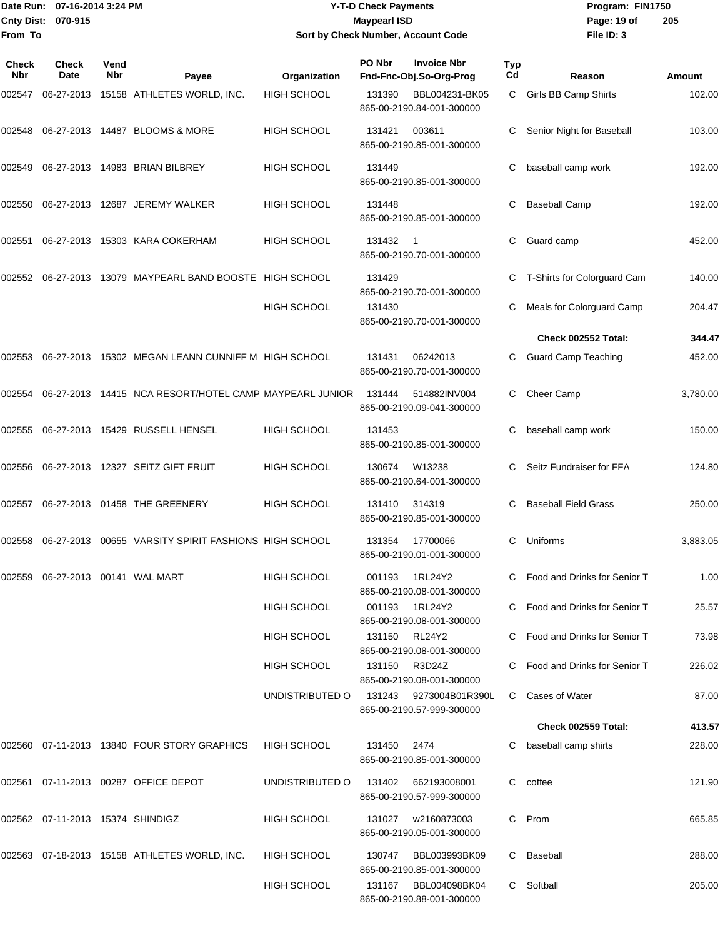## Date Run: 07-16-2014 3:24 PM **Program:** FIN1750 **Cnty Dist:** 070-915 **Page: 19 of** Maypearl ISD **CONTEX 19 of** Maypearl ISD **Page: 19 of Y-T-D Check Payments 070-915 Maypearl ISD Sort by Check Number, Account Code**

| Check<br><b>Nbr</b> | <b>Check</b><br>Date             | Vend<br>Nbr | Payee                                                  | Organization       | PO Nbr        | <b>Invoice Nbr</b><br>Fnd-Fnc-Obj.So-Org-Prog | Typ<br>Cd | Reason                         | Amount   |
|---------------------|----------------------------------|-------------|--------------------------------------------------------|--------------------|---------------|-----------------------------------------------|-----------|--------------------------------|----------|
| 002547              |                                  |             | 06-27-2013 15158 ATHLETES WORLD, INC.                  | <b>HIGH SCHOOL</b> | 131390        | BBL004231-BK05<br>865-00-2190.84-001-300000   |           | C Girls BB Camp Shirts         | 102.00   |
| 002548              |                                  |             | 06-27-2013 14487 BLOOMS & MORE                         | <b>HIGH SCHOOL</b> | 131421        | 003611<br>865-00-2190.85-001-300000           | C         | Senior Night for Baseball      | 103.00   |
| 002549              |                                  |             | 06-27-2013 14983 BRIAN BILBREY                         | <b>HIGH SCHOOL</b> | 131449        | 865-00-2190.85-001-300000                     | С         | baseball camp work             | 192.00   |
| 002550              |                                  |             | 06-27-2013 12687 JEREMY WALKER                         | HIGH SCHOOL        | 131448        | 865-00-2190.85-001-300000                     | С         | <b>Baseball Camp</b>           | 192.00   |
| 002551              |                                  |             | 06-27-2013 15303 KARA COKERHAM                         | <b>HIGH SCHOOL</b> | 131432        | - 1<br>865-00-2190.70-001-300000              | С         | Guard camp                     | 452.00   |
| 002552              |                                  |             | 06-27-2013 13079 MAYPEARL BAND BOOSTE HIGH SCHOOL      |                    | 131429        | 865-00-2190.70-001-300000                     | C         | T-Shirts for Colorguard Cam    | 140.00   |
|                     |                                  |             |                                                        | <b>HIGH SCHOOL</b> | 131430        | 865-00-2190.70-001-300000                     |           | Meals for Colorguard Camp      | 204.47   |
|                     |                                  |             |                                                        |                    |               |                                               |           | Check 002552 Total:            | 344.47   |
| 002553              |                                  |             | 06-27-2013 15302 MEGAN LEANN CUNNIFF M HIGH SCHOOL     |                    | 131431        | 06242013<br>865-00-2190.70-001-300000         |           | <b>Guard Camp Teaching</b>     | 452.00   |
| 002554              |                                  |             | 06-27-2013 14415 NCA RESORT/HOTEL CAMP MAYPEARL JUNIOR |                    | 131444        | 514882INV004<br>865-00-2190.09-041-300000     | C         | Cheer Camp                     | 3,780.00 |
| 002555              |                                  |             | 06-27-2013 15429 RUSSELL HENSEL                        | <b>HIGH SCHOOL</b> | 131453        | 865-00-2190.85-001-300000                     | С         | baseball camp work             | 150.00   |
| 002556              |                                  |             | 06-27-2013 12327 SEITZ GIFT FRUIT                      | HIGH SCHOOL        | 130674        | W13238<br>865-00-2190.64-001-300000           | C         | Seitz Fundraiser for FFA       | 124.80   |
| 002557              |                                  |             | 06-27-2013 01458 THE GREENERY                          | <b>HIGH SCHOOL</b> | 131410        | 314319<br>865-00-2190.85-001-300000           | C.        | <b>Baseball Field Grass</b>    | 250.00   |
| 002558              |                                  |             | 06-27-2013 00655 VARSITY SPIRIT FASHIONS HIGH SCHOOL   |                    | 131354        | 17700066<br>865-00-2190.01-001-300000         | C         | Uniforms                       | 3,883.05 |
| 002559              |                                  |             |                                                        | <b>HIGH SCHOOL</b> | 001193        | 1RL24Y2<br>865-00-2190.08-001-300000          | C         | Food and Drinks for Senior T   | 1.00     |
|                     |                                  |             |                                                        | <b>HIGH SCHOOL</b> | 001193        | 1RL24Y2<br>865-00-2190.08-001-300000          |           | C Food and Drinks for Senior T | 25.57    |
|                     |                                  |             |                                                        | <b>HIGH SCHOOL</b> | 131150 RL24Y2 | 865-00-2190.08-001-300000                     |           | C Food and Drinks for Senior T | 73.98    |
|                     |                                  |             |                                                        | <b>HIGH SCHOOL</b> | 131150        | R3D24Z<br>865-00-2190.08-001-300000           |           | Food and Drinks for Senior T   | 226.02   |
|                     |                                  |             |                                                        | UNDISTRIBUTED O    | 131243        | 9273004B01R390L<br>865-00-2190.57-999-300000  | C         | Cases of Water                 | 87.00    |
|                     |                                  |             |                                                        |                    |               |                                               |           | <b>Check 002559 Total:</b>     | 413.57   |
|                     |                                  |             | 002560  07-11-2013  13840  FOUR STORY GRAPHICS         | <b>HIGH SCHOOL</b> | 131450        | 2474<br>865-00-2190.85-001-300000             |           | baseball camp shirts           | 228.00   |
|                     |                                  |             | 002561  07-11-2013  00287  OFFICE DEPOT                | UNDISTRIBUTED O    | 131402        | 662193008001<br>865-00-2190.57-999-300000     | C         | coffee                         | 121.90   |
|                     | 002562 07-11-2013 15374 SHINDIGZ |             |                                                        | <b>HIGH SCHOOL</b> | 131027        | w2160873003<br>865-00-2190.05-001-300000      | C.        | Prom                           | 665.85   |
|                     |                                  |             | 002563 07-18-2013 15158 ATHLETES WORLD, INC.           | <b>HIGH SCHOOL</b> | 130747        | BBL003993BK09<br>865-00-2190.85-001-300000    | C         | Baseball                       | 288.00   |
|                     |                                  |             |                                                        | <b>HIGH SCHOOL</b> | 131167        | BBL004098BK04<br>865-00-2190.88-001-300000    |           | C Softball                     | 205.00   |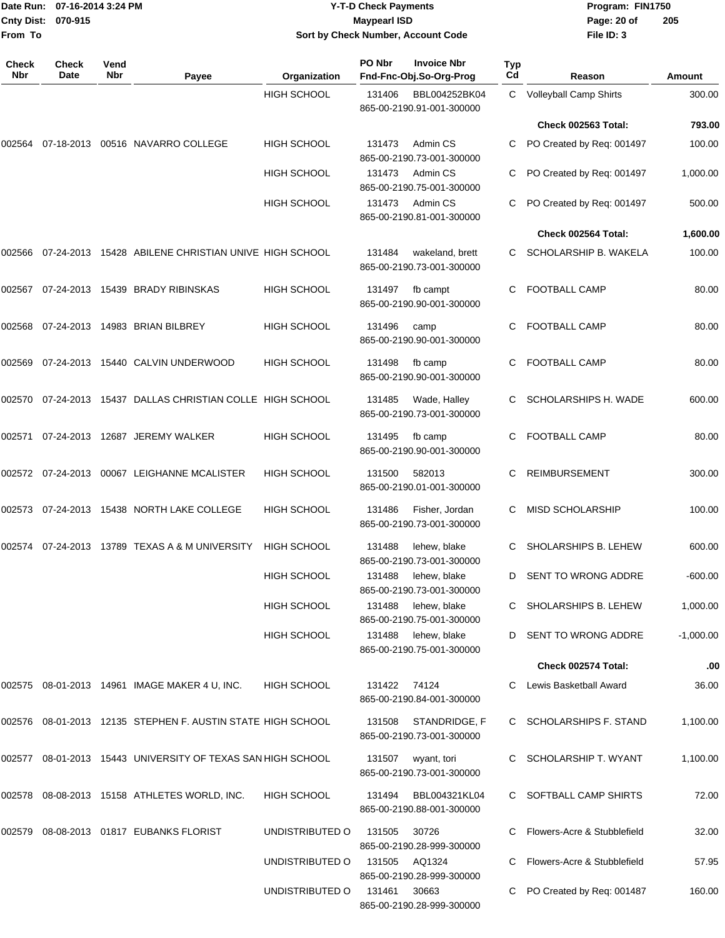|                    | Date Run: 07-16-2014 3:24 PM |
|--------------------|------------------------------|
| Cnty Dist: 070-915 |                              |
| From To            |                              |

## **Date Run: Program: FIN1750 07-16-2014 3:24 PM Y-T-D Check Payments Cnty Dist: Page: 20 of 070-915 Maypearl ISD Sort by Check Number, Account Code**

| Check<br>Nbr | <b>Check</b><br>Date | Vend<br><b>Nbr</b> | Payee                                                | Organization       | PO Nbr | <b>Invoice Nbr</b><br>Fnd-Fnc-Obj.So-Org-Prog | <b>Typ</b><br>Cd | Reason                       | <b>Amount</b> |
|--------------|----------------------|--------------------|------------------------------------------------------|--------------------|--------|-----------------------------------------------|------------------|------------------------------|---------------|
|              |                      |                    |                                                      | <b>HIGH SCHOOL</b> | 131406 | BBL004252BK04<br>865-00-2190.91-001-300000    | C                | Volleyball Camp Shirts       | 300.00        |
|              |                      |                    |                                                      |                    |        |                                               |                  | Check 002563 Total:          | 793.00        |
| 002564       |                      |                    | 07-18-2013 00516 NAVARRO COLLEGE                     | <b>HIGH SCHOOL</b> | 131473 | Admin CS<br>865-00-2190.73-001-300000         |                  | PO Created by Req: 001497    | 100.00        |
|              |                      |                    |                                                      | <b>HIGH SCHOOL</b> | 131473 | Admin CS<br>865-00-2190.75-001-300000         | С                | PO Created by Req: 001497    | 1,000.00      |
|              |                      |                    |                                                      | <b>HIGH SCHOOL</b> | 131473 | Admin CS<br>865-00-2190.81-001-300000         | C                | PO Created by Req: 001497    | 500.00        |
|              |                      |                    |                                                      |                    |        |                                               |                  | Check 002564 Total:          | 1,600.00      |
| 002566       |                      |                    | 07-24-2013 15428 ABILENE CHRISTIAN UNIVE HIGH SCHOOL |                    | 131484 | wakeland, brett<br>865-00-2190.73-001-300000  | C                | SCHOLARSHIP B. WAKELA        | 100.00        |
| 002567       |                      |                    | 07-24-2013 15439 BRADY RIBINSKAS                     | <b>HIGH SCHOOL</b> | 131497 | fb campt<br>865-00-2190.90-001-300000         |                  | <b>FOOTBALL CAMP</b>         | 80.00         |
| 002568       |                      |                    | 07-24-2013 14983 BRIAN BILBREY                       | <b>HIGH SCHOOL</b> | 131496 | camp<br>865-00-2190.90-001-300000             | C                | <b>FOOTBALL CAMP</b>         | 80.00         |
| 002569       |                      |                    | 07-24-2013  15440  CALVIN UNDERWOOD                  | <b>HIGH SCHOOL</b> | 131498 | fb camp<br>865-00-2190.90-001-300000          | C                | <b>FOOTBALL CAMP</b>         | 80.00         |
| 002570       |                      |                    | 07-24-2013 15437 DALLAS CHRISTIAN COLLE HIGH SCHOOL  |                    | 131485 | Wade, Halley<br>865-00-2190.73-001-300000     |                  | SCHOLARSHIPS H. WADE         | 600.00        |
| 002571       |                      |                    | 07-24-2013 12687 JEREMY WALKER                       | <b>HIGH SCHOOL</b> | 131495 | fb camp<br>865-00-2190.90-001-300000          | C                | FOOTBALL CAMP                | 80.00         |
|              |                      |                    | 00067 LEIGHANNE MCALISTER                            | <b>HIGH SCHOOL</b> | 131500 | 582013<br>865-00-2190.01-001-300000           | C                | <b>REIMBURSEMENT</b>         | 300.00        |
| 002573       |                      |                    | 07-24-2013 15438 NORTH LAKE COLLEGE                  | <b>HIGH SCHOOL</b> | 131486 | Fisher, Jordan<br>865-00-2190.73-001-300000   |                  | MISD SCHOLARSHIP             | 100.00        |
| 002574       |                      |                    | 07-24-2013 13789 TEXAS A & M UNIVERSITY              | <b>HIGH SCHOOL</b> | 131488 | lehew, blake<br>865-00-2190.73-001-300000     |                  | SHOLARSHIPS B. LEHEW         | 600.00        |
|              |                      |                    |                                                      | <b>HIGH SCHOOL</b> | 131488 | lehew, blake<br>865-00-2190.73-001-300000     | D                | SENT TO WRONG ADDRE          | $-600.00$     |
|              |                      |                    |                                                      | <b>HIGH SCHOOL</b> | 131488 | lehew, blake<br>865-00-2190.75-001-300000     |                  | C SHOLARSHIPS B. LEHEW       | 1,000.00      |
|              |                      |                    |                                                      | <b>HIGH SCHOOL</b> | 131488 | lehew, blake<br>865-00-2190.75-001-300000     | D                | SENT TO WRONG ADDRE          | $-1,000.00$   |
|              |                      |                    |                                                      |                    |        |                                               |                  | Check 002574 Total:          | .00           |
|              |                      |                    | 002575 08-01-2013 14961 IMAGE MAKER 4 U, INC.        | <b>HIGH SCHOOL</b> | 131422 | 74124<br>865-00-2190.84-001-300000            |                  | Lewis Basketball Award       | 36.00         |
| 002576       |                      |                    | 08-01-2013 12135 STEPHEN F. AUSTIN STATE HIGH SCHOOL |                    | 131508 | STANDRIDGE, F<br>865-00-2190.73-001-300000    | C.               | <b>SCHOLARSHIPS F. STAND</b> | 1,100.00      |
| 002577       |                      |                    | 08-01-2013 15443 UNIVERSITY OF TEXAS SAN HIGH SCHOOL |                    | 131507 | wyant, tori<br>865-00-2190.73-001-300000      |                  | SCHOLARSHIP T. WYANT         | 1,100.00      |
| 002578       |                      |                    | 08-08-2013 15158 ATHLETES WORLD, INC.                | <b>HIGH SCHOOL</b> | 131494 | BBL004321KL04<br>865-00-2190.88-001-300000    |                  | SOFTBALL CAMP SHIRTS         | 72.00         |
| 002579       |                      |                    | 08-08-2013  01817  EUBANKS FLORIST                   | UNDISTRIBUTED O    | 131505 | 30726<br>865-00-2190.28-999-300000            |                  | Flowers-Acre & Stubblefield  | 32.00         |
|              |                      |                    |                                                      | UNDISTRIBUTED O    | 131505 | AQ1324<br>865-00-2190.28-999-300000           |                  | Flowers-Acre & Stubblefield  | 57.95         |
|              |                      |                    |                                                      | UNDISTRIBUTED O    | 131461 | 30663<br>865-00-2190.28-999-300000            |                  | PO Created by Req: 001487    | 160.00        |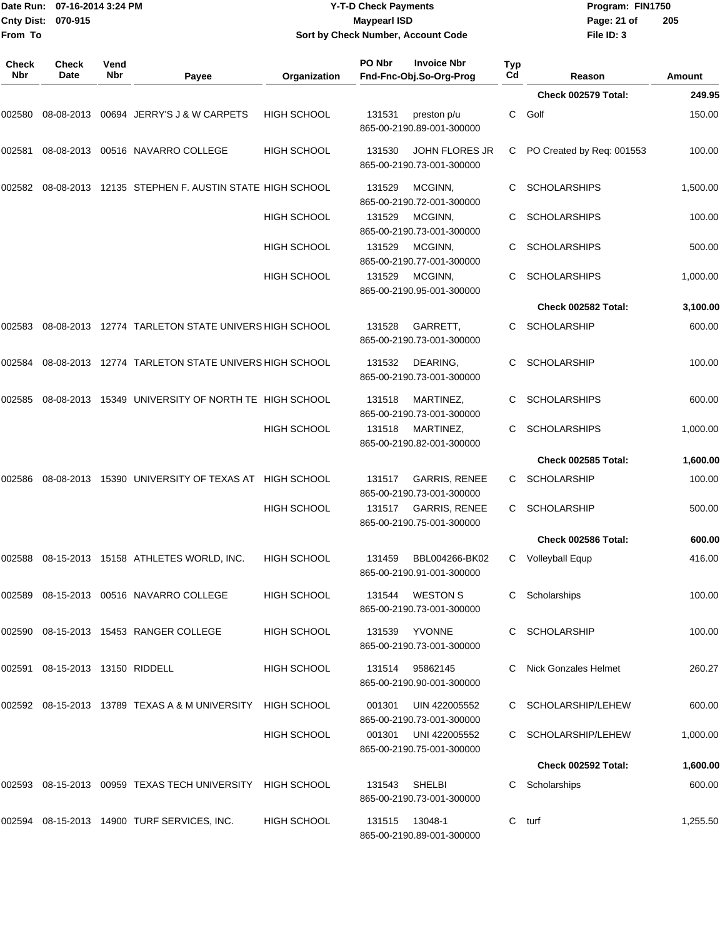| Cnty Dist:          | Date Run: 07-16-2014 3:24 PM<br>070-915 |             |                                                                           |                    | <b>Y-T-D Check Payments</b><br><b>Maypearl ISD</b> |                                                   |           | Program: FIN1750<br>Page: 21 of | 205      |
|---------------------|-----------------------------------------|-------------|---------------------------------------------------------------------------|--------------------|----------------------------------------------------|---------------------------------------------------|-----------|---------------------------------|----------|
| From To             |                                         |             |                                                                           |                    |                                                    | Sort by Check Number, Account Code                |           | File ID: 3                      |          |
| <b>Check</b><br>Nbr | <b>Check</b><br>Date                    | Vend<br>Nbr | Payee                                                                     | Organization       | PO Nbr                                             | <b>Invoice Nbr</b><br>Fnd-Fnc-Obj.So-Org-Prog     | Typ<br>Cd | Reason                          | Amount   |
|                     |                                         |             |                                                                           |                    |                                                    |                                                   |           | Check 002579 Total:             | 249.95   |
| 002580              |                                         |             | 08-08-2013 00694 JERRY'S J & W CARPETS                                    | <b>HIGH SCHOOL</b> | 131531                                             | preston p/u<br>865-00-2190.89-001-300000          | С         | Golf                            | 150.00   |
| 002581              |                                         |             | 08-08-2013 00516 NAVARRO COLLEGE                                          | HIGH SCHOOL        | 131530                                             | JOHN FLORES JR<br>865-00-2190.73-001-300000       | С         | PO Created by Req: 001553       | 100.00   |
|                     |                                         |             | 002582  08-08-2013  12135  STEPHEN F. AUSTIN STATE HIGH SCHOOL            |                    | 131529                                             | MCGINN,<br>865-00-2190.72-001-300000              | С         | <b>SCHOLARSHIPS</b>             | 1,500.00 |
|                     |                                         |             |                                                                           | HIGH SCHOOL        | 131529                                             | MCGINN,<br>865-00-2190.73-001-300000              | С         | <b>SCHOLARSHIPS</b>             | 100.00   |
|                     |                                         |             |                                                                           | <b>HIGH SCHOOL</b> | 131529                                             | MCGINN,<br>865-00-2190.77-001-300000              | С         | <b>SCHOLARSHIPS</b>             | 500.00   |
|                     |                                         |             |                                                                           | HIGH SCHOOL        | 131529                                             | MCGINN,<br>865-00-2190.95-001-300000              | С         | <b>SCHOLARSHIPS</b>             | 1,000.00 |
|                     |                                         |             |                                                                           |                    |                                                    |                                                   |           | Check 002582 Total:             | 3,100.00 |
| 002583              |                                         |             | 08-08-2013 12774 TARLETON STATE UNIVERS HIGH SCHOOL                       |                    | 131528                                             | GARRETT,<br>865-00-2190.73-001-300000             | С         | <b>SCHOLARSHIP</b>              | 600.00   |
| 002584              |                                         |             | 08-08-2013 12774 TARLETON STATE UNIVERS HIGH SCHOOL                       |                    | 131532                                             | DEARING,<br>865-00-2190.73-001-300000             | С         | <b>SCHOLARSHIP</b>              | 100.00   |
| 002585              |                                         |             | 08-08-2013 15349 UNIVERSITY OF NORTH TE HIGH SCHOOL                       |                    | 131518                                             | MARTINEZ,<br>865-00-2190.73-001-300000            | С         | <b>SCHOLARSHIPS</b>             | 600.00   |
|                     |                                         |             |                                                                           | HIGH SCHOOL        | 131518                                             | MARTINEZ,<br>865-00-2190.82-001-300000            | С         | <b>SCHOLARSHIPS</b>             | 1,000.00 |
|                     |                                         |             |                                                                           |                    |                                                    |                                                   |           | Check 002585 Total:             | 1,600.00 |
| 002586              |                                         |             | 08-08-2013 15390 UNIVERSITY OF TEXAS AT HIGH SCHOOL                       |                    | 131517                                             | <b>GARRIS, RENEE</b><br>865-00-2190.73-001-300000 | С         | <b>SCHOLARSHIP</b>              | 100.00   |
|                     |                                         |             |                                                                           | HIGH SCHOOL        | 131517                                             | <b>GARRIS, RENEE</b><br>865-00-2190.75-001-300000 | С         | <b>SCHOLARSHIP</b>              | 500.00   |
|                     |                                         |             |                                                                           |                    |                                                    |                                                   |           | Check 002586 Total:             | 600.00   |
|                     |                                         |             | 002588  08-15-2013  15158  ATHLETES WORLD, INC.                           | HIGH SCHOOL        | 131459                                             | BBL004266-BK02<br>865-00-2190.91-001-300000       |           | C Volleyball Equp               | 416.00   |
|                     |                                         |             | 002589  08-15-2013  00516  NAVARRO COLLEGE                                | <b>HIGH SCHOOL</b> |                                                    | 131544 WESTON S<br>865-00-2190.73-001-300000      |           | C Scholarships                  | 100.00   |
|                     |                                         |             | 002590 08-15-2013 15453 RANGER COLLEGE                                    | HIGH SCHOOL        |                                                    | 131539 YVONNE<br>865-00-2190.73-001-300000        |           | C SCHOLARSHIP                   | 100.00   |
|                     | 002591 08-15-2013 13150 RIDDELL         |             |                                                                           | HIGH SCHOOL        | 131514                                             | 95862145<br>865-00-2190.90-001-300000             |           | <b>Nick Gonzales Helmet</b>     | 260.27   |
|                     |                                         |             | 002592    08-15-2013    13789    TEXAS A & M    UNIVERSITY    HIGH SCHOOL |                    | 001301                                             | UIN 422005552<br>865-00-2190.73-001-300000        |           | C SCHOLARSHIP/LEHEW             | 600.00   |
|                     |                                         |             |                                                                           | <b>HIGH SCHOOL</b> | 001301                                             | UNI 422005552<br>865-00-2190.75-001-300000        |           | C SCHOLARSHIP/LEHEW             | 1,000.00 |
|                     |                                         |             |                                                                           |                    |                                                    |                                                   |           | Check 002592 Total:             | 1,600.00 |
|                     |                                         |             | 002593 08-15-2013 00959   TEXAS TECH UNIVERSITY    HIGH SCHOOL            |                    | 131543                                             | SHELBI<br>865-00-2190.73-001-300000               |           | C Scholarships                  | 600.00   |
|                     |                                         |             | 002594  08-15-2013  14900  TURF SERVICES, INC.                            | <b>HIGH SCHOOL</b> |                                                    | 131515 13048-1<br>865-00-2190.89-001-300000       | C         | turf                            | 1,255.50 |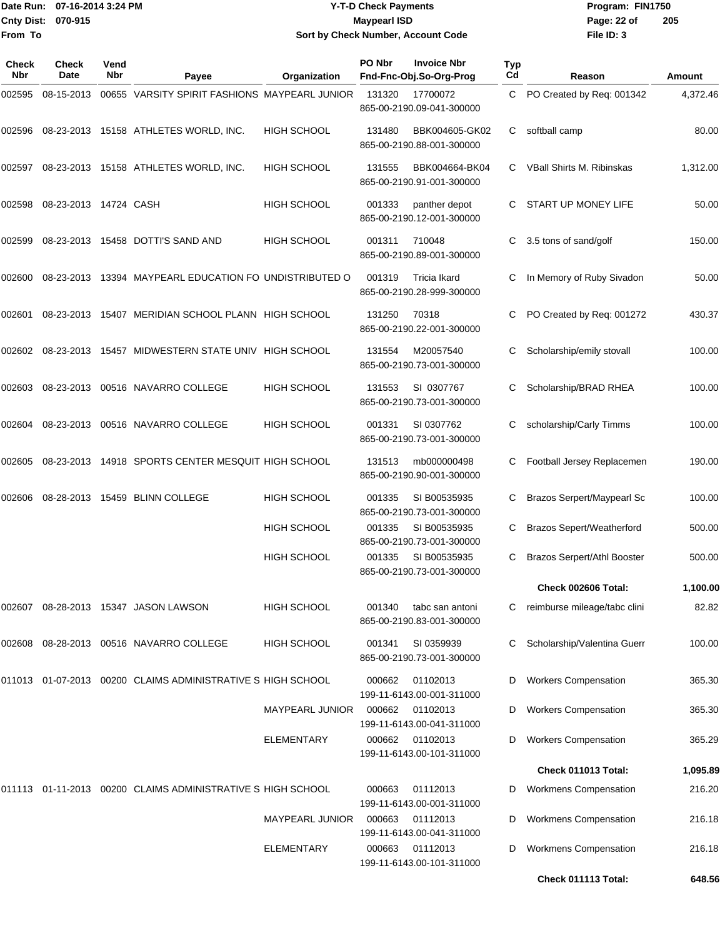## Date Run: 07-16-2014 3:24 PM **Program:** FIN1750 **Cnty Dist:** 070-915 **Page: 22 of MaypearI ISD Page: 22 of Y-T-D Check Payments 070-915 Maypearl ISD Sort by Check Number, Account Code**

| Check<br>Nbr | Check<br>Date         | Vend<br>Nbr | Payee                                                       | Organization           | PO Nbr | <b>Invoice Nbr</b><br>Fnd-Fnc-Obj.So-Org-Prog | Typ<br>Cd | Reason                             | Amount   |
|--------------|-----------------------|-------------|-------------------------------------------------------------|------------------------|--------|-----------------------------------------------|-----------|------------------------------------|----------|
| 002595       | 08-15-2013            |             | 00655 VARSITY SPIRIT FASHIONS MAYPEARL JUNIOR               |                        | 131320 | 17700072<br>865-00-2190.09-041-300000         | C         | PO Created by Req: 001342          | 4,372.46 |
| 002596       |                       |             | 08-23-2013 15158 ATHLETES WORLD, INC.                       | <b>HIGH SCHOOL</b>     | 131480 | BBK004605-GK02<br>865-00-2190.88-001-300000   | C         | softball camp                      | 80.00    |
| 002597       |                       |             | 08-23-2013 15158 ATHLETES WORLD, INC.                       | <b>HIGH SCHOOL</b>     | 131555 | BBK004664-BK04<br>865-00-2190.91-001-300000   | C         | VBall Shirts M. Ribinskas          | 1,312.00 |
| 002598       | 08-23-2013 14724 CASH |             |                                                             | <b>HIGH SCHOOL</b>     | 001333 | panther depot<br>865-00-2190.12-001-300000    | C         | START UP MONEY LIFE                | 50.00    |
| 002599       | 08-23-2013            |             | 15458 DOTTI'S SAND AND                                      | <b>HIGH SCHOOL</b>     | 001311 | 710048<br>865-00-2190.89-001-300000           | C         | 3.5 tons of sand/golf              | 150.00   |
| 002600       |                       |             | 08-23-2013 13394 MAYPEARL EDUCATION FO UNDISTRIBUTED O      |                        | 001319 | Tricia Ikard<br>865-00-2190.28-999-300000     | C         | In Memory of Ruby Sivadon          | 50.00    |
| 002601       | 08-23-2013            |             | 15407 MERIDIAN SCHOOL PLANN HIGH SCHOOL                     |                        | 131250 | 70318<br>865-00-2190.22-001-300000            | C         | PO Created by Reg: 001272          | 430.37   |
| 002602       | 08-23-2013            |             | 15457 MIDWESTERN STATE UNIV HIGH SCHOOL                     |                        | 131554 | M20057540<br>865-00-2190.73-001-300000        | C         | Scholarship/emily stovall          | 100.00   |
| 002603       |                       |             | 08-23-2013  00516  NAVARRO COLLEGE                          | <b>HIGH SCHOOL</b>     | 131553 | SI 0307767<br>865-00-2190.73-001-300000       | C         | Scholarship/BRAD RHEA              | 100.00   |
| 002604       |                       |             | 08-23-2013  00516  NAVARRO COLLEGE                          | <b>HIGH SCHOOL</b>     | 001331 | SI 0307762<br>865-00-2190.73-001-300000       | С         | scholarship/Carly Timms            | 100.00   |
| 002605       | 08-23-2013            |             | 14918 SPORTS CENTER MESQUIT HIGH SCHOOL                     |                        | 131513 | mb000000498<br>865-00-2190.90-001-300000      | С         | Football Jersey Replacemen         | 190.00   |
| 002606       |                       |             | 08-28-2013 15459 BLINN COLLEGE                              | <b>HIGH SCHOOL</b>     | 001335 | SI B00535935<br>865-00-2190.73-001-300000     | C         | Brazos Serpert/Maypearl Sc         | 100.00   |
|              |                       |             |                                                             | <b>HIGH SCHOOL</b>     | 001335 | SI B00535935<br>865-00-2190.73-001-300000     | C         | <b>Brazos Sepert/Weatherford</b>   | 500.00   |
|              |                       |             |                                                             | <b>HIGH SCHOOL</b>     | 001335 | SI B00535935<br>865-00-2190.73-001-300000     | C         | <b>Brazos Serpert/Athl Booster</b> | 500.00   |
|              |                       |             |                                                             |                        |        |                                               |           | Check 002606 Total:                | 1,100.00 |
| 002607       |                       |             | 08-28-2013 15347 JASON LAWSON                               | <b>HIGH SCHOOL</b>     | 001340 | tabc san antoni<br>865-00-2190.83-001-300000  | C         | reimburse mileage/tabc clini       | 82.82    |
| 002608       |                       |             | 08-28-2013  00516  NAVARRO COLLEGE                          | <b>HIGH SCHOOL</b>     | 001341 | SI 0359939<br>865-00-2190.73-001-300000       | C         | Scholarship/Valentina Guerr        | 100.00   |
|              |                       |             | 011013 01-07-2013 00200 CLAIMS ADMINISTRATIVE S HIGH SCHOOL |                        | 000662 | 01102013<br>199-11-6143.00-001-311000         | D         | <b>Workers Compensation</b>        | 365.30   |
|              |                       |             |                                                             | MAYPEARL JUNIOR        | 000662 | 01102013<br>199-11-6143.00-041-311000         | D         | <b>Workers Compensation</b>        | 365.30   |
|              |                       |             |                                                             | <b>ELEMENTARY</b>      | 000662 | 01102013<br>199-11-6143.00-101-311000         | D         | <b>Workers Compensation</b>        | 365.29   |
|              |                       |             |                                                             |                        |        |                                               |           | Check 011013 Total:                | 1,095.89 |
| 011113       |                       |             | 01-11-2013 00200 CLAIMS ADMINISTRATIVE S HIGH SCHOOL        |                        | 000663 | 01112013<br>199-11-6143.00-001-311000         | D         | <b>Workmens Compensation</b>       | 216.20   |
|              |                       |             |                                                             | <b>MAYPEARL JUNIOR</b> | 000663 | 01112013<br>199-11-6143.00-041-311000         | D         | <b>Workmens Compensation</b>       | 216.18   |
|              |                       |             |                                                             | ELEMENTARY             | 000663 | 01112013<br>199-11-6143.00-101-311000         | D         | <b>Workmens Compensation</b>       | 216.18   |
|              |                       |             |                                                             |                        |        |                                               |           | Check 011113 Total:                | 648.56   |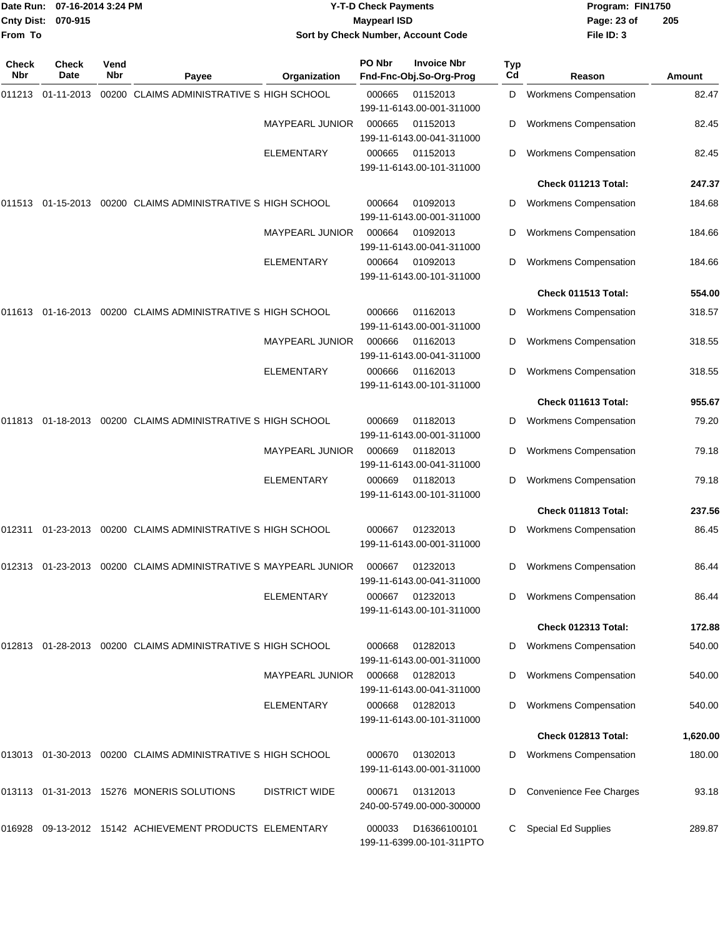| <b>Cnty Dist:</b><br>From To | Date Run: 07-16-2014 3:24 PM<br>070-915 |             |                                                                 |                        | <b>Y-T-D Check Payments</b><br><b>Maypearl ISD</b> | Sort by Check Number, Account Code            |           | Program: FIN1750<br>Page: 23 of<br>File ID: 3 | 205           |
|------------------------------|-----------------------------------------|-------------|-----------------------------------------------------------------|------------------------|----------------------------------------------------|-----------------------------------------------|-----------|-----------------------------------------------|---------------|
|                              |                                         |             |                                                                 |                        |                                                    |                                               |           |                                               |               |
| Check<br>Nbr                 | Check<br>Date                           | Vend<br>Nbr | Payee                                                           | Organization           | PO Nbr                                             | <b>Invoice Nbr</b><br>Fnd-Fnc-Obj.So-Org-Prog | Typ<br>Cd | Reason                                        | <b>Amount</b> |
|                              | 011213 01-11-2013                       |             | 00200 CLAIMS ADMINISTRATIVE S HIGH SCHOOL                       |                        | 000665                                             | 01152013                                      | D         | Workmens Compensation                         | 82.47         |
|                              |                                         |             |                                                                 | <b>MAYPEARL JUNIOR</b> | 000665                                             | 199-11-6143.00-001-311000<br>01152013         | D         | <b>Workmens Compensation</b>                  | 82.45         |
|                              |                                         |             |                                                                 |                        |                                                    | 199-11-6143.00-041-311000                     |           |                                               |               |
|                              |                                         |             |                                                                 | ELEMENTARY             | 000665                                             | 01152013<br>199-11-6143.00-101-311000         | D         | <b>Workmens Compensation</b>                  | 82.45         |
|                              |                                         |             |                                                                 |                        |                                                    |                                               |           | Check 011213 Total:                           | 247.37        |
| 011513                       |                                         |             | 01-15-2013 00200 CLAIMS ADMINISTRATIVE S HIGH SCHOOL            |                        | 000664                                             | 01092013<br>199-11-6143.00-001-311000         | D         | <b>Workmens Compensation</b>                  | 184.68        |
|                              |                                         |             |                                                                 | <b>MAYPEARL JUNIOR</b> | 000664                                             | 01092013<br>199-11-6143.00-041-311000         | D         | <b>Workmens Compensation</b>                  | 184.66        |
|                              |                                         |             |                                                                 | <b>ELEMENTARY</b>      | 000664                                             | 01092013<br>199-11-6143.00-101-311000         | D         | <b>Workmens Compensation</b>                  | 184.66        |
|                              |                                         |             |                                                                 |                        |                                                    |                                               |           | Check 011513 Total:                           | 554.00        |
|                              |                                         |             | 011613 01-16-2013 00200 CLAIMS ADMINISTRATIVE S HIGH SCHOOL     |                        | 000666                                             | 01162013<br>199-11-6143.00-001-311000         | D         | <b>Workmens Compensation</b>                  | 318.57        |
|                              |                                         |             |                                                                 | <b>MAYPEARL JUNIOR</b> | 000666                                             | 01162013<br>199-11-6143.00-041-311000         | D         | <b>Workmens Compensation</b>                  | 318.55        |
|                              |                                         |             |                                                                 | <b>ELEMENTARY</b>      | 000666                                             | 01162013<br>199-11-6143.00-101-311000         | D         | <b>Workmens Compensation</b>                  | 318.55        |
|                              |                                         |             |                                                                 |                        |                                                    |                                               |           | Check 011613 Total:                           | 955.67        |
| 011813                       |                                         |             | 01-18-2013 00200 CLAIMS ADMINISTRATIVE S HIGH SCHOOL            |                        | 000669                                             | 01182013<br>199-11-6143.00-001-311000         | D         | <b>Workmens Compensation</b>                  | 79.20         |
|                              |                                         |             |                                                                 | <b>MAYPEARL JUNIOR</b> | 000669                                             | 01182013<br>199-11-6143.00-041-311000         | D         | <b>Workmens Compensation</b>                  | 79.18         |
|                              |                                         |             |                                                                 | ELEMENTARY             | 000669                                             | 01182013<br>199-11-6143.00-101-311000         | D         | <b>Workmens Compensation</b>                  | 79.18         |
|                              |                                         |             |                                                                 |                        |                                                    |                                               |           | Check 011813 Total:                           | 237.56        |
| 012311                       | 01-23-2013                              |             | 00200 CLAIMS ADMINISTRATIVE S HIGH SCHOOL                       |                        | 000667                                             | 01232013<br>199-11-6143.00-001-311000         | D         | <b>Workmens Compensation</b>                  | 86.45         |
|                              |                                         |             | 012313 01-23-2013 00200 CLAIMS ADMINISTRATIVE S MAYPEARL JUNIOR |                        | 000667                                             | 01232013<br>199-11-6143.00-041-311000         | D         | <b>Workmens Compensation</b>                  | 86.44         |
|                              |                                         |             |                                                                 | <b>ELEMENTARY</b>      | 000667                                             | 01232013<br>199-11-6143.00-101-311000         | D         | <b>Workmens Compensation</b>                  | 86.44         |
|                              |                                         |             |                                                                 |                        |                                                    |                                               |           | Check 012313 Total:                           | 172.88        |
|                              |                                         |             | 012813 01-28-2013 00200 CLAIMS ADMINISTRATIVE S HIGH SCHOOL     |                        | 000668                                             | 01282013<br>199-11-6143.00-001-311000         | D         | <b>Workmens Compensation</b>                  | 540.00        |
|                              |                                         |             |                                                                 | MAYPEARL JUNIOR        | 000668                                             | 01282013<br>199-11-6143.00-041-311000         | D         | <b>Workmens Compensation</b>                  | 540.00        |
|                              |                                         |             |                                                                 | <b>ELEMENTARY</b>      | 000668                                             | 01282013<br>199-11-6143.00-101-311000         | D         | <b>Workmens Compensation</b>                  | 540.00        |
|                              |                                         |             |                                                                 |                        |                                                    |                                               |           | Check 012813 Total:                           | 1,620.00      |
|                              |                                         |             | 013013 01-30-2013 00200 CLAIMS ADMINISTRATIVE S HIGH SCHOOL     |                        | 000670                                             | 01302013<br>199-11-6143.00-001-311000         |           | <b>Workmens Compensation</b>                  | 180.00        |
|                              |                                         |             | 013113  01-31-2013  15276  MONERIS SOLUTIONS                    | <b>DISTRICT WIDE</b>   | 000671                                             | 01312013<br>240-00-5749.00-000-300000         | D         | Convenience Fee Charges                       | 93.18         |
| 016928                       |                                         |             | 09-13-2012 15142 ACHIEVEMENT PRODUCTS ELEMENTARY                |                        | 000033                                             | D16366100101<br>199-11-6399.00-101-311PTO     | С         | Special Ed Supplies                           | 289.87        |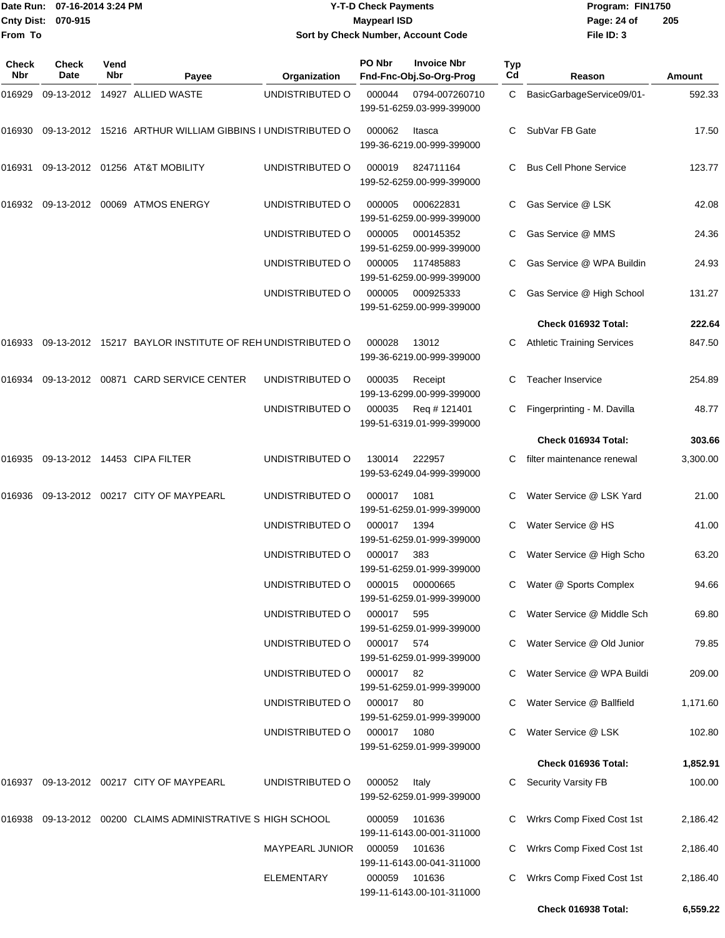|              | Date Run: 07-16-2014 3:24 PM |             |                                                             |                                    | <b>Y-T-D Check Payments</b> |                                               |           | Program: FIN1750                  |          |
|--------------|------------------------------|-------------|-------------------------------------------------------------|------------------------------------|-----------------------------|-----------------------------------------------|-----------|-----------------------------------|----------|
|              | Cnty Dist: 070-915           |             |                                                             |                                    | <b>Maypearl ISD</b>         |                                               |           | Page: 24 of                       | 205      |
| From To      |                              |             |                                                             | Sort by Check Number, Account Code |                             |                                               |           | File ID: 3                        |          |
| Check<br>Nbr | <b>Check</b><br>Date         | Vend<br>Nbr | Payee                                                       | Organization                       | PO Nbr                      | <b>Invoice Nbr</b><br>Fnd-Fnc-Obj.So-Org-Prog | Typ<br>Cd | Reason                            | Amount   |
| 016929       |                              |             | 09-13-2012 14927 ALLIED WASTE                               | UNDISTRIBUTED O                    | 000044                      | 0794-007260710                                | C         | BasicGarbageService09/01-         | 592.33   |
|              |                              |             |                                                             |                                    |                             | 199-51-6259.03-999-399000                     |           |                                   |          |
| 016930       |                              |             | 09-13-2012 15216 ARTHUR WILLIAM GIBBINS I UNDISTRIBUTED O   |                                    | 000062                      | Itasca<br>199-36-6219.00-999-399000           | C.        | SubVar FB Gate                    | 17.50    |
| 016931       |                              |             | 09-13-2012 01256 AT&T MOBILITY                              | UNDISTRIBUTED O                    | 000019                      | 824711164<br>199-52-6259.00-999-399000        |           | <b>Bus Cell Phone Service</b>     | 123.77   |
| 016932       |                              |             | 09-13-2012 00069 ATMOS ENERGY                               | UNDISTRIBUTED O                    | 000005                      | 000622831<br>199-51-6259.00-999-399000        |           | Gas Service @ LSK                 | 42.08    |
|              |                              |             |                                                             | UNDISTRIBUTED O                    | 000005                      | 000145352<br>199-51-6259.00-999-399000        | С         | Gas Service @ MMS                 | 24.36    |
|              |                              |             |                                                             | UNDISTRIBUTED O                    | 000005                      | 117485883<br>199-51-6259.00-999-399000        |           | Gas Service @ WPA Buildin         | 24.93    |
|              |                              |             |                                                             | UNDISTRIBUTED O                    | 000005                      | 000925333<br>199-51-6259.00-999-399000        |           | Gas Service @ High School         | 131.27   |
|              |                              |             |                                                             |                                    |                             |                                               |           | Check 016932 Total:               | 222.64   |
| 016933       |                              |             | 09-13-2012 15217 BAYLOR INSTITUTE OF REH UNDISTRIBUTED O    |                                    | 000028                      | 13012<br>199-36-6219.00-999-399000            |           | <b>Athletic Training Services</b> | 847.50   |
| 016934       |                              |             | 09-13-2012 00871 CARD SERVICE CENTER                        | UNDISTRIBUTED O                    | 000035                      | Receipt<br>199-13-6299.00-999-399000          | С         | <b>Teacher Inservice</b>          | 254.89   |
|              |                              |             |                                                             | UNDISTRIBUTED O                    | 000035                      | Reg # 121401<br>199-51-6319.01-999-399000     |           | Fingerprinting - M. Davilla       | 48.77    |
|              |                              |             |                                                             |                                    |                             |                                               |           | Check 016934 Total:               | 303.66   |
| 016935       |                              |             | 09-13-2012  14453  CIPA FILTER                              | UNDISTRIBUTED O                    | 130014                      | 222957<br>199-53-6249.04-999-399000           |           | filter maintenance renewal        | 3,300.00 |
| 016936       |                              |             | 09-13-2012 00217 CITY OF MAYPEARL                           | UNDISTRIBUTED O                    | 000017                      | 1081<br>199-51-6259.01-999-399000             |           | Water Service @ LSK Yard          | 21.00    |
|              |                              |             |                                                             | UNDISTRIBUTED O                    | 000017 1394                 | 199-51-6259.01-999-399000                     |           | C Water Service @ HS              | 41.00    |
|              |                              |             |                                                             | UNDISTRIBUTED O                    | 000017 383                  | 199-51-6259.01-999-399000                     |           | C Water Service @ High Scho       | 63.20    |
|              |                              |             |                                                             | UNDISTRIBUTED O                    |                             | 000015 00000665<br>199-51-6259.01-999-399000  |           | C Water @ Sports Complex          | 94.66    |
|              |                              |             |                                                             | UNDISTRIBUTED O                    | 000017 595                  | 199-51-6259.01-999-399000                     |           | C Water Service @ Middle Sch      | 69.80    |
|              |                              |             |                                                             | UNDISTRIBUTED O                    | 000017 574                  | 199-51-6259.01-999-399000                     |           | C Water Service @ Old Junior      | 79.85    |
|              |                              |             |                                                             | UNDISTRIBUTED O                    | 000017 82                   | 199-51-6259.01-999-399000                     |           | C Water Service @ WPA Buildi      | 209.00   |
|              |                              |             |                                                             | UNDISTRIBUTED O                    | 000017 80                   | 199-51-6259.01-999-399000                     |           | C Water Service @ Ballfield       | 1,171.60 |
|              |                              |             |                                                             | UNDISTRIBUTED O                    | 000017 1080                 | 199-51-6259.01-999-399000                     |           | Water Service @ LSK               | 102.80   |
|              |                              |             |                                                             |                                    |                             |                                               |           | Check 016936 Total:               | 1,852.91 |
|              |                              |             | 016937 09-13-2012 00217 CITY OF MAYPEARL                    | UNDISTRIBUTED O                    | 000052                      | Italy<br>199-52-6259.01-999-399000            |           | <b>Security Varsity FB</b>        | 100.00   |
|              |                              |             | 016938 09-13-2012 00200 CLAIMS ADMINISTRATIVE S HIGH SCHOOL |                                    | 000059                      | 101636<br>199-11-6143.00-001-311000           |           | C Wrkrs Comp Fixed Cost 1st       | 2,186.42 |
|              |                              |             |                                                             | MAYPEARL JUNIOR                    | 000059                      | 101636<br>199-11-6143.00-041-311000           |           | Wrkrs Comp Fixed Cost 1st         | 2,186.40 |
|              |                              |             |                                                             | ELEMENTARY                         | 000059                      | 101636<br>199-11-6143.00-101-311000           |           | Wrkrs Comp Fixed Cost 1st         | 2,186.40 |

**Check 016938 Total: 6,559.22**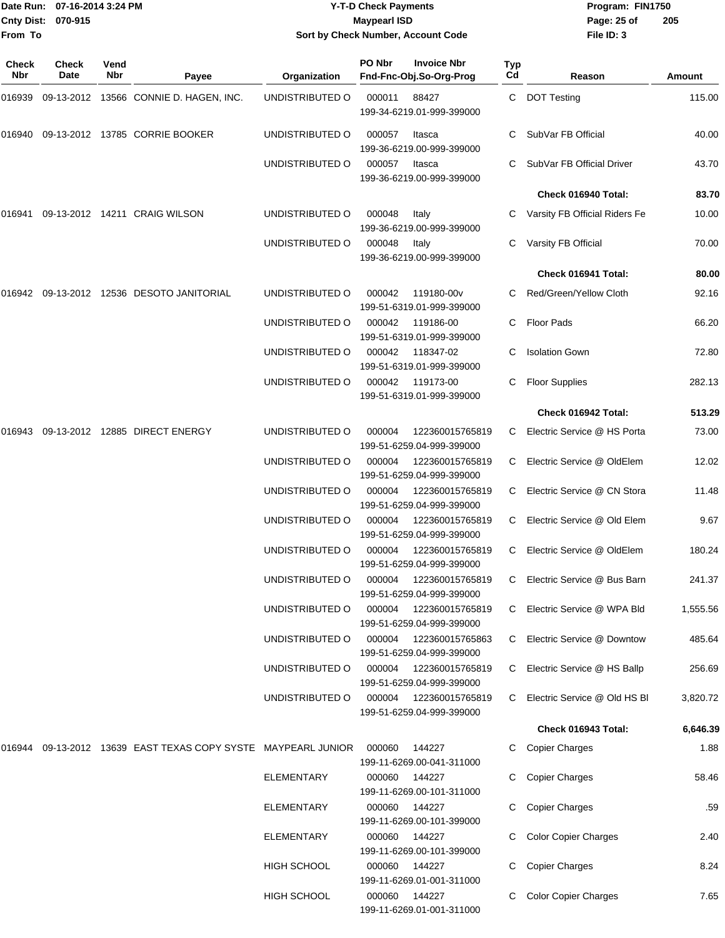## Date Run: 07-16-2014 3:24 PM **Program:** FIN1750 **Cnty Dist:** 070-915 **Page: 25 of MaypearI ISD Page: 25 of Y-T-D Check Payments 070-915 Maypearl ISD Sort by Check Number, Account Code**

| Check<br>Nbr | <b>Check</b><br>Date | Vend<br>Nbr | Payee                                                  | Organization      | PO Nbr | <b>Invoice Nbr</b><br>Fnd-Fnc-Obj.So-Org-Prog       | Typ<br>Cd | Reason                        | Amount   |
|--------------|----------------------|-------------|--------------------------------------------------------|-------------------|--------|-----------------------------------------------------|-----------|-------------------------------|----------|
| 016939       |                      |             | 09-13-2012 13566 CONNIE D. HAGEN, INC.                 | UNDISTRIBUTED O   | 000011 | 88427<br>199-34-6219.01-999-399000                  | C         | <b>DOT Testing</b>            | 115.00   |
|              |                      |             | 016940 09-13-2012 13785 CORRIE BOOKER                  | UNDISTRIBUTED O   | 000057 | Itasca<br>199-36-6219.00-999-399000                 |           | SubVar FB Official            | 40.00    |
|              |                      |             |                                                        | UNDISTRIBUTED O   | 000057 | Itasca<br>199-36-6219.00-999-399000                 |           | SubVar FB Official Driver     | 43.70    |
|              |                      |             |                                                        |                   |        |                                                     |           | Check 016940 Total:           | 83.70    |
| 016941       |                      |             | 09-13-2012 14211 CRAIG WILSON                          | UNDISTRIBUTED O   | 000048 | Italy<br>199-36-6219.00-999-399000                  |           | Varsity FB Official Riders Fe | 10.00    |
|              |                      |             |                                                        | UNDISTRIBUTED O   | 000048 | Italy<br>199-36-6219.00-999-399000                  |           | Varsity FB Official           | 70.00    |
|              |                      |             |                                                        |                   |        |                                                     |           | Check 016941 Total:           | 80.00    |
| 016942       |                      |             | 09-13-2012 12536 DESOTO JANITORIAL                     | UNDISTRIBUTED O   | 000042 | 119180-00v<br>199-51-6319.01-999-399000             | C.        | Red/Green/Yellow Cloth        | 92.16    |
|              |                      |             |                                                        | UNDISTRIBUTED O   | 000042 | 119186-00<br>199-51-6319.01-999-399000              | С         | <b>Floor Pads</b>             | 66.20    |
|              |                      |             |                                                        | UNDISTRIBUTED O   | 000042 | 118347-02<br>199-51-6319.01-999-399000              |           | <b>Isolation Gown</b>         | 72.80    |
|              |                      |             |                                                        | UNDISTRIBUTED O   | 000042 | 119173-00<br>199-51-6319.01-999-399000              | С         | <b>Floor Supplies</b>         | 282.13   |
|              |                      |             |                                                        |                   |        |                                                     |           | Check 016942 Total:           | 513.29   |
| 016943       |                      |             | 09-13-2012 12885 DIRECT ENERGY                         | UNDISTRIBUTED O   | 000004 | 122360015765819<br>199-51-6259.04-999-399000        | C         | Electric Service @ HS Porta   | 73.00    |
|              |                      |             |                                                        | UNDISTRIBUTED O   | 000004 | 122360015765819<br>199-51-6259.04-999-399000        | C         | Electric Service @ OldElem    | 12.02    |
|              |                      |             |                                                        | UNDISTRIBUTED O   | 000004 | 122360015765819<br>199-51-6259.04-999-399000        | C         | Electric Service @ CN Stora   | 11.48    |
|              |                      |             |                                                        | UNDISTRIBUTED O   | 000004 | 122360015765819<br>199-51-6259.04-999-399000        | C         | Electric Service @ Old Elem   | 9.67     |
|              |                      |             |                                                        | UNDISTRIBUTED O   | 000004 | 122360015765819<br>199-51-6259.04-999-399000        | C         | Electric Service @ OldElem    | 180.24   |
|              |                      |             |                                                        | UNDISTRIBUTED O   |        | 000004 122360015765819<br>199-51-6259.04-999-399000 |           | C Electric Service @ Bus Barn | 241.37   |
|              |                      |             |                                                        | UNDISTRIBUTED O   | 000004 | 122360015765819<br>199-51-6259.04-999-399000        | C         | Electric Service @ WPA Bld    | 1,555.56 |
|              |                      |             |                                                        | UNDISTRIBUTED O   | 000004 | 122360015765863<br>199-51-6259.04-999-399000        | C         | Electric Service @ Downtow    | 485.64   |
|              |                      |             |                                                        | UNDISTRIBUTED O   | 000004 | 122360015765819<br>199-51-6259.04-999-399000        |           | C Electric Service @ HS Ballp | 256.69   |
|              |                      |             |                                                        | UNDISTRIBUTED O   | 000004 | 122360015765819<br>199-51-6259.04-999-399000        | C         | Electric Service @ Old HS BI  | 3,820.72 |
|              |                      |             |                                                        |                   |        |                                                     |           | Check 016943 Total:           | 6,646.39 |
| 016944       |                      |             | 09-13-2012 13639 EAST TEXAS COPY SYSTE MAYPEARL JUNIOR |                   | 000060 | 144227<br>199-11-6269.00-041-311000                 | С         | <b>Copier Charges</b>         | 1.88     |
|              |                      |             |                                                        | ELEMENTARY        | 000060 | 144227<br>199-11-6269.00-101-311000                 | С         | <b>Copier Charges</b>         | 58.46    |
|              |                      |             |                                                        | ELEMENTARY        |        | 000060 144227<br>199-11-6269.00-101-399000          |           | <b>Copier Charges</b>         | .59      |
|              |                      |             |                                                        | <b>ELEMENTARY</b> | 000060 | 144227<br>199-11-6269.00-101-399000                 |           | <b>Color Copier Charges</b>   | 2.40     |
|              |                      |             |                                                        | HIGH SCHOOL       | 000060 | 144227<br>199-11-6269.01-001-311000                 | С         | <b>Copier Charges</b>         | 8.24     |
|              |                      |             |                                                        | HIGH SCHOOL       |        | 000060 144227<br>199-11-6269.01-001-311000          |           | <b>Color Copier Charges</b>   | 7.65     |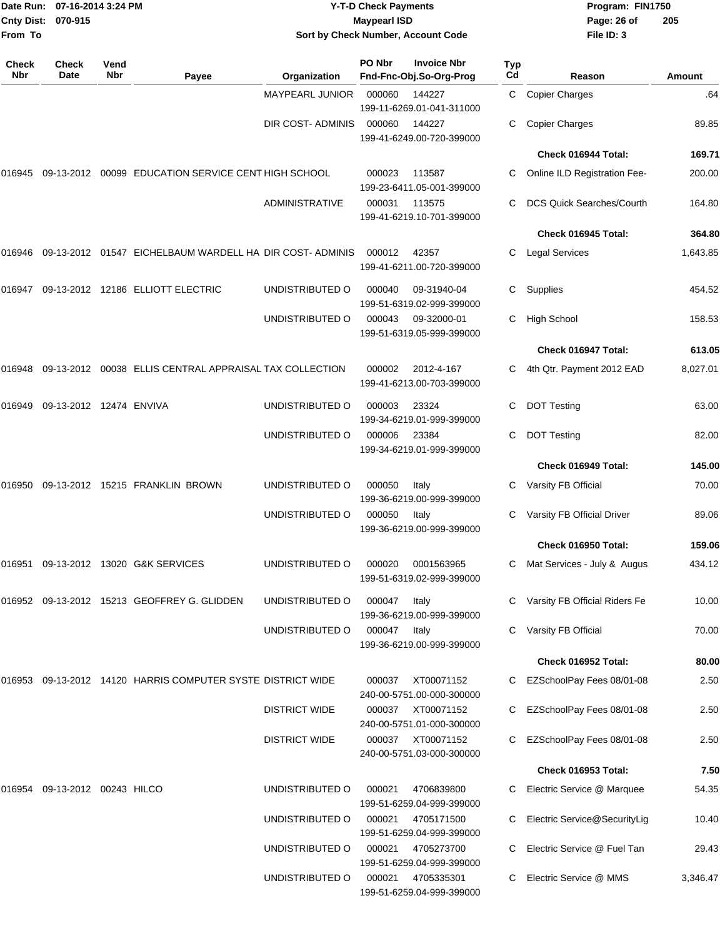| From To             | Date Run: 07-16-2014 3:24 PM<br>Cnty Dist: 070-915 |             |                                                             |                       | <b>Y-T-D Check Payments</b><br><b>Maypearl ISD</b> | Sort by Check Number, Account Code            |           | Program: FIN1750<br>Page: 26 of<br>File ID: 3 | 205           |
|---------------------|----------------------------------------------------|-------------|-------------------------------------------------------------|-----------------------|----------------------------------------------------|-----------------------------------------------|-----------|-----------------------------------------------|---------------|
| <b>Check</b><br>Nbr | Check<br>Date                                      | Vend<br>Nbr | Payee                                                       | Organization          | PO Nbr                                             | <b>Invoice Nbr</b><br>Fnd-Fnc-Obj.So-Org-Prog | Typ<br>Cd | Reason                                        | <b>Amount</b> |
|                     |                                                    |             |                                                             | MAYPEARL JUNIOR       | 000060                                             | 144227<br>199-11-6269.01-041-311000           | C.        | <b>Copier Charges</b>                         | .64           |
|                     |                                                    |             |                                                             | DIR COST-ADMINIS      | 000060                                             | 144227<br>199-41-6249.00-720-399000           | C.        | <b>Copier Charges</b>                         | 89.85         |
|                     |                                                    |             |                                                             |                       |                                                    |                                               |           | Check 016944 Total:                           | 169.71        |
| 016945              |                                                    |             | 09-13-2012 00099 EDUCATION SERVICE CENT HIGH SCHOOL         |                       | 000023                                             | 113587<br>199-23-6411.05-001-399000           | C.        | Online ILD Registration Fee-                  | 200.00        |
|                     |                                                    |             |                                                             | <b>ADMINISTRATIVE</b> | 000031                                             | 113575<br>199-41-6219.10-701-399000           |           | DCS Quick Searches/Courth                     | 164.80        |
|                     |                                                    |             |                                                             |                       |                                                    |                                               |           | Check 016945 Total:                           | 364.80        |
|                     |                                                    |             |                                                             |                       | 000012                                             | 42357<br>199-41-6211.00-720-399000            | С         | <b>Legal Services</b>                         | 1,643.85      |
| 016947              |                                                    |             | 09-13-2012 12186 ELLIOTT ELECTRIC                           | UNDISTRIBUTED O       | 000040                                             | 09-31940-04<br>199-51-6319.02-999-399000      | С         | Supplies                                      | 454.52        |
|                     |                                                    |             |                                                             | UNDISTRIBUTED O       | 000043                                             | 09-32000-01<br>199-51-6319.05-999-399000      | C.        | <b>High School</b>                            | 158.53        |
|                     |                                                    |             |                                                             |                       |                                                    |                                               |           | Check 016947 Total:                           | 613.05        |
| 016948              |                                                    |             | 09-13-2012  00038  ELLIS CENTRAL APPRAISAL TAX COLLECTION   |                       | 000002                                             | 2012-4-167<br>199-41-6213.00-703-399000       | C         | 4th Qtr. Payment 2012 EAD                     | 8,027.01      |
| 016949              | 09-13-2012 12474 ENVIVA                            |             |                                                             | UNDISTRIBUTED O       | 000003                                             | 23324<br>199-34-6219.01-999-399000            | С         | <b>DOT Testing</b>                            | 63.00         |
|                     |                                                    |             |                                                             | UNDISTRIBUTED O       | 000006                                             | 23384<br>199-34-6219.01-999-399000            | С         | <b>DOT Testing</b>                            | 82.00         |
|                     |                                                    |             |                                                             |                       |                                                    |                                               |           | Check 016949 Total:                           | 145.00        |
| 016950              |                                                    |             | 09-13-2012 15215 FRANKLIN BROWN                             | UNDISTRIBUTED O       | 000050                                             | Italy<br>199-36-6219.00-999-399000            | С         | Varsity FB Official                           | 70.00         |
|                     |                                                    |             |                                                             | UNDISTRIBUTED O       | 000050                                             | Italy<br>199-36-6219.00-999-399000            | C.        | Varsity FB Official Driver                    | 89.06         |
|                     |                                                    |             |                                                             |                       |                                                    |                                               |           | Check 016950 Total:                           | 159.06        |
|                     |                                                    |             | 016951 09-13-2012 13020 G&K SERVICES                        | UNDISTRIBUTED O       | 000020                                             | 0001563965<br>199-51-6319.02-999-399000       | C         | Mat Services - July & Augus                   | 434.12        |
|                     |                                                    |             | 016952 09-13-2012 15213 GEOFFREY G. GLIDDEN                 | UNDISTRIBUTED O       | 000047                                             | Italy<br>199-36-6219.00-999-399000            |           | C Varsity FB Official Riders Fe               | 10.00         |
|                     |                                                    |             |                                                             | UNDISTRIBUTED O       | 000047                                             | Italy<br>199-36-6219.00-999-399000            | С         | Varsity FB Official                           | 70.00         |
|                     |                                                    |             |                                                             |                       |                                                    |                                               |           | Check 016952 Total:                           | 80.00         |
|                     |                                                    |             | 016953 09-13-2012 14120 HARRIS COMPUTER SYSTE DISTRICT WIDE |                       | 000037                                             | XT00071152<br>240-00-5751.00-000-300000       | C         | EZSchoolPay Fees 08/01-08                     | 2.50          |
|                     |                                                    |             |                                                             | <b>DISTRICT WIDE</b>  | 000037                                             | XT00071152<br>240-00-5751.01-000-300000       | С         | EZSchoolPay Fees 08/01-08                     | 2.50          |
|                     |                                                    |             |                                                             | <b>DISTRICT WIDE</b>  | 000037                                             | XT00071152<br>240-00-5751.03-000-300000       |           | EZSchoolPay Fees 08/01-08                     | 2.50          |
|                     |                                                    |             |                                                             |                       |                                                    |                                               |           | Check 016953 Total:                           | 7.50          |
|                     |                                                    |             |                                                             | UNDISTRIBUTED O       | 000021                                             | 4706839800<br>199-51-6259.04-999-399000       | C         | Electric Service @ Marquee                    | 54.35         |
|                     |                                                    |             |                                                             | UNDISTRIBUTED O       | 000021                                             | 4705171500<br>199-51-6259.04-999-399000       | C         | Electric Service@SecurityLig                  | 10.40         |
|                     |                                                    |             |                                                             | UNDISTRIBUTED O       | 000021                                             | 4705273700<br>199-51-6259.04-999-399000       | C         | Electric Service @ Fuel Tan                   | 29.43         |
|                     |                                                    |             |                                                             | UNDISTRIBUTED O       | 000021                                             | 4705335301<br>199-51-6259.04-999-399000       | C         | Electric Service @ MMS                        | 3,346.47      |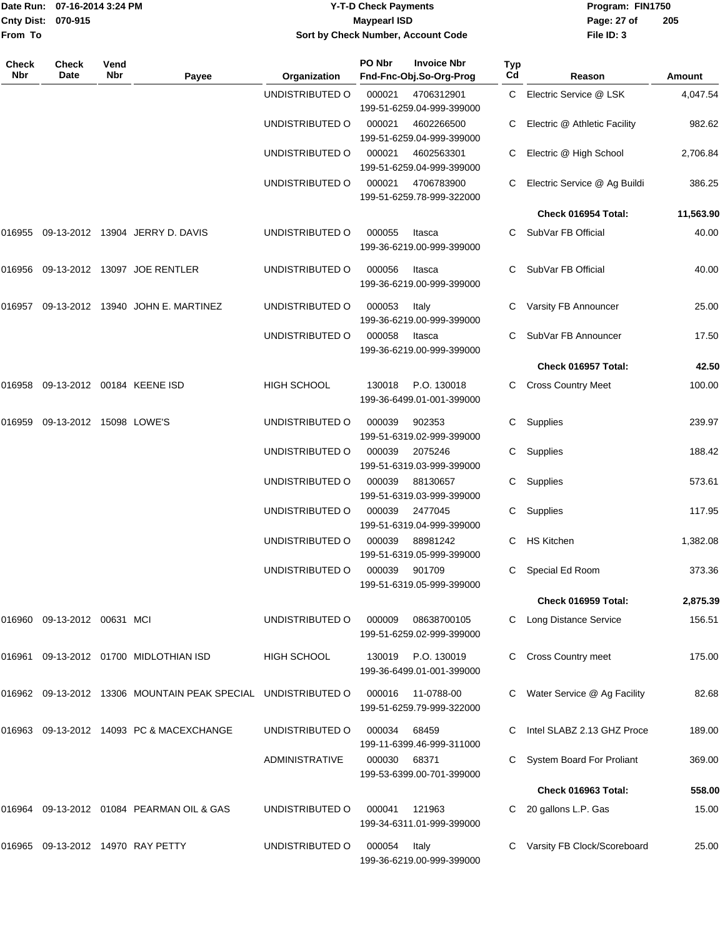|                    | Date Run: 07-16-2014 3:24 PM |
|--------------------|------------------------------|
| Cnty Dist: 070-915 |                              |
| lFrom To           |                              |

## **Date Run: Program: FIN1750 07-16-2014 3:24 PM Y-T-D Check Payments Cnty Dist: Page: 27 of 070-915 Maypearl ISD Sort by Check Number, Account Code**

| Check<br>Nbr | <b>Check</b><br>Date    | Vend<br>Nbr | Payee                                                  | Organization          | PO Nbr | <b>Invoice Nbr</b><br>Fnd-Fnc-Obj.So-Org-Prog   | <b>Typ</b><br>Cd | Reason                         | Amount    |
|--------------|-------------------------|-------------|--------------------------------------------------------|-----------------------|--------|-------------------------------------------------|------------------|--------------------------------|-----------|
|              |                         |             |                                                        | UNDISTRIBUTED O       | 000021 | 4706312901<br>199-51-6259.04-999-399000         |                  | C Electric Service @ LSK       | 4,047.54  |
|              |                         |             |                                                        | UNDISTRIBUTED O       | 000021 | 4602266500<br>199-51-6259.04-999-399000         |                  | C Electric @ Athletic Facility | 982.62    |
|              |                         |             |                                                        | UNDISTRIBUTED O       | 000021 | 4602563301<br>199-51-6259.04-999-399000         |                  | C Electric @ High School       | 2,706.84  |
|              |                         |             |                                                        | UNDISTRIBUTED O       | 000021 | 4706783900<br>199-51-6259.78-999-322000         |                  | C Electric Service @ Ag Buildi | 386.25    |
|              |                         |             |                                                        |                       |        |                                                 |                  | Check 016954 Total:            | 11,563.90 |
| 016955       |                         |             | 09-13-2012 13904 JERRY D. DAVIS                        | UNDISTRIBUTED O       | 000055 | Itasca<br>199-36-6219.00-999-399000             |                  | SubVar FB Official             | 40.00     |
| 016956       |                         |             | 09-13-2012 13097 JOE RENTLER                           | UNDISTRIBUTED O       | 000056 | Itasca<br>199-36-6219.00-999-399000             |                  | SubVar FB Official             | 40.00     |
| 016957       |                         |             | 09-13-2012  13940  JOHN E. MARTINEZ                    | UNDISTRIBUTED O       | 000053 | Italy<br>199-36-6219.00-999-399000              |                  | Varsity FB Announcer           | 25.00     |
|              |                         |             |                                                        | UNDISTRIBUTED O       | 000058 | Itasca<br>199-36-6219.00-999-399000             |                  | SubVar FB Announcer            | 17.50     |
|              |                         |             |                                                        |                       |        |                                                 |                  | Check 016957 Total:            | 42.50     |
| 016958       |                         |             | 09-13-2012 00184 KEENE ISD                             | HIGH SCHOOL           | 130018 | P.O. 130018<br>199-36-6499.01-001-399000        |                  | <b>Cross Country Meet</b>      | 100.00    |
| 016959       | 09-13-2012 15098 LOWE'S |             |                                                        | UNDISTRIBUTED O       | 000039 | 902353<br>199-51-6319.02-999-399000             | C                | Supplies                       | 239.97    |
|              |                         |             |                                                        | UNDISTRIBUTED O       | 000039 | 2075246<br>199-51-6319.03-999-399000            | C.               | Supplies                       | 188.42    |
|              |                         |             |                                                        | UNDISTRIBUTED O       | 000039 | 88130657<br>199-51-6319.03-999-399000           |                  | C Supplies                     | 573.61    |
|              |                         |             |                                                        | UNDISTRIBUTED O       | 000039 | 2477045<br>199-51-6319.04-999-399000            |                  | Supplies                       | 117.95    |
|              |                         |             |                                                        | UNDISTRIBUTED O       | 000039 | 88981242<br>199-51-6319.05-999-399000           | C                | <b>HS Kitchen</b>              | 1,382.08  |
|              |                         |             |                                                        | UNDISTRIBUTED O       | 000039 | 901709<br>199-51-6319.05-999-399000             | C.               | Special Ed Room                | 373.36    |
|              |                         |             |                                                        |                       |        |                                                 |                  | Check 016959 Total:            | 2,875.39  |
| 016960       | 09-13-2012 00631 MCI    |             |                                                        | UNDISTRIBUTED O       | 000009 | 08638700105<br>199-51-6259.02-999-399000        |                  | C Long Distance Service        | 156.51    |
| 016961       |                         |             | 09-13-2012 01700 MIDLOTHIAN ISD                        | <b>HIGH SCHOOL</b>    |        | 130019 P.O. 130019<br>199-36-6499.01-001-399000 |                  | <b>Cross Country meet</b>      | 175.00    |
| 016962       |                         |             | 09-13-2012 13306 MOUNTAIN PEAK SPECIAL UNDISTRIBUTED O |                       | 000016 | 11-0788-00<br>199-51-6259.79-999-322000         |                  | Water Service @ Ag Facility    | 82.68     |
| 016963       |                         |             | 09-13-2012 14093 PC & MACEXCHANGE                      | UNDISTRIBUTED O       | 000034 | 68459<br>199-11-6399.46-999-311000              |                  | Intel SLABZ 2.13 GHZ Proce     | 189.00    |
|              |                         |             |                                                        | <b>ADMINISTRATIVE</b> | 000030 | 68371<br>199-53-6399.00-701-399000              |                  | System Board For Proliant      | 369.00    |
|              |                         |             |                                                        |                       |        |                                                 |                  | Check 016963 Total:            | 558.00    |
| 016964       |                         |             | 09-13-2012 01084 PEARMAN OIL & GAS                     | UNDISTRIBUTED O       | 000041 | 121963<br>199-34-6311.01-999-399000             |                  | 20 gallons L.P. Gas            | 15.00     |
| 016965       |                         |             | 09-13-2012 14970 RAY PETTY                             | UNDISTRIBUTED O       | 000054 | Italy<br>199-36-6219.00-999-399000              |                  | Varsity FB Clock/Scoreboard    | 25.00     |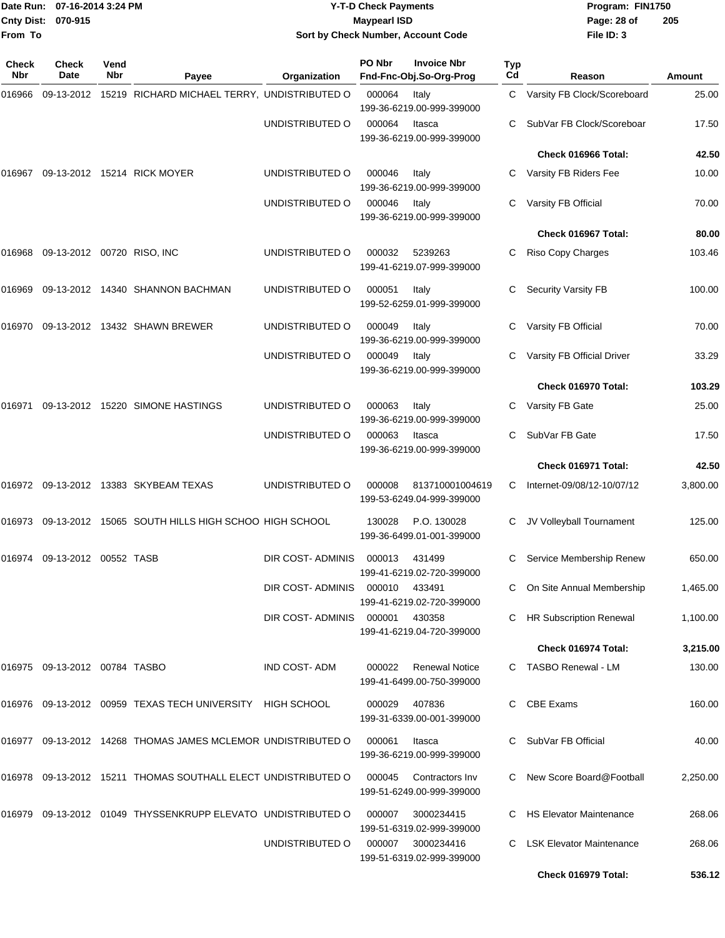| <b>Cnty Dist:</b><br>From To | Date Run: 07-16-2014 3:24 PM<br>070-915 |             |                                                               |                     | <b>Y-T-D Check Payments</b><br><b>Maypearl ISD</b> | Sort by Check Number, Account Code                 |           | Program: FIN1750<br>Page: 28 of<br>File ID: 3 | 205      |
|------------------------------|-----------------------------------------|-------------|---------------------------------------------------------------|---------------------|----------------------------------------------------|----------------------------------------------------|-----------|-----------------------------------------------|----------|
| <b>Check</b><br>Nbr          | Check<br>Date                           | Vend<br>Nbr | Payee                                                         | Organization        | PO Nbr                                             | <b>Invoice Nbr</b><br>Fnd-Fnc-Obj.So-Org-Prog      | Typ<br>Cd | Reason                                        | Amount   |
| 016966                       |                                         |             | 09-13-2012 15219 RICHARD MICHAEL TERRY, UNDISTRIBUTED O       |                     | 000064                                             | Italy<br>199-36-6219.00-999-399000                 | C         | Varsity FB Clock/Scoreboard                   | 25.00    |
|                              |                                         |             |                                                               | UNDISTRIBUTED O     | 000064                                             | Itasca<br>199-36-6219.00-999-399000                |           | SubVar FB Clock/Scoreboar                     | 17.50    |
|                              |                                         |             |                                                               |                     |                                                    |                                                    |           | Check 016966 Total:                           | 42.50    |
| 016967                       |                                         |             | 09-13-2012 15214 RICK MOYER                                   | UNDISTRIBUTED O     | 000046                                             | Italy<br>199-36-6219.00-999-399000                 | C         | Varsity FB Riders Fee                         | 10.00    |
|                              |                                         |             |                                                               | UNDISTRIBUTED O     | 000046                                             | Italy<br>199-36-6219.00-999-399000                 | C         | Varsity FB Official                           | 70.00    |
|                              |                                         |             |                                                               |                     |                                                    |                                                    |           | Check 016967 Total:                           | 80.00    |
|                              | 016968 09-13-2012 00720 RISO, INC       |             |                                                               | UNDISTRIBUTED O     | 000032                                             | 5239263<br>199-41-6219.07-999-399000               | C         | Riso Copy Charges                             | 103.46   |
| 016969                       |                                         |             | 09-13-2012 14340 SHANNON BACHMAN                              | UNDISTRIBUTED O     | 000051                                             | Italy<br>199-52-6259.01-999-399000                 | С         | <b>Security Varsity FB</b>                    | 100.00   |
|                              |                                         |             | 016970 09-13-2012 13432 SHAWN BREWER                          | UNDISTRIBUTED O     | 000049                                             | Italy<br>199-36-6219.00-999-399000                 |           | Varsity FB Official                           | 70.00    |
|                              |                                         |             |                                                               | UNDISTRIBUTED O     | 000049                                             | Italy<br>199-36-6219.00-999-399000                 | C         | Varsity FB Official Driver                    | 33.29    |
|                              |                                         |             |                                                               |                     |                                                    |                                                    |           | Check 016970 Total:                           | 103.29   |
| 016971                       |                                         |             | 09-13-2012 15220 SIMONE HASTINGS                              | UNDISTRIBUTED O     | 000063                                             | Italy<br>199-36-6219.00-999-399000                 | C         | Varsity FB Gate                               | 25.00    |
|                              |                                         |             |                                                               | UNDISTRIBUTED O     | 000063                                             | Itasca<br>199-36-6219.00-999-399000                | С         | SubVar FB Gate                                | 17.50    |
|                              |                                         |             |                                                               |                     |                                                    |                                                    |           | Check 016971 Total:                           | 42.50    |
|                              |                                         |             | 016972 09-13-2012 13383 SKYBEAM TEXAS                         | UNDISTRIBUTED O     | 000008                                             | 813710001004619<br>199-53-6249.04-999-399000       | C         | Internet-09/08/12-10/07/12                    | 3,800.00 |
|                              |                                         |             | 016973 09-13-2012 15065 SOUTH HILLS HIGH SCHOO HIGH SCHOOL    |                     | 130028                                             | P.O. 130028<br>199-36-6499.01-001-399000           |           | JV Volleyball Tournament                      | 125.00   |
|                              | 016974 09-13-2012 00552 TASB            |             |                                                               | DIR COST-ADMINIS    | 000013                                             | 431499<br>199-41-6219.02-720-399000                |           | Service Membership Renew                      | 650.00   |
|                              |                                         |             |                                                               | DIR COST-ADMINIS    | 000010                                             | 433491<br>199-41-6219.02-720-399000                |           | On Site Annual Membership                     | 1,465.00 |
|                              |                                         |             |                                                               | DIR COST-ADMINIS    | 000001                                             | 430358<br>199-41-6219.04-720-399000                |           | <b>HR Subscription Renewal</b>                | 1,100.00 |
|                              |                                         |             |                                                               |                     |                                                    |                                                    |           | Check 016974 Total:                           | 3,215.00 |
|                              | 016975 09-13-2012 00784 TASBO           |             |                                                               | <b>IND COST-ADM</b> | 000022                                             | <b>Renewal Notice</b><br>199-41-6499.00-750-399000 |           | C TASBO Renewal - LM                          | 130.00   |
|                              |                                         |             | 016976 09-13-2012 00959 TEXAS TECH UNIVERSITY HIGH SCHOOL     |                     | 000029                                             | 407836<br>199-31-6339.00-001-399000                | C         | <b>CBE Exams</b>                              | 160.00   |
|                              |                                         |             | 016977 09-13-2012 14268 THOMAS JAMES MCLEMOR UNDISTRIBUTED O  |                     | 000061                                             | Itasca<br>199-36-6219.00-999-399000                |           | SubVar FB Official                            | 40.00    |
|                              |                                         |             | 016978 09-13-2012 15211 THOMAS SOUTHALL ELECT UNDISTRIBUTED O |                     | 000045                                             | Contractors Inv<br>199-51-6249.00-999-399000       |           | New Score Board@Football                      | 2,250.00 |
|                              |                                         |             | 016979 09-13-2012 01049 THYSSENKRUPP ELEVATO UNDISTRIBUTED O  |                     | 000007                                             | 3000234415<br>199-51-6319.02-999-399000            |           | <b>HS Elevator Maintenance</b>                | 268.06   |
|                              |                                         |             |                                                               | UNDISTRIBUTED O     | 000007                                             | 3000234416<br>199-51-6319.02-999-399000            |           | <b>LSK Elevator Maintenance</b>               | 268.06   |
|                              |                                         |             |                                                               |                     |                                                    |                                                    |           | Check 016979 Total:                           | 536.12   |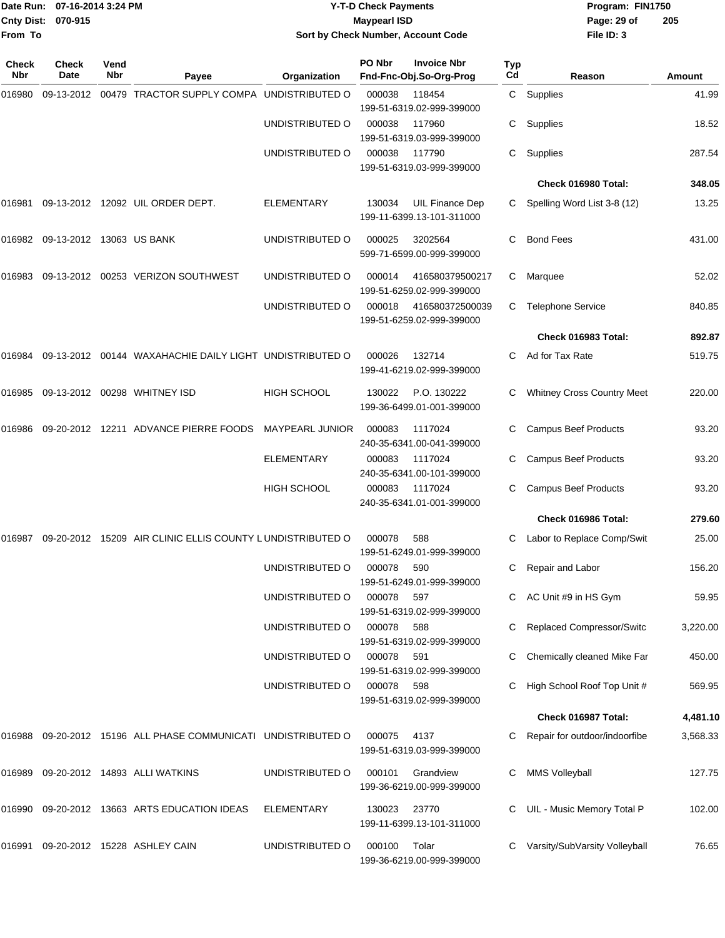|                    | Date Run: 07-16-2014 3:24 PM | Y-T-D Check Payments               | Program: FIN1750              |
|--------------------|------------------------------|------------------------------------|-------------------------------|
| Cnty Dist: 070-915 |                              | <b>Mavpearl ISD</b>                | 2 <sup>0</sup><br>Page: 29 of |
| From To            |                              | Sort by Check Number, Account Code | File ID: 3                    |

# **Sort by Check Number, Account Code**

| Check<br><b>Nbr</b> | <b>Check</b><br>Date            | Vend<br>Nbr | Payee                                                     | Organization           | PO Nbr     | <b>Invoice Nbr</b><br>Fnd-Fnc-Obj.So-Org-Prog       | <b>Typ</b><br>Cd | Reason                            | Amount   |
|---------------------|---------------------------------|-------------|-----------------------------------------------------------|------------------------|------------|-----------------------------------------------------|------------------|-----------------------------------|----------|
| 016980              |                                 |             | 09-13-2012 00479 TRACTOR SUPPLY COMPA UNDISTRIBUTED O     |                        | 000038     | 118454<br>199-51-6319.02-999-399000                 | C                | Supplies                          | 41.99    |
|                     |                                 |             |                                                           | UNDISTRIBUTED O        | 000038     | 117960<br>199-51-6319.03-999-399000                 | С                | Supplies                          | 18.52    |
|                     |                                 |             |                                                           | UNDISTRIBUTED O        | 000038     | 117790<br>199-51-6319.03-999-399000                 | С                | Supplies                          | 287.54   |
|                     |                                 |             |                                                           |                        |            |                                                     |                  | Check 016980 Total:               | 348.05   |
| 016981              |                                 |             | 09-13-2012 12092 UIL ORDER DEPT.                          | <b>ELEMENTARY</b>      | 130034     | <b>UIL Finance Dep</b><br>199-11-6399.13-101-311000 | C                | Spelling Word List 3-8 (12)       | 13.25    |
|                     | 016982 09-13-2012 13063 US BANK |             |                                                           | UNDISTRIBUTED O        | 000025     | 3202564<br>599-71-6599.00-999-399000                | С                | <b>Bond Fees</b>                  | 431.00   |
| 016983              |                                 |             | 09-13-2012  00253  VERIZON SOUTHWEST                      | UNDISTRIBUTED O        | 000014     | 416580379500217<br>199-51-6259.02-999-399000        | C                | Marquee                           | 52.02    |
|                     |                                 |             |                                                           | UNDISTRIBUTED O        | 000018     | 416580372500039<br>199-51-6259.02-999-399000        | C                | <b>Telephone Service</b>          | 840.85   |
|                     |                                 |             |                                                           |                        |            |                                                     |                  | Check 016983 Total:               | 892.87   |
| 016984              |                                 |             | 09-13-2012 00144 WAXAHACHIE DAILY LIGHT UNDISTRIBUTED O   |                        | 000026     | 132714<br>199-41-6219.02-999-399000                 | C                | Ad for Tax Rate                   | 519.75   |
| 016985              |                                 |             | 09-13-2012 00298 WHITNEY ISD                              | <b>HIGH SCHOOL</b>     | 130022     | P.O. 130222<br>199-36-6499.01-001-399000            | C                | <b>Whitney Cross Country Meet</b> | 220.00   |
| 016986              |                                 |             | 09-20-2012 12211 ADVANCE PIERRE FOODS                     | <b>MAYPEARL JUNIOR</b> | 000083     | 1117024<br>240-35-6341.00-041-399000                |                  | <b>Campus Beef Products</b>       | 93.20    |
|                     |                                 |             |                                                           | ELEMENTARY             | 000083     | 1117024<br>240-35-6341.00-101-399000                | C                | <b>Campus Beef Products</b>       | 93.20    |
|                     |                                 |             |                                                           | <b>HIGH SCHOOL</b>     | 000083     | 1117024<br>240-35-6341.01-001-399000                | C.               | <b>Campus Beef Products</b>       | 93.20    |
|                     |                                 |             |                                                           |                        |            |                                                     |                  | Check 016986 Total:               | 279.60   |
| 016987              |                                 |             | 09-20-2012 15209 AIR CLINIC ELLIS COUNTY LUNDISTRIBUTED O |                        | 000078     | 588<br>199-51-6249.01-999-399000                    | C.               | Labor to Replace Comp/Swit        | 25.00    |
|                     |                                 |             |                                                           | UNDISTRIBUTED O        | 000078     | 590<br>199-51-6249.01-999-399000                    | C                | Repair and Labor                  | 156.20   |
|                     |                                 |             |                                                           | UNDISTRIBUTED O        | 000078     | 597<br>199-51-6319.02-999-399000                    |                  | AC Unit #9 in HS Gym              | 59.95    |
|                     |                                 |             |                                                           | UNDISTRIBUTED O        | 000078     | 588<br>199-51-6319.02-999-399000                    |                  | <b>Replaced Compressor/Switc</b>  | 3,220.00 |
|                     |                                 |             |                                                           | UNDISTRIBUTED O        | 000078 591 | 199-51-6319.02-999-399000                           |                  | Chemically cleaned Mike Far       | 450.00   |
|                     |                                 |             |                                                           | UNDISTRIBUTED O        | 000078 598 | 199-51-6319.02-999-399000                           |                  | High School Roof Top Unit #       | 569.95   |
|                     |                                 |             |                                                           |                        |            |                                                     |                  | Check 016987 Total:               | 4,481.10 |
| 016988              |                                 |             | 09-20-2012 15196 ALL PHASE COMMUNICATI UNDISTRIBUTED O    |                        | 000075     | 4137<br>199-51-6319.03-999-399000                   |                  | Repair for outdoor/indoorfibe     | 3,568.33 |
| 016989              |                                 |             | 09-20-2012 14893 ALLI WATKINS                             | UNDISTRIBUTED O        | 000101     | Grandview<br>199-36-6219.00-999-399000              | C.               | <b>MMS Volleyball</b>             | 127.75   |
|                     |                                 |             | 016990 09-20-2012 13663 ARTS EDUCATION IDEAS              | <b>ELEMENTARY</b>      | 130023     | 23770<br>199-11-6399.13-101-311000                  |                  | UIL - Music Memory Total P        | 102.00   |
| 016991              |                                 |             | 09-20-2012 15228 ASHLEY CAIN                              | UNDISTRIBUTED O        | 000100     | Tolar<br>199-36-6219.00-999-399000                  |                  | Varsity/SubVarsity Volleyball     | 76.65    |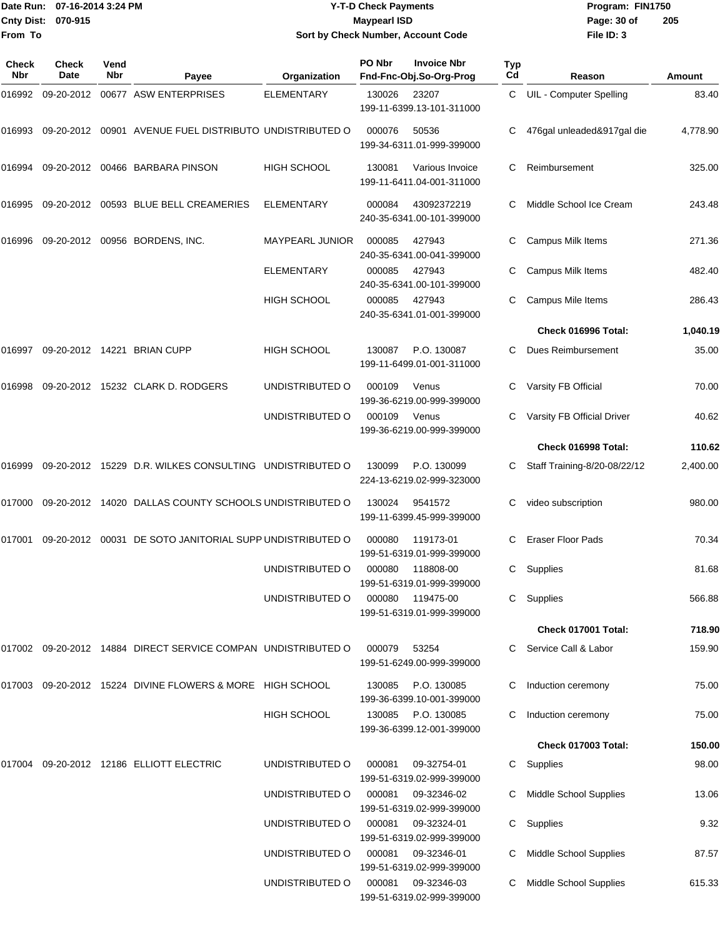| Date Run: 07-16-2014 3:24 PM |                      | <b>Y-T-D Check Payments</b> |                                                                 |                    |                     | Program: FIN1750                              |           |                              |          |
|------------------------------|----------------------|-----------------------------|-----------------------------------------------------------------|--------------------|---------------------|-----------------------------------------------|-----------|------------------------------|----------|
|                              | Cnty Dist: 070-915   |                             |                                                                 |                    | <b>Maypearl ISD</b> |                                               |           | Page: 30 of                  | 205      |
| From To                      |                      |                             |                                                                 |                    |                     | Sort by Check Number, Account Code            |           | File ID: 3                   |          |
| Check<br>Nbr                 | <b>Check</b><br>Date | Vend<br><b>Nbr</b>          | Payee                                                           | Organization       | PO Nbr              | <b>Invoice Nbr</b><br>Fnd-Fnc-Obj.So-Org-Prog | Typ<br>Cd | Reason                       | Amount   |
| 016992                       | 09-20-2012           |                             | 00677 ASW ENTERPRISES                                           | <b>ELEMENTARY</b>  | 130026              | 23207                                         | C         | UIL - Computer Spelling      | 83.40    |
|                              |                      |                             |                                                                 |                    |                     | 199-11-6399.13-101-311000                     |           |                              |          |
| 016993                       |                      |                             | 09-20-2012  00901  AVENUE FUEL DISTRIBUTO UNDISTRIBUTED O       |                    | 000076              | 50536<br>199-34-6311.01-999-399000            |           | 476gal unleaded&917gal die   | 4,778.90 |
| 016994                       | 09-20-2012           |                             | 00466 BARBARA PINSON                                            | <b>HIGH SCHOOL</b> | 130081              | Various Invoice<br>199-11-6411.04-001-311000  | С         | Reimbursement                | 325.00   |
| 016995                       |                      |                             | 09-20-2012 00593 BLUE BELL CREAMERIES                           | <b>ELEMENTARY</b>  | 000084              | 43092372219<br>240-35-6341.00-101-399000      | С         | Middle School Ice Cream      | 243.48   |
| 016996                       |                      |                             | 09-20-2012 00956 BORDENS, INC.                                  | MAYPEARL JUNIOR    | 000085              | 427943<br>240-35-6341.00-041-399000           | С         | Campus Milk Items            | 271.36   |
|                              |                      |                             |                                                                 | <b>ELEMENTARY</b>  | 000085              | 427943<br>240-35-6341.00-101-399000           | С         | Campus Milk Items            | 482.40   |
|                              |                      |                             |                                                                 | <b>HIGH SCHOOL</b> | 000085              | 427943<br>240-35-6341.01-001-399000           | С         | Campus Mile Items            | 286.43   |
|                              |                      |                             |                                                                 |                    |                     |                                               |           | Check 016996 Total:          | 1,040.19 |
| 016997                       |                      |                             | 09-20-2012 14221 BRIAN CUPP                                     | HIGH SCHOOL        | 130087              | P.O. 130087<br>199-11-6499.01-001-311000      | С         | Dues Reimbursement           | 35.00    |
| 016998                       |                      |                             | 09-20-2012 15232 CLARK D. RODGERS                               | UNDISTRIBUTED O    | 000109              | Venus<br>199-36-6219.00-999-399000            | С         | Varsity FB Official          | 70.00    |
|                              |                      |                             |                                                                 | UNDISTRIBUTED O    | 000109              | Venus<br>199-36-6219.00-999-399000            | С         | Varsity FB Official Driver   | 40.62    |
|                              |                      |                             |                                                                 |                    |                     |                                               |           | Check 016998 Total:          | 110.62   |
| 016999                       |                      |                             | 09-20-2012 15229 D.R. WILKES CONSULTING UNDISTRIBUTED O         |                    | 130099              | P.O. 130099<br>224-13-6219.02-999-323000      | C         | Staff Training-8/20-08/22/12 | 2,400.00 |
| 017000                       | 09-20-2012           |                             | 14020 DALLAS COUNTY SCHOOLS UNDISTRIBUTED O                     |                    | 130024              | 9541572<br>199-11-6399.45-999-399000          | С         | video subscription           | 980.00   |
|                              |                      |                             | 017001 09-20-2012 00031 DE SOTO JANITORIAL SUPP UNDISTRIBUTED O |                    | 000080              | 119173-01<br>199-51-6319.01-999-399000        |           | C Eraser Floor Pads          | 70.34    |
|                              |                      |                             |                                                                 | UNDISTRIBUTED O    | 000080              | 118808-00<br>199-51-6319.01-999-399000        |           | C Supplies                   | 81.68    |
|                              |                      |                             |                                                                 | UNDISTRIBUTED O    | 000080              | 119475-00<br>199-51-6319.01-999-399000        |           | C Supplies                   | 566.88   |
|                              |                      |                             |                                                                 |                    |                     |                                               |           | Check 017001 Total:          | 718.90   |
|                              |                      |                             | 017002 09-20-2012 14884 DIRECT SERVICE COMPAN UNDISTRIBUTED O   |                    | 000079              | 53254<br>199-51-6249.00-999-399000            |           | C Service Call & Labor       | 159.90   |
|                              |                      |                             | 017003 09-20-2012 15224 DIVINE FLOWERS & MORE HIGH SCHOOL       |                    | 130085              | P.O. 130085<br>199-36-6399.10-001-399000      |           | Induction ceremony           | 75.00    |
|                              |                      |                             |                                                                 | HIGH SCHOOL        | 130085              | P.O. 130085<br>199-36-6399.12-001-399000      |           | Induction ceremony           | 75.00    |
|                              |                      |                             |                                                                 |                    |                     |                                               |           | <b>Check 017003 Total:</b>   | 150.00   |
|                              |                      |                             | 017004 09-20-2012 12186 ELLIOTT ELECTRIC                        | UNDISTRIBUTED O    | 000081              | 09-32754-01<br>199-51-6319.02-999-399000      |           | C Supplies                   | 98.00    |
|                              |                      |                             |                                                                 | UNDISTRIBUTED O    | 000081              | 09-32346-02<br>199-51-6319.02-999-399000      |           | C Middle School Supplies     | 13.06    |
|                              |                      |                             |                                                                 | UNDISTRIBUTED O    | 000081              | 09-32324-01<br>199-51-6319.02-999-399000      | C.        | Supplies                     | 9.32     |
|                              |                      |                             |                                                                 | UNDISTRIBUTED O    | 000081              | 09-32346-01<br>199-51-6319.02-999-399000      |           | C Middle School Supplies     | 87.57    |

UNDISTRIBUTED O 000081 09-32346-03 C Middle School Supplies 615.33

199-51-6319.02-999-399000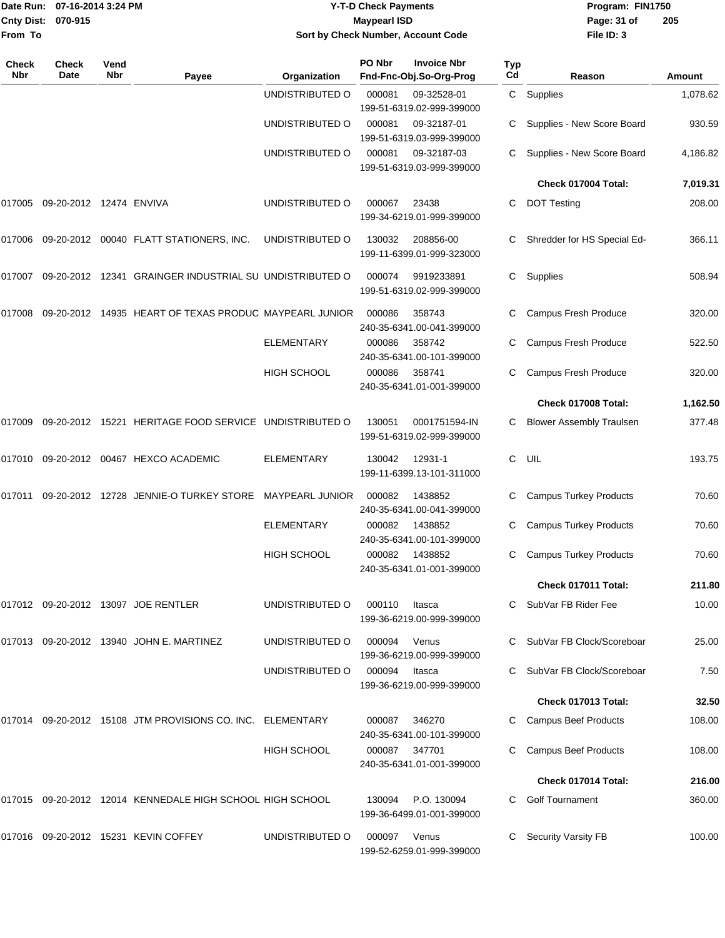|                     | Date Run: 07-16-2014 3:24 PM   |             |                                                                |                    | <b>Y-T-D Check Payments</b> | Program: FIN1750                              |              |                                 |          |
|---------------------|--------------------------------|-------------|----------------------------------------------------------------|--------------------|-----------------------------|-----------------------------------------------|--------------|---------------------------------|----------|
| <b>Cnty Dist:</b>   | 070-915                        |             |                                                                |                    | <b>Maypearl ISD</b>         |                                               |              | Page: 31 of                     | 205      |
| From To             |                                |             |                                                                |                    |                             | Sort by Check Number, Account Code            |              | File ID: 3                      |          |
| <b>Check</b><br>Nbr | <b>Check</b><br>Date           | Vend<br>Nbr | Payee                                                          | Organization       | PO Nbr                      | <b>Invoice Nbr</b><br>Fnd-Fnc-Obj.So-Org-Prog | Typ<br>Cd    | Reason                          | Amount   |
|                     |                                |             |                                                                | UNDISTRIBUTED O    | 000081                      | 09-32528-01                                   | $\mathsf{C}$ | Supplies                        | 1,078.62 |
|                     |                                |             |                                                                |                    |                             | 199-51-6319.02-999-399000                     |              |                                 |          |
|                     |                                |             |                                                                | UNDISTRIBUTED O    | 000081                      | 09-32187-01<br>199-51-6319.03-999-399000      | C.           | Supplies - New Score Board      | 930.59   |
|                     |                                |             |                                                                | UNDISTRIBUTED O    | 000081                      | 09-32187-03<br>199-51-6319.03-999-399000      |              | Supplies - New Score Board      | 4,186.82 |
|                     |                                |             |                                                                |                    |                             |                                               |              | Check 017004 Total:             | 7,019.31 |
|                     | 017005 09-20-2012 12474 ENVIVA |             |                                                                | UNDISTRIBUTED O    | 000067                      | 23438<br>199-34-6219.01-999-399000            | С            | <b>DOT Testing</b>              | 208.00   |
|                     |                                |             | 017006 09-20-2012 00040 FLATT STATIONERS, INC.                 | UNDISTRIBUTED O    | 130032                      | 208856-00<br>199-11-6399.01-999-323000        | С            | Shredder for HS Special Ed-     | 366.11   |
|                     |                                |             | 017007 09-20-2012 12341 GRAINGER INDUSTRIAL SU UNDISTRIBUTED O |                    | 000074                      | 9919233891<br>199-51-6319.02-999-399000       | С            | Supplies                        | 508.94   |
| 017008              |                                |             | 09-20-2012 14935 HEART OF TEXAS PRODUC MAYPEARL JUNIOR         |                    | 000086                      | 358743<br>240-35-6341.00-041-399000           |              | Campus Fresh Produce            | 320.00   |
|                     |                                |             |                                                                | ELEMENTARY         | 000086                      | 358742<br>240-35-6341.00-101-399000           | C            | Campus Fresh Produce            | 522.50   |
|                     |                                |             |                                                                | <b>HIGH SCHOOL</b> | 000086                      | 358741<br>240-35-6341.01-001-399000           | C            | Campus Fresh Produce            | 320.00   |
|                     |                                |             |                                                                |                    |                             |                                               |              | Check 017008 Total:             | 1,162.50 |
| 017009              |                                |             | 09-20-2012 15221 HERITAGE FOOD SERVICE UNDISTRIBUTED O         |                    | 130051                      | 0001751594-IN<br>199-51-6319.02-999-399000    | C            | <b>Blower Assembly Traulsen</b> | 377.48   |
|                     |                                |             | 017010 09-20-2012 00467 HEXCO ACADEMIC                         | ELEMENTARY         | 130042                      | 12931-1<br>199-11-6399.13-101-311000          | C            | UIL                             | 193.75   |
| 017011              |                                |             | 09-20-2012 12728 JENNIE-O TURKEY STORE MAYPEARL JUNIOR         |                    | 000082                      | 1438852<br>240-35-6341.00-041-399000          | C            | <b>Campus Turkey Products</b>   | 70.60    |
|                     |                                |             |                                                                | <b>ELEMENTARY</b>  |                             | 000082 1438852<br>240-35-6341.00-101-399000   |              | C Campus Turkey Products        | 70.60    |
|                     |                                |             |                                                                | <b>HIGH SCHOOL</b> |                             | 000082 1438852<br>240-35-6341.01-001-399000   |              | C Campus Turkey Products        | 70.60    |
|                     |                                |             |                                                                |                    |                             |                                               |              | Check 017011 Total:             | 211.80   |
|                     |                                |             | 017012 09-20-2012 13097 JOE RENTLER                            | UNDISTRIBUTED O    | 000110                      | Itasca<br>199-36-6219.00-999-399000           |              | C SubVar FB Rider Fee           | 10.00    |
|                     |                                |             | 017013 09-20-2012 13940 JOHN E. MARTINEZ                       | UNDISTRIBUTED O    | 000094                      | Venus<br>199-36-6219.00-999-399000            |              | C SubVar FB Clock/Scoreboar     | 25.00    |
|                     |                                |             |                                                                | UNDISTRIBUTED O    | 000094                      | Itasca<br>199-36-6219.00-999-399000           |              | C SubVar FB Clock/Scoreboar     | 7.50     |
|                     |                                |             |                                                                |                    |                             |                                               |              | Check 017013 Total:             | 32.50    |
|                     |                                |             | 017014 09-20-2012 15108 JTM PROVISIONS CO. INC. ELEMENTARY     |                    | 000087                      | 346270<br>240-35-6341.00-101-399000           |              | <b>Campus Beef Products</b>     | 108.00   |
|                     |                                |             |                                                                | <b>HIGH SCHOOL</b> | 000087                      | 347701<br>240-35-6341.01-001-399000           |              | <b>Campus Beef Products</b>     | 108.00   |
|                     |                                |             |                                                                |                    |                             |                                               |              | Check 017014 Total:             | 216.00   |
|                     |                                |             | 017015 09-20-2012 12014 KENNEDALE HIGH SCHOOL HIGH SCHOOL      |                    | 130094                      | P.O. 130094<br>199-36-6499.01-001-399000      | C.           | <b>Golf Tournament</b>          | 360.00   |
|                     |                                |             | 017016 09-20-2012 15231 KEVIN COFFEY                           | UNDISTRIBUTED O    | 000097                      | Venus                                         | C.           | <b>Security Varsity FB</b>      | 100.00   |

199-52-6259.01-999-399000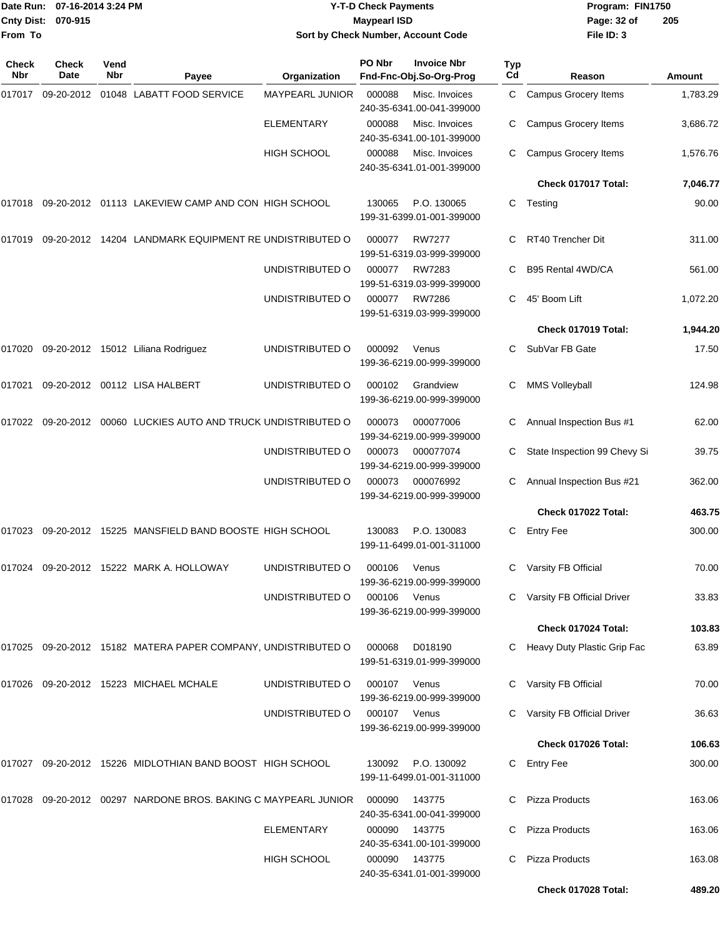|                    | Date Run: 07-16-2014 3:24 PM |
|--------------------|------------------------------|
| Cnty Dist: 070-915 |                              |
| From To            |                              |

## **Date Run: Program: FIN1750 07-16-2014 3:24 PM Y-T-D Check Payments Cnty Dist: Page: 32 of 070-915 Maypearl ISD Sort by Check Number, Account Code**

| Check<br>Nbr | <b>Check</b><br>Date | Vend<br><b>Nbr</b> | Payee                                                          | Organization      | PO Nbr       | <b>Invoice Nbr</b><br>Fnd-Fnc-Obj.So-Org-Prog | <b>Typ</b><br>Cd | Reason                        | Amount   |
|--------------|----------------------|--------------------|----------------------------------------------------------------|-------------------|--------------|-----------------------------------------------|------------------|-------------------------------|----------|
| 017017       | 09-20-2012           |                    | 01048 LABATT FOOD SERVICE                                      | MAYPEARL JUNIOR   | 000088       | Misc. Invoices<br>240-35-6341.00-041-399000   | C.               | <b>Campus Grocery Items</b>   | 1,783.29 |
|              |                      |                    |                                                                | <b>ELEMENTARY</b> | 000088       | Misc. Invoices<br>240-35-6341.00-101-399000   | С                | Campus Grocery Items          | 3,686.72 |
|              |                      |                    |                                                                | HIGH SCHOOL       | 000088       | Misc. Invoices<br>240-35-6341.01-001-399000   | С                | <b>Campus Grocery Items</b>   | 1,576.76 |
|              |                      |                    |                                                                |                   |              |                                               |                  | Check 017017 Total:           | 7,046.77 |
| 017018       |                      |                    | 09-20-2012 01113 LAKEVIEW CAMP AND CON HIGH SCHOOL             |                   | 130065       | P.O. 130065<br>199-31-6399.01-001-399000      | C                | Testing                       | 90.00    |
| 017019       |                      |                    | 09-20-2012 14204 LANDMARK EQUIPMENT RE UNDISTRIBUTED O         |                   | 000077       | <b>RW7277</b><br>199-51-6319.03-999-399000    | C                | RT40 Trencher Dit             | 311.00   |
|              |                      |                    |                                                                | UNDISTRIBUTED O   | 000077       | RW7283<br>199-51-6319.03-999-399000           | С                | B95 Rental 4WD/CA             | 561.00   |
|              |                      |                    |                                                                | UNDISTRIBUTED O   | 000077       | <b>RW7286</b><br>199-51-6319.03-999-399000    | C                | 45' Boom Lift                 | 1,072.20 |
|              |                      |                    |                                                                |                   |              |                                               |                  | Check 017019 Total:           | 1,944.20 |
|              |                      |                    | 017020 09-20-2012 15012 Liliana Rodriguez                      | UNDISTRIBUTED O   | 000092       | Venus<br>199-36-6219.00-999-399000            |                  | SubVar FB Gate                | 17.50    |
| 017021       |                      |                    | 09-20-2012 00112 LISA HALBERT                                  | UNDISTRIBUTED O   | 000102       | Grandview<br>199-36-6219.00-999-399000        | С                | <b>MMS Volleyball</b>         | 124.98   |
| 017022       |                      |                    | 09-20-2012 00060 LUCKIES AUTO AND TRUCK UNDISTRIBUTED O        |                   | 000073       | 000077006<br>199-34-6219.00-999-399000        | С                | Annual Inspection Bus #1      | 62.00    |
|              |                      |                    |                                                                | UNDISTRIBUTED O   | 000073       | 000077074<br>199-34-6219.00-999-399000        |                  | State Inspection 99 Chevy Si  | 39.75    |
|              |                      |                    |                                                                | UNDISTRIBUTED O   | 000073       | 000076992<br>199-34-6219.00-999-399000        | С                | Annual Inspection Bus #21     | 362.00   |
|              |                      |                    |                                                                |                   |              |                                               |                  | Check 017022 Total:           | 463.75   |
| 017023       |                      |                    | 09-20-2012 15225 MANSFIELD BAND BOOSTE HIGH SCHOOL             |                   | 130083       | P.O. 130083<br>199-11-6499.01-001-311000      | С                | <b>Entry Fee</b>              | 300.00   |
| 017024       |                      |                    | 09-20-2012 15222 MARK A. HOLLOWAY                              | UNDISTRIBUTED O   | 000106       | Venus<br>199-36-6219.00-999-399000            | С                | Varsity FB Official           | 70.00    |
|              |                      |                    |                                                                | UNDISTRIBUTED O   | 000106       | Venus<br>199-36-6219.00-999-399000            |                  | Varsity FB Official Driver    | 33.83    |
|              |                      |                    |                                                                |                   |              |                                               |                  | Check 017024 Total:           | 103.83   |
|              |                      |                    | 017025 09-20-2012 15182 MATERA PAPER COMPANY, UNDISTRIBUTED O  |                   | 000068       | D018190<br>199-51-6319.01-999-399000          |                  | C Heavy Duty Plastic Grip Fac | 63.89    |
|              |                      |                    | 017026  09-20-2012  15223  MICHAEL MCHALE                      | UNDISTRIBUTED O   | 000107       | Venus<br>199-36-6219.00-999-399000            |                  | Varsity FB Official           | 70.00    |
|              |                      |                    |                                                                | UNDISTRIBUTED O   | 000107 Venus | 199-36-6219.00-999-399000                     |                  | Varsity FB Official Driver    | 36.63    |
|              |                      |                    |                                                                |                   |              |                                               |                  | Check 017026 Total:           | 106.63   |
| 017027       |                      |                    | 09-20-2012 15226 MIDLOTHIAN BAND BOOST HIGH SCHOOL             |                   | 130092       | P.O. 130092<br>199-11-6499.01-001-311000      | C                | <b>Entry Fee</b>              | 300.00   |
|              |                      |                    | 017028 09-20-2012 00297 NARDONE BROS. BAKING C MAYPEARL JUNIOR |                   | 000090       | 143775<br>240-35-6341.00-041-399000           |                  | <b>Pizza Products</b>         | 163.06   |
|              |                      |                    |                                                                | <b>ELEMENTARY</b> | 000090       | 143775<br>240-35-6341.00-101-399000           | C.               | <b>Pizza Products</b>         | 163.06   |
|              |                      |                    |                                                                | HIGH SCHOOL       | 000090       | 143775<br>240-35-6341.01-001-399000           | C                | Pizza Products                | 163.08   |
|              |                      |                    |                                                                |                   |              |                                               |                  | Check 017028 Total:           | 489.20   |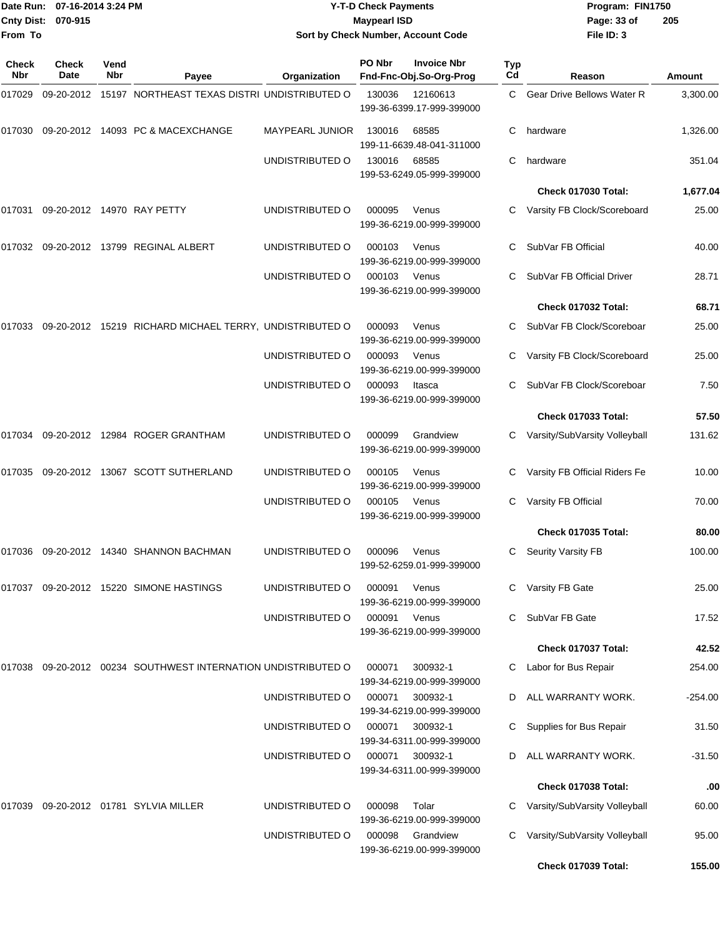|                     | Date Run: 07-16-2014 3:24 PM |             | <b>Y-T-D Check Payments</b>                                    |                                    |                     |                                                 | Program: FIN1750 |                                                                |                |
|---------------------|------------------------------|-------------|----------------------------------------------------------------|------------------------------------|---------------------|-------------------------------------------------|------------------|----------------------------------------------------------------|----------------|
| <b>Cnty Dist:</b>   | 070-915                      |             |                                                                |                                    | <b>Maypearl ISD</b> |                                                 |                  | Page: 33 of                                                    | 205            |
| From To             |                              |             |                                                                |                                    |                     | Sort by Check Number, Account Code              |                  | File ID: 3                                                     |                |
| <b>Check</b><br>Nbr | <b>Check</b><br>Date         | Vend<br>Nbr | Payee                                                          | Organization                       | PO Nbr              | <b>Invoice Nbr</b><br>Fnd-Fnc-Obj.So-Org-Prog   | Typ<br>Cd        | Reason                                                         | Amount         |
| 017029              |                              |             | 09-20-2012 15197 NORTHEAST TEXAS DISTRI UNDISTRIBUTED O        |                                    | 130036              | 12160613<br>199-36-6399.17-999-399000           | C.               | Gear Drive Bellows Water R                                     | 3,300.00       |
| 017030              |                              |             | 09-20-2012 14093 PC & MACEXCHANGE                              | <b>MAYPEARL JUNIOR</b>             | 130016              | 68585<br>199-11-6639.48-041-311000              | C                | hardware                                                       | 1,326.00       |
|                     |                              |             |                                                                | UNDISTRIBUTED O                    | 130016              | 68585<br>199-53-6249.05-999-399000              | С                | hardware                                                       | 351.04         |
|                     |                              |             |                                                                |                                    |                     |                                                 |                  | <b>Check 017030 Total:</b>                                     | 1,677.04       |
| 017031              |                              |             | 09-20-2012 14970 RAY PETTY                                     | UNDISTRIBUTED O                    | 000095              | Venus<br>199-36-6219.00-999-399000              | C                | Varsity FB Clock/Scoreboard                                    | 25.00          |
|                     |                              |             | 017032 09-20-2012 13799 REGINAL ALBERT                         | UNDISTRIBUTED O                    | 000103              | Venus<br>199-36-6219.00-999-399000              | C                | SubVar FB Official                                             | 40.00          |
|                     |                              |             |                                                                | UNDISTRIBUTED O                    | 000103              | Venus<br>199-36-6219.00-999-399000              |                  | SubVar FB Official Driver                                      | 28.71          |
|                     |                              |             |                                                                |                                    |                     |                                                 |                  | Check 017032 Total:                                            | 68.71          |
|                     |                              |             | 017033 09-20-2012 15219 RICHARD MICHAEL TERRY, UNDISTRIBUTED O |                                    | 000093              | Venus<br>199-36-6219.00-999-399000              |                  | SubVar FB Clock/Scoreboar                                      | 25.00          |
|                     |                              |             |                                                                | UNDISTRIBUTED O                    | 000093              | Venus<br>199-36-6219.00-999-399000              | C                | Varsity FB Clock/Scoreboard                                    | 25.00          |
|                     |                              |             |                                                                | UNDISTRIBUTED O                    | 000093              | Itasca<br>199-36-6219.00-999-399000             |                  | SubVar FB Clock/Scoreboar                                      | 7.50           |
|                     |                              |             |                                                                |                                    |                     |                                                 |                  | <b>Check 017033 Total:</b>                                     | 57.50          |
| 017034              |                              |             | 09-20-2012 12984 ROGER GRANTHAM                                | UNDISTRIBUTED O                    | 000099              | Grandview<br>199-36-6219.00-999-399000          |                  | Varsity/SubVarsity Volleyball                                  | 131.62         |
| 017035              |                              |             | 09-20-2012 13067 SCOTT SUTHERLAND                              | UNDISTRIBUTED O                    | 000105              | Venus<br>199-36-6219.00-999-399000              |                  | Varsity FB Official Riders Fe                                  | 10.00          |
|                     |                              |             |                                                                | UNDISTRIBUTED O                    | 000105              | Venus<br>199-36-6219.00-999-399000              | С                | Varsity FB Official                                            | 70.00          |
|                     |                              |             |                                                                |                                    |                     |                                                 |                  | Check 017035 Total:                                            | 80.00          |
|                     |                              |             | 017036 09-20-2012 14340 SHANNON BACHMAN                        | UNDISTRIBUTED O                    | 000096              | Venus<br>199-52-6259.01-999-399000              | C.               | <b>Seurity Varsity FB</b>                                      | 100.00         |
|                     |                              |             | 017037 09-20-2012 15220 SIMONE HASTINGS                        | UNDISTRIBUTED O                    | 000091              | Venus<br>199-36-6219.00-999-399000              |                  | Varsity FB Gate                                                | 25.00          |
|                     |                              |             |                                                                | UNDISTRIBUTED O                    | 000091              | Venus<br>199-36-6219.00-999-399000              |                  | SubVar FB Gate                                                 | 17.52          |
|                     |                              |             |                                                                |                                    |                     |                                                 |                  | Check 017037 Total:                                            | 42.52          |
| 017038              |                              |             | 09-20-2012  00234  SOUTHWEST INTERNATION UNDISTRIBUTED O       |                                    | 000071              | 300932-1<br>199-34-6219.00-999-399000           | C.               | Labor for Bus Repair                                           | 254.00         |
|                     |                              |             |                                                                | UNDISTRIBUTED O                    | 000071              | 300932-1<br>199-34-6219.00-999-399000           | D                | ALL WARRANTY WORK.                                             | $-254.00$      |
|                     |                              |             |                                                                | UNDISTRIBUTED O                    | 000071              | 300932-1<br>199-34-6311.00-999-399000           |                  | Supplies for Bus Repair                                        | 31.50          |
|                     |                              |             |                                                                | UNDISTRIBUTED O                    | 000071              | 300932-1<br>199-34-6311.00-999-399000           |                  | ALL WARRANTY WORK.                                             | $-31.50$       |
|                     |                              |             |                                                                |                                    |                     |                                                 |                  | Check 017038 Total:                                            | .00            |
| 017039              |                              |             | 09-20-2012 01781 SYLVIA MILLER                                 | UNDISTRIBUTED O<br>UNDISTRIBUTED O | 000098<br>000098    | Tolar<br>199-36-6219.00-999-399000<br>Grandview | С                | Varsity/SubVarsity Volleyball<br>Varsity/SubVarsity Volleyball | 60.00<br>95.00 |
|                     |                              |             |                                                                |                                    |                     | 199-36-6219.00-999-399000                       |                  | Check 017039 Total:                                            | 155.00         |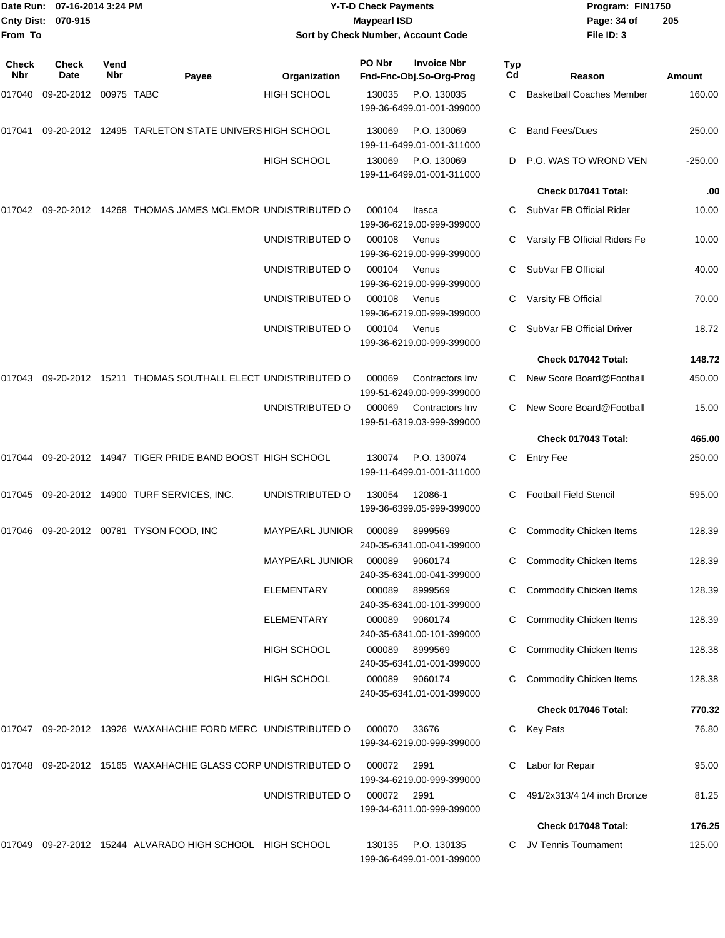| From To      | Date Run: 07-16-2014 3:24 PM<br>Cnty Dist: 070-915 |                    |                                                               | Sort by Check Number, Account Code | <b>Y-T-D Check Payments</b><br><b>Maypearl ISD</b> |                                                 |           | Program: FIN1750<br>Page: 34 of<br>File ID: 3    | 205             |  |
|--------------|----------------------------------------------------|--------------------|---------------------------------------------------------------|------------------------------------|----------------------------------------------------|-------------------------------------------------|-----------|--------------------------------------------------|-----------------|--|
|              |                                                    |                    |                                                               |                                    | PO Nbr                                             | <b>Invoice Nbr</b>                              |           |                                                  |                 |  |
| Check<br>Nbr | <b>Check</b><br>Date                               | Vend<br><b>Nbr</b> | Payee                                                         | Organization                       |                                                    | Fnd-Fnc-Obj.So-Org-Prog                         | Typ<br>Cd | Reason                                           | <b>Amount</b>   |  |
| 017040       | 09-20-2012                                         | 00975 TABC         |                                                               | <b>HIGH SCHOOL</b>                 | 130035                                             | P.O. 130035<br>199-36-6499.01-001-399000        | C         | <b>Basketball Coaches Member</b>                 | 160.00          |  |
| 017041       |                                                    |                    | 09-20-2012 12495 TARLETON STATE UNIVERS HIGH SCHOOL           |                                    | 130069                                             | P.O. 130069<br>199-11-6499.01-001-311000        | C         | <b>Band Fees/Dues</b>                            | 250.00          |  |
|              |                                                    |                    |                                                               | <b>HIGH SCHOOL</b>                 | 130069                                             | P.O. 130069<br>199-11-6499.01-001-311000        | D         | P.O. WAS TO WROND VEN                            | $-250.00$       |  |
|              |                                                    |                    |                                                               |                                    |                                                    |                                                 |           | Check 017041 Total:                              | .00             |  |
|              |                                                    |                    | 017042 09-20-2012 14268 THOMAS JAMES MCLEMOR UNDISTRIBUTED O  |                                    | 000104                                             | Itasca<br>199-36-6219.00-999-399000             |           | SubVar FB Official Rider                         | 10.00           |  |
|              |                                                    |                    |                                                               | UNDISTRIBUTED O                    | 000108                                             | Venus<br>199-36-6219.00-999-399000              |           | Varsity FB Official Riders Fe                    | 10.00           |  |
|              |                                                    |                    |                                                               | UNDISTRIBUTED O                    | 000104                                             | Venus<br>199-36-6219.00-999-399000              | С         | SubVar FB Official                               | 40.00           |  |
|              |                                                    |                    |                                                               | UNDISTRIBUTED O                    | 000108                                             | Venus<br>199-36-6219.00-999-399000              |           | Varsity FB Official                              | 70.00           |  |
|              |                                                    |                    |                                                               | UNDISTRIBUTED O                    | 000104                                             | Venus<br>199-36-6219.00-999-399000              |           | SubVar FB Official Driver<br>Check 017042 Total: | 18.72<br>148.72 |  |
|              |                                                    |                    |                                                               |                                    |                                                    |                                                 |           |                                                  |                 |  |
| 017043       |                                                    |                    | 09-20-2012 15211 THOMAS SOUTHALL ELECT UNDISTRIBUTED O        |                                    | 000069                                             | Contractors Inv<br>199-51-6249.00-999-399000    |           | New Score Board@Football                         | 450.00          |  |
|              |                                                    |                    |                                                               | UNDISTRIBUTED O                    | 000069                                             | Contractors Inv<br>199-51-6319.03-999-399000    | С         | New Score Board@Football                         | 15.00           |  |
|              |                                                    |                    |                                                               |                                    |                                                    |                                                 |           | Check 017043 Total:                              | 465.00          |  |
| 017044       |                                                    |                    | 09-20-2012 14947 TIGER PRIDE BAND BOOST HIGH SCHOOL           |                                    | 130074                                             | P.O. 130074<br>199-11-6499.01-001-311000        | С         | <b>Entry Fee</b>                                 | 250.00          |  |
| 017045       |                                                    |                    | 09-20-2012  14900 TURF SERVICES, INC.                         | UNDISTRIBUTED O                    | 130054                                             | 12086-1<br>199-36-6399.05-999-399000            |           | <b>Football Field Stencil</b>                    | 595.00          |  |
|              |                                                    |                    | 017046 09-20-2012 00781 TYSON FOOD, INC                       | MAYPEARL JUNIOR                    | 000089                                             | 8999569<br>240-35-6341.00-041-399000            |           | C Commodity Chicken Items                        | 128.39          |  |
|              |                                                    |                    |                                                               | MAYPEARL JUNIOR                    | 000089                                             | 9060174<br>240-35-6341.00-041-399000            |           | C Commodity Chicken Items                        | 128.39          |  |
|              |                                                    |                    |                                                               | ELEMENTARY                         | 000089                                             | 8999569<br>240-35-6341.00-101-399000            |           | <b>Commodity Chicken Items</b>                   | 128.39          |  |
|              |                                                    |                    |                                                               | <b>ELEMENTARY</b>                  | 000089                                             | 9060174<br>240-35-6341.00-101-399000            |           | C Commodity Chicken Items                        | 128.39          |  |
|              |                                                    |                    |                                                               | <b>HIGH SCHOOL</b>                 | 000089                                             | 8999569<br>240-35-6341.01-001-399000            |           | C Commodity Chicken Items                        | 128.38          |  |
|              |                                                    |                    |                                                               | <b>HIGH SCHOOL</b>                 | 000089                                             | 9060174<br>240-35-6341.01-001-399000            |           | <b>Commodity Chicken Items</b>                   | 128.38          |  |
|              |                                                    |                    |                                                               |                                    |                                                    |                                                 |           | Check 017046 Total:                              | 770.32          |  |
|              |                                                    |                    | 017047 09-20-2012 13926 WAXAHACHIE FORD MERC UNDISTRIBUTED O  |                                    | 000070                                             | 33676<br>199-34-6219.00-999-399000              |           | C Key Pats                                       | 76.80           |  |
|              |                                                    |                    | 017048 09-20-2012 15165 WAXAHACHIE GLASS CORP UNDISTRIBUTED O |                                    | 000072                                             | 2991<br>199-34-6219.00-999-399000               | С         | Labor for Repair                                 | 95.00           |  |
|              |                                                    |                    |                                                               | UNDISTRIBUTED O                    | 000072 2991                                        | 199-34-6311.00-999-399000                       |           | 491/2x313/4 1/4 inch Bronze                      | 81.25           |  |
|              |                                                    |                    |                                                               |                                    |                                                    |                                                 |           | Check 017048 Total:                              | 176.25          |  |
|              |                                                    |                    | 017049 09-27-2012 15244 ALVARADO HIGH SCHOOL HIGH SCHOOL      |                                    |                                                    | 130135 P.O. 130135<br>199-36-6499.01-001-399000 |           | C JV Tennis Tournament                           | 125.00          |  |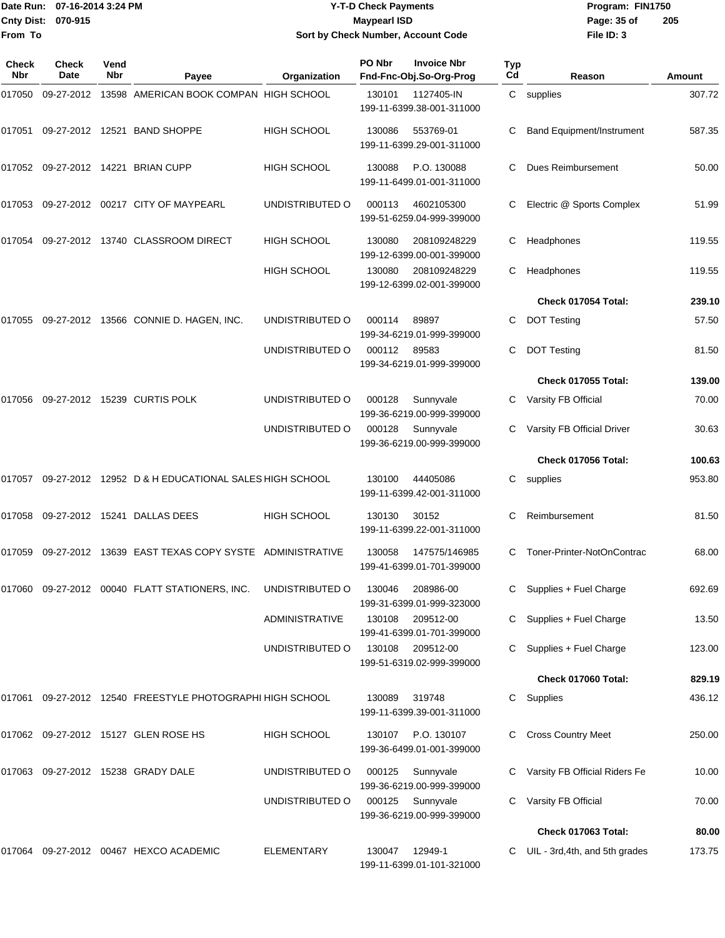|                    | Date Run: 07-16-2014 3:24 PM |
|--------------------|------------------------------|
| Cnty Dist: 070-915 |                              |
| lFrom To           |                              |

## **Date Run: Program: FIN1750 07-16-2014 3:24 PM Y-T-D Check Payments Cnty Dist: Page: 35 of 070-915 Maypearl ISD Sort by Check Number, Account Code**

| <b>Check</b><br><b>Nbr</b> | Check<br>Date | Vend<br>Nbr | Payee                                                     | Organization          | PO Nbr       | <b>Invoice Nbr</b><br>Fnd-Fnc-Obj.So-Org-Prog | Typ<br>Cd | Reason                           | Amount |
|----------------------------|---------------|-------------|-----------------------------------------------------------|-----------------------|--------------|-----------------------------------------------|-----------|----------------------------------|--------|
| 017050                     |               |             | 09-27-2012 13598 AMERICAN BOOK COMPAN HIGH SCHOOL         |                       | 130101       | 1127405-IN<br>199-11-6399.38-001-311000       |           | C supplies                       | 307.72 |
| 017051                     |               |             | 09-27-2012 12521 BAND SHOPPE                              | <b>HIGH SCHOOL</b>    | 130086       | 553769-01<br>199-11-6399.29-001-311000        | C.        | Band Equipment/Instrument        | 587.35 |
|                            |               |             | 017052 09-27-2012 14221 BRIAN CUPP                        | <b>HIGH SCHOOL</b>    | 130088       | P.O. 130088<br>199-11-6499.01-001-311000      | C         | Dues Reimbursement               | 50.00  |
|                            |               |             | 017053 09-27-2012 00217 CITY OF MAYPEARL                  | UNDISTRIBUTED O       | 000113       | 4602105300<br>199-51-6259.04-999-399000       |           | Electric @ Sports Complex        | 51.99  |
| 017054                     |               |             | 09-27-2012 13740 CLASSROOM DIRECT                         | <b>HIGH SCHOOL</b>    | 130080       | 208109248229<br>199-12-6399.00-001-399000     | С         | Headphones                       | 119.55 |
|                            |               |             |                                                           | <b>HIGH SCHOOL</b>    | 130080       | 208109248229<br>199-12-6399.02-001-399000     | С         | Headphones                       | 119.55 |
|                            |               |             |                                                           |                       |              |                                               |           | Check 017054 Total:              | 239.10 |
| 017055                     |               |             | 09-27-2012 13566 CONNIE D. HAGEN, INC.                    | UNDISTRIBUTED O       | 000114       | 89897<br>199-34-6219.01-999-399000            | С         | <b>DOT Testing</b>               | 57.50  |
|                            |               |             |                                                           | UNDISTRIBUTED O       | 000112 89583 | 199-34-6219.01-999-399000                     | С         | <b>DOT Testing</b>               | 81.50  |
|                            |               |             |                                                           |                       |              |                                               |           | Check 017055 Total:              | 139.00 |
| 017056                     |               |             | 09-27-2012 15239 CURTIS POLK                              | UNDISTRIBUTED O       | 000128       | Sunnyvale<br>199-36-6219.00-999-399000        |           | Varsity FB Official              | 70.00  |
|                            |               |             |                                                           | UNDISTRIBUTED O       | 000128       | Sunnyvale<br>199-36-6219.00-999-399000        |           | Varsity FB Official Driver       | 30.63  |
|                            |               |             |                                                           |                       |              |                                               |           | Check 017056 Total:              | 100.63 |
| 017057                     |               |             | 09-27-2012 12952 D & H EDUCATIONAL SALES HIGH SCHOOL      |                       | 130100       | 44405086<br>199-11-6399.42-001-311000         | С         | supplies                         | 953.80 |
| 017058                     |               |             | 09-27-2012 15241 DALLAS DEES                              | <b>HIGH SCHOOL</b>    | 130130       | 30152<br>199-11-6399.22-001-311000            | C         | Reimbursement                    | 81.50  |
| 017059                     |               |             | 09-27-2012 13639 EAST TEXAS COPY SYSTE ADMINISTRATIVE     |                       | 130058       | 147575/146985<br>199-41-6399.01-701-399000    | С         | Toner-Printer-NotOnContrac       | 68.00  |
|                            |               |             | 017060 09-27-2012 00040 FLATT STATIONERS, INC.            | UNDISTRIBUTED O       | 130046       | 208986-00<br>199-31-6399.01-999-323000        |           | C Supplies + Fuel Charge         | 692.69 |
|                            |               |             |                                                           | <b>ADMINISTRATIVE</b> | 130108       | 209512-00<br>199-41-6399.01-701-399000        | C.        | Supplies + Fuel Charge           | 13.50  |
|                            |               |             |                                                           | UNDISTRIBUTED O       | 130108       | 209512-00<br>199-51-6319.02-999-399000        |           | Supplies + Fuel Charge           | 123.00 |
|                            |               |             |                                                           |                       |              |                                               |           | Check 017060 Total:              | 829.19 |
|                            |               |             | 017061 09-27-2012 12540 FREESTYLE PHOTOGRAPHI HIGH SCHOOL |                       | 130089       | 319748<br>199-11-6399.39-001-311000           |           | C Supplies                       | 436.12 |
|                            |               |             | 017062 09-27-2012 15127 GLEN ROSE HS                      | HIGH SCHOOL           | 130107       | P.O. 130107<br>199-36-6499.01-001-399000      |           | C Cross Country Meet             | 250.00 |
|                            |               |             | 017063 09-27-2012 15238 GRADY DALE                        | UNDISTRIBUTED O       | 000125       | Sunnyvale<br>199-36-6219.00-999-399000        |           | C Varsity FB Official Riders Fe  | 10.00  |
|                            |               |             |                                                           | UNDISTRIBUTED O       | 000125       | Sunnyvale<br>199-36-6219.00-999-399000        |           | C Varsity FB Official            | 70.00  |
|                            |               |             |                                                           |                       |              |                                               |           | Check 017063 Total:              | 80.00  |
|                            |               |             | 017064 09-27-2012 00467 HEXCO ACADEMIC                    | <b>ELEMENTARY</b>     | 130047       | 12949-1<br>199-11-6399.01-101-321000          |           | C UIL - 3rd, 4th, and 5th grades | 173.75 |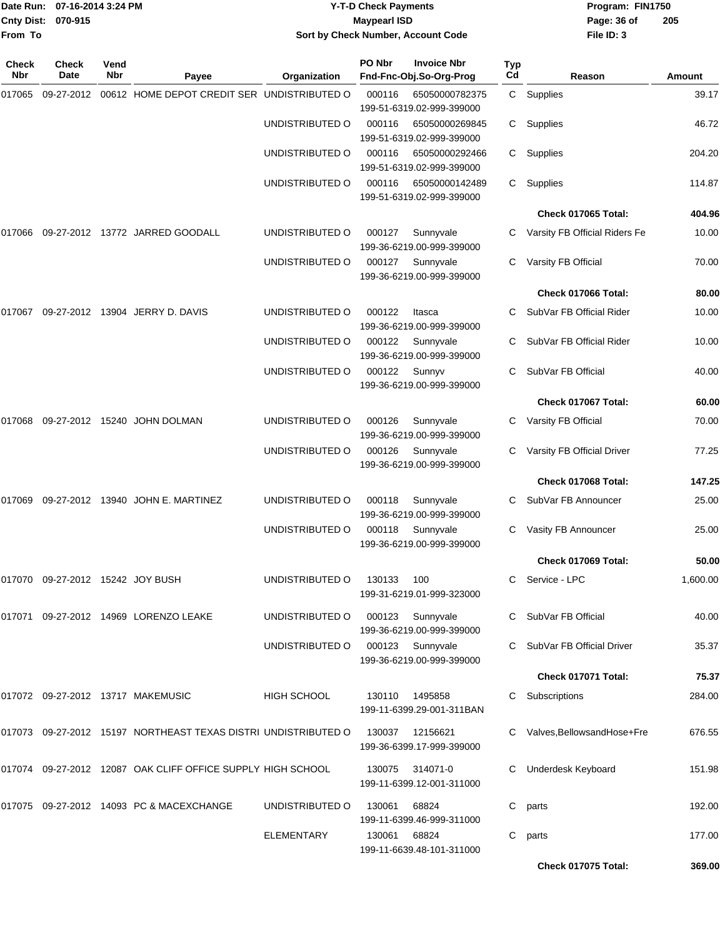|                   | Date Run: 07-16-2014 3:24 PM     |             |                                                                |                                  | <b>Y-T-D Check Payments</b> |                                               |                  | Program: FIN1750               |          |
|-------------------|----------------------------------|-------------|----------------------------------------------------------------|----------------------------------|-----------------------------|-----------------------------------------------|------------------|--------------------------------|----------|
| <b>Cnty Dist:</b> | 070-915                          |             |                                                                |                                  | <b>Maypearl ISD</b>         |                                               |                  | Page: 36 of                    | 205      |
| From To           |                                  |             |                                                                |                                  |                             | Sort by Check Number, Account Code            |                  | File ID: 3                     |          |
| Check<br>Nbr      | <b>Check</b><br>Date             | Vend<br>Nbr | Payee                                                          | Organization                     | PO Nbr                      | <b>Invoice Nbr</b><br>Fnd-Fnc-Obj.So-Org-Prog | <b>Typ</b><br>Cd | Reason                         | Amount   |
| 017065            | 09-27-2012                       |             | 00612 HOME DEPOT CREDIT SER UNDISTRIBUTED O                    |                                  | 000116                      | 65050000782375<br>199-51-6319.02-999-399000   |                  | C Supplies                     | 39.17    |
|                   |                                  |             |                                                                | UNDISTRIBUTED O                  | 000116                      | 65050000269845<br>199-51-6319.02-999-399000   | C                | Supplies                       | 46.72    |
|                   |                                  |             |                                                                | UNDISTRIBUTED O                  | 000116                      | 65050000292466<br>199-51-6319.02-999-399000   | C                | Supplies                       | 204.20   |
|                   |                                  |             |                                                                | UNDISTRIBUTED O                  | 000116                      | 65050000142489<br>199-51-6319.02-999-399000   | C.               | Supplies                       | 114.87   |
|                   |                                  |             |                                                                |                                  |                             |                                               |                  | Check 017065 Total:            | 404.96   |
| 017066            |                                  |             | 09-27-2012 13772 JARRED GOODALL                                | UNDISTRIBUTED O                  | 000127                      | Sunnyvale<br>199-36-6219.00-999-399000        | C.               | Varsity FB Official Riders Fe  | 10.00    |
|                   |                                  |             |                                                                | UNDISTRIBUTED O                  | 000127                      | Sunnyvale<br>199-36-6219.00-999-399000        |                  | Varsity FB Official            | 70.00    |
|                   |                                  |             |                                                                |                                  |                             |                                               |                  | Check 017066 Total:            | 80.00    |
| 017067            |                                  |             | 09-27-2012 13904 JERRY D. DAVIS                                | UNDISTRIBUTED O                  | 000122                      | Itasca<br>199-36-6219.00-999-399000           | C                | SubVar FB Official Rider       | 10.00    |
|                   |                                  |             |                                                                | UNDISTRIBUTED O                  | 000122                      | Sunnyvale<br>199-36-6219.00-999-399000        |                  | SubVar FB Official Rider       | 10.00    |
|                   |                                  |             |                                                                | UNDISTRIBUTED O                  | 000122                      | Sunnyv<br>199-36-6219.00-999-399000           | C                | SubVar FB Official             | 40.00    |
|                   |                                  |             |                                                                |                                  |                             |                                               |                  | Check 017067 Total:            | 60.00    |
|                   |                                  |             | 017068 09-27-2012 15240 JOHN DOLMAN                            | UNDISTRIBUTED O                  | 000126                      | Sunnyvale<br>199-36-6219.00-999-399000        | C.               | Varsity FB Official            | 70.00    |
|                   |                                  |             |                                                                | UNDISTRIBUTED O                  | 000126                      | Sunnyvale<br>199-36-6219.00-999-399000        | C                | Varsity FB Official Driver     | 77.25    |
|                   |                                  |             |                                                                |                                  |                             |                                               |                  | Check 017068 Total:            | 147.25   |
| 017069            |                                  |             | 09-27-2012 13940 JOHN E. MARTINEZ                              | UNDISTRIBUTED O                  | 000118                      | Sunnyvale<br>199-36-6219.00-999-399000        | C.               | SubVar FB Announcer            | 25.00    |
|                   |                                  |             |                                                                | UNDISTRIBUTED O 000118 Sunnyvale |                             | 199-36-6219.00-999-399000                     |                  | C Vasity FB Announcer          | 25.00    |
|                   |                                  |             |                                                                |                                  |                             |                                               |                  | Check 017069 Total:            | 50.00    |
|                   | 017070 09-27-2012 15242 JOY BUSH |             |                                                                | UNDISTRIBUTED O                  | 130133                      | 100<br>199-31-6219.01-999-323000              |                  | C Service - LPC                | 1,600.00 |
|                   |                                  |             | 017071 09-27-2012 14969 LORENZO LEAKE                          | UNDISTRIBUTED O                  | 000123                      | Sunnyvale<br>199-36-6219.00-999-399000        |                  | C SubVar FB Official           | 40.00    |
|                   |                                  |             |                                                                | UNDISTRIBUTED O                  | 000123                      | Sunnyvale<br>199-36-6219.00-999-399000        |                  | C SubVar FB Official Driver    | 35.37    |
|                   |                                  |             |                                                                |                                  |                             |                                               |                  | Check 017071 Total:            | 75.37    |
|                   |                                  |             | 017072 09-27-2012 13717 MAKEMUSIC                              | HIGH SCHOOL                      | 130110                      | 1495858<br>199-11-6399.29-001-311BAN          |                  | Subscriptions                  | 284.00   |
|                   |                                  |             | 017073 09-27-2012 15197 NORTHEAST TEXAS DISTRI UNDISTRIBUTED O |                                  | 130037                      | 12156621<br>199-36-6399.17-999-399000         |                  | C Valves, Bellows and Hose+Fre | 676.55   |
|                   |                                  |             | 017074 09-27-2012 12087 OAK CLIFF OFFICE SUPPLY HIGH SCHOOL    |                                  | 130075                      | 314071-0<br>199-11-6399.12-001-311000         |                  | <b>Underdesk Keyboard</b>      | 151.98   |
|                   |                                  |             | 017075 09-27-2012 14093 PC & MACEXCHANGE                       | UNDISTRIBUTED O                  | 130061                      | 68824<br>199-11-6399.46-999-311000            | C                | parts                          | 192.00   |
|                   |                                  |             |                                                                | <b>ELEMENTARY</b>                | 130061                      | 68824<br>199-11-6639.48-101-311000            |                  | C parts                        | 177.00   |

**Check 017075 Total: 369.00**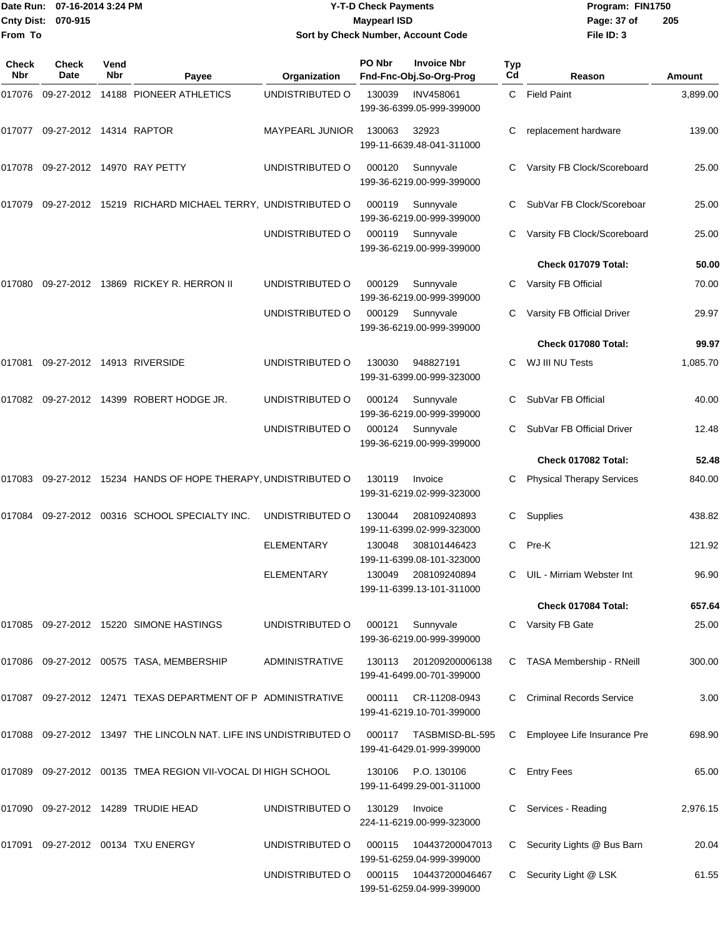|         | Date Run: 07-16-2014 3:24 PM |      |                                                                   |                        | <b>Y-T-D Check Payments</b> |                                                  |     | Program: FIN1750                 |          |
|---------|------------------------------|------|-------------------------------------------------------------------|------------------------|-----------------------------|--------------------------------------------------|-----|----------------------------------|----------|
|         | Cnty Dist: 070-915           |      |                                                                   |                        | <b>Maypearl ISD</b>         |                                                  |     | Page: 37 of                      | 205      |
| From To |                              |      |                                                                   |                        |                             | Sort by Check Number, Account Code               |     | File ID: 3                       |          |
| Check   | Check                        | Vend |                                                                   |                        | PO Nbr                      | <b>Invoice Nbr</b>                               | Typ |                                  |          |
| Nbr     | Date                         | Nbr  | Payee                                                             | Organization           |                             | Fnd-Fnc-Obj.So-Org-Prog                          | Cd  | Reason                           | Amount   |
|         |                              |      | 017076  09-27-2012  14188  PIONEER ATHLETICS                      | UNDISTRIBUTED O        | 130039                      | <b>INV458061</b><br>199-36-6399.05-999-399000    |     | C Field Paint                    | 3,899.00 |
| 017077  | 09-27-2012 14314 RAPTOR      |      |                                                                   | <b>MAYPEARL JUNIOR</b> | 130063                      | 32923<br>199-11-6639.48-041-311000               | С   | replacement hardware             | 139.00   |
|         |                              |      | 017078 09-27-2012 14970 RAY PETTY                                 | UNDISTRIBUTED O        | 000120                      | Sunnyvale<br>199-36-6219.00-999-399000           | C   | Varsity FB Clock/Scoreboard      | 25.00    |
| 017079  |                              |      | 09-27-2012 15219 RICHARD MICHAEL TERRY, UNDISTRIBUTED O           |                        | 000119                      | Sunnyvale<br>199-36-6219.00-999-399000           | C   | SubVar FB Clock/Scoreboar        | 25.00    |
|         |                              |      |                                                                   | UNDISTRIBUTED O        | 000119                      | Sunnyvale<br>199-36-6219.00-999-399000           |     | Varsity FB Clock/Scoreboard      | 25.00    |
|         |                              |      |                                                                   |                        |                             |                                                  |     | Check 017079 Total:              | 50.00    |
| 017080  |                              |      | 09-27-2012 13869 RICKEY R. HERRON II                              | UNDISTRIBUTED O        | 000129                      | Sunnyvale<br>199-36-6219.00-999-399000           | С   | Varsity FB Official              | 70.00    |
|         |                              |      |                                                                   | UNDISTRIBUTED O        | 000129                      | Sunnyvale<br>199-36-6219.00-999-399000           |     | Varsity FB Official Driver       | 29.97    |
|         |                              |      |                                                                   |                        |                             |                                                  |     | Check 017080 Total:              | 99.97    |
| 017081  |                              |      | 09-27-2012 14913 RIVERSIDE                                        | UNDISTRIBUTED O        | 130030                      | 948827191<br>199-31-6399.00-999-323000           | C   | WJ III NU Tests                  | 1,085.70 |
| 017082  |                              |      | 09-27-2012 14399 ROBERT HODGE JR.                                 | UNDISTRIBUTED O        | 000124                      | Sunnyvale<br>199-36-6219.00-999-399000           | C   | SubVar FB Official               | 40.00    |
|         |                              |      |                                                                   | UNDISTRIBUTED O        | 000124                      | Sunnyvale<br>199-36-6219.00-999-399000           | C   | SubVar FB Official Driver        | 12.48    |
|         |                              |      |                                                                   |                        |                             |                                                  |     | Check 017082 Total:              | 52.48    |
|         |                              |      | 017083 09-27-2012 15234 HANDS OF HOPE THERAPY, UNDISTRIBUTED O    |                        | 130119                      | Invoice<br>199-31-6219.02-999-323000             |     | <b>Physical Therapy Services</b> | 840.00   |
| 017084  |                              |      | 09-27-2012 00316 SCHOOL SPECIALTY INC.                            | UNDISTRIBUTED O        | 130044                      | 208109240893<br>199-11-6399.02-999-323000        | С   | Supplies                         | 438.82   |
|         |                              |      |                                                                   | <b>ELEMENTARY</b>      | 130048                      | 308101446423<br>199-11-6399.08-101-323000        |     | C Pre-K                          | 121.92   |
|         |                              |      |                                                                   | <b>ELEMENTARY</b>      |                             | 130049 208109240894<br>199-11-6399.13-101-311000 |     | UIL - Mirriam Webster Int        | 96.90    |
|         |                              |      |                                                                   |                        |                             |                                                  |     | Check 017084 Total:              | 657.64   |
| 017085  |                              |      | 09-27-2012  15220  SIMONE HASTINGS                                | UNDISTRIBUTED O        | 000121                      | Sunnyvale<br>199-36-6219.00-999-399000           | C   | Varsity FB Gate                  | 25.00    |
|         |                              |      | 017086 09-27-2012 00575 TASA, MEMBERSHIP                          | <b>ADMINISTRATIVE</b>  | 130113                      | 201209200006138<br>199-41-6499.00-701-399000     | C   | TASA Membership - RNeill         | 300.00   |
|         |                              |      | 017087 09-27-2012 12471 TEXAS DEPARTMENT OF P ADMINISTRATIVE      |                        | 000111                      | CR-11208-0943<br>199-41-6219.10-701-399000       |     | <b>Criminal Records Service</b>  | 3.00     |
|         |                              |      | 017088 09-27-2012 13497 THE LINCOLN NAT. LIFE INS UNDISTRIBUTED O |                        | 000117                      | TASBMISD-BL-595<br>199-41-6429.01-999-399000     | C   | Employee Life Insurance Pre      | 698.90   |
|         |                              |      | 017089 09-27-2012 00135 TMEA REGION VII-VOCAL DI HIGH SCHOOL      |                        | 130106                      | P.O. 130106<br>199-11-6499.29-001-311000         | C   | <b>Entry Fees</b>                | 65.00    |
|         |                              |      | 017090 09-27-2012 14289 TRUDIE HEAD                               | UNDISTRIBUTED O        | 130129 Invoice              |                                                  |     | C Services - Reading             | 2,976.15 |

017091 09-27-2012 00134 TXU ENERGY UNDISTRIBUTED O 000115 104437200047013 C Security Lights @ Bus Barn 20.04 199-51-6259.04-999-399000 UNDISTRIBUTED O 000115 104437200046467 C Security Light @ LSK 61.55

224-11-6219.00-999-323000

199-51-6259.04-999-399000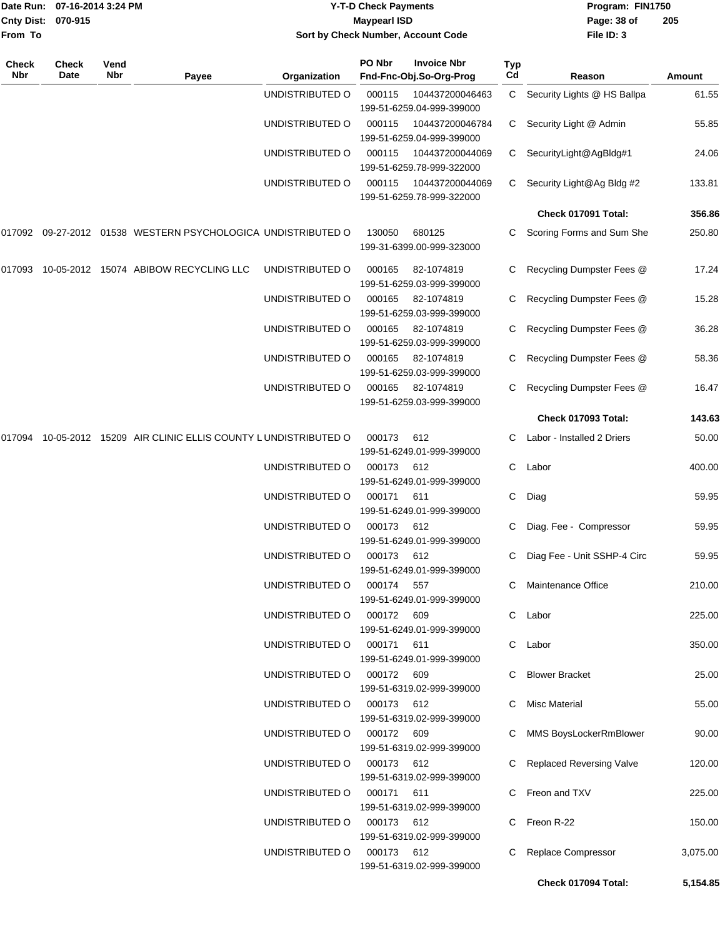| From To             | Date Run: 07-16-2014 3:24 PM<br>Cnty Dist: 070-915 |             |                                                              |                 | <b>Y-T-D Check Payments</b><br><b>Maypearl ISD</b> | Sort by Check Number, Account Code            |           | Program: FIN1750<br>Page: 38 of<br>File ID: 3 | 205      |  |
|---------------------|----------------------------------------------------|-------------|--------------------------------------------------------------|-----------------|----------------------------------------------------|-----------------------------------------------|-----------|-----------------------------------------------|----------|--|
| <b>Check</b><br>Nbr | <b>Check</b><br>Date                               | Vend<br>Nbr | Payee                                                        | Organization    | PO Nbr                                             | <b>Invoice Nbr</b><br>Fnd-Fnc-Obj.So-Org-Prog | Typ<br>Cd | Reason                                        | Amount   |  |
|                     |                                                    |             |                                                              | UNDISTRIBUTED O | 000115                                             | 104437200046463<br>199-51-6259.04-999-399000  | C         | Security Lights @ HS Ballpa                   | 61.55    |  |
|                     |                                                    |             |                                                              | UNDISTRIBUTED O | 000115                                             | 104437200046784<br>199-51-6259.04-999-399000  | C.        | Security Light @ Admin                        | 55.85    |  |
|                     |                                                    |             |                                                              | UNDISTRIBUTED O | 000115                                             | 104437200044069<br>199-51-6259.78-999-322000  | C.        | SecurityLight@AgBldg#1                        | 24.06    |  |
|                     |                                                    |             |                                                              | UNDISTRIBUTED O | 000115                                             | 104437200044069<br>199-51-6259.78-999-322000  | C.        | Security Light@Ag Bldg #2                     | 133.81   |  |
|                     |                                                    |             |                                                              |                 |                                                    |                                               |           | Check 017091 Total:                           | 356.86   |  |
|                     |                                                    |             | 017092 09-27-2012 01538 WESTERN PSYCHOLOGICA UNDISTRIBUTED O |                 | 130050                                             | 680125<br>199-31-6399.00-999-323000           | С         | Scoring Forms and Sum She                     | 250.80   |  |
| 017093              |                                                    |             | 10-05-2012 15074 ABIBOW RECYCLING LLC                        | UNDISTRIBUTED O | 000165                                             | 82-1074819<br>199-51-6259.03-999-399000       | С         | Recycling Dumpster Fees @                     | 17.24    |  |
|                     |                                                    |             |                                                              | UNDISTRIBUTED O | 000165                                             | 82-1074819<br>199-51-6259.03-999-399000       | C         | Recycling Dumpster Fees @                     | 15.28    |  |
|                     |                                                    |             |                                                              | UNDISTRIBUTED O | 000165                                             | 82-1074819<br>199-51-6259.03-999-399000       | С         | Recycling Dumpster Fees @                     | 36.28    |  |
|                     |                                                    |             |                                                              | UNDISTRIBUTED O | 000165                                             | 82-1074819<br>199-51-6259.03-999-399000       | C         | Recycling Dumpster Fees @                     | 58.36    |  |
|                     |                                                    |             |                                                              | UNDISTRIBUTED O | 000165                                             | 82-1074819<br>199-51-6259.03-999-399000       | C.        | Recycling Dumpster Fees @                     | 16.47    |  |
|                     |                                                    |             |                                                              |                 |                                                    |                                               |           | Check 017093 Total:                           | 143.63   |  |
| 017094              |                                                    |             | 10-05-2012 15209 AIR CLINIC ELLIS COUNTY LUNDISTRIBUTED O    |                 | 000173                                             | 612<br>199-51-6249.01-999-399000              |           | Labor - Installed 2 Driers                    | 50.00    |  |
|                     |                                                    |             |                                                              | UNDISTRIBUTED O | 000173                                             | 612<br>199-51-6249.01-999-399000              | C         | Labor                                         | 400.00   |  |
|                     |                                                    |             |                                                              | UNDISTRIBUTED O | 000171                                             | 611<br>199-51-6249.01-999-399000              | С         | Diag                                          | 59.95    |  |
|                     |                                                    |             |                                                              | UNDISTRIBUTED O | 000173                                             | 612<br>199-51-6249.01-999-399000              | C         | Diag. Fee - Compressor                        | 59.95    |  |
|                     |                                                    |             |                                                              | UNDISTRIBUTED O | 000173 612                                         | 199-51-6249.01-999-399000                     |           | C Diag Fee - Unit SSHP-4 Circ                 | 59.95    |  |
|                     |                                                    |             |                                                              | UNDISTRIBUTED O | 000174 557                                         | 199-51-6249.01-999-399000                     |           | C Maintenance Office                          | 210.00   |  |
|                     |                                                    |             |                                                              | UNDISTRIBUTED O | 000172 609                                         | 199-51-6249.01-999-399000                     |           | C Labor                                       | 225.00   |  |
|                     |                                                    |             |                                                              | UNDISTRIBUTED O | 000171 611                                         | 199-51-6249.01-999-399000                     |           | C Labor                                       | 350.00   |  |
|                     |                                                    |             |                                                              | UNDISTRIBUTED O | 000172 609                                         | 199-51-6319.02-999-399000                     |           | <b>Blower Bracket</b>                         | 25.00    |  |
|                     |                                                    |             |                                                              | UNDISTRIBUTED O | 000173 612                                         | 199-51-6319.02-999-399000                     | C.        | <b>Misc Material</b>                          | 55.00    |  |
|                     |                                                    |             |                                                              | UNDISTRIBUTED O | 000172 609                                         | 199-51-6319.02-999-399000                     |           | C MMS BoysLockerRmBlower                      | 90.00    |  |
|                     |                                                    |             |                                                              | UNDISTRIBUTED O | 000173 612                                         | 199-51-6319.02-999-399000                     |           | C Replaced Reversing Valve                    | 120.00   |  |
|                     |                                                    |             |                                                              | UNDISTRIBUTED O | 000171 611                                         | 199-51-6319.02-999-399000                     |           | C Freon and TXV                               | 225.00   |  |
|                     |                                                    |             |                                                              | UNDISTRIBUTED O | 000173 612                                         | 199-51-6319.02-999-399000                     |           | C Freon R-22                                  | 150.00   |  |
|                     |                                                    |             |                                                              | UNDISTRIBUTED O | 000173 612                                         | 199-51-6319.02-999-399000                     | C         | Replace Compressor                            | 3,075.00 |  |
|                     |                                                    |             |                                                              |                 |                                                    |                                               |           | Check 017094 Total:                           | 5,154.85 |  |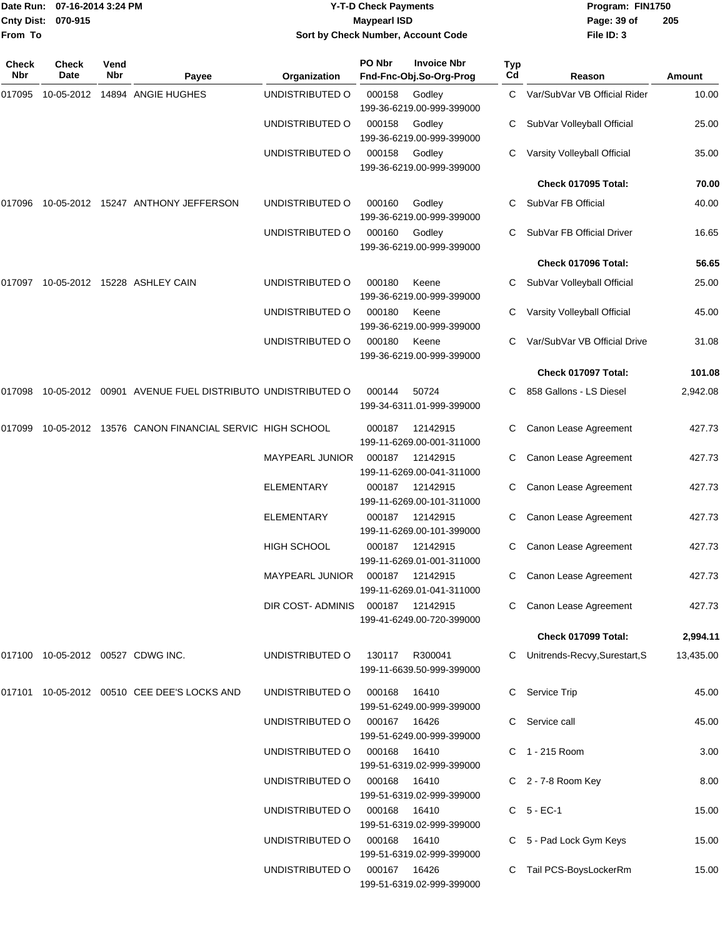| From To             | Date Run: 07-16-2014 3:24 PM<br>Cnty Dist: 070-915 |                    |                                                                | <b>Y-T-D Check Payments</b><br><b>Maypearl ISD</b><br>Sort by Check Number, Account Code |              |                                               |           | Program: FIN1750<br>Page: 39 of<br>File ID: 3 | 205       |
|---------------------|----------------------------------------------------|--------------------|----------------------------------------------------------------|------------------------------------------------------------------------------------------|--------------|-----------------------------------------------|-----------|-----------------------------------------------|-----------|
| <b>Check</b><br>Nbr | <b>Check</b><br>Date                               | Vend<br><b>Nbr</b> | Payee                                                          | Organization                                                                             | PO Nbr       | <b>Invoice Nbr</b><br>Fnd-Fnc-Obj.So-Org-Prog | Typ<br>Cd | Reason                                        | Amount    |
| 017095              |                                                    |                    | 10-05-2012  14894  ANGIE HUGHES                                | UNDISTRIBUTED O                                                                          | 000158       | Godley<br>199-36-6219.00-999-399000           | C.        | Var/SubVar VB Official Rider                  | 10.00     |
|                     |                                                    |                    |                                                                | UNDISTRIBUTED O                                                                          | 000158       | Godley<br>199-36-6219.00-999-399000           |           | SubVar Volleyball Official                    | 25.00     |
|                     |                                                    |                    |                                                                | UNDISTRIBUTED O                                                                          | 000158       | Godley<br>199-36-6219.00-999-399000           |           | Varsity Volleyball Official                   | 35.00     |
|                     |                                                    |                    |                                                                |                                                                                          |              |                                               |           | <b>Check 017095 Total:</b>                    | 70.00     |
| 017096              |                                                    |                    | 10-05-2012    15247    ANTHONY JEFFERSON                       | UNDISTRIBUTED O                                                                          | 000160       | Godley<br>199-36-6219.00-999-399000           | C.        | SubVar FB Official                            | 40.00     |
|                     |                                                    |                    |                                                                | UNDISTRIBUTED O                                                                          | 000160       | Godley<br>199-36-6219.00-999-399000           |           | SubVar FB Official Driver                     | 16.65     |
|                     |                                                    |                    |                                                                |                                                                                          |              |                                               |           | Check 017096 Total:                           | 56.65     |
|                     |                                                    |                    | 017097 10-05-2012 15228 ASHLEY CAIN                            | UNDISTRIBUTED O                                                                          | 000180       | Keene<br>199-36-6219.00-999-399000            |           | SubVar Volleyball Official                    | 25.00     |
|                     |                                                    |                    |                                                                | UNDISTRIBUTED O                                                                          | 000180       | Keene<br>199-36-6219.00-999-399000            |           | Varsity Volleyball Official                   | 45.00     |
|                     |                                                    |                    |                                                                | UNDISTRIBUTED O                                                                          | 000180       | Keene<br>199-36-6219.00-999-399000            |           | Var/SubVar VB Official Drive                  | 31.08     |
|                     |                                                    |                    |                                                                |                                                                                          |              |                                               |           | Check 017097 Total:                           | 101.08    |
|                     |                                                    |                    | 017098 10-05-2012 00901 AVENUE FUEL DISTRIBUTO UNDISTRIBUTED O |                                                                                          | 000144       | 50724<br>199-34-6311.01-999-399000            | C.        | 858 Gallons - LS Diesel                       | 2,942.08  |
| 017099              |                                                    |                    | 10-05-2012 13576 CANON FINANCIAL SERVIC HIGH SCHOOL            |                                                                                          | 000187       | 12142915<br>199-11-6269.00-001-311000         |           | Canon Lease Agreement                         | 427.73    |
|                     |                                                    |                    |                                                                | MAYPEARL JUNIOR                                                                          | 000187       | 12142915<br>199-11-6269.00-041-311000         | C         | Canon Lease Agreement                         | 427.73    |
|                     |                                                    |                    |                                                                | <b>ELEMENTARY</b>                                                                        | 000187       | 12142915<br>199-11-6269.00-101-311000         | C         | Canon Lease Agreement                         | 427.73    |
|                     |                                                    |                    |                                                                | <b>ELEMENTARY</b>                                                                        | 000187       | 12142915<br>199-11-6269.00-101-399000         |           | Canon Lease Agreement                         | 427.73    |
|                     |                                                    |                    |                                                                | <b>HIGH SCHOOL</b>                                                                       | 000187       | 12142915<br>199-11-6269.01-001-311000         |           | C Canon Lease Agreement                       | 427.73    |
|                     |                                                    |                    |                                                                | MAYPEARL JUNIOR                                                                          |              | 000187 12142915<br>199-11-6269.01-041-311000  |           | Canon Lease Agreement                         | 427.73    |
|                     |                                                    |                    |                                                                | DIR COST-ADMINIS 000187 12142915                                                         |              | 199-41-6249.00-720-399000                     |           | Canon Lease Agreement                         | 427.73    |
|                     |                                                    |                    |                                                                |                                                                                          |              |                                               |           | Check 017099 Total:                           | 2,994.11  |
|                     |                                                    |                    | 017100 10-05-2012 00527 CDWG INC.                              | UNDISTRIBUTED O                                                                          | 130117       | R300041<br>199-11-6639.50-999-399000          |           | C Unitrends-Recvy, Surestart, S               | 13,435.00 |
|                     |                                                    |                    | 017101 10-05-2012 00510 CEE DEE'S LOCKS AND                    | UNDISTRIBUTED O                                                                          | 000168       | 16410<br>199-51-6249.00-999-399000            |           | C Service Trip                                | 45.00     |
|                     |                                                    |                    |                                                                | UNDISTRIBUTED O                                                                          | 000167 16426 | 199-51-6249.00-999-399000                     |           | C Service call                                | 45.00     |
|                     |                                                    |                    |                                                                | UNDISTRIBUTED O                                                                          | 000168       | 16410<br>199-51-6319.02-999-399000            |           | C 1 - 215 Room                                | 3.00      |
|                     |                                                    |                    |                                                                | UNDISTRIBUTED O                                                                          | 000168       | 16410<br>199-51-6319.02-999-399000            |           | C 2 - 7-8 Room Key                            | 8.00      |
|                     |                                                    |                    |                                                                | UNDISTRIBUTED O                                                                          | 000168       | 16410<br>199-51-6319.02-999-399000            |           | C 5 - EC-1                                    | 15.00     |
|                     |                                                    |                    |                                                                | UNDISTRIBUTED O                                                                          | 000168       | 16410<br>199-51-6319.02-999-399000            |           | C 5 - Pad Lock Gym Keys                       | 15.00     |
|                     |                                                    |                    |                                                                | UNDISTRIBUTED O                                                                          | 000167 16426 | 199-51-6319.02-999-399000                     |           | C Tail PCS-BoysLockerRm                       | 15.00     |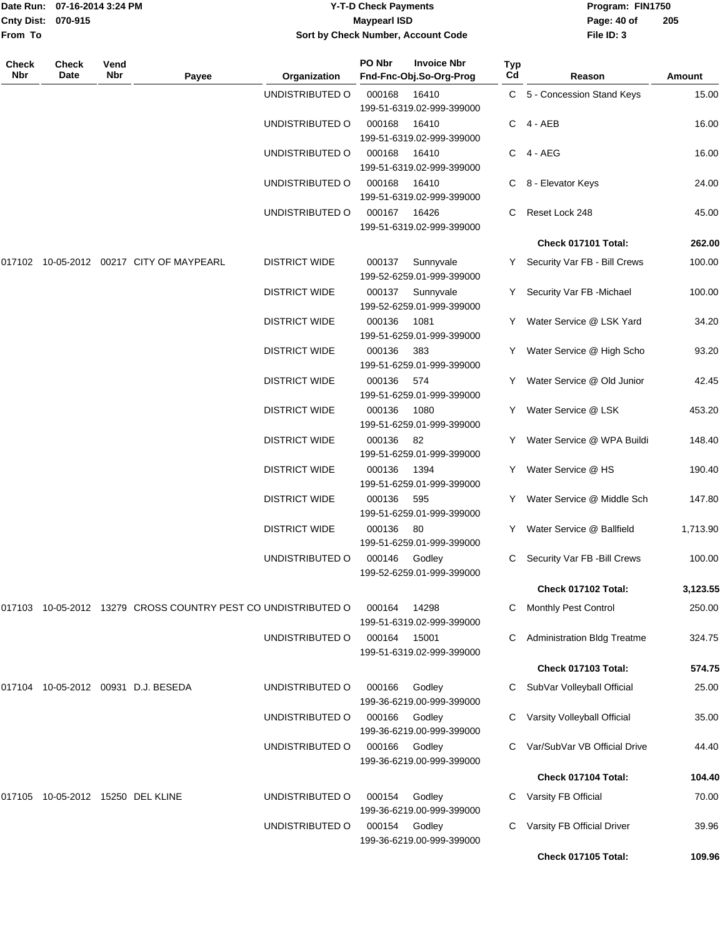| Cnty Dist:   | Date Run: 07-16-2014 3:24 PM<br>070-915 |             |                                                               |                      | <b>Y-T-D Check Payments</b><br><b>Maypearl ISD</b> |                                               |           | Program: FIN1750<br>Page: 40 of    | 205      |
|--------------|-----------------------------------------|-------------|---------------------------------------------------------------|----------------------|----------------------------------------------------|-----------------------------------------------|-----------|------------------------------------|----------|
| From To      |                                         |             |                                                               |                      |                                                    | Sort by Check Number, Account Code            |           | File ID: 3                         |          |
| Check<br>Nbr | <b>Check</b><br>Date                    | Vend<br>Nbr | Payee                                                         | Organization         | PO Nbr                                             | <b>Invoice Nbr</b><br>Fnd-Fnc-Obj.So-Org-Prog | Typ<br>Cd | Reason                             | Amount   |
|              |                                         |             |                                                               | UNDISTRIBUTED O      | 000168                                             | 16410                                         |           | C 5 - Concession Stand Keys        | 15.00    |
|              |                                         |             |                                                               |                      |                                                    | 199-51-6319.02-999-399000                     |           |                                    |          |
|              |                                         |             |                                                               | UNDISTRIBUTED O      | 000168                                             | 16410                                         |           | C 4-AEB                            | 16.00    |
|              |                                         |             |                                                               |                      |                                                    | 199-51-6319.02-999-399000                     |           |                                    |          |
|              |                                         |             |                                                               | UNDISTRIBUTED O      | 000168                                             | 16410<br>199-51-6319.02-999-399000            |           | C 4-AEG                            | 16.00    |
|              |                                         |             |                                                               | UNDISTRIBUTED O      | 000168                                             | 16410                                         |           | C 8 - Elevator Keys                | 24.00    |
|              |                                         |             |                                                               |                      |                                                    | 199-51-6319.02-999-399000                     |           |                                    |          |
|              |                                         |             |                                                               | UNDISTRIBUTED O      | 000167                                             | 16426                                         | C         | Reset Lock 248                     | 45.00    |
|              |                                         |             |                                                               |                      |                                                    | 199-51-6319.02-999-399000                     |           |                                    |          |
|              |                                         |             |                                                               |                      |                                                    |                                               |           | Check 017101 Total:                | 262.00   |
|              |                                         |             |                                                               | <b>DISTRICT WIDE</b> | 000137                                             | Sunnyvale                                     |           | Y Security Var FB - Bill Crews     | 100.00   |
|              |                                         |             |                                                               |                      |                                                    | 199-52-6259.01-999-399000                     |           |                                    |          |
|              |                                         |             |                                                               | <b>DISTRICT WIDE</b> | 000137                                             | Sunnyvale                                     | Y.        | Security Var FB - Michael          | 100.00   |
|              |                                         |             |                                                               |                      |                                                    | 199-52-6259.01-999-399000                     |           |                                    |          |
|              |                                         |             |                                                               | <b>DISTRICT WIDE</b> | 000136                                             | 1081                                          | Y         | Water Service @ LSK Yard           | 34.20    |
|              |                                         |             |                                                               |                      |                                                    | 199-51-6259.01-999-399000                     |           |                                    |          |
|              |                                         |             |                                                               | <b>DISTRICT WIDE</b> | 000136                                             | 383<br>199-51-6259.01-999-399000              |           | Water Service @ High Scho          | 93.20    |
|              |                                         |             |                                                               | <b>DISTRICT WIDE</b> | 000136                                             | 574                                           |           | Y Water Service @ Old Junior       | 42.45    |
|              |                                         |             |                                                               |                      |                                                    | 199-51-6259.01-999-399000                     |           |                                    |          |
|              |                                         |             |                                                               | <b>DISTRICT WIDE</b> | 000136                                             | 1080                                          |           | Y Water Service @ LSK              | 453.20   |
|              |                                         |             |                                                               |                      |                                                    | 199-51-6259.01-999-399000                     |           |                                    |          |
|              |                                         |             |                                                               | <b>DISTRICT WIDE</b> | 000136                                             | 82                                            |           | Water Service @ WPA Buildi         | 148.40   |
|              |                                         |             |                                                               |                      |                                                    | 199-51-6259.01-999-399000                     |           |                                    |          |
|              |                                         |             |                                                               | <b>DISTRICT WIDE</b> | 000136                                             | 1394                                          | Y.        | Water Service @ HS                 | 190.40   |
|              |                                         |             |                                                               |                      |                                                    | 199-51-6259.01-999-399000                     |           |                                    |          |
|              |                                         |             |                                                               | <b>DISTRICT WIDE</b> | 000136                                             | 595                                           |           | Y Water Service @ Middle Sch       | 147.80   |
|              |                                         |             |                                                               | <b>DISTRICT WIDE</b> | 000136                                             | 199-51-6259.01-999-399000<br>- 80             |           | Y Water Service @ Ballfield        | 1,713.90 |
|              |                                         |             |                                                               |                      |                                                    | 199-51-6259.01-999-399000                     |           |                                    |          |
|              |                                         |             |                                                               | UNDISTRIBUTED O      | 000146 Godley                                      |                                               |           | C Security Var FB - Bill Crews     | 100.00   |
|              |                                         |             |                                                               |                      |                                                    | 199-52-6259.01-999-399000                     |           |                                    |          |
|              |                                         |             |                                                               |                      |                                                    |                                               |           | Check 017102 Total:                | 3,123.55 |
|              |                                         |             | 017103 10-05-2012 13279 CROSS COUNTRY PEST CO UNDISTRIBUTED O |                      | 000164                                             | 14298                                         | C.        | <b>Monthly Pest Control</b>        | 250.00   |
|              |                                         |             |                                                               |                      |                                                    | 199-51-6319.02-999-399000                     |           |                                    |          |
|              |                                         |             |                                                               | UNDISTRIBUTED O      | 000164                                             | 15001                                         |           | <b>Administration Bldg Treatme</b> | 324.75   |
|              |                                         |             |                                                               |                      |                                                    | 199-51-6319.02-999-399000                     |           |                                    |          |
|              |                                         |             |                                                               |                      |                                                    |                                               |           | Check 017103 Total:                | 574.75   |
|              |                                         |             | 017104 10-05-2012 00931 D.J. BESEDA                           | UNDISTRIBUTED O      | 000166                                             | Godley                                        | C.        | SubVar Volleyball Official         | 25.00    |
|              |                                         |             |                                                               |                      |                                                    | 199-36-6219.00-999-399000                     |           |                                    |          |
|              |                                         |             |                                                               | UNDISTRIBUTED O      | 000166                                             | Godley                                        |           | C Varsity Volleyball Official      | 35.00    |
|              |                                         |             |                                                               |                      |                                                    | 199-36-6219.00-999-399000                     |           |                                    |          |
|              |                                         |             |                                                               | UNDISTRIBUTED O      | 000166                                             | Godley                                        |           | C Var/SubVar VB Official Drive     | 44.40    |
|              |                                         |             |                                                               |                      |                                                    | 199-36-6219.00-999-399000                     |           |                                    |          |
|              |                                         |             |                                                               |                      |                                                    |                                               |           | Check 017104 Total:                | 104.40   |
|              | 017105 10-05-2012 15250 DEL KLINE       |             |                                                               | UNDISTRIBUTED O      | 000154                                             | Godley<br>199-36-6219.00-999-399000           | C.        | Varsity FB Official                | 70.00    |

UNDISTRIBUTED O 000154 Godley C Varsity FB Official Driver 39.96

**Check 017105 Total: 109.96**

199-36-6219.00-999-399000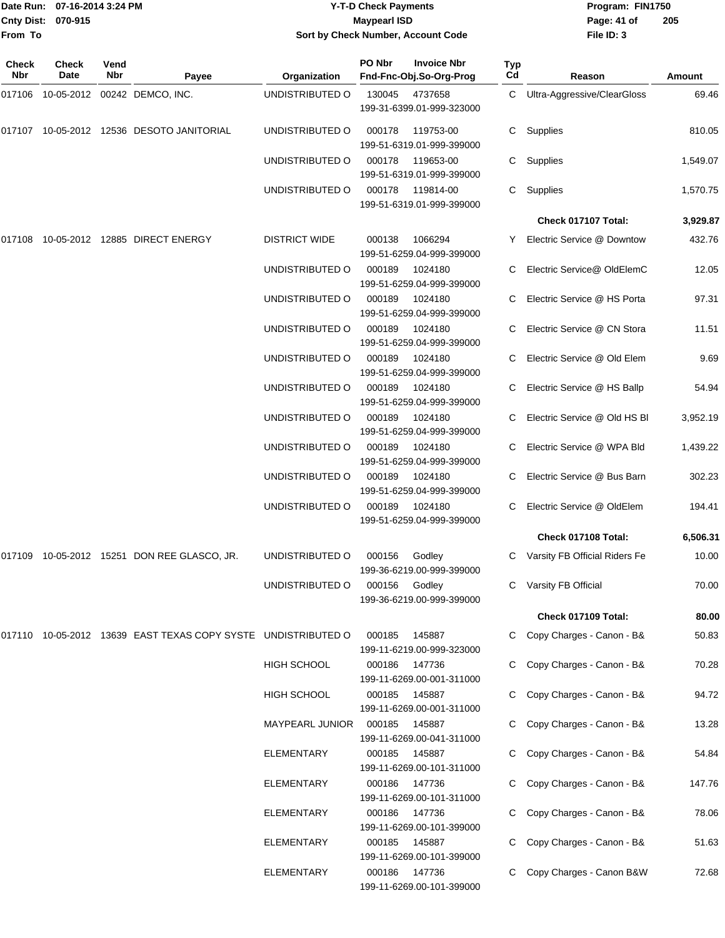|                   | Date Run: 07-16-2014 3:24 PM |             |                                                                   |                        | <b>Y-T-D Check Payments</b> |                                               |           | Program: FIN1750                |          |
|-------------------|------------------------------|-------------|-------------------------------------------------------------------|------------------------|-----------------------------|-----------------------------------------------|-----------|---------------------------------|----------|
| <b>Cnty Dist:</b> | 070-915                      |             |                                                                   |                        | <b>Maypearl ISD</b>         |                                               |           | Page: 41 of                     | 205      |
| From To           |                              |             |                                                                   |                        |                             | Sort by Check Number, Account Code            |           | File ID: 3                      |          |
| Check<br>Nbr      | Check<br>Date                | Vend<br>Nbr | Payee                                                             | Organization           | PO Nbr                      | <b>Invoice Nbr</b><br>Fnd-Fnc-Obj.So-Org-Prog | Typ<br>Cd | Reason                          | Amount   |
| 017106            |                              |             | 10-05-2012 00242 DEMCO, INC.                                      | UNDISTRIBUTED O        | 130045                      | 4737658<br>199-31-6399.01-999-323000          | C         | Ultra-Aggressive/ClearGloss     | 69.46    |
|                   |                              |             |                                                                   | UNDISTRIBUTED O        | 000178                      | 119753-00<br>199-51-6319.01-999-399000        | C         | Supplies                        | 810.05   |
|                   |                              |             |                                                                   | UNDISTRIBUTED O        | 000178                      | 119653-00<br>199-51-6319.01-999-399000        | С         | Supplies                        | 1,549.07 |
|                   |                              |             |                                                                   | UNDISTRIBUTED O        | 000178                      | 119814-00<br>199-51-6319.01-999-399000        | С         | Supplies                        | 1,570.75 |
|                   |                              |             |                                                                   |                        |                             |                                               |           | Check 017107 Total:             | 3,929.87 |
| 017108            |                              |             | 10-05-2012  12885  DIRECT ENERGY                                  | <b>DISTRICT WIDE</b>   | 000138                      | 1066294<br>199-51-6259.04-999-399000          | Y         | Electric Service @ Downtow      | 432.76   |
|                   |                              |             |                                                                   | UNDISTRIBUTED O        | 000189                      | 1024180<br>199-51-6259.04-999-399000          | C         | Electric Service@ OldElemC      | 12.05    |
|                   |                              |             |                                                                   | UNDISTRIBUTED O        | 000189                      | 1024180<br>199-51-6259.04-999-399000          |           | Electric Service @ HS Porta     | 97.31    |
|                   |                              |             |                                                                   | UNDISTRIBUTED O        | 000189                      | 1024180<br>199-51-6259.04-999-399000          |           | Electric Service @ CN Stora     | 11.51    |
|                   |                              |             |                                                                   | UNDISTRIBUTED O        | 000189                      | 1024180<br>199-51-6259.04-999-399000          |           | Electric Service @ Old Elem     | 9.69     |
|                   |                              |             |                                                                   | UNDISTRIBUTED O        | 000189                      | 1024180<br>199-51-6259.04-999-399000          |           | Electric Service @ HS Ballp     | 54.94    |
|                   |                              |             |                                                                   | UNDISTRIBUTED O        | 000189                      | 1024180<br>199-51-6259.04-999-399000          |           | Electric Service @ Old HS BI    | 3,952.19 |
|                   |                              |             |                                                                   | UNDISTRIBUTED O        | 000189                      | 1024180<br>199-51-6259.04-999-399000          | C         | Electric Service @ WPA Bld      | 1,439.22 |
|                   |                              |             |                                                                   | UNDISTRIBUTED O        | 000189                      | 1024180<br>199-51-6259.04-999-399000          | C         | Electric Service @ Bus Barn     | 302.23   |
|                   |                              |             |                                                                   | UNDISTRIBUTED O        | 000189                      | 1024180<br>199-51-6259.04-999-399000          | C.        | Electric Service @ OldElem      | 194.41   |
|                   |                              |             |                                                                   |                        |                             |                                               |           | Check 017108 Total:             | 6,506.31 |
|                   |                              |             | 017109 10-05-2012 15251 DON REE GLASCO, JR.                       | UNDISTRIBUTED O        | 000156                      | Godley<br>199-36-6219.00-999-399000           |           | C Varsity FB Official Riders Fe | 10.00    |
|                   |                              |             |                                                                   | UNDISTRIBUTED O        | 000156                      | Godley<br>199-36-6219.00-999-399000           |           | C Varsity FB Official           | 70.00    |
|                   |                              |             |                                                                   |                        |                             |                                               |           | Check 017109 Total:             | 80.00    |
|                   |                              |             | 017110  10-05-2012  13639  EAST TEXAS COPY SYSTE  UNDISTRIBUTED O |                        | 000185                      | 145887<br>199-11-6219.00-999-323000           |           | C Copy Charges - Canon - B&     | 50.83    |
|                   |                              |             |                                                                   | <b>HIGH SCHOOL</b>     |                             | 000186 147736<br>199-11-6269.00-001-311000    |           | Copy Charges - Canon - B&       | 70.28    |
|                   |                              |             |                                                                   | HIGH SCHOOL            |                             | 000185 145887<br>199-11-6269.00-001-311000    |           | C Copy Charges - Canon - B&     | 94.72    |
|                   |                              |             |                                                                   | <b>MAYPEARL JUNIOR</b> | 000185                      | 145887<br>199-11-6269.00-041-311000           |           | C Copy Charges - Canon - B&     | 13.28    |
|                   |                              |             |                                                                   | <b>ELEMENTARY</b>      |                             | 000185 145887<br>199-11-6269.00-101-311000    |           | C Copy Charges - Canon - B&     | 54.84    |
|                   |                              |             |                                                                   | ELEMENTARY             | 000186                      | 147736<br>199-11-6269.00-101-311000           |           | C Copy Charges - Canon - B&     | 147.76   |
|                   |                              |             |                                                                   | ELEMENTARY             | 000186                      | 147736                                        |           | C Copy Charges - Canon - B&     | 78.06    |

199-11-6269.00-101-399000

199-11-6269.00-101-399000

199-11-6269.00-101-399000

ELEMENTARY 000185 145887 C Copy Charges - Canon - B& 51.63

ELEMENTARY 000186 147736 C Copy Charges - Canon B&W 72.68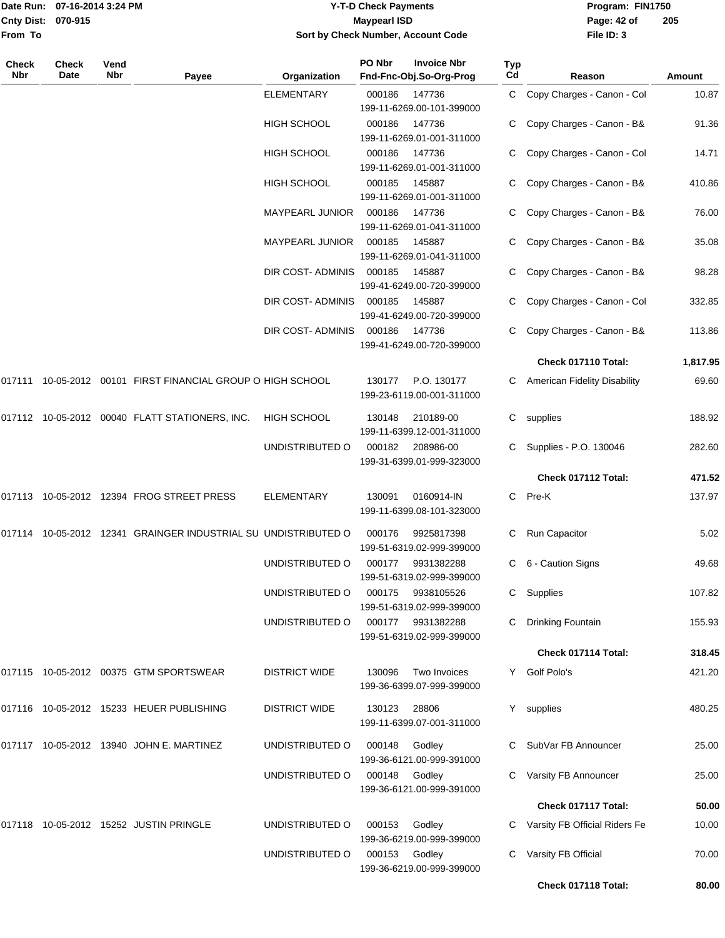|                           | Date Run: 07-16-2014 3:24 PM | <b>Y-T-D Check Payments</b>        | Program: FIN1750              |
|---------------------------|------------------------------|------------------------------------|-------------------------------|
| <b>Cnty Dist: 070-915</b> |                              | <b>Maypearl ISD</b>                | 2 <sup>0</sup><br>Page: 42 of |
| <b>From To</b>            |                              | Sort by Check Number, Account Code | File ID: 3                    |
|                           |                              |                                    |                               |

**205**

| Check<br>Nbr | Check<br>Date | Vend<br>Nbr | Payee                                                          | Organization            | PO Nbr | <b>Invoice Nbr</b><br>Fnd-Fnc-Obj.So-Org-Prog | <b>Typ</b><br>Cd | Reason                          | Amount   |
|--------------|---------------|-------------|----------------------------------------------------------------|-------------------------|--------|-----------------------------------------------|------------------|---------------------------------|----------|
|              |               |             |                                                                | <b>ELEMENTARY</b>       | 000186 | 147736<br>199-11-6269.00-101-399000           |                  | C Copy Charges - Canon - Col    | 10.87    |
|              |               |             |                                                                | HIGH SCHOOL             | 000186 | 147736<br>199-11-6269.01-001-311000           |                  | Copy Charges - Canon - B&       | 91.36    |
|              |               |             |                                                                | HIGH SCHOOL             | 000186 | 147736<br>199-11-6269.01-001-311000           |                  | Copy Charges - Canon - Col      | 14.71    |
|              |               |             |                                                                | HIGH SCHOOL             | 000185 | 145887<br>199-11-6269.01-001-311000           |                  | Copy Charges - Canon - B&       | 410.86   |
|              |               |             |                                                                | MAYPEARL JUNIOR         | 000186 | 147736<br>199-11-6269.01-041-311000           |                  | C Copy Charges - Canon - B&     | 76.00    |
|              |               |             |                                                                | MAYPEARL JUNIOR         | 000185 | 145887<br>199-11-6269.01-041-311000           |                  | Copy Charges - Canon - B&       | 35.08    |
|              |               |             |                                                                | DIR COST- ADMINIS       | 000185 | 145887<br>199-41-6249.00-720-399000           |                  | C Copy Charges - Canon - B&     | 98.28    |
|              |               |             |                                                                | DIR COST- ADMINIS       | 000185 | 145887<br>199-41-6249.00-720-399000           |                  | C Copy Charges - Canon - Col    | 332.85   |
|              |               |             |                                                                | <b>DIR COST-ADMINIS</b> | 000186 | 147736<br>199-41-6249.00-720-399000           |                  | Copy Charges - Canon - B&       | 113.86   |
|              |               |             |                                                                |                         |        |                                               |                  | Check 017110 Total:             | 1,817.95 |
|              |               |             | 017111 10-05-2012 00101 FIRST FINANCIAL GROUP O HIGH SCHOOL    |                         | 130177 | P.O. 130177<br>199-23-6119.00-001-311000      | С                | American Fidelity Disability    | 69.60    |
|              |               |             | 017112 10-05-2012 00040 FLATT STATIONERS, INC.                 | <b>HIGH SCHOOL</b>      | 130148 | 210189-00<br>199-11-6399.12-001-311000        | C.               | supplies                        | 188.92   |
|              |               |             |                                                                | UNDISTRIBUTED O         | 000182 | 208986-00<br>199-31-6399.01-999-323000        |                  | C Supplies - P.O. 130046        | 282.60   |
|              |               |             |                                                                |                         |        |                                               |                  | Check 017112 Total:             | 471.52   |
|              |               |             | 017113 10-05-2012 12394 FROG STREET PRESS                      | <b>ELEMENTARY</b>       | 130091 | 0160914-IN<br>199-11-6399.08-101-323000       | C.               | Pre-K                           | 137.97   |
|              |               |             | 017114 10-05-2012 12341 GRAINGER INDUSTRIAL SU UNDISTRIBUTED O |                         | 000176 | 9925817398<br>199-51-6319.02-999-399000       | С                | Run Capacitor                   | 5.02     |
|              |               |             |                                                                | UNDISTRIBUTED O         | 000177 | 9931382288<br>199-51-6319.02-999-399000       | С                | 6 - Caution Signs               | 49.68    |
|              |               |             |                                                                | UNDISTRIBUTED O         | 000175 | 9938105526<br>199-51-6319.02-999-399000       |                  | C Supplies                      | 107.82   |
|              |               |             |                                                                | UNDISTRIBUTED O         | 000177 | 9931382288<br>199-51-6319.02-999-399000       |                  | Drinking Fountain               | 155.93   |
|              |               |             |                                                                |                         |        |                                               |                  | Check 017114 Total:             | 318.45   |
|              |               |             | 017115 10-05-2012 00375 GTM SPORTSWEAR                         | <b>DISTRICT WIDE</b>    | 130096 | Two Invoices<br>199-36-6399.07-999-399000     |                  | Y Golf Polo's                   | 421.20   |
|              |               |             | 017116 10-05-2012 15233 HEUER PUBLISHING                       | <b>DISTRICT WIDE</b>    | 130123 | 28806<br>199-11-6399.07-001-311000            | Y.               | supplies                        | 480.25   |
|              |               |             | 017117 10-05-2012 13940 JOHN E. MARTINEZ                       | UNDISTRIBUTED O         | 000148 | Godley<br>199-36-6121.00-999-391000           |                  | C SubVar FB Announcer           | 25.00    |
|              |               |             |                                                                | UNDISTRIBUTED O         | 000148 | Godley<br>199-36-6121.00-999-391000           |                  | C Varsity FB Announcer          | 25.00    |
|              |               |             |                                                                |                         |        |                                               |                  | Check 017117 Total:             | 50.00    |
|              |               |             | 017118 10-05-2012 15252 JUSTIN PRINGLE                         | UNDISTRIBUTED O         | 000153 | Godley<br>199-36-6219.00-999-399000           |                  | C Varsity FB Official Riders Fe | 10.00    |
|              |               |             |                                                                | UNDISTRIBUTED O         | 000153 | Godley<br>199-36-6219.00-999-399000           |                  | Varsity FB Official             | 70.00    |
|              |               |             |                                                                |                         |        |                                               |                  | Check 017118 Total:             | 80.00    |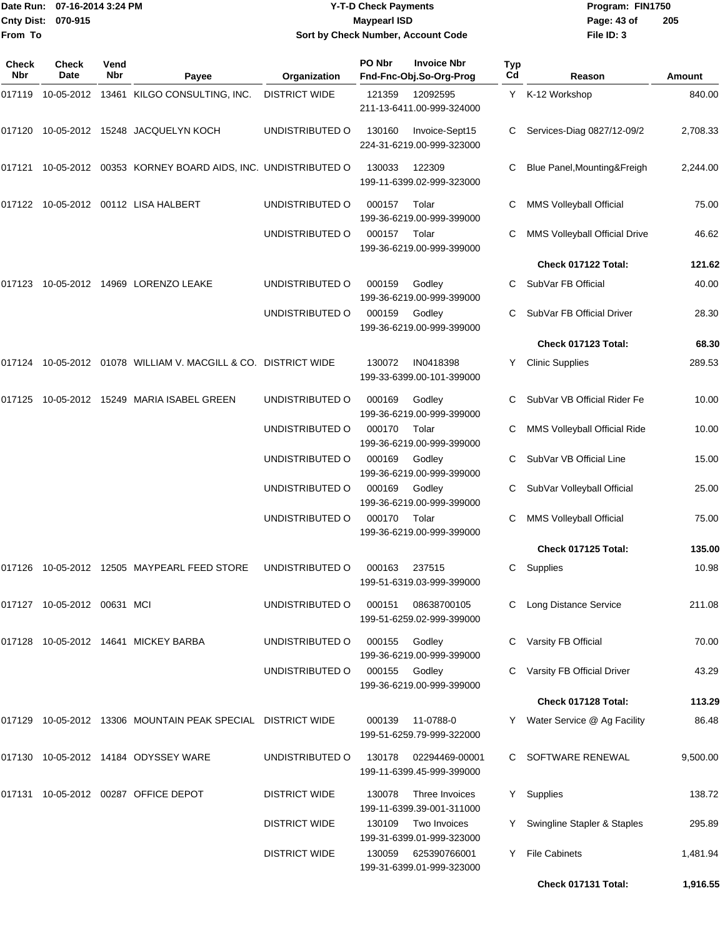| Date Run:         | 07-16-2014 3:24 PM             |             |                                                                            |                      | <b>Y-T-D Check Payments</b> |                                               |           | Program: FIN1750               |               |
|-------------------|--------------------------------|-------------|----------------------------------------------------------------------------|----------------------|-----------------------------|-----------------------------------------------|-----------|--------------------------------|---------------|
| <b>Cnty Dist:</b> | 070-915                        |             |                                                                            |                      | <b>Maypearl ISD</b>         |                                               |           | Page: 43 of                    | 205           |
| From To           |                                |             |                                                                            |                      |                             | Sort by Check Number, Account Code            |           | File ID: 3                     |               |
| Check<br>Nbr      | <b>Check</b><br>Date           | Vend<br>Nbr | Payee                                                                      | Organization         | PO Nbr                      | <b>Invoice Nbr</b><br>Fnd-Fnc-Obj.So-Org-Prog | Typ<br>Cd | Reason                         | <b>Amount</b> |
|                   |                                |             | 017119  10-05-2012  13461  KILGO CONSULTING, INC.                          | <b>DISTRICT WIDE</b> | 121359                      | 12092595                                      |           | Y K-12 Workshop                | 840.00        |
|                   |                                |             |                                                                            |                      |                             | 211-13-6411.00-999-324000                     |           |                                |               |
| 017120            |                                |             | 10-05-2012  15248  JACQUELYN KOCH                                          | UNDISTRIBUTED O      | 130160                      | Invoice-Sept15<br>224-31-6219.00-999-323000   |           | Services-Diag 0827/12-09/2     | 2,708.33      |
|                   |                                |             | 017121  10-05-2012  00353  KORNEY BOARD AIDS, INC. UNDISTRIBUTED O         |                      | 130033                      | 122309<br>199-11-6399.02-999-323000           | C         | Blue Panel, Mounting& Freigh   | 2,244.00      |
|                   |                                |             | 017122 10-05-2012 00112   LISA HALBERT                                     | UNDISTRIBUTED O      | 000157                      | Tolar<br>199-36-6219.00-999-399000            |           | MMS Volleyball Official        | 75.00         |
|                   |                                |             |                                                                            | UNDISTRIBUTED O      | 000157                      | Tolar<br>199-36-6219.00-999-399000            | C         | MMS Volleyball Official Drive  | 46.62         |
|                   |                                |             |                                                                            |                      |                             |                                               |           | Check 017122 Total:            | 121.62        |
| 017123            |                                |             | 10-05-2012 14969 LORENZO LEAKE                                             | UNDISTRIBUTED O      | 000159                      | Godley<br>199-36-6219.00-999-399000           | C         | SubVar FB Official             | 40.00         |
|                   |                                |             |                                                                            | UNDISTRIBUTED O      | 000159                      | Godley<br>199-36-6219.00-999-399000           | C         | SubVar FB Official Driver      | 28.30         |
|                   |                                |             |                                                                            |                      |                             |                                               |           | Check 017123 Total:            | 68.30         |
|                   |                                |             |                                                                            |                      | 130072                      | IN0418398<br>199-33-6399.00-101-399000        | Y         | <b>Clinic Supplies</b>         | 289.53        |
| 017125            |                                |             | 10-05-2012  15249  MARIA ISABEL GREEN                                      | UNDISTRIBUTED O      | 000169                      | Godley<br>199-36-6219.00-999-399000           |           | SubVar VB Official Rider Fe    | 10.00         |
|                   |                                |             |                                                                            | UNDISTRIBUTED O      | 000170                      | Tolar<br>199-36-6219.00-999-399000            |           | MMS Volleyball Official Ride   | 10.00         |
|                   |                                |             |                                                                            | UNDISTRIBUTED O      | 000169                      | Godley<br>199-36-6219.00-999-399000           | C         | SubVar VB Official Line        | 15.00         |
|                   |                                |             |                                                                            | UNDISTRIBUTED O      | 000169                      | Godley<br>199-36-6219.00-999-399000           |           | SubVar Volleyball Official     | 25.00         |
|                   |                                |             |                                                                            | UNDISTRIBUTED O      | 000170                      | Tolar<br>199-36-6219.00-999-399000            | C         | <b>MMS Volleyball Official</b> | 75.00         |
|                   |                                |             |                                                                            |                      |                             |                                               |           | Check 017125 Total:            | 135.00        |
|                   |                                |             | 017126  10-05-2012  12505  MAYPEARL FEED STORE                             | UNDISTRIBUTED O      | 000163                      | 237515<br>199-51-6319.03-999-399000           |           | C Supplies                     | 10.98         |
|                   | 017127  10-05-2012  00631  MCI |             |                                                                            | UNDISTRIBUTED O      | 000151                      | 08638700105<br>199-51-6259.02-999-399000      |           | C Long Distance Service        | 211.08        |
|                   |                                |             | 017128  10-05-2012  14641  MICKEY BARBA                                    | UNDISTRIBUTED O      | 000155                      | Godley<br>199-36-6219.00-999-399000           |           | C Varsity FB Official          | 70.00         |
|                   |                                |             |                                                                            | UNDISTRIBUTED O      | 000155                      | Godley<br>199-36-6219.00-999-399000           |           | C Varsity FB Official Driver   | 43.29         |
|                   |                                |             |                                                                            |                      |                             |                                               |           | Check 017128 Total:            | 113.29        |
|                   |                                |             | 017129    10-05-2012    13306    MOUNTAIN PEAK SPECIAL    DISTRICT    WIDE |                      | 000139                      | 11-0788-0<br>199-51-6259.79-999-322000        |           | Y Water Service @ Ag Facility  | 86.48         |
|                   |                                |             | 017130  10-05-2012  14184  ODYSSEY WARE                                    | UNDISTRIBUTED O      | 130178                      | 02294469-00001<br>199-11-6399.45-999-399000   |           | C SOFTWARE RENEWAL             | 9,500.00      |
|                   |                                |             |                                                                            | <b>DISTRICT WIDE</b> | 130078                      | Three Invoices<br>199-11-6399.39-001-311000   |           | Y Supplies                     | 138.72        |
|                   |                                |             |                                                                            | <b>DISTRICT WIDE</b> | 130109                      | Two Invoices<br>199-31-6399.01-999-323000     | Y         | Swingline Stapler & Staples    | 295.89        |
|                   |                                |             |                                                                            | <b>DISTRICT WIDE</b> |                             | 130059 625390766001                           |           | Y File Cabinets                | 1,481.94      |

199-31-6399.01-999-323000

**Check 017131 Total: 1,916.55**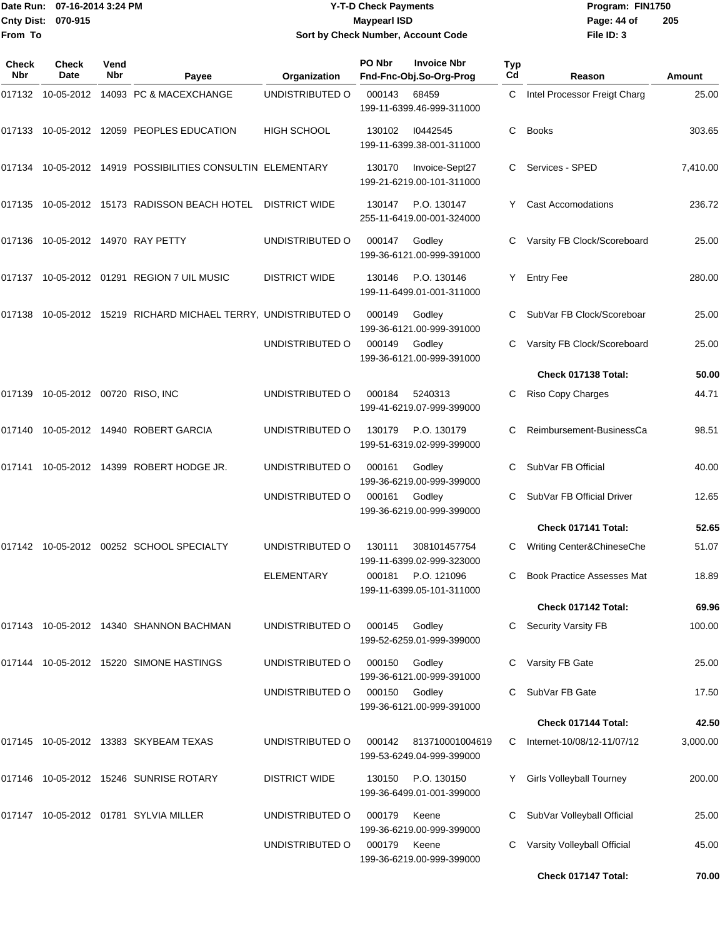**From To**

#### Date Run: 07-16-2014 3:24 PM **Program:** FIN1750 **Cnty Dist:** 070-915 **Page: 44 of Maypearl ISD Page: 44 of Y-T-D Check Payments 070-915 Maypearl ISD Sort by Check Number, Account Code**

| Check<br>Nbr | <b>Check</b><br>Date       | Vend<br><b>Nbr</b> | Payee                                                          | Organization         | PO Nbr | <b>Invoice Nbr</b><br>Fnd-Fnc-Obj.So-Org-Prog | Typ<br>Cd | Reason                            | Amount   |
|--------------|----------------------------|--------------------|----------------------------------------------------------------|----------------------|--------|-----------------------------------------------|-----------|-----------------------------------|----------|
| 017132       |                            |                    | 10-05-2012 14093 PC & MACEXCHANGE                              | UNDISTRIBUTED O      | 000143 | 68459<br>199-11-6399.46-999-311000            | C         | Intel Processor Freigt Charg      | 25.00    |
|              |                            |                    | 017133 10-05-2012 12059 PEOPLES EDUCATION                      | <b>HIGH SCHOOL</b>   | 130102 | 10442545<br>199-11-6399.38-001-311000         | C         | <b>Books</b>                      | 303.65   |
| 017134       |                            |                    | 10-05-2012 14919 POSSIBILITIES CONSULTIN ELEMENTARY            |                      | 130170 | Invoice-Sept27<br>199-21-6219.00-101-311000   | C         | Services - SPED                   | 7,410.00 |
|              |                            |                    | 017135 10-05-2012 15173 RADISSON BEACH HOTEL                   | <b>DISTRICT WIDE</b> | 130147 | P.O. 130147<br>255-11-6419.00-001-324000      | Y.        | <b>Cast Accomodations</b>         | 236.72   |
| 017136       |                            |                    |                                                                | UNDISTRIBUTED O      | 000147 | Godley<br>199-36-6121.00-999-391000           |           | Varsity FB Clock/Scoreboard       | 25.00    |
| 017137       |                            |                    | 10-05-2012 01291 REGION 7 UIL MUSIC                            | <b>DISTRICT WIDE</b> | 130146 | P.O. 130146<br>199-11-6499.01-001-311000      | Y         | <b>Entry Fee</b>                  | 280.00   |
|              |                            |                    | 017138 10-05-2012 15219 RICHARD MICHAEL TERRY, UNDISTRIBUTED O |                      | 000149 | Godley<br>199-36-6121.00-999-391000           | С         | SubVar FB Clock/Scoreboar         | 25.00    |
|              |                            |                    |                                                                | UNDISTRIBUTED O      | 000149 | Godley<br>199-36-6121.00-999-391000           |           | Varsity FB Clock/Scoreboard       | 25.00    |
|              |                            |                    |                                                                |                      |        |                                               |           | Check 017138 Total:               | 50.00    |
| 017139       | 10-05-2012 00720 RISO, INC |                    |                                                                | UNDISTRIBUTED O      | 000184 | 5240313<br>199-41-6219.07-999-399000          |           | Riso Copy Charges                 | 44.71    |
| 017140       |                            |                    | 10-05-2012  14940  ROBERT GARCIA                               | UNDISTRIBUTED O      | 130179 | P.O. 130179<br>199-51-6319.02-999-399000      | С         | Reimbursement-BusinessCa          | 98.51    |
| 017141       |                            |                    | 10-05-2012 14399 ROBERT HODGE JR.                              | UNDISTRIBUTED O      | 000161 | Godley<br>199-36-6219.00-999-399000           | C         | SubVar FB Official                | 40.00    |
|              |                            |                    |                                                                | UNDISTRIBUTED O      | 000161 | Godley<br>199-36-6219.00-999-399000           |           | SubVar FB Official Driver         | 12.65    |
|              |                            |                    |                                                                |                      |        |                                               |           | Check 017141 Total:               | 52.65    |
|              |                            |                    | 017142 10-05-2012 00252 SCHOOL SPECIALTY                       | UNDISTRIBUTED O      | 130111 | 308101457754<br>199-11-6399.02-999-323000     |           | Writing Center&ChineseChe         | 51.07    |
|              |                            |                    |                                                                | <b>ELEMENTARY</b>    | 000181 | P.O. 121096<br>199-11-6399.05-101-311000      | C         | <b>Book Practice Assesses Mat</b> | 18.89    |
|              |                            |                    |                                                                |                      |        |                                               |           | Check 017142 Total:               | 69.96    |
|              |                            |                    | 017143 10-05-2012 14340 SHANNON BACHMAN                        | UNDISTRIBUTED O      | 000145 | Godley<br>199-52-6259.01-999-399000           | C.        | <b>Security Varsity FB</b>        | 100.00   |
|              |                            |                    | 017144 10-05-2012 15220 SIMONE HASTINGS                        | UNDISTRIBUTED O      | 000150 | Godley<br>199-36-6121.00-999-391000           |           | Varsity FB Gate                   | 25.00    |
|              |                            |                    |                                                                | UNDISTRIBUTED O      | 000150 | Godley<br>199-36-6121.00-999-391000           |           | SubVar FB Gate                    | 17.50    |
|              |                            |                    |                                                                |                      |        |                                               |           | Check 017144 Total:               | 42.50    |
|              |                            |                    | 017145 10-05-2012 13383 SKYBEAM TEXAS                          | UNDISTRIBUTED O      | 000142 | 813710001004619<br>199-53-6249.04-999-399000  | C.        | Internet-10/08/12-11/07/12        | 3,000.00 |
|              |                            |                    | 017146 10-05-2012 15246 SUNRISE ROTARY                         | <b>DISTRICT WIDE</b> | 130150 | P.O. 130150<br>199-36-6499.01-001-399000      |           | <b>Girls Volleyball Tourney</b>   | 200.00   |
| 017147       |                            |                    | 10-05-2012 01781 SYLVIA MILLER                                 | UNDISTRIBUTED O      | 000179 | Keene<br>199-36-6219.00-999-399000            | С         | SubVar Volleyball Official        | 25.00    |
|              |                            |                    |                                                                | UNDISTRIBUTED O      | 000179 | Keene<br>199-36-6219.00-999-399000            |           | Varsity Volleyball Official       | 45.00    |
|              |                            |                    |                                                                |                      |        |                                               |           | Check 017147 Total:               | 70.00    |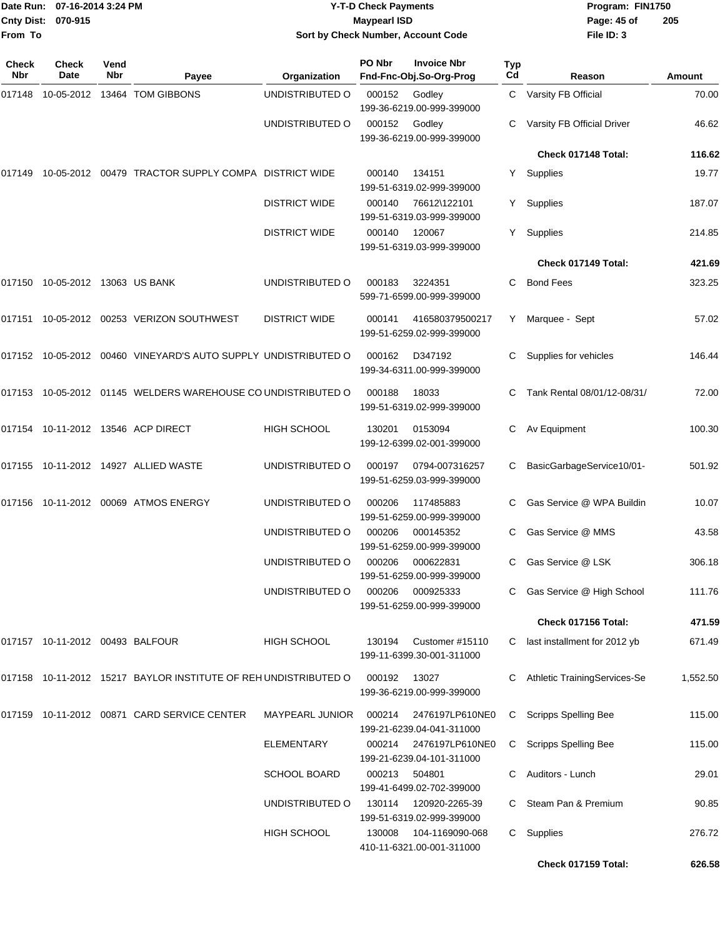| Cnty Dist:<br>From To | Date Run: 07-16-2014 3:24 PM<br>070-915 |             |                                                                    |                      | <b>Y-T-D Check Payments</b><br><b>Maypearl ISD</b> | Sort by Check Number, Account Code                  |           | Program: FIN1750<br>Page: 45 of<br>File ID: 3 | 205           |  |
|-----------------------|-----------------------------------------|-------------|--------------------------------------------------------------------|----------------------|----------------------------------------------------|-----------------------------------------------------|-----------|-----------------------------------------------|---------------|--|
| Check<br><b>Nbr</b>   | <b>Check</b><br>Date                    | Vend<br>Nbr | Payee                                                              | Organization         | PO Nbr                                             | <b>Invoice Nbr</b><br>Fnd-Fnc-Obj.So-Org-Prog       | Typ<br>Cd | Reason                                        | <b>Amount</b> |  |
|                       |                                         |             |                                                                    | UNDISTRIBUTED O      | 000152                                             | Godley<br>199-36-6219.00-999-399000                 |           | C Varsity FB Official                         | 70.00         |  |
|                       |                                         |             |                                                                    | UNDISTRIBUTED O      | 000152                                             | Godley<br>199-36-6219.00-999-399000                 |           | Varsity FB Official Driver                    | 46.62         |  |
|                       |                                         |             |                                                                    |                      |                                                    |                                                     |           | Check 017148 Total:                           | 116.62        |  |
|                       |                                         |             | 017149 10-05-2012 00479   TRACTOR SUPPLY COMPA   DISTRICT WIDE     |                      | 000140                                             | 134151<br>199-51-6319.02-999-399000                 | Y.        | Supplies                                      | 19.77         |  |
|                       |                                         |             |                                                                    | <b>DISTRICT WIDE</b> | 000140                                             | 76612\122101<br>199-51-6319.03-999-399000           | Y.        | Supplies                                      | 187.07        |  |
|                       |                                         |             |                                                                    | <b>DISTRICT WIDE</b> | 000140                                             | 120067<br>199-51-6319.03-999-399000                 | Y.        | Supplies                                      | 214.85        |  |
|                       |                                         |             |                                                                    |                      |                                                    |                                                     |           | Check 017149 Total:                           | 421.69        |  |
|                       | 017150 10-05-2012 13063  US BANK        |             |                                                                    | UNDISTRIBUTED O      | 000183                                             | 3224351<br>599-71-6599.00-999-399000                | C         | <b>Bond Fees</b>                              | 323.25        |  |
|                       |                                         |             | 017151  10-05-2012  00253  VERIZON SOUTHWEST                       | <b>DISTRICT WIDE</b> | 000141                                             | 416580379500217<br>199-51-6259.02-999-399000        | Y.        | Marquee - Sept                                | 57.02         |  |
|                       |                                         |             | 017152 10-05-2012 00460 VINEYARD'S AUTO SUPPLY_UNDISTRIBUTED O     |                      | 000162                                             | D347192<br>199-34-6311.00-999-399000                |           | Supplies for vehicles                         | 146.44        |  |
|                       |                                         |             | 017153  10-05-2012  01145  WELDERS WAREHOUSE CO UNDISTRIBUTED O    |                      | 000188                                             | 18033<br>199-51-6319.02-999-399000                  |           | Tank Rental 08/01/12-08/31/                   | 72.00         |  |
|                       |                                         |             | 017154  10-11-2012  13546  ACP DIRECT                              | <b>HIGH SCHOOL</b>   | 130201                                             | 0153094<br>199-12-6399.02-001-399000                |           | Av Equipment                                  | 100.30        |  |
|                       |                                         |             | 017155 10-11-2012 14927  ALLIED WASTE                              | UNDISTRIBUTED O      | 000197                                             | 0794-007316257<br>199-51-6259.03-999-399000         | C         | BasicGarbageService10/01-                     | 501.92        |  |
|                       |                                         |             | 017156 10-11-2012 00069  ATMOS ENERGY                              | UNDISTRIBUTED O      | 000206                                             | 117485883<br>199-51-6259.00-999-399000              |           | Gas Service @ WPA Buildin                     | 10.07         |  |
|                       |                                         |             |                                                                    | UNDISTRIBUTED O      |                                                    | 000206 000145352<br>199-51-6259.00-999-399000       |           | C Gas Service @ MMS                           | 43.58         |  |
|                       |                                         |             |                                                                    | UNDISTRIBUTED O      | 000206                                             | 000622831<br>199-51-6259.00-999-399000              |           | C Gas Service @ LSK                           | 306.18        |  |
|                       |                                         |             |                                                                    | UNDISTRIBUTED O      |                                                    | 000206 000925333<br>199-51-6259.00-999-399000       |           | Gas Service @ High School                     | 111.76        |  |
|                       |                                         |             |                                                                    |                      |                                                    |                                                     |           | Check 017156 Total:                           | 471.59        |  |
|                       |                                         |             |                                                                    | <b>HIGH SCHOOL</b>   | 130194                                             | Customer #15110<br>199-11-6399.30-001-311000        |           | C last installment for 2012 yb                | 671.49        |  |
|                       |                                         |             | 017158  10-11-2012  15217  BAYLOR INSTITUTE OF REH UNDISTRIBUTED O |                      | 000192                                             | 13027<br>199-36-6219.00-999-399000                  |           | C Athletic TrainingServices-Se                | 1,552.50      |  |
|                       |                                         |             | 017159  10-11-2012  00871  CARD SERVICE CENTER                     | MAYPEARL JUNIOR      | 000214                                             | 2476197LP610NE0<br>199-21-6239.04-041-311000        |           | C Scripps Spelling Bee                        | 115.00        |  |
|                       |                                         |             |                                                                    | <b>ELEMENTARY</b>    | 000214                                             | 2476197LP610NE0<br>199-21-6239.04-101-311000        | C         | <b>Scripps Spelling Bee</b>                   | 115.00        |  |
|                       |                                         |             |                                                                    | <b>SCHOOL BOARD</b>  | 000213                                             | 504801<br>199-41-6499.02-702-399000                 |           | Auditors - Lunch                              | 29.01         |  |
|                       |                                         |             |                                                                    | UNDISTRIBUTED O      |                                                    | 130114  120920-2265-39<br>199-51-6319.02-999-399000 |           | Steam Pan & Premium                           | 90.85         |  |
|                       |                                         |             |                                                                    | <b>HIGH SCHOOL</b>   | 130008                                             | 104-1169090-068<br>410-11-6321.00-001-311000        |           | C Supplies                                    | 276.72        |  |
|                       |                                         |             |                                                                    |                      |                                                    |                                                     |           | Check 017159 Total:                           | 626.58        |  |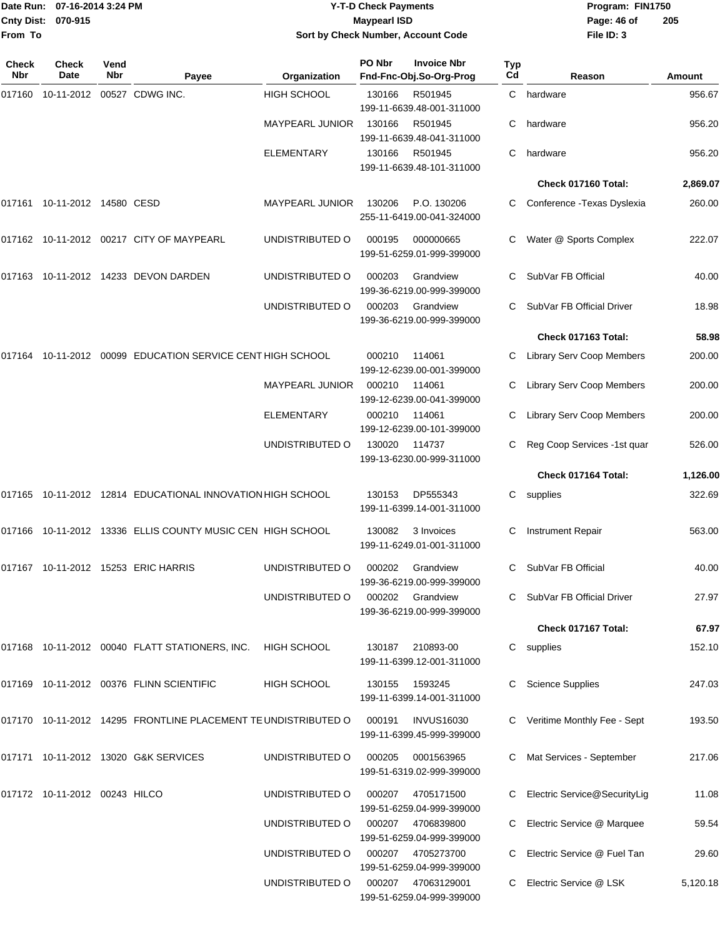|                              | Date Run: 07-16-2014 3:24 PM |             |                                                                   |                        | <b>Y-T-D Check Payments</b> |                                                |           | Program: FIN1750                 |          |
|------------------------------|------------------------------|-------------|-------------------------------------------------------------------|------------------------|-----------------------------|------------------------------------------------|-----------|----------------------------------|----------|
| <b>Cnty Dist:</b><br>From To | 070-915                      |             |                                                                   |                        | <b>Maypearl ISD</b>         | Sort by Check Number, Account Code             |           | Page: 46 of<br>File ID: 3        | 205      |
| Check<br>Nbr                 | <b>Check</b><br>Date         | Vend<br>Nbr | Payee                                                             | Organization           | PO Nbr                      | <b>Invoice Nbr</b><br>Fnd-Fnc-Obj.So-Org-Prog  | Typ<br>Cd | Reason                           | Amount   |
| 017160                       | 10-11-2012                   |             | 00527 CDWG INC.                                                   | <b>HIGH SCHOOL</b>     | 130166                      | R501945<br>199-11-6639.48-001-311000           | C.        | hardware                         | 956.67   |
|                              |                              |             |                                                                   | <b>MAYPEARL JUNIOR</b> | 130166                      | R501945<br>199-11-6639.48-041-311000           | С         | hardware                         | 956.20   |
|                              |                              |             |                                                                   | <b>ELEMENTARY</b>      | 130166                      | R501945<br>199-11-6639.48-101-311000           | С         | hardware                         | 956.20   |
|                              |                              |             |                                                                   |                        |                             |                                                |           | Check 017160 Total:              | 2,869.07 |
|                              |                              |             |                                                                   | MAYPEARL JUNIOR        | 130206                      | P.O. 130206<br>255-11-6419.00-041-324000       | С         | Conference - Texas Dyslexia      | 260.00   |
|                              |                              |             | 017162 10-11-2012 00217  CITY OF MAYPEARL                         | UNDISTRIBUTED O        | 000195                      | 000000665<br>199-51-6259.01-999-399000         | С         | Water @ Sports Complex           | 222.07   |
|                              |                              |             | 017163  10-11-2012  14233  DEVON DARDEN                           | UNDISTRIBUTED O        | 000203                      | Grandview<br>199-36-6219.00-999-399000         | С         | SubVar FB Official               | 40.00    |
|                              |                              |             |                                                                   | UNDISTRIBUTED O        | 000203                      | Grandview<br>199-36-6219.00-999-399000         | С         | SubVar FB Official Driver        | 18.98    |
|                              |                              |             |                                                                   |                        |                             |                                                |           | Check 017163 Total:              | 58.98    |
| 017164                       |                              |             | 10-11-2012 00099 EDUCATION SERVICE CENT HIGH SCHOOL               |                        | 000210                      | 114061<br>199-12-6239.00-001-399000            |           | <b>Library Serv Coop Members</b> | 200.00   |
|                              |                              |             |                                                                   | <b>MAYPEARL JUNIOR</b> | 000210                      | 114061<br>199-12-6239.00-041-399000            | С         | Library Serv Coop Members        | 200.00   |
|                              |                              |             |                                                                   | <b>ELEMENTARY</b>      | 000210                      | 114061<br>199-12-6239.00-101-399000            |           | Library Serv Coop Members        | 200.00   |
|                              |                              |             |                                                                   | UNDISTRIBUTED O        | 130020                      | 114737<br>199-13-6230.00-999-311000            | С         | Reg Coop Services -1st quar      | 526.00   |
|                              |                              |             |                                                                   |                        |                             |                                                |           | Check 017164 Total:              | 1,126.00 |
| 017165                       |                              |             | 10-11-2012 12814 EDUCATIONAL INNOVATION HIGH SCHOOL               |                        | 130153                      | DP555343<br>199-11-6399.14-001-311000          | С         | supplies                         | 322.69   |
|                              |                              |             | 017166 10-11-2012 13336 ELLIS COUNTY MUSIC CEN HIGH SCHOOL        |                        | 130082                      | 3 Invoices<br>199-11-6249.01-001-311000        |           | C Instrument Repair              | 563.00   |
|                              |                              |             | 017167  10-11-2012  15253  ERIC HARRIS                            | UNDISTRIBUTED O        | 000202                      | Grandview<br>199-36-6219.00-999-399000         |           | C SubVar FB Official             | 40.00    |
|                              |                              |             |                                                                   | UNDISTRIBUTED O        |                             | 000202 Grandview<br>199-36-6219.00-999-399000  |           | C SubVar FB Official Driver      | 27.97    |
|                              |                              |             |                                                                   |                        |                             |                                                |           | Check 017167 Total:              | 67.97    |
|                              |                              |             | 017168  10-11-2012  00040  FLATT STATIONERS, INC.                 | <b>HIGH SCHOOL</b>     | 130187                      | 210893-00<br>199-11-6399.12-001-311000         |           | C supplies                       | 152.10   |
|                              |                              |             | 017169  10-11-2012  00376  FLINN SCIENTIFIC                       | <b>HIGH SCHOOL</b>     | 130155                      | 1593245<br>199-11-6399.14-001-311000           |           | C Science Supplies               | 247.03   |
|                              |                              |             | 017170  10-11-2012  14295  FRONTLINE PLACEMENT TE UNDISTRIBUTED O |                        | 000191                      | <b>INVUS16030</b><br>199-11-6399.45-999-399000 |           | C Veritime Monthly Fee - Sept    | 193.50   |
|                              |                              |             | 017171  10-11-2012  13020  G&K SERVICES                           | UNDISTRIBUTED O        | 000205                      | 0001563965<br>199-51-6319.02-999-399000        |           | C Mat Services - September       | 217.06   |
|                              |                              |             |                                                                   | UNDISTRIBUTED O        | 000207                      | 4705171500<br>199-51-6259.04-999-399000        |           | C Electric Service@SecurityLig   | 11.08    |
|                              |                              |             |                                                                   | UNDISTRIBUTED O        | 000207                      | 4706839800<br>199-51-6259.04-999-399000        |           | C Electric Service @ Marquee     | 59.54    |
|                              |                              |             |                                                                   | UNDISTRIBUTED O        |                             | 000207 4705273700                              |           | C Electric Service @ Fuel Tan    | 29.60    |

199-51-6259.04-999-399000

199-51-6259.04-999-399000

UNDISTRIBUTED O 000207 47063129001 C Electric Service @ LSK 5,120.18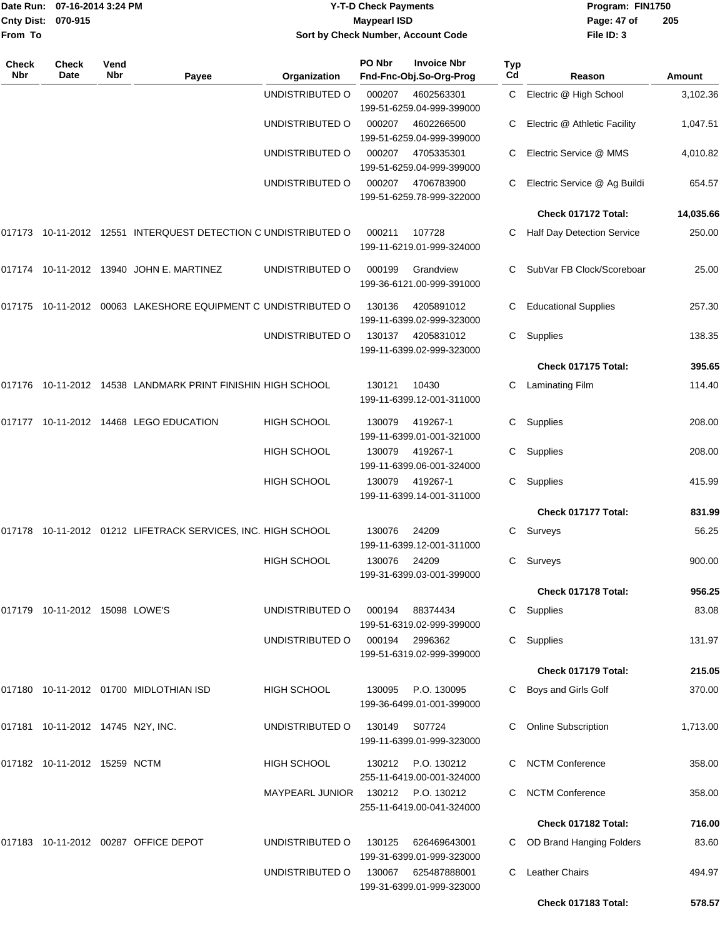|                     | Date Run: 07-16-2014 3:24 PM<br>Cnty Dist: 070-915 |             |                                                                  |                                    | <b>Y-T-D Check Payments</b><br><b>Maypearl ISD</b> |                                                 |                  | Program: FIN1750<br>Page: 47 of | 205       |
|---------------------|----------------------------------------------------|-------------|------------------------------------------------------------------|------------------------------------|----------------------------------------------------|-------------------------------------------------|------------------|---------------------------------|-----------|
| From To             |                                                    |             |                                                                  |                                    |                                                    | Sort by Check Number, Account Code              |                  | File ID: 3                      |           |
| <b>Check</b><br>Nbr | <b>Check</b><br>Date                               | Vend<br>Nbr | Payee                                                            | Organization                       | PO Nbr                                             | <b>Invoice Nbr</b><br>Fnd-Fnc-Obj.So-Org-Prog   | <b>Typ</b><br>Cd | Reason                          | Amount    |
|                     |                                                    |             |                                                                  | UNDISTRIBUTED O                    | 000207                                             | 4602563301<br>199-51-6259.04-999-399000         | C                | Electric @ High School          | 3,102.36  |
|                     |                                                    |             |                                                                  | UNDISTRIBUTED O                    | 000207                                             | 4602266500<br>199-51-6259.04-999-399000         | C                | Electric @ Athletic Facility    | 1,047.51  |
|                     |                                                    |             |                                                                  | UNDISTRIBUTED O                    | 000207                                             | 4705335301<br>199-51-6259.04-999-399000         | C.               | Electric Service @ MMS          | 4,010.82  |
|                     |                                                    |             |                                                                  | UNDISTRIBUTED O                    | 000207                                             | 4706783900<br>199-51-6259.78-999-322000         | С                | Electric Service @ Ag Buildi    | 654.57    |
|                     |                                                    |             |                                                                  |                                    |                                                    |                                                 |                  | Check 017172 Total:             | 14,035.66 |
|                     |                                                    |             | 017173  10-11-2012  12551 INTERQUEST DETECTION C UNDISTRIBUTED O |                                    | 000211                                             | 107728<br>199-11-6219.01-999-324000             | С                | Half Day Detection Service      | 250.00    |
|                     |                                                    |             | 017174  10-11-2012  13940  JOHN E. MARTINEZ                      | UNDISTRIBUTED O                    | 000199                                             | Grandview<br>199-36-6121.00-999-391000          |                  | SubVar FB Clock/Scoreboar       | 25.00     |
|                     |                                                    |             | 017175  10-11-2012  00063 LAKESHORE EQUIPMENT C UNDISTRIBUTED O  |                                    | 130136                                             | 4205891012<br>199-11-6399.02-999-323000         | C                | <b>Educational Supplies</b>     | 257.30    |
|                     |                                                    |             |                                                                  | UNDISTRIBUTED O                    | 130137                                             | 4205831012<br>199-11-6399.02-999-323000         | C                | Supplies                        | 138.35    |
|                     |                                                    |             |                                                                  |                                    |                                                    |                                                 |                  | Check 017175 Total:             | 395.65    |
|                     |                                                    |             | 017176 10-11-2012 14538 LANDMARK PRINT FINISHIN HIGH SCHOOL      |                                    | 130121                                             | 10430<br>199-11-6399.12-001-311000              | С                | <b>Laminating Film</b>          | 114.40    |
|                     |                                                    |             | 017177 10-11-2012 14468  LEGO EDUCATION                          | HIGH SCHOOL                        | 130079                                             | 419267-1<br>199-11-6399.01-001-321000           | C.               | Supplies                        | 208.00    |
|                     |                                                    |             |                                                                  | <b>HIGH SCHOOL</b>                 | 130079                                             | 419267-1<br>199-11-6399.06-001-324000           | C.               | Supplies                        | 208.00    |
|                     |                                                    |             |                                                                  | <b>HIGH SCHOOL</b>                 | 130079                                             | 419267-1<br>199-11-6399.14-001-311000           | С                | Supplies                        | 415.99    |
|                     |                                                    |             |                                                                  |                                    |                                                    |                                                 |                  | Check 017177 Total:             | 831.99    |
|                     |                                                    |             | 017178 10-11-2012 01212 LIFETRACK SERVICES, INC. HIGH SCHOOL     |                                    | 130076                                             | 24209<br>199-11-6399.12-001-311000              | С                | Surveys                         | 56.25     |
|                     |                                                    |             |                                                                  | <b>HIGH SCHOOL</b>                 | 130076                                             | 24209<br>199-31-6399.03-001-399000              |                  | C Surveys                       | 900.00    |
|                     |                                                    |             |                                                                  |                                    |                                                    |                                                 |                  | Check 017178 Total:             | 956.25    |
|                     | 017179  10-11-2012  15098  LOWE'S                  |             |                                                                  | UNDISTRIBUTED O                    | 000194                                             | 88374434<br>199-51-6319.02-999-399000           |                  | C Supplies                      | 83.08     |
|                     |                                                    |             |                                                                  | UNDISTRIBUTED O                    |                                                    | 000194 2996362<br>199-51-6319.02-999-399000     |                  | C Supplies                      | 131.97    |
|                     |                                                    |             |                                                                  |                                    |                                                    |                                                 |                  | Check 017179 Total:             | 215.05    |
|                     |                                                    |             | 017180  10-11-2012  01700  MIDLOTHIAN ISD                        | HIGH SCHOOL                        | 130095                                             | P.O. 130095<br>199-36-6499.01-001-399000        | C.               | Boys and Girls Golf             | 370.00    |
|                     | 017181  10-11-2012  14745  N2Y, INC.               |             |                                                                  | UNDISTRIBUTED O                    | 130149                                             | S07724<br>199-11-6399.01-999-323000             |                  | C Online Subscription           | 1,713.00  |
|                     | 017182  10-11-2012  15259  NCTM                    |             |                                                                  | HIGH SCHOOL                        |                                                    | 130212 P.O. 130212<br>255-11-6419.00-001-324000 |                  | C NCTM Conference               | 358.00    |
|                     |                                                    |             |                                                                  | MAYPEARL JUNIOR 130212 P.O. 130212 |                                                    | 255-11-6419.00-041-324000                       |                  | C NCTM Conference               | 358.00    |
|                     |                                                    |             |                                                                  |                                    |                                                    |                                                 |                  | Check 017182 Total:             | 716.00    |
|                     |                                                    |             | 017183  10-11-2012  00287  OFFICE DEPOT                          | UNDISTRIBUTED O                    | 130125                                             | 626469643001<br>199-31-6399.01-999-323000       |                  | C OD Brand Hanging Folders      | 83.60     |
|                     |                                                    |             |                                                                  | UNDISTRIBUTED O                    | 130067                                             | 625487888001<br>199-31-6399.01-999-323000       | C                | Leather Chairs                  | 494.97    |
|                     |                                                    |             |                                                                  |                                    |                                                    |                                                 |                  | Check 017183 Total:             | 578.57    |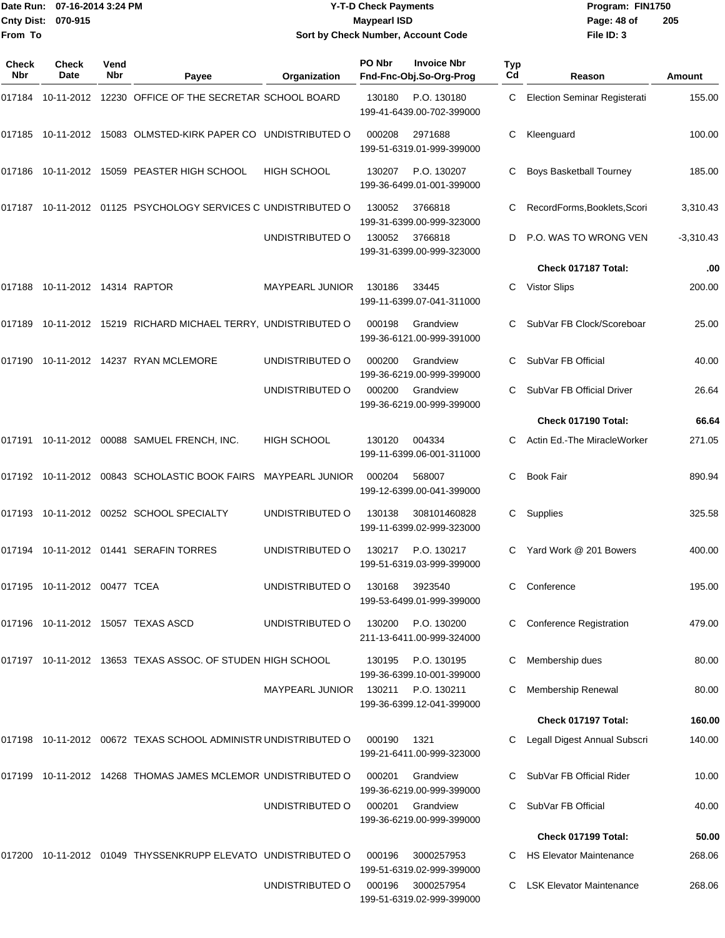|                    | Date Run: 07-16-2014 3:24 PM |
|--------------------|------------------------------|
| Cnty Dist: 070-915 |                              |
| <b>From To</b>     |                              |

## **Date Run: Program: FIN1750 07-16-2014 3:24 PM Y-T-D Check Payments Cnty Dist: Page: 48 of 070-915 Maypearl ISD Sort by Check Number, Account Code**

| Check<br><b>Nbr</b> | Check<br>Date                | Vend<br><b>Nbr</b> | Payee                                                            | Organization           | PO Nbr | <b>Invoice Nbr</b><br>Fnd-Fnc-Obj.So-Org-Prog | Typ<br>C <sub>d</sub> | Reason                              | Amount      |
|---------------------|------------------------------|--------------------|------------------------------------------------------------------|------------------------|--------|-----------------------------------------------|-----------------------|-------------------------------------|-------------|
|                     |                              |                    | 017184 10-11-2012 12230 OFFICE OF THE SECRETAR SCHOOL BOARD      |                        | 130180 | P.O. 130180<br>199-41-6439.00-702-399000      | C                     | <b>Election Seminar Registerati</b> | 155.00      |
|                     |                              |                    | 017185 10-11-2012 15083 OLMSTED-KIRK PAPER CO UNDISTRIBUTED O    |                        | 000208 | 2971688<br>199-51-6319.01-999-399000          | С                     | Kleenguard                          | 100.00      |
| 017186              |                              |                    | 10-11-2012 15059 PEASTER HIGH SCHOOL                             | <b>HIGH SCHOOL</b>     | 130207 | P.O. 130207<br>199-36-6499.01-001-399000      | C                     | <b>Boys Basketball Tourney</b>      | 185.00      |
|                     |                              |                    | 017187  10-11-2012  01125  PSYCHOLOGY SERVICES C UNDISTRIBUTED O |                        | 130052 | 3766818<br>199-31-6399.00-999-323000          | C.                    | RecordForms, Booklets, Scori        | 3,310.43    |
|                     |                              |                    |                                                                  | UNDISTRIBUTED O        | 130052 | 3766818<br>199-31-6399.00-999-323000          | D                     | P.O. WAS TO WRONG VEN               | $-3,310.43$ |
|                     |                              |                    |                                                                  |                        |        |                                               |                       | Check 017187 Total:                 | .00         |
|                     |                              |                    |                                                                  | MAYPEARL JUNIOR        | 130186 | 33445<br>199-11-6399.07-041-311000            | C                     | <b>Vistor Slips</b>                 | 200.00      |
|                     |                              |                    | 017189 10-11-2012 15219 RICHARD MICHAEL TERRY, UNDISTRIBUTED O   |                        | 000198 | Grandview<br>199-36-6121.00-999-391000        | C.                    | SubVar FB Clock/Scoreboar           | 25.00       |
|                     |                              |                    | 017190 10-11-2012 14237 RYAN MCLEMORE                            | UNDISTRIBUTED O        | 000200 | Grandview<br>199-36-6219.00-999-399000        | C.                    | SubVar FB Official                  | 40.00       |
|                     |                              |                    |                                                                  | UNDISTRIBUTED O        | 000200 | Grandview<br>199-36-6219.00-999-399000        |                       | SubVar FB Official Driver           | 26.64       |
|                     |                              |                    |                                                                  |                        |        |                                               |                       | Check 017190 Total:                 | 66.64       |
|                     |                              |                    | 017191 10-11-2012 00088 SAMUEL FRENCH, INC.                      | <b>HIGH SCHOOL</b>     | 130120 | 004334<br>199-11-6399.06-001-311000           | C                     | Actin Ed.-The MiracleWorker         | 271.05      |
|                     |                              |                    | 017192 10-11-2012 00843 SCHOLASTIC BOOK FAIRS                    | <b>MAYPEARL JUNIOR</b> | 000204 | 568007<br>199-12-6399.00-041-399000           | C                     | <b>Book Fair</b>                    | 890.94      |
|                     |                              |                    | 017193 10-11-2012 00252 SCHOOL SPECIALTY                         | UNDISTRIBUTED O        | 130138 | 308101460828<br>199-11-6399.02-999-323000     | C                     | Supplies                            | 325.58      |
|                     |                              |                    | 017194 10-11-2012 01441 SERAFIN TORRES                           | UNDISTRIBUTED O        | 130217 | P.O. 130217<br>199-51-6319.03-999-399000      | C.                    | Yard Work @ 201 Bowers              | 400.00      |
|                     | 017195 10-11-2012 00477 TCEA |                    |                                                                  | UNDISTRIBUTED O        | 130168 | 3923540<br>199-53-6499.01-999-399000          |                       | Conference                          | 195.00      |
|                     |                              |                    | 017196 10-11-2012 15057 TEXAS ASCD                               | UNDISTRIBUTED O        | 130200 | P.O. 130200<br>211-13-6411.00-999-324000      |                       | <b>Conference Registration</b>      | 479.00      |
|                     |                              |                    | 017197 10-11-2012 13653 TEXAS ASSOC. OF STUDEN HIGH SCHOOL       |                        | 130195 | P.O. 130195<br>199-36-6399.10-001-399000      |                       | Membership dues                     | 80.00       |
|                     |                              |                    |                                                                  | <b>MAYPEARL JUNIOR</b> | 130211 | P.O. 130211<br>199-36-6399.12-041-399000      |                       | Membership Renewal                  | 80.00       |
|                     |                              |                    |                                                                  |                        |        |                                               |                       | Check 017197 Total:                 | 160.00      |
|                     |                              |                    | 017198 10-11-2012 00672 TEXAS SCHOOL ADMINISTR UNDISTRIBUTED O   |                        | 000190 | 1321<br>199-21-6411.00-999-323000             |                       | Legall Digest Annual Subscri        | 140.00      |
|                     |                              |                    | 017199 10-11-2012 14268 THOMAS JAMES MCLEMOR UNDISTRIBUTED O     |                        | 000201 | Grandview<br>199-36-6219.00-999-399000        | С                     | SubVar FB Official Rider            | 10.00       |
|                     |                              |                    |                                                                  | UNDISTRIBUTED O        | 000201 | Grandview<br>199-36-6219.00-999-399000        |                       | SubVar FB Official                  | 40.00       |
|                     |                              |                    |                                                                  |                        |        |                                               |                       | Check 017199 Total:                 | 50.00       |
|                     |                              |                    | 017200 10-11-2012 01049 THYSSENKRUPP ELEVATO UNDISTRIBUTED O     |                        | 000196 | 3000257953<br>199-51-6319.02-999-399000       |                       | <b>HS Elevator Maintenance</b>      | 268.06      |
|                     |                              |                    |                                                                  | UNDISTRIBUTED O        | 000196 | 3000257954<br>199-51-6319.02-999-399000       |                       | <b>LSK Elevator Maintenance</b>     | 268.06      |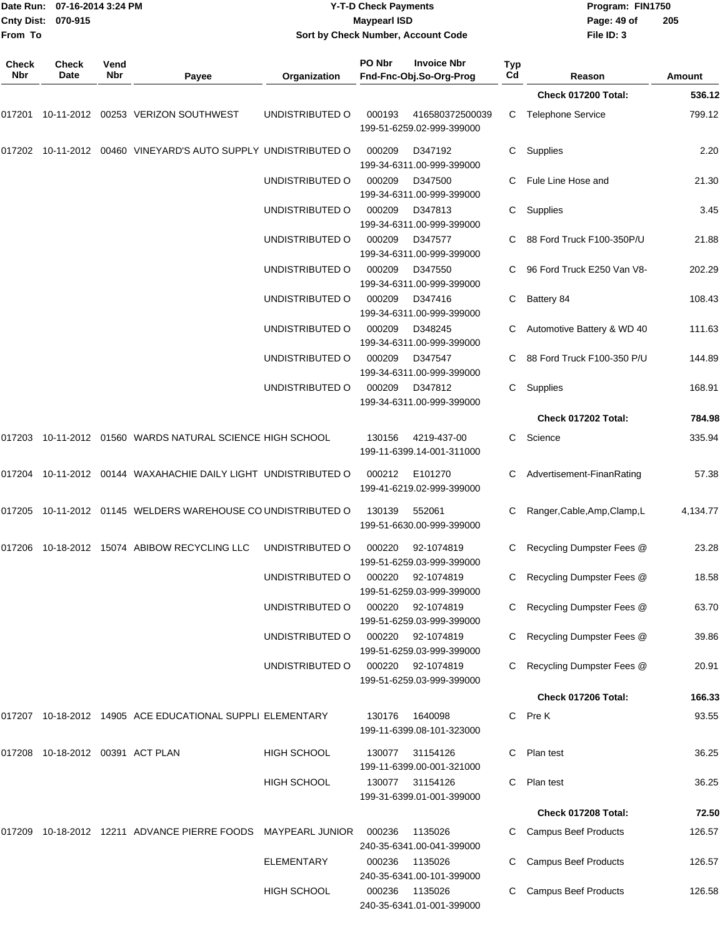| From To             | Date Run: 07-16-2014 3:24 PM<br>Cnty Dist: 070-915 |             |                                                                     | <b>Y-T-D Check Payments</b><br><b>Maypearl ISD</b><br>Sort by Check Number, Account Code |        |                                               |           | Program: FIN1750<br>Page: 49 of<br>File ID: 3 | 205           |  |
|---------------------|----------------------------------------------------|-------------|---------------------------------------------------------------------|------------------------------------------------------------------------------------------|--------|-----------------------------------------------|-----------|-----------------------------------------------|---------------|--|
| <b>Check</b><br>Nbr | <b>Check</b><br>Date                               | Vend<br>Nbr | Payee                                                               | Organization                                                                             | PO Nbr | <b>Invoice Nbr</b><br>Fnd-Fnc-Obj.So-Org-Prog | Typ<br>Cd | Reason                                        | <b>Amount</b> |  |
|                     |                                                    |             |                                                                     |                                                                                          |        |                                               |           | Check 017200 Total:                           | 536.12        |  |
| 017201              |                                                    |             | 10-11-2012  00253  VERIZON SOUTHWEST                                | UNDISTRIBUTED O                                                                          | 000193 | 416580372500039<br>199-51-6259.02-999-399000  |           | C Telephone Service                           | 799.12        |  |
|                     |                                                    |             | 017202 10-11-2012 00460 VINEYARD'S AUTO SUPPLY UNDISTRIBUTED O      |                                                                                          | 000209 | D347192<br>199-34-6311.00-999-399000          | C.        | Supplies                                      | 2.20          |  |
|                     |                                                    |             |                                                                     | UNDISTRIBUTED O                                                                          | 000209 | D347500<br>199-34-6311.00-999-399000          |           | Fule Line Hose and                            | 21.30         |  |
|                     |                                                    |             |                                                                     | UNDISTRIBUTED O                                                                          | 000209 | D347813<br>199-34-6311.00-999-399000          | C         | Supplies                                      | 3.45          |  |
|                     |                                                    |             |                                                                     | UNDISTRIBUTED O                                                                          | 000209 | D347577<br>199-34-6311.00-999-399000          |           | 88 Ford Truck F100-350P/U                     | 21.88         |  |
|                     |                                                    |             |                                                                     | UNDISTRIBUTED O                                                                          | 000209 | D347550<br>199-34-6311.00-999-399000          | C         | 96 Ford Truck E250 Van V8-                    | 202.29        |  |
|                     |                                                    |             |                                                                     | UNDISTRIBUTED O                                                                          | 000209 | D347416<br>199-34-6311.00-999-399000          | C         | Battery 84                                    | 108.43        |  |
|                     |                                                    |             |                                                                     | UNDISTRIBUTED O                                                                          | 000209 | D348245<br>199-34-6311.00-999-399000          | C.        | Automotive Battery & WD 40                    | 111.63        |  |
|                     |                                                    |             |                                                                     | UNDISTRIBUTED O                                                                          | 000209 | D347547<br>199-34-6311.00-999-399000          | C.        | 88 Ford Truck F100-350 P/U                    | 144.89        |  |
|                     |                                                    |             |                                                                     | UNDISTRIBUTED O                                                                          | 000209 | D347812<br>199-34-6311.00-999-399000          | C         | Supplies                                      | 168.91        |  |
|                     |                                                    |             |                                                                     |                                                                                          |        |                                               |           | Check 017202 Total:                           | 784.98        |  |
|                     |                                                    |             | 017203 10-11-2012 01560   WARDS NATURAL SCIENCE HIGH SCHOOL         |                                                                                          | 130156 | 4219-437-00<br>199-11-6399.14-001-311000      | C         | Science                                       | 335.94        |  |
|                     |                                                    |             | 017204  10-11-2012  00144  WAXAHACHIE DAILY LIGHT  UNDISTRIBUTED  O |                                                                                          | 000212 | E101270<br>199-41-6219.02-999-399000          | C         | Advertisement-FinanRating                     | 57.38         |  |
|                     |                                                    |             | 017205  10-11-2012  01145  WELDERS WAREHOUSE CO UNDISTRIBUTED O     |                                                                                          | 130139 | 552061<br>199-51-6630.00-999-399000           | C         | Ranger, Cable, Amp, Clamp, L                  | 4,134.77      |  |
|                     |                                                    |             | 017206 10-18-2012 15074  ABIBOW RECYCLING LLC                       | UNDISTRIBUTED O                                                                          | 000220 | 92-1074819<br>199-51-6259.03-999-399000       |           | C Recycling Dumpster Fees @                   | 23.28         |  |
|                     |                                                    |             |                                                                     | UNDISTRIBUTED O                                                                          | 000220 | 92-1074819<br>199-51-6259.03-999-399000       |           | C Recycling Dumpster Fees @                   | 18.58         |  |
|                     |                                                    |             |                                                                     | UNDISTRIBUTED O                                                                          | 000220 | 92-1074819<br>199-51-6259.03-999-399000       |           | C Recycling Dumpster Fees @                   | 63.70         |  |
|                     |                                                    |             |                                                                     | UNDISTRIBUTED O                                                                          | 000220 | 92-1074819<br>199-51-6259.03-999-399000       | C         | Recycling Dumpster Fees @                     | 39.86         |  |
|                     |                                                    |             |                                                                     | UNDISTRIBUTED O                                                                          | 000220 | 92-1074819<br>199-51-6259.03-999-399000       |           | C Recycling Dumpster Fees @                   | 20.91         |  |
|                     |                                                    |             |                                                                     |                                                                                          |        |                                               |           | Check 017206 Total:                           | 166.33        |  |
|                     |                                                    |             | 017207  10-18-2012  14905    ACE EDUCATIONAL SUPPLI ELEMENTARY      |                                                                                          | 130176 | 1640098<br>199-11-6399.08-101-323000          |           | C Pre K                                       | 93.55         |  |
|                     | 017208  10-18-2012  00391  ACT PLAN                |             |                                                                     | <b>HIGH SCHOOL</b>                                                                       | 130077 | 31154126<br>199-11-6399.00-001-321000         |           | C Plan test                                   | 36.25         |  |
|                     |                                                    |             |                                                                     | <b>HIGH SCHOOL</b>                                                                       | 130077 | 31154126<br>199-31-6399.01-001-399000         |           | C Plan test                                   | 36.25         |  |
|                     |                                                    |             |                                                                     |                                                                                          |        |                                               |           | Check 017208 Total:                           | 72.50         |  |
|                     |                                                    |             | 017209  10-18-2012  12211  ADVANCE PIERRE FOODS  MAYPEARL JUNIOR    |                                                                                          | 000236 | 1135026<br>240-35-6341.00-041-399000          |           | <b>Campus Beef Products</b>                   | 126.57        |  |
|                     |                                                    |             |                                                                     | <b>ELEMENTARY</b>                                                                        | 000236 | 1135026<br>240-35-6341.00-101-399000          |           | <b>Campus Beef Products</b>                   | 126.57        |  |
|                     |                                                    |             |                                                                     | <b>HIGH SCHOOL</b>                                                                       | 000236 | 1135026<br>240-35-6341.01-001-399000          | C.        | <b>Campus Beef Products</b>                   | 126.58        |  |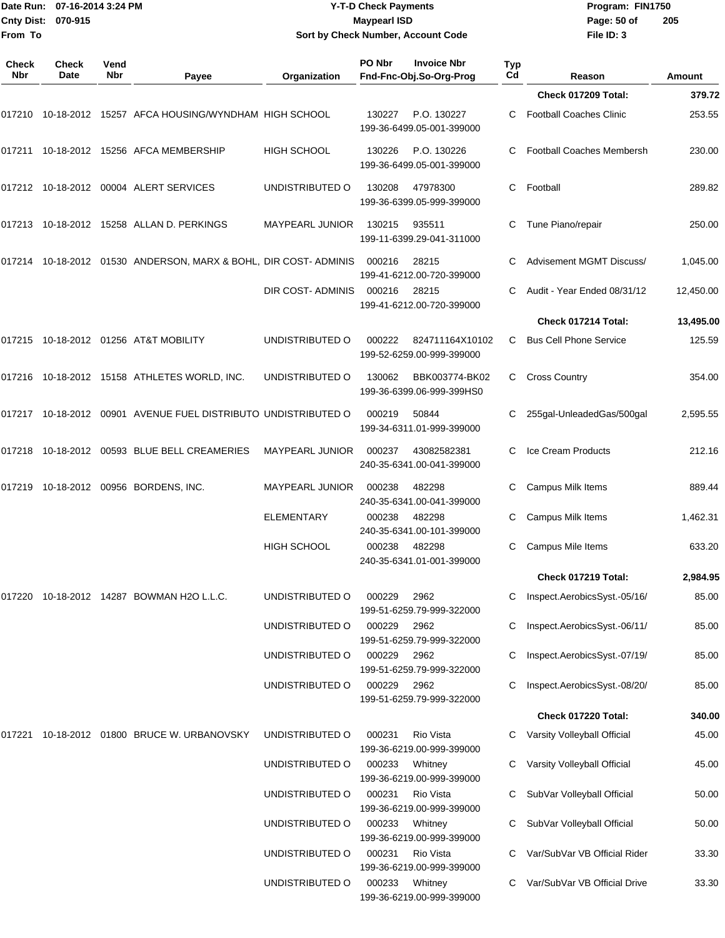|                    | Date Run: 07-16-2014 3:24 PM |
|--------------------|------------------------------|
| Cnty Dist: 070-915 |                              |
| From To            |                              |

## **Date Run: Program: FIN1750 07-16-2014 3:24 PM Y-T-D Check Payments Cnty Dist: Page: 50 of 070-915 Maypearl ISD Sort by Check Number, Account Code**

| Check<br>Nbr | Check<br>Date | Vend<br>Nbr |                                                                   |                                    | PO Nbr           | <b>Invoice Nbr</b><br>Fnd-Fnc-Obj.So-Org-Prog     | Typ<br>Cd | Reason                                                    |                  |
|--------------|---------------|-------------|-------------------------------------------------------------------|------------------------------------|------------------|---------------------------------------------------|-----------|-----------------------------------------------------------|------------------|
|              |               |             | Payee                                                             | Organization                       |                  |                                                   |           | Check 017209 Total:                                       | Amount<br>379.72 |
| 017210       |               |             | 10-18-2012 15257 AFCA HOUSING/WYNDHAM HIGH SCHOOL                 |                                    | 130227           | P.O. 130227<br>199-36-6499.05-001-399000          | С         | <b>Football Coaches Clinic</b>                            | 253.55           |
|              |               |             | 017211 10-18-2012 15256 AFCA MEMBERSHIP                           | <b>HIGH SCHOOL</b>                 | 130226           | P.O. 130226<br>199-36-6499.05-001-399000          | С         | <b>Football Coaches Membersh</b>                          | 230.00           |
|              |               |             | 017212  10-18-2012  00004  ALERT SERVICES                         | UNDISTRIBUTED O                    | 130208           | 47978300<br>199-36-6399.05-999-399000             | С         | Football                                                  | 289.82           |
| 017213       |               |             | 10-18-2012 15258 ALLAN D. PERKINGS                                | MAYPEARL JUNIOR                    | 130215           | 935511<br>199-11-6399.29-041-311000               | С         | Tune Piano/repair                                         | 250.00           |
| 017214       |               |             | 10-18-2012  01530  ANDERSON, MARX & BOHL, DIR COST-ADMINIS        |                                    | 000216           | 28215<br>199-41-6212.00-720-399000                |           | <b>Advisement MGMT Discuss/</b>                           | 1,045.00         |
|              |               |             |                                                                   | DIR COST-ADMINIS                   | 000216           | 28215<br>199-41-6212.00-720-399000                |           | Audit - Year Ended 08/31/12                               | 12,450.00        |
|              |               |             |                                                                   |                                    |                  |                                                   |           | Check 017214 Total:                                       | 13,495.00        |
| 017215       |               |             | 10-18-2012  01256  AT&T MOBILITY                                  | UNDISTRIBUTED O                    | 000222           | 824711164X10102<br>199-52-6259.00-999-399000      | С         | <b>Bus Cell Phone Service</b>                             | 125.59           |
| 017216       |               |             | 10-18-2012  15158  ATHLETES WORLD, INC.                           | UNDISTRIBUTED O                    | 130062           | BBK003774-BK02<br>199-36-6399.06-999-399HS0       | C         | <b>Cross Country</b>                                      | 354.00           |
|              |               |             | 017217  10-18-2012  00901  AVENUE FUEL DISTRIBUTO UNDISTRIBUTED O |                                    | 000219           | 50844<br>199-34-6311.01-999-399000                | С         | 255gal-UnleadedGas/500gal                                 | 2,595.55         |
| 017218       |               |             | 10-18-2012  00593  BLUE BELL CREAMERIES                           | <b>MAYPEARL JUNIOR</b>             | 000237           | 43082582381<br>240-35-6341.00-041-399000          | С         | Ice Cream Products                                        | 212.16           |
| 017219       |               |             | 10-18-2012 00956 BORDENS, INC.                                    | MAYPEARL JUNIOR                    | 000238           | 482298<br>240-35-6341.00-041-399000               |           | <b>Campus Milk Items</b>                                  | 889.44           |
|              |               |             |                                                                   | <b>ELEMENTARY</b>                  | 000238           | 482298<br>240-35-6341.00-101-399000               |           | Campus Milk Items                                         | 1,462.31         |
|              |               |             |                                                                   | HIGH SCHOOL                        | 000238           | 482298<br>240-35-6341.01-001-399000               | С         | Campus Mile Items                                         | 633.20           |
|              |               |             |                                                                   |                                    |                  |                                                   |           | Check 017219 Total:                                       | 2,984.95         |
|              |               |             |                                                                   | UNDISTRIBUTED O                    | 000229           | 2962<br>199-51-6259.79-999-322000                 |           | Inspect.AerobicsSyst.-05/16/                              | 85.00            |
|              |               |             |                                                                   | UNDISTRIBUTED O                    | 000229           | 2962<br>199-51-6259.79-999-322000                 | С         | Inspect.AerobicsSyst.-06/11/                              | 85.00            |
|              |               |             |                                                                   | UNDISTRIBUTED O                    | 000229           | 2962<br>199-51-6259.79-999-322000                 |           | Inspect.AerobicsSyst.-07/19/                              | 85.00            |
|              |               |             |                                                                   | UNDISTRIBUTED O                    | 000229           | 2962<br>199-51-6259.79-999-322000                 |           | Inspect.AerobicsSyst.-08/20/                              | 85.00            |
|              |               |             |                                                                   |                                    |                  |                                                   |           | Check 017220 Total:                                       | 340.00           |
| 017221       |               |             | 10-18-2012  01800  BRUCE W. URBANOVSKY                            | UNDISTRIBUTED O                    | 000231           | Rio Vista<br>199-36-6219.00-999-399000            |           | Varsity Volleyball Official                               | 45.00            |
|              |               |             |                                                                   | UNDISTRIBUTED O<br>UNDISTRIBUTED O | 000233<br>000231 | Whitney<br>199-36-6219.00-999-399000<br>Rio Vista |           | Varsity Volleyball Official<br>SubVar Volleyball Official | 45.00<br>50.00   |
|              |               |             |                                                                   |                                    |                  | 199-36-6219.00-999-399000                         |           |                                                           |                  |
|              |               |             |                                                                   | UNDISTRIBUTED O                    | 000233           | Whitney<br>199-36-6219.00-999-399000              |           | SubVar Volleyball Official                                | 50.00            |
|              |               |             |                                                                   | UNDISTRIBUTED O                    | 000231           | Rio Vista<br>199-36-6219.00-999-399000            |           | Var/SubVar VB Official Rider                              | 33.30            |
|              |               |             |                                                                   | UNDISTRIBUTED O                    | 000233           | Whitney<br>199-36-6219.00-999-399000              |           | Var/SubVar VB Official Drive                              | 33.30            |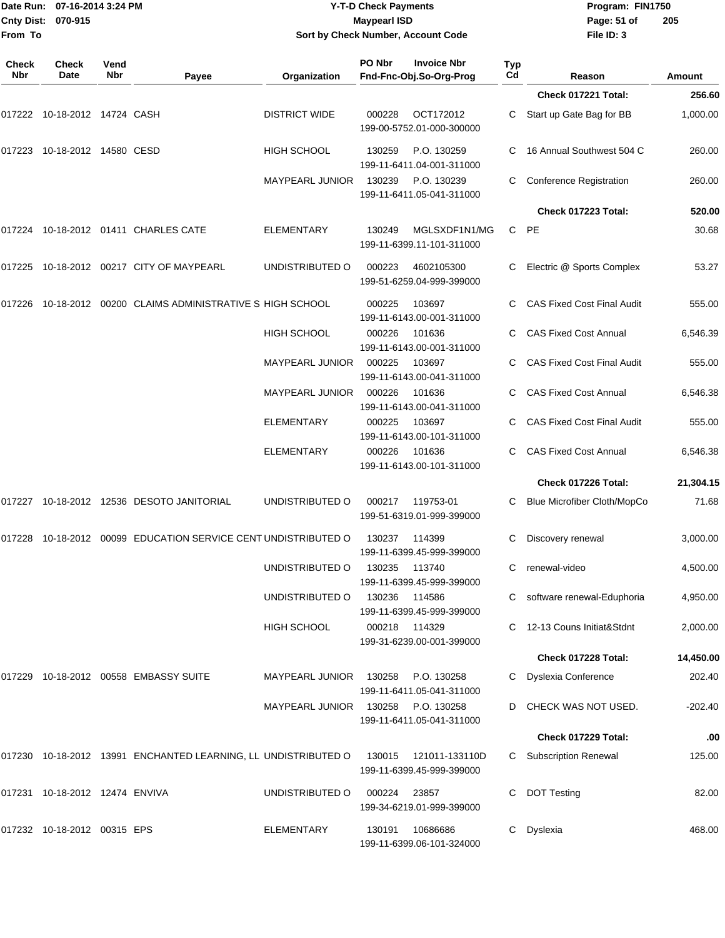|                    | Date Run: 07-16-2014 3:24 PM |
|--------------------|------------------------------|
| Cnty Dist: 070-915 |                              |
| From To            |                              |

### **Date Run: Program: FIN1750 07-16-2014 3:24 PM Y-T-D Check Payments Cnty Dist: Page: 51 of 070-915 Maypearl ISD Sort by Check Number, Account Code**

| Check<br>Nbr | Check<br><b>Date</b>           | Vend<br>Nbr | Payee                                                          | Organization           | PO Nbr | <b>Invoice Nbr</b><br>Fnd-Fnc-Obj.So-Org-Prog | <b>Typ</b><br>Cd | Reason                            | Amount    |
|--------------|--------------------------------|-------------|----------------------------------------------------------------|------------------------|--------|-----------------------------------------------|------------------|-----------------------------------|-----------|
|              |                                |             |                                                                |                        |        |                                               |                  | Check 017221 Total:               | 256.60    |
| 017222       | 10-18-2012 14724 CASH          |             |                                                                | <b>DISTRICT WIDE</b>   | 000228 | OCT172012<br>199-00-5752.01-000-300000        | C                | Start up Gate Bag for BB          | 1,000.00  |
| 017223       | 10-18-2012 14580 CESD          |             |                                                                | HIGH SCHOOL            | 130259 | P.O. 130259<br>199-11-6411.04-001-311000      |                  | 16 Annual Southwest 504 C         | 260.00    |
|              |                                |             |                                                                | <b>MAYPEARL JUNIOR</b> | 130239 | P.O. 130239<br>199-11-6411.05-041-311000      | С                | Conference Registration           | 260.00    |
|              |                                |             |                                                                |                        |        |                                               |                  | Check 017223 Total:               | 520.00    |
|              |                                |             | 017224 10-18-2012 01411 CHARLES CATE                           | <b>ELEMENTARY</b>      | 130249 | MGLSXDF1N1/MG<br>199-11-6399.11-101-311000    | С                | <b>PE</b>                         | 30.68     |
| 017225       |                                |             | 10-18-2012  00217  CITY OF MAYPEARL                            | UNDISTRIBUTED O        | 000223 | 4602105300<br>199-51-6259.04-999-399000       | С                | Electric @ Sports Complex         | 53.27     |
| 017226       |                                |             | 10-18-2012 00200 CLAIMS ADMINISTRATIVE S HIGH SCHOOL           |                        | 000225 | 103697<br>199-11-6143.00-001-311000           |                  | <b>CAS Fixed Cost Final Audit</b> | 555.00    |
|              |                                |             |                                                                | <b>HIGH SCHOOL</b>     | 000226 | 101636<br>199-11-6143.00-001-311000           |                  | <b>CAS Fixed Cost Annual</b>      | 6,546.39  |
|              |                                |             |                                                                | <b>MAYPEARL JUNIOR</b> | 000225 | 103697<br>199-11-6143.00-041-311000           |                  | <b>CAS Fixed Cost Final Audit</b> | 555.00    |
|              |                                |             |                                                                | <b>MAYPEARL JUNIOR</b> | 000226 | 101636<br>199-11-6143.00-041-311000           |                  | <b>CAS Fixed Cost Annual</b>      | 6,546.38  |
|              |                                |             |                                                                | <b>ELEMENTARY</b>      | 000225 | 103697<br>199-11-6143.00-101-311000           |                  | <b>CAS Fixed Cost Final Audit</b> | 555.00    |
|              |                                |             |                                                                | <b>ELEMENTARY</b>      | 000226 | 101636<br>199-11-6143.00-101-311000           |                  | <b>CAS Fixed Cost Annual</b>      | 6,546.38  |
|              |                                |             |                                                                |                        |        |                                               |                  | Check 017226 Total:               | 21,304.15 |
| 017227       |                                |             | 10-18-2012 12536 DESOTO JANITORIAL                             | UNDISTRIBUTED O        | 000217 | 119753-01<br>199-51-6319.01-999-399000        | С                | Blue Microfiber Cloth/MopCo       | 71.68     |
| 017228       |                                |             | 10-18-2012 00099 EDUCATION SERVICE CENT UNDISTRIBUTED O        |                        | 130237 | 114399<br>199-11-6399.45-999-399000           |                  | Discovery renewal                 | 3,000.00  |
|              |                                |             |                                                                | UNDISTRIBUTED O        | 130235 | 113740<br>199-11-6399.45-999-399000           | С                | renewal-video                     | 4,500.00  |
|              |                                |             |                                                                | UNDISTRIBUTED O        | 130236 | 114586<br>199-11-6399.45-999-399000           |                  | C software renewal-Eduphoria      | 4,950.00  |
|              |                                |             |                                                                | HIGH SCHOOL            | 000218 | 114329<br>199-31-6239.00-001-399000           |                  | C 12-13 Couns Initiat&Stdnt       | 2,000.00  |
|              |                                |             |                                                                |                        |        |                                               |                  | Check 017228 Total:               | 14,450.00 |
|              |                                |             | 017229 10-18-2012 00558 EMBASSY SUITE                          | <b>MAYPEARL JUNIOR</b> | 130258 | P.O. 130258<br>199-11-6411.05-041-311000      |                  | <b>Dyslexia Conference</b>        | 202.40    |
|              |                                |             |                                                                | MAYPEARL JUNIOR        | 130258 | P.O. 130258<br>199-11-6411.05-041-311000      |                  | CHECK WAS NOT USED.               | -202.40   |
|              |                                |             |                                                                |                        |        |                                               |                  | Check 017229 Total:               | .00       |
|              |                                |             | 017230 10-18-2012 13991 ENCHANTED LEARNING, LL UNDISTRIBUTED O |                        | 130015 | 121011-133110D<br>199-11-6399.45-999-399000   |                  | C Subscription Renewal            | 125.00    |
|              | 017231 10-18-2012 12474 ENVIVA |             |                                                                | UNDISTRIBUTED O        | 000224 | 23857<br>199-34-6219.01-999-399000            | С                | <b>DOT Testing</b>                | 82.00     |
|              | 017232 10-18-2012 00315 EPS    |             |                                                                | ELEMENTARY             | 130191 | 10686686<br>199-11-6399.06-101-324000         | C.               | Dyslexia                          | 468.00    |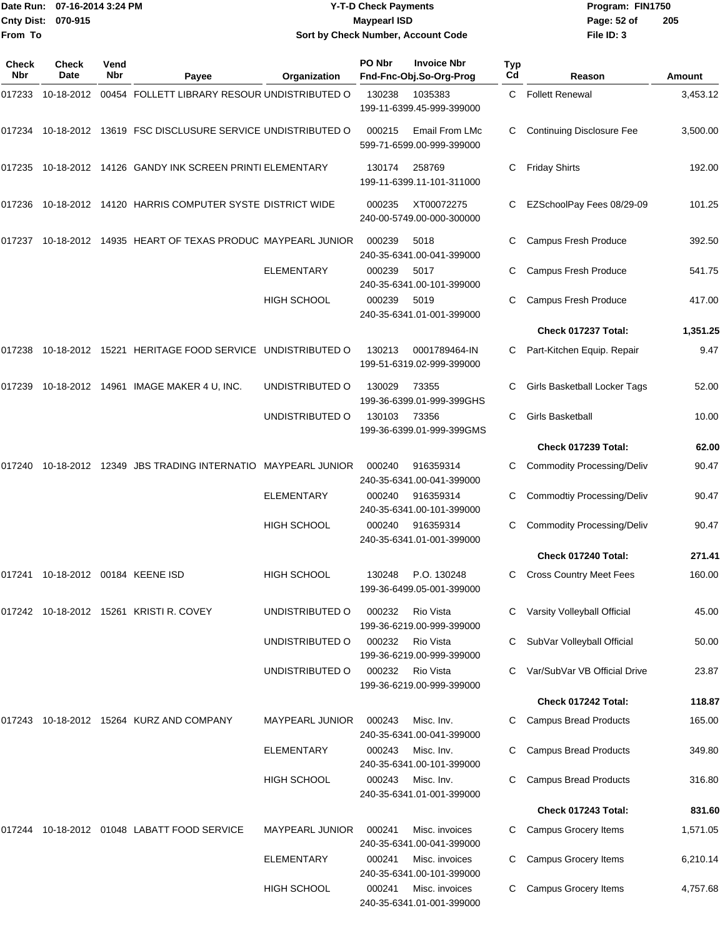| <b>Cnty Dist:</b><br>From To | Date Run: 07-16-2014 3:24 PM<br>070-915 |             |                                                                               |                        | <b>Y-T-D Check Payments</b><br><b>Maypearl ISD</b> | Sort by Check Number, Account Code            |           | Program: FIN1750<br>Page: 52 of<br>File ID: 3 | 205      |
|------------------------------|-----------------------------------------|-------------|-------------------------------------------------------------------------------|------------------------|----------------------------------------------------|-----------------------------------------------|-----------|-----------------------------------------------|----------|
| Check<br>Nbr                 | <b>Check</b><br>Date                    | Vend<br>Nbr | Payee                                                                         | Organization           | PO Nbr                                             | <b>Invoice Nbr</b><br>Fnd-Fnc-Obj.So-Org-Prog | Typ<br>Cd | Reason                                        | Amount   |
| 017233                       |                                         |             | 10-18-2012 00454 FOLLETT LIBRARY RESOUR UNDISTRIBUTED O                       |                        | 130238                                             | 1035383<br>199-11-6399.45-999-399000          |           | C Follett Renewal                             | 3,453.12 |
|                              |                                         |             | 017234    10-18-2012    13619    FSC DISCLUSURE    SERVICE UNDISTRIBUTED    O |                        | 000215                                             | Email From LMc<br>599-71-6599.00-999-399000   | С         | <b>Continuing Disclosure Fee</b>              | 3,500.00 |
|                              |                                         |             | 017235   10-18-2012  14126   GANDY INK SCREEN PRINTI ELEMENTARY               |                        | 130174                                             | 258769<br>199-11-6399.11-101-311000           |           | <b>Friday Shirts</b>                          | 192.00   |
| 017236                       |                                         |             | 10-18-2012 14120 HARRIS COMPUTER SYSTE DISTRICT WIDE                          |                        | 000235                                             | XT00072275<br>240-00-5749.00-000-300000       | С         | EZSchoolPay Fees 08/29-09                     | 101.25   |
|                              |                                         |             |                                                                               |                        | 000239                                             | 5018<br>240-35-6341.00-041-399000             |           | Campus Fresh Produce                          | 392.50   |
|                              |                                         |             |                                                                               | <b>ELEMENTARY</b>      | 000239                                             | 5017<br>240-35-6341.00-101-399000             |           | Campus Fresh Produce                          | 541.75   |
|                              |                                         |             |                                                                               | <b>HIGH SCHOOL</b>     | 000239                                             | 5019<br>240-35-6341.01-001-399000             |           | Campus Fresh Produce                          | 417.00   |
|                              |                                         |             |                                                                               |                        |                                                    |                                               |           | Check 017237 Total:                           | 1,351.25 |
| 017238                       |                                         |             | 10-18-2012 15221 HERITAGE FOOD SERVICE UNDISTRIBUTED O                        |                        | 130213                                             | 0001789464-IN<br>199-51-6319.02-999-399000    |           | Part-Kitchen Equip. Repair                    | 9.47     |
| 017239                       |                                         |             | 10-18-2012  14961  IMAGE MAKER 4 U, INC.                                      | UNDISTRIBUTED O        | 130029                                             | 73355<br>199-36-6399.01-999-399GHS            | С         | Girls Basketball Locker Tags                  | 52.00    |
|                              |                                         |             |                                                                               | UNDISTRIBUTED O        | 130103                                             | 73356<br>199-36-6399.01-999-399GMS            |           | <b>Girls Basketball</b>                       | 10.00    |
|                              |                                         |             |                                                                               |                        |                                                    |                                               |           | Check 017239 Total:                           | 62.00    |
|                              |                                         |             | 017240 10-18-2012 12349 JBS TRADING INTERNATIO MAYPEARL JUNIOR                |                        | 000240                                             | 916359314<br>240-35-6341.00-041-399000        |           | <b>Commodity Processing/Deliv</b>             | 90.47    |
|                              |                                         |             |                                                                               | <b>ELEMENTARY</b>      | 000240                                             | 916359314<br>240-35-6341.00-101-399000        | С         | <b>Commodtiy Processing/Deliv</b>             | 90.47    |
|                              |                                         |             |                                                                               | <b>HIGH SCHOOL</b>     | 000240                                             | 916359314<br>240-35-6341.01-001-399000        | С         | <b>Commodity Processing/Deliv</b>             | 90.47    |
|                              |                                         |             |                                                                               |                        |                                                    |                                               |           | Check 017240 Total:                           | 271.41   |
|                              |                                         |             | 017241 10-18-2012 00184  KEENE ISD                                            | HIGH SCHOOL            | 130248                                             | P.O. 130248<br>199-36-6499.05-001-399000      | С         | <b>Cross Country Meet Fees</b>                | 160.00   |
|                              |                                         |             | 017242 10-18-2012 15261 KRISTI R. COVEY                                       | UNDISTRIBUTED O        | 000232                                             | Rio Vista<br>199-36-6219.00-999-399000        |           | Varsity Volleyball Official                   | 45.00    |
|                              |                                         |             |                                                                               | UNDISTRIBUTED O        | 000232                                             | Rio Vista<br>199-36-6219.00-999-399000        |           | SubVar Volleyball Official                    | 50.00    |
|                              |                                         |             |                                                                               | UNDISTRIBUTED O        | 000232                                             | Rio Vista<br>199-36-6219.00-999-399000        |           | Var/SubVar VB Official Drive                  | 23.87    |
|                              |                                         |             |                                                                               |                        |                                                    |                                               |           | Check 017242 Total:                           | 118.87   |
|                              |                                         |             |                                                                               | <b>MAYPEARL JUNIOR</b> | 000243                                             | Misc. Inv.<br>240-35-6341.00-041-399000       |           | <b>Campus Bread Products</b>                  | 165.00   |
|                              |                                         |             |                                                                               | <b>ELEMENTARY</b>      | 000243                                             | Misc. Inv.<br>240-35-6341.00-101-399000       |           | <b>Campus Bread Products</b>                  | 349.80   |
|                              |                                         |             |                                                                               | HIGH SCHOOL            | 000243                                             | Misc. Inv.<br>240-35-6341.01-001-399000       |           | <b>Campus Bread Products</b>                  | 316.80   |
|                              |                                         |             |                                                                               |                        |                                                    |                                               |           | Check 017243 Total:                           | 831.60   |
|                              |                                         |             | 017244  10-18-2012  01048  LABATT FOOD SERVICE                                | MAYPEARL JUNIOR        | 000241                                             | Misc. invoices<br>240-35-6341.00-041-399000   |           | Campus Grocery Items                          | 1,571.05 |
|                              |                                         |             |                                                                               | <b>ELEMENTARY</b>      | 000241                                             | Misc. invoices<br>240-35-6341.00-101-399000   | С         | Campus Grocery Items                          | 6,210.14 |
|                              |                                         |             |                                                                               | <b>HIGH SCHOOL</b>     | 000241                                             | Misc. invoices<br>240-35-6341.01-001-399000   |           | Campus Grocery Items                          | 4,757.68 |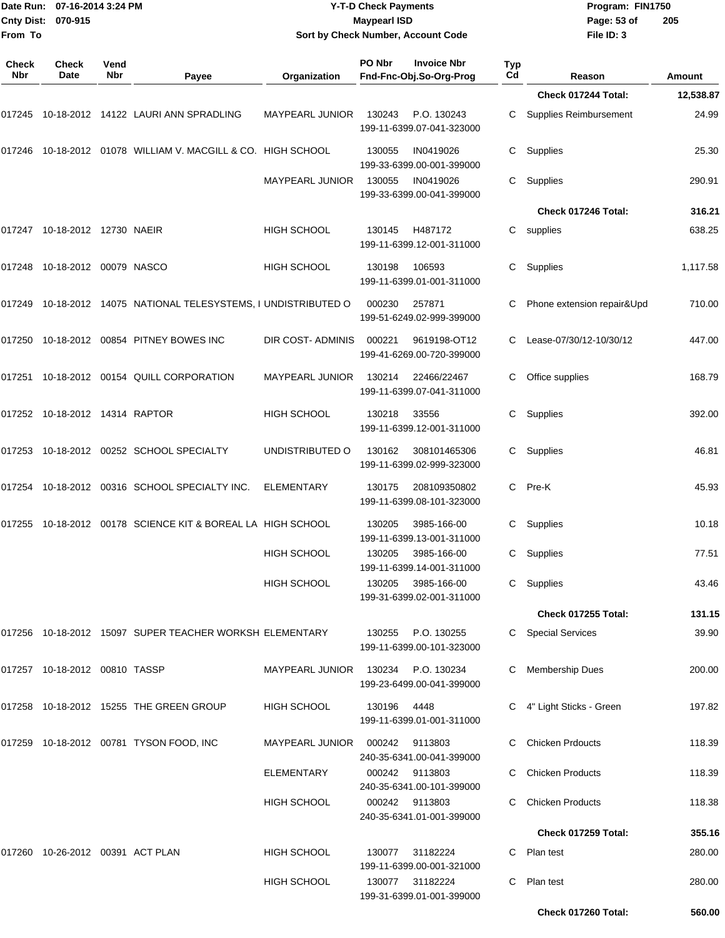| From To             | Date Run: 07-16-2014 3:24 PM<br>Cnty Dist: 070-915 |             |                                                                               |                        | <b>Y-T-D Check Payments</b><br><b>Maypearl ISD</b><br>Sort by Check Number, Account Code |                  | Program: FIN1750<br>Page: 53 of<br>File ID: 3 | 205           |
|---------------------|----------------------------------------------------|-------------|-------------------------------------------------------------------------------|------------------------|------------------------------------------------------------------------------------------|------------------|-----------------------------------------------|---------------|
| <b>Check</b><br>Nbr | Check<br>Date                                      | Vend<br>Nbr | Payee                                                                         | Organization           | PO Nbr<br><b>Invoice Nbr</b><br>Fnd-Fnc-Obj.So-Org-Prog                                  | <b>Typ</b><br>Cd | Reason                                        | <b>Amount</b> |
|                     |                                                    |             |                                                                               |                        |                                                                                          |                  | Check 017244 Total:                           | 12,538.87     |
|                     |                                                    |             |                                                                               | MAYPEARL JUNIOR        | P.O. 130243<br>130243<br>199-11-6399.07-041-323000                                       | C                | Supplies Reimbursement                        | 24.99         |
|                     |                                                    |             | 017246  10-18-2012  01078  WILLIAM V. MACGILL & CO. HIGH SCHOOL               |                        | 130055<br>IN0419026<br>199-33-6399.00-001-399000                                         | C                | Supplies                                      | 25.30         |
|                     |                                                    |             |                                                                               | <b>MAYPEARL JUNIOR</b> | 130055<br>IN0419026<br>199-33-6399.00-041-399000                                         | C                | Supplies                                      | 290.91        |
|                     |                                                    |             |                                                                               |                        |                                                                                          |                  | Check 017246 Total:                           | 316.21        |
|                     | 017247 10-18-2012 12730 NAEIR                      |             |                                                                               | HIGH SCHOOL            | 130145<br>H487172<br>199-11-6399.12-001-311000                                           |                  | C supplies                                    | 638.25        |
|                     | 017248 10-18-2012 00079  NASCO                     |             |                                                                               | HIGH SCHOOL            | 130198<br>106593<br>199-11-6399.01-001-311000                                            | C                | Supplies                                      | 1,117.58      |
|                     |                                                    |             | 017249    10-18-2012    14075         NATIONAL TELESYSTEMS, I UNDISTRIBUTED O |                        | 000230<br>257871<br>199-51-6249.02-999-399000                                            | С                | Phone extension repair&Upd                    | 710.00        |
|                     |                                                    |             |                                                                               | DIR COST-ADMINIS       | 000221<br>9619198-OT12<br>199-41-6269.00-720-399000                                      | С                | Lease-07/30/12-10/30/12                       | 447.00        |
|                     |                                                    |             | 017251  10-18-2012  00154  QUILL CORPORATION                                  | MAYPEARL JUNIOR        | 130214<br>22466/22467<br>199-11-6399.07-041-311000                                       | C                | Office supplies                               | 168.79        |
|                     |                                                    |             |                                                                               | <b>HIGH SCHOOL</b>     | 130218<br>33556<br>199-11-6399.12-001-311000                                             | С                | Supplies                                      | 392.00        |
|                     |                                                    |             |                                                                               | UNDISTRIBUTED O        | 130162<br>308101465306<br>199-11-6399.02-999-323000                                      | C                | Supplies                                      | 46.81         |
|                     |                                                    |             | 017254 10-18-2012 00316 SCHOOL SPECIALTY INC.                                 | <b>ELEMENTARY</b>      | 130175<br>208109350802<br>199-11-6399.08-101-323000                                      | C.               | Pre-K                                         | 45.93         |
|                     |                                                    |             | 017255    10-18-2012    00178    SCIENCE KIT & BOREAL LA HIGH SCHOOL          |                        | 130205<br>3985-166-00<br>199-11-6399.13-001-311000                                       | С                | Supplies                                      | 10.18         |
|                     |                                                    |             |                                                                               | <b>HIGH SCHOOL</b>     | 130205<br>3985-166-00<br>199-11-6399.14-001-311000                                       |                  | C Supplies                                    | 77.51         |
|                     |                                                    |             |                                                                               | HIGH SCHOOL            | 130205 3985-166-00<br>199-31-6399.02-001-311000                                          |                  | C Supplies                                    | 43.46         |
|                     |                                                    |             |                                                                               |                        |                                                                                          |                  | Check 017255 Total:                           | 131.15        |
|                     |                                                    |             | 017256 10-18-2012 15097 SUPER TEACHER WORKSH ELEMENTARY                       |                        | 130255 P.O. 130255<br>199-11-6399.00-101-323000                                          |                  | C Special Services                            | 39.90         |
|                     | 017257  10-18-2012  00810  TASSP                   |             |                                                                               |                        | MAYPEARL JUNIOR 130234 P.O. 130234<br>199-23-6499.00-041-399000                          |                  | C Membership Dues                             | 200.00        |
|                     |                                                    |             | 017258 10-18-2012 15255 THE GREEN GROUP                                       | HIGH SCHOOL            | 130196 4448<br>199-11-6399.01-001-311000                                                 |                  | C 4" Light Sticks - Green                     | 197.82        |
|                     |                                                    |             | 017259  10-18-2012  00781  TYSON FOOD, INC                                    | <b>MAYPEARL JUNIOR</b> | 9113803<br>000242<br>240-35-6341.00-041-399000                                           |                  | C Chicken Prdoucts                            | 118.39        |
|                     |                                                    |             |                                                                               | <b>ELEMENTARY</b>      | 000242 9113803<br>240-35-6341.00-101-399000                                              | C.               | <b>Chicken Products</b>                       | 118.39        |
|                     |                                                    |             |                                                                               | HIGH SCHOOL            | 000242 9113803<br>240-35-6341.01-001-399000                                              | C.               | <b>Chicken Products</b>                       | 118.38        |
|                     |                                                    |             |                                                                               |                        |                                                                                          |                  | Check 017259 Total:                           | 355.16        |
|                     |                                                    |             |                                                                               | <b>HIGH SCHOOL</b>     | 130077 31182224<br>199-11-6399.00-001-321000                                             |                  | C Plan test                                   | 280.00        |
|                     |                                                    |             |                                                                               | HIGH SCHOOL            | 130077 31182224<br>199-31-6399.01-001-399000                                             |                  | C Plan test                                   | 280.00        |
|                     |                                                    |             |                                                                               |                        |                                                                                          |                  | Check 017260 Total:                           | 560.00        |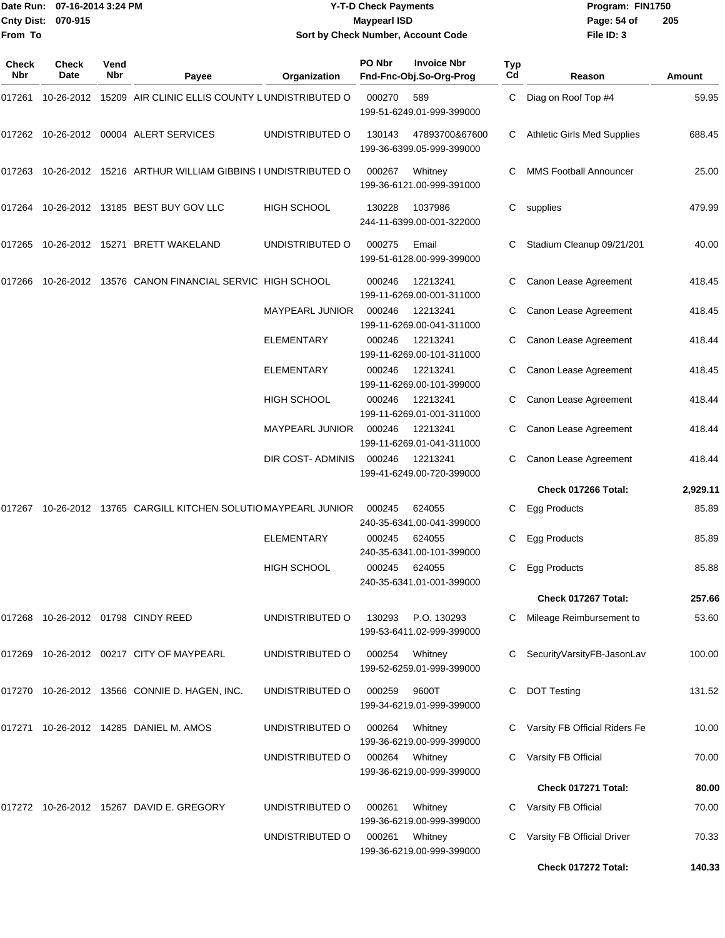**From To**

#### Date Run: 07-16-2014 3:24 PM **Program:** FIN1750 **Cnty Dist:** 070-915 **Page: 54 of MaypearI ISD Page: 54 of Y-T-D Check Payments 070-915 Maypearl ISD Sort by Check Number, Account Code**

| Check<br>Nbr | Check<br>Date | Vend<br>Nbr | Payee                                                     | Organization           | PO Nbr | <b>Invoice Nbr</b><br>Fnd-Fnc-Obj.So-Org-Prog | Typ<br>Cd | Reason                             | Amount   |
|--------------|---------------|-------------|-----------------------------------------------------------|------------------------|--------|-----------------------------------------------|-----------|------------------------------------|----------|
| 017261       | 10-26-2012    |             | 15209 AIR CLINIC ELLIS COUNTY LUNDISTRIBUTED O            |                        | 000270 | 589<br>199-51-6249.01-999-399000              | C         | Diag on Roof Top #4                | 59.95    |
|              |               |             | 017262  10-26-2012  00004  ALERT SERVICES                 | UNDISTRIBUTED O        | 130143 | 47893700&67600<br>199-36-6399.05-999-399000   | C         | <b>Athletic Girls Med Supplies</b> | 688.45   |
| 017263       |               |             | 10-26-2012 15216 ARTHUR WILLIAM GIBBINS I UNDISTRIBUTED O |                        | 000267 | Whitney<br>199-36-6121.00-999-391000          |           | <b>MMS Football Announcer</b>      | 25.00    |
| 017264       |               |             | 10-26-2012 13185 BEST BUY GOV LLC                         | <b>HIGH SCHOOL</b>     | 130228 | 1037986<br>244-11-6399.00-001-322000          | С         | supplies                           | 479.99   |
| 017265       |               |             | 10-26-2012  15271  BRETT WAKELAND                         | UNDISTRIBUTED O        | 000275 | Email<br>199-51-6128.00-999-399000            | C         | Stadium Cleanup 09/21/201          | 40.00    |
| 017266       |               |             | 10-26-2012 13576 CANON FINANCIAL SERVIC HIGH SCHOOL       |                        | 000246 | 12213241<br>199-11-6269.00-001-311000         |           | Canon Lease Agreement              | 418.45   |
|              |               |             |                                                           | <b>MAYPEARL JUNIOR</b> | 000246 | 12213241<br>199-11-6269.00-041-311000         | С         | Canon Lease Agreement              | 418.45   |
|              |               |             |                                                           | <b>ELEMENTARY</b>      | 000246 | 12213241<br>199-11-6269.00-101-311000         | С         | Canon Lease Agreement              | 418.44   |
|              |               |             |                                                           | <b>ELEMENTARY</b>      | 000246 | 12213241<br>199-11-6269.00-101-399000         |           | Canon Lease Agreement              | 418.45   |
|              |               |             |                                                           | <b>HIGH SCHOOL</b>     | 000246 | 12213241<br>199-11-6269.01-001-311000         | C         | Canon Lease Agreement              | 418.44   |
|              |               |             |                                                           | <b>MAYPEARL JUNIOR</b> | 000246 | 12213241<br>199-11-6269.01-041-311000         | C         | Canon Lease Agreement              | 418.44   |
|              |               |             |                                                           | DIR COST- ADMINIS      | 000246 | 12213241<br>199-41-6249.00-720-399000         |           | Canon Lease Agreement              | 418.44   |
|              |               |             |                                                           |                        |        |                                               |           | Check 017266 Total:                | 2,929.11 |
| 017267       |               |             | 10-26-2012 13765 CARGILL KITCHEN SOLUTIO MAYPEARL JUNIOR  |                        | 000245 | 624055<br>240-35-6341.00-041-399000           | С         | Egg Products                       | 85.89    |
|              |               |             |                                                           | <b>ELEMENTARY</b>      | 000245 | 624055<br>240-35-6341.00-101-399000           | С         | Egg Products                       | 85.89    |
|              |               |             |                                                           | <b>HIGH SCHOOL</b>     | 000245 | 624055<br>240-35-6341.01-001-399000           | С         | Egg Products                       | 85.88    |
|              |               |             |                                                           |                        |        |                                               |           | Check 017267 Total:                | 257.66   |
|              |               |             | 017268  10-26-2012  01798  CINDY REED                     | UNDISTRIBUTED O        | 130293 | P.O. 130293<br>199-53-6411.02-999-399000      | C         | Mileage Reimbursement to           | 53.60    |
|              |               |             | 017269 10-26-2012 00217 CITY OF MAYPEARL                  | UNDISTRIBUTED O        | 000254 | Whitney<br>199-52-6259.01-999-399000          |           | SecurityVarsityFB-JasonLav         | 100.00   |
|              |               |             | 017270 10-26-2012 13566 CONNIE D. HAGEN, INC.             | UNDISTRIBUTED O        | 000259 | 9600T<br>199-34-6219.01-999-399000            | C         | <b>DOT Testing</b>                 | 131.52   |
|              |               |             | 017271 10-26-2012 14285 DANIEL M. AMOS                    | UNDISTRIBUTED O        | 000264 | Whitney<br>199-36-6219.00-999-399000          | C         | Varsity FB Official Riders Fe      | 10.00    |
|              |               |             |                                                           | UNDISTRIBUTED O        | 000264 | Whitney<br>199-36-6219.00-999-399000          |           | Varsity FB Official                | 70.00    |
|              |               |             |                                                           |                        |        |                                               |           | Check 017271 Total:                | 80.00    |
|              |               |             | 017272 10-26-2012 15267 DAVID E. GREGORY                  | UNDISTRIBUTED O        | 000261 | Whitney                                       |           | C Varsity FB Official              | 70.00    |
|              |               |             |                                                           | UNDISTRIBUTED O        | 000261 | 199-36-6219.00-999-399000<br>Whitney          | C         | Varsity FB Official Driver         | 70.33    |
|              |               |             |                                                           |                        |        | 199-36-6219.00-999-399000                     |           | Check 017272 Total:                | 140.33   |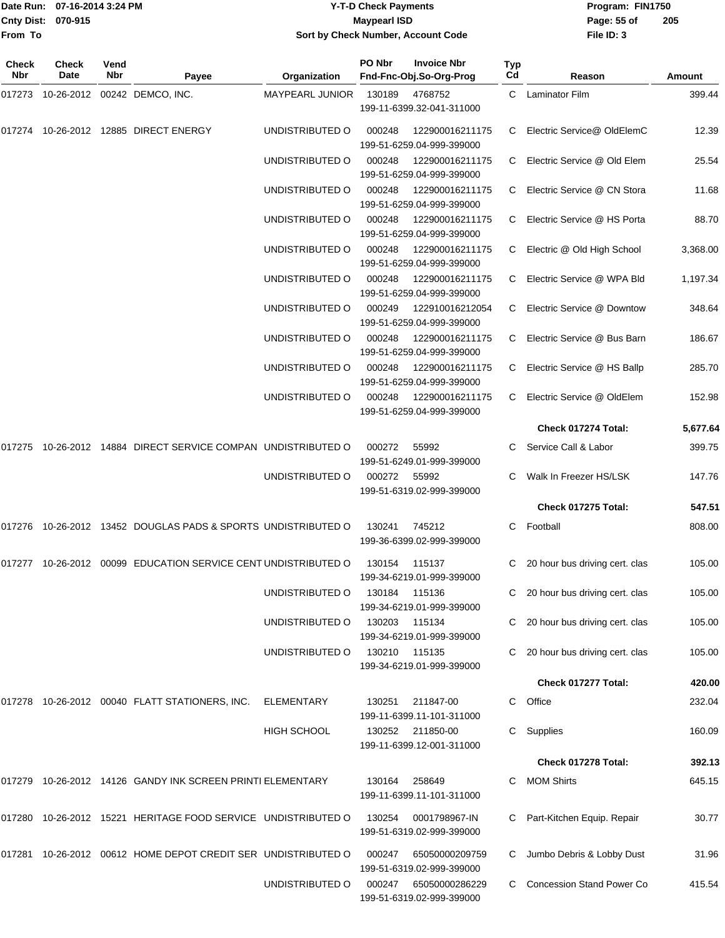|                           | Date Run: 07-16-2014 3:24 PM | Program: FIN1750<br><b>Y-T-D Check Payments</b> |             |     |  |  |
|---------------------------|------------------------------|-------------------------------------------------|-------------|-----|--|--|
| <b>Cnty Dist: 070-915</b> |                              | Maypearl ISD                                    | Page: 55 of | 205 |  |  |
| <b>IFrom To</b>           |                              | Sort by Check Number, Account Code              | File ID: 3  |     |  |  |

| Check<br>Nbr | Check<br>Date | Vend<br>Nbr | Payee                                                            | Organization           | PO Nbr | <b>Invoice Nbr</b><br>Fnd-Fnc-Obj.So-Org-Prog | Typ<br>Cd | Reason                           | Amount   |
|--------------|---------------|-------------|------------------------------------------------------------------|------------------------|--------|-----------------------------------------------|-----------|----------------------------------|----------|
| 017273       |               |             | 10-26-2012 00242 DEMCO, INC.                                     | <b>MAYPEARL JUNIOR</b> | 130189 | 4768752                                       |           | C Laminator Film                 | 399.44   |
|              |               |             |                                                                  |                        |        | 199-11-6399.32-041-311000                     |           |                                  |          |
| 017274       |               |             | 10-26-2012  12885  DIRECT ENERGY                                 | UNDISTRIBUTED O        | 000248 | 122900016211175<br>199-51-6259.04-999-399000  | C.        | Electric Service@ OldElemC       | 12.39    |
|              |               |             |                                                                  | UNDISTRIBUTED O        | 000248 | 122900016211175<br>199-51-6259.04-999-399000  | C.        | Electric Service @ Old Elem      | 25.54    |
|              |               |             |                                                                  | UNDISTRIBUTED O        | 000248 | 122900016211175<br>199-51-6259.04-999-399000  | C.        | Electric Service @ CN Stora      | 11.68    |
|              |               |             |                                                                  | UNDISTRIBUTED O        | 000248 | 122900016211175<br>199-51-6259.04-999-399000  | C.        | Electric Service @ HS Porta      | 88.70    |
|              |               |             |                                                                  | UNDISTRIBUTED O        | 000248 | 122900016211175<br>199-51-6259.04-999-399000  |           | C Electric @ Old High School     | 3,368.00 |
|              |               |             |                                                                  | UNDISTRIBUTED O        | 000248 | 122900016211175<br>199-51-6259.04-999-399000  | C.        | Electric Service @ WPA Bld       | 1,197.34 |
|              |               |             |                                                                  | UNDISTRIBUTED O        | 000249 | 122910016212054<br>199-51-6259.04-999-399000  | C.        | Electric Service @ Downtow       | 348.64   |
|              |               |             |                                                                  | UNDISTRIBUTED O        | 000248 | 122900016211175<br>199-51-6259.04-999-399000  | C.        | Electric Service @ Bus Barn      | 186.67   |
|              |               |             |                                                                  | UNDISTRIBUTED O        | 000248 | 122900016211175<br>199-51-6259.04-999-399000  | C         | Electric Service @ HS Ballp      | 285.70   |
|              |               |             |                                                                  | UNDISTRIBUTED O        | 000248 | 122900016211175<br>199-51-6259.04-999-399000  |           | Electric Service @ OldElem       | 152.98   |
|              |               |             |                                                                  |                        |        |                                               |           | Check 017274 Total:              | 5,677.64 |
| 017275       |               |             | 10-26-2012 14884 DIRECT SERVICE COMPAN UNDISTRIBUTED O           |                        | 000272 | 55992<br>199-51-6249.01-999-399000            |           | Service Call & Labor             | 399.75   |
|              |               |             |                                                                  | UNDISTRIBUTED O        | 000272 | 55992<br>199-51-6319.02-999-399000            | C.        | Walk In Freezer HS/LSK           | 147.76   |
|              |               |             |                                                                  |                        |        |                                               |           | Check 017275 Total:              | 547.51   |
| 017276       |               |             | 10-26-2012 13452 DOUGLAS PADS & SPORTS UNDISTRIBUTED O           |                        | 130241 | 745212<br>199-36-6399.02-999-399000           | C         | Football                         | 808.00   |
| 017277       |               |             | 10-26-2012 00099 EDUCATION SERVICE CENT UNDISTRIBUTED O          |                        | 130154 | 115137                                        | C         | 20 hour bus driving cert. clas   | 105.00   |
|              |               |             |                                                                  |                        |        | 199-34-6219.01-999-399000                     |           |                                  |          |
|              |               |             |                                                                  | UNDISTRIBUTED O        | 130184 | 115136<br>199-34-6219.01-999-399000           |           | C 20 hour bus driving cert. clas | 105.00   |
|              |               |             |                                                                  | UNDISTRIBUTED O        | 130203 | 115134<br>199-34-6219.01-999-399000           |           | 20 hour bus driving cert. clas   | 105.00   |
|              |               |             |                                                                  | UNDISTRIBUTED O        |        | 130210 115135<br>199-34-6219.01-999-399000    |           | 20 hour bus driving cert. clas   | 105.00   |
|              |               |             |                                                                  |                        |        |                                               |           | Check 017277 Total:              | 420.00   |
|              |               |             | 017278 10-26-2012 00040 FLATT STATIONERS, INC.                   | ELEMENTARY             | 130251 | 211847-00<br>199-11-6399.11-101-311000        | C         | Office                           | 232.04   |
|              |               |             |                                                                  | HIGH SCHOOL            |        | 130252 211850-00<br>199-11-6399.12-001-311000 |           | Supplies                         | 160.09   |
|              |               |             |                                                                  |                        |        |                                               |           | Check 017278 Total:              | 392.13   |
|              |               |             | 017279 10-26-2012 14126 GANDY INK SCREEN PRINTI ELEMENTARY       |                        |        | 130164 258649<br>199-11-6399.11-101-311000    |           | <b>MOM Shirts</b>                | 645.15   |
|              |               |             | 017280 10-26-2012 15221 HERITAGE FOOD SERVICE UNDISTRIBUTED O    |                        | 130254 | 0001798967-IN<br>199-51-6319.02-999-399000    |           | C Part-Kitchen Equip. Repair     | 30.77    |
|              |               |             | 017281  10-26-2012  00612  HOME DEPOT CREDIT SER UNDISTRIBUTED O |                        | 000247 | 65050000209759<br>199-51-6319.02-999-399000   |           | Jumbo Debris & Lobby Dust        | 31.96    |
|              |               |             |                                                                  | UNDISTRIBUTED O        | 000247 | 65050000286229<br>199-51-6319.02-999-399000   |           | <b>Concession Stand Power Co</b> | 415.54   |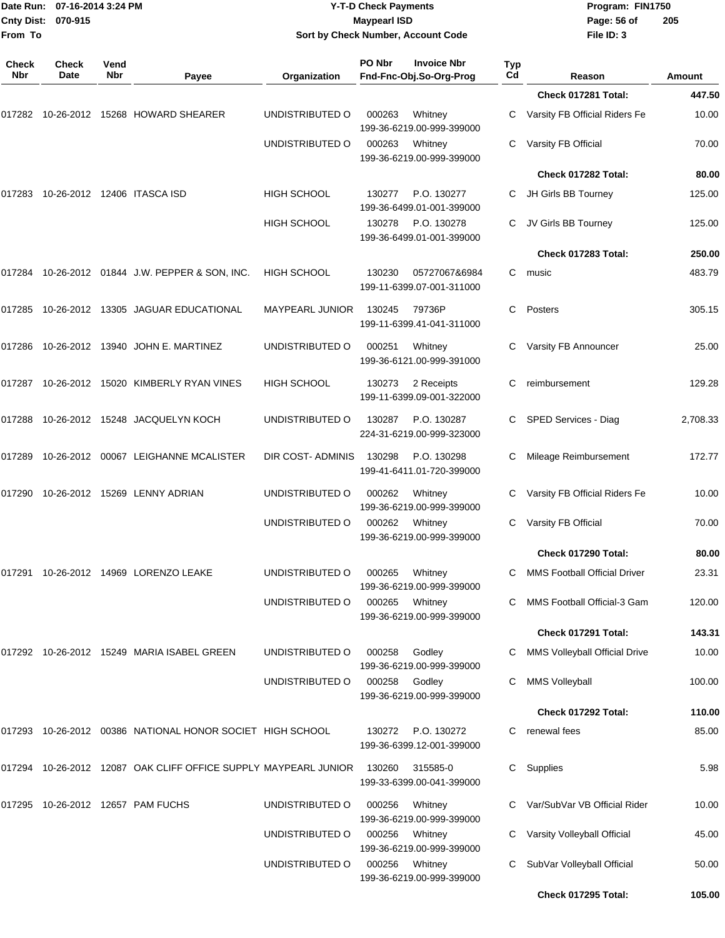| From To             | Date Run: 07-16-2014 3:24 PM<br>Cnty Dist: 070-915 |             |                                                                 |                        | <b>Y-T-D Check Payments</b><br><b>Maypearl ISD</b> | Sort by Check Number, Account Code            |           | Program: FIN1750<br>Page: 56 of<br>File ID: 3          | 205             |
|---------------------|----------------------------------------------------|-------------|-----------------------------------------------------------------|------------------------|----------------------------------------------------|-----------------------------------------------|-----------|--------------------------------------------------------|-----------------|
| <b>Check</b><br>Nbr | Check<br>Date                                      | Vend<br>Nbr | Payee                                                           | Organization           | PO Nbr                                             | <b>Invoice Nbr</b><br>Fnd-Fnc-Obj.So-Org-Prog | Typ<br>Cd | Reason                                                 | <b>Amount</b>   |
|                     |                                                    |             |                                                                 |                        |                                                    |                                               |           | Check 017281 Total:                                    | 447.50          |
|                     |                                                    |             | 017282 10-26-2012 15268 HOWARD SHEARER                          | UNDISTRIBUTED O        | 000263                                             | Whitney<br>199-36-6219.00-999-399000          | С         | Varsity FB Official Riders Fe                          | 10.00           |
|                     |                                                    |             |                                                                 | UNDISTRIBUTED O        | 000263                                             | Whitney<br>199-36-6219.00-999-399000          | С         | Varsity FB Official                                    | 70.00           |
|                     |                                                    |             |                                                                 |                        |                                                    |                                               |           | Check 017282 Total:                                    | 80.00           |
| 017283              |                                                    |             | 10-26-2012  12406  ITASCA ISD                                   | HIGH SCHOOL            | 130277                                             | P.O. 130277<br>199-36-6499.01-001-399000      | C.        | JH Girls BB Tourney                                    | 125.00          |
|                     |                                                    |             |                                                                 | <b>HIGH SCHOOL</b>     | 130278                                             | P.O. 130278<br>199-36-6499.01-001-399000      | С         | JV Girls BB Tourney                                    | 125.00          |
|                     |                                                    |             |                                                                 |                        |                                                    |                                               |           | Check 017283 Total:                                    | 250.00          |
|                     |                                                    |             | 017284 10-26-2012 01844 J.W. PEPPER & SON, INC.                 | <b>HIGH SCHOOL</b>     | 130230                                             | 05727067&6984<br>199-11-6399.07-001-311000    | C.        | music                                                  | 483.79          |
| 017285              |                                                    |             | 10-26-2012  13305  JAGUAR EDUCATIONAL                           | <b>MAYPEARL JUNIOR</b> | 130245                                             | 79736P<br>199-11-6399.41-041-311000           | С         | Posters                                                | 305.15          |
|                     |                                                    |             | 017286 10-26-2012 13940 JOHN E. MARTINEZ                        | UNDISTRIBUTED O        | 000251                                             | Whitney<br>199-36-6121.00-999-391000          | С         | Varsity FB Announcer                                   | 25.00           |
|                     |                                                    |             | 017287 10-26-2012 15020 KIMBERLY RYAN VINES                     | <b>HIGH SCHOOL</b>     | 130273                                             | 2 Receipts<br>199-11-6399.09-001-322000       | С         | reimbursement                                          | 129.28          |
| 017288              |                                                    |             | 10-26-2012  15248  JACQUELYN KOCH                               | UNDISTRIBUTED O        | 130287                                             | P.O. 130287<br>224-31-6219.00-999-323000      | C.        | SPED Services - Diag                                   | 2,708.33        |
| 017289              |                                                    |             | 10-26-2012 00067 LEIGHANNE MCALISTER                            | DIR COST-ADMINIS       | 130298                                             | P.O. 130298<br>199-41-6411.01-720-399000      | С         | Mileage Reimbursement                                  | 172.77          |
| 017290              |                                                    |             | 10-26-2012 15269 LENNY ADRIAN                                   | UNDISTRIBUTED O        | 000262                                             | Whitney<br>199-36-6219.00-999-399000          | С         | Varsity FB Official Riders Fe                          | 10.00           |
|                     |                                                    |             |                                                                 | UNDISTRIBUTED O        | 000262                                             | Whitney<br>199-36-6219.00-999-399000          | С         | Varsity FB Official                                    | 70.00           |
|                     |                                                    |             |                                                                 |                        |                                                    |                                               |           | Check 017290 Total:                                    | 80.00           |
|                     |                                                    |             | 017291 10-26-2012 14969 LORENZO LEAKE                           | UNDISTRIBUTED O        | 000265                                             | Whitney<br>199-36-6219.00-999-399000          | C         | <b>MMS Football Official Driver</b>                    | 23.31           |
|                     |                                                    |             |                                                                 | UNDISTRIBUTED O        | 000265                                             | Whitney<br>199-36-6219.00-999-399000          | C.        | MMS Football Official-3 Gam                            | 120.00          |
|                     |                                                    |             | 017292 10-26-2012 15249 MARIA ISABEL GREEN                      | UNDISTRIBUTED O        |                                                    |                                               |           | Check 017291 Total:                                    | 143.31          |
|                     |                                                    |             |                                                                 | UNDISTRIBUTED O        | 000258<br>000258                                   | Godley<br>199-36-6219.00-999-399000<br>Godley | C.<br>С   | MMS Volleyball Official Drive<br><b>MMS Volleyball</b> | 10.00<br>100.00 |
|                     |                                                    |             |                                                                 |                        |                                                    | 199-36-6219.00-999-399000                     |           | Check 017292 Total:                                    | 110.00          |
|                     |                                                    |             | 017293 10-26-2012 00386 NATIONAL HONOR SOCIET HIGH SCHOOL       |                        | 130272                                             | P.O. 130272                                   |           | C renewal fees                                         | 85.00           |
|                     |                                                    |             |                                                                 |                        |                                                    | 199-36-6399.12-001-399000                     |           |                                                        |                 |
|                     |                                                    |             | 017294 10-26-2012 12087 OAK CLIFF OFFICE SUPPLY MAYPEARL JUNIOR |                        | 130260                                             | 315585-0<br>199-33-6399.00-041-399000         | C         | Supplies                                               | 5.98            |
|                     |                                                    |             | 017295 10-26-2012 12657 PAM FUCHS                               | UNDISTRIBUTED O        | 000256                                             | Whitney<br>199-36-6219.00-999-399000          |           | Var/SubVar VB Official Rider                           | 10.00           |
|                     |                                                    |             |                                                                 | UNDISTRIBUTED O        | 000256                                             | Whitney<br>199-36-6219.00-999-399000          | C.        | Varsity Volleyball Official                            | 45.00           |
|                     |                                                    |             |                                                                 | UNDISTRIBUTED O        | 000256                                             | Whitney<br>199-36-6219.00-999-399000          | С         | SubVar Volleyball Official<br>Check 017295 Total:      | 50.00<br>105.00 |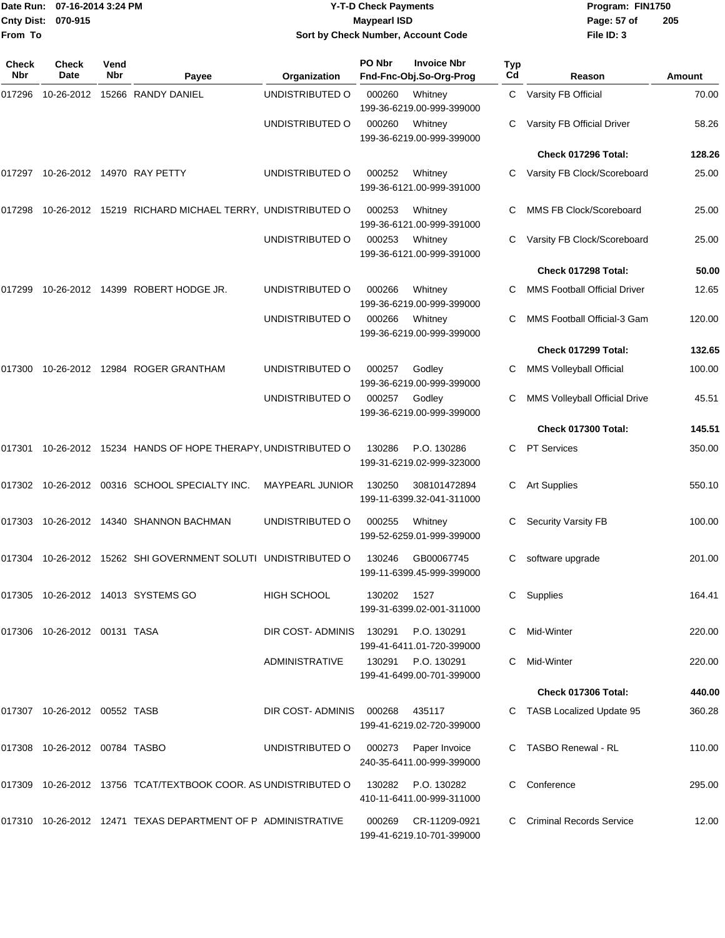| <b>Cnty Dist:</b><br>From To | Date Run: 07-16-2014 3:24 PM<br>070-915 |             |                                                                | Sort by Check Number, Account Code | <b>Y-T-D Check Payments</b><br><b>Maypearl ISD</b> |                                                 |           | Program: FIN1750<br>Page: 57 of<br>File ID: 3 | 205    |
|------------------------------|-----------------------------------------|-------------|----------------------------------------------------------------|------------------------------------|----------------------------------------------------|-------------------------------------------------|-----------|-----------------------------------------------|--------|
| <b>Check</b><br>Nbr          | Check<br>Date                           | Vend<br>Nbr | Payee                                                          | Organization                       | PO Nbr                                             | <b>Invoice Nbr</b><br>Fnd-Fnc-Obj.So-Org-Prog   | Typ<br>Cd | Reason                                        | Amount |
| 017296                       |                                         |             | 10-26-2012  15266  RANDY DANIEL                                | UNDISTRIBUTED O                    | 000260                                             | Whitney<br>199-36-6219.00-999-399000            |           | C Varsity FB Official                         | 70.00  |
|                              |                                         |             |                                                                | UNDISTRIBUTED O                    | 000260                                             | Whitney<br>199-36-6219.00-999-399000            |           | Varsity FB Official Driver                    | 58.26  |
|                              |                                         |             |                                                                |                                    |                                                    |                                                 |           | Check 017296 Total:                           | 128.26 |
|                              |                                         |             | 017297 10-26-2012 14970 RAY PETTY                              | UNDISTRIBUTED O                    | 000252                                             | Whitney<br>199-36-6121.00-999-391000            |           | Varsity FB Clock/Scoreboard                   | 25.00  |
| 017298                       |                                         |             | 10-26-2012 15219 RICHARD MICHAEL TERRY, UNDISTRIBUTED O        |                                    | 000253                                             | Whitney<br>199-36-6121.00-999-391000            | С         | MMS FB Clock/Scoreboard                       | 25.00  |
|                              |                                         |             |                                                                | UNDISTRIBUTED O                    | 000253                                             | Whitney<br>199-36-6121.00-999-391000            |           | Varsity FB Clock/Scoreboard                   | 25.00  |
|                              |                                         |             |                                                                |                                    |                                                    |                                                 |           | Check 017298 Total:                           | 50.00  |
| 017299                       |                                         |             | 10-26-2012 14399 ROBERT HODGE JR.                              | UNDISTRIBUTED O                    | 000266                                             | Whitney<br>199-36-6219.00-999-399000            |           | <b>MMS Football Official Driver</b>           | 12.65  |
|                              |                                         |             |                                                                | UNDISTRIBUTED O                    | 000266                                             | Whitney<br>199-36-6219.00-999-399000            | C         | MMS Football Official-3 Gam                   | 120.00 |
|                              |                                         |             |                                                                |                                    |                                                    |                                                 |           | Check 017299 Total:                           | 132.65 |
| 017300                       |                                         |             | 10-26-2012  12984  ROGER GRANTHAM                              | UNDISTRIBUTED O                    | 000257                                             | Godley<br>199-36-6219.00-999-399000             | C         | <b>MMS Volleyball Official</b>                | 100.00 |
|                              |                                         |             |                                                                | UNDISTRIBUTED O                    | 000257                                             | Godley<br>199-36-6219.00-999-399000             | C         | MMS Volleyball Official Drive                 | 45.51  |
|                              |                                         |             |                                                                |                                    |                                                    |                                                 |           | Check 017300 Total:                           | 145.51 |
|                              |                                         |             | 017301 10-26-2012 15234 HANDS OF HOPE THERAPY, UNDISTRIBUTED O |                                    | 130286                                             | P.O. 130286<br>199-31-6219.02-999-323000        | C         | <b>PT Services</b>                            | 350.00 |
|                              |                                         |             | 017302 10-26-2012 00316 SCHOOL SPECIALTY INC.                  | <b>MAYPEARL JUNIOR</b>             | 130250                                             | 308101472894<br>199-11-6399.32-041-311000       | C         | <b>Art Supplies</b>                           | 550.10 |
|                              |                                         |             | 017303 10-26-2012 14340 SHANNON BACHMAN                        | UNDISTRIBUTED O                    | 000255                                             | Whitney<br>199-52-6259.01-999-399000            | C.        | <b>Security Varsity FB</b>                    | 100.00 |
|                              |                                         |             | 017304 10-26-2012 15262 SHI GOVERNMENT SOLUTI UNDISTRIBUTED O  |                                    | 130246                                             | GB00067745<br>199-11-6399.45-999-399000         |           | C software upgrade                            | 201.00 |
|                              |                                         |             | 017305 10-26-2012 14013 SYSTEMS GO                             | HIGH SCHOOL                        | 130202                                             | 1527<br>199-31-6399.02-001-311000               |           | C Supplies                                    | 164.41 |
|                              | 017306 10-26-2012 00131 TASA            |             |                                                                | DIR COST-ADMINIS                   | 130291                                             | P.O. 130291<br>199-41-6411.01-720-399000        |           | Mid-Winter                                    | 220.00 |
|                              |                                         |             |                                                                | ADMINISTRATIVE                     |                                                    | 130291 P.O. 130291<br>199-41-6499.00-701-399000 | C         | Mid-Winter                                    | 220.00 |
|                              |                                         |             |                                                                |                                    |                                                    |                                                 |           | Check 017306 Total:                           | 440.00 |
|                              | 017307 10-26-2012 00552 TASB            |             |                                                                | DIR COST-ADMINIS 000268            |                                                    | 435117<br>199-41-6219.02-720-399000             |           | C TASB Localized Update 95                    | 360.28 |
|                              | 017308 10-26-2012 00784 TASBO           |             |                                                                | UNDISTRIBUTED O                    | 000273                                             | Paper Invoice<br>240-35-6411.00-999-399000      |           | C TASBO Renewal - RL                          | 110.00 |
|                              |                                         |             | 017309 10-26-2012 13756 TCAT/TEXTBOOK COOR. AS UNDISTRIBUTED O |                                    | 130282                                             | P.O. 130282<br>410-11-6411.00-999-311000        |           | Conference                                    | 295.00 |
|                              |                                         |             | 017310 10-26-2012 12471 TEXAS DEPARTMENT OF P ADMINISTRATIVE   |                                    | 000269                                             | CR-11209-0921<br>199-41-6219.10-701-399000      |           | C Criminal Records Service                    | 12.00  |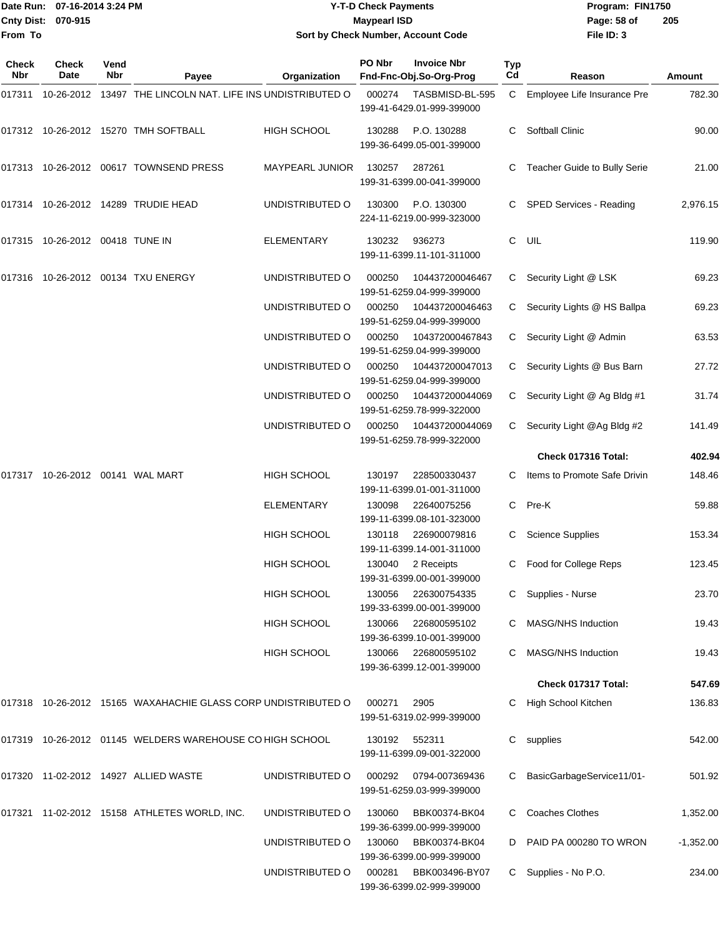|                           | ■Date Run: 07-16-2014 3:24 PM | <b>Y-T-D Check Payments</b>        | Program: FIN1750 |                |
|---------------------------|-------------------------------|------------------------------------|------------------|----------------|
| <b>Cnty Dist: 070-915</b> |                               | Maypearl ISD                       | Page: 58 of      | $\overline{2}$ |
| <b>From To</b>            |                               | Sort by Check Number, Account Code | File $ID: 3$     |                |

# **Sort by Check Number, Account Code**

| Check<br>Nbr | <b>Check</b><br>Date               | Vend<br><b>Nbr</b> | Payee                                                         | Organization       | PO Nbr        | <b>Invoice Nbr</b><br>Fnd-Fnc-Obj.So-Org-Prog    | <b>Typ</b><br>Cd | Reason                        | Amount      |
|--------------|------------------------------------|--------------------|---------------------------------------------------------------|--------------------|---------------|--------------------------------------------------|------------------|-------------------------------|-------------|
| 017311       |                                    |                    | 10-26-2012 13497 THE LINCOLN NAT. LIFE INS UNDISTRIBUTED O    |                    | 000274        | TASBMISD-BL-595<br>199-41-6429.01-999-399000     | C.               | Employee Life Insurance Pre   | 782.30      |
|              |                                    |                    | 017312 10-26-2012 15270 TMH SOFTBALL                          | HIGH SCHOOL        | 130288        | P.O. 130288<br>199-36-6499.05-001-399000         | C.               | <b>Softball Clinic</b>        | 90.00       |
|              |                                    |                    | 017313 10-26-2012 00617 TOWNSEND PRESS                        | MAYPEARL JUNIOR    | 130257        | 287261<br>199-31-6399.00-041-399000              |                  | Teacher Guide to Bully Serie  | 21.00       |
|              |                                    |                    | 017314 10-26-2012 14289 TRUDIE HEAD                           | UNDISTRIBUTED O    | 130300        | P.O. 130300<br>224-11-6219.00-999-323000         |                  | C SPED Services - Reading     | 2,976.15    |
|              | 017315  10-26-2012  00418  TUNE IN |                    |                                                               | <b>ELEMENTARY</b>  | 130232        | 936273<br>199-11-6399.11-101-311000              | C                | UIL                           | 119.90      |
|              |                                    |                    | 017316 10-26-2012 00134 TXU ENERGY                            | UNDISTRIBUTED O    | 000250        | 104437200046467<br>199-51-6259.04-999-399000     | C.               | Security Light @ LSK          | 69.23       |
|              |                                    |                    |                                                               | UNDISTRIBUTED O    | 000250        | 104437200046463<br>199-51-6259.04-999-399000     |                  | C Security Lights @ HS Ballpa | 69.23       |
|              |                                    |                    |                                                               | UNDISTRIBUTED O    | 000250        | 104372000467843<br>199-51-6259.04-999-399000     |                  | C Security Light @ Admin      | 63.53       |
|              |                                    |                    |                                                               | UNDISTRIBUTED O    | 000250        | 104437200047013<br>199-51-6259.04-999-399000     | C.               | Security Lights @ Bus Barn    | 27.72       |
|              |                                    |                    |                                                               | UNDISTRIBUTED O    | 000250        | 104437200044069<br>199-51-6259.78-999-322000     | C.               | Security Light @ Ag Bldg #1   | 31.74       |
|              |                                    |                    |                                                               | UNDISTRIBUTED O    | 000250        | 104437200044069<br>199-51-6259.78-999-322000     |                  | C Security Light @Ag Bldg #2  | 141.49      |
|              |                                    |                    |                                                               |                    |               |                                                  |                  | Check 017316 Total:           | 402.94      |
|              |                                    |                    |                                                               | HIGH SCHOOL        | 130197        | 228500330437<br>199-11-6399.01-001-311000        |                  | Items to Promote Safe Drivin  | 148.46      |
|              |                                    |                    |                                                               | <b>ELEMENTARY</b>  | 130098        | 22640075256<br>199-11-6399.08-101-323000         | C                | Pre-K                         | 59.88       |
|              |                                    |                    |                                                               | <b>HIGH SCHOOL</b> | 130118        | 226900079816<br>199-11-6399.14-001-311000        | C                | <b>Science Supplies</b>       | 153.34      |
|              |                                    |                    |                                                               | <b>HIGH SCHOOL</b> | 130040        | 2 Receipts<br>199-31-6399.00-001-399000          |                  | C Food for College Reps       | 123.45      |
|              |                                    |                    |                                                               | <b>HIGH SCHOOL</b> | 130056        | 226300754335<br>199-33-6399.00-001-399000        |                  | Supplies - Nurse              | 23.70       |
|              |                                    |                    |                                                               | <b>HIGH SCHOOL</b> | 130066        | 226800595102<br>199-36-6399.10-001-399000        |                  | MASG/NHS Induction            | 19.43       |
|              |                                    |                    |                                                               | HIGH SCHOOL        |               | 130066 226800595102<br>199-36-6399.12-001-399000 |                  | C MASG/NHS Induction          | 19.43       |
|              |                                    |                    |                                                               |                    |               |                                                  |                  | Check 017317 Total:           | 547.69      |
|              |                                    |                    | 017318 10-26-2012 15165 WAXAHACHIE GLASS CORP UNDISTRIBUTED O |                    | 000271        | 2905<br>199-51-6319.02-999-399000                |                  | C High School Kitchen         | 136.83      |
|              |                                    |                    | 017319 10-26-2012 01145 WELDERS WAREHOUSE CO HIGH SCHOOL      |                    | 130192 552311 | 199-11-6399.09-001-322000                        | C.               | supplies                      | 542.00      |
|              |                                    |                    | 017320 11-02-2012 14927 ALLIED WASTE                          | UNDISTRIBUTED O    | 000292        | 0794-007369436<br>199-51-6259.03-999-399000      | C                | BasicGarbageService11/01-     | 501.92      |
|              |                                    |                    | 017321 11-02-2012 15158 ATHLETES WORLD, INC.                  | UNDISTRIBUTED O    | 130060        | BBK00374-BK04<br>199-36-6399.00-999-399000       |                  | <b>Coaches Clothes</b>        | 1,352.00    |
|              |                                    |                    |                                                               | UNDISTRIBUTED O    | 130060        | BBK00374-BK04<br>199-36-6399.00-999-399000       | D                | PAID PA 000280 TO WRON        | $-1,352.00$ |
|              |                                    |                    |                                                               | UNDISTRIBUTED O    | 000281        | BBK003496-BY07<br>199-36-6399.02-999-399000      |                  | C Supplies - No P.O.          | 234.00      |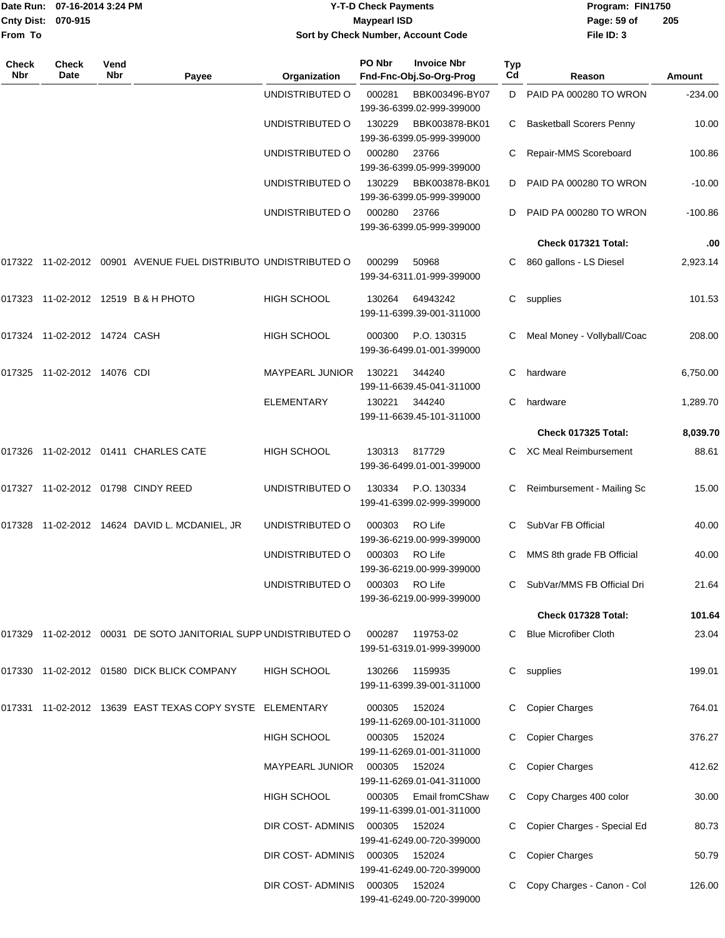|                   | Date Run: 07-16-2014 3:24 PM    |             |                                                                   |                         | <b>Y-T-D Check Payments</b> |                                               |           | Program: FIN1750                |           |
|-------------------|---------------------------------|-------------|-------------------------------------------------------------------|-------------------------|-----------------------------|-----------------------------------------------|-----------|---------------------------------|-----------|
| <b>Cnty Dist:</b> | 070-915                         |             |                                                                   |                         | <b>Maypearl ISD</b>         |                                               |           | Page: 59 of                     | 205       |
| From To           |                                 |             |                                                                   |                         |                             | Sort by Check Number, Account Code            |           | File ID: 3                      |           |
| Check<br>Nbr      | <b>Check</b><br>Date            | Vend<br>Nbr | Payee                                                             | Organization            | PO Nbr                      | <b>Invoice Nbr</b><br>Fnd-Fnc-Obj.So-Org-Prog | Typ<br>Cd | Reason                          | Amount    |
|                   |                                 |             |                                                                   | UNDISTRIBUTED O         | 000281                      | BBK003496-BY07<br>199-36-6399.02-999-399000   | D         | PAID PA 000280 TO WRON          | $-234.00$ |
|                   |                                 |             |                                                                   | UNDISTRIBUTED O         | 130229                      | BBK003878-BK01<br>199-36-6399.05-999-399000   | C         | <b>Basketball Scorers Penny</b> | 10.00     |
|                   |                                 |             |                                                                   | UNDISTRIBUTED O         | 000280                      | 23766<br>199-36-6399.05-999-399000            |           | Repair-MMS Scoreboard           | 100.86    |
|                   |                                 |             |                                                                   | UNDISTRIBUTED O         | 130229                      | BBK003878-BK01<br>199-36-6399.05-999-399000   | D         | PAID PA 000280 TO WRON          | $-10.00$  |
|                   |                                 |             |                                                                   | UNDISTRIBUTED O         | 000280                      | 23766<br>199-36-6399.05-999-399000            | D         | PAID PA 000280 TO WRON          | $-100.86$ |
|                   |                                 |             |                                                                   |                         |                             |                                               |           | Check 017321 Total:             | .00       |
|                   |                                 |             | 017322 11-02-2012 00901   AVENUE FUEL DISTRIBUTO  UNDISTRIBUTED O |                         | 000299                      | 50968<br>199-34-6311.01-999-399000            | C         | 860 gallons - LS Diesel         | 2,923.14  |
|                   |                                 |             | 017323 11-02-2012 12519  B&H PHOTO                                | <b>HIGH SCHOOL</b>      | 130264                      | 64943242<br>199-11-6399.39-001-311000         | C.        | supplies                        | 101.53    |
|                   | 017324  11-02-2012  14724  CASH |             |                                                                   | HIGH SCHOOL             | 000300                      | P.O. 130315<br>199-36-6499.01-001-399000      | С         | Meal Money - Vollyball/Coac     | 208.00    |
|                   | 017325 11-02-2012 14076 CDI     |             |                                                                   | MAYPEARL JUNIOR         | 130221                      | 344240<br>199-11-6639.45-041-311000           | C.        | hardware                        | 6,750.00  |
|                   |                                 |             |                                                                   | <b>ELEMENTARY</b>       | 130221                      | 344240<br>199-11-6639.45-101-311000           | C         | hardware                        | 1,289.70  |
|                   |                                 |             |                                                                   |                         |                             |                                               |           | Check 017325 Total:             | 8,039.70  |
|                   |                                 |             | 017326  11-02-2012  01411  CHARLES CATE                           | HIGH SCHOOL             | 130313                      | 817729<br>199-36-6499.01-001-399000           |           | XC Meal Reimbursement           | 88.61     |
|                   |                                 |             | 017327  11-02-2012  01798  CINDY REED                             | UNDISTRIBUTED O         | 130334                      | P.O. 130334<br>199-41-6399.02-999-399000      | С         | Reimbursement - Mailing Sc      | 15.00     |
|                   |                                 |             | 017328  11-02-2012  14624  DAVID L. MCDANIEL, JR                  | UNDISTRIBUTED O         | 000303 RO Life              | 199-36-6219.00-999-399000                     |           | C SubVar FB Official            | 40.00     |
|                   |                                 |             |                                                                   | UNDISTRIBUTED O         | 000303 RO Life              | 199-36-6219.00-999-399000                     |           | C MMS 8th grade FB Official     | 40.00     |
|                   |                                 |             |                                                                   | UNDISTRIBUTED O         | 000303                      | RO Life<br>199-36-6219.00-999-399000          |           | C SubVar/MMS FB Official Dri    | 21.64     |
|                   |                                 |             |                                                                   |                         |                             |                                               |           | Check 017328 Total:             | 101.64    |
|                   |                                 |             | 017329 11-02-2012 00031 DE SOTO JANITORIAL SUPP UNDISTRIBUTED O   |                         | 000287                      | 119753-02<br>199-51-6319.01-999-399000        |           | C Blue Microfiber Cloth         | 23.04     |
|                   |                                 |             | 017330 11-02-2012 01580 DICK BLICK COMPANY                        | <b>HIGH SCHOOL</b>      | 130266                      | 1159935<br>199-11-6399.39-001-311000          |           | C supplies                      | 199.01    |
|                   |                                 |             | 017331  11-02-2012  13639  EAST TEXAS COPY SYSTE  ELEMENTARY      |                         | 000305                      | 152024<br>199-11-6269.00-101-311000           |           | C Copier Charges                | 764.01    |
|                   |                                 |             |                                                                   | HIGH SCHOOL             | 000305 152024               | 199-11-6269.01-001-311000                     |           | C Copier Charges                | 376.27    |
|                   |                                 |             |                                                                   | MAYPEARL JUNIOR 000305  |                             | 152024<br>199-11-6269.01-041-311000           |           | C Copier Charges                | 412.62    |
|                   |                                 |             |                                                                   | HIGH SCHOOL             | 000305                      | Email fromCShaw<br>199-11-6399.01-001-311000  |           | C Copy Charges 400 color        | 30.00     |
|                   |                                 |             |                                                                   | DIR COST-ADMINIS        | 000305                      | 152024<br>199-41-6249.00-720-399000           |           | C Copier Charges - Special Ed   | 80.73     |
|                   |                                 |             |                                                                   | DIR COST-ADMINIS        | 000305                      | 152024<br>199-41-6249.00-720-399000           |           | C Copier Charges                | 50.79     |
|                   |                                 |             |                                                                   | DIR COST-ADMINIS 000305 |                             | 152024                                        |           | C Copy Charges - Canon - Col    | 126.00    |

199-41-6249.00-720-399000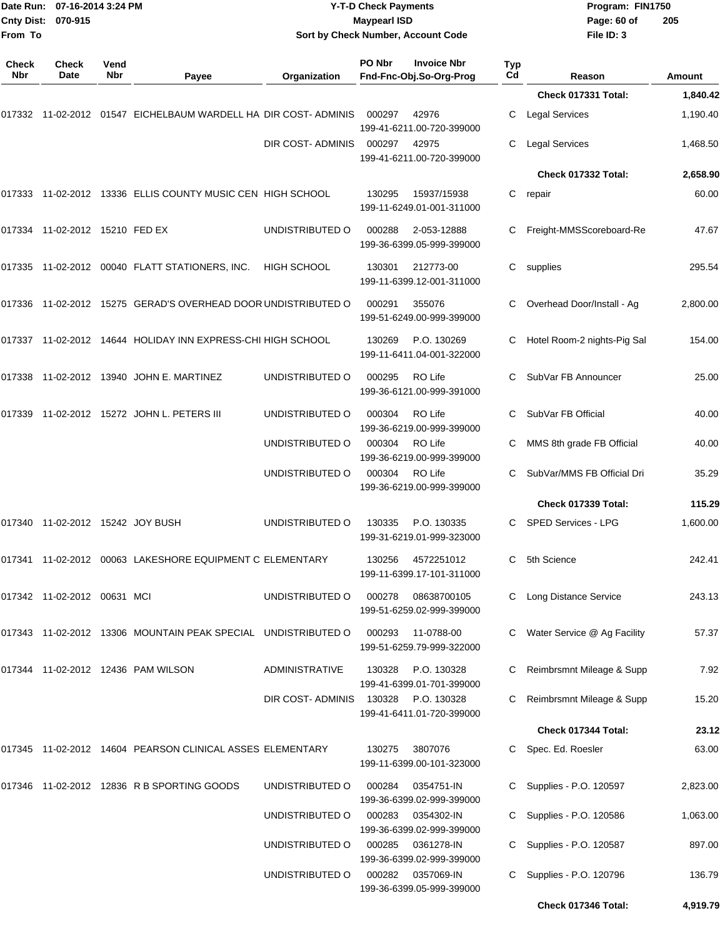| <b>Cnty Dist:</b><br>From To | Date Run: 07-16-2014 3:24 PM<br>070-915<br>Check<br>Vend |     |                                                                    |                         | <b>Y-T-D Check Payments</b><br><b>Maypearl ISD</b><br>Sort by Check Number, Account Code |                  | Program: FIN1750<br>Page: 60 of<br>File ID: 3 | 205           |
|------------------------------|----------------------------------------------------------|-----|--------------------------------------------------------------------|-------------------------|------------------------------------------------------------------------------------------|------------------|-----------------------------------------------|---------------|
| <b>Check</b><br>Nbr          | Date                                                     | Nbr | Payee                                                              | Organization            | PO Nbr<br><b>Invoice Nbr</b><br>Fnd-Fnc-Obj.So-Org-Prog                                  | <b>Typ</b><br>Cd | Reason                                        | <b>Amount</b> |
|                              |                                                          |     |                                                                    |                         |                                                                                          |                  | Check 017331 Total:                           | 1,840.42      |
|                              |                                                          |     | 017332 11-02-2012 01547   EICHELBAUM WARDELL HA  DIR COST- ADMINIS |                         | 42976<br>000297<br>199-41-6211.00-720-399000                                             | С                | <b>Legal Services</b>                         | 1,190.40      |
|                              |                                                          |     |                                                                    | DIR COST- ADMINIS       | 000297<br>42975<br>199-41-6211.00-720-399000                                             | С                | <b>Legal Services</b>                         | 1,468.50      |
|                              |                                                          |     |                                                                    |                         |                                                                                          |                  | Check 017332 Total:                           | 2,658.90      |
|                              |                                                          |     | 017333 11-02-2012 13336   ELLIS COUNTY MUSIC CEN  HIGH SCHOOL      |                         | 130295<br>15937/15938<br>199-11-6249.01-001-311000                                       | C                | repair                                        | 60.00         |
|                              | 017334 11-02-2012 15210  FED EX                          |     |                                                                    | UNDISTRIBUTED O         | 000288<br>2-053-12888<br>199-36-6399.05-999-399000                                       | C                | Freight-MMSScoreboard-Re                      | 47.67         |
|                              |                                                          |     | 017335  11-02-2012  00040  FLATT STATIONERS, INC.                  | <b>HIGH SCHOOL</b>      | 130301<br>212773-00<br>199-11-6399.12-001-311000                                         |                  | C supplies                                    | 295.54        |
|                              |                                                          |     | 017336 11-02-2012 15275 GERAD'S OVERHEAD DOOR UNDISTRIBUTED O      |                         | 000291<br>355076<br>199-51-6249.00-999-399000                                            | С                | Overhead Door/Install - Ag                    | 2,800.00      |
|                              |                                                          |     | 017337 11-02-2012 14644 HOLIDAY INN EXPRESS-CHI HIGH SCHOOL        |                         | P.O. 130269<br>130269<br>199-11-6411.04-001-322000                                       | С                | Hotel Room-2 nights-Pig Sal                   | 154.00        |
|                              |                                                          |     | 017338 11-02-2012 13940 JOHN E. MARTINEZ                           | UNDISTRIBUTED O         | 000295<br>RO Life<br>199-36-6121.00-999-391000                                           | C                | SubVar FB Announcer                           | 25.00         |
|                              |                                                          |     |                                                                    | UNDISTRIBUTED O         | 000304<br>RO Life<br>199-36-6219.00-999-399000                                           | C                | SubVar FB Official                            | 40.00         |
|                              |                                                          |     |                                                                    | UNDISTRIBUTED O         | RO Life<br>000304<br>199-36-6219.00-999-399000                                           | С                | MMS 8th grade FB Official                     | 40.00         |
|                              |                                                          |     |                                                                    | UNDISTRIBUTED O         | 000304<br>RO Life<br>199-36-6219.00-999-399000                                           | C                | SubVar/MMS FB Official Dri                    | 35.29         |
|                              |                                                          |     |                                                                    |                         |                                                                                          |                  | Check 017339 Total:                           | 115.29        |
|                              | 017340 11-02-2012 15242 JOY BUSH                         |     |                                                                    | UNDISTRIBUTED O         | 130335<br>P.O. 130335<br>199-31-6219.01-999-323000                                       |                  | C SPED Services - LPG                         | 1,600.00      |
|                              |                                                          |     | 017341  11-02-2012  00063 LAKESHORE EQUIPMENT C ELEMENTARY         |                         | 4572251012<br>130256<br>199-11-6399.17-101-311000                                        | C.               | 5th Science                                   | 242.41        |
|                              | 017342  11-02-2012  00631  MCI                           |     |                                                                    | UNDISTRIBUTED O         | 000278<br>08638700105<br>199-51-6259.02-999-399000                                       |                  | C Long Distance Service                       | 243.13        |
|                              |                                                          |     | 017343  11-02-2012  13306  MOUNTAIN PEAK SPECIAL UNDISTRIBUTED O   |                         | 000293<br>11-0788-00<br>199-51-6259.79-999-322000                                        | C.               | Water Service @ Ag Facility                   | 57.37         |
|                              |                                                          |     |                                                                    | <b>ADMINISTRATIVE</b>   | 130328 P.O. 130328<br>199-41-6399.01-701-399000                                          | C                | Reimbrsmnt Mileage & Supp                     | 7.92          |
|                              |                                                          |     |                                                                    | DIR COST-ADMINIS 130328 | P.O. 130328<br>199-41-6411.01-720-399000                                                 |                  | Reimbrsmnt Mileage & Supp                     | 15.20         |
|                              |                                                          |     |                                                                    |                         |                                                                                          |                  | Check 017344 Total:                           | 23.12         |
|                              |                                                          |     | 017345 11-02-2012 14604 PEARSON CLINICAL ASSES ELEMENTARY          |                         | 130275<br>3807076<br>199-11-6399.00-101-323000                                           |                  | C Spec. Ed. Roesler                           | 63.00         |
|                              |                                                          |     | 017346 11-02-2012 12836 R B SPORTING GOODS                         | UNDISTRIBUTED O         | 0354751-IN<br>000284<br>199-36-6399.02-999-399000                                        |                  | C Supplies - P.O. 120597                      | 2,823.00      |
|                              |                                                          |     |                                                                    | UNDISTRIBUTED O         | 000283<br>0354302-IN<br>199-36-6399.02-999-399000                                        |                  | Supplies - P.O. 120586                        | 1,063.00      |
|                              |                                                          |     |                                                                    | UNDISTRIBUTED O         | 000285<br>0361278-IN<br>199-36-6399.02-999-399000                                        |                  | Supplies - P.O. 120587                        | 897.00        |
|                              |                                                          |     |                                                                    | UNDISTRIBUTED O         | 000282<br>0357069-IN<br>199-36-6399.05-999-399000                                        | C.               | Supplies - P.O. 120796                        | 136.79        |
|                              |                                                          |     |                                                                    |                         |                                                                                          |                  | Check 017346 Total:                           | 4,919.79      |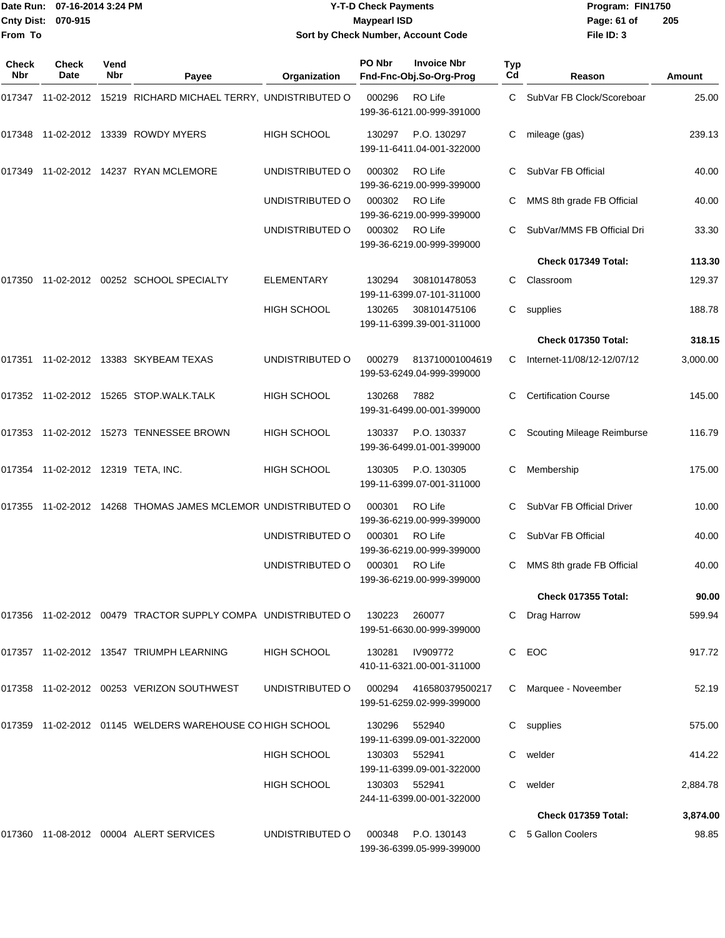**From To**

#### Date Run: 07-16-2014 3:24 PM **Program:** FIN1750 **Cnty Dist:** 070-915 **Page: 61 of** Maypearl ISD **CONTEX 150 Page: 61 of Y-T-D Check Payments 070-915 Maypearl ISD Sort by Check Number, Account Code**

| Check<br>Nbr | <b>Check</b><br>Date               | Vend<br>Nbr | Payee                                                                       | Organization       | PO Nbr        | <b>Invoice Nbr</b><br>Fnd-Fnc-Obj.So-Org-Prog       | Typ<br>Cd | Reason                            | Amount   |
|--------------|------------------------------------|-------------|-----------------------------------------------------------------------------|--------------------|---------------|-----------------------------------------------------|-----------|-----------------------------------|----------|
|              |                                    |             | 017347 11-02-2012 15219 RICHARD MICHAEL TERRY, UNDISTRIBUTED O              |                    | 000296        | RO Life<br>199-36-6121.00-999-391000                |           | C SubVar FB Clock/Scoreboar       | 25.00    |
|              |                                    |             | 017348 11-02-2012 13339 ROWDY MYERS                                         | <b>HIGH SCHOOL</b> | 130297        | P.O. 130297<br>199-11-6411.04-001-322000            | С         | mileage (gas)                     | 239.13   |
| 017349       |                                    |             | 11-02-2012  14237  RYAN MCLEMORE                                            | UNDISTRIBUTED O    | 000302        | RO Life<br>199-36-6219.00-999-399000                |           | SubVar FB Official                | 40.00    |
|              |                                    |             |                                                                             | UNDISTRIBUTED O    | 000302        | RO Life<br>199-36-6219.00-999-399000                | C         | MMS 8th grade FB Official         | 40.00    |
|              |                                    |             |                                                                             | UNDISTRIBUTED O    | 000302        | RO Life<br>199-36-6219.00-999-399000                | C         | SubVar/MMS FB Official Dri        | 33.30    |
|              |                                    |             |                                                                             |                    |               |                                                     |           | Check 017349 Total:               | 113.30   |
| 017350       |                                    |             | 11-02-2012  00252  SCHOOL SPECIALTY                                         | <b>ELEMENTARY</b>  | 130294        | 308101478053<br>199-11-6399.07-101-311000           | C         | Classroom                         | 129.37   |
|              |                                    |             |                                                                             | <b>HIGH SCHOOL</b> | 130265        | 308101475106<br>199-11-6399.39-001-311000           | C.        | supplies                          | 188.78   |
|              |                                    |             |                                                                             |                    |               |                                                     |           | Check 017350 Total:               | 318.15   |
|              |                                    |             | 017351 11-02-2012 13383 SKYBEAM TEXAS                                       | UNDISTRIBUTED O    | 000279        | 813710001004619<br>199-53-6249.04-999-399000        | C         | Internet-11/08/12-12/07/12        | 3,000.00 |
|              |                                    |             | 017352  11-02-2012  15265  STOP.WALK.TALK                                   | <b>HIGH SCHOOL</b> | 130268        | 7882<br>199-31-6499.00-001-399000                   |           | <b>Certification Course</b>       | 145.00   |
|              |                                    |             | 017353 11-02-2012 15273 TENNESSEE BROWN                                     | <b>HIGH SCHOOL</b> | 130337        | P.O. 130337<br>199-36-6499.01-001-399000            | C         | <b>Scouting Mileage Reimburse</b> | 116.79   |
|              | 017354 11-02-2012 12319 TETA, INC. |             |                                                                             | <b>HIGH SCHOOL</b> | 130305        | P.O. 130305<br>199-11-6399.07-001-311000            | С         | Membership                        | 175.00   |
|              |                                    |             | 017355 11-02-2012 14268 THOMAS JAMES MCLEMOR UNDISTRIBUTED O                |                    | 000301        | RO Life<br>199-36-6219.00-999-399000                | C         | SubVar FB Official Driver         | 10.00    |
|              |                                    |             |                                                                             | UNDISTRIBUTED O    | 000301        | RO Life<br>199-36-6219.00-999-399000                | C         | SubVar FB Official                | 40.00    |
|              |                                    |             |                                                                             | UNDISTRIBUTED O    | 000301        | RO Life<br>199-36-6219.00-999-399000                | C         | MMS 8th grade FB Official         | 40.00    |
|              |                                    |             |                                                                             |                    |               |                                                     |           | <b>Check 017355 Total:</b>        | 90.00    |
|              |                                    |             | 017356    11-02-2012    00479    TRACTOR SUPPLY COMPA    UNDISTRIBUTED    O |                    | 130223        | 260077<br>199-51-6630.00-999-399000                 | C.        | Drag Harrow                       | 599.94   |
|              |                                    |             | 017357 11-02-2012 13547 TRIUMPH LEARNING                                    | HIGH SCHOOL        | 130281        | IV909772<br>410-11-6321.00-001-311000               | C.        | EOC                               | 917.72   |
|              |                                    |             | 017358 11-02-2012 00253 VERIZON SOUTHWEST                                   | UNDISTRIBUTED O    |               | 000294 416580379500217<br>199-51-6259.02-999-399000 |           | C Marquee - Noveember             | 52.19    |
|              |                                    |             | 017359 11-02-2012 01145 WELDERS WAREHOUSE CO HIGH SCHOOL                    |                    | 130296        | 552940<br>199-11-6399.09-001-322000                 |           | C supplies                        | 575.00   |
|              |                                    |             |                                                                             | <b>HIGH SCHOOL</b> | 130303        | 552941<br>199-11-6399.09-001-322000                 |           | C welder                          | 414.22   |
|              |                                    |             |                                                                             | HIGH SCHOOL        | 130303 552941 | 244-11-6399.00-001-322000                           | C         | welder                            | 2,884.78 |
|              |                                    |             |                                                                             |                    |               |                                                     |           | <b>Check 017359 Total:</b>        | 3,874.00 |
|              |                                    |             | 017360 11-08-2012 00004 ALERT SERVICES                                      | UNDISTRIBUTED O    |               | 000348 P.O. 130143<br>199-36-6399.05-999-399000     |           | C 5 Gallon Coolers                | 98.85    |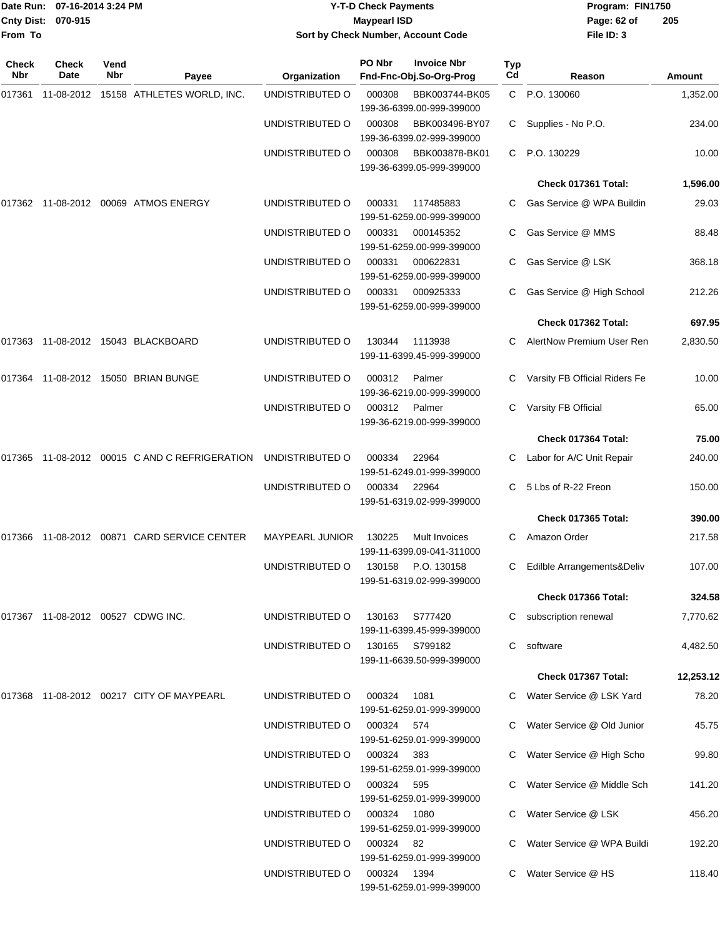| From To      | Date Run: 07-16-2014 3:24 PM<br>Cnty Dist: 070-915 |                    |                                               |                        | <b>Y-T-D Check Payments</b><br><b>Maypearl ISD</b> | Sort by Check Number, Account Code                                       |           | Program: FIN1750<br>Page: 62 of<br>File ID: 3 | 205           |
|--------------|----------------------------------------------------|--------------------|-----------------------------------------------|------------------------|----------------------------------------------------|--------------------------------------------------------------------------|-----------|-----------------------------------------------|---------------|
| Check<br>Nbr | Check<br>Date                                      | Vend<br><b>Nbr</b> | Payee                                         | Organization           | PO Nbr                                             | <b>Invoice Nbr</b><br>Fnd-Fnc-Obj.So-Org-Prog                            | Typ<br>Cd | Reason                                        | <b>Amount</b> |
| 017361       |                                                    |                    | 11-08-2012  15158  ATHLETES WORLD, INC.       | UNDISTRIBUTED O        | 000308                                             | BBK003744-BK05                                                           |           | C P.O. 130060                                 | 1,352.00      |
|              |                                                    |                    |                                               | UNDISTRIBUTED O        | 000308                                             | 199-36-6399.00-999-399000<br>BBK003496-BY07<br>199-36-6399.02-999-399000 | C         | Supplies - No P.O.                            | 234.00        |
|              |                                                    |                    |                                               | UNDISTRIBUTED O        | 000308                                             | BBK003878-BK01<br>199-36-6399.05-999-399000                              | C         | P.O. 130229                                   | 10.00         |
|              |                                                    |                    |                                               |                        |                                                    |                                                                          |           | Check 017361 Total:                           | 1,596.00      |
| 017362       |                                                    |                    | 11-08-2012 00069 ATMOS ENERGY                 | UNDISTRIBUTED O        | 000331                                             | 117485883<br>199-51-6259.00-999-399000                                   |           | Gas Service @ WPA Buildin                     | 29.03         |
|              |                                                    |                    |                                               | UNDISTRIBUTED O        | 000331                                             | 000145352<br>199-51-6259.00-999-399000                                   |           | Gas Service @ MMS                             | 88.48         |
|              |                                                    |                    |                                               | UNDISTRIBUTED O        | 000331                                             | 000622831<br>199-51-6259.00-999-399000                                   | C         | Gas Service @ LSK                             | 368.18        |
|              |                                                    |                    |                                               | UNDISTRIBUTED O        | 000331                                             | 000925333<br>199-51-6259.00-999-399000                                   |           | Gas Service @ High School                     | 212.26        |
|              |                                                    |                    |                                               |                        |                                                    |                                                                          |           | Check 017362 Total:                           | 697.95        |
|              |                                                    |                    | 017363 11-08-2012 15043 BLACKBOARD            | UNDISTRIBUTED O        | 130344                                             | 1113938<br>199-11-6399.45-999-399000                                     |           | AlertNow Premium User Ren                     | 2,830.50      |
| 017364       |                                                    |                    | 11-08-2012  15050 BRIAN BUNGE                 | UNDISTRIBUTED O        | 000312                                             | Palmer<br>199-36-6219.00-999-399000                                      |           | Varsity FB Official Riders Fe                 | 10.00         |
|              |                                                    |                    |                                               | UNDISTRIBUTED O        | 000312                                             | Palmer<br>199-36-6219.00-999-399000                                      | С         | Varsity FB Official                           | 65.00         |
|              |                                                    |                    |                                               |                        |                                                    |                                                                          |           | Check 017364 Total:                           | 75.00         |
|              |                                                    |                    | 017365 11-08-2012 00015 C AND C REFRIGERATION | UNDISTRIBUTED O        | 000334                                             | 22964<br>199-51-6249.01-999-399000                                       | С         | Labor for A/C Unit Repair                     | 240.00        |
|              |                                                    |                    |                                               | UNDISTRIBUTED O        | 000334                                             | 22964<br>199-51-6319.02-999-399000                                       | С         | 5 Lbs of R-22 Freon                           | 150.00        |
|              |                                                    |                    |                                               |                        |                                                    |                                                                          |           | Check 017365 Total:                           | 390.00        |
|              |                                                    |                    | 017366 11-08-2012 00871 CARD SERVICE CENTER   | <b>MAYPEARL JUNIOR</b> | 130225                                             | Mult Invoices<br>199-11-6399.09-041-311000                               |           | C Amazon Order                                | 217.58        |
|              |                                                    |                    |                                               | UNDISTRIBUTED O        |                                                    | 130158 P.O. 130158<br>199-51-6319.02-999-399000                          |           | C Edilble Arrangements&Deliv                  | 107.00        |
|              |                                                    |                    |                                               |                        |                                                    |                                                                          |           | Check 017366 Total:                           | 324.58        |
|              |                                                    |                    | 017367 11-08-2012 00527 CDWG INC.             | UNDISTRIBUTED O        |                                                    | 130163 S777420<br>199-11-6399.45-999-399000                              |           | subscription renewal                          | 7,770.62      |
|              |                                                    |                    |                                               | UNDISTRIBUTED O        |                                                    | 130165 S799182<br>199-11-6639.50-999-399000                              |           | C software                                    | 4,482.50      |
|              |                                                    |                    |                                               |                        |                                                    |                                                                          |           | Check 017367 Total:                           | 12,253.12     |
|              |                                                    |                    | 017368 11-08-2012 00217 CITY OF MAYPEARL      | UNDISTRIBUTED O        | 000324                                             | 1081<br>199-51-6259.01-999-399000                                        |           | C Water Service @ LSK Yard                    | 78.20         |
|              |                                                    |                    |                                               | UNDISTRIBUTED O        | 000324 574                                         | 199-51-6259.01-999-399000                                                |           | C Water Service @ Old Junior                  | 45.75         |
|              |                                                    |                    |                                               | UNDISTRIBUTED O        | 000324 383                                         | 199-51-6259.01-999-399000                                                |           | C Water Service @ High Scho                   | 99.80         |
|              |                                                    |                    |                                               | UNDISTRIBUTED O        | 000324                                             | 595<br>199-51-6259.01-999-399000                                         |           | C Water Service @ Middle Sch                  | 141.20        |
|              |                                                    |                    |                                               | UNDISTRIBUTED O        | 000324                                             | 1080<br>199-51-6259.01-999-399000                                        |           | C Water Service @ LSK                         | 456.20        |
|              |                                                    |                    |                                               | UNDISTRIBUTED O        | 000324 82                                          | 199-51-6259.01-999-399000                                                |           | C Water Service @ WPA Buildi                  | 192.20        |
|              |                                                    |                    |                                               | UNDISTRIBUTED O        | 000324 1394                                        | 199-51-6259.01-999-399000                                                |           | C Water Service @ HS                          | 118.40        |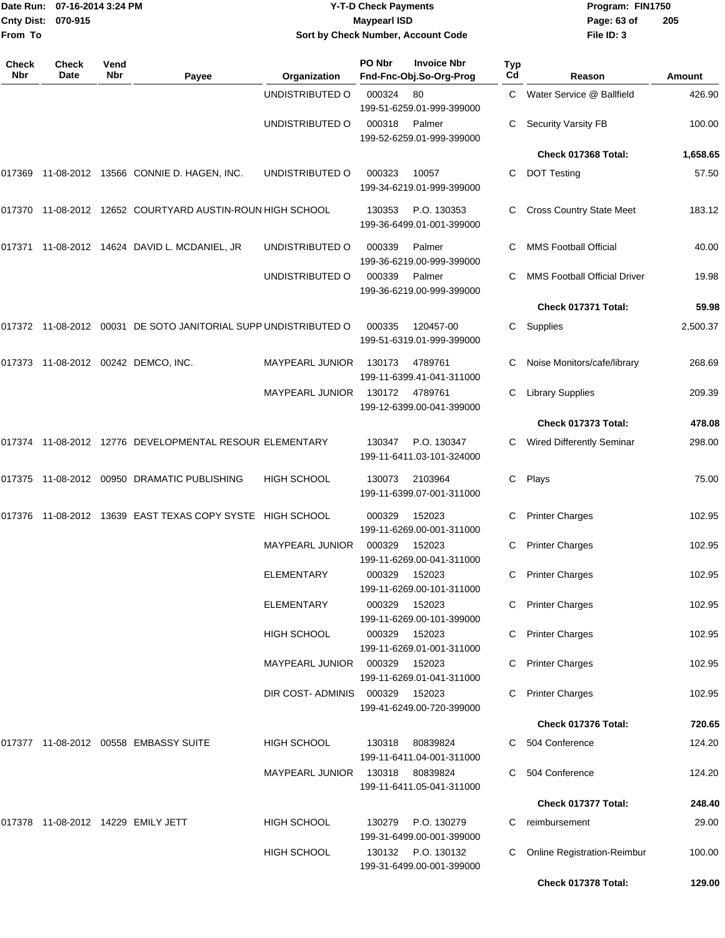| From To             | Date Run: 07-16-2014 3:24 PM<br>Cnty Dist: 070-915 |             |                                                                 |                                       | <b>Y-T-D Check Payments</b><br><b>Maypearl ISD</b> | Sort by Check Number, Account Code                      |           | Program: FIN1750<br>Page: 63 of<br>File ID: 3 | 205              |
|---------------------|----------------------------------------------------|-------------|-----------------------------------------------------------------|---------------------------------------|----------------------------------------------------|---------------------------------------------------------|-----------|-----------------------------------------------|------------------|
| <b>Check</b><br>Nbr | Check<br>Date                                      | Vend<br>Nbr | Payee                                                           | Organization                          | PO Nbr                                             | <b>Invoice Nbr</b><br>Fnd-Fnc-Obj.So-Org-Prog           | Typ<br>Cd | Reason                                        | Amount           |
|                     |                                                    |             |                                                                 | UNDISTRIBUTED O                       | 000324                                             | 80<br>199-51-6259.01-999-399000                         | C.        | Water Service @ Ballfield                     | 426.90           |
|                     |                                                    |             |                                                                 | UNDISTRIBUTED O                       | 000318                                             | Palmer<br>199-52-6259.01-999-399000                     | C.        | <b>Security Varsity FB</b>                    | 100.00           |
|                     |                                                    |             |                                                                 |                                       |                                                    |                                                         |           | Check 017368 Total:                           | 1,658.65         |
| 017369              |                                                    |             | 11-08-2012  13566  CONNIE D. HAGEN, INC.                        | UNDISTRIBUTED O                       | 000323                                             | 10057<br>199-34-6219.01-999-399000                      | C         | <b>DOT Testing</b>                            | 57.50            |
|                     |                                                    |             | 017370 11-08-2012 12652 COURTYARD AUSTIN-ROUN HIGH SCHOOL       |                                       | 130353                                             | P.O. 130353<br>199-36-6499.01-001-399000                | C         | <b>Cross Country State Meet</b>               | 183.12           |
|                     |                                                    |             | 017371 11-08-2012 14624 DAVID L. MCDANIEL, JR                   | UNDISTRIBUTED O                       | 000339                                             | Palmer<br>199-36-6219.00-999-399000                     | C         | <b>MMS Football Official</b>                  | 40.00            |
|                     |                                                    |             |                                                                 | UNDISTRIBUTED O                       | 000339                                             | Palmer<br>199-36-6219.00-999-399000                     | C         | MMS Football Official Driver                  | 19.98            |
|                     |                                                    |             |                                                                 |                                       |                                                    |                                                         |           | Check 017371 Total:                           | 59.98            |
|                     |                                                    |             | 017372 11-08-2012 00031 DE SOTO JANITORIAL SUPP UNDISTRIBUTED O |                                       | 000335                                             | 120457-00<br>199-51-6319.01-999-399000                  | C         | Supplies                                      | 2,500.37         |
|                     |                                                    |             | 017373 11-08-2012 00242 DEMCO, INC.                             | <b>MAYPEARL JUNIOR</b>                | 130173                                             | 4789761<br>199-11-6399.41-041-311000                    | C         | Noise Monitors/cafe/library                   | 268.69           |
|                     |                                                    |             |                                                                 | <b>MAYPEARL JUNIOR</b>                | 130172                                             | 4789761<br>199-12-6399.00-041-399000                    |           | <b>Library Supplies</b>                       | 209.39           |
|                     |                                                    |             |                                                                 |                                       |                                                    |                                                         |           | Check 017373 Total:                           | 478.08           |
|                     |                                                    |             | 017374 11-08-2012 12776 DEVELOPMENTAL RESOUR ELEMENTARY         |                                       | 130347                                             | P.O. 130347<br>199-11-6411.03-101-324000                | C         | Wired Differently Seminar                     | 298.00           |
|                     |                                                    |             | 017375 11-08-2012 00950 DRAMATIC PUBLISHING                     | <b>HIGH SCHOOL</b>                    | 130073                                             | 2103964<br>199-11-6399.07-001-311000                    | C         | Plays                                         | 75.00            |
|                     |                                                    |             | 017376 11-08-2012 13639 EAST TEXAS COPY SYSTE HIGH SCHOOL       |                                       | 000329                                             | 152023<br>199-11-6269.00-001-311000                     | C         | <b>Printer Charges</b>                        | 102.95           |
|                     |                                                    |             |                                                                 | MAYPEARL JUNIOR                       | 000329                                             | 152023<br>199-11-6269.00-041-311000                     |           | <b>Printer Charges</b>                        | 102.95           |
|                     |                                                    |             |                                                                 | <b>ELEMENTARY</b>                     | 000329                                             | 152023<br>199-11-6269.00-101-311000                     | C.        | <b>Printer Charges</b>                        | 102.95           |
|                     |                                                    |             |                                                                 | ELEMENTARY                            | 000329                                             | 152023<br>199-11-6269.00-101-399000                     |           | C Printer Charges                             | 102.95           |
|                     |                                                    |             |                                                                 | HIGH SCHOOL<br><b>MAYPEARL JUNIOR</b> | 000329<br>000329                                   | 152023<br>199-11-6269.01-001-311000<br>152023           |           | C Printer Charges<br>C Printer Charges        | 102.95<br>102.95 |
|                     |                                                    |             |                                                                 |                                       |                                                    | 199-11-6269.01-041-311000                               |           |                                               |                  |
|                     |                                                    |             |                                                                 | DIR COST-ADMINIS                      | 000329                                             | 152023<br>199-41-6249.00-720-399000                     |           | C Printer Charges                             | 102.95           |
|                     |                                                    |             |                                                                 |                                       |                                                    |                                                         |           | Check 017376 Total:                           | 720.65           |
|                     |                                                    |             | 017377 11-08-2012 00558 EMBASSY SUITE                           | HIGH SCHOOL                           | 130318                                             | 80839824<br>199-11-6411.04-001-311000                   |           | C 504 Conference                              | 124.20           |
|                     |                                                    |             |                                                                 | <b>MAYPEARL JUNIOR</b>                | 130318                                             | 80839824<br>199-11-6411.05-041-311000                   |           | 504 Conference                                | 124.20           |
|                     |                                                    |             |                                                                 |                                       |                                                    |                                                         |           | Check 017377 Total:                           | 248.40           |
|                     |                                                    |             | 017378 11-08-2012 14229 EMILY JETT                              | HIGH SCHOOL<br><b>HIGH SCHOOL</b>     | 130279<br>130132                                   | P.O. 130279<br>199-31-6499.00-001-399000<br>P.O. 130132 | C<br>C.   | reimbursement<br>Online Registration-Reimbur  | 29.00<br>100.00  |
|                     |                                                    |             |                                                                 |                                       |                                                    | 199-31-6499.00-001-399000                               |           | Check 017378 Total:                           | 129.00           |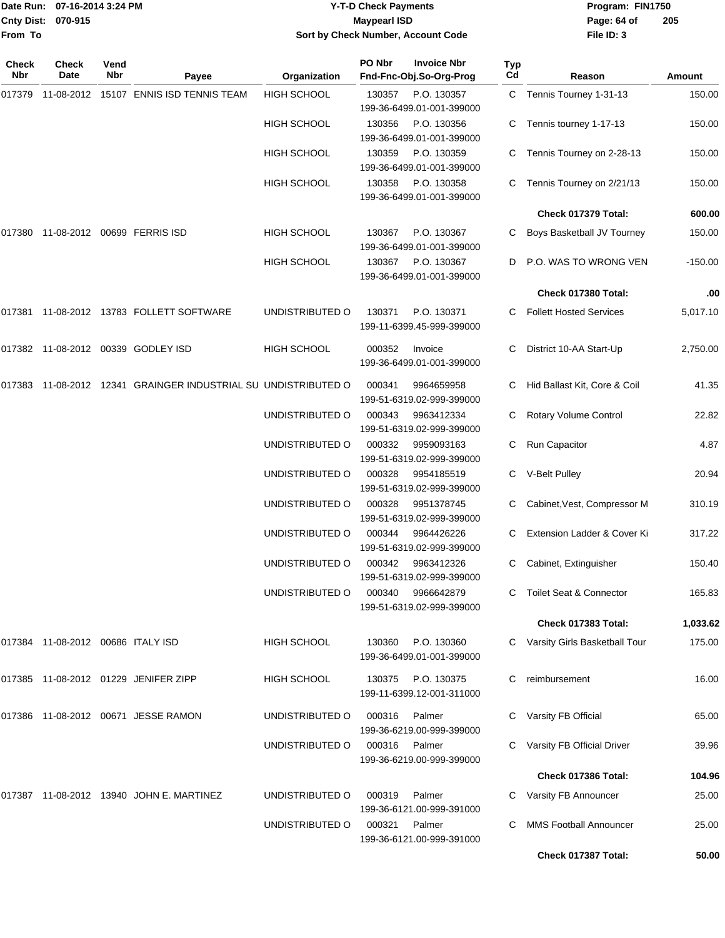|                    | Date Run: 07-16-2014 3:24 PM |
|--------------------|------------------------------|
| Cnty Dist: 070-915 |                              |
| From To            |                              |

## **Date Run: Program: FIN1750 07-16-2014 3:24 PM Y-T-D Check Payments Cnty Dist: Page: 64 of 070-915 Maypearl ISD Sort by Check Number, Account Code**

| Check<br>Nbr | <b>Check</b><br>Date              | Vend<br>Nbr | Payee                                                   | Organization       | PO Nbr | <b>Invoice Nbr</b><br>Fnd-Fnc-Obj.So-Org-Prog | Typ<br>Cd | Reason                          | Amount    |
|--------------|-----------------------------------|-------------|---------------------------------------------------------|--------------------|--------|-----------------------------------------------|-----------|---------------------------------|-----------|
| 017379       |                                   |             | 11-08-2012 15107 ENNIS ISD TENNIS TEAM                  | HIGH SCHOOL        | 130357 | P.O. 130357<br>199-36-6499.01-001-399000      |           | C Tennis Tourney 1-31-13        | 150.00    |
|              |                                   |             |                                                         | <b>HIGH SCHOOL</b> | 130356 | P.O. 130356<br>199-36-6499.01-001-399000      | С         | Tennis tourney 1-17-13          | 150.00    |
|              |                                   |             |                                                         | <b>HIGH SCHOOL</b> | 130359 | P.O. 130359<br>199-36-6499.01-001-399000      | C.        | Tennis Tourney on 2-28-13       | 150.00    |
|              |                                   |             |                                                         | <b>HIGH SCHOOL</b> | 130358 | P.O. 130358<br>199-36-6499.01-001-399000      | C.        | Tennis Tourney on 2/21/13       | 150.00    |
|              |                                   |             |                                                         |                    |        |                                               |           | Check 017379 Total:             | 600.00    |
| 017380       |                                   |             | 11-08-2012 00699 FERRIS ISD                             | <b>HIGH SCHOOL</b> | 130367 | P.O. 130367<br>199-36-6499.01-001-399000      |           | Boys Basketball JV Tourney      | 150.00    |
|              |                                   |             |                                                         | <b>HIGH SCHOOL</b> | 130367 | P.O. 130367<br>199-36-6499.01-001-399000      | D         | P.O. WAS TO WRONG VEN           | $-150.00$ |
|              |                                   |             |                                                         |                    |        |                                               |           | Check 017380 Total:             | .00       |
| 017381       |                                   |             | 11-08-2012  13783  FOLLETT SOFTWARE                     | UNDISTRIBUTED O    | 130371 | P.O. 130371<br>199-11-6399.45-999-399000      | C.        | <b>Follett Hosted Services</b>  | 5,017.10  |
|              |                                   |             | 017382 11-08-2012 00339 GODLEY ISD                      | <b>HIGH SCHOOL</b> | 000352 | Invoice<br>199-36-6499.01-001-399000          | С         | District 10-AA Start-Up         | 2,750.00  |
| 017383       |                                   |             | 11-08-2012 12341 GRAINGER INDUSTRIAL SU UNDISTRIBUTED O |                    | 000341 | 9964659958<br>199-51-6319.02-999-399000       | С         | Hid Ballast Kit, Core & Coil    | 41.35     |
|              |                                   |             |                                                         | UNDISTRIBUTED O    | 000343 | 9963412334<br>199-51-6319.02-999-399000       | С         | Rotary Volume Control           | 22.82     |
|              |                                   |             |                                                         | UNDISTRIBUTED O    | 000332 | 9959093163<br>199-51-6319.02-999-399000       | С         | Run Capacitor                   | 4.87      |
|              |                                   |             |                                                         | UNDISTRIBUTED O    | 000328 | 9954185519<br>199-51-6319.02-999-399000       | С         | V-Belt Pulley                   | 20.94     |
|              |                                   |             |                                                         | UNDISTRIBUTED O    | 000328 | 9951378745<br>199-51-6319.02-999-399000       | C         | Cabinet, Vest, Compressor M     | 310.19    |
|              |                                   |             |                                                         | UNDISTRIBUTED O    | 000344 | 9964426226<br>199-51-6319.02-999-399000       | С         | Extension Ladder & Cover Ki     | 317.22    |
|              |                                   |             |                                                         | UNDISTRIBUTED O    | 000342 | 9963412326<br>199-51-6319.02-999-399000       | С         | Cabinet, Extinguisher           | 150.40    |
|              |                                   |             |                                                         | UNDISTRIBUTED O    | 000340 | 9966642879<br>199-51-6319.02-999-399000       |           | C Toilet Seat & Connector       | 165.83    |
|              |                                   |             |                                                         |                    |        |                                               |           | Check 017383 Total:             | 1,033.62  |
|              | 017384 11-08-2012 00686 ITALY ISD |             |                                                         | <b>HIGH SCHOOL</b> | 130360 | P.O. 130360<br>199-36-6499.01-001-399000      |           | C Varsity Girls Basketball Tour | 175.00    |
|              |                                   |             | 017385 11-08-2012 01229 JENIFER ZIPP                    | <b>HIGH SCHOOL</b> | 130375 | P.O. 130375<br>199-11-6399.12-001-311000      |           | reimbursement                   | 16.00     |
|              |                                   |             | 017386 11-08-2012 00671 JESSE RAMON                     | UNDISTRIBUTED O    | 000316 | Palmer<br>199-36-6219.00-999-399000           |           | C Varsity FB Official           | 65.00     |
|              |                                   |             |                                                         | UNDISTRIBUTED O    | 000316 | Palmer<br>199-36-6219.00-999-399000           |           | C Varsity FB Official Driver    | 39.96     |
|              |                                   |             |                                                         |                    |        |                                               |           | Check 017386 Total:             | 104.96    |
|              |                                   |             | 017387 11-08-2012 13940 JOHN E. MARTINEZ                | UNDISTRIBUTED O    | 000319 | Palmer<br>199-36-6121.00-999-391000           |           | C Varsity FB Announcer          | 25.00     |
|              |                                   |             |                                                         | UNDISTRIBUTED O    | 000321 | Palmer<br>199-36-6121.00-999-391000           |           | <b>MMS Football Announcer</b>   | 25.00     |
|              |                                   |             |                                                         |                    |        |                                               |           | Check 017387 Total:             | 50.00     |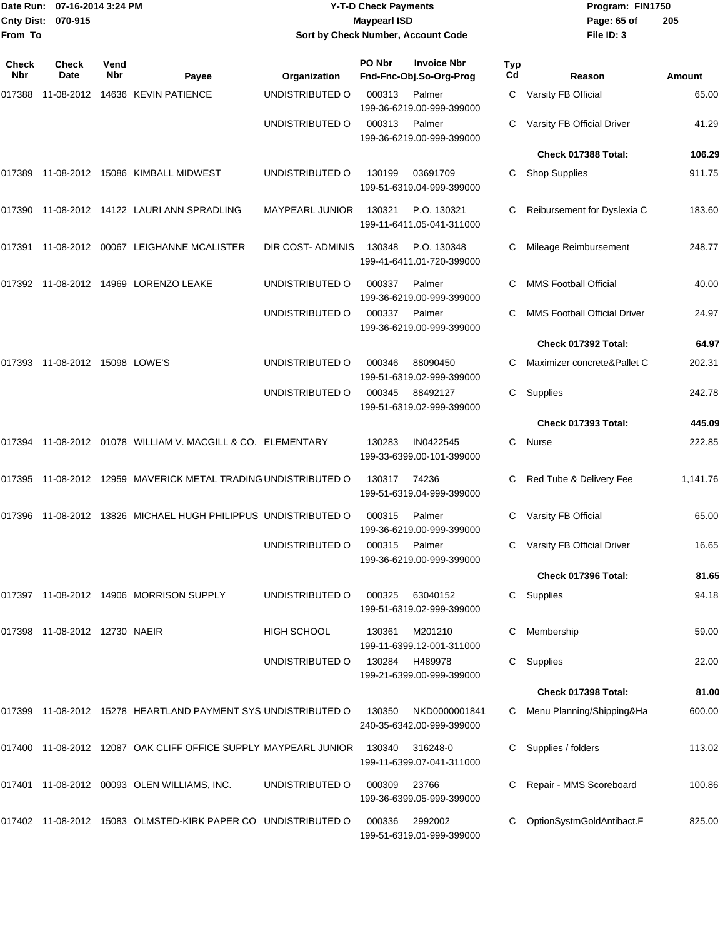| <b>Cnty Dist:</b><br>From To | Date Run: 07-16-2014 3:24 PM<br>070-915 |             |                                                                 |                        | <b>Y-T-D Check Payments</b><br><b>Maypearl ISD</b> | Sort by Check Number, Account Code            |                  | Program: FIN1750<br>Page: 65 of<br>File ID: 3 | 205           |
|------------------------------|-----------------------------------------|-------------|-----------------------------------------------------------------|------------------------|----------------------------------------------------|-----------------------------------------------|------------------|-----------------------------------------------|---------------|
| <b>Check</b><br>Nbr          | <b>Check</b><br>Date                    | Vend<br>Nbr | Payee                                                           | Organization           | PO Nbr                                             | <b>Invoice Nbr</b><br>Fnd-Fnc-Obj.So-Org-Prog | <b>Typ</b><br>Cd | Reason                                        | <b>Amount</b> |
| 017388                       |                                         |             | 11-08-2012  14636  KEVIN PATIENCE                               | UNDISTRIBUTED O        | 000313                                             | Palmer<br>199-36-6219.00-999-399000           |                  | C Varsity FB Official                         | 65.00         |
|                              |                                         |             |                                                                 | UNDISTRIBUTED O        | 000313                                             | Palmer<br>199-36-6219.00-999-399000           |                  | Varsity FB Official Driver                    | 41.29         |
|                              |                                         |             |                                                                 |                        |                                                    |                                               |                  | Check 017388 Total:                           | 106.29        |
| 017389                       |                                         |             | 11-08-2012  15086  KIMBALL MIDWEST                              | UNDISTRIBUTED O        | 130199                                             | 03691709<br>199-51-6319.04-999-399000         | C                | <b>Shop Supplies</b>                          | 911.75        |
|                              |                                         |             | 017390 11-08-2012 14122 LAURI ANN SPRADLING                     | <b>MAYPEARL JUNIOR</b> | 130321                                             | P.O. 130321<br>199-11-6411.05-041-311000      |                  | Reibursement for Dyslexia C                   | 183.60        |
|                              |                                         |             | 017391 11-08-2012 00067 LEIGHANNE MCALISTER                     | DIR COST-ADMINIS       | 130348                                             | P.O. 130348<br>199-41-6411.01-720-399000      | C                | Mileage Reimbursement                         | 248.77        |
|                              |                                         |             | 017392 11-08-2012 14969 LORENZO LEAKE                           | UNDISTRIBUTED O        | 000337                                             | Palmer<br>199-36-6219.00-999-399000           |                  | <b>MMS Football Official</b>                  | 40.00         |
|                              |                                         |             |                                                                 | UNDISTRIBUTED O        | 000337                                             | Palmer<br>199-36-6219.00-999-399000           | C                | <b>MMS Football Official Driver</b>           | 24.97         |
|                              |                                         |             |                                                                 |                        |                                                    |                                               |                  | Check 017392 Total:                           | 64.97         |
|                              | 017393  11-08-2012  15098  LOWE'S       |             |                                                                 | UNDISTRIBUTED O        | 000346                                             | 88090450<br>199-51-6319.02-999-399000         | C                | Maximizer concrete&Pallet C                   | 202.31        |
|                              |                                         |             |                                                                 | UNDISTRIBUTED O        | 000345                                             | 88492127<br>199-51-6319.02-999-399000         | C                | Supplies                                      | 242.78        |
|                              |                                         |             |                                                                 |                        |                                                    |                                               |                  | Check 017393 Total:                           | 445.09        |
|                              |                                         |             | 017394 11-08-2012 01078 WILLIAM V. MACGILL & CO. ELEMENTARY     |                        | 130283                                             | IN0422545<br>199-33-6399.00-101-399000        | C.               | Nurse                                         | 222.85        |
|                              |                                         |             | 017395 11-08-2012 12959 MAVERICK METAL TRADING UNDISTRIBUTED O  |                        | 130317                                             | 74236<br>199-51-6319.04-999-399000            | C                | Red Tube & Delivery Fee                       | 1,141.76      |
|                              |                                         |             | 017396 11-08-2012 13826 MICHAEL HUGH PHILIPPUS UNDISTRIBUTED O  |                        | 000315                                             | Palmer<br>199-36-6219.00-999-399000           |                  | Varsity FB Official                           | 65.00         |
|                              |                                         |             |                                                                 | UNDISTRIBUTED O        | 000315                                             | Palmer<br>199-36-6219.00-999-399000           |                  | C Varsity FB Official Driver                  | 16.65         |
|                              |                                         |             |                                                                 |                        |                                                    |                                               |                  | Check 017396 Total:                           | 81.65         |
|                              |                                         |             | 017397 11-08-2012 14906 MORRISON SUPPLY                         | UNDISTRIBUTED O        | 000325                                             | 63040152<br>199-51-6319.02-999-399000         |                  | C Supplies                                    | 94.18         |
|                              | 017398 11-08-2012 12730 NAEIR           |             |                                                                 | HIGH SCHOOL            | 130361                                             | M201210<br>199-11-6399.12-001-311000          | C                | Membership                                    | 59.00         |
|                              |                                         |             |                                                                 | UNDISTRIBUTED O        | 130284                                             | H489978<br>199-21-6399.00-999-399000          | C                | Supplies                                      | 22.00         |
|                              |                                         |             |                                                                 |                        |                                                    |                                               |                  | Check 017398 Total:                           | 81.00         |
|                              |                                         |             | 017399 11-08-2012 15278 HEARTLAND PAYMENT SYS UNDISTRIBUTED O   |                        | 130350                                             | NKD0000001841<br>240-35-6342.00-999-399000    |                  | C Menu Planning/Shipping&Ha                   | 600.00        |
|                              |                                         |             | 017400 11-08-2012 12087 OAK CLIFF OFFICE SUPPLY MAYPEARL JUNIOR |                        | 130340                                             | 316248-0<br>199-11-6399.07-041-311000         |                  | Supplies / folders                            | 113.02        |
|                              |                                         |             | 017401 11-08-2012 00093 OLEN WILLIAMS, INC.                     | UNDISTRIBUTED O        | 000309                                             | 23766<br>199-36-6399.05-999-399000            |                  | Repair - MMS Scoreboard                       | 100.86        |
|                              |                                         |             | 017402 11-08-2012 15083 OLMSTED-KIRK PAPER CO UNDISTRIBUTED O   |                        | 000336                                             | 2992002<br>199-51-6319.01-999-399000          |                  | OptionSystmGoldAntibact.F                     | 825.00        |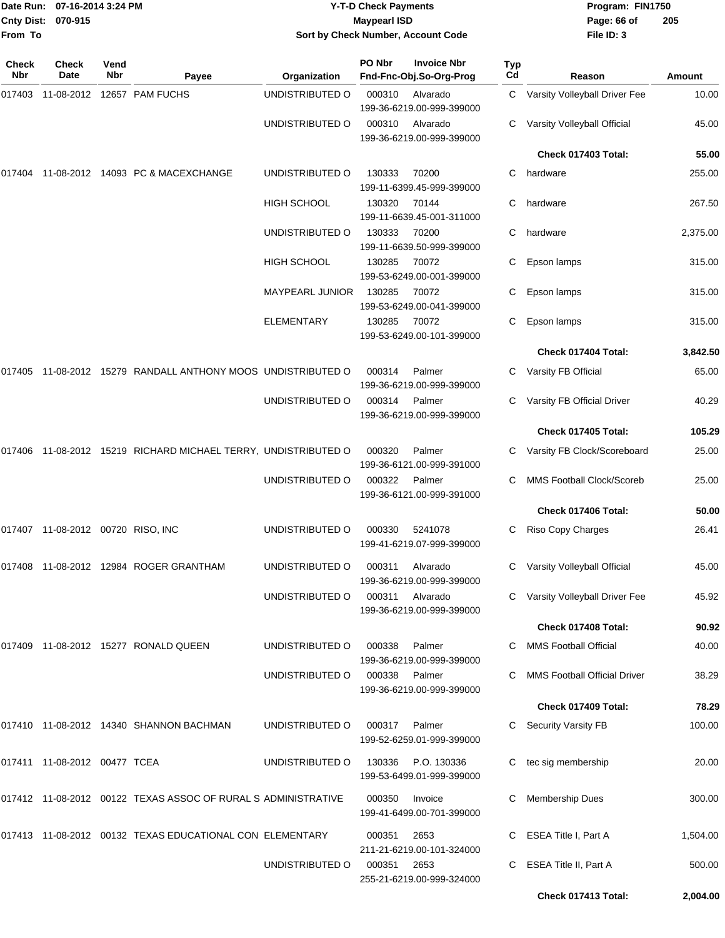| Date Run: 07-16-2014 3:24 PM<br>Cnty Dist: 070-915<br>From To |                                   |             | <b>Y-T-D Check Payments</b><br><b>Maypearl ISD</b><br>Sort by Check Number, Account Code |                        | Program: FIN1750<br>Page: 66 of<br>File ID: 3                                | 205       |                                     |          |
|---------------------------------------------------------------|-----------------------------------|-------------|------------------------------------------------------------------------------------------|------------------------|------------------------------------------------------------------------------|-----------|-------------------------------------|----------|
| <b>Check</b><br>Nbr                                           | Check<br>Date                     | Vend<br>Nbr | Payee                                                                                    | Organization           | PO Nbr<br><b>Invoice Nbr</b><br>Fnd-Fnc-Obj.So-Org-Prog                      | Typ<br>Cd | Reason                              | Amount   |
|                                                               |                                   |             | 017403 11-08-2012 12657 PAM FUCHS                                                        | UNDISTRIBUTED O        | 000310<br>Alvarado                                                           | C         | Varsity Volleyball Driver Fee       | 10.00    |
|                                                               |                                   |             |                                                                                          | UNDISTRIBUTED O        | 199-36-6219.00-999-399000<br>000310<br>Alvarado<br>199-36-6219.00-999-399000 | C         | Varsity Volleyball Official         | 45.00    |
|                                                               |                                   |             |                                                                                          |                        |                                                                              |           | Check 017403 Total:                 | 55.00    |
|                                                               |                                   |             | 017404 11-08-2012 14093 PC & MACEXCHANGE                                                 | UNDISTRIBUTED O        | 130333<br>70200<br>199-11-6399.45-999-399000                                 | C         | hardware                            | 255.00   |
|                                                               |                                   |             |                                                                                          | HIGH SCHOOL            | 130320<br>70144<br>199-11-6639.45-001-311000                                 | C         | hardware                            | 267.50   |
|                                                               |                                   |             |                                                                                          | UNDISTRIBUTED O        | 130333<br>70200<br>199-11-6639.50-999-399000                                 | C         | hardware                            | 2,375.00 |
|                                                               |                                   |             |                                                                                          | <b>HIGH SCHOOL</b>     | 130285<br>70072<br>199-53-6249.00-001-399000                                 | С         | Epson lamps                         | 315.00   |
|                                                               |                                   |             |                                                                                          | <b>MAYPEARL JUNIOR</b> | 130285<br>70072<br>199-53-6249.00-041-399000                                 | C         | Epson lamps                         | 315.00   |
|                                                               |                                   |             |                                                                                          | <b>ELEMENTARY</b>      | 130285<br>70072<br>199-53-6249.00-101-399000                                 | C         | Epson lamps                         | 315.00   |
|                                                               |                                   |             |                                                                                          |                        |                                                                              |           | Check 017404 Total:                 | 3,842.50 |
|                                                               |                                   |             | 017405 11-08-2012 15279 RANDALL ANTHONY MOOS UNDISTRIBUTED O                             |                        | 000314<br>Palmer<br>199-36-6219.00-999-399000                                | C         | Varsity FB Official                 | 65.00    |
|                                                               |                                   |             |                                                                                          | UNDISTRIBUTED O        | 000314<br>Palmer<br>199-36-6219.00-999-399000                                |           | Varsity FB Official Driver          | 40.29    |
|                                                               |                                   |             |                                                                                          |                        |                                                                              |           | Check 017405 Total:                 | 105.29   |
|                                                               |                                   |             | 017406 11-08-2012 15219 RICHARD MICHAEL TERRY, UNDISTRIBUTED O                           |                        | 000320<br>Palmer<br>199-36-6121.00-999-391000                                | C.        | Varsity FB Clock/Scoreboard         | 25.00    |
|                                                               |                                   |             |                                                                                          | UNDISTRIBUTED O        | 000322<br>Palmer<br>199-36-6121.00-999-391000                                | C.        | <b>MMS Football Clock/Scoreb</b>    | 25.00    |
|                                                               |                                   |             |                                                                                          |                        |                                                                              |           | Check 017406 Total:                 | 50.00    |
|                                                               | 017407 11-08-2012 00720 RISO, INC |             |                                                                                          | UNDISTRIBUTED O        | 000330<br>5241078<br>199-41-6219.07-999-399000                               | C         | <b>Riso Copy Charges</b>            | 26.41    |
|                                                               |                                   |             | 017408 11-08-2012 12984 ROGER GRANTHAM                                                   | UNDISTRIBUTED O        | 000311<br>Alvarado<br>199-36-6219.00-999-399000                              |           | C Varsity Volleyball Official       | 45.00    |
|                                                               |                                   |             |                                                                                          | UNDISTRIBUTED O        | 000311<br>Alvarado<br>199-36-6219.00-999-399000                              |           | Varsity Volleyball Driver Fee       | 45.92    |
|                                                               |                                   |             |                                                                                          |                        |                                                                              |           | Check 017408 Total:                 | 90.92    |
|                                                               |                                   |             | 017409 11-08-2012 15277 RONALD QUEEN                                                     | UNDISTRIBUTED O        | Palmer<br>000338<br>199-36-6219.00-999-399000                                |           | <b>MMS Football Official</b>        | 40.00    |
|                                                               |                                   |             |                                                                                          | UNDISTRIBUTED O        | 000338<br>Palmer<br>199-36-6219.00-999-399000                                |           | <b>MMS Football Official Driver</b> | 38.29    |
|                                                               |                                   |             |                                                                                          |                        |                                                                              |           | Check 017409 Total:                 | 78.29    |
|                                                               |                                   |             | 017410 11-08-2012 14340 SHANNON BACHMAN                                                  | UNDISTRIBUTED O        | 000317<br>Palmer<br>199-52-6259.01-999-399000                                |           | C Security Varsity FB               | 100.00   |
|                                                               | 017411 11-08-2012 00477 TCEA      |             |                                                                                          | UNDISTRIBUTED O        | 130336<br>P.O. 130336<br>199-53-6499.01-999-399000                           |           | tec sig membership                  | 20.00    |
|                                                               |                                   |             | 017412 11-08-2012 00122 TEXAS ASSOC OF RURAL S ADMINISTRATIVE                            |                        | 000350<br>Invoice<br>199-41-6499.00-701-399000                               |           | <b>Membership Dues</b>              | 300.00   |
|                                                               |                                   |             | 017413 11-08-2012 00132 TEXAS EDUCATIONAL CON ELEMENTARY                                 |                        | 000351<br>2653<br>211-21-6219.00-101-324000                                  |           | C ESEA Title I, Part A              | 1,504.00 |
|                                                               |                                   |             |                                                                                          | UNDISTRIBUTED O        | 000351<br>2653<br>255-21-6219.00-999-324000                                  | C         | ESEA Title II, Part A               | 500.00   |
|                                                               |                                   |             |                                                                                          |                        |                                                                              |           | Check 017413 Total:                 | 2,004.00 |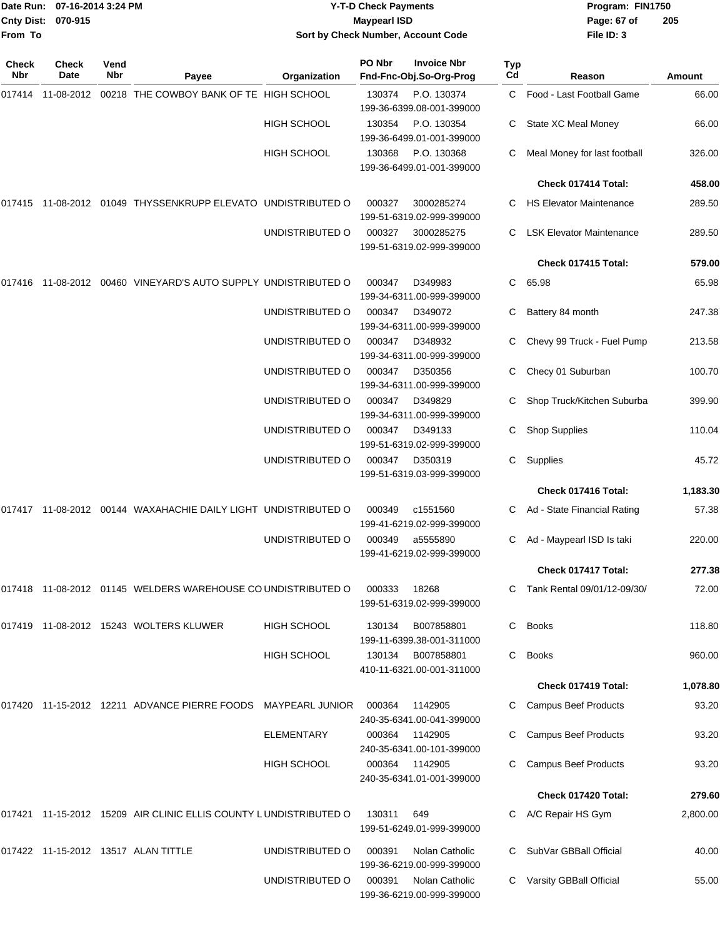|                    | Date Run: 07-16-2014 3:24 PM |
|--------------------|------------------------------|
| Cnty Dist: 070-915 |                              |
| From To            |                              |

## **Date Run: Program: FIN1750 07-16-2014 3:24 PM Y-T-D Check Payments Cnty Dist: Page: 67 of 070-915 Maypearl ISD Sort by Check Number, Account Code**

| Check<br>Nbr | <b>Check</b><br>Date | Vend<br>Nbr | Payee                                                             | Organization       | PO Nbr | <b>Invoice Nbr</b><br>Fnd-Fnc-Obj.So-Org-Prog  | <b>Typ</b><br>Cd | Reason                          | <b>Amount</b> |
|--------------|----------------------|-------------|-------------------------------------------------------------------|--------------------|--------|------------------------------------------------|------------------|---------------------------------|---------------|
| 017414       |                      |             | 11-08-2012 00218 THE COWBOY BANK OF TE HIGH SCHOOL                |                    | 130374 | P.O. 130374<br>199-36-6399.08-001-399000       |                  | C Food - Last Football Game     | 66.00         |
|              |                      |             |                                                                   | <b>HIGH SCHOOL</b> | 130354 | P.O. 130354<br>199-36-6499.01-001-399000       | C                | State XC Meal Money             | 66.00         |
|              |                      |             |                                                                   | <b>HIGH SCHOOL</b> | 130368 | P.O. 130368<br>199-36-6499.01-001-399000       |                  | Meal Money for last football    | 326.00        |
|              |                      |             |                                                                   |                    |        |                                                |                  | Check 017414 Total:             | 458.00        |
| 017415       |                      |             | 11-08-2012 01049 THYSSENKRUPP ELEVATO UNDISTRIBUTED O             |                    | 000327 | 3000285274<br>199-51-6319.02-999-399000        | C                | <b>HS Elevator Maintenance</b>  | 289.50        |
|              |                      |             |                                                                   | UNDISTRIBUTED O    | 000327 | 3000285275<br>199-51-6319.02-999-399000        | C                | <b>LSK Elevator Maintenance</b> | 289.50        |
|              |                      |             |                                                                   |                    |        |                                                |                  | Check 017415 Total:             | 579.00        |
| 017416       |                      |             | 11-08-2012  00460  VINEYARD'S AUTO SUPPLY UNDISTRIBUTED O         |                    | 000347 | D349983<br>199-34-6311.00-999-399000           | C                | 65.98                           | 65.98         |
|              |                      |             |                                                                   | UNDISTRIBUTED O    | 000347 | D349072<br>199-34-6311.00-999-399000           | С                | Battery 84 month                | 247.38        |
|              |                      |             |                                                                   | UNDISTRIBUTED O    | 000347 | D348932<br>199-34-6311.00-999-399000           |                  | Chevy 99 Truck - Fuel Pump      | 213.58        |
|              |                      |             |                                                                   | UNDISTRIBUTED O    | 000347 | D350356<br>199-34-6311.00-999-399000           | С                | Checy 01 Suburban               | 100.70        |
|              |                      |             |                                                                   | UNDISTRIBUTED O    | 000347 | D349829<br>199-34-6311.00-999-399000           |                  | Shop Truck/Kitchen Suburba      | 399.90        |
|              |                      |             |                                                                   | UNDISTRIBUTED O    | 000347 | D349133<br>199-51-6319.02-999-399000           |                  | <b>Shop Supplies</b>            | 110.04        |
|              |                      |             |                                                                   | UNDISTRIBUTED O    | 000347 | D350319<br>199-51-6319.03-999-399000           | C.               | Supplies                        | 45.72         |
|              |                      |             |                                                                   |                    |        |                                                |                  | Check 017416 Total:             | 1,183.30      |
|              |                      |             | 017417  11-08-2012  00144  WAXAHACHIE DAILY LIGHT UNDISTRIBUTED O |                    | 000349 | c1551560<br>199-41-6219.02-999-399000          | C.               | Ad - State Financial Rating     | 57.38         |
|              |                      |             |                                                                   | UNDISTRIBUTED O    | 000349 | a5555890<br>199-41-6219.02-999-399000          | С                | Ad - Maypearl ISD Is taki       | 220.00        |
|              |                      |             |                                                                   |                    |        |                                                |                  | Check 017417 Total:             | 277.38        |
|              |                      |             | 017418 11-08-2012 01145 WELDERS WAREHOUSE CO UNDISTRIBUTED O      |                    | 000333 | 18268<br>199-51-6319.02-999-399000             |                  | C Tank Rental 09/01/12-09/30/   | 72.00         |
|              |                      |             | 017419 11-08-2012 15243 WOLTERS KLUWER                            | HIGH SCHOOL        |        | 130134 B007858801<br>199-11-6399.38-001-311000 | C                | <b>Books</b>                    | 118.80        |
|              |                      |             |                                                                   | <b>HIGH SCHOOL</b> |        | 130134 B007858801<br>410-11-6321.00-001-311000 | C                | <b>Books</b>                    | 960.00        |
|              |                      |             |                                                                   |                    |        |                                                |                  | Check 017419 Total:             | 1,078.80      |
|              |                      |             | 017420 11-15-2012 12211 ADVANCE PIERRE FOODS MAYPEARL JUNIOR      |                    | 000364 | 1142905<br>240-35-6341.00-041-399000           | C                | <b>Campus Beef Products</b>     | 93.20         |
|              |                      |             |                                                                   | <b>ELEMENTARY</b>  | 000364 | 1142905<br>240-35-6341.00-101-399000           |                  | <b>Campus Beef Products</b>     | 93.20         |
|              |                      |             |                                                                   | <b>HIGH SCHOOL</b> | 000364 | 1142905<br>240-35-6341.01-001-399000           |                  | <b>Campus Beef Products</b>     | 93.20         |
|              |                      |             |                                                                   |                    |        |                                                |                  | Check 017420 Total:             | 279.60        |
|              |                      |             | 017421 11-15-2012 15209 AIR CLINIC ELLIS COUNTY LUNDISTRIBUTED O  |                    | 130311 | 649<br>199-51-6249.01-999-399000               |                  | A/C Repair HS Gym               | 2,800.00      |
|              |                      |             | 017422 11-15-2012 13517 ALAN TITTLE                               | UNDISTRIBUTED O    | 000391 | Nolan Catholic<br>199-36-6219.00-999-399000    |                  | SubVar GBBall Official          | 40.00         |
|              |                      |             |                                                                   | UNDISTRIBUTED O    | 000391 | Nolan Catholic<br>199-36-6219.00-999-399000    | C                | Varsity GBBall Official         | 55.00         |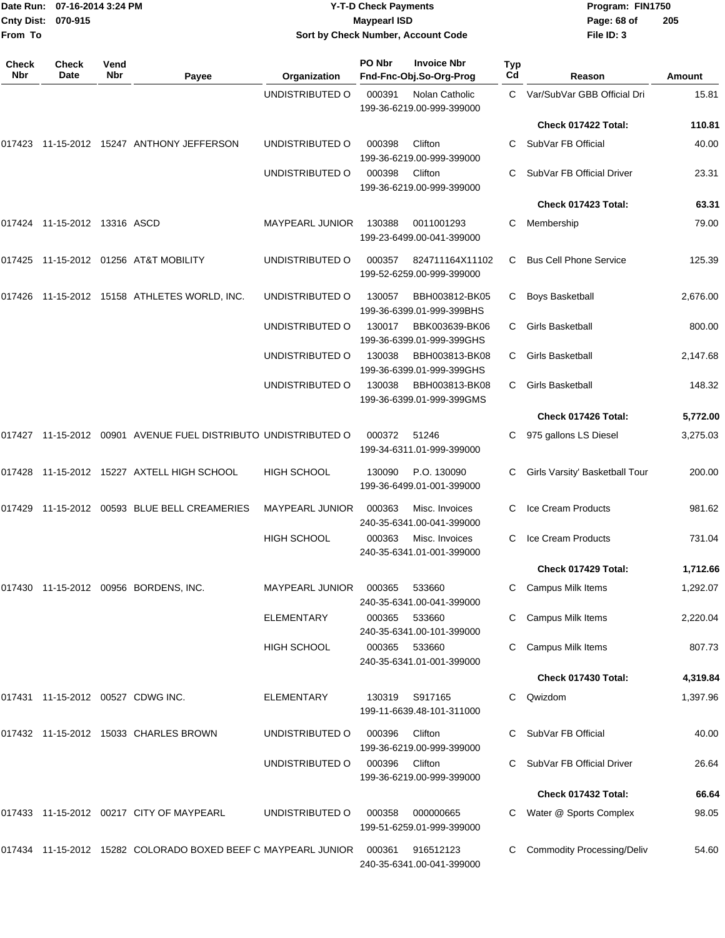| From To             | Date Run: 07-16-2014 3:24 PM<br>Cnty Dist: 070-915 |             | <b>Y-T-D Check Payments</b><br><b>Maypearl ISD</b><br>Sort by Check Number, Account Code |                        |        |                                               | Program: FIN1750<br>Page: 68 of<br>File ID: 3 | 205                               |               |
|---------------------|----------------------------------------------------|-------------|------------------------------------------------------------------------------------------|------------------------|--------|-----------------------------------------------|-----------------------------------------------|-----------------------------------|---------------|
| <b>Check</b><br>Nbr | <b>Check</b><br>Date                               | Vend<br>Nbr | Payee                                                                                    | Organization           | PO Nbr | <b>Invoice Nbr</b><br>Fnd-Fnc-Obj.So-Org-Prog | Typ<br>Cd                                     | Reason                            | <b>Amount</b> |
|                     |                                                    |             |                                                                                          | UNDISTRIBUTED O        | 000391 | Nolan Catholic                                |                                               | C Var/SubVar GBB Official Dri     | 15.81         |
|                     |                                                    |             |                                                                                          |                        |        | 199-36-6219.00-999-399000                     |                                               | Check 017422 Total:               | 110.81        |
|                     |                                                    |             | 017423 11-15-2012 15247 ANTHONY JEFFERSON                                                | UNDISTRIBUTED O        | 000398 | Clifton                                       | C                                             | SubVar FB Official                | 40.00         |
|                     |                                                    |             |                                                                                          |                        |        | 199-36-6219.00-999-399000                     |                                               |                                   |               |
|                     |                                                    |             |                                                                                          | UNDISTRIBUTED O        | 000398 | Clifton<br>199-36-6219.00-999-399000          | C.                                            | SubVar FB Official Driver         | 23.31         |
|                     |                                                    |             |                                                                                          |                        |        |                                               |                                               | Check 017423 Total:               | 63.31         |
|                     |                                                    |             |                                                                                          | <b>MAYPEARL JUNIOR</b> | 130388 | 0011001293<br>199-23-6499.00-041-399000       | С                                             | Membership                        | 79.00         |
| 017425              |                                                    |             | 11-15-2012  01256  AT&T MOBILITY                                                         | UNDISTRIBUTED O        | 000357 | 824711164X11102<br>199-52-6259.00-999-399000  | С                                             | <b>Bus Cell Phone Service</b>     | 125.39        |
|                     |                                                    |             | 017426 11-15-2012 15158 ATHLETES WORLD, INC.                                             | UNDISTRIBUTED O        | 130057 | BBH003812-BK05<br>199-36-6399.01-999-399BHS   | С                                             | Boys Basketball                   | 2,676.00      |
|                     |                                                    |             |                                                                                          | UNDISTRIBUTED O        | 130017 | BBK003639-BK06<br>199-36-6399.01-999-399GHS   | С                                             | <b>Girls Basketball</b>           | 800.00        |
|                     |                                                    |             |                                                                                          | UNDISTRIBUTED O        | 130038 | BBH003813-BK08<br>199-36-6399.01-999-399GHS   | С                                             | <b>Girls Basketball</b>           | 2,147.68      |
|                     |                                                    |             |                                                                                          | UNDISTRIBUTED O        | 130038 | BBH003813-BK08<br>199-36-6399.01-999-399GMS   | C                                             | Girls Basketball                  | 148.32        |
|                     |                                                    |             |                                                                                          |                        |        |                                               |                                               | Check 017426 Total:               | 5,772.00      |
|                     |                                                    |             | 017427 11-15-2012 00901 AVENUE FUEL DISTRIBUTO UNDISTRIBUTED O                           |                        | 000372 | 51246<br>199-34-6311.01-999-399000            |                                               | 975 gallons LS Diesel             | 3,275.03      |
|                     |                                                    |             | 017428 11-15-2012 15227 AXTELL HIGH SCHOOL                                               | <b>HIGH SCHOOL</b>     | 130090 | P.O. 130090<br>199-36-6499.01-001-399000      | C                                             | Girls Varsity' Basketball Tour    | 200.00        |
| 017429              |                                                    |             | 11-15-2012   00593   BLUE   BELL   CREAMERIES                                            | <b>MAYPEARL JUNIOR</b> | 000363 | Misc. Invoices<br>240-35-6341.00-041-399000   | С                                             | Ice Cream Products                | 981.62        |
|                     |                                                    |             |                                                                                          | <b>HIGH SCHOOL</b>     | 000363 | Misc. Invoices<br>240-35-6341.01-001-399000   | C.                                            | Ice Cream Products                | 731.04        |
|                     |                                                    |             |                                                                                          |                        |        |                                               |                                               | Check 017429 Total:               | 1,712.66      |
|                     |                                                    |             | 017430 11-15-2012 00956 BORDENS, INC.                                                    | <b>MAYPEARL JUNIOR</b> | 000365 | 533660<br>240-35-6341.00-041-399000           |                                               | Campus Milk Items                 | 1,292.07      |
|                     |                                                    |             |                                                                                          | <b>ELEMENTARY</b>      | 000365 | 533660<br>240-35-6341.00-101-399000           |                                               | Campus Milk Items                 | 2,220.04      |
|                     |                                                    |             |                                                                                          | HIGH SCHOOL            | 000365 | 533660<br>240-35-6341.01-001-399000           |                                               | Campus Milk Items                 | 807.73        |
|                     |                                                    |             |                                                                                          |                        |        |                                               |                                               | Check 017430 Total:               | 4,319.84      |
|                     |                                                    |             | 017431  11-15-2012  00527  CDWG INC.                                                     | ELEMENTARY             | 130319 | S917165<br>199-11-6639.48-101-311000          | C.                                            | Qwizdom                           | 1,397.96      |
|                     |                                                    |             | 017432 11-15-2012 15033 CHARLES BROWN                                                    | UNDISTRIBUTED O        | 000396 | Clifton<br>199-36-6219.00-999-399000          |                                               | SubVar FB Official                | 40.00         |
|                     |                                                    |             |                                                                                          | UNDISTRIBUTED O        | 000396 | Clifton<br>199-36-6219.00-999-399000          |                                               | C SubVar FB Official Driver       | 26.64         |
|                     |                                                    |             |                                                                                          |                        |        |                                               |                                               | Check 017432 Total:               | 66.64         |
|                     |                                                    |             | 017433 11-15-2012 00217 CITY OF MAYPEARL                                                 | UNDISTRIBUTED O        | 000358 | 000000665<br>199-51-6259.01-999-399000        |                                               | Water @ Sports Complex            | 98.05         |
|                     |                                                    |             | 017434 11-15-2012 15282 COLORADO BOXED BEEF C MAYPEARL JUNIOR                            |                        | 000361 | 916512123<br>240-35-6341.00-041-399000        |                                               | <b>Commodity Processing/Deliv</b> | 54.60         |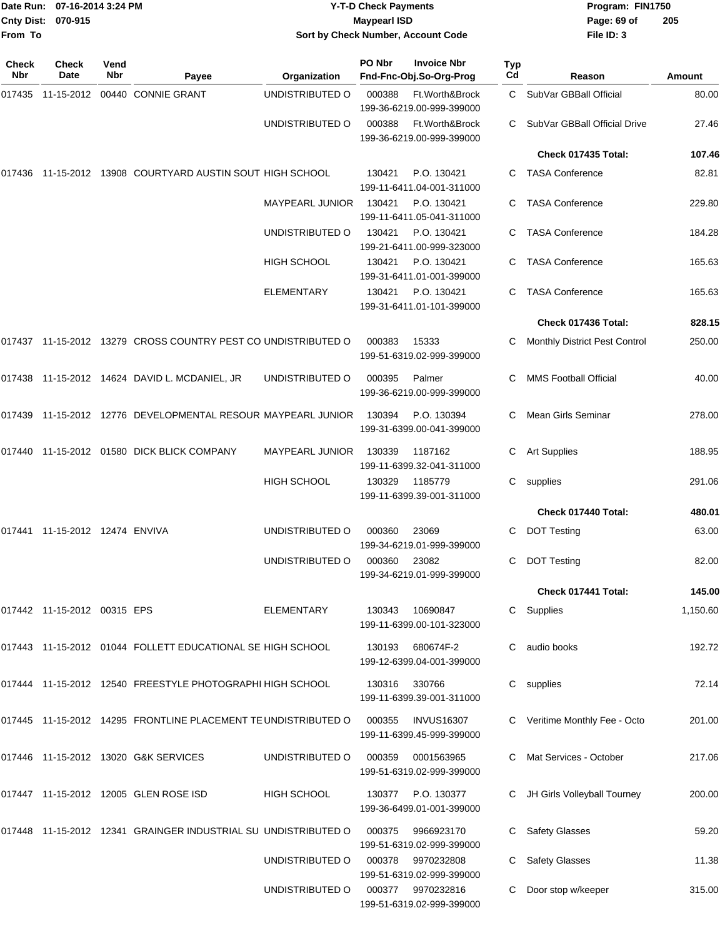| From To      | Date Run: 07-16-2014 3:24 PM<br>Cnty Dist: 070-915 |             |                                                                | <b>Y-T-D Check Payments</b><br><b>Maypearl ISD</b><br>Sort by Check Number, Account Code |              |                                                                          |           | Program: FIN1750<br>Page: 69 of<br>File ID: 3 | 205      |
|--------------|----------------------------------------------------|-------------|----------------------------------------------------------------|------------------------------------------------------------------------------------------|--------------|--------------------------------------------------------------------------|-----------|-----------------------------------------------|----------|
| Check<br>Nbr | <b>Check</b><br>Date                               | Vend<br>Nbr | Payee                                                          | Organization                                                                             | PO Nbr       | <b>Invoice Nbr</b><br>Fnd-Fnc-Obj.So-Org-Prog                            | Typ<br>Cd | Reason                                        | Amount   |
|              |                                                    |             | 017435 11-15-2012 00440 CONNIE GRANT                           | UNDISTRIBUTED O                                                                          | 000388       | Ft.Worth&Brock                                                           |           | C SubVar GBBall Official                      | 80.00    |
|              |                                                    |             |                                                                | UNDISTRIBUTED O                                                                          | 000388       | 199-36-6219.00-999-399000<br>Ft.Worth&Brock<br>199-36-6219.00-999-399000 |           | SubVar GBBall Official Drive                  | 27.46    |
|              |                                                    |             |                                                                |                                                                                          |              |                                                                          |           | Check 017435 Total:                           | 107.46   |
|              |                                                    |             | 017436 11-15-2012 13908 COURTYARD AUSTIN SOUT HIGH SCHOOL      |                                                                                          | 130421       | P.O. 130421<br>199-11-6411.04-001-311000                                 | C.        | <b>TASA Conference</b>                        | 82.81    |
|              |                                                    |             |                                                                | <b>MAYPEARL JUNIOR</b>                                                                   | 130421       | P.O. 130421<br>199-11-6411.05-041-311000                                 |           | <b>TASA Conference</b>                        | 229.80   |
|              |                                                    |             |                                                                | UNDISTRIBUTED O                                                                          | 130421       | P.O. 130421<br>199-21-6411.00-999-323000                                 | C.        | <b>TASA Conference</b>                        | 184.28   |
|              |                                                    |             |                                                                | <b>HIGH SCHOOL</b>                                                                       | 130421       | P.O. 130421<br>199-31-6411.01-001-399000                                 | C         | <b>TASA Conference</b>                        | 165.63   |
|              |                                                    |             |                                                                | <b>ELEMENTARY</b>                                                                        | 130421       | P.O. 130421<br>199-31-6411.01-101-399000                                 |           | <b>TASA Conference</b>                        | 165.63   |
|              |                                                    |             |                                                                |                                                                                          |              |                                                                          |           | Check 017436 Total:                           | 828.15   |
|              |                                                    |             | 017437 11-15-2012 13279 CROSS COUNTRY PEST CO UNDISTRIBUTED O  |                                                                                          | 000383       | 15333<br>199-51-6319.02-999-399000                                       |           | <b>Monthly District Pest Control</b>          | 250.00   |
|              |                                                    |             | 017438 11-15-2012 14624 DAVID L. MCDANIEL, JR                  | UNDISTRIBUTED O                                                                          | 000395       | Palmer<br>199-36-6219.00-999-399000                                      |           | <b>MMS Football Official</b>                  | 40.00    |
|              |                                                    |             | 017439 11-15-2012 12776 DEVELOPMENTAL RESOUR MAYPEARL JUNIOR   |                                                                                          | 130394       | P.O. 130394<br>199-31-6399.00-041-399000                                 | C.        | <b>Mean Girls Seminar</b>                     | 278.00   |
|              |                                                    |             | 017440 11-15-2012 01580 DICK BLICK COMPANY                     | <b>MAYPEARL JUNIOR</b>                                                                   | 130339       | 1187162<br>199-11-6399.32-041-311000                                     | C         | <b>Art Supplies</b>                           | 188.95   |
|              |                                                    |             |                                                                | <b>HIGH SCHOOL</b>                                                                       | 130329       | 1185779<br>199-11-6399.39-001-311000                                     | C         | supplies                                      | 291.06   |
|              |                                                    |             |                                                                |                                                                                          |              |                                                                          |           | Check 017440 Total:                           | 480.01   |
|              | 017441 11-15-2012 12474 ENVIVA                     |             |                                                                | UNDISTRIBUTED O                                                                          | 000360       | 23069<br>199-34-6219.01-999-399000                                       |           | C DOT Testing                                 | 63.00    |
|              |                                                    |             |                                                                | UNDISTRIBUTED O                                                                          | 000360 23082 | 199-34-6219.01-999-399000                                                |           | C DOT Testing                                 | 82.00    |
|              |                                                    |             |                                                                |                                                                                          |              |                                                                          |           | Check 017441 Total:                           | 145.00   |
|              | 017442 11-15-2012 00315 EPS                        |             |                                                                | ELEMENTARY                                                                               | 130343       | 10690847<br>199-11-6399.00-101-323000                                    |           | C Supplies                                    | 1,150.60 |
|              |                                                    |             | 017443 11-15-2012 01044 FOLLETT EDUCATIONAL SE HIGH SCHOOL     |                                                                                          | 130193       | 680674F-2<br>199-12-6399.04-001-399000                                   |           | C audio books                                 | 192.72   |
|              |                                                    |             | 017444 11-15-2012 12540 FREESTYLE PHOTOGRAPHI HIGH SCHOOL      |                                                                                          | 130316       | 330766<br>199-11-6399.39-001-311000                                      |           | C supplies                                    | 72.14    |
|              |                                                    |             | 017445 11-15-2012 14295 FRONTLINE PLACEMENT TE UNDISTRIBUTED O |                                                                                          | 000355       | <b>INVUS16307</b><br>199-11-6399.45-999-399000                           |           | C Veritime Monthly Fee - Octo                 | 201.00   |
|              |                                                    |             | 017446 11-15-2012 13020 G&K SERVICES                           | UNDISTRIBUTED O                                                                          | 000359       | 0001563965<br>199-51-6319.02-999-399000                                  |           | C Mat Services - October                      | 217.06   |
|              |                                                    |             | 017447 11-15-2012 12005 GLEN ROSE ISD                          | <b>HIGH SCHOOL</b>                                                                       | 130377       | P.O. 130377<br>199-36-6499.01-001-399000                                 |           | C JH Girls Volleyball Tourney                 | 200.00   |
|              |                                                    |             | 017448 11-15-2012 12341 GRAINGER INDUSTRIAL SU UNDISTRIBUTED O |                                                                                          | 000375       | 9966923170<br>199-51-6319.02-999-399000                                  |           | C Safety Glasses                              | 59.20    |
|              |                                                    |             |                                                                | UNDISTRIBUTED O                                                                          |              | 000378 9970232808<br>199-51-6319.02-999-399000                           |           | C Safety Glasses                              | 11.38    |
|              |                                                    |             |                                                                | UNDISTRIBUTED O                                                                          |              | 000377 9970232816<br>199-51-6319.02-999-399000                           |           | C Door stop w/keeper                          | 315.00   |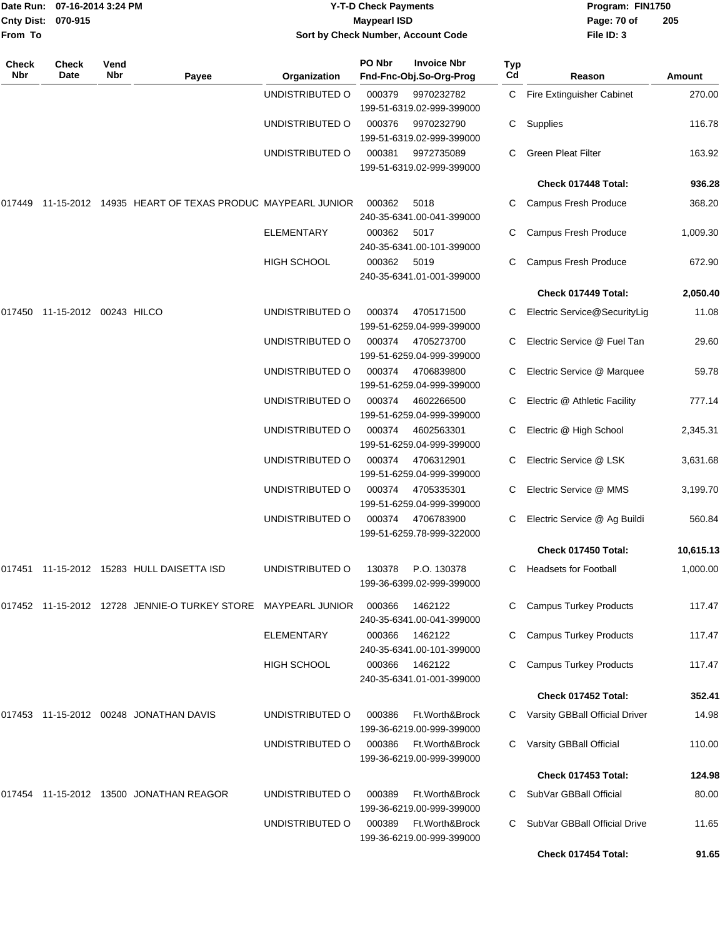| Date Run: 07-16-2014 3:24 PM<br>Cnty Dist: 070-915<br>From To |                      |             |                                                                     | <b>Y-T-D Check Payments</b><br><b>Maypearl ISD</b><br>Sort by Check Number, Account Code |        |                                               |           | Program: FIN1750<br>Page: 70 of<br>File ID: 3 | 205       |
|---------------------------------------------------------------|----------------------|-------------|---------------------------------------------------------------------|------------------------------------------------------------------------------------------|--------|-----------------------------------------------|-----------|-----------------------------------------------|-----------|
| <b>Check</b><br>Nbr                                           | <b>Check</b><br>Date | Vend<br>Nbr | Payee                                                               | Organization                                                                             | PO Nbr | <b>Invoice Nbr</b><br>Fnd-Fnc-Obj.So-Org-Prog | Typ<br>Cd | Reason                                        | Amount    |
|                                                               |                      |             |                                                                     | UNDISTRIBUTED O                                                                          | 000379 | 9970232782<br>199-51-6319.02-999-399000       |           | C Fire Extinguisher Cabinet                   | 270.00    |
|                                                               |                      |             |                                                                     | UNDISTRIBUTED O                                                                          | 000376 | 9970232790<br>199-51-6319.02-999-399000       |           | C Supplies                                    | 116.78    |
|                                                               |                      |             |                                                                     | UNDISTRIBUTED O                                                                          | 000381 | 9972735089<br>199-51-6319.02-999-399000       | C.        | <b>Green Pleat Filter</b>                     | 163.92    |
|                                                               |                      |             |                                                                     |                                                                                          |        |                                               |           | Check 017448 Total:                           | 936.28    |
|                                                               |                      |             | 017449   11-15-2012   14935   HEART OF TEXAS PRODUC MAYPEARL JUNIOR |                                                                                          | 000362 | 5018<br>240-35-6341.00-041-399000             | C         | Campus Fresh Produce                          | 368.20    |
|                                                               |                      |             |                                                                     | <b>ELEMENTARY</b>                                                                        | 000362 | 5017<br>240-35-6341.00-101-399000             | С         | Campus Fresh Produce                          | 1,009.30  |
|                                                               |                      |             |                                                                     | HIGH SCHOOL                                                                              | 000362 | 5019<br>240-35-6341.01-001-399000             | С         | Campus Fresh Produce                          | 672.90    |
|                                                               |                      |             |                                                                     |                                                                                          |        |                                               |           | Check 017449 Total:                           | 2,050.40  |
|                                                               |                      |             |                                                                     | UNDISTRIBUTED O                                                                          | 000374 | 4705171500<br>199-51-6259.04-999-399000       | С         | Electric Service@SecurityLig                  | 11.08     |
|                                                               |                      |             |                                                                     | UNDISTRIBUTED O                                                                          | 000374 | 4705273700<br>199-51-6259.04-999-399000       | C         | Electric Service @ Fuel Tan                   | 29.60     |
|                                                               |                      |             |                                                                     | UNDISTRIBUTED O                                                                          | 000374 | 4706839800<br>199-51-6259.04-999-399000       | С         | Electric Service @ Marquee                    | 59.78     |
|                                                               |                      |             |                                                                     | UNDISTRIBUTED O                                                                          | 000374 | 4602266500<br>199-51-6259.04-999-399000       | C.        | Electric @ Athletic Facility                  | 777.14    |
|                                                               |                      |             |                                                                     | UNDISTRIBUTED O                                                                          | 000374 | 4602563301<br>199-51-6259.04-999-399000       | C.        | Electric @ High School                        | 2,345.31  |
|                                                               |                      |             |                                                                     | UNDISTRIBUTED O                                                                          | 000374 | 4706312901<br>199-51-6259.04-999-399000       | C         | Electric Service @ LSK                        | 3,631.68  |
|                                                               |                      |             |                                                                     | UNDISTRIBUTED O                                                                          | 000374 | 4705335301<br>199-51-6259.04-999-399000       | С         | Electric Service @ MMS                        | 3,199.70  |
|                                                               |                      |             |                                                                     | UNDISTRIBUTED O                                                                          | 000374 | 4706783900<br>199-51-6259.78-999-322000       | C.        | Electric Service @ Ag Buildi                  | 560.84    |
|                                                               |                      |             |                                                                     |                                                                                          |        |                                               |           | Check 017450 Total:                           | 10,615.13 |
|                                                               |                      |             | 017451 11-15-2012 15283 HULL DAISETTA ISD                           | UNDISTRIBUTED O                                                                          | 130378 | P.O. 130378<br>199-36-6399.02-999-399000      | C.        | <b>Headsets for Football</b>                  | 1,000.00  |
|                                                               |                      |             | 017452 11-15-2012 12728 JENNIE-O TURKEY STORE MAYPEARL JUNIOR       |                                                                                          | 000366 | 1462122<br>240-35-6341.00-041-399000          | C         | <b>Campus Turkey Products</b>                 | 117.47    |
|                                                               |                      |             |                                                                     | <b>ELEMENTARY</b>                                                                        | 000366 | 1462122<br>240-35-6341.00-101-399000          | C         | <b>Campus Turkey Products</b>                 | 117.47    |
|                                                               |                      |             |                                                                     | <b>HIGH SCHOOL</b>                                                                       | 000366 | 1462122<br>240-35-6341.01-001-399000          | C.        | <b>Campus Turkey Products</b>                 | 117.47    |
|                                                               |                      |             |                                                                     |                                                                                          |        |                                               |           | Check 017452 Total:                           | 352.41    |
|                                                               |                      |             | 017453 11-15-2012 00248  JONATHAN DAVIS                             | UNDISTRIBUTED O                                                                          | 000386 | Ft.Worth&Brock<br>199-36-6219.00-999-399000   |           | C Varsity GBBall Official Driver              | 14.98     |
|                                                               |                      |             |                                                                     | UNDISTRIBUTED O                                                                          | 000386 | Ft.Worth&Brock<br>199-36-6219.00-999-399000   | C         | Varsity GBBall Official                       | 110.00    |
|                                                               |                      |             |                                                                     |                                                                                          |        |                                               |           | Check 017453 Total:                           | 124.98    |
|                                                               |                      |             | 017454 11-15-2012 13500 JONATHAN REAGOR                             | UNDISTRIBUTED O                                                                          | 000389 | Ft.Worth&Brock<br>199-36-6219.00-999-399000   | C.        | SubVar GBBall Official                        | 80.00     |
|                                                               |                      |             |                                                                     | UNDISTRIBUTED O                                                                          | 000389 | Ft.Worth&Brock<br>199-36-6219.00-999-399000   | C         | SubVar GBBall Official Drive                  | 11.65     |
|                                                               |                      |             |                                                                     |                                                                                          |        |                                               |           | Check 017454 Total:                           | 91.65     |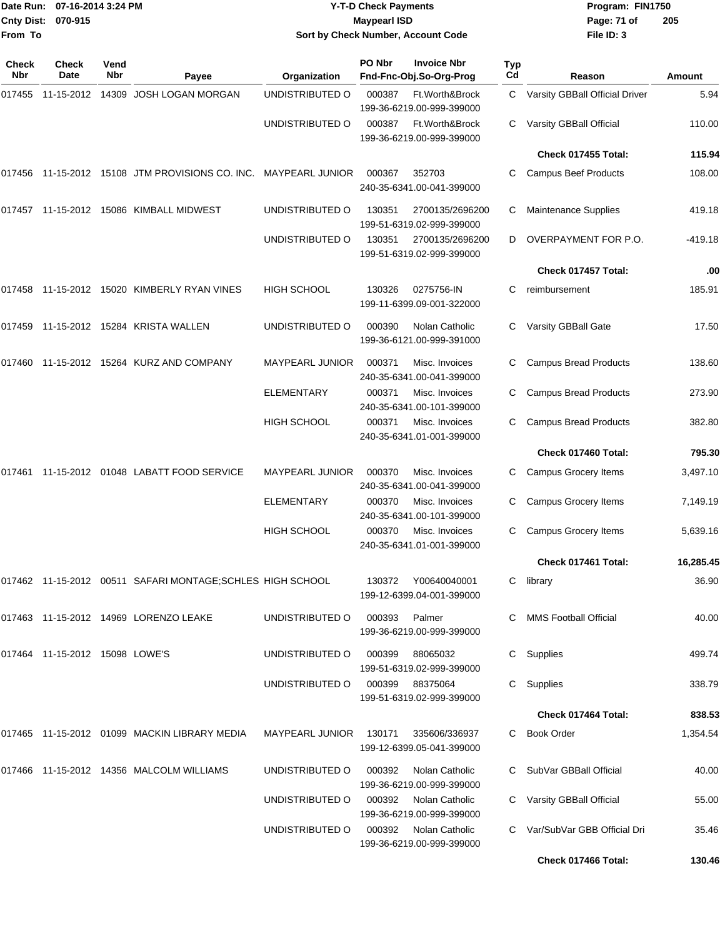| From To             | Date Run: 07-16-2014 3:24 PM<br>Cnty Dist: 070-915 |             |                                                           |                        | <b>Y-T-D Check Payments</b><br><b>Maypearl ISD</b> | Sort by Check Number, Account Code                 | Program: FIN1750<br>Page: 71 of<br>File ID: 3 | 205                            |               |
|---------------------|----------------------------------------------------|-------------|-----------------------------------------------------------|------------------------|----------------------------------------------------|----------------------------------------------------|-----------------------------------------------|--------------------------------|---------------|
|                     |                                                    |             |                                                           |                        |                                                    |                                                    |                                               |                                |               |
| <b>Check</b><br>Nbr | <b>Check</b><br>Date                               | Vend<br>Nbr | Payee                                                     | Organization           | PO Nbr                                             | <b>Invoice Nbr</b><br>Fnd-Fnc-Obj.So-Org-Prog      | Typ<br>Cd                                     | Reason                         | <b>Amount</b> |
| 017455              | 11-15-2012                                         |             | 14309 JOSH LOGAN MORGAN                                   | UNDISTRIBUTED O        | 000387                                             | Ft.Worth&Brock<br>199-36-6219.00-999-399000        | C.                                            | Varsity GBBall Official Driver | 5.94          |
|                     |                                                    |             |                                                           | UNDISTRIBUTED O        | 000387                                             | Ft.Worth&Brock<br>199-36-6219.00-999-399000        | C                                             | Varsity GBBall Official        | 110.00        |
|                     |                                                    |             |                                                           |                        |                                                    |                                                    |                                               | Check 017455 Total:            | 115.94        |
|                     |                                                    |             | 017456 11-15-2012 15108 JTM PROVISIONS CO. INC.           | <b>MAYPEARL JUNIOR</b> | 000367                                             | 352703<br>240-35-6341.00-041-399000                | С                                             | <b>Campus Beef Products</b>    | 108.00        |
|                     |                                                    |             | 017457    11-15-2012    15086    KIMBALL    MIDWEST       | UNDISTRIBUTED O        | 130351                                             | 2700135/2696200<br>199-51-6319.02-999-399000       | С                                             | <b>Maintenance Supplies</b>    | 419.18        |
|                     |                                                    |             |                                                           | UNDISTRIBUTED O        | 130351                                             | 2700135/2696200<br>199-51-6319.02-999-399000       | D                                             | OVERPAYMENT FOR P.O.           | -419.18       |
|                     |                                                    |             |                                                           |                        |                                                    |                                                    |                                               | Check 017457 Total:            | .00           |
|                     |                                                    |             | 017458    11-15-2012    15020    KIMBERLY RYAN VINES      | <b>HIGH SCHOOL</b>     | 130326                                             | 0275756-IN<br>199-11-6399.09-001-322000            | C                                             | reimbursement                  | 185.91        |
|                     |                                                    |             | 017459    11-15-2012    15284    KRISTA WALLEN            | UNDISTRIBUTED O        | 000390                                             | Nolan Catholic<br>199-36-6121.00-999-391000        | С                                             | Varsity GBBall Gate            | 17.50         |
|                     |                                                    |             |                                                           | <b>MAYPEARL JUNIOR</b> | 000371                                             | Misc. Invoices<br>240-35-6341.00-041-399000        | C                                             | <b>Campus Bread Products</b>   | 138.60        |
|                     |                                                    |             |                                                           | ELEMENTARY             | 000371                                             | Misc. Invoices<br>240-35-6341.00-101-399000        | C                                             | <b>Campus Bread Products</b>   | 273.90        |
|                     |                                                    |             |                                                           | <b>HIGH SCHOOL</b>     | 000371                                             | Misc. Invoices<br>240-35-6341.01-001-399000        | С                                             | <b>Campus Bread Products</b>   | 382.80        |
|                     |                                                    |             |                                                           |                        |                                                    |                                                    |                                               | Check 017460 Total:            | 795.30        |
|                     |                                                    |             | 017461  11-15-2012  01048  LABATT FOOD SERVICE            | <b>MAYPEARL JUNIOR</b> | 000370                                             | Misc. Invoices<br>240-35-6341.00-041-399000        | С                                             | <b>Campus Grocery Items</b>    | 3,497.10      |
|                     |                                                    |             |                                                           | ELEMENTARY             | 000370                                             | Misc. Invoices<br>240-35-6341.00-101-399000        | С                                             | <b>Campus Grocery Items</b>    | 7,149.19      |
|                     |                                                    |             |                                                           | <b>HIGH SCHOOL</b>     |                                                    | 000370 Misc. Invoices<br>240-35-6341.01-001-399000 |                                               | C Campus Grocery Items         | 5,639.16      |
|                     |                                                    |             |                                                           |                        |                                                    |                                                    |                                               | Check 017461 Total:            | 16,285.45     |
|                     |                                                    |             | 017462 11-15-2012 00511 SAFARI MONTAGE:SCHLES HIGH SCHOOL |                        | 130372                                             | Y00640040001<br>199-12-6399.04-001-399000          |                                               | C library                      | 36.90         |
|                     |                                                    |             | 017463  11-15-2012  14969  LORENZO LEAKE                  | UNDISTRIBUTED O        | 000393 Palmer                                      | 199-36-6219.00-999-399000                          |                                               | C MMS Football Official        | 40.00         |
|                     | 017464 11-15-2012 15098 LOWE'S                     |             |                                                           | UNDISTRIBUTED O        | 000399                                             | 88065032<br>199-51-6319.02-999-399000              |                                               | C Supplies                     | 499.74        |
|                     |                                                    |             |                                                           | UNDISTRIBUTED O        | 000399                                             | 88375064<br>199-51-6319.02-999-399000              |                                               | C Supplies                     | 338.79        |
|                     |                                                    |             |                                                           |                        |                                                    |                                                    |                                               | Check 017464 Total:            | 838.53        |
|                     |                                                    |             | 017465 11-15-2012 01099 MACKIN LIBRARY MEDIA              | <b>MAYPEARL JUNIOR</b> | 130171                                             | 335606/336937<br>199-12-6399.05-041-399000         |                                               | C Book Order                   | 1,354.54      |
|                     |                                                    |             | 017466  11-15-2012  14356  MALCOLM WILLIAMS               | UNDISTRIBUTED O        | 000392                                             | Nolan Catholic<br>199-36-6219.00-999-399000        |                                               | C SubVar GBBall Official       | 40.00         |
|                     |                                                    |             |                                                           | UNDISTRIBUTED O        | 000392                                             | Nolan Catholic<br>199-36-6219.00-999-399000        |                                               | Varsity GBBall Official        | 55.00         |
|                     |                                                    |             |                                                           | UNDISTRIBUTED O        | 000392                                             | Nolan Catholic<br>199-36-6219.00-999-399000        |                                               | C Var/SubVar GBB Official Dri  | 35.46         |
|                     |                                                    |             |                                                           |                        |                                                    |                                                    |                                               | Check 017466 Total:            | 130.46        |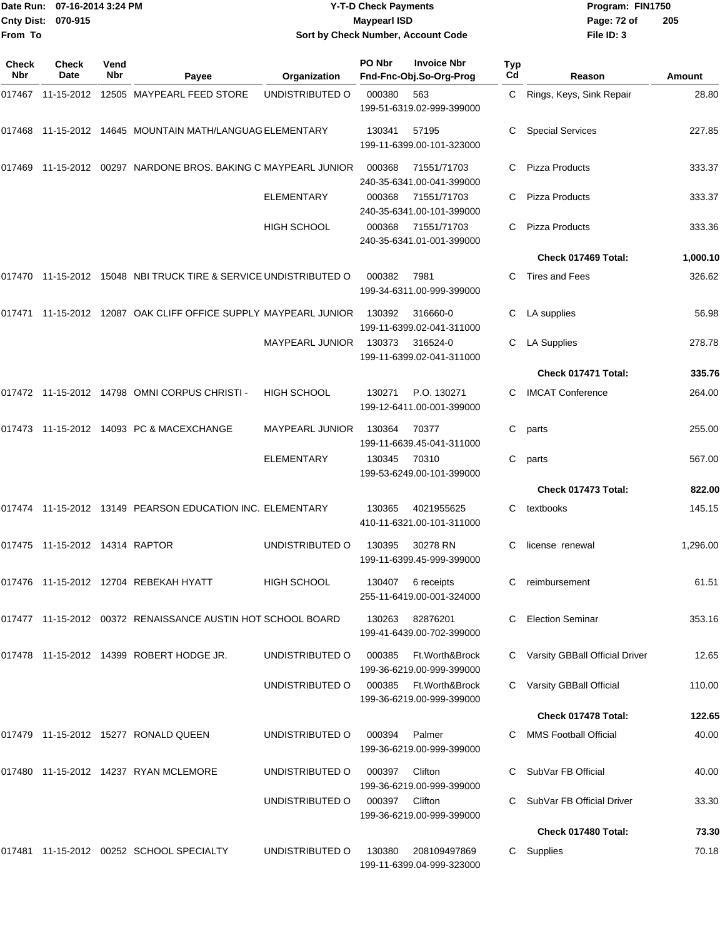|                     | Date Run: 07-16-2014 3:24 PM      |             |                                                                  | <b>Y-T-D Check Payments</b>        |        |                                                    |                  |                                  | Program: FIN1750 |  |
|---------------------|-----------------------------------|-------------|------------------------------------------------------------------|------------------------------------|--------|----------------------------------------------------|------------------|----------------------------------|------------------|--|
|                     | Cnty Dist: 070-915                |             |                                                                  | <b>Maypearl ISD</b>                |        |                                                    |                  | Page: 72 of                      | 205              |  |
| From To             |                                   |             |                                                                  | Sort by Check Number, Account Code |        |                                                    |                  | File ID: 3                       |                  |  |
|                     |                                   |             |                                                                  |                                    |        |                                                    |                  |                                  |                  |  |
| <b>Check</b><br>Nbr | Check<br>Date                     | Vend<br>Nbr | Payee                                                            | Organization                       | PO Nbr | <b>Invoice Nbr</b><br>Fnd-Fnc-Obj.So-Org-Prog      | <b>Typ</b><br>Cd | Reason                           | Amount           |  |
|                     |                                   |             | 017467 11-15-2012 12505 MAYPEARL FEED STORE                      | UNDISTRIBUTED O                    | 000380 | 563                                                | C                | Rings, Keys, Sink Repair         | 28.80            |  |
|                     |                                   |             |                                                                  |                                    |        | 199-51-6319.02-999-399000                          |                  |                                  |                  |  |
|                     |                                   |             | 017468 11-15-2012 14645 MOUNTAIN MATH/LANGUAG ELEMENTARY         |                                    | 130341 | 57195                                              | С                | <b>Special Services</b>          | 227.85           |  |
|                     |                                   |             |                                                                  |                                    |        | 199-11-6399.00-101-323000                          |                  |                                  |                  |  |
|                     |                                   |             | 017469 11-15-2012 00297 NARDONE BROS, BAKING C MAYPEARL JUNIOR   |                                    | 000368 | 71551/71703                                        | C                | <b>Pizza Products</b>            | 333.37           |  |
|                     |                                   |             |                                                                  |                                    |        | 240-35-6341.00-041-399000                          |                  |                                  |                  |  |
|                     |                                   |             |                                                                  | <b>ELEMENTARY</b>                  | 000368 | 71551/71703                                        | C                | <b>Pizza Products</b>            | 333.37           |  |
|                     |                                   |             |                                                                  | HIGH SCHOOL                        | 000368 | 240-35-6341.00-101-399000<br>71551/71703           | C                | Pizza Products                   | 333.36           |  |
|                     |                                   |             |                                                                  |                                    |        | 240-35-6341.01-001-399000                          |                  |                                  |                  |  |
|                     |                                   |             |                                                                  |                                    |        |                                                    |                  | Check 017469 Total:              | 1,000.10         |  |
|                     |                                   |             | 017470 11-15-2012 15048 NBI TRUCK TIRE & SERVICE UNDISTRIBUTED O |                                    | 000382 | 7981                                               | С                | <b>Tires and Fees</b>            | 326.62           |  |
|                     |                                   |             |                                                                  |                                    |        | 199-34-6311.00-999-399000                          |                  |                                  |                  |  |
|                     |                                   |             | 017471 11-15-2012 12087 OAK CLIFF OFFICE SUPPLY MAYPEARL JUNIOR  |                                    | 130392 | 316660-0                                           | C.               | LA supplies                      | 56.98            |  |
|                     |                                   |             |                                                                  |                                    |        | 199-11-6399.02-041-311000                          |                  |                                  |                  |  |
|                     |                                   |             |                                                                  | <b>MAYPEARL JUNIOR</b>             | 130373 | 316524-0<br>199-11-6399.02-041-311000              | C                | <b>LA Supplies</b>               | 278.78           |  |
|                     |                                   |             |                                                                  |                                    |        |                                                    |                  | Check 017471 Total:              | 335.76           |  |
|                     |                                   |             | 017472 11-15-2012 14798 OMNI CORPUS CHRISTI -                    | <b>HIGH SCHOOL</b>                 | 130271 | P.O. 130271                                        | С                | <b>IMCAT Conference</b>          | 264.00           |  |
|                     |                                   |             |                                                                  |                                    |        | 199-12-6411.00-001-399000                          |                  |                                  |                  |  |
|                     |                                   |             | 017473 11-15-2012 14093 PC & MACEXCHANGE                         | MAYPEARL JUNIOR                    | 130364 | 70377                                              | С                | parts                            | 255.00           |  |
|                     |                                   |             |                                                                  |                                    |        | 199-11-6639.45-041-311000                          |                  |                                  |                  |  |
|                     |                                   |             |                                                                  | ELEMENTARY                         | 130345 | 70310<br>199-53-6249.00-101-399000                 | C                | parts                            | 567.00           |  |
|                     |                                   |             |                                                                  |                                    |        |                                                    |                  | Check 017473 Total:              | 822.00           |  |
|                     |                                   |             | 017474 11-15-2012 13149 PEARSON EDUCATION INC. ELEMENTARY        |                                    | 130365 | 4021955625                                         | C                | textbooks                        | 145.15           |  |
|                     |                                   |             |                                                                  |                                    |        | 410-11-6321.00-101-311000                          |                  |                                  |                  |  |
|                     | 017475  11-15-2012  14314  RAPTOR |             |                                                                  | UNDISTRIBUTED O                    | 130395 | 30278 RN                                           | C.               | license renewal                  | 1,296.00         |  |
|                     |                                   |             |                                                                  |                                    |        | 199-11-6399.45-999-399000                          |                  |                                  |                  |  |
|                     |                                   |             | 017476 11-15-2012 12704 REBEKAH HYATT                            | <b>HIGH SCHOOL</b>                 | 130407 | 6 receipts                                         |                  | reimbursement                    | 61.51            |  |
|                     |                                   |             |                                                                  |                                    |        | 255-11-6419.00-001-324000                          |                  |                                  |                  |  |
|                     |                                   |             | 017477 11-15-2012 00372 RENAISSANCE AUSTIN HOT SCHOOL BOARD      |                                    | 130263 | 82876201                                           | C.               | <b>Election Seminar</b>          | 353.16           |  |
|                     |                                   |             |                                                                  |                                    |        | 199-41-6439.00-702-399000                          |                  |                                  |                  |  |
|                     |                                   |             | 017478 11-15-2012 14399 ROBERT HODGE JR.                         | UNDISTRIBUTED O                    | 000385 | Ft.Worth&Brock                                     |                  | C Varsity GBBall Official Driver | 12.65            |  |
|                     |                                   |             |                                                                  |                                    |        | 199-36-6219.00-999-399000                          |                  |                                  |                  |  |
|                     |                                   |             |                                                                  | UNDISTRIBUTED O                    |        | 000385 Ft.Worth&Brock<br>199-36-6219.00-999-399000 |                  | C Varsity GBBall Official        | 110.00           |  |
|                     |                                   |             |                                                                  |                                    |        |                                                    |                  | Check 017478 Total:              | 122.65           |  |
|                     |                                   |             | 017479 11-15-2012 15277 RONALD QUEEN                             | UNDISTRIBUTED O                    | 000394 | Palmer                                             |                  | C MMS Football Official          | 40.00            |  |
|                     |                                   |             |                                                                  |                                    |        | 199-36-6219.00-999-399000                          |                  |                                  |                  |  |
|                     |                                   |             | 017480 11-15-2012 14237 RYAN MCLEMORE                            | UNDISTRIBUTED O                    | 000397 | Clifton                                            |                  | C SubVar FB Official             | 40.00            |  |
|                     |                                   |             |                                                                  |                                    |        | 199-36-6219.00-999-399000                          |                  |                                  |                  |  |
|                     |                                   |             |                                                                  | UNDISTRIBUTED O                    | 000397 | Clifton                                            |                  | C SubVar FB Official Driver      | 33.30            |  |
|                     |                                   |             |                                                                  |                                    |        | 199-36-6219.00-999-399000                          |                  | Check 017480 Total:              | 73.30            |  |
|                     |                                   |             | 017481 11-15-2012 00252 SCHOOL SPECIALTY                         | UNDISTRIBUTED O                    | 130380 | 208109497869                                       |                  | C Supplies                       | 70.18            |  |
|                     |                                   |             |                                                                  |                                    |        |                                                    |                  |                                  |                  |  |

199-11-6399.04-999-323000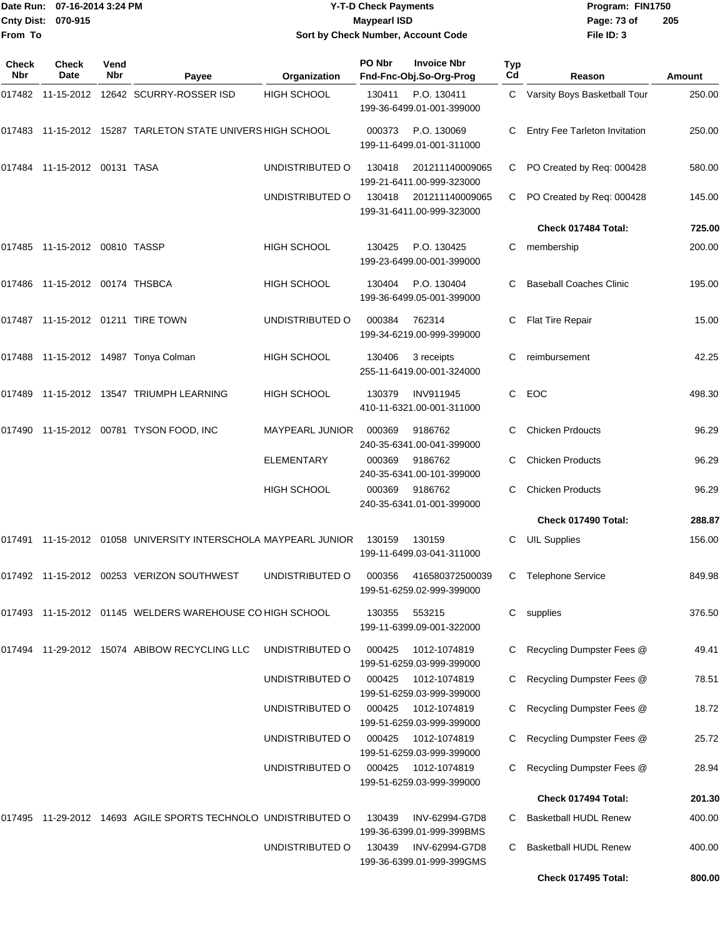|                           | ■Date Run: 07-16-2014 3:24 PM | <b>Y-T-D Check Payments</b>        | Program: FIN1750 |                |
|---------------------------|-------------------------------|------------------------------------|------------------|----------------|
| <b>Cnty Dist: 070-915</b> |                               | Maypearl ISD                       | Page: 73 of      | $\overline{2}$ |
| <b>From To</b>            |                               | Sort by Check Number, Account Code | File $ID: 3$     |                |

# **Sort by Check Number, Account Code**

| <b>Check</b><br>Nbr | Check<br>Date                | Vend<br>Nbr | Payee                                                    | Organization       | PO Nbr | <b>Invoice Nbr</b><br>Fnd-Fnc-Obj.So-Org-Prog | <b>Typ</b><br>Cd | Reason                         | Amount |
|---------------------|------------------------------|-------------|----------------------------------------------------------|--------------------|--------|-----------------------------------------------|------------------|--------------------------------|--------|
| 017482              |                              |             | 11-15-2012    12642    SCURRY-ROSSER ISD                 | <b>HIGH SCHOOL</b> | 130411 | P.O. 130411<br>199-36-6499.01-001-399000      | C.               | Varsity Boys Basketball Tour   | 250.00 |
| 017483              |                              |             | 11-15-2012 15287 TARLETON STATE UNIVERS HIGH SCHOOL      |                    | 000373 | P.O. 130069<br>199-11-6499.01-001-311000      | C                | Entry Fee Tarleton Invitation  | 250.00 |
|                     | 017484 11-15-2012 00131 TASA |             |                                                          | UNDISTRIBUTED O    | 130418 | 201211140009065<br>199-21-6411.00-999-323000  | С                | PO Created by Req: 000428      | 580.00 |
|                     |                              |             |                                                          | UNDISTRIBUTED O    | 130418 | 201211140009065<br>199-31-6411.00-999-323000  | C.               | PO Created by Req: 000428      | 145.00 |
|                     |                              |             |                                                          |                    |        |                                               |                  | Check 017484 Total:            | 725.00 |
| 017485              | 11-15-2012 00810 TASSP       |             |                                                          | <b>HIGH SCHOOL</b> | 130425 | P.O. 130425<br>199-23-6499.00-001-399000      | C.               | membership                     | 200.00 |
| 017486              | 11-15-2012 00174 THSBCA      |             |                                                          | <b>HIGH SCHOOL</b> | 130404 | P.O. 130404<br>199-36-6499.05-001-399000      | C                | <b>Baseball Coaches Clinic</b> | 195.00 |
|                     |                              |             | 017487 11-15-2012 01211 TIRE TOWN                        | UNDISTRIBUTED O    | 000384 | 762314<br>199-34-6219.00-999-399000           | С                | Flat Tire Repair               | 15.00  |
| 017488              |                              |             | 11-15-2012 14987 Tonya Colman                            | <b>HIGH SCHOOL</b> | 130406 | 3 receipts<br>255-11-6419.00-001-324000       | С                | reimbursement                  | 42.25  |
| 017489              |                              |             | 11-15-2012    13547    TRIUMPH LEARNING                  | HIGH SCHOOL        | 130379 | <b>INV911945</b><br>410-11-6321.00-001-311000 | С                | EOC                            | 498.30 |
| 017490              |                              |             | 11-15-2012 00781 TYSON FOOD, INC                         | MAYPEARL JUNIOR    | 000369 | 9186762<br>240-35-6341.00-041-399000          | С                | <b>Chicken Prdoucts</b>        | 96.29  |
|                     |                              |             |                                                          | <b>ELEMENTARY</b>  | 000369 | 9186762<br>240-35-6341.00-101-399000          | C                | <b>Chicken Products</b>        | 96.29  |
|                     |                              |             |                                                          | <b>HIGH SCHOOL</b> | 000369 | 9186762<br>240-35-6341.01-001-399000          | C                | <b>Chicken Products</b>        | 96.29  |
|                     |                              |             |                                                          |                    |        |                                               |                  | Check 017490 Total:            | 288.87 |
| 017491              |                              |             | 11-15-2012 01058 UNIVERSITY INTERSCHOLA MAYPEARL JUNIOR  |                    | 130159 | 130159<br>199-11-6499.03-041-311000           | C                | <b>UIL Supplies</b>            | 156.00 |
|                     |                              |             | 017492 11-15-2012 00253 VERIZON SOUTHWEST                | UNDISTRIBUTED O    | 000356 | 416580372500039<br>199-51-6259.02-999-399000  | С                | <b>Telephone Service</b>       | 849.98 |
|                     |                              |             | 017493 11-15-2012 01145 WELDERS WAREHOUSE CO HIGH SCHOOL |                    | 130355 | 553215<br>199-11-6399.09-001-322000           | С                | supplies                       | 376.50 |
| 017494              |                              |             | 11-29-2012  15074  ABIBOW RECYCLING LLC                  | UNDISTRIBUTED O    | 000425 | 1012-1074819<br>199-51-6259.03-999-399000     | C                | Recycling Dumpster Fees @      | 49.41  |
|                     |                              |             |                                                          | UNDISTRIBUTED O    | 000425 | 1012-1074819<br>199-51-6259.03-999-399000     | C                | Recycling Dumpster Fees @      | 78.51  |
|                     |                              |             |                                                          | UNDISTRIBUTED O    | 000425 | 1012-1074819<br>199-51-6259.03-999-399000     | C                | Recycling Dumpster Fees @      | 18.72  |
|                     |                              |             |                                                          | UNDISTRIBUTED O    | 000425 | 1012-1074819<br>199-51-6259.03-999-399000     | С                | Recycling Dumpster Fees @      | 25.72  |
|                     |                              |             |                                                          | UNDISTRIBUTED O    | 000425 | 1012-1074819<br>199-51-6259.03-999-399000     | С                | Recycling Dumpster Fees @      | 28.94  |
|                     |                              |             |                                                          |                    |        |                                               |                  | Check 017494 Total:            | 201.30 |
| 017495              |                              |             | 11-29-2012 14693 AGILE SPORTS TECHNOLO UNDISTRIBUTED O   |                    | 130439 | INV-62994-G7D8<br>199-36-6399.01-999-399BMS   | C                | <b>Basketball HUDL Renew</b>   | 400.00 |
|                     |                              |             |                                                          | UNDISTRIBUTED O    | 130439 | INV-62994-G7D8<br>199-36-6399.01-999-399GMS   | C                | <b>Basketball HUDL Renew</b>   | 400.00 |
|                     |                              |             |                                                          |                    |        |                                               |                  | Check 017495 Total:            | 800.00 |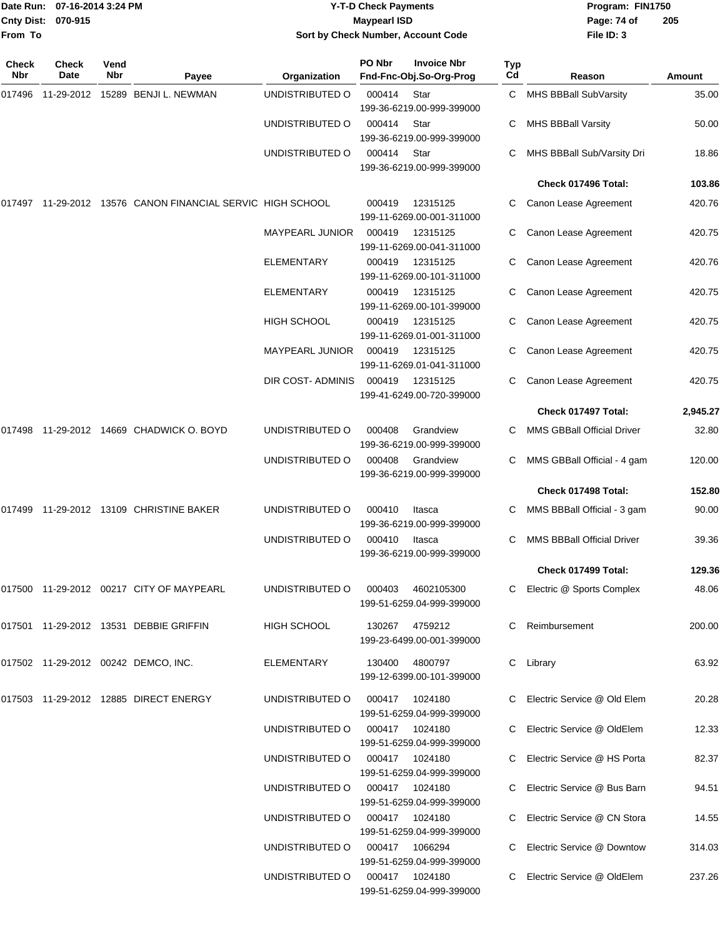| Date Run:         | 07-16-2014 3:24 PM   |                    |                                                            |                        | <b>Y-T-D Check Payments</b> | Program: FIN1750                              |           |                                   |               |
|-------------------|----------------------|--------------------|------------------------------------------------------------|------------------------|-----------------------------|-----------------------------------------------|-----------|-----------------------------------|---------------|
| <b>Cnty Dist:</b> | 070-915              |                    |                                                            |                        | <b>Maypearl ISD</b>         |                                               |           | Page: 74 of                       | 205           |
| From To           |                      |                    |                                                            |                        |                             | Sort by Check Number, Account Code            |           | File ID: 3                        |               |
| Check<br>Nbr      | <b>Check</b><br>Date | Vend<br><b>Nbr</b> | Payee                                                      | Organization           | PO Nbr                      | <b>Invoice Nbr</b><br>Fnd-Fnc-Obj.So-Org-Prog | Typ<br>Cd | Reason                            | <b>Amount</b> |
| 017496            |                      |                    | 11-29-2012 15289 BENJI L. NEWMAN                           | UNDISTRIBUTED O        | 000414                      | Star<br>199-36-6219.00-999-399000             | C         | MHS BBBall SubVarsity             | 35.00         |
|                   |                      |                    |                                                            | UNDISTRIBUTED O        | 000414                      | Star<br>199-36-6219.00-999-399000             | С         | <b>MHS BBBall Varsity</b>         | 50.00         |
|                   |                      |                    |                                                            | UNDISTRIBUTED O        | 000414                      | Star<br>199-36-6219.00-999-399000             |           | MHS BBBall Sub/Varsity Dri        | 18.86         |
|                   |                      |                    |                                                            |                        |                             |                                               |           | Check 017496 Total:               | 103.86        |
|                   |                      |                    | 017497 11-29-2012 13576 CANON FINANCIAL SERVIC HIGH SCHOOL |                        | 000419                      | 12315125<br>199-11-6269.00-001-311000         |           | Canon Lease Agreement             | 420.76        |
|                   |                      |                    |                                                            | <b>MAYPEARL JUNIOR</b> | 000419                      | 12315125<br>199-11-6269.00-041-311000         | С         | Canon Lease Agreement             | 420.75        |
|                   |                      |                    |                                                            | <b>ELEMENTARY</b>      | 000419                      | 12315125<br>199-11-6269.00-101-311000         | С         | Canon Lease Agreement             | 420.76        |
|                   |                      |                    |                                                            | ELEMENTARY             | 000419                      | 12315125<br>199-11-6269.00-101-399000         |           | Canon Lease Agreement             | 420.75        |
|                   |                      |                    |                                                            | <b>HIGH SCHOOL</b>     | 000419                      | 12315125<br>199-11-6269.01-001-311000         | С         | Canon Lease Agreement             | 420.75        |
|                   |                      |                    |                                                            | MAYPEARL JUNIOR        | 000419                      | 12315125<br>199-11-6269.01-041-311000         | С         | Canon Lease Agreement             | 420.75        |
|                   |                      |                    |                                                            | DIR COST- ADMINIS      | 000419                      | 12315125<br>199-41-6249.00-720-399000         |           | Canon Lease Agreement             | 420.75        |
|                   |                      |                    |                                                            |                        |                             |                                               |           | Check 017497 Total:               | 2,945.27      |
|                   |                      |                    | 017498 11-29-2012 14669  CHADWICK O. BOYD                  | UNDISTRIBUTED O        | 000408                      | Grandview<br>199-36-6219.00-999-399000        |           | <b>MMS GBBall Official Driver</b> | 32.80         |
|                   |                      |                    |                                                            | UNDISTRIBUTED O        | 000408                      | Grandview<br>199-36-6219.00-999-399000        | С         | MMS GBBall Official - 4 gam       | 120.00        |
|                   |                      |                    |                                                            |                        |                             |                                               |           | Check 017498 Total:               | 152.80        |
|                   |                      |                    |                                                            | UNDISTRIBUTED O        | 000410                      | Itasca<br>199-36-6219.00-999-399000           | С         | MMS BBBall Official - 3 gam       | 90.00         |
|                   |                      |                    |                                                            | UNDISTRIBUTED O        | 000410                      | Itasca<br>199-36-6219.00-999-399000           |           | C MMS BBBall Official Driver      | 39.36         |
|                   |                      |                    |                                                            |                        |                             |                                               |           | Check 017499 Total:               | 129.36        |
|                   |                      |                    |                                                            | UNDISTRIBUTED O        | 000403                      | 4602105300<br>199-51-6259.04-999-399000       |           | C Electric @ Sports Complex       | 48.06         |
|                   |                      |                    | 017501  11-29-2012  13531  DEBBIE GRIFFIN                  | HIGH SCHOOL            |                             | 130267 4759212<br>199-23-6499.00-001-399000   |           | C Reimbursement                   | 200.00        |
|                   |                      |                    | 017502  11-29-2012  00242  DEMCO, INC.                     | ELEMENTARY             | 130400                      | 4800797<br>199-12-6399.00-101-399000          |           | C Library                         | 63.92         |
|                   |                      |                    |                                                            | UNDISTRIBUTED O        | 000417                      | 1024180<br>199-51-6259.04-999-399000          |           | C Electric Service @ Old Elem     | 20.28         |
|                   |                      |                    |                                                            | UNDISTRIBUTED O        |                             | 000417 1024180<br>199-51-6259.04-999-399000   |           | C Electric Service @ OldElem      | 12.33         |
|                   |                      |                    |                                                            | UNDISTRIBUTED O        |                             | 000417 1024180<br>199-51-6259.04-999-399000   |           | C Electric Service @ HS Porta     | 82.37         |
|                   |                      |                    |                                                            | UNDISTRIBUTED O        |                             | 000417 1024180<br>199-51-6259.04-999-399000   |           | C Electric Service @ Bus Barn     | 94.51         |
|                   |                      |                    |                                                            | UNDISTRIBUTED O        |                             | 000417 1024180<br>199-51-6259.04-999-399000   |           | C Electric Service @ CN Stora     | 14.55         |
|                   |                      |                    |                                                            | UNDISTRIBUTED O        |                             | 000417 1066294<br>199-51-6259.04-999-399000   |           | C Electric Service @ Downtow      | 314.03        |

UNDISTRIBUTED O 000417 1024180 C Electric Service @ OldElem 237.26

199-51-6259.04-999-399000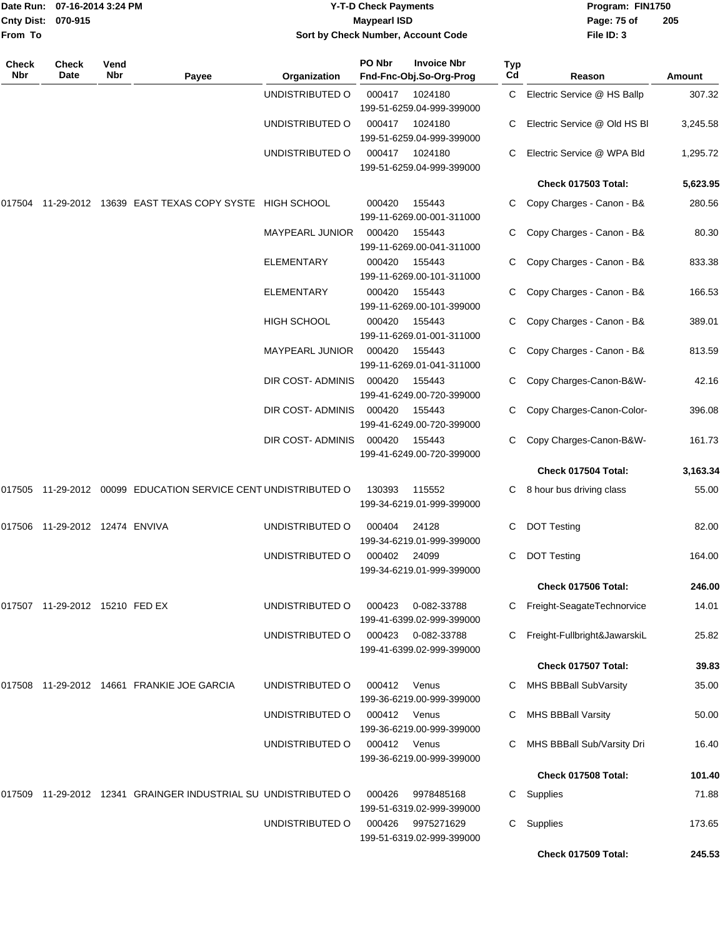| From To             | Date Run: 07-16-2014 3:24 PM<br>Cnty Dist: 070-915 |             |                                                                |                        | <b>Y-T-D Check Payments</b><br><b>Maypearl ISD</b> | Sort by Check Number, Account Code            |           | Program: FIN1750<br>Page: 75 of<br>205<br>File ID: 3 |          |  |
|---------------------|----------------------------------------------------|-------------|----------------------------------------------------------------|------------------------|----------------------------------------------------|-----------------------------------------------|-----------|------------------------------------------------------|----------|--|
| <b>Check</b><br>Nbr | Check<br>Date                                      | Vend<br>Nbr | Payee                                                          | Organization           | PO Nbr                                             | <b>Invoice Nbr</b><br>Fnd-Fnc-Obj.So-Org-Prog | Typ<br>Cd | Reason                                               | Amount   |  |
|                     |                                                    |             |                                                                | UNDISTRIBUTED O        | 000417                                             | 1024180<br>199-51-6259.04-999-399000          | C         | Electric Service @ HS Ballp                          | 307.32   |  |
|                     |                                                    |             |                                                                | UNDISTRIBUTED O        | 000417                                             | 1024180<br>199-51-6259.04-999-399000          | C         | Electric Service @ Old HS BI                         | 3,245.58 |  |
|                     |                                                    |             |                                                                | UNDISTRIBUTED O        | 000417                                             | 1024180<br>199-51-6259.04-999-399000          |           | Electric Service @ WPA Bld                           | 1,295.72 |  |
|                     |                                                    |             |                                                                |                        |                                                    |                                               |           | Check 017503 Total:                                  | 5,623.95 |  |
|                     |                                                    |             | 017504 11-29-2012 13639 EAST TEXAS COPY SYSTE HIGH SCHOOL      |                        | 000420                                             | 155443<br>199-11-6269.00-001-311000           | C         | Copy Charges - Canon - B&                            | 280.56   |  |
|                     |                                                    |             |                                                                | <b>MAYPEARL JUNIOR</b> | 000420                                             | 155443<br>199-11-6269.00-041-311000           | C         | Copy Charges - Canon - B&                            | 80.30    |  |
|                     |                                                    |             |                                                                | <b>ELEMENTARY</b>      | 000420                                             | 155443<br>199-11-6269.00-101-311000           | C         | Copy Charges - Canon - B&                            | 833.38   |  |
|                     |                                                    |             |                                                                | <b>ELEMENTARY</b>      | 000420                                             | 155443<br>199-11-6269.00-101-399000           |           | Copy Charges - Canon - B&                            | 166.53   |  |
|                     |                                                    |             |                                                                | HIGH SCHOOL            | 000420                                             | 155443<br>199-11-6269.01-001-311000           | C         | Copy Charges - Canon - B&                            | 389.01   |  |
|                     |                                                    |             |                                                                | <b>MAYPEARL JUNIOR</b> | 000420                                             | 155443<br>199-11-6269.01-041-311000           | C.        | Copy Charges - Canon - B&                            | 813.59   |  |
|                     |                                                    |             |                                                                | DIR COST- ADMINIS      | 000420                                             | 155443<br>199-41-6249.00-720-399000           |           | Copy Charges-Canon-B&W-                              | 42.16    |  |
|                     |                                                    |             |                                                                | DIR COST-ADMINIS       | 000420                                             | 155443<br>199-41-6249.00-720-399000           | C         | Copy Charges-Canon-Color-                            | 396.08   |  |
|                     |                                                    |             |                                                                | DIR COST- ADMINIS      | 000420                                             | 155443<br>199-41-6249.00-720-399000           | C         | Copy Charges-Canon-B&W-                              | 161.73   |  |
|                     |                                                    |             |                                                                |                        |                                                    |                                               |           | Check 017504 Total:                                  | 3,163.34 |  |
|                     |                                                    |             | 017505 11-29-2012 00099 EDUCATION SERVICE CENT UNDISTRIBUTED O |                        | 130393                                             | 115552<br>199-34-6219.01-999-399000           | C.        | 8 hour bus driving class                             | 55.00    |  |
|                     | 017506  11-29-2012  12474  ENVIVA                  |             |                                                                | UNDISTRIBUTED O        | 000404                                             | 24128<br>199-34-6219.01-999-399000            | C         | <b>DOT Testing</b>                                   | 82.00    |  |
|                     |                                                    |             |                                                                | UNDISTRIBUTED O        | 000402                                             | 24099<br>199-34-6219.01-999-399000            |           | C DOT Testing                                        | 164.00   |  |
|                     |                                                    |             |                                                                |                        |                                                    |                                               |           | Check 017506 Total:                                  | 246.00   |  |
|                     | 017507 11-29-2012 15210 FED EX                     |             |                                                                | UNDISTRIBUTED O        | 000423                                             | 0-082-33788<br>199-41-6399.02-999-399000      |           | C Freight-SeagateTechnorvice                         | 14.01    |  |
|                     |                                                    |             |                                                                | UNDISTRIBUTED O        | 000423                                             | 0-082-33788<br>199-41-6399.02-999-399000      |           | C Freight-Fullbright&JawarskiL                       | 25.82    |  |
|                     |                                                    |             |                                                                |                        |                                                    |                                               |           | Check 017507 Total:                                  | 39.83    |  |
|                     |                                                    |             | 017508 11-29-2012 14661 FRANKIE JOE GARCIA                     | UNDISTRIBUTED O        | 000412                                             | Venus<br>199-36-6219.00-999-399000            |           | C MHS BBBall SubVarsity                              | 35.00    |  |
|                     |                                                    |             |                                                                | UNDISTRIBUTED O        | 000412                                             | Venus<br>199-36-6219.00-999-399000            |           | <b>MHS BBBall Varsity</b>                            | 50.00    |  |
|                     |                                                    |             |                                                                | UNDISTRIBUTED O        | 000412                                             | Venus<br>199-36-6219.00-999-399000            | C         | MHS BBBall Sub/Varsity Dri                           | 16.40    |  |
|                     |                                                    |             |                                                                |                        |                                                    |                                               |           | Check 017508 Total:                                  | 101.40   |  |
|                     |                                                    |             | 017509 11-29-2012 12341 GRAINGER INDUSTRIAL SU UNDISTRIBUTED O |                        | 000426                                             | 9978485168<br>199-51-6319.02-999-399000       |           | C Supplies                                           | 71.88    |  |
|                     |                                                    |             |                                                                | UNDISTRIBUTED O        | 000426                                             | 9975271629<br>199-51-6319.02-999-399000       | C.        | Supplies                                             | 173.65   |  |
|                     |                                                    |             |                                                                |                        |                                                    |                                               |           | Check 017509 Total:                                  | 245.53   |  |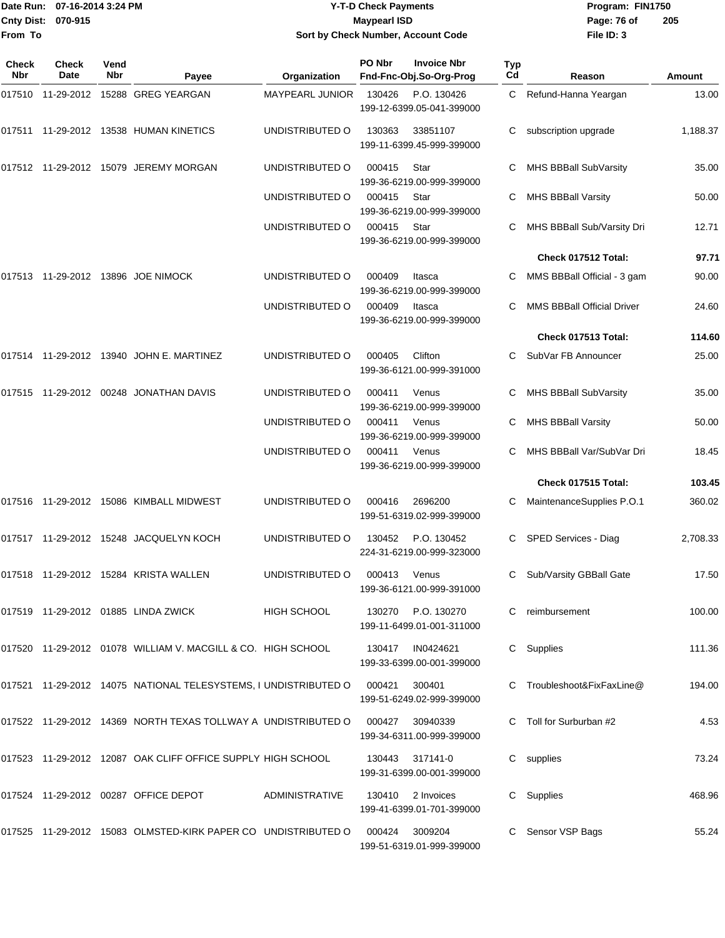|                     | Date Run: 07-16-2014 3:24 PM |                    |                                                              |                        | <b>Y-T-D Check Payments</b> | Program: FIN1750                                |                  |                                   |               |
|---------------------|------------------------------|--------------------|--------------------------------------------------------------|------------------------|-----------------------------|-------------------------------------------------|------------------|-----------------------------------|---------------|
| From To             | Cnty Dist: 070-915           |                    |                                                              |                        | <b>Maypearl ISD</b>         | Sort by Check Number, Account Code              |                  | Page: 76 of<br>File ID: 3         | 205           |
| Check<br><b>Nbr</b> | Check<br>Date                | Vend<br><b>Nbr</b> | Payee                                                        | Organization           | PO Nbr                      | <b>Invoice Nbr</b><br>Fnd-Fnc-Obj.So-Org-Prog   | <b>Typ</b><br>Cd | Reason                            | <b>Amount</b> |
| 017510              |                              |                    | 11-29-2012 15288 GREG YEARGAN                                | <b>MAYPEARL JUNIOR</b> | 130426                      | P.O. 130426<br>199-12-6399.05-041-399000        | C.               | Refund-Hanna Yeargan              | 13.00         |
| 017511              |                              |                    | 11-29-2012  13538  HUMAN KINETICS                            | UNDISTRIBUTED O        | 130363                      | 33851107<br>199-11-6399.45-999-399000           | С                | subscription upgrade              | 1,188.37      |
|                     |                              |                    | 017512 11-29-2012 15079 JEREMY MORGAN                        | UNDISTRIBUTED O        | 000415                      | Star<br>199-36-6219.00-999-399000               | С                | MHS BBBall SubVarsity             | 35.00         |
|                     |                              |                    |                                                              | UNDISTRIBUTED O        | 000415                      | Star<br>199-36-6219.00-999-399000               | С                | <b>MHS BBBall Varsity</b>         | 50.00         |
|                     |                              |                    |                                                              | UNDISTRIBUTED O        | 000415                      | Star<br>199-36-6219.00-999-399000               | С                | MHS BBBall Sub/Varsity Dri        | 12.71         |
|                     |                              |                    |                                                              |                        |                             |                                                 |                  | Check 017512 Total:               | 97.71         |
|                     |                              |                    | 017513  11-29-2012  13896  JOE NIMOCK                        | UNDISTRIBUTED O        | 000409                      | Itasca<br>199-36-6219.00-999-399000             | С                | MMS BBBall Official - 3 gam       | 90.00         |
|                     |                              |                    |                                                              | UNDISTRIBUTED O        | 000409                      | Itasca<br>199-36-6219.00-999-399000             | С                | <b>MMS BBBall Official Driver</b> | 24.60         |
|                     |                              |                    |                                                              |                        |                             |                                                 |                  | Check 017513 Total:               | 114.60        |
| 017514              |                              |                    | 11-29-2012  13940  JOHN E. MARTINEZ                          | UNDISTRIBUTED O        | 000405                      | Clifton<br>199-36-6121.00-999-391000            | С                | SubVar FB Announcer               | 25.00         |
| 017515              |                              |                    | 11-29-2012 00248 JONATHAN DAVIS                              | UNDISTRIBUTED O        | 000411                      | Venus<br>199-36-6219.00-999-399000              | С                | MHS BBBall SubVarsity             | 35.00         |
|                     |                              |                    |                                                              | UNDISTRIBUTED O        | 000411                      | Venus<br>199-36-6219.00-999-399000              | С                | <b>MHS BBBall Varsity</b>         | 50.00         |
|                     |                              |                    |                                                              | UNDISTRIBUTED O        | 000411                      | Venus<br>199-36-6219.00-999-399000              | С                | MHS BBBall Var/SubVar Dri         | 18.45         |
|                     |                              |                    |                                                              |                        |                             |                                                 |                  | Check 017515 Total:               | 103.45        |
|                     |                              |                    | 017516  11-29-2012  15086  KIMBALL MIDWEST                   | UNDISTRIBUTED O        | 000416                      | 2696200<br>199-51-6319.02-999-399000            | С                | MaintenanceSupplies P.O.1         | 360.02        |
|                     |                              |                    | 017517    11-29-2012    15248    JACQUELYN KOCH              | UNDISTRIBUTED O        |                             | 130452 P.O. 130452<br>224-31-6219.00-999-323000 |                  | C SPED Services - Diag            | 2,708.33      |
|                     |                              |                    | 017518 11-29-2012 15284 KRISTA WALLEN                        | UNDISTRIBUTED O        | 000413                      | Venus<br>199-36-6121.00-999-391000              | С                | Sub/Varsity GBBall Gate           | 17.50         |
|                     |                              |                    | 017519 11-29-2012 01885 LINDA ZWICK                          | HIGH SCHOOL            |                             | 130270 P.O. 130270<br>199-11-6499.01-001-311000 | C.               | reimbursement                     | 100.00        |
|                     |                              |                    | 017520 11-29-2012 01078 WILLIAM V. MACGILL & CO. HIGH SCHOOL |                        |                             | 130417 IN0424621                                |                  | C Supplies                        | 111.36        |

199-33-6399.00-001-399000 017521 11-29-2012 14075 NATIONAL TELESYSTEMS, I UNDISTRIBUTED O 000421 300401 C Troubleshoot&FixFaxLine@ 194.00 199-51-6249.02-999-399000 017522 11-29-2012 14369 NORTH TEXAS TOLLWAY A UNDISTRIBUTED O 000427 30940339 C Toll for Surburban #2 4.53 199-34-6311.00-999-399000 017523 11-29-2012 12087 OAK CLIFF OFFICE SUPPLY HIGH SCHOOL 130443 317141-0 C supplies 6 C supplies 73.24 199-31-6399.00-001-399000 017524 11-29-2012 00287 OFFICE DEPOT ADMINISTRATIVE 130410 2 Invoices C Supplies C Supplies 468.96

199-41-6399.01-701-399000 017525 11-29-2012 15083 OLMSTED-KIRK PAPER CO UNDISTRIBUTED O 000424 3009204 C Sensor VSP Bags 55.24 199-51-6319.01-999-399000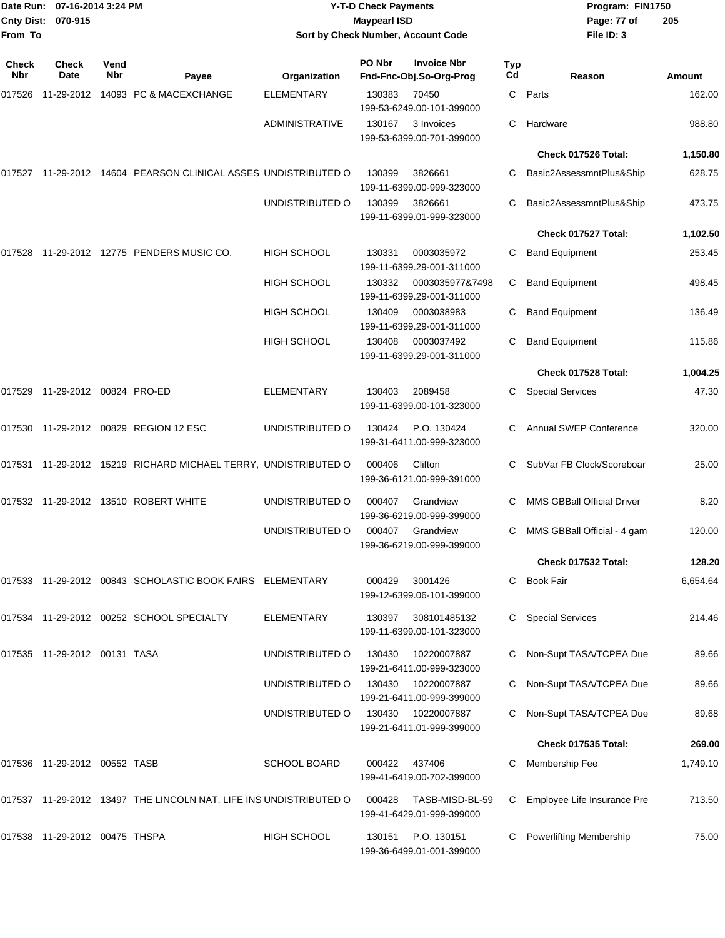| <b>Cnty Dist:</b><br>From To | 070-915                          | Date Run: 07-16-2014 3:24 PM |                                                                      | <b>Y-T-D Check Payments</b><br><b>Maypearl ISD</b><br>Sort by Check Number, Account Code |        |                                               |           | Program: FIN1750<br>Page: 77 of<br>File ID: 3 | 205      |
|------------------------------|----------------------------------|------------------------------|----------------------------------------------------------------------|------------------------------------------------------------------------------------------|--------|-----------------------------------------------|-----------|-----------------------------------------------|----------|
| Check<br>Nbr                 | <b>Check</b><br>Date             | Vend<br>Nbr                  | Payee                                                                | Organization                                                                             | PO Nbr | <b>Invoice Nbr</b><br>Fnd-Fnc-Obj.So-Org-Prog | Typ<br>Cd | Reason                                        | Amount   |
| 017526                       |                                  |                              | 11-29-2012 14093 PC & MACEXCHANGE                                    | <b>ELEMENTARY</b>                                                                        | 130383 | 70450<br>199-53-6249.00-101-399000            |           | C Parts                                       | 162.00   |
|                              |                                  |                              |                                                                      | <b>ADMINISTRATIVE</b>                                                                    | 130167 | 3 Invoices<br>199-53-6399.00-701-399000       | С         | Hardware                                      | 988.80   |
|                              |                                  |                              |                                                                      |                                                                                          |        |                                               |           | Check 017526 Total:                           | 1,150.80 |
|                              |                                  |                              | 017527  11-29-2012  14604  PEARSON CLINICAL ASSES UNDISTRIBUTED O    |                                                                                          | 130399 | 3826661<br>199-11-6399.00-999-323000          | С         | Basic2AssessmntPlus&Ship                      | 628.75   |
|                              |                                  |                              |                                                                      | UNDISTRIBUTED O                                                                          | 130399 | 3826661<br>199-11-6399.01-999-323000          | С         | Basic2AssessmntPlus&Ship                      | 473.75   |
|                              |                                  |                              |                                                                      |                                                                                          |        |                                               |           | Check 017527 Total:                           | 1,102.50 |
|                              |                                  |                              | 017528 11-29-2012 12775  PENDERS MUSIC CO.                           | <b>HIGH SCHOOL</b>                                                                       | 130331 | 0003035972<br>199-11-6399.29-001-311000       | С         | <b>Band Equipment</b>                         | 253.45   |
|                              |                                  |                              |                                                                      | HIGH SCHOOL                                                                              | 130332 | 0003035977&7498<br>199-11-6399.29-001-311000  | С         | <b>Band Equipment</b>                         | 498.45   |
|                              |                                  |                              |                                                                      | <b>HIGH SCHOOL</b>                                                                       | 130409 | 0003038983<br>199-11-6399.29-001-311000       | С         | <b>Band Equipment</b>                         | 136.49   |
|                              |                                  |                              |                                                                      | <b>HIGH SCHOOL</b>                                                                       | 130408 | 0003037492<br>199-11-6399.29-001-311000       | С         | <b>Band Equipment</b>                         | 115.86   |
|                              |                                  |                              |                                                                      |                                                                                          |        |                                               |           | Check 017528 Total:                           | 1,004.25 |
| 017529                       | 11-29-2012 00824 PRO-ED          |                              |                                                                      | ELEMENTARY                                                                               | 130403 | 2089458<br>199-11-6399.00-101-323000          |           | <b>Special Services</b>                       | 47.30    |
|                              |                                  |                              | 017530  11-29-2012  00829  REGION 12  ESC                            | UNDISTRIBUTED O                                                                          | 130424 | P.O. 130424<br>199-31-6411.00-999-323000      | С         | Annual SWEP Conference                        | 320.00   |
|                              |                                  |                              | 017531 11-29-2012 15219 RICHARD MICHAEL TERRY, UNDISTRIBUTED O       |                                                                                          | 000406 | Clifton<br>199-36-6121.00-999-391000          |           | SubVar FB Clock/Scoreboar                     | 25.00    |
|                              |                                  |                              |                                                                      | UNDISTRIBUTED O                                                                          | 000407 | Grandview<br>199-36-6219.00-999-399000        | С         | MMS GBBall Official Driver                    | 8.20     |
|                              |                                  |                              |                                                                      | UNDISTRIBUTED O                                                                          |        | 000407 Grandview<br>199-36-6219.00-999-399000 |           | C MMS GBBall Official - 4 gam                 | 120.00   |
|                              |                                  |                              |                                                                      |                                                                                          |        |                                               |           | Check 017532 Total:                           | 128.20   |
|                              |                                  |                              | 017533 11-29-2012 00843 SCHOLASTIC BOOK FAIRS ELEMENTARY             |                                                                                          | 000429 | 3001426<br>199-12-6399.06-101-399000          | C.        | <b>Book Fair</b>                              | 6,654.64 |
|                              |                                  |                              | 017534  11-29-2012  00252  SCHOOL SPECIALTY                          | <b>ELEMENTARY</b>                                                                        | 130397 | 308101485132<br>199-11-6399.00-101-323000     | С         | <b>Special Services</b>                       | 214.46   |
|                              | 017535 11-29-2012 00131 TASA     |                              |                                                                      | UNDISTRIBUTED O                                                                          | 130430 | 10220007887<br>199-21-6411.00-999-323000      |           | Non-Supt TASA/TCPEA Due                       | 89.66    |
|                              |                                  |                              |                                                                      | UNDISTRIBUTED O                                                                          | 130430 | 10220007887<br>199-21-6411.00-999-399000      |           | Non-Supt TASA/TCPEA Due                       | 89.66    |
|                              |                                  |                              |                                                                      | UNDISTRIBUTED O                                                                          | 130430 | 10220007887<br>199-21-6411.01-999-399000      |           | Non-Supt TASA/TCPEA Due                       | 89.68    |
|                              |                                  |                              |                                                                      |                                                                                          |        |                                               |           | Check 017535 Total:                           | 269.00   |
|                              | 017536  11-29-2012  00552  TASB  |                              |                                                                      | <b>SCHOOL BOARD</b>                                                                      | 000422 | 437406<br>199-41-6419.00-702-399000           | С         | Membership Fee                                | 1,749.10 |
|                              |                                  |                              | 017537  11-29-2012  13497  THE LINCOLN NAT. LIFE INS UNDISTRIBUTED O |                                                                                          | 000428 | TASB-MISD-BL-59<br>199-41-6429.01-999-399000  | С         | Employee Life Insurance Pre                   | 713.50   |
|                              | 017538  11-29-2012  00475  THSPA |                              |                                                                      | HIGH SCHOOL                                                                              | 130151 | P.O. 130151<br>199-36-6499.01-001-399000      | С         | <b>Powerlifting Membership</b>                | 75.00    |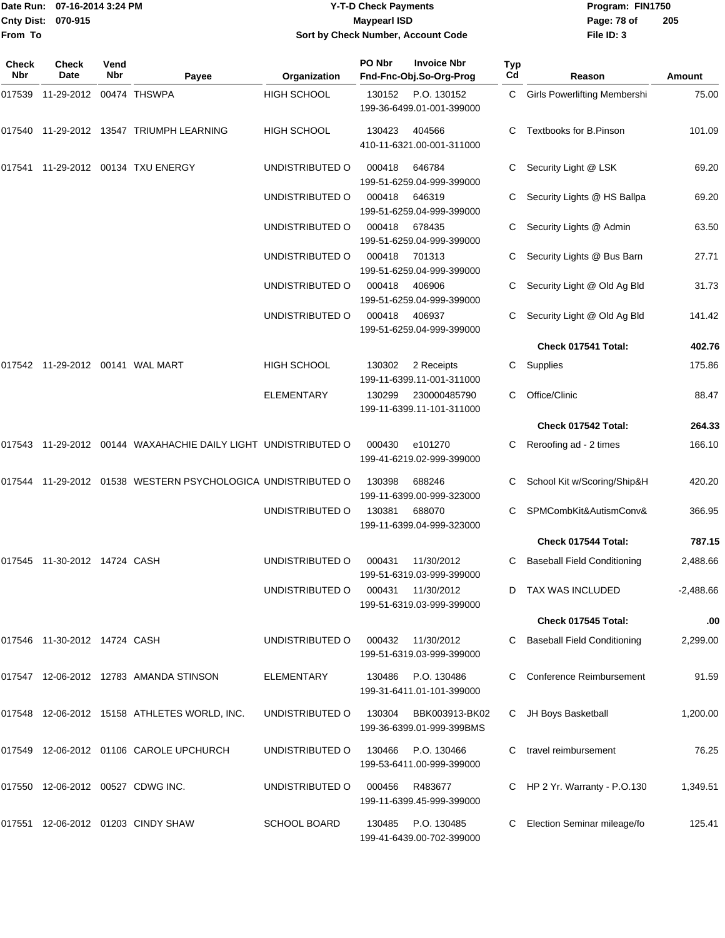#### Date Run: 07-16-2014 3:24 PM **Program:** FIN1750 **Cnty Dist:** 070-915 **Page: 78 of MaypearI ISD Page: 78 of Y-T-D Check Payments 070-915 Maypearl ISD Sort by Check Number, Account Code**

| Check<br><b>Nbr</b> | Check<br><b>Date</b>         | Vend<br><b>Nbr</b> | Payee                                                          | Organization        | PO Nbr | <b>Invoice Nbr</b><br>Fnd-Fnc-Obj.So-Org-Prog | Typ<br>Cd | Reason                              | <b>Amount</b> |
|---------------------|------------------------------|--------------------|----------------------------------------------------------------|---------------------|--------|-----------------------------------------------|-----------|-------------------------------------|---------------|
| 017539              | 11-29-2012 00474 THSWPA      |                    |                                                                | <b>HIGH SCHOOL</b>  | 130152 | P.O. 130152<br>199-36-6499.01-001-399000      | C.        | <b>Girls Powerlifting Membershi</b> | 75.00         |
| 017540              |                              |                    | 11-29-2012    13547    TRIUMPH LEARNING                        | <b>HIGH SCHOOL</b>  | 130423 | 404566<br>410-11-6321.00-001-311000           |           | Textbooks for B.Pinson              | 101.09        |
| 017541              |                              |                    | 11-29-2012 00134 TXU ENERGY                                    | UNDISTRIBUTED O     | 000418 | 646784<br>199-51-6259.04-999-399000           |           | Security Light @ LSK                | 69.20         |
|                     |                              |                    |                                                                | UNDISTRIBUTED O     | 000418 | 646319<br>199-51-6259.04-999-399000           | C.        | Security Lights @ HS Ballpa         | 69.20         |
|                     |                              |                    |                                                                | UNDISTRIBUTED O     | 000418 | 678435<br>199-51-6259.04-999-399000           | С         | Security Lights @ Admin             | 63.50         |
|                     |                              |                    |                                                                | UNDISTRIBUTED O     | 000418 | 701313<br>199-51-6259.04-999-399000           |           | Security Lights @ Bus Barn          | 27.71         |
|                     |                              |                    |                                                                | UNDISTRIBUTED O     | 000418 | 406906<br>199-51-6259.04-999-399000           | С         | Security Light @ Old Ag Bld         | 31.73         |
|                     |                              |                    |                                                                | UNDISTRIBUTED O     | 000418 | 406937<br>199-51-6259.04-999-399000           |           | Security Light @ Old Ag Bld         | 141.42        |
|                     |                              |                    |                                                                |                     |        |                                               |           | Check 017541 Total:                 | 402.76        |
| 017542              |                              |                    |                                                                | <b>HIGH SCHOOL</b>  | 130302 | 2 Receipts<br>199-11-6399.11-001-311000       | С         | Supplies                            | 175.86        |
|                     |                              |                    |                                                                | <b>ELEMENTARY</b>   | 130299 | 230000485790<br>199-11-6399.11-101-311000     | С         | Office/Clinic                       | 88.47         |
|                     |                              |                    |                                                                |                     |        |                                               |           | Check 017542 Total:                 | 264.33        |
|                     |                              |                    | 017543 11-29-2012 00144 WAXAHACHIE DAILY LIGHT UNDISTRIBUTED O |                     | 000430 | e101270<br>199-41-6219.02-999-399000          |           | Reroofing ad - 2 times              | 166.10        |
| 017544              |                              |                    | 11-29-2012 01538 WESTERN PSYCHOLOGICA UNDISTRIBUTED O          |                     | 130398 | 688246<br>199-11-6399.00-999-323000           | С         | School Kit w/Scoring/Ship&H         | 420.20        |
|                     |                              |                    |                                                                | UNDISTRIBUTED O     | 130381 | 688070<br>199-11-6399.04-999-323000           | С         | SPMCombKit&AutismConv&              | 366.95        |
|                     |                              |                    |                                                                |                     |        |                                               |           | Check 017544 Total:                 | 787.15        |
|                     | 017545 11-30-2012 14724 CASH |                    |                                                                | UNDISTRIBUTED O     | 000431 | 11/30/2012<br>199-51-6319.03-999-399000       | C         | <b>Baseball Field Conditioning</b>  | 2,488.66      |
|                     |                              |                    |                                                                | UNDISTRIBUTED O     | 000431 | 11/30/2012<br>199-51-6319.03-999-399000       |           | TAX WAS INCLUDED                    | $-2,488.66$   |
|                     |                              |                    |                                                                |                     |        |                                               |           | Check 017545 Total:                 | .00           |
|                     | 017546 11-30-2012 14724 CASH |                    |                                                                | UNDISTRIBUTED O     | 000432 | 11/30/2012<br>199-51-6319.03-999-399000       |           | <b>Baseball Field Conditioning</b>  | 2,299.00      |
|                     |                              |                    | 017547 12-06-2012 12783 AMANDA STINSON                         | <b>ELEMENTARY</b>   | 130486 | P.O. 130486<br>199-31-6411.01-101-399000      |           | Conference Reimbursement            | 91.59         |
|                     |                              |                    | 017548 12-06-2012 15158 ATHLETES WORLD, INC.                   | UNDISTRIBUTED O     | 130304 | BBK003913-BK02<br>199-36-6399.01-999-399BMS   | С         | JH Boys Basketball                  | 1,200.00      |
|                     |                              |                    | 017549 12-06-2012 01106 CAROLE UPCHURCH                        | UNDISTRIBUTED O     | 130466 | P.O. 130466<br>199-53-6411.00-999-399000      |           | travel reimbursement                | 76.25         |
| 017550              |                              |                    | 12-06-2012 00527 CDWG INC.                                     | UNDISTRIBUTED O     | 000456 | R483677<br>199-11-6399.45-999-399000          |           | HP 2 Yr. Warranty - P.O.130         | 1,349.51      |
|                     |                              |                    | 017551 12-06-2012 01203 CINDY SHAW                             | <b>SCHOOL BOARD</b> | 130485 | P.O. 130485<br>199-41-6439.00-702-399000      | C         | Election Seminar mileage/fo         | 125.41        |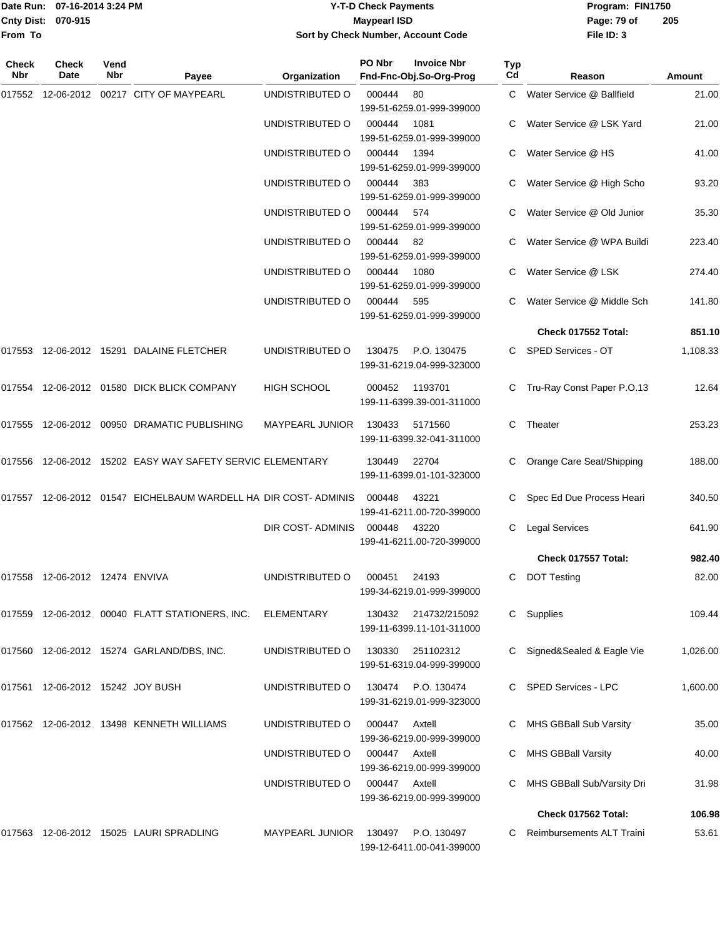#### Date Run: 07-16-2014 3:24 PM **Program:** FIN1750 **Cnty Dist:** 070-915 **Page: 79 of MaypearI ISD Page: 79 of Y-T-D Check Payments 070-915 Maypearl ISD Sort by Check Number, Account Code**

| <b>Check</b><br><b>Nbr</b> | <b>Check</b><br>Date           | Vend<br>Nbr | Payee                                                             | Organization           | PO Nbr | <b>Invoice Nbr</b><br>Fnd-Fnc-Obj.So-Org-Prog     | <b>Typ</b><br>Cd | Reason                       | Amount   |
|----------------------------|--------------------------------|-------------|-------------------------------------------------------------------|------------------------|--------|---------------------------------------------------|------------------|------------------------------|----------|
| 017552                     |                                |             | 12-06-2012 00217 CITY OF MAYPEARL                                 | UNDISTRIBUTED O        | 000444 | 80<br>199-51-6259.01-999-399000                   | C.               | Water Service @ Ballfield    | 21.00    |
|                            |                                |             |                                                                   | UNDISTRIBUTED O        | 000444 | 1081<br>199-51-6259.01-999-399000                 |                  | Water Service @ LSK Yard     | 21.00    |
|                            |                                |             |                                                                   | UNDISTRIBUTED O        | 000444 | 1394<br>199-51-6259.01-999-399000                 |                  | Water Service @ HS           | 41.00    |
|                            |                                |             |                                                                   | UNDISTRIBUTED O        | 000444 | 383<br>199-51-6259.01-999-399000                  | C.               | Water Service @ High Scho    | 93.20    |
|                            |                                |             |                                                                   | UNDISTRIBUTED O        | 000444 | 574<br>199-51-6259.01-999-399000                  |                  | Water Service @ Old Junior   | 35.30    |
|                            |                                |             |                                                                   | UNDISTRIBUTED O        | 000444 | 82<br>199-51-6259.01-999-399000                   |                  | Water Service @ WPA Buildi   | 223.40   |
|                            |                                |             |                                                                   | UNDISTRIBUTED O        | 000444 | 1080<br>199-51-6259.01-999-399000                 | C                | Water Service @ LSK          | 274.40   |
|                            |                                |             |                                                                   | UNDISTRIBUTED O        | 000444 | 595<br>199-51-6259.01-999-399000                  | C                | Water Service @ Middle Sch   | 141.80   |
|                            |                                |             |                                                                   |                        |        |                                                   |                  | Check 017552 Total:          | 851.10   |
|                            |                                |             | 017553 12-06-2012 15291 DALAINE FLETCHER                          | UNDISTRIBUTED O        | 130475 | P.O. 130475<br>199-31-6219.04-999-323000          |                  | C SPED Services - OT         | 1,108.33 |
| 017554                     |                                |             | 12-06-2012 01580 DICK BLICK COMPANY                               | <b>HIGH SCHOOL</b>     | 000452 | 1193701<br>199-11-6399.39-001-311000              |                  | C Tru-Ray Const Paper P.O.13 | 12.64    |
| 017555                     |                                |             | 12-06-2012 00950 DRAMATIC PUBLISHING                              | <b>MAYPEARL JUNIOR</b> | 130433 | 5171560<br>199-11-6399.32-041-311000              | C                | Theater                      | 253.23   |
|                            |                                |             | 017556 12-06-2012 15202 EASY WAY SAFETY SERVIC ELEMENTARY         |                        | 130449 | 22704<br>199-11-6399.01-101-323000                |                  | Orange Care Seat/Shipping    | 188.00   |
|                            |                                |             | 017557  12-06-2012  01547  EICHELBAUM WARDELL HA DIR COST-ADMINIS |                        | 000448 | 43221<br>199-41-6211.00-720-399000                | C.               | Spec Ed Due Process Heari    | 340.50   |
|                            |                                |             |                                                                   | DIR COST-ADMINIS       | 000448 | 43220<br>199-41-6211.00-720-399000                | C.               | <b>Legal Services</b>        | 641.90   |
|                            |                                |             |                                                                   |                        |        |                                                   |                  | Check 017557 Total:          | 982.40   |
|                            | 017558 12-06-2012 12474 ENVIVA |             |                                                                   | UNDISTRIBUTED O        | 000451 | 24193<br>199-34-6219.01-999-399000                | C.               | <b>DOT Testing</b>           | 82.00    |
|                            |                                |             | 017559  12-06-2012  00040  FLATT STATIONERS, INC.                 | ELEMENTARY             |        | 130432 214732/215092<br>199-11-6399.11-101-311000 |                  | C Supplies                   | 109.44   |
| 017560                     |                                |             | 12-06-2012  15274  GARLAND/DBS, INC.                              | UNDISTRIBUTED O        | 130330 | 251102312<br>199-51-6319.04-999-399000            | C –              | Signed&Sealed & Eagle Vie    | 1,026.00 |
| 017561                     | 12-06-2012 15242 JOY BUSH      |             |                                                                   | UNDISTRIBUTED O        | 130474 | P.O. 130474<br>199-31-6219.01-999-323000          |                  | C SPED Services - LPC        | 1,600.00 |
|                            |                                |             | 017562 12-06-2012 13498 KENNETH WILLIAMS                          | UNDISTRIBUTED O        | 000447 | Axtell<br>199-36-6219.00-999-399000               |                  | MHS GBBall Sub Varsity       | 35.00    |
|                            |                                |             |                                                                   | UNDISTRIBUTED O        | 000447 | Axtell<br>199-36-6219.00-999-399000               |                  | <b>MHS GBBall Varsity</b>    | 40.00    |
|                            |                                |             |                                                                   | UNDISTRIBUTED O        | 000447 | Axtell<br>199-36-6219.00-999-399000               | C                | MHS GBBall Sub/Varsity Dri   | 31.98    |
|                            |                                |             |                                                                   |                        |        |                                                   |                  | Check 017562 Total:          | 106.98   |
|                            |                                |             | 017563 12-06-2012 15025 LAURI SPRADLING                           | <b>MAYPEARL JUNIOR</b> | 130497 | P.O. 130497<br>199-12-6411.00-041-399000          | C                | Reimbursements ALT Traini    | 53.61    |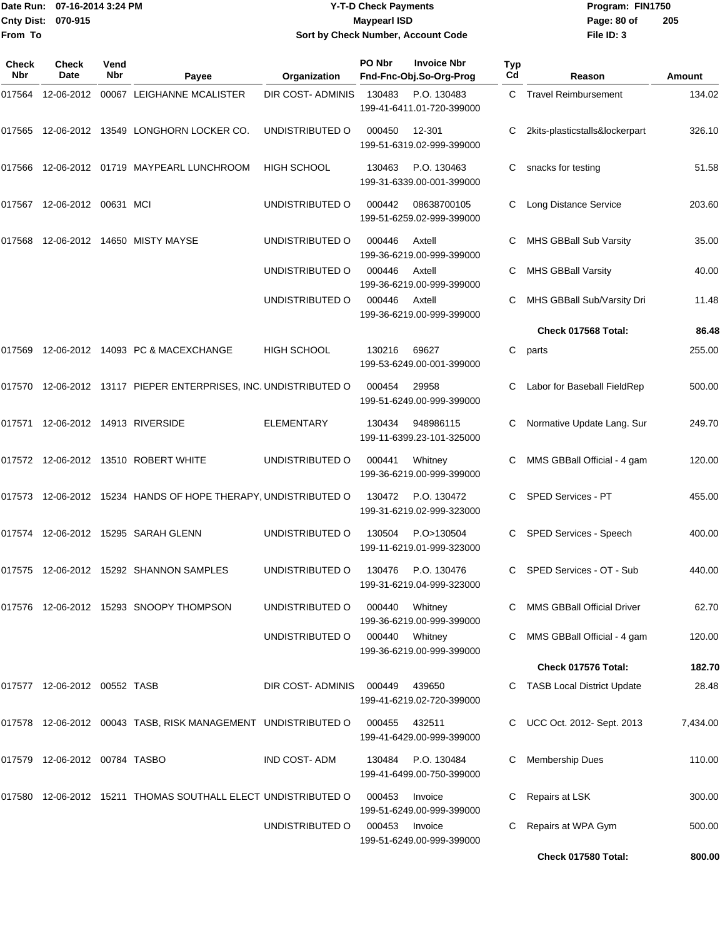Date Run: 07-16-2014 3:24 PM **Program:** FIN1750 **Cnty Dist:** 070-915 **Page: 80 of MaypearI ISD Page: 80 of From To**

## **07-16-2014 3:24 PM Y-T-D Check Payments 070-915 Maypearl ISD Sort by Check Number, Account Code**

| Check<br>Nbr | <b>Check</b><br>Date                 | Vend<br>Nbr | Payee                                                            | Organization       | PO Nbr | <b>Invoice Nbr</b><br>Fnd-Fnc-Obj.So-Org-Prog | Typ<br>Cd | Reason                            | Amount   |
|--------------|--------------------------------------|-------------|------------------------------------------------------------------|--------------------|--------|-----------------------------------------------|-----------|-----------------------------------|----------|
| 017564       |                                      |             | 12-06-2012 00067 LEIGHANNE MCALISTER                             | DIR COST-ADMINIS   | 130483 | P.O. 130483<br>199-41-6411.01-720-399000      |           | C Travel Reimbursement            | 134.02   |
|              |                                      |             | 017565 12-06-2012 13549 LONGHORN LOCKER CO.                      | UNDISTRIBUTED O    | 000450 | 12-301<br>199-51-6319.02-999-399000           | С         | 2kits-plasticstalls&lockerpart    | 326.10   |
|              |                                      |             | 017566 12-06-2012 01719 MAYPEARL LUNCHROOM                       | <b>HIGH SCHOOL</b> | 130463 | P.O. 130463<br>199-31-6339.00-001-399000      | С         | snacks for testing                | 51.58    |
|              | 017567  12-06-2012  00631  MCI       |             |                                                                  | UNDISTRIBUTED O    | 000442 | 08638700105<br>199-51-6259.02-999-399000      |           | Long Distance Service             | 203.60   |
| 017568       |                                      |             | 12-06-2012  14650  MISTY MAYSE                                   | UNDISTRIBUTED O    | 000446 | Axtell<br>199-36-6219.00-999-399000           | С         | MHS GBBall Sub Varsity            | 35.00    |
|              |                                      |             |                                                                  | UNDISTRIBUTED O    | 000446 | Axtell<br>199-36-6219.00-999-399000           | С         | <b>MHS GBBall Varsity</b>         | 40.00    |
|              |                                      |             |                                                                  | UNDISTRIBUTED O    | 000446 | Axtell<br>199-36-6219.00-999-399000           |           | MHS GBBall Sub/Varsity Dri        | 11.48    |
|              |                                      |             |                                                                  |                    |        |                                               |           | Check 017568 Total:               | 86.48    |
|              |                                      |             | 017569 12-06-2012 14093 PC & MACEXCHANGE                         | <b>HIGH SCHOOL</b> | 130216 | 69627<br>199-53-6249.00-001-399000            | С         | parts                             | 255.00   |
|              |                                      |             | 017570 12-06-2012 13117 PIEPER ENTERPRISES, INC. UNDISTRIBUTED O |                    | 000454 | 29958<br>199-51-6249.00-999-399000            |           | Labor for Baseball FieldRep       | 500.00   |
|              | 017571  12-06-2012  14913  RIVERSIDE |             |                                                                  | <b>ELEMENTARY</b>  | 130434 | 948986115<br>199-11-6399.23-101-325000        | С         | Normative Update Lang. Sur        | 249.70   |
|              |                                      |             | 017572 12-06-2012 13510 ROBERT WHITE                             | UNDISTRIBUTED O    | 000441 | Whitney<br>199-36-6219.00-999-399000          | С         | MMS GBBall Official - 4 gam       | 120.00   |
|              |                                      |             | 017573 12-06-2012 15234 HANDS OF HOPE THERAPY, UNDISTRIBUTED O   |                    | 130472 | P.O. 130472<br>199-31-6219.02-999-323000      | C.        | SPED Services - PT                | 455.00   |
|              |                                      |             | 017574 12-06-2012 15295 SARAH GLENN                              | UNDISTRIBUTED O    | 130504 | P.O>130504<br>199-11-6219.01-999-323000       | C.        | SPED Services - Speech            | 400.00   |
|              |                                      |             | 017575 12-06-2012 15292 SHANNON SAMPLES                          | UNDISTRIBUTED O    | 130476 | P.O. 130476<br>199-31-6219.04-999-323000      | C.        | SPED Services - OT - Sub          | 440.00   |
|              |                                      |             | 017576  12-06-2012  15293  SNOOPY THOMPSON                       | UNDISTRIBUTED O    | 000440 | Whitney<br>199-36-6219.00-999-399000          |           | <b>MMS GBBall Official Driver</b> | 62.70    |
|              |                                      |             |                                                                  | UNDISTRIBUTED O    | 000440 | Whitney<br>199-36-6219.00-999-399000          |           | MMS GBBall Official - 4 gam       | 120.00   |
|              |                                      |             |                                                                  |                    |        |                                               |           | Check 017576 Total:               | 182.70   |
|              | 017577 12-06-2012 00552 TASB         |             |                                                                  | DIR COST-ADMINIS   | 000449 | 439650<br>199-41-6219.02-720-399000           |           | <b>TASB Local District Update</b> | 28.48    |
|              |                                      |             | 017578 12-06-2012 00043 TASB, RISK MANAGEMENT UNDISTRIBUTED O    |                    | 000455 | 432511<br>199-41-6429.00-999-399000           |           | UCC Oct. 2012- Sept. 2013         | 7,434.00 |
|              | 017579  12-06-2012  00784  TASBO     |             |                                                                  | IND COST-ADM       | 130484 | P.O. 130484<br>199-41-6499.00-750-399000      | С         | <b>Membership Dues</b>            | 110.00   |
|              |                                      |             | 017580  12-06-2012  15211 THOMAS SOUTHALL ELECT UNDISTRIBUTED O  |                    | 000453 | Invoice<br>199-51-6249.00-999-399000          |           | Repairs at LSK                    | 300.00   |
|              |                                      |             |                                                                  | UNDISTRIBUTED O    | 000453 | Invoice<br>199-51-6249.00-999-399000          | С         | Repairs at WPA Gym                | 500.00   |
|              |                                      |             |                                                                  |                    |        |                                               |           | Check 017580 Total:               | 800.00   |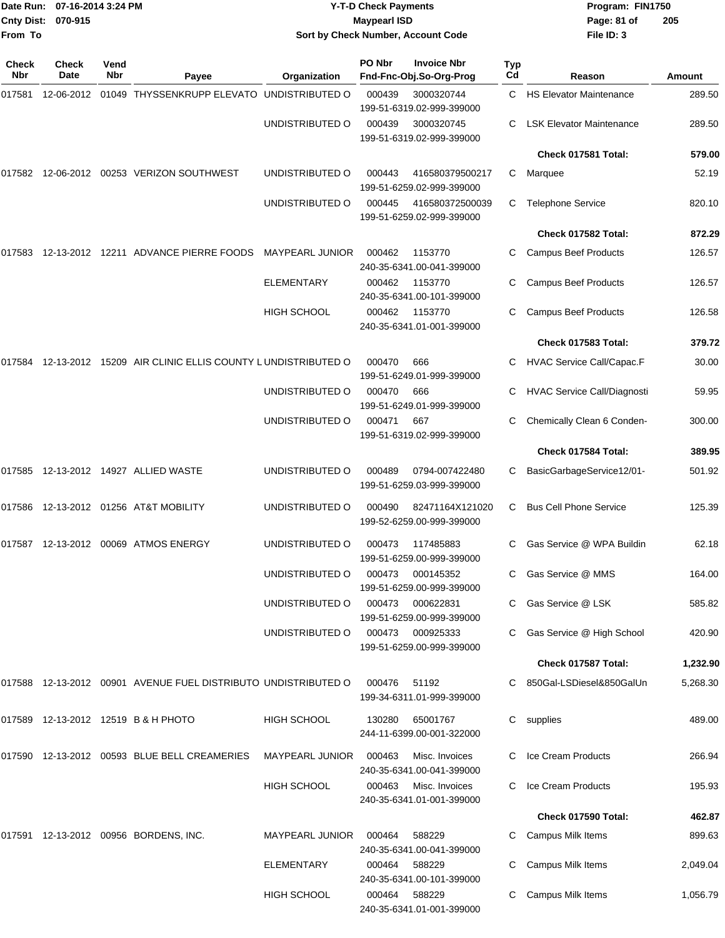|                     | Date Run: 07-16-2014 3:24 PM<br>Cnty Dist: 070-915 |             |                                                                   | <b>Y-T-D Check Payments</b><br><b>Maypearl ISD</b> |        |                                               |           | Page: 81 of                        | Program: FIN1750<br>205 |  |
|---------------------|----------------------------------------------------|-------------|-------------------------------------------------------------------|----------------------------------------------------|--------|-----------------------------------------------|-----------|------------------------------------|-------------------------|--|
| From To             |                                                    |             |                                                                   |                                                    |        | Sort by Check Number, Account Code            |           | File ID: 3                         |                         |  |
| <b>Check</b><br>Nbr | Check<br>Date                                      | Vend<br>Nbr | Payee                                                             | Organization                                       | PO Nbr | <b>Invoice Nbr</b><br>Fnd-Fnc-Obj.So-Org-Prog | Typ<br>Cd | Reason                             | Amount                  |  |
| 017581              |                                                    |             | 12-06-2012 01049 THYSSENKRUPP ELEVATO UNDISTRIBUTED O             |                                                    | 000439 | 3000320744<br>199-51-6319.02-999-399000       |           | C HS Elevator Maintenance          | 289.50                  |  |
|                     |                                                    |             |                                                                   | UNDISTRIBUTED O                                    | 000439 | 3000320745<br>199-51-6319.02-999-399000       | C.        | <b>LSK Elevator Maintenance</b>    | 289.50                  |  |
|                     |                                                    |             |                                                                   |                                                    |        |                                               |           | Check 017581 Total:                | 579.00                  |  |
|                     |                                                    |             | 017582    12-06-2012    00253    VERIZON SOUTHWEST                | UNDISTRIBUTED O                                    | 000443 | 416580379500217<br>199-51-6259.02-999-399000  | C.        | Marquee                            | 52.19                   |  |
|                     |                                                    |             |                                                                   | UNDISTRIBUTED O                                    | 000445 | 416580372500039<br>199-51-6259.02-999-399000  | С         | <b>Telephone Service</b>           | 820.10                  |  |
|                     |                                                    |             |                                                                   |                                                    |        |                                               |           | Check 017582 Total:                | 872.29                  |  |
| 017583              |                                                    |             | 12-13-2012 12211 ADVANCE PIERRE FOODS                             | <b>MAYPEARL JUNIOR</b>                             | 000462 | 1153770<br>240-35-6341.00-041-399000          | С         | <b>Campus Beef Products</b>        | 126.57                  |  |
|                     |                                                    |             |                                                                   | ELEMENTARY                                         | 000462 | 1153770<br>240-35-6341.00-101-399000          | С         | <b>Campus Beef Products</b>        | 126.57                  |  |
|                     |                                                    |             |                                                                   | <b>HIGH SCHOOL</b>                                 | 000462 | 1153770<br>240-35-6341.01-001-399000          | С         | <b>Campus Beef Products</b>        | 126.58                  |  |
|                     |                                                    |             |                                                                   |                                                    |        |                                               |           | Check 017583 Total:                | 379.72                  |  |
|                     |                                                    |             | 017584 12-13-2012 15209 AIR CLINIC ELLIS COUNTY LUNDISTRIBUTED O  |                                                    | 000470 | 666<br>199-51-6249.01-999-399000              | С         | <b>HVAC Service Call/Capac.F</b>   | 30.00                   |  |
|                     |                                                    |             |                                                                   | UNDISTRIBUTED O                                    | 000470 | 666<br>199-51-6249.01-999-399000              | С         | <b>HVAC Service Call/Diagnosti</b> | 59.95                   |  |
|                     |                                                    |             |                                                                   | UNDISTRIBUTED O                                    | 000471 | 667<br>199-51-6319.02-999-399000              |           | Chemically Clean 6 Conden-         | 300.00                  |  |
|                     |                                                    |             |                                                                   |                                                    |        |                                               |           | Check 017584 Total:                | 389.95                  |  |
| 017585              |                                                    |             |                                                                   | UNDISTRIBUTED O                                    | 000489 | 0794-007422480<br>199-51-6259.03-999-399000   | С         | BasicGarbageService12/01-          | 501.92                  |  |
|                     |                                                    |             |                                                                   | UNDISTRIBUTED O                                    | 000490 | 82471164X121020<br>199-52-6259.00-999-399000  | С         | <b>Bus Cell Phone Service</b>      | 125.39                  |  |
|                     |                                                    |             |                                                                   | UNDISTRIBUTED O                                    | 000473 | 117485883<br>199-51-6259.00-999-399000        |           | Gas Service @ WPA Buildin          | 62.18                   |  |
|                     |                                                    |             |                                                                   | UNDISTRIBUTED O                                    | 000473 | 000145352<br>199-51-6259.00-999-399000        |           | Gas Service @ MMS                  | 164.00                  |  |
|                     |                                                    |             |                                                                   | UNDISTRIBUTED O                                    | 000473 | 000622831<br>199-51-6259.00-999-399000        |           | Gas Service @ LSK                  | 585.82                  |  |
|                     |                                                    |             |                                                                   | UNDISTRIBUTED O                                    | 000473 | 000925333<br>199-51-6259.00-999-399000        |           | C Gas Service @ High School        | 420.90                  |  |
|                     |                                                    |             |                                                                   |                                                    |        |                                               |           | Check 017587 Total:                | 1,232.90                |  |
|                     |                                                    |             | 017588  12-13-2012  00901  AVENUE FUEL DISTRIBUTO UNDISTRIBUTED O |                                                    | 000476 | 51192<br>199-34-6311.01-999-399000            |           | C 850Gal-LSDiesel&850GalUn         | 5,268.30                |  |
|                     |                                                    |             | 017589 12-13-2012 12519 B & H PHOTO                               | HIGH SCHOOL                                        | 130280 | 65001767<br>244-11-6399.00-001-322000         |           | C supplies                         | 489.00                  |  |
|                     |                                                    |             | 017590  12-13-2012  00593  BLUE BELL CREAMERIES                   | <b>MAYPEARL JUNIOR</b>                             | 000463 | Misc. Invoices<br>240-35-6341.00-041-399000   |           | Ice Cream Products                 | 266.94                  |  |
|                     |                                                    |             |                                                                   | <b>HIGH SCHOOL</b>                                 | 000463 | Misc. Invoices<br>240-35-6341.01-001-399000   |           | Ice Cream Products                 | 195.93                  |  |
|                     |                                                    |             |                                                                   |                                                    |        |                                               |           | Check 017590 Total:                | 462.87                  |  |
|                     |                                                    |             | 017591  12-13-2012  00956  BORDENS, INC.                          | <b>MAYPEARL JUNIOR</b>                             | 000464 | 588229<br>240-35-6341.00-041-399000           |           | C Campus Milk Items                | 899.63                  |  |
|                     |                                                    |             |                                                                   | ELEMENTARY                                         | 000464 | 588229<br>240-35-6341.00-101-399000           |           | Campus Milk Items                  | 2,049.04                |  |
|                     |                                                    |             |                                                                   | <b>HIGH SCHOOL</b>                                 | 000464 | 588229<br>240-35-6341.01-001-399000           |           | Campus Milk Items                  | 1,056.79                |  |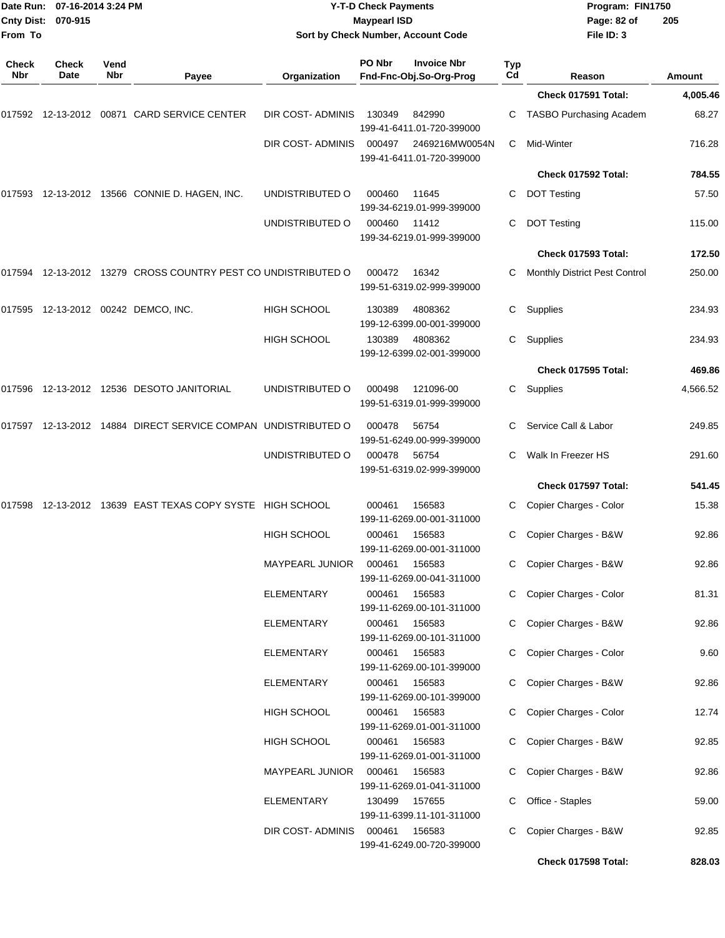| From To             | Date Run: 07-16-2014 3:24 PM<br>Cnty Dist: 070-915 |             |                                                               | <b>Y-T-D Check Payments</b><br><b>Maypearl ISD</b><br>Sort by Check Number, Account Code |                  |                                               | Program: FIN1750<br>Page: 82 of<br>File ID: 3 |                                          |                |
|---------------------|----------------------------------------------------|-------------|---------------------------------------------------------------|------------------------------------------------------------------------------------------|------------------|-----------------------------------------------|-----------------------------------------------|------------------------------------------|----------------|
| <b>Check</b><br>Nbr | <b>Check</b><br>Date                               | Vend<br>Nbr | Payee                                                         | Organization                                                                             | PO Nbr           | <b>Invoice Nbr</b><br>Fnd-Fnc-Obj.So-Org-Prog | Typ<br>Cd                                     | Reason                                   | <b>Amount</b>  |
|                     |                                                    |             |                                                               |                                                                                          |                  |                                               |                                               | Check 017591 Total:                      | 4,005.46       |
|                     |                                                    |             | 017592 12-13-2012 00871  CARD SERVICE CENTER                  | DIR COST-ADMINIS                                                                         | 130349           | 842990<br>199-41-6411.01-720-399000           | C                                             | <b>TASBO Purchasing Academ</b>           | 68.27          |
|                     |                                                    |             |                                                               | DIR COST-ADMINIS                                                                         | 000497           | 2469216MW0054N<br>199-41-6411.01-720-399000   | C                                             | Mid-Winter                               | 716.28         |
|                     |                                                    |             |                                                               |                                                                                          |                  |                                               |                                               | Check 017592 Total:                      | 784.55         |
|                     |                                                    |             | 017593  12-13-2012  13566  CONNIE D. HAGEN, INC.              | UNDISTRIBUTED O                                                                          | 000460           | 11645<br>199-34-6219.01-999-399000            | C                                             | <b>DOT Testing</b>                       | 57.50          |
|                     |                                                    |             |                                                               | UNDISTRIBUTED O                                                                          | 000460           | 11412<br>199-34-6219.01-999-399000            | C                                             | <b>DOT Testing</b>                       | 115.00         |
|                     |                                                    |             |                                                               |                                                                                          |                  |                                               |                                               | Check 017593 Total:                      | 172.50         |
|                     |                                                    |             | 017594 12-13-2012 13279 CROSS COUNTRY PEST CO UNDISTRIBUTED O |                                                                                          | 000472           | 16342<br>199-51-6319.02-999-399000            | C                                             | Monthly District Pest Control            | 250.00         |
|                     |                                                    |             | 017595  12-13-2012  00242  DEMCO, INC.                        | <b>HIGH SCHOOL</b>                                                                       | 130389           | 4808362<br>199-12-6399.00-001-399000          | C                                             | Supplies                                 | 234.93         |
|                     |                                                    |             |                                                               | <b>HIGH SCHOOL</b>                                                                       | 130389           | 4808362<br>199-12-6399.02-001-399000          | C                                             | Supplies                                 | 234.93         |
|                     |                                                    |             |                                                               |                                                                                          |                  |                                               |                                               | Check 017595 Total:                      | 469.86         |
|                     |                                                    |             | 017596 12-13-2012 12536  DESOTO JANITORIAL                    | UNDISTRIBUTED O                                                                          | 000498           | 121096-00<br>199-51-6319.01-999-399000        | C.                                            | Supplies                                 | 4,566.52       |
|                     |                                                    |             | 017597 12-13-2012 14884 DIRECT SERVICE COMPAN UNDISTRIBUTED O |                                                                                          | 000478           | 56754<br>199-51-6249.00-999-399000            | C.                                            | Service Call & Labor                     | 249.85         |
|                     |                                                    |             |                                                               | UNDISTRIBUTED O                                                                          | 000478           | 56754<br>199-51-6319.02-999-399000            | C                                             | Walk In Freezer HS                       | 291.60         |
|                     |                                                    |             |                                                               |                                                                                          |                  |                                               |                                               | Check 017597 Total:                      | 541.45         |
| 017598              |                                                    |             | 12-13-2012 13639 EAST TEXAS COPY SYSTE HIGH SCHOOL            |                                                                                          | 000461           | 156583<br>199-11-6269.00-001-311000           | C.                                            | Copier Charges - Color                   | 15.38          |
|                     |                                                    |             |                                                               | HIGH SCHOOL                                                                              | 000461           | 156583<br>199-11-6269.00-001-311000           |                                               | C Copier Charges - B&W                   | 92.86          |
|                     |                                                    |             |                                                               | MAYPEARL JUNIOR                                                                          | 000461           | 156583<br>199-11-6269.00-041-311000           | C                                             | C Copier Charges - B&W                   | 92.86          |
|                     |                                                    |             |                                                               | ELEMENTARY                                                                               | 000461           | 156583<br>199-11-6269.00-101-311000           |                                               | Copier Charges - Color                   | 81.31          |
|                     |                                                    |             |                                                               | <b>ELEMENTARY</b>                                                                        | 000461           | 156583<br>199-11-6269.00-101-311000           |                                               | C Copier Charges - B&W                   | 92.86          |
|                     |                                                    |             |                                                               | ELEMENTARY                                                                               | 000461           | 156583<br>199-11-6269.00-101-399000           |                                               | C Copier Charges - Color                 | 9.60           |
|                     |                                                    |             |                                                               | <b>ELEMENTARY</b>                                                                        | 000461           | 156583<br>199-11-6269.00-101-399000           |                                               | Copier Charges - B&W                     | 92.86          |
|                     |                                                    |             |                                                               | HIGH SCHOOL                                                                              | 000461           | 156583<br>199-11-6269.01-001-311000           |                                               | Copier Charges - Color                   | 12.74          |
|                     |                                                    |             |                                                               | <b>HIGH SCHOOL</b>                                                                       | 000461           | 156583<br>199-11-6269.01-001-311000           | C.                                            | Copier Charges - B&W                     | 92.85          |
|                     |                                                    |             |                                                               | <b>MAYPEARL JUNIOR</b><br>ELEMENTARY                                                     | 000461           | 156583<br>199-11-6269.01-041-311000           |                                               | Copier Charges - B&W                     | 92.86          |
|                     |                                                    |             |                                                               | DIR COST-ADMINIS                                                                         | 130499<br>000461 | 157655<br>199-11-6399.11-101-311000<br>156583 | C<br>C                                        | Office - Staples<br>Copier Charges - B&W | 59.00<br>92.85 |
|                     |                                                    |             |                                                               |                                                                                          |                  | 199-41-6249.00-720-399000                     |                                               | Check 017598 Total:                      | 828.03         |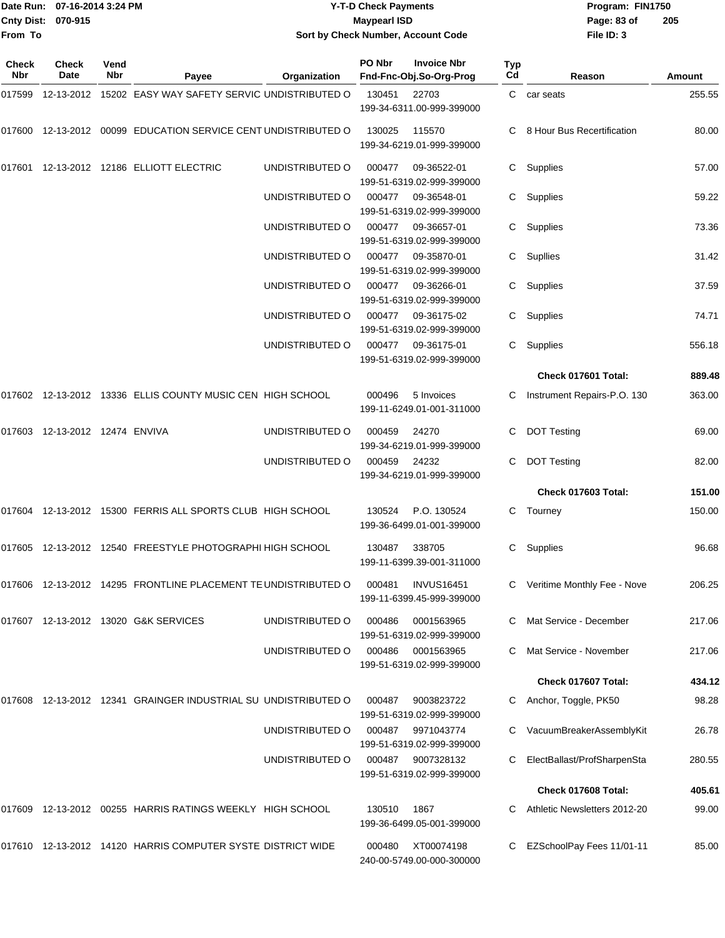|                           | Date Run: 07-16-2014 3:24 PM | Y-T-D Check Payments               | Program: I  |
|---------------------------|------------------------------|------------------------------------|-------------|
| <b>Cnty Dist: 070-915</b> |                              | <b>Maypearl ISD</b>                | Page: 83 of |
| <b>From To</b>            |                              | Sort by Check Number, Account Code | File ID: 3  |

**Date Run: Program: FIN1750 File ID: 3 205**

| Check<br><b>Nbr</b> | Check<br>Date                  | Vend<br>Nbr | Payee                                                          | Organization    | PO Nbr | <b>Invoice Nbr</b><br>Fnd-Fnc-Obj.So-Org-Prog  | <b>Typ</b><br>Cd | Reason                        | Amount |
|---------------------|--------------------------------|-------------|----------------------------------------------------------------|-----------------|--------|------------------------------------------------|------------------|-------------------------------|--------|
| 017599              |                                |             | 12-13-2012 15202 EASY WAY SAFETY SERVIC UNDISTRIBUTED O        |                 | 130451 | 22703<br>199-34-6311.00-999-399000             |                  | C car seats                   | 255.55 |
| 017600              |                                |             | 12-13-2012 00099 EDUCATION SERVICE CENT UNDISTRIBUTED O        |                 | 130025 | 115570<br>199-34-6219.01-999-399000            | C.               | 8 Hour Bus Recertification    | 80.00  |
|                     |                                |             | 017601 12-13-2012 12186 ELLIOTT ELECTRIC                       | UNDISTRIBUTED O | 000477 | 09-36522-01<br>199-51-6319.02-999-399000       |                  | C Supplies                    | 57.00  |
|                     |                                |             |                                                                | UNDISTRIBUTED O | 000477 | 09-36548-01<br>199-51-6319.02-999-399000       | C                | Supplies                      | 59.22  |
|                     |                                |             |                                                                | UNDISTRIBUTED O | 000477 | 09-36657-01<br>199-51-6319.02-999-399000       | C.               | Supplies                      | 73.36  |
|                     |                                |             |                                                                | UNDISTRIBUTED O | 000477 | 09-35870-01<br>199-51-6319.02-999-399000       | C.               | Supllies                      | 31.42  |
|                     |                                |             |                                                                | UNDISTRIBUTED O | 000477 | 09-36266-01<br>199-51-6319.02-999-399000       | C.               | Supplies                      | 37.59  |
|                     |                                |             |                                                                | UNDISTRIBUTED O | 000477 | 09-36175-02<br>199-51-6319.02-999-399000       | C.               | Supplies                      | 74.71  |
|                     |                                |             |                                                                | UNDISTRIBUTED O | 000477 | 09-36175-01<br>199-51-6319.02-999-399000       |                  | C Supplies                    | 556.18 |
|                     |                                |             |                                                                |                 |        |                                                |                  | Check 017601 Total:           | 889.48 |
|                     |                                |             | 017602 12-13-2012 13336 ELLIS COUNTY MUSIC CEN HIGH SCHOOL     |                 | 000496 | 5 Invoices<br>199-11-6249.01-001-311000        |                  | Instrument Repairs-P.O. 130   | 363.00 |
|                     | 017603 12-13-2012 12474 ENVIVA |             |                                                                | UNDISTRIBUTED O | 000459 | 24270<br>199-34-6219.01-999-399000             | C.               | <b>DOT Testing</b>            | 69.00  |
|                     |                                |             |                                                                | UNDISTRIBUTED O | 000459 | 24232<br>199-34-6219.01-999-399000             | C.               | <b>DOT Testing</b>            | 82.00  |
|                     |                                |             |                                                                |                 |        |                                                |                  | Check 017603 Total:           | 151.00 |
|                     |                                |             | 017604 12-13-2012 15300 FERRIS ALL SPORTS CLUB HIGH SCHOOL     |                 | 130524 | P.O. 130524<br>199-36-6499.01-001-399000       | C.               | Tourney                       | 150.00 |
|                     |                                |             | 017605 12-13-2012 12540 FREESTYLE PHOTOGRAPHI HIGH SCHOOL      |                 | 130487 | 338705<br>199-11-6399.39-001-311000            | C                | Supplies                      | 96.68  |
|                     |                                |             | 017606 12-13-2012 14295 FRONTLINE PLACEMENT TE UNDISTRIBUTED O |                 | 000481 | <b>INVUS16451</b><br>199-11-6399.45-999-399000 |                  | C Veritime Monthly Fee - Nove | 206.25 |
|                     |                                |             | 017607    12-13-2012    13020    G&K    SERVICES               | UNDISTRIBUTED O | 000486 | 0001563965<br>199-51-6319.02-999-399000        | C.               | Mat Service - December        | 217.06 |
|                     |                                |             |                                                                | UNDISTRIBUTED O | 000486 | 0001563965<br>199-51-6319.02-999-399000        |                  | Mat Service - November        | 217.06 |
|                     |                                |             |                                                                |                 |        |                                                |                  | Check 017607 Total:           | 434.12 |
|                     |                                |             | 017608 12-13-2012 12341 GRAINGER INDUSTRIAL SU UNDISTRIBUTED O |                 | 000487 | 9003823722<br>199-51-6319.02-999-399000        |                  | Anchor, Toggle, PK50          | 98.28  |
|                     |                                |             |                                                                | UNDISTRIBUTED O | 000487 | 9971043774<br>199-51-6319.02-999-399000        |                  | VacuumBreakerAssemblyKit      | 26.78  |
|                     |                                |             |                                                                | UNDISTRIBUTED O | 000487 | 9007328132<br>199-51-6319.02-999-399000        | C                | ElectBallast/ProfSharpenSta   | 280.55 |
|                     |                                |             |                                                                |                 |        |                                                |                  | Check 017608 Total:           | 405.61 |
| 017609              |                                |             | 12-13-2012 00255 HARRIS RATINGS WEEKLY HIGH SCHOOL             |                 | 130510 | 1867<br>199-36-6499.05-001-399000              |                  | Athletic Newsletters 2012-20  | 99.00  |
|                     |                                |             | 017610 12-13-2012 14120 HARRIS COMPUTER SYSTE DISTRICT WIDE    |                 | 000480 | XT00074198<br>240-00-5749.00-000-300000        |                  | EZSchoolPay Fees 11/01-11     | 85.00  |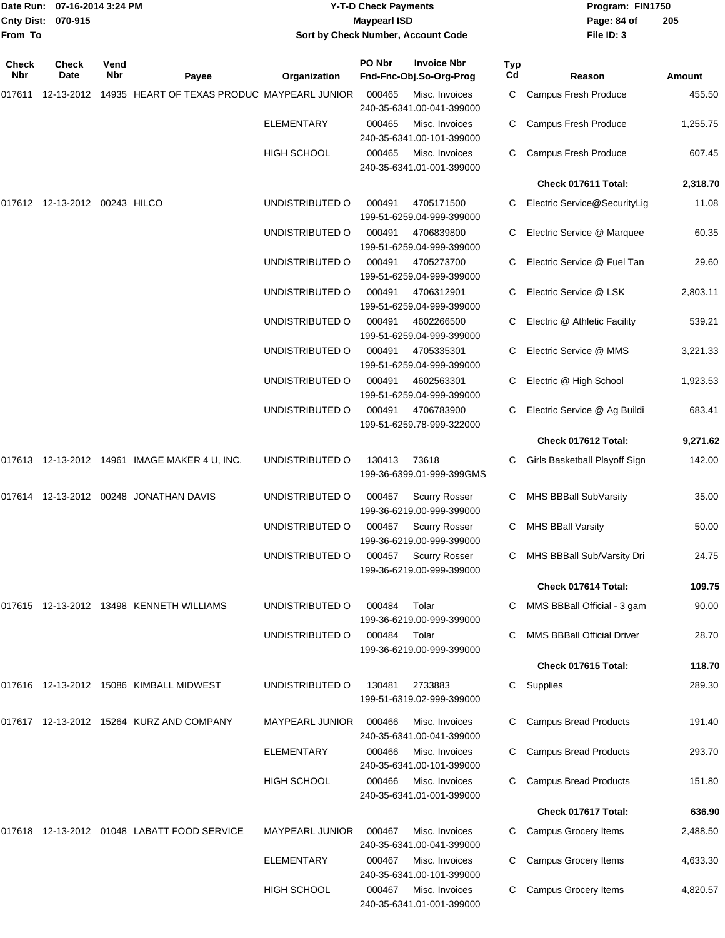|                   | Date Run: 07-16-2014 3:24 PM     |             |                                                        |                    | <b>Y-T-D Check Payments</b> |                                                   |           | Program: FIN1750                  |          |  |
|-------------------|----------------------------------|-------------|--------------------------------------------------------|--------------------|-----------------------------|---------------------------------------------------|-----------|-----------------------------------|----------|--|
| <b>Cnty Dist:</b> | 070-915                          |             |                                                        |                    | <b>Maypearl ISD</b>         |                                                   |           | Page: 84 of                       | 205      |  |
| From To           |                                  |             |                                                        |                    |                             | Sort by Check Number, Account Code                |           | File ID: 3                        |          |  |
| Check<br>Nbr      | <b>Check</b><br>Date             | Vend<br>Nbr | Payee                                                  | Organization       | PO Nbr                      | <b>Invoice Nbr</b><br>Fnd-Fnc-Obj.So-Org-Prog     | Typ<br>Cd | Reason                            | Amount   |  |
| 017611            |                                  |             | 12-13-2012 14935 HEART OF TEXAS PRODUC MAYPEARL JUNIOR |                    | 000465                      | Misc. Invoices                                    | C.        | Campus Fresh Produce              | 455.50   |  |
|                   |                                  |             |                                                        |                    |                             | 240-35-6341.00-041-399000                         |           |                                   |          |  |
|                   |                                  |             |                                                        | <b>ELEMENTARY</b>  | 000465                      | Misc. Invoices<br>240-35-6341.00-101-399000       | C         | Campus Fresh Produce              | 1,255.75 |  |
|                   |                                  |             |                                                        | <b>HIGH SCHOOL</b> | 000465                      | Misc. Invoices<br>240-35-6341.01-001-399000       | C         | Campus Fresh Produce              | 607.45   |  |
|                   |                                  |             |                                                        |                    |                             |                                                   |           | Check 017611 Total:               | 2,318.70 |  |
|                   | 017612  12-13-2012  00243  HILCO |             |                                                        | UNDISTRIBUTED O    | 000491                      | 4705171500<br>199-51-6259.04-999-399000           | C         | Electric Service@SecurityLig      | 11.08    |  |
|                   |                                  |             |                                                        | UNDISTRIBUTED O    | 000491                      | 4706839800<br>199-51-6259.04-999-399000           |           | Electric Service @ Marquee        | 60.35    |  |
|                   |                                  |             |                                                        | UNDISTRIBUTED O    | 000491                      | 4705273700<br>199-51-6259.04-999-399000           |           | Electric Service @ Fuel Tan       | 29.60    |  |
|                   |                                  |             |                                                        | UNDISTRIBUTED O    | 000491                      | 4706312901<br>199-51-6259.04-999-399000           | C         | Electric Service @ LSK            | 2,803.11 |  |
|                   |                                  |             |                                                        | UNDISTRIBUTED O    | 000491                      | 4602266500<br>199-51-6259.04-999-399000           |           | Electric @ Athletic Facility      | 539.21   |  |
|                   |                                  |             |                                                        | UNDISTRIBUTED O    | 000491                      | 4705335301<br>199-51-6259.04-999-399000           | C         | Electric Service @ MMS            | 3,221.33 |  |
|                   |                                  |             |                                                        | UNDISTRIBUTED O    | 000491                      | 4602563301<br>199-51-6259.04-999-399000           | C.        | Electric @ High School            | 1,923.53 |  |
|                   |                                  |             |                                                        | UNDISTRIBUTED O    | 000491                      | 4706783900<br>199-51-6259.78-999-322000           |           | Electric Service @ Ag Buildi      | 683.41   |  |
|                   |                                  |             |                                                        |                    |                             |                                                   |           | Check 017612 Total:               | 9,271.62 |  |
|                   |                                  |             | 017613 12-13-2012 14961 IMAGE MAKER 4 U, INC.          | UNDISTRIBUTED O    | 130413                      | 73618<br>199-36-6399.01-999-399GMS                | C.        | Girls Basketball Playoff Sign     | 142.00   |  |
| 017614            |                                  |             | 12-13-2012  00248  JONATHAN DAVIS                      | UNDISTRIBUTED O    | 000457                      | <b>Scurry Rosser</b><br>199-36-6219.00-999-399000 |           | MHS BBBall SubVarsity             | 35.00    |  |
|                   |                                  |             |                                                        | UNDISTRIBUTED O    |                             | 000457 Scurry Rosser<br>199-36-6219.00-999-399000 |           | C MHS BBall Varsity               | 50.00    |  |
|                   |                                  |             |                                                        | UNDISTRIBUTED O    |                             | 000457 Scurry Rosser<br>199-36-6219.00-999-399000 |           | C MHS BBBall Sub/Varsity Dri      | 24.75    |  |
|                   |                                  |             |                                                        |                    |                             |                                                   |           | Check 017614 Total:               | 109.75   |  |
|                   |                                  |             | 017615 12-13-2012 13498 KENNETH WILLIAMS               | UNDISTRIBUTED O    | 000484                      | Tolar<br>199-36-6219.00-999-399000                |           | C MMS BBBall Official - 3 gam     | 90.00    |  |
|                   |                                  |             |                                                        | UNDISTRIBUTED O    | 000484                      | Tolar<br>199-36-6219.00-999-399000                |           | <b>MMS BBBall Official Driver</b> | 28.70    |  |
|                   |                                  |             |                                                        |                    |                             |                                                   |           | Check 017615 Total:               | 118.70   |  |
|                   |                                  |             | 017616 12-13-2012 15086 KIMBALL MIDWEST                | UNDISTRIBUTED O    | 130481                      | 2733883<br>199-51-6319.02-999-399000              |           | C Supplies                        | 289.30   |  |
|                   |                                  |             | 017617 12-13-2012 15264 KURZ AND COMPANY               | MAYPEARL JUNIOR    | 000466                      | Misc. Invoices<br>240-35-6341.00-041-399000       |           | <b>Campus Bread Products</b>      | 191.40   |  |
|                   |                                  |             |                                                        | ELEMENTARY         | 000466                      | Misc. Invoices<br>240-35-6341.00-101-399000       |           | <b>Campus Bread Products</b>      | 293.70   |  |
|                   |                                  |             |                                                        | <b>HIGH SCHOOL</b> | 000466                      | Misc. Invoices<br>240-35-6341.01-001-399000       |           | <b>Campus Bread Products</b>      | 151.80   |  |
|                   |                                  |             |                                                        |                    |                             |                                                   |           | Check 017617 Total:               | 636.90   |  |

**Check 017617 Total: 636.90** 017618 12-13-2012 01048 LABATT FOOD SERVICE MAYPEARL JUNIOR 000467 Misc. Invoices C Campus Grocery Items 2,488.50 240-35-6341.00-041-399000 ELEMENTARY 000467 Misc. Invoices C Campus Grocery Items 4,633.30 240-35-6341.00-101-399000 HIGH SCHOOL 000467 Misc. Invoices C Campus Grocery Items 4,820.57 240-35-6341.01-001-399000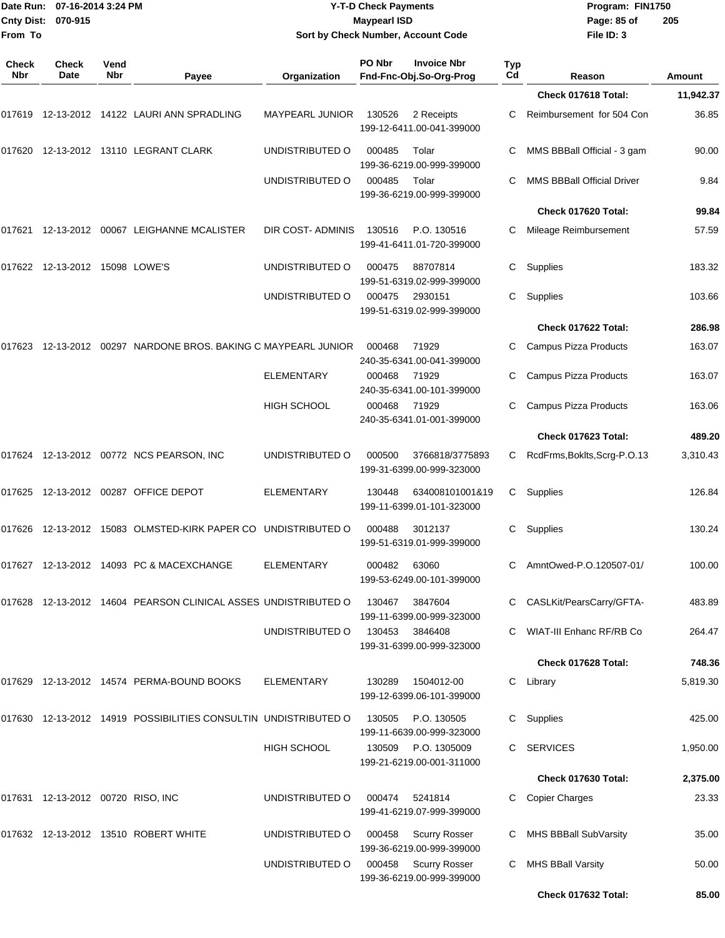| <b>Cnty Dist:</b><br>From To | Date Run: 07-16-2014 3:24 PM<br>070-915 |             |                                                                   |                    | <b>Y-T-D Check Payments</b><br><b>Maypearl ISD</b><br>Sort by Check Number, Account Code |           | Program: FIN1750<br>Page: 85 of<br>205<br>File ID: 3 |                  |  |
|------------------------------|-----------------------------------------|-------------|-------------------------------------------------------------------|--------------------|------------------------------------------------------------------------------------------|-----------|------------------------------------------------------|------------------|--|
| <b>Check</b><br>Nbr          | <b>Check</b><br>Date                    | Vend<br>Nbr | Payee                                                             | Organization       | PO Nbr<br><b>Invoice Nbr</b><br>Fnd-Fnc-Obj.So-Org-Prog                                  | Typ<br>Cd | Reason                                               | Amount           |  |
|                              |                                         |             |                                                                   |                    |                                                                                          |           | Check 017618 Total:                                  | 11,942.37        |  |
|                              |                                         |             | 017619 12-13-2012 14122  LAURI ANN SPRADLING                      | MAYPEARL JUNIOR    | 130526<br>2 Receipts<br>199-12-6411.00-041-399000                                        | C         | Reimbursement for 504 Con                            | 36.85            |  |
| 017620                       |                                         |             | 12-13-2012  13110  LEGRANT CLARK                                  | UNDISTRIBUTED O    | 000485<br>Tolar<br>199-36-6219.00-999-399000                                             | С         | MMS BBBall Official - 3 gam                          | 90.00            |  |
|                              |                                         |             |                                                                   | UNDISTRIBUTED O    | 000485<br>Tolar<br>199-36-6219.00-999-399000                                             | С         | <b>MMS BBBall Official Driver</b>                    | 9.84             |  |
|                              |                                         |             |                                                                   |                    |                                                                                          |           | Check 017620 Total:                                  | 99.84            |  |
| 017621                       |                                         |             | 12-13-2012 00067 LEIGHANNE MCALISTER                              | DIR COST-ADMINIS   | 130516<br>P.O. 130516<br>199-41-6411.01-720-399000                                       | С         | Mileage Reimbursement                                | 57.59            |  |
|                              | 017622 12-13-2012 15098 LOWE'S          |             |                                                                   | UNDISTRIBUTED O    | 000475<br>88707814<br>199-51-6319.02-999-399000                                          | C         | Supplies                                             | 183.32           |  |
|                              |                                         |             |                                                                   | UNDISTRIBUTED O    | 000475<br>2930151<br>199-51-6319.02-999-399000                                           | С         | Supplies                                             | 103.66           |  |
|                              |                                         |             |                                                                   |                    |                                                                                          |           | Check 017622 Total:                                  | 286.98           |  |
| 017623                       |                                         |             | 12-13-2012  00297  NARDONE BROS. BAKING C MAYPEARL JUNIOR         |                    | 000468<br>71929<br>240-35-6341.00-041-399000                                             | С         | Campus Pizza Products                                | 163.07           |  |
|                              |                                         |             |                                                                   | <b>ELEMENTARY</b>  | 000468<br>71929<br>240-35-6341.00-101-399000                                             | С         | Campus Pizza Products                                | 163.07           |  |
|                              |                                         |             |                                                                   | HIGH SCHOOL        | 000468<br>71929<br>240-35-6341.01-001-399000                                             | С         | Campus Pizza Products<br><b>Check 017623 Total:</b>  | 163.06<br>489.20 |  |
|                              |                                         |             |                                                                   |                    |                                                                                          |           |                                                      |                  |  |
|                              |                                         |             | 017624 12-13-2012 00772 NCS PEARSON, INC                          | UNDISTRIBUTED O    | 000500<br>3766818/3775893<br>199-31-6399.00-999-323000                                   | C.        | RcdFrms, Boklts, Scrg-P.O.13                         | 3,310.43         |  |
|                              |                                         |             |                                                                   | ELEMENTARY         | 130448<br>634008101001&19<br>199-11-6399.01-101-323000                                   |           | C Supplies                                           | 126.84           |  |
|                              |                                         |             | 017626 12-13-2012 15083   OLMSTED-KIRK PAPER CO   UNDISTRIBUTED O |                    | 000488<br>3012137<br>199-51-6319.01-999-399000                                           | C.        | Supplies                                             | 130.24           |  |
|                              |                                         |             | 017627 12-13-2012 14093 PC & MACEXCHANGE                          | <b>ELEMENTARY</b>  | 000482<br>63060<br>199-53-6249.00-101-399000                                             |           | C AmntOwed-P.O.120507-01/                            | 100.00           |  |
|                              |                                         |             | 017628 12-13-2012 14604 PEARSON CLINICAL ASSES UNDISTRIBUTED O    |                    | 3847604<br>130467<br>199-11-6399.00-999-323000                                           | C         | CASLKit/PearsCarry/GFTA-                             | 483.89           |  |
|                              |                                         |             |                                                                   | UNDISTRIBUTED O    | 3846408<br>130453<br>199-31-6399.00-999-323000                                           | C         | <b>WIAT-III Enhanc RF/RB Co</b>                      | 264.47           |  |
|                              |                                         |             |                                                                   |                    |                                                                                          |           | Check 017628 Total:                                  | 748.36           |  |
|                              |                                         |             | 017629 12-13-2012 14574 PERMA-BOUND BOOKS                         | <b>ELEMENTARY</b>  | 130289<br>1504012-00<br>199-12-6399.06-101-399000                                        |           | C Library                                            | 5,819.30         |  |
|                              |                                         |             | 017630 12-13-2012 14919 POSSIBILITIES CONSULTIN UNDISTRIBUTED O   |                    | P.O. 130505<br>130505<br>199-11-6639.00-999-323000                                       | C.        | Supplies                                             | 425.00           |  |
|                              |                                         |             |                                                                   | <b>HIGH SCHOOL</b> | 130509 P.O. 1305009<br>199-21-6219.00-001-311000                                         |           | C SERVICES                                           | 1,950.00         |  |
|                              |                                         |             |                                                                   |                    |                                                                                          |           | Check 017630 Total:                                  | 2,375.00         |  |
|                              | 017631  12-13-2012  00720  RISO, INC    |             |                                                                   | UNDISTRIBUTED O    | 000474<br>5241814<br>199-41-6219.07-999-399000                                           | C.        | <b>Copier Charges</b>                                | 23.33            |  |
|                              |                                         |             | 017632    12-13-2012    13510    ROBERT WHITE                     | UNDISTRIBUTED O    | <b>Scurry Rosser</b><br>000458<br>199-36-6219.00-999-399000                              | C.        | MHS BBBall SubVarsity                                | 35.00            |  |
|                              |                                         |             |                                                                   | UNDISTRIBUTED O    | 000458<br><b>Scurry Rosser</b><br>199-36-6219.00-999-399000                              | C.        | <b>MHS BBall Varsity</b>                             | 50.00            |  |
|                              |                                         |             |                                                                   |                    |                                                                                          |           | Check 017632 Total:                                  | 85.00            |  |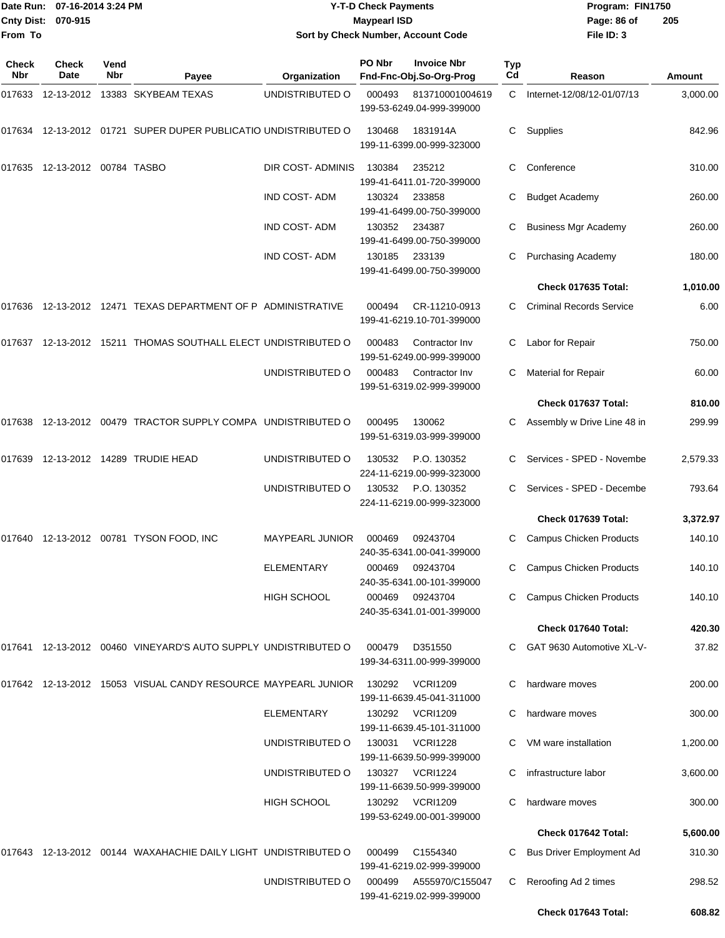|              | Date Run: 07-16-2014 3:24 PM     |             |                                                                   |                                    | <b>Y-T-D Check Payments</b> |                                               |                  | Program: FIN1750                |          |  |
|--------------|----------------------------------|-------------|-------------------------------------------------------------------|------------------------------------|-----------------------------|-----------------------------------------------|------------------|---------------------------------|----------|--|
| From To      | Cnty Dist: 070-915               |             |                                                                   |                                    | <b>Maypearl ISD</b>         |                                               |                  | Page: 86 of                     | 205      |  |
|              |                                  |             |                                                                   | Sort by Check Number, Account Code |                             |                                               |                  | File ID: 3                      |          |  |
| Check<br>Nbr | Check<br>Date                    | Vend<br>Nbr | Payee                                                             | Organization                       | PO Nbr                      | <b>Invoice Nbr</b><br>Fnd-Fnc-Obj.So-Org-Prog | <b>Typ</b><br>Cd | Reason                          | Amount   |  |
|              |                                  |             | 017633 12-13-2012 13383 SKYBEAM TEXAS                             | UNDISTRIBUTED O                    | 000493                      | 813710001004619<br>199-53-6249.04-999-399000  | C.               | Internet-12/08/12-01/07/13      | 3,000.00 |  |
|              |                                  |             | 017634 12-13-2012 01721 SUPER DUPER PUBLICATIO UNDISTRIBUTED O    |                                    | 130468                      | 1831914A<br>199-11-6399.00-999-323000         | C.               | Supplies                        | 842.96   |  |
|              | 017635  12-13-2012  00784  TASBO |             |                                                                   | DIR COST-ADMINIS                   | 130384                      | 235212<br>199-41-6411.01-720-399000           | С                | Conference                      | 310.00   |  |
|              |                                  |             |                                                                   | <b>IND COST-ADM</b>                | 130324                      | 233858<br>199-41-6499.00-750-399000           | С                | <b>Budget Academy</b>           | 260.00   |  |
|              |                                  |             |                                                                   | <b>IND COST-ADM</b>                | 130352                      | 234387<br>199-41-6499.00-750-399000           | С                | <b>Business Mgr Academy</b>     | 260.00   |  |
|              |                                  |             |                                                                   | <b>IND COST-ADM</b>                | 130185                      | 233139<br>199-41-6499.00-750-399000           | C                | <b>Purchasing Academy</b>       | 180.00   |  |
|              |                                  |             |                                                                   |                                    |                             |                                               |                  | Check 017635 Total:             | 1,010.00 |  |
|              |                                  |             | 017636 12-13-2012 12471 TEXAS DEPARTMENT OF P ADMINISTRATIVE      |                                    | 000494                      | CR-11210-0913<br>199-41-6219.10-701-399000    | C                | <b>Criminal Records Service</b> | 6.00     |  |
|              |                                  |             | 017637 12-13-2012 15211 THOMAS SOUTHALL ELECT UNDISTRIBUTED O     |                                    | 000483                      | Contractor Inv<br>199-51-6249.00-999-399000   | C                | Labor for Repair                | 750.00   |  |
|              |                                  |             |                                                                   | UNDISTRIBUTED O                    | 000483                      | Contractor Inv<br>199-51-6319.02-999-399000   | C                | Material for Repair             | 60.00    |  |
|              |                                  |             |                                                                   |                                    |                             |                                               |                  | Check 017637 Total:             | 810.00   |  |
|              |                                  |             | 017638 12-13-2012 00479 TRACTOR SUPPLY COMPA UNDISTRIBUTED O      |                                    | 000495                      | 130062<br>199-51-6319.03-999-399000           | C                | Assembly w Drive Line 48 in     | 299.99   |  |
| 017639       |                                  |             | 12-13-2012  14289  TRUDIE HEAD                                    | UNDISTRIBUTED O                    | 130532                      | P.O. 130352<br>224-11-6219.00-999-323000      | C                | Services - SPED - Novembe       | 2,579.33 |  |
|              |                                  |             |                                                                   | UNDISTRIBUTED O                    | 130532                      | P.O. 130352<br>224-11-6219.00-999-323000      |                  | Services - SPED - Decembe       | 793.64   |  |
|              |                                  |             |                                                                   |                                    |                             |                                               |                  | Check 017639 Total:             | 3,372.97 |  |
|              |                                  |             | 017640 12-13-2012 00781 TYSON FOOD, INC                           | MAYPEARL JUNIOR                    | 000469                      | 09243704<br>240-35-6341.00-041-399000         |                  | <b>Campus Chicken Products</b>  | 140.10   |  |
|              |                                  |             |                                                                   | <b>ELEMENTARY</b>                  | 000469                      | 09243704<br>240-35-6341.00-101-399000         | C.               | <b>Campus Chicken Products</b>  | 140.10   |  |
|              |                                  |             |                                                                   | HIGH SCHOOL                        | 000469                      | 09243704<br>240-35-6341.01-001-399000         | C                | <b>Campus Chicken Products</b>  | 140.10   |  |
|              |                                  |             |                                                                   |                                    |                             |                                               |                  | Check 017640 Total:             | 420.30   |  |
|              |                                  |             | 017641  12-13-2012  00460  VINEYARD'S AUTO SUPPLY UNDISTRIBUTED O |                                    | 000479                      | D351550<br>199-34-6311.00-999-399000          | C.               | GAT 9630 Automotive XL-V-       | 37.82    |  |
|              |                                  |             | 017642 12-13-2012 15053 VISUAL CANDY RESOURCE MAYPEARL JUNIOR     |                                    | 130292                      | <b>VCRI1209</b><br>199-11-6639.45-041-311000  |                  | hardware moves                  | 200.00   |  |
|              |                                  |             |                                                                   | <b>ELEMENTARY</b>                  | 130292                      | <b>VCRI1209</b><br>199-11-6639.45-101-311000  | C                | hardware moves                  | 300.00   |  |
|              |                                  |             |                                                                   | UNDISTRIBUTED O                    | 130031                      | <b>VCRI1228</b><br>199-11-6639.50-999-399000  | C                | VM ware installation            | 1,200.00 |  |
|              |                                  |             |                                                                   | UNDISTRIBUTED O                    |                             | 130327 VCRI1224<br>199-11-6639.50-999-399000  |                  | infrastructure labor            | 3,600.00 |  |
|              |                                  |             |                                                                   | <b>HIGH SCHOOL</b>                 | 130292                      | <b>VCRI1209</b><br>199-53-6249.00-001-399000  | C                | hardware moves                  | 300.00   |  |
|              |                                  |             |                                                                   |                                    |                             |                                               |                  | Check 017642 Total:             | 5,600.00 |  |
|              |                                  |             | 017643 12-13-2012 00144 WAXAHACHIE DAILY LIGHT UNDISTRIBUTED O    |                                    | 000499                      | C1554340<br>199-41-6219.02-999-399000         | C.               | <b>Bus Driver Employment Ad</b> | 310.30   |  |
|              |                                  |             |                                                                   | UNDISTRIBUTED O                    |                             | 000499 A555970/C155047                        | C                | Reroofing Ad 2 times            | 298.52   |  |

199-41-6219.02-999-399000

**Check 017643 Total: 608.82**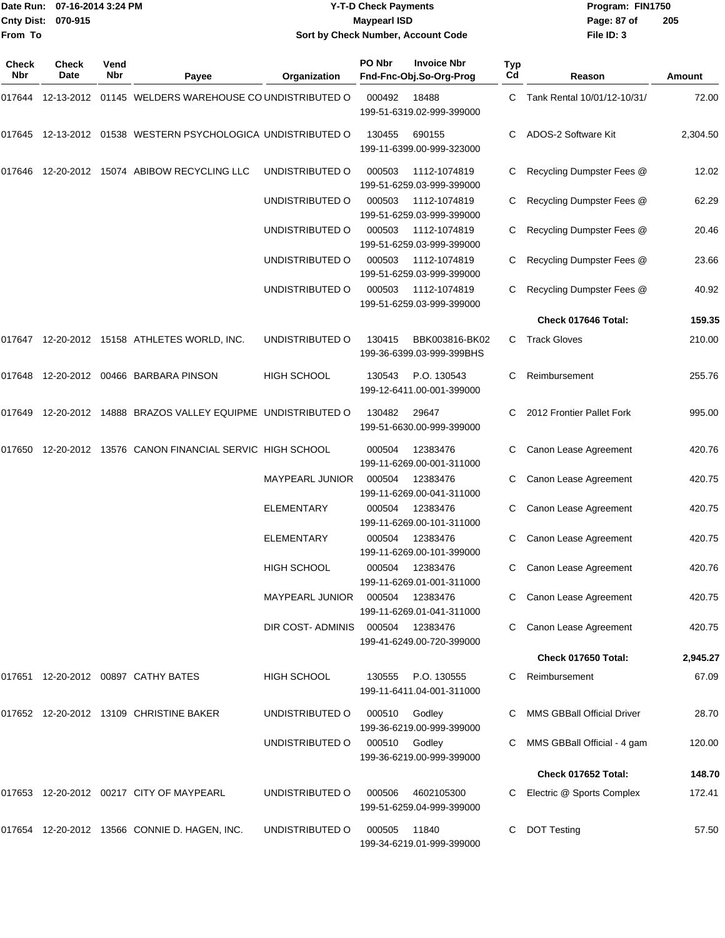#### Date Run: 07-16-2014 3:24 PM **Program:** FIN1750 **Cnty Dist:** 070-915 **Page: 87 of** Maypearl ISD Maypearl ISD **Y-T-D Check Payments 070-915 Maypearl ISD Sort by Check Number, Account Code**

| <b>Check</b><br>Nbr | <b>Check</b><br>Date | Vend<br>Nbr | Payee                                                        | Organization                     | PO Nbr        | <b>Invoice Nbr</b><br>Fnd-Fnc-Obj.So-Org-Prog | <b>Typ</b><br>Cd | Reason                        | Amount   |
|---------------------|----------------------|-------------|--------------------------------------------------------------|----------------------------------|---------------|-----------------------------------------------|------------------|-------------------------------|----------|
| 017644              |                      |             | 12-13-2012 01145 WELDERS WAREHOUSE CO UNDISTRIBUTED O        |                                  | 000492        | 18488<br>199-51-6319.02-999-399000            | C.               | Tank Rental 10/01/12-10/31/   | 72.00    |
|                     |                      |             | 017645 12-13-2012 01538 WESTERN PSYCHOLOGICA UNDISTRIBUTED O |                                  | 130455        | 690155<br>199-11-6399.00-999-323000           |                  | ADOS-2 Software Kit           | 2,304.50 |
| 017646              | 12-20-2012           |             | 15074 ABIBOW RECYCLING LLC                                   | UNDISTRIBUTED O                  | 000503        | 1112-1074819<br>199-51-6259.03-999-399000     | C                | Recycling Dumpster Fees @     | 12.02    |
|                     |                      |             |                                                              | UNDISTRIBUTED O                  | 000503        | 1112-1074819<br>199-51-6259.03-999-399000     |                  | Recycling Dumpster Fees @     | 62.29    |
|                     |                      |             |                                                              | UNDISTRIBUTED O                  | 000503        | 1112-1074819<br>199-51-6259.03-999-399000     | C.               | Recycling Dumpster Fees @     | 20.46    |
|                     |                      |             |                                                              | UNDISTRIBUTED O                  | 000503        | 1112-1074819<br>199-51-6259.03-999-399000     | C                | Recycling Dumpster Fees @     | 23.66    |
|                     |                      |             |                                                              | UNDISTRIBUTED O                  | 000503        | 1112-1074819<br>199-51-6259.03-999-399000     |                  | Recycling Dumpster Fees @     | 40.92    |
|                     |                      |             |                                                              |                                  |               |                                               |                  | Check 017646 Total:           | 159.35   |
|                     |                      |             | 017647 12-20-2012 15158 ATHLETES WORLD, INC.                 | UNDISTRIBUTED O                  | 130415        | BBK003816-BK02<br>199-36-6399.03-999-399BHS   | C                | <b>Track Gloves</b>           | 210.00   |
| 017648              |                      |             | 12-20-2012    00466    BARBARA PINSON                        | <b>HIGH SCHOOL</b>               | 130543        | P.O. 130543<br>199-12-6411.00-001-399000      | С                | Reimbursement                 | 255.76   |
| 017649              |                      |             | 12-20-2012 14888 BRAZOS VALLEY EQUIPME UNDISTRIBUTED O       |                                  | 130482        | 29647<br>199-51-6630.00-999-399000            | C                | 2012 Frontier Pallet Fork     | 995.00   |
| 017650              |                      |             | 12-20-2012 13576 CANON FINANCIAL SERVIC HIGH SCHOOL          |                                  | 000504        | 12383476<br>199-11-6269.00-001-311000         |                  | Canon Lease Agreement         | 420.76   |
|                     |                      |             |                                                              | MAYPEARL JUNIOR                  | 000504        | 12383476<br>199-11-6269.00-041-311000         | C                | Canon Lease Agreement         | 420.75   |
|                     |                      |             |                                                              | ELEMENTARY                       | 000504        | 12383476<br>199-11-6269.00-101-311000         | C                | Canon Lease Agreement         | 420.75   |
|                     |                      |             |                                                              | <b>ELEMENTARY</b>                | 000504        | 12383476<br>199-11-6269.00-101-399000         | C                | Canon Lease Agreement         | 420.75   |
|                     |                      |             |                                                              | <b>HIGH SCHOOL</b>               | 000504        | 12383476<br>199-11-6269.01-001-311000         | C                | Canon Lease Agreement         | 420.76   |
|                     |                      |             |                                                              |                                  |               | 199-11-6269.01-041-311000                     |                  | C Canon Lease Agreement       | 420.75   |
|                     |                      |             |                                                              | DIR COST-ADMINIS 000504 12383476 |               | 199-41-6249.00-720-399000                     |                  | Canon Lease Agreement         | 420.75   |
|                     |                      |             |                                                              |                                  |               |                                               |                  | Check 017650 Total:           | 2,945.27 |
|                     |                      |             | 017651 12-20-2012 00897 CATHY BATES                          | HIGH SCHOOL                      | 130555        | P.O. 130555<br>199-11-6411.04-001-311000      |                  | C Reimbursement               | 67.09    |
|                     |                      |             | 017652 12-20-2012 13109 CHRISTINE BAKER                      | UNDISTRIBUTED O                  | 000510 Godley | 199-36-6219.00-999-399000                     |                  | C MMS GBBall Official Driver  | 28.70    |
|                     |                      |             |                                                              | UNDISTRIBUTED O                  | 000510 Godley | 199-36-6219.00-999-399000                     |                  | C MMS GBBall Official - 4 gam | 120.00   |
|                     |                      |             |                                                              |                                  |               |                                               |                  | Check 017652 Total:           | 148.70   |
|                     |                      |             | 017653 12-20-2012 00217 CITY OF MAYPEARL                     | UNDISTRIBUTED O                  | 000506        | 4602105300<br>199-51-6259.04-999-399000       |                  | C Electric @ Sports Complex   | 172.41   |
|                     |                      |             | 017654 12-20-2012 13566 CONNIE D. HAGEN, INC.                | UNDISTRIBUTED O                  | 000505        | 11840<br>199-34-6219.01-999-399000            |                  | <b>DOT Testing</b>            | 57.50    |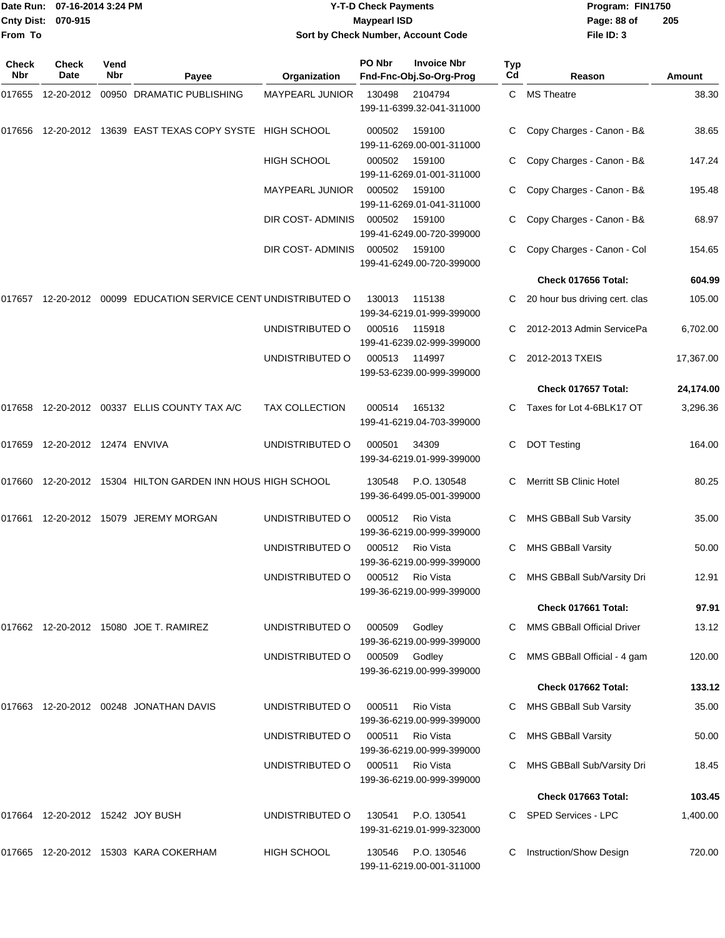#### Date Run: 07-16-2014 3:24 PM **Program:** FIN1750 **Cnty Dist:** 070-915 **Page: 88 of Y-T-D Check Payments 070-915 Maypearl ISD Sort by Check Number, Account Code**

| Check<br>Nbr | <b>Check</b><br>Date                | Vend<br><b>Nbr</b> | Payee                                                      | Organization           | PO Nbr        | <b>Invoice Nbr</b><br>Fnd-Fnc-Obj.So-Org-Prog | <b>Typ</b><br>Cd | Reason                            | <b>Amount</b> |
|--------------|-------------------------------------|--------------------|------------------------------------------------------------|------------------------|---------------|-----------------------------------------------|------------------|-----------------------------------|---------------|
| 017655       | 12-20-2012                          |                    | 00950 DRAMATIC PUBLISHING                                  | MAYPEARL JUNIOR        | 130498        | 2104794<br>199-11-6399.32-041-311000          |                  | C MS Theatre                      | 38.30         |
| 017656       |                                     |                    | 12-20-2012 13639 EAST TEXAS COPY SYSTE HIGH SCHOOL         |                        | 000502        | 159100<br>199-11-6269.00-001-311000           |                  | Copy Charges - Canon - B&         | 38.65         |
|              |                                     |                    |                                                            | <b>HIGH SCHOOL</b>     | 000502        | 159100<br>199-11-6269.01-001-311000           |                  | Copy Charges - Canon - B&         | 147.24        |
|              |                                     |                    |                                                            | <b>MAYPEARL JUNIOR</b> | 000502        | 159100<br>199-11-6269.01-041-311000           |                  | Copy Charges - Canon - B&         | 195.48        |
|              |                                     |                    |                                                            | DIR COST-ADMINIS       | 000502        | 159100<br>199-41-6249.00-720-399000           |                  | Copy Charges - Canon - B&         | 68.97         |
|              |                                     |                    |                                                            | DIR COST-ADMINIS       | 000502        | 159100<br>199-41-6249.00-720-399000           |                  | Copy Charges - Canon - Col        | 154.65        |
|              |                                     |                    |                                                            |                        |               |                                               |                  | Check 017656 Total:               | 604.99        |
| 017657       |                                     |                    | 12-20-2012 00099 EDUCATION SERVICE CENT UNDISTRIBUTED O    |                        | 130013        | 115138<br>199-34-6219.01-999-399000           |                  | 20 hour bus driving cert. clas    | 105.00        |
|              |                                     |                    |                                                            | UNDISTRIBUTED O        | 000516        | 115918<br>199-41-6239.02-999-399000           | C                | 2012-2013 Admin ServicePa         | 6,702.00      |
|              |                                     |                    |                                                            | UNDISTRIBUTED O        | 000513        | 114997<br>199-53-6239.00-999-399000           | C                | 2012-2013 TXEIS                   | 17,367.00     |
|              |                                     |                    |                                                            |                        |               |                                               |                  | Check 017657 Total:               | 24,174.00     |
|              |                                     |                    | 017658  12-20-2012  00337  ELLIS COUNTY TAX A/C            | <b>TAX COLLECTION</b>  | 000514        | 165132<br>199-41-6219.04-703-399000           | C.               | Taxes for Lot 4-6BLK17 OT         | 3,296.36      |
| 017659       | 12-20-2012 12474 ENVIVA             |                    |                                                            | UNDISTRIBUTED O        | 000501        | 34309<br>199-34-6219.01-999-399000            | C                | <b>DOT Testing</b>                | 164.00        |
|              |                                     |                    | 017660 12-20-2012 15304 HILTON GARDEN INN HOUS HIGH SCHOOL |                        | 130548        | P.O. 130548<br>199-36-6499.05-001-399000      | C                | Merritt SB Clinic Hotel           | 80.25         |
|              |                                     |                    | 017661 12-20-2012 15079 JEREMY MORGAN                      | UNDISTRIBUTED O        | 000512        | <b>Rio Vista</b><br>199-36-6219.00-999-399000 |                  | MHS GBBall Sub Varsity            | 35.00         |
|              |                                     |                    |                                                            | UNDISTRIBUTED O        | 000512        | <b>Rio Vista</b><br>199-36-6219.00-999-399000 | C                | <b>MHS GBBall Varsity</b>         | 50.00         |
|              |                                     |                    |                                                            | UNDISTRIBUTED O        | 000512        | Rio Vista<br>199-36-6219.00-999-399000        | C                | MHS GBBall Sub/Varsity Dri        | 12.91         |
|              |                                     |                    |                                                            |                        |               |                                               |                  | Check 017661 Total:               | 97.91         |
|              |                                     |                    | 017662  12-20-2012  15080  JOE T. RAMIREZ                  | UNDISTRIBUTED O        | 000509        | Godley<br>199-36-6219.00-999-399000           |                  | <b>MMS GBBall Official Driver</b> | 13.12         |
|              |                                     |                    |                                                            | UNDISTRIBUTED O        | 000509 Godley | 199-36-6219.00-999-399000                     |                  | MMS GBBall Official - 4 gam       | 120.00        |
|              |                                     |                    |                                                            |                        |               |                                               |                  | Check 017662 Total:               | 133.12        |
|              |                                     |                    | 017663    12-20-2012    00248    JONATHAN DAVIS            | UNDISTRIBUTED O        | 000511        | Rio Vista<br>199-36-6219.00-999-399000        |                  | MHS GBBall Sub Varsity            | 35.00         |
|              |                                     |                    |                                                            | UNDISTRIBUTED O        | 000511        | Rio Vista<br>199-36-6219.00-999-399000        | C                | <b>MHS GBBall Varsity</b>         | 50.00         |
|              |                                     |                    |                                                            | UNDISTRIBUTED O        | 000511        | Rio Vista<br>199-36-6219.00-999-399000        |                  | MHS GBBall Sub/Varsity Dri        | 18.45         |
|              |                                     |                    |                                                            |                        |               |                                               |                  | <b>Check 017663 Total:</b>        | 103.45        |
|              | 017664  12-20-2012  15242  JOY BUSH |                    |                                                            | UNDISTRIBUTED O        | 130541        | P.O. 130541<br>199-31-6219.01-999-323000      |                  | SPED Services - LPC               | 1,400.00      |
|              |                                     |                    | 017665 12-20-2012 15303   KARA COKERHAM                    | HIGH SCHOOL            | 130546        | P.O. 130546<br>199-11-6219.00-001-311000      |                  | Instruction/Show Design           | 720.00        |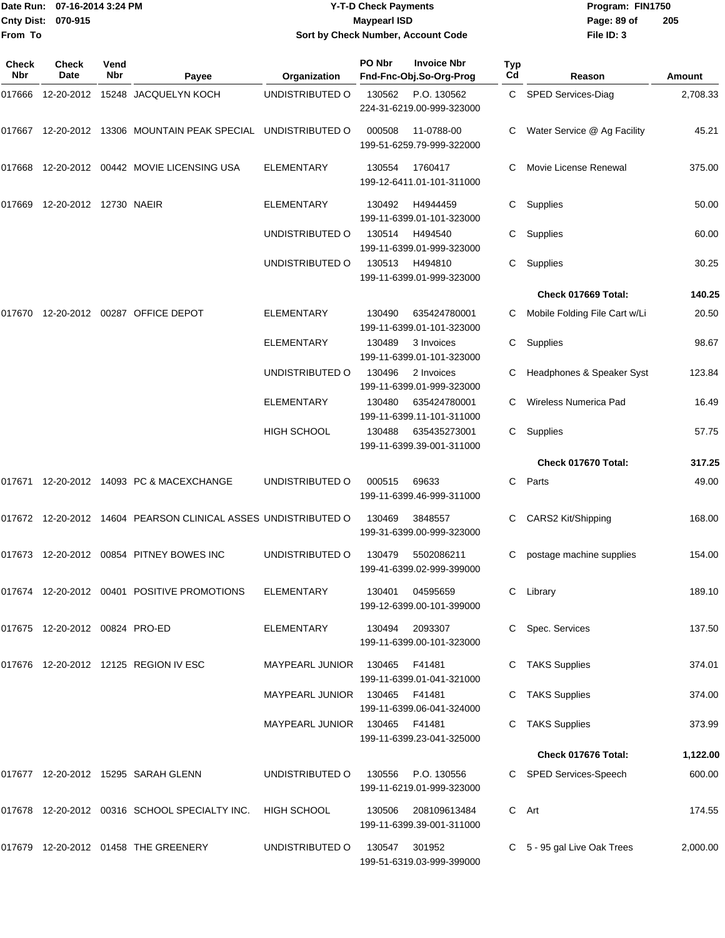|                    | Date Run: 07-16-2014 3:24 PM |
|--------------------|------------------------------|
| Cnty Dist: 070-915 |                              |
| From To            |                              |

## **Date Run: Program: FIN1750 07-16-2014 3:24 PM Y-T-D Check Payments Cnty Dist: Page: 89 of 070-915 Maypearl ISD Sort by Check Number, Account Code**

| <b>Check</b><br><b>Nbr</b> | Check<br>Date                  | Vend<br>Nbr | Payee                                                          | Organization                  | PO Nbr        | <b>Invoice Nbr</b><br>Fnd-Fnc-Obj.So-Org-Prog | Typ<br>Cd | Reason                        | Amount   |
|----------------------------|--------------------------------|-------------|----------------------------------------------------------------|-------------------------------|---------------|-----------------------------------------------|-----------|-------------------------------|----------|
| 017666                     |                                |             | 12-20-2012 15248 JACQUELYN KOCH                                | UNDISTRIBUTED O               | 130562        | P.O. 130562<br>224-31-6219.00-999-323000      | C         | SPED Services-Diag            | 2,708.33 |
| 017667                     |                                |             | 12-20-2012 13306 MOUNTAIN PEAK SPECIAL UNDISTRIBUTED O         |                               | 000508        | 11-0788-00<br>199-51-6259.79-999-322000       |           | Water Service @ Ag Facility   | 45.21    |
| 017668                     |                                |             | 12-20-2012 00442 MOVIE LICENSING USA                           | <b>ELEMENTARY</b>             | 130554        | 1760417<br>199-12-6411.01-101-311000          | С         | Movie License Renewal         | 375.00   |
| 017669                     | 12-20-2012 12730 NAEIR         |             |                                                                | <b>ELEMENTARY</b>             | 130492        | H4944459<br>199-11-6399.01-101-323000         | С         | Supplies                      | 50.00    |
|                            |                                |             |                                                                | UNDISTRIBUTED O               | 130514        | H494540<br>199-11-6399.01-999-323000          | С         | Supplies                      | 60.00    |
|                            |                                |             |                                                                | UNDISTRIBUTED O               | 130513        | H494810<br>199-11-6399.01-999-323000          | С         | Supplies                      | 30.25    |
|                            |                                |             |                                                                |                               |               |                                               |           | Check 017669 Total:           | 140.25   |
| 017670                     |                                |             | 12-20-2012 00287 OFFICE DEPOT                                  | <b>ELEMENTARY</b>             | 130490        | 635424780001<br>199-11-6399.01-101-323000     | С         | Mobile Folding File Cart w/Li | 20.50    |
|                            |                                |             |                                                                | <b>ELEMENTARY</b>             | 130489        | 3 Invoices<br>199-11-6399.01-101-323000       | С         | Supplies                      | 98.67    |
|                            |                                |             |                                                                | UNDISTRIBUTED O               | 130496        | 2 Invoices<br>199-11-6399.01-999-323000       |           | Headphones & Speaker Syst     | 123.84   |
|                            |                                |             |                                                                | ELEMENTARY                    | 130480        | 635424780001<br>199-11-6399.11-101-311000     |           | Wireless Numerica Pad         | 16.49    |
|                            |                                |             |                                                                | <b>HIGH SCHOOL</b>            | 130488        | 635435273001<br>199-11-6399.39-001-311000     | С         | Supplies                      | 57.75    |
|                            |                                |             |                                                                |                               |               |                                               |           | Check 017670 Total:           | 317.25   |
|                            |                                |             | 017671 12-20-2012 14093 PC & MACEXCHANGE                       | UNDISTRIBUTED O               | 000515        | 69633<br>199-11-6399.46-999-311000            | С         | Parts                         | 49.00    |
|                            |                                |             | 017672 12-20-2012 14604 PEARSON CLINICAL ASSES UNDISTRIBUTED O |                               | 130469        | 3848557<br>199-31-6399.00-999-323000          | С         | CARS2 Kit/Shipping            | 168.00   |
| 017673                     |                                |             | 12-20-2012  00854  PITNEY BOWES INC                            | UNDISTRIBUTED O               | 130479        | 5502086211<br>199-41-6399.02-999-399000       | С         | postage machine supplies      | 154.00   |
|                            |                                |             | 017674 12-20-2012 00401 POSITIVE PROMOTIONS                    | <b>ELEMENTARY</b>             | 130401        | 04595659<br>199-12-6399.00-101-399000         |           | C Library                     | 189.10   |
|                            | 017675 12-20-2012 00824 PRO-ED |             |                                                                | <b>ELEMENTARY</b>             |               | 130494 2093307<br>199-11-6399.00-101-323000   |           | Spec. Services                | 137.50   |
|                            |                                |             | 017676 12-20-2012 12125 REGION IV ESC                          | MAYPEARL JUNIOR               | 130465        | F41481<br>199-11-6399.01-041-321000           |           | C TAKS Supplies               | 374.01   |
|                            |                                |             |                                                                | <b>MAYPEARL JUNIOR</b>        | 130465 F41481 | 199-11-6399.06-041-324000                     |           | TAKS Supplies                 | 374.00   |
|                            |                                |             |                                                                | MAYPEARL JUNIOR 130465 F41481 |               | 199-11-6399.23-041-325000                     |           | <b>TAKS Supplies</b>          | 373.99   |
|                            |                                |             |                                                                |                               |               |                                               |           | Check 017676 Total:           | 1,122.00 |
|                            |                                |             | 017677 12-20-2012 15295 SARAH GLENN                            | UNDISTRIBUTED O               | 130556        | P.O. 130556<br>199-11-6219.01-999-323000      |           | C SPED Services-Speech        | 600.00   |
|                            |                                |             | 017678 12-20-2012 00316 SCHOOL SPECIALTY INC.                  | <b>HIGH SCHOOL</b>            | 130506        | 208109613484<br>199-11-6399.39-001-311000     |           | C Art                         | 174.55   |
|                            |                                |             | 017679 12-20-2012 01458 THE GREENERY                           | UNDISTRIBUTED O               | 130547 301952 | 199-51-6319.03-999-399000                     |           | C 5 - 95 gal Live Oak Trees   | 2,000.00 |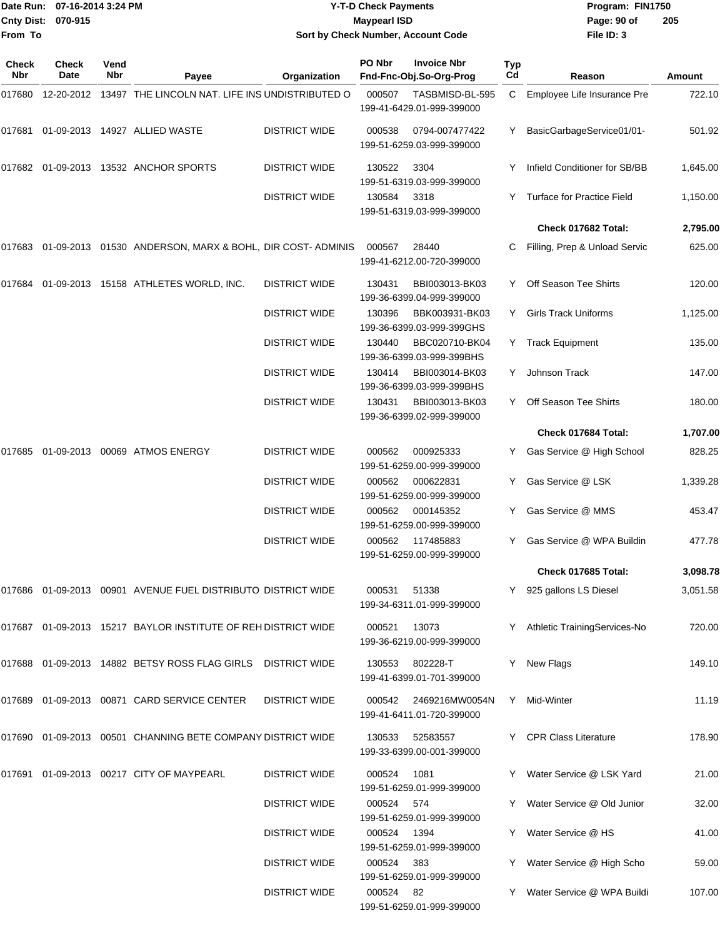| From To      | Date Run: 07-16-2014 3:24 PM<br>Cnty Dist: 070-915 |      |                                                                 |                      | <b>Y-T-D Check Payments</b><br><b>Maypearl ISD</b> | Sort by Check Number, Account Code           |     | Program: FIN1750<br>Page: 90 of<br>205<br>File ID: 3 |          |  |
|--------------|----------------------------------------------------|------|-----------------------------------------------------------------|----------------------|----------------------------------------------------|----------------------------------------------|-----|------------------------------------------------------|----------|--|
| <b>Check</b> | <b>Check</b>                                       | Vend |                                                                 |                      | PO Nbr                                             | <b>Invoice Nbr</b>                           | Typ |                                                      |          |  |
| Nbr          | Date                                               | Nbr  | Payee                                                           | Organization         |                                                    | Fnd-Fnc-Obj.So-Org-Prog                      | Cd  | Reason                                               | Amount   |  |
| 017680       |                                                    |      | 12-20-2012 13497 THE LINCOLN NAT. LIFE INS UNDISTRIBUTED O      |                      | 000507                                             | TASBMISD-BL-595<br>199-41-6429.01-999-399000 | C   | Employee Life Insurance Pre                          | 722.10   |  |
| 017681       |                                                    |      | 01-09-2013  14927  ALLIED WASTE                                 | <b>DISTRICT WIDE</b> | 000538                                             | 0794-007477422<br>199-51-6259.03-999-399000  | Y   | BasicGarbageService01/01-                            | 501.92   |  |
|              |                                                    |      | 017682 01-09-2013 13532 ANCHOR SPORTS                           | <b>DISTRICT WIDE</b> | 130522                                             | 3304<br>199-51-6319.03-999-399000            |     | Infield Conditioner for SB/BB                        | 1,645.00 |  |
|              |                                                    |      |                                                                 | <b>DISTRICT WIDE</b> | 130584                                             | 3318<br>199-51-6319.03-999-399000            | Y   | <b>Turface for Practice Field</b>                    | 1,150.00 |  |
|              |                                                    |      |                                                                 |                      |                                                    |                                              |     | Check 017682 Total:                                  | 2,795.00 |  |
| 017683       |                                                    |      | 01-09-2013 01530 ANDERSON, MARX & BOHL, DIR COST-ADMINIS        |                      | 000567                                             | 28440<br>199-41-6212.00-720-399000           | C   | Filling, Prep & Unload Servic                        | 625.00   |  |
|              |                                                    |      | 017684 01-09-2013 15158 ATHLETES WORLD, INC.                    | <b>DISTRICT WIDE</b> | 130431                                             | BBI003013-BK03<br>199-36-6399.04-999-399000  | Y   | Off Season Tee Shirts                                | 120.00   |  |
|              |                                                    |      |                                                                 | <b>DISTRICT WIDE</b> | 130396                                             | BBK003931-BK03<br>199-36-6399.03-999-399GHS  | Y   | <b>Girls Track Uniforms</b>                          | 1,125.00 |  |
|              |                                                    |      |                                                                 | <b>DISTRICT WIDE</b> | 130440                                             | BBC020710-BK04<br>199-36-6399.03-999-399BHS  | Y.  | <b>Track Equipment</b>                               | 135.00   |  |
|              |                                                    |      |                                                                 | <b>DISTRICT WIDE</b> | 130414                                             | BBI003014-BK03<br>199-36-6399.03-999-399BHS  | Y   | Johnson Track                                        | 147.00   |  |
|              |                                                    |      |                                                                 | <b>DISTRICT WIDE</b> | 130431                                             | BBI003013-BK03<br>199-36-6399.02-999-399000  | Y   | Off Season Tee Shirts                                | 180.00   |  |
|              |                                                    |      |                                                                 |                      |                                                    |                                              |     | Check 017684 Total:                                  | 1,707.00 |  |
| 017685       |                                                    |      | 01-09-2013 00069 ATMOS ENERGY                                   | <b>DISTRICT WIDE</b> | 000562                                             | 000925333<br>199-51-6259.00-999-399000       | Y   | Gas Service @ High School                            | 828.25   |  |
|              |                                                    |      |                                                                 | <b>DISTRICT WIDE</b> | 000562                                             | 000622831<br>199-51-6259.00-999-399000       | Y   | Gas Service @ LSK                                    | 1,339.28 |  |
|              |                                                    |      |                                                                 | <b>DISTRICT WIDE</b> | 000562                                             | 000145352<br>199-51-6259.00-999-399000       | Y   | Gas Service @ MMS                                    | 453.47   |  |
|              |                                                    |      |                                                                 | <b>DISTRICT WIDE</b> | 000562                                             | 117485883<br>199-51-6259.00-999-399000       |     | Y Gas Service @ WPA Buildin                          | 477.78   |  |
|              |                                                    |      |                                                                 |                      |                                                    |                                              |     | Check 017685 Total:                                  | 3,098.78 |  |
|              |                                                    |      | 017686  01-09-2013  00901  AVENUE FUEL DISTRIBUTO DISTRICT WIDE |                      | 000531                                             | 51338<br>199-34-6311.01-999-399000           |     | Y 925 gallons LS Diesel                              | 3,051.58 |  |
|              |                                                    |      | 017687 01-09-2013 15217 BAYLOR INSTITUTE OF REH DISTRICT WIDE   |                      | 000521                                             | 13073<br>199-36-6219.00-999-399000           |     | Y Athletic TrainingServices-No                       | 720.00   |  |
|              |                                                    |      | 017688  01-09-2013  14882  BETSY ROSS FLAG GIRLS  DISTRICT WIDE |                      | 130553                                             | 802228-T<br>199-41-6399.01-701-399000        | Y.  | New Flags                                            | 149.10   |  |
|              |                                                    |      | 017689 01-09-2013 00871 CARD SERVICE CENTER                     | <b>DISTRICT WIDE</b> | 000542                                             | 2469216MW0054N<br>199-41-6411.01-720-399000  |     | Y Mid-Winter                                         | 11.19    |  |
|              |                                                    |      | 017690 01-09-2013 00501 CHANNING BETE COMPANY DISTRICT WIDE     |                      | 130533                                             | 52583557<br>199-33-6399.00-001-399000        |     | Y CPR Class Literature                               | 178.90   |  |
|              |                                                    |      | 017691 01-09-2013 00217 CITY OF MAYPEARL                        | <b>DISTRICT WIDE</b> | 000524                                             | 1081<br>199-51-6259.01-999-399000            |     | Y Water Service @ LSK Yard                           | 21.00    |  |
|              |                                                    |      |                                                                 | <b>DISTRICT WIDE</b> | 000524 574                                         | 199-51-6259.01-999-399000                    |     | Y Water Service @ Old Junior                         | 32.00    |  |
|              |                                                    |      |                                                                 | <b>DISTRICT WIDE</b> | 000524                                             | 1394<br>199-51-6259.01-999-399000            |     | Y Water Service @ HS                                 | 41.00    |  |
|              |                                                    |      |                                                                 | <b>DISTRICT WIDE</b> | 000524                                             | - 383<br>199-51-6259.01-999-399000           |     | Y Water Service @ High Scho                          | 59.00    |  |
|              |                                                    |      |                                                                 | <b>DISTRICT WIDE</b> | 000524 82                                          | 199-51-6259.01-999-399000                    |     | Y Water Service @ WPA Buildi                         | 107.00   |  |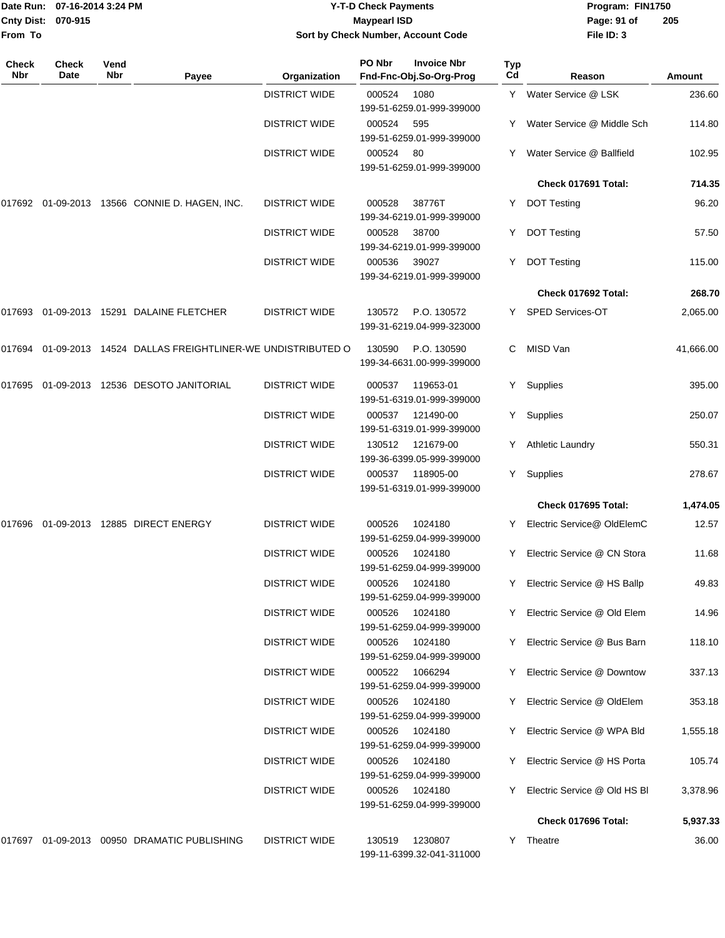|              | Date Run: 07-16-2014 3:24 PM |             |                                                         | <b>Y-T-D Check Payments</b> | Program: FIN1750    |                                               |           |                              |           |
|--------------|------------------------------|-------------|---------------------------------------------------------|-----------------------------|---------------------|-----------------------------------------------|-----------|------------------------------|-----------|
| From To      | Cnty Dist: 070-915           |             |                                                         |                             | <b>Maypearl ISD</b> | Sort by Check Number, Account Code            |           | Page: 91 of<br>File ID: 3    | 205       |
| Check<br>Nbr | <b>Check</b><br>Date         | Vend<br>Nbr | Payee                                                   | Organization                | PO Nbr              | <b>Invoice Nbr</b><br>Fnd-Fnc-Obj.So-Org-Prog | Typ<br>Cd | Reason                       | Amount    |
|              |                              |             |                                                         | <b>DISTRICT WIDE</b>        | 000524              | 1080<br>199-51-6259.01-999-399000             | Y         | Water Service @ LSK          | 236.60    |
|              |                              |             |                                                         | <b>DISTRICT WIDE</b>        | 000524              | 595<br>199-51-6259.01-999-399000              |           | Water Service @ Middle Sch   | 114.80    |
|              |                              |             |                                                         | <b>DISTRICT WIDE</b>        | 000524              | 80<br>199-51-6259.01-999-399000               | Y         | Water Service @ Ballfield    | 102.95    |
|              |                              |             |                                                         |                             |                     |                                               |           | Check 017691 Total:          | 714.35    |
| 017692       |                              |             | 01-09-2013  13566  CONNIE D. HAGEN, INC.                | <b>DISTRICT WIDE</b>        | 000528              | 38776T<br>199-34-6219.01-999-399000           | Y         | <b>DOT Testing</b>           | 96.20     |
|              |                              |             |                                                         | <b>DISTRICT WIDE</b>        | 000528              | 38700<br>199-34-6219.01-999-399000            | Y         | <b>DOT Testing</b>           | 57.50     |
|              |                              |             |                                                         | <b>DISTRICT WIDE</b>        | 000536              | 39027<br>199-34-6219.01-999-399000            | Y         | <b>DOT Testing</b>           | 115.00    |
|              |                              |             |                                                         |                             |                     |                                               |           | Check 017692 Total:          | 268.70    |
| 017693       |                              |             | 01-09-2013 15291 DALAINE FLETCHER                       | <b>DISTRICT WIDE</b>        | 130572              | P.O. 130572<br>199-31-6219.04-999-323000      | Y         | SPED Services-OT             | 2,065.00  |
| 017694       |                              |             | 01-09-2013 14524 DALLAS FREIGHTLINER-WE UNDISTRIBUTED O |                             | 130590              | P.O. 130590<br>199-34-6631.00-999-399000      | C         | MISD Van                     | 41,666.00 |
| 017695       |                              |             | 01-09-2013 12536 DESOTO JANITORIAL                      | <b>DISTRICT WIDE</b>        | 000537              | 119653-01<br>199-51-6319.01-999-399000        | Y         | Supplies                     | 395.00    |
|              |                              |             |                                                         | <b>DISTRICT WIDE</b>        | 000537              | 121490-00<br>199-51-6319.01-999-399000        | Y.        | Supplies                     | 250.07    |
|              |                              |             |                                                         | <b>DISTRICT WIDE</b>        | 130512              | 121679-00<br>199-36-6399.05-999-399000        | Y         | <b>Athletic Laundry</b>      | 550.31    |
|              |                              |             |                                                         | <b>DISTRICT WIDE</b>        | 000537              | 118905-00<br>199-51-6319.01-999-399000        | Y         | Supplies                     | 278.67    |
|              |                              |             |                                                         |                             |                     |                                               |           | Check 017695 Total:          | 1,474.05  |
|              |                              |             | 017696  01-09-2013  12885  DIRECT ENERGY                | <b>DISTRICT WIDE</b>        | 000526              | 1024180<br>199-51-6259.04-999-399000          |           | Y Electric Service@ OldElemC | 12.57     |
|              |                              |             |                                                         | <b>DISTRICT WIDE</b>        | 000526              | 1024180<br>199-51-6259.04-999-399000          | Y         | Electric Service @ CN Stora  | 11.68     |
|              |                              |             |                                                         | <b>DISTRICT WIDE</b>        | 000526              | 1024180<br>199-51-6259.04-999-399000          | Y         | Electric Service @ HS Ballp  | 49.83     |
|              |                              |             |                                                         | <b>DISTRICT WIDE</b>        | 000526              | 1024180<br>199-51-6259.04-999-399000          | Y         | Electric Service @ Old Elem  | 14.96     |
|              |                              |             |                                                         | <b>DISTRICT WIDE</b>        | 000526              | 1024180<br>199-51-6259.04-999-399000          |           | Electric Service @ Bus Barn  | 118.10    |
|              |                              |             |                                                         | <b>DISTRICT WIDE</b>        | 000522              | 1066294<br>199-51-6259.04-999-399000          | Y         | Electric Service @ Downtow   | 337.13    |
|              |                              |             |                                                         | <b>DISTRICT WIDE</b>        | 000526              | 1024180<br>199-51-6259.04-999-399000          | Y         | Electric Service @ OldElem   | 353.18    |
|              |                              |             |                                                         | <b>DISTRICT WIDE</b>        | 000526              | 1024180<br>199-51-6259.04-999-399000          | Y         | Electric Service @ WPA Bld   | 1,555.18  |
|              |                              |             |                                                         | <b>DISTRICT WIDE</b>        | 000526              | 1024180<br>199-51-6259.04-999-399000          | Y         | Electric Service @ HS Porta  | 105.74    |
|              |                              |             |                                                         | <b>DISTRICT WIDE</b>        | 000526              | 1024180<br>199-51-6259.04-999-399000          | Y         | Electric Service @ Old HS BI | 3,378.96  |
|              |                              |             |                                                         |                             |                     |                                               |           | Check 017696 Total:          | 5,937.33  |
|              |                              |             | 017697 01-09-2013 00950 DRAMATIC PUBLISHING             | <b>DISTRICT WIDE</b>        | 130519              | 1230807                                       |           | Y Theatre                    | 36.00     |

199-11-6399.32-041-311000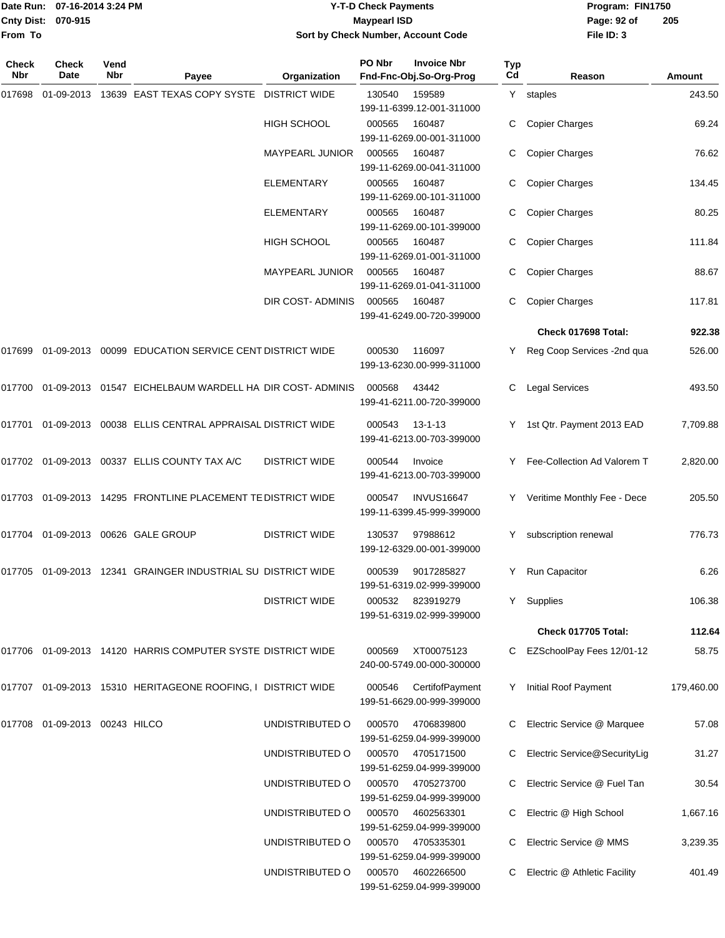|                    | Date Run: 07-16-2014 3:24 PM |
|--------------------|------------------------------|
| Cnty Dist: 070-915 |                              |
| From To            |                              |

## **Date Run: Program: FIN1750 07-16-2014 3:24 PM Y-T-D Check Payments Cnty Dist: Page: 92 of 070-915 Maypearl ISD Sort by Check Number, Account Code**

| Check<br>Nbr | <b>Check</b><br>Date   | Vend<br>Nbr | Payee                                                           | Organization             | PO Nbr | <b>Invoice Nbr</b><br>Fnd-Fnc-Obj.So-Org-Prog  | <b>Typ</b><br>Cd | Reason                       | Amount     |
|--------------|------------------------|-------------|-----------------------------------------------------------------|--------------------------|--------|------------------------------------------------|------------------|------------------------------|------------|
| 017698       | 01-09-2013             |             | 13639 EAST TEXAS COPY SYSTE                                     | <b>DISTRICT WIDE</b>     | 130540 | 159589<br>199-11-6399.12-001-311000            |                  | Y staples                    | 243.50     |
|              |                        |             |                                                                 | <b>HIGH SCHOOL</b>       | 000565 | 160487<br>199-11-6269.00-001-311000            |                  | <b>Copier Charges</b>        | 69.24      |
|              |                        |             |                                                                 | <b>MAYPEARL JUNIOR</b>   | 000565 | 160487<br>199-11-6269.00-041-311000            |                  | <b>Copier Charges</b>        | 76.62      |
|              |                        |             |                                                                 | <b>ELEMENTARY</b>        | 000565 | 160487<br>199-11-6269.00-101-311000            | С                | <b>Copier Charges</b>        | 134.45     |
|              |                        |             |                                                                 | <b>ELEMENTARY</b>        | 000565 | 160487<br>199-11-6269.00-101-399000            |                  | <b>Copier Charges</b>        | 80.25      |
|              |                        |             |                                                                 | <b>HIGH SCHOOL</b>       | 000565 | 160487<br>199-11-6269.01-001-311000            | С                | <b>Copier Charges</b>        | 111.84     |
|              |                        |             |                                                                 | MAYPEARL JUNIOR          | 000565 | 160487<br>199-11-6269.01-041-311000            | С                | <b>Copier Charges</b>        | 88.67      |
|              |                        |             |                                                                 | <b>DIR COST- ADMINIS</b> | 000565 | 160487<br>199-41-6249.00-720-399000            | С                | <b>Copier Charges</b>        | 117.81     |
|              |                        |             |                                                                 |                          |        |                                                |                  | Check 017698 Total:          | 922.38     |
| 017699       |                        |             | 01-09-2013  00099  EDUCATION SERVICE CENT DISTRICT WIDE         |                          | 000530 | 116097<br>199-13-6230.00-999-311000            |                  | Reg Coop Services -2nd qua   | 526.00     |
| 017700       |                        |             | 01-09-2013 01547 EICHELBAUM WARDELL HA DIR COST- ADMINIS        |                          | 000568 | 43442<br>199-41-6211.00-720-399000             | C.               | <b>Legal Services</b>        | 493.50     |
| 017701       |                        |             | 01-09-2013 00038 ELLIS CENTRAL APPRAISAL DISTRICT WIDE          |                          | 000543 | $13 - 1 - 13$<br>199-41-6213.00-703-399000     | Y                | 1st Qtr. Payment 2013 EAD    | 7,709.88   |
|              |                        |             | 017702 01-09-2013 00337 ELLIS COUNTY TAX A/C                    | <b>DISTRICT WIDE</b>     | 000544 | Invoice<br>199-41-6213.00-703-399000           |                  | Fee-Collection Ad Valorem T  | 2,820.00   |
| 017703       |                        |             | 01-09-2013 14295 FRONTLINE PLACEMENT TE DISTRICT WIDE           |                          | 000547 | <b>INVUS16647</b><br>199-11-6399.45-999-399000 | Y                | Veritime Monthly Fee - Dece  | 205.50     |
|              |                        |             | 017704 01-09-2013 00626 GALE GROUP                              | <b>DISTRICT WIDE</b>     | 130537 | 97988612<br>199-12-6329.00-001-399000          | Y                | subscription renewal         | 776.73     |
| 017705       |                        |             | 01-09-2013 12341 GRAINGER INDUSTRIAL SU DISTRICT WIDE           |                          | 000539 | 9017285827<br>199-51-6319.02-999-399000        | Y                | Run Capacitor                | 6.26       |
|              |                        |             |                                                                 | <b>DISTRICT WIDE</b>     | 000532 | 823919279<br>199-51-6319.02-999-399000         |                  | Y Supplies                   | 106.38     |
|              |                        |             |                                                                 |                          |        |                                                |                  | Check 017705 Total:          | 112.64     |
|              |                        |             | 017706  01-09-2013  14120  HARRIS COMPUTER SYSTE DISTRICT WIDE  |                          | 000569 | XT00075123<br>240-00-5749.00-000-300000        | C.               | EZSchoolPay Fees 12/01-12    | 58.75      |
|              |                        |             | 017707  01-09-2013  15310  HERITAGEONE ROOFING, I DISTRICT WIDE |                          | 000546 | CertifofPayment<br>199-51-6629.00-999-399000   | Y                | Initial Roof Payment         | 179,460.00 |
| 017708       | 01-09-2013 00243 HILCO |             |                                                                 | UNDISTRIBUTED O          | 000570 | 4706839800<br>199-51-6259.04-999-399000        |                  | Electric Service @ Marquee   | 57.08      |
|              |                        |             |                                                                 | UNDISTRIBUTED O          | 000570 | 4705171500<br>199-51-6259.04-999-399000        |                  | Electric Service@SecurityLig | 31.27      |
|              |                        |             |                                                                 | UNDISTRIBUTED O          | 000570 | 4705273700<br>199-51-6259.04-999-399000        |                  | Electric Service @ Fuel Tan  | 30.54      |
|              |                        |             |                                                                 | UNDISTRIBUTED O          | 000570 | 4602563301<br>199-51-6259.04-999-399000        |                  | Electric @ High School       | 1,667.16   |
|              |                        |             |                                                                 | UNDISTRIBUTED O          | 000570 | 4705335301<br>199-51-6259.04-999-399000        |                  | Electric Service @ MMS       | 3,239.35   |
|              |                        |             |                                                                 | UNDISTRIBUTED O          | 000570 | 4602266500<br>199-51-6259.04-999-399000        | С                | Electric @ Athletic Facility | 401.49     |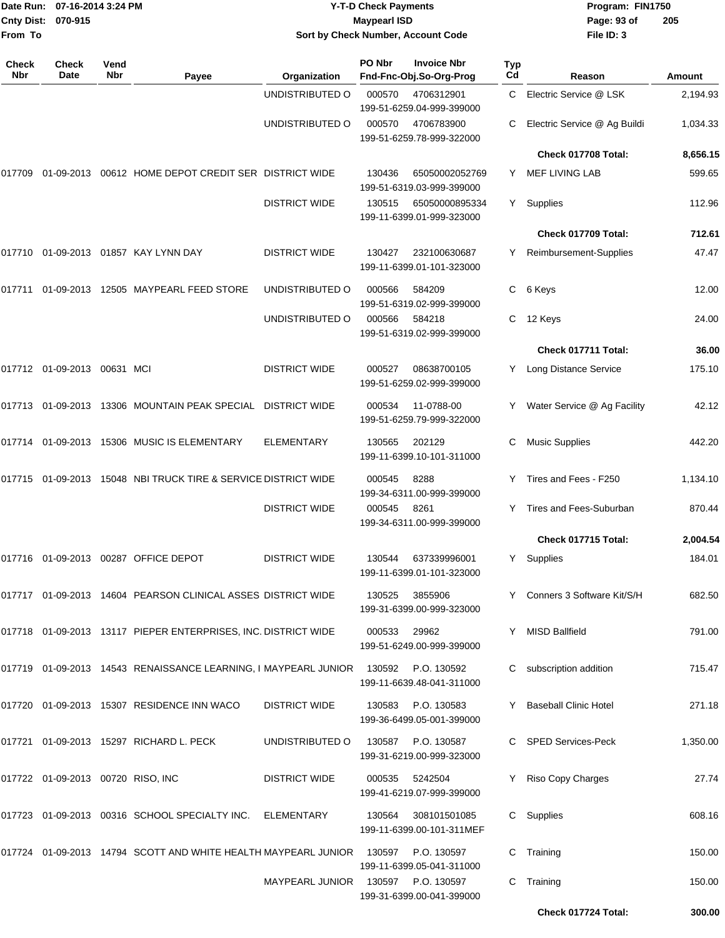| From To             | Date Run: 07-16-2014 3:24 PM<br>Cnty Dist: 070-915 |             |                                                                            |                      | <b>Y-T-D Check Payments</b><br><b>Maypearl ISD</b> | Sort by Check Number, Account Code              |           | Program: FIN1750<br>Page: 93 of<br>File ID: 3 | 205      |
|---------------------|----------------------------------------------------|-------------|----------------------------------------------------------------------------|----------------------|----------------------------------------------------|-------------------------------------------------|-----------|-----------------------------------------------|----------|
| <b>Check</b><br>Nbr | Check<br>Date                                      | Vend<br>Nbr | Payee                                                                      | Organization         | PO Nbr                                             | <b>Invoice Nbr</b><br>Fnd-Fnc-Obj.So-Org-Prog   | Typ<br>Cd | Reason                                        | Amount   |
|                     |                                                    |             |                                                                            | UNDISTRIBUTED O      | 000570                                             | 4706312901<br>199-51-6259.04-999-399000         | C.        | Electric Service @ LSK                        | 2,194.93 |
|                     |                                                    |             |                                                                            | UNDISTRIBUTED O      | 000570                                             | 4706783900<br>199-51-6259.78-999-322000         | С         | Electric Service @ Ag Buildi                  | 1,034.33 |
|                     |                                                    |             |                                                                            |                      |                                                    |                                                 |           | Check 017708 Total:                           | 8,656.15 |
| 017709              |                                                    |             | 01-09-2013  00612  HOME DEPOT CREDIT SER  DISTRICT WIDE                    |                      | 130436                                             | 65050002052769<br>199-51-6319.03-999-399000     | Y.        | <b>MEF LIVING LAB</b>                         | 599.65   |
|                     |                                                    |             |                                                                            | <b>DISTRICT WIDE</b> | 130515                                             | 65050000895334<br>199-11-6399.01-999-323000     | Y.        | Supplies                                      | 112.96   |
|                     |                                                    |             |                                                                            |                      |                                                    |                                                 |           | Check 017709 Total:                           | 712.61   |
|                     |                                                    |             |                                                                            | <b>DISTRICT WIDE</b> | 130427                                             | 232100630687<br>199-11-6399.01-101-323000       | Y.        | Reimbursement-Supplies                        | 47.47    |
| 017711              |                                                    |             | 01-09-2013 12505 MAYPEARL FEED STORE                                       | UNDISTRIBUTED O      | 000566                                             | 584209<br>199-51-6319.02-999-399000             | С         | 6 Keys                                        | 12.00    |
|                     |                                                    |             |                                                                            | UNDISTRIBUTED O      | 000566                                             | 584218<br>199-51-6319.02-999-399000             | С         | 12 Keys                                       | 24.00    |
|                     |                                                    |             |                                                                            |                      |                                                    |                                                 |           | Check 017711 Total:                           | 36.00    |
|                     | 017712 01-09-2013 00631 MCI                        |             |                                                                            | <b>DISTRICT WIDE</b> | 000527                                             | 08638700105<br>199-51-6259.02-999-399000        | Y.        | Long Distance Service                         | 175.10   |
|                     |                                                    |             | 017713 01-09-2013 13306 MOUNTAIN PEAK SPECIAL DISTRICT WIDE                |                      | 000534                                             | 11-0788-00<br>199-51-6259.79-999-322000         |           | Water Service @ Ag Facility                   | 42.12    |
| 017714              |                                                    |             | 01-09-2013 15306 MUSIC IS ELEMENTARY                                       | <b>ELEMENTARY</b>    | 130565                                             | 202129<br>199-11-6399.10-101-311000             | С         | <b>Music Supplies</b>                         | 442.20   |
|                     |                                                    |             | 017715 01-09-2013 15048 NBI TRUCK TIRE & SERVICE DISTRICT WIDE             |                      | 000545                                             | 8288<br>199-34-6311.00-999-399000               | Y         | Tires and Fees - F250                         | 1,134.10 |
|                     |                                                    |             |                                                                            | <b>DISTRICT WIDE</b> | 000545                                             | 8261<br>199-34-6311.00-999-399000               | Y         | Tires and Fees-Suburban                       | 870.44   |
|                     |                                                    |             |                                                                            |                      |                                                    |                                                 |           | Check 017715 Total:                           | 2,004.54 |
|                     |                                                    |             | 017716 01-09-2013 00287 OFFICE DEPOT                                       | <b>DISTRICT WIDE</b> | 130544                                             | 637339996001<br>199-11-6399.01-101-323000       |           | Y Supplies                                    | 184.01   |
|                     |                                                    |             | 017717 01-09-2013 14604 PEARSON CLINICAL ASSES DISTRICT WIDE               |                      | 130525                                             | 3855906<br>199-31-6399.00-999-323000            |           | Y Conners 3 Software Kit/S/H                  | 682.50   |
|                     |                                                    |             | 017718 01-09-2013 13117 PIEPER ENTERPRISES, INC. DISTRICT WIDE             |                      | 000533                                             | 29962<br>199-51-6249.00-999-399000              |           | Y MISD Ballfield                              | 791.00   |
|                     |                                                    |             | 017719  01-09-2013  14543  RENAISSANCE LEARNING, I MAYPEARL JUNIOR  130592 |                      |                                                    | P.O. 130592<br>199-11-6639.48-041-311000        |           | C subscription addition                       | 715.47   |
|                     |                                                    |             | 017720 01-09-2013 15307 RESIDENCE INN WACO                                 | <b>DISTRICT WIDE</b> | 130583                                             | P.O. 130583<br>199-36-6499.05-001-399000        | Y.        | <b>Baseball Clinic Hotel</b>                  | 271.18   |
|                     |                                                    |             | 017721 01-09-2013 15297 RICHARD L. PECK                                    | UNDISTRIBUTED O      | 130587                                             | P.O. 130587<br>199-31-6219.00-999-323000        |           | C SPED Services-Peck                          | 1,350.00 |
|                     | 017722 01-09-2013 00720 RISO, INC                  |             |                                                                            | <b>DISTRICT WIDE</b> | 000535                                             | 5242504<br>199-41-6219.07-999-399000            |           | Y Riso Copy Charges                           | 27.74    |
|                     |                                                    |             | 017723 01-09-2013 00316 SCHOOL SPECIALTY INC. ELEMENTARY                   |                      | 130564                                             | 308101501085<br>199-11-6399.00-101-311MEF       |           | C Supplies                                    | 608.16   |
|                     |                                                    |             | 017724 01-09-2013 14794 SCOTT AND WHITE HEALTH MAYPEARL JUNIOR             |                      | 130597                                             | P.O. 130597<br>199-11-6399.05-041-311000        |           | C Training                                    | 150.00   |
|                     |                                                    |             |                                                                            | MAYPEARL JUNIOR      |                                                    | 130597 P.O. 130597<br>199-31-6399.00-041-399000 |           | C Training                                    | 150.00   |

**Check 017724 Total: 300.00**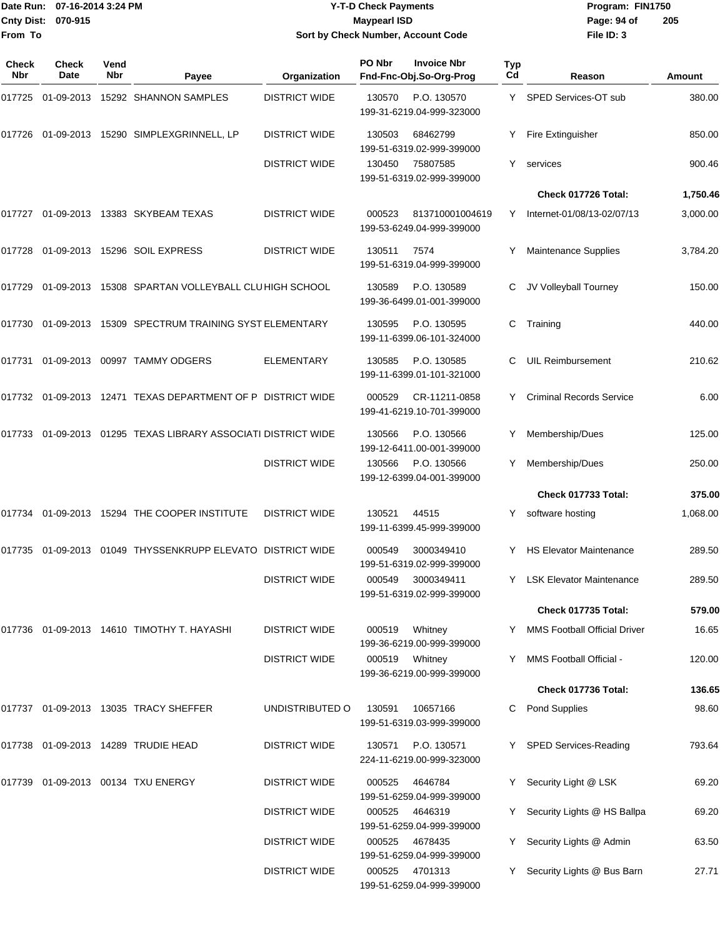#### Date Run: 07-16-2014 3:24 PM **Program:** FIN1750 **Cnty Dist:** 070-915 **Page: 94 of MaypearI ISD Page: 94 of Y-T-D Check Payments 070-915 Maypearl ISD Sort by Check Number, Account Code**

| Check<br>Nbr | Check<br>Date | Vend<br>Nbr | Payee                                                    | Organization         | PO Nbr | <b>Invoice Nbr</b><br>Fnd-Fnc-Obj.So-Org-Prog | Typ<br>Cd | Reason                              | Amount   |
|--------------|---------------|-------------|----------------------------------------------------------|----------------------|--------|-----------------------------------------------|-----------|-------------------------------------|----------|
| 017725       | 01-09-2013    |             | 15292 SHANNON SAMPLES                                    | <b>DISTRICT WIDE</b> | 130570 | P.O. 130570<br>199-31-6219.04-999-323000      | Y.        | SPED Services-OT sub                | 380.00   |
| 017726       |               |             | 01-09-2013 15290 SIMPLEXGRINNELL, LP                     | <b>DISTRICT WIDE</b> | 130503 | 68462799<br>199-51-6319.02-999-399000         | Y         | Fire Extinguisher                   | 850.00   |
|              |               |             |                                                          | <b>DISTRICT WIDE</b> | 130450 | 75807585<br>199-51-6319.02-999-399000         | Y         | services                            | 900.46   |
|              |               |             |                                                          |                      |        |                                               |           | Check 017726 Total:                 | 1,750.46 |
| 017727       |               |             | 01-09-2013 13383 SKYBEAM TEXAS                           | <b>DISTRICT WIDE</b> | 000523 | 813710001004619<br>199-53-6249.04-999-399000  | Y         | Internet-01/08/13-02/07/13          | 3,000.00 |
| 017728       |               |             | 01-09-2013 15296 SOIL EXPRESS                            | <b>DISTRICT WIDE</b> | 130511 | 7574<br>199-51-6319.04-999-399000             | Y         | <b>Maintenance Supplies</b>         | 3,784.20 |
| 017729       |               |             | 01-09-2013 15308 SPARTAN VOLLEYBALL CLUHIGH SCHOOL       |                      | 130589 | P.O. 130589<br>199-36-6499.01-001-399000      | С         | JV Volleyball Tourney               | 150.00   |
| 017730       |               |             | 01-09-2013 15309 SPECTRUM TRAINING SYST ELEMENTARY       |                      | 130595 | P.O. 130595<br>199-11-6399.06-101-324000      | С         | Training                            | 440.00   |
| 017731       |               |             | 01-09-2013 00997 TAMMY ODGERS                            | <b>ELEMENTARY</b>    | 130585 | P.O. 130585<br>199-11-6399.01-101-321000      | С         | <b>UIL Reimbursement</b>            | 210.62   |
| 017732       |               |             | 01-09-2013 12471 TEXAS DEPARTMENT OF P DISTRICT WIDE     |                      | 000529 | CR-11211-0858<br>199-41-6219.10-701-399000    | Y         | <b>Criminal Records Service</b>     | 6.00     |
| 017733       |               |             | 01-09-2013  01295  TEXAS LIBRARY ASSOCIATI DISTRICT WIDE |                      | 130566 | P.O. 130566<br>199-12-6411.00-001-399000      | Y         | Membership/Dues                     | 125.00   |
|              |               |             |                                                          | <b>DISTRICT WIDE</b> | 130566 | P.O. 130566<br>199-12-6399.04-001-399000      | Y         | Membership/Dues                     | 250.00   |
|              |               |             |                                                          |                      |        |                                               |           | Check 017733 Total:                 | 375.00   |
| 017734       |               |             | 01-09-2013 15294 THE COOPER INSTITUTE                    | <b>DISTRICT WIDE</b> | 130521 | 44515<br>199-11-6399.45-999-399000            | Y         | software hosting                    | 1,068.00 |
| 017735       |               |             | 01-09-2013  01049 THYSSENKRUPP ELEVATO DISTRICT WIDE     |                      | 000549 | 3000349410<br>199-51-6319.02-999-399000       | Y         | <b>HS Elevator Maintenance</b>      | 289.50   |
|              |               |             |                                                          | <b>DISTRICT WIDE</b> | 000549 | 3000349411<br>199-51-6319.02-999-399000       |           | Y LSK Elevator Maintenance          | 289.50   |
|              |               |             |                                                          |                      |        |                                               |           | Check 017735 Total:                 | 579.00   |
| 017736       |               |             | 01-09-2013 14610 TIMOTHY T. HAYASHI                      | <b>DISTRICT WIDE</b> | 000519 | Whitney<br>199-36-6219.00-999-399000          | Y.        | <b>MMS Football Official Driver</b> | 16.65    |
|              |               |             |                                                          | <b>DISTRICT WIDE</b> | 000519 | Whitney<br>199-36-6219.00-999-399000          | Y         | MMS Football Official -             | 120.00   |
|              |               |             |                                                          |                      |        |                                               |           | Check 017736 Total:                 | 136.65   |
| 017737       |               |             | 01-09-2013 13035 TRACY SHEFFER                           | UNDISTRIBUTED O      | 130591 | 10657166<br>199-51-6319.03-999-399000         | C         | <b>Pond Supplies</b>                | 98.60    |
| 017738       |               |             | 01-09-2013 14289 TRUDIE HEAD                             | <b>DISTRICT WIDE</b> | 130571 | P.O. 130571<br>224-11-6219.00-999-323000      |           | Y SPED Services-Reading             | 793.64   |
| 017739       |               |             | 01-09-2013 00134 TXU ENERGY                              | <b>DISTRICT WIDE</b> | 000525 | 4646784<br>199-51-6259.04-999-399000          | Y.        | Security Light @ LSK                | 69.20    |
|              |               |             |                                                          | <b>DISTRICT WIDE</b> | 000525 | 4646319<br>199-51-6259.04-999-399000          | Y         | Security Lights @ HS Ballpa         | 69.20    |
|              |               |             |                                                          | <b>DISTRICT WIDE</b> | 000525 | 4678435<br>199-51-6259.04-999-399000          | Y         | Security Lights @ Admin             | 63.50    |
|              |               |             |                                                          | <b>DISTRICT WIDE</b> | 000525 | 4701313<br>199-51-6259.04-999-399000          |           | Security Lights @ Bus Barn          | 27.71    |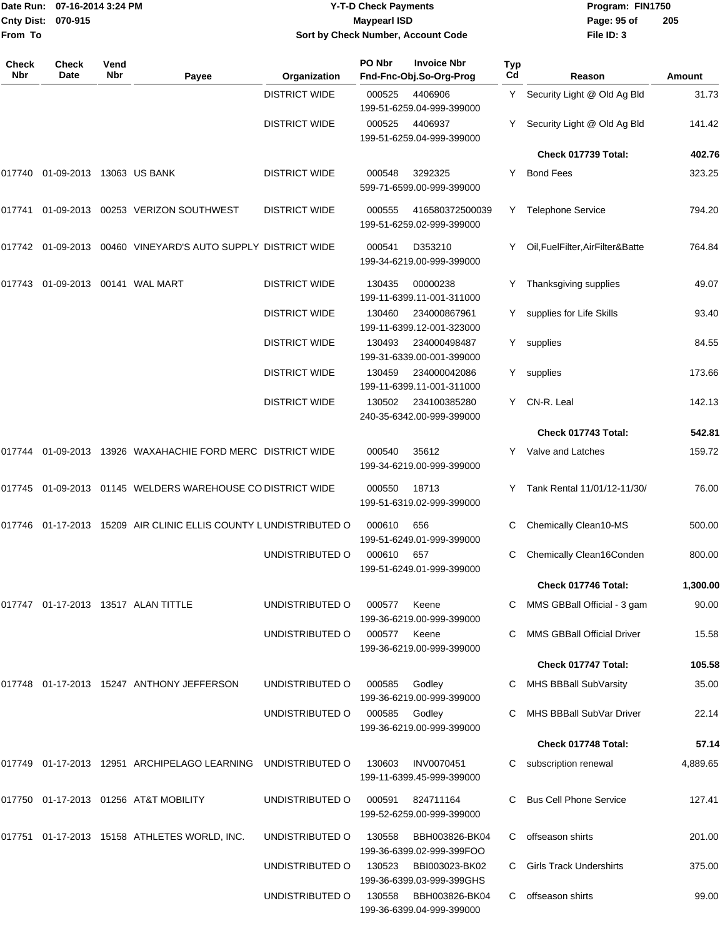| From To             | Date Run: 07-16-2014 3:24 PM<br>Cnty Dist: 070-915 |                    |                                                                     |                      | <b>Y-T-D Check Payments</b><br><b>Maypearl ISD</b> | Sort by Check Number, Account Code                                |           | Program: FIN1750<br>Page: 95 of<br>File ID: 3 | 205      |
|---------------------|----------------------------------------------------|--------------------|---------------------------------------------------------------------|----------------------|----------------------------------------------------|-------------------------------------------------------------------|-----------|-----------------------------------------------|----------|
| <b>Check</b><br>Nbr | Check<br>Date                                      | Vend<br><b>Nbr</b> | Payee                                                               | Organization         | PO Nbr                                             | <b>Invoice Nbr</b><br>Fnd-Fnc-Obj.So-Org-Prog                     | Typ<br>Cd | Reason                                        | Amount   |
|                     |                                                    |                    |                                                                     | <b>DISTRICT WIDE</b> | 000525                                             | 4406906                                                           |           | Y Security Light @ Old Ag Bld                 | 31.73    |
|                     |                                                    |                    |                                                                     | <b>DISTRICT WIDE</b> | 000525                                             | 199-51-6259.04-999-399000<br>4406937<br>199-51-6259.04-999-399000 |           | Security Light @ Old Ag Bld                   | 141.42   |
|                     |                                                    |                    |                                                                     |                      |                                                    |                                                                   |           | Check 017739 Total:                           | 402.76   |
|                     | 017740 01-09-2013 13063 US BANK                    |                    |                                                                     | <b>DISTRICT WIDE</b> | 000548                                             | 3292325<br>599-71-6599.00-999-399000                              | Y         | <b>Bond Fees</b>                              | 323.25   |
|                     |                                                    |                    | 017741 01-09-2013 00253 VERIZON SOUTHWEST                           | <b>DISTRICT WIDE</b> | 000555                                             | 416580372500039<br>199-51-6259.02-999-399000                      |           | Y Telephone Service                           | 794.20   |
|                     |                                                    |                    | 017742 01-09-2013 00460 VINEYARD'S AUTO SUPPLY DISTRICT WIDE        |                      | 000541                                             | D353210<br>199-34-6219.00-999-399000                              |           | Oil, FuelFilter, AirFilter&Batte              | 764.84   |
|                     | 017743  01-09-2013  00141  WAL MART                |                    |                                                                     | <b>DISTRICT WIDE</b> | 130435                                             | 00000238<br>199-11-6399.11-001-311000                             | Y.        | Thanksgiving supplies                         | 49.07    |
|                     |                                                    |                    |                                                                     | <b>DISTRICT WIDE</b> | 130460                                             | 234000867961<br>199-11-6399.12-001-323000                         | Y.        | supplies for Life Skills                      | 93.40    |
|                     |                                                    |                    |                                                                     | <b>DISTRICT WIDE</b> | 130493                                             | 234000498487<br>199-31-6339.00-001-399000                         | Y.        | supplies                                      | 84.55    |
|                     |                                                    |                    |                                                                     | <b>DISTRICT WIDE</b> | 130459                                             | 234000042086<br>199-11-6399.11-001-311000                         | Y.        | supplies                                      | 173.66   |
|                     |                                                    |                    |                                                                     | <b>DISTRICT WIDE</b> | 130502                                             | 234100385280<br>240-35-6342.00-999-399000                         |           | Y CN-R. Leal                                  | 142.13   |
|                     |                                                    |                    |                                                                     |                      |                                                    |                                                                   |           | Check 017743 Total:                           | 542.81   |
|                     |                                                    |                    | 017744 01-09-2013 13926 WAXAHACHIE FORD MERC DISTRICT WIDE          |                      | 000540                                             | 35612<br>199-34-6219.00-999-399000                                |           | Y Valve and Latches                           | 159.72   |
|                     |                                                    |                    | 017745 01-09-2013 01145 WELDERS WAREHOUSE CO DISTRICT WIDE          |                      | 000550                                             | 18713<br>199-51-6319.02-999-399000                                | Y.        | Tank Rental 11/01/12-11/30/                   | 76.00    |
|                     |                                                    |                    | 017746  01-17-2013  15209  AIR CLINIC ELLIS COUNTY LUNDISTRIBUTED O |                      | 000610                                             | 656<br>199-51-6249.01-999-399000                                  | C         | Chemically Clean10-MS                         | 500.00   |
|                     |                                                    |                    |                                                                     | UNDISTRIBUTED O      | 000610                                             | 657<br>199-51-6249.01-999-399000                                  |           | C Chemically Clean16Conden                    | 800.00   |
|                     |                                                    |                    |                                                                     |                      |                                                    |                                                                   |           | Check 017746 Total:                           | 1,300.00 |
|                     |                                                    |                    | 017747 01-17-2013 13517 ALAN TITTLE                                 | UNDISTRIBUTED O      | 000577                                             | Keene<br>199-36-6219.00-999-399000                                |           | C MMS GBBall Official - 3 gam                 | 90.00    |
|                     |                                                    |                    |                                                                     | UNDISTRIBUTED O      | 000577                                             | Keene<br>199-36-6219.00-999-399000                                |           | <b>MMS GBBall Official Driver</b>             | 15.58    |
|                     |                                                    |                    |                                                                     |                      |                                                    |                                                                   |           | Check 017747 Total:                           | 105.58   |
|                     |                                                    |                    | 017748 01-17-2013 15247 ANTHONY JEFFERSON                           | UNDISTRIBUTED O      | 000585                                             | Godley<br>199-36-6219.00-999-399000                               |           | MHS BBBall SubVarsity                         | 35.00    |
|                     |                                                    |                    |                                                                     | UNDISTRIBUTED O      | 000585                                             | Godley<br>199-36-6219.00-999-399000                               |           | MHS BBBall SubVar Driver                      | 22.14    |
|                     |                                                    |                    |                                                                     |                      |                                                    |                                                                   |           | Check 017748 Total:                           | 57.14    |
|                     |                                                    |                    | 017749 01-17-2013 12951 ARCHIPELAGO LEARNING                        | UNDISTRIBUTED O      | 130603                                             | <b>INV0070451</b><br>199-11-6399.45-999-399000                    | С         | subscription renewal                          | 4,889.65 |
|                     |                                                    |                    | 017750 01-17-2013 01256 AT&T MOBILITY                               | UNDISTRIBUTED O      | 000591                                             | 824711164<br>199-52-6259.00-999-399000                            |           | <b>Bus Cell Phone Service</b>                 | 127.41   |
|                     |                                                    |                    | 017751 01-17-2013 15158 ATHLETES WORLD, INC.                        | UNDISTRIBUTED O      | 130558                                             | BBH003826-BK04<br>199-36-6399.02-999-399FOO                       | С         | offseason shirts                              | 201.00   |
|                     |                                                    |                    |                                                                     | UNDISTRIBUTED O      | 130523                                             | BBI003023-BK02<br>199-36-6399.03-999-399GHS                       | C         | <b>Girls Track Undershirts</b>                | 375.00   |
|                     |                                                    |                    |                                                                     | UNDISTRIBUTED O      | 130558                                             | BBH003826-BK04<br>199-36-6399.04-999-399000                       |           | C offseason shirts                            | 99.00    |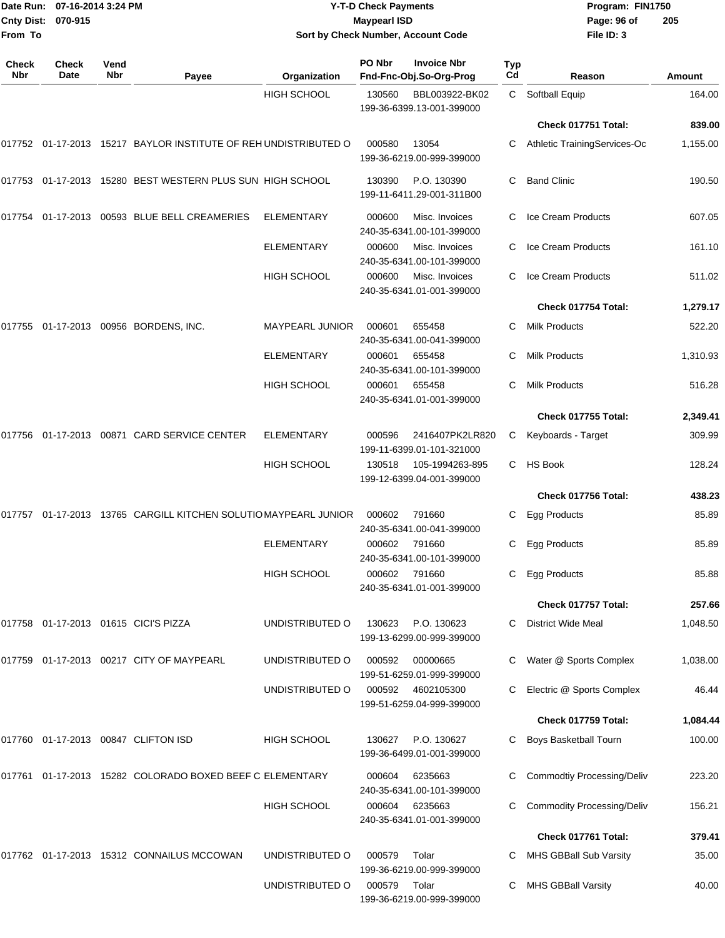|                              | Date Run: 07-16-2014 3:24 PM |             |                                                                 |                    | <b>Y-T-D Check Payments</b> |                                                |                  | Program: FIN1750                  |          |
|------------------------------|------------------------------|-------------|-----------------------------------------------------------------|--------------------|-----------------------------|------------------------------------------------|------------------|-----------------------------------|----------|
| <b>Cnty Dist:</b><br>From To | 070-915                      |             |                                                                 |                    | <b>Maypearl ISD</b>         | Sort by Check Number, Account Code             |                  | Page: 96 of<br>File ID: 3         | 205      |
| Check<br>Nbr                 | Check<br>Date                | Vend<br>Nbr | Payee                                                           | Organization       | PO Nbr                      | <b>Invoice Nbr</b><br>Fnd-Fnc-Obj.So-Org-Prog  | <b>Typ</b><br>Cd | Reason                            | Amount   |
|                              |                              |             |                                                                 | <b>HIGH SCHOOL</b> | 130560                      | BBL003922-BK02                                 | C.               | Softball Equip                    | 164.00   |
|                              |                              |             |                                                                 |                    |                             | 199-36-6399.13-001-399000                      |                  |                                   |          |
|                              |                              |             |                                                                 |                    |                             |                                                |                  | Check 017751 Total:               | 839.00   |
|                              |                              |             | 017752 01-17-2013 15217 BAYLOR INSTITUTE OF REH UNDISTRIBUTED O |                    | 000580                      | 13054<br>199-36-6219.00-999-399000             | С                | Athletic TrainingServices-Oc      | 1,155.00 |
|                              |                              |             | 017753 01-17-2013 15280 BEST WESTERN PLUS SUN HIGH SCHOOL       |                    | 130390                      | P.O. 130390<br>199-11-6411.29-001-311B00       | С                | <b>Band Clinic</b>                | 190.50   |
|                              |                              |             | 017754 01-17-2013 00593 BLUE BELL CREAMERIES                    | ELEMENTARY         | 000600                      | Misc. Invoices<br>240-35-6341.00-101-399000    | С                | Ice Cream Products                | 607.05   |
|                              |                              |             |                                                                 | ELEMENTARY         | 000600                      | Misc. Invoices<br>240-35-6341.00-101-399000    | С                | Ice Cream Products                | 161.10   |
|                              |                              |             |                                                                 | HIGH SCHOOL        | 000600                      | Misc. Invoices<br>240-35-6341.01-001-399000    | С                | Ice Cream Products                | 511.02   |
|                              |                              |             |                                                                 |                    |                             |                                                |                  | Check 017754 Total:               | 1,279.17 |
| 017755                       |                              |             | 01-17-2013 00956 BORDENS, INC.                                  | MAYPEARL JUNIOR    | 000601                      | 655458<br>240-35-6341.00-041-399000            | С                | <b>Milk Products</b>              | 522.20   |
|                              |                              |             |                                                                 | ELEMENTARY         | 000601                      | 655458<br>240-35-6341.00-101-399000            | С                | <b>Milk Products</b>              | 1,310.93 |
|                              |                              |             |                                                                 | <b>HIGH SCHOOL</b> | 000601                      | 655458<br>240-35-6341.01-001-399000            | С                | <b>Milk Products</b>              | 516.28   |
|                              |                              |             |                                                                 |                    |                             |                                                |                  | Check 017755 Total:               | 2,349.41 |
|                              |                              |             | 017756 01-17-2013 00871 CARD SERVICE CENTER                     | <b>ELEMENTARY</b>  | 000596                      | 2416407PK2LR820<br>199-11-6399.01-101-321000   | C.               | Keyboards - Target                | 309.99   |
|                              |                              |             |                                                                 | HIGH SCHOOL        | 130518                      | 105-1994263-895<br>199-12-6399.04-001-399000   | C.               | <b>HS Book</b>                    | 128.24   |
|                              |                              |             |                                                                 |                    |                             |                                                |                  | Check 017756 Total:               | 438.23   |
|                              |                              |             | 017757 01-17-2013 13765 CARGILL KITCHEN SOLUTIO MAYPEARL JUNIOR |                    | 000602                      | 791660<br>240-35-6341.00-041-399000            | C.               | <b>Egg Products</b>               | 85.89    |
|                              |                              |             |                                                                 | <b>ELEMENTARY</b>  | 000602                      | 791660<br>240-35-6341.00-101-399000            |                  | C Egg Products                    | 85.89    |
|                              |                              |             |                                                                 | HIGH SCHOOL        | 000602                      | 791660<br>240-35-6341.01-001-399000            | C                | Egg Products                      | 85.88    |
|                              |                              |             |                                                                 |                    |                             |                                                |                  | Check 017757 Total:               | 257.66   |
|                              |                              |             | 017758 01-17-2013 01615 CICI'S PIZZA                            | UNDISTRIBUTED O    | 130623                      | P.O. 130623<br>199-13-6299.00-999-399000       |                  | C District Wide Meal              | 1,048.50 |
|                              |                              |             | 017759 01-17-2013 00217 CITY OF MAYPEARL                        | UNDISTRIBUTED O    | 000592                      | 00000665<br>199-51-6259.01-999-399000          | C.               | Water @ Sports Complex            | 1,038.00 |
|                              |                              |             |                                                                 | UNDISTRIBUTED O    |                             | 000592 4602105300<br>199-51-6259.04-999-399000 | C.               | Electric @ Sports Complex         | 46.44    |
|                              |                              |             |                                                                 |                    |                             |                                                |                  | Check 017759 Total:               | 1,084.44 |
|                              |                              |             | 017760 01-17-2013 00847 CLIFTON ISD                             | HIGH SCHOOL        | 130627                      | P.O. 130627<br>199-36-6499.01-001-399000       | С                | Boys Basketball Tourn             | 100.00   |
|                              |                              |             | 017761 01-17-2013 15282 COLORADO BOXED BEEF C ELEMENTARY        |                    | 000604                      | 6235663<br>240-35-6341.00-101-399000           | C                | <b>Commodtiy Processing/Deliv</b> | 223.20   |
|                              |                              |             |                                                                 | HIGH SCHOOL        | 000604                      | 6235663<br>240-35-6341.01-001-399000           | C.               | <b>Commodity Processing/Deliv</b> | 156.21   |
|                              |                              |             |                                                                 |                    |                             |                                                |                  | Check 017761 Total:               | 379.41   |
|                              |                              |             | 017762 01-17-2013 15312 CONNAILUS MCCOWAN                       | UNDISTRIBUTED O    | 000579                      | Tolar<br>199-36-6219.00-999-399000             |                  | C MHS GBBall Sub Varsity          | 35.00    |
|                              |                              |             |                                                                 | UNDISTRIBUTED O    | 000579 Tolar                |                                                |                  | C MHS GBBall Varsity              | 40.00    |

199-36-6219.00-999-399000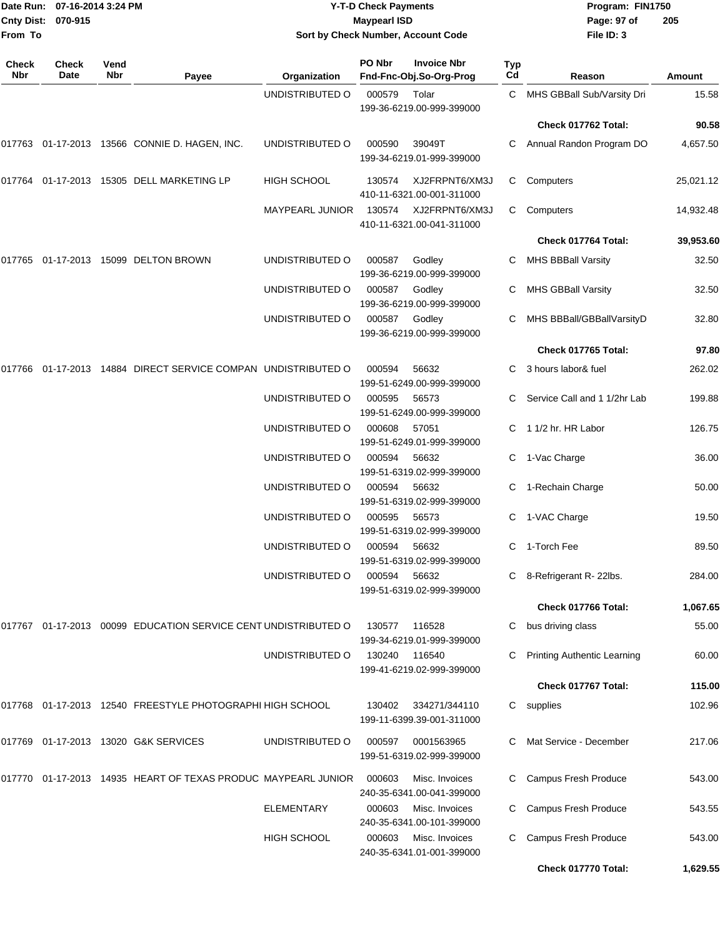| From To      | Date Run: 07-16-2014 3:24 PM<br>Cnty Dist: 070-915 |             |                                                                   |                                    | <b>Y-T-D Check Payments</b><br><b>Maypearl ISD</b> | Sort by Check Number, Account Code            |                  | Program: FIN1750<br>Page: 97 of<br>File ID: 3 | 205            |
|--------------|----------------------------------------------------|-------------|-------------------------------------------------------------------|------------------------------------|----------------------------------------------------|-----------------------------------------------|------------------|-----------------------------------------------|----------------|
| Check<br>Nbr | <b>Check</b><br>Date                               | Vend<br>Nbr | Payee                                                             | Organization                       | PO Nbr                                             | <b>Invoice Nbr</b><br>Fnd-Fnc-Obj.So-Org-Prog | <b>Typ</b><br>Cd | Reason                                        | <b>Amount</b>  |
|              |                                                    |             |                                                                   | UNDISTRIBUTED O                    | 000579                                             | Tolar<br>199-36-6219.00-999-399000            | C.               | MHS GBBall Sub/Varsity Dri                    | 15.58          |
|              |                                                    |             |                                                                   |                                    |                                                    |                                               |                  | Check 017762 Total:                           | 90.58          |
|              |                                                    |             | 017763 01-17-2013 13566 CONNIE D. HAGEN, INC.                     | UNDISTRIBUTED O                    | 000590                                             | 39049T<br>199-34-6219.01-999-399000           | C                | Annual Randon Program DO                      | 4,657.50       |
| 017764       |                                                    |             | 01-17-2013  15305  DELL MARKETING LP                              | <b>HIGH SCHOOL</b>                 | 130574                                             | XJ2FRPNT6/XM3J<br>410-11-6321.00-001-311000   | C.               | Computers                                     | 25,021.12      |
|              |                                                    |             |                                                                   | <b>MAYPEARL JUNIOR</b>             | 130574                                             | XJ2FRPNT6/XM3J<br>410-11-6321.00-041-311000   | C                | Computers                                     | 14,932.48      |
|              |                                                    |             |                                                                   |                                    |                                                    |                                               |                  | Check 017764 Total:                           | 39,953.60      |
| 017765       |                                                    |             | 01-17-2013 15099 DELTON BROWN                                     | UNDISTRIBUTED O                    | 000587                                             | Godley<br>199-36-6219.00-999-399000           | С                | <b>MHS BBBall Varsity</b>                     | 32.50          |
|              |                                                    |             |                                                                   | UNDISTRIBUTED O                    | 000587                                             | Godley<br>199-36-6219.00-999-399000           | C                | MHS GBBall Varsity                            | 32.50          |
|              |                                                    |             |                                                                   | UNDISTRIBUTED O                    | 000587                                             | Godley<br>199-36-6219.00-999-399000           | C                | MHS BBBall/GBBallVarsityD                     | 32.80          |
|              |                                                    |             |                                                                   |                                    |                                                    |                                               |                  | Check 017765 Total:                           | 97.80          |
|              |                                                    |             | 017766  01-17-2013  14884  DIRECT SERVICE COMPAN  UNDISTRIBUTED O |                                    | 000594                                             | 56632<br>199-51-6249.00-999-399000            | C                | 3 hours labor& fuel                           | 262.02         |
|              |                                                    |             |                                                                   | UNDISTRIBUTED O                    | 000595                                             | 56573<br>199-51-6249.00-999-399000            | C                | Service Call and 1 1/2hr Lab                  | 199.88         |
|              |                                                    |             |                                                                   | UNDISTRIBUTED O                    | 000608                                             | 57051<br>199-51-6249.01-999-399000            | C.               | 1 1/2 hr. HR Labor                            | 126.75         |
|              |                                                    |             |                                                                   | UNDISTRIBUTED O                    | 000594                                             | 56632<br>199-51-6319.02-999-399000            | С                | 1-Vac Charge                                  | 36.00          |
|              |                                                    |             |                                                                   | UNDISTRIBUTED O<br>UNDISTRIBUTED O | 000594<br>000595                                   | 56632<br>199-51-6319.02-999-399000<br>56573   | С<br>C           | 1-Rechain Charge<br>1-VAC Charge              | 50.00<br>19.50 |
|              |                                                    |             |                                                                   |                                    |                                                    | 199-51-6319.02-999-399000                     |                  |                                               |                |
|              |                                                    |             |                                                                   | UNDISTRIBUTED O                    | 000594                                             | 56632<br>199-51-6319.02-999-399000            |                  | C 1-Torch Fee                                 | 89.50          |
|              |                                                    |             |                                                                   | UNDISTRIBUTED O                    | 000594 56632                                       | 199-51-6319.02-999-399000                     |                  | C 8-Refrigerant R-22lbs.                      | 284.00         |
|              |                                                    |             |                                                                   |                                    |                                                    |                                               |                  | Check 017766 Total:                           | 1,067.65       |
|              |                                                    |             | 017767 01-17-2013 00099 EDUCATION SERVICE CENT UNDISTRIBUTED O    |                                    | 130577                                             | 116528<br>199-34-6219.01-999-399000           |                  | C bus driving class                           | 55.00          |
|              |                                                    |             |                                                                   | UNDISTRIBUTED O                    | 130240                                             | 116540<br>199-41-6219.02-999-399000           |                  | Printing Authentic Learning                   | 60.00          |
|              |                                                    |             |                                                                   |                                    |                                                    |                                               |                  | Check 017767 Total:                           | 115.00         |
|              |                                                    |             | 017768 01-17-2013 12540 FREESTYLE PHOTOGRAPHI HIGH SCHOOL         |                                    | 130402                                             | 334271/344110<br>199-11-6399.39-001-311000    |                  | C supplies                                    | 102.96         |
|              |                                                    |             | 017769 01-17-2013 13020 G&K SERVICES                              | UNDISTRIBUTED O                    | 000597                                             | 0001563965<br>199-51-6319.02-999-399000       |                  | Mat Service - December                        | 217.06         |
|              |                                                    |             | 017770  01-17-2013  14935  HEART OF TEXAS PRODUC MAYPEARL JUNIOR  |                                    | 000603                                             | Misc. Invoices<br>240-35-6341.00-041-399000   | C.               | Campus Fresh Produce                          | 543.00         |
|              |                                                    |             |                                                                   | <b>ELEMENTARY</b>                  | 000603                                             | Misc. Invoices<br>240-35-6341.00-101-399000   | C                | Campus Fresh Produce                          | 543.55         |
|              |                                                    |             |                                                                   | HIGH SCHOOL                        | 000603                                             | Misc. Invoices<br>240-35-6341.01-001-399000   | C                | Campus Fresh Produce                          | 543.00         |
|              |                                                    |             |                                                                   |                                    |                                                    |                                               |                  | Check 017770 Total:                           | 1,629.55       |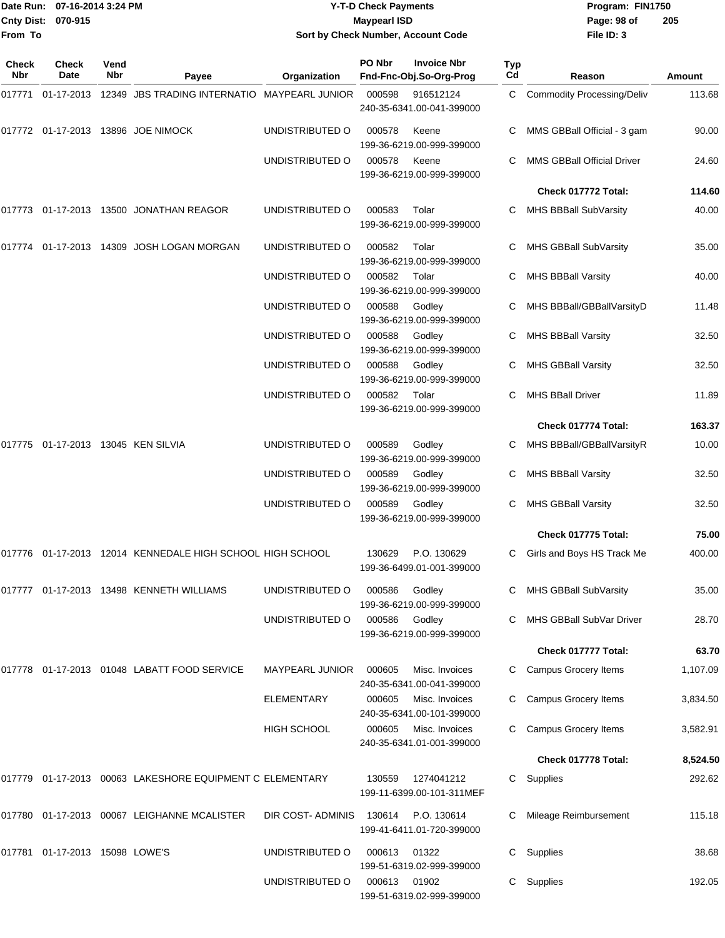|                     | Date Run: 07-16-2014 3:24 PM<br>Cnty Dist: 070-915 |             |                                                           |                                    | <b>Y-T-D Check Payments</b><br><b>Maypearl ISD</b> |                                               |           | Program: FIN1750<br>Page: 98 of   | 205           |
|---------------------|----------------------------------------------------|-------------|-----------------------------------------------------------|------------------------------------|----------------------------------------------------|-----------------------------------------------|-----------|-----------------------------------|---------------|
| From To             |                                                    |             |                                                           | Sort by Check Number, Account Code |                                                    |                                               |           | File ID: 3                        |               |
| Check<br><b>Nbr</b> | <b>Check</b><br>Date                               | Vend<br>Nbr | Payee                                                     | Organization                       | PO Nbr                                             | <b>Invoice Nbr</b><br>Fnd-Fnc-Obj.So-Org-Prog | Typ<br>Cd | Reason                            | <b>Amount</b> |
| 017771              |                                                    |             | 01-17-2013 12349 JBS TRADING INTERNATIO MAYPEARL JUNIOR   |                                    | 000598                                             | 916512124<br>240-35-6341.00-041-399000        | C.        | <b>Commodity Processing/Deliv</b> | 113.68        |
|                     |                                                    |             | 017772 01-17-2013 13896 JOE NIMOCK                        | UNDISTRIBUTED O                    | 000578                                             | Keene<br>199-36-6219.00-999-399000            |           | MMS GBBall Official - 3 gam       | 90.00         |
|                     |                                                    |             |                                                           | UNDISTRIBUTED O                    | 000578                                             | Keene<br>199-36-6219.00-999-399000            | С         | <b>MMS GBBall Official Driver</b> | 24.60         |
|                     |                                                    |             |                                                           |                                    |                                                    |                                               |           | Check 017772 Total:               | 114.60        |
|                     |                                                    |             | 017773 01-17-2013 13500 JONATHAN REAGOR                   | UNDISTRIBUTED O                    | 000583                                             | Tolar<br>199-36-6219.00-999-399000            | C         | MHS BBBall SubVarsity             | 40.00         |
| 017774              |                                                    |             | 01-17-2013  14309  JOSH LOGAN MORGAN                      | UNDISTRIBUTED O                    | 000582                                             | Tolar<br>199-36-6219.00-999-399000            | C         | MHS GBBall SubVarsity             | 35.00         |
|                     |                                                    |             |                                                           | UNDISTRIBUTED O                    | 000582                                             | Tolar<br>199-36-6219.00-999-399000            |           | <b>MHS BBBall Varsity</b>         | 40.00         |
|                     |                                                    |             |                                                           | UNDISTRIBUTED O                    | 000588                                             | Godley<br>199-36-6219.00-999-399000           |           | MHS BBBall/GBBallVarsityD         | 11.48         |
|                     |                                                    |             |                                                           | UNDISTRIBUTED O                    | 000588                                             | Godley<br>199-36-6219.00-999-399000           | C         | <b>MHS BBBall Varsity</b>         | 32.50         |
|                     |                                                    |             |                                                           | UNDISTRIBUTED O                    | 000588                                             | Godley<br>199-36-6219.00-999-399000           |           | MHS GBBall Varsity                | 32.50         |
|                     |                                                    |             |                                                           | UNDISTRIBUTED O                    | 000582                                             | Tolar<br>199-36-6219.00-999-399000            | С         | <b>MHS BBall Driver</b>           | 11.89         |
|                     |                                                    |             |                                                           |                                    |                                                    |                                               |           | Check 017774 Total:               | 163.37        |
| 017775              | 01-17-2013 13045 KEN SILVIA                        |             |                                                           | UNDISTRIBUTED O                    | 000589                                             | Godley<br>199-36-6219.00-999-399000           |           | MHS BBBall/GBBallVarsityR         | 10.00         |
|                     |                                                    |             |                                                           | UNDISTRIBUTED O                    | 000589                                             | Godley<br>199-36-6219.00-999-399000           | С         | MHS BBBall Varsity                | 32.50         |
|                     |                                                    |             |                                                           | UNDISTRIBUTED O                    | 000589                                             | Godley<br>199-36-6219.00-999-399000           |           | <b>MHS GBBall Varsity</b>         | 32.50         |
|                     |                                                    |             |                                                           |                                    |                                                    |                                               |           | Check 017775 Total:               | 75.00         |
|                     |                                                    |             | 017776 01-17-2013 12014 KENNEDALE HIGH SCHOOL HIGH SCHOOL |                                    | 130629                                             | P.O. 130629<br>199-36-6499.01-001-399000      |           | Girls and Boys HS Track Me        | 400.00        |
|                     |                                                    |             | 017777 01-17-2013 13498 KENNETH WILLIAMS                  | UNDISTRIBUTED O                    | 000586                                             | Godley<br>199-36-6219.00-999-399000           |           | MHS GBBall SubVarsity             | 35.00         |
|                     |                                                    |             |                                                           | UNDISTRIBUTED O                    | 000586                                             | Godley<br>199-36-6219.00-999-399000           |           | MHS GBBall SubVar Driver          | 28.70         |
|                     |                                                    |             |                                                           |                                    |                                                    |                                               |           | Check 017777 Total:               | 63.70         |
|                     |                                                    |             | 017778 01-17-2013 01048 LABATT FOOD SERVICE               | <b>MAYPEARL JUNIOR</b>             | 000605                                             | Misc. Invoices<br>240-35-6341.00-041-399000   |           | <b>Campus Grocery Items</b>       | 1,107.09      |
|                     |                                                    |             |                                                           | <b>ELEMENTARY</b>                  | 000605                                             | Misc. Invoices<br>240-35-6341.00-101-399000   |           | Campus Grocery Items              | 3,834.50      |
|                     |                                                    |             |                                                           | <b>HIGH SCHOOL</b>                 | 000605                                             | Misc. Invoices<br>240-35-6341.01-001-399000   |           | Campus Grocery Items              | 3,582.91      |
|                     |                                                    |             |                                                           |                                    |                                                    |                                               |           | Check 017778 Total:               | 8,524.50      |
|                     |                                                    |             | 017779 01-17-2013 00063 LAKESHORE EQUIPMENT C ELEMENTARY  |                                    | 130559                                             | 1274041212<br>199-11-6399.00-101-311MEF       | C         | Supplies                          | 292.62        |
|                     |                                                    |             | 017780 01-17-2013 00067 LEIGHANNE MCALISTER               | DIR COST-ADMINIS                   | 130614                                             | P.O. 130614<br>199-41-6411.01-720-399000      |           | Mileage Reimbursement             | 115.18        |
|                     | 017781  01-17-2013  15098  LOWE'S                  |             |                                                           | UNDISTRIBUTED O                    | 000613                                             | 01322<br>199-51-6319.02-999-399000            | C         | Supplies                          | 38.68         |
|                     |                                                    |             |                                                           | UNDISTRIBUTED O                    | 000613 01902                                       |                                               |           | C Supplies                        | 192.05        |

199-51-6319.02-999-399000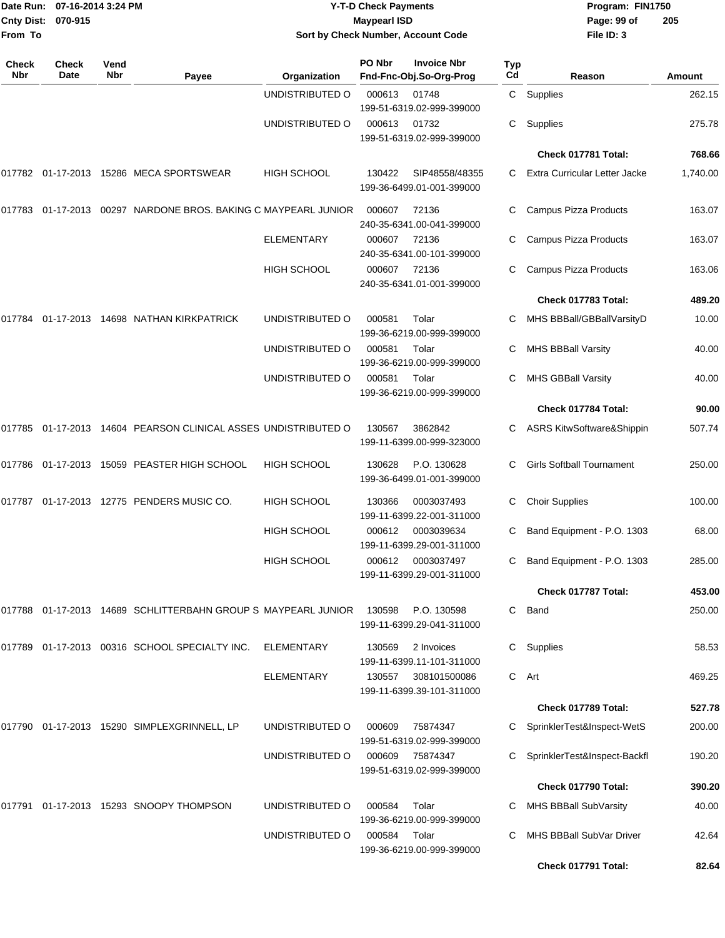| From To             | Date Run: 07-16-2014 3:24 PM<br>Cnty Dist: 070-915 |             |                                                                |                    | <b>Y-T-D Check Payments</b><br><b>Maypearl ISD</b> | Sort by Check Number, Account Code             |           | Program: FIN1750<br>Page: 99 of<br>File ID: 3 | 205      |
|---------------------|----------------------------------------------------|-------------|----------------------------------------------------------------|--------------------|----------------------------------------------------|------------------------------------------------|-----------|-----------------------------------------------|----------|
| <b>Check</b><br>Nbr | Check<br>Date                                      | Vend<br>Nbr | Payee                                                          | Organization       | PO Nbr                                             | <b>Invoice Nbr</b><br>Fnd-Fnc-Obj.So-Org-Prog  | Typ<br>Cd | Reason                                        | Amount   |
|                     |                                                    |             |                                                                | UNDISTRIBUTED O    | 000613                                             | 01748<br>199-51-6319.02-999-399000             |           | C Supplies                                    | 262.15   |
|                     |                                                    |             |                                                                | UNDISTRIBUTED O    | 000613                                             | 01732<br>199-51-6319.02-999-399000             | C         | Supplies                                      | 275.78   |
|                     |                                                    |             |                                                                |                    |                                                    |                                                |           | Check 017781 Total:                           | 768.66   |
|                     |                                                    |             | 017782 01-17-2013 15286 MECA SPORTSWEAR                        | <b>HIGH SCHOOL</b> | 130422                                             | SIP48558/48355<br>199-36-6499.01-001-399000    | C         | Extra Curricular Letter Jacke                 | 1,740.00 |
|                     |                                                    |             | 017783 01-17-2013 00297 NARDONE BROS. BAKING C MAYPEARL JUNIOR |                    | 000607                                             | 72136<br>240-35-6341.00-041-399000             | C         | Campus Pizza Products                         | 163.07   |
|                     |                                                    |             |                                                                | <b>ELEMENTARY</b>  | 000607                                             | 72136<br>240-35-6341.00-101-399000             | C         | Campus Pizza Products                         | 163.07   |
|                     |                                                    |             |                                                                | <b>HIGH SCHOOL</b> | 000607                                             | 72136<br>240-35-6341.01-001-399000             | C         | Campus Pizza Products                         | 163.06   |
|                     |                                                    |             |                                                                |                    |                                                    |                                                |           | Check 017783 Total:                           | 489.20   |
| 017784              |                                                    |             | 01-17-2013 14698 NATHAN KIRKPATRICK                            | UNDISTRIBUTED O    | 000581                                             | Tolar<br>199-36-6219.00-999-399000             | C         | MHS BBBall/GBBallVarsityD                     | 10.00    |
|                     |                                                    |             |                                                                | UNDISTRIBUTED O    | 000581                                             | Tolar<br>199-36-6219.00-999-399000             | C         | MHS BBBall Varsity                            | 40.00    |
|                     |                                                    |             |                                                                | UNDISTRIBUTED O    | 000581                                             | Tolar<br>199-36-6219.00-999-399000             | С         | <b>MHS GBBall Varsity</b>                     | 40.00    |
|                     |                                                    |             |                                                                |                    |                                                    |                                                |           | Check 017784 Total:                           | 90.00    |
|                     |                                                    |             | 017785 01-17-2013 14604 PEARSON CLINICAL ASSES UNDISTRIBUTED O |                    | 130567                                             | 3862842<br>199-11-6399.00-999-323000           | C         | <b>ASRS KitwSoftware&amp;Shippin</b>          | 507.74   |
|                     |                                                    |             | 017786 01-17-2013 15059 PEASTER HIGH SCHOOL                    | <b>HIGH SCHOOL</b> | 130628                                             | P.O. 130628<br>199-36-6499.01-001-399000       | C         | <b>Girls Softball Tournament</b>              | 250.00   |
|                     |                                                    |             | 017787 01-17-2013 12775 PENDERS MUSIC CO.                      | <b>HIGH SCHOOL</b> | 130366                                             | 0003037493<br>199-11-6399.22-001-311000        | С         | <b>Choir Supplies</b>                         | 100.00   |
|                     |                                                    |             |                                                                | <b>HIGH SCHOOL</b> |                                                    | 000612 0003039634<br>199-11-6399.29-001-311000 |           | Band Equipment - P.O. 1303                    | 68.00    |
|                     |                                                    |             |                                                                | <b>HIGH SCHOOL</b> |                                                    | 000612 0003037497<br>199-11-6399.29-001-311000 |           | C Band Equipment - P.O. 1303                  | 285.00   |
|                     |                                                    |             |                                                                |                    |                                                    |                                                |           | Check 017787 Total:                           | 453.00   |
|                     |                                                    |             | 017788 01-17-2013 14689 SCHLITTERBAHN GROUP S MAYPEARL JUNIOR  |                    | 130598                                             | P.O. 130598<br>199-11-6399.29-041-311000       | C         | Band                                          | 250.00   |
|                     |                                                    |             | 017789 01-17-2013 00316 SCHOOL SPECIALTY INC.                  | ELEMENTARY         | 130569                                             | 2 Invoices<br>199-11-6399.11-101-311000        |           | C Supplies                                    | 58.53    |
|                     |                                                    |             |                                                                | <b>ELEMENTARY</b>  | 130557                                             | 308101500086<br>199-11-6399.39-101-311000      |           | C Art                                         | 469.25   |
|                     |                                                    |             |                                                                |                    |                                                    |                                                |           | Check 017789 Total:                           | 527.78   |
|                     |                                                    |             | 017790 01-17-2013 15290 SIMPLEXGRINNELL, LP                    | UNDISTRIBUTED O    | 000609                                             | 75874347<br>199-51-6319.02-999-399000          |           | C SprinklerTest&Inspect-WetS                  | 200.00   |
|                     |                                                    |             |                                                                | UNDISTRIBUTED O    | 000609                                             | 75874347<br>199-51-6319.02-999-399000          |           | C SprinklerTest&Inspect-Backfl                | 190.20   |
|                     |                                                    |             |                                                                |                    |                                                    |                                                |           | Check 017790 Total:                           | 390.20   |
|                     |                                                    |             | 017791  01-17-2013  15293  SNOOPY THOMPSON                     | UNDISTRIBUTED O    | 000584                                             | Tolar<br>199-36-6219.00-999-399000             | C.        | MHS BBBall SubVarsity                         | 40.00    |
|                     |                                                    |             |                                                                | UNDISTRIBUTED O    | 000584                                             | Tolar<br>199-36-6219.00-999-399000             | C         | MHS BBBall SubVar Driver                      | 42.64    |
|                     |                                                    |             |                                                                |                    |                                                    |                                                |           | Check 017791 Total:                           | 82.64    |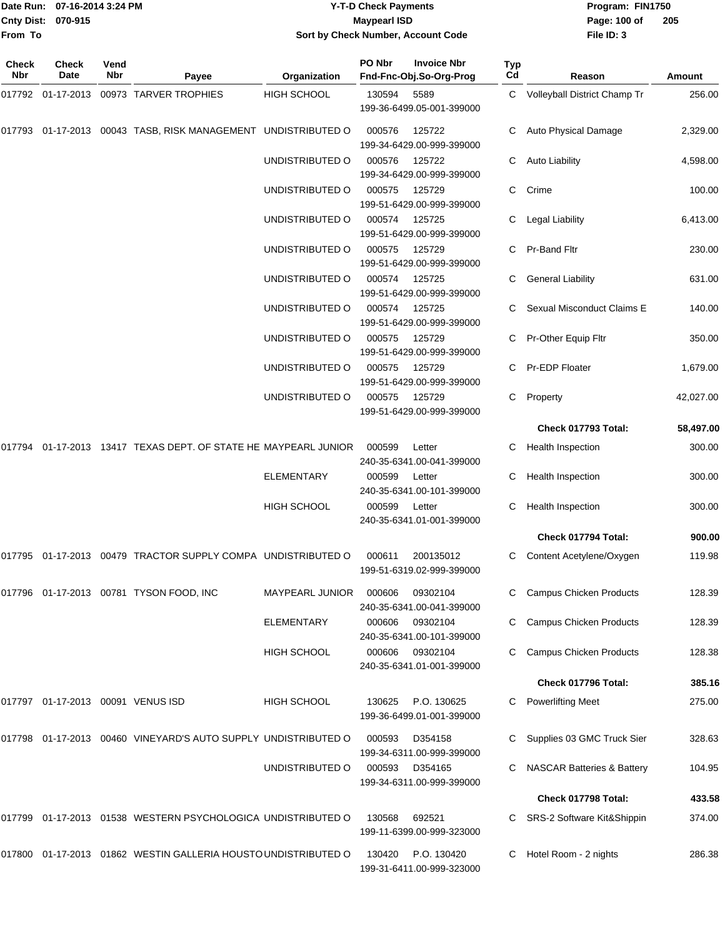**Cnty Dist:** 070-915 **Page:** 100 of **From To**

### Date Run: 07-16-2014 3:24 PM **Program:** FIN1750 **Y-T-D Check Payments 070-915 Maypearl ISD Sort by Check Number, Account Code**

| Check<br><b>Nbr</b> | <b>Check</b><br>Date       | Vend<br>Nbr | Payee                                                           | Organization       | PO Nbr | <b>Invoice Nbr</b><br>Fnd-Fnc-Obj.So-Org-Prog | Typ<br>Cd | Reason                                | <b>Amount</b> |
|---------------------|----------------------------|-------------|-----------------------------------------------------------------|--------------------|--------|-----------------------------------------------|-----------|---------------------------------------|---------------|
| 017792              |                            |             | 01-17-2013 00973 TARVER TROPHIES                                | <b>HIGH SCHOOL</b> | 130594 | 5589<br>199-36-6499.05-001-399000             |           | C Volleyball District Champ Tr        | 256.00        |
|                     |                            |             | 017793 01-17-2013 00043 TASB, RISK MANAGEMENT UNDISTRIBUTED O   |                    | 000576 | 125722<br>199-34-6429.00-999-399000           | С         | Auto Physical Damage                  | 2,329.00      |
|                     |                            |             |                                                                 | UNDISTRIBUTED O    | 000576 | 125722<br>199-34-6429.00-999-399000           | С         | <b>Auto Liability</b>                 | 4,598.00      |
|                     |                            |             |                                                                 | UNDISTRIBUTED O    | 000575 | 125729<br>199-51-6429.00-999-399000           | С         | Crime                                 | 100.00        |
|                     |                            |             |                                                                 | UNDISTRIBUTED O    | 000574 | 125725<br>199-51-6429.00-999-399000           | С         | Legal Liability                       | 6,413.00      |
|                     |                            |             |                                                                 | UNDISTRIBUTED O    | 000575 | 125729<br>199-51-6429.00-999-399000           |           | <b>Pr-Band Fltr</b>                   | 230.00        |
|                     |                            |             |                                                                 | UNDISTRIBUTED O    | 000574 | 125725<br>199-51-6429.00-999-399000           | С         | <b>General Liability</b>              | 631.00        |
|                     |                            |             |                                                                 | UNDISTRIBUTED O    | 000574 | 125725<br>199-51-6429.00-999-399000           |           | Sexual Misconduct Claims E            | 140.00        |
|                     |                            |             |                                                                 | UNDISTRIBUTED O    | 000575 | 125729<br>199-51-6429.00-999-399000           |           | Pr-Other Equip Fltr                   | 350.00        |
|                     |                            |             |                                                                 | UNDISTRIBUTED O    | 000575 | 125729<br>199-51-6429.00-999-399000           | С         | Pr-EDP Floater                        | 1,679.00      |
|                     |                            |             |                                                                 | UNDISTRIBUTED O    | 000575 | 125729<br>199-51-6429.00-999-399000           | С         | Property                              | 42,027.00     |
|                     |                            |             |                                                                 |                    |        |                                               |           | Check 017793 Total:                   | 58,497.00     |
|                     |                            |             | 017794 01-17-2013 13417 TEXAS DEPT. OF STATE HE MAYPEARL JUNIOR |                    | 000599 | Letter<br>240-35-6341.00-041-399000           | С         | Health Inspection                     | 300.00        |
|                     |                            |             |                                                                 | <b>ELEMENTARY</b>  | 000599 | Letter<br>240-35-6341.00-101-399000           |           | Health Inspection                     | 300.00        |
|                     |                            |             |                                                                 | HIGH SCHOOL        | 000599 | Letter<br>240-35-6341.01-001-399000           | С         | <b>Health Inspection</b>              | 300.00        |
|                     |                            |             |                                                                 |                    |        |                                               |           | Check 017794 Total:                   | 900.00        |
| 017795              |                            |             | 01-17-2013 00479 TRACTOR SUPPLY COMPA UNDISTRIBUTED O           |                    | 000611 | 200135012<br>199-51-6319.02-999-399000        | С         | Content Acetylene/Oxygen              | 119.98        |
|                     |                            |             | 017796 01-17-2013 00781 TYSON FOOD, INC                         | MAYPEARL JUNIOR    | 000606 | 09302104<br>240-35-6341.00-041-399000         |           | <b>Campus Chicken Products</b>        | 128.39        |
|                     |                            |             |                                                                 | <b>ELEMENTARY</b>  | 000606 | 09302104<br>240-35-6341.00-101-399000         |           | <b>Campus Chicken Products</b>        | 128.39        |
|                     |                            |             |                                                                 | <b>HIGH SCHOOL</b> | 000606 | 09302104<br>240-35-6341.01-001-399000         | С         | <b>Campus Chicken Products</b>        | 128.38        |
|                     |                            |             |                                                                 |                    |        |                                               |           | Check 017796 Total:                   | 385.16        |
| 017797              | 01-17-2013 00091 VENUS ISD |             |                                                                 | HIGH SCHOOL        | 130625 | P.O. 130625<br>199-36-6499.01-001-399000      | С         | <b>Powerlifting Meet</b>              | 275.00        |
|                     |                            |             | 017798 01-17-2013 00460 VINEYARD'S AUTO SUPPLY UNDISTRIBUTED O  |                    | 000593 | D354158<br>199-34-6311.00-999-399000          |           | Supplies 03 GMC Truck Sier            | 328.63        |
|                     |                            |             |                                                                 | UNDISTRIBUTED O    | 000593 | D354165<br>199-34-6311.00-999-399000          |           | <b>NASCAR Batteries &amp; Battery</b> | 104.95        |
|                     |                            |             |                                                                 |                    |        |                                               |           | Check 017798 Total:                   | 433.58        |
| 017799              |                            |             | 01-17-2013 01538 WESTERN PSYCHOLOGICA UNDISTRIBUTED O           |                    | 130568 | 692521<br>199-11-6399.00-999-323000           |           | SRS-2 Software Kit&Shippin            | 374.00        |
| 017800              |                            |             | 01-17-2013 01862 WESTIN GALLERIA HOUSTO UNDISTRIBUTED O         |                    | 130420 | P.O. 130420<br>199-31-6411.00-999-323000      |           | Hotel Room - 2 nights                 | 286.38        |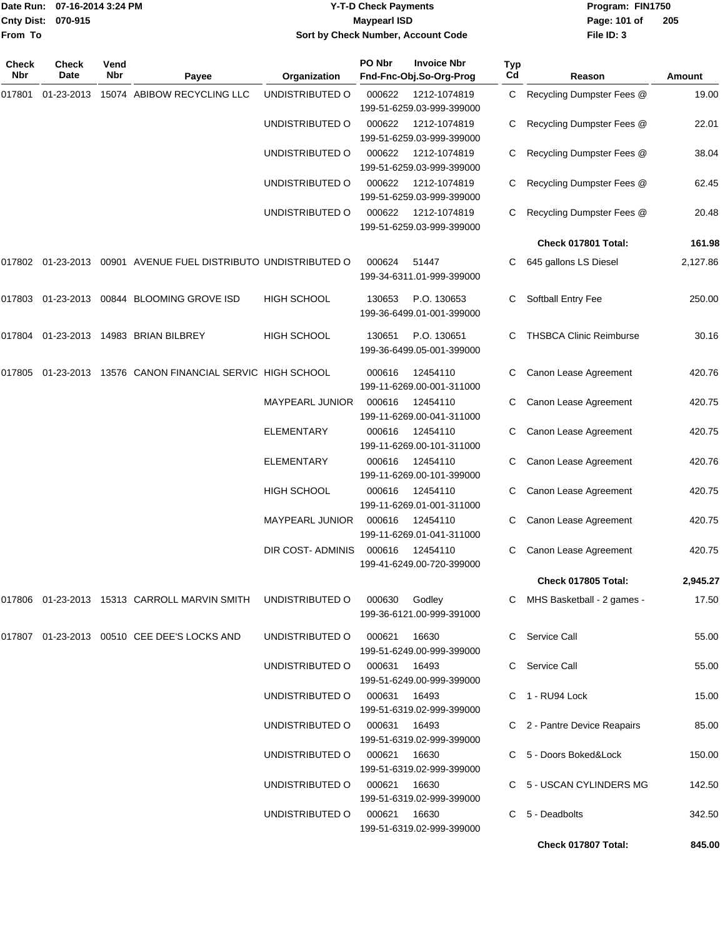|                    | Date Run: 07-16-2014 3:24 PM |
|--------------------|------------------------------|
| Cnty Dist: 070-915 |                              |
| <b>From To</b>     |                              |

### **Date Run: Program: FIN1750 07-16-2014 3:24 PM Y-T-D Check Payments Cnty Dist: Page: 101 of 070-915 Maypearl ISD Sort by Check Number, Account Code**

| Check<br>Nbr | <b>Check</b><br>Date | Vend<br>Nbr | Payee                                                                           | Organization                 | PO Nbr       | <b>Invoice Nbr</b><br>Fnd-Fnc-Obj.So-Org-Prog | <b>Typ</b><br>C <sub>d</sub> | Reason                         | Amount   |
|--------------|----------------------|-------------|---------------------------------------------------------------------------------|------------------------------|--------------|-----------------------------------------------|------------------------------|--------------------------------|----------|
| 017801       | 01-23-2013           |             | 15074 ABIBOW RECYCLING LLC                                                      | UNDISTRIBUTED O              | 000622       | 1212-1074819<br>199-51-6259.03-999-399000     | C                            | Recycling Dumpster Fees @      | 19.00    |
|              |                      |             |                                                                                 | UNDISTRIBUTED O              | 000622       | 1212-1074819<br>199-51-6259.03-999-399000     | С                            | Recycling Dumpster Fees @      | 22.01    |
|              |                      |             |                                                                                 | UNDISTRIBUTED O              | 000622       | 1212-1074819<br>199-51-6259.03-999-399000     |                              | Recycling Dumpster Fees @      | 38.04    |
|              |                      |             |                                                                                 | UNDISTRIBUTED O              | 000622       | 1212-1074819<br>199-51-6259.03-999-399000     |                              | Recycling Dumpster Fees @      | 62.45    |
|              |                      |             |                                                                                 | UNDISTRIBUTED O              | 000622       | 1212-1074819<br>199-51-6259.03-999-399000     | С                            | Recycling Dumpster Fees @      | 20.48    |
|              |                      |             |                                                                                 |                              |              |                                               |                              | Check 017801 Total:            | 161.98   |
|              |                      |             | 017802 01-23-2013 00901 AVENUE FUEL DISTRIBUTO UNDISTRIBUTED O                  |                              | 000624       | 51447<br>199-34-6311.01-999-399000            |                              | 645 gallons LS Diesel          | 2,127.86 |
| 017803       |                      |             | 01-23-2013  00844  BLOOMING GROVE ISD                                           | <b>HIGH SCHOOL</b>           | 130653       | P.O. 130653<br>199-36-6499.01-001-399000      | С                            | Softball Entry Fee             | 250.00   |
|              |                      |             | 017804 01-23-2013 14983 BRIAN BILBREY                                           | HIGH SCHOOL                  | 130651       | P.O. 130651<br>199-36-6499.05-001-399000      |                              | <b>THSBCA Clinic Reimburse</b> | 30.16    |
| 017805       | 01-23-2013           |             | 13576 CANON FINANCIAL SERVIC HIGH SCHOOL                                        |                              | 000616       | 12454110<br>199-11-6269.00-001-311000         | С                            | Canon Lease Agreement          | 420.76   |
|              |                      |             |                                                                                 | MAYPEARL JUNIOR              | 000616       | 12454110<br>199-11-6269.00-041-311000         |                              | Canon Lease Agreement          | 420.75   |
|              |                      |             |                                                                                 | <b>ELEMENTARY</b>            | 000616       | 12454110<br>199-11-6269.00-101-311000         |                              | Canon Lease Agreement          | 420.75   |
|              |                      |             |                                                                                 | ELEMENTARY                   | 000616       | 12454110<br>199-11-6269.00-101-399000         | С                            | Canon Lease Agreement          | 420.76   |
|              |                      |             |                                                                                 | <b>HIGH SCHOOL</b>           | 000616       | 12454110<br>199-11-6269.01-001-311000         |                              | Canon Lease Agreement          | 420.75   |
|              |                      |             |                                                                                 | MAYPEARL JUNIOR              | 000616       | 12454110<br>199-11-6269.01-041-311000         |                              | Canon Lease Agreement          | 420.75   |
|              |                      |             |                                                                                 | DIR COST- ADMINIS            | 000616       | 12454110<br>199-41-6249.00-720-399000         | С                            | Canon Lease Agreement          | 420.75   |
|              |                      |             |                                                                                 |                              |              |                                               |                              | Check 017805 Total:            | 2,945.27 |
|              |                      |             | 017806  01-23-2013  15313  CARROLL MARVIN SMITH  UNDISTRIBUTED   000630  Godley |                              |              | 199-36-6121.00-999-391000                     |                              | C MHS Basketball - 2 games -   | 17.50    |
|              |                      |             | 017807 01-23-2013 00510 CEE DEE'S LOCKS AND                                     | UNDISTRIBUTED O              | 000621       | 16630<br>199-51-6249.00-999-399000            |                              | C Service Call                 | 55.00    |
|              |                      |             |                                                                                 | UNDISTRIBUTED O              | 000631       | 16493<br>199-51-6249.00-999-399000            |                              | C Service Call                 | 55.00    |
|              |                      |             |                                                                                 | UNDISTRIBUTED O              | 000631       | 16493<br>199-51-6319.02-999-399000            |                              | C 1 - RU94 Lock                | 15.00    |
|              |                      |             |                                                                                 | UNDISTRIBUTED O              | 000631       | 16493<br>199-51-6319.02-999-399000            |                              | C 2 - Pantre Device Reapairs   | 85.00    |
|              |                      |             |                                                                                 | UNDISTRIBUTED O              | 000621       | 16630<br>199-51-6319.02-999-399000            |                              | C 5 - Doors Boked&Lock         | 150.00   |
|              |                      |             |                                                                                 | UNDISTRIBUTED O              | 000621 16630 | 199-51-6319.02-999-399000                     |                              | C 5 - USCAN CYLINDERS MG       | 142.50   |
|              |                      |             |                                                                                 | UNDISTRIBUTED 0 000621 16630 |              | 199-51-6319.02-999-399000                     |                              | C 5 - Deadbolts                | 342.50   |
|              |                      |             |                                                                                 |                              |              |                                               |                              | Check 017807 Total:            | 845.00   |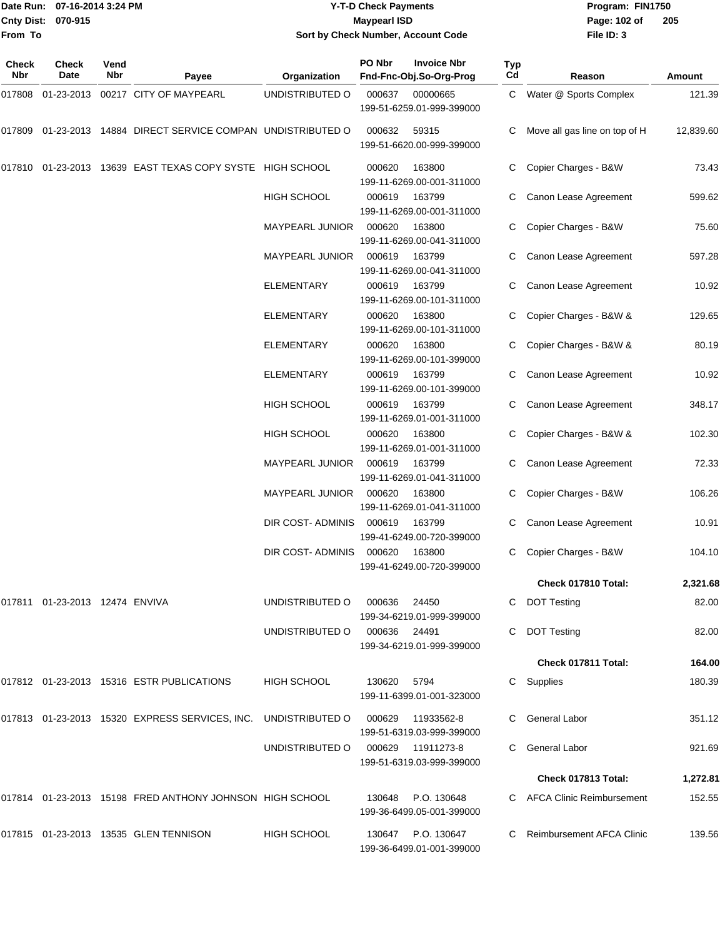#### Date Run: 07-16-2014 3:24 PM **Program:** FIN1750 **Cnty Dist:** 070-915 **Page: 102 of MaypearI ISD Page: 102 of Y-T-D Check Payments 070-915 Maypearl ISD Sort by Check Number, Account Code**

| Check<br>Nbr | Check<br>Date                     | Vend<br>Nbr | Payee                                                          | Organization                      | PO Nbr      | <b>Invoice Nbr</b><br>Fnd-Fnc-Obj.So-Org-Prog   | <b>Typ</b><br>Cd | Reason                        | Amount    |
|--------------|-----------------------------------|-------------|----------------------------------------------------------------|-----------------------------------|-------------|-------------------------------------------------|------------------|-------------------------------|-----------|
| 017808       |                                   |             | 01-23-2013 00217 CITY OF MAYPEARL                              | UNDISTRIBUTED O                   | 000637      | 00000665<br>199-51-6259.01-999-399000           |                  | C Water @ Sports Complex      | 121.39    |
| 017809       |                                   |             | 01-23-2013 14884 DIRECT SERVICE COMPAN UNDISTRIBUTED O         |                                   | 000632      | 59315<br>199-51-6620.00-999-399000              |                  | Move all gas line on top of H | 12,839.60 |
| 017810       |                                   |             | 01-23-2013 13639 EAST TEXAS COPY SYSTE HIGH SCHOOL             |                                   | 000620      | 163800<br>199-11-6269.00-001-311000             | С                | Copier Charges - B&W          | 73.43     |
|              |                                   |             |                                                                | <b>HIGH SCHOOL</b>                | 000619      | 163799<br>199-11-6269.00-001-311000             |                  | Canon Lease Agreement         | 599.62    |
|              |                                   |             |                                                                | <b>MAYPEARL JUNIOR</b>            | 000620      | 163800<br>199-11-6269.00-041-311000             |                  | Copier Charges - B&W          | 75.60     |
|              |                                   |             |                                                                | MAYPEARL JUNIOR                   | 000619      | 163799<br>199-11-6269.00-041-311000             | С                | Canon Lease Agreement         | 597.28    |
|              |                                   |             |                                                                | <b>ELEMENTARY</b>                 | 000619      | 163799<br>199-11-6269.00-101-311000             | С                | Canon Lease Agreement         | 10.92     |
|              |                                   |             |                                                                | ELEMENTARY                        | 000620      | 163800<br>199-11-6269.00-101-311000             |                  | Copier Charges - B&W &        | 129.65    |
|              |                                   |             |                                                                | <b>ELEMENTARY</b>                 | 000620      | 163800<br>199-11-6269.00-101-399000             | С                | Copier Charges - B&W &        | 80.19     |
|              |                                   |             |                                                                | <b>ELEMENTARY</b>                 | 000619      | 163799<br>199-11-6269.00-101-399000             | C.               | Canon Lease Agreement         | 10.92     |
|              |                                   |             |                                                                | <b>HIGH SCHOOL</b>                | 000619      | 163799<br>199-11-6269.01-001-311000             |                  | Canon Lease Agreement         | 348.17    |
|              |                                   |             |                                                                | <b>HIGH SCHOOL</b>                | 000620      | 163800<br>199-11-6269.01-001-311000             | С                | Copier Charges - B&W &        | 102.30    |
|              |                                   |             |                                                                | MAYPEARL JUNIOR                   | 000619      | 163799<br>199-11-6269.01-041-311000             |                  | Canon Lease Agreement         | 72.33     |
|              |                                   |             |                                                                | MAYPEARL JUNIOR                   | 000620      | 163800<br>199-11-6269.01-041-311000             |                  | Copier Charges - B&W          | 106.26    |
|              |                                   |             |                                                                | DIR COST- ADMINIS                 | 000619      | 163799<br>199-41-6249.00-720-399000             | С                | Canon Lease Agreement         | 10.91     |
|              |                                   |             |                                                                | DIR COST- ADMINIS                 | 000620      | 163800<br>199-41-6249.00-720-399000             | С                | Copier Charges - B&W          | 104.10    |
|              |                                   |             |                                                                |                                   |             |                                                 |                  | Check 017810 Total:           | 2,321.68  |
|              | 017811  01-23-2013  12474  ENVIVA |             |                                                                | UNDISTRIBUTED O                   | 000636      | 24450<br>199-34-6219.01-999-399000              |                  | C DOT Testing                 | 82.00     |
|              |                                   |             |                                                                | UNDISTRIBUTED O 000636            |             | 24491<br>199-34-6219.01-999-399000              |                  | <b>DOT Testing</b>            | 82.00     |
|              |                                   |             |                                                                |                                   |             |                                                 |                  | Check 017811 Total:           | 164.00    |
|              |                                   |             | 017812 01-23-2013 15316 ESTR PUBLICATIONS                      | HIGH SCHOOL                       | 130620 5794 | 199-11-6399.01-001-323000                       |                  | Supplies                      | 180.39    |
|              |                                   |             | 017813 01-23-2013 15320 EXPRESS SERVICES, INC. UNDISTRIBUTED O |                                   | 000629      | 11933562-8<br>199-51-6319.03-999-399000         |                  | C General Labor               | 351.12    |
|              |                                   |             |                                                                | UNDISTRIBUTED O 000629 11911273-8 |             | 199-51-6319.03-999-399000                       |                  | C General Labor               | 921.69    |
|              |                                   |             |                                                                |                                   |             |                                                 |                  | Check 017813 Total:           | 1,272.81  |
|              |                                   |             |                                                                |                                   |             |                                                 |                  |                               |           |
|              |                                   |             | 017814 01-23-2013 15198 FRED ANTHONY JOHNSON HIGH SCHOOL       |                                   |             | 130648 P.O. 130648<br>199-36-6499.05-001-399000 |                  | C AFCA Clinic Reimbursement   | 152.55    |
|              |                                   |             | 017815 01-23-2013 13535 GLEN TENNISON                          | HIGH SCHOOL                       |             | 130647 P.O. 130647<br>199-36-6499.01-001-399000 |                  | C Reimbursement AFCA Clinic   | 139.56    |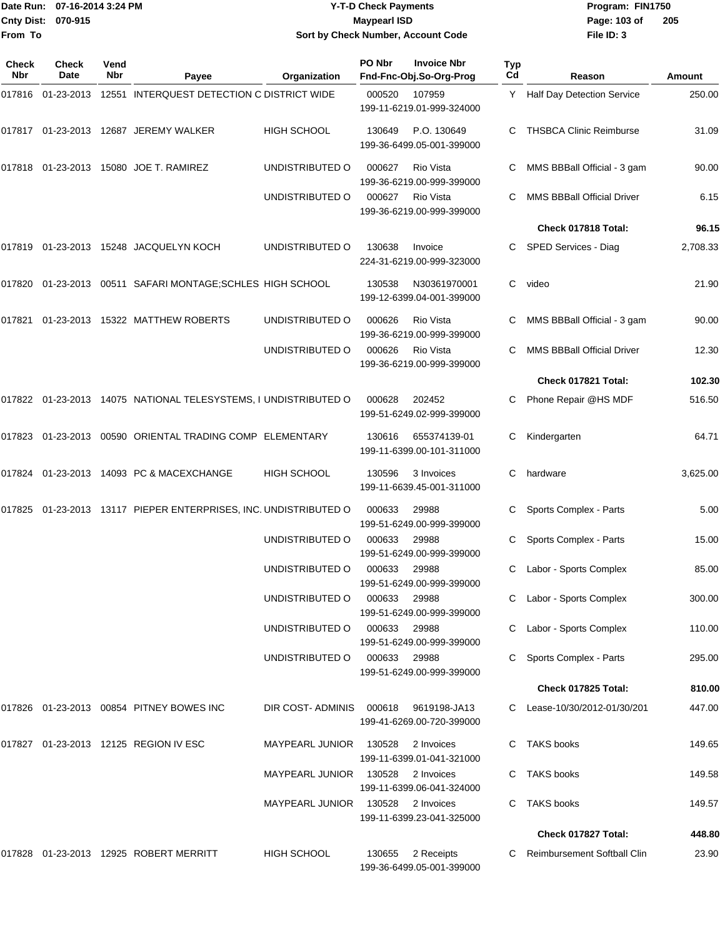|                           | Date Run: 07-16-2014 3:24 PM | <b>Y-T-D Check Payments</b>        | Program: FIN1750 |                |
|---------------------------|------------------------------|------------------------------------|------------------|----------------|
| <b>Cnty Dist: 070-915</b> |                              | <b>Maypearl ISD</b>                | Page: 103 of     | $\overline{2}$ |
| lFrom To                  |                              | Sort by Check Number, Account Code | File $ID: 3$     |                |

# **by Check Number, Account Code**

| Check<br>Nbr | <b>Check</b><br>Date | Vend<br>Nbr | Payee                                                           | Organization                 | PO Nbr       | <b>Invoice Nbr</b><br>Fnd-Fnc-Obj.So-Org-Prog | Typ<br>Cd | Reason                            | Amount   |
|--------------|----------------------|-------------|-----------------------------------------------------------------|------------------------------|--------------|-----------------------------------------------|-----------|-----------------------------------|----------|
|              | 017816 01-23-2013    |             | 12551 INTERQUEST DETECTION C DISTRICT WIDE                      |                              | 000520       | 107959<br>199-11-6219.01-999-324000           |           | Y Half Day Detection Service      | 250.00   |
|              |                      |             | 017817  01-23-2013  12687  JEREMY WALKER                        | <b>HIGH SCHOOL</b>           | 130649       | P.O. 130649<br>199-36-6499.05-001-399000      | C         | <b>THSBCA Clinic Reimburse</b>    | 31.09    |
|              |                      |             | 017818  01-23-2013  15080  JOE T. RAMIREZ                       | UNDISTRIBUTED O              | 000627       | Rio Vista<br>199-36-6219.00-999-399000        | C         | MMS BBBall Official - 3 gam       | 90.00    |
|              |                      |             |                                                                 | UNDISTRIBUTED O              | 000627       | Rio Vista<br>199-36-6219.00-999-399000        |           | <b>MMS BBBall Official Driver</b> | 6.15     |
|              |                      |             |                                                                 |                              |              |                                               |           | Check 017818 Total:               | 96.15    |
|              |                      |             | 017819 01-23-2013 15248 JACQUELYN KOCH                          | UNDISTRIBUTED O              | 130638       | Invoice<br>224-31-6219.00-999-323000          | C         | SPED Services - Diag              | 2,708.33 |
|              |                      |             | 017820 01-23-2013 00511 SAFARI MONTAGE;SCHLES HIGH SCHOOL       |                              | 130538       | N30361970001<br>199-12-6399.04-001-399000     | C         | video                             | 21.90    |
| 017821       |                      |             | 01-23-2013 15322 MATTHEW ROBERTS                                | UNDISTRIBUTED O              | 000626       | Rio Vista<br>199-36-6219.00-999-399000        | C         | MMS BBBall Official - 3 gam       | 90.00    |
|              |                      |             |                                                                 | UNDISTRIBUTED O              | 000626       | Rio Vista<br>199-36-6219.00-999-399000        | C         | <b>MMS BBBall Official Driver</b> | 12.30    |
|              |                      |             |                                                                 |                              |              |                                               |           | Check 017821 Total:               | 102.30   |
|              |                      |             | 017822 01-23-2013 14075 NATIONAL TELESYSTEMS, I UNDISTRIBUTED O |                              | 000628       | 202452<br>199-51-6249.02-999-399000           | C         | Phone Repair @HS MDF              | 516.50   |
|              |                      |             | 017823 01-23-2013 00590 ORIENTAL TRADING COMP ELEMENTARY        |                              | 130616       | 655374139-01<br>199-11-6399.00-101-311000     | С         | Kindergarten                      | 64.71    |
|              |                      |             | 017824 01-23-2013 14093 PC & MACEXCHANGE                        | <b>HIGH SCHOOL</b>           | 130596       | 3 Invoices<br>199-11-6639.45-001-311000       | C         | hardware                          | 3,625.00 |
| 017825       |                      |             | 01-23-2013 13117 PIEPER ENTERPRISES, INC. UNDISTRIBUTED O       |                              | 000633       | 29988<br>199-51-6249.00-999-399000            | С         | Sports Complex - Parts            | 5.00     |
|              |                      |             |                                                                 | UNDISTRIBUTED O              | 000633       | 29988<br>199-51-6249.00-999-399000            |           | Sports Complex - Parts            | 15.00    |
|              |                      |             |                                                                 | UNDISTRIBUTED O              | 000633       | 29988<br>199-51-6249.00-999-399000            | C         | Labor - Sports Complex            | 85.00    |
|              |                      |             |                                                                 | UNDISTRIBUTED O              | 000633       | 29988<br>199-51-6249.00-999-399000            |           | C Labor - Sports Complex          | 300.00   |
|              |                      |             |                                                                 | UNDISTRIBUTED O 000633 29988 |              | 199-51-6249.00-999-399000                     |           | Labor - Sports Complex            | 110.00   |
|              |                      |             |                                                                 | UNDISTRIBUTED O              | 000633 29988 | 199-51-6249.00-999-399000                     |           | Sports Complex - Parts            | 295.00   |
|              |                      |             |                                                                 |                              |              |                                               |           | Check 017825 Total:               | 810.00   |
|              |                      |             | 017826  01-23-2013  00854  PITNEY BOWES INC                     | DIR COST-ADMINIS             | 000618       | 9619198-JA13<br>199-41-6269.00-720-399000     |           | C Lease-10/30/2012-01/30/201      | 447.00   |
|              |                      |             | 017827 01-23-2013 12125 REGION IV ESC                           | <b>MAYPEARL JUNIOR</b>       | 130528       | 2 Invoices<br>199-11-6399.01-041-321000       |           | C TAKS books                      | 149.65   |
|              |                      |             |                                                                 | MAYPEARL JUNIOR              | 130528       | 2 Invoices<br>199-11-6399.06-041-324000       |           | C TAKS books                      | 149.58   |
|              |                      |             |                                                                 | MAYPEARL JUNIOR              | 130528       | 2 Invoices<br>199-11-6399.23-041-325000       | C         | <b>TAKS books</b>                 | 149.57   |
|              |                      |             |                                                                 |                              |              |                                               |           | Check 017827 Total:               | 448.80   |
|              |                      |             | 017828  01-23-2013  12925  ROBERT MERRITT                       | HIGH SCHOOL                  | 130655       | 2 Receipts<br>199-36-6499.05-001-399000       |           | C Reimbursement Softball Clin     | 23.90    |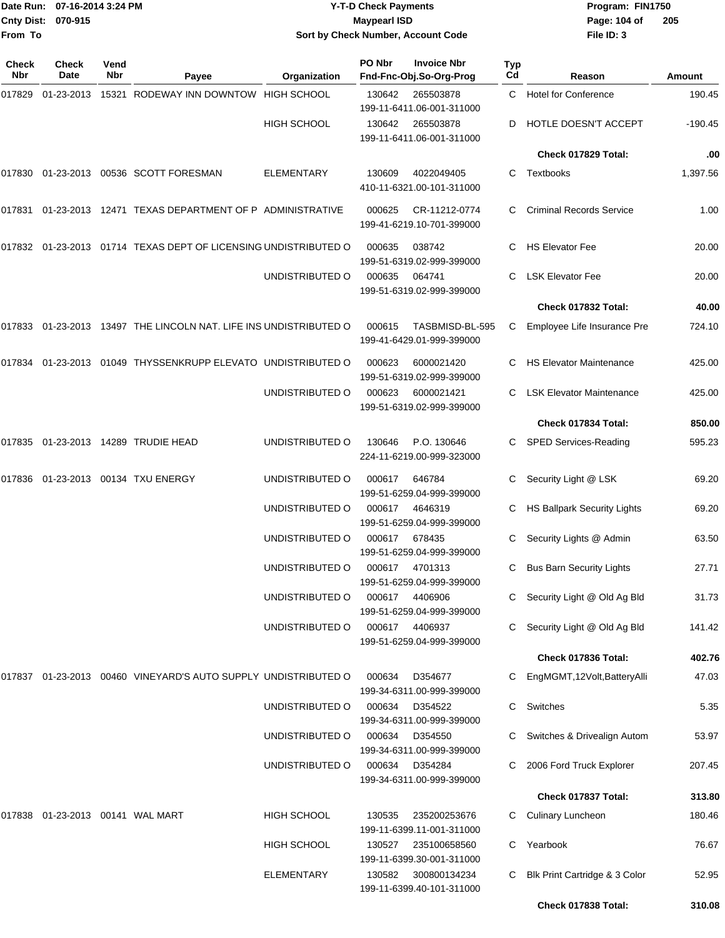| From To | Date Run: 07-16-2014 3:24 PM<br>Cnty Dist: 070-915 |      |                                                                      | <b>Y-T-D Check Payments</b><br><b>Maypearl ISD</b><br>Sort by Check Number, Account Code |                  |                                                 |          | Program: FIN1750<br>Page: 104 of<br>File ID: 3          | 205             |
|---------|----------------------------------------------------|------|----------------------------------------------------------------------|------------------------------------------------------------------------------------------|------------------|-------------------------------------------------|----------|---------------------------------------------------------|-----------------|
| Check   | Check                                              | Vend |                                                                      |                                                                                          | PO Nbr           | <b>Invoice Nbr</b>                              | Typ      |                                                         |                 |
| Nbr     | Date                                               | Nbr  | Payee                                                                | Organization                                                                             |                  | Fnd-Fnc-Obj.So-Org-Prog                         | Cd       | Reason                                                  | Amount          |
| 017829  | 01-23-2013                                         |      | 15321 RODEWAY INN DOWNTOW HIGH SCHOOL                                |                                                                                          | 130642           | 265503878<br>199-11-6411.06-001-311000          | C.       | <b>Hotel for Conference</b>                             | 190.45          |
|         |                                                    |      |                                                                      | <b>HIGH SCHOOL</b>                                                                       | 130642           | 265503878<br>199-11-6411.06-001-311000          | D        | HOTLE DOESN'T ACCEPT                                    | $-190.45$       |
|         |                                                    |      |                                                                      |                                                                                          |                  |                                                 |          | Check 017829 Total:                                     | .00             |
|         |                                                    |      | 017830   01-23-2013   00536   SCOTT FORESMAN                         | <b>ELEMENTARY</b>                                                                        | 130609           | 4022049405<br>410-11-6321.00-101-311000         | С        | Textbooks                                               | 1,397.56        |
|         |                                                    |      | 017831  01-23-2013  12471  TEXAS DEPARTMENT OF P ADMINISTRATIVE      |                                                                                          | 000625           | CR-11212-0774<br>199-41-6219.10-701-399000      | С        | <b>Criminal Records Service</b>                         | 1.00            |
|         |                                                    |      | 017832  01-23-2013  01714  TEXAS DEPT OF LICENSING UNDISTRIBUTED O   |                                                                                          | 000635           | 038742<br>199-51-6319.02-999-399000             | C.       | <b>HS Elevator Fee</b>                                  | 20.00           |
|         |                                                    |      |                                                                      | UNDISTRIBUTED O                                                                          | 000635           | 064741<br>199-51-6319.02-999-399000             | C.       | <b>LSK Elevator Fee</b>                                 | 20.00           |
|         |                                                    |      |                                                                      |                                                                                          |                  |                                                 |          | Check 017832 Total:                                     | 40.00           |
|         |                                                    |      | 017833  01-23-2013  13497  THE LINCOLN NAT. LIFE INS UNDISTRIBUTED O |                                                                                          | 000615           | TASBMISD-BL-595<br>199-41-6429.01-999-399000    | C        | Employee Life Insurance Pre                             | 724.10          |
|         |                                                    |      | 017834 01-23-2013 01049 THYSSENKRUPP ELEVATO UNDISTRIBUTED O         |                                                                                          | 000623           | 6000021420<br>199-51-6319.02-999-399000         | C.       | <b>HS Elevator Maintenance</b>                          | 425.00          |
|         |                                                    |      |                                                                      | UNDISTRIBUTED O                                                                          | 000623           | 6000021421<br>199-51-6319.02-999-399000         | C.       | <b>LSK Elevator Maintenance</b>                         | 425.00          |
|         |                                                    |      |                                                                      |                                                                                          |                  |                                                 |          | Check 017834 Total:                                     | 850.00          |
| 017835  |                                                    |      | 01-23-2013  14289  TRUDIE HEAD                                       | UNDISTRIBUTED O                                                                          | 130646           | P.O. 130646<br>224-11-6219.00-999-323000        | C.       | SPED Services-Reading                                   | 595.23          |
|         |                                                    |      | 017836  01-23-2013  00134  TXU ENERGY                                | UNDISTRIBUTED O                                                                          | 000617           | 646784<br>199-51-6259.04-999-399000             | С        | Security Light @ LSK                                    | 69.20           |
|         |                                                    |      |                                                                      | UNDISTRIBUTED O                                                                          | 000617           | 4646319<br>199-51-6259.04-999-399000            | С        | <b>HS Ballpark Security Lights</b>                      | 69.20           |
|         |                                                    |      |                                                                      | UNDISTRIBUTED O                                                                          | 000617           | 678435<br>199-51-6259.04-999-399000             |          | C Security Lights @ Admin                               | 63.50           |
|         |                                                    |      |                                                                      | UNDISTRIBUTED O                                                                          | 000617           | 4701313<br>199-51-6259.04-999-399000            | C.       | <b>Bus Barn Security Lights</b>                         | 27.71           |
|         |                                                    |      |                                                                      | UNDISTRIBUTED O                                                                          | 000617           | 4406906<br>199-51-6259.04-999-399000            | C.       | Security Light @ Old Ag Bld                             | 31.73           |
|         |                                                    |      |                                                                      | UNDISTRIBUTED O                                                                          | 000617           | 4406937<br>199-51-6259.04-999-399000            |          | Security Light @ Old Ag Bld                             | 141.42          |
|         |                                                    |      |                                                                      |                                                                                          |                  |                                                 |          | Check 017836 Total:                                     | 402.76          |
|         |                                                    |      | 017837  01-23-2013  00460  VINEYARD'S AUTO SUPPLY UNDISTRIBUTED O    |                                                                                          | 000634           | D354677<br>199-34-6311.00-999-399000            | C        | EngMGMT,12Volt,BatteryAlli                              | 47.03           |
|         |                                                    |      |                                                                      | UNDISTRIBUTED O                                                                          | 000634           | D354522<br>199-34-6311.00-999-399000            | C        | Switches                                                | 5.35            |
|         |                                                    |      |                                                                      | UNDISTRIBUTED O<br>UNDISTRIBUTED O                                                       | 000634<br>000634 | D354550<br>199-34-6311.00-999-399000<br>D354284 | C.<br>C. | Switches & Drivealign Autom<br>2006 Ford Truck Explorer | 53.97<br>207.45 |
|         |                                                    |      |                                                                      |                                                                                          |                  | 199-34-6311.00-999-399000                       |          | Check 017837 Total:                                     | 313.80          |
|         | 017838    01-23-2013    00141   WAL MART           |      |                                                                      | HIGH SCHOOL                                                                              | 130535           | 235200253676                                    | C.       | <b>Culinary Luncheon</b>                                | 180.46          |
|         |                                                    |      |                                                                      | <b>HIGH SCHOOL</b>                                                                       | 130527           | 199-11-6399.11-001-311000<br>235100658560       | C.       | Yearbook                                                | 76.67           |
|         |                                                    |      |                                                                      | <b>ELEMENTARY</b>                                                                        | 130582           | 199-11-6399.30-001-311000<br>300800134234       | C.       | Blk Print Cartridge & 3 Color                           | 52.95           |
|         |                                                    |      |                                                                      |                                                                                          |                  | 199-11-6399.40-101-311000                       |          | Check 017838 Total:                                     | 310.08          |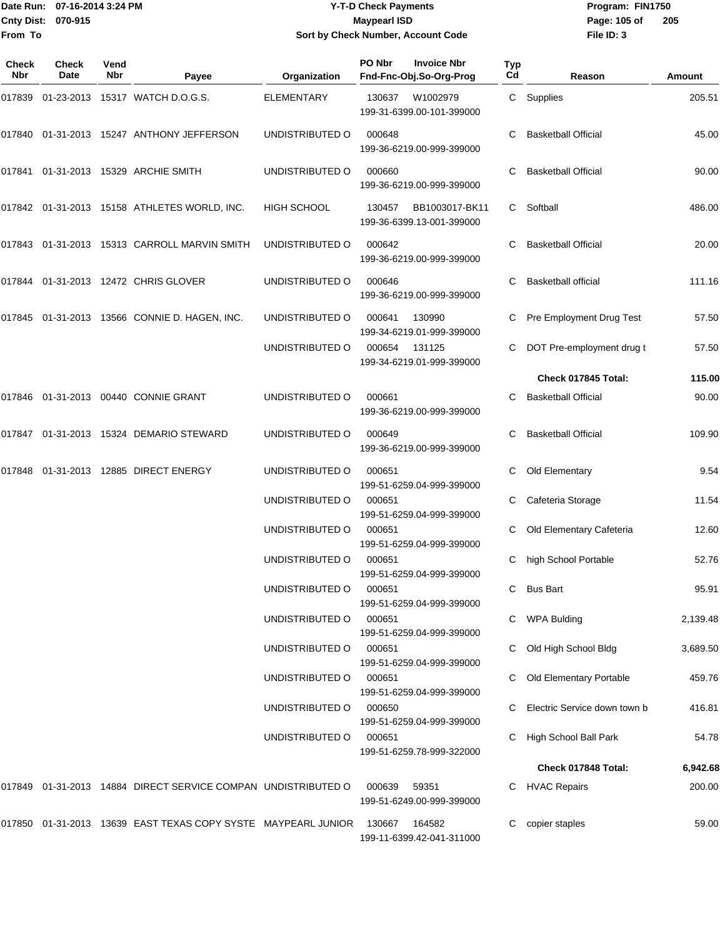#### Date Run: 07-16-2014 3:24 PM **Program:** FIN1750 **Cnty Dist:** 070-915 **Page:** 105 of **Y-T-D Check Payments 070-915 Maypearl ISD Sort by Check Number, Account Code**

| <b>Check</b><br><b>Nbr</b> | <b>Check</b><br>Date | Vend<br><b>Nbr</b> | Payee                                                             | Organization       | PO Nbr<br><b>Invoice Nbr</b><br>Fnd-Fnc-Obj.So-Org-Prog | Typ<br>Cd | Reason                       | Amount   |
|----------------------------|----------------------|--------------------|-------------------------------------------------------------------|--------------------|---------------------------------------------------------|-----------|------------------------------|----------|
| 017839                     |                      |                    | 01-23-2013 15317 WATCH D.O.G.S.                                   | <b>ELEMENTARY</b>  | 130637<br>W1002979<br>199-31-6399.00-101-399000         |           | C Supplies                   | 205.51   |
|                            |                      |                    | 017840  01-31-2013  15247  ANTHONY JEFFERSON                      | UNDISTRIBUTED O    | 000648<br>199-36-6219.00-999-399000                     | C         | <b>Basketball Official</b>   | 45.00    |
| 017841                     |                      |                    | 01-31-2013 15329 ARCHIE SMITH                                     | UNDISTRIBUTED O    | 000660<br>199-36-6219.00-999-399000                     | C.        | <b>Basketball Official</b>   | 90.00    |
|                            |                      |                    | 017842  01-31-2013  15158  ATHLETES WORLD, INC.                   | <b>HIGH SCHOOL</b> | 130457<br>BB1003017-BK11<br>199-36-6399.13-001-399000   | C         | Softball                     | 486.00   |
|                            |                      |                    | 017843 01-31-2013 15313 CARROLL MARVIN SMITH                      | UNDISTRIBUTED O    | 000642<br>199-36-6219.00-999-399000                     | C.        | <b>Basketball Official</b>   | 20.00    |
|                            |                      |                    | 017844 01-31-2013 12472 CHRIS GLOVER                              | UNDISTRIBUTED O    | 000646<br>199-36-6219.00-999-399000                     | C.        | <b>Basketball official</b>   | 111.16   |
| 017845                     |                      |                    | 01-31-2013  13566  CONNIE D. HAGEN, INC.                          | UNDISTRIBUTED O    | 000641<br>130990<br>199-34-6219.01-999-399000           | C         | Pre Employment Drug Test     | 57.50    |
|                            |                      |                    |                                                                   | UNDISTRIBUTED O    | 000654<br>131125<br>199-34-6219.01-999-399000           |           | DOT Pre-employment drug t    | 57.50    |
|                            |                      |                    |                                                                   |                    |                                                         |           | Check 017845 Total:          | 115.00   |
|                            |                      |                    | 017846 01-31-2013 00440 CONNIE GRANT                              | UNDISTRIBUTED O    | 000661<br>199-36-6219.00-999-399000                     | C         | <b>Basketball Official</b>   | 90.00    |
|                            |                      |                    | 017847 01-31-2013 15324 DEMARIO STEWARD                           | UNDISTRIBUTED O    | 000649<br>199-36-6219.00-999-399000                     | C         | <b>Basketball Official</b>   | 109.90   |
| 017848                     |                      |                    | 01-31-2013  12885  DIRECT ENERGY                                  | UNDISTRIBUTED O    | 000651<br>199-51-6259.04-999-399000                     | C         | Old Elementary               | 9.54     |
|                            |                      |                    |                                                                   | UNDISTRIBUTED O    | 000651<br>199-51-6259.04-999-399000                     |           | Cafeteria Storage            | 11.54    |
|                            |                      |                    |                                                                   | UNDISTRIBUTED O    | 000651<br>199-51-6259.04-999-399000                     |           | Old Elementary Cafeteria     | 12.60    |
|                            |                      |                    |                                                                   | UNDISTRIBUTED O    | 000651<br>199-51-6259.04-999-399000                     | C         | high School Portable         | 52.76    |
|                            |                      |                    |                                                                   | UNDISTRIBUTED O    | 000651<br>199-51-6259.04-999-399000                     | C.        | <b>Bus Bart</b>              | 95.91    |
|                            |                      |                    |                                                                   | UNDISTRIBUTED O    | 000651<br>199-51-6259.04-999-399000                     |           | <b>WPA Bulding</b>           | 2,139.48 |
|                            |                      |                    |                                                                   | UNDISTRIBUTED O    | 000651<br>199-51-6259.04-999-399000                     |           | Old High School Bldg         | 3,689.50 |
|                            |                      |                    |                                                                   | UNDISTRIBUTED O    | 000651<br>199-51-6259.04-999-399000                     |           | Old Elementary Portable      | 459.76   |
|                            |                      |                    |                                                                   | UNDISTRIBUTED O    | 000650<br>199-51-6259.04-999-399000                     |           | Electric Service down town b | 416.81   |
|                            |                      |                    |                                                                   | UNDISTRIBUTED O    | 000651<br>199-51-6259.78-999-322000                     | C.        | High School Ball Park        | 54.78    |
|                            |                      |                    |                                                                   |                    |                                                         |           | Check 017848 Total:          | 6,942.68 |
|                            |                      |                    | 017849  01-31-2013  14884  DIRECT SERVICE COMPAN  UNDISTRIBUTED O |                    | 000639<br>59351<br>199-51-6249.00-999-399000            | C.        | <b>HVAC Repairs</b>          | 200.00   |
|                            |                      |                    | 017850  01-31-2013  13639  EAST TEXAS COPY SYSTE  MAYPEARL JUNIOR |                    | 130667<br>164582<br>199-11-6399.42-041-311000           | C         | copier staples               | 59.00    |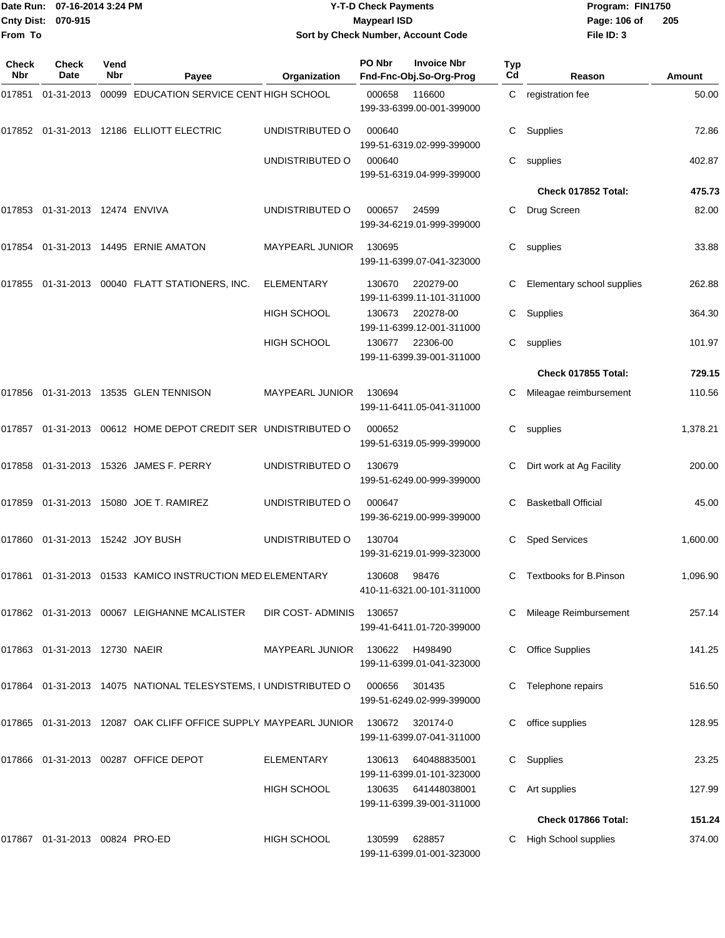| 07-16-2014 3:24 PM<br>Date Run:<br>Cnty Dist:<br>070-915 |                                      |             | <b>Y-T-D Check Payments</b><br><b>Maypearl ISD</b>                            |                        |        |                                               | Program: FIN1750<br>Page: 106 of | 205                        |          |
|----------------------------------------------------------|--------------------------------------|-------------|-------------------------------------------------------------------------------|------------------------|--------|-----------------------------------------------|----------------------------------|----------------------------|----------|
| From To                                                  |                                      |             |                                                                               |                        |        | Sort by Check Number, Account Code            |                                  | File ID: 3                 |          |
| Check<br><b>Nbr</b>                                      | <b>Check</b><br>Date                 | Vend<br>Nbr | Payee                                                                         | Organization           | PO Nbr | <b>Invoice Nbr</b><br>Fnd-Fnc-Obj.So-Org-Prog | Typ<br>Cd                        | Reason                     | Amount   |
|                                                          |                                      |             | 017851  01-31-2013  00099  EDUCATION SERVICE CENT HIGH SCHOOL                 |                        | 000658 | 116600<br>199-33-6399.00-001-399000           | C                                | registration fee           | 50.00    |
|                                                          |                                      |             | 017852  01-31-2013  12186  ELLIOTT ELECTRIC                                   | UNDISTRIBUTED O        | 000640 | 199-51-6319.02-999-399000                     | С                                | Supplies                   | 72.86    |
|                                                          |                                      |             |                                                                               | UNDISTRIBUTED O        | 000640 | 199-51-6319.04-999-399000                     | C.                               | supplies                   | 402.87   |
|                                                          |                                      |             |                                                                               |                        |        |                                               |                                  | Check 017852 Total:        | 475.73   |
|                                                          | 017853 01-31-2013 12474 ENVIVA       |             |                                                                               | UNDISTRIBUTED O        | 000657 | 24599<br>199-34-6219.01-999-399000            | С                                | Drug Screen                | 82.00    |
|                                                          |                                      |             |                                                                               | <b>MAYPEARL JUNIOR</b> | 130695 | 199-11-6399.07-041-323000                     | С                                | supplies                   | 33.88    |
|                                                          |                                      |             | 017855  01-31-2013  00040  FLATT STATIONERS, INC.                             | <b>ELEMENTARY</b>      | 130670 | 220279-00<br>199-11-6399.11-101-311000        | С                                | Elementary school supplies | 262.88   |
|                                                          |                                      |             |                                                                               | <b>HIGH SCHOOL</b>     | 130673 | 220278-00<br>199-11-6399.12-001-311000        | C.                               | Supplies                   | 364.30   |
|                                                          |                                      |             |                                                                               | HIGH SCHOOL            | 130677 | 22306-00<br>199-11-6399.39-001-311000         | С                                | supplies                   | 101.97   |
|                                                          |                                      |             |                                                                               |                        |        |                                               |                                  | <b>Check 017855 Total:</b> | 729.15   |
|                                                          |                                      |             | 017856  01-31-2013  13535  GLEN TENNISON                                      | MAYPEARL JUNIOR        | 130694 | 199-11-6411.05-041-311000                     | С                                | Mileagae reimbursement     | 110.56   |
|                                                          |                                      |             | 017857   01-31-2013   00612   HOME   DEPOT   CREDIT   SER   UNDISTRIBUTED   O |                        | 000652 | 199-51-6319.05-999-399000                     | С                                | supplies                   | 1,378.21 |
|                                                          |                                      |             | 017858 01-31-2013 15326 JAMES F. PERRY                                        | UNDISTRIBUTED O        | 130679 | 199-51-6249.00-999-399000                     | С                                | Dirt work at Ag Facility   | 200.00   |
| 017859                                                   |                                      |             | 01-31-2013  15080  JOE T. RAMIREZ                                             | UNDISTRIBUTED O        | 000647 | 199-36-6219.00-999-399000                     |                                  | <b>Basketball Official</b> | 45.00    |
|                                                          | 017860  01-31-2013  15242  JOY  BUSH |             |                                                                               | UNDISTRIBUTED O        | 130704 | 199-31-6219.01-999-323000                     |                                  | C Sped Services            | 1,600.00 |
|                                                          |                                      |             | 017861  01-31-2013  01533  KAMICO INSTRUCTION  MED ELEMENTARY                 |                        | 130608 | 98476<br>410-11-6321.00-101-311000            |                                  | C Textbooks for B.Pinson   | 1,096.90 |
|                                                          |                                      |             | 017862  01-31-2013  00067  LEIGHANNE MCALISTER                                | DIR COST- ADMINIS      | 130657 | 199-41-6411.01-720-399000                     |                                  | Mileage Reimbursement      | 257.14   |
|                                                          | 017863  01-31-2013  12730  NAEIR     |             |                                                                               | MAYPEARL JUNIOR 130622 |        | H498490<br>199-11-6399.01-041-323000          |                                  | C Office Supplies          | 141.25   |
|                                                          |                                      |             | 017864 01-31-2013 14075  NATIONAL TELESYSTEMS, I UNDISTRIBUTED O              |                        | 000656 | 301435<br>199-51-6249.02-999-399000           |                                  | C Telephone repairs        | 516.50   |
|                                                          |                                      |             | 017865  01-31-2013  12087  OAK CLIFF OFFICE SUPPLY MAYPEARL JUNIOR            |                        | 130672 | 320174-0<br>199-11-6399.07-041-311000         |                                  | C office supplies          | 128.95   |
|                                                          |                                      |             | 017866  01-31-2013  00287  OFFICE DEPOT                                       | ELEMENTARY             | 130613 | 640488835001<br>199-11-6399.01-101-323000     |                                  | C Supplies                 | 23.25    |
|                                                          |                                      |             |                                                                               | <b>HIGH SCHOOL</b>     | 130635 | 641448038001<br>199-11-6399.39-001-311000     |                                  | C Art supplies             | 127.99   |
|                                                          |                                      |             |                                                                               |                        |        |                                               |                                  | Check 017866 Total:        | 151.24   |
|                                                          | 017867  01-31-2013  00824  PRO-ED    |             |                                                                               | <b>HIGH SCHOOL</b>     | 130599 | 628857<br>199-11-6399.01-001-323000           |                                  | C High School supplies     | 374.00   |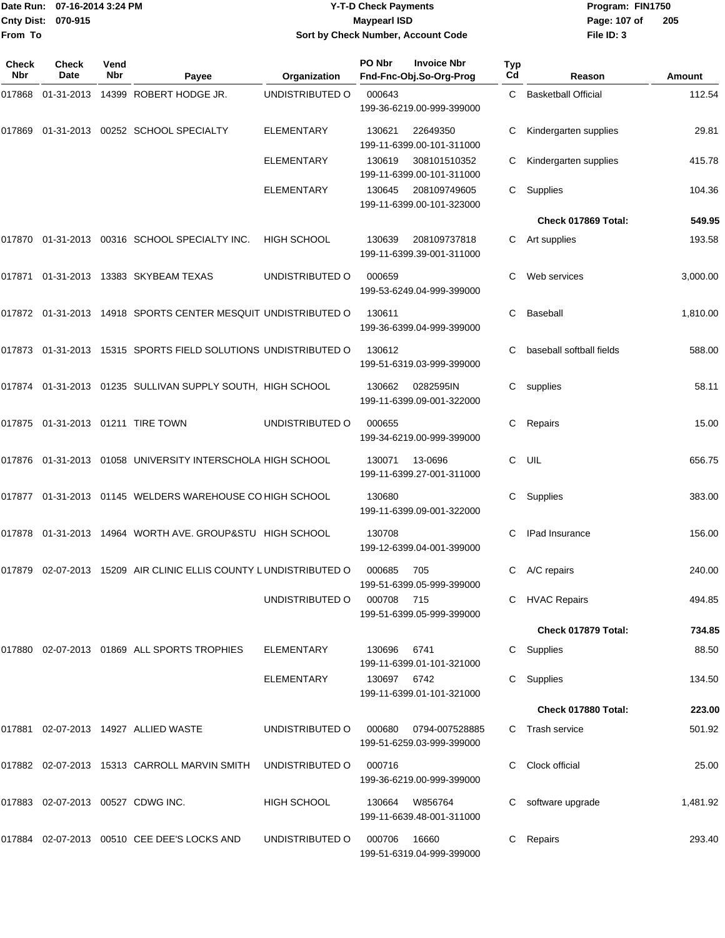#### Date Run: 07-16-2014 3:24 PM **Program:** FIN1750 **Cnty Dist:** 070-915 **Page:** 107 of **Y-T-D Check Payments 070-915 Maypearl ISD Sort by Check Number, Account Code**

| Check<br>Nbr | <b>Check</b><br><b>Date</b>       | Vend<br>Nbr | Payee                                                            | Organization       | PO Nbr      | <b>Invoice Nbr</b><br>Fnd-Fnc-Obj.So-Org-Prog | <b>Typ</b><br>Cd | Reason                     | Amount   |
|--------------|-----------------------------------|-------------|------------------------------------------------------------------|--------------------|-------------|-----------------------------------------------|------------------|----------------------------|----------|
|              |                                   |             | 017868 01-31-2013 14399 ROBERT HODGE JR.                         | UNDISTRIBUTED O    | 000643      | 199-36-6219.00-999-399000                     | C                | <b>Basketball Official</b> | 112.54   |
| 017869       |                                   |             | 01-31-2013 00252 SCHOOL SPECIALTY                                | <b>ELEMENTARY</b>  | 130621      | 22649350<br>199-11-6399.00-101-311000         | С                | Kindergarten supplies      | 29.81    |
|              |                                   |             |                                                                  | ELEMENTARY         | 130619      | 308101510352<br>199-11-6399.00-101-311000     |                  | Kindergarten supplies      | 415.78   |
|              |                                   |             |                                                                  | <b>ELEMENTARY</b>  | 130645      | 208109749605<br>199-11-6399.00-101-323000     | C                | Supplies                   | 104.36   |
|              |                                   |             |                                                                  |                    |             |                                               |                  | Check 017869 Total:        | 549.95   |
|              |                                   |             | 017870 01-31-2013 00316 SCHOOL SPECIALTY INC.                    | <b>HIGH SCHOOL</b> | 130639      | 208109737818<br>199-11-6399.39-001-311000     | C                | Art supplies               | 193.58   |
|              |                                   |             | 017871 01-31-2013 13383 SKYBEAM TEXAS                            | UNDISTRIBUTED O    | 000659      | 199-53-6249.04-999-399000                     | С                | Web services               | 3,000.00 |
|              |                                   |             | 017872 01-31-2013 14918 SPORTS CENTER MESQUIT UNDISTRIBUTED O    |                    | 130611      | 199-36-6399.04-999-399000                     | C                | Baseball                   | 1,810.00 |
|              |                                   |             | 017873 01-31-2013 15315 SPORTS FIELD SOLUTIONS UNDISTRIBUTED O   |                    | 130612      | 199-51-6319.03-999-399000                     | C                | baseball softball fields   | 588.00   |
|              |                                   |             | 017874 01-31-2013 01235 SULLIVAN SUPPLY SOUTH, HIGH SCHOOL       |                    | 130662      | 0282595IN<br>199-11-6399.09-001-322000        | C.               | supplies                   | 58.11    |
|              |                                   |             | 017875 01-31-2013 01211 TIRE TOWN                                | UNDISTRIBUTED O    | 000655      | 199-34-6219.00-999-399000                     | С                | Repairs                    | 15.00    |
|              |                                   |             | 017876 01-31-2013 01058 UNIVERSITY INTERSCHOLA HIGH SCHOOL       |                    | 130071      | 13-0696<br>199-11-6399.27-001-311000          | C                | UIL                        | 656.75   |
|              |                                   |             | 017877 01-31-2013 01145 WELDERS WAREHOUSE CO HIGH SCHOOL         |                    | 130680      | 199-11-6399.09-001-322000                     | С                | Supplies                   | 383.00   |
|              |                                   |             | 017878  01-31-2013  14964  WORTH AVE. GROUP&STU  HIGH SCHOOL     |                    | 130708      | 199-12-6399.04-001-399000                     | С                | <b>IPad Insurance</b>      | 156.00   |
|              |                                   |             | 017879 02-07-2013 15209 AIR CLINIC ELLIS COUNTY LUNDISTRIBUTED O |                    | 000685      | 705<br>199-51-6399.05-999-399000              | C                | A/C repairs                | 240.00   |
|              |                                   |             |                                                                  | UNDISTRIBUTED O    | 000708 715  | 199-51-6399.05-999-399000                     |                  | C HVAC Repairs             | 494.85   |
|              |                                   |             |                                                                  |                    |             |                                               |                  | Check 017879 Total:        | 734.85   |
|              |                                   |             | 017880 02-07-2013 01869 ALL SPORTS TROPHIES                      | <b>ELEMENTARY</b>  | 130696      | 6741<br>199-11-6399.01-101-321000             |                  | C Supplies                 | 88.50    |
|              |                                   |             |                                                                  | <b>ELEMENTARY</b>  | 130697 6742 | 199-11-6399.01-101-321000                     |                  | C Supplies                 | 134.50   |
|              |                                   |             |                                                                  |                    |             |                                               |                  | Check 017880 Total:        | 223.00   |
|              |                                   |             | 017881 02-07-2013 14927 ALLIED WASTE                             | UNDISTRIBUTED O    | 000680      | 0794-007528885<br>199-51-6259.03-999-399000   |                  | C Trash service            | 501.92   |
|              |                                   |             | 017882 02-07-2013 15313 CARROLL MARVIN SMITH                     | UNDISTRIBUTED O    | 000716      | 199-36-6219.00-999-399000                     |                  | Clock official             | 25.00    |
|              | 017883 02-07-2013 00527 CDWG INC. |             |                                                                  | HIGH SCHOOL        | 130664      | W856764<br>199-11-6639.48-001-311000          |                  | software upgrade           | 1,481.92 |
|              |                                   |             | 017884 02-07-2013 00510 CEE DEE'S LOCKS AND                      | UNDISTRIBUTED O    | 000706      | 16660<br>199-51-6319.04-999-399000            | C                | Repairs                    | 293.40   |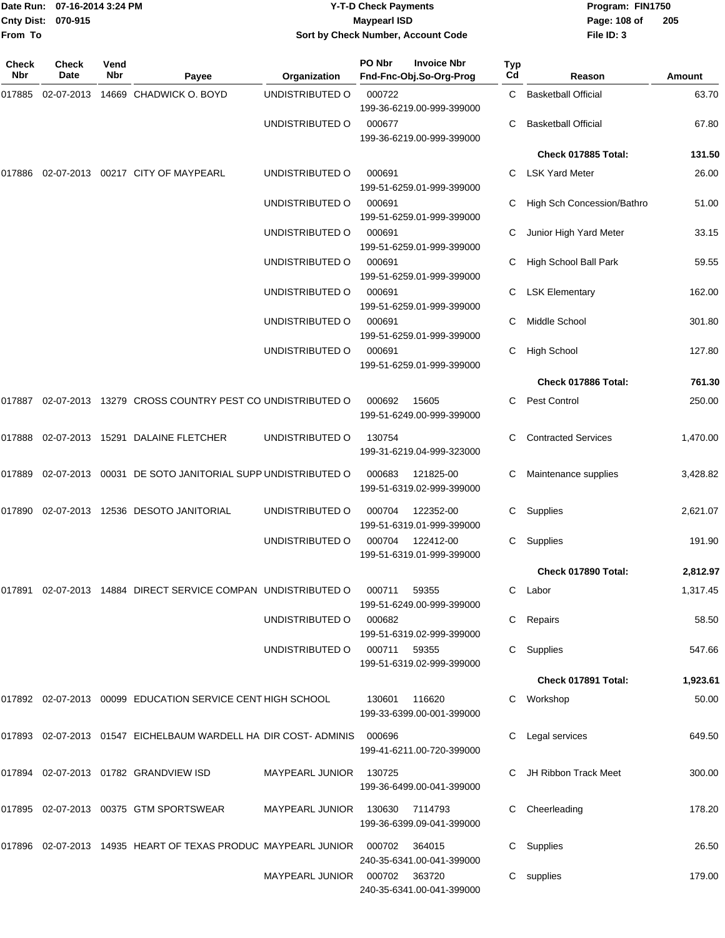| Date Run: 07-16-2014 3:24 PM<br>Cnty Dist: 070-915<br>From To |               |             |                                                                          | <b>Y-T-D Check Payments</b><br><b>Maypearl ISD</b><br>Sort by Check Number, Account Code |                                                         |           | Program: FIN1750<br>Page: 108 of<br>File ID: 3 | 205      |
|---------------------------------------------------------------|---------------|-------------|--------------------------------------------------------------------------|------------------------------------------------------------------------------------------|---------------------------------------------------------|-----------|------------------------------------------------|----------|
| Check<br><b>Nbr</b>                                           | Check<br>Date | Vend<br>Nbr | Payee                                                                    | Organization                                                                             | PO Nbr<br><b>Invoice Nbr</b><br>Fnd-Fnc-Obj.So-Org-Prog | Typ<br>Cd | Reason                                         | Amount   |
| 017885                                                        |               |             | 02-07-2013  14669  CHADWICK O. BOYD                                      | UNDISTRIBUTED O                                                                          | 000722<br>199-36-6219.00-999-399000                     | C.        | <b>Basketball Official</b>                     | 63.70    |
|                                                               |               |             |                                                                          | UNDISTRIBUTED O                                                                          | 000677<br>199-36-6219.00-999-399000                     | С         | <b>Basketball Official</b>                     | 67.80    |
|                                                               |               |             |                                                                          |                                                                                          |                                                         |           | Check 017885 Total:                            | 131.50   |
| 017886                                                        |               |             | 02-07-2013  00217  CITY OF MAYPEARL                                      | UNDISTRIBUTED O                                                                          | 000691<br>199-51-6259.01-999-399000                     | C         | <b>LSK Yard Meter</b>                          | 26.00    |
|                                                               |               |             |                                                                          | UNDISTRIBUTED O                                                                          | 000691<br>199-51-6259.01-999-399000                     |           | High Sch Concession/Bathro                     | 51.00    |
|                                                               |               |             |                                                                          | UNDISTRIBUTED O                                                                          | 000691<br>199-51-6259.01-999-399000                     | С         | Junior High Yard Meter                         | 33.15    |
|                                                               |               |             |                                                                          | UNDISTRIBUTED O                                                                          | 000691<br>199-51-6259.01-999-399000                     | С         | High School Ball Park                          | 59.55    |
|                                                               |               |             |                                                                          | UNDISTRIBUTED O                                                                          | 000691<br>199-51-6259.01-999-399000                     | С         | <b>LSK Elementary</b>                          | 162.00   |
|                                                               |               |             |                                                                          | UNDISTRIBUTED O                                                                          | 000691<br>199-51-6259.01-999-399000                     |           | Middle School                                  | 301.80   |
|                                                               |               |             |                                                                          | UNDISTRIBUTED O                                                                          | 000691<br>199-51-6259.01-999-399000                     | С         | <b>High School</b>                             | 127.80   |
|                                                               |               |             |                                                                          |                                                                                          |                                                         |           | Check 017886 Total:                            | 761.30   |
|                                                               |               |             | 017887  02-07-2013  13279  CROSS COUNTRY PEST CO UNDISTRIBUTED O         |                                                                                          | 000692<br>15605<br>199-51-6249.00-999-399000            | C         | <b>Pest Control</b>                            | 250.00   |
|                                                               |               |             | 017888 02-07-2013 15291 DALAINE FLETCHER                                 | UNDISTRIBUTED O                                                                          | 130754<br>199-31-6219.04-999-323000                     | С         | <b>Contracted Services</b>                     | 1,470.00 |
|                                                               |               |             | 017889  02-07-2013  00031  DE SOTO JANITORIAL SUPP UNDISTRIBUTED O       |                                                                                          | 000683<br>121825-00<br>199-51-6319.02-999-399000        | С         | Maintenance supplies                           | 3,428.82 |
| 017890                                                        |               |             | 02-07-2013  12536  DESOTO JANITORIAL                                     | UNDISTRIBUTED O                                                                          | 122352-00<br>000704<br>199-51-6319.01-999-399000        | С         | Supplies                                       | 2,621.07 |
|                                                               |               |             |                                                                          | UNDISTRIBUTED O                                                                          | 000704 122412-00<br>199-51-6319.01-999-399000           |           | C Supplies                                     | 191.90   |
|                                                               |               |             |                                                                          |                                                                                          |                                                         |           | Check 017890 Total:                            | 2,812.97 |
|                                                               |               |             | 017891  02-07-2013  14884  DIRECT SERVICE COMPAN  UNDISTRIBUTED O        |                                                                                          | 000711 59355<br>199-51-6249.00-999-399000               |           | C Labor                                        | 1,317.45 |
|                                                               |               |             |                                                                          | UNDISTRIBUTED O                                                                          | 000682<br>199-51-6319.02-999-399000                     |           | C Repairs                                      | 58.50    |
|                                                               |               |             |                                                                          | UNDISTRIBUTED O                                                                          | 000711 59355<br>199-51-6319.02-999-399000               |           | C Supplies                                     | 547.66   |
|                                                               |               |             |                                                                          |                                                                                          |                                                         |           | Check 017891 Total:                            | 1,923.61 |
|                                                               |               |             | 017892 02-07-2013 00099 EDUCATION SERVICE CENT HIGH SCHOOL               |                                                                                          | 130601<br>116620<br>199-33-6399.00-001-399000           |           | C Workshop                                     | 50.00    |
|                                                               |               |             | 017893 02-07-2013 01547 EICHELBAUM WARDELL HA DIR COST- ADMINIS          |                                                                                          | 000696<br>199-41-6211.00-720-399000                     |           | C Legal services                               | 649.50   |
|                                                               |               |             |                                                                          | MAYPEARL JUNIOR                                                                          | 130725<br>199-36-6499.00-041-399000                     |           | C JH Ribbon Track Meet                         | 300.00   |
|                                                               |               |             | 017895 02-07-2013 00375 GTM SPORTSWEAR                                   | MAYPEARL JUNIOR 130630 7114793                                                           | 199-36-6399.09-041-399000                               |           | C Cheerleading                                 | 178.20   |
|                                                               |               |             | 017896  02-07-2013  14935  HEART OF TEXAS PRODUC MAYPEARL JUNIOR  000702 |                                                                                          | 364015<br>240-35-6341.00-041-399000                     |           | C Supplies                                     | 26.50    |
|                                                               |               |             |                                                                          | MAYPEARL JUNIOR  000702  363720                                                          | 240-35-6341.00-041-399000                               |           | C supplies                                     | 179.00   |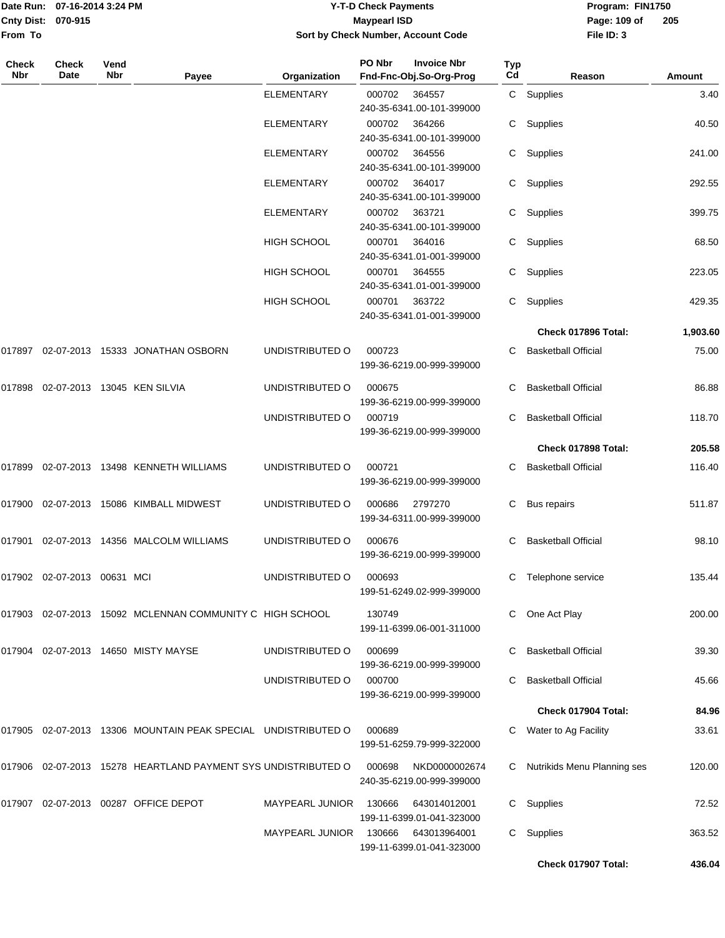|                    | Date Run: 07-16-2014 3:24 PM | <b>Y-T-D Check Payments</b>        | Program: FIN1750 |                |
|--------------------|------------------------------|------------------------------------|------------------|----------------|
| Cnty Dist: 070-915 |                              | <b>Mavpearl ISD</b>                | Page: 109 of     | $\overline{2}$ |
| From To            |                              | Sort by Check Number, Account Code | File ID: 3       |                |

# **Sort by Check Number, Account Code**

| Check<br><b>Nbr</b> | Check<br>Date               | Vend<br>Nbr | Payee                                                         | Organization           | PO Nbr | <b>Invoice Nbr</b><br>Fnd-Fnc-Obj.So-Org-Prog | Typ<br>Cd | Reason                      | Amount   |
|---------------------|-----------------------------|-------------|---------------------------------------------------------------|------------------------|--------|-----------------------------------------------|-----------|-----------------------------|----------|
|                     |                             |             |                                                               | <b>ELEMENTARY</b>      | 000702 | 364557                                        |           | C Supplies                  | 3.40     |
|                     |                             |             |                                                               | <b>ELEMENTARY</b>      | 000702 | 240-35-6341.00-101-399000<br>364266           |           | C Supplies                  | 40.50    |
|                     |                             |             |                                                               |                        |        | 240-35-6341.00-101-399000                     |           |                             |          |
|                     |                             |             |                                                               | <b>ELEMENTARY</b>      | 000702 | 364556                                        |           | C Supplies                  | 241.00   |
|                     |                             |             |                                                               | ELEMENTARY             | 000702 | 240-35-6341.00-101-399000<br>364017           |           | C Supplies                  | 292.55   |
|                     |                             |             |                                                               |                        |        | 240-35-6341.00-101-399000                     |           |                             |          |
|                     |                             |             |                                                               | <b>ELEMENTARY</b>      | 000702 | 363721                                        |           | C Supplies                  | 399.75   |
|                     |                             |             |                                                               | HIGH SCHOOL            | 000701 | 240-35-6341.00-101-399000<br>364016           |           | C Supplies                  | 68.50    |
|                     |                             |             |                                                               |                        |        | 240-35-6341.01-001-399000                     |           |                             |          |
|                     |                             |             |                                                               | HIGH SCHOOL            | 000701 | 364555                                        | C.        | Supplies                    | 223.05   |
|                     |                             |             |                                                               |                        |        | 240-35-6341.01-001-399000                     |           |                             |          |
|                     |                             |             |                                                               | <b>HIGH SCHOOL</b>     | 000701 | 363722<br>240-35-6341.01-001-399000           |           | C Supplies                  | 429.35   |
|                     |                             |             |                                                               |                        |        |                                               |           | Check 017896 Total:         | 1,903.60 |
|                     |                             |             | 017897  02-07-2013  15333  JONATHAN OSBORN                    | UNDISTRIBUTED O        | 000723 |                                               | C         | <b>Basketball Official</b>  | 75.00    |
|                     |                             |             |                                                               |                        |        | 199-36-6219.00-999-399000                     |           |                             |          |
| 017898              |                             |             | 02-07-2013 13045 KEN SILVIA                                   | UNDISTRIBUTED O        | 000675 |                                               |           | <b>Basketball Official</b>  | 86.88    |
|                     |                             |             |                                                               |                        |        | 199-36-6219.00-999-399000                     |           |                             |          |
|                     |                             |             |                                                               | UNDISTRIBUTED O        | 000719 | 199-36-6219.00-999-399000                     | C.        | <b>Basketball Official</b>  | 118.70   |
|                     |                             |             |                                                               |                        |        |                                               |           | Check 017898 Total:         | 205.58   |
| 017899              |                             |             | 02-07-2013 13498 KENNETH WILLIAMS                             | UNDISTRIBUTED O        | 000721 |                                               | С         | <b>Basketball Official</b>  | 116.40   |
|                     |                             |             |                                                               |                        |        | 199-36-6219.00-999-399000                     |           |                             |          |
|                     |                             |             | 017900 02-07-2013 15086 KIMBALL MIDWEST                       | UNDISTRIBUTED O        | 000686 | 2797270                                       | С         | Bus repairs                 | 511.87   |
|                     |                             |             |                                                               |                        |        | 199-34-6311.00-999-399000                     |           |                             |          |
|                     |                             |             | 017901 02-07-2013 14356 MALCOLM WILLIAMS                      | UNDISTRIBUTED O        | 000676 |                                               |           | <b>Basketball Official</b>  | 98.10    |
|                     |                             |             |                                                               |                        |        | 199-36-6219.00-999-399000                     |           |                             |          |
|                     | 017902 02-07-2013 00631 MCI |             |                                                               | UNDISTRIBUTED O        | 000693 |                                               | С         | Telephone service           | 135.44   |
|                     |                             |             |                                                               |                        |        | 199-51-6249.02-999-399000                     |           |                             |          |
|                     |                             |             | 017903 02-07-2013 15092 MCLENNAN COMMUNITY C HIGH SCHOOL      |                        | 130749 |                                               |           | One Act Play                | 200.00   |
|                     |                             |             |                                                               |                        |        | 199-11-6399.06-001-311000                     |           |                             |          |
|                     |                             |             | 017904 02-07-2013 14650 MISTY MAYSE                           | UNDISTRIBUTED O        | 000699 | 199-36-6219.00-999-399000                     | C.        | <b>Basketball Official</b>  | 39.30    |
|                     |                             |             |                                                               | UNDISTRIBUTED O        | 000700 |                                               | C.        | <b>Basketball Official</b>  | 45.66    |
|                     |                             |             |                                                               |                        |        | 199-36-6219.00-999-399000                     |           |                             |          |
|                     |                             |             |                                                               |                        |        |                                               |           | Check 017904 Total:         | 84.96    |
|                     |                             |             | 017905 02-07-2013 13306 MOUNTAIN PEAK SPECIAL UNDISTRIBUTED O |                        | 000689 |                                               | С         | Water to Ag Facility        | 33.61    |
|                     |                             |             |                                                               |                        |        | 199-51-6259.79-999-322000                     |           |                             |          |
|                     |                             |             | 017906 02-07-2013 15278 HEARTLAND PAYMENT SYS UNDISTRIBUTED O |                        | 000698 | NKD0000002674                                 | C.        | Nutrikids Menu Planning ses | 120.00   |
|                     |                             |             |                                                               |                        |        | 240-35-6219.00-999-399000                     |           |                             |          |
|                     |                             |             | 017907 02-07-2013 00287 OFFICE DEPOT                          | <b>MAYPEARL JUNIOR</b> | 130666 | 643014012001<br>199-11-6399.01-041-323000     | C.        | Supplies                    | 72.52    |
|                     |                             |             |                                                               | MAYPEARL JUNIOR        | 130666 | 643013964001                                  |           | C Supplies                  | 363.52   |
|                     |                             |             |                                                               |                        |        | 199-11-6399.01-041-323000                     |           |                             |          |
|                     |                             |             |                                                               |                        |        |                                               |           | Check 017907 Total:         | 436.04   |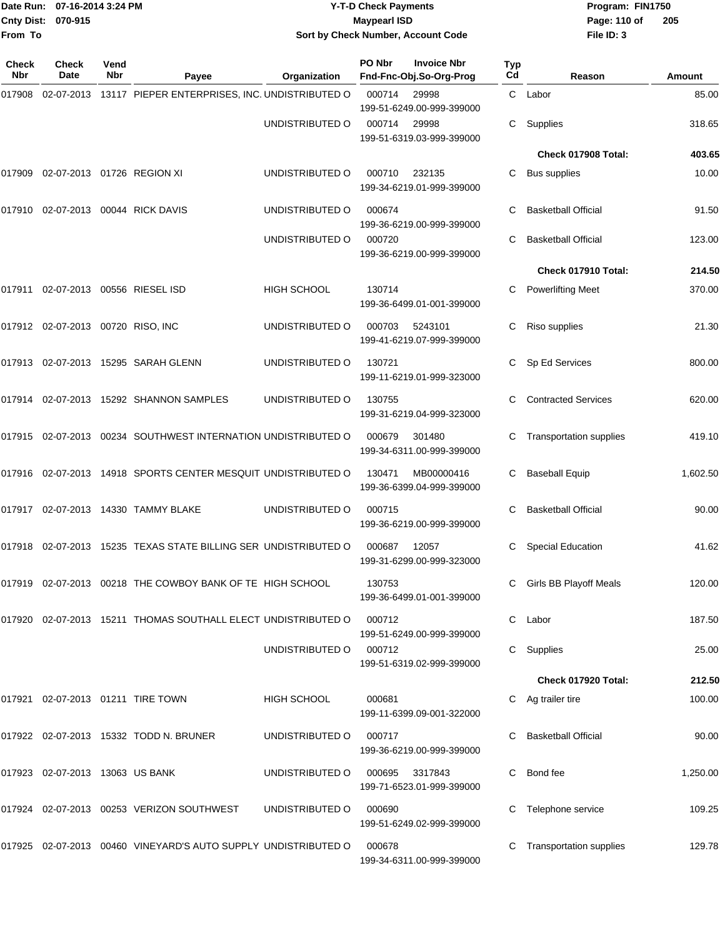| From To             | Date Run: 07-16-2014 3:24 PM<br>Cnty Dist: 070-915 |             |                                                                        | <b>Y-T-D Check Payments</b><br><b>Maypearl ISD</b><br>Sort by Check Number, Account Code |        |                                               |                  | Program: FIN1750<br>Page: 110 of<br>File ID: 3 | 205      |
|---------------------|----------------------------------------------------|-------------|------------------------------------------------------------------------|------------------------------------------------------------------------------------------|--------|-----------------------------------------------|------------------|------------------------------------------------|----------|
| <b>Check</b><br>Nbr | Check<br>Date                                      | Vend<br>Nbr | Payee                                                                  | Organization                                                                             | PO Nbr | <b>Invoice Nbr</b><br>Fnd-Fnc-Obj.So-Org-Prog | <b>Typ</b><br>Cd | Reason                                         | Amount   |
| 017908              |                                                    |             | 02-07-2013 13117 PIEPER ENTERPRISES, INC. UNDISTRIBUTED O              |                                                                                          | 000714 | 29998<br>199-51-6249.00-999-399000            |                  | C Labor                                        | 85.00    |
|                     |                                                    |             |                                                                        | UNDISTRIBUTED O                                                                          | 000714 | 29998<br>199-51-6319.03-999-399000            | C                | Supplies                                       | 318.65   |
|                     |                                                    |             |                                                                        |                                                                                          |        |                                               |                  | Check 017908 Total:                            | 403.65   |
| 017909              | 02-07-2013  01726  REGION XI                       |             |                                                                        | UNDISTRIBUTED O                                                                          | 000710 | 232135<br>199-34-6219.01-999-399000           | C                | <b>Bus supplies</b>                            | 10.00    |
|                     |                                                    |             | 017910 02-07-2013 00044 RICK DAVIS                                     | UNDISTRIBUTED O                                                                          | 000674 | 199-36-6219.00-999-399000                     | C                | <b>Basketball Official</b>                     | 91.50    |
|                     |                                                    |             |                                                                        | UNDISTRIBUTED O                                                                          | 000720 | 199-36-6219.00-999-399000                     | C                | <b>Basketball Official</b>                     | 123.00   |
|                     |                                                    |             |                                                                        |                                                                                          |        |                                               |                  | Check 017910 Total:                            | 214.50   |
|                     |                                                    |             | 017911 02-07-2013 00556 RIESEL ISD                                     | <b>HIGH SCHOOL</b>                                                                       | 130714 | 199-36-6499.01-001-399000                     | C                | <b>Powerlifting Meet</b>                       | 370.00   |
|                     | 017912 02-07-2013 00720 RISO, INC                  |             |                                                                        | UNDISTRIBUTED O                                                                          | 000703 | 5243101<br>199-41-6219.07-999-399000          | C                | Riso supplies                                  | 21.30    |
|                     |                                                    |             | 017913 02-07-2013 15295 SARAH GLENN                                    | UNDISTRIBUTED O                                                                          | 130721 | 199-11-6219.01-999-323000                     | C                | Sp Ed Services                                 | 800.00   |
|                     |                                                    |             | 017914 02-07-2013 15292 SHANNON SAMPLES                                | UNDISTRIBUTED O                                                                          | 130755 | 199-31-6219.04-999-323000                     | C                | <b>Contracted Services</b>                     | 620.00   |
|                     |                                                    |             | 017915  02-07-2013  00234  SOUTHWEST INTERNATION UNDISTRIBUTED O       |                                                                                          | 000679 | 301480<br>199-34-6311.00-999-399000           | С                | <b>Transportation supplies</b>                 | 419.10   |
|                     |                                                    |             | 017916 02-07-2013 14918 SPORTS CENTER MESQUIT UNDISTRIBUTED O          |                                                                                          | 130471 | MB00000416<br>199-36-6399.04-999-399000       | С                | <b>Baseball Equip</b>                          | 1,602.50 |
| 017917              |                                                    |             | 02-07-2013  14330  TAMMY BLAKE                                         | UNDISTRIBUTED O                                                                          | 000715 | 199-36-6219.00-999-399000                     | C                | <b>Basketball Official</b>                     | 90.00    |
|                     |                                                    |             | 017918 02-07-2013 15235 TEXAS STATE BILLING SER UNDISTRIBUTED O 000687 |                                                                                          |        | 12057<br>199-31-6299.00-999-323000            |                  | C Special Education                            | 41.62    |
|                     |                                                    |             | 017919 02-07-2013 00218 THE COWBOY BANK OF TE HIGH SCHOOL              |                                                                                          | 130753 | 199-36-6499.01-001-399000                     | C.               | <b>Girls BB Playoff Meals</b>                  | 120.00   |
|                     |                                                    |             | 017920 02-07-2013 15211 THOMAS SOUTHALL ELECT UNDISTRIBUTED O          |                                                                                          | 000712 | 199-51-6249.00-999-399000                     |                  | C Labor                                        | 187.50   |
|                     |                                                    |             |                                                                        | UNDISTRIBUTED O                                                                          | 000712 | 199-51-6319.02-999-399000                     |                  | C Supplies                                     | 25.00    |
|                     |                                                    |             |                                                                        |                                                                                          |        |                                               |                  | Check 017920 Total:                            | 212.50   |
|                     |                                                    |             | 017921 02-07-2013 01211 TIRE TOWN                                      | HIGH SCHOOL                                                                              | 000681 | 199-11-6399.09-001-322000                     |                  | C Ag trailer tire                              | 100.00   |
|                     |                                                    |             | 017922 02-07-2013 15332 TODD N. BRUNER                                 | UNDISTRIBUTED O                                                                          | 000717 | 199-36-6219.00-999-399000                     | C                | <b>Basketball Official</b>                     | 90.00    |
|                     | 017923 02-07-2013 13063 US BANK                    |             |                                                                        | UNDISTRIBUTED O                                                                          | 000695 | 3317843<br>199-71-6523.01-999-399000          | C.               | Bond fee                                       | 1,250.00 |
|                     |                                                    |             | 017924 02-07-2013 00253 VERIZON SOUTHWEST                              | UNDISTRIBUTED O                                                                          | 000690 | 199-51-6249.02-999-399000                     | C                | Telephone service                              | 109.25   |
|                     |                                                    |             | 017925 02-07-2013 00460 VINEYARD'S AUTO SUPPLY UNDISTRIBUTED O         |                                                                                          | 000678 | 199-34-6311.00-999-399000                     |                  | C Transportation supplies                      | 129.78   |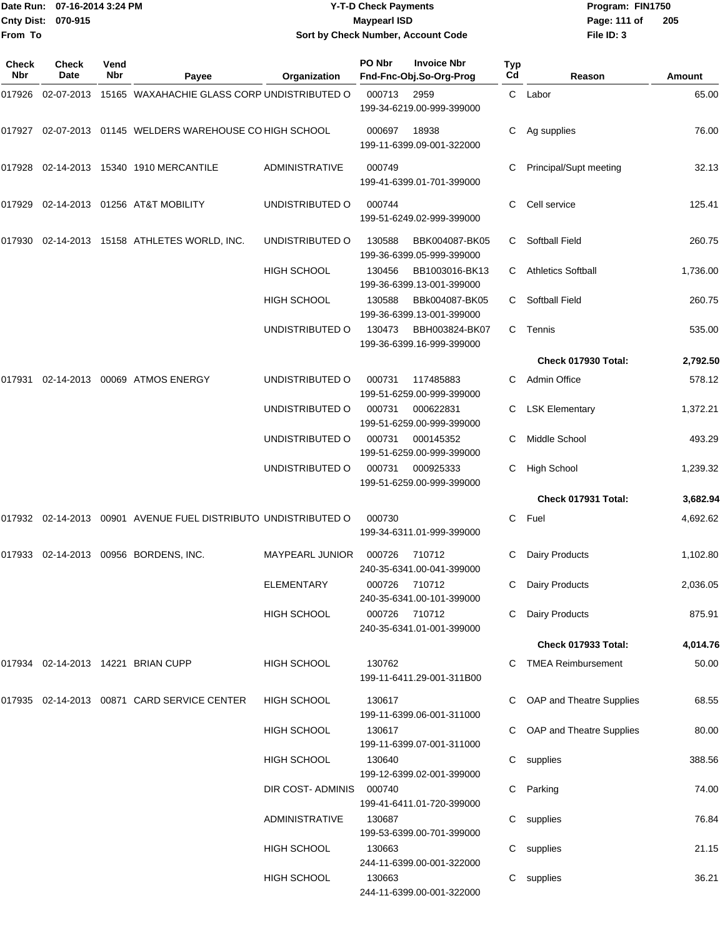| Date Run: 07-16-2014 3:24 PM<br>Cnty Dist: 070-915<br>From To |               |             | <b>Y-T-D Check Payments</b><br><b>Maypearl ISD</b><br>Sort by Check Number, Account Code | Program: FIN1750<br>Page: 111 of<br>File ID: 3 | 205                                                     |                       |                            |          |
|---------------------------------------------------------------|---------------|-------------|------------------------------------------------------------------------------------------|------------------------------------------------|---------------------------------------------------------|-----------------------|----------------------------|----------|
| <b>Check</b><br>Nbr                                           | Check<br>Date | Vend<br>Nbr | Payee                                                                                    | Organization                                   | PO Nbr<br><b>Invoice Nbr</b><br>Fnd-Fnc-Obj.So-Org-Prog | Typ<br>C <sub>d</sub> | Reason                     | Amount   |
|                                                               |               |             | 017926 02-07-2013 15165 WAXAHACHIE GLASS CORP UNDISTRIBUTED O                            |                                                | 000713<br>2959<br>199-34-6219.00-999-399000             | $\mathbf{C}$          | Labor                      | 65.00    |
|                                                               |               |             | 017927 02-07-2013 01145 WELDERS WAREHOUSE CO HIGH SCHOOL                                 |                                                | 000697<br>18938<br>199-11-6399.09-001-322000            | C                     | Ag supplies                | 76.00    |
|                                                               |               |             | 017928 02-14-2013 15340 1910 MERCANTILE                                                  | <b>ADMINISTRATIVE</b>                          | 000749<br>199-41-6399.01-701-399000                     |                       | Principal/Supt meeting     | 32.13    |
|                                                               |               |             | 017929 02-14-2013 01256 AT&T MOBILITY                                                    | UNDISTRIBUTED O                                | 000744<br>199-51-6249.02-999-399000                     | С                     | Cell service               | 125.41   |
|                                                               |               |             | 017930 02-14-2013 15158 ATHLETES WORLD, INC.                                             | UNDISTRIBUTED O                                | 130588<br>199-36-6399.05-999-399000                     | BBK004087-BK05<br>C   | <b>Softball Field</b>      | 260.75   |
|                                                               |               |             |                                                                                          | HIGH SCHOOL                                    | 130456<br>199-36-6399.13-001-399000                     | BB1003016-BK13<br>C   | <b>Athletics Softball</b>  | 1,736.00 |
|                                                               |               |             |                                                                                          | HIGH SCHOOL                                    | 130588<br>199-36-6399.13-001-399000                     | BBk004087-BK05<br>C   | Softball Field             | 260.75   |
|                                                               |               |             |                                                                                          | UNDISTRIBUTED O                                | 130473<br>199-36-6399.16-999-399000                     | BBH003824-BK07<br>C.  | Tennis                     | 535.00   |
|                                                               |               |             |                                                                                          |                                                |                                                         |                       | Check 017930 Total:        | 2,792.50 |
| 017931                                                        |               |             | 02-14-2013 00069 ATMOS ENERGY                                                            | UNDISTRIBUTED O                                | 000731<br>117485883<br>199-51-6259.00-999-399000        | C                     | Admin Office               | 578.12   |
|                                                               |               |             |                                                                                          | UNDISTRIBUTED O                                | 000731<br>000622831<br>199-51-6259.00-999-399000        | C.                    | <b>LSK Elementary</b>      | 1,372.21 |
|                                                               |               |             |                                                                                          | UNDISTRIBUTED O                                | 000145352<br>000731<br>199-51-6259.00-999-399000        | С                     | Middle School              | 493.29   |
|                                                               |               |             |                                                                                          | UNDISTRIBUTED O                                | 000925333<br>000731<br>199-51-6259.00-999-399000        | С                     | <b>High School</b>         | 1,239.32 |
|                                                               |               |             |                                                                                          |                                                |                                                         |                       | Check 017931 Total:        | 3,682.94 |
|                                                               |               |             | 017932 02-14-2013 00901 AVENUE FUEL DISTRIBUTO UNDISTRIBUTED O                           |                                                | 000730<br>199-34-6311.01-999-399000                     |                       | C Fuel                     | 4,692.62 |
|                                                               |               |             | 017933 02-14-2013 00956 BORDENS, INC.                                                    | MAYPEARL JUNIOR                                | 000726<br>710712<br>240-35-6341.00-041-399000           |                       | C Dairy Products           | 1,102.80 |
|                                                               |               |             |                                                                                          | <b>ELEMENTARY</b>                              | 000726 710712<br>240-35-6341.00-101-399000              |                       | Dairy Products             | 2,036.05 |
|                                                               |               |             |                                                                                          | HIGH SCHOOL                                    | 000726 710712<br>240-35-6341.01-001-399000              |                       | Dairy Products             | 875.91   |
|                                                               |               |             |                                                                                          |                                                |                                                         |                       | Check 017933 Total:        | 4,014.76 |
|                                                               |               |             | 017934 02-14-2013 14221 BRIAN CUPP                                                       | <b>HIGH SCHOOL</b>                             | 130762<br>199-11-6411.29-001-311B00                     |                       | C TMEA Reimbursement       | 50.00    |
|                                                               |               |             | 017935 02-14-2013 00871 CARD SERVICE CENTER                                              | HIGH SCHOOL                                    | 130617<br>199-11-6399.06-001-311000                     |                       | C OAP and Theatre Supplies | 68.55    |
|                                                               |               |             |                                                                                          | <b>HIGH SCHOOL</b>                             | 130617<br>199-11-6399.07-001-311000                     |                       | C OAP and Theatre Supplies | 80.00    |
|                                                               |               |             |                                                                                          | HIGH SCHOOL                                    | 130640<br>199-12-6399.02-001-399000                     |                       | C supplies                 | 388.56   |
|                                                               |               |             |                                                                                          | DIR COST- ADMINIS                              | 000740<br>199-41-6411.01-720-399000                     |                       | C Parking                  | 74.00    |
|                                                               |               |             |                                                                                          | <b>ADMINISTRATIVE</b>                          | 130687<br>199-53-6399.00-701-399000                     |                       | C supplies                 | 76.84    |
|                                                               |               |             |                                                                                          | <b>HIGH SCHOOL</b>                             | 130663<br>244-11-6399.00-001-322000                     |                       | C supplies                 | 21.15    |

HIGH SCHOOL 130663 C supplies 36.21

244-11-6399.00-001-322000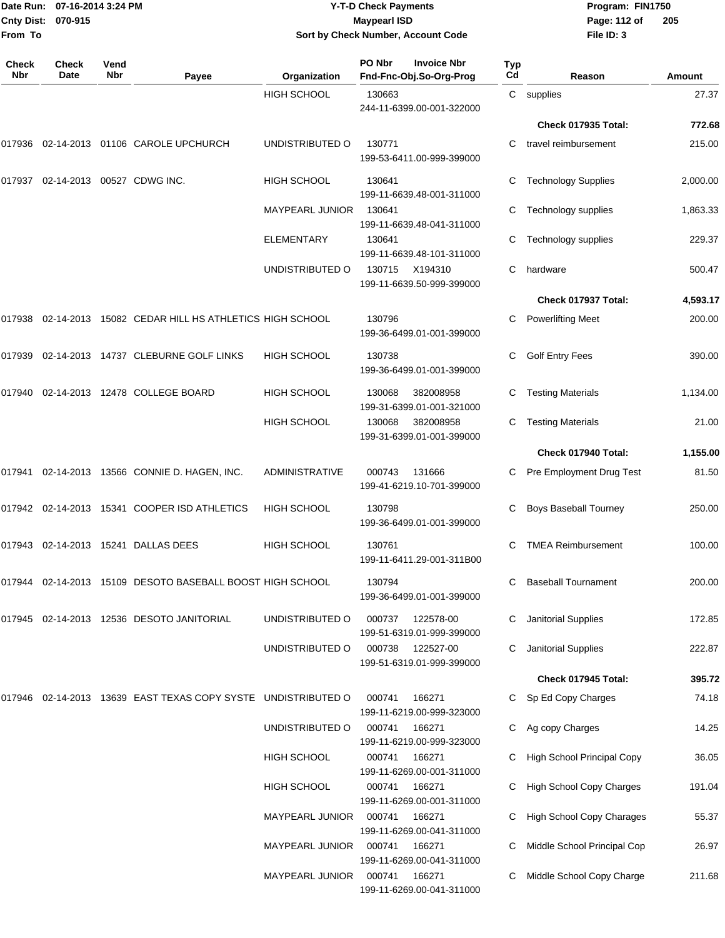| From To             | Date Run: 07-16-2014 3:24 PM<br>Cnty Dist: 070-915 |             |                                                               |                        | <b>Y-T-D Check Payments</b><br><b>Maypearl ISD</b> | Sort by Check Number, Account Code            |           | Program: FIN1750<br>Page: 112 of<br>File ID: 3 | 205      |
|---------------------|----------------------------------------------------|-------------|---------------------------------------------------------------|------------------------|----------------------------------------------------|-----------------------------------------------|-----------|------------------------------------------------|----------|
| <b>Check</b><br>Nbr | Check<br>Date                                      | Vend<br>Nbr | Payee                                                         | Organization           | PO Nbr                                             | <b>Invoice Nbr</b><br>Fnd-Fnc-Obj.So-Org-Prog | Typ<br>Cd | Reason                                         | Amount   |
|                     |                                                    |             |                                                               | <b>HIGH SCHOOL</b>     | 130663                                             | 244-11-6399.00-001-322000                     |           | C supplies                                     | 27.37    |
|                     |                                                    |             |                                                               |                        |                                                    |                                               |           | Check 017935 Total:                            | 772.68   |
| 017936              |                                                    |             | 02-14-2013 01106 CAROLE UPCHURCH                              | UNDISTRIBUTED O        | 130771                                             | 199-53-6411.00-999-399000                     | С         | travel reimbursement                           | 215.00   |
| 017937              |                                                    |             | 02-14-2013 00527 CDWG INC.                                    | <b>HIGH SCHOOL</b>     | 130641                                             | 199-11-6639.48-001-311000                     | С         | <b>Technology Supplies</b>                     | 2,000.00 |
|                     |                                                    |             |                                                               | <b>MAYPEARL JUNIOR</b> | 130641                                             | 199-11-6639.48-041-311000                     | С         | Technology supplies                            | 1,863.33 |
|                     |                                                    |             |                                                               | ELEMENTARY             | 130641                                             | 199-11-6639.48-101-311000                     | С         | Technology supplies                            | 229.37   |
|                     |                                                    |             |                                                               | UNDISTRIBUTED O        | 130715                                             | X194310<br>199-11-6639.50-999-399000          | С         | hardware                                       | 500.47   |
|                     |                                                    |             |                                                               |                        |                                                    |                                               |           | Check 017937 Total:                            | 4,593.17 |
| 017938              |                                                    |             | 02-14-2013 15082 CEDAR HILL HS ATHLETICS HIGH SCHOOL          |                        | 130796                                             | 199-36-6499.01-001-399000                     | C         | <b>Powerlifting Meet</b>                       | 200.00   |
| 017939              |                                                    |             | 02-14-2013 14737 CLEBURNE GOLF LINKS                          | HIGH SCHOOL            | 130738                                             | 199-36-6499.01-001-399000                     | C.        | <b>Golf Entry Fees</b>                         | 390.00   |
| 017940              |                                                    |             | 02-14-2013 12478 COLLEGE BOARD                                | <b>HIGH SCHOOL</b>     | 130068                                             | 382008958<br>199-31-6399.01-001-321000        | С         | <b>Testing Materials</b>                       | 1,134.00 |
|                     |                                                    |             |                                                               | <b>HIGH SCHOOL</b>     | 130068                                             | 382008958<br>199-31-6399.01-001-399000        | С         | <b>Testing Materials</b>                       | 21.00    |
|                     |                                                    |             |                                                               |                        |                                                    |                                               |           | Check 017940 Total:                            | 1,155.00 |
| 017941              |                                                    |             | 02-14-2013  13566  CONNIE D. HAGEN, INC.                      | <b>ADMINISTRATIVE</b>  | 000743                                             | 131666<br>199-41-6219.10-701-399000           | С         | Pre Employment Drug Test                       | 81.50    |
|                     |                                                    |             | 017942 02-14-2013 15341 COOPER ISD ATHLETICS                  | <b>HIGH SCHOOL</b>     | 130798                                             | 199-36-6499.01-001-399000                     |           | <b>Boys Baseball Tourney</b>                   | 250.00   |
|                     |                                                    |             | 017943 02-14-2013 15241 DALLAS DEES                           | <b>HIGH SCHOOL</b>     | 130761                                             | 199-11-6411.29-001-311B00                     |           | <b>TMEA Reimbursement</b>                      | 100.00   |
|                     |                                                    |             | 017944 02-14-2013 15109 DESOTO BASEBALL BOOST HIGH SCHOOL     |                        | 130794                                             | 199-36-6499.01-001-399000                     | C.        | <b>Baseball Tournament</b>                     | 200.00   |
|                     |                                                    |             | 017945 02-14-2013 12536 DESOTO JANITORIAL                     | UNDISTRIBUTED O        | 000737                                             | 122578-00<br>199-51-6319.01-999-399000        |           | Janitorial Supplies                            | 172.85   |
|                     |                                                    |             |                                                               | UNDISTRIBUTED O        | 000738                                             | 122527-00<br>199-51-6319.01-999-399000        | C         | Janitorial Supplies                            | 222.87   |
|                     |                                                    |             |                                                               |                        |                                                    |                                               |           | Check 017945 Total:                            | 395.72   |
|                     |                                                    |             | 017946 02-14-2013 13639 EAST TEXAS COPY SYSTE UNDISTRIBUTED O |                        | 000741                                             | 166271<br>199-11-6219.00-999-323000           |           | C Sp Ed Copy Charges                           | 74.18    |
|                     |                                                    |             |                                                               | UNDISTRIBUTED O        | 000741                                             | 166271<br>199-11-6219.00-999-323000           |           | C Ag copy Charges                              | 14.25    |
|                     |                                                    |             |                                                               | <b>HIGH SCHOOL</b>     | 000741                                             | 166271<br>199-11-6269.00-001-311000           |           | High School Principal Copy                     | 36.05    |
|                     |                                                    |             |                                                               | <b>HIGH SCHOOL</b>     | 000741                                             | 166271<br>199-11-6269.00-001-311000           |           | High School Copy Charges                       | 191.04   |
|                     |                                                    |             |                                                               | MAYPEARL JUNIOR        | 000741                                             | 166271<br>199-11-6269.00-041-311000           |           | High School Copy Charages                      | 55.37    |
|                     |                                                    |             |                                                               | MAYPEARL JUNIOR        | 000741                                             | 166271<br>199-11-6269.00-041-311000           |           | C Middle School Principal Cop                  | 26.97    |
|                     |                                                    |             |                                                               | <b>MAYPEARL JUNIOR</b> | 000741                                             | 166271<br>199-11-6269.00-041-311000           | C         | Middle School Copy Charge                      | 211.68   |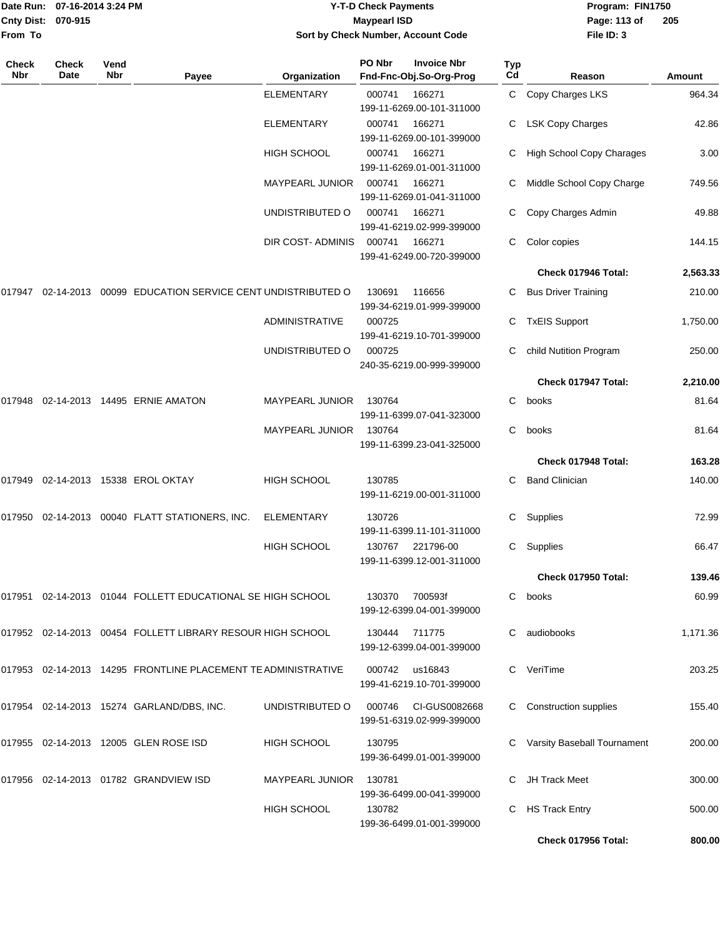|                    | Date Run: 07-16-2014 3:24 PM |
|--------------------|------------------------------|
| Cnty Dist: 070-915 |                              |
| From To            |                              |

#### **Date Run: Program: FIN1750 07-16-2014 3:24 PM Y-T-D Check Payments Cnty Dist: Page: 113 of 070-915 Maypearl ISD Sort by Check Number, Account Code**

| Check<br><b>Nbr</b> | Check<br>Date | Vend<br><b>Nbr</b> | Payee                                                         | Organization           | PO Nbr        | <b>Invoice Nbr</b><br>Fnd-Fnc-Obj.So-Org-Prog | Typ<br>Cd | Reason                      | Amount   |
|---------------------|---------------|--------------------|---------------------------------------------------------------|------------------------|---------------|-----------------------------------------------|-----------|-----------------------------|----------|
|                     |               |                    |                                                               | <b>ELEMENTARY</b>      | 000741        | 166271<br>199-11-6269.00-101-311000           |           | C Copy Charges LKS          | 964.34   |
|                     |               |                    |                                                               | <b>ELEMENTARY</b>      | 000741        | 166271<br>199-11-6269.00-101-399000           | C         | <b>LSK Copy Charges</b>     | 42.86    |
|                     |               |                    |                                                               | HIGH SCHOOL            | 000741        | 166271<br>199-11-6269.01-001-311000           |           | High School Copy Charages   | 3.00     |
|                     |               |                    |                                                               | MAYPEARL JUNIOR        | 000741        | 166271<br>199-11-6269.01-041-311000           | C         | Middle School Copy Charge   | 749.56   |
|                     |               |                    |                                                               | UNDISTRIBUTED O        | 000741        | 166271<br>199-41-6219.02-999-399000           | C         | Copy Charges Admin          | 49.88    |
|                     |               |                    |                                                               | DIR COST-ADMINIS       | 000741        | 166271<br>199-41-6249.00-720-399000           |           | Color copies                | 144.15   |
|                     |               |                    |                                                               |                        |               |                                               |           | Check 017946 Total:         | 2,563.33 |
| 017947              |               |                    | 02-14-2013 00099 EDUCATION SERVICE CENT UNDISTRIBUTED O       |                        | 130691        | 116656<br>199-34-6219.01-999-399000           |           | <b>Bus Driver Training</b>  | 210.00   |
|                     |               |                    |                                                               | <b>ADMINISTRATIVE</b>  | 000725        | 199-41-6219.10-701-399000                     | C         | <b>TxEIS Support</b>        | 1,750.00 |
|                     |               |                    |                                                               | UNDISTRIBUTED O        | 000725        | 240-35-6219.00-999-399000                     | C         | child Nutition Program      | 250.00   |
|                     |               |                    |                                                               |                        |               |                                               |           | Check 017947 Total:         | 2,210.00 |
| 017948              |               |                    | 02-14-2013  14495  ERNIE AMATON                               | <b>MAYPEARL JUNIOR</b> | 130764        | 199-11-6399.07-041-323000                     | C         | books                       | 81.64    |
|                     |               |                    |                                                               | <b>MAYPEARL JUNIOR</b> | 130764        | 199-11-6399.23-041-325000                     | C         | books                       | 81.64    |
|                     |               |                    |                                                               |                        |               |                                               |           | Check 017948 Total:         | 163.28   |
| 017949              |               |                    | 02-14-2013 15338 EROL OKTAY                                   | HIGH SCHOOL            | 130785        | 199-11-6219.00-001-311000                     | C         | <b>Band Clinician</b>       | 140.00   |
| 017950              |               |                    | 02-14-2013 00040 FLATT STATIONERS, INC.                       | <b>ELEMENTARY</b>      | 130726        | 199-11-6399.11-101-311000                     | C         | Supplies                    | 72.99    |
|                     |               |                    |                                                               | <b>HIGH SCHOOL</b>     | 130767        | 221796-00<br>199-11-6399.12-001-311000        | С         | Supplies                    | 66.47    |
|                     |               |                    |                                                               |                        |               |                                               |           | Check 017950 Total:         | 139.46   |
|                     |               |                    | 017951 02-14-2013 01044 FOLLETT EDUCATIONAL SE HIGH SCHOOL    |                        | 130370        | 700593f<br>199-12-6399.04-001-399000          | C         | books                       | 60.99    |
|                     |               |                    | 017952 02-14-2013 00454 FOLLETT LIBRARY RESOUR HIGH SCHOOL    |                        | 130444 711775 | 199-12-6399.04-001-399000                     | C.        | audiobooks                  | 1,171.36 |
|                     |               |                    | 017953 02-14-2013 14295 FRONTLINE PLACEMENT TE ADMINISTRATIVE |                        |               | 000742 us16843<br>199-41-6219.10-701-399000   |           | C VeriTime                  | 203.25   |
|                     |               |                    | 017954 02-14-2013 15274 GARLAND/DBS, INC.                     | UNDISTRIBUTED O        | 000746        | CI-GUS0082668<br>199-51-6319.02-999-399000    |           | C Construction supplies     | 155.40   |
|                     |               |                    | 017955 02-14-2013 12005 GLEN ROSE ISD                         | HIGH SCHOOL            | 130795        | 199-36-6499.01-001-399000                     |           | Varsity Baseball Tournament | 200.00   |
|                     |               |                    | 017956 02-14-2013 01782 GRANDVIEW ISD                         | MAYPEARL JUNIOR        | 130781        | 199-36-6499.00-041-399000                     |           | JH Track Meet               | 300.00   |
|                     |               |                    |                                                               | <b>HIGH SCHOOL</b>     | 130782        | 199-36-6499.01-001-399000                     | C         | <b>HS Track Entry</b>       | 500.00   |
|                     |               |                    |                                                               |                        |               |                                               |           | Check 017956 Total:         | 800.00   |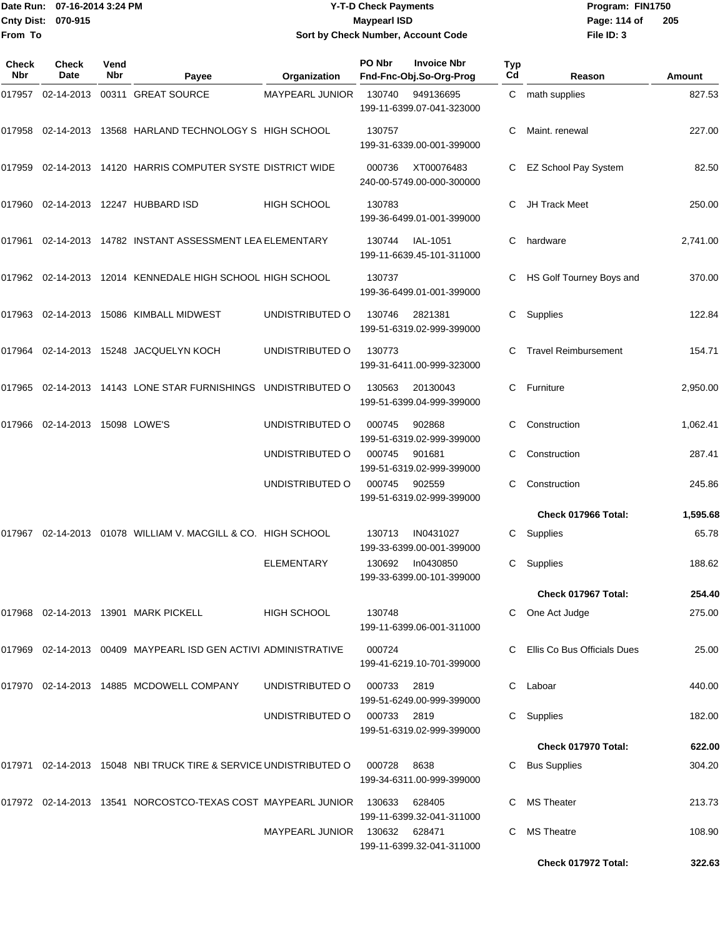#### Date Run: 07-16-2014 3:24 PM **Program:** FIN1750 **Cnty Dist:** 070-915 **Page: 114 of** Maypearl ISD **Page: 114 of Y-T-D Check Payments 070-915 Maypearl ISD Sort by Check Number, Account Code**

| Check<br><b>Nbr</b> | <b>Check</b><br>Date    | Vend<br>Nbr | Payee                                                                            | Organization           | PO Nbr | <b>Invoice Nbr</b><br>Fnd-Fnc-Obj.So-Org-Prog | <b>Typ</b><br>Cd | Reason                      | Amount   |
|---------------------|-------------------------|-------------|----------------------------------------------------------------------------------|------------------------|--------|-----------------------------------------------|------------------|-----------------------------|----------|
| 017957              | 02-14-2013              |             | 00311 GREAT SOURCE                                                               | <b>MAYPEARL JUNIOR</b> | 130740 | 949136695<br>199-11-6399.07-041-323000        | C.               | math supplies               | 827.53   |
|                     |                         |             | 017958 02-14-2013 13568 HARLAND TECHNOLOGY S HIGH SCHOOL                         |                        | 130757 | 199-31-6339.00-001-399000                     | C                | Maint. renewal              | 227.00   |
| 017959              |                         |             | 02-14-2013 14120 HARRIS COMPUTER SYSTE DISTRICT WIDE                             |                        | 000736 | XT00076483<br>240-00-5749.00-000-300000       | C                | EZ School Pay System        | 82.50    |
|                     |                         |             | 017960  02-14-2013  12247  HUBBARD ISD                                           | <b>HIGH SCHOOL</b>     | 130783 | 199-36-6499.01-001-399000                     | C.               | <b>JH Track Meet</b>        | 250.00   |
|                     |                         |             | 017961  02-14-2013  14782  INSTANT ASSESSMENT LEA ELEMENTARY                     |                        | 130744 | IAL-1051<br>199-11-6639.45-101-311000         | C                | hardware                    | 2,741.00 |
|                     |                         |             | 017962 02-14-2013 12014 KENNEDALE HIGH SCHOOL HIGH SCHOOL                        |                        | 130737 | 199-36-6499.01-001-399000                     | C                | HS Golf Tourney Boys and    | 370.00   |
|                     |                         |             | 017963  02-14-2013  15086  KIMBALL MIDWEST                                       | UNDISTRIBUTED O        | 130746 | 2821381<br>199-51-6319.02-999-399000          | C.               | Supplies                    | 122.84   |
| 017964              |                         |             | 02-14-2013 15248 JACQUELYN KOCH                                                  | UNDISTRIBUTED O        | 130773 | 199-31-6411.00-999-323000                     | C                | <b>Travel Reimbursement</b> | 154.71   |
|                     |                         |             | 017965  02-14-2013  14143  LONE STAR FURNISHINGS  UNDISTRIBUTED                O |                        | 130563 | 20130043<br>199-51-6399.04-999-399000         | C.               | Furniture                   | 2,950.00 |
| 017966              | 02-14-2013 15098 LOWE'S |             |                                                                                  | UNDISTRIBUTED O        | 000745 | 902868<br>199-51-6319.02-999-399000           | C                | Construction                | 1,062.41 |
|                     |                         |             |                                                                                  | UNDISTRIBUTED O        | 000745 | 901681<br>199-51-6319.02-999-399000           | C                | Construction                | 287.41   |
|                     |                         |             |                                                                                  | UNDISTRIBUTED O        | 000745 | 902559<br>199-51-6319.02-999-399000           | C.               | Construction                | 245.86   |
|                     |                         |             |                                                                                  |                        |        |                                               |                  | Check 017966 Total:         | 1,595.68 |
| 017967              |                         |             | 02-14-2013 01078 WILLIAM V. MACGILL & CO. HIGH SCHOOL                            |                        | 130713 | IN0431027<br>199-33-6399.00-001-399000        | C.               | Supplies                    | 65.78    |
|                     |                         |             |                                                                                  | <b>ELEMENTARY</b>      | 130692 | In0430850<br>199-33-6399.00-101-399000        | C.               | Supplies                    | 188.62   |
|                     |                         |             |                                                                                  |                        |        |                                               |                  | Check 017967 Total:         | 254.40   |
|                     |                         |             | 017968  02-14-2013  13901  MARK PICKELL                                          | HIGH SCHOOL            | 130748 | 199-11-6399.06-001-311000                     |                  | One Act Judge               | 275.00   |
|                     |                         |             | 017969 02-14-2013 00409 MAYPEARL ISD GEN ACTIVI ADMINISTRATIVE                   |                        | 000724 | 199-41-6219.10-701-399000                     |                  | Ellis Co Bus Officials Dues | 25.00    |
|                     |                         |             | 017970 02-14-2013 14885 MCDOWELL COMPANY                                         | UNDISTRIBUTED O        | 000733 | 2819<br>199-51-6249.00-999-399000             | C                | Laboar                      | 440.00   |
|                     |                         |             |                                                                                  | UNDISTRIBUTED O        | 000733 | 2819<br>199-51-6319.02-999-399000             | C                | Supplies                    | 182.00   |
|                     |                         |             |                                                                                  |                        |        |                                               |                  | Check 017970 Total:         | 622.00   |
|                     |                         |             | 017971  02-14-2013  15048  NBI TRUCK TIRE & SERVICE UNDISTRIBUTED O              |                        | 000728 | 8638<br>199-34-6311.00-999-399000             | C                | <b>Bus Supplies</b>         | 304.20   |
|                     |                         |             | 017972 02-14-2013 13541 NORCOSTCO-TEXAS COST MAYPEARL JUNIOR 130633              |                        |        | 628405<br>199-11-6399.32-041-311000           | C                | <b>MS Theater</b>           | 213.73   |
|                     |                         |             |                                                                                  | MAYPEARL JUNIOR        | 130632 | 628471<br>199-11-6399.32-041-311000           | C.               | <b>MS Theatre</b>           | 108.90   |
|                     |                         |             |                                                                                  |                        |        |                                               |                  | Check 017972 Total:         | 322.63   |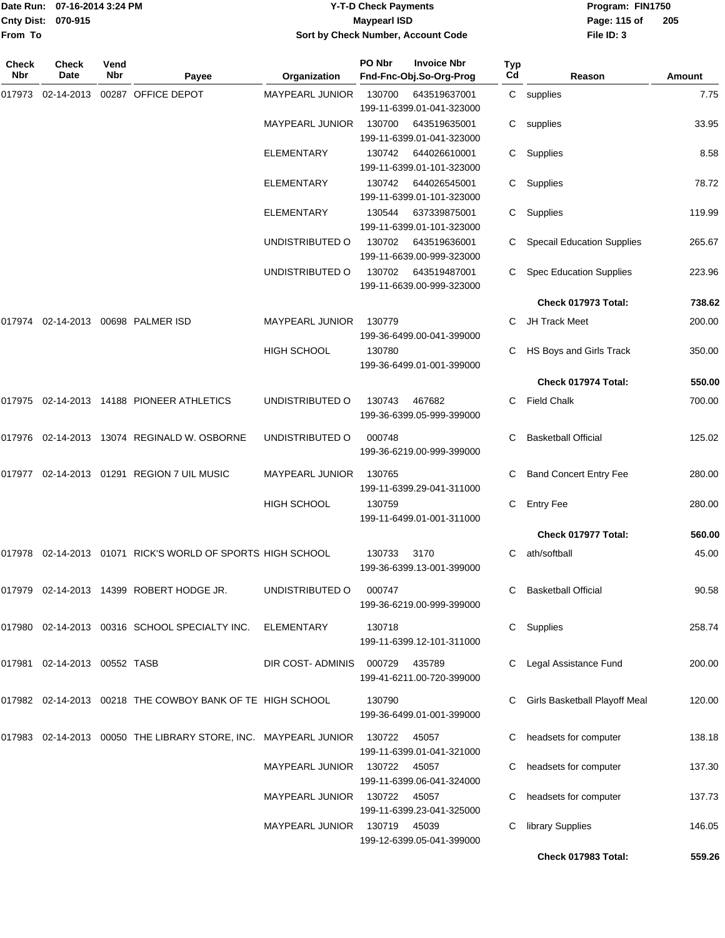|                    | Date Run: 07-16-2014 3:24 PM |
|--------------------|------------------------------|
| Cnty Dist: 070-915 |                              |
| From To            |                              |

#### **Date Run: Program: FIN1750 07-16-2014 3:24 PM Y-T-D Check Payments Cnty Dist: Page: 115 of 070-915 Maypearl ISD Sort by Check Number, Account Code**

| Check<br><b>Nbr</b> | Check<br>Date                | Vend<br><b>Nbr</b> | Payee                                                           | Organization           | PO Nbr | <b>Invoice Nbr</b><br>Fnd-Fnc-Obj.So-Org-Prog | Typ<br>Cd | Reason                            | <b>Amount</b> |
|---------------------|------------------------------|--------------------|-----------------------------------------------------------------|------------------------|--------|-----------------------------------------------|-----------|-----------------------------------|---------------|
| 017973              | 02-14-2013                   |                    | 00287 OFFICE DEPOT                                              | MAYPEARL JUNIOR        | 130700 | 643519637001<br>199-11-6399.01-041-323000     |           | C supplies                        | 7.75          |
|                     |                              |                    |                                                                 | <b>MAYPEARL JUNIOR</b> | 130700 | 643519635001<br>199-11-6399.01-041-323000     | C         | supplies                          | 33.95         |
|                     |                              |                    |                                                                 | <b>ELEMENTARY</b>      | 130742 | 644026610001<br>199-11-6399.01-101-323000     | C         | Supplies                          | 8.58          |
|                     |                              |                    |                                                                 | ELEMENTARY             | 130742 | 644026545001<br>199-11-6399.01-101-323000     | C         | Supplies                          | 78.72         |
|                     |                              |                    |                                                                 | <b>ELEMENTARY</b>      | 130544 | 637339875001<br>199-11-6399.01-101-323000     | C         | Supplies                          | 119.99        |
|                     |                              |                    |                                                                 | UNDISTRIBUTED O        | 130702 | 643519636001<br>199-11-6639.00-999-323000     |           | <b>Specail Education Supplies</b> | 265.67        |
|                     |                              |                    |                                                                 | UNDISTRIBUTED O        | 130702 | 643519487001<br>199-11-6639.00-999-323000     | C         | <b>Spec Education Supplies</b>    | 223.96        |
|                     |                              |                    |                                                                 |                        |        |                                               |           | Check 017973 Total:               | 738.62        |
| 017974              |                              |                    | 02-14-2013 00698 PALMER ISD                                     | MAYPEARL JUNIOR        | 130779 | 199-36-6499.00-041-399000                     | C         | JH Track Meet                     | 200.00        |
|                     |                              |                    |                                                                 | <b>HIGH SCHOOL</b>     | 130780 | 199-36-6499.01-001-399000                     | C         | HS Boys and Girls Track           | 350.00        |
|                     |                              |                    |                                                                 |                        |        |                                               |           | Check 017974 Total:               | 550.00        |
| 017975              |                              |                    | 02-14-2013 14188 PIONEER ATHLETICS                              | UNDISTRIBUTED O        | 130743 | 467682<br>199-36-6399.05-999-399000           | C         | <b>Field Chalk</b>                | 700.00        |
|                     |                              |                    | 017976 02-14-2013 13074 REGINALD W. OSBORNE                     | UNDISTRIBUTED O        | 000748 | 199-36-6219.00-999-399000                     | C.        | <b>Basketball Official</b>        | 125.02        |
| 017977              |                              |                    | 02-14-2013  01291  REGION 7 UIL MUSIC                           | MAYPEARL JUNIOR        | 130765 | 199-11-6399.29-041-311000                     | C         | <b>Band Concert Entry Fee</b>     | 280.00        |
|                     |                              |                    |                                                                 | <b>HIGH SCHOOL</b>     | 130759 | 199-11-6499.01-001-311000                     | C         | <b>Entry Fee</b>                  | 280.00        |
|                     |                              |                    |                                                                 |                        |        |                                               |           | Check 017977 Total:               | 560.00        |
| 017978              |                              |                    | 02-14-2013 01071 RICK'S WORLD OF SPORTS HIGH SCHOOL             |                        | 130733 | 3170<br>199-36-6399.13-001-399000             | C         | ath/softball                      | 45.00         |
|                     |                              |                    | 017979 02-14-2013 14399 ROBERT HODGE JR.                        | UNDISTRIBUTED O        | 000747 | 199-36-6219.00-999-399000                     |           | <b>Basketball Official</b>        | 90.58         |
|                     |                              |                    | 017980 02-14-2013 00316 SCHOOL SPECIALTY INC.                   | ELEMENTARY             | 130718 | 199-11-6399.12-101-311000                     | C.        | Supplies                          | 258.74        |
|                     | 017981 02-14-2013 00552 TASB |                    |                                                                 | DIR COST- ADMINIS      | 000729 | 435789<br>199-41-6211.00-720-399000           |           | Legal Assistance Fund             | 200.00        |
|                     |                              |                    | 017982 02-14-2013 00218 THE COWBOY BANK OF TE HIGH SCHOOL       |                        | 130790 | 199-36-6499.01-001-399000                     |           | C Girls Basketball Playoff Meal   | 120.00        |
|                     |                              |                    | 017983 02-14-2013 00050 THE LIBRARY STORE, INC. MAYPEARL JUNIOR |                        | 130722 | 45057<br>199-11-6399.01-041-321000            |           | headsets for computer             | 138.18        |
|                     |                              |                    |                                                                 | MAYPEARL JUNIOR        | 130722 | 45057<br>199-11-6399.06-041-324000            |           | headsets for computer             | 137.30        |
|                     |                              |                    |                                                                 | MAYPEARL JUNIOR        | 130722 | 45057<br>199-11-6399.23-041-325000            |           | headsets for computer             | 137.73        |
|                     |                              |                    |                                                                 | MAYPEARL JUNIOR 130719 |        | 45039<br>199-12-6399.05-041-399000            |           | library Supplies                  | 146.05        |
|                     |                              |                    |                                                                 |                        |        |                                               |           | Check 017983 Total:               | 559.26        |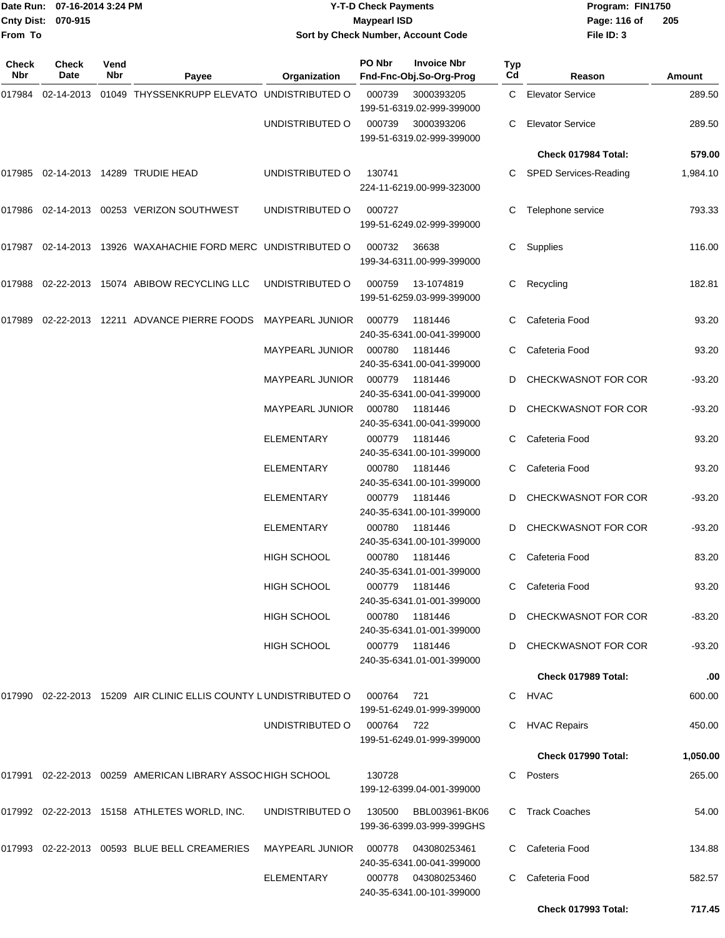|              | Date Run: 07-16-2014 3:24 PM |             |                                                                  | <b>Y-T-D Check Payments</b>      |                     |                                                  |           | Program: FIN1750                        |                 |  |
|--------------|------------------------------|-------------|------------------------------------------------------------------|----------------------------------|---------------------|--------------------------------------------------|-----------|-----------------------------------------|-----------------|--|
|              | Cnty Dist: 070-915           |             |                                                                  |                                  | <b>Maypearl ISD</b> |                                                  |           | Page: 116 of                            | 205             |  |
| From To      |                              |             |                                                                  |                                  |                     | Sort by Check Number, Account Code               |           | File ID: 3                              |                 |  |
| Check<br>Nbr | Check<br>Date                | Vend<br>Nbr | Payee                                                            | Organization                     | PO Nbr              | <b>Invoice Nbr</b><br>Fnd-Fnc-Obj.So-Org-Prog    | Typ<br>Cd | Reason                                  | <b>Amount</b>   |  |
| 017984       |                              |             | 02-14-2013 01049 THYSSENKRUPP ELEVATO UNDISTRIBUTED O            |                                  | 000739              | 3000393205<br>199-51-6319.02-999-399000          | C.        | <b>Elevator Service</b>                 | 289.50          |  |
|              |                              |             |                                                                  | UNDISTRIBUTED O                  | 000739              | 3000393206<br>199-51-6319.02-999-399000          | C.        | <b>Elevator Service</b>                 | 289.50          |  |
|              |                              |             |                                                                  |                                  |                     |                                                  |           | Check 017984 Total:                     | 579.00          |  |
|              |                              |             | 017985 02-14-2013 14289 TRUDIE HEAD                              | UNDISTRIBUTED O                  | 130741              | 224-11-6219.00-999-323000                        | С         | <b>SPED Services-Reading</b>            | 1,984.10        |  |
|              |                              |             | 017986 02-14-2013 00253 VERIZON SOUTHWEST                        | UNDISTRIBUTED O                  | 000727              | 199-51-6249.02-999-399000                        | С         | Telephone service                       | 793.33          |  |
|              |                              |             | 017987 02-14-2013 13926 WAXAHACHIE FORD MERC UNDISTRIBUTED O     |                                  | 000732              | 36638<br>199-34-6311.00-999-399000               | C.        | Supplies                                | 116.00          |  |
|              |                              |             | 017988 02-22-2013 15074 ABIBOW RECYCLING LLC                     | UNDISTRIBUTED O                  | 000759              | 13-1074819<br>199-51-6259.03-999-399000          | С         | Recycling                               | 182.81          |  |
| 017989       |                              |             | 02-22-2013 12211 ADVANCE PIERRE FOODS                            | MAYPEARL JUNIOR                  | 000779              | 1181446<br>240-35-6341.00-041-399000             | С         | Cafeteria Food                          | 93.20           |  |
|              |                              |             |                                                                  | <b>MAYPEARL JUNIOR</b>           | 000780              | 1181446<br>240-35-6341.00-041-399000             | C.        | Cafeteria Food                          | 93.20           |  |
|              |                              |             |                                                                  | <b>MAYPEARL JUNIOR</b>           | 000779              | 1181446<br>240-35-6341.00-041-399000             | D         | CHECKWASNOT FOR COR                     | -93.20          |  |
|              |                              |             |                                                                  | <b>MAYPEARL JUNIOR</b>           | 000780              | 1181446<br>240-35-6341.00-041-399000             | D         | CHECKWASNOT FOR COR                     | -93.20          |  |
|              |                              |             |                                                                  | <b>ELEMENTARY</b>                | 000779              | 1181446<br>240-35-6341.00-101-399000             | С         | Cafeteria Food                          | 93.20           |  |
|              |                              |             |                                                                  | <b>ELEMENTARY</b>                | 000780              | 1181446<br>240-35-6341.00-101-399000             | С         | Cafeteria Food                          | 93.20           |  |
|              |                              |             |                                                                  | <b>ELEMENTARY</b>                | 000779              | 1181446<br>240-35-6341.00-101-399000             | D         | CHECKWASNOT FOR COR                     | -93.20          |  |
|              |                              |             |                                                                  | ELEMENTARY<br><b>HIGH SCHOOL</b> | 000780<br>000780    | 1181446<br>240-35-6341.00-101-399000<br>1181446  | D         | CHECKWASNOT FOR COR<br>C Cafeteria Food | -93.20<br>83.20 |  |
|              |                              |             |                                                                  |                                  |                     | 240-35-6341.01-001-399000                        |           |                                         |                 |  |
|              |                              |             |                                                                  | HIGH SCHOOL                      |                     | 000779 1181446<br>240-35-6341.01-001-399000      | C.        | Cafeteria Food                          | 93.20           |  |
|              |                              |             |                                                                  | HIGH SCHOOL                      |                     | 000780 1181446<br>240-35-6341.01-001-399000      |           | D CHECKWASNOT FOR COR                   | $-83.20$        |  |
|              |                              |             |                                                                  | <b>HIGH SCHOOL</b>               |                     | 000779 1181446<br>240-35-6341.01-001-399000      |           | D CHECKWASNOT FOR COR                   | $-93.20$        |  |
|              |                              |             |                                                                  |                                  |                     |                                                  |           | Check 017989 Total:                     | .00             |  |
|              |                              |             | 017990 02-22-2013 15209 AIR CLINIC ELLIS COUNTY LUNDISTRIBUTED O |                                  | 000764              | 721<br>199-51-6249.01-999-399000                 |           | C HVAC                                  | 600.00          |  |
|              |                              |             |                                                                  | UNDISTRIBUTED O                  | 000764 722          | 199-51-6249.01-999-399000                        |           | C HVAC Repairs                          | 450.00          |  |
|              |                              |             |                                                                  |                                  |                     |                                                  |           | Check 017990 Total:                     | 1,050.00        |  |
|              |                              |             | 017991 02-22-2013 00259 AMERICAN LIBRARY ASSOC HIGH SCHOOL       |                                  | 130728              | 199-12-6399.04-001-399000                        |           | C Posters                               | 265.00          |  |
|              |                              |             | 017992 02-22-2013 15158 ATHLETES WORLD, INC.                     | UNDISTRIBUTED O                  | 130500              | BBL003961-BK06<br>199-36-6399.03-999-399GHS      |           | C Track Coaches                         | 54.00           |  |
|              |                              |             | 017993 02-22-2013 00593 BLUE BELL CREAMERIES                     | MAYPEARL JUNIOR                  | 000778              | 043080253461<br>240-35-6341.00-041-399000        |           | C Cafeteria Food                        | 134.88          |  |
|              |                              |             |                                                                  | ELEMENTARY                       |                     | 000778 043080253460<br>240-35-6341.00-101-399000 | C.        | Cafeteria Food                          | 582.57          |  |
|              |                              |             |                                                                  |                                  |                     |                                                  |           | Check 017993 Total:                     | 717.45          |  |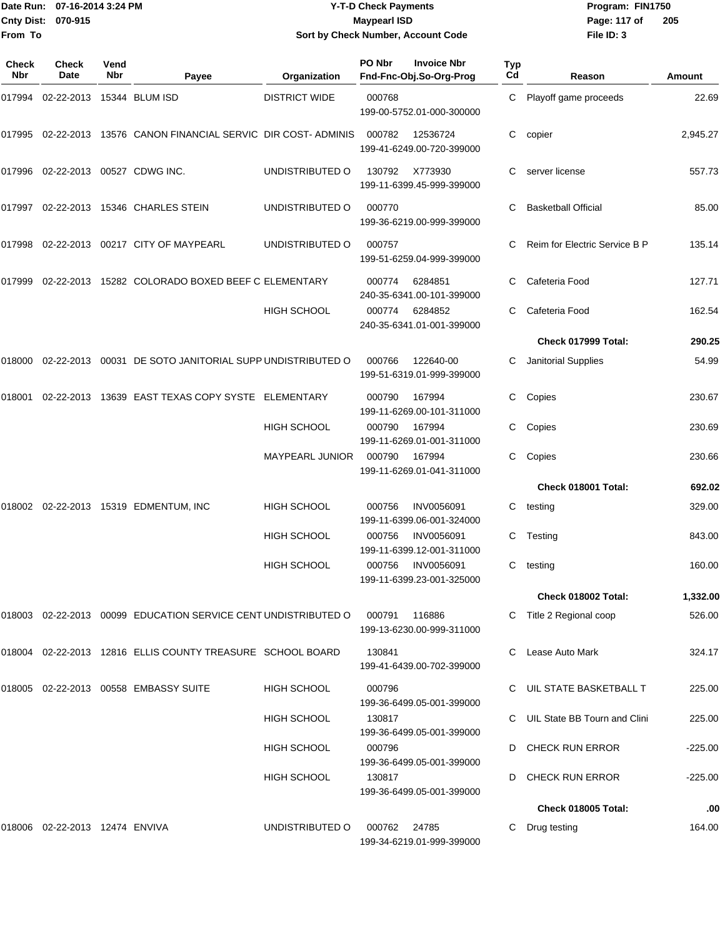#### Date Run: 07-16-2014 3:24 PM **Program:** FIN1750 **Cnty Dist:** 070-915 **Page: 117 of** Maypearl ISD **CONTEX IS A REPORT OF A REPORT OF A REPORT OF A REPORT OF A REPORT OF Y-T-D Check Payments 070-915 Maypearl ISD Sort by Check Number, Account Code**

| Check<br>Nbr | Check<br>Date                     | Vend<br><b>Nbr</b> | Payee                                                          | Organization         | PO Nbr<br>Fnd-Fnc-Obj.So-Org-Prog   | <b>Invoice Nbr</b> | Typ<br>Cd | Reason                        | Amount    |
|--------------|-----------------------------------|--------------------|----------------------------------------------------------------|----------------------|-------------------------------------|--------------------|-----------|-------------------------------|-----------|
| 017994       | 02-22-2013                        |                    | 15344 BLUM ISD                                                 | <b>DISTRICT WIDE</b> | 000768<br>199-00-5752.01-000-300000 |                    | C.        | Playoff game proceeds         | 22.69     |
| 017995       |                                   |                    | 02-22-2013 13576 CANON FINANCIAL SERVIC DIR COST-ADMINIS       |                      | 000782<br>199-41-6249.00-720-399000 | 12536724           | С         | copier                        | 2,945.27  |
|              | 017996 02-22-2013 00527 CDWG INC. |                    |                                                                | UNDISTRIBUTED O      | 130792<br>199-11-6399.45-999-399000 | X773930            |           | server license                | 557.73    |
| 017997       |                                   |                    | 02-22-2013 15346 CHARLES STEIN                                 | UNDISTRIBUTED O      | 000770<br>199-36-6219.00-999-399000 |                    | C         | <b>Basketball Official</b>    | 85.00     |
| 017998       |                                   |                    | 02-22-2013  00217  CITY OF MAYPEARL                            | UNDISTRIBUTED O      | 000757<br>199-51-6259.04-999-399000 |                    | C         | Reim for Electric Service B P | 135.14    |
| 017999       |                                   |                    | 02-22-2013 15282 COLORADO BOXED BEEF C ELEMENTARY              |                      | 000774<br>240-35-6341.00-101-399000 | 6284851            |           | Cafeteria Food                | 127.71    |
|              |                                   |                    |                                                                | HIGH SCHOOL          | 000774<br>240-35-6341.01-001-399000 | 6284852            | C         | Cafeteria Food                | 162.54    |
|              |                                   |                    |                                                                |                      |                                     |                    |           | Check 017999 Total:           | 290.25    |
| 018000       |                                   |                    | 02-22-2013 00031 DE SOTO JANITORIAL SUPP UNDISTRIBUTED O       |                      | 000766<br>199-51-6319.01-999-399000 | 122640-00          | С         | Janitorial Supplies           | 54.99     |
| 018001       |                                   |                    | 02-22-2013 13639 EAST TEXAS COPY SYSTE ELEMENTARY              |                      | 000790<br>199-11-6269.00-101-311000 | 167994             | C         | Copies                        | 230.67    |
|              |                                   |                    |                                                                | HIGH SCHOOL          | 000790<br>199-11-6269.01-001-311000 | 167994             | C         | Copies                        | 230.69    |
|              |                                   |                    |                                                                | MAYPEARL JUNIOR      | 000790<br>199-11-6269.01-041-311000 | 167994             | С         | Copies                        | 230.66    |
|              |                                   |                    |                                                                |                      |                                     |                    |           | Check 018001 Total:           | 692.02    |
| 018002       |                                   |                    | 02-22-2013 15319 EDMENTUM, INC                                 | <b>HIGH SCHOOL</b>   | 000756<br>199-11-6399.06-001-324000 | <b>INV0056091</b>  | C         | testing                       | 329.00    |
|              |                                   |                    |                                                                | <b>HIGH SCHOOL</b>   | 000756<br>199-11-6399.12-001-311000 | <b>INV0056091</b>  | C         | Testing                       | 843.00    |
|              |                                   |                    |                                                                | HIGH SCHOOL          | 000756<br>199-11-6399.23-001-325000 | <b>INV0056091</b>  | C.        | testing                       | 160.00    |
|              |                                   |                    |                                                                |                      |                                     |                    |           | Check 018002 Total:           | 1,332.00  |
|              |                                   |                    | 018003 02-22-2013 00099 EDUCATION SERVICE CENT UNDISTRIBUTED O |                      | 000791<br>199-13-6230.00-999-311000 | 116886             |           | Title 2 Regional coop         | 526.00    |
|              |                                   |                    | 018004 02-22-2013 12816 ELLIS COUNTY TREASURE SCHOOL BOARD     |                      | 130841<br>199-41-6439.00-702-399000 |                    | C.        | Lease Auto Mark               | 324.17    |
|              |                                   |                    | 018005 02-22-2013 00558 EMBASSY SUITE                          | HIGH SCHOOL          | 000796<br>199-36-6499.05-001-399000 |                    |           | UIL STATE BASKETBALL T        | 225.00    |
|              |                                   |                    |                                                                | <b>HIGH SCHOOL</b>   | 130817<br>199-36-6499.05-001-399000 |                    |           | UIL State BB Tourn and Clini  | 225.00    |
|              |                                   |                    |                                                                | <b>HIGH SCHOOL</b>   | 000796<br>199-36-6499.05-001-399000 |                    | D         | <b>CHECK RUN ERROR</b>        | $-225.00$ |
|              |                                   |                    |                                                                | HIGH SCHOOL          | 130817<br>199-36-6499.05-001-399000 |                    | D         | <b>CHECK RUN ERROR</b>        | $-225.00$ |
|              |                                   |                    |                                                                |                      |                                     |                    |           | Check 018005 Total:           | .00       |
|              | 018006 02-22-2013 12474 ENVIVA    |                    |                                                                | UNDISTRIBUTED O      | 000762<br>199-34-6219.01-999-399000 | 24785              | C         | Drug testing                  | 164.00    |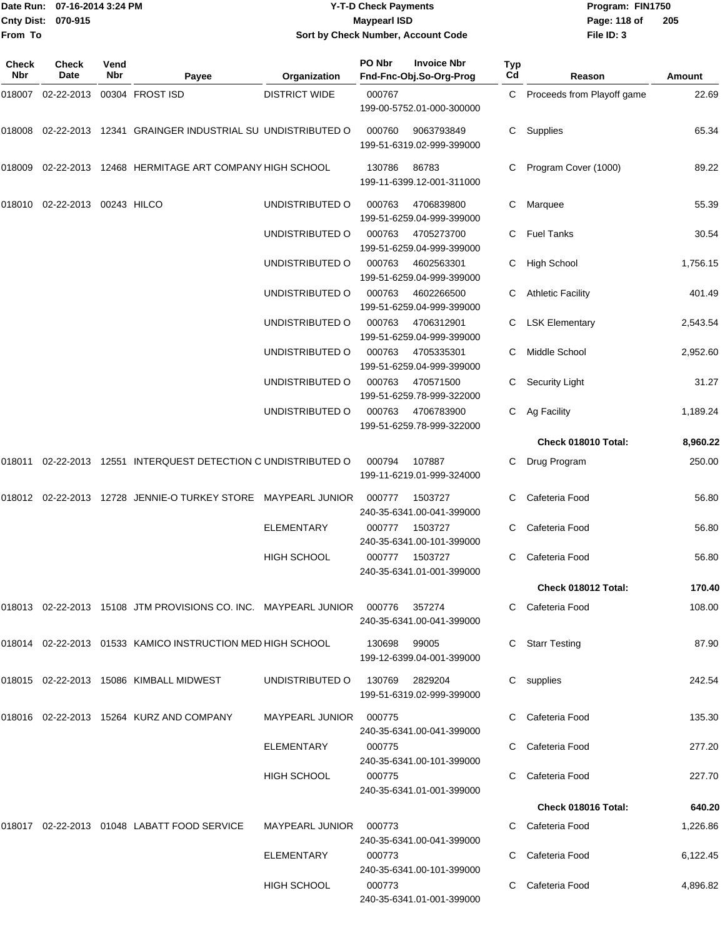|                              | Date Run: 07-16-2014 3:24 PM |             |                                                                            |                        | <b>Y-T-D Check Payments</b> | Program: FIN1750                              |           |                            |               |  |
|------------------------------|------------------------------|-------------|----------------------------------------------------------------------------|------------------------|-----------------------------|-----------------------------------------------|-----------|----------------------------|---------------|--|
| <b>Cnty Dist:</b><br>From To | 070-915                      |             |                                                                            |                        | <b>Maypearl ISD</b>         | Sort by Check Number, Account Code            |           | Page: 118 of<br>File ID: 3 | 205           |  |
| Check<br>Nbr                 | <b>Check</b><br>Date         | Vend<br>Nbr | Payee                                                                      | Organization           | PO Nbr                      | <b>Invoice Nbr</b><br>Fnd-Fnc-Obj.So-Org-Prog | Typ<br>Cd | Reason                     | <b>Amount</b> |  |
| 018007                       | 02-22-2013                   |             | 00304 FROST ISD                                                            | <b>DISTRICT WIDE</b>   | 000767                      | 199-00-5752.01-000-300000                     | C         | Proceeds from Playoff game | 22.69         |  |
| 018008                       |                              |             | 02-22-2013 12341 GRAINGER INDUSTRIAL SU UNDISTRIBUTED O                    |                        | 000760                      | 9063793849<br>199-51-6319.02-999-399000       | С         | Supplies                   | 65.34         |  |
| 018009                       |                              |             | 02-22-2013 12468 HERMITAGE ART COMPANY HIGH SCHOOL                         |                        | 130786                      | 86783<br>199-11-6399.12-001-311000            |           | Program Cover (1000)       | 89.22         |  |
| 018010                       | 02-22-2013 00243 HILCO       |             |                                                                            | UNDISTRIBUTED O        | 000763                      | 4706839800<br>199-51-6259.04-999-399000       | C         | Marquee                    | 55.39         |  |
|                              |                              |             |                                                                            | UNDISTRIBUTED O        | 000763                      | 4705273700<br>199-51-6259.04-999-399000       | С         | <b>Fuel Tanks</b>          | 30.54         |  |
|                              |                              |             |                                                                            | UNDISTRIBUTED O        | 000763                      | 4602563301<br>199-51-6259.04-999-399000       | С         | High School                | 1,756.15      |  |
|                              |                              |             |                                                                            | UNDISTRIBUTED O        | 000763                      | 4602266500<br>199-51-6259.04-999-399000       | С         | <b>Athletic Facility</b>   | 401.49        |  |
|                              |                              |             |                                                                            | UNDISTRIBUTED O        | 000763                      | 4706312901<br>199-51-6259.04-999-399000       | С         | <b>LSK Elementary</b>      | 2,543.54      |  |
|                              |                              |             |                                                                            | UNDISTRIBUTED O        | 000763                      | 4705335301<br>199-51-6259.04-999-399000       |           | Middle School              | 2,952.60      |  |
|                              |                              |             |                                                                            | UNDISTRIBUTED O        | 000763                      | 470571500<br>199-51-6259.78-999-322000        | С         | <b>Security Light</b>      | 31.27         |  |
|                              |                              |             |                                                                            | UNDISTRIBUTED O        | 000763                      | 4706783900<br>199-51-6259.78-999-322000       | C         | Ag Facility                | 1,189.24      |  |
|                              |                              |             |                                                                            |                        |                             |                                               |           | Check 018010 Total:        | 8,960.22      |  |
| 018011                       |                              |             | 02-22-2013 12551 INTERQUEST DETECTION C UNDISTRIBUTED O                    |                        | 000794                      | 107887<br>199-11-6219.01-999-324000           | С         | Drug Program               | 250.00        |  |
|                              |                              |             | 018012 02-22-2013 12728 JENNIE-O TURKEY STORE MAYPEARL JUNIOR              |                        | 000777                      | 1503727<br>240-35-6341.00-041-399000          |           | Cafeteria Food             | 56.80         |  |
|                              |                              |             |                                                                            | <b>ELEMENTARY</b>      |                             | 000777 1503727<br>240-35-6341.00-101-399000   |           | C Cafeteria Food           | 56.80         |  |
|                              |                              |             |                                                                            | <b>HIGH SCHOOL</b>     |                             | 000777 1503727<br>240-35-6341.01-001-399000   |           | C Cafeteria Food           | 56.80         |  |
|                              |                              |             |                                                                            |                        |                             |                                               |           | Check 018012 Total:        | 170.40        |  |
|                              |                              |             | 018013  02-22-2013  15108  JTM PROVISIONS CO. INC. MAYPEARL JUNIOR  000776 |                        |                             | 357274<br>240-35-6341.00-041-399000           |           | C Cafeteria Food           | 108.00        |  |
|                              |                              |             | 018014 02-22-2013 01533 KAMICO INSTRUCTION MED HIGH SCHOOL                 |                        | 130698 99005                | 199-12-6399.04-001-399000                     |           | <b>Starr Testing</b>       | 87.90         |  |
|                              |                              |             | 018015 02-22-2013 15086 KIMBALL MIDWEST                                    | UNDISTRIBUTED O        | 130769 2829204              | 199-51-6319.02-999-399000                     |           | C supplies                 | 242.54        |  |
|                              |                              |             | 018016 02-22-2013 15264 KURZ AND COMPANY                                   | MAYPEARL JUNIOR 000775 |                             | 240-35-6341.00-041-399000                     |           | C Cafeteria Food           | 135.30        |  |
|                              |                              |             |                                                                            | ELEMENTARY             | 000775                      | 240-35-6341.00-101-399000                     |           | Cafeteria Food             | 277.20        |  |
|                              |                              |             |                                                                            | HIGH SCHOOL            | 000775                      | 240-35-6341.01-001-399000                     | C         | Cafeteria Food             | 227.70        |  |

018017 02-22-2013 01048 LABATT FOOD SERVICE MAYPEARL JUNIOR 000773 C Cafeteria Food 1,226.86 240-35-6341.00-041-399000 ELEMENTARY 000773 C Cafeteria Food 6,122.45 240-35-6341.00-101-399000 HIGH SCHOOL 000773 C Cafeteria Food 4,896.82 240-35-6341.01-001-399000

**Check 018016 Total: 640.20**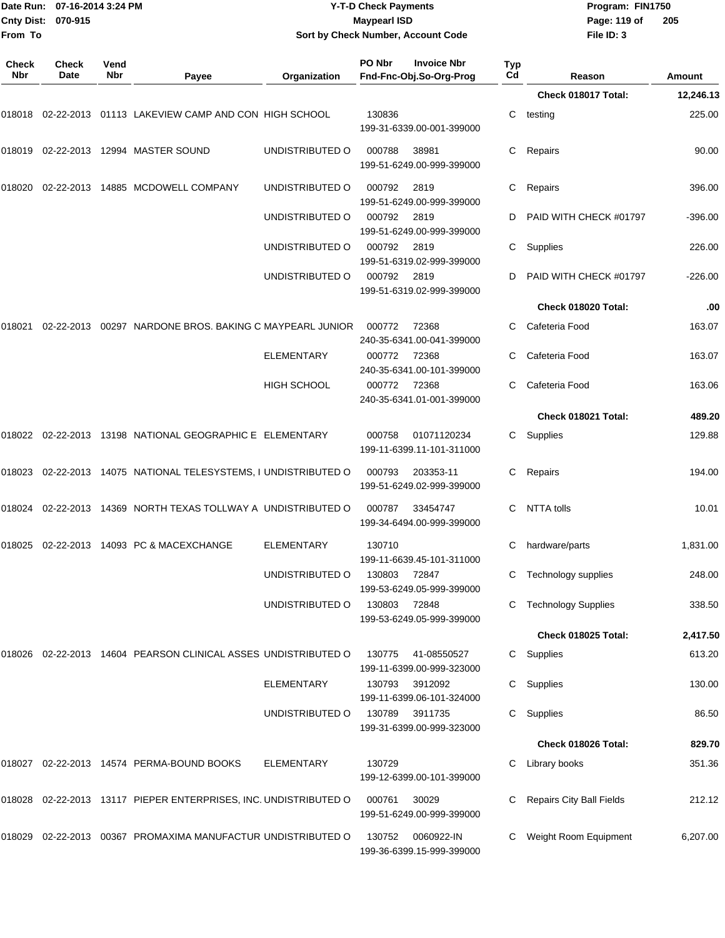| <b>Cnty Dist:</b><br>From To | Date Run: 07-16-2014 3:24 PM<br>070-915 |             |                                                                         |                    | <b>Y-T-D Check Payments</b><br><b>Maypearl ISD</b> | Sort by Check Number, Account Code            |           | Program: FIN1750<br>Page: 119 of<br>File ID: 3 | 205       |
|------------------------------|-----------------------------------------|-------------|-------------------------------------------------------------------------|--------------------|----------------------------------------------------|-----------------------------------------------|-----------|------------------------------------------------|-----------|
| <b>Check</b><br>Nbr          | <b>Check</b><br>Date                    | Vend<br>Nbr | Payee                                                                   | Organization       | PO Nbr                                             | <b>Invoice Nbr</b><br>Fnd-Fnc-Obj.So-Org-Prog | Typ<br>Cd | Reason                                         | Amount    |
|                              |                                         |             |                                                                         |                    |                                                    |                                               |           | Check 018017 Total:                            | 12,246.13 |
|                              |                                         |             | 018018 02-22-2013 01113  LAKEVIEW CAMP AND CON  HIGH SCHOOL             |                    | 130836                                             | 199-31-6339.00-001-399000                     | С         | testing                                        | 225.00    |
|                              |                                         |             | 018019 02-22-2013 12994  MASTER SOUND                                   | UNDISTRIBUTED O    | 000788                                             | 38981<br>199-51-6249.00-999-399000            | С         | Repairs                                        | 90.00     |
| 018020                       |                                         |             | 02-22-2013 14885 MCDOWELL COMPANY                                       | UNDISTRIBUTED O    | 000792                                             | 2819<br>199-51-6249.00-999-399000             | С         | Repairs                                        | 396.00    |
|                              |                                         |             |                                                                         | UNDISTRIBUTED O    | 000792                                             | 2819<br>199-51-6249.00-999-399000             | D         | PAID WITH CHECK #01797                         | -396.00   |
|                              |                                         |             |                                                                         | UNDISTRIBUTED O    | 000792                                             | 2819<br>199-51-6319.02-999-399000             | С         | Supplies                                       | 226.00    |
|                              |                                         |             |                                                                         | UNDISTRIBUTED O    | 000792                                             | 2819<br>199-51-6319.02-999-399000             | D         | PAID WITH CHECK #01797                         | $-226.00$ |
|                              |                                         |             |                                                                         |                    |                                                    |                                               |           | Check 018020 Total:                            | .00       |
| 018021                       |                                         |             | 02-22-2013  00297  NARDONE BROS. BAKING C MAYPEARL JUNIOR               |                    | 000772                                             | 72368<br>240-35-6341.00-041-399000            |           | Cafeteria Food                                 | 163.07    |
|                              |                                         |             |                                                                         | <b>ELEMENTARY</b>  | 000772                                             | 72368<br>240-35-6341.00-101-399000            | С         | Cafeteria Food                                 | 163.07    |
|                              |                                         |             |                                                                         | <b>HIGH SCHOOL</b> | 000772                                             | 72368<br>240-35-6341.01-001-399000            | С         | Cafeteria Food                                 | 163.06    |
|                              |                                         |             |                                                                         |                    |                                                    |                                               |           | Check 018021 Total:                            | 489.20    |
|                              |                                         |             | 018022 02-22-2013 13198  NATIONAL GEOGRAPHIC E ELEMENTARY               |                    | 000758                                             | 01071120234<br>199-11-6399.11-101-311000      | C.        | Supplies                                       | 129.88    |
|                              |                                         |             | 018023    02-22-2013    14075   NATIONAL TELESYSTEMS, I UNDISTRIBUTED O |                    | 000793                                             | 203353-11<br>199-51-6249.02-999-399000        | С         | Repairs                                        | 194.00    |
| 018024                       |                                         |             | 02-22-2013 14369 NORTH TEXAS TOLLWAY A UNDISTRIBUTED O                  |                    | 000787                                             | 33454747<br>199-34-6494.00-999-399000         | С         | NTTA tolls                                     | 10.01     |
|                              |                                         |             | 018025  02-22-2013  14093  PC & MACEXCHANGE                             | <b>ELEMENTARY</b>  | 130710                                             | 199-11-6639.45-101-311000                     |           | hardware/parts                                 | 1,831.00  |
|                              |                                         |             |                                                                         | UNDISTRIBUTED O    | 130803                                             | 72847<br>199-53-6249.05-999-399000            |           | C Technology supplies                          | 248.00    |
|                              |                                         |             |                                                                         | UNDISTRIBUTED O    | 130803 72848                                       | 199-53-6249.05-999-399000                     | C.        | <b>Technology Supplies</b>                     | 338.50    |
|                              |                                         |             |                                                                         |                    |                                                    |                                               |           | <b>Check 018025 Total:</b>                     | 2,417.50  |
|                              |                                         |             | 018026 02-22-2013 14604   PEARSON CLINICAL ASSES  UNDISTRIBUTED O       |                    | 130775                                             | 41-08550527<br>199-11-6399.00-999-323000      |           | C Supplies                                     | 613.20    |
|                              |                                         |             |                                                                         | <b>ELEMENTARY</b>  | 130793                                             | 3912092<br>199-11-6399.06-101-324000          |           | C Supplies                                     | 130.00    |
|                              |                                         |             |                                                                         | UNDISTRIBUTED O    | 130789                                             | 3911735<br>199-31-6399.00-999-323000          |           | C Supplies                                     | 86.50     |
|                              |                                         |             |                                                                         |                    |                                                    |                                               |           | Check 018026 Total:                            | 829.70    |
|                              |                                         |             | 018027  02-22-2013  14574  PERMA-BOUND BOOKS                            | ELEMENTARY         | 130729                                             | 199-12-6399.00-101-399000                     | С         | Library books                                  | 351.36    |
|                              |                                         |             | 018028  02-22-2013  13117  PIEPER ENTERPRISES, INC. UNDISTRIBUTED O     |                    | 000761                                             | 30029<br>199-51-6249.00-999-399000            |           | <b>Repairs City Ball Fields</b>                | 212.12    |
|                              |                                         |             | 018029  02-22-2013  00367  PROMAXIMA MANUFACTUR UNDISTRIBUTED O         |                    | 130752                                             | 0060922-IN<br>199-36-6399.15-999-399000       |           | C Weight Room Equipment                        | 6,207.00  |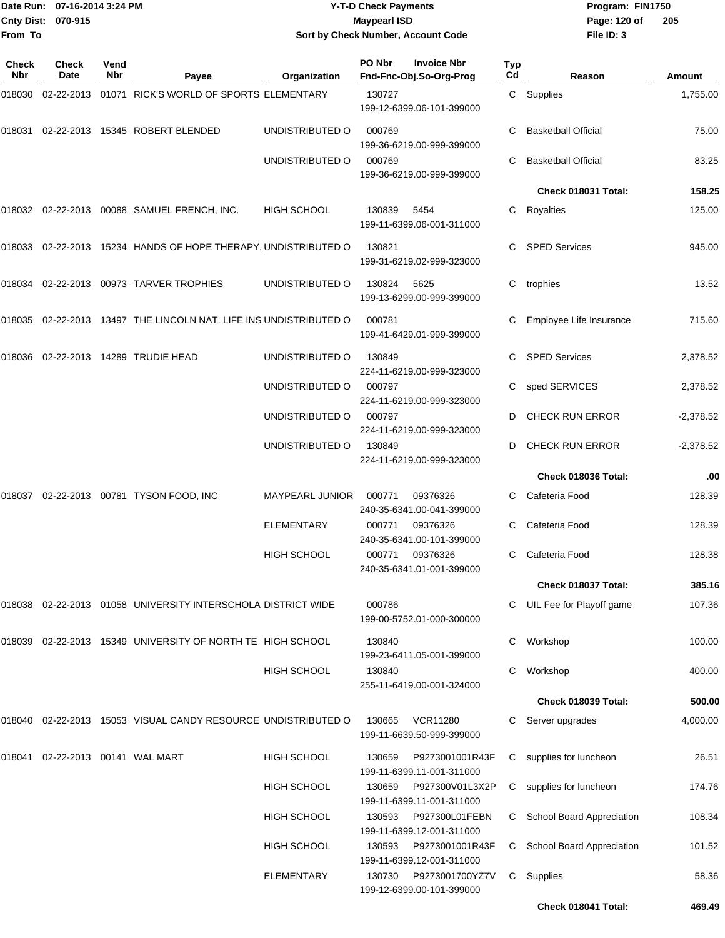|              | Date Run: 07-16-2014 3:24 PM<br>Cnty Dist: 070-915 |             |                                                                   |                                          | <b>Y-T-D Check Payments</b> |                                                                | Program: FIN1750 |                                                                 |                  |
|--------------|----------------------------------------------------|-------------|-------------------------------------------------------------------|------------------------------------------|-----------------------------|----------------------------------------------------------------|------------------|-----------------------------------------------------------------|------------------|
| From To      |                                                    |             |                                                                   |                                          | <b>Maypearl ISD</b>         | Sort by Check Number, Account Code                             |                  | Page: 120 of<br>File ID: 3                                      | 205              |
|              |                                                    |             |                                                                   |                                          |                             |                                                                |                  |                                                                 |                  |
| Check<br>Nbr | <b>Check</b><br>Date                               | Vend<br>Nbr | Payee                                                             | Organization                             | PO Nbr                      | <b>Invoice Nbr</b><br>Fnd-Fnc-Obj.So-Org-Prog                  | Typ<br>Cd        | Reason                                                          | Amount           |
| 018030       |                                                    |             | 02-22-2013  01071  RICK'S WORLD OF SPORTS ELEMENTARY              |                                          | 130727                      | 199-12-6399.06-101-399000                                      |                  | C Supplies                                                      | 1,755.00         |
| 018031       |                                                    |             | 02-22-2013 15345 ROBERT BLENDED                                   | UNDISTRIBUTED O                          | 000769                      | 199-36-6219.00-999-399000                                      | С                | <b>Basketball Official</b>                                      | 75.00            |
|              |                                                    |             |                                                                   | UNDISTRIBUTED O                          | 000769                      | 199-36-6219.00-999-399000                                      | С                | <b>Basketball Official</b>                                      | 83.25            |
|              |                                                    |             |                                                                   |                                          |                             |                                                                |                  | Check 018031 Total:                                             | 158.25           |
|              |                                                    |             | 018032  02-22-2013  00088  SAMUEL FRENCH, INC.                    | <b>HIGH SCHOOL</b>                       | 130839                      | 5454<br>199-11-6399.06-001-311000                              | С                | Royalties                                                       | 125.00           |
|              |                                                    |             | 018033 02-22-2013 15234 HANDS OF HOPE THERAPY, UNDISTRIBUTED O    |                                          | 130821                      | 199-31-6219.02-999-323000                                      |                  | <b>SPED Services</b>                                            | 945.00           |
|              |                                                    |             | 018034 02-22-2013 00973 TARVER TROPHIES                           | UNDISTRIBUTED O                          | 130824                      | 5625<br>199-13-6299.00-999-399000                              | С                | trophies                                                        | 13.52            |
|              |                                                    |             | 018035 02-22-2013 13497 THE LINCOLN NAT. LIFE INS UNDISTRIBUTED O |                                          | 000781                      | 199-41-6429.01-999-399000                                      |                  | Employee Life Insurance                                         | 715.60           |
|              |                                                    |             | 018036 02-22-2013 14289   TRUDIE HEAD                             | UNDISTRIBUTED O                          | 130849                      | 224-11-6219.00-999-323000                                      |                  | <b>SPED Services</b>                                            | 2,378.52         |
|              |                                                    |             |                                                                   | UNDISTRIBUTED O                          | 000797                      | 224-11-6219.00-999-323000                                      | С                | sped SERVICES                                                   | 2,378.52         |
|              |                                                    |             |                                                                   | UNDISTRIBUTED O                          | 000797                      | 224-11-6219.00-999-323000                                      | D                | <b>CHECK RUN ERROR</b>                                          | $-2,378.52$      |
|              |                                                    |             |                                                                   | UNDISTRIBUTED O                          | 130849                      | 224-11-6219.00-999-323000                                      | D                | <b>CHECK RUN ERROR</b>                                          | $-2,378.52$      |
|              |                                                    |             |                                                                   |                                          |                             |                                                                |                  | Check 018036 Total:                                             | .00              |
|              |                                                    |             | 018037  02-22-2013  00781  TYSON FOOD, INC                        | <b>MAYPEARL JUNIOR</b>                   | 000771                      | 09376326<br>240-35-6341.00-041-399000                          | С                | Cafeteria Food                                                  | 128.39           |
|              |                                                    |             |                                                                   | <b>ELEMENTARY</b>                        | 000771                      | 09376326<br>240-35-6341.00-101-399000                          | C.               | Cafeteria Food                                                  | 128.39           |
|              |                                                    |             |                                                                   | <b>HIGH SCHOOL</b>                       | 000771                      | 09376326<br>240-35-6341.01-001-399000                          | С                | Cafeteria Food                                                  | 128.38           |
|              |                                                    |             |                                                                   |                                          |                             |                                                                |                  | Check 018037 Total:                                             | 385.16           |
|              |                                                    |             | 018038  02-22-2013  01058  UNIVERSITY INTERSCHOLA DISTRICT WIDE   |                                          | 000786                      | 199-00-5752.01-000-300000                                      | С                | UIL Fee for Playoff game                                        | 107.36           |
|              |                                                    |             | 018039 02-22-2013 15349 UNIVERSITY OF NORTH TE HIGH SCHOOL        |                                          | 130840                      | 199-23-6411.05-001-399000                                      | С                | Workshop                                                        | 100.00           |
|              |                                                    |             |                                                                   | <b>HIGH SCHOOL</b>                       | 130840                      | 255-11-6419.00-001-324000                                      | С                | Workshop                                                        | 400.00           |
|              |                                                    |             |                                                                   |                                          |                             |                                                                |                  | Check 018039 Total:                                             | 500.00           |
| 018040       |                                                    |             | 02-22-2013 15053 VISUAL CANDY RESOURCE UNDISTRIBUTED O            |                                          | 130665                      | <b>VCR11280</b><br>199-11-6639.50-999-399000                   | С                | Server upgrades                                                 | 4,000.00         |
|              | 018041    02-22-2013    00141   WAL MART           |             |                                                                   | <b>HIGH SCHOOL</b>                       | 130659                      | P9273001001R43F<br>199-11-6399.11-001-311000                   | С                | supplies for luncheon                                           | 26.51            |
|              |                                                    |             |                                                                   | <b>HIGH SCHOOL</b>                       | 130659                      | P927300V01L3X2P<br>199-11-6399.11-001-311000                   | C                | supplies for luncheon                                           | 174.76           |
|              |                                                    |             |                                                                   | <b>HIGH SCHOOL</b><br><b>HIGH SCHOOL</b> | 130593<br>130593            | P927300L01FEBN<br>199-11-6399.12-001-311000<br>P9273001001R43F | C.               | C School Board Appreciation<br><b>School Board Appreciation</b> | 108.34<br>101.52 |
|              |                                                    |             |                                                                   | <b>ELEMENTARY</b>                        | 130730                      | 199-11-6399.12-001-311000<br>P9273001700YZ7V                   |                  | C Supplies                                                      | 58.36            |
|              |                                                    |             |                                                                   |                                          |                             | 199-12-6399.00-101-399000                                      |                  | Check 018041 Total:                                             | 469.49           |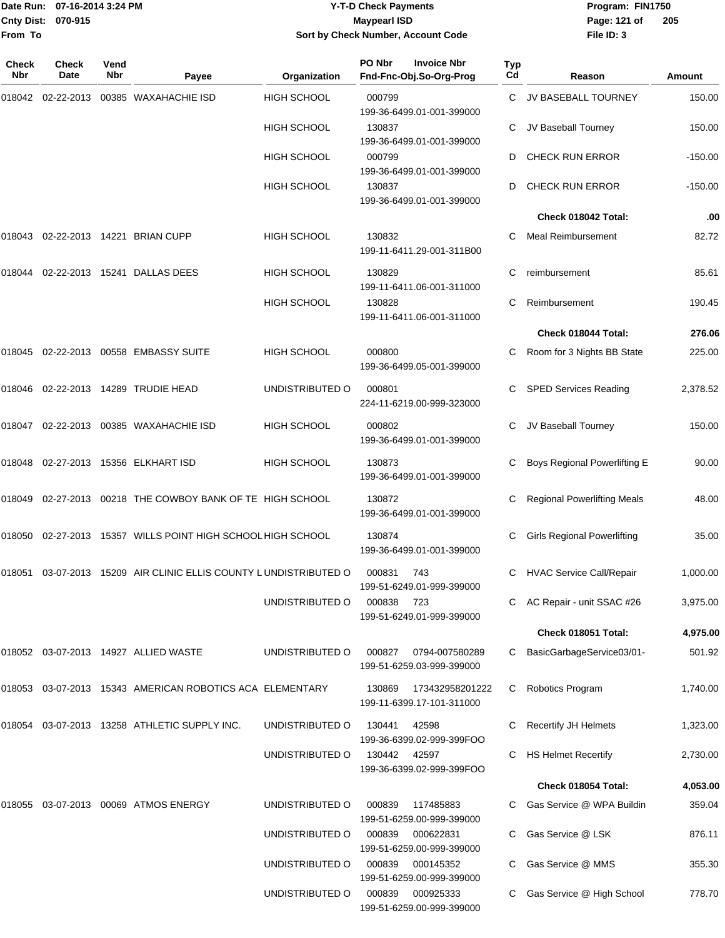#### Date Run: 07-16-2014 3:24 PM **Program:** FIN1750 **Cnty Dist:** 070-915 **Page: 121 of** Maypearl ISD **Contract Contract Page: 121 of Y-T-D Check Payments 070-915 Maypearl ISD Sort by Check Number, Account Code**

| Check<br>Nbr | <b>Check</b><br>Date | Vend<br>Nbr | Payee                                                     | Organization       | PO Nbr | <b>Invoice Nbr</b><br>Fnd-Fnc-Obj.So-Org-Prog | <b>Typ</b><br>Cd | Reason                             | Amount    |
|--------------|----------------------|-------------|-----------------------------------------------------------|--------------------|--------|-----------------------------------------------|------------------|------------------------------------|-----------|
| 018042       |                      |             | 02-22-2013 00385 WAXAHACHIE ISD                           | <b>HIGH SCHOOL</b> | 000799 | 199-36-6499.01-001-399000                     | C.               | JV BASEBALL TOURNEY                | 150.00    |
|              |                      |             |                                                           | <b>HIGH SCHOOL</b> | 130837 | 199-36-6499.01-001-399000                     | С                | JV Baseball Tourney                | 150.00    |
|              |                      |             |                                                           | <b>HIGH SCHOOL</b> | 000799 | 199-36-6499.01-001-399000                     | D                | <b>CHECK RUN ERROR</b>             | $-150.00$ |
|              |                      |             |                                                           | <b>HIGH SCHOOL</b> | 130837 | 199-36-6499.01-001-399000                     | D                | <b>CHECK RUN ERROR</b>             | $-150.00$ |
|              |                      |             |                                                           |                    |        |                                               |                  | Check 018042 Total:                | .00       |
| 018043       |                      |             | 02-22-2013 14221 BRIAN CUPP                               | <b>HIGH SCHOOL</b> | 130832 | 199-11-6411.29-001-311B00                     | С                | <b>Meal Reimbursement</b>          | 82.72     |
| 018044       |                      |             | 02-22-2013 15241 DALLAS DEES                              | <b>HIGH SCHOOL</b> | 130829 | 199-11-6411.06-001-311000                     |                  | reimbursement                      | 85.61     |
|              |                      |             |                                                           | <b>HIGH SCHOOL</b> | 130828 | 199-11-6411.06-001-311000                     | С                | Reimbursement                      | 190.45    |
|              |                      |             |                                                           |                    |        |                                               |                  | Check 018044 Total:                | 276.06    |
| 018045       |                      |             | 02-22-2013 00558 EMBASSY SUITE                            | <b>HIGH SCHOOL</b> | 000800 | 199-36-6499.05-001-399000                     | C                | Room for 3 Nights BB State         | 225.00    |
| 018046       |                      |             | 02-22-2013 14289 TRUDIE HEAD                              | UNDISTRIBUTED O    | 000801 | 224-11-6219.00-999-323000                     | С                | <b>SPED Services Reading</b>       | 2,378.52  |
| 018047       |                      |             | 02-22-2013 00385 WAXAHACHIE ISD                           | <b>HIGH SCHOOL</b> | 000802 | 199-36-6499.01-001-399000                     | С                | JV Baseball Tourney                | 150.00    |
| 018048       |                      |             | 02-27-2013 15356 ELKHART ISD                              | <b>HIGH SCHOOL</b> | 130873 | 199-36-6499.01-001-399000                     |                  | Boys Regional Powerlifting E       | 90.00     |
| 018049       |                      |             | 02-27-2013 00218 THE COWBOY BANK OF TE HIGH SCHOOL        |                    | 130872 | 199-36-6499.01-001-399000                     | С                | <b>Regional Powerlifting Meals</b> | 48.00     |
| 018050       |                      |             | 02-27-2013 15357 WILLS POINT HIGH SCHOOL HIGH SCHOOL      |                    | 130874 | 199-36-6499.01-001-399000                     | С                | <b>Girls Regional Powerlifting</b> | 35.00     |
| 018051       |                      |             | 03-07-2013 15209 AIR CLINIC ELLIS COUNTY LUNDISTRIBUTED O |                    | 000831 | 743<br>199-51-6249.01-999-399000              | C                | <b>HVAC Service Call/Repair</b>    | 1,000.00  |
|              |                      |             |                                                           | UNDISTRIBUTED O    | 000838 | - 723<br>199-51-6249.01-999-399000            |                  | C AC Repair - unit SSAC #26        | 3,975.00  |
|              |                      |             |                                                           |                    |        |                                               |                  | Check 018051 Total:                | 4,975.00  |
|              |                      |             | 018052 03-07-2013 14927 ALLIED WASTE                      | UNDISTRIBUTED O    | 000827 | 0794-007580289<br>199-51-6259.03-999-399000   | C                | BasicGarbageService03/01-          | 501.92    |
|              |                      |             | 018053 03-07-2013 15343 AMERICAN ROBOTICS ACA ELEMENTARY  |                    | 130869 | 173432958201222<br>199-11-6399.17-101-311000  | С                | Robotics Program                   | 1,740.00  |
|              |                      |             | 018054 03-07-2013 13258 ATHLETIC SUPPLY INC.              | UNDISTRIBUTED O    | 130441 | 42598<br>199-36-6399.02-999-399FOO            |                  | <b>Recertify JH Helmets</b>        | 1,323.00  |
|              |                      |             |                                                           | UNDISTRIBUTED O    | 130442 | 42597<br>199-36-6399.02-999-399FOO            |                  | <b>HS Helmet Recertify</b>         | 2,730.00  |
|              |                      |             |                                                           |                    |        |                                               |                  | Check 018054 Total:                | 4,053.00  |
| 018055       |                      |             | 03-07-2013 00069 ATMOS ENERGY                             | UNDISTRIBUTED O    | 000839 | 117485883<br>199-51-6259.00-999-399000        |                  | Gas Service @ WPA Buildin          | 359.04    |
|              |                      |             |                                                           | UNDISTRIBUTED O    | 000839 | 000622831<br>199-51-6259.00-999-399000        | С                | Gas Service @ LSK                  | 876.11    |
|              |                      |             |                                                           | UNDISTRIBUTED O    | 000839 | 000145352<br>199-51-6259.00-999-399000        |                  | Gas Service @ MMS                  | 355.30    |
|              |                      |             |                                                           | UNDISTRIBUTED O    | 000839 | 000925333<br>199-51-6259.00-999-399000        |                  | Gas Service @ High School          | 778.70    |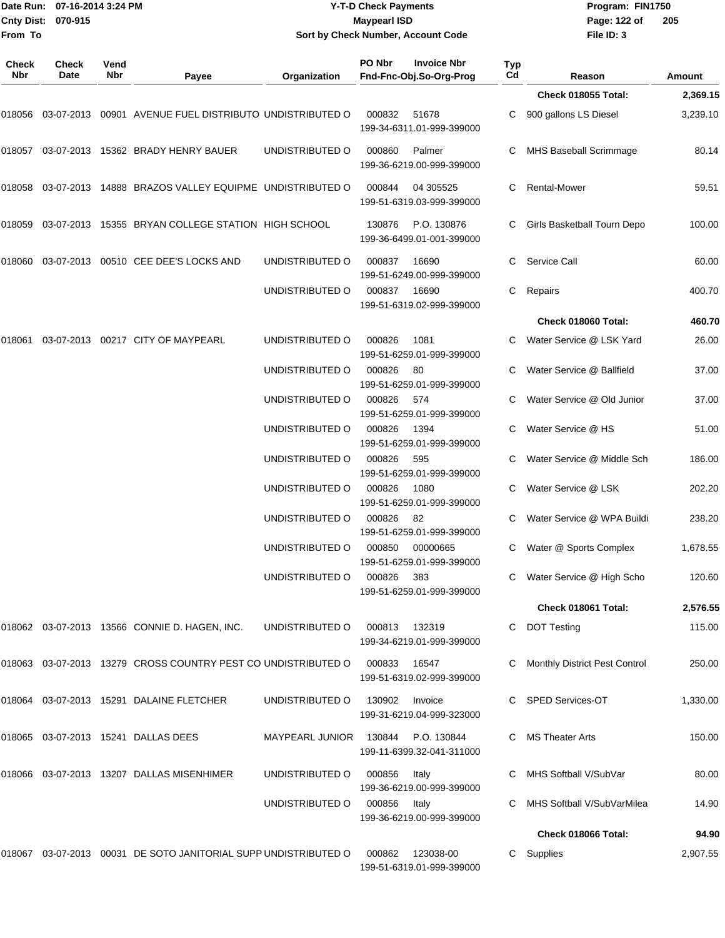|              | Date Run: 07-16-2014 3:24 PM |             |                                                                                  |                                    | <b>Y-T-D Check Payments</b> |                                               |           | Program: FIN1750                                  |                  |  |
|--------------|------------------------------|-------------|----------------------------------------------------------------------------------|------------------------------------|-----------------------------|-----------------------------------------------|-----------|---------------------------------------------------|------------------|--|
| Cnty Dist:   | 070-915                      |             |                                                                                  |                                    | <b>Maypearl ISD</b>         |                                               |           | Page: 122 of                                      | 205              |  |
| From To      |                              |             |                                                                                  |                                    |                             | Sort by Check Number, Account Code            |           | File ID: 3                                        |                  |  |
| Check<br>Nbr | <b>Check</b><br>Date         | Vend<br>Nbr | Payee                                                                            | Organization                       | PO Nbr                      | <b>Invoice Nbr</b><br>Fnd-Fnc-Obj.So-Org-Prog | Typ<br>Cd | Reason                                            | Amount           |  |
|              |                              |             |                                                                                  |                                    |                             |                                               |           | Check 018055 Total:                               | 2,369.15         |  |
|              |                              |             |                                                                                  |                                    | 000832                      | 51678<br>199-34-6311.01-999-399000            |           | C 900 gallons LS Diesel                           | 3,239.10         |  |
|              |                              |             | 018057  03-07-2013  15362  BRADY HENRY BAUER                                     | UNDISTRIBUTED O                    | 000860                      | Palmer<br>199-36-6219.00-999-399000           |           | MHS Baseball Scrimmage                            | 80.14            |  |
|              |                              |             | 018058  03-07-2013  14888  BRAZOS VALLEY EQUIPME  UNDISTRIBUTED                O |                                    | 000844                      | 04 30 5525<br>199-51-6319.03-999-399000       | С         | <b>Rental-Mower</b>                               | 59.51            |  |
|              |                              |             | 018059  03-07-2013  15355  BRYAN COLLEGE STATION  HIGH SCHOOL                    |                                    | 130876                      | P.O. 130876<br>199-36-6499.01-001-399000      |           | Girls Basketball Tourn Depo                       | 100.00           |  |
| 018060       |                              |             | 03-07-2013  00510  CEE DEE'S LOCKS AND                                           | UNDISTRIBUTED O                    | 000837                      | 16690<br>199-51-6249.00-999-399000            | С         | Service Call                                      | 60.00            |  |
|              |                              |             |                                                                                  | UNDISTRIBUTED O                    | 000837                      | 16690<br>199-51-6319.02-999-399000            | C.        | Repairs                                           | 400.70           |  |
|              |                              |             |                                                                                  |                                    |                             |                                               |           | Check 018060 Total:                               | 460.70           |  |
| 018061       |                              |             | 03-07-2013  00217  CITY OF MAYPEARL                                              | UNDISTRIBUTED O                    | 000826                      | 1081<br>199-51-6259.01-999-399000             |           | Water Service @ LSK Yard                          | 26.00            |  |
|              |                              |             |                                                                                  | UNDISTRIBUTED O                    | 000826                      | 80<br>199-51-6259.01-999-399000               |           | Water Service @ Ballfield                         | 37.00            |  |
|              |                              |             |                                                                                  | UNDISTRIBUTED O                    | 000826                      | 574<br>199-51-6259.01-999-399000              | С         | Water Service @ Old Junior                        | 37.00            |  |
|              |                              |             |                                                                                  | UNDISTRIBUTED O                    | 000826                      | 1394<br>199-51-6259.01-999-399000             | С         | Water Service @ HS                                | 51.00            |  |
|              |                              |             |                                                                                  | UNDISTRIBUTED O                    | 000826                      | 595<br>199-51-6259.01-999-399000              |           | Water Service @ Middle Sch                        | 186.00           |  |
|              |                              |             |                                                                                  | UNDISTRIBUTED O<br>UNDISTRIBUTED O | 000826<br>000826            | 1080<br>199-51-6259.01-999-399000<br>82       | С         | Water Service @ LSK<br>Water Service @ WPA Buildi | 202.20<br>238.20 |  |
|              |                              |             |                                                                                  | UNDISTRIBUTED O                    | 000850                      | 199-51-6259.01-999-399000<br>00000665         |           | C Water @ Sports Complex                          | 1,678.55         |  |
|              |                              |             |                                                                                  | UNDISTRIBUTED O                    | 000826                      | 199-51-6259.01-999-399000<br>383              |           | C Water Service @ High Scho                       | 120.60           |  |
|              |                              |             |                                                                                  |                                    |                             | 199-51-6259.01-999-399000                     |           |                                                   |                  |  |
|              |                              |             |                                                                                  |                                    |                             |                                               |           | Check 018061 Total:                               | 2,576.55         |  |
|              |                              |             | 018062 03-07-2013 13566 CONNIE D. HAGEN, INC.                                    | UNDISTRIBUTED O                    | 000813                      | 132319<br>199-34-6219.01-999-399000           |           | <b>DOT Testing</b>                                | 115.00           |  |
|              |                              |             | 018063  03-07-2013  13279  CROSS COUNTRY PEST CO UNDISTRIBUTED O                 |                                    | 000833                      | 16547<br>199-51-6319.02-999-399000            |           | <b>Monthly District Pest Control</b>              | 250.00           |  |
|              |                              |             | 018064  03-07-2013  15291  DALAINE FLETCHER                                      | UNDISTRIBUTED O                    | 130902                      | Invoice<br>199-31-6219.04-999-323000          |           | C SPED Services-OT                                | 1,330.00         |  |
|              |                              |             | 018065 03-07-2013 15241 DALLAS DEES                                              | <b>MAYPEARL JUNIOR</b>             | 130844                      | P.O. 130844<br>199-11-6399.32-041-311000      |           | C MS Theater Arts                                 | 150.00           |  |
|              |                              |             | 018066  03-07-2013  13207  DALLAS MISENHIMER                                     | UNDISTRIBUTED O                    | 000856                      | Italy<br>199-36-6219.00-999-399000            |           | C MHS Softball V/SubVar                           | 80.00            |  |
|              |                              |             |                                                                                  | UNDISTRIBUTED O                    | 000856                      | Italy<br>199-36-6219.00-999-399000            |           | C MHS Softball V/SubVarMilea                      | 14.90            |  |
|              |                              |             |                                                                                  |                                    |                             |                                               |           | Check 018066 Total:                               | 94.90            |  |
|              |                              |             | 018067  03-07-2013  00031  DE SOTO JANITORIAL SUPP UNDISTRIBUTED O               |                                    | 000862                      | 123038-00<br>199-51-6319.01-999-399000        |           | C Supplies                                        | 2,907.55         |  |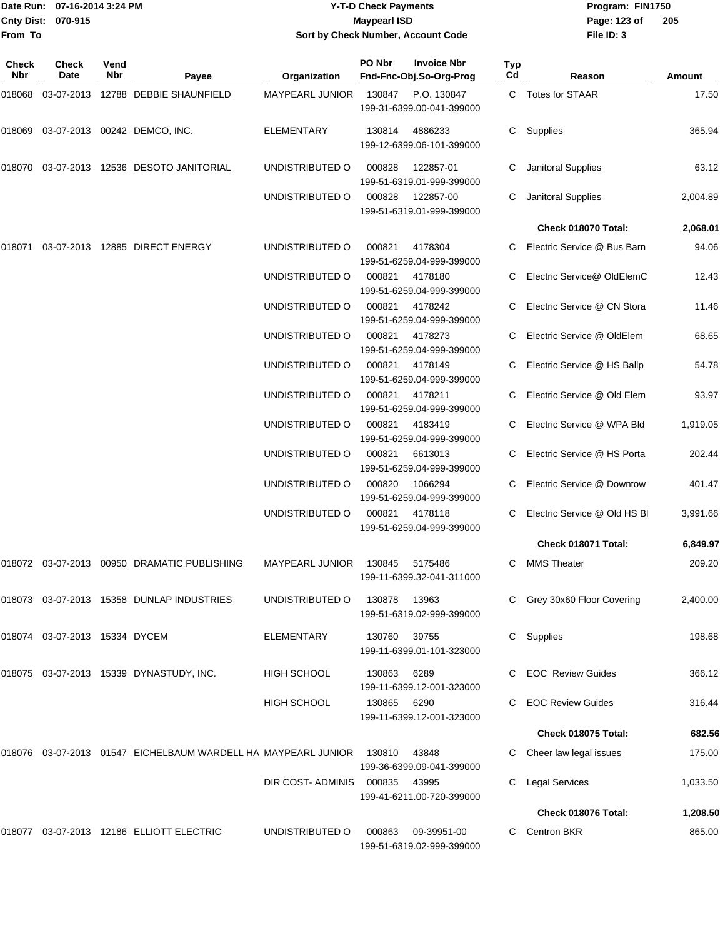|                    | Date Run: 07-16-2014 3:24 PM |
|--------------------|------------------------------|
| Cnty Dist: 070-915 |                              |
| <b>From To</b>     |                              |

#### **Date Run: Program: FIN1750 07-16-2014 3:24 PM Y-T-D Check Payments Cnty Dist: Page: 123 of 070-915 Maypearl ISD Sort by Check Number, Account Code**

| Check<br>Nbr | Check<br>Date          | Vend<br>Nbr | Payee                                                         | Organization           | PO Nbr | <b>Invoice Nbr</b><br>Fnd-Fnc-Obj.So-Org-Prog | <b>Typ</b><br>Cd | Reason                       | <b>Amount</b> |
|--------------|------------------------|-------------|---------------------------------------------------------------|------------------------|--------|-----------------------------------------------|------------------|------------------------------|---------------|
| 018068       |                        |             | 03-07-2013  12788  DEBBIE SHAUNFIELD                          | <b>MAYPEARL JUNIOR</b> | 130847 | P.O. 130847<br>199-31-6399.00-041-399000      |                  | C Totes for STAAR            | 17.50         |
| 018069       |                        |             | 03-07-2013 00242 DEMCO, INC.                                  | <b>ELEMENTARY</b>      | 130814 | 4886233<br>199-12-6399.06-101-399000          | C                | Supplies                     | 365.94        |
| 018070       |                        |             | 03-07-2013  12536  DESOTO JANITORIAL                          | UNDISTRIBUTED O        | 000828 | 122857-01<br>199-51-6319.01-999-399000        |                  | Janitoral Supplies           | 63.12         |
|              |                        |             |                                                               | UNDISTRIBUTED O        | 000828 | 122857-00<br>199-51-6319.01-999-399000        | С                | Janitoral Supplies           | 2,004.89      |
|              |                        |             |                                                               |                        |        |                                               |                  | Check 018070 Total:          | 2,068.01      |
| 018071       |                        |             | 03-07-2013 12885 DIRECT ENERGY                                | UNDISTRIBUTED O        | 000821 | 4178304<br>199-51-6259.04-999-399000          | C.               | Electric Service @ Bus Barn  | 94.06         |
|              |                        |             |                                                               | UNDISTRIBUTED O        | 000821 | 4178180<br>199-51-6259.04-999-399000          |                  | Electric Service@ OldElemC   | 12.43         |
|              |                        |             |                                                               | UNDISTRIBUTED O        | 000821 | 4178242<br>199-51-6259.04-999-399000          |                  | Electric Service @ CN Stora  | 11.46         |
|              |                        |             |                                                               | UNDISTRIBUTED O        | 000821 | 4178273<br>199-51-6259.04-999-399000          | С                | Electric Service @ OldElem   | 68.65         |
|              |                        |             |                                                               | UNDISTRIBUTED O        | 000821 | 4178149<br>199-51-6259.04-999-399000          | C                | Electric Service @ HS Ballp  | 54.78         |
|              |                        |             |                                                               | UNDISTRIBUTED O        | 000821 | 4178211<br>199-51-6259.04-999-399000          |                  | Electric Service @ Old Elem  | 93.97         |
|              |                        |             |                                                               | UNDISTRIBUTED O        | 000821 | 4183419<br>199-51-6259.04-999-399000          | С                | Electric Service @ WPA Bld   | 1,919.05      |
|              |                        |             |                                                               | UNDISTRIBUTED O        | 000821 | 6613013<br>199-51-6259.04-999-399000          | C.               | Electric Service @ HS Porta  | 202.44        |
|              |                        |             |                                                               | UNDISTRIBUTED O        | 000820 | 1066294<br>199-51-6259.04-999-399000          |                  | Electric Service @ Downtow   | 401.47        |
|              |                        |             |                                                               | UNDISTRIBUTED O        | 000821 | 4178118<br>199-51-6259.04-999-399000          | С                | Electric Service @ Old HS BI | 3,991.66      |
|              |                        |             |                                                               |                        |        |                                               |                  | Check 018071 Total:          | 6,849.97      |
| 018072       |                        |             | 03-07-2013 00950 DRAMATIC PUBLISHING                          | <b>MAYPEARL JUNIOR</b> | 130845 | 5175486<br>199-11-6399.32-041-311000          | С                | <b>MMS Theater</b>           | 209.20        |
|              |                        |             | 018073 03-07-2013 15358 DUNLAP INDUSTRIES                     | UNDISTRIBUTED O        | 130878 | 13963<br>199-51-6319.02-999-399000            |                  | C Grey 30x60 Floor Covering  | 2,400.00      |
| 018074       | 03-07-2013 15334 DYCEM |             |                                                               | ELEMENTARY             | 130760 | 39755<br>199-11-6399.01-101-323000            |                  | C Supplies                   | 198.68        |
|              |                        |             | 018075  03-07-2013  15339  DYNASTUDY, INC.                    | <b>HIGH SCHOOL</b>     | 130863 | 6289<br>199-11-6399.12-001-323000             |                  | <b>EOC</b> Review Guides     | 366.12        |
|              |                        |             |                                                               | <b>HIGH SCHOOL</b>     | 130865 | 6290<br>199-11-6399.12-001-323000             |                  | <b>EOC Review Guides</b>     | 316.44        |
|              |                        |             |                                                               |                        |        |                                               |                  | Check 018075 Total:          | 682.56        |
|              |                        |             | 018076 03-07-2013 01547 EICHELBAUM WARDELL HA MAYPEARL JUNIOR |                        | 130810 | 43848<br>199-36-6399.09-041-399000            |                  | Cheer law legal issues       | 175.00        |
|              |                        |             |                                                               | DIR COST-ADMINIS       | 000835 | 43995<br>199-41-6211.00-720-399000            |                  | <b>Legal Services</b>        | 1,033.50      |
|              |                        |             |                                                               |                        |        |                                               |                  | Check 018076 Total:          | 1,208.50      |
| 018077       |                        |             | 03-07-2013  12186  ELLIOTT ELECTRIC                           | UNDISTRIBUTED O        | 000863 | 09-39951-00<br>199-51-6319.02-999-399000      | C.               | <b>Centron BKR</b>           | 865.00        |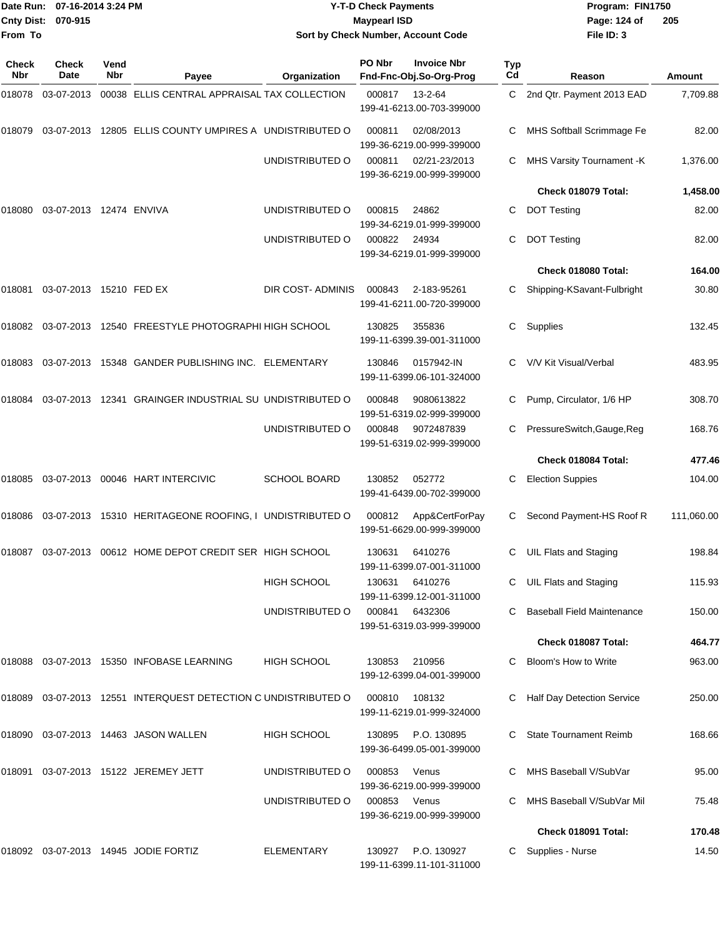| <b>Cnty Dist:</b><br>From To | Date Run: 07-16-2014 3:24 PM<br>070-915 |             |                                                                | <b>Y-T-D Check Payments</b><br><b>Maypearl ISD</b><br>Sort by Check Number, Account Code |        |                                               |                  | Program: FIN1750<br>Page: 124 of<br>File ID: 3 | 205        |  |
|------------------------------|-----------------------------------------|-------------|----------------------------------------------------------------|------------------------------------------------------------------------------------------|--------|-----------------------------------------------|------------------|------------------------------------------------|------------|--|
| Check<br><b>Nbr</b>          | <b>Check</b><br>Date                    | Vend<br>Nbr | Payee                                                          | Organization                                                                             | PO Nbr | <b>Invoice Nbr</b><br>Fnd-Fnc-Obj.So-Org-Prog | <b>Typ</b><br>Cd | Reason                                         | Amount     |  |
| 018078                       | 03-07-2013                              |             | 00038 ELLIS CENTRAL APPRAISAL TAX COLLECTION                   |                                                                                          | 000817 | 13-2-64<br>199-41-6213.00-703-399000          | C                | 2nd Qtr. Payment 2013 EAD                      | 7,709.88   |  |
| 018079                       |                                         |             | 03-07-2013 12805 ELLIS COUNTY UMPIRES A UNDISTRIBUTED O        |                                                                                          | 000811 | 02/08/2013<br>199-36-6219.00-999-399000       |                  | MHS Softball Scrimmage Fe                      | 82.00      |  |
|                              |                                         |             |                                                                | UNDISTRIBUTED O                                                                          | 000811 | 02/21-23/2013<br>199-36-6219.00-999-399000    | C                | MHS Varsity Tournament -K                      | 1,376.00   |  |
|                              |                                         |             |                                                                |                                                                                          |        |                                               |                  | Check 018079 Total:                            | 1,458.00   |  |
| 018080                       | 03-07-2013 12474 ENVIVA                 |             |                                                                | UNDISTRIBUTED O                                                                          | 000815 | 24862<br>199-34-6219.01-999-399000            | C                | <b>DOT Testing</b>                             | 82.00      |  |
|                              |                                         |             |                                                                | UNDISTRIBUTED O                                                                          | 000822 | 24934<br>199-34-6219.01-999-399000            | C                | <b>DOT Testing</b>                             | 82.00      |  |
|                              |                                         |             |                                                                |                                                                                          |        |                                               |                  | Check 018080 Total:                            | 164.00     |  |
| 018081                       | 03-07-2013 15210 FED EX                 |             |                                                                | DIR COST- ADMINIS                                                                        | 000843 | 2-183-95261<br>199-41-6211.00-720-399000      |                  | Shipping-KSavant-Fulbright                     | 30.80      |  |
|                              |                                         |             | 018082 03-07-2013 12540   FREESTYLE PHOTOGRAPHI HIGH SCHOOL    |                                                                                          | 130825 | 355836<br>199-11-6399.39-001-311000           | С                | Supplies                                       | 132.45     |  |
| 018083                       |                                         |             | 03-07-2013 15348 GANDER PUBLISHING INC. ELEMENTARY             |                                                                                          | 130846 | 0157942-IN<br>199-11-6399.06-101-324000       | C                | V/V Kit Visual/Verbal                          | 483.95     |  |
| 018084                       |                                         |             | 03-07-2013 12341 GRAINGER INDUSTRIAL SU UNDISTRIBUTED O        |                                                                                          | 000848 | 9080613822<br>199-51-6319.02-999-399000       |                  | Pump, Circulator, 1/6 HP                       | 308.70     |  |
|                              |                                         |             |                                                                | UNDISTRIBUTED O                                                                          | 000848 | 9072487839<br>199-51-6319.02-999-399000       |                  | PressureSwitch, Gauge, Reg                     | 168.76     |  |
|                              |                                         |             |                                                                |                                                                                          |        |                                               |                  | Check 018084 Total:                            | 477.46     |  |
| 018085                       |                                         |             | 03-07-2013 00046 HART INTERCIVIC                               | <b>SCHOOL BOARD</b>                                                                      | 130852 | 052772<br>199-41-6439.00-702-399000           | C                | <b>Election Suppies</b>                        | 104.00     |  |
| 018086                       | 03-07-2013                              |             | 15310 HERITAGEONE ROOFING, I UNDISTRIBUTED O                   |                                                                                          | 000812 | App&CertForPay<br>199-51-6629.00-999-399000   | C                | Second Payment-HS Roof R                       | 111,060.00 |  |
|                              |                                         |             | 018087 03-07-2013 00612 HOME DEPOT CREDIT SER HIGH SCHOOL      |                                                                                          | 130631 | 6410276<br>199-11-6399.07-001-311000          |                  | C UIL Flats and Staging                        | 198.84     |  |
|                              |                                         |             |                                                                | <b>HIGH SCHOOL</b>                                                                       | 130631 | 6410276<br>199-11-6399.12-001-311000          |                  | <b>UIL Flats and Staging</b>                   | 115.93     |  |
|                              |                                         |             |                                                                | UNDISTRIBUTED O                                                                          | 000841 | 6432306<br>199-51-6319.03-999-399000          |                  | <b>Baseball Field Maintenance</b>              | 150.00     |  |
|                              |                                         |             |                                                                |                                                                                          |        |                                               |                  | Check 018087 Total:                            | 464.77     |  |
|                              |                                         |             | 018088 03-07-2013 15350 INFOBASE LEARNING                      | <b>HIGH SCHOOL</b>                                                                       | 130853 | 210956<br>199-12-6399.04-001-399000           |                  | Bloom's How to Write                           | 963.00     |  |
|                              |                                         |             | 018089 03-07-2013 12551 INTERQUEST DETECTION C UNDISTRIBUTED O |                                                                                          | 000810 | 108132<br>199-11-6219.01-999-324000           |                  | Half Day Detection Service                     | 250.00     |  |
|                              |                                         |             | 018090 03-07-2013 14463 JASON WALLEN                           | <b>HIGH SCHOOL</b>                                                                       | 130895 | P.O. 130895<br>199-36-6499.05-001-399000      |                  | <b>State Tournament Reimb</b>                  | 168.66     |  |
| 018091                       |                                         |             | 03-07-2013 15122 JEREMEY JETT                                  | UNDISTRIBUTED O                                                                          | 000853 | Venus<br>199-36-6219.00-999-399000            |                  | MHS Baseball V/SubVar                          | 95.00      |  |
|                              |                                         |             |                                                                | UNDISTRIBUTED O                                                                          | 000853 | Venus<br>199-36-6219.00-999-399000            |                  | MHS Baseball V/SubVar Mil                      | 75.48      |  |
|                              |                                         |             |                                                                |                                                                                          |        |                                               |                  | Check 018091 Total:                            | 170.48     |  |
|                              |                                         |             | 018092 03-07-2013 14945 JODIE FORTIZ                           | <b>ELEMENTARY</b>                                                                        | 130927 | P.O. 130927<br>199-11-6399.11-101-311000      |                  | Supplies - Nurse                               | 14.50      |  |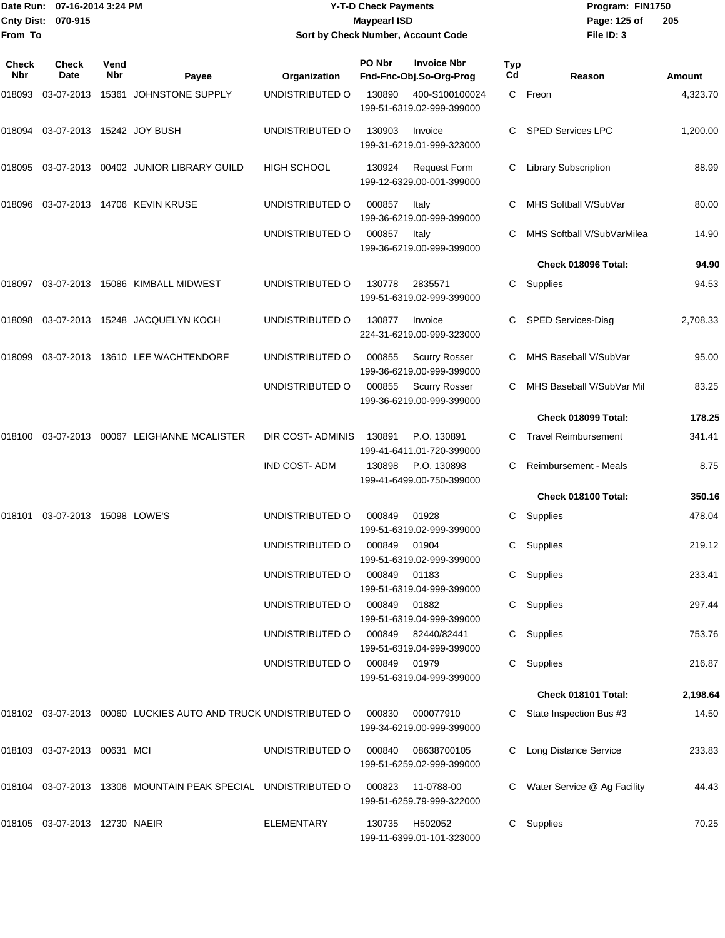|                    | Date Run: 07-16-2014 3:24 PM |
|--------------------|------------------------------|
| Cnty Dist: 070-915 |                              |
| lFrom To           |                              |

#### **Date Run: Program: FIN1750 07-16-2014 3:24 PM Y-T-D Check Payments Cnty Dist: Page: 125 of 070-915 Maypearl ISD Sort by Check Number, Account Code**

| <b>Check</b><br><b>Nbr</b> | <b>Check</b><br>Date             | Vend<br><b>Nbr</b> | Payee                                                          | Organization       | PO Nbr       | <b>Invoice Nbr</b><br>Fnd-Fnc-Obj.So-Org-Prog     | <b>Typ</b><br>Cd | Reason                       | Amount   |
|----------------------------|----------------------------------|--------------------|----------------------------------------------------------------|--------------------|--------------|---------------------------------------------------|------------------|------------------------------|----------|
| 018093                     |                                  |                    | 03-07-2013  15361  JOHNSTONE SUPPLY                            | UNDISTRIBUTED O    | 130890       | 400-S100100024<br>199-51-6319.02-999-399000       |                  | C Freon                      | 4,323.70 |
| 018094                     | 03-07-2013 15242 JOY BUSH        |                    |                                                                | UNDISTRIBUTED O    | 130903       | Invoice<br>199-31-6219.01-999-323000              | C.               | <b>SPED Services LPC</b>     | 1,200.00 |
| 018095                     |                                  |                    | 03-07-2013  00402  JUNIOR LIBRARY GUILD                        | <b>HIGH SCHOOL</b> | 130924       | <b>Request Form</b><br>199-12-6329.00-001-399000  | C                | <b>Library Subscription</b>  | 88.99    |
| 018096                     |                                  |                    | 03-07-2013 14706 KEVIN KRUSE                                   | UNDISTRIBUTED O    | 000857       | Italy<br>199-36-6219.00-999-399000                | C.               | MHS Softball V/SubVar        | 80.00    |
|                            |                                  |                    |                                                                | UNDISTRIBUTED O    | 000857       | Italy<br>199-36-6219.00-999-399000                |                  | MHS Softball V/SubVarMilea   | 14.90    |
|                            |                                  |                    |                                                                |                    |              |                                                   |                  | Check 018096 Total:          | 94.90    |
| 018097                     |                                  |                    | 03-07-2013 15086 KIMBALL MIDWEST                               | UNDISTRIBUTED O    | 130778       | 2835571<br>199-51-6319.02-999-399000              | C.               | Supplies                     | 94.53    |
| 018098                     |                                  |                    | 03-07-2013 15248 JACQUELYN KOCH                                | UNDISTRIBUTED O    | 130877       | Invoice<br>224-31-6219.00-999-323000              | С                | SPED Services-Diag           | 2,708.33 |
| 018099                     |                                  |                    | 03-07-2013 13610 LEE WACHTENDORF                               | UNDISTRIBUTED O    | 000855       | <b>Scurry Rosser</b><br>199-36-6219.00-999-399000 | C                | MHS Baseball V/SubVar        | 95.00    |
|                            |                                  |                    |                                                                | UNDISTRIBUTED O    | 000855       | <b>Scurry Rosser</b><br>199-36-6219.00-999-399000 |                  | MHS Baseball V/SubVar Mil    | 83.25    |
|                            |                                  |                    |                                                                |                    |              |                                                   |                  | Check 018099 Total:          | 178.25   |
| 018100                     |                                  |                    | 03-07-2013 00067 LEIGHANNE MCALISTER                           | DIR COST-ADMINIS   | 130891       | P.O. 130891<br>199-41-6411.01-720-399000          | C                | <b>Travel Reimbursement</b>  | 341.41   |
|                            |                                  |                    |                                                                | IND COST-ADM       | 130898       | P.O. 130898<br>199-41-6499.00-750-399000          | C                | <b>Reimbursement - Meals</b> | 8.75     |
|                            |                                  |                    |                                                                |                    |              |                                                   |                  | Check 018100 Total:          | 350.16   |
| 018101                     | 03-07-2013 15098 LOWE'S          |                    |                                                                | UNDISTRIBUTED O    | 000849       | 01928<br>199-51-6319.02-999-399000                | С                | Supplies                     | 478.04   |
|                            |                                  |                    |                                                                | UNDISTRIBUTED O    | 000849       | 01904<br>199-51-6319.02-999-399000                | С                | Supplies                     | 219.12   |
|                            |                                  |                    |                                                                | UNDISTRIBUTED O    | 000849       | 01183<br>199-51-6319.04-999-399000                | С                | Supplies                     | 233.41   |
|                            |                                  |                    |                                                                | UNDISTRIBUTED O    | 000849       | 01882<br>199-51-6319.04-999-399000                | C.               | Supplies                     | 297.44   |
|                            |                                  |                    |                                                                | UNDISTRIBUTED O    |              | 000849 82440/82441<br>199-51-6319.04-999-399000   | C                | Supplies                     | 753.76   |
|                            |                                  |                    |                                                                | UNDISTRIBUTED O    | 000849 01979 | 199-51-6319.04-999-399000                         | C.               | Supplies                     | 216.87   |
|                            |                                  |                    |                                                                |                    |              |                                                   |                  | Check 018101 Total:          | 2,198.64 |
|                            |                                  |                    | 018102 03-07-2013 00060 LUCKIES AUTO AND TRUCK UNDISTRIBUTED O |                    | 000830       | 000077910<br>199-34-6219.00-999-399000            |                  | State Inspection Bus #3      | 14.50    |
|                            | 018103 03-07-2013 00631 MCI      |                    |                                                                | UNDISTRIBUTED O    | 000840       | 08638700105<br>199-51-6259.02-999-399000          |                  | Long Distance Service        | 233.83   |
|                            |                                  |                    | 018104 03-07-2013 13306 MOUNTAIN PEAK SPECIAL UNDISTRIBUTED O  |                    | 000823       | 11-0788-00<br>199-51-6259.79-999-322000           |                  | Water Service @ Ag Facility  | 44.43    |
|                            | 018105  03-07-2013  12730  NAEIR |                    |                                                                | <b>ELEMENTARY</b>  | 130735       | H502052<br>199-11-6399.01-101-323000              | C.               | Supplies                     | 70.25    |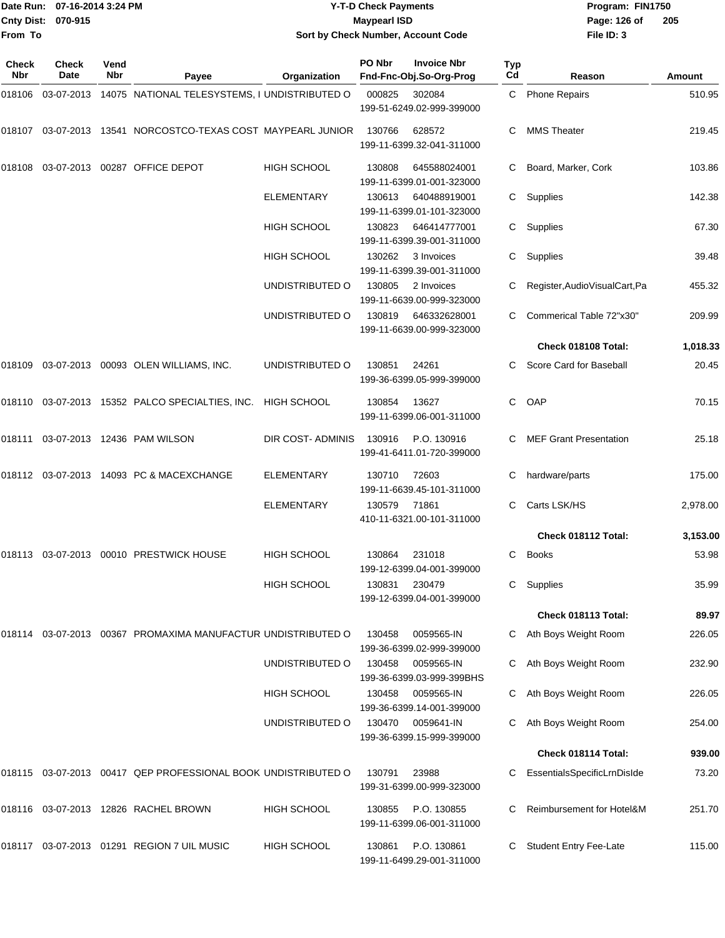#### Date Run: 07-16-2014 3:24 PM **Program:** FIN1750 **Cnty Dist:** 070-915 **Page:** 126 of **Y-T-D Check Payments 070-915 Maypearl ISD Sort by Check Number, Account Code**

| Check<br>Nbr | <b>Check</b><br>Date | Vend<br>Nbr | Payee                                                         | Organization       | PO Nbr | <b>Invoice Nbr</b><br>Fnd-Fnc-Obj.So-Org-Prog | Typ<br>Cd | Reason                          | Amount   |
|--------------|----------------------|-------------|---------------------------------------------------------------|--------------------|--------|-----------------------------------------------|-----------|---------------------------------|----------|
|              | 018106 03-07-2013    |             | 14075 NATIONAL TELESYSTEMS, I UNDISTRIBUTED O                 |                    | 000825 | 302084<br>199-51-6249.02-999-399000           | C         | <b>Phone Repairs</b>            | 510.95   |
|              | 018107 03-07-2013    |             | 13541 NORCOSTCO-TEXAS COST MAYPEARL JUNIOR                    |                    | 130766 | 628572<br>199-11-6399.32-041-311000           | С         | <b>MMS Theater</b>              | 219.45   |
| 018108       |                      |             | 03-07-2013 00287 OFFICE DEPOT                                 | HIGH SCHOOL        | 130808 | 645588024001<br>199-11-6399.01-001-323000     | C         | Board, Marker, Cork             | 103.86   |
|              |                      |             |                                                               | <b>ELEMENTARY</b>  | 130613 | 640488919001<br>199-11-6399.01-101-323000     | C         | Supplies                        | 142.38   |
|              |                      |             |                                                               | <b>HIGH SCHOOL</b> | 130823 | 646414777001<br>199-11-6399.39-001-311000     | C         | Supplies                        | 67.30    |
|              |                      |             |                                                               | <b>HIGH SCHOOL</b> | 130262 | 3 Invoices<br>199-11-6399.39-001-311000       | C.        | Supplies                        | 39.48    |
|              |                      |             |                                                               | UNDISTRIBUTED O    | 130805 | 2 Invoices<br>199-11-6639.00-999-323000       |           | Register, Audio Visual Cart, Pa | 455.32   |
|              |                      |             |                                                               | UNDISTRIBUTED O    | 130819 | 646332628001<br>199-11-6639.00-999-323000     | C.        | Commerical Table 72"x30"        | 209.99   |
|              |                      |             |                                                               |                    |        |                                               |           | Check 018108 Total:             | 1,018.33 |
|              |                      |             | 018109 03-07-2013 00093 OLEN WILLIAMS, INC.                   | UNDISTRIBUTED O    | 130851 | 24261<br>199-36-6399.05-999-399000            | C.        | Score Card for Baseball         | 20.45    |
|              |                      |             | 018110 03-07-2013 15352 PALCO SPECIALTIES, INC.               | HIGH SCHOOL        | 130854 | 13627<br>199-11-6399.06-001-311000            | С         | OAP                             | 70.15    |
|              |                      |             | 018111  03-07-2013  12436  PAM WILSON                         | DIR COST- ADMINIS  | 130916 | P.O. 130916<br>199-41-6411.01-720-399000      |           | <b>MEF Grant Presentation</b>   | 25.18    |
|              |                      |             | 018112 03-07-2013 14093 PC & MACEXCHANGE                      | <b>ELEMENTARY</b>  | 130710 | 72603<br>199-11-6639.45-101-311000            | С         | hardware/parts                  | 175.00   |
|              |                      |             |                                                               | <b>ELEMENTARY</b>  | 130579 | 71861<br>410-11-6321.00-101-311000            | C.        | Carts LSK/HS                    | 2,978.00 |
|              |                      |             |                                                               |                    |        |                                               |           | Check 018112 Total:             | 3,153.00 |
| 018113       |                      |             | 03-07-2013 00010 PRESTWICK HOUSE                              | <b>HIGH SCHOOL</b> | 130864 | 231018<br>199-12-6399.04-001-399000           | C.        | <b>Books</b>                    | 53.98    |
|              |                      |             |                                                               | HIGH SCHOOL        | 130831 | 230479<br>199-12-6399.04-001-399000           | C         | Supplies                        | 35.99    |
|              |                      |             |                                                               |                    |        |                                               |           | Check 018113 Total:             | 89.97    |
|              |                      |             | 018114 03-07-2013 00367 PROMAXIMA MANUFACTUR UNDISTRIBUTED O  |                    | 130458 | 0059565-IN<br>199-36-6399.02-999-399000       | С         | Ath Boys Weight Room            | 226.05   |
|              |                      |             |                                                               | UNDISTRIBUTED O    | 130458 | 0059565-IN<br>199-36-6399.03-999-399BHS       | С         | Ath Boys Weight Room            | 232.90   |
|              |                      |             |                                                               | <b>HIGH SCHOOL</b> | 130458 | 0059565-IN<br>199-36-6399.14-001-399000       | С         | Ath Boys Weight Room            | 226.05   |
|              |                      |             |                                                               | UNDISTRIBUTED O    | 130470 | 0059641-IN<br>199-36-6399.15-999-399000       |           | Ath Boys Weight Room            | 254.00   |
|              |                      |             |                                                               |                    |        |                                               |           | Check 018114 Total:             | 939.00   |
|              |                      |             | 018115 03-07-2013 00417 QEP PROFESSIONAL BOOK UNDISTRIBUTED O |                    | 130791 | 23988<br>199-31-6399.00-999-323000            |           | EssentialsSpecificLrnDisIde     | 73.20    |
|              |                      |             | 018116 03-07-2013 12826 RACHEL BROWN                          | <b>HIGH SCHOOL</b> | 130855 | P.O. 130855<br>199-11-6399.06-001-311000      | С         | Reimbursement for Hotel&M       | 251.70   |
|              |                      |             | 018117 03-07-2013 01291 REGION 7 UIL MUSIC                    | <b>HIGH SCHOOL</b> | 130861 | P.O. 130861<br>199-11-6499.29-001-311000      | С         | <b>Student Entry Fee-Late</b>   | 115.00   |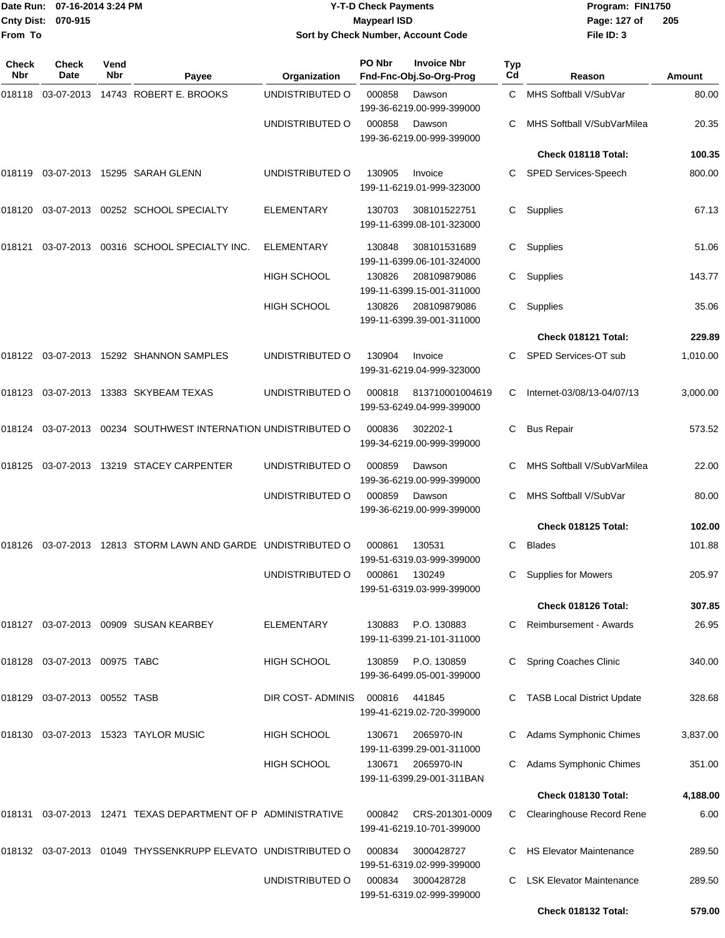| Date Run:<br><b>Cnty Dist:</b> | 07-16-2014 3:24 PM<br>070-915   |             |                                                               | <b>Y-T-D Check Payments</b><br><b>Maypearl ISD</b> |        |                                               | Program: FIN1750<br>Page: 127 of<br>205 |                                   |          |
|--------------------------------|---------------------------------|-------------|---------------------------------------------------------------|----------------------------------------------------|--------|-----------------------------------------------|-----------------------------------------|-----------------------------------|----------|
| From To                        |                                 |             |                                                               |                                                    |        | Sort by Check Number, Account Code            |                                         | File ID: 3                        |          |
| <b>Check</b><br>Nbr            | Check<br>Date                   | Vend<br>Nbr | Payee                                                         | Organization                                       | PO Nbr | <b>Invoice Nbr</b><br>Fnd-Fnc-Obj.So-Org-Prog | <b>Typ</b><br>Cd                        | Reason                            | Amount   |
|                                |                                 |             | 018118 03-07-2013 14743 ROBERT E. BROOKS                      | UNDISTRIBUTED O                                    | 000858 | Dawson<br>199-36-6219.00-999-399000           | C                                       | MHS Softball V/SubVar             | 80.00    |
|                                |                                 |             |                                                               | UNDISTRIBUTED O                                    | 000858 | Dawson<br>199-36-6219.00-999-399000           | C                                       | MHS Softball V/SubVarMilea        | 20.35    |
|                                |                                 |             |                                                               |                                                    |        |                                               |                                         | Check 018118 Total:               | 100.35   |
|                                |                                 |             | 018119  03-07-2013  15295  SARAH GLENN                        | UNDISTRIBUTED O                                    | 130905 | Invoice<br>199-11-6219.01-999-323000          | C                                       | SPED Services-Speech              | 800.00   |
| 018120                         |                                 |             | 03-07-2013  00252  SCHOOL SPECIALTY                           | ELEMENTARY                                         | 130703 | 308101522751<br>199-11-6399.08-101-323000     | C.                                      | Supplies                          | 67.13    |
| 018121                         |                                 |             | 03-07-2013 00316 SCHOOL SPECIALTY INC.                        | <b>ELEMENTARY</b>                                  | 130848 | 308101531689<br>199-11-6399.06-101-324000     | C                                       | Supplies                          | 51.06    |
|                                |                                 |             |                                                               | <b>HIGH SCHOOL</b>                                 | 130826 | 208109879086<br>199-11-6399.15-001-311000     | C                                       | Supplies                          | 143.77   |
|                                |                                 |             |                                                               | HIGH SCHOOL                                        | 130826 | 208109879086<br>199-11-6399.39-001-311000     | C.                                      | Supplies                          | 35.06    |
|                                |                                 |             |                                                               |                                                    |        |                                               |                                         | Check 018121 Total:               | 229.89   |
|                                |                                 |             | 018122 03-07-2013 15292 SHANNON SAMPLES                       | UNDISTRIBUTED O                                    | 130904 | Invoice<br>199-31-6219.04-999-323000          | C                                       | SPED Services-OT sub              | 1,010.00 |
|                                |                                 |             | 018123 03-07-2013 13383 SKYBEAM TEXAS                         | UNDISTRIBUTED O                                    | 000818 | 813710001004619<br>199-53-6249.04-999-399000  | C                                       | Internet-03/08/13-04/07/13        | 3,000.00 |
|                                |                                 |             | 018124 03-07-2013 00234 SOUTHWEST INTERNATION UNDISTRIBUTED O |                                                    | 000836 | 302202-1<br>199-34-6219.00-999-399000         | C                                       | <b>Bus Repair</b>                 | 573.52   |
|                                |                                 |             | 018125 03-07-2013 13219 STACEY CARPENTER                      | UNDISTRIBUTED O                                    | 000859 | Dawson<br>199-36-6219.00-999-399000           |                                         | MHS Softball V/SubVarMilea        | 22.00    |
|                                |                                 |             |                                                               | UNDISTRIBUTED O                                    | 000859 | Dawson<br>199-36-6219.00-999-399000           |                                         | MHS Softball V/SubVar             | 80.00    |
|                                |                                 |             |                                                               |                                                    |        |                                               |                                         | Check 018125 Total:               | 102.00   |
|                                |                                 |             | 018126 03-07-2013 12813 STORM LAWN AND GARDE UNDISTRIBUTED O  |                                                    | 000861 | 130531<br>199-51-6319.03-999-399000           | С                                       | <b>Blades</b>                     | 101.88   |
|                                |                                 |             |                                                               | UNDISTRIBUTED O                                    | 000861 | 130249<br>199-51-6319.03-999-399000           | C                                       | <b>Supplies for Mowers</b>        | 205.97   |
|                                |                                 |             |                                                               |                                                    |        |                                               |                                         | Check 018126 Total:               | 307.85   |
|                                |                                 |             | 018127 03-07-2013 00909 SUSAN KEARBEY                         | <b>ELEMENTARY</b>                                  | 130883 | P.O. 130883<br>199-11-6399.21-101-311000      | C                                       | Reimbursement - Awards            | 26.95    |
|                                | 018128 03-07-2013 00975 TABC    |             |                                                               | <b>HIGH SCHOOL</b>                                 | 130859 | P.O. 130859<br>199-36-6499.05-001-399000      | C.                                      | Spring Coaches Clinic             | 340.00   |
|                                | 018129  03-07-2013  00552  TASB |             |                                                               | DIR COST- ADMINIS                                  | 000816 | 441845<br>199-41-6219.02-720-399000           |                                         | <b>TASB Local District Update</b> | 328.68   |
|                                |                                 |             | 018130 03-07-2013 15323 TAYLOR MUSIC                          | HIGH SCHOOL                                        | 130671 | 2065970-IN<br>199-11-6399.29-001-311000       |                                         | Adams Symphonic Chimes            | 3,837.00 |
|                                |                                 |             |                                                               | HIGH SCHOOL                                        | 130671 | 2065970-IN<br>199-11-6399.29-001-311BAN       | C.                                      | Adams Symphonic Chimes            | 351.00   |
|                                |                                 |             |                                                               |                                                    |        |                                               |                                         | Check 018130 Total:               | 4,188.00 |
|                                |                                 |             | 018131 03-07-2013 12471 TEXAS DEPARTMENT OF P ADMINISTRATIVE  |                                                    | 000842 | CRS-201301-0009<br>199-41-6219.10-701-399000  | C                                       | <b>Clearinghouse Record Rene</b>  | 6.00     |
|                                |                                 |             | 018132 03-07-2013 01049 THYSSENKRUPP ELEVATO UNDISTRIBUTED O  |                                                    | 000834 | 3000428727<br>199-51-6319.02-999-399000       |                                         | C HS Elevator Maintenance         | 289.50   |
|                                |                                 |             |                                                               | UNDISTRIBUTED O                                    | 000834 | 3000428728<br>199-51-6319.02-999-399000       | C                                       | <b>LSK Elevator Maintenance</b>   | 289.50   |
|                                |                                 |             |                                                               |                                                    |        |                                               |                                         | Check 018132 Total:               | 579.00   |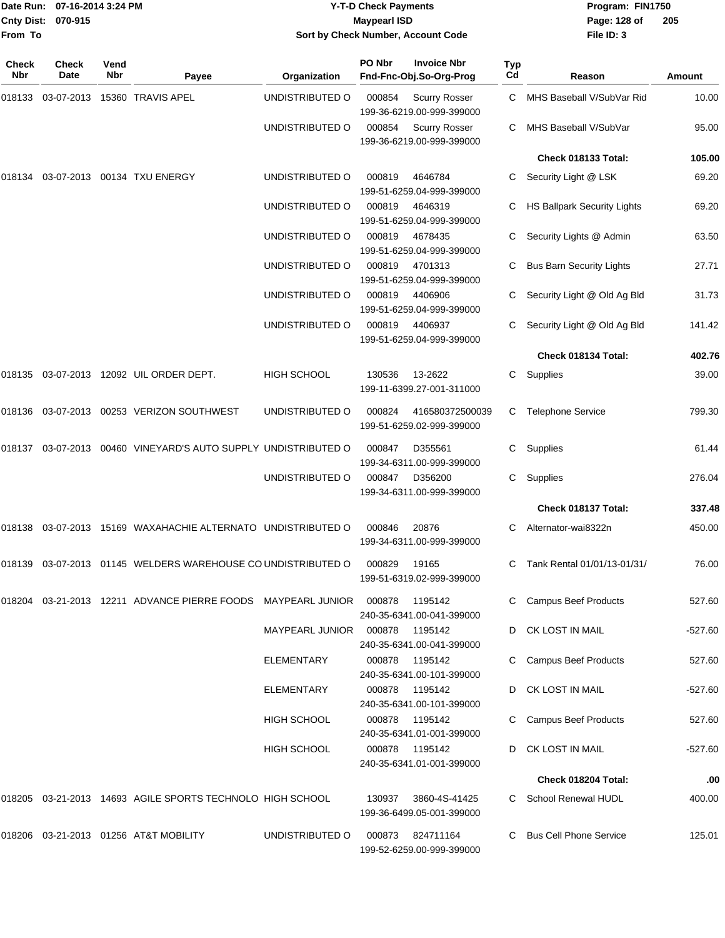| From To             | Date Run: 07-16-2014 3:24 PM<br><b>Cnty Dist:</b><br>070-915 |             |                                                                  | Sort by Check Number, Account Code | <b>Y-T-D Check Payments</b><br><b>Maypearl ISD</b> |                                                   | Program: FIN1750<br>Page: 128 of<br>File ID: 3 | 205                                |           |
|---------------------|--------------------------------------------------------------|-------------|------------------------------------------------------------------|------------------------------------|----------------------------------------------------|---------------------------------------------------|------------------------------------------------|------------------------------------|-----------|
| Check<br><b>Nbr</b> | <b>Check</b><br>Date                                         | Vend<br>Nbr | Payee                                                            | Organization                       | PO Nbr                                             | <b>Invoice Nbr</b><br>Fnd-Fnc-Obj.So-Org-Prog     | Typ<br>Cd                                      | Reason                             | Amount    |
| 018133              |                                                              |             | 03-07-2013 15360 TRAVIS APEL                                     | UNDISTRIBUTED O                    | 000854                                             | <b>Scurry Rosser</b><br>199-36-6219.00-999-399000 | C                                              | MHS Baseball V/SubVar Rid          | 10.00     |
|                     |                                                              |             |                                                                  | UNDISTRIBUTED O                    | 000854                                             | <b>Scurry Rosser</b><br>199-36-6219.00-999-399000 |                                                | MHS Baseball V/SubVar              | 95.00     |
|                     |                                                              |             |                                                                  |                                    |                                                    |                                                   |                                                | Check 018133 Total:                | 105.00    |
| 018134              | 03-07-2013                                                   |             | 00134 TXU ENERGY                                                 | UNDISTRIBUTED O                    | 000819                                             | 4646784<br>199-51-6259.04-999-399000              | C                                              | Security Light @ LSK               | 69.20     |
|                     |                                                              |             |                                                                  | UNDISTRIBUTED O                    | 000819                                             | 4646319<br>199-51-6259.04-999-399000              | C                                              | <b>HS Ballpark Security Lights</b> | 69.20     |
|                     |                                                              |             |                                                                  | UNDISTRIBUTED O                    | 000819                                             | 4678435<br>199-51-6259.04-999-399000              |                                                | Security Lights @ Admin            | 63.50     |
|                     |                                                              |             |                                                                  | UNDISTRIBUTED O                    | 000819                                             | 4701313<br>199-51-6259.04-999-399000              |                                                | <b>Bus Barn Security Lights</b>    | 27.71     |
|                     |                                                              |             |                                                                  | UNDISTRIBUTED O                    | 000819                                             | 4406906<br>199-51-6259.04-999-399000              | C                                              | Security Light @ Old Ag Bld        | 31.73     |
|                     |                                                              |             |                                                                  | UNDISTRIBUTED O                    | 000819                                             | 4406937<br>199-51-6259.04-999-399000              |                                                | Security Light @ Old Ag Bld        | 141.42    |
|                     |                                                              |             |                                                                  |                                    |                                                    |                                                   |                                                | Check 018134 Total:                | 402.76    |
| 018135              |                                                              |             | 03-07-2013 12092 UIL ORDER DEPT.                                 | <b>HIGH SCHOOL</b>                 | 130536                                             | 13-2622<br>199-11-6399.27-001-311000              | C                                              | Supplies                           | 39.00     |
| 018136              |                                                              |             | 03-07-2013  00253  VERIZON SOUTHWEST                             | UNDISTRIBUTED O                    | 000824                                             | 416580372500039<br>199-51-6259.02-999-399000      | C                                              | <b>Telephone Service</b>           | 799.30    |
| 018137              |                                                              |             | 03-07-2013  00460  VINEYARD'S AUTO SUPPLY UNDISTRIBUTED O        |                                    | 000847                                             | D355561<br>199-34-6311.00-999-399000              | C                                              | Supplies                           | 61.44     |
|                     |                                                              |             |                                                                  | UNDISTRIBUTED O                    | 000847                                             | D356200<br>199-34-6311.00-999-399000              | C                                              | Supplies                           | 276.04    |
|                     |                                                              |             |                                                                  |                                    |                                                    |                                                   |                                                | Check 018137 Total:                | 337.48    |
| 018138              |                                                              |             | 03-07-2013 15169 WAXAHACHIE ALTERNATO UNDISTRIBUTED O            |                                    | 000846                                             | 20876<br>199-34-6311.00-999-399000                | C                                              | Alternator-wai8322n                | 450.00    |
|                     |                                                              |             | 018139 03-07-2013 01145 WELDERS WAREHOUSE CO UNDISTRIBUTED O     |                                    | 000829                                             | 19165<br>199-51-6319.02-999-399000                |                                                | C Tank Rental 01/01/13-01/31/      | 76.00     |
|                     |                                                              |             | 018204  03-21-2013  12211  ADVANCE PIERRE FOODS  MAYPEARL JUNIOR |                                    | 000878                                             | 1195142<br>240-35-6341.00-041-399000              |                                                | C Campus Beef Products             | 527.60    |
|                     |                                                              |             |                                                                  | <b>MAYPEARL JUNIOR</b>             | 000878                                             | 1195142<br>240-35-6341.00-041-399000              |                                                | CK LOST IN MAIL                    | $-527.60$ |
|                     |                                                              |             |                                                                  | ELEMENTARY                         | 000878                                             | 1195142<br>240-35-6341.00-101-399000              |                                                | <b>Campus Beef Products</b>        | 527.60    |
|                     |                                                              |             |                                                                  | ELEMENTARY                         |                                                    | 000878 1195142<br>240-35-6341.00-101-399000       | D                                              | CK LOST IN MAIL                    | -527.60   |
|                     |                                                              |             |                                                                  | HIGH SCHOOL                        |                                                    | 000878 1195142<br>240-35-6341.01-001-399000       |                                                | <b>Campus Beef Products</b>        | 527.60    |
|                     |                                                              |             |                                                                  | <b>HIGH SCHOOL</b>                 |                                                    | 000878 1195142<br>240-35-6341.01-001-399000       | D                                              | CK LOST IN MAIL                    | $-527.60$ |
|                     |                                                              |             |                                                                  |                                    |                                                    |                                                   |                                                | Check 018204 Total:                | .00       |
|                     |                                                              |             | 018205 03-21-2013 14693 AGILE SPORTS TECHNOLO HIGH SCHOOL        |                                    | 130937                                             | 3860-4S-41425<br>199-36-6499.05-001-399000        |                                                | C School Renewal HUDL              | 400.00    |
|                     |                                                              |             | 018206 03-21-2013 01256 AT&T MOBILITY                            | UNDISTRIBUTED O                    | 000873                                             | 824711164<br>199-52-6259.00-999-399000            | C.                                             | <b>Bus Cell Phone Service</b>      | 125.01    |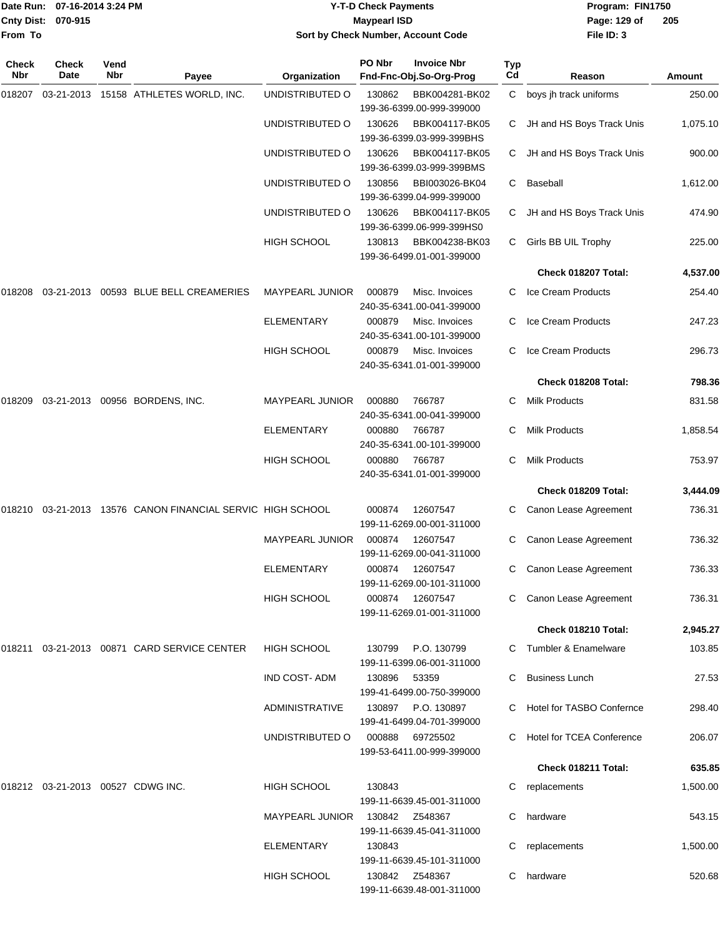|                    | Date Run: 07-16-2014 3:24 PM |
|--------------------|------------------------------|
| Cnty Dist: 070-915 |                              |
| From To            |                              |

## **Date Run: Program: FIN1750 07-16-2014 3:24 PM Y-T-D Check Payments Cnty Dist: Page: 129 of 070-915 Maypearl ISD Sort by Check Number, Account Code**

| Check<br>Nbr | <b>Check</b><br>Date              | Vend<br>Nbr | Payee                                               | Organization           | PO Nbr | <b>Invoice Nbr</b><br>Fnd-Fnc-Obj.So-Org-Prog | <b>Typ</b><br>Cd | Reason                           | Amount   |
|--------------|-----------------------------------|-------------|-----------------------------------------------------|------------------------|--------|-----------------------------------------------|------------------|----------------------------------|----------|
| 018207       |                                   |             | 03-21-2013  15158  ATHLETES WORLD, INC.             | UNDISTRIBUTED O        | 130862 | BBK004281-BK02<br>199-36-6399.00-999-399000   | C                | boys jh track uniforms           | 250.00   |
|              |                                   |             |                                                     | UNDISTRIBUTED O        | 130626 | BBK004117-BK05<br>199-36-6399.03-999-399BHS   | C.               | JH and HS Boys Track Unis        | 1,075.10 |
|              |                                   |             |                                                     | UNDISTRIBUTED O        | 130626 | BBK004117-BK05<br>199-36-6399.03-999-399BMS   | C                | JH and HS Boys Track Unis        | 900.00   |
|              |                                   |             |                                                     | UNDISTRIBUTED O        | 130856 | BBI003026-BK04<br>199-36-6399.04-999-399000   | C                | Baseball                         | 1,612.00 |
|              |                                   |             |                                                     | UNDISTRIBUTED O        | 130626 | BBK004117-BK05<br>199-36-6399.06-999-399HS0   | C.               | JH and HS Boys Track Unis        | 474.90   |
|              |                                   |             |                                                     | <b>HIGH SCHOOL</b>     | 130813 | BBK004238-BK03<br>199-36-6499.01-001-399000   | C                | Girls BB UIL Trophy              | 225.00   |
|              |                                   |             |                                                     |                        |        |                                               |                  | Check 018207 Total:              | 4,537.00 |
| 018208       |                                   |             | 03-21-2013  00593  BLUE BELL CREAMERIES             | <b>MAYPEARL JUNIOR</b> | 000879 | Misc. Invoices<br>240-35-6341.00-041-399000   |                  | Ice Cream Products               | 254.40   |
|              |                                   |             |                                                     | ELEMENTARY             | 000879 | Misc. Invoices<br>240-35-6341.00-101-399000   | C                | Ice Cream Products               | 247.23   |
|              |                                   |             |                                                     | <b>HIGH SCHOOL</b>     | 000879 | Misc. Invoices<br>240-35-6341.01-001-399000   | C                | Ice Cream Products               | 296.73   |
|              |                                   |             |                                                     |                        |        |                                               |                  | Check 018208 Total:              | 798.36   |
| 018209       |                                   |             | 03-21-2013 00956 BORDENS, INC.                      | MAYPEARL JUNIOR        | 000880 | 766787<br>240-35-6341.00-041-399000           | C                | <b>Milk Products</b>             | 831.58   |
|              |                                   |             |                                                     | <b>ELEMENTARY</b>      | 000880 | 766787<br>240-35-6341.00-101-399000           |                  | <b>Milk Products</b>             | 1,858.54 |
|              |                                   |             |                                                     | <b>HIGH SCHOOL</b>     | 000880 | 766787<br>240-35-6341.01-001-399000           | C                | <b>Milk Products</b>             | 753.97   |
|              |                                   |             |                                                     |                        |        |                                               |                  | Check 018209 Total:              | 3,444.09 |
| 018210       |                                   |             | 03-21-2013 13576 CANON FINANCIAL SERVIC HIGH SCHOOL |                        | 000874 | 12607547<br>199-11-6269.00-001-311000         | C                | Canon Lease Agreement            | 736.31   |
|              |                                   |             |                                                     | MAYPEARL JUNIOR        | 000874 | 12607547<br>199-11-6269.00-041-311000         | C                | Canon Lease Agreement            | 736.32   |
|              |                                   |             |                                                     | ELEMENTARY             | 000874 | 12607547<br>199-11-6269.00-101-311000         | C                | Canon Lease Agreement            | 736.33   |
|              |                                   |             |                                                     | <b>HIGH SCHOOL</b>     |        | 000874 12607547<br>199-11-6269.01-001-311000  |                  | C Canon Lease Agreement          | 736.31   |
|              |                                   |             |                                                     |                        |        |                                               |                  | Check 018210 Total:              | 2,945.27 |
| 018211       |                                   |             | 03-21-2013  00871  CARD SERVICE CENTER              | <b>HIGH SCHOOL</b>     | 130799 | P.O. 130799<br>199-11-6399.06-001-311000      |                  | C Tumbler & Enamelware           | 103.85   |
|              |                                   |             |                                                     | <b>IND COST-ADM</b>    | 130896 | 53359<br>199-41-6499.00-750-399000            |                  | C Business Lunch                 | 27.53    |
|              |                                   |             |                                                     | ADMINISTRATIVE         | 130897 | P.O. 130897<br>199-41-6499.04-701-399000      |                  | <b>Hotel for TASBO Confernce</b> | 298.40   |
|              |                                   |             |                                                     | UNDISTRIBUTED O        | 000888 | 69725502<br>199-53-6411.00-999-399000         |                  | C Hotel for TCEA Conference      | 206.07   |
|              |                                   |             |                                                     |                        |        |                                               |                  | Check 018211 Total:              | 635.85   |
|              | 018212 03-21-2013 00527 CDWG INC. |             |                                                     | <b>HIGH SCHOOL</b>     | 130843 | 199-11-6639.45-001-311000                     | C                | replacements                     | 1,500.00 |
|              |                                   |             |                                                     | <b>MAYPEARL JUNIOR</b> |        | 199-11-6639.45-041-311000                     |                  | C hardware                       | 543.15   |
|              |                                   |             |                                                     | ELEMENTARY             | 130843 | 199-11-6639.45-101-311000                     |                  | replacements                     | 1,500.00 |
|              |                                   |             |                                                     | HIGH SCHOOL            |        | 130842 Z548367<br>199-11-6639.48-001-311000   | C.               | hardware                         | 520.68   |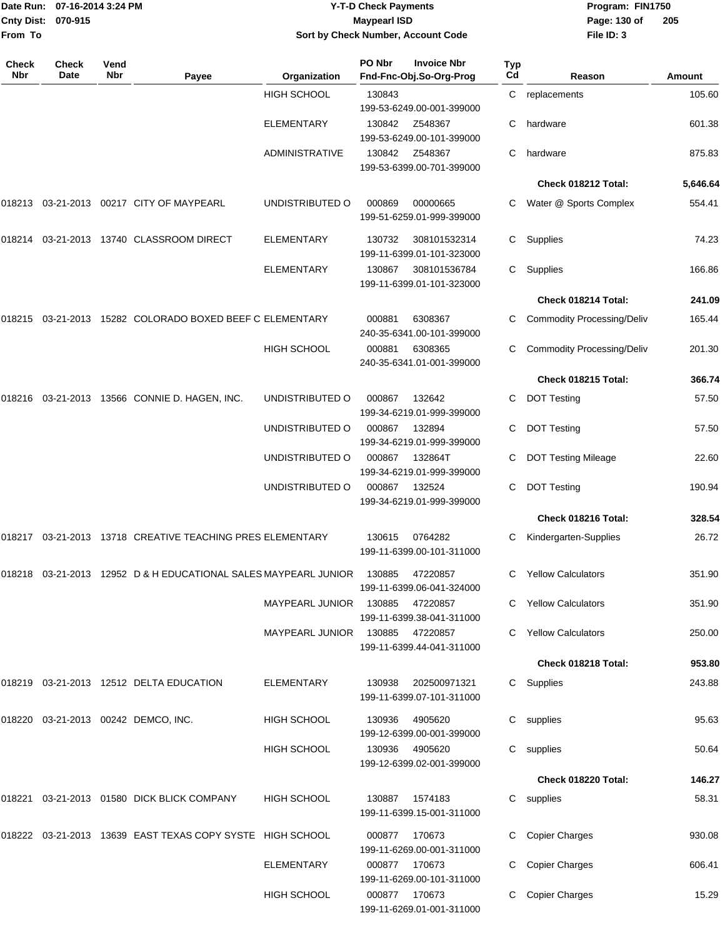| Date Run:         | 07-16-2014 3:24 PM   |             |                                                                                                      |                                    | <b>Y-T-D Check Payments</b>         | Program: FIN1750                              |           |                                   |          |
|-------------------|----------------------|-------------|------------------------------------------------------------------------------------------------------|------------------------------------|-------------------------------------|-----------------------------------------------|-----------|-----------------------------------|----------|
| <b>Cnty Dist:</b> | 070-915              |             |                                                                                                      |                                    | <b>Maypearl ISD</b>                 |                                               |           | Page: 130 of                      | 205      |
| From To           |                      |             |                                                                                                      | Sort by Check Number, Account Code |                                     | File ID: 3                                    |           |                                   |          |
| Check<br>Nbr      | <b>Check</b><br>Date | Vend<br>Nbr | Payee                                                                                                | Organization                       | PO Nbr                              | <b>Invoice Nbr</b><br>Fnd-Fnc-Obj.So-Org-Prog | Typ<br>Cd | Reason                            | Amount   |
|                   |                      |             |                                                                                                      | <b>HIGH SCHOOL</b>                 | 130843<br>199-53-6249.00-001-399000 |                                               | С         | replacements                      | 105.60   |
|                   |                      |             |                                                                                                      | <b>ELEMENTARY</b>                  | 130842                              | Z548367<br>199-53-6249.00-101-399000          | С         | hardware                          | 601.38   |
|                   |                      |             |                                                                                                      | <b>ADMINISTRATIVE</b>              | 130842                              | Z548367<br>199-53-6399.00-701-399000          | C         | hardware                          | 875.83   |
|                   |                      |             |                                                                                                      |                                    |                                     |                                               |           | Check 018212 Total:               | 5,646.64 |
|                   |                      |             | 018213  03-21-2013  00217  CITY OF MAYPEARL                                                          | UNDISTRIBUTED O                    | 000869                              | 00000665<br>199-51-6259.01-999-399000         | C         | Water @ Sports Complex            | 554.41   |
|                   |                      |             | 018214  03-21-2013  13740  CLASSROOM DIRECT                                                          | <b>ELEMENTARY</b>                  | 130732                              | 308101532314<br>199-11-6399.01-101-323000     | C         | Supplies                          | 74.23    |
|                   |                      |             |                                                                                                      | <b>ELEMENTARY</b>                  | 130867                              | 308101536784<br>199-11-6399.01-101-323000     | C         | Supplies                          | 166.86   |
|                   |                      |             |                                                                                                      |                                    |                                     |                                               |           | Check 018214 Total:               | 241.09   |
|                   |                      |             | 018215   03-21-2013   15282   COLORADO BOXED BEEF C ELEMENTARY                                       |                                    | 000881                              | 6308367<br>240-35-6341.00-101-399000          | C         | <b>Commodity Processing/Deliv</b> | 165.44   |
|                   |                      |             |                                                                                                      | <b>HIGH SCHOOL</b>                 | 000881                              | 6308365<br>240-35-6341.01-001-399000          |           | <b>Commodity Processing/Deliv</b> | 201.30   |
|                   |                      |             |                                                                                                      |                                    |                                     |                                               |           | Check 018215 Total:               | 366.74   |
|                   |                      |             | 018216  03-21-2013  13566  CONNIE D. HAGEN, INC.                                                     | UNDISTRIBUTED O                    | 000867                              | 132642<br>199-34-6219.01-999-399000           | C         | <b>DOT Testing</b>                | 57.50    |
|                   |                      |             |                                                                                                      | UNDISTRIBUTED O                    | 000867                              | 132894<br>199-34-6219.01-999-399000           | C         | <b>DOT Testing</b>                | 57.50    |
|                   |                      |             |                                                                                                      | UNDISTRIBUTED O                    | 000867                              | 132864T<br>199-34-6219.01-999-399000          | С         | <b>DOT Testing Mileage</b>        | 22.60    |
|                   |                      |             |                                                                                                      | UNDISTRIBUTED O                    | 000867                              | 132524<br>199-34-6219.01-999-399000           | С         | <b>DOT Testing</b>                | 190.94   |
|                   |                      |             |                                                                                                      |                                    |                                     |                                               |           | Check 018216 Total:               | 328.54   |
|                   |                      |             | 018217  03-21-2013  13718  CREATIVE TEACHING PRES ELEMENTARY                                         |                                    | 130615                              | 0764282<br>199-11-6399.00-101-311000          |           | C Kindergarten-Supplies           | 26.72    |
|                   |                      |             | 018218  03-21-2013  12952  D & H EDUCATIONAL SALES MAYPEARL JUNIOR  130885                           |                                    |                                     | 47220857<br>199-11-6399.06-041-324000         |           | C Yellow Calculators              | 351.90   |
|                   |                      |             |                                                                                                      | MAYPEARL JUNIOR 130885             |                                     | 47220857<br>199-11-6399.38-041-311000         |           | C Yellow Calculators              | 351.90   |
|                   |                      |             |                                                                                                      | MAYPEARL JUNIOR 130885             |                                     | 47220857<br>199-11-6399.44-041-311000         |           | C Yellow Calculators              | 250.00   |
|                   |                      |             |                                                                                                      |                                    |                                     |                                               |           | Check 018218 Total:               | 953.80   |
|                   |                      |             | 018219  03-21-2013  12512  DELTA EDUCATION                                                           | ELEMENTARY                         | 130938                              | 202500971321<br>199-11-6399.07-101-311000     |           | C Supplies                        | 243.88   |
|                   |                      |             | 018220  03-21-2013  00242  DEMCO, INC.                                                               | HIGH SCHOOL                        | 130936                              | 4905620<br>199-12-6399.00-001-399000          |           | C supplies                        | 95.63    |
|                   |                      |             |                                                                                                      | <b>HIGH SCHOOL</b>                 | 130936                              | 4905620<br>199-12-6399.02-001-399000          |           | C supplies                        | 50.64    |
|                   |                      |             |                                                                                                      |                                    |                                     |                                               |           | Check 018220 Total:               | 146.27   |
|                   |                      |             | 018221 03-21-2013 01580 DICK BLICK COMPANY                                                           | <b>HIGH SCHOOL</b>                 | 130887                              | 1574183<br>199-11-6399.15-001-311000          |           | C supplies                        | 58.31    |
|                   |                      |             | 018222   03-21-2013   13639   EAST TEXAS   COPY                                SYSTE   HIGH   SCHOOL |                                    | 000877                              | 170673<br>199-11-6269.00-001-311000           |           | C Copier Charges                  | 930.08   |
|                   |                      |             |                                                                                                      | <b>ELEMENTARY</b>                  | 000877 170673                       | 199-11-6269.00-101-311000                     | C.        | <b>Copier Charges</b>             | 606.41   |
|                   |                      |             |                                                                                                      | HIGH SCHOOL                        |                                     | 000877 170673                                 |           | C Copier Charges                  | 15.29    |

199-11-6269.01-001-311000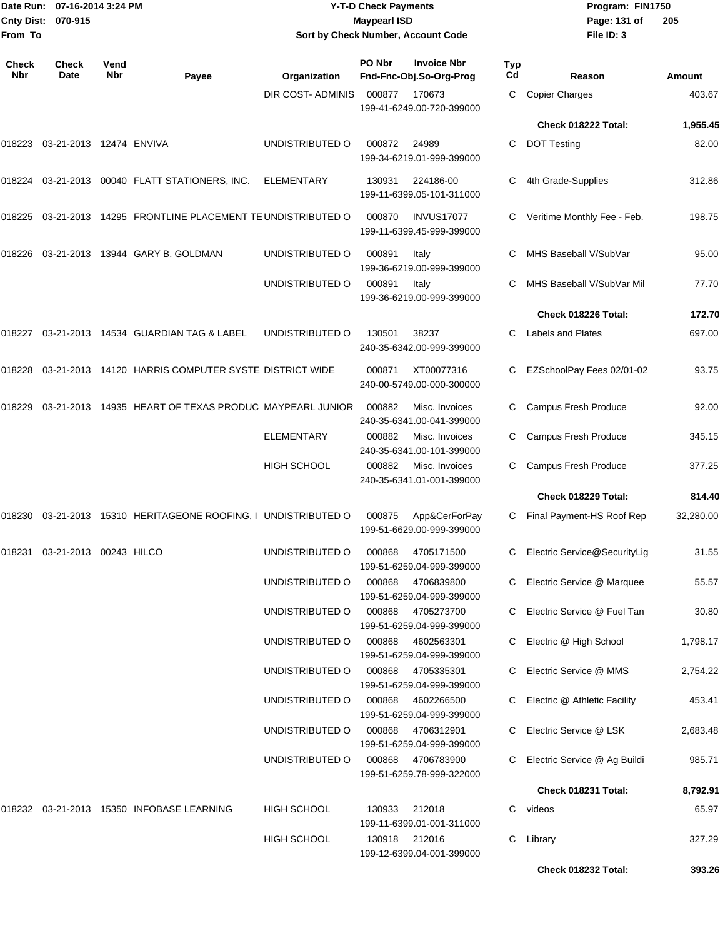| From To             | Date Run: 07-16-2014 3:24 PM<br><b>Cnty Dist:</b><br>070-915 |             |                                                         | Sort by Check Number, Account Code | <b>Y-T-D Check Payments</b><br><b>Maypearl ISD</b> |                                                | Program: FIN1750<br>Page: 131 of<br>File ID: 3 | 205                            |           |
|---------------------|--------------------------------------------------------------|-------------|---------------------------------------------------------|------------------------------------|----------------------------------------------------|------------------------------------------------|------------------------------------------------|--------------------------------|-----------|
| <b>Check</b><br>Nbr | Check<br>Date                                                | Vend<br>Nbr | Payee                                                   | Organization                       | PO Nbr                                             | <b>Invoice Nbr</b><br>Fnd-Fnc-Obj.So-Org-Prog  | Typ<br>Cd                                      | Reason                         | Amount    |
|                     |                                                              |             |                                                         | DIR COST- ADMINIS                  | 000877                                             | 170673<br>199-41-6249.00-720-399000            |                                                | C Copier Charges               | 403.67    |
|                     |                                                              |             |                                                         |                                    |                                                    |                                                |                                                | Check 018222 Total:            | 1,955.45  |
| 018223              | 03-21-2013 12474 ENVIVA                                      |             |                                                         | UNDISTRIBUTED O                    | 000872                                             | 24989<br>199-34-6219.01-999-399000             | С                                              | <b>DOT Testing</b>             | 82.00     |
|                     |                                                              |             | 018224 03-21-2013 00040 FLATT STATIONERS, INC.          | <b>ELEMENTARY</b>                  | 130931                                             | 224186-00<br>199-11-6399.05-101-311000         | C                                              | 4th Grade-Supplies             | 312.86    |
| 018225              |                                                              |             | 03-21-2013 14295 FRONTLINE PLACEMENT TE UNDISTRIBUTED O |                                    | 000870                                             | <b>INVUS17077</b><br>199-11-6399.45-999-399000 |                                                | Veritime Monthly Fee - Feb.    | 198.75    |
|                     |                                                              |             | 018226  03-21-2013  13944  GARY B. GOLDMAN              | UNDISTRIBUTED O                    | 000891                                             | Italy<br>199-36-6219.00-999-399000             |                                                | MHS Baseball V/SubVar          | 95.00     |
|                     |                                                              |             |                                                         | UNDISTRIBUTED O                    | 000891                                             | Italy<br>199-36-6219.00-999-399000             | С                                              | MHS Baseball V/SubVar Mil      | 77.70     |
|                     |                                                              |             |                                                         |                                    |                                                    |                                                |                                                | Check 018226 Total:            | 172.70    |
|                     |                                                              |             | 018227 03-21-2013 14534 GUARDIAN TAG & LABEL            | UNDISTRIBUTED O                    | 130501                                             | 38237<br>240-35-6342.00-999-399000             | C                                              | <b>Labels and Plates</b>       | 697.00    |
| 018228              |                                                              |             | 03-21-2013 14120 HARRIS COMPUTER SYSTE DISTRICT WIDE    |                                    | 000871                                             | XT00077316<br>240-00-5749.00-000-300000        |                                                | EZSchoolPay Fees 02/01-02      | 93.75     |
| 018229              |                                                              |             | 03-21-2013 14935 HEART OF TEXAS PRODUC MAYPEARL JUNIOR  |                                    | 000882                                             | Misc. Invoices<br>240-35-6341.00-041-399000    |                                                | Campus Fresh Produce           | 92.00     |
|                     |                                                              |             |                                                         | ELEMENTARY                         | 000882                                             | Misc. Invoices<br>240-35-6341.00-101-399000    | C                                              | Campus Fresh Produce           | 345.15    |
|                     |                                                              |             |                                                         | <b>HIGH SCHOOL</b>                 | 000882                                             | Misc. Invoices<br>240-35-6341.01-001-399000    |                                                | Campus Fresh Produce           | 377.25    |
|                     |                                                              |             |                                                         |                                    |                                                    |                                                |                                                | Check 018229 Total:            | 814.40    |
| 018230              |                                                              |             | 03-21-2013 15310 HERITAGEONE ROOFING, I UNDISTRIBUTED O |                                    | 000875                                             | App&CerForPay<br>199-51-6629.00-999-399000     |                                                | C Final Payment-HS Roof Rep    | 32,280.00 |
|                     | 018231  03-21-2013  00243  HILCO                             |             |                                                         | UNDISTRIBUTED O                    | 000868                                             | 4705171500<br>199-51-6259.04-999-399000        |                                                | C Electric Service@SecurityLig | 31.55     |
|                     |                                                              |             |                                                         | UNDISTRIBUTED O                    | 000868                                             | 4706839800<br>199-51-6259.04-999-399000        |                                                | C Electric Service @ Marquee   | 55.57     |
|                     |                                                              |             |                                                         | UNDISTRIBUTED O                    | 000868                                             | 4705273700<br>199-51-6259.04-999-399000        |                                                | C Electric Service @ Fuel Tan  | 30.80     |
|                     |                                                              |             |                                                         | UNDISTRIBUTED O                    | 000868                                             | 4602563301<br>199-51-6259.04-999-399000        |                                                | C Electric @ High School       | 1,798.17  |
|                     |                                                              |             |                                                         | UNDISTRIBUTED O                    | 000868                                             | 4705335301<br>199-51-6259.04-999-399000        |                                                | C Electric Service @ MMS       | 2,754.22  |
|                     |                                                              |             |                                                         | UNDISTRIBUTED O                    | 000868                                             | 4602266500<br>199-51-6259.04-999-399000        |                                                | C Electric @ Athletic Facility | 453.41    |
|                     |                                                              |             |                                                         | UNDISTRIBUTED O                    | 000868                                             | 4706312901<br>199-51-6259.04-999-399000        |                                                | Electric Service @ LSK         | 2,683.48  |
|                     |                                                              |             |                                                         | UNDISTRIBUTED O                    | 000868                                             | 4706783900<br>199-51-6259.78-999-322000        |                                                | C Electric Service @ Ag Buildi | 985.71    |
|                     |                                                              |             |                                                         |                                    |                                                    |                                                |                                                | Check 018231 Total:            | 8,792.91  |
|                     |                                                              |             | 018232 03-21-2013 15350 INFOBASE LEARNING               | <b>HIGH SCHOOL</b>                 | 130933                                             | 212018<br>199-11-6399.01-001-311000            |                                                | C videos                       | 65.97     |
|                     |                                                              |             |                                                         | HIGH SCHOOL                        | 130918 212016                                      | 199-12-6399.04-001-399000                      |                                                | C Library                      | 327.29    |

**Check 018232 Total: 393.26**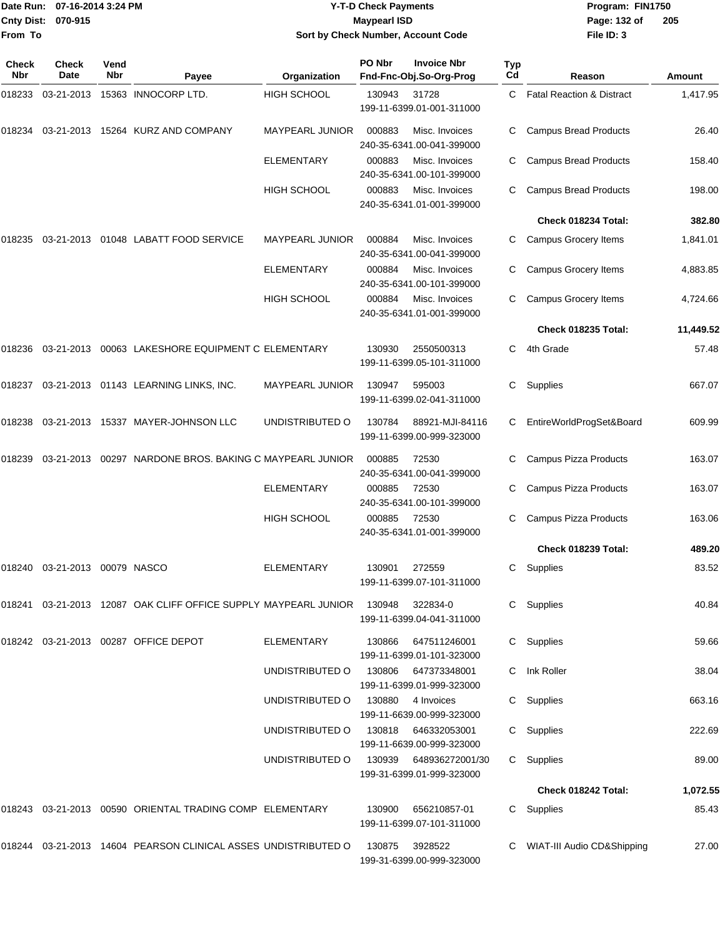|              | Date Run: 07-16-2014 3:24 PM     |             |                                                                        |                                    | <b>Y-T-D Check Payments</b> | Program: FIN1750                                    |           |                                      |               |
|--------------|----------------------------------|-------------|------------------------------------------------------------------------|------------------------------------|-----------------------------|-----------------------------------------------------|-----------|--------------------------------------|---------------|
|              | Cnty Dist: 070-915               |             |                                                                        |                                    | <b>Maypearl ISD</b>         |                                                     |           | Page: 132 of                         | 205           |
| From To      |                                  |             |                                                                        | Sort by Check Number, Account Code |                             |                                                     |           | File ID: 3                           |               |
| Check<br>Nbr | Check<br>Date                    | Vend<br>Nbr | Payee                                                                  | Organization                       | PO Nbr                      | <b>Invoice Nbr</b><br>Fnd-Fnc-Obj.So-Org-Prog       | Typ<br>Cd | Reason                               | <b>Amount</b> |
| 018233       |                                  |             | 03-21-2013  15363  INNOCORP LTD.                                       | <b>HIGH SCHOOL</b>                 | 130943                      | 31728                                               | C.        | <b>Fatal Reaction &amp; Distract</b> | 1,417.95      |
|              |                                  |             |                                                                        |                                    |                             | 199-11-6399.01-001-311000                           |           |                                      |               |
| 018234       |                                  |             | 03-21-2013 15264 KURZ AND COMPANY                                      | MAYPEARL JUNIOR                    | 000883                      | Misc. Invoices<br>240-35-6341.00-041-399000         | С         | <b>Campus Bread Products</b>         | 26.40         |
|              |                                  |             |                                                                        | <b>ELEMENTARY</b>                  | 000883                      | Misc. Invoices<br>240-35-6341.00-101-399000         | С         | <b>Campus Bread Products</b>         | 158.40        |
|              |                                  |             |                                                                        | <b>HIGH SCHOOL</b>                 | 000883                      | Misc. Invoices<br>240-35-6341.01-001-399000         | С         | <b>Campus Bread Products</b>         | 198.00        |
|              |                                  |             |                                                                        |                                    |                             |                                                     |           | Check 018234 Total:                  | 382.80        |
| 018235       |                                  |             | 03-21-2013    01048    LABATT FOOD SERVICE                             | <b>MAYPEARL JUNIOR</b>             | 000884                      | Misc. Invoices<br>240-35-6341.00-041-399000         | С         | Campus Grocery Items                 | 1,841.01      |
|              |                                  |             |                                                                        | <b>ELEMENTARY</b>                  | 000884                      | Misc. Invoices<br>240-35-6341.00-101-399000         | С         | <b>Campus Grocery Items</b>          | 4,883.85      |
|              |                                  |             |                                                                        | <b>HIGH SCHOOL</b>                 | 000884                      | Misc. Invoices<br>240-35-6341.01-001-399000         | С         | Campus Grocery Items                 | 4,724.66      |
|              |                                  |             |                                                                        |                                    |                             |                                                     |           | Check 018235 Total:                  | 11,449.52     |
| 018236       |                                  |             | 03-21-2013 00063 LAKESHORE EQUIPMENT C ELEMENTARY                      |                                    | 130930                      | 2550500313<br>199-11-6399.05-101-311000             | C.        | 4th Grade                            | 57.48         |
|              |                                  |             | 018237 03-21-2013 01143 LEARNING LINKS, INC.                           | <b>MAYPEARL JUNIOR</b>             | 130947                      | 595003<br>199-11-6399.02-041-311000                 | С         | Supplies                             | 667.07        |
| 018238       |                                  |             | 03-21-2013 15337 MAYER-JOHNSON LLC                                     | UNDISTRIBUTED O                    | 130784                      | 88921-MJI-84116<br>199-11-6399.00-999-323000        | С         | EntireWorldProgSet&Board             | 609.99        |
| 018239       |                                  |             | 03-21-2013 00297 NARDONE BROS. BAKING C MAYPEARL JUNIOR                |                                    | 000885                      | 72530<br>240-35-6341.00-041-399000                  | С         | Campus Pizza Products                | 163.07        |
|              |                                  |             |                                                                        | <b>ELEMENTARY</b>                  | 000885                      | 72530<br>240-35-6341.00-101-399000                  | С         | Campus Pizza Products                | 163.07        |
|              |                                  |             |                                                                        | HIGH SCHOOL                        | 000885                      | 72530<br>240-35-6341.01-001-399000                  | С         | <b>Campus Pizza Products</b>         | 163.06        |
|              |                                  |             |                                                                        |                                    |                             |                                                     |           | <b>Check 018239 Total:</b>           | 489.20        |
|              | 018240  03-21-2013  00079  NASCO |             |                                                                        | ELEMENTARY                         | 130901                      | 272559<br>199-11-6399.07-101-311000                 |           | C Supplies                           | 83.52         |
|              |                                  |             | 018241 03-21-2013 12087 OAK CLIFF OFFICE SUPPLY MAYPEARL JUNIOR 130948 |                                    |                             | 322834-0<br>199-11-6399.04-041-311000               |           | C Supplies                           | 40.84         |
|              |                                  |             | 018242 03-21-2013 00287 OFFICE DEPOT                                   | ELEMENTARY                         | 130866                      | 647511246001<br>199-11-6399.01-101-323000           |           | C Supplies                           | 59.66         |
|              |                                  |             |                                                                        | UNDISTRIBUTED O                    | 130806                      | 647373348001<br>199-11-6399.01-999-323000           |           | C Ink Roller                         | 38.04         |
|              |                                  |             |                                                                        | UNDISTRIBUTED O                    | 130880                      | 4 Invoices<br>199-11-6639.00-999-323000             |           | C Supplies                           | 663.16        |
|              |                                  |             |                                                                        | UNDISTRIBUTED O                    |                             | 130818 646332053001<br>199-11-6639.00-999-323000    |           | C Supplies                           | 222.69        |
|              |                                  |             |                                                                        | UNDISTRIBUTED O                    |                             | 130939 648936272001/30<br>199-31-6399.01-999-323000 |           | C Supplies                           | 89.00         |
|              |                                  |             |                                                                        |                                    |                             |                                                     |           | Check 018242 Total:                  | 1,072.55      |
|              |                                  |             | 018243 03-21-2013 00590 ORIENTAL TRADING COMP ELEMENTARY               |                                    | 130900                      | 656210857-01<br>199-11-6399.07-101-311000           |           | C Supplies                           | 85.43         |
|              |                                  |             | 018244 03-21-2013 14604 PEARSON CLINICAL ASSES UNDISTRIBUTED O         |                                    | 130875                      | 3928522<br>199-31-6399.00-999-323000                |           | C WIAT-III Audio CD&Shipping         | 27.00         |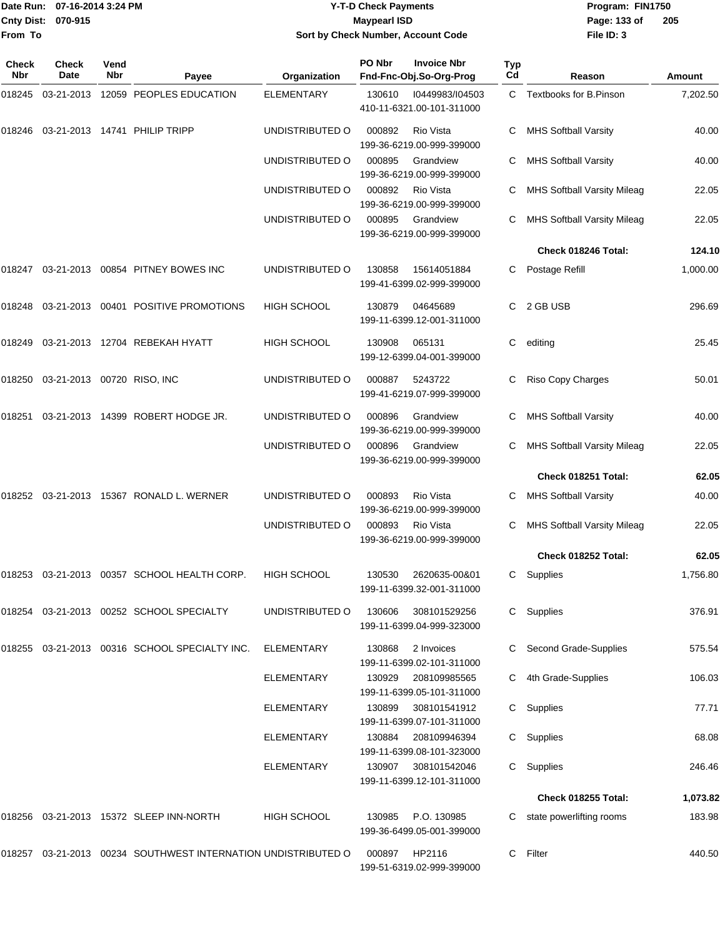|                    | Date Run: 07-16-2014 3:24 PM |
|--------------------|------------------------------|
| Cnty Dist: 070-915 |                              |
| <b>From To</b>     |                              |

## **Date Run: Program: FIN1750 07-16-2014 3:24 PM Y-T-D Check Payments Cnty Dist: Page: 133 of 070-915 Maypearl ISD Sort by Check Number, Account Code**

| Check<br>Nbr | <b>Check</b><br><b>Date</b>       | Vend<br>Nbr | Payee                                                         | Organization       | PO Nbr | <b>Invoice Nbr</b><br>Fnd-Fnc-Obj.So-Org-Prog | Typ<br>Cd | Reason                             | Amount   |
|--------------|-----------------------------------|-------------|---------------------------------------------------------------|--------------------|--------|-----------------------------------------------|-----------|------------------------------------|----------|
| 018245       | 03-21-2013                        |             | 12059 PEOPLES EDUCATION                                       | <b>ELEMENTARY</b>  | 130610 | 10449983/104503<br>410-11-6321.00-101-311000  |           | C Textbooks for B.Pinson           | 7,202.50 |
|              |                                   |             | 018246  03-21-2013  14741  PHILIP TRIPP                       | UNDISTRIBUTED O    | 000892 | Rio Vista<br>199-36-6219.00-999-399000        | C         | <b>MHS Softball Varsity</b>        | 40.00    |
|              |                                   |             |                                                               | UNDISTRIBUTED O    | 000895 | Grandview<br>199-36-6219.00-999-399000        | C         | <b>MHS Softball Varsity</b>        | 40.00    |
|              |                                   |             |                                                               | UNDISTRIBUTED O    | 000892 | Rio Vista<br>199-36-6219.00-999-399000        | С         | <b>MHS Softball Varsity Mileag</b> | 22.05    |
|              |                                   |             |                                                               | UNDISTRIBUTED O    | 000895 | Grandview<br>199-36-6219.00-999-399000        | C         | <b>MHS Softball Varsity Mileag</b> | 22.05    |
|              |                                   |             |                                                               |                    |        |                                               |           | Check 018246 Total:                | 124.10   |
| 018247       |                                   |             | 03-21-2013 00854 PITNEY BOWES INC                             | UNDISTRIBUTED O    | 130858 | 15614051884<br>199-41-6399.02-999-399000      | C         | Postage Refill                     | 1,000.00 |
| 018248       |                                   |             | 03-21-2013 00401 POSITIVE PROMOTIONS                          | <b>HIGH SCHOOL</b> | 130879 | 04645689<br>199-11-6399.12-001-311000         | С         | 2 GB USB                           | 296.69   |
|              |                                   |             | 018249 03-21-2013 12704 REBEKAH HYATT                         | <b>HIGH SCHOOL</b> | 130908 | 065131<br>199-12-6399.04-001-399000           | С         | editing                            | 25.45    |
|              | 018250 03-21-2013 00720 RISO, INC |             |                                                               | UNDISTRIBUTED O    | 000887 | 5243722<br>199-41-6219.07-999-399000          | С         | Riso Copy Charges                  | 50.01    |
| 018251       |                                   |             | 03-21-2013 14399 ROBERT HODGE JR.                             | UNDISTRIBUTED O    | 000896 | Grandview<br>199-36-6219.00-999-399000        | C         | <b>MHS Softball Varsity</b>        | 40.00    |
|              |                                   |             |                                                               | UNDISTRIBUTED O    | 000896 | Grandview<br>199-36-6219.00-999-399000        | C         | <b>MHS Softball Varsity Mileag</b> | 22.05    |
|              |                                   |             |                                                               |                    |        |                                               |           | Check 018251 Total:                | 62.05    |
| 018252       |                                   |             | 03-21-2013  15367  RONALD L. WERNER                           | UNDISTRIBUTED O    | 000893 | Rio Vista<br>199-36-6219.00-999-399000        | С         | <b>MHS Softball Varsity</b>        | 40.00    |
|              |                                   |             |                                                               | UNDISTRIBUTED O    | 000893 | Rio Vista<br>199-36-6219.00-999-399000        | C         | <b>MHS Softball Varsity Mileag</b> | 22.05    |
|              |                                   |             |                                                               |                    |        |                                               |           | Check 018252 Total:                | 62.05    |
|              |                                   |             | 018253 03-21-2013 00357 SCHOOL HEALTH CORP.                   | <b>HIGH SCHOOL</b> | 130530 | 2620635-00&01<br>199-11-6399.32-001-311000    | С         | Supplies                           | 1,756.80 |
|              |                                   |             | 018254 03-21-2013 00252 SCHOOL SPECIALTY                      | UNDISTRIBUTED O    | 130606 | 308101529256<br>199-11-6399.04-999-323000     |           | C Supplies                         | 376.91   |
|              |                                   |             | 018255 03-21-2013 00316 SCHOOL SPECIALTY INC.                 | <b>ELEMENTARY</b>  | 130868 | 2 Invoices<br>199-11-6399.02-101-311000       | C         | Second Grade-Supplies              | 575.54   |
|              |                                   |             |                                                               | ELEMENTARY         | 130929 | 208109985565<br>199-11-6399.05-101-311000     | С         | 4th Grade-Supplies                 | 106.03   |
|              |                                   |             |                                                               | <b>ELEMENTARY</b>  | 130899 | 308101541912<br>199-11-6399.07-101-311000     | C         | Supplies                           | 77.71    |
|              |                                   |             |                                                               | <b>ELEMENTARY</b>  | 130884 | 208109946394<br>199-11-6399.08-101-323000     | C         | Supplies                           | 68.08    |
|              |                                   |             |                                                               | <b>ELEMENTARY</b>  | 130907 | 308101542046<br>199-11-6399.12-101-311000     | C         | Supplies                           | 246.46   |
|              |                                   |             |                                                               |                    |        |                                               |           | Check 018255 Total:                | 1,073.82 |
|              |                                   |             | 018256 03-21-2013 15372 SLEEP INN-NORTH                       | <b>HIGH SCHOOL</b> | 130985 | P.O. 130985<br>199-36-6499.05-001-399000      | C         | state powerlifting rooms           | 183.98   |
|              |                                   |             | 018257 03-21-2013 00234 SOUTHWEST INTERNATION UNDISTRIBUTED O |                    | 000897 | HP2116<br>199-51-6319.02-999-399000           | C         | Filter                             | 440.50   |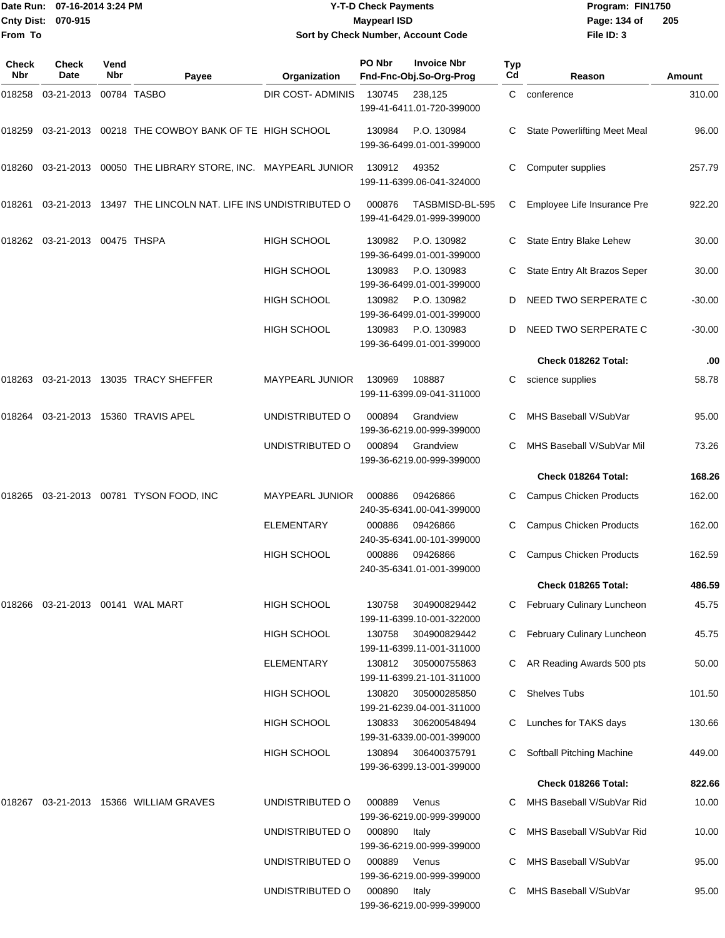#### Date Run: 07-16-2014 3:24 PM **Program:** FIN1750 **Cnty Dist:** 070-915 **Page: 134 of** Maypearl ISD **Contract ISD Y-T-D Check Payments 070-915 Maypearl ISD Sort by Check Number, Account Code**

| Check<br><b>Nbr</b> | Check<br><b>Date</b>   | Vend<br><b>Nbr</b> | Payee                                                      | Organization             | PO Nbr | <b>Invoice Nbr</b><br>Fnd-Fnc-Obj.So-Org-Prog | Typ<br>Cd | Reason                              | <b>Amount</b> |
|---------------------|------------------------|--------------------|------------------------------------------------------------|--------------------------|--------|-----------------------------------------------|-----------|-------------------------------------|---------------|
| 018258              | 03-21-2013             |                    | 00784 TASBO                                                | <b>DIR COST- ADMINIS</b> | 130745 | 238,125<br>199-41-6411.01-720-399000          |           | C conference                        | 310.00        |
| 018259              |                        |                    | 03-21-2013 00218 THE COWBOY BANK OF TE HIGH SCHOOL         |                          | 130984 | P.O. 130984<br>199-36-6499.01-001-399000      |           | <b>State Powerlifting Meet Meal</b> | 96.00         |
| 018260              |                        |                    | 03-21-2013 00050 THE LIBRARY STORE, INC. MAYPEARL JUNIOR   |                          | 130912 | 49352<br>199-11-6399.06-041-324000            |           | Computer supplies                   | 257.79        |
| 018261              |                        |                    | 03-21-2013 13497 THE LINCOLN NAT. LIFE INS UNDISTRIBUTED O |                          | 000876 | TASBMISD-BL-595<br>199-41-6429.01-999-399000  | С         | Employee Life Insurance Pre         | 922.20        |
| 018262              | 03-21-2013 00475 THSPA |                    |                                                            | <b>HIGH SCHOOL</b>       | 130982 | P.O. 130982<br>199-36-6499.01-001-399000      | C         | State Entry Blake Lehew             | 30.00         |
|                     |                        |                    |                                                            | <b>HIGH SCHOOL</b>       | 130983 | P.O. 130983<br>199-36-6499.01-001-399000      |           | State Entry Alt Brazos Seper        | 30.00         |
|                     |                        |                    |                                                            | <b>HIGH SCHOOL</b>       | 130982 | P.O. 130982<br>199-36-6499.01-001-399000      | D         | NEED TWO SERPERATE C                | $-30.00$      |
|                     |                        |                    |                                                            | <b>HIGH SCHOOL</b>       | 130983 | P.O. 130983<br>199-36-6499.01-001-399000      |           | NEED TWO SERPERATE C                | $-30.00$      |
|                     |                        |                    |                                                            |                          |        |                                               |           | Check 018262 Total:                 | .00           |
| 018263              |                        |                    | 03-21-2013 13035 TRACY SHEFFER                             | <b>MAYPEARL JUNIOR</b>   | 130969 | 108887<br>199-11-6399.09-041-311000           | С         | science supplies                    | 58.78         |
| 018264              |                        |                    | 03-21-2013 15360 TRAVIS APEL                               | UNDISTRIBUTED O          | 000894 | Grandview<br>199-36-6219.00-999-399000        |           | MHS Baseball V/SubVar               | 95.00         |
|                     |                        |                    |                                                            | UNDISTRIBUTED O          | 000894 | Grandview<br>199-36-6219.00-999-399000        | C         | MHS Baseball V/SubVar Mil           | 73.26         |
|                     |                        |                    |                                                            |                          |        |                                               |           | Check 018264 Total:                 | 168.26        |
| 018265              |                        |                    | 03-21-2013  00781  TYSON FOOD, INC                         | MAYPEARL JUNIOR          | 000886 | 09426866<br>240-35-6341.00-041-399000         | С         | <b>Campus Chicken Products</b>      | 162.00        |
|                     |                        |                    |                                                            | <b>ELEMENTARY</b>        | 000886 | 09426866<br>240-35-6341.00-101-399000         | С         | <b>Campus Chicken Products</b>      | 162.00        |
|                     |                        |                    |                                                            | <b>HIGH SCHOOL</b>       | 000886 | 09426866<br>240-35-6341.01-001-399000         |           | <b>Campus Chicken Products</b>      | 162.59        |
|                     |                        |                    |                                                            |                          |        |                                               |           | Check 018265 Total:                 | 486.59        |
| 018266              |                        |                    |                                                            | HIGH SCHOOL              | 130758 | 304900829442<br>199-11-6399.10-001-322000     | С         | February Culinary Luncheon          | 45.75         |
|                     |                        |                    |                                                            | HIGH SCHOOL              | 130758 | 304900829442<br>199-11-6399.11-001-311000     | C         | February Culinary Luncheon          | 45.75         |
|                     |                        |                    |                                                            | ELEMENTARY               | 130812 | 305000755863<br>199-11-6399.21-101-311000     | С         | AR Reading Awards 500 pts           | 50.00         |
|                     |                        |                    |                                                            | <b>HIGH SCHOOL</b>       | 130820 | 305000285850<br>199-21-6239.04-001-311000     | С         | <b>Shelves Tubs</b>                 | 101.50        |
|                     |                        |                    |                                                            | <b>HIGH SCHOOL</b>       | 130833 | 306200548494<br>199-31-6339.00-001-399000     | C         | Lunches for TAKS days               | 130.66        |
|                     |                        |                    |                                                            | <b>HIGH SCHOOL</b>       | 130894 | 306400375791<br>199-36-6399.13-001-399000     | С         | Softball Pitching Machine           | 449.00        |
|                     |                        |                    |                                                            |                          |        |                                               |           | Check 018266 Total:                 | 822.66        |
| 018267              |                        |                    | 03-21-2013 15366 WILLIAM GRAVES                            | UNDISTRIBUTED O          | 000889 | Venus<br>199-36-6219.00-999-399000            | C         | MHS Baseball V/SubVar Rid           | 10.00         |
|                     |                        |                    |                                                            | UNDISTRIBUTED O          | 000890 | Italy<br>199-36-6219.00-999-399000            |           | MHS Baseball V/SubVar Rid           | 10.00         |
|                     |                        |                    |                                                            | UNDISTRIBUTED O          | 000889 | Venus<br>199-36-6219.00-999-399000            | С         | MHS Baseball V/SubVar               | 95.00         |
|                     |                        |                    |                                                            | UNDISTRIBUTED O          | 000890 | Italy<br>199-36-6219.00-999-399000            | С         | MHS Baseball V/SubVar               | 95.00         |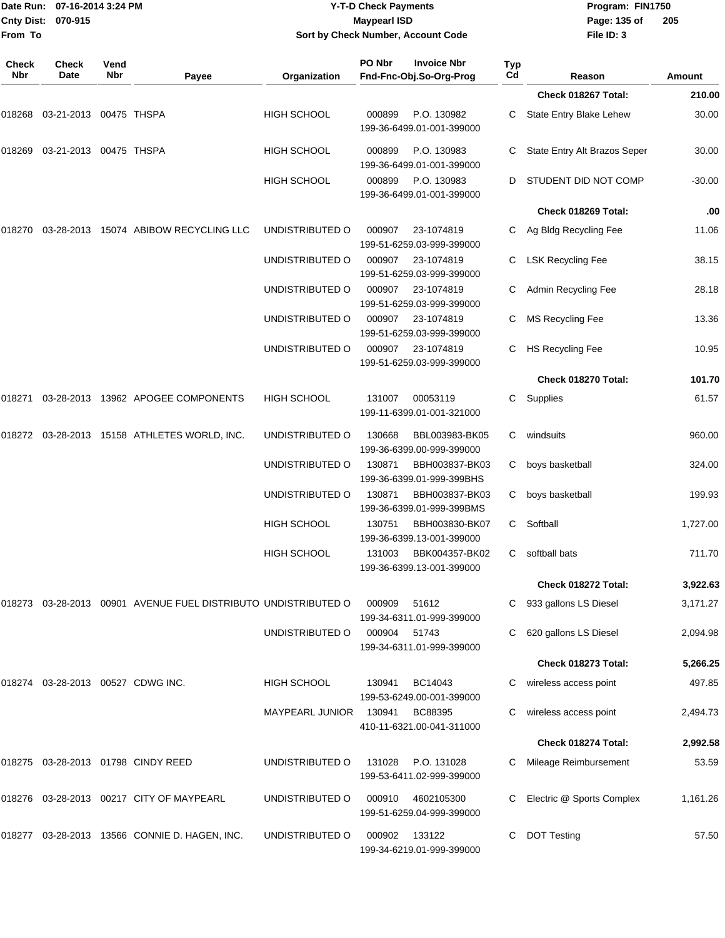| Date Run: 07-16-2014 3:24 PM |                        |             |                                                                |                    | <b>Y-T-D Check Payments</b> |                                               |           | Program: FIN1750             |          |  |
|------------------------------|------------------------|-------------|----------------------------------------------------------------|--------------------|-----------------------------|-----------------------------------------------|-----------|------------------------------|----------|--|
| <b>Cnty Dist:</b>            | 070-915                |             |                                                                |                    | <b>Maypearl ISD</b>         |                                               |           | Page: 135 of                 | 205      |  |
| From To                      |                        |             |                                                                |                    |                             | Sort by Check Number, Account Code            |           | File ID: 3                   |          |  |
| <b>Check</b><br>Nbr          | <b>Check</b><br>Date   | Vend<br>Nbr | Payee                                                          | Organization       | PO Nbr                      | <b>Invoice Nbr</b><br>Fnd-Fnc-Obj.So-Org-Prog | Typ<br>Cd | Reason                       | Amount   |  |
|                              |                        |             |                                                                |                    |                             |                                               |           | Check 018267 Total:          | 210.00   |  |
| 018268                       | 03-21-2013 00475 THSPA |             |                                                                | <b>HIGH SCHOOL</b> | 000899                      | P.O. 130982<br>199-36-6499.01-001-399000      | C.        | State Entry Blake Lehew      | 30.00    |  |
| 018269                       | 03-21-2013 00475 THSPA |             |                                                                | HIGH SCHOOL        | 000899                      | P.O. 130983<br>199-36-6499.01-001-399000      |           | State Entry Alt Brazos Seper | 30.00    |  |
|                              |                        |             |                                                                | <b>HIGH SCHOOL</b> | 000899                      | P.O. 130983<br>199-36-6499.01-001-399000      | D         | STUDENT DID NOT COMP         | $-30.00$ |  |
|                              |                        |             |                                                                |                    |                             |                                               |           | Check 018269 Total:          | .00      |  |
| 018270                       |                        |             | 03-28-2013 15074 ABIBOW RECYCLING LLC                          | UNDISTRIBUTED O    | 000907                      | 23-1074819<br>199-51-6259.03-999-399000       |           | C Ag Bldg Recycling Fee      | 11.06    |  |
|                              |                        |             |                                                                | UNDISTRIBUTED O    | 000907                      | 23-1074819<br>199-51-6259.03-999-399000       | С         | <b>LSK Recycling Fee</b>     | 38.15    |  |
|                              |                        |             |                                                                | UNDISTRIBUTED O    | 000907                      | 23-1074819<br>199-51-6259.03-999-399000       |           | Admin Recycling Fee          | 28.18    |  |
|                              |                        |             |                                                                | UNDISTRIBUTED O    | 000907                      | 23-1074819<br>199-51-6259.03-999-399000       | С         | MS Recycling Fee             | 13.36    |  |
|                              |                        |             |                                                                | UNDISTRIBUTED O    | 000907                      | 23-1074819<br>199-51-6259.03-999-399000       | C         | <b>HS Recycling Fee</b>      | 10.95    |  |
|                              |                        |             |                                                                |                    |                             |                                               |           | Check 018270 Total:          | 101.70   |  |
| 018271                       |                        |             | 03-28-2013 13962 APOGEE COMPONENTS                             | <b>HIGH SCHOOL</b> | 131007                      | 00053119<br>199-11-6399.01-001-321000         | C         | Supplies                     | 61.57    |  |
|                              |                        |             | 018272 03-28-2013 15158 ATHLETES WORLD, INC.                   | UNDISTRIBUTED O    | 130668                      | BBL003983-BK05<br>199-36-6399.00-999-399000   | C         | windsuits                    | 960.00   |  |
|                              |                        |             |                                                                | UNDISTRIBUTED O    | 130871                      | BBH003837-BK03<br>199-36-6399.01-999-399BHS   | C.        | boys basketball              | 324.00   |  |
|                              |                        |             |                                                                | UNDISTRIBUTED O    | 130871                      | BBH003837-BK03<br>199-36-6399.01-999-399BMS   | C.        | boys basketball              | 199.93   |  |
|                              |                        |             |                                                                | HIGH SCHOOL        | 130751                      | BBH003830-BK07<br>199-36-6399.13-001-399000   |           | C Softball                   | 1,727.00 |  |
|                              |                        |             |                                                                | HIGH SCHOOL        | 131003                      | BBK004357-BK02<br>199-36-6399.13-001-399000   | C.        | softball bats                | 711.70   |  |
|                              |                        |             |                                                                |                    |                             |                                               |           | Check 018272 Total:          | 3,922.63 |  |
|                              |                        |             | 018273 03-28-2013 00901 AVENUE FUEL DISTRIBUTO UNDISTRIBUTED O |                    | 000909                      | 51612<br>199-34-6311.01-999-399000            |           | C 933 gallons LS Diesel      | 3,171.27 |  |
|                              |                        |             |                                                                | UNDISTRIBUTED O    | 000904                      | 51743<br>199-34-6311.01-999-399000            |           | 620 gallons LS Diesel        | 2,094.98 |  |
|                              |                        |             |                                                                |                    |                             |                                               |           | Check 018273 Total:          | 5,266.25 |  |
|                              |                        |             | 018274 03-28-2013 00527 CDWG INC.                              | <b>HIGH SCHOOL</b> | 130941                      | BC14043<br>199-53-6249.00-001-399000          | C         | wireless access point        | 497.85   |  |
|                              |                        |             |                                                                | MAYPEARL JUNIOR    | 130941                      | BC88395<br>410-11-6321.00-041-311000          |           | wireless access point        | 2,494.73 |  |
|                              |                        |             |                                                                |                    |                             |                                               |           | Check 018274 Total:          | 2,992.58 |  |
|                              |                        |             | 018275 03-28-2013 01798 CINDY REED                             | UNDISTRIBUTED O    | 131028                      | P.O. 131028<br>199-53-6411.02-999-399000      |           | C Mileage Reimbursement      | 53.59    |  |
|                              |                        |             | 018276 03-28-2013 00217 CITY OF MAYPEARL                       | UNDISTRIBUTED O    | 000910                      | 4602105300<br>199-51-6259.04-999-399000       | C.        | Electric @ Sports Complex    | 1,161.26 |  |
|                              |                        |             | 018277 03-28-2013 13566 CONNIE D. HAGEN, INC.                  | UNDISTRIBUTED O    | 000902                      | 133122                                        |           | C DOT Testing                | 57.50    |  |

199-34-6219.01-999-399000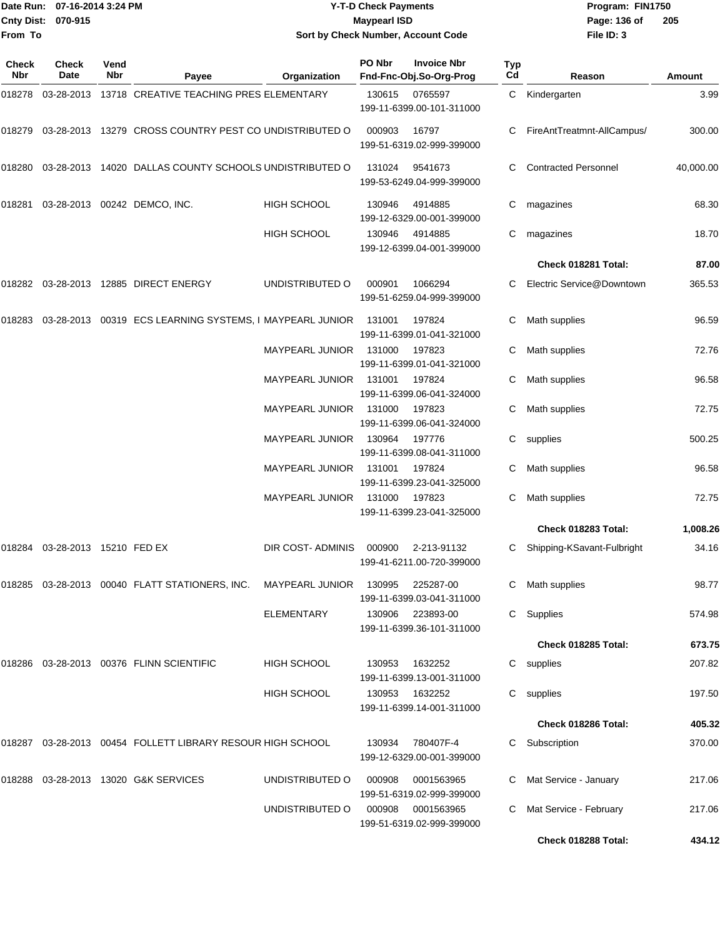|                    | Date Run: 07-16-2014 3:24 PM |
|--------------------|------------------------------|
| Cnty Dist: 070-915 |                              |
| <b>From To</b>     |                              |

# **Date Run: Program: FIN1750 07-16-2014 3:24 PM Y-T-D Check Payments Cnty Dist: Page: 136 of 070-915 Maypearl ISD Sort by Check Number, Account Code**

| Check<br>Nbr | Check<br>Date           | Vend<br>Nbr | Payee                                                                           | Organization             | PO Nbr | <b>Invoice Nbr</b><br>Fnd-Fnc-Obj.So-Org-Prog | <b>Typ</b><br>Cd | Reason                      | Amount    |
|--------------|-------------------------|-------------|---------------------------------------------------------------------------------|--------------------------|--------|-----------------------------------------------|------------------|-----------------------------|-----------|
| 018278       | 03-28-2013              |             | 13718 CREATIVE TEACHING PRES ELEMENTARY                                         |                          | 130615 | 0765597<br>199-11-6399.00-101-311000          |                  | C Kindergarten              | 3.99      |
| 018279       |                         |             | 03-28-2013 13279 CROSS COUNTRY PEST CO UNDISTRIBUTED O                          |                          | 000903 | 16797<br>199-51-6319.02-999-399000            |                  | FireAntTreatmnt-AllCampus/  | 300.00    |
| 018280       |                         |             | 03-28-2013 14020 DALLAS COUNTY SCHOOLS UNDISTRIBUTED O                          |                          | 131024 | 9541673<br>199-53-6249.04-999-399000          | C.               | <b>Contracted Personnel</b> | 40,000.00 |
| 018281       |                         |             | 03-28-2013  00242  DEMCO, INC.                                                  | HIGH SCHOOL              | 130946 | 4914885<br>199-12-6329.00-001-399000          | C                | magazines                   | 68.30     |
|              |                         |             |                                                                                 | <b>HIGH SCHOOL</b>       | 130946 | 4914885<br>199-12-6399.04-001-399000          | С                | magazines                   | 18.70     |
|              |                         |             |                                                                                 |                          |        |                                               |                  | Check 018281 Total:         | 87.00     |
|              |                         |             | 018282 03-28-2013 12885 DIRECT ENERGY                                           | UNDISTRIBUTED O          | 000901 | 1066294<br>199-51-6259.04-999-399000          | C                | Electric Service@Downtown   | 365.53    |
| 018283       |                         |             | 03-28-2013 00319 ECS LEARNING SYSTEMS, I MAYPEARL JUNIOR                        |                          | 131001 | 197824<br>199-11-6399.01-041-321000           | C                | Math supplies               | 96.59     |
|              |                         |             |                                                                                 | MAYPEARL JUNIOR          | 131000 | 197823<br>199-11-6399.01-041-321000           | C                | Math supplies               | 72.76     |
|              |                         |             |                                                                                 | MAYPEARL JUNIOR          | 131001 | 197824<br>199-11-6399.06-041-324000           |                  | Math supplies               | 96.58     |
|              |                         |             |                                                                                 | MAYPEARL JUNIOR          | 131000 | 197823<br>199-11-6399.06-041-324000           | C                | Math supplies               | 72.75     |
|              |                         |             |                                                                                 | <b>MAYPEARL JUNIOR</b>   | 130964 | 197776<br>199-11-6399.08-041-311000           | C.               | supplies                    | 500.25    |
|              |                         |             |                                                                                 | <b>MAYPEARL JUNIOR</b>   | 131001 | 197824<br>199-11-6399.23-041-325000           |                  | Math supplies               | 96.58     |
|              |                         |             |                                                                                 | <b>MAYPEARL JUNIOR</b>   | 131000 | 197823<br>199-11-6399.23-041-325000           | C                | Math supplies               | 72.75     |
|              |                         |             |                                                                                 |                          |        |                                               |                  | Check 018283 Total:         | 1,008.26  |
| 018284       | 03-28-2013 15210 FED EX |             |                                                                                 | <b>DIR COST- ADMINIS</b> | 000900 | 2-213-91132<br>199-41-6211.00-720-399000      | C.               | Shipping-KSavant-Fulbright  | 34.16     |
|              |                         |             | 018285 03-28-2013 00040 FLATT STATIONERS, INC. MAYPEARL JUNIOR 130995 225287-00 |                          |        | 199-11-6399.03-041-311000                     |                  | C Math supplies             | 98.77     |
|              |                         |             |                                                                                 | ELEMENTARY               |        | 130906 223893-00<br>199-11-6399.36-101-311000 |                  | C Supplies                  | 574.98    |
|              |                         |             |                                                                                 |                          |        |                                               |                  | Check 018285 Total:         | 673.75    |
|              |                         |             | 018286 03-28-2013 00376 FLINN SCIENTIFIC                                        | HIGH SCHOOL              | 130953 | 1632252<br>199-11-6399.13-001-311000          |                  | C supplies                  | 207.82    |
|              |                         |             |                                                                                 | <b>HIGH SCHOOL</b>       | 130953 | 1632252<br>199-11-6399.14-001-311000          |                  | C supplies                  | 197.50    |
|              |                         |             |                                                                                 |                          |        |                                               |                  | Check 018286 Total:         | 405.32    |
|              |                         |             | 018287 03-28-2013 00454 FOLLETT LIBRARY RESOUR HIGH SCHOOL                      |                          | 130934 | 780407F-4<br>199-12-6329.00-001-399000        |                  | C Subscription              | 370.00    |
|              |                         |             | 018288 03-28-2013 13020 G&K SERVICES                                            | UNDISTRIBUTED O          | 000908 | 0001563965<br>199-51-6319.02-999-399000       |                  | Mat Service - January       | 217.06    |
|              |                         |             |                                                                                 | UNDISTRIBUTED O          | 000908 | 0001563965<br>199-51-6319.02-999-399000       |                  | Mat Service - February      | 217.06    |
|              |                         |             |                                                                                 |                          |        |                                               |                  | Check 018288 Total:         | 434.12    |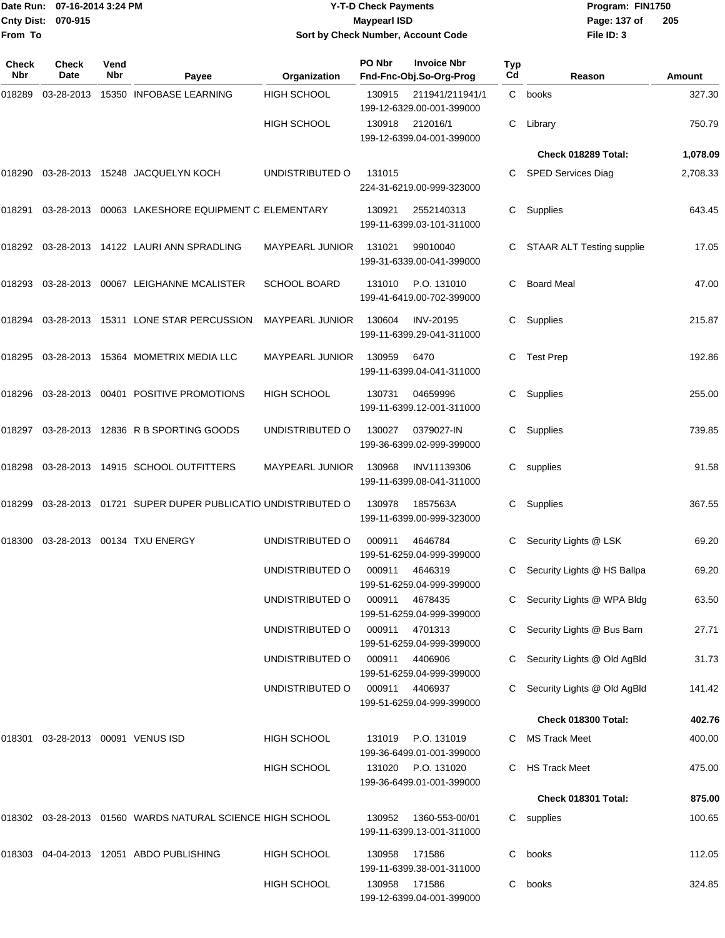#### Date Run: 07-16-2014 3:24 PM **Program:** FIN1750 **Cnty Dist:** 070-915 **Page: 137 of** Maypearl ISD **CONTEX 150 Page: 137 of Y-T-D Check Payments 070-915 Maypearl ISD Sort by Check Number, Account Code**

| <b>Check</b><br>Nbr | Check<br>Date                     | Vend<br><b>Nbr</b> | Payee                                                     | Organization           | PO Nbr | <b>Invoice Nbr</b><br>Fnd-Fnc-Obj.So-Org-Prog   | Typ<br>Cd | Reason                           | Amount   |
|---------------------|-----------------------------------|--------------------|-----------------------------------------------------------|------------------------|--------|-------------------------------------------------|-----------|----------------------------------|----------|
| 018289              | 03-28-2013                        |                    | 15350 INFOBASE LEARNING                                   | HIGH SCHOOL            | 130915 | 211941/211941/1<br>199-12-6329.00-001-399000    |           | C books                          | 327.30   |
|                     |                                   |                    |                                                           | <b>HIGH SCHOOL</b>     |        | 130918 212016/1<br>199-12-6399.04-001-399000    | C.        | Library                          | 750.79   |
|                     |                                   |                    |                                                           |                        |        |                                                 |           | Check 018289 Total:              | 1,078.09 |
| 018290              |                                   |                    | 03-28-2013 15248 JACQUELYN KOCH                           | UNDISTRIBUTED O        | 131015 | 224-31-6219.00-999-323000                       | C.        | SPED Services Diag               | 2,708.33 |
| 018291              |                                   |                    | 03-28-2013 00063 LAKESHORE EQUIPMENT C ELEMENTARY         |                        | 130921 | 2552140313<br>199-11-6399.03-101-311000         | С         | Supplies                         | 643.45   |
| 018292              |                                   |                    | 03-28-2013 14122 LAURI ANN SPRADLING                      | MAYPEARL JUNIOR        | 131021 | 99010040<br>199-31-6339.00-041-399000           |           | <b>STAAR ALT Testing supplie</b> | 17.05    |
| 018293              |                                   |                    | 03-28-2013 00067 LEIGHANNE MCALISTER                      | <b>SCHOOL BOARD</b>    | 131010 | P.O. 131010<br>199-41-6419.00-702-399000        | С         | <b>Board Meal</b>                | 47.00    |
| 018294              |                                   |                    | 03-28-2013 15311 LONE STAR PERCUSSION                     | <b>MAYPEARL JUNIOR</b> | 130604 | <b>INV-20195</b><br>199-11-6399.29-041-311000   | С         | Supplies                         | 215.87   |
| 018295              |                                   |                    | 03-28-2013 15364 MOMETRIX MEDIA LLC                       | MAYPEARL JUNIOR        | 130959 | 6470<br>199-11-6399.04-041-311000               | С         | <b>Test Prep</b>                 | 192.86   |
| 018296              |                                   |                    | 03-28-2013 00401 POSITIVE PROMOTIONS                      | <b>HIGH SCHOOL</b>     | 130731 | 04659996<br>199-11-6399.12-001-311000           | С         | Supplies                         | 255.00   |
| 018297              |                                   |                    | 03-28-2013 12836 R B SPORTING GOODS                       | UNDISTRIBUTED O        | 130027 | 0379027-IN<br>199-36-6399.02-999-399000         | С         | Supplies                         | 739.85   |
| 018298              |                                   |                    | 03-28-2013 14915 SCHOOL OUTFITTERS                        | MAYPEARL JUNIOR        | 130968 | INV11139306<br>199-11-6399.08-041-311000        | C         | supplies                         | 91.58    |
| 018299              |                                   |                    | 03-28-2013 01721 SUPER DUPER PUBLICATIO UNDISTRIBUTED O   |                        | 130978 | 1857563A<br>199-11-6399.00-999-323000           | С         | Supplies                         | 367.55   |
| 018300              |                                   |                    | 03-28-2013 00134 TXU ENERGY                               | UNDISTRIBUTED O        | 000911 | 4646784<br>199-51-6259.04-999-399000            | С         | Security Lights @ LSK            | 69.20    |
|                     |                                   |                    |                                                           | UNDISTRIBUTED O        | 000911 | 4646319<br>199-51-6259.04-999-399000            | C         | Security Lights @ HS Ballpa      | 69.20    |
|                     |                                   |                    |                                                           | UNDISTRIBUTED O        |        | 000911 4678435<br>199-51-6259.04-999-399000     |           | C Security Lights @ WPA Bldg     | 63.50    |
|                     |                                   |                    |                                                           | UNDISTRIBUTED O        |        | 000911 4701313<br>199-51-6259.04-999-399000     |           | Security Lights @ Bus Barn       | 27.71    |
|                     |                                   |                    |                                                           | UNDISTRIBUTED O        | 000911 | 4406906<br>199-51-6259.04-999-399000            |           | C Security Lights @ Old AgBld    | 31.73    |
|                     |                                   |                    |                                                           | UNDISTRIBUTED O        |        | 000911 4406937<br>199-51-6259.04-999-399000     |           | C Security Lights @ Old AgBld    | 141.42   |
|                     |                                   |                    |                                                           |                        |        |                                                 |           | Check 018300 Total:              | 402.76   |
|                     | 018301 03-28-2013 00091 VENUS ISD |                    |                                                           | HIGH SCHOOL            | 131019 | P.O. 131019<br>199-36-6499.01-001-399000        |           | C MS Track Meet                  | 400.00   |
|                     |                                   |                    |                                                           | <b>HIGH SCHOOL</b>     |        | 131020 P.O. 131020<br>199-36-6499.01-001-399000 |           | <b>HS Track Meet</b>             | 475.00   |
|                     |                                   |                    |                                                           |                        |        |                                                 |           | Check 018301 Total:              | 875.00   |
|                     |                                   |                    | 018302 03-28-2013 01560 WARDS NATURAL SCIENCE HIGH SCHOOL |                        | 130952 | 1360-553-00/01<br>199-11-6399.13-001-311000     | C         | supplies                         | 100.65   |
|                     |                                   |                    | 018303 04-04-2013 12051 ABDO PUBLISHING                   | HIGH SCHOOL            | 130958 | 171586<br>199-11-6399.38-001-311000             | С         | books                            | 112.05   |
|                     |                                   |                    |                                                           | HIGH SCHOOL            |        | 130958 171586<br>199-12-6399.04-001-399000      | C         | books                            | 324.85   |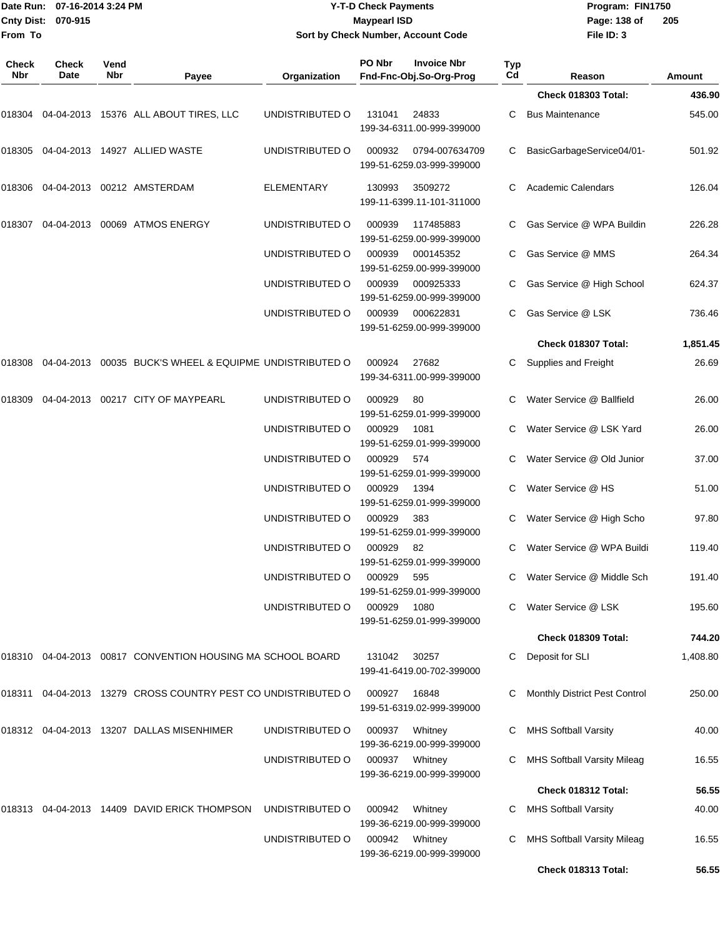|                     | Date Run: 07-16-2014 3:24 PM |             |                                                                                                |                   | <b>Y-T-D Check Payments</b> | Program: FIN1750                              |           |                                    |               |
|---------------------|------------------------------|-------------|------------------------------------------------------------------------------------------------|-------------------|-----------------------------|-----------------------------------------------|-----------|------------------------------------|---------------|
| From To             | Cnty Dist: 070-915           |             |                                                                                                |                   | <b>Maypearl ISD</b>         | Sort by Check Number, Account Code            |           | Page: 138 of<br>File ID: 3         | 205           |
|                     |                              |             |                                                                                                |                   |                             |                                               |           |                                    |               |
| <b>Check</b><br>Nbr | <b>Check</b><br>Date         | Vend<br>Nbr | Payee                                                                                          | Organization      | PO Nbr                      | <b>Invoice Nbr</b><br>Fnd-Fnc-Obj.So-Org-Prog | Typ<br>Cd | Reason                             | <b>Amount</b> |
|                     |                              |             |                                                                                                |                   |                             |                                               |           | Check 018303 Total:                | 436.90        |
|                     |                              |             | 018304  04-04-2013  15376  ALL ABOUT TIRES, LLC                                                | UNDISTRIBUTED O   | 131041                      | 24833<br>199-34-6311.00-999-399000            | C         | <b>Bus Maintenance</b>             | 545.00        |
|                     |                              |             |                                                                                                | UNDISTRIBUTED O   | 000932                      | 0794-007634709<br>199-51-6259.03-999-399000   |           | BasicGarbageService04/01-          | 501.92        |
|                     |                              |             | 018306    04-04-2013    00212   AMSTERDAM                                                      | <b>ELEMENTARY</b> | 130993                      | 3509272<br>199-11-6399.11-101-311000          |           | <b>Academic Calendars</b>          | 126.04        |
|                     |                              |             |                                                                                                | UNDISTRIBUTED O   | 000939                      | 117485883<br>199-51-6259.00-999-399000        |           | Gas Service @ WPA Buildin          | 226.28        |
|                     |                              |             |                                                                                                | UNDISTRIBUTED O   | 000939                      | 000145352<br>199-51-6259.00-999-399000        |           | Gas Service @ MMS                  | 264.34        |
|                     |                              |             |                                                                                                | UNDISTRIBUTED O   | 000939                      | 000925333<br>199-51-6259.00-999-399000        |           | Gas Service @ High School          | 624.37        |
|                     |                              |             |                                                                                                | UNDISTRIBUTED O   | 000939                      | 000622831<br>199-51-6259.00-999-399000        | C.        | Gas Service @ LSK                  | 736.46        |
|                     |                              |             |                                                                                                |                   |                             |                                               |           | Check 018307 Total:                | 1,851.45      |
|                     |                              |             | 018308  04-04-2013  00035  BUCK'S WHEEL & EQUIPME                              UNDISTRIBUTED O |                   | 000924                      | 27682<br>199-34-6311.00-999-399000            |           | Supplies and Freight               | 26.69         |
| 018309              |                              |             | 04-04-2013 00217 CITY OF MAYPEARL                                                              | UNDISTRIBUTED O   | 000929                      | 80<br>199-51-6259.01-999-399000               |           | Water Service @ Ballfield          | 26.00         |
|                     |                              |             |                                                                                                | UNDISTRIBUTED O   | 000929                      | 1081<br>199-51-6259.01-999-399000             |           | Water Service @ LSK Yard           | 26.00         |
|                     |                              |             |                                                                                                | UNDISTRIBUTED O   | 000929                      | 574<br>199-51-6259.01-999-399000              | C         | Water Service @ Old Junior         | 37.00         |
|                     |                              |             |                                                                                                | UNDISTRIBUTED O   | 000929                      | 1394<br>199-51-6259.01-999-399000             |           | Water Service @ HS                 | 51.00         |
|                     |                              |             |                                                                                                | UNDISTRIBUTED O   | 000929                      | 383<br>199-51-6259.01-999-399000              |           | C Water Service @ High Scho        | 97.80         |
|                     |                              |             |                                                                                                | UNDISTRIBUTED O   | 000929                      | - 82<br>199-51-6259.01-999-399000             |           | C Water Service @ WPA Buildi       | 119.40        |
|                     |                              |             |                                                                                                | UNDISTRIBUTED O   | 000929                      | 595<br>199-51-6259.01-999-399000              |           | Water Service @ Middle Sch         | 191.40        |
|                     |                              |             |                                                                                                | UNDISTRIBUTED O   | 000929                      | 1080<br>199-51-6259.01-999-399000             |           | Water Service @ LSK                | 195.60        |
|                     |                              |             |                                                                                                |                   |                             |                                               |           | Check 018309 Total:                | 744.20        |
|                     |                              |             | 018310  04-04-2013  00817  CONVENTION HOUSING MA SCHOOL BOARD                                  |                   | 131042                      | 30257<br>199-41-6419.00-702-399000            |           | Deposit for SLI                    | 1,408.80      |
|                     |                              |             | 018311  04-04-2013  13279  CROSS COUNTRY PEST CO UNDISTRIBUTED O                               |                   | 000927                      | 16848<br>199-51-6319.02-999-399000            | C         | Monthly District Pest Control      | 250.00        |
|                     |                              |             |                                                                                                | UNDISTRIBUTED O   | 000937                      | Whitney<br>199-36-6219.00-999-399000          |           | <b>MHS Softball Varsity</b>        | 40.00         |
|                     |                              |             |                                                                                                | UNDISTRIBUTED O   | 000937 Whitney              | 199-36-6219.00-999-399000                     | C         | <b>MHS Softball Varsity Mileag</b> | 16.55         |
|                     |                              |             |                                                                                                |                   |                             |                                               |           | Check 018312 Total:                | 56.55         |
|                     |                              |             |                                                                                                | UNDISTRIBUTED O   | 000942                      | Whitney<br>199-36-6219.00-999-399000          | C         | <b>MHS Softball Varsity</b>        | 40.00         |
|                     |                              |             |                                                                                                | UNDISTRIBUTED O   | 000942                      | Whitney<br>199-36-6219.00-999-399000          | C         | MHS Softball Varsity Mileag        | 16.55         |
|                     |                              |             |                                                                                                |                   |                             |                                               |           | Check 018313 Total:                | 56.55         |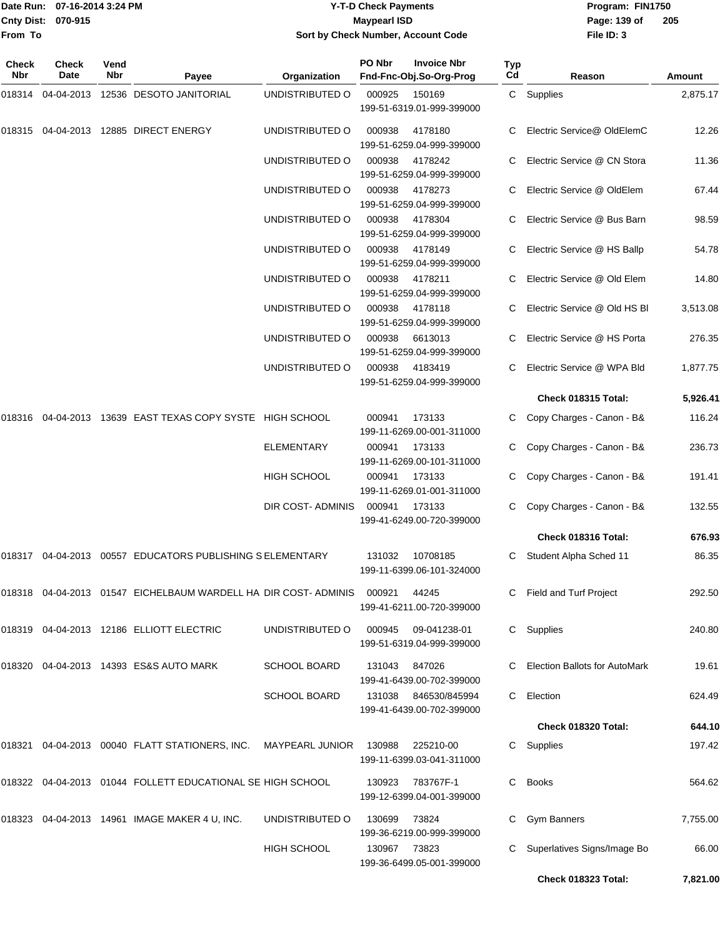| Date Run:           | 07-16-2014 3:24 PM   |             |                         |                                    | <b>Y-T-D Check Payments</b> |                                               |            | Program: FIN1750           |               |
|---------------------|----------------------|-------------|-------------------------|------------------------------------|-----------------------------|-----------------------------------------------|------------|----------------------------|---------------|
| <b>Cnty Dist:</b>   | 070-915              |             |                         | Maypearl ISD                       |                             |                                               |            |                            | 205           |
| lFrom To            |                      |             |                         | Sort by Check Number, Account Code |                             |                                               | File ID: 3 |                            |               |
| <b>Check</b><br>Nbr | <b>Check</b><br>Date | Vend<br>Nbr | Pavee                   | <b>Organization</b>                | PO Nbr                      | <b>Invoice Nbr</b><br>Fnd-Fnc-Obj.So-Org-Prog | Typ<br>Cd  | Reason                     | <b>Amount</b> |
| 018314              | 04-04-2013           |             | 12536 DESOTO JANITORIAL | UNDISTRIBUTED O                    | 000925                      | 150169<br>199-51-6319.01-999-399000           | C.         | Supplies                   | 2,875.17      |
| 018315              | 04-04-2013           | 12885       | DIRECT ENERGY           | UNDISTRIBUTED O                    | 000938                      | 4178180                                       | C.         | Electric Service@ OldElemC | 12.26         |

|  | 018315  04-04-2013  12885  DIRECT ENERGY                                   | UNDISTRIBUTED O     | 000938        | 4178180<br>199-51-6259.04-999-399000       |    | C Electric Service@ OldElemC    | 12.26    |
|--|----------------------------------------------------------------------------|---------------------|---------------|--------------------------------------------|----|---------------------------------|----------|
|  |                                                                            | UNDISTRIBUTED O     | 000938        | 4178242<br>199-51-6259.04-999-399000       |    | C Electric Service @ CN Stora   | 11.36    |
|  |                                                                            | UNDISTRIBUTED O     | 000938        | 4178273<br>199-51-6259.04-999-399000       |    | C Electric Service @ OldElem    | 67.44    |
|  |                                                                            | UNDISTRIBUTED O     | 000938        | 4178304<br>199-51-6259.04-999-399000       |    | C Electric Service @ Bus Barn   | 98.59    |
|  |                                                                            | UNDISTRIBUTED O     | 000938        | 4178149<br>199-51-6259.04-999-399000       |    | C Electric Service @ HS Ballp   | 54.78    |
|  |                                                                            | UNDISTRIBUTED O     | 000938        | 4178211<br>199-51-6259.04-999-399000       |    | C Electric Service @ Old Elem   | 14.80    |
|  |                                                                            | UNDISTRIBUTED O     | 000938        | 4178118<br>199-51-6259.04-999-399000       |    | C Electric Service @ Old HS BI  | 3,513.08 |
|  |                                                                            | UNDISTRIBUTED O     | 000938        | 6613013<br>199-51-6259.04-999-399000       |    | C Electric Service @ HS Porta   | 276.35   |
|  |                                                                            | UNDISTRIBUTED O     | 000938        | 4183419<br>199-51-6259.04-999-399000       |    | C Electric Service @ WPA Bld    | 1,877.75 |
|  |                                                                            |                     |               |                                            |    | Check 018315 Total:             | 5,926.41 |
|  | 018316  04-04-2013  13639  EAST TEXAS COPY SYSTE  HIGH SCHOOL              |                     | 000941        | 173133<br>199-11-6269.00-001-311000        |    | C Copy Charges - Canon - B&     | 116.24   |
|  |                                                                            | <b>ELEMENTARY</b>   | 000941        | 173133<br>199-11-6269.00-101-311000        |    | C Copy Charges - Canon - B&     | 236.73   |
|  |                                                                            | HIGH SCHOOL         | 000941        | 173133<br>199-11-6269.01-001-311000        |    | C Copy Charges - Canon - B&     | 191.41   |
|  |                                                                            | DIR COST-ADMINIS    | 000941 173133 | 199-41-6249.00-720-399000                  |    | C Copy Charges - Canon - B&     | 132.55   |
|  |                                                                            |                     |               |                                            |    | Check 018316 Total:             | 676.93   |
|  | 018317  04-04-2013  00557  EDUCATORS PUBLISHING S ELEMENTARY               |                     | 131032        | 10708185<br>199-11-6399.06-101-324000      |    | C Student Alpha Sched 11        | 86.35    |
|  | 018318  04-04-2013  01547  EICHELBAUM WARDELL HA  DIR COST- ADMINIS        |                     | 000921        | 44245<br>199-41-6211.00-720-399000         |    | C Field and Turf Project        | 292.50   |
|  |                                                                            | UNDISTRIBUTED O     | 000945        | 09-041238-01<br>199-51-6319.04-999-399000  |    | C Supplies                      | 240.80   |
|  | 018320 04-04-2013 14393   ES&S AUTO MARK                                   | <b>SCHOOL BOARD</b> | 131043        | 847026<br>199-41-6439.00-702-399000        |    | C Election Ballots for AutoMark | 19.61    |
|  |                                                                            | <b>SCHOOL BOARD</b> | 131038        | 846530/845994<br>199-41-6439.00-702-399000 |    | C Election                      | 624.49   |
|  |                                                                            |                     |               |                                            |    | Check 018320 Total:             | 644.10   |
|  | 018321    04-04-2013    00040    FLATT STATIONERS, INC.    MAYPEARL JUNIOR |                     | 130988        | 225210-00<br>199-11-6399.03-041-311000     |    | C Supplies                      | 197.42   |
|  | 018322 04-04-2013 01044 FOLLETT EDUCATIONAL SE HIGH SCHOOL                 |                     | 130923        | 783767F-1<br>199-12-6399.04-001-399000     | C. | <b>Books</b>                    | 564.62   |
|  | 018323  04-04-2013  14961  IMAGE MAKER 4 U, INC.                           | UNDISTRIBUTED O     | 130699        | 73824<br>199-36-6219.00-999-399000         |    | C Gym Banners                   | 7,755.00 |
|  |                                                                            | HIGH SCHOOL         | 130967        | 73823                                      |    | C Superlatives Signs/Image Bo   | 66.00    |

199-36-6499.05-001-399000

**Check 018323 Total: 7,821.00**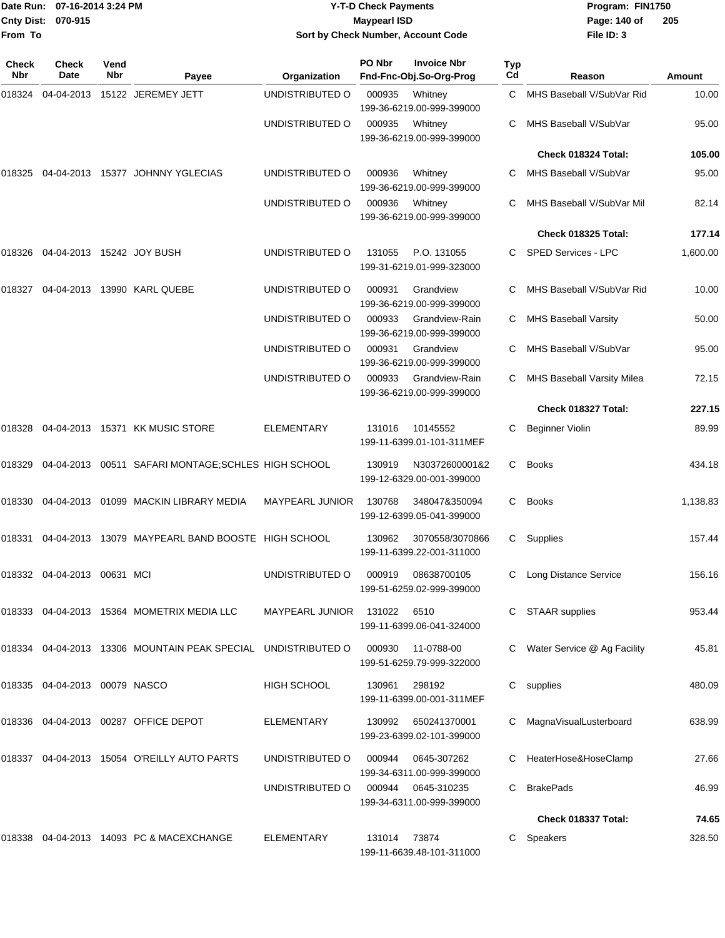| From To      | Date Run: 07-16-2014 3:24 PM<br>Cnty Dist: 070-915 |             |                                                               | Sort by Check Number, Account Code | <b>Y-T-D Check Payments</b><br><b>Maypearl ISD</b> | Program: FIN1750<br>Page: 140 of<br>File ID: 3                    | 205       |                               |          |
|--------------|----------------------------------------------------|-------------|---------------------------------------------------------------|------------------------------------|----------------------------------------------------|-------------------------------------------------------------------|-----------|-------------------------------|----------|
| Check<br>Nbr | Check<br>Date                                      | Vend<br>Nbr | Payee                                                         | Organization                       | PO Nbr                                             | <b>Invoice Nbr</b><br>Fnd-Fnc-Obj.So-Org-Prog                     | Typ<br>Cd | Reason                        | Amount   |
| 018324       | 04-04-2013                                         |             | 15122 JEREMEY JETT                                            | UNDISTRIBUTED O                    | 000935                                             | Whitney                                                           | C.        | MHS Baseball V/SubVar Rid     | 10.00    |
|              |                                                    |             |                                                               | UNDISTRIBUTED O                    | 000935                                             | 199-36-6219.00-999-399000<br>Whitney<br>199-36-6219.00-999-399000 | С         | MHS Baseball V/SubVar         | 95.00    |
|              |                                                    |             |                                                               |                                    |                                                    |                                                                   |           | Check 018324 Total:           | 105.00   |
| 018325       |                                                    |             | 04-04-2013 15377 JOHNNY YGLECIAS                              | UNDISTRIBUTED O                    | 000936                                             | Whitney<br>199-36-6219.00-999-399000                              | С         | MHS Baseball V/SubVar         | 95.00    |
|              |                                                    |             |                                                               | UNDISTRIBUTED O                    | 000936                                             | Whitney<br>199-36-6219.00-999-399000                              |           | MHS Baseball V/SubVar Mil     | 82.14    |
|              |                                                    |             |                                                               |                                    |                                                    |                                                                   |           | Check 018325 Total:           | 177.14   |
| 018326       | 04-04-2013 15242 JOY BUSH                          |             |                                                               | UNDISTRIBUTED O                    | 131055                                             | P.O. 131055<br>199-31-6219.01-999-323000                          |           | SPED Services - LPC           | 1,600.00 |
| 018327       | 04-04-2013                                         |             | 13990 KARL QUEBE                                              | UNDISTRIBUTED O                    | 000931                                             | Grandview<br>199-36-6219.00-999-399000                            | С         | MHS Baseball V/SubVar Rid     | 10.00    |
|              |                                                    |             |                                                               | UNDISTRIBUTED O                    | 000933                                             | Grandview-Rain<br>199-36-6219.00-999-399000                       | С         | <b>MHS Baseball Varsity</b>   | 50.00    |
|              |                                                    |             |                                                               | UNDISTRIBUTED O                    | 000931                                             | Grandview<br>199-36-6219.00-999-399000                            |           | MHS Baseball V/SubVar         | 95.00    |
|              |                                                    |             |                                                               | UNDISTRIBUTED O                    | 000933                                             | Grandview-Rain<br>199-36-6219.00-999-399000                       |           | MHS Baseball Varsity Milea    | 72.15    |
|              |                                                    |             |                                                               |                                    |                                                    |                                                                   |           | Check 018327 Total:           | 227.15   |
| 018328       |                                                    |             | 04-04-2013 15371 KK MUSIC STORE                               | <b>ELEMENTARY</b>                  | 131016                                             | 10145552<br>199-11-6399.01-101-311MEF                             | С         | <b>Beginner Violin</b>        | 89.99    |
| 018329       |                                                    |             | 04-04-2013 00511 SAFARI MONTAGE; SCHLES HIGH SCHOOL           |                                    | 130919                                             | N30372600001&2<br>199-12-6329.00-001-399000                       | С         | <b>Books</b>                  | 434.18   |
| 018330       |                                                    |             | 04-04-2013 01099 MACKIN LIBRARY MEDIA                         | <b>MAYPEARL JUNIOR</b>             | 130768                                             | 348047&350094<br>199-12-6399.05-041-399000                        | С         | <b>Books</b>                  | 1,138.83 |
|              |                                                    |             | 018331 04-04-2013 13079 MAYPEARL BAND BOOSTE HIGH SCHOOL      |                                    | 130962                                             | 3070558/3070866<br>199-11-6399.22-001-311000                      |           | C Supplies                    | 157.44   |
|              | 018332 04-04-2013 00631 MCI                        |             |                                                               | UNDISTRIBUTED O                    | 000919                                             | 08638700105<br>199-51-6259.02-999-399000                          |           | C Long Distance Service       | 156.16   |
|              |                                                    |             | 018333 04-04-2013 15364 MOMETRIX MEDIA LLC                    | <b>MAYPEARL JUNIOR</b>             | 131022                                             | 6510<br>199-11-6399.06-041-324000                                 |           | C STAAR supplies              | 953.44   |
|              |                                                    |             | 018334 04-04-2013 13306 MOUNTAIN PEAK SPECIAL UNDISTRIBUTED O |                                    | 000930                                             | 11-0788-00<br>199-51-6259.79-999-322000                           |           | C Water Service @ Ag Facility | 45.81    |
|              | 018335 04-04-2013 00079 NASCO                      |             |                                                               | <b>HIGH SCHOOL</b>                 | 130961                                             | 298192<br>199-11-6399.00-001-311MEF                               |           | C supplies                    | 480.09   |
|              |                                                    |             | 018336 04-04-2013 00287 OFFICE DEPOT                          | ELEMENTARY                         | 130992                                             | 650241370001<br>199-23-6399.02-101-399000                         |           | C MagnaVisualLusterboard      | 638.99   |
|              |                                                    |             | 018337 04-04-2013 15054 O'REILLY AUTO PARTS                   | UNDISTRIBUTED O                    | 000944                                             | 0645-307262<br>199-34-6311.00-999-399000                          |           | C HeaterHose&HoseClamp        | 27.66    |
|              |                                                    |             |                                                               | UNDISTRIBUTED O                    | 000944                                             | 0645-310235<br>199-34-6311.00-999-399000                          | С         | <b>BrakePads</b>              | 46.99    |
|              |                                                    |             |                                                               |                                    |                                                    |                                                                   |           | Check 018337 Total:           | 74.65    |
|              |                                                    |             | 018338 04-04-2013 14093 PC & MACEXCHANGE                      | <b>ELEMENTARY</b>                  | 131014                                             | 73874<br>199-11-6639.48-101-311000                                |           | C Speakers                    | 328.50   |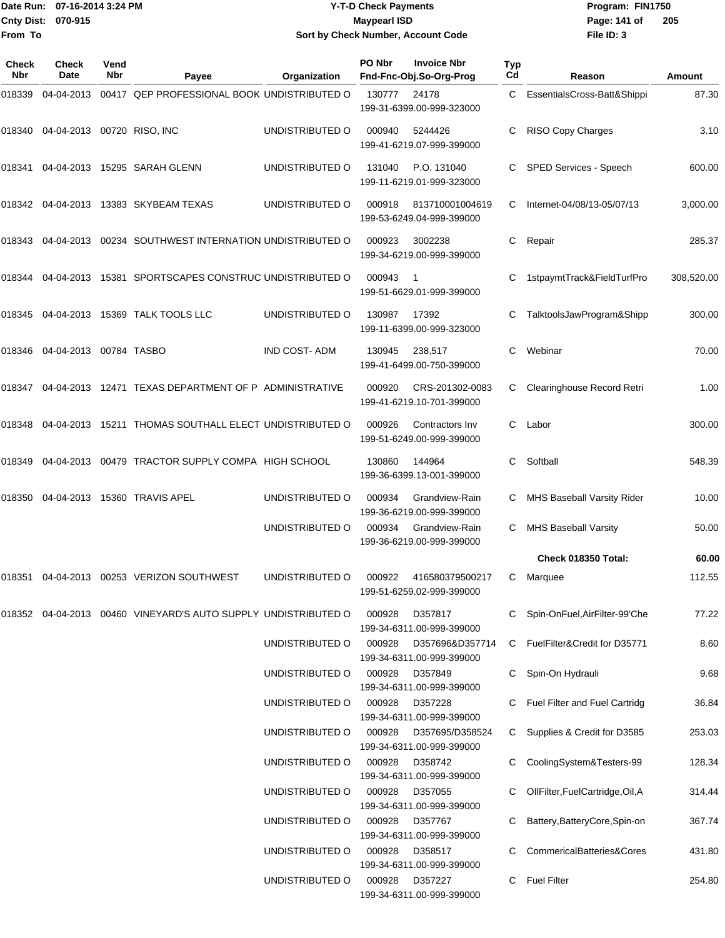|                           | Date Run: 07-16-2014 3:24 PM | <b>Y-T-D Check Payments</b>        | Program: Fl  |
|---------------------------|------------------------------|------------------------------------|--------------|
| <b>Cnty Dist: 070-915</b> |                              | Maypearl ISD                       | Page: 141 of |
| From To                   |                              | Sort by Check Number, Account Code | File ID: 3   |

# **0** Payments **Sort by Check Number, Account Code**

**Date Run: Program: FIN1750 File ID: 3 205**

| Check<br><b>Nbr</b> | <b>Check</b><br>Date              | Vend<br>Nbr | Payee                                                             | Organization        | PO Nbr | <b>Invoice Nbr</b><br>Fnd-Fnc-Obj.So-Org-Prog | Typ<br>Cd | Reason                           | Amount     |
|---------------------|-----------------------------------|-------------|-------------------------------------------------------------------|---------------------|--------|-----------------------------------------------|-----------|----------------------------------|------------|
| 018339              | 04-04-2013                        |             | 00417 QEP PROFESSIONAL BOOK UNDISTRIBUTED O                       |                     | 130777 | 24178<br>199-31-6399.00-999-323000            | C         | EssentialsCross-Batt&Shippi      | 87.30      |
|                     | 018340 04-04-2013 00720 RISO, INC |             |                                                                   | UNDISTRIBUTED O     | 000940 | 5244426<br>199-41-6219.07-999-399000          | С         | RISO Copy Charges                | 3.10       |
| 018341              | 04-04-2013                        |             | 15295 SARAH GLENN                                                 | UNDISTRIBUTED O     | 131040 | P.O. 131040<br>199-11-6219.01-999-323000      | C         | SPED Services - Speech           | 600.00     |
|                     |                                   |             | 018342 04-04-2013 13383 SKYBEAM TEXAS                             | UNDISTRIBUTED O     | 000918 | 813710001004619<br>199-53-6249.04-999-399000  | C         | Internet-04/08/13-05/07/13       | 3,000.00   |
| 018343              |                                   |             | 04-04-2013  00234  SOUTHWEST INTERNATION UNDISTRIBUTED O          |                     | 000923 | 3002238<br>199-34-6219.00-999-399000          | С         | Repair                           | 285.37     |
| 018344              | 04-04-2013                        |             | 15381 SPORTSCAPES CONSTRUC UNDISTRIBUTED O                        |                     | 000943 | -1<br>199-51-6629.01-999-399000               | С         | 1stpaymtTrack&FieldTurfPro       | 308,520.00 |
| 018345              |                                   |             | 04-04-2013 15369 TALK TOOLS LLC                                   | UNDISTRIBUTED O     | 130987 | 17392<br>199-11-6399.00-999-323000            | C         | TalktoolsJawProgram&Shipp        | 300.00     |
| 018346              | 04-04-2013 00784 TASBO            |             |                                                                   | <b>IND COST-ADM</b> | 130945 | 238,517<br>199-41-6499.00-750-399000          | С         | Webinar                          | 70.00      |
| 018347              |                                   |             | 04-04-2013 12471 TEXAS DEPARTMENT OF P ADMINISTRATIVE             |                     | 000920 | CRS-201302-0083<br>199-41-6219.10-701-399000  | С         | Clearinghouse Record Retri       | 1.00       |
| 018348              |                                   |             | 04-04-2013 15211 THOMAS SOUTHALL ELECT UNDISTRIBUTED O            |                     | 000926 | Contractors Inv<br>199-51-6249.00-999-399000  | C         | Labor                            | 300.00     |
| 018349              |                                   |             | 04-04-2013 00479 TRACTOR SUPPLY COMPA HIGH SCHOOL                 |                     | 130860 | 144964<br>199-36-6399.13-001-399000           | С         | Softball                         | 548.39     |
| 018350              | 04-04-2013                        |             | 15360 TRAVIS APEL                                                 | UNDISTRIBUTED O     | 000934 | Grandview-Rain<br>199-36-6219.00-999-399000   | С         | MHS Baseball Varsity Rider       | 10.00      |
|                     |                                   |             |                                                                   | UNDISTRIBUTED O     | 000934 | Grandview-Rain<br>199-36-6219.00-999-399000   | C         | <b>MHS Baseball Varsity</b>      | 50.00      |
|                     |                                   |             |                                                                   |                     |        |                                               |           | Check 018350 Total:              | 60.00      |
| 018351              |                                   |             | 04-04-2013  00253  VERIZON SOUTHWEST                              | UNDISTRIBUTED O     | 000922 | 416580379500217<br>199-51-6259.02-999-399000  | С         | Marquee                          | 112.55     |
|                     |                                   |             | 018352  04-04-2013  00460  VINEYARD'S AUTO SUPPLY UNDISTRIBUTED O |                     | 000928 | D357817<br>199-34-6311.00-999-399000          | C         | Spin-OnFuel, AirFilter-99'Che    | 77.22      |
|                     |                                   |             |                                                                   | UNDISTRIBUTED O     | 000928 | D357696&D357714<br>199-34-6311.00-999-399000  | C         | FuelFilter&Credit for D35771     | 8.60       |
|                     |                                   |             |                                                                   | UNDISTRIBUTED O     | 000928 | D357849<br>199-34-6311.00-999-399000          | C         | Spin-On Hydrauli                 | 9.68       |
|                     |                                   |             |                                                                   | UNDISTRIBUTED O     | 000928 | D357228<br>199-34-6311.00-999-399000          |           | Fuel Filter and Fuel Cartridg    | 36.84      |
|                     |                                   |             |                                                                   | UNDISTRIBUTED O     | 000928 | D357695/D358524<br>199-34-6311.00-999-399000  | C         | Supplies & Credit for D3585      | 253.03     |
|                     |                                   |             |                                                                   | UNDISTRIBUTED O     | 000928 | D358742<br>199-34-6311.00-999-399000          | C         | CoolingSystem&Testers-99         | 128.34     |
|                     |                                   |             |                                                                   | UNDISTRIBUTED O     | 000928 | D357055<br>199-34-6311.00-999-399000          |           | OllFilter, FuelCartridge, Oil, A | 314.44     |
|                     |                                   |             |                                                                   | UNDISTRIBUTED O     | 000928 | D357767<br>199-34-6311.00-999-399000          | С         | Battery, Battery Core, Spin-on   | 367.74     |
|                     |                                   |             |                                                                   | UNDISTRIBUTED O     | 000928 | D358517<br>199-34-6311.00-999-399000          |           | CommericalBatteries&Cores        | 431.80     |
|                     |                                   |             |                                                                   | UNDISTRIBUTED O     | 000928 | D357227<br>199-34-6311.00-999-399000          | C         | <b>Fuel Filter</b>               | 254.80     |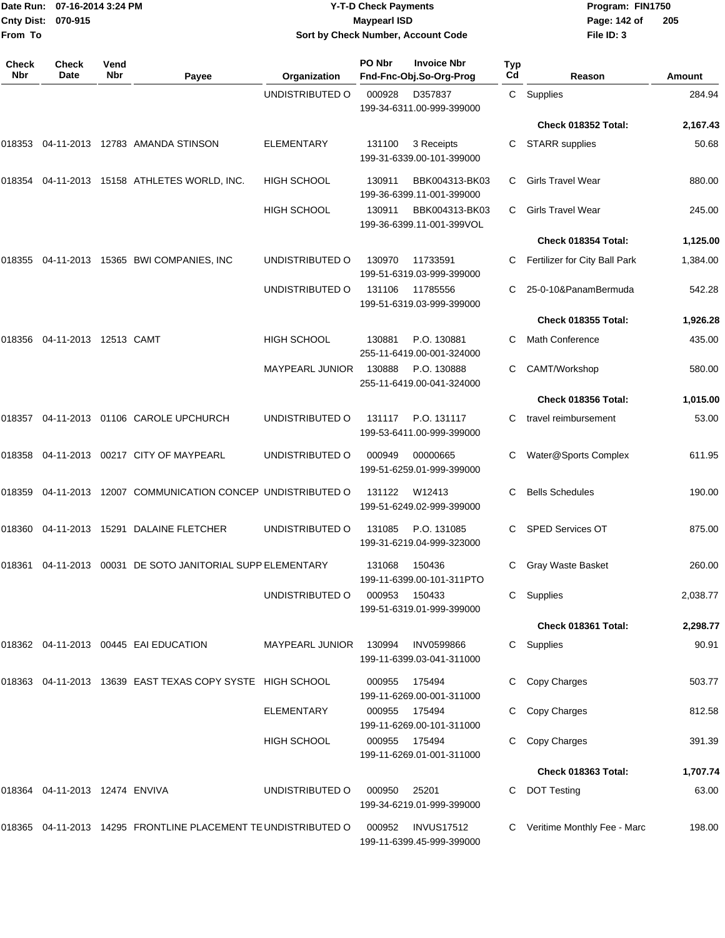|                            | Date Run: 07-16-2014 3:24 PM   |                    |                                                                | <b>Y-T-D Check Payments</b> | Program: FIN1750    |                                                |           |                               |          |  |
|----------------------------|--------------------------------|--------------------|----------------------------------------------------------------|-----------------------------|---------------------|------------------------------------------------|-----------|-------------------------------|----------|--|
| <b>Cnty Dist:</b>          | 070-915                        |                    |                                                                |                             | <b>Maypearl ISD</b> |                                                |           | Page: 142 of                  | 205      |  |
| From To                    |                                |                    |                                                                |                             |                     | Sort by Check Number, Account Code             |           | File ID: 3                    |          |  |
| <b>Check</b><br><b>Nbr</b> | <b>Check</b><br>Date           | Vend<br><b>Nbr</b> | Payee                                                          | Organization                | PO Nbr              | <b>Invoice Nbr</b><br>Fnd-Fnc-Obj.So-Org-Prog  | Typ<br>Cd | Reason                        | Amount   |  |
|                            |                                |                    |                                                                | UNDISTRIBUTED O             | 000928              | D357837<br>199-34-6311.00-999-399000           | C         | Supplies                      | 284.94   |  |
|                            |                                |                    |                                                                |                             |                     |                                                |           | Check 018352 Total:           | 2,167.43 |  |
| 018353                     |                                |                    | 04-11-2013 12783 AMANDA STINSON                                | ELEMENTARY                  | 131100              | 3 Receipts<br>199-31-6339.00-101-399000        | C         | <b>STARR</b> supplies         | 50.68    |  |
| 018354                     |                                |                    | 04-11-2013  15158  ATHLETES WORLD, INC.                        | <b>HIGH SCHOOL</b>          | 130911              | BBK004313-BK03<br>199-36-6399.11-001-399000    | C         | <b>Girls Travel Wear</b>      | 880.00   |  |
|                            |                                |                    |                                                                | <b>HIGH SCHOOL</b>          | 130911              | BBK004313-BK03<br>199-36-6399.11-001-399VOL    | C.        | <b>Girls Travel Wear</b>      | 245.00   |  |
|                            |                                |                    |                                                                |                             |                     |                                                |           | Check 018354 Total:           | 1,125.00 |  |
| 018355                     |                                |                    | 04-11-2013 15365 BWI COMPANIES, INC                            | UNDISTRIBUTED O             | 130970              | 11733591<br>199-51-6319.03-999-399000          | C         | Fertilizer for City Ball Park | 1,384.00 |  |
|                            |                                |                    |                                                                | UNDISTRIBUTED O             | 131106              | 11785556<br>199-51-6319.03-999-399000          | C         | 25-0-10&PanamBermuda          | 542.28   |  |
|                            |                                |                    |                                                                |                             |                     |                                                |           | Check 018355 Total:           | 1,926.28 |  |
| 018356                     | 04-11-2013 12513 CAMT          |                    |                                                                | <b>HIGH SCHOOL</b>          | 130881              | P.O. 130881<br>255-11-6419.00-001-324000       | C         | <b>Math Conference</b>        | 435.00   |  |
|                            |                                |                    |                                                                | <b>MAYPEARL JUNIOR</b>      | 130888              | P.O. 130888<br>255-11-6419.00-041-324000       | C         | CAMT/Workshop                 | 580.00   |  |
|                            |                                |                    |                                                                |                             |                     |                                                |           | Check 018356 Total:           | 1,015.00 |  |
| 018357                     |                                |                    | 04-11-2013 01106 CAROLE UPCHURCH                               | UNDISTRIBUTED O             | 131117              | P.O. 131117<br>199-53-6411.00-999-399000       | C         | travel reimbursement          | 53.00    |  |
| 018358                     |                                |                    | 04-11-2013  00217  CITY OF MAYPEARL                            | UNDISTRIBUTED O             | 000949              | 00000665<br>199-51-6259.01-999-399000          | С         | Water@Sports Complex          | 611.95   |  |
| 018359                     |                                |                    | 04-11-2013 12007 COMMUNICATION CONCEP UNDISTRIBUTED O          |                             | 131122              | W12413<br>199-51-6249.02-999-399000            | C         | <b>Bells Schedules</b>        | 190.00   |  |
|                            |                                |                    | 018360 04-11-2013 15291 DALAINE FLETCHER                       | UNDISTRIBUTED O             | 131085              | P.O. 131085<br>199-31-6219.04-999-323000       |           | C SPED Services OT            | 875.00   |  |
|                            |                                |                    | 018361 04-11-2013 00031 DE SOTO JANITORIAL SUPP ELEMENTARY     |                             | 131068              | 150436<br>199-11-6399.00-101-311PTO            |           | Gray Waste Basket             | 260.00   |  |
|                            |                                |                    |                                                                | UNDISTRIBUTED O             | 000953              | 150433<br>199-51-6319.01-999-399000            |           | C Supplies                    | 2,038.77 |  |
|                            |                                |                    |                                                                |                             |                     |                                                |           | Check 018361 Total:           | 2,298.77 |  |
|                            |                                |                    | 018362 04-11-2013 00445 EAI EDUCATION                          | MAYPEARL JUNIOR             | 130994              | <b>INV0599866</b><br>199-11-6399.03-041-311000 |           | C Supplies                    | 90.91    |  |
|                            |                                |                    | 018363 04-11-2013 13639 EAST TEXAS COPY SYSTE HIGH SCHOOL      |                             | 000955              | 175494<br>199-11-6269.00-001-311000            |           | C Copy Charges                | 503.77   |  |
|                            |                                |                    |                                                                | <b>ELEMENTARY</b>           | 000955              | 175494<br>199-11-6269.00-101-311000            |           | C Copy Charges                | 812.58   |  |
|                            |                                |                    |                                                                | HIGH SCHOOL                 | 000955              | 175494<br>199-11-6269.01-001-311000            |           | C Copy Charges                | 391.39   |  |
|                            |                                |                    |                                                                |                             |                     |                                                |           | Check 018363 Total:           | 1,707.74 |  |
|                            | 018364 04-11-2013 12474 ENVIVA |                    |                                                                | UNDISTRIBUTED O             | 000950              | 25201<br>199-34-6219.01-999-399000             | C.        | <b>DOT Testing</b>            | 63.00    |  |
|                            |                                |                    | 018365 04-11-2013 14295 FRONTLINE PLACEMENT TE UNDISTRIBUTED O |                             | 000952              | <b>INVUS17512</b>                              |           | C Veritime Monthly Fee - Marc | 198.00   |  |

199-11-6399.45-999-399000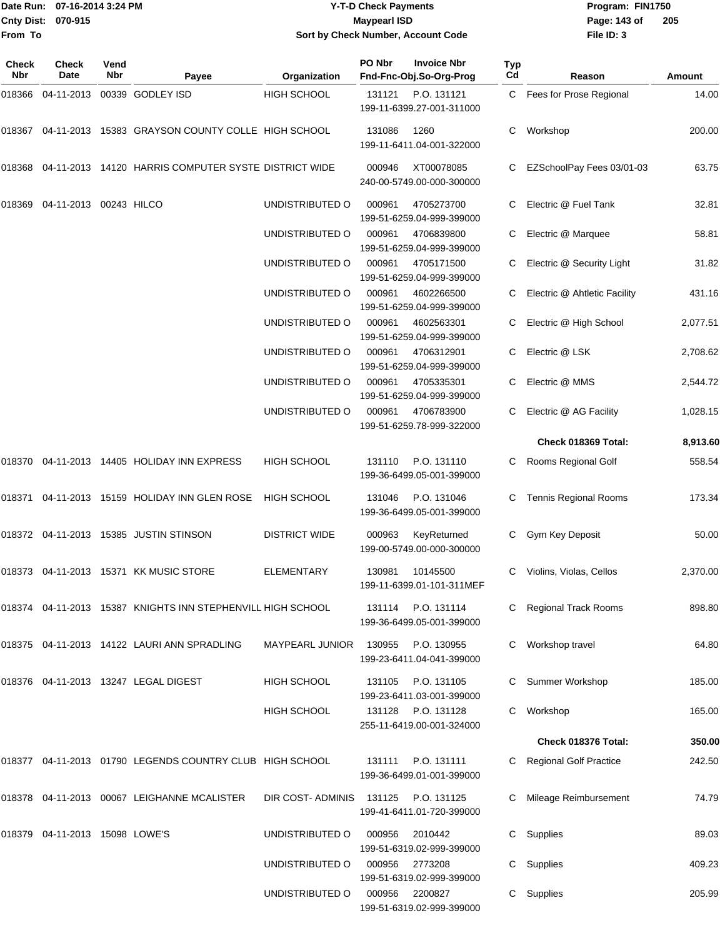#### Date Run: 07-16-2014 3:24 PM **Program:** FIN1750 **Cnty Dist:** 070-915 **Page: 143 of** Maypearl ISD **Contract ISD Y-T-D Check Payments 070-915 Maypearl ISD Sort by Check Number, Account Code**

| Check<br>Nbr | <b>Check</b><br>Date           | Vend<br><b>Nbr</b> | Payee                                                       | Organization           | PO Nbr | <b>Invoice Nbr</b><br>Fnd-Fnc-Obj.So-Org-Prog                                | Typ<br>Cd | Reason                        | Amount   |
|--------------|--------------------------------|--------------------|-------------------------------------------------------------|------------------------|--------|------------------------------------------------------------------------------|-----------|-------------------------------|----------|
| 018366       | 04-11-2013                     |                    | 00339 GODLEY ISD                                            | <b>HIGH SCHOOL</b>     | 131121 | P.O. 131121<br>199-11-6399.27-001-311000                                     |           | C Fees for Prose Regional     | 14.00    |
|              |                                |                    | 018367 04-11-2013 15383 GRAYSON COUNTY COLLE HIGH SCHOOL    |                        | 131086 | 1260<br>199-11-6411.04-001-322000                                            | С         | Workshop                      | 200.00   |
| 018368       |                                |                    | 04-11-2013 14120 HARRIS COMPUTER SYSTE DISTRICT WIDE        |                        | 000946 | XT00078085<br>240-00-5749.00-000-300000                                      | C         | EZSchoolPay Fees 03/01-03     | 63.75    |
| 018369       | 04-11-2013 00243 HILCO         |                    |                                                             | UNDISTRIBUTED O        | 000961 | 4705273700<br>199-51-6259.04-999-399000                                      |           | Electric @ Fuel Tank          | 32.81    |
|              |                                |                    |                                                             | UNDISTRIBUTED O        | 000961 | 4706839800<br>199-51-6259.04-999-399000                                      | C         | Electric @ Marquee            | 58.81    |
|              |                                |                    |                                                             | UNDISTRIBUTED O        | 000961 | 4705171500<br>199-51-6259.04-999-399000                                      |           | Electric @ Security Light     | 31.82    |
|              |                                |                    |                                                             | UNDISTRIBUTED O        | 000961 | 4602266500<br>199-51-6259.04-999-399000                                      |           | Electric @ Ahtletic Facility  | 431.16   |
|              |                                |                    |                                                             | UNDISTRIBUTED O        | 000961 | 4602563301<br>199-51-6259.04-999-399000                                      |           | Electric @ High School        | 2,077.51 |
|              |                                |                    |                                                             | UNDISTRIBUTED O        | 000961 | 4706312901<br>199-51-6259.04-999-399000                                      | C         | Electric @ LSK                | 2,708.62 |
|              |                                |                    |                                                             | UNDISTRIBUTED O        | 000961 | 4705335301<br>199-51-6259.04-999-399000                                      | C         | Electric @ MMS                | 2,544.72 |
|              |                                |                    |                                                             | UNDISTRIBUTED O        | 000961 | 4706783900<br>199-51-6259.78-999-322000                                      | C         | Electric @ AG Facility        | 1,028.15 |
|              |                                |                    |                                                             |                        |        |                                                                              |           | Check 018369 Total:           | 8,913.60 |
|              |                                |                    | 018370 04-11-2013 14405 HOLIDAY INN EXPRESS                 | <b>HIGH SCHOOL</b>     | 131110 | P.O. 131110<br>199-36-6499.05-001-399000                                     | C         | Rooms Regional Golf           | 558.54   |
|              |                                |                    | 018371 04-11-2013 15159 HOLIDAY INN GLEN ROSE               | <b>HIGH SCHOOL</b>     | 131046 | P.O. 131046<br>199-36-6499.05-001-399000                                     | C         | <b>Tennis Regional Rooms</b>  | 173.34   |
|              |                                |                    | 018372 04-11-2013 15385 JUSTIN STINSON                      | <b>DISTRICT WIDE</b>   | 000963 | KeyReturned<br>199-00-5749.00-000-300000                                     | C.        | Gym Key Deposit               | 50.00    |
|              |                                |                    | 018373  04-11-2013  15371  KK MUSIC STORE                   | <b>ELEMENTARY</b>      | 130981 | 10145500<br>199-11-6399.01-101-311MEF                                        | С         | Violins, Violas, Cellos       | 2,370.00 |
|              |                                |                    | 018374 04-11-2013 15387 KNIGHTS INN STEPHENVILL HIGH SCHOOL |                        |        | 131114 P.O. 131114<br>199-36-6499.05-001-399000                              |           | Regional Track Rooms          | 898.80   |
|              |                                |                    | 018375 04-11-2013 14122 LAURI ANN SPRADLING                 | <b>MAYPEARL JUNIOR</b> | 130955 | P.O. 130955<br>199-23-6411.04-041-399000                                     |           | Workshop travel               | 64.80    |
|              |                                |                    | 018376  04-11-2013  13247  LEGAL DIGEST                     | <b>HIGH SCHOOL</b>     | 131105 | P.O. 131105                                                                  |           | Summer Workshop               | 185.00   |
|              |                                |                    |                                                             | <b>HIGH SCHOOL</b>     |        | 199-23-6411.03-001-399000<br>131128 P.O. 131128<br>255-11-6419.00-001-324000 | C         | Workshop                      | 165.00   |
|              |                                |                    |                                                             |                        |        |                                                                              |           | Check 018376 Total:           | 350.00   |
|              |                                |                    | 018377 04-11-2013 01790 LEGENDS COUNTRY CLUB HIGH SCHOOL    |                        | 131111 | P.O. 131111<br>199-36-6499.01-001-399000                                     |           | <b>Regional Golf Practice</b> | 242.50   |
|              |                                |                    | 018378 04-11-2013 00067 LEIGHANNE MCALISTER                 | DIR COST-ADMINIS       | 131125 | P.O. 131125<br>199-41-6411.01-720-399000                                     |           | Mileage Reimbursement         | 74.79    |
|              | 018379 04-11-2013 15098 LOWE'S |                    |                                                             | UNDISTRIBUTED O        | 000956 | 2010442<br>199-51-6319.02-999-399000                                         | C         | Supplies                      | 89.03    |
|              |                                |                    |                                                             | UNDISTRIBUTED O        | 000956 | 2773208<br>199-51-6319.02-999-399000                                         | C         | Supplies                      | 409.23   |
|              |                                |                    |                                                             | UNDISTRIBUTED O        | 000956 | 2200827<br>199-51-6319.02-999-399000                                         | C         | Supplies                      | 205.99   |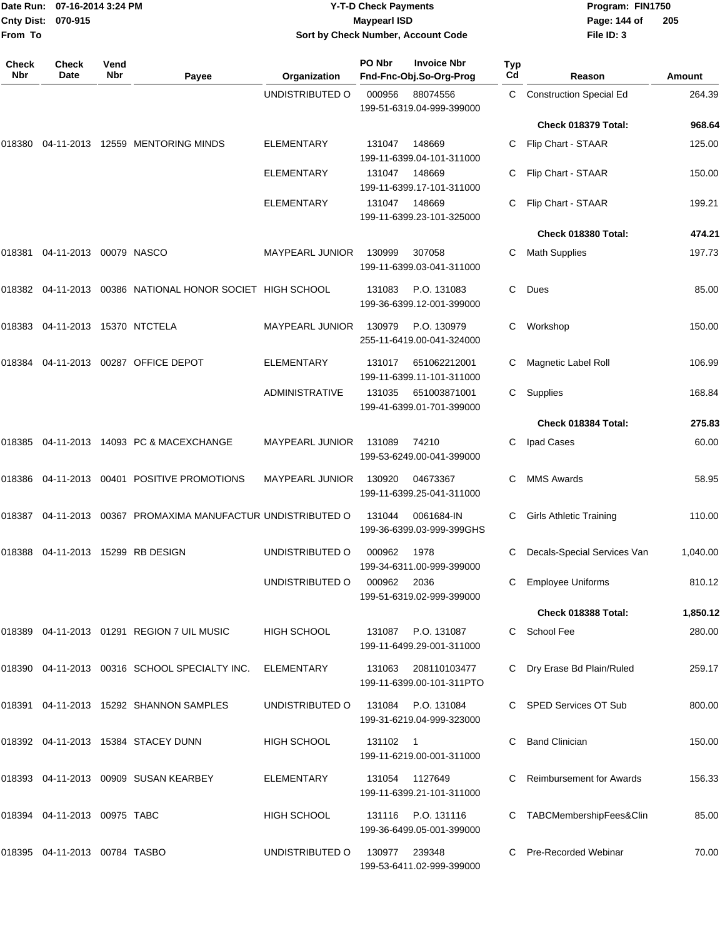| Date Run: 07-16-2014 3:24 PM<br>Cnty Dist:<br>070-915<br>From To |                                       |             |                                                                | <b>Y-T-D Check Payments</b><br><b>Maypearl ISD</b><br>Sort by Check Number, Account Code | Program: FIN1750<br>Page: 144 of<br>205<br>File ID: 3 |                                                                  |           |                                          |                         |
|------------------------------------------------------------------|---------------------------------------|-------------|----------------------------------------------------------------|------------------------------------------------------------------------------------------|-------------------------------------------------------|------------------------------------------------------------------|-----------|------------------------------------------|-------------------------|
| <b>Check</b><br>Nbr                                              | <b>Check</b><br>Date                  | Vend<br>Nbr |                                                                |                                                                                          | PO Nbr                                                | <b>Invoice Nbr</b>                                               | Typ<br>Cd |                                          |                         |
|                                                                  |                                       |             | Payee                                                          | Organization<br>UNDISTRIBUTED O                                                          | 000956                                                | Fnd-Fnc-Obj.So-Org-Prog<br>88074556<br>199-51-6319.04-999-399000 | C         | Reason<br><b>Construction Special Ed</b> | <b>Amount</b><br>264.39 |
|                                                                  |                                       |             |                                                                |                                                                                          |                                                       |                                                                  |           | Check 018379 Total:                      | 968.64                  |
| 018380                                                           |                                       |             | 04-11-2013 12559 MENTORING MINDS                               | <b>ELEMENTARY</b>                                                                        | 131047                                                | 148669<br>199-11-6399.04-101-311000                              | C.        | Flip Chart - STAAR                       | 125.00                  |
|                                                                  |                                       |             |                                                                | <b>ELEMENTARY</b>                                                                        | 131047                                                | 148669<br>199-11-6399.17-101-311000                              | С         | Flip Chart - STAAR                       | 150.00                  |
|                                                                  |                                       |             |                                                                | <b>ELEMENTARY</b>                                                                        | 131047                                                | 148669<br>199-11-6399.23-101-325000                              | С         | Flip Chart - STAAR                       | 199.21                  |
|                                                                  |                                       |             |                                                                |                                                                                          |                                                       |                                                                  |           | Check 018380 Total:                      | 474.21                  |
| 018381                                                           | 04-11-2013 00079 NASCO                |             |                                                                | <b>MAYPEARL JUNIOR</b>                                                                   | 130999                                                | 307058<br>199-11-6399.03-041-311000                              | С         | <b>Math Supplies</b>                     | 197.73                  |
|                                                                  |                                       |             | 018382  04-11-2013  00386  NATIONAL HONOR SOCIET HIGH SCHOOL   |                                                                                          | 131083                                                | P.O. 131083<br>199-36-6399.12-001-399000                         | C.        | Dues                                     | 85.00                   |
|                                                                  |                                       |             |                                                                | <b>MAYPEARL JUNIOR</b>                                                                   | 130979                                                | P.O. 130979<br>255-11-6419.00-041-324000                         | C.        | Workshop                                 | 150.00                  |
| 018384                                                           |                                       |             | 04-11-2013 00287 OFFICE DEPOT                                  | <b>ELEMENTARY</b>                                                                        | 131017                                                | 651062212001<br>199-11-6399.11-101-311000                        | С         | Magnetic Label Roll                      | 106.99                  |
|                                                                  |                                       |             |                                                                | <b>ADMINISTRATIVE</b>                                                                    | 131035                                                | 651003871001<br>199-41-6399.01-701-399000                        | C.        | Supplies                                 | 168.84                  |
|                                                                  |                                       |             |                                                                |                                                                                          |                                                       |                                                                  |           | Check 018384 Total:                      | 275.83                  |
|                                                                  |                                       |             | 018385  04-11-2013  14093  PC & MACEXCHANGE                    | <b>MAYPEARL JUNIOR</b>                                                                   | 131089                                                | 74210<br>199-53-6249.00-041-399000                               | С         | Ipad Cases                               | 60.00                   |
|                                                                  |                                       |             | 018386  04-11-2013  00401  POSITIVE PROMOTIONS                 | <b>MAYPEARL JUNIOR</b>                                                                   | 130920                                                | 04673367<br>199-11-6399.25-041-311000                            | С         | <b>MMS Awards</b>                        | 58.95                   |
|                                                                  |                                       |             | 018387 04-11-2013 00367   PROMAXIMA MANUFACTUR_UNDISTRIBUTED O |                                                                                          | 131044                                                | 0061684-IN<br>199-36-6399.03-999-399GHS                          | С         | Girls Athletic Training                  | 110.00                  |
|                                                                  |                                       |             | 018388  04-11-2013  15299  RB DESIGN                           | UNDISTRIBUTED O                                                                          | 000962                                                | 1978<br>199-34-6311.00-999-399000                                |           | C Decals-Special Services Van            | 1,040.00                |
|                                                                  |                                       |             |                                                                | UNDISTRIBUTED O                                                                          | 000962                                                | 2036<br>199-51-6319.02-999-399000                                | C.        | <b>Employee Uniforms</b>                 | 810.12                  |
|                                                                  |                                       |             |                                                                |                                                                                          |                                                       |                                                                  |           | Check 018388 Total:                      | 1,850.12                |
|                                                                  |                                       |             | 018389  04-11-2013  01291  REGION 7 UIL MUSIC                  | HIGH SCHOOL                                                                              | 131087                                                | P.O. 131087<br>199-11-6499.29-001-311000                         |           | C School Fee                             | 280.00                  |
|                                                                  |                                       |             | 018390 04-11-2013 00316 SCHOOL SPECIALTY INC.                  | ELEMENTARY                                                                               | 131063                                                | 208110103477<br>199-11-6399.00-101-311PTO                        |           | Dry Erase Bd Plain/Ruled                 | 259.17                  |
|                                                                  |                                       |             | 018391  04-11-2013  15292  SHANNON SAMPLES                     | UNDISTRIBUTED O                                                                          | 131084                                                | P.O. 131084<br>199-31-6219.04-999-323000                         |           | C SPED Services OT Sub                   | 800.00                  |
|                                                                  |                                       |             | 018392 04-11-2013 15384 STACEY DUNN                            | HIGH SCHOOL                                                                              | 131102 1                                              | 199-11-6219.00-001-311000                                        | C         | <b>Band Clinician</b>                    | 150.00                  |
|                                                                  |                                       |             | 018393  04-11-2013  00909  SUSAN KEARBEY                       | <b>ELEMENTARY</b>                                                                        | 131054                                                | 1127649<br>199-11-6399.21-101-311000                             | C.        | <b>Reimbursement for Awards</b>          | 156.33                  |
|                                                                  | 018394    04-11-2013    00975    TABC |             |                                                                | HIGH SCHOOL                                                                              | 131116                                                | P.O. 131116<br>199-36-6499.05-001-399000                         |           | C TABCMembershipFees&Clin                | 85.00                   |

018395 04-11-2013 00784 TASBO UNDISTRIBUTED O 130977 239348 C Pre-Recorded Webinar 70.00

199-53-6411.02-999-399000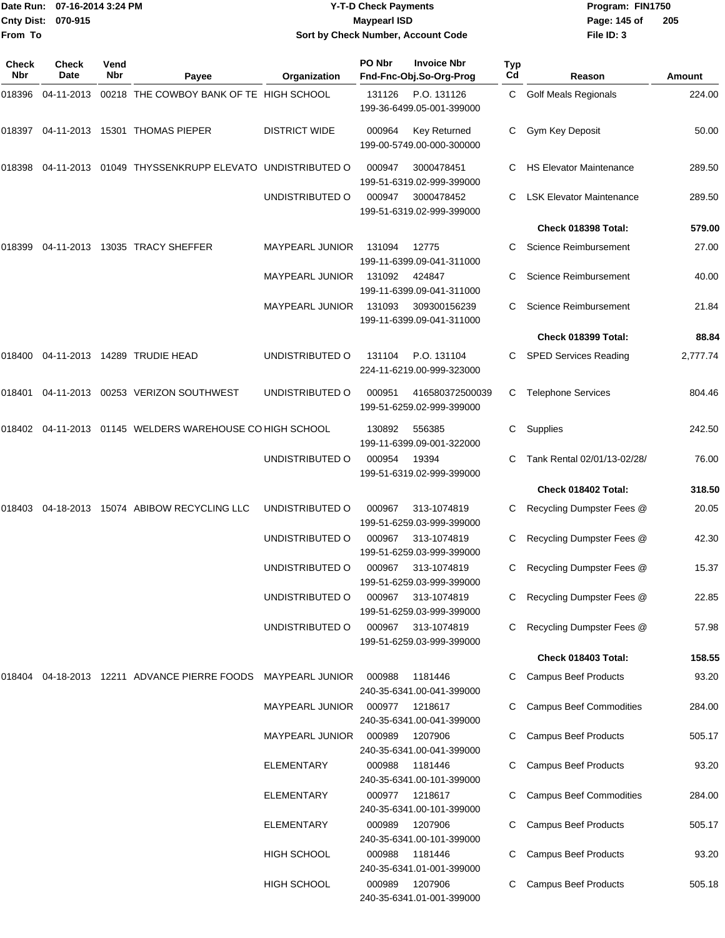|              | Date Run: 07-16-2014 3:24 PM<br>070-915<br><b>Cnty Dist:</b> |             |                                                             |                                        | <b>Y-T-D Check Payments</b><br><b>Maypearl ISD</b> | Program: FIN1750<br>Page: 145 of<br>205                 |                  |                                                               |                 |
|--------------|--------------------------------------------------------------|-------------|-------------------------------------------------------------|----------------------------------------|----------------------------------------------------|---------------------------------------------------------|------------------|---------------------------------------------------------------|-----------------|
| From To      |                                                              |             |                                                             |                                        |                                                    | Sort by Check Number, Account Code                      |                  | File ID: 3                                                    |                 |
| Check<br>Nbr | Check<br>Date                                                | Vend<br>Nbr | Payee                                                       | Organization                           | PO Nbr                                             | <b>Invoice Nbr</b><br>Fnd-Fnc-Obj.So-Org-Prog           | <b>Typ</b><br>Cd | Reason                                                        | Amount          |
| 018396       | 04-11-2013                                                   |             | 00218 THE COWBOY BANK OF TE HIGH SCHOOL                     |                                        | 131126                                             | P.O. 131126<br>199-36-6499.05-001-399000                | C.               | <b>Golf Meals Regionals</b>                                   | 224.00          |
|              |                                                              |             | 018397  04-11-2013  15301  THOMAS PIEPER                    | <b>DISTRICT WIDE</b>                   | 000964                                             | <b>Key Returned</b><br>199-00-5749.00-000-300000        | С                | Gym Key Deposit                                               | 50.00           |
| 018398       |                                                              |             | 04-11-2013 01049 THYSSENKRUPP ELEVATO UNDISTRIBUTED O       |                                        | 000947                                             | 3000478451<br>199-51-6319.02-999-399000                 | С                | <b>HS Elevator Maintenance</b>                                | 289.50          |
|              |                                                              |             |                                                             | UNDISTRIBUTED O                        | 000947                                             | 3000478452<br>199-51-6319.02-999-399000                 | C                | <b>LSK Elevator Maintenance</b>                               | 289.50          |
|              |                                                              |             |                                                             |                                        |                                                    |                                                         |                  | Check 018398 Total:                                           | 579.00          |
| 018399       |                                                              |             | 04-11-2013 13035 TRACY SHEFFER                              | <b>MAYPEARL JUNIOR</b>                 | 131094                                             | 12775<br>199-11-6399.09-041-311000                      | C                | Science Reimbursement                                         | 27.00           |
|              |                                                              |             |                                                             | <b>MAYPEARL JUNIOR</b>                 | 131092                                             | 424847<br>199-11-6399.09-041-311000                     |                  | Science Reimbursement                                         | 40.00           |
|              |                                                              |             |                                                             | <b>MAYPEARL JUNIOR</b>                 | 131093                                             | 309300156239<br>199-11-6399.09-041-311000               |                  | <b>Science Reimbursement</b>                                  | 21.84           |
|              |                                                              |             |                                                             |                                        |                                                    |                                                         |                  | Check 018399 Total:                                           | 88.84           |
| 018400       |                                                              |             | 04-11-2013  14289  TRUDIE HEAD                              | UNDISTRIBUTED O                        | 131104                                             | P.O. 131104<br>224-11-6219.00-999-323000                | C                | <b>SPED Services Reading</b>                                  | 2,777.74        |
| 018401       |                                                              |             | 04-11-2013  00253  VERIZON SOUTHWEST                        | UNDISTRIBUTED O                        | 000951                                             | 416580372500039<br>199-51-6259.02-999-399000            | C                | <b>Telephone Services</b>                                     | 804.46          |
|              |                                                              |             | 018402  04-11-2013  01145  WELDERS WAREHOUSE CO HIGH SCHOOL |                                        | 130892                                             | 556385<br>199-11-6399.09-001-322000                     | С                | Supplies                                                      | 242.50          |
|              |                                                              |             |                                                             | UNDISTRIBUTED O                        | 000954                                             | 19394<br>199-51-6319.02-999-399000                      | С                | Tank Rental 02/01/13-02/28/                                   | 76.00           |
|              |                                                              |             |                                                             |                                        |                                                    |                                                         |                  | Check 018402 Total:                                           | 318.50          |
| 018403       |                                                              |             | 04-18-2013 15074 ABIBOW RECYCLING LLC                       | UNDISTRIBUTED O                        | 000967                                             | 313-1074819<br>199-51-6259.03-999-399000                |                  | Recycling Dumpster Fees @                                     | 20.05           |
|              |                                                              |             |                                                             | UNDISTRIBUTED O                        | 000967                                             | 313-1074819<br>199-51-6259.03-999-399000                |                  | C Recycling Dumpster Fees @                                   | 42.30           |
|              |                                                              |             |                                                             | UNDISTRIBUTED O<br>UNDISTRIBUTED O     | 000967<br>000967                                   | 313-1074819<br>199-51-6259.03-999-399000<br>313-1074819 | C.               | Recycling Dumpster Fees @<br>Recycling Dumpster Fees @        | 15.37<br>22.85  |
|              |                                                              |             |                                                             | UNDISTRIBUTED O                        | 000967                                             | 199-51-6259.03-999-399000<br>313-1074819                |                  | Recycling Dumpster Fees @                                     | 57.98           |
|              |                                                              |             |                                                             |                                        |                                                    | 199-51-6259.03-999-399000                               |                  |                                                               |                 |
|              |                                                              |             |                                                             |                                        |                                                    |                                                         |                  | Check 018403 Total:                                           | 158.55          |
| 018404       |                                                              |             | 04-18-2013 12211 ADVANCE PIERRE FOODS                       | <b>MAYPEARL JUNIOR</b>                 | 000988                                             | 1181446<br>240-35-6341.00-041-399000                    | C.               | <b>Campus Beef Products</b>                                   | 93.20           |
|              |                                                              |             |                                                             | MAYPEARL JUNIOR                        | 000977                                             | 1218617<br>240-35-6341.00-041-399000                    | С                | <b>Campus Beef Commodities</b>                                | 284.00          |
|              |                                                              |             |                                                             | MAYPEARL JUNIOR                        | 000989                                             | 1207906<br>240-35-6341.00-041-399000                    |                  | <b>Campus Beef Products</b>                                   | 505.17          |
|              |                                                              |             |                                                             | <b>ELEMENTARY</b><br><b>ELEMENTARY</b> | 000988<br>000977                                   | 1181446<br>240-35-6341.00-101-399000<br>1218617         |                  | <b>Campus Beef Products</b><br><b>Campus Beef Commodities</b> | 93.20<br>284.00 |
|              |                                                              |             |                                                             | <b>ELEMENTARY</b>                      | 000989                                             | 240-35-6341.00-101-399000<br>1207906                    |                  | <b>Campus Beef Products</b>                                   | 505.17          |
|              |                                                              |             |                                                             | <b>HIGH SCHOOL</b>                     | 000988                                             | 240-35-6341.00-101-399000<br>1181446                    | С                | <b>Campus Beef Products</b>                                   | 93.20           |
|              |                                                              |             |                                                             | HIGH SCHOOL                            | 000989                                             | 240-35-6341.01-001-399000<br>1207906                    |                  | C Campus Beef Products                                        | 505.18          |

240-35-6341.01-001-399000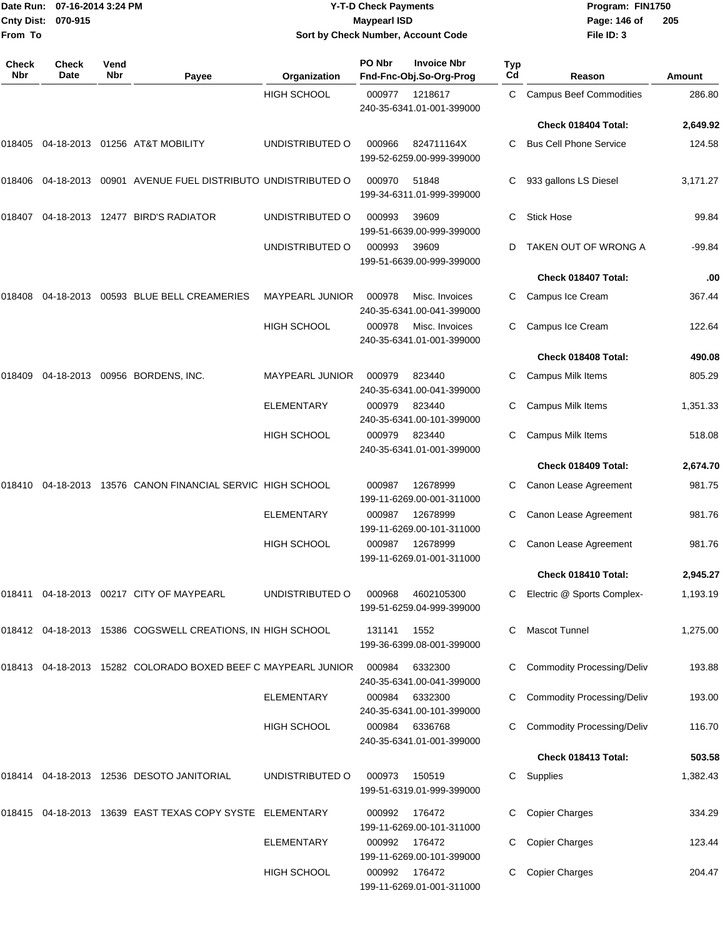|                     | Date Run: 07-16-2014 3:24 PM |             |                                                               |                        | <b>Y-T-D Check Payments</b> |                                               |           | Program: FIN1750                  |               |
|---------------------|------------------------------|-------------|---------------------------------------------------------------|------------------------|-----------------------------|-----------------------------------------------|-----------|-----------------------------------|---------------|
| <b>Cnty Dist:</b>   | 070-915                      |             |                                                               |                        | <b>Maypearl ISD</b>         |                                               |           | Page: 146 of                      | 205           |
| From To             |                              |             |                                                               |                        |                             | Sort by Check Number, Account Code            |           | File ID: 3                        |               |
| <b>Check</b><br>Nbr | Check<br>Date                | Vend<br>Nbr | Payee                                                         | Organization           | PO Nbr                      | <b>Invoice Nbr</b><br>Fnd-Fnc-Obj.So-Org-Prog | Typ<br>Cd | Reason                            | <b>Amount</b> |
|                     |                              |             |                                                               | <b>HIGH SCHOOL</b>     | 000977                      | 1218617<br>240-35-6341.01-001-399000          | С         | <b>Campus Beef Commodities</b>    | 286.80        |
|                     |                              |             |                                                               |                        |                             |                                               |           | Check 018404 Total:               | 2,649.92      |
| 018405              |                              |             | 04-18-2013 01256 AT&T MOBILITY                                | UNDISTRIBUTED O        | 000966                      | 824711164X<br>199-52-6259.00-999-399000       | C.        | <b>Bus Cell Phone Service</b>     | 124.58        |
| 018406              |                              |             | 04-18-2013  00901  AVENUE FUEL DISTRIBUTO UNDISTRIBUTED O     |                        | 000970                      | 51848<br>199-34-6311.01-999-399000            | C.        | 933 gallons LS Diesel             | 3,171.27      |
| 018407              |                              |             | 04-18-2013 12477 BIRD'S RADIATOR                              | UNDISTRIBUTED O        | 000993                      | 39609<br>199-51-6639.00-999-399000            | С         | <b>Stick Hose</b>                 | 99.84         |
|                     |                              |             |                                                               | UNDISTRIBUTED O        | 000993                      | 39609<br>199-51-6639.00-999-399000            |           | TAKEN OUT OF WRONG A              | -99.84        |
|                     |                              |             |                                                               |                        |                             |                                               |           | Check 018407 Total:               | .00           |
| 018408              |                              |             | 04-18-2013 00593 BLUE BELL CREAMERIES                         | <b>MAYPEARL JUNIOR</b> | 000978                      | Misc. Invoices<br>240-35-6341.00-041-399000   |           | Campus Ice Cream                  | 367.44        |
|                     |                              |             |                                                               | <b>HIGH SCHOOL</b>     | 000978                      | Misc. Invoices<br>240-35-6341.01-001-399000   | C.        | Campus Ice Cream                  | 122.64        |
|                     |                              |             |                                                               |                        |                             |                                               |           | Check 018408 Total:               | 490.08        |
| 018409              |                              |             | 04-18-2013 00956 BORDENS, INC.                                | MAYPEARL JUNIOR        | 000979                      | 823440<br>240-35-6341.00-041-399000           | С         | Campus Milk Items                 | 805.29        |
|                     |                              |             |                                                               | ELEMENTARY             | 000979                      | 823440<br>240-35-6341.00-101-399000           | С         | Campus Milk Items                 | 1,351.33      |
|                     |                              |             |                                                               | <b>HIGH SCHOOL</b>     | 000979                      | 823440<br>240-35-6341.01-001-399000           |           | Campus Milk Items                 | 518.08        |
|                     |                              |             |                                                               |                        |                             |                                               |           | Check 018409 Total:               | 2,674.70      |
| 018410              |                              |             | 04-18-2013 13576 CANON FINANCIAL SERVIC HIGH SCHOOL           |                        | 000987                      | 12678999<br>199-11-6269.00-001-311000         | С         | Canon Lease Agreement             | 981.75        |
|                     |                              |             |                                                               | <b>ELEMENTARY</b>      | 000987                      | 12678999<br>199-11-6269.00-101-311000         | С         | Canon Lease Agreement             | 981.76        |
|                     |                              |             |                                                               | <b>HIGH SCHOOL</b>     | 000987                      | 12678999<br>199-11-6269.01-001-311000         | C         | Canon Lease Agreement             | 981.76        |
|                     |                              |             |                                                               |                        |                             |                                               |           | Check 018410 Total:               | 2,945.27      |
|                     |                              |             | 018411 04-18-2013 00217 CITY OF MAYPEARL                      | UNDISTRIBUTED O        | 000968                      | 4602105300<br>199-51-6259.04-999-399000       | C         | Electric @ Sports Complex-        | 1,193.19      |
|                     |                              |             | 018412 04-18-2013 15386 COGSWELL CREATIONS, IN HIGH SCHOOL    |                        | 131141                      | 1552<br>199-36-6399.08-001-399000             |           | <b>Mascot Tunnel</b>              | 1,275.00      |
|                     |                              |             | 018413 04-18-2013 15282 COLORADO BOXED BEEF C MAYPEARL JUNIOR |                        | 000984                      | 6332300<br>240-35-6341.00-041-399000          |           | <b>Commodity Processing/Deliv</b> | 193.88        |
|                     |                              |             |                                                               | <b>ELEMENTARY</b>      | 000984                      | 6332300<br>240-35-6341.00-101-399000          |           | <b>Commodity Processing/Deliv</b> | 193.00        |
|                     |                              |             |                                                               | <b>HIGH SCHOOL</b>     | 000984                      | 6336768<br>240-35-6341.01-001-399000          |           | <b>Commodity Processing/Deliv</b> | 116.70        |
|                     |                              |             |                                                               |                        |                             |                                               |           | Check 018413 Total:               | 503.58        |
|                     |                              |             | 018414 04-18-2013 12536 DESOTO JANITORIAL                     | UNDISTRIBUTED O        | 000973                      | 150519<br>199-51-6319.01-999-399000           |           | C Supplies                        | 1,382.43      |
|                     |                              |             | 018415  04-18-2013  13639  EAST TEXAS COPY SYSTE  ELEMENTARY  |                        | 000992                      | 176472<br>199-11-6269.00-101-311000           |           | <b>Copier Charges</b>             | 334.29        |
|                     |                              |             |                                                               | <b>ELEMENTARY</b>      | 000992                      | 176472<br>199-11-6269.00-101-399000           | С         | <b>Copier Charges</b>             | 123.44        |
|                     |                              |             |                                                               | HIGH SCHOOL            | 000992 176472               |                                               |           | C Copier Charges                  | 204.47        |

199-11-6269.01-001-311000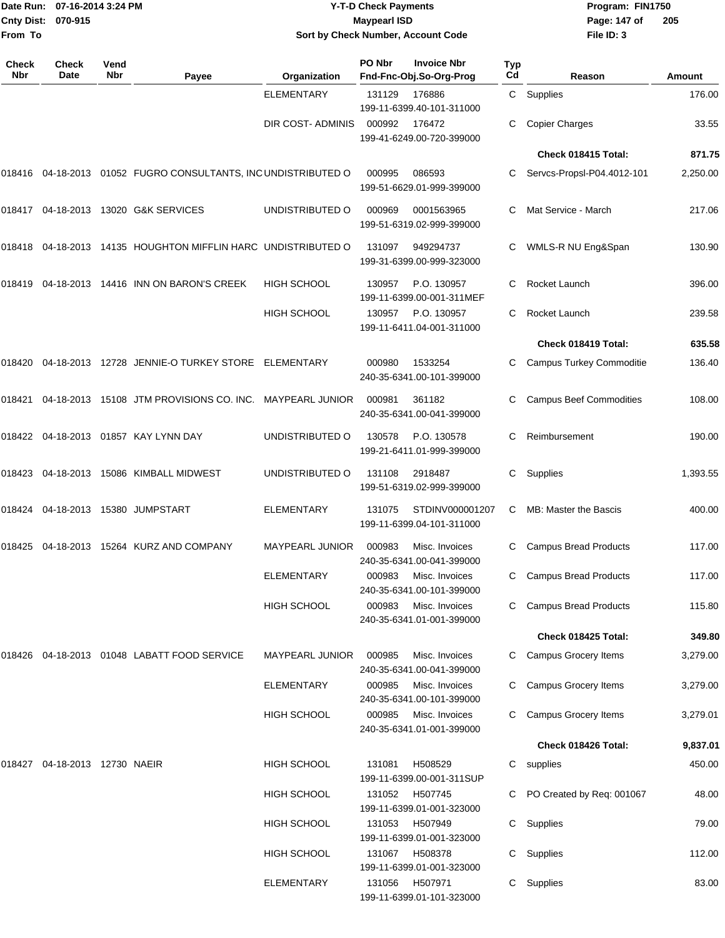| Date Run:<br><b>Cnty Dist:</b><br>From To | 07-16-2014 3:24 PM<br>070-915        |             |                                                                                  |                        | <b>Y-T-D Check Payments</b><br><b>Maypearl ISD</b> | Sort by Check Number, Account Code                               |           | Program: FIN1750<br>Page: 147 of<br>File ID: 3 | 205      |  |
|-------------------------------------------|--------------------------------------|-------------|----------------------------------------------------------------------------------|------------------------|----------------------------------------------------|------------------------------------------------------------------|-----------|------------------------------------------------|----------|--|
| <b>Check</b><br>Nbr                       | <b>Check</b><br>Date                 | Vend<br>Nbr | Payee                                                                            | Organization           | PO Nbr                                             | <b>Invoice Nbr</b><br>Fnd-Fnc-Obj.So-Org-Prog                    | Typ<br>Cd | Reason                                         | Amount   |  |
|                                           |                                      |             |                                                                                  | <b>ELEMENTARY</b>      | 131129                                             | 176886                                                           | C.        | Supplies                                       | 176.00   |  |
|                                           |                                      |             |                                                                                  | DIR COST- ADMINIS      | 000992                                             | 199-11-6399.40-101-311000<br>176472<br>199-41-6249.00-720-399000 |           | <b>Copier Charges</b>                          | 33.55    |  |
|                                           |                                      |             |                                                                                  |                        |                                                    |                                                                  |           | Check 018415 Total:                            | 871.75   |  |
|                                           |                                      |             | 018416  04-18-2013  01052  FUGRO CONSULTANTS, INC UNDISTRIBUTED O                |                        | 000995                                             | 086593<br>199-51-6629.01-999-399000                              |           | Servcs-Propsl-P04.4012-101                     | 2,250.00 |  |
|                                           |                                      |             |                                                                                  | UNDISTRIBUTED O        | 000969                                             | 0001563965<br>199-51-6319.02-999-399000                          | С         | Mat Service - March                            | 217.06   |  |
|                                           |                                      |             | 018418  04-18-2013  14135  HOUGHTON MIFFLIN HARC  UNDISTRIBUTED                O |                        | 131097                                             | 949294737<br>199-31-6399.00-999-323000                           | С         | WMLS-R NU Eng&Span                             | 130.90   |  |
|                                           |                                      |             | 018419    04-18-2013    14416    INN ON BARON'S CREEK                            | <b>HIGH SCHOOL</b>     | 130957                                             | P.O. 130957<br>199-11-6399.00-001-311MEF                         | С         | Rocket Launch                                  | 396.00   |  |
|                                           |                                      |             |                                                                                  | <b>HIGH SCHOOL</b>     | 130957                                             | P.O. 130957<br>199-11-6411.04-001-311000                         | С         | Rocket Launch                                  | 239.58   |  |
|                                           |                                      |             |                                                                                  |                        |                                                    |                                                                  |           | Check 018419 Total:                            | 635.58   |  |
|                                           |                                      |             | 018420  04-18-2013  12728  JENNIE-O TURKEY STORE  ELEMENTARY                     |                        | 000980                                             | 1533254<br>240-35-6341.00-101-399000                             | C         | <b>Campus Turkey Commoditie</b>                | 136.40   |  |
|                                           |                                      |             | 018421 04-18-2013 15108   JTM PROVISIONS CO. INC. MAYPEARL JUNIOR                |                        | 000981                                             | 361182<br>240-35-6341.00-041-399000                              |           | <b>Campus Beef Commodities</b>                 | 108.00   |  |
|                                           |                                      |             | 018422 04-18-2013 01857   KAY LYNN DAY                                           | UNDISTRIBUTED O        | 130578                                             | P.O. 130578<br>199-21-6411.01-999-399000                         | С         | Reimbursement                                  | 190.00   |  |
|                                           |                                      |             | 018423   04-18-2013   15086   KIMBALL   MIDWEST                                  | UNDISTRIBUTED O        | 131108                                             | 2918487<br>199-51-6319.02-999-399000                             | С         | Supplies                                       | 1,393.55 |  |
|                                           |                                      |             | 018424    04-18-2013    15380    JUMPSTART                                       | ELEMENTARY             | 131075                                             | STDINV000001207<br>199-11-6399.04-101-311000                     | С         | MB: Master the Bascis                          | 400.00   |  |
|                                           |                                      |             | 018425 04-18-2013 15264 KURZ AND COMPANY                                         | <b>MAYPEARL JUNIOR</b> | 000983                                             | Misc. Invoices<br>240-35-6341.00-041-399000                      |           | <b>Campus Bread Products</b>                   | 117.00   |  |
|                                           |                                      |             |                                                                                  | ELEMENTARY             | 000983                                             | Misc. Invoices<br>240-35-6341.00-101-399000                      | С         | <b>Campus Bread Products</b>                   | 117.00   |  |
|                                           |                                      |             |                                                                                  | <b>HIGH SCHOOL</b>     | 000983                                             | Misc. Invoices<br>240-35-6341.01-001-399000                      | C         | <b>Campus Bread Products</b>                   | 115.80   |  |
|                                           |                                      |             |                                                                                  |                        |                                                    |                                                                  |           | Check 018425 Total:                            | 349.80   |  |
|                                           |                                      |             | 018426  04-18-2013  01048  LABATT FOOD SERVICE                                   | MAYPEARL JUNIOR        | 000985                                             | Misc. Invoices<br>240-35-6341.00-041-399000                      |           | C Campus Grocery Items                         | 3,279.00 |  |
|                                           |                                      |             |                                                                                  | <b>ELEMENTARY</b>      | 000985                                             | Misc. Invoices<br>240-35-6341.00-101-399000                      |           | Campus Grocery Items                           | 3,279.00 |  |
|                                           |                                      |             |                                                                                  | <b>HIGH SCHOOL</b>     | 000985                                             | Misc. Invoices<br>240-35-6341.01-001-399000                      |           | Campus Grocery Items                           | 3,279.01 |  |
|                                           |                                      |             |                                                                                  |                        |                                                    |                                                                  |           | Check 018426 Total:                            | 9,837.01 |  |
|                                           | 018427    04-18-2013   12730   NAEIR |             |                                                                                  | <b>HIGH SCHOOL</b>     | 131081                                             | H508529<br>199-11-6399.00-001-311SUP                             | C         | supplies                                       | 450.00   |  |
|                                           |                                      |             |                                                                                  | <b>HIGH SCHOOL</b>     | 131052                                             | H507745<br>199-11-6399.01-001-323000                             |           | C PO Created by Req: 001067                    | 48.00    |  |
|                                           |                                      |             |                                                                                  | <b>HIGH SCHOOL</b>     | 131053                                             | H507949<br>199-11-6399.01-001-323000                             | C.        | Supplies                                       | 79.00    |  |
|                                           |                                      |             |                                                                                  | <b>HIGH SCHOOL</b>     | 131067                                             | H508378<br>199-11-6399.01-001-323000                             | C         | Supplies                                       | 112.00   |  |
|                                           |                                      |             |                                                                                  | ELEMENTARY             | 131056                                             | H507971<br>199-11-6399.01-101-323000                             | C.        | Supplies                                       | 83.00    |  |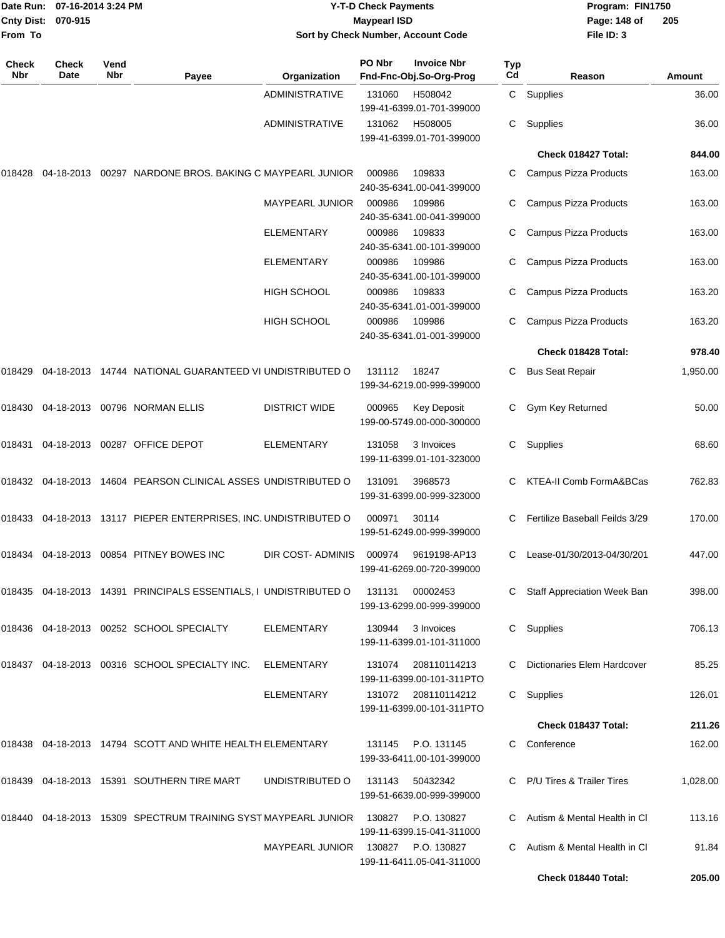| <b>Cnty Dist:</b><br>From To | Date Run: 07-16-2014 3:24 PM<br>070-915 |             |                                                                           |                       | <b>Y-T-D Check Payments</b><br><b>Maypearl ISD</b> | Sort by Check Number, Account Code                                | Program: FIN1750<br>Page: 148 of<br>205<br>File ID: 3 |                                |               |  |
|------------------------------|-----------------------------------------|-------------|---------------------------------------------------------------------------|-----------------------|----------------------------------------------------|-------------------------------------------------------------------|-------------------------------------------------------|--------------------------------|---------------|--|
| Check<br>Nbr                 | <b>Check</b><br>Date                    | Vend<br>Nbr | Payee                                                                     | Organization          | PO Nbr                                             | <b>Invoice Nbr</b><br>Fnd-Fnc-Obj.So-Org-Prog                     | Typ<br>Cd                                             | Reason                         | <b>Amount</b> |  |
|                              |                                         |             |                                                                           | <b>ADMINISTRATIVE</b> | 131060                                             | H508042                                                           | C                                                     | Supplies                       | 36.00         |  |
|                              |                                         |             |                                                                           | <b>ADMINISTRATIVE</b> | 131062                                             | 199-41-6399.01-701-399000<br>H508005<br>199-41-6399.01-701-399000 | C                                                     | Supplies                       | 36.00         |  |
|                              |                                         |             |                                                                           |                       |                                                    |                                                                   |                                                       | Check 018427 Total:            | 844.00        |  |
|                              |                                         |             | 018428   04-18-2013   00297   NARDONE BROS. BAKING C MAYPEARL JUNIOR      |                       | 000986                                             | 109833<br>240-35-6341.00-041-399000                               |                                                       | Campus Pizza Products          | 163.00        |  |
|                              |                                         |             |                                                                           | MAYPEARL JUNIOR       | 000986                                             | 109986<br>240-35-6341.00-041-399000                               | C                                                     | Campus Pizza Products          | 163.00        |  |
|                              |                                         |             |                                                                           | <b>ELEMENTARY</b>     | 000986                                             | 109833<br>240-35-6341.00-101-399000                               |                                                       | Campus Pizza Products          | 163.00        |  |
|                              |                                         |             |                                                                           | <b>ELEMENTARY</b>     | 000986                                             | 109986<br>240-35-6341.00-101-399000                               |                                                       | Campus Pizza Products          | 163.00        |  |
|                              |                                         |             |                                                                           | HIGH SCHOOL           | 000986                                             | 109833<br>240-35-6341.01-001-399000                               | C                                                     | Campus Pizza Products          | 163.20        |  |
|                              |                                         |             |                                                                           | <b>HIGH SCHOOL</b>    | 000986                                             | 109986<br>240-35-6341.01-001-399000                               |                                                       | Campus Pizza Products          | 163.20        |  |
|                              |                                         |             |                                                                           |                       |                                                    |                                                                   |                                                       | Check 018428 Total:            | 978.40        |  |
|                              |                                         |             | 018429 04-18-2013 14744 NATIONAL GUARANTEED VI UNDISTRIBUTED O            |                       | 131112                                             | 18247<br>199-34-6219.00-999-399000                                | C                                                     | <b>Bus Seat Repair</b>         | 1,950.00      |  |
|                              |                                         |             |                                                                           | <b>DISTRICT WIDE</b>  | 000965                                             | <b>Key Deposit</b><br>199-00-5749.00-000-300000                   |                                                       | Gym Key Returned               | 50.00         |  |
|                              |                                         |             | 018431  04-18-2013  00287  OFFICE DEPOT                                   | <b>ELEMENTARY</b>     | 131058                                             | 3 Invoices<br>199-11-6399.01-101-323000                           | C                                                     | Supplies                       | 68.60         |  |
|                              |                                         |             | 018432 04-18-2013 14604   PEARSON CLINICAL ASSES  UNDISTRIBUTED O         |                       | 131091                                             | 3968573<br>199-31-6399.00-999-323000                              |                                                       | KTEA-II Comb FormA&BCas        | 762.83        |  |
|                              |                                         |             | 018433  04-18-2013  13117  PIEPER ENTERPRISES, INC. UNDISTRIBUTED O       |                       | 000971                                             | 30114<br>199-51-6249.00-999-399000                                | C                                                     | Fertilize Baseball Feilds 3/29 | 170.00        |  |
|                              |                                         |             | 018434   04-18-2013   00854   PITNEY BOWES INC                            | DIR COST- ADMINIS     | 000974                                             | 9619198-AP13<br>199-41-6269.00-720-399000                         |                                                       | C Lease-01/30/2013-04/30/201   | 447.00        |  |
|                              |                                         |             | 018435  04-18-2013  14391  PRINCIPALS ESSENTIALS, I UNDISTRIBUTED O       |                       | 131131                                             | 00002453<br>199-13-6299.00-999-399000                             |                                                       | Staff Appreciation Week Ban    | 398.00        |  |
|                              |                                         |             |                                                                           | ELEMENTARY            | 130944                                             | 3 Invoices<br>199-11-6399.01-101-311000                           |                                                       | C Supplies                     | 706.13        |  |
|                              |                                         |             | 018437  04-18-2013  00316  SCHOOL SPECIALTY INC.                          | ELEMENTARY            | 131074                                             | 208110114213<br>199-11-6399.00-101-311PTO                         |                                                       | Dictionaries Elem Hardcover    | 85.25         |  |
|                              |                                         |             |                                                                           | <b>ELEMENTARY</b>     |                                                    | 131072 208110114212<br>199-11-6399.00-101-311PTO                  |                                                       | C Supplies                     | 126.01        |  |
|                              |                                         |             |                                                                           |                       |                                                    |                                                                   |                                                       | Check 018437 Total:            | 211.26        |  |
|                              |                                         |             | 018438   04-18-2013   14794   SCOTT AND WHITE HEALTH ELEMENTARY           |                       | 131145                                             | P.O. 131145<br>199-33-6411.00-101-399000                          |                                                       | C Conference                   | 162.00        |  |
|                              |                                         |             |                                                                           | UNDISTRIBUTED O       | 131143                                             | 50432342<br>199-51-6639.00-999-399000                             |                                                       | C P/U Tires & Trailer Tires    | 1,028.00      |  |
|                              |                                         |             | 018440  04-18-2013  15309  SPECTRUM TRAINING SYST MAYPEARL JUNIOR  130827 |                       |                                                    | P.O. 130827<br>199-11-6399.15-041-311000                          |                                                       | Autism & Mental Health in Cl   | 113.16        |  |
|                              |                                         |             |                                                                           | MAYPEARL JUNIOR       |                                                    | 130827 P.O. 130827<br>199-11-6411.05-041-311000                   |                                                       | Autism & Mental Health in Cl   | 91.84         |  |
|                              |                                         |             |                                                                           |                       |                                                    |                                                                   |                                                       | Check 018440 Total:            | 205.00        |  |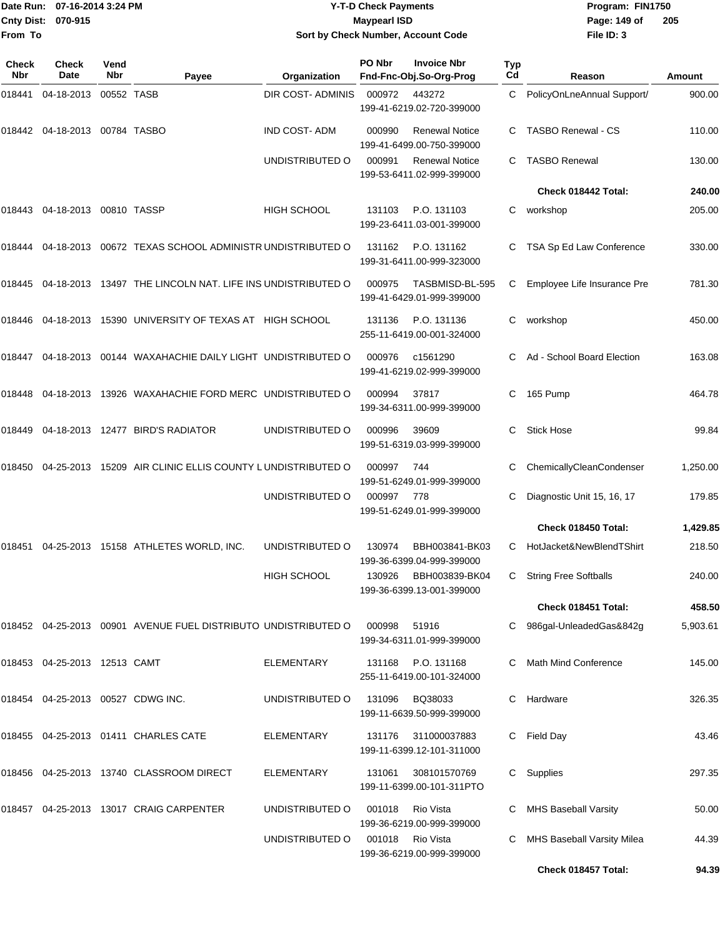|                    | Date Run: 07-16-2014 3:24 PM |
|--------------------|------------------------------|
| Cnty Dist: 070-915 |                              |
| From To            |                              |

#### **Date Run: Program: FIN1750 07-16-2014 3:24 PM Y-T-D Check Payments Cnty Dist: Page: 149 of 070-915 Maypearl ISD Sort by Check Number, Account Code**

**File ID: 3 205**

**Check 018457 Total: 94.39**

| Check<br>Nbr | Check<br>Date                     | Vend<br><b>Nbr</b> | Payee                                                             | Organization        | PO Nbr | <b>Invoice Nbr</b><br>Fnd-Fnc-Obj.So-Org-Prog      | Typ<br>Cd | Reason                       | Amount   |
|--------------|-----------------------------------|--------------------|-------------------------------------------------------------------|---------------------|--------|----------------------------------------------------|-----------|------------------------------|----------|
| 018441       | 04-18-2013                        | 00552 TASB         |                                                                   | DIR COST- ADMINIS   | 000972 | 443272<br>199-41-6219.02-720-399000                | C.        | PolicyOnLneAnnual Support/   | 900.00   |
| 018442       | 04-18-2013 00784 TASBO            |                    |                                                                   | <b>IND COST-ADM</b> | 000990 | <b>Renewal Notice</b><br>199-41-6499.00-750-399000 | C         | <b>TASBO Renewal - CS</b>    | 110.00   |
|              |                                   |                    |                                                                   | UNDISTRIBUTED O     | 000991 | <b>Renewal Notice</b><br>199-53-6411.02-999-399000 | C.        | <b>TASBO Renewal</b>         | 130.00   |
|              |                                   |                    |                                                                   |                     |        |                                                    |           | Check 018442 Total:          | 240.00   |
|              | 018443  04-18-2013  00810  TASSP  |                    |                                                                   | <b>HIGH SCHOOL</b>  | 131103 | P.O. 131103<br>199-23-6411.03-001-399000           | C         | workshop                     | 205.00   |
| 018444       |                                   |                    | 04-18-2013 00672 TEXAS SCHOOL ADMINISTR UNDISTRIBUTED O           |                     | 131162 | P.O. 131162<br>199-31-6411.00-999-323000           | C         | TSA Sp Ed Law Conference     | 330.00   |
|              |                                   |                    | 018445 04-18-2013 13497 THE LINCOLN NAT. LIFE INS UNDISTRIBUTED O |                     | 000975 | TASBMISD-BL-595<br>199-41-6429.01-999-399000       | C         | Employee Life Insurance Pre  | 781.30   |
|              |                                   |                    | 018446  04-18-2013  15390  UNIVERSITY OF TEXAS AT HIGH SCHOOL     |                     | 131136 | P.O. 131136<br>255-11-6419.00-001-324000           | С         | workshop                     | 450.00   |
| 018447       |                                   |                    | 04-18-2013 00144 WAXAHACHIE DAILY LIGHT UNDISTRIBUTED O           |                     | 000976 | c1561290<br>199-41-6219.02-999-399000              | C.        | Ad - School Board Election   | 163.08   |
| 018448       |                                   |                    | 04-18-2013 13926 WAXAHACHIE FORD MERC UNDISTRIBUTED O             |                     | 000994 | 37817<br>199-34-6311.00-999-399000                 | C         | 165 Pump                     | 464.78   |
|              |                                   |                    | 018449  04-18-2013  12477  BIRD'S RADIATOR                        | UNDISTRIBUTED O     | 000996 | 39609<br>199-51-6319.03-999-399000                 | C.        | <b>Stick Hose</b>            | 99.84    |
| 018450       |                                   |                    | 04-25-2013 15209 AIR CLINIC ELLIS COUNTY LUNDISTRIBUTED O         |                     | 000997 | 744<br>199-51-6249.01-999-399000                   | C         | ChemicallyCleanCondenser     | 1,250.00 |
|              |                                   |                    |                                                                   | UNDISTRIBUTED O     | 000997 | 778<br>199-51-6249.01-999-399000                   |           | Diagnostic Unit 15, 16, 17   | 179.85   |
|              |                                   |                    |                                                                   |                     |        |                                                    |           | Check 018450 Total:          | 1,429.85 |
| 018451       |                                   |                    | 04-25-2013 15158 ATHLETES WORLD, INC.                             | UNDISTRIBUTED O     | 130974 | BBH003841-BK03<br>199-36-6399.04-999-399000        | C         | HotJacket&NewBlendTShirt     | 218.50   |
|              |                                   |                    |                                                                   | <b>HIGH SCHOOL</b>  | 130926 | BBH003839-BK04<br>199-36-6399.13-001-399000        | С         | <b>String Free Softballs</b> | 240.00   |
|              |                                   |                    |                                                                   |                     |        |                                                    |           | Check 018451 Total:          | 458.50   |
|              |                                   |                    | 018452  04-25-2013  00901  AVENUE FUEL DISTRIBUTO UNDISTRIBUTED O |                     | 000998 | 51916<br>199-34-6311.01-999-399000                 |           | 986gal-UnleadedGas&842g      | 5,903.61 |
|              | 018453 04-25-2013 12513 CAMT      |                    |                                                                   | ELEMENTARY          | 131168 | P.O. 131168<br>255-11-6419.00-101-324000           | C         | Math Mind Conference         | 145.00   |
|              | 018454 04-25-2013 00527 CDWG INC. |                    |                                                                   | UNDISTRIBUTED O     | 131096 | BQ38033<br>199-11-6639.50-999-399000               | C         | Hardware                     | 326.35   |
|              |                                   |                    | 018455 04-25-2013 01411 CHARLES CATE                              | ELEMENTARY          | 131176 | 311000037883<br>199-11-6399.12-101-311000          | С         | Field Day                    | 43.46    |
|              |                                   |                    | 018456 04-25-2013 13740 CLASSROOM DIRECT                          | ELEMENTARY          | 131061 | 308101570769<br>199-11-6399.00-101-311PTO          | C.        | Supplies                     | 297.35   |
|              |                                   |                    | 018457 04-25-2013 13017 CRAIG CARPENTER                           | UNDISTRIBUTED O     | 001018 | Rio Vista<br>199-36-6219.00-999-399000             |           | <b>MHS Baseball Varsity</b>  | 50.00    |
|              |                                   |                    |                                                                   | UNDISTRIBUTED O     | 001018 | Rio Vista<br>199-36-6219.00-999-399000             | C         | MHS Baseball Varsity Milea   | 44.39    |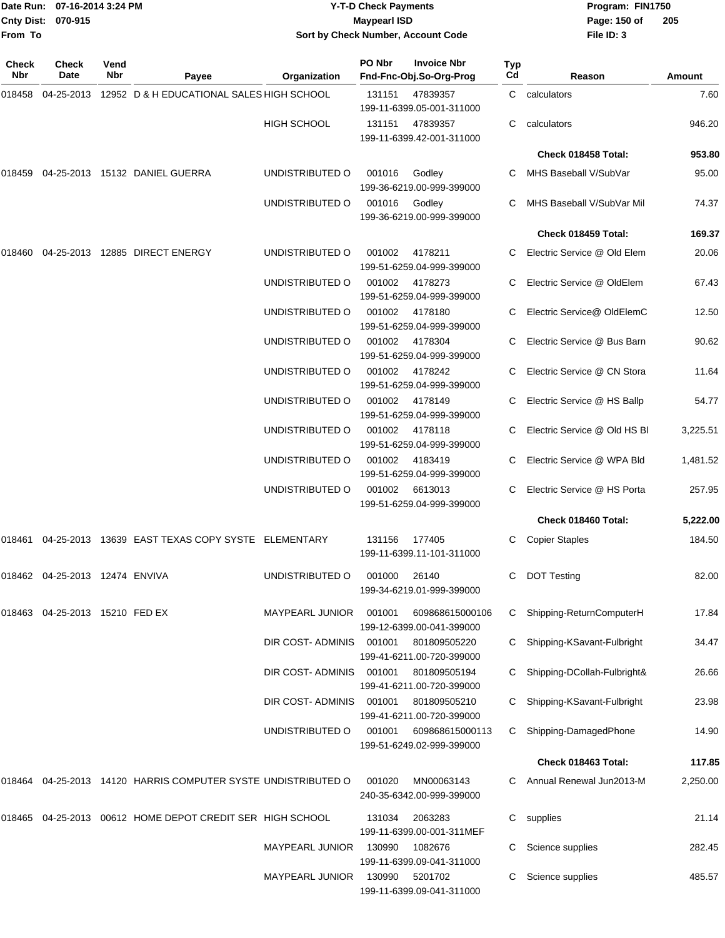| From To      | Date Run: 07-16-2014 3:24 PM<br>Cnty Dist: 070-915 |             |                                                               |                        | <b>Y-T-D Check Payments</b><br><b>Maypearl ISD</b> | Sort by Check Number, Account Code            |           | Program: FIN1750<br>Page: 150 of<br>205<br>File ID: 3 |          |
|--------------|----------------------------------------------------|-------------|---------------------------------------------------------------|------------------------|----------------------------------------------------|-----------------------------------------------|-----------|-------------------------------------------------------|----------|
| Check<br>Nbr | Check<br>Date                                      | Vend<br>Nbr | Payee                                                         | Organization           | PO Nbr                                             | <b>Invoice Nbr</b><br>Fnd-Fnc-Obj.So-Org-Prog | Typ<br>Cd | Reason                                                | Amount   |
| 018458       |                                                    |             | 04-25-2013 12952 D & H EDUCATIONAL SALES HIGH SCHOOL          |                        | 131151                                             | 47839357<br>199-11-6399.05-001-311000         |           | C calculators                                         | 7.60     |
|              |                                                    |             |                                                               | <b>HIGH SCHOOL</b>     | 131151                                             | 47839357<br>199-11-6399.42-001-311000         | C.        | calculators                                           | 946.20   |
|              |                                                    |             |                                                               |                        |                                                    |                                               |           | Check 018458 Total:                                   | 953.80   |
|              |                                                    |             | 018459  04-25-2013  15132  DANIEL GUERRA                      | UNDISTRIBUTED O        | 001016                                             | Godley<br>199-36-6219.00-999-399000           | C.        | MHS Baseball V/SubVar                                 | 95.00    |
|              |                                                    |             |                                                               | UNDISTRIBUTED O        | 001016                                             | Godley<br>199-36-6219.00-999-399000           |           | MHS Baseball V/SubVar Mil                             | 74.37    |
|              |                                                    |             |                                                               |                        |                                                    |                                               |           | Check 018459 Total:                                   | 169.37   |
| 018460       |                                                    |             | 04-25-2013  12885  DIRECT ENERGY                              | UNDISTRIBUTED O        | 001002                                             | 4178211<br>199-51-6259.04-999-399000          |           | Electric Service @ Old Elem                           | 20.06    |
|              |                                                    |             |                                                               | UNDISTRIBUTED O        | 001002                                             | 4178273<br>199-51-6259.04-999-399000          |           | Electric Service @ OldElem                            | 67.43    |
|              |                                                    |             |                                                               | UNDISTRIBUTED O        | 001002                                             | 4178180<br>199-51-6259.04-999-399000          |           | Electric Service@ OldElemC                            | 12.50    |
|              |                                                    |             |                                                               | UNDISTRIBUTED O        | 001002                                             | 4178304<br>199-51-6259.04-999-399000          |           | Electric Service @ Bus Barn                           | 90.62    |
|              |                                                    |             |                                                               | UNDISTRIBUTED O        | 001002                                             | 4178242<br>199-51-6259.04-999-399000          |           | Electric Service @ CN Stora                           | 11.64    |
|              |                                                    |             |                                                               | UNDISTRIBUTED O        | 001002                                             | 4178149<br>199-51-6259.04-999-399000          |           | C Electric Service @ HS Ballp                         | 54.77    |
|              |                                                    |             |                                                               | UNDISTRIBUTED O        | 001002                                             | 4178118<br>199-51-6259.04-999-399000          |           | Electric Service @ Old HS BI                          | 3,225.51 |
|              |                                                    |             |                                                               | UNDISTRIBUTED O        | 001002                                             | 4183419<br>199-51-6259.04-999-399000          |           | Electric Service @ WPA Bld                            | 1,481.52 |
|              |                                                    |             |                                                               | UNDISTRIBUTED O        | 001002                                             | 6613013<br>199-51-6259.04-999-399000          | C         | Electric Service @ HS Porta                           | 257.95   |
|              |                                                    |             |                                                               |                        |                                                    |                                               |           | Check 018460 Total:                                   | 5,222.00 |
|              |                                                    |             | 018461  04-25-2013  13639  EAST TEXAS COPY SYSTE  ELEMENTARY  |                        | 131156                                             | 177405<br>199-11-6399.11-101-311000           |           | C Copier Staples                                      | 184.50   |
|              | 018462 04-25-2013 12474 ENVIVA                     |             |                                                               | UNDISTRIBUTED O        | 001000                                             | 26140<br>199-34-6219.01-999-399000            |           | <b>DOT Testing</b>                                    | 82.00    |
|              | 018463 04-25-2013 15210 FED EX                     |             |                                                               | <b>MAYPEARL JUNIOR</b> | 001001                                             | 609868615000106<br>199-12-6399.00-041-399000  |           | C Shipping-ReturnComputerH                            | 17.84    |
|              |                                                    |             |                                                               | DIR COST- ADMINIS      | 001001                                             | 801809505220<br>199-41-6211.00-720-399000     |           | Shipping-KSavant-Fulbright                            | 34.47    |
|              |                                                    |             |                                                               | DIR COST- ADMINIS      | 001001                                             | 801809505194<br>199-41-6211.00-720-399000     |           | Shipping-DCollah-Fulbright&                           | 26.66    |
|              |                                                    |             |                                                               | DIR COST- ADMINIS      | 001001                                             | 801809505210<br>199-41-6211.00-720-399000     |           | Shipping-KSavant-Fulbright                            | 23.98    |
|              |                                                    |             |                                                               | UNDISTRIBUTED O        | 001001                                             | 609868615000113<br>199-51-6249.02-999-399000  | C.        | Shipping-DamagedPhone                                 | 14.90    |
|              |                                                    |             |                                                               |                        |                                                    |                                               |           | Check 018463 Total:                                   | 117.85   |
|              |                                                    |             | 018464 04-25-2013 14120 HARRIS COMPUTER SYSTE UNDISTRIBUTED O |                        | 001020                                             | MN00063143<br>240-35-6342.00-999-399000       |           | C Annual Renewal Jun2013-M                            | 2,250.00 |
|              |                                                    |             | 018465 04-25-2013 00612 HOME DEPOT CREDIT SER HIGH SCHOOL     |                        | 131034                                             | 2063283<br>199-11-6399.00-001-311MEF          |           | C supplies                                            | 21.14    |
|              |                                                    |             |                                                               | <b>MAYPEARL JUNIOR</b> | 130990                                             | 1082676<br>199-11-6399.09-041-311000          |           | C Science supplies                                    | 282.45   |
|              |                                                    |             |                                                               | <b>MAYPEARL JUNIOR</b> | 130990                                             | 5201702<br>199-11-6399.09-041-311000          |           | C Science supplies                                    | 485.57   |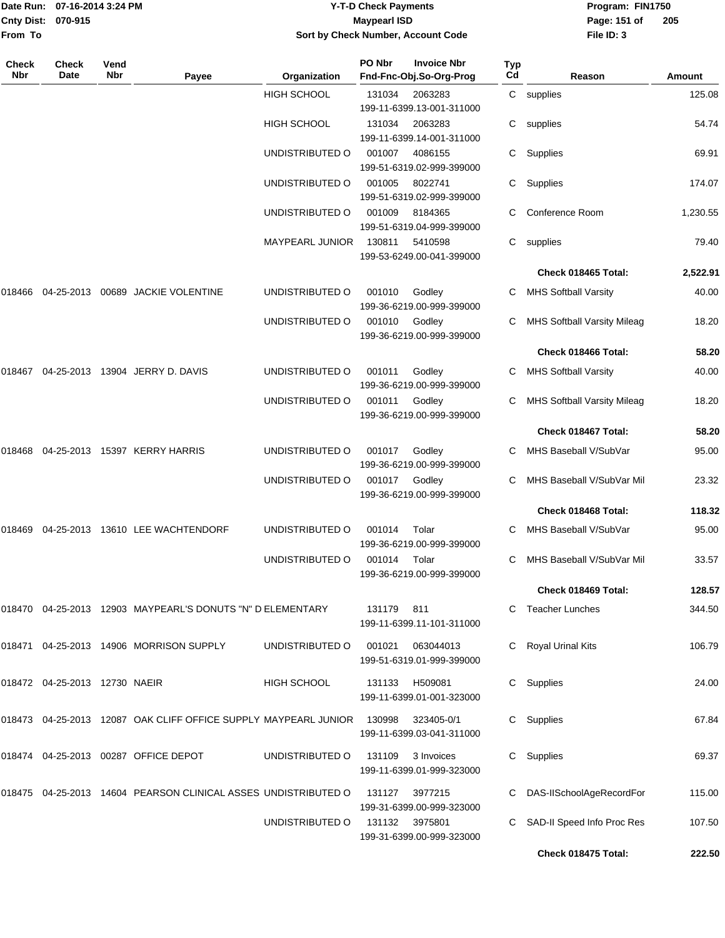|                    | Date Run: 07-16-2014 3:24 PM |
|--------------------|------------------------------|
| Cnty Dist: 070-915 |                              |
| <b>From To</b>     |                              |

#### **Date Run: Program: FIN1750 07-16-2014 3:24 PM Y-T-D Check Payments Cnty Dist: Page: 151 of 070-915 Maypearl ISD Sort by Check Number, Account Code**

| Check<br>Nbr | Check<br>Date                    | Vend<br><b>Nbr</b> | Payee                                                           | Organization           | PO Nbr        | <b>Invoice Nbr</b><br>Fnd-Fnc-Obj.So-Org-Prog | <b>Typ</b><br>Cd | Reason                             | <b>Amount</b> |
|--------------|----------------------------------|--------------------|-----------------------------------------------------------------|------------------------|---------------|-----------------------------------------------|------------------|------------------------------------|---------------|
|              |                                  |                    |                                                                 | <b>HIGH SCHOOL</b>     | 131034        | 2063283<br>199-11-6399.13-001-311000          | C                | supplies                           | 125.08        |
|              |                                  |                    |                                                                 | <b>HIGH SCHOOL</b>     | 131034        | 2063283<br>199-11-6399.14-001-311000          | С                | supplies                           | 54.74         |
|              |                                  |                    |                                                                 | UNDISTRIBUTED O        | 001007        | 4086155<br>199-51-6319.02-999-399000          | C.               | Supplies                           | 69.91         |
|              |                                  |                    |                                                                 | UNDISTRIBUTED O        | 001005        | 8022741<br>199-51-6319.02-999-399000          | C.               | Supplies                           | 174.07        |
|              |                                  |                    |                                                                 | UNDISTRIBUTED O        | 001009        | 8184365<br>199-51-6319.04-999-399000          |                  | Conference Room                    | 1,230.55      |
|              |                                  |                    |                                                                 | <b>MAYPEARL JUNIOR</b> | 130811        | 5410598<br>199-53-6249.00-041-399000          | C.               | supplies                           | 79.40         |
|              |                                  |                    |                                                                 |                        |               |                                               |                  | Check 018465 Total:                | 2,522.91      |
|              |                                  |                    | 018466  04-25-2013  00689  JACKIE VOLENTINE                     | UNDISTRIBUTED O        | 001010        | Godley<br>199-36-6219.00-999-399000           |                  | <b>MHS Softball Varsity</b>        | 40.00         |
|              |                                  |                    |                                                                 | UNDISTRIBUTED O        | 001010        | Godley<br>199-36-6219.00-999-399000           |                  | <b>MHS Softball Varsity Mileag</b> | 18.20         |
|              |                                  |                    |                                                                 |                        |               |                                               |                  | Check 018466 Total:                | 58.20         |
| 018467       |                                  |                    | 04-25-2013 13904 JERRY D. DAVIS                                 | UNDISTRIBUTED O        | 001011        | Godley<br>199-36-6219.00-999-399000           | C                | <b>MHS Softball Varsity</b>        | 40.00         |
|              |                                  |                    |                                                                 | UNDISTRIBUTED O        | 001011        | Godley<br>199-36-6219.00-999-399000           | С                | MHS Softball Varsity Mileag        | 18.20         |
|              |                                  |                    |                                                                 |                        |               |                                               |                  | Check 018467 Total:                | 58.20         |
| 018468       |                                  |                    | 04-25-2013 15397 KERRY HARRIS                                   | UNDISTRIBUTED O        | 001017        | Godley<br>199-36-6219.00-999-399000           | C.               | MHS Baseball V/SubVar              | 95.00         |
|              |                                  |                    |                                                                 | UNDISTRIBUTED O        | 001017 Godley | 199-36-6219.00-999-399000                     |                  | MHS Baseball V/SubVar Mil          | 23.32         |
|              |                                  |                    |                                                                 |                        |               |                                               |                  | Check 018468 Total:                | 118.32        |
| 018469       |                                  |                    | 04-25-2013 13610 LEE WACHTENDORF                                | UNDISTRIBUTED O        | 001014        | Tolar<br>199-36-6219.00-999-399000            |                  | MHS Baseball V/SubVar              | 95.00         |
|              |                                  |                    |                                                                 | UNDISTRIBUTED O        | 001014        | Tolar<br>199-36-6219.00-999-399000            | С                | MHS Baseball V/SubVar Mil          | 33.57         |
|              |                                  |                    |                                                                 |                        |               |                                               |                  | Check 018469 Total:                | 128.57        |
|              |                                  |                    | 018470  04-25-2013  12903  MAYPEARL'S DONUTS "N" D ELEMENTARY   |                        | 131179        | 811<br>199-11-6399.11-101-311000              |                  | <b>Teacher Lunches</b>             | 344.50        |
|              |                                  |                    | 018471 04-25-2013 14906 MORRISON SUPPLY                         | UNDISTRIBUTED O        | 001021        | 063044013<br>199-51-6319.01-999-399000        |                  | C Royal Urinal Kits                | 106.79        |
|              | 018472  04-25-2013  12730  NAEIR |                    |                                                                 | HIGH SCHOOL            | 131133        | H509081<br>199-11-6399.01-001-323000          |                  | C Supplies                         | 24.00         |
|              |                                  |                    | 018473 04-25-2013 12087 OAK CLIFF OFFICE SUPPLY MAYPEARL JUNIOR |                        | 130998        | 323405-0/1<br>199-11-6399.03-041-311000       | C.               | Supplies                           | 67.84         |
|              |                                  |                    | 018474 04-25-2013 00287 OFFICE DEPOT                            | UNDISTRIBUTED O        | 131109        | 3 Invoices<br>199-11-6399.01-999-323000       |                  | C Supplies                         | 69.37         |
|              |                                  |                    | 018475 04-25-2013 14604 PEARSON CLINICAL ASSES UNDISTRIBUTED O  |                        | 131127        | 3977215<br>199-31-6399.00-999-323000          |                  | C DAS-IISchoolAgeRecordFor         | 115.00        |
|              |                                  |                    |                                                                 | UNDISTRIBUTED O        |               | 131132 3975801<br>199-31-6399.00-999-323000   |                  | SAD-II Speed Info Proc Res         | 107.50        |
|              |                                  |                    |                                                                 |                        |               |                                               |                  | Check 018475 Total:                | 222.50        |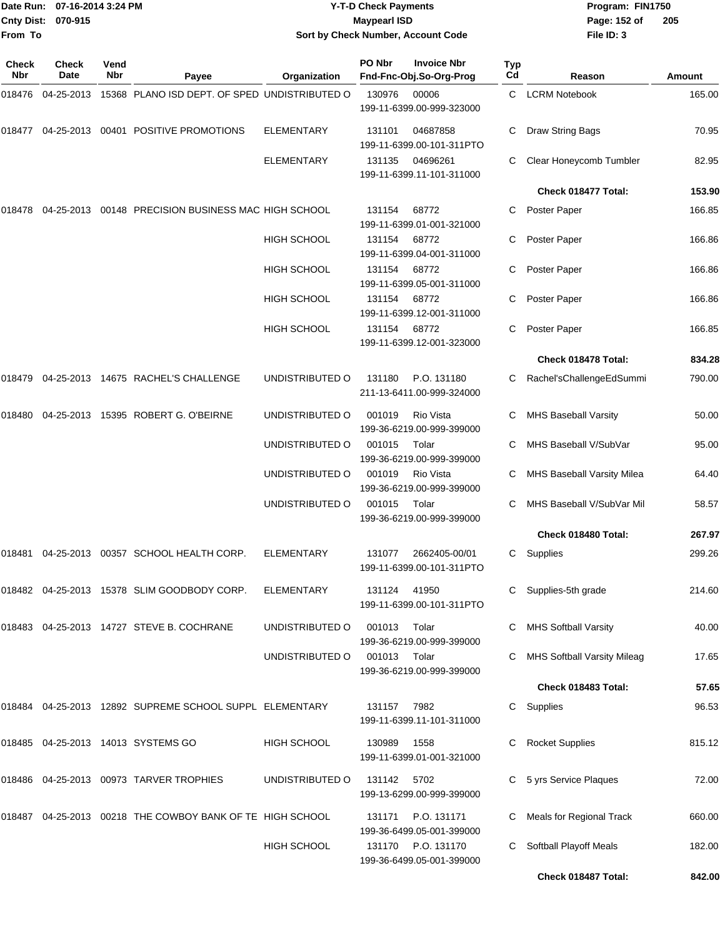| <b>Cnty Dist:</b><br>From To | Date Run: 07-16-2014 3:24 PM<br>070-915 |             |                                                                 |                    | <b>Y-T-D Check Payments</b><br><b>Maypearl ISD</b> | Sort by Check Number, Account Code            |           | Page: 152 of<br>File ID: 3         | Program: FIN1750<br>205 |  |  |
|------------------------------|-----------------------------------------|-------------|-----------------------------------------------------------------|--------------------|----------------------------------------------------|-----------------------------------------------|-----------|------------------------------------|-------------------------|--|--|
| <b>Check</b><br>Nbr          | <b>Check</b><br>Date                    | Vend<br>Nbr | Payee                                                           | Organization       | PO Nbr                                             | <b>Invoice Nbr</b><br>Fnd-Fnc-Obj.So-Org-Prog | Typ<br>Cd | Reason                             | Amount                  |  |  |
| 018476                       | 04-25-2013                              |             | 15368 PLANO ISD DEPT. OF SPED UNDISTRIBUTED O                   |                    | 130976                                             | 00006<br>199-11-6399.00-999-323000            | C.        | <b>LCRM Notebook</b>               | 165.00                  |  |  |
|                              |                                         |             | 018477  04-25-2013  00401  POSITIVE PROMOTIONS                  | <b>ELEMENTARY</b>  | 131101                                             | 04687858<br>199-11-6399.00-101-311PTO         | С         | Draw String Bags                   | 70.95                   |  |  |
|                              |                                         |             |                                                                 | <b>ELEMENTARY</b>  | 131135                                             | 04696261<br>199-11-6399.11-101-311000         | C         | Clear Honeycomb Tumbler            | 82.95                   |  |  |
|                              |                                         |             |                                                                 |                    |                                                    |                                               |           | Check 018477 Total:                | 153.90                  |  |  |
| 018478                       |                                         |             | 04-25-2013  00148  PRECISION BUSINESS MAC HIGH SCHOOL           |                    | 131154                                             | 68772<br>199-11-6399.01-001-321000            | C         | Poster Paper                       | 166.85                  |  |  |
|                              |                                         |             |                                                                 | HIGH SCHOOL        | 131154                                             | 68772<br>199-11-6399.04-001-311000            | С         | Poster Paper                       | 166.86                  |  |  |
|                              |                                         |             |                                                                 | HIGH SCHOOL        | 131154                                             | 68772<br>199-11-6399.05-001-311000            | С         | Poster Paper                       | 166.86                  |  |  |
|                              |                                         |             |                                                                 | <b>HIGH SCHOOL</b> | 131154                                             | 68772<br>199-11-6399.12-001-311000            | C         | Poster Paper                       | 166.86                  |  |  |
|                              |                                         |             |                                                                 | <b>HIGH SCHOOL</b> | 131154                                             | 68772<br>199-11-6399.12-001-323000            |           | Poster Paper                       | 166.85                  |  |  |
|                              |                                         |             |                                                                 |                    |                                                    |                                               |           | Check 018478 Total:                | 834.28                  |  |  |
|                              |                                         |             | 018479  04-25-2013  14675  RACHEL'S CHALLENGE                   | UNDISTRIBUTED O    | 131180                                             | P.O. 131180<br>211-13-6411.00-999-324000      | C         | Rachel'sChallengeEdSummi           | 790.00                  |  |  |
| 018480                       |                                         |             | 04-25-2013 15395 ROBERT G. O'BEIRNE                             | UNDISTRIBUTED O    | 001019                                             | Rio Vista<br>199-36-6219.00-999-399000        | С         | <b>MHS Baseball Varsity</b>        | 50.00                   |  |  |
|                              |                                         |             |                                                                 | UNDISTRIBUTED O    | 001015                                             | Tolar<br>199-36-6219.00-999-399000            | C         | MHS Baseball V/SubVar              | 95.00                   |  |  |
|                              |                                         |             |                                                                 | UNDISTRIBUTED O    | 001019                                             | Rio Vista<br>199-36-6219.00-999-399000        |           | MHS Baseball Varsity Milea         | 64.40                   |  |  |
|                              |                                         |             |                                                                 | UNDISTRIBUTED O    | 001015                                             | Tolar<br>199-36-6219.00-999-399000            | C.        | MHS Baseball V/SubVar Mil          | 58.57                   |  |  |
|                              |                                         |             |                                                                 |                    |                                                    |                                               |           | Check 018480 Total:                | 267.97                  |  |  |
|                              |                                         |             | 018481  04-25-2013  00357  SCHOOL HEALTH CORP.                  | ELEMENTARY         | 131077                                             | 2662405-00/01<br>199-11-6399.00-101-311PTO    |           | C Supplies                         | 299.26                  |  |  |
|                              |                                         |             | 018482  04-25-2013  15378  SLIM GOODBODY CORP.                  | ELEMENTARY         | 131124                                             | 41950<br>199-11-6399.00-101-311PTO            |           | Supplies-5th grade                 | 214.60                  |  |  |
|                              |                                         |             | 018483  04-25-2013  14727  STEVE B. COCHRANE                    | UNDISTRIBUTED O    | 001013                                             | Tolar<br>199-36-6219.00-999-399000            |           | <b>MHS Softball Varsity</b>        | 40.00                   |  |  |
|                              |                                         |             |                                                                 | UNDISTRIBUTED O    | 001013                                             | Tolar<br>199-36-6219.00-999-399000            |           | <b>MHS Softball Varsity Mileag</b> | 17.65                   |  |  |
|                              |                                         |             |                                                                 |                    |                                                    |                                               |           | Check 018483 Total:                | 57.65                   |  |  |
|                              |                                         |             | 018484   04-25-2013   12892   SUPREME SCHOOL SUPPL   ELEMENTARY |                    | 131157                                             | 7982<br>199-11-6399.11-101-311000             |           | C Supplies                         | 96.53                   |  |  |
|                              |                                         |             | 018485  04-25-2013  14013  SYSTEMS  GO                          | HIGH SCHOOL        | 130989                                             | 1558<br>199-11-6399.01-001-321000             | C         | <b>Rocket Supplies</b>             | 815.12                  |  |  |
|                              |                                         |             | 018486  04-25-2013  00973  TARVER TROPHIES                      | UNDISTRIBUTED O    | 131142 5702                                        | 199-13-6299.00-999-399000                     |           | C 5 yrs Service Plaques            | 72.00                   |  |  |
|                              |                                         |             | 018487  04-25-2013  00218  THE COWBOY BANK OF TE HIGH SCHOOL    |                    | 131171                                             | P.O. 131171<br>199-36-6499.05-001-399000      | C         | Meals for Regional Track           | 660.00                  |  |  |
|                              |                                         |             |                                                                 | <b>HIGH SCHOOL</b> |                                                    | 131170 P.O. 131170                            |           | C Softball Playoff Meals           | 182.00                  |  |  |

199-36-6499.05-001-399000

**Check 018487 Total: 842.00**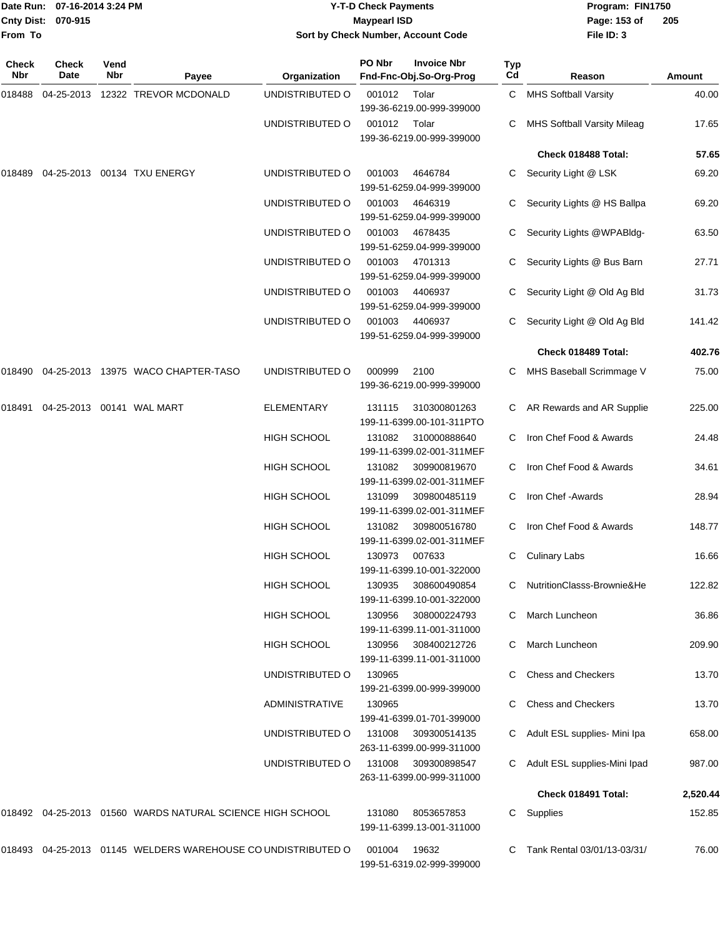|              | Date Run: 07-16-2014 3:24 PM |             |                                                              | <b>Y-T-D Check Payments</b> |                     |                                               | Program: FIN1750 |                                    |          |
|--------------|------------------------------|-------------|--------------------------------------------------------------|-----------------------------|---------------------|-----------------------------------------------|------------------|------------------------------------|----------|
|              | Cnty Dist: 070-915           |             |                                                              |                             | <b>Maypearl ISD</b> |                                               |                  | Page: 153 of                       | 205      |
| From To      |                              |             |                                                              |                             |                     | Sort by Check Number, Account Code            |                  | File ID: 3                         |          |
| Check<br>Nbr | Check<br>Date                | Vend<br>Nbr | Payee                                                        | Organization                | PO Nbr              | <b>Invoice Nbr</b><br>Fnd-Fnc-Obj.So-Org-Prog | Typ<br>Cd        | Reason                             | Amount   |
| 018488       |                              |             | 04-25-2013 12322 TREVOR MCDONALD                             | UNDISTRIBUTED O             | 001012              | Tolar                                         |                  | C MHS Softball Varsity             | 40.00    |
|              |                              |             |                                                              |                             |                     | 199-36-6219.00-999-399000                     |                  |                                    |          |
|              |                              |             |                                                              | UNDISTRIBUTED O             | 001012              | Tolar<br>199-36-6219.00-999-399000            | C.               | <b>MHS Softball Varsity Mileag</b> | 17.65    |
|              |                              |             |                                                              |                             |                     |                                               |                  | Check 018488 Total:                | 57.65    |
| 018489       |                              |             | 04-25-2013 00134 TXU ENERGY                                  | UNDISTRIBUTED O             | 001003              | 4646784<br>199-51-6259.04-999-399000          |                  | C Security Light @ LSK             | 69.20    |
|              |                              |             |                                                              | UNDISTRIBUTED O             | 001003              | 4646319<br>199-51-6259.04-999-399000          |                  | Security Lights @ HS Ballpa        | 69.20    |
|              |                              |             |                                                              | UNDISTRIBUTED O             | 001003              | 4678435<br>199-51-6259.04-999-399000          |                  | Security Lights @WPABldg-          | 63.50    |
|              |                              |             |                                                              | UNDISTRIBUTED O             | 001003              | 4701313<br>199-51-6259.04-999-399000          |                  | Security Lights @ Bus Barn         | 27.71    |
|              |                              |             |                                                              | UNDISTRIBUTED O             | 001003              | 4406937<br>199-51-6259.04-999-399000          |                  | Security Light @ Old Ag Bld        | 31.73    |
|              |                              |             |                                                              | UNDISTRIBUTED O             | 001003              | 4406937<br>199-51-6259.04-999-399000          |                  | Security Light @ Old Ag Bld        | 141.42   |
|              |                              |             |                                                              |                             |                     |                                               |                  | Check 018489 Total:                | 402.76   |
| 018490       |                              |             | 04-25-2013 13975 WACO CHAPTER-TASO                           | UNDISTRIBUTED O             | 000999              | 2100<br>199-36-6219.00-999-399000             |                  | MHS Baseball Scrimmage V           | 75.00    |
| 018491       | 04-25-2013  00141  WAL MART  |             |                                                              | <b>ELEMENTARY</b>           | 131115              | 310300801263<br>199-11-6399.00-101-311PTO     |                  | C AR Rewards and AR Supplie        | 225.00   |
|              |                              |             |                                                              | <b>HIGH SCHOOL</b>          | 131082              | 310000888640<br>199-11-6399.02-001-311MEF     | C                | Iron Chef Food & Awards            | 24.48    |
|              |                              |             |                                                              | <b>HIGH SCHOOL</b>          | 131082              | 309900819670<br>199-11-6399.02-001-311MEF     |                  | Iron Chef Food & Awards            | 34.61    |
|              |                              |             |                                                              | <b>HIGH SCHOOL</b>          | 131099              | 309800485119<br>199-11-6399.02-001-311MEF     | C                | Iron Chef - Awards                 | 28.94    |
|              |                              |             |                                                              | HIGH SCHOOL                 | 131082              | 309800516780<br>199-11-6399.02-001-311MEF     |                  | Iron Chef Food & Awards            | 148.77   |
|              |                              |             |                                                              | <b>HIGH SCHOOL</b>          | 130973              | 007633<br>199-11-6399.10-001-322000           |                  | C Culinary Labs                    | 16.66    |
|              |                              |             |                                                              | <b>HIGH SCHOOL</b>          | 130935              | 308600490854<br>199-11-6399.10-001-322000     |                  | C NutritionClasss-Brownie&He       | 122.82   |
|              |                              |             |                                                              | HIGH SCHOOL                 | 130956              | 308000224793<br>199-11-6399.11-001-311000     |                  | C March Luncheon                   | 36.86    |
|              |                              |             |                                                              | <b>HIGH SCHOOL</b>          | 130956              | 308400212726<br>199-11-6399.11-001-311000     | C                | March Luncheon                     | 209.90   |
|              |                              |             |                                                              | UNDISTRIBUTED O             | 130965              | 199-21-6399.00-999-399000                     | C.               | <b>Chess and Checkers</b>          | 13.70    |
|              |                              |             |                                                              | ADMINISTRATIVE              | 130965              | 199-41-6399.01-701-399000                     |                  | <b>Chess and Checkers</b>          | 13.70    |
|              |                              |             |                                                              | UNDISTRIBUTED O             | 131008              | 309300514135<br>263-11-6399.00-999-311000     |                  | C Adult ESL supplies- Mini Ipa     | 658.00   |
|              |                              |             |                                                              | UNDISTRIBUTED O             | 131008              | 309300898547<br>263-11-6399.00-999-311000     |                  | C Adult ESL supplies-Mini Ipad     | 987.00   |
|              |                              |             |                                                              |                             |                     |                                               |                  | Check 018491 Total:                | 2,520.44 |
|              |                              |             | 018492 04-25-2013 01560 WARDS NATURAL SCIENCE HIGH SCHOOL    |                             | 131080              | 8053657853<br>199-11-6399.13-001-311000       |                  | C Supplies                         | 152.85   |
|              |                              |             | 018493 04-25-2013 01145 WELDERS WAREHOUSE CO UNDISTRIBUTED O |                             | 001004 19632        |                                               |                  | C Tank Rental 03/01/13-03/31/      | 76.00    |

199-51-6319.02-999-399000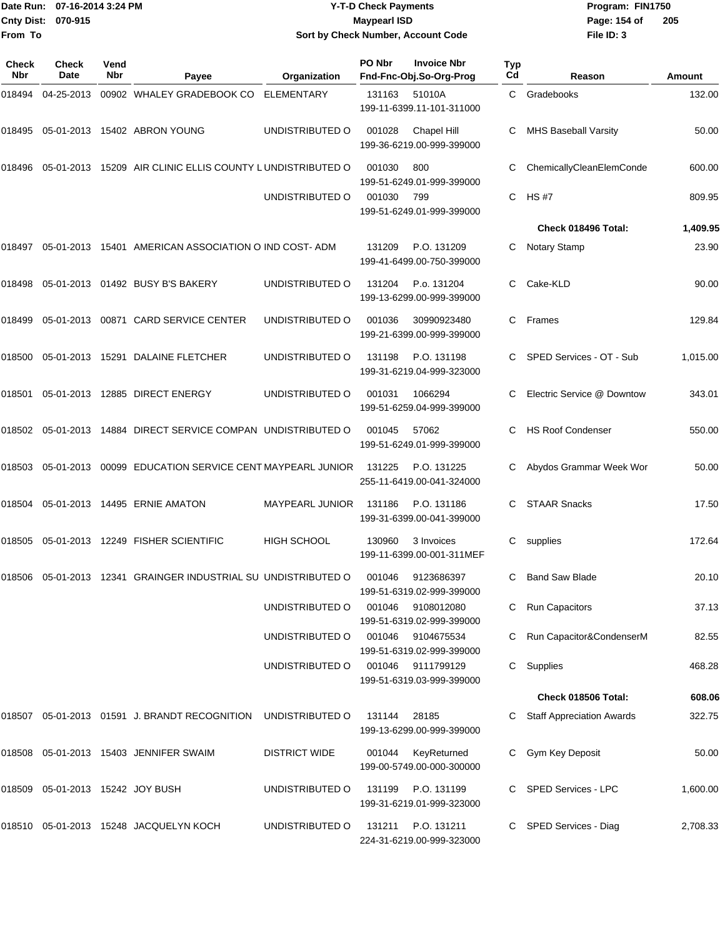| <b>Cnty Dist:</b><br>From To | Date Run: 07-16-2014 3:24 PM<br>070-915 |             |                                                                |                        | <b>Y-T-D Check Payments</b><br><b>Maypearl ISD</b> | Sort by Check Number, Account Code            |           | Program: FIN1750<br>Page: 154 of<br>205<br>File ID: 3 |          |  |
|------------------------------|-----------------------------------------|-------------|----------------------------------------------------------------|------------------------|----------------------------------------------------|-----------------------------------------------|-----------|-------------------------------------------------------|----------|--|
| <b>Check</b><br><b>Nbr</b>   | <b>Check</b><br>Date                    | Vend<br>Nbr | Payee                                                          | Organization           | PO Nbr                                             | <b>Invoice Nbr</b><br>Fnd-Fnc-Obj.So-Org-Prog | Typ<br>Cd | Reason                                                | Amount   |  |
| 018494                       | 04-25-2013                              |             | 00902 WHALEY GRADEBOOK CO                                      | ELEMENTARY             | 131163                                             | 51010A<br>199-11-6399.11-101-311000           | C.        | Gradebooks                                            | 132.00   |  |
| 018495                       |                                         |             | 05-01-2013 15402 ABRON YOUNG                                   | UNDISTRIBUTED O        | 001028                                             | Chapel Hill<br>199-36-6219.00-999-399000      |           | <b>MHS Baseball Varsity</b>                           | 50.00    |  |
| 018496                       | 05-01-2013                              |             | 15209 AIR CLINIC ELLIS COUNTY LUNDISTRIBUTED O                 |                        | 001030                                             | 800<br>199-51-6249.01-999-399000              | С         | ChemicallyCleanElemConde                              | 600.00   |  |
|                              |                                         |             |                                                                | UNDISTRIBUTED O        | 001030                                             | 799<br>199-51-6249.01-999-399000              | C         | <b>HS#7</b>                                           | 809.95   |  |
|                              |                                         |             |                                                                |                        |                                                    |                                               |           | Check 018496 Total:                                   | 1,409.95 |  |
|                              |                                         |             | 018497 05-01-2013 15401 AMERICAN ASSOCIATION O IND COST-ADM    |                        | 131209                                             | P.O. 131209<br>199-41-6499.00-750-399000      | C         | Notary Stamp                                          | 23.90    |  |
| 018498                       |                                         |             | 05-01-2013  01492  BUSY B'S BAKERY                             | UNDISTRIBUTED O        | 131204                                             | P.o. 131204<br>199-13-6299.00-999-399000      | C         | Cake-KLD                                              | 90.00    |  |
| 018499                       | 05-01-2013                              |             | 00871 CARD SERVICE CENTER                                      | UNDISTRIBUTED O        | 001036                                             | 30990923480<br>199-21-6399.00-999-399000      | C         | Frames                                                | 129.84   |  |
| 018500                       |                                         |             | 05-01-2013 15291 DALAINE FLETCHER                              | UNDISTRIBUTED O        | 131198                                             | P.O. 131198<br>199-31-6219.04-999-323000      | C         | SPED Services - OT - Sub                              | 1,015.00 |  |
| 018501                       |                                         |             | 05-01-2013 12885 DIRECT ENERGY                                 | UNDISTRIBUTED O        | 001031                                             | 1066294<br>199-51-6259.04-999-399000          | C         | Electric Service @ Downtow                            | 343.01   |  |
| 018502                       |                                         |             | 05-01-2013 14884 DIRECT SERVICE COMPAN UNDISTRIBUTED O         |                        | 001045                                             | 57062<br>199-51-6249.01-999-399000            | C         | <b>HS Roof Condenser</b>                              | 550.00   |  |
| 018503                       | 05-01-2013                              |             | 00099 EDUCATION SERVICE CENT MAYPEARL JUNIOR                   |                        | 131225                                             | P.O. 131225<br>255-11-6419.00-041-324000      | C         | Abydos Grammar Week Wor                               | 50.00    |  |
| 018504                       |                                         |             | 05-01-2013  14495  ERNIE AMATON                                | <b>MAYPEARL JUNIOR</b> | 131186                                             | P.O. 131186<br>199-31-6399.00-041-399000      |           | <b>STAAR Snacks</b>                                   | 17.50    |  |
|                              |                                         |             | 018505 05-01-2013 12249 FISHER SCIENTIFIC                      | HIGH SCHOOL            | 130960                                             | 3 Invoices<br>199-11-6399.00-001-311MEF       | C.        | supplies                                              | 172.64   |  |
|                              |                                         |             | 018506 05-01-2013 12341 GRAINGER INDUSTRIAL SU UNDISTRIBUTED O |                        | 001046                                             | 9123686397<br>199-51-6319.02-999-399000       |           | <b>Band Saw Blade</b>                                 | 20.10    |  |
|                              |                                         |             |                                                                | UNDISTRIBUTED O        | 001046                                             | 9108012080<br>199-51-6319.02-999-399000       | С         | Run Capacitors                                        | 37.13    |  |
|                              |                                         |             |                                                                | UNDISTRIBUTED O        | 001046                                             | 9104675534<br>199-51-6319.02-999-399000       | С         | Run Capacitor&CondenserM                              | 82.55    |  |
|                              |                                         |             |                                                                | UNDISTRIBUTED O        | 001046                                             | 9111799129<br>199-51-6319.03-999-399000       | C         | Supplies                                              | 468.28   |  |
|                              |                                         |             |                                                                |                        |                                                    |                                               |           | Check 018506 Total:                                   | 608.06   |  |
|                              |                                         |             | 018507 05-01-2013 01591 J. BRANDT RECOGNITION                  | UNDISTRIBUTED O        | 131144                                             | 28185<br>199-13-6299.00-999-399000            |           | <b>Staff Appreciation Awards</b>                      | 322.75   |  |
|                              |                                         |             | 018508 05-01-2013 15403 JENNIFER SWAIM                         | <b>DISTRICT WIDE</b>   | 001044                                             | KeyReturned<br>199-00-5749.00-000-300000      |           | C Gym Key Deposit                                     | 50.00    |  |
|                              | 018509  05-01-2013  15242  JOY BUSH     |             |                                                                | UNDISTRIBUTED O        | 131199                                             | P.O. 131199<br>199-31-6219.01-999-323000      |           | SPED Services - LPC                                   | 1,600.00 |  |
|                              |                                         |             | 018510 05-01-2013 15248 JACQUELYN KOCH                         | UNDISTRIBUTED O        | 131211                                             | P.O. 131211                                   |           | C SPED Services - Diag                                | 2,708.33 |  |

224-31-6219.00-999-323000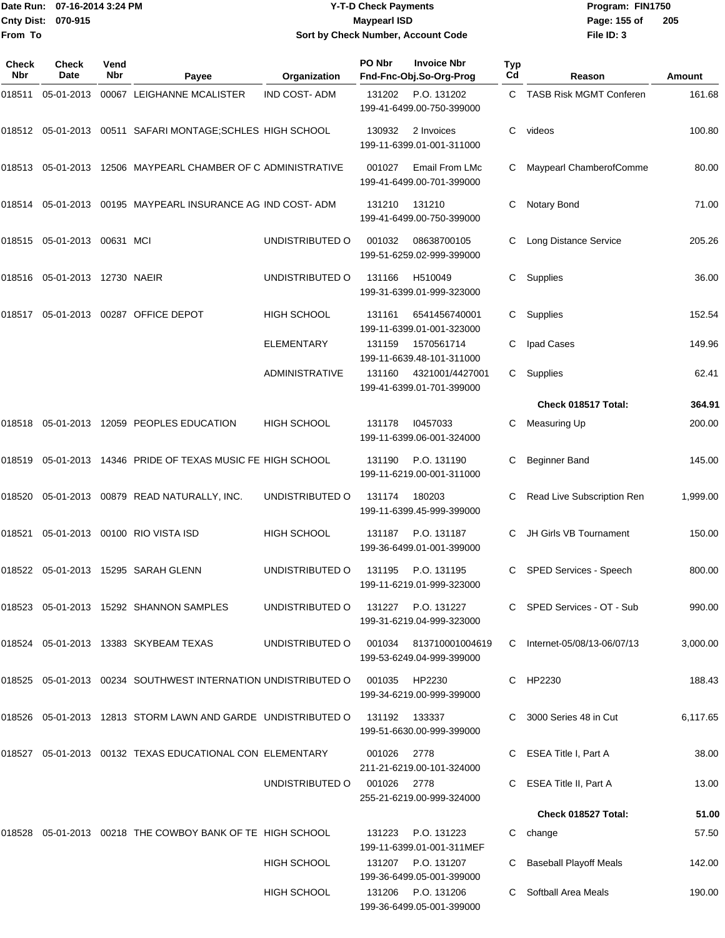**From To**

#### Date Run: 07-16-2014 3:24 PM **Program:** FIN1750 **Cnty Dist:** 070-915 **Page: 155 of** Maypearl ISD **CONTEX IS A RESERVE ASSESS** OF **Y-T-D Check Payments 070-915 Maypearl ISD Sort by Check Number, Account Code**

| Check<br>Nbr | <b>Check</b><br>Date           | Vend<br><b>Nbr</b> | Payee                                                                     | Organization          | PO Nbr        | <b>Invoice Nbr</b><br>Fnd-Fnc-Obj.So-Org-Prog   | Typ<br>Cd | Reason                        | Amount   |
|--------------|--------------------------------|--------------------|---------------------------------------------------------------------------|-----------------------|---------------|-------------------------------------------------|-----------|-------------------------------|----------|
| 018511       | 05-01-2013                     |                    | 00067 LEIGHANNE MCALISTER                                                 | <b>IND COST-ADM</b>   | 131202        | P.O. 131202<br>199-41-6499.00-750-399000        |           | C TASB Risk MGMT Conferen     | 161.68   |
|              |                                |                    | 018512 05-01-2013 00511 SAFARI MONTAGE:SCHLES HIGH SCHOOL                 |                       | 130932        | 2 Invoices<br>199-11-6399.01-001-311000         | C         | videos                        | 100.80   |
| 018513       |                                |                    | 05-01-2013 12506 MAYPEARL CHAMBER OF C ADMINISTRATIVE                     |                       | 001027        | Email From LMc<br>199-41-6499.00-701-399000     | C         | Maypearl ChamberofComme       | 80.00    |
|              |                                |                    | 018514   05-01-2013   00195   MAYPEARL INSURANCE   AG   IND   COST-   ADM |                       | 131210        | 131210<br>199-41-6499.00-750-399000             | C         | Notary Bond                   | 71.00    |
|              | 018515  05-01-2013  00631  MCI |                    |                                                                           | UNDISTRIBUTED O       | 001032        | 08638700105<br>199-51-6259.02-999-399000        |           | Long Distance Service         | 205.26   |
| 018516       | 05-01-2013 12730 NAEIR         |                    |                                                                           | UNDISTRIBUTED O       | 131166        | H510049<br>199-31-6399.01-999-323000            | C         | Supplies                      | 36.00    |
|              |                                |                    | 018517  05-01-2013  00287  OFFICE DEPOT                                   | <b>HIGH SCHOOL</b>    | 131161        | 6541456740001<br>199-11-6399.01-001-323000      | C         | Supplies                      | 152.54   |
|              |                                |                    |                                                                           | <b>ELEMENTARY</b>     | 131159        | 1570561714<br>199-11-6639.48-101-311000         | С         | Ipad Cases                    | 149.96   |
|              |                                |                    |                                                                           | <b>ADMINISTRATIVE</b> | 131160        | 4321001/4427001<br>199-41-6399.01-701-399000    | C         | Supplies                      | 62.41    |
|              |                                |                    |                                                                           |                       |               |                                                 |           | Check 018517 Total:           | 364.91   |
| 018518       |                                |                    | 05-01-2013 12059 PEOPLES EDUCATION                                        | HIGH SCHOOL           | 131178        | 10457033<br>199-11-6399.06-001-324000           | C         | Measuring Up                  | 200.00   |
| 018519       |                                |                    | 05-01-2013 14346 PRIDE OF TEXAS MUSIC FE HIGH SCHOOL                      |                       | 131190        | P.O. 131190<br>199-11-6219.00-001-311000        | С         | <b>Beginner Band</b>          | 145.00   |
| 018520       |                                |                    | 05-01-2013  00879  READ NATURALLY, INC.                                   | UNDISTRIBUTED O       | 131174        | 180203<br>199-11-6399.45-999-399000             |           | Read Live Subscription Ren    | 1,999.00 |
| 018521       |                                |                    | 05-01-2013 00100 RIO VISTA ISD                                            | HIGH SCHOOL           | 131187        | P.O. 131187<br>199-36-6499.01-001-399000        | C         | JH Girls VB Tournament        | 150.00   |
|              |                                |                    | 018522   05-01-2013   15295   SARAH GLENN                                 | UNDISTRIBUTED O       | 131195        | P.O. 131195<br>199-11-6219.01-999-323000        | C         | SPED Services - Speech        | 800.00   |
|              |                                |                    | 018523    05-01-2013    15292    SHANNON SAMPLES                          | UNDISTRIBUTED O       | 131227        | P.O. 131227<br>199-31-6219.04-999-323000        |           | C SPED Services - OT - Sub    | 990.00   |
|              |                                |                    | 018524   05-01-2013   13383   SKYBEAM TEXAS                               | UNDISTRIBUTED O       | 001034        | 813710001004619<br>199-53-6249.04-999-399000    | C.        | Internet-05/08/13-06/07/13    | 3,000.00 |
|              |                                |                    | 018525  05-01-2013  00234  SOUTHWEST INTERNATION UNDISTRIBUTED O          |                       | 001035        | HP2230<br>199-34-6219.00-999-399000             | C         | HP2230                        | 188.43   |
|              |                                |                    | 018526  05-01-2013  12813  STORM LAWN AND GARDE UNDISTRIBUTED O           |                       | 131192 133337 | 199-51-6630.00-999-399000                       |           | 3000 Series 48 in Cut         | 6,117.65 |
|              |                                |                    | 018527  05-01-2013  00132  TEXAS EDUCATIONAL CON ELEMENTARY               |                       | 001026        | 2778<br>211-21-6219.00-101-324000               |           | ESEA Title I, Part A          | 38.00    |
|              |                                |                    |                                                                           | UNDISTRIBUTED O       | 001026        | 2778<br>255-21-6219.00-999-324000               |           | ESEA Title II, Part A         | 13.00    |
|              |                                |                    |                                                                           |                       |               |                                                 |           | Check 018527 Total:           | 51.00    |
| 018528       |                                |                    | 05-01-2013 00218 THE COWBOY BANK OF TE HIGH SCHOOL                        |                       | 131223        | P.O. 131223<br>199-11-6399.01-001-311MEF        |           | C change                      | 57.50    |
|              |                                |                    |                                                                           | <b>HIGH SCHOOL</b>    |               | 131207 P.O. 131207<br>199-36-6499.05-001-399000 |           | <b>Baseball Playoff Meals</b> | 142.00   |
|              |                                |                    |                                                                           | <b>HIGH SCHOOL</b>    |               | 131206 P.O. 131206<br>199-36-6499.05-001-399000 | C.        | Softball Area Meals           | 190.00   |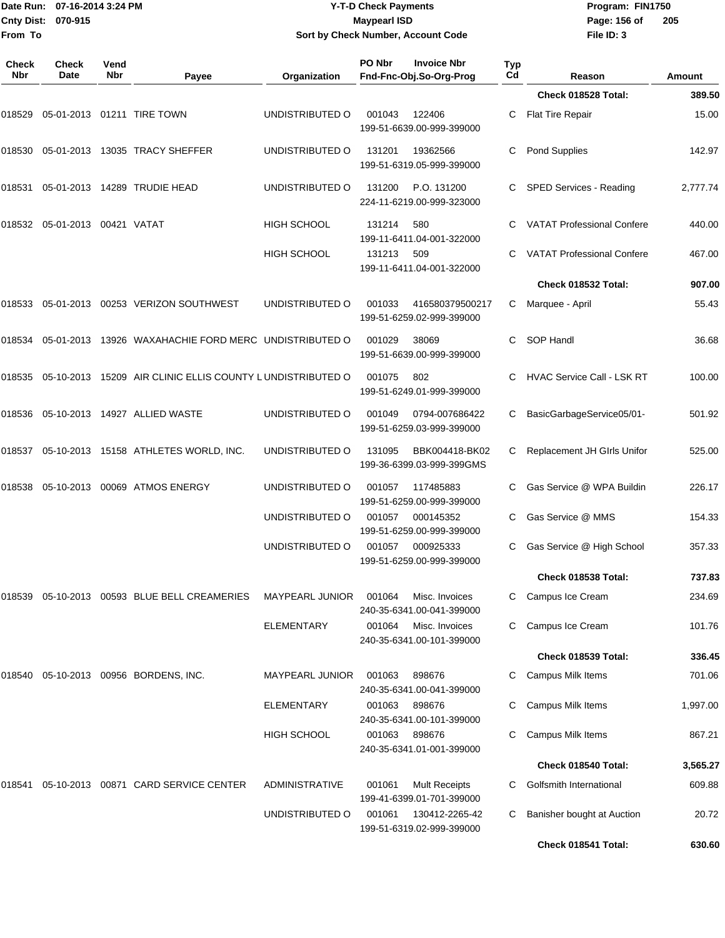|                            | Date Run: 07-16-2014 3:24 PM<br><b>Cnty Dist:</b><br>070-915 |             |                                                               |                        | <b>Y-T-D Check Payments</b><br><b>Maypearl ISD</b> |                                                   |           | Program: FIN1750<br>Page: 156 of<br>205 |          |  |  |
|----------------------------|--------------------------------------------------------------|-------------|---------------------------------------------------------------|------------------------|----------------------------------------------------|---------------------------------------------------|-----------|-----------------------------------------|----------|--|--|
| From To                    |                                                              |             |                                                               |                        |                                                    | Sort by Check Number, Account Code                |           | File ID: 3                              |          |  |  |
| <b>Check</b><br><b>Nbr</b> | <b>Check</b><br>Date                                         | Vend<br>Nbr | Payee                                                         | Organization           | PO Nbr                                             | <b>Invoice Nbr</b><br>Fnd-Fnc-Obj.So-Org-Prog     | Typ<br>Cd | Reason                                  | Amount   |  |  |
|                            |                                                              |             |                                                               |                        |                                                    |                                                   |           | Check 018528 Total:                     | 389.50   |  |  |
| 018529                     |                                                              |             | 05-01-2013  01211  TIRE TOWN                                  | UNDISTRIBUTED O        | 001043                                             | 122406<br>199-51-6639.00-999-399000               | C         | <b>Flat Tire Repair</b>                 | 15.00    |  |  |
|                            |                                                              |             |                                                               | UNDISTRIBUTED O        | 131201                                             | 19362566<br>199-51-6319.05-999-399000             | С         | <b>Pond Supplies</b>                    | 142.97   |  |  |
|                            |                                                              |             | 018531 05-01-2013 14289   TRUDIE HEAD                         | UNDISTRIBUTED O        | 131200                                             | P.O. 131200<br>224-11-6219.00-999-323000          |           | SPED Services - Reading                 | 2,777.74 |  |  |
|                            | 018532    05-01-2013    00421    VATAT                       |             |                                                               | HIGH SCHOOL            | 131214                                             | 580<br>199-11-6411.04-001-322000                  | C         | <b>VATAT Professional Confere</b>       | 440.00   |  |  |
|                            |                                                              |             |                                                               | <b>HIGH SCHOOL</b>     | 131213                                             | 509<br>199-11-6411.04-001-322000                  | С         | <b>VATAT Professional Confere</b>       | 467.00   |  |  |
|                            |                                                              |             |                                                               |                        |                                                    |                                                   |           | Check 018532 Total:                     | 907.00   |  |  |
|                            |                                                              |             | 018533    05-01-2013    00253    VERIZON SOUTHWEST            | UNDISTRIBUTED O        | 001033                                             | 416580379500217<br>199-51-6259.02-999-399000      | С         | Marquee - April                         | 55.43    |  |  |
|                            |                                                              |             | 018534 05-01-2013 13926 WAXAHACHIE FORD MERC  UNDISTRIBUTED O |                        | 001029                                             | 38069<br>199-51-6639.00-999-399000                | C.        | SOP Handl                               | 36.68    |  |  |
| 018535                     |                                                              |             | 05-10-2013 15209 AIR CLINIC ELLIS COUNTY LUNDISTRIBUTED O     |                        | 001075                                             | 802<br>199-51-6249.01-999-399000                  | С         | <b>HVAC Service Call - LSK RT</b>       | 100.00   |  |  |
|                            |                                                              |             | 018536 05-10-2013 14927  ALLIED WASTE                         | UNDISTRIBUTED O        | 001049                                             | 0794-007686422<br>199-51-6259.03-999-399000       | С         | BasicGarbageService05/01-               | 501.92   |  |  |
|                            |                                                              |             | 018537  05-10-2013  15158  ATHLETES WORLD, INC.               | UNDISTRIBUTED O        | 131095                                             | BBK004418-BK02<br>199-36-6399.03-999-399GMS       | С         | Replacement JH GIrls Unifor             | 525.00   |  |  |
| 018538                     |                                                              |             | 05-10-2013 00069 ATMOS ENERGY                                 | UNDISTRIBUTED O        | 001057                                             | 117485883<br>199-51-6259.00-999-399000            | C         | Gas Service @ WPA Buildin               | 226.17   |  |  |
|                            |                                                              |             |                                                               | UNDISTRIBUTED O        | 001057                                             | 000145352<br>199-51-6259.00-999-399000            | C         | Gas Service @ MMS                       | 154.33   |  |  |
|                            |                                                              |             |                                                               | UNDISTRIBUTED O        | 001057                                             | 000925333<br>199-51-6259.00-999-399000            |           | Gas Service @ High School               | 357.33   |  |  |
|                            |                                                              |             |                                                               |                        |                                                    |                                                   |           | Check 018538 Total:                     | 737.83   |  |  |
|                            |                                                              |             | 018539  05-10-2013  00593  BLUE  BELL CREAMERIES              | <b>MAYPEARL JUNIOR</b> | 001064                                             | Misc. Invoices<br>240-35-6341.00-041-399000       |           | Campus Ice Cream                        | 234.69   |  |  |
|                            |                                                              |             |                                                               | ELEMENTARY             | 001064                                             | Misc. Invoices<br>240-35-6341.00-101-399000       | C         | Campus Ice Cream                        | 101.76   |  |  |
|                            |                                                              |             |                                                               |                        |                                                    |                                                   |           | Check 018539 Total:                     | 336.45   |  |  |
| 018540                     |                                                              |             | 05-10-2013 00956 BORDENS, INC.                                | <b>MAYPEARL JUNIOR</b> | 001063                                             | 898676<br>240-35-6341.00-041-399000               |           | <b>Campus Milk Items</b>                | 701.06   |  |  |
|                            |                                                              |             |                                                               | ELEMENTARY             | 001063                                             | 898676<br>240-35-6341.00-101-399000               |           | Campus Milk Items                       | 1,997.00 |  |  |
|                            |                                                              |             |                                                               | <b>HIGH SCHOOL</b>     | 001063                                             | 898676<br>240-35-6341.01-001-399000               |           | <b>Campus Milk Items</b>                | 867.21   |  |  |
|                            |                                                              |             |                                                               |                        |                                                    |                                                   |           | Check 018540 Total:                     | 3,565.27 |  |  |
| 018541                     |                                                              |             | 05-10-2013  00871  CARD SERVICE CENTER                        | <b>ADMINISTRATIVE</b>  | 001061                                             | <b>Mult Receipts</b><br>199-41-6399.01-701-399000 |           | Golfsmith International                 | 609.88   |  |  |
|                            |                                                              |             |                                                               | UNDISTRIBUTED O        | 001061                                             | 130412-2265-42                                    | C         | Banisher bought at Auction              | 20.72    |  |  |

199-51-6319.02-999-399000

**Check 018541 Total: 630.60**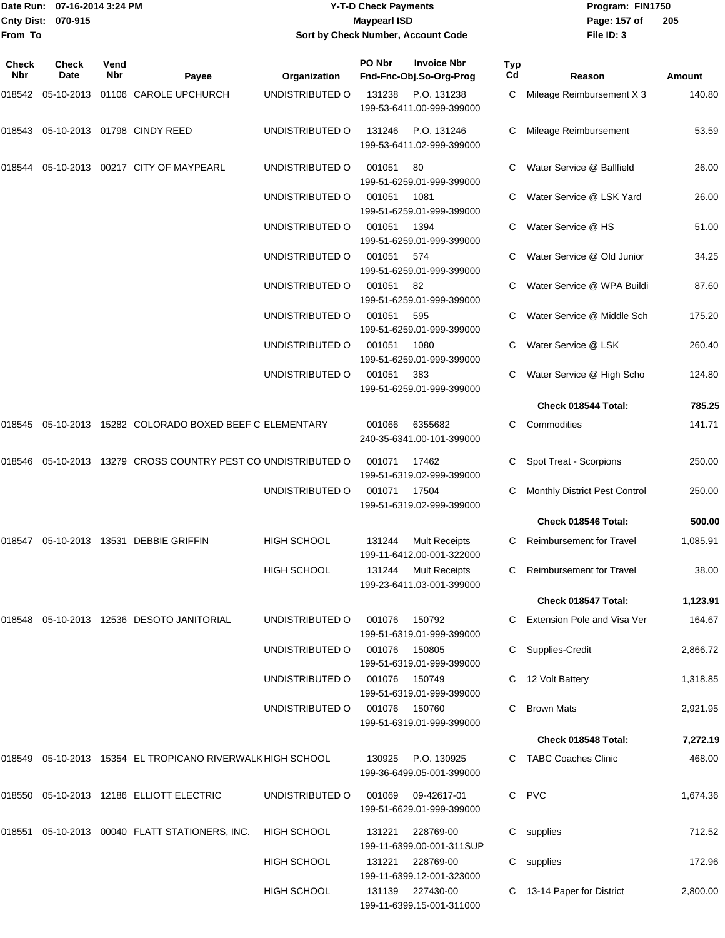|                    | TDate Run: 07-16-2014 3:24 PM | <b>Y-T-D Check Payments</b>        | Program: Fl  |
|--------------------|-------------------------------|------------------------------------|--------------|
| Cnty Dist: 070-915 |                               | Maypearl ISD                       | Page: 157 of |
| From To            |                               | Sort by Check Number, Account Code | File ID: 3   |

**Date Run: Program: FIN1750 File ID: 3 205**

| Check<br>Nbr | Check<br><b>Date</b> | Vend<br><b>Nbr</b> | Payee                                                         | Organization       | PO Nbr | <b>Invoice Nbr</b><br>Fnd-Fnc-Obj.So-Org-Prog     | Typ<br>Cd | Reason                          | Amount   |
|--------------|----------------------|--------------------|---------------------------------------------------------------|--------------------|--------|---------------------------------------------------|-----------|---------------------------------|----------|
| 018542       |                      |                    | 05-10-2013 01106 CAROLE UPCHURCH                              | UNDISTRIBUTED O    | 131238 | P.O. 131238<br>199-53-6411.00-999-399000          | C         | Mileage Reimbursement X 3       | 140.80   |
| 018543       |                      |                    | 05-10-2013 01798 CINDY REED                                   | UNDISTRIBUTED O    | 131246 | P.O. 131246<br>199-53-6411.02-999-399000          |           | Mileage Reimbursement           | 53.59    |
| 018544       |                      |                    | 05-10-2013 00217 CITY OF MAYPEARL                             | UNDISTRIBUTED O    | 001051 | 80<br>199-51-6259.01-999-399000                   |           | Water Service @ Ballfield       | 26.00    |
|              |                      |                    |                                                               | UNDISTRIBUTED O    | 001051 | 1081<br>199-51-6259.01-999-399000                 |           | Water Service @ LSK Yard        | 26.00    |
|              |                      |                    |                                                               | UNDISTRIBUTED O    | 001051 | 1394<br>199-51-6259.01-999-399000                 |           | Water Service @ HS              | 51.00    |
|              |                      |                    |                                                               | UNDISTRIBUTED O    | 001051 | 574<br>199-51-6259.01-999-399000                  |           | Water Service @ Old Junior      | 34.25    |
|              |                      |                    |                                                               | UNDISTRIBUTED O    | 001051 | 82<br>199-51-6259.01-999-399000                   |           | Water Service @ WPA Buildi      | 87.60    |
|              |                      |                    |                                                               | UNDISTRIBUTED O    | 001051 | 595<br>199-51-6259.01-999-399000                  |           | Water Service @ Middle Sch      | 175.20   |
|              |                      |                    |                                                               | UNDISTRIBUTED O    | 001051 | 1080<br>199-51-6259.01-999-399000                 | С         | Water Service @ LSK             | 260.40   |
|              |                      |                    |                                                               | UNDISTRIBUTED O    | 001051 | 383<br>199-51-6259.01-999-399000                  |           | Water Service @ High Scho       | 124.80   |
|              |                      |                    |                                                               |                    |        |                                                   |           | Check 018544 Total:             | 785.25   |
| 018545       |                      |                    | 05-10-2013 15282 COLORADO BOXED BEEF C ELEMENTARY             |                    | 001066 | 6355682<br>240-35-6341.00-101-399000              | С         | Commodities                     | 141.71   |
|              |                      |                    | 018546 05-10-2013 13279 CROSS COUNTRY PEST CO UNDISTRIBUTED O |                    | 001071 | 17462<br>199-51-6319.02-999-399000                |           | Spot Treat - Scorpions          | 250.00   |
|              |                      |                    |                                                               | UNDISTRIBUTED O    | 001071 | 17504<br>199-51-6319.02-999-399000                |           | Monthly District Pest Control   | 250.00   |
|              |                      |                    |                                                               |                    |        |                                                   |           | Check 018546 Total:             | 500.00   |
| 018547       |                      |                    | 05-10-2013 13531 DEBBIE GRIFFIN                               | <b>HIGH SCHOOL</b> | 131244 | <b>Mult Receipts</b><br>199-11-6412.00-001-322000 | С         | <b>Reimbursement for Travel</b> | 1,085.91 |
|              |                      |                    |                                                               | <b>HIGH SCHOOL</b> | 131244 | <b>Mult Receipts</b><br>199-23-6411.03-001-399000 | С         | <b>Reimbursement for Travel</b> | 38.00    |
|              |                      |                    |                                                               |                    |        |                                                   |           | Check 018547 Total:             | 1,123.91 |
| 018548       |                      |                    | 05-10-2013 12536 DESOTO JANITORIAL                            | UNDISTRIBUTED O    | 001076 | 150792<br>199-51-6319.01-999-399000               | C         | Extension Pole and Visa Ver     | 164.67   |
|              |                      |                    |                                                               | UNDISTRIBUTED O    | 001076 | 150805<br>199-51-6319.01-999-399000               | С         | Supplies-Credit                 | 2,866.72 |
|              |                      |                    |                                                               | UNDISTRIBUTED O    | 001076 | 150749<br>199-51-6319.01-999-399000               | С         | 12 Volt Battery                 | 1,318.85 |
|              |                      |                    |                                                               | UNDISTRIBUTED O    | 001076 | 150760<br>199-51-6319.01-999-399000               |           | <b>Brown Mats</b>               | 2,921.95 |
|              |                      |                    |                                                               |                    |        |                                                   |           | Check 018548 Total:             | 7,272.19 |
|              |                      |                    | 018549 05-10-2013 15354 EL TROPICANO RIVERWALK HIGH SCHOOL    |                    | 130925 | P.O. 130925<br>199-36-6499.05-001-399000          | C         | TABC Coaches Clinic             | 468.00   |
|              |                      |                    | 018550 05-10-2013 12186 ELLIOTT ELECTRIC                      | UNDISTRIBUTED O    | 001069 | 09-42617-01<br>199-51-6629.01-999-399000          | C         | <b>PVC</b>                      | 1,674.36 |
| 018551       |                      |                    | 05-10-2013 00040 FLATT STATIONERS, INC.                       | <b>HIGH SCHOOL</b> | 131221 | 228769-00<br>199-11-6399.00-001-311SUP            | С         | supplies                        | 712.52   |
|              |                      |                    |                                                               | HIGH SCHOOL        | 131221 | 228769-00<br>199-11-6399.12-001-323000            | С         | supplies                        | 172.96   |
|              |                      |                    |                                                               | <b>HIGH SCHOOL</b> |        | 131139 227430-00<br>199-11-6399.15-001-311000     |           | 13-14 Paper for District        | 2,800.00 |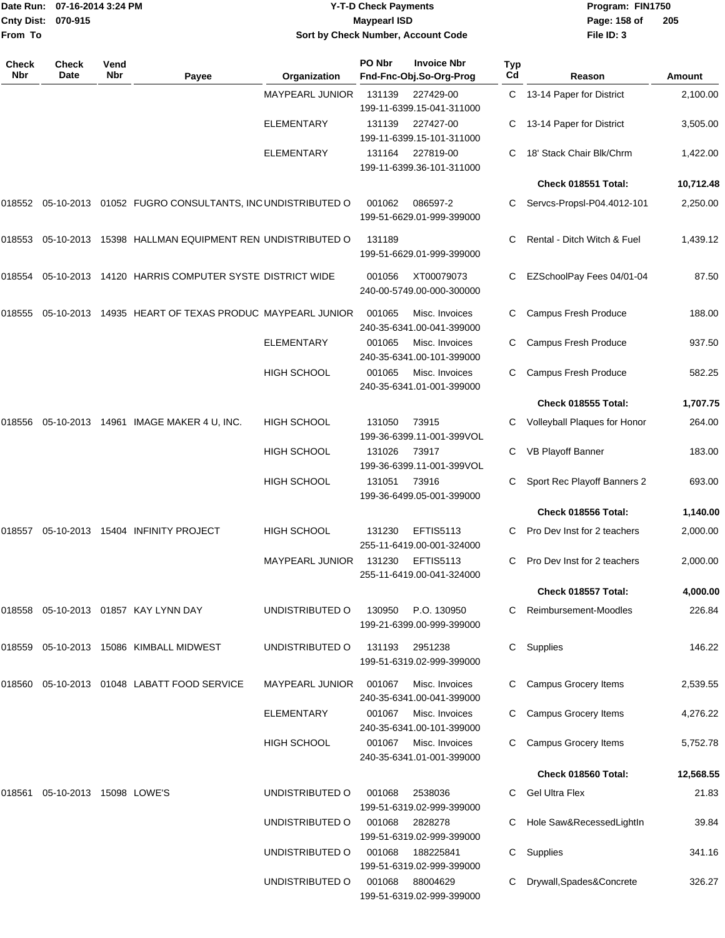|                    | Date Run: 07-16-2014 3:24 PM |
|--------------------|------------------------------|
| Cnty Dist: 070-915 |                              |
| <b>From To</b>     |                              |

## **Date Run: Program: FIN1750 07-16-2014 3:24 PM Y-T-D Check Payments Cnty Dist: Page: 158 of 070-915 Maypearl ISD Sort by Check Number, Account Code**

| Check<br>Nbr | <b>Check</b><br>Date    | Vend<br>Nbr | Payee                                                   | Organization           | PO Nbr | <b>Invoice Nbr</b><br>Fnd-Fnc-Obj.So-Org-Prog | Typ<br>Cd | Reason                       | <b>Amount</b> |
|--------------|-------------------------|-------------|---------------------------------------------------------|------------------------|--------|-----------------------------------------------|-----------|------------------------------|---------------|
|              |                         |             |                                                         | MAYPEARL JUNIOR        | 131139 | 227429-00<br>199-11-6399.15-041-311000        | C         | 13-14 Paper for District     | 2,100.00      |
|              |                         |             |                                                         | <b>ELEMENTARY</b>      | 131139 | 227427-00<br>199-11-6399.15-101-311000        | C         | 13-14 Paper for District     | 3,505.00      |
|              |                         |             |                                                         | <b>ELEMENTARY</b>      | 131164 | 227819-00<br>199-11-6399.36-101-311000        |           | 18' Stack Chair Blk/Chrm     | 1,422.00      |
|              |                         |             |                                                         |                        |        |                                               |           | Check 018551 Total:          | 10,712.48     |
| 018552       |                         |             | 05-10-2013 01052 FUGRO CONSULTANTS, INC UNDISTRIBUTED O |                        | 001062 | 086597-2<br>199-51-6629.01-999-399000         |           | Servcs-Propsl-P04.4012-101   | 2,250.00      |
| 018553       |                         |             | 05-10-2013 15398 HALLMAN EQUIPMENT REN UNDISTRIBUTED O  |                        | 131189 | 199-51-6629.01-999-399000                     | C         | Rental - Ditch Witch & Fuel  | 1,439.12      |
| 018554       |                         |             | 05-10-2013 14120 HARRIS COMPUTER SYSTE DISTRICT WIDE    |                        | 001056 | XT00079073<br>240-00-5749.00-000-300000       | C         | EZSchoolPay Fees 04/01-04    | 87.50         |
| 018555       |                         |             | 05-10-2013 14935 HEART OF TEXAS PRODUC MAYPEARL JUNIOR  |                        | 001065 | Misc. Invoices<br>240-35-6341.00-041-399000   |           | Campus Fresh Produce         | 188.00        |
|              |                         |             |                                                         | <b>ELEMENTARY</b>      | 001065 | Misc. Invoices<br>240-35-6341.00-101-399000   | C         | Campus Fresh Produce         | 937.50        |
|              |                         |             |                                                         | <b>HIGH SCHOOL</b>     | 001065 | Misc. Invoices<br>240-35-6341.01-001-399000   | С         | Campus Fresh Produce         | 582.25        |
|              |                         |             |                                                         |                        |        |                                               |           | Check 018555 Total:          | 1,707.75      |
| 018556       |                         |             | 05-10-2013  14961  IMAGE MAKER 4 U, INC.                | <b>HIGH SCHOOL</b>     | 131050 | 73915<br>199-36-6399.11-001-399VOL            | C         | Volleyball Plaques for Honor | 264.00        |
|              |                         |             |                                                         | <b>HIGH SCHOOL</b>     | 131026 | 73917<br>199-36-6399.11-001-399VOL            | C         | VB Playoff Banner            | 183.00        |
|              |                         |             |                                                         | HIGH SCHOOL            | 131051 | 73916<br>199-36-6499.05-001-399000            | C         | Sport Rec Playoff Banners 2  | 693.00        |
|              |                         |             |                                                         |                        |        |                                               |           | Check 018556 Total:          | 1,140.00      |
| 018557       |                         |             | 05-10-2013 15404 INFINITY PROJECT                       | <b>HIGH SCHOOL</b>     | 131230 | <b>EFTIS5113</b><br>255-11-6419.00-001-324000 |           | Pro Dev Inst for 2 teachers  | 2,000.00      |
|              |                         |             |                                                         | <b>MAYPEARL JUNIOR</b> | 131230 | <b>EFTIS5113</b><br>255-11-6419.00-041-324000 | C         | Pro Dev Inst for 2 teachers  | 2,000.00      |
|              |                         |             |                                                         |                        |        |                                               |           | Check 018557 Total:          | 4,000.00      |
| 018558       |                         |             | 05-10-2013  01857  KAY LYNN DAY                         | UNDISTRIBUTED O        | 130950 | P.O. 130950<br>199-21-6399.00-999-399000      |           | Reimbursement-Moodles        | 226.84        |
| 018559       |                         |             | 05-10-2013 15086 KIMBALL MIDWEST                        | UNDISTRIBUTED O        | 131193 | 2951238<br>199-51-6319.02-999-399000          | C         | Supplies                     | 146.22        |
| 018560       |                         |             | 05-10-2013 01048 LABATT FOOD SERVICE                    | MAYPEARL JUNIOR        | 001067 | Misc. Invoices<br>240-35-6341.00-041-399000   |           | Campus Grocery Items         | 2,539.55      |
|              |                         |             |                                                         | <b>ELEMENTARY</b>      | 001067 | Misc. Invoices<br>240-35-6341.00-101-399000   |           | Campus Grocery Items         | 4,276.22      |
|              |                         |             |                                                         | <b>HIGH SCHOOL</b>     | 001067 | Misc. Invoices<br>240-35-6341.01-001-399000   |           | Campus Grocery Items         | 5,752.78      |
|              |                         |             |                                                         |                        |        |                                               |           | Check 018560 Total:          | 12,568.55     |
| 018561       | 05-10-2013 15098 LOWE'S |             |                                                         | UNDISTRIBUTED O        | 001068 | 2538036<br>199-51-6319.02-999-399000          |           | <b>Gel Ultra Flex</b>        | 21.83         |
|              |                         |             |                                                         | UNDISTRIBUTED O        | 001068 | 2828278<br>199-51-6319.02-999-399000          |           | Hole Saw&RecessedLightIn     | 39.84         |
|              |                         |             |                                                         | UNDISTRIBUTED O        | 001068 | 188225841<br>199-51-6319.02-999-399000        |           | C Supplies                   | 341.16        |
|              |                         |             |                                                         | UNDISTRIBUTED O        | 001068 | 88004629<br>199-51-6319.02-999-399000         |           | Drywall, Spades&Concrete     | 326.27        |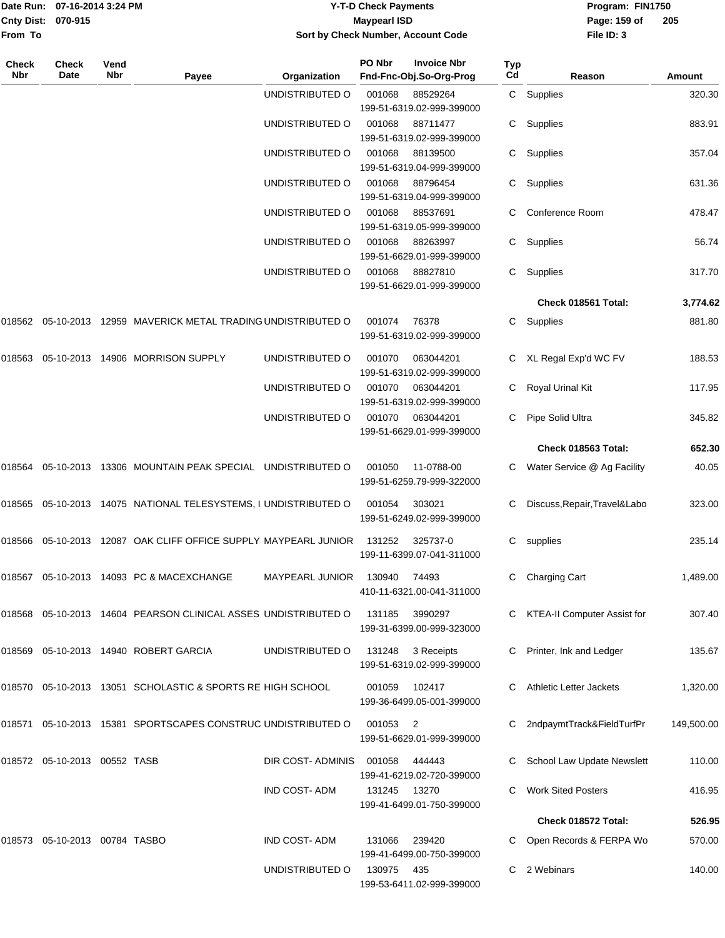|         | Date Run: 07-16-2014 3:24 PM<br>Cnty Dist: 070-915 |      |                                                                          |                     | <b>Y-T-D Check Payments</b><br><b>Maypearl ISD</b> |                                                         |            | Program: FIN1750<br>205       |            |  |
|---------|----------------------------------------------------|------|--------------------------------------------------------------------------|---------------------|----------------------------------------------------|---------------------------------------------------------|------------|-------------------------------|------------|--|
| From To |                                                    |      |                                                                          |                     |                                                    | Sort by Check Number, Account Code                      |            | Page: 159 of<br>File ID: 3    |            |  |
| Check   | <b>Check</b>                                       | Vend |                                                                          |                     | PO Nbr                                             | <b>Invoice Nbr</b>                                      | <b>Typ</b> |                               |            |  |
| Nbr     | Date                                               | Nbr  | Payee                                                                    | Organization        |                                                    | Fnd-Fnc-Obj.So-Org-Prog                                 | Cd         | Reason                        | Amount     |  |
|         |                                                    |      |                                                                          | UNDISTRIBUTED O     | 001068                                             | 88529264<br>199-51-6319.02-999-399000                   |            | C Supplies                    | 320.30     |  |
|         |                                                    |      |                                                                          | UNDISTRIBUTED O     | 001068                                             | 88711477<br>199-51-6319.02-999-399000                   | С          | Supplies                      | 883.91     |  |
|         |                                                    |      |                                                                          | UNDISTRIBUTED O     | 001068                                             | 88139500<br>199-51-6319.04-999-399000                   | C.         | Supplies                      | 357.04     |  |
|         |                                                    |      |                                                                          | UNDISTRIBUTED O     | 001068                                             | 88796454<br>199-51-6319.04-999-399000                   | C.         | Supplies                      | 631.36     |  |
|         |                                                    |      |                                                                          | UNDISTRIBUTED O     | 001068                                             | 88537691<br>199-51-6319.05-999-399000                   | C.         | Conference Room               | 478.47     |  |
|         |                                                    |      |                                                                          | UNDISTRIBUTED O     | 001068                                             | 88263997<br>199-51-6629.01-999-399000                   | C.         | Supplies                      | 56.74      |  |
|         |                                                    |      |                                                                          | UNDISTRIBUTED O     | 001068                                             | 88827810<br>199-51-6629.01-999-399000                   | C.         | Supplies                      | 317.70     |  |
|         |                                                    |      |                                                                          |                     |                                                    |                                                         |            | Check 018561 Total:           | 3,774.62   |  |
|         |                                                    |      | 018562    05-10-2013    12959    MAVERICK METAL TRADING UNDISTRIBUTED O  |                     | 001074                                             | 76378<br>199-51-6319.02-999-399000                      | C.         | Supplies                      | 881.80     |  |
| 018563  |                                                    |      | 05-10-2013  14906  MORRISON SUPPLY                                       | UNDISTRIBUTED O     | 001070                                             | 063044201<br>199-51-6319.02-999-399000                  |            | C XL Regal Exp'd WC FV        | 188.53     |  |
|         |                                                    |      |                                                                          | UNDISTRIBUTED O     | 001070                                             | 063044201<br>199-51-6319.02-999-399000                  | C.         | Royal Urinal Kit              | 117.95     |  |
|         |                                                    |      |                                                                          | UNDISTRIBUTED O     | 001070                                             | 063044201<br>199-51-6629.01-999-399000                  | С          | Pipe Solid Ultra              | 345.82     |  |
|         |                                                    |      |                                                                          |                     |                                                    |                                                         |            | Check 018563 Total:           | 652.30     |  |
|         |                                                    |      | 018564 05-10-2013 13306 MOUNTAIN PEAK SPECIAL UNDISTRIBUTED O            |                     | 001050                                             | 11-0788-00<br>199-51-6259.79-999-322000                 | С          | Water Service @ Ag Facility   | 40.05      |  |
|         |                                                    |      | 018565    05-10-2013    14075   NATIONAL TELESYSTEMS, I UNDISTRIBUTED O  |                     | 001054                                             | 303021<br>199-51-6249.02-999-399000                     | С          | Discuss, Repair, Travel&Labo  | 323.00     |  |
|         |                                                    |      | 018566   05-10-2013   12087   OAK CLIFF OFFICE SUPPLY MAYPEARL JUNIOR    |                     | 131252                                             | 325737-0<br>199-11-6399.07-041-311000                   |            | C supplies                    | 235.14     |  |
|         |                                                    |      | 018567  05-10-2013  14093  PC & MACEXCHANGE                              | MAYPEARL JUNIOR     | 130940                                             | 74493<br>410-11-6321.00-041-311000                      |            | <b>Charging Cart</b>          | 1,489.00   |  |
|         |                                                    |      | 018568  05-10-2013  14604  PEARSON CLINICAL ASSES UNDISTRIBUTED O        |                     | 131185                                             | 3990297<br>199-31-6399.00-999-323000                    |            | C KTEA-II Computer Assist for | 307.40     |  |
|         |                                                    |      | 018569  05-10-2013  14940  ROBERT GARCIA                                 | UNDISTRIBUTED O     | 131248                                             | 3 Receipts<br>199-51-6319.02-999-399000                 |            | C Printer, Ink and Ledger     | 135.67     |  |
|         |                                                    |      | 018570    05-10-2013    13051    SCHOLASTIC & SPORTS RE HIGH SCHOOL      |                     | 001059                                             | 102417<br>199-36-6499.05-001-399000                     |            | C Athletic Letter Jackets     | 1,320.00   |  |
|         |                                                    |      | 018571   05-10-2013   15381   SPORTSCAPES   CONSTRUC   UNDISTRIBUTED   O |                     | 001053                                             | $\overline{\phantom{0}}^2$<br>199-51-6629.01-999-399000 |            | 2ndpaymtTrack&FieldTurfPr     | 149,500.00 |  |
|         | 018572  05-10-2013  00552  TASB                    |      |                                                                          | DIR COST-ADMINIS    | 001058                                             | 444443<br>199-41-6219.02-720-399000                     |            | C School Law Update Newslett  | 110.00     |  |
|         |                                                    |      |                                                                          | <b>IND COST-ADM</b> | 131245                                             | 13270<br>199-41-6499.01-750-399000                      | C.         | <b>Work Sited Posters</b>     | 416.95     |  |

**Check 018572 Total: 526.95** 018573 05-10-2013 00784 TASBO IND COST- ADM 131066 239420 C Open Records & FERPA Wo 570.00 199-41-6499.00-750-399000 UNDISTRIBUTED O 130975 435 C 2 Webinars 140.00 199-53-6411.02-999-399000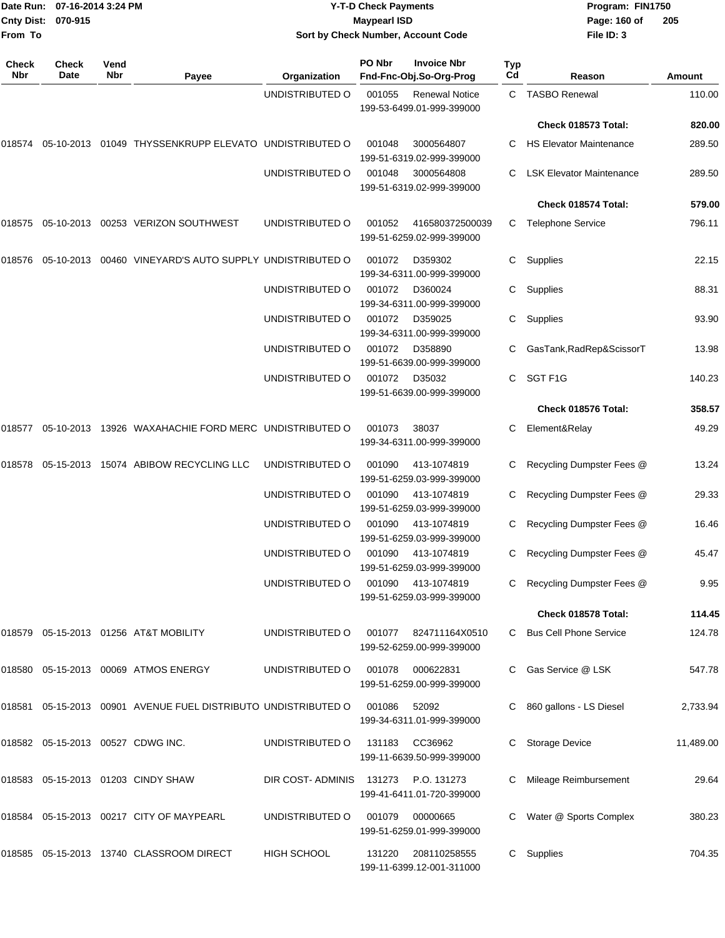| From To             | Date Run: 07-16-2014 3:24 PM<br>Cnty Dist: 070-915 |             |                                                                | Sort by Check Number, Account Code | <b>Y-T-D Check Payments</b><br><b>Maypearl ISD</b> |                                                    |           | Program: FIN1750<br>Page: 160 of<br>File ID: 3 | 205       |
|---------------------|----------------------------------------------------|-------------|----------------------------------------------------------------|------------------------------------|----------------------------------------------------|----------------------------------------------------|-----------|------------------------------------------------|-----------|
| <b>Check</b><br>Nbr | Check<br>Date                                      | Vend<br>Nbr | Payee                                                          | Organization                       | PO Nbr                                             | <b>Invoice Nbr</b><br>Fnd-Fnc-Obj.So-Org-Prog      | Typ<br>Cd | Reason                                         | Amount    |
|                     |                                                    |             |                                                                | UNDISTRIBUTED O                    | 001055                                             | <b>Renewal Notice</b><br>199-53-6499.01-999-399000 |           | C TASBO Renewal                                | 110.00    |
|                     |                                                    |             |                                                                |                                    |                                                    |                                                    |           | Check 018573 Total:                            | 820.00    |
| 018574              |                                                    |             | 05-10-2013 01049 THYSSENKRUPP ELEVATO UNDISTRIBUTED O          |                                    | 001048                                             | 3000564807<br>199-51-6319.02-999-399000            | C         | <b>HS Elevator Maintenance</b>                 | 289.50    |
|                     |                                                    |             |                                                                | UNDISTRIBUTED O                    | 001048                                             | 3000564808<br>199-51-6319.02-999-399000            | C.        | <b>LSK Elevator Maintenance</b>                | 289.50    |
|                     |                                                    |             |                                                                |                                    |                                                    |                                                    |           | Check 018574 Total:                            | 579.00    |
| 018575              |                                                    |             | 05-10-2013  00253  VERIZON SOUTHWEST                           | UNDISTRIBUTED O                    | 001052                                             | 416580372500039<br>199-51-6259.02-999-399000       | C         | <b>Telephone Service</b>                       | 796.11    |
| 018576              | 05-10-2013                                         |             | 00460 VINEYARD'S AUTO SUPPLY UNDISTRIBUTED O                   |                                    | 001072                                             | D359302<br>199-34-6311.00-999-399000               | С         | Supplies                                       | 22.15     |
|                     |                                                    |             |                                                                | UNDISTRIBUTED O                    | 001072                                             | D360024<br>199-34-6311.00-999-399000               | С         | Supplies                                       | 88.31     |
|                     |                                                    |             |                                                                | UNDISTRIBUTED O                    | 001072                                             | D359025<br>199-34-6311.00-999-399000               | С         | Supplies                                       | 93.90     |
|                     |                                                    |             |                                                                | UNDISTRIBUTED O                    | 001072                                             | D358890<br>199-51-6639.00-999-399000               |           | GasTank, RadRep&ScissorT                       | 13.98     |
|                     |                                                    |             |                                                                | UNDISTRIBUTED O                    | 001072                                             | D35032<br>199-51-6639.00-999-399000                | C.        | SGT F1G                                        | 140.23    |
|                     |                                                    |             |                                                                |                                    |                                                    |                                                    |           | Check 018576 Total:                            | 358.57    |
| 018577              |                                                    |             | 05-10-2013 13926 WAXAHACHIE FORD MERC UNDISTRIBUTED O          |                                    | 001073                                             | 38037<br>199-34-6311.00-999-399000                 | С         | Element&Relay                                  | 49.29     |
| 018578              |                                                    |             | 05-15-2013 15074 ABIBOW RECYCLING LLC                          | UNDISTRIBUTED O                    | 001090                                             | 413-1074819<br>199-51-6259.03-999-399000           | С         | Recycling Dumpster Fees @                      | 13.24     |
|                     |                                                    |             |                                                                | UNDISTRIBUTED O                    | 001090                                             | 413-1074819<br>199-51-6259.03-999-399000           | С         | Recycling Dumpster Fees @                      | 29.33     |
|                     |                                                    |             |                                                                | UNDISTRIBUTED O                    | 001090                                             | 413-1074819<br>199-51-6259.03-999-399000           | С         | Recycling Dumpster Fees @                      | 16.46     |
|                     |                                                    |             |                                                                | UNDISTRIBUTED O                    | 001090                                             | 413-1074819<br>199-51-6259.03-999-399000           |           | C Recycling Dumpster Fees @                    | 45.47     |
|                     |                                                    |             |                                                                | UNDISTRIBUTED O                    | 001090                                             | 413-1074819<br>199-51-6259.03-999-399000           |           | Recycling Dumpster Fees @                      | 9.95      |
|                     |                                                    |             |                                                                |                                    |                                                    |                                                    |           | Check 018578 Total:                            | 114.45    |
|                     |                                                    |             | 018579 05-15-2013 01256 AT&T MOBILITY                          | UNDISTRIBUTED O                    | 001077                                             | 824711164X0510<br>199-52-6259.00-999-399000        |           | C Bus Cell Phone Service                       | 124.78    |
|                     |                                                    |             | 018580 05-15-2013 00069 ATMOS ENERGY                           | UNDISTRIBUTED O                    | 001078                                             | 000622831<br>199-51-6259.00-999-399000             |           | Gas Service @ LSK                              | 547.78    |
|                     |                                                    |             | 018581 05-15-2013 00901 AVENUE FUEL DISTRIBUTO UNDISTRIBUTED O |                                    | 001086                                             | 52092<br>199-34-6311.01-999-399000                 |           | C 860 gallons - LS Diesel                      | 2,733.94  |
|                     |                                                    |             | 018582 05-15-2013 00527 CDWG INC.                              | UNDISTRIBUTED O                    | 131183                                             | CC36962<br>199-11-6639.50-999-399000               |           | <b>Storage Device</b>                          | 11,489.00 |
|                     |                                                    |             | 018583 05-15-2013 01203 CINDY SHAW                             | DIR COST- ADMINIS                  | 131273                                             | P.O. 131273<br>199-41-6411.01-720-399000           |           | Mileage Reimbursement                          | 29.64     |
|                     |                                                    |             | 018584 05-15-2013 00217 CITY OF MAYPEARL                       | UNDISTRIBUTED O                    | 001079                                             | 00000665<br>199-51-6259.01-999-399000              |           | Water @ Sports Complex                         | 380.23    |
|                     |                                                    |             | 018585  05-15-2013  13740  CLASSROOM DIRECT                    | <b>HIGH SCHOOL</b>                 | 131220                                             | 208110258555<br>199-11-6399.12-001-311000          |           | C Supplies                                     | 704.35    |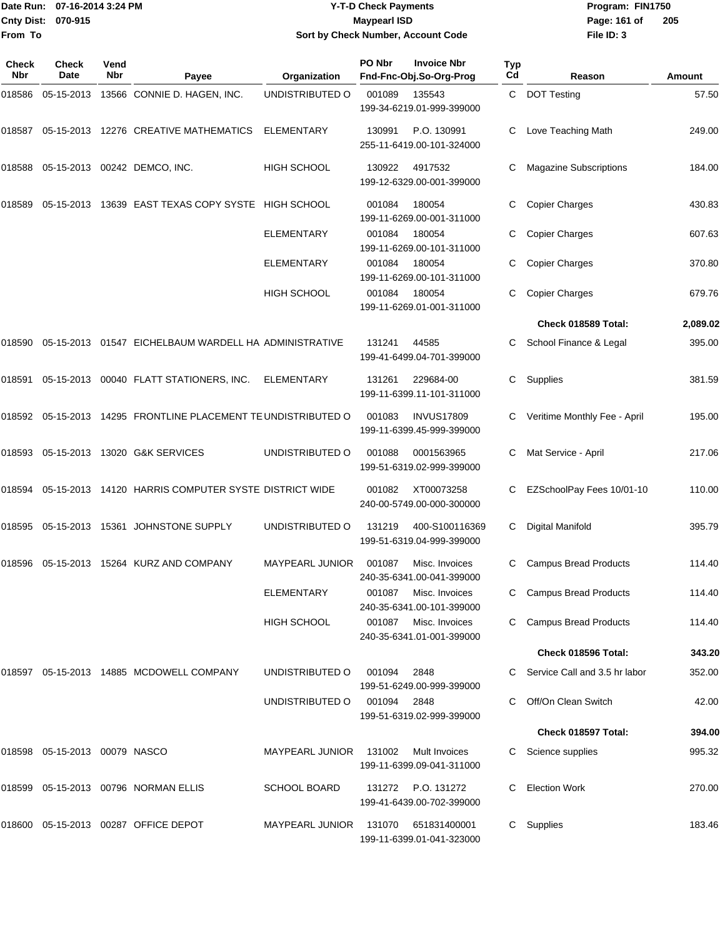**From To**

#### Date Run: 07-16-2014 3:24 PM **Program:** FIN1750 **Cnty Dist:** 070-915 **Page: 161 of** Maypearl ISD **Contract ISD Y-T-D Check Payments 070-915 Maypearl ISD Sort by Check Number, Account Code**

| Check<br>Nbr | <b>Check</b><br>Date          | Vend<br>Nbr | Payee                                                          | Organization           | PO Nbr | <b>Invoice Nbr</b><br>Fnd-Fnc-Obj.So-Org-Prog   | Typ<br>Cd | Reason                        | Amount   |
|--------------|-------------------------------|-------------|----------------------------------------------------------------|------------------------|--------|-------------------------------------------------|-----------|-------------------------------|----------|
| 018586       | 05-15-2013                    |             | 13566 CONNIE D. HAGEN, INC.                                    | UNDISTRIBUTED O        | 001089 | 135543<br>199-34-6219.01-999-399000             |           | C DOT Testing                 | 57.50    |
| 018587       |                               |             | 05-15-2013 12276 CREATIVE MATHEMATICS                          | <b>ELEMENTARY</b>      | 130991 | P.O. 130991<br>255-11-6419.00-101-324000        |           | Love Teaching Math            | 249.00   |
|              |                               |             | 018588 05-15-2013 00242 DEMCO, INC.                            | <b>HIGH SCHOOL</b>     | 130922 | 4917532<br>199-12-6329.00-001-399000            | C         | <b>Magazine Subscriptions</b> | 184.00   |
| 018589       | 05-15-2013                    |             | 13639 EAST TEXAS COPY SYSTE HIGH SCHOOL                        |                        | 001084 | 180054<br>199-11-6269.00-001-311000             | С         | <b>Copier Charges</b>         | 430.83   |
|              |                               |             |                                                                | <b>ELEMENTARY</b>      | 001084 | 180054<br>199-11-6269.00-101-311000             | С         | <b>Copier Charges</b>         | 607.63   |
|              |                               |             |                                                                | <b>ELEMENTARY</b>      | 001084 | 180054<br>199-11-6269.00-101-311000             | C         | <b>Copier Charges</b>         | 370.80   |
|              |                               |             |                                                                | <b>HIGH SCHOOL</b>     | 001084 | 180054<br>199-11-6269.01-001-311000             | C         | <b>Copier Charges</b>         | 679.76   |
|              |                               |             |                                                                |                        |        |                                                 |           | Check 018589 Total:           | 2,089.02 |
| 018590       |                               |             | 05-15-2013 01547 EICHELBAUM WARDELL HA ADMINISTRATIVE          |                        | 131241 | 44585<br>199-41-6499.04-701-399000              | C         | School Finance & Legal        | 395.00   |
| 018591       |                               |             | 05-15-2013  00040  FLATT STATIONERS, INC.                      | <b>ELEMENTARY</b>      | 131261 | 229684-00<br>199-11-6399.11-101-311000          | C         | Supplies                      | 381.59   |
|              |                               |             | 018592 05-15-2013 14295 FRONTLINE PLACEMENT TE UNDISTRIBUTED O |                        | 001083 | <b>INVUS17809</b><br>199-11-6399.45-999-399000  | C         | Veritime Monthly Fee - April  | 195.00   |
|              |                               |             | 018593 05-15-2013 13020 G&K SERVICES                           | UNDISTRIBUTED O        | 001088 | 0001563965<br>199-51-6319.02-999-399000         | С         | Mat Service - April           | 217.06   |
| 018594       |                               |             | 05-15-2013 14120 HARRIS COMPUTER SYSTE DISTRICT WIDE           |                        | 001082 | XT00073258<br>240-00-5749.00-000-300000         | С         | EZSchoolPay Fees 10/01-10     | 110.00   |
|              |                               |             | 018595  05-15-2013  15361  JOHNSTONE SUPPLY                    | UNDISTRIBUTED O        | 131219 | 400-S100116369<br>199-51-6319.04-999-399000     | C         | Digital Manifold              | 395.79   |
| 018596       |                               |             | 05-15-2013 15264 KURZ AND COMPANY                              | <b>MAYPEARL JUNIOR</b> | 001087 | Misc. Invoices<br>240-35-6341.00-041-399000     | С         | <b>Campus Bread Products</b>  | 114.40   |
|              |                               |             |                                                                | ELEMENTARY             | 001087 | Misc. Invoices<br>240-35-6341.00-101-399000     |           | <b>Campus Bread Products</b>  | 114.40   |
|              |                               |             |                                                                | <b>HIGH SCHOOL</b>     | 001087 | Misc. Invoices<br>240-35-6341.01-001-399000     |           | <b>Campus Bread Products</b>  | 114.40   |
|              |                               |             |                                                                |                        |        |                                                 |           | Check 018596 Total:           | 343.20   |
|              |                               |             | 018597 05-15-2013 14885 MCDOWELL COMPANY                       | UNDISTRIBUTED O        | 001094 | 2848<br>199-51-6249.00-999-399000               |           | Service Call and 3.5 hr labor | 352.00   |
|              |                               |             |                                                                | UNDISTRIBUTED O        | 001094 | 2848<br>199-51-6319.02-999-399000               | C         | Off/On Clean Switch           | 42.00    |
|              |                               |             |                                                                |                        |        |                                                 |           | Check 018597 Total:           | 394.00   |
|              | 018598 05-15-2013 00079 NASCO |             |                                                                | <b>MAYPEARL JUNIOR</b> | 131002 | Mult Invoices<br>199-11-6399.09-041-311000      |           | Science supplies              | 995.32   |
| 018599       |                               |             | 05-15-2013 00796 NORMAN ELLIS                                  | <b>SCHOOL BOARD</b>    |        | 131272 P.O. 131272<br>199-41-6439.00-702-399000 |           | <b>Election Work</b>          | 270.00   |
|              |                               |             | 018600 05-15-2013 00287 OFFICE DEPOT                           | <b>MAYPEARL JUNIOR</b> | 131070 | 651831400001<br>199-11-6399.01-041-323000       | C         | Supplies                      | 183.46   |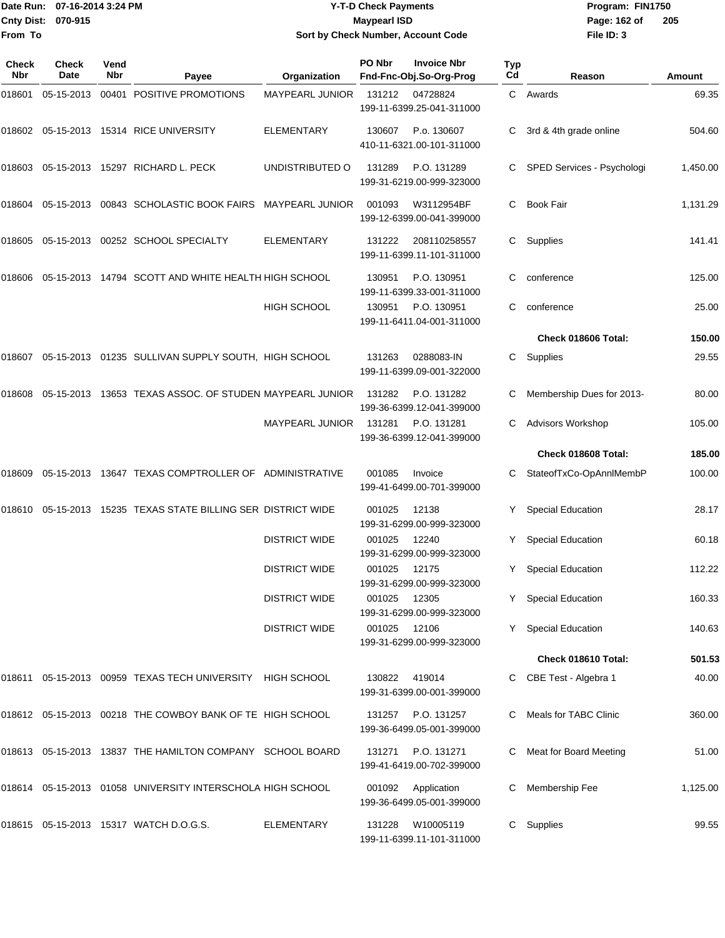|                    | Date Run: 07-16-2014 3:24 PM | <b>Y-T-D Check Payments</b>               | Program: FIN1750 |                |  |
|--------------------|------------------------------|-------------------------------------------|------------------|----------------|--|
| Cnty Dist: 070-915 |                              | Maypearl ISD                              | Page: 162 of     | $\overline{2}$ |  |
| From To            |                              | <b>Sort by Check Number, Account Code</b> | File ID: 3       |                |  |

## **070-915 Maypearl ISD Sort by Check Number, Account Code**

| Check<br>Nbr | <b>Check</b><br>Date | Vend<br>Nbr | Payee                                                         | Organization           | PO Nbr       | <b>Invoice Nbr</b><br>Fnd-Fnc-Obj.So-Org-Prog   | Typ<br>Cd | Reason                     | Amount   |
|--------------|----------------------|-------------|---------------------------------------------------------------|------------------------|--------------|-------------------------------------------------|-----------|----------------------------|----------|
| 018601       | 05-15-2013           |             | 00401 POSITIVE PROMOTIONS                                     | <b>MAYPEARL JUNIOR</b> | 131212       | 04728824<br>199-11-6399.25-041-311000           | C.        | Awards                     | 69.35    |
| 018602       |                      |             | 05-15-2013 15314 RICE UNIVERSITY                              | <b>ELEMENTARY</b>      | 130607       | P.o. 130607<br>410-11-6321.00-101-311000        |           | 3rd & 4th grade online     | 504.60   |
| 018603       |                      |             | 05-15-2013 15297 RICHARD L. PECK                              | UNDISTRIBUTED O        | 131289       | P.O. 131289<br>199-31-6219.00-999-323000        | C         | SPED Services - Psychologi | 1,450.00 |
| 018604       |                      |             | 05-15-2013 00843 SCHOLASTIC BOOK FAIRS MAYPEARL JUNIOR        |                        | 001093       | W3112954BF<br>199-12-6399.00-041-399000         | C.        | <b>Book Fair</b>           | 1,131.29 |
| 018605       |                      |             | 05-15-2013 00252 SCHOOL SPECIALTY                             | <b>ELEMENTARY</b>      | 131222       | 208110258557<br>199-11-6399.11-101-311000       | C.        | Supplies                   | 141.41   |
| 018606       |                      |             | 05-15-2013 14794 SCOTT AND WHITE HEALTH HIGH SCHOOL           |                        | 130951       | P.O. 130951<br>199-11-6399.33-001-311000        | С         | conference                 | 125.00   |
|              |                      |             |                                                               | HIGH SCHOOL            | 130951       | P.O. 130951<br>199-11-6411.04-001-311000        | С         | conference                 | 25.00    |
|              |                      |             |                                                               |                        |              |                                                 |           | Check 018606 Total:        | 150.00   |
| 018607       |                      |             | 05-15-2013 01235 SULLIVAN SUPPLY SOUTH, HIGH SCHOOL           |                        | 131263       | 0288083-IN<br>199-11-6399.09-001-322000         | C.        | Supplies                   | 29.55    |
| 018608       |                      |             | 05-15-2013 13653 TEXAS ASSOC. OF STUDEN MAYPEARL JUNIOR       |                        | 131282       | P.O. 131282<br>199-36-6399.12-041-399000        |           | Membership Dues for 2013-  | 80.00    |
|              |                      |             |                                                               | <b>MAYPEARL JUNIOR</b> | 131281       | P.O. 131281<br>199-36-6399.12-041-399000        | C.        | <b>Advisors Workshop</b>   | 105.00   |
|              |                      |             |                                                               |                        |              |                                                 |           | Check 018608 Total:        | 185.00   |
| 018609       |                      |             | 05-15-2013 13647 TEXAS COMPTROLLER OF ADMINISTRATIVE          |                        | 001085       | Invoice<br>199-41-6499.00-701-399000            |           | StateofTxCo-OpAnnlMembP    | 100.00   |
| 018610       |                      |             | 05-15-2013 15235 TEXAS STATE BILLING SER DISTRICT WIDE        |                        | 001025       | 12138<br>199-31-6299.00-999-323000              |           | <b>Special Education</b>   | 28.17    |
|              |                      |             |                                                               | <b>DISTRICT WIDE</b>   | 001025       | 12240<br>199-31-6299.00-999-323000              | Y         | <b>Special Education</b>   | 60.18    |
|              |                      |             |                                                               | <b>DISTRICT WIDE</b>   | 001025       | 12175<br>199-31-6299.00-999-323000              | Y.        | <b>Special Education</b>   | 112.22   |
|              |                      |             |                                                               | <b>DISTRICT WIDE</b>   | 001025 12305 | 199-31-6299.00-999-323000                       |           | Y Special Education        | 160.33   |
|              |                      |             |                                                               | <b>DISTRICT WIDE</b>   | 001025 12106 | 199-31-6299.00-999-323000                       |           | Y Special Education        | 140.63   |
|              |                      |             |                                                               |                        |              |                                                 |           | Check 018610 Total:        | 501.53   |
|              |                      |             | 018611  05-15-2013  00959  TEXAS TECH UNIVERSITY  HIGH SCHOOL |                        | 130822       | 419014<br>199-31-6399.00-001-399000             |           | C CBE Test - Algebra 1     | 40.00    |
|              |                      |             | 018612 05-15-2013 00218 THE COWBOY BANK OF TE HIGH SCHOOL     |                        |              | 131257 P.O. 131257<br>199-36-6499.05-001-399000 |           | C Meals for TABC Clinic    | 360.00   |
|              |                      |             | 018613 05-15-2013 13837 THE HAMILTON COMPANY SCHOOL BOARD     |                        | 131271       | P.O. 131271<br>199-41-6419.00-702-399000        |           | Meat for Board Meeting     | 51.00    |
|              |                      |             | 018614 05-15-2013 01058 UNIVERSITY INTERSCHOLA HIGH SCHOOL    |                        | 001092       | Application<br>199-36-6499.05-001-399000        |           | Membership Fee             | 1,125.00 |
|              |                      |             | 018615 05-15-2013 15317 WATCH D.O.G.S.                        | ELEMENTARY             | 131228       | W10005119<br>199-11-6399.11-101-311000          |           | C Supplies                 | 99.55    |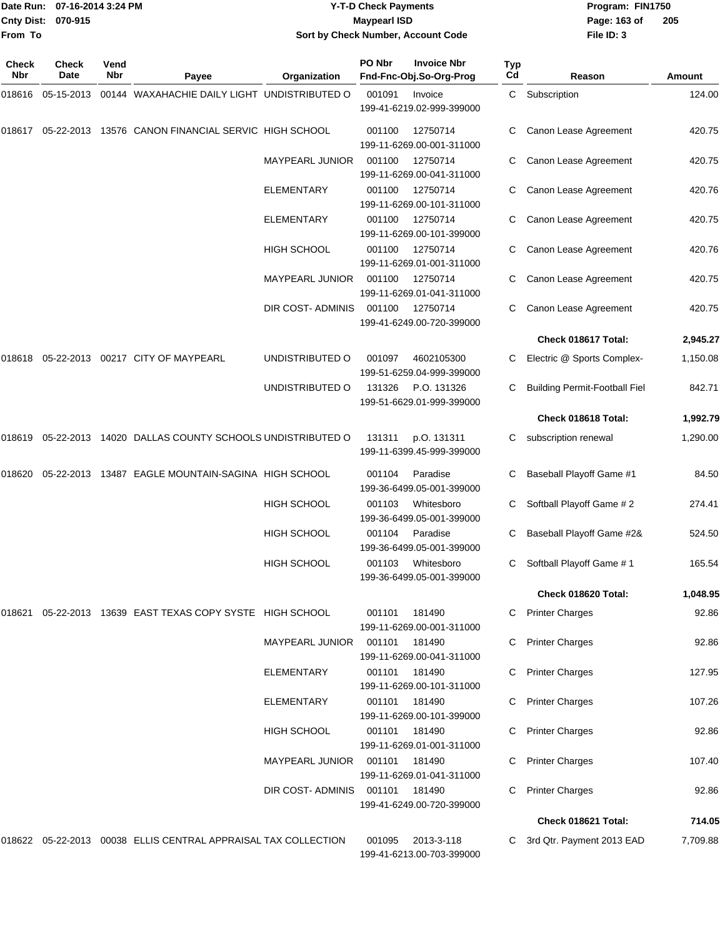**From To**

#### Date Run: 07-16-2014 3:24 PM **Program:** FIN1750 **Cnty Dist:** 070-915 **Page: 163 of** Maypearl ISD **CONTEX IS A RESERVE A Page: 163 of Y-T-D Check Payments 070-915 Maypearl ISD Sort by Check Number, Account Code**

| Check<br>Nbr | Check<br>Date | Vend<br><b>Nbr</b> | Payee                                                   | Organization           | PO Nbr        | <b>Invoice Nbr</b><br>Fnd-Fnc-Obj.So-Org-Prog | Typ<br>Cd | Reason                               | <b>Amount</b> |
|--------------|---------------|--------------------|---------------------------------------------------------|------------------------|---------------|-----------------------------------------------|-----------|--------------------------------------|---------------|
| 018616       | 05-15-2013    |                    | 00144 WAXAHACHIE DAILY LIGHT UNDISTRIBUTED O            |                        | 001091        | Invoice<br>199-41-6219.02-999-399000          | C         | Subscription                         | 124.00        |
| 018617       |               |                    | 05-22-2013 13576 CANON FINANCIAL SERVIC HIGH SCHOOL     |                        | 001100        | 12750714<br>199-11-6269.00-001-311000         | C         | Canon Lease Agreement                | 420.75        |
|              |               |                    |                                                         | MAYPEARL JUNIOR        | 001100        | 12750714<br>199-11-6269.00-041-311000         |           | Canon Lease Agreement                | 420.75        |
|              |               |                    |                                                         | <b>ELEMENTARY</b>      | 001100        | 12750714<br>199-11-6269.00-101-311000         |           | Canon Lease Agreement                | 420.76        |
|              |               |                    |                                                         | <b>ELEMENTARY</b>      | 001100        | 12750714<br>199-11-6269.00-101-399000         | C         | Canon Lease Agreement                | 420.75        |
|              |               |                    |                                                         | <b>HIGH SCHOOL</b>     | 001100        | 12750714<br>199-11-6269.01-001-311000         |           | Canon Lease Agreement                | 420.76        |
|              |               |                    |                                                         | MAYPEARL JUNIOR        | 001100        | 12750714<br>199-11-6269.01-041-311000         | C         | Canon Lease Agreement                | 420.75        |
|              |               |                    |                                                         | DIR COST-ADMINIS       | 001100        | 12750714<br>199-41-6249.00-720-399000         | C         | Canon Lease Agreement                | 420.75        |
|              |               |                    |                                                         |                        |               |                                               |           | Check 018617 Total:                  | 2,945.27      |
| 018618       |               |                    | 05-22-2013  00217  CITY OF MAYPEARL                     | UNDISTRIBUTED O        | 001097        | 4602105300<br>199-51-6259.04-999-399000       | C.        | Electric @ Sports Complex-           | 1,150.08      |
|              |               |                    |                                                         | UNDISTRIBUTED O        | 131326        | P.O. 131326<br>199-51-6629.01-999-399000      |           | <b>Building Permit-Football Fiel</b> | 842.71        |
|              |               |                    |                                                         |                        |               |                                               |           | Check 018618 Total:                  | 1,992.79      |
| 018619       |               |                    | 05-22-2013 14020 DALLAS COUNTY SCHOOLS UNDISTRIBUTED O  |                        | 131311        | p.O. 131311<br>199-11-6399.45-999-399000      | С         | subscription renewal                 | 1,290.00      |
| 018620       |               |                    | 05-22-2013 13487 EAGLE MOUNTAIN-SAGINA HIGH SCHOOL      |                        | 001104        | Paradise<br>199-36-6499.05-001-399000         |           | Baseball Playoff Game #1             | 84.50         |
|              |               |                    |                                                         | <b>HIGH SCHOOL</b>     | 001103        | Whitesboro<br>199-36-6499.05-001-399000       | С         | Softball Playoff Game # 2            | 274.41        |
|              |               |                    |                                                         | <b>HIGH SCHOOL</b>     | 001104        | Paradise<br>199-36-6499.05-001-399000         |           | Baseball Playoff Game #2&            | 524.50        |
|              |               |                    |                                                         | <b>HIGH SCHOOL</b>     | 001103        | Whitesboro<br>199-36-6499.05-001-399000       | С         | Softball Playoff Game # 1            | 165.54        |
|              |               |                    |                                                         |                        |               |                                               |           | Check 018620 Total:                  | 1,048.95      |
| 018621       |               |                    | 05-22-2013 13639 EAST TEXAS COPY SYSTE HIGH SCHOOL      |                        | 001101        | 181490<br>199-11-6269.00-001-311000           | C         | <b>Printer Charges</b>               | 92.86         |
|              |               |                    |                                                         | <b>MAYPEARL JUNIOR</b> | 001101        | 181490<br>199-11-6269.00-041-311000           | C         | <b>Printer Charges</b>               | 92.86         |
|              |               |                    |                                                         | <b>ELEMENTARY</b>      | 001101        | 181490<br>199-11-6269.00-101-311000           |           | <b>Printer Charges</b>               | 127.95        |
|              |               |                    |                                                         | ELEMENTARY             | 001101        | 181490<br>199-11-6269.00-101-399000           | C         | <b>Printer Charges</b>               | 107.26        |
|              |               |                    |                                                         | <b>HIGH SCHOOL</b>     | 001101        | 181490<br>199-11-6269.01-001-311000           | C         | <b>Printer Charges</b>               | 92.86         |
|              |               |                    |                                                         | MAYPEARL JUNIOR        | 001101 181490 | 199-11-6269.01-041-311000                     |           | <b>Printer Charges</b>               | 107.40        |
|              |               |                    |                                                         | DIR COST-ADMINIS       | 001101        | 181490<br>199-41-6249.00-720-399000           | C.        | <b>Printer Charges</b>               | 92.86         |
|              |               |                    |                                                         |                        |               |                                               |           | Check 018621 Total:                  | 714.05        |
| 018622       |               |                    | 05-22-2013 00038 ELLIS CENTRAL APPRAISAL TAX COLLECTION |                        | 001095        | 2013-3-118<br>199-41-6213.00-703-399000       | C         | 3rd Qtr. Payment 2013 EAD            | 7,709.88      |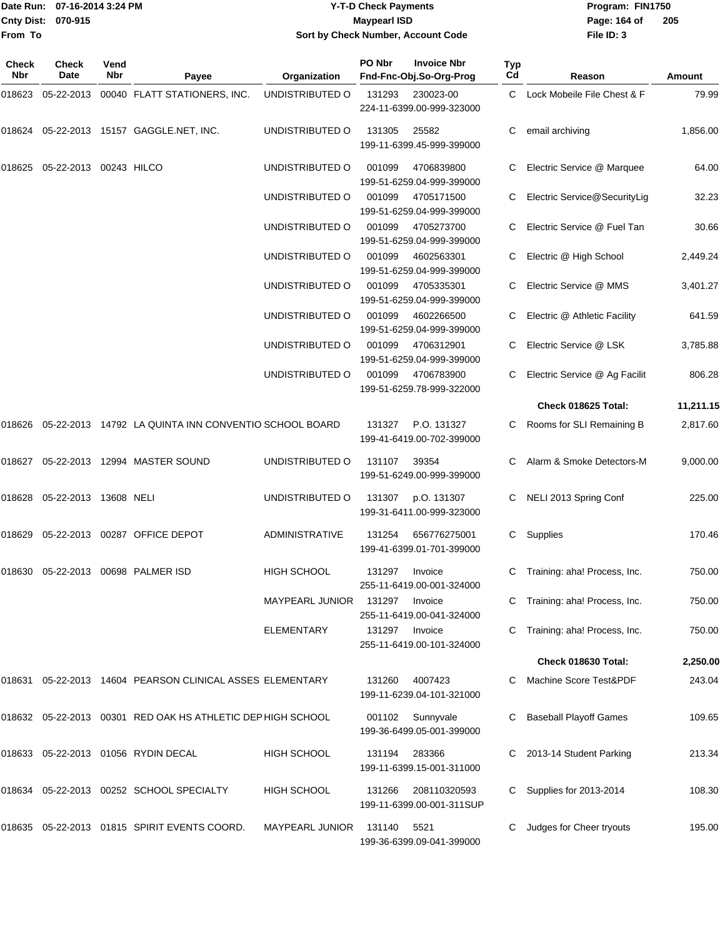|                    | Date Run: 07-16-2014 3:24 PM |
|--------------------|------------------------------|
| Cnty Dist: 070-915 |                              |
| <b>From To</b>     |                              |

## **Date Run: Program: FIN1750 07-16-2014 3:24 PM Y-T-D Check Payments Cnty Dist: Page: 164 of 070-915 Maypearl ISD Sort by Check Number, Account Code**

| <b>Check</b><br>Nbr | Check<br>Date          | Vend<br>Nbr | Payee                                                       | Organization           | PO Nbr | <b>Invoice Nbr</b><br>Fnd-Fnc-Obj.So-Org-Prog | Typ<br>Cd | Reason                        | Amount    |
|---------------------|------------------------|-------------|-------------------------------------------------------------|------------------------|--------|-----------------------------------------------|-----------|-------------------------------|-----------|
| 018623              |                        |             | 05-22-2013 00040 FLATT STATIONERS, INC.                     | UNDISTRIBUTED O        | 131293 | 230023-00<br>224-11-6399.00-999-323000        | C         | Lock Mobeile File Chest & F   | 79.99     |
| 018624              |                        |             | 05-22-2013 15157 GAGGLE.NET, INC.                           | UNDISTRIBUTED O        | 131305 | 25582<br>199-11-6399.45-999-399000            | С         | email archiving               | 1,856.00  |
| 018625              | 05-22-2013 00243 HILCO |             |                                                             | UNDISTRIBUTED O        | 001099 | 4706839800<br>199-51-6259.04-999-399000       |           | Electric Service @ Marquee    | 64.00     |
|                     |                        |             |                                                             | UNDISTRIBUTED O        | 001099 | 4705171500<br>199-51-6259.04-999-399000       |           | Electric Service@SecurityLig  | 32.23     |
|                     |                        |             |                                                             | UNDISTRIBUTED O        | 001099 | 4705273700<br>199-51-6259.04-999-399000       |           | Electric Service @ Fuel Tan   | 30.66     |
|                     |                        |             |                                                             | UNDISTRIBUTED O        | 001099 | 4602563301<br>199-51-6259.04-999-399000       |           | Electric @ High School        | 2,449.24  |
|                     |                        |             |                                                             | UNDISTRIBUTED O        | 001099 | 4705335301<br>199-51-6259.04-999-399000       |           | Electric Service @ MMS        | 3,401.27  |
|                     |                        |             |                                                             | UNDISTRIBUTED O        | 001099 | 4602266500<br>199-51-6259.04-999-399000       | С         | Electric @ Athletic Facility  | 641.59    |
|                     |                        |             |                                                             | UNDISTRIBUTED O        | 001099 | 4706312901<br>199-51-6259.04-999-399000       |           | Electric Service @ LSK        | 3,785.88  |
|                     |                        |             |                                                             | UNDISTRIBUTED O        | 001099 | 4706783900<br>199-51-6259.78-999-322000       |           | Electric Service @ Ag Facilit | 806.28    |
|                     |                        |             |                                                             |                        |        |                                               |           | Check 018625 Total:           | 11,211.15 |
| 018626              |                        |             | 05-22-2013 14792 LA QUINTA INN CONVENTIO SCHOOL BOARD       |                        | 131327 | P.O. 131327<br>199-41-6419.00-702-399000      |           | Rooms for SLI Remaining B     | 2,817.60  |
| 018627              |                        |             | 05-22-2013 12994 MASTER SOUND                               | UNDISTRIBUTED O        | 131107 | 39354<br>199-51-6249.00-999-399000            |           | Alarm & Smoke Detectors-M     | 9,000.00  |
| 018628              | 05-22-2013 13608 NELI  |             |                                                             | UNDISTRIBUTED O        | 131307 | p.O. 131307<br>199-31-6411.00-999-323000      |           | NELI 2013 Spring Conf         | 225.00    |
| 018629              |                        |             | 05-22-2013 00287 OFFICE DEPOT                               | ADMINISTRATIVE         | 131254 | 656776275001<br>199-41-6399.01-701-399000     | С         | Supplies                      | 170.46    |
| 018630              |                        |             | 05-22-2013 00698 PALMER ISD                                 | <b>HIGH SCHOOL</b>     | 131297 | Invoice<br>255-11-6419.00-001-324000          | C         | Training: aha! Process, Inc.  | 750.00    |
|                     |                        |             |                                                             | <b>MAYPEARL JUNIOR</b> | 131297 | Invoice<br>255-11-6419.00-041-324000          |           | Training: aha! Process, Inc.  | 750.00    |
|                     |                        |             |                                                             | ELEMENTARY             | 131297 | Invoice<br>255-11-6419.00-101-324000          |           | Training: aha! Process, Inc.  | 750.00    |
|                     |                        |             |                                                             |                        |        |                                               |           | Check 018630 Total:           | 2,250.00  |
| 018631              |                        |             | 05-22-2013 14604 PEARSON CLINICAL ASSES ELEMENTARY          |                        | 131260 | 4007423<br>199-11-6239.04-101-321000          | С         | Machine Score Test&PDF        | 243.04    |
|                     |                        |             | 018632 05-22-2013 00301 RED OAK HS ATHLETIC DEP HIGH SCHOOL |                        | 001102 | Sunnyvale<br>199-36-6499.05-001-399000        | С         | <b>Baseball Playoff Games</b> | 109.65    |
|                     |                        |             | 018633 05-22-2013 01056 RYDIN DECAL                         | HIGH SCHOOL            | 131194 | 283366<br>199-11-6399.15-001-311000           |           | 2013-14 Student Parking       | 213.34    |
|                     |                        |             | 018634 05-22-2013 00252 SCHOOL SPECIALTY                    | HIGH SCHOOL            | 131266 | 208110320593<br>199-11-6399.00-001-311SUP     | С         | Supplies for 2013-2014        | 108.30    |
|                     |                        |             | 018635 05-22-2013 01815 SPIRIT EVENTS COORD.                | MAYPEARL JUNIOR        | 131140 | 5521<br>199-36-6399.09-041-399000             | С         | Judges for Cheer tryouts      | 195.00    |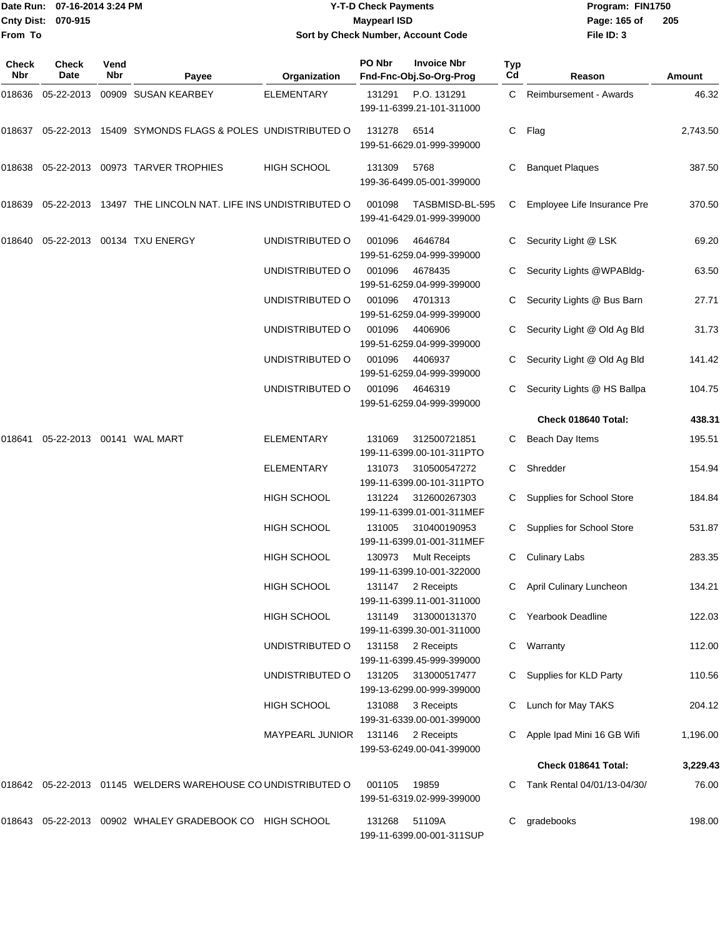|                           | Date Run: 07-16-2014 3:24 PM | <b>Y-T-D Check Payments</b>               | Program: FIN1750 |                |
|---------------------------|------------------------------|-------------------------------------------|------------------|----------------|
| <b>Cnty Dist: 070-915</b> |                              | <b>Maypearl ISD</b>                       | Page: 165 of     | $\overline{2}$ |
| lFrom To                  |                              | <b>Sort by Check Number, Account Code</b> | File ID: 3       |                |

# **Sort by Check Number, Account Code**

| Check<br>Nbr | <b>Check</b><br>Date | Vend<br>Nbr | Payee                                                        | Organization           | PO Nbr | <b>Invoice Nbr</b><br>Fnd-Fnc-Obj.So-Org-Prog     | Typ<br>Cd | Reason                      | Amount   |
|--------------|----------------------|-------------|--------------------------------------------------------------|------------------------|--------|---------------------------------------------------|-----------|-----------------------------|----------|
| 018636       | 05-22-2013           |             | 00909 SUSAN KEARBEY                                          | <b>ELEMENTARY</b>      | 131291 | P.O. 131291<br>199-11-6399.21-101-311000          | C         | Reimbursement - Awards      | 46.32    |
| 018637       |                      |             | 05-22-2013 15409 SYMONDS FLAGS & POLES UNDISTRIBUTED O       |                        | 131278 | 6514<br>199-51-6629.01-999-399000                 | С         | Flag                        | 2,743.50 |
| 018638       |                      |             | 05-22-2013 00973 TARVER TROPHIES                             | <b>HIGH SCHOOL</b>     | 131309 | 5768<br>199-36-6499.05-001-399000                 | С         | <b>Banquet Plaques</b>      | 387.50   |
| 018639       |                      |             | 05-22-2013 13497 THE LINCOLN NAT. LIFE INS UNDISTRIBUTED O   |                        | 001098 | TASBMISD-BL-595<br>199-41-6429.01-999-399000      | C         | Employee Life Insurance Pre | 370.50   |
| 018640       |                      |             | 05-22-2013 00134 TXU ENERGY                                  | UNDISTRIBUTED O        | 001096 | 4646784<br>199-51-6259.04-999-399000              | С         | Security Light @ LSK        | 69.20    |
|              |                      |             |                                                              | UNDISTRIBUTED O        | 001096 | 4678435<br>199-51-6259.04-999-399000              | С         | Security Lights @WPABldg-   | 63.50    |
|              |                      |             |                                                              | UNDISTRIBUTED O        | 001096 | 4701313<br>199-51-6259.04-999-399000              | C         | Security Lights @ Bus Barn  | 27.71    |
|              |                      |             |                                                              | UNDISTRIBUTED O        | 001096 | 4406906<br>199-51-6259.04-999-399000              | C         | Security Light @ Old Ag Bld | 31.73    |
|              |                      |             |                                                              | UNDISTRIBUTED O        | 001096 | 4406937<br>199-51-6259.04-999-399000              | C         | Security Light @ Old Ag Bld | 141.42   |
|              |                      |             |                                                              | UNDISTRIBUTED O        | 001096 | 4646319<br>199-51-6259.04-999-399000              | C         | Security Lights @ HS Ballpa | 104.75   |
|              |                      |             |                                                              |                        |        |                                                   |           | Check 018640 Total:         | 438.31   |
| 018641       |                      |             | 05-22-2013  00141  WAL MART                                  | <b>ELEMENTARY</b>      | 131069 | 312500721851<br>199-11-6399.00-101-311PTO         | C         | Beach Day Items             | 195.51   |
|              |                      |             |                                                              | <b>ELEMENTARY</b>      | 131073 | 310500547272<br>199-11-6399.00-101-311PTO         | C         | Shredder                    | 154.94   |
|              |                      |             |                                                              | <b>HIGH SCHOOL</b>     | 131224 | 312600267303<br>199-11-6399.01-001-311MEF         | С         | Supplies for School Store   | 184.84   |
|              |                      |             |                                                              | <b>HIGH SCHOOL</b>     | 131005 | 310400190953<br>199-11-6399.01-001-311MEF         | C         | Supplies for School Store   | 531.87   |
|              |                      |             |                                                              | <b>HIGH SCHOOL</b>     | 130973 | <b>Mult Receipts</b><br>199-11-6399.10-001-322000 | С         | <b>Culinary Labs</b>        | 283.35   |
|              |                      |             |                                                              | <b>HIGH SCHOOL</b>     | 131147 | 2 Receipts<br>199-11-6399.11-001-311000           | C.        | April Culinary Luncheon     | 134.21   |
|              |                      |             |                                                              | <b>HIGH SCHOOL</b>     | 131149 | 313000131370<br>199-11-6399.30-001-311000         | C         | <b>Yearbook Deadline</b>    | 122.03   |
|              |                      |             |                                                              | UNDISTRIBUTED O        |        | 131158 2 Receipts<br>199-11-6399.45-999-399000    | С         | Warranty                    | 112.00   |
|              |                      |             |                                                              | UNDISTRIBUTED O        | 131205 | 313000517477<br>199-13-6299.00-999-399000         | C         | Supplies for KLD Party      | 110.56   |
|              |                      |             |                                                              | <b>HIGH SCHOOL</b>     | 131088 | 3 Receipts<br>199-31-6339.00-001-399000           | С         | Lunch for May TAKS          | 204.12   |
|              |                      |             |                                                              | <b>MAYPEARL JUNIOR</b> |        | 131146 2 Receipts<br>199-53-6249.00-041-399000    | С         | Apple Ipad Mini 16 GB Wifi  | 1,196.00 |
|              |                      |             |                                                              |                        |        |                                                   |           | Check 018641 Total:         | 3,229.43 |
|              |                      |             | 018642 05-22-2013 01145 WELDERS WAREHOUSE CO UNDISTRIBUTED O |                        | 001105 | 19859<br>199-51-6319.02-999-399000                | C         | Tank Rental 04/01/13-04/30/ | 76.00    |
|              |                      |             | 018643  05-22-2013  00902  WHALEY GRADEBOOK CO  HIGH SCHOOL  |                        | 131268 | 51109A<br>199-11-6399.00-001-311SUP               | C         | gradebooks                  | 198.00   |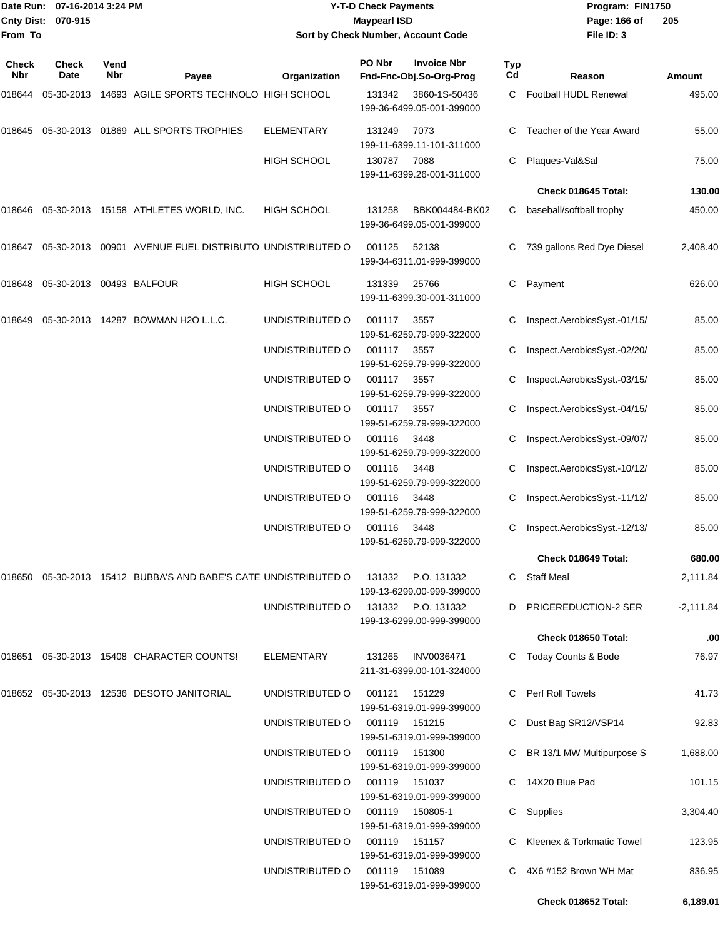|                    | Date Run: 07-16-2014 3:24 PM |
|--------------------|------------------------------|
| Cnty Dist: 070-915 |                              |
| <b>From To</b>     |                              |

## **Date Run: Program: FIN1750 07-16-2014 3:24 PM Y-T-D Check Payments Cnty Dist: Page: 166 of 070-915 Maypearl ISD Sort by Check Number, Account Code**

| <b>Check</b><br>Nbr | <b>Check</b><br>Date     | Vend<br>Nbr | Payee                                                    | Organization       | PO Nbr        | <b>Invoice Nbr</b><br>Fnd-Fnc-Obj.So-Org-Prog | <b>Typ</b><br>Cd | Reason                         | Amount      |
|---------------------|--------------------------|-------------|----------------------------------------------------------|--------------------|---------------|-----------------------------------------------|------------------|--------------------------------|-------------|
| 018644              | 05-30-2013               |             | 14693 AGILE SPORTS TECHNOLO HIGH SCHOOL                  |                    | 131342        | 3860-1S-50436<br>199-36-6499.05-001-399000    | C                | Football HUDL Renewal          | 495.00      |
| 018645              |                          |             | 05-30-2013 01869 ALL SPORTS TROPHIES                     | <b>ELEMENTARY</b>  | 131249        | 7073<br>199-11-6399.11-101-311000             |                  | Teacher of the Year Award      | 55.00       |
|                     |                          |             |                                                          | <b>HIGH SCHOOL</b> | 130787        | 7088<br>199-11-6399.26-001-311000             | C                | Plaques-Val&Sal                | 75.00       |
|                     |                          |             |                                                          |                    |               |                                               |                  | Check 018645 Total:            | 130.00      |
| 018646              |                          |             | 05-30-2013 15158 ATHLETES WORLD, INC.                    | HIGH SCHOOL        | 131258        | BBK004484-BK02<br>199-36-6499.05-001-399000   | C                | baseball/softball trophy       | 450.00      |
| 018647              | 05-30-2013               |             | 00901 AVENUE FUEL DISTRIBUTO UNDISTRIBUTED O             |                    | 001125        | 52138<br>199-34-6311.01-999-399000            |                  | 739 gallons Red Dye Diesel     | 2,408.40    |
| 018648              | 05-30-2013 00493 BALFOUR |             |                                                          | <b>HIGH SCHOOL</b> | 131339        | 25766<br>199-11-6399.30-001-311000            | C                | Payment                        | 626.00      |
| 018649              |                          |             | 05-30-2013  14287  BOWMAN H2O L.L.C.                     | UNDISTRIBUTED O    | 001117        | 3557<br>199-51-6259.79-999-322000             | C                | Inspect.AerobicsSyst.-01/15/   | 85.00       |
|                     |                          |             |                                                          | UNDISTRIBUTED O    | 001117        | 3557<br>199-51-6259.79-999-322000             |                  | Inspect.AerobicsSyst.-02/20/   | 85.00       |
|                     |                          |             |                                                          | UNDISTRIBUTED O    | 001117        | 3557<br>199-51-6259.79-999-322000             |                  | Inspect.AerobicsSyst.-03/15/   | 85.00       |
|                     |                          |             |                                                          | UNDISTRIBUTED O    | 001117        | 3557<br>199-51-6259.79-999-322000             | С                | Inspect.AerobicsSyst.-04/15/   | 85.00       |
|                     |                          |             |                                                          | UNDISTRIBUTED O    | 001116        | 3448<br>199-51-6259.79-999-322000             |                  | Inspect.AerobicsSyst.-09/07/   | 85.00       |
|                     |                          |             |                                                          | UNDISTRIBUTED O    | 001116        | 3448<br>199-51-6259.79-999-322000             |                  | Inspect.AerobicsSyst.-10/12/   | 85.00       |
|                     |                          |             |                                                          | UNDISTRIBUTED O    | 001116        | 3448<br>199-51-6259.79-999-322000             | C                | Inspect.AerobicsSyst.-11/12/   | 85.00       |
|                     |                          |             |                                                          | UNDISTRIBUTED O    | 001116        | 3448<br>199-51-6259.79-999-322000             |                  | Inspect.AerobicsSyst.-12/13/   | 85.00       |
|                     |                          |             |                                                          |                    |               |                                               |                  | Check 018649 Total:            | 680.00      |
| 018650              |                          |             | 05-30-2013 15412 BUBBA'S AND BABE'S CATE UNDISTRIBUTED O |                    | 131332        | P.O. 131332<br>199-13-6299.00-999-399000      | C                | <b>Staff Meal</b>              | 2,111.84    |
|                     |                          |             |                                                          | UNDISTRIBUTED O    | 131332        | P.O. 131332<br>199-13-6299.00-999-399000      |                  | D PRICEREDUCTION-2 SER         | $-2,111.84$ |
|                     |                          |             |                                                          |                    |               |                                               |                  | Check 018650 Total:            | .00         |
| 018651              |                          |             | 05-30-2013 15408 CHARACTER COUNTS!                       | ELEMENTARY         | 131265        | INV0036471<br>211-31-6399.00-101-324000       |                  | <b>Today Counts &amp; Bode</b> | 76.97       |
|                     |                          |             | 018652 05-30-2013 12536 DESOTO JANITORIAL                | UNDISTRIBUTED O    | 001121        | 151229<br>199-51-6319.01-999-399000           |                  | C Perf Roll Towels             | 41.73       |
|                     |                          |             |                                                          | UNDISTRIBUTED O    |               | 001119 151215<br>199-51-6319.01-999-399000    |                  | Dust Bag SR12/VSP14            | 92.83       |
|                     |                          |             |                                                          | UNDISTRIBUTED O    |               | 001119 151300<br>199-51-6319.01-999-399000    |                  | C BR 13/1 MW Multipurpose S    | 1,688.00    |
|                     |                          |             |                                                          | UNDISTRIBUTED O    | 001119 151037 | 199-51-6319.01-999-399000                     |                  | C 14X20 Blue Pad               | 101.15      |
|                     |                          |             |                                                          | UNDISTRIBUTED O    |               | 001119 150805-1<br>199-51-6319.01-999-399000  |                  | C Supplies                     | 3,304.40    |
|                     |                          |             |                                                          | UNDISTRIBUTED O    |               | 001119 151157<br>199-51-6319.01-999-399000    |                  | Kleenex & Torkmatic Towel      | 123.95      |
|                     |                          |             |                                                          | UNDISTRIBUTED O    |               | 001119 151089<br>199-51-6319.01-999-399000    |                  | 4X6 #152 Brown WH Mat          | 836.95      |
|                     |                          |             |                                                          |                    |               |                                               |                  | Check 018652 Total:            | 6,189.01    |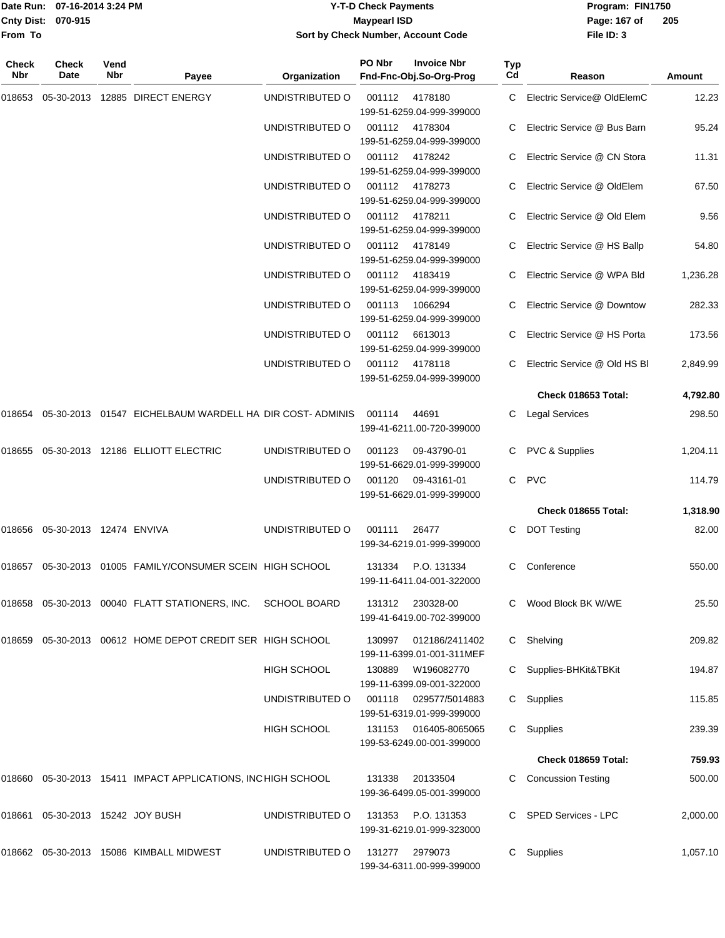|                    | Date Run: 07-16-2014 3:24 PM |
|--------------------|------------------------------|
| Cnty Dist: 070-915 |                              |
| <b>From To</b>     |                              |

#### **Date Run: Program: FIN1750 07-16-2014 3:24 PM Y-T-D Check Payments Cnty Dist: Page: 167 of 070-915 Maypearl ISD Sort by Check Number, Account Code**

| Check<br>Nbr | <b>Check</b><br>Date             | Vend<br>Nbr | Payee                                                           | Organization       | PO Nbr | <b>Invoice Nbr</b><br>Fnd-Fnc-Obj.So-Org-Prog      | <b>Typ</b><br>Cd | Reason                       | Amount   |
|--------------|----------------------------------|-------------|-----------------------------------------------------------------|--------------------|--------|----------------------------------------------------|------------------|------------------------------|----------|
| 018653       |                                  |             | 05-30-2013 12885 DIRECT ENERGY                                  | UNDISTRIBUTED O    |        | 001112 4178180<br>199-51-6259.04-999-399000        |                  | C Electric Service@ OldElemC | 12.23    |
|              |                                  |             |                                                                 | UNDISTRIBUTED O    |        | 001112 4178304<br>199-51-6259.04-999-399000        |                  | Electric Service @ Bus Barn  | 95.24    |
|              |                                  |             |                                                                 | UNDISTRIBUTED O    |        | 001112 4178242<br>199-51-6259.04-999-399000        | C                | Electric Service @ CN Stora  | 11.31    |
|              |                                  |             |                                                                 | UNDISTRIBUTED O    |        | 001112 4178273<br>199-51-6259.04-999-399000        | C.               | Electric Service @ OldElem   | 67.50    |
|              |                                  |             |                                                                 | UNDISTRIBUTED O    |        | 001112 4178211<br>199-51-6259.04-999-399000        |                  | Electric Service @ Old Elem  | 9.56     |
|              |                                  |             |                                                                 | UNDISTRIBUTED O    |        | 001112 4178149<br>199-51-6259.04-999-399000        |                  | Electric Service @ HS Ballp  | 54.80    |
|              |                                  |             |                                                                 | UNDISTRIBUTED O    |        | 001112 4183419<br>199-51-6259.04-999-399000        |                  | Electric Service @ WPA Bld   | 1,236.28 |
|              |                                  |             |                                                                 | UNDISTRIBUTED O    | 001113 | 1066294<br>199-51-6259.04-999-399000               |                  | Electric Service @ Downtow   | 282.33   |
|              |                                  |             |                                                                 | UNDISTRIBUTED O    | 001112 | 6613013<br>199-51-6259.04-999-399000               |                  | Electric Service @ HS Porta  | 173.56   |
|              |                                  |             |                                                                 | UNDISTRIBUTED O    |        | 001112 4178118<br>199-51-6259.04-999-399000        |                  | Electric Service @ Old HS BI | 2,849.99 |
|              |                                  |             |                                                                 |                    |        |                                                    |                  | Check 018653 Total:          | 4,792.80 |
| 018654       |                                  |             | 05-30-2013 01547 EICHELBAUM WARDELL HA DIR COST-ADMINIS         |                    | 001114 | 44691<br>199-41-6211.00-720-399000                 | C.               | Legal Services               | 298.50   |
| 018655       |                                  |             | 05-30-2013 12186 ELLIOTT ELECTRIC                               | UNDISTRIBUTED O    | 001123 | 09-43790-01<br>199-51-6629.01-999-399000           | C                | <b>PVC &amp; Supplies</b>    | 1,204.11 |
|              |                                  |             |                                                                 | UNDISTRIBUTED O    | 001120 | 09-43161-01<br>199-51-6629.01-999-399000           | C                | <b>PVC</b>                   | 114.79   |
|              |                                  |             |                                                                 |                    |        |                                                    |                  | Check 018655 Total:          | 1,318.90 |
|              | 018656 05-30-2013 12474 ENVIVA   |             |                                                                 | UNDISTRIBUTED O    | 001111 | 26477<br>199-34-6219.01-999-399000                 | C                | <b>DOT Testing</b>           | 82.00    |
| 018657       |                                  |             | 05-30-2013 01005 FAMILY/CONSUMER SCEIN HIGH SCHOOL              |                    | 131334 | P.O. 131334<br>199-11-6411.04-001-322000           | С                | Conference                   | 550.00   |
|              |                                  |             | 018658  05-30-2013  00040  FLATT STATIONERS, INC.  SCHOOL BOARD |                    |        | 131312 230328-00<br>199-41-6419.00-702-399000      |                  | C Wood Block BK W/WE         | 25.50    |
|              |                                  |             | 018659 05-30-2013 00612 HOME DEPOT CREDIT SER HIGH SCHOOL       |                    | 130997 | 012186/2411402<br>199-11-6399.01-001-311MEF        |                  | C Shelving                   | 209.82   |
|              |                                  |             |                                                                 | <b>HIGH SCHOOL</b> | 130889 | W196082770<br>199-11-6399.09-001-322000            |                  | Supplies-BHKit&TBKit         | 194.87   |
|              |                                  |             |                                                                 | UNDISTRIBUTED O    |        | 001118 029577/5014883<br>199-51-6319.01-999-399000 | C                | Supplies                     | 115.85   |
|              |                                  |             |                                                                 | <b>HIGH SCHOOL</b> |        | 131153 016405-8065065<br>199-53-6249.00-001-399000 |                  | C Supplies                   | 239.39   |
|              |                                  |             |                                                                 |                    |        |                                                    |                  | Check 018659 Total:          | 759.93   |
|              |                                  |             | 018660 05-30-2013 15411 IMPACT APPLICATIONS, INCHIGH SCHOOL     |                    | 131338 | 20133504<br>199-36-6499.05-001-399000              | C                | <b>Concussion Testing</b>    | 500.00   |
|              | 018661 05-30-2013 15242 JOY BUSH |             |                                                                 | UNDISTRIBUTED O    | 131353 | P.O. 131353<br>199-31-6219.01-999-323000           |                  | C SPED Services - LPC        | 2,000.00 |
|              |                                  |             | 018662 05-30-2013 15086 KIMBALL MIDWEST                         | UNDISTRIBUTED O    | 131277 | 2979073<br>199-34-6311.00-999-399000               |                  | C Supplies                   | 1,057.10 |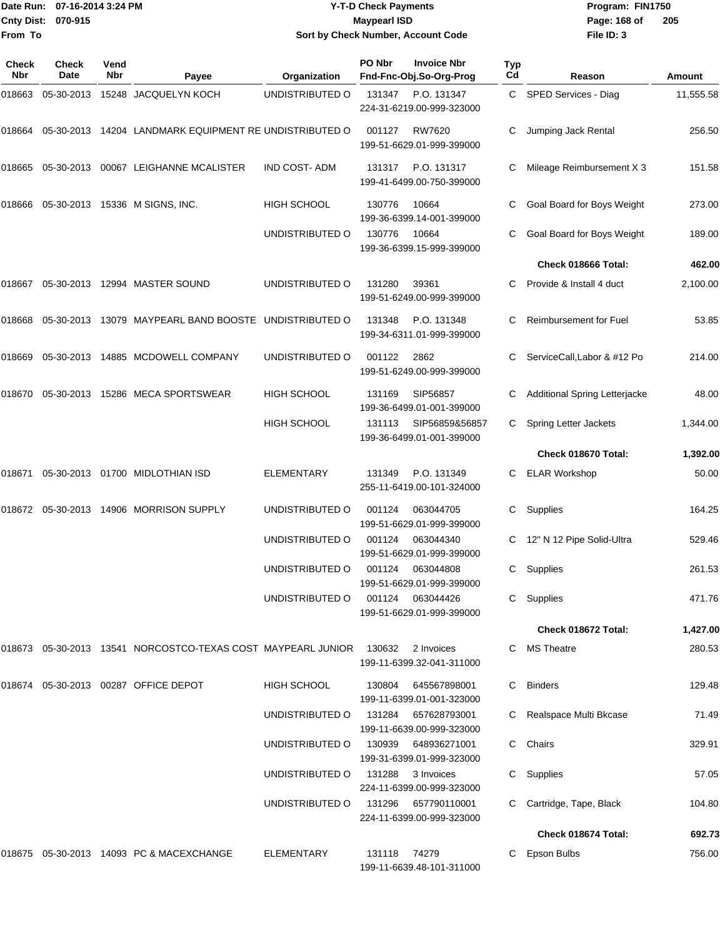|                    | Date Run: 07-16-2014 3:24 PM |
|--------------------|------------------------------|
| Cnty Dist: 070-915 |                              |
| lFrom To           |                              |

### **Date Run: Program: FIN1750 07-16-2014 3:24 PM Y-T-D Check Payments Cnty Dist: Page: 168 of 070-915 Maypearl ISD Sort by Check Number, Account Code**

| Check<br>Nbr | <b>Check</b><br>Date | Vend<br>Nbr | Payee                                                        | Organization        | PO Nbr       | <b>Invoice Nbr</b><br>Fnd-Fnc-Obj.So-Org-Prog    | Typ<br>Cd | Reason                        | Amount    |
|--------------|----------------------|-------------|--------------------------------------------------------------|---------------------|--------------|--------------------------------------------------|-----------|-------------------------------|-----------|
| 018663       | 05-30-2013           |             | 15248 JACQUELYN KOCH                                         | UNDISTRIBUTED O     | 131347       | P.O. 131347<br>224-31-6219.00-999-323000         | C         | SPED Services - Diag          | 11,555.58 |
| 018664       |                      |             | 05-30-2013 14204 LANDMARK EQUIPMENT RE UNDISTRIBUTED O       |                     | 001127       | RW7620<br>199-51-6629.01-999-399000              | C         | Jumping Jack Rental           | 256.50    |
| 018665       |                      |             | 05-30-2013 00067 LEIGHANNE MCALISTER                         | <b>IND COST-ADM</b> | 131317       | P.O. 131317<br>199-41-6499.00-750-399000         |           | Mileage Reimbursement X 3     | 151.58    |
| 018666       |                      |             | 05-30-2013 15336 M SIGNS, INC.                               | HIGH SCHOOL         | 130776       | 10664<br>199-36-6399.14-001-399000               | С         | Goal Board for Boys Weight    | 273.00    |
|              |                      |             |                                                              | UNDISTRIBUTED O     | 130776       | 10664<br>199-36-6399.15-999-399000               | C         | Goal Board for Boys Weight    | 189.00    |
|              |                      |             |                                                              |                     |              |                                                  |           | Check 018666 Total:           | 462.00    |
| 018667       |                      |             | 05-30-2013 12994 MASTER SOUND                                | UNDISTRIBUTED O     | 131280       | 39361<br>199-51-6249.00-999-399000               | C.        | Provide & Install 4 duct      | 2,100.00  |
| 018668       |                      |             | 05-30-2013 13079 MAYPEARL BAND BOOSTE UNDISTRIBUTED O        |                     | 131348       | P.O. 131348<br>199-34-6311.01-999-399000         |           | <b>Reimbursement for Fuel</b> | 53.85     |
| 018669       |                      |             | 05-30-2013  14885  MCDOWELL COMPANY                          | UNDISTRIBUTED O     | 001122       | 2862<br>199-51-6249.00-999-399000                | С         | ServiceCall,Labor & #12 Po    | 214.00    |
| 018670       |                      |             | 05-30-2013 15286 MECA SPORTSWEAR                             | <b>HIGH SCHOOL</b>  | 131169       | SIP56857<br>199-36-6499.01-001-399000            | С         | Additional Spring Letterjacke | 48.00     |
|              |                      |             |                                                              | HIGH SCHOOL         | 131113       | SIP56859&56857<br>199-36-6499.01-001-399000      |           | Spring Letter Jackets         | 1,344.00  |
|              |                      |             |                                                              |                     |              |                                                  |           | Check 018670 Total:           | 1,392.00  |
| 018671       |                      |             | 05-30-2013 01700 MIDLOTHIAN ISD                              | <b>ELEMENTARY</b>   | 131349       | P.O. 131349<br>255-11-6419.00-101-324000         |           | <b>ELAR Workshop</b>          | 50.00     |
| 018672       |                      |             | 05-30-2013 14906 MORRISON SUPPLY                             | UNDISTRIBUTED O     | 001124       | 063044705<br>199-51-6629.01-999-399000           | С         | Supplies                      | 164.25    |
|              |                      |             |                                                              | UNDISTRIBUTED O     | 001124       | 063044340<br>199-51-6629.01-999-399000           | С         | 12" N 12 Pipe Solid-Ultra     | 529.46    |
|              |                      |             |                                                              | UNDISTRIBUTED O     | 001124       | 063044808<br>199-51-6629.01-999-399000           | C         | Supplies                      | 261.53    |
|              |                      |             |                                                              | UNDISTRIBUTED O     | 001124       | 063044426<br>199-51-6629.01-999-399000           |           | C Supplies                    | 471.76    |
|              |                      |             |                                                              |                     |              |                                                  |           | Check 018672 Total:           | 1,427.00  |
|              |                      |             | 018673 05-30-2013 13541 NORCOSTCO-TEXAS COST MAYPEARL JUNIOR |                     | 130632       | 2 Invoices<br>199-11-6399.32-041-311000          |           | C MS Theatre                  | 280.53    |
|              |                      |             | 018674 05-30-2013 00287 OFFICE DEPOT                         | <b>HIGH SCHOOL</b>  | 130804       | 645567898001<br>199-11-6399.01-001-323000        | C         | <b>Binders</b>                | 129.48    |
|              |                      |             |                                                              | UNDISTRIBUTED O     |              | 131284 657628793001<br>199-11-6639.00-999-323000 |           | C Realspace Multi Bkcase      | 71.49     |
|              |                      |             |                                                              | UNDISTRIBUTED O     | 130939       | 648936271001<br>199-31-6399.01-999-323000        |           | C Chairs                      | 329.91    |
|              |                      |             |                                                              | UNDISTRIBUTED O     | 131288       | 3 Invoices<br>224-11-6399.00-999-323000          |           | C Supplies                    | 57.05     |
|              |                      |             |                                                              | UNDISTRIBUTED O     | 131296       | 657790110001<br>224-11-6399.00-999-323000        |           | C Cartridge, Tape, Black      | 104.80    |
|              |                      |             |                                                              |                     |              |                                                  |           | Check 018674 Total:           | 692.73    |
|              |                      |             | 018675 05-30-2013 14093 PC & MACEXCHANGE                     | ELEMENTARY          | 131118 74279 | 199-11-6639.48-101-311000                        |           | C Epson Bulbs                 | 756.00    |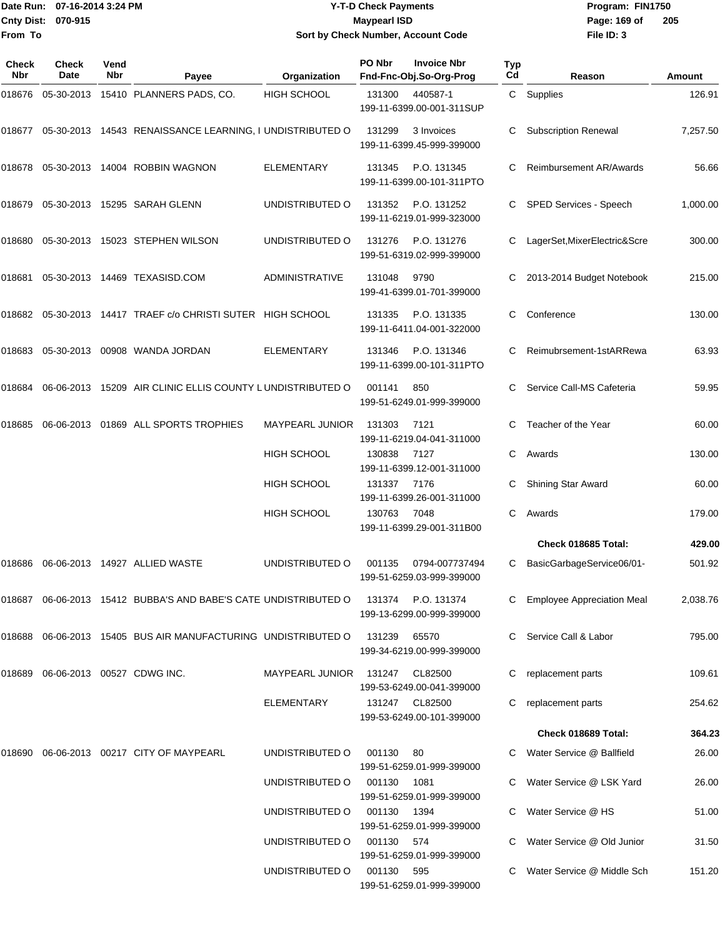**From To**

#### Date Run: 07-16-2014 3:24 PM **Program:** FIN1750 **Cnty Dist:** 070-915 **Page: 169 of MaypearI ISD Page: 169 of Page: 169 of Y-T-D Check Payments 070-915 Maypearl ISD Sort by Check Number, Account Code**

| Check<br>Nbr | <b>Check</b><br><b>Date</b> | Vend<br><b>Nbr</b> | Payee                                                                 | Organization           | PO Nbr     | <b>Invoice Nbr</b><br>Fnd-Fnc-Obj.So-Org-Prog   | Typ<br>Cd | Reason                            | Amount   |
|--------------|-----------------------------|--------------------|-----------------------------------------------------------------------|------------------------|------------|-------------------------------------------------|-----------|-----------------------------------|----------|
| 018676       |                             |                    | 05-30-2013 15410 PLANNERS PADS, CO.                                   | <b>HIGH SCHOOL</b>     | 131300     | 440587-1<br>199-11-6399.00-001-311SUP           |           | C Supplies                        | 126.91   |
|              |                             |                    | 018677 05-30-2013 14543 RENAISSANCE LEARNING, I UNDISTRIBUTED O       |                        | 131299     | 3 Invoices<br>199-11-6399.45-999-399000         | С         | <b>Subscription Renewal</b>       | 7,257.50 |
|              |                             |                    | 018678 05-30-2013 14004 ROBBIN WAGNON                                 | <b>ELEMENTARY</b>      | 131345     | P.O. 131345<br>199-11-6399.00-101-311PTO        | С         | <b>Reimbursement AR/Awards</b>    | 56.66    |
| 018679       |                             |                    | 05-30-2013 15295 SARAH GLENN                                          | UNDISTRIBUTED O        | 131352     | P.O. 131252<br>199-11-6219.01-999-323000        | C         | <b>SPED Services - Speech</b>     | 1,000.00 |
| 018680       |                             |                    | 05-30-2013 15023 STEPHEN WILSON                                       | UNDISTRIBUTED O        | 131276     | P.O. 131276<br>199-51-6319.02-999-399000        | C         | LagerSet, MixerElectric&Scre      | 300.00   |
| 018681       |                             |                    | 05-30-2013 14469 TEXASISD.COM                                         | <b>ADMINISTRATIVE</b>  | 131048     | 9790<br>199-41-6399.01-701-399000               | C         | 2013-2014 Budget Notebook         | 215.00   |
|              |                             |                    | 018682 05-30-2013 14417 TRAEF c/o CHRISTI SUTER HIGH SCHOOL           |                        | 131335     | P.O. 131335<br>199-11-6411.04-001-322000        | C.        | Conference                        | 130.00   |
| 018683       |                             |                    | 05-30-2013 00908 WANDA JORDAN                                         | ELEMENTARY             | 131346     | P.O. 131346<br>199-11-6399.00-101-311PTO        | С         | Reimubrsement-1stARRewa           | 63.93    |
| 018684       |                             |                    | 06-06-2013 15209 AIR CLINIC ELLIS COUNTY LUNDISTRIBUTED O             |                        | 001141     | 850<br>199-51-6249.01-999-399000                | C         | Service Call-MS Cafeteria         | 59.95    |
| 018685       |                             |                    | 06-06-2013 01869 ALL SPORTS TROPHIES                                  | <b>MAYPEARL JUNIOR</b> | 131303     | 7121<br>199-11-6219.04-041-311000               | C         | Teacher of the Year               | 60.00    |
|              |                             |                    |                                                                       | <b>HIGH SCHOOL</b>     | 130838     | 7127<br>199-11-6399.12-001-311000               | C         | Awards                            | 130.00   |
|              |                             |                    |                                                                       | <b>HIGH SCHOOL</b>     | 131337     | 7176<br>199-11-6399.26-001-311000               |           | Shining Star Award                | 60.00    |
|              |                             |                    |                                                                       | <b>HIGH SCHOOL</b>     | 130763     | 7048<br>199-11-6399.29-001-311B00               | C         | Awards                            | 179.00   |
|              |                             |                    |                                                                       |                        |            |                                                 |           | Check 018685 Total:               | 429.00   |
| 018686       |                             |                    | 06-06-2013 14927 ALLIED WASTE                                         | UNDISTRIBUTED O        | 001135     | 0794-007737494<br>199-51-6259.03-999-399000     | C         | BasicGarbageService06/01-         | 501.92   |
|              |                             |                    | 018687   06-06-2013   15412   BUBBA'S AND BABE'S CATE UNDISTRIBUTED O |                        |            | 131374 P.O. 131374<br>199-13-6299.00-999-399000 |           | <b>Employee Appreciation Meal</b> | 2,038.76 |
|              |                             |                    | 018688  06-06-2013  15405  BUS AIR MANUFACTURING UNDISTRIBUTED O      |                        | 131239     | 65570<br>199-34-6219.00-999-399000              |           | Service Call & Labor              | 795.00   |
| 018689       |                             |                    | 06-06-2013 00527 CDWG INC.                                            | MAYPEARL JUNIOR        | 131247     | CL82500<br>199-53-6249.00-041-399000            | C         | replacement parts                 | 109.61   |
|              |                             |                    |                                                                       | ELEMENTARY             |            | 131247 CL82500<br>199-53-6249.00-101-399000     | С         | replacement parts                 | 254.62   |
|              |                             |                    |                                                                       |                        |            |                                                 |           | Check 018689 Total:               | 364.23   |
|              |                             |                    | 018690 06-06-2013 00217 CITY OF MAYPEARL                              | UNDISTRIBUTED O        | 001130 80  | 199-51-6259.01-999-399000                       |           | Water Service @ Ballfield         | 26.00    |
|              |                             |                    |                                                                       | UNDISTRIBUTED O        | 001130     | 1081<br>199-51-6259.01-999-399000               |           | Water Service @ LSK Yard          | 26.00    |
|              |                             |                    |                                                                       | UNDISTRIBUTED O        | 001130     | 1394<br>199-51-6259.01-999-399000               |           | C Water Service @ HS              | 51.00    |
|              |                             |                    |                                                                       | UNDISTRIBUTED O        | 001130 574 | 199-51-6259.01-999-399000                       |           | Water Service @ Old Junior        | 31.50    |
|              |                             |                    |                                                                       | UNDISTRIBUTED O        | 001130 595 | 199-51-6259.01-999-399000                       | C.        | Water Service @ Middle Sch        | 151.20   |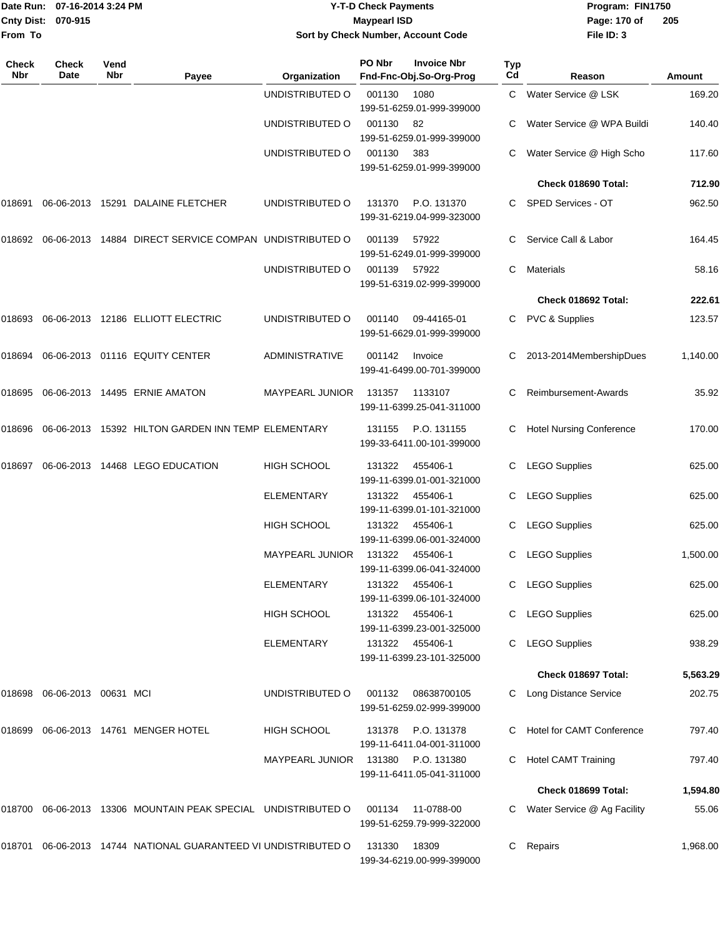|                    | Date Run: 07-16-2014 3:24 PM |
|--------------------|------------------------------|
| Cnty Dist: 070-915 |                              |
| From To            |                              |

### **Date Run: Program: FIN1750 07-16-2014 3:24 PM Y-T-D Check Payments Cnty Dist: Page: 170 of 070-915 Maypearl ISD Sort by Check Number, Account Code**

| Check<br>Nbr | Check<br>Date        | Vend<br>Nbr | Payee                                                   | Organization           | PO Nbr | <b>Invoice Nbr</b><br>Fnd-Fnc-Obj.So-Org-Prog | <b>Typ</b><br>Cd | Reason                          | <b>Amount</b> |
|--------------|----------------------|-------------|---------------------------------------------------------|------------------------|--------|-----------------------------------------------|------------------|---------------------------------|---------------|
|              |                      |             |                                                         | UNDISTRIBUTED O        | 001130 | 1080<br>199-51-6259.01-999-399000             |                  | C Water Service @ LSK           | 169.20        |
|              |                      |             |                                                         | UNDISTRIBUTED O        | 001130 | 82<br>199-51-6259.01-999-399000               |                  | Water Service @ WPA Buildi      | 140.40        |
|              |                      |             |                                                         | UNDISTRIBUTED O        | 001130 | - 383<br>199-51-6259.01-999-399000            |                  | Water Service @ High Scho       | 117.60        |
|              |                      |             |                                                         |                        |        |                                               |                  | Check 018690 Total:             | 712.90        |
| 018691       |                      |             | 06-06-2013 15291 DALAINE FLETCHER                       | UNDISTRIBUTED O        | 131370 | P.O. 131370<br>199-31-6219.04-999-323000      |                  | C SPED Services - OT            | 962.50        |
| 018692       |                      |             | 06-06-2013 14884 DIRECT SERVICE COMPAN UNDISTRIBUTED O  |                        | 001139 | 57922<br>199-51-6249.01-999-399000            | C.               | Service Call & Labor            | 164.45        |
|              |                      |             |                                                         | UNDISTRIBUTED O        | 001139 | 57922<br>199-51-6319.02-999-399000            | C                | <b>Materials</b>                | 58.16         |
|              |                      |             |                                                         |                        |        |                                               |                  | Check 018692 Total:             | 222.61        |
| 018693       |                      |             | 06-06-2013 12186 ELLIOTT ELECTRIC                       | UNDISTRIBUTED O        | 001140 | 09-44165-01<br>199-51-6629.01-999-399000      |                  | C PVC & Supplies                | 123.57        |
| 018694       |                      |             | 06-06-2013 01116 EQUITY CENTER                          | <b>ADMINISTRATIVE</b>  | 001142 | Invoice<br>199-41-6499.00-701-399000          |                  | 2013-2014MembershipDues         | 1,140.00      |
| 018695       |                      |             | 06-06-2013 14495 ERNIE AMATON                           | MAYPEARL JUNIOR        | 131357 | 1133107<br>199-11-6399.25-041-311000          | C                | Reimbursement-Awards            | 35.92         |
| 018696       |                      |             | 06-06-2013 15392 HILTON GARDEN INN TEMP ELEMENTARY      |                        | 131155 | P.O. 131155<br>199-33-6411.00-101-399000      | C                | <b>Hotel Nursing Conference</b> | 170.00        |
| 018697       |                      |             | 06-06-2013 14468 LEGO EDUCATION                         | <b>HIGH SCHOOL</b>     | 131322 | 455406-1<br>199-11-6399.01-001-321000         | C.               | <b>LEGO Supplies</b>            | 625.00        |
|              |                      |             |                                                         | <b>ELEMENTARY</b>      | 131322 | 455406-1<br>199-11-6399.01-101-321000         | С                | <b>LEGO Supplies</b>            | 625.00        |
|              |                      |             |                                                         | <b>HIGH SCHOOL</b>     | 131322 | 455406-1<br>199-11-6399.06-001-324000         | C                | <b>LEGO Supplies</b>            | 625.00        |
|              |                      |             |                                                         | <b>MAYPEARL JUNIOR</b> | 131322 | 455406-1<br>199-11-6399.06-041-324000         |                  | <b>LEGO Supplies</b>            | 1,500.00      |
|              |                      |             |                                                         | ELEMENTARY             |        | 131322 455406-1<br>199-11-6399.06-101-324000  |                  | C LEGO Supplies                 | 625.00        |
|              |                      |             |                                                         | <b>HIGH SCHOOL</b>     |        | 131322 455406-1<br>199-11-6399.23-001-325000  |                  | C LEGO Supplies                 | 625.00        |
|              |                      |             |                                                         | ELEMENTARY             |        | 131322 455406-1<br>199-11-6399.23-101-325000  |                  | <b>LEGO Supplies</b>            | 938.29        |
|              |                      |             |                                                         |                        |        |                                               |                  | Check 018697 Total:             | 5,563.29      |
| 018698       | 06-06-2013 00631 MCI |             |                                                         | UNDISTRIBUTED O        | 001132 | 08638700105<br>199-51-6259.02-999-399000      |                  | C Long Distance Service         | 202.75        |
| 018699       |                      |             | 06-06-2013 14761 MENGER HOTEL                           | <b>HIGH SCHOOL</b>     | 131378 | P.O. 131378<br>199-11-6411.04-001-311000      |                  | C Hotel for CAMT Conference     | 797.40        |
|              |                      |             |                                                         | <b>MAYPEARL JUNIOR</b> | 131380 | P.O. 131380<br>199-11-6411.05-041-311000      |                  | C Hotel CAMT Training           | 797.40        |
|              |                      |             |                                                         |                        |        |                                               |                  | Check 018699 Total:             | 1,594.80      |
| 018700       |                      |             | 06-06-2013 13306 MOUNTAIN PEAK SPECIAL UNDISTRIBUTED O  |                        | 001134 | 11-0788-00<br>199-51-6259.79-999-322000       |                  | C Water Service @ Ag Facility   | 55.06         |
| 018701       |                      |             | 06-06-2013 14744 NATIONAL GUARANTEED VI UNDISTRIBUTED O |                        | 131330 | 18309<br>199-34-6219.00-999-399000            | C.               | Repairs                         | 1,968.00      |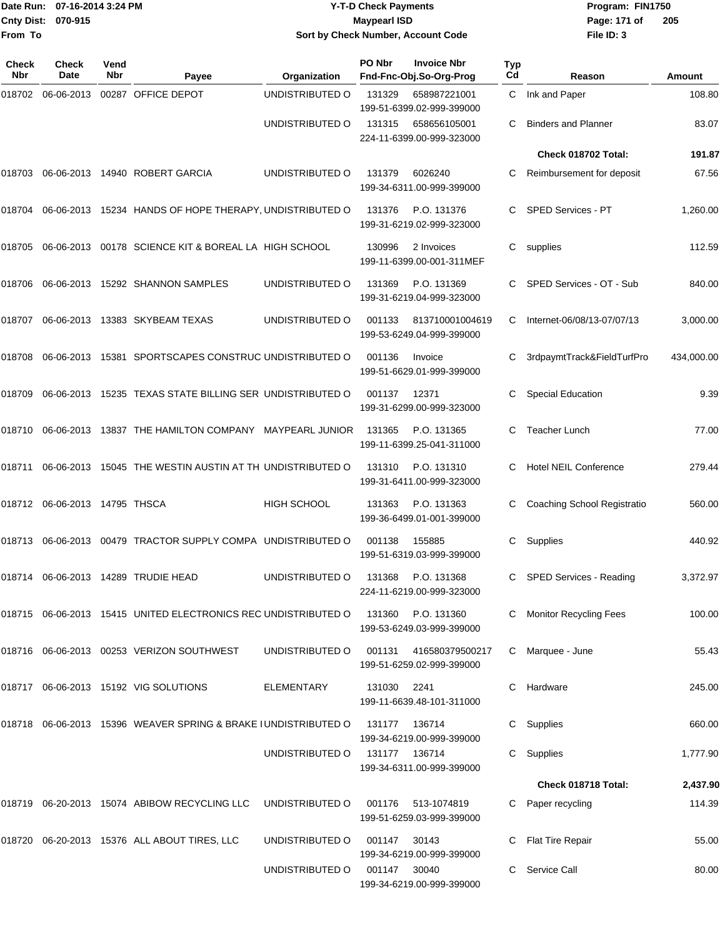|                    | Date Run: 07-16-2014 3:24 PM |
|--------------------|------------------------------|
| Cnty Dist: 070-915 |                              |
| From To            |                              |

## **Date Run: Program: FIN1750 07-16-2014 3:24 PM Y-T-D Check Payments Cnty Dist: Page: 171 of 070-915 Maypearl ISD Sort by Check Number, Account Code**

| <b>Check</b><br>Nbr | Check<br>Date                 | Vend<br><b>Nbr</b> | Payee                                                           | Organization       | PO Nbr        | <b>Invoice Nbr</b><br>Fnd-Fnc-Obj.So-Org-Prog | Typ<br>Cd | Reason                        | <b>Amount</b> |
|---------------------|-------------------------------|--------------------|-----------------------------------------------------------------|--------------------|---------------|-----------------------------------------------|-----------|-------------------------------|---------------|
| 018702              | 06-06-2013                    |                    | 00287 OFFICE DEPOT                                              | UNDISTRIBUTED O    | 131329        | 658987221001<br>199-51-6399.02-999-399000     | C         | Ink and Paper                 | 108.80        |
|                     |                               |                    |                                                                 | UNDISTRIBUTED O    | 131315        | 658656105001<br>224-11-6399.00-999-323000     | С         | <b>Binders and Planner</b>    | 83.07         |
|                     |                               |                    |                                                                 |                    |               |                                               |           | Check 018702 Total:           | 191.87        |
| 018703              |                               |                    | 06-06-2013 14940 ROBERT GARCIA                                  | UNDISTRIBUTED O    | 131379        | 6026240<br>199-34-6311.00-999-399000          | С         | Reimbursement for deposit     | 67.56         |
| 018704              |                               |                    | 06-06-2013 15234 HANDS OF HOPE THERAPY, UNDISTRIBUTED O         |                    | 131376        | P.O. 131376<br>199-31-6219.02-999-323000      | C         | SPED Services - PT            | 1,260.00      |
| 018705              |                               |                    | 06-06-2013 00178 SCIENCE KIT & BOREAL LA HIGH SCHOOL            |                    | 130996        | 2 Invoices<br>199-11-6399.00-001-311MEF       | С         | supplies                      | 112.59        |
| 018706              |                               |                    | 06-06-2013 15292 SHANNON SAMPLES                                | UNDISTRIBUTED O    | 131369        | P.O. 131369<br>199-31-6219.04-999-323000      | C.        | SPED Services - OT - Sub      | 840.00        |
| 018707              |                               |                    | 06-06-2013 13383 SKYBEAM TEXAS                                  | UNDISTRIBUTED O    | 001133        | 813710001004619<br>199-53-6249.04-999-399000  | C         | Internet-06/08/13-07/07/13    | 3,000.00      |
| 018708              |                               |                    | 06-06-2013 15381 SPORTSCAPES CONSTRUC UNDISTRIBUTED O           |                    | 001136        | Invoice<br>199-51-6629.01-999-399000          | С         | 3rdpaymtTrack&FieldTurfPro    | 434,000.00    |
| 018709              |                               |                    | 06-06-2013 15235 TEXAS STATE BILLING SER UNDISTRIBUTED O        |                    | 001137        | 12371<br>199-31-6299.00-999-323000            | С         | <b>Special Education</b>      | 9.39          |
| 018710              |                               |                    | 06-06-2013 13837 THE HAMILTON COMPANY MAYPEARL JUNIOR           |                    | 131365        | P.O. 131365<br>199-11-6399.25-041-311000      | С         | <b>Teacher Lunch</b>          | 77.00         |
| 018711              |                               |                    | 06-06-2013 15045 THE WESTIN AUSTIN AT TH UNDISTRIBUTED O        |                    | 131310        | P.O. 131310<br>199-31-6411.00-999-323000      | C         | Hotel NEIL Conference         | 279.44        |
|                     | 018712 06-06-2013 14795 THSCA |                    |                                                                 | <b>HIGH SCHOOL</b> | 131363        | P.O. 131363<br>199-36-6499.01-001-399000      | С         | Coaching School Registratio   | 560.00        |
| 018713              |                               |                    | 06-06-2013 00479 TRACTOR SUPPLY COMPA UNDISTRIBUTED O           |                    | 001138        | 155885<br>199-51-6319.03-999-399000           | C.        | Supplies                      | 440.92        |
|                     |                               |                    | 018714 06-06-2013 14289 TRUDIE HEAD                             | UNDISTRIBUTED O    | 131368        | P.O. 131368<br>224-11-6219.00-999-323000      | C         | SPED Services - Reading       | 3,372.97      |
|                     |                               |                    | 018715 06-06-2013 15415 UNITED ELECTRONICS REC UNDISTRIBUTED O  |                    | 131360        | P.O. 131360<br>199-53-6249.03-999-399000      |           | <b>Monitor Recycling Fees</b> | 100.00        |
|                     |                               |                    | 018716  06-06-2013  00253  VERIZON SOUTHWEST                    | UNDISTRIBUTED O    | 001131        | 416580379500217<br>199-51-6259.02-999-399000  | C         | Marquee - June                | 55.43         |
|                     |                               |                    | 018717 06-06-2013 15192 VIG SOLUTIONS                           | <b>ELEMENTARY</b>  | 131030 2241   | 199-11-6639.48-101-311000                     | C.        | Hardware                      | 245.00        |
|                     |                               |                    | 018718 06-06-2013 15396 WEAVER SPRING & BRAKE I UNDISTRIBUTED O |                    | 131177        | 136714<br>199-34-6219.00-999-399000           | C         | Supplies                      | 660.00        |
|                     |                               |                    |                                                                 | UNDISTRIBUTED O    | 131177 136714 | 199-34-6311.00-999-399000                     | C.        | Supplies                      | 1,777.90      |
|                     |                               |                    |                                                                 |                    |               |                                               |           | Check 018718 Total:           | 2,437.90      |
|                     |                               |                    | 018719 06-20-2013 15074 ABIBOW RECYCLING LLC                    | UNDISTRIBUTED O    | 001176        | 513-1074819<br>199-51-6259.03-999-399000      |           | Paper recycling               | 114.39        |
|                     |                               |                    | 018720 06-20-2013 15376 ALL ABOUT TIRES, LLC                    | UNDISTRIBUTED O    | 001147        | 30143<br>199-34-6219.00-999-399000            |           | Flat Tire Repair              | 55.00         |
|                     |                               |                    |                                                                 | UNDISTRIBUTED O    | 001147        | 30040<br>199-34-6219.00-999-399000            | C.        | Service Call                  | 80.00         |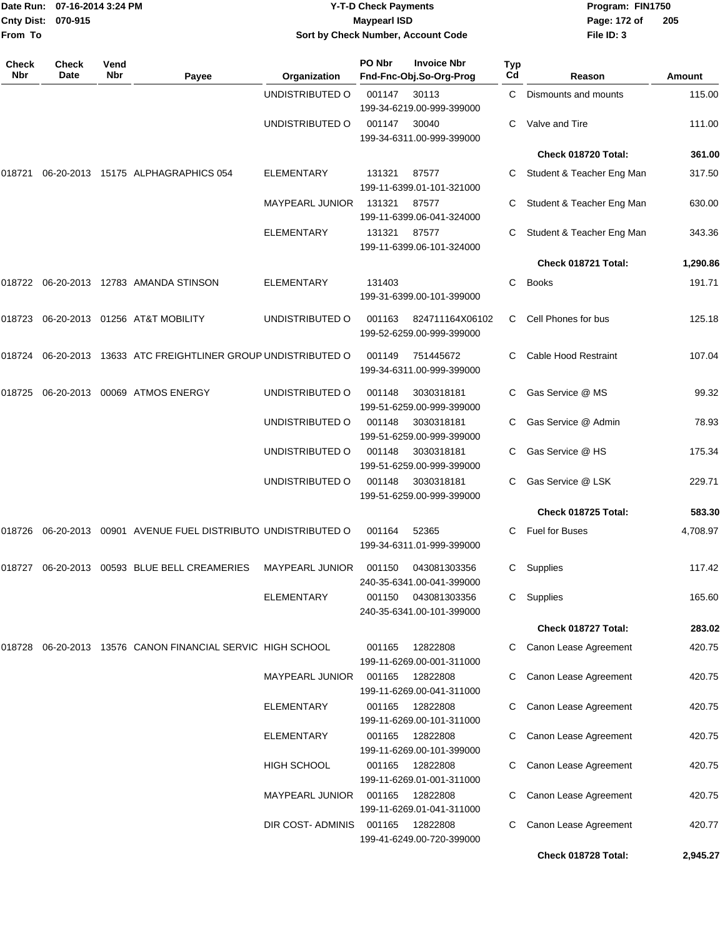|                     | Date Run: 07-16-2014 3:24 PM<br>Cnty Dist: 070-915<br>From To |             |                                                                | <b>Y-T-D Check Payments</b><br><b>Maypearl ISD</b><br>Sort by Check Number, Account Code |        |                                               |                  | Program: FIN1750<br>Page: 172 of<br>File ID: 3 | 205      |
|---------------------|---------------------------------------------------------------|-------------|----------------------------------------------------------------|------------------------------------------------------------------------------------------|--------|-----------------------------------------------|------------------|------------------------------------------------|----------|
| <b>Check</b><br>Nbr | <b>Check</b><br>Date                                          | Vend<br>Nbr | Payee                                                          | Organization                                                                             | PO Nbr | <b>Invoice Nbr</b><br>Fnd-Fnc-Obj.So-Org-Prog | <b>Typ</b><br>Cd | Reason                                         | Amount   |
|                     |                                                               |             |                                                                | UNDISTRIBUTED O                                                                          | 001147 | 30113<br>199-34-6219.00-999-399000            | C.               | Dismounts and mounts                           | 115.00   |
|                     |                                                               |             |                                                                | UNDISTRIBUTED O                                                                          | 001147 | 30040<br>199-34-6311.00-999-399000            | C.               | Valve and Tire                                 | 111.00   |
|                     |                                                               |             |                                                                |                                                                                          |        |                                               |                  | Check 018720 Total:                            | 361.00   |
| 018721              |                                                               |             | 06-20-2013 15175 ALPHAGRAPHICS 054                             | <b>ELEMENTARY</b>                                                                        | 131321 | 87577<br>199-11-6399.01-101-321000            | C                | Student & Teacher Eng Man                      | 317.50   |
|                     |                                                               |             |                                                                | <b>MAYPEARL JUNIOR</b>                                                                   | 131321 | 87577<br>199-11-6399.06-041-324000            | C.               | Student & Teacher Eng Man                      | 630.00   |
|                     |                                                               |             |                                                                | <b>ELEMENTARY</b>                                                                        | 131321 | 87577<br>199-11-6399.06-101-324000            | С                | Student & Teacher Eng Man                      | 343.36   |
|                     |                                                               |             |                                                                |                                                                                          |        |                                               |                  | Check 018721 Total:                            | 1,290.86 |
|                     |                                                               |             | 018722 06-20-2013 12783   AMANDA STINSON                       | <b>ELEMENTARY</b>                                                                        | 131403 | 199-31-6399.00-101-399000                     | C                | <b>Books</b>                                   | 191.71   |
|                     |                                                               |             | 018723    06-20-2013    01256    AT&T MOBILITY                 | UNDISTRIBUTED O                                                                          | 001163 | 824711164X06102<br>199-52-6259.00-999-399000  | C.               | Cell Phones for bus                            | 125.18   |
|                     |                                                               |             | 018724 06-20-2013 13633 ATC FREIGHTLINER GROUP UNDISTRIBUTED O |                                                                                          | 001149 | 751445672<br>199-34-6311.00-999-399000        | C.               | Cable Hood Restraint                           | 107.04   |
| 018725              |                                                               |             | 06-20-2013 00069 ATMOS ENERGY                                  | UNDISTRIBUTED O                                                                          | 001148 | 3030318181<br>199-51-6259.00-999-399000       | C                | Gas Service @ MS                               | 99.32    |
|                     |                                                               |             |                                                                | UNDISTRIBUTED O                                                                          | 001148 | 3030318181<br>199-51-6259.00-999-399000       | C                | Gas Service @ Admin                            | 78.93    |
|                     |                                                               |             |                                                                | UNDISTRIBUTED O                                                                          | 001148 | 3030318181<br>199-51-6259.00-999-399000       | C.               | Gas Service @ HS                               | 175.34   |
|                     |                                                               |             |                                                                | UNDISTRIBUTED O                                                                          | 001148 | 3030318181<br>199-51-6259.00-999-399000       | С                | Gas Service @ LSK                              | 229.71   |
|                     |                                                               |             |                                                                |                                                                                          |        |                                               |                  | Check 018725 Total:                            | 583.30   |
| 018726              |                                                               |             | 06-20-2013 00901 AVENUE FUEL DISTRIBUTO UNDISTRIBUTED O        |                                                                                          | 001164 | 52365<br>199-34-6311.01-999-399000            | C                | <b>Fuel for Buses</b>                          | 4,708.97 |
|                     |                                                               |             | 018727 06-20-2013 00593 BLUE BELL CREAMERIES                   | MAYPEARL JUNIOR                                                                          | 001150 | 043081303356<br>240-35-6341.00-041-399000     | C                | Supplies                                       | 117.42   |
|                     |                                                               |             |                                                                | <b>ELEMENTARY</b>                                                                        | 001150 | 043081303356<br>240-35-6341.00-101-399000     | C                | Supplies                                       | 165.60   |
|                     |                                                               |             |                                                                |                                                                                          |        |                                               |                  | Check 018727 Total:                            | 283.02   |
|                     |                                                               |             | 018728  06-20-2013  13576  CANON FINANCIAL SERVIC HIGH SCHOOL  |                                                                                          | 001165 | 12822808<br>199-11-6269.00-001-311000         | C.               | Canon Lease Agreement                          | 420.75   |
|                     |                                                               |             |                                                                | MAYPEARL JUNIOR                                                                          | 001165 | 12822808<br>199-11-6269.00-041-311000         | C                | Canon Lease Agreement                          | 420.75   |
|                     |                                                               |             |                                                                | <b>ELEMENTARY</b>                                                                        | 001165 | 12822808<br>199-11-6269.00-101-311000         | C                | Canon Lease Agreement                          | 420.75   |
|                     |                                                               |             |                                                                | <b>ELEMENTARY</b>                                                                        | 001165 | 12822808<br>199-11-6269.00-101-399000         | C                | Canon Lease Agreement                          | 420.75   |
|                     |                                                               |             |                                                                | HIGH SCHOOL                                                                              | 001165 | 12822808<br>199-11-6269.01-001-311000         | C                | Canon Lease Agreement                          | 420.75   |
|                     |                                                               |             |                                                                | <b>MAYPEARL JUNIOR</b>                                                                   | 001165 | 12822808<br>199-11-6269.01-041-311000         | C                | Canon Lease Agreement                          | 420.75   |
|                     |                                                               |             |                                                                | DIR COST- ADMINIS                                                                        | 001165 | 12822808<br>199-41-6249.00-720-399000         | C                | Canon Lease Agreement                          | 420.77   |
|                     |                                                               |             |                                                                |                                                                                          |        |                                               |                  | Check 018728 Total:                            | 2,945.27 |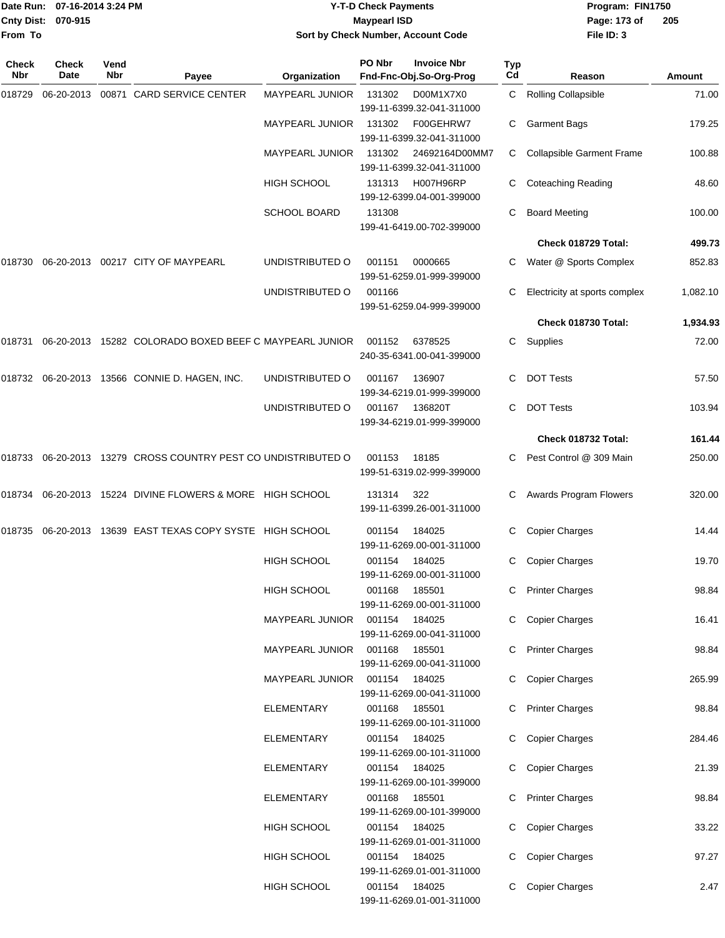| Date Run: 07-16-2014 3:24 PM<br><b>Cnty Dist:</b><br>070-915<br>From To |                      |             | <b>Y-T-D Check Payments</b><br><b>Maypearl ISD</b><br>Sort by Check Number, Account Code |                                  |                  |                                               | Program: FIN1750<br>Page: 173 of<br>File ID: 3 | 205                                   |                |
|-------------------------------------------------------------------------|----------------------|-------------|------------------------------------------------------------------------------------------|----------------------------------|------------------|-----------------------------------------------|------------------------------------------------|---------------------------------------|----------------|
| <b>Check</b><br>Nbr                                                     | <b>Check</b><br>Date | Vend<br>Nbr | Payee                                                                                    | Organization                     | PO Nbr           | <b>Invoice Nbr</b><br>Fnd-Fnc-Obj.So-Org-Prog | Typ<br>Cd                                      | Reason                                | <b>Amount</b>  |
| 018729                                                                  |                      |             | 06-20-2013 00871 CARD SERVICE CENTER                                                     | <b>MAYPEARL JUNIOR</b>           | 131302           | D00M1X7X0<br>199-11-6399.32-041-311000        |                                                | C Rolling Collapsible                 | 71.00          |
|                                                                         |                      |             |                                                                                          | <b>MAYPEARL JUNIOR</b>           | 131302           | F00GEHRW7<br>199-11-6399.32-041-311000        | С                                              | <b>Garment Bags</b>                   | 179.25         |
|                                                                         |                      |             |                                                                                          | <b>MAYPEARL JUNIOR</b>           | 131302           | 24692164D00MM7<br>199-11-6399.32-041-311000   | C                                              | <b>Collapsible Garment Frame</b>      | 100.88         |
|                                                                         |                      |             |                                                                                          | <b>HIGH SCHOOL</b>               | 131313           | H007H96RP<br>199-12-6399.04-001-399000        |                                                | <b>Coteaching Reading</b>             | 48.60          |
|                                                                         |                      |             |                                                                                          | <b>SCHOOL BOARD</b>              | 131308           | 199-41-6419.00-702-399000                     | С                                              | <b>Board Meeting</b>                  | 100.00         |
|                                                                         |                      |             |                                                                                          |                                  |                  |                                               |                                                | Check 018729 Total:                   | 499.73         |
| 018730                                                                  |                      |             | 06-20-2013 00217 CITY OF MAYPEARL                                                        | UNDISTRIBUTED O                  | 001151           | 0000665<br>199-51-6259.01-999-399000          |                                                | C Water @ Sports Complex              | 852.83         |
|                                                                         |                      |             |                                                                                          | UNDISTRIBUTED O                  | 001166           | 199-51-6259.04-999-399000                     | С                                              | Electricity at sports complex         | 1,082.10       |
|                                                                         |                      |             |                                                                                          |                                  |                  |                                               |                                                | Check 018730 Total:                   | 1,934.93       |
|                                                                         |                      |             | 018731 06-20-2013 15282   COLORADO BOXED BEEF C MAYPEARL JUNIOR                          |                                  | 001152           | 6378525<br>240-35-6341.00-041-399000          | С                                              | Supplies                              | 72.00          |
|                                                                         |                      |             | 018732  06-20-2013  13566  CONNIE D. HAGEN, INC.                                         | UNDISTRIBUTED O                  | 001167           | 136907<br>199-34-6219.01-999-399000           | С                                              | <b>DOT Tests</b>                      | 57.50          |
|                                                                         |                      |             |                                                                                          | UNDISTRIBUTED O                  | 001167           | 136820T<br>199-34-6219.01-999-399000          | C.                                             | <b>DOT Tests</b>                      | 103.94         |
|                                                                         |                      |             |                                                                                          |                                  |                  |                                               |                                                | Check 018732 Total:                   | 161.44         |
|                                                                         |                      |             | 018733  06-20-2013  13279  CROSS COUNTRY PEST CO UNDISTRIBUTED O                         |                                  | 001153           | 18185<br>199-51-6319.02-999-399000            | С                                              | Pest Control @ 309 Main               | 250.00         |
|                                                                         |                      |             | 018734 06-20-2013 15224 DIVINE FLOWERS & MORE HIGH SCHOOL                                |                                  | 131314           | 322<br>199-11-6399.26-001-311000              | С                                              | Awards Program Flowers                | 320.00         |
|                                                                         |                      |             | 018735 06-20-2013 13639   EAST TEXAS COPY SYSTE   HIGH SCHOOL                            |                                  | 001154           | 184025<br>199-11-6269.00-001-311000           |                                                | C Copier Charges                      | 14.44          |
|                                                                         |                      |             |                                                                                          | <b>HIGH SCHOOL</b>               | 001154           | 184025<br>199-11-6269.00-001-311000           |                                                | C Copier Charges                      | 19.70          |
|                                                                         |                      |             |                                                                                          | <b>HIGH SCHOOL</b>               | 001168           | 185501<br>199-11-6269.00-001-311000           |                                                | C Printer Charges                     | 98.84          |
|                                                                         |                      |             |                                                                                          | MAYPEARL JUNIOR                  | 001154 184025    | 199-11-6269.00-041-311000                     |                                                | C Copier Charges                      | 16.41          |
|                                                                         |                      |             |                                                                                          | MAYPEARL JUNIOR                  | 001168           | 185501<br>199-11-6269.00-041-311000           |                                                | C Printer Charges                     | 98.84          |
|                                                                         |                      |             |                                                                                          | <b>MAYPEARL JUNIOR</b>           | 001154           | 184025<br>199-11-6269.00-041-311000           |                                                | C Copier Charges                      | 265.99         |
|                                                                         |                      |             |                                                                                          | ELEMENTARY                       | 001168           | 185501<br>199-11-6269.00-101-311000           |                                                | C Printer Charges                     | 98.84          |
|                                                                         |                      |             |                                                                                          | <b>ELEMENTARY</b>                | 001154           | 184025<br>199-11-6269.00-101-311000           |                                                | C Copier Charges                      | 284.46         |
|                                                                         |                      |             |                                                                                          | ELEMENTARY                       | 001154           | 184025<br>199-11-6269.00-101-399000           |                                                | C Copier Charges                      | 21.39          |
|                                                                         |                      |             |                                                                                          | ELEMENTARY<br><b>HIGH SCHOOL</b> | 001168<br>001154 | 185501<br>199-11-6269.00-101-399000<br>184025 |                                                | C Printer Charges<br>C Copier Charges | 98.84<br>33.22 |
|                                                                         |                      |             |                                                                                          | <b>HIGH SCHOOL</b>               | 001154           | 199-11-6269.01-001-311000<br>184025           |                                                | C Copier Charges                      | 97.27          |
|                                                                         |                      |             |                                                                                          |                                  |                  | 199-11-6269.01-001-311000                     |                                                |                                       |                |
|                                                                         |                      |             |                                                                                          | HIGH SCHOOL                      | 001154 184025    |                                               |                                                | C Copier Charges                      | 2.47           |

199-11-6269.01-001-311000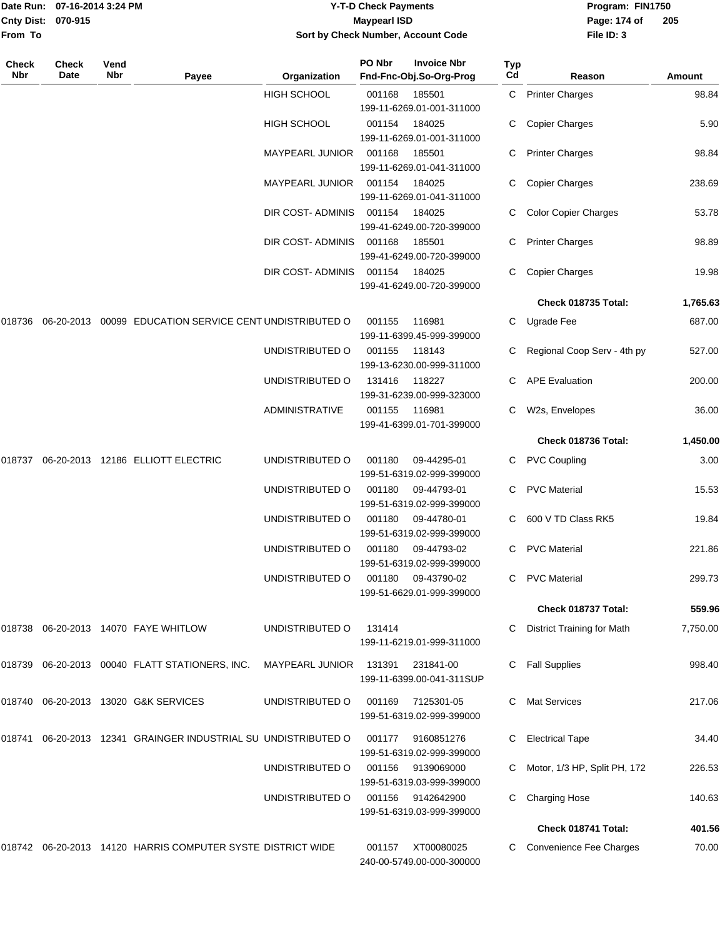|                    | Date Run: 07-16-2014 3:24 PM |
|--------------------|------------------------------|
| Cnty Dist: 070-915 |                              |
| From To            |                              |

## **Date Run: Program: FIN1750 07-16-2014 3:24 PM Y-T-D Check Payments Cnty Dist: Page: 174 of 070-915 Maypearl ISD Sort by Check Number, Account Code**

| Check<br>Nbr | <b>Check</b><br>Date | Vend<br>Nbr | Payee                                                          | Organization           | PO Nbr | <b>Invoice Nbr</b><br>Fnd-Fnc-Obj.So-Org-Prog | Typ<br>Cd | Reason                            | Amount   |
|--------------|----------------------|-------------|----------------------------------------------------------------|------------------------|--------|-----------------------------------------------|-----------|-----------------------------------|----------|
|              |                      |             |                                                                | HIGH SCHOOL            | 001168 | 185501<br>199-11-6269.01-001-311000           |           | C Printer Charges                 | 98.84    |
|              |                      |             |                                                                | <b>HIGH SCHOOL</b>     | 001154 | 184025                                        | C         | <b>Copier Charges</b>             | 5.90     |
|              |                      |             |                                                                |                        |        | 199-11-6269.01-001-311000                     |           |                                   |          |
|              |                      |             |                                                                | MAYPEARL JUNIOR        | 001168 | 185501<br>199-11-6269.01-041-311000           |           | <b>Printer Charges</b>            | 98.84    |
|              |                      |             |                                                                | <b>MAYPEARL JUNIOR</b> | 001154 | 184025<br>199-11-6269.01-041-311000           | C         | <b>Copier Charges</b>             | 238.69   |
|              |                      |             |                                                                | DIR COST-ADMINIS       | 001154 | 184025<br>199-41-6249.00-720-399000           |           | <b>Color Copier Charges</b>       | 53.78    |
|              |                      |             |                                                                | DIR COST- ADMINIS      | 001168 | 185501<br>199-41-6249.00-720-399000           |           | C Printer Charges                 | 98.89    |
|              |                      |             |                                                                | DIR COST- ADMINIS      | 001154 | 184025                                        | C.        | <b>Copier Charges</b>             | 19.98    |
|              |                      |             |                                                                |                        |        | 199-41-6249.00-720-399000                     |           |                                   |          |
|              |                      |             |                                                                |                        |        |                                               |           | Check 018735 Total:               | 1,765.63 |
| 018736       |                      |             | 06-20-2013 00099 EDUCATION SERVICE CENT UNDISTRIBUTED O        |                        | 001155 | 116981<br>199-11-6399.45-999-399000           | C         | Ugrade Fee                        | 687.00   |
|              |                      |             |                                                                | UNDISTRIBUTED O        | 001155 | 118143<br>199-13-6230.00-999-311000           |           | Regional Coop Serv - 4th py       | 527.00   |
|              |                      |             |                                                                | UNDISTRIBUTED O        | 131416 | 118227<br>199-31-6239.00-999-323000           |           | <b>APE Evaluation</b>             | 200.00   |
|              |                      |             |                                                                | <b>ADMINISTRATIVE</b>  | 001155 | 116981<br>199-41-6399.01-701-399000           | C.        | W2s, Envelopes                    | 36.00    |
|              |                      |             |                                                                |                        |        |                                               |           | Check 018736 Total:               | 1,450.00 |
| 018737       |                      |             | 06-20-2013 12186 ELLIOTT ELECTRIC                              | UNDISTRIBUTED O        | 001180 | 09-44295-01                                   |           | C PVC Coupling                    | 3.00     |
|              |                      |             |                                                                |                        |        | 199-51-6319.02-999-399000                     |           |                                   |          |
|              |                      |             |                                                                | UNDISTRIBUTED O        | 001180 | 09-44793-01<br>199-51-6319.02-999-399000      |           | <b>PVC Material</b>               | 15.53    |
|              |                      |             |                                                                | UNDISTRIBUTED O        | 001180 | 09-44780-01<br>199-51-6319.02-999-399000      |           | 600 V TD Class RK5                | 19.84    |
|              |                      |             |                                                                | UNDISTRIBUTED O        | 001180 | 09-44793-02<br>199-51-6319.02-999-399000      | C.        | <b>PVC Material</b>               | 221.86   |
|              |                      |             |                                                                | UNDISTRIBUTED O        | 001180 | 09-43790-02<br>199-51-6629.01-999-399000      | C.        | <b>PVC Material</b>               | 299.73   |
|              |                      |             |                                                                |                        |        |                                               |           | Check 018737 Total:               | 559.96   |
|              |                      |             | 018738 06-20-2013 14070 FAYE WHITLOW                           | UNDISTRIBUTED O        | 131414 |                                               | С         | <b>District Training for Math</b> | 7,750.00 |
|              |                      |             |                                                                |                        |        | 199-11-6219.01-999-311000                     |           |                                   |          |
|              |                      |             | 018739 06-20-2013 00040 FLATT STATIONERS, INC.                 | <b>MAYPEARL JUNIOR</b> | 131391 | 231841-00<br>199-11-6399.00-041-311SUP        |           | <b>Fall Supplies</b>              | 998.40   |
|              |                      |             | 018740 06-20-2013 13020 G&K SERVICES                           | UNDISTRIBUTED O        | 001169 | 7125301-05<br>199-51-6319.02-999-399000       | C         | <b>Mat Services</b>               | 217.06   |
| 018741       |                      |             | 06-20-2013 12341 GRAINGER INDUSTRIAL SU UNDISTRIBUTED O        |                        | 001177 | 9160851276<br>199-51-6319.02-999-399000       | C         | <b>Electrical Tape</b>            | 34.40    |
|              |                      |             |                                                                | UNDISTRIBUTED O        | 001156 | 9139069000<br>199-51-6319.03-999-399000       |           | Motor, 1/3 HP, Split PH, 172      | 226.53   |
|              |                      |             |                                                                | UNDISTRIBUTED O        | 001156 | 9142642900<br>199-51-6319.03-999-399000       | С         | <b>Charging Hose</b>              | 140.63   |
|              |                      |             |                                                                |                        |        |                                               |           | Check 018741 Total:               | 401.56   |
|              |                      |             | 018742  06-20-2013  14120  HARRIS COMPUTER SYSTE DISTRICT WIDE |                        | 001157 | XT00080025                                    |           | Convenience Fee Charges           | 70.00    |
|              |                      |             |                                                                |                        |        | 240-00-5749.00-000-300000                     |           |                                   |          |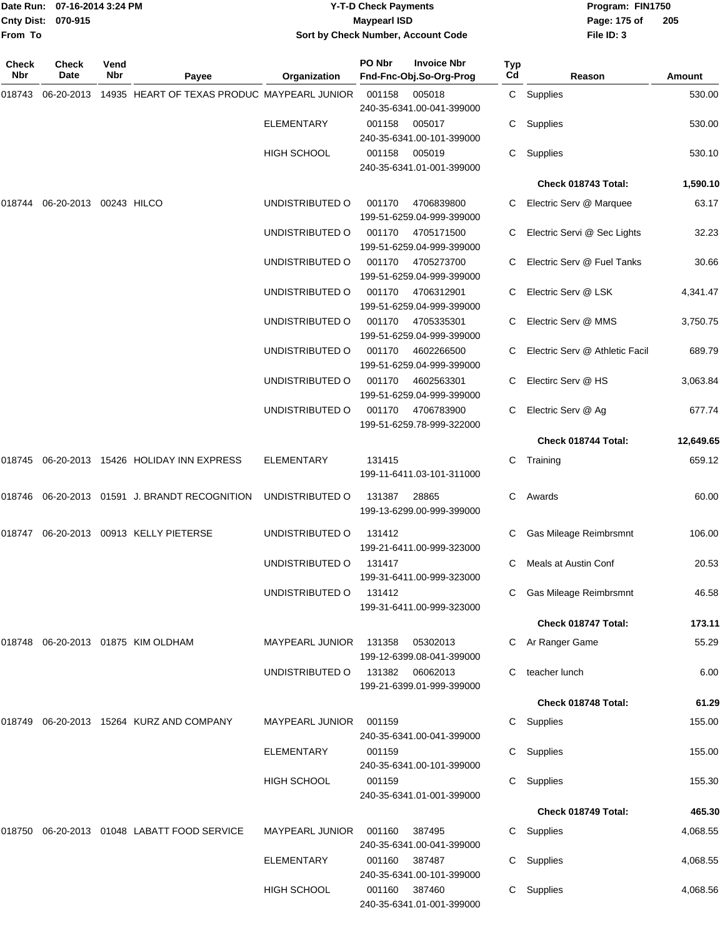|                    | Date Run: 07-16-2014 3:24 PM | <b>Y-T-D Check Payments</b>        | Program: FIN1750 |                |
|--------------------|------------------------------|------------------------------------|------------------|----------------|
| Cnty Dist: 070-915 |                              | Mavpearl ISD                       | Page: 175 of     | $\overline{2}$ |
| From To            |                              | Sort by Check Number, Account Code | File $ID: 3$     |                |

# **Sort by Check Number, Account Code**

| Check<br>Nbr | <b>Check</b><br>Date   | Vend<br>Nbr | Payee                                       | Organization           | PO Nbr | <b>Invoice Nbr</b><br>Fnd-Fnc-Obj.So-Org-Prog | Typ<br>C <sub>d</sub> | Reason                         | Amount    |
|--------------|------------------------|-------------|---------------------------------------------|------------------------|--------|-----------------------------------------------|-----------------------|--------------------------------|-----------|
| 018743       | 06-20-2013             |             | 14935 HEART OF TEXAS PRODUC MAYPEARL JUNIOR |                        | 001158 | 005018<br>240-35-6341.00-041-399000           |                       | C Supplies                     | 530.00    |
|              |                        |             |                                             | <b>ELEMENTARY</b>      | 001158 | 005017<br>240-35-6341.00-101-399000           | C                     | Supplies                       | 530.00    |
|              |                        |             |                                             | HIGH SCHOOL            | 001158 | 005019<br>240-35-6341.01-001-399000           | C                     | Supplies                       | 530.10    |
|              |                        |             |                                             |                        |        |                                               |                       | Check 018743 Total:            | 1,590.10  |
| 018744       | 06-20-2013 00243 HILCO |             |                                             | UNDISTRIBUTED O        | 001170 | 4706839800<br>199-51-6259.04-999-399000       |                       | Electric Serv @ Marquee        | 63.17     |
|              |                        |             |                                             | UNDISTRIBUTED O        | 001170 | 4705171500<br>199-51-6259.04-999-399000       |                       | Electric Servi @ Sec Lights    | 32.23     |
|              |                        |             |                                             | UNDISTRIBUTED O        | 001170 | 4705273700<br>199-51-6259.04-999-399000       |                       | Electric Serv @ Fuel Tanks     | 30.66     |
|              |                        |             |                                             | UNDISTRIBUTED O        | 001170 | 4706312901<br>199-51-6259.04-999-399000       |                       | Electric Serv @ LSK            | 4,341.47  |
|              |                        |             |                                             | UNDISTRIBUTED O        | 001170 | 4705335301<br>199-51-6259.04-999-399000       |                       | Electric Serv @ MMS            | 3,750.75  |
|              |                        |             |                                             | UNDISTRIBUTED O        | 001170 | 4602266500<br>199-51-6259.04-999-399000       |                       | Electric Serv @ Athletic Facil | 689.79    |
|              |                        |             |                                             | UNDISTRIBUTED O        | 001170 | 4602563301<br>199-51-6259.04-999-399000       |                       | Electirc Serv @ HS             | 3,063.84  |
|              |                        |             |                                             | UNDISTRIBUTED O        | 001170 | 4706783900<br>199-51-6259.78-999-322000       | C.                    | Electric Serv @ Ag             | 677.74    |
|              |                        |             |                                             |                        |        |                                               |                       | Check 018744 Total:            | 12,649.65 |
| 018745       |                        |             | 06-20-2013 15426 HOLIDAY INN EXPRESS        | <b>ELEMENTARY</b>      | 131415 | 199-11-6411.03-101-311000                     | C                     | Training                       | 659.12    |
| 018746       |                        |             | 06-20-2013 01591 J. BRANDT RECOGNITION      | UNDISTRIBUTED O        | 131387 | 28865<br>199-13-6299.00-999-399000            | C                     | Awards                         | 60.00     |
| 018747       |                        |             | 06-20-2013 00913 KELLY PIETERSE             | UNDISTRIBUTED O        | 131412 | 199-21-6411.00-999-323000                     |                       | Gas Mileage Reimbrsmnt         | 106.00    |
|              |                        |             |                                             | UNDISTRIBUTED O        | 131417 | 199-31-6411.00-999-323000                     | C                     | Meals at Austin Conf           | 20.53     |
|              |                        |             |                                             | UNDISTRIBUTED O        | 131412 | 199-31-6411.00-999-323000                     |                       | C Gas Mileage Reimbrsmnt       | 46.58     |
|              |                        |             |                                             |                        |        |                                               |                       | Check 018747 Total:            | 173.11    |
|              |                        |             | 018748 06-20-2013 01875 KIM OLDHAM          | MAYPEARL JUNIOR        | 131358 | 05302013<br>199-12-6399.08-041-399000         |                       | Ar Ranger Game                 | 55.29     |
|              |                        |             |                                             | UNDISTRIBUTED O        |        | 131382 06062013<br>199-21-6399.01-999-399000  |                       | teacher lunch                  | 6.00      |
|              |                        |             |                                             |                        |        |                                               |                       | Check 018748 Total:            | 61.29     |
| 018749       |                        |             | 06-20-2013 15264 KURZ AND COMPANY           | <b>MAYPEARL JUNIOR</b> | 001159 | 240-35-6341.00-041-399000                     | C                     | Supplies                       | 155.00    |
|              |                        |             |                                             | ELEMENTARY             | 001159 | 240-35-6341.00-101-399000                     | C                     | Supplies                       | 155.00    |
|              |                        |             |                                             | <b>HIGH SCHOOL</b>     | 001159 | 240-35-6341.01-001-399000                     | C.                    | Supplies                       | 155.30    |
|              |                        |             |                                             |                        |        |                                               |                       | Check 018749 Total:            | 465.30    |
| 018750       |                        |             | 06-20-2013 01048 LABATT FOOD SERVICE        | <b>MAYPEARL JUNIOR</b> | 001160 | 387495<br>240-35-6341.00-041-399000           |                       | C Supplies                     | 4,068.55  |
|              |                        |             |                                             | <b>ELEMENTARY</b>      | 001160 | 387487<br>240-35-6341.00-101-399000           | C.                    | Supplies                       | 4,068.55  |
|              |                        |             |                                             | HIGH SCHOOL            |        | 001160 387460<br>240-35-6341.01-001-399000    |                       | C Supplies                     | 4,068.56  |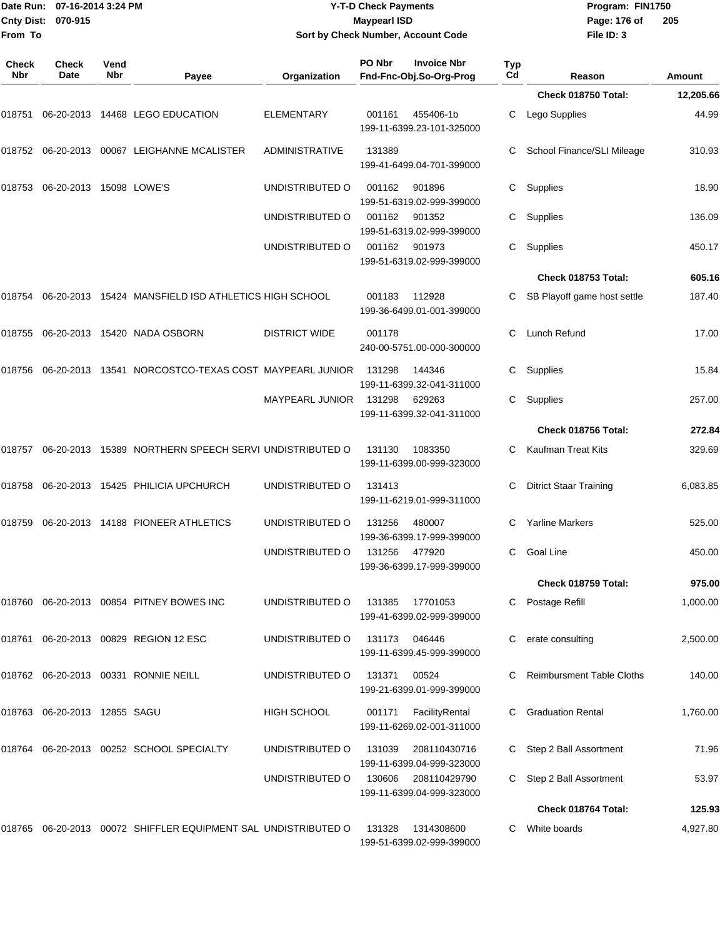|                     | Date Run: 07-16-2014 3:24 PM<br>Cnty Dist:<br>070-915 |             |                                                                   | <b>Y-T-D Check Payments</b><br><b>Maypearl ISD</b> |               |                                               |           | Program: FIN1750<br>Page: 176 of<br>205 |           |  |
|---------------------|-------------------------------------------------------|-------------|-------------------------------------------------------------------|----------------------------------------------------|---------------|-----------------------------------------------|-----------|-----------------------------------------|-----------|--|
| From To             |                                                       |             |                                                                   |                                                    |               | Sort by Check Number, Account Code            |           | File ID: 3                              |           |  |
| Check<br><b>Nbr</b> | <b>Check</b><br>Date                                  | Vend<br>Nbr | Payee                                                             | Organization                                       | PO Nbr        | <b>Invoice Nbr</b><br>Fnd-Fnc-Obj.So-Org-Prog | Typ<br>Cd | Reason                                  | Amount    |  |
|                     |                                                       |             |                                                                   |                                                    |               |                                               |           | Check 018750 Total:                     | 12,205.66 |  |
|                     |                                                       |             | 018751 06-20-2013 14468  LEGO EDUCATION                           | <b>ELEMENTARY</b>                                  | 001161        | 455406-1b<br>199-11-6399.23-101-325000        | С         | Lego Supplies                           | 44.99     |  |
|                     |                                                       |             | 018752 06-20-2013 00067 LEIGHANNE MCALISTER                       | <b>ADMINISTRATIVE</b>                              | 131389        | 199-41-6499.04-701-399000                     |           | School Finance/SLI Mileage              | 310.93    |  |
|                     |                                                       |             |                                                                   | UNDISTRIBUTED O                                    | 001162        | 901896<br>199-51-6319.02-999-399000           | С         | Supplies                                | 18.90     |  |
|                     |                                                       |             |                                                                   | UNDISTRIBUTED O                                    | 001162        | 901352<br>199-51-6319.02-999-399000           | С         | Supplies                                | 136.09    |  |
|                     |                                                       |             |                                                                   | UNDISTRIBUTED O                                    | 001162        | 901973<br>199-51-6319.02-999-399000           | С         | Supplies                                | 450.17    |  |
|                     |                                                       |             |                                                                   |                                                    |               |                                               |           | Check 018753 Total:                     | 605.16    |  |
|                     |                                                       |             | 018754   06-20-2013   15424   MANSFIELD ISD ATHLETICS HIGH SCHOOL |                                                    | 001183        | 112928<br>199-36-6499.01-001-399000           |           | SB Playoff game host settle             | 187.40    |  |
|                     |                                                       |             | 018755 06-20-2013 15420 NADA OSBORN                               | <b>DISTRICT WIDE</b>                               | 001178        | 240-00-5751.00-000-300000                     | С         | Lunch Refund                            | 17.00     |  |
|                     |                                                       |             | 018756 06-20-2013 13541 NORCOSTCO-TEXAS COST_MAYPEARL JUNIOR      |                                                    | 131298        | 144346<br>199-11-6399.32-041-311000           | С         | Supplies                                | 15.84     |  |
|                     |                                                       |             |                                                                   | <b>MAYPEARL JUNIOR</b>                             | 131298        | 629263<br>199-11-6399.32-041-311000           | С         | Supplies                                | 257.00    |  |
|                     |                                                       |             |                                                                   |                                                    |               |                                               |           | Check 018756 Total:                     | 272.84    |  |
|                     |                                                       |             | 018757  06-20-2013  15389  NORTHERN SPEECH SERVI UNDISTRIBUTED O  |                                                    | 131130        | 1083350<br>199-11-6399.00-999-323000          | С         | <b>Kaufman Treat Kits</b>               | 329.69    |  |
|                     |                                                       |             |                                                                   | UNDISTRIBUTED O                                    | 131413        | 199-11-6219.01-999-311000                     | С         | <b>Ditrict Staar Training</b>           | 6,083.85  |  |
|                     |                                                       |             | 018759   06-20-2013   14188   PIONEER ATHLETICS                   | UNDISTRIBUTED O                                    | 131256 480007 | 199-36-6399.17-999-399000                     |           | <b>Yarline Markers</b>                  | 525.00    |  |
|                     |                                                       |             |                                                                   | UNDISTRIBUTED O                                    | 131256 477920 | 199-36-6399.17-999-399000                     |           | C Goal Line                             | 450.00    |  |
|                     |                                                       |             |                                                                   |                                                    |               |                                               |           | Check 018759 Total:                     | 975.00    |  |
|                     |                                                       |             | 018760 06-20-2013 00854 PITNEY BOWES INC                          | UNDISTRIBUTED O                                    | 131385        | 17701053<br>199-41-6399.02-999-399000         |           | C Postage Refill                        | 1,000.00  |  |
|                     |                                                       |             | 018761  06-20-2013  00829  REGION 12  ESC                         | UNDISTRIBUTED O                                    | 131173 046446 | 199-11-6399.45-999-399000                     |           | C erate consulting                      | 2,500.00  |  |
|                     |                                                       |             | 018762 06-20-2013 00331 RONNIE NEILL                              | UNDISTRIBUTED O                                    | 131371        | 00524<br>199-21-6399.01-999-399000            |           | <b>Reimbursment Table Cloths</b>        | 140.00    |  |
|                     | 018763 06-20-2013 12855 SAGU                          |             |                                                                   | HIGH SCHOOL                                        | 001171        | FacilityRental<br>199-11-6269.02-001-311000   |           | <b>Graduation Rental</b>                | 1,760.00  |  |
|                     |                                                       |             |                                                                   | UNDISTRIBUTED O                                    | 131039        | 208110430716<br>199-11-6399.04-999-323000     |           | C Step 2 Ball Assortment                | 71.96     |  |
|                     |                                                       |             |                                                                   | UNDISTRIBUTED O                                    | 130606        | 208110429790<br>199-11-6399.04-999-323000     |           | C Step 2 Ball Assortment                | 53.97     |  |

018765 06-20-2013 00072 SHIFFLER EQUIPMENT SAL UNDISTRIBUTED O 131328 1314308600 C White boards 4,927.80 199-51-6399.02-999-399000

**Check 018764 Total: 125.93**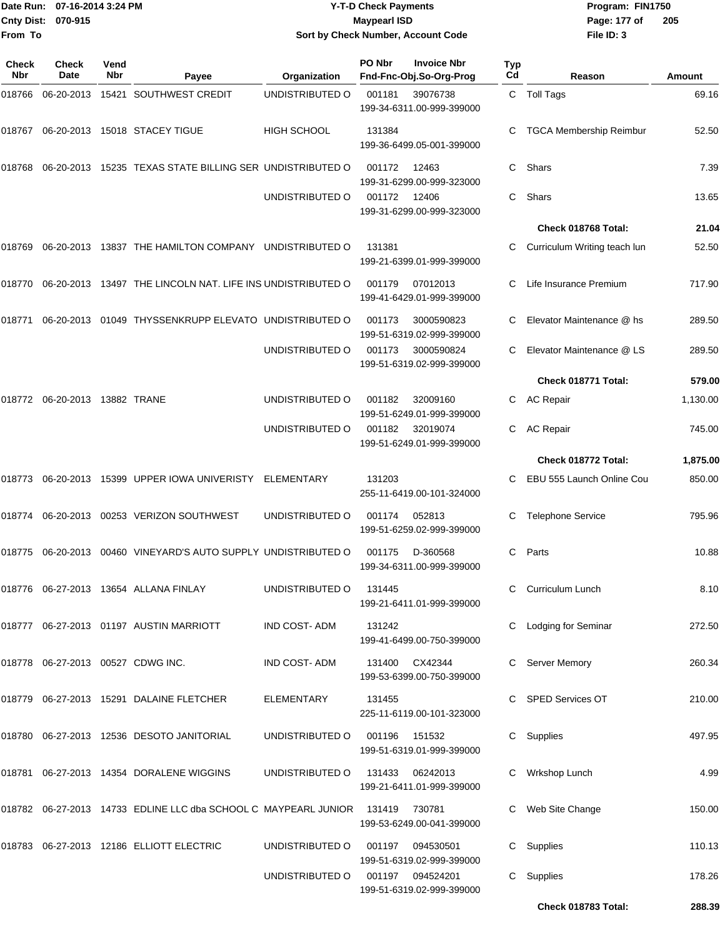|              | Date Run: 07-16-2014 3:24 PM<br>Cnty Dist: 070-915 |             |                                                                                | <b>Y-T-D Check Payments</b><br><b>Maypearl ISD</b> |        |                                               |           | Program: FIN1750<br>Page: 177 of<br>205 |          |  |
|--------------|----------------------------------------------------|-------------|--------------------------------------------------------------------------------|----------------------------------------------------|--------|-----------------------------------------------|-----------|-----------------------------------------|----------|--|
| From To      |                                                    |             |                                                                                | Sort by Check Number, Account Code                 |        |                                               |           | File ID: 3                              |          |  |
| Check<br>Nbr | Check<br>Date                                      | Vend<br>Nbr | Payee                                                                          | Organization                                       | PO Nbr | <b>Invoice Nbr</b><br>Fnd-Fnc-Obj.So-Org-Prog | Typ<br>Cd | Reason                                  | Amount   |  |
| 018766       |                                                    |             | 06-20-2013 15421 SOUTHWEST CREDIT                                              | UNDISTRIBUTED O                                    | 001181 | 39076738<br>199-34-6311.00-999-399000         |           | C Toll Tags                             | 69.16    |  |
|              |                                                    |             | 018767 06-20-2013 15018 STACEY TIGUE                                           | <b>HIGH SCHOOL</b>                                 | 131384 | 199-36-6499.05-001-399000                     | C         | <b>TGCA Membership Reimbur</b>          | 52.50    |  |
|              |                                                    |             | 018768 06-20-2013 15235   TEXAS STATE BILLING SER  UNDISTRIBUTED O             |                                                    | 001172 | 12463<br>199-31-6299.00-999-323000            | C         | Shars                                   | 7.39     |  |
|              |                                                    |             |                                                                                | UNDISTRIBUTED O                                    | 001172 | 12406<br>199-31-6299.00-999-323000            | С         | Shars                                   | 13.65    |  |
|              |                                                    |             |                                                                                |                                                    |        |                                               |           | Check 018768 Total:                     | 21.04    |  |
| 018769       |                                                    |             | 06-20-2013 13837 THE HAMILTON COMPANY UNDISTRIBUTED O                          |                                                    | 131381 | 199-21-6399.01-999-399000                     |           | Curriculum Writing teach lun            | 52.50    |  |
|              |                                                    |             | 018770  06-20-2013  13497  THE LINCOLN NAT. LIFE INS UNDISTRIBUTED O           |                                                    | 001179 | 07012013<br>199-41-6429.01-999-399000         | C         | Life Insurance Premium                  | 717.90   |  |
| 018771       |                                                    |             | 06-20-2013 01049 THYSSENKRUPP ELEVATO UNDISTRIBUTED O                          |                                                    | 001173 | 3000590823<br>199-51-6319.02-999-399000       | C         | Elevator Maintenance @ hs               | 289.50   |  |
|              |                                                    |             |                                                                                | UNDISTRIBUTED O                                    | 001173 | 3000590824<br>199-51-6319.02-999-399000       |           | Elevator Maintenance @ LS               | 289.50   |  |
|              |                                                    |             |                                                                                |                                                    |        |                                               |           | Check 018771 Total:                     | 579.00   |  |
|              | 018772    06-20-2013    13882    TRANE             |             |                                                                                | UNDISTRIBUTED O                                    | 001182 | 32009160<br>199-51-6249.01-999-399000         |           | C AC Repair                             | 1,130.00 |  |
|              |                                                    |             |                                                                                | UNDISTRIBUTED O                                    | 001182 | 32019074<br>199-51-6249.01-999-399000         | C         | <b>AC Repair</b>                        | 745.00   |  |
|              |                                                    |             |                                                                                |                                                    |        |                                               |           | Check 018772 Total:                     | 1,875.00 |  |
|              |                                                    |             | 018773    06-20-2013    15399    UPPER IOWA UNIVERISTY                         | ELEMENTARY                                         | 131203 | 255-11-6419.00-101-324000                     | C         | EBU 555 Launch Online Cou               | 850.00   |  |
|              |                                                    |             | 018774    06-20-2013    00253    VERIZON SOUTHWEST                             | UNDISTRIBUTED O                                    | 001174 | 052813<br>199-51-6259.02-999-399000           | C         | <b>Telephone Service</b>                | 795.96   |  |
|              |                                                    |             | 018775 06-20-2013 00460 VINEYARD'S AUTO SUPPLY UNDISTRIBUTED O 001175 D-360568 |                                                    |        | 199-34-6311.00-999-399000                     |           | C Parts                                 | 10.88    |  |
|              |                                                    |             |                                                                                | UNDISTRIBUTED O                                    | 131445 | 199-21-6411.01-999-399000                     |           | C Curriculum Lunch                      | 8.10     |  |
|              |                                                    |             | 018777 06-27-2013 01197 AUSTIN MARRIOTT                                        | IND COST-ADM                                       | 131242 | 199-41-6499.00-750-399000                     |           | C Lodging for Seminar                   | 272.50   |  |
|              |                                                    |             | 018778 06-27-2013 00527 CDWG INC.                                              | IND COST-ADM                                       |        | 131400 CX42344<br>199-53-6399.00-750-399000   |           | C Server Memory                         | 260.34   |  |
|              |                                                    |             | 018779 06-27-2013 15291 DALAINE FLETCHER                                       | ELEMENTARY                                         | 131455 | 225-11-6119.00-101-323000                     |           | C SPED Services OT                      | 210.00   |  |
|              |                                                    |             | 018780  06-27-2013  12536  DESOTO JANITORIAL                                   | UNDISTRIBUTED O                                    | 001196 | 151532<br>199-51-6319.01-999-399000           |           | C Supplies                              | 497.95   |  |
|              |                                                    |             | 018781 06-27-2013 14354 DORALENE WIGGINS                                       | UNDISTRIBUTED O 131433 06242013                    |        | 199-21-6411.01-999-399000                     |           | C Wrkshop Lunch                         | 4.99     |  |
|              |                                                    |             | 018782 06-27-2013 14733 EDLINE LLC dba SCHOOL C MAYPEARL JUNIOR 131419 730781  |                                                    |        | 199-53-6249.00-041-399000                     |           | C Web Site Change                       | 150.00   |  |
|              |                                                    |             |                                                                                | UNDISTRIBUTED O                                    | 001197 | 094530501<br>199-51-6319.02-999-399000        |           | C Supplies                              | 110.13   |  |
|              |                                                    |             |                                                                                | UNDISTRIBUTED O                                    |        | 001197 094524201<br>199-51-6319.02-999-399000 |           | C Supplies                              | 178.26   |  |

**Check 018783 Total: 288.39**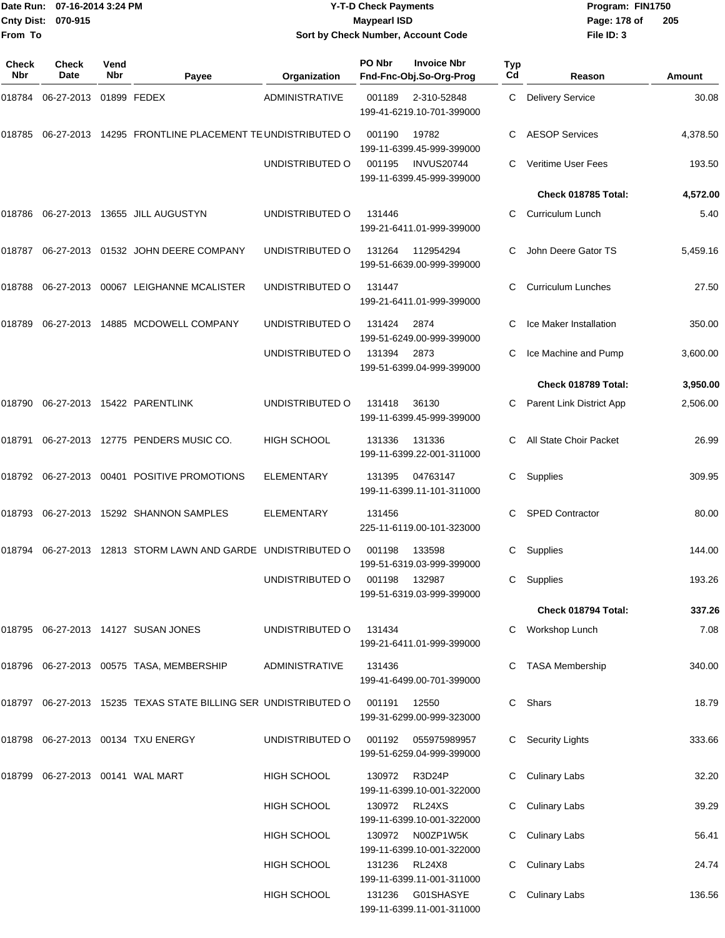|                    | Date Run: 07-16-2014 3:24 PM |
|--------------------|------------------------------|
| Cnty Dist: 070-915 |                              |
| From To            |                              |

#### **Date Run: Program: FIN1750 07-16-2014 3:24 PM Y-T-D Check Payments Cnty Dist: Page: 178 of 070-915 Maypearl ISD Sort by Check Number, Account Code**

| <b>Check</b><br>Nbr | Check<br>Date                    | Vend<br>Nbr | Payee                                                           | Organization          | PO Nbr        | <b>Invoice Nbr</b><br>Fnd-Fnc-Obj.So-Org-Prog                              | Typ<br>Cd | Reason                    | Amount   |
|---------------------|----------------------------------|-------------|-----------------------------------------------------------------|-----------------------|---------------|----------------------------------------------------------------------------|-----------|---------------------------|----------|
| 018784              | 06-27-2013 01899 FEDEX           |             |                                                                 | <b>ADMINISTRATIVE</b> | 001189        | 2-310-52848<br>199-41-6219.10-701-399000                                   | C         | <b>Delivery Service</b>   | 30.08    |
| 018785              |                                  |             | 06-27-2013 14295 FRONTLINE PLACEMENT TE UNDISTRIBUTED O         |                       | 001190        | 19782<br>199-11-6399.45-999-399000                                         |           | <b>AESOP Services</b>     | 4,378.50 |
|                     |                                  |             |                                                                 | UNDISTRIBUTED O       | 001195        | <b>INVUS20744</b><br>199-11-6399.45-999-399000                             |           | Veritime User Fees        | 193.50   |
|                     |                                  |             |                                                                 |                       |               |                                                                            |           | Check 018785 Total:       | 4,572.00 |
| 018786              |                                  |             | 06-27-2013 13655 JILL AUGUSTYN                                  | UNDISTRIBUTED O       | 131446        | 199-21-6411.01-999-399000                                                  |           | Curriculum Lunch          | 5.40     |
| 018787              |                                  |             | 06-27-2013 01532 JOHN DEERE COMPANY                             | UNDISTRIBUTED O       | 131264        | 112954294<br>199-51-6639.00-999-399000                                     | C         | John Deere Gator TS       | 5,459.16 |
| 018788              |                                  |             | 06-27-2013 00067 LEIGHANNE MCALISTER                            | UNDISTRIBUTED O       | 131447        | 199-21-6411.01-999-399000                                                  | C         | <b>Curriculum Lunches</b> | 27.50    |
| 018789              |                                  |             | 06-27-2013  14885  MCDOWELL COMPANY                             | UNDISTRIBUTED O       | 131424        | 2874<br>199-51-6249.00-999-399000                                          |           | Ice Maker Installation    | 350.00   |
|                     |                                  |             |                                                                 | UNDISTRIBUTED O       | 131394        | 2873<br>199-51-6399.04-999-399000                                          | С         | Ice Machine and Pump      | 3,600.00 |
|                     |                                  |             |                                                                 |                       |               |                                                                            |           | Check 018789 Total:       | 3,950.00 |
| 018790              |                                  |             | 06-27-2013 15422 PARENTLINK                                     | UNDISTRIBUTED O       | 131418        | 36130<br>199-11-6399.45-999-399000                                         | С         | Parent Link District App  | 2,506.00 |
| 018791              |                                  |             | 06-27-2013 12775 PENDERS MUSIC CO.                              | <b>HIGH SCHOOL</b>    | 131336        | 131336<br>199-11-6399.22-001-311000                                        | C.        | All State Choir Packet    | 26.99    |
| 018792              |                                  |             | 06-27-2013 00401 POSITIVE PROMOTIONS                            | <b>ELEMENTARY</b>     | 131395        | 04763147<br>199-11-6399.11-101-311000                                      | C.        | Supplies                  | 309.95   |
| 018793              |                                  |             | 06-27-2013 15292 SHANNON SAMPLES                                | ELEMENTARY            | 131456        | 225-11-6119.00-101-323000                                                  |           | <b>SPED Contractor</b>    | 80.00    |
| 018794              |                                  |             | 06-27-2013 12813 STORM LAWN AND GARDE UNDISTRIBUTED O           |                       | 001198        | 133598<br>199-51-6319.03-999-399000                                        | С         | Supplies                  | 144.00   |
|                     |                                  |             |                                                                 | UNDISTRIBUTED O       | 001198 132987 | 199-51-6319.03-999-399000                                                  |           | C Supplies                | 193.26   |
|                     |                                  |             |                                                                 |                       |               |                                                                            |           | Check 018794 Total:       | 337.26   |
|                     |                                  |             | 018795 06-27-2013 14127 SUSAN JONES                             | UNDISTRIBUTED O       | 131434        | 199-21-6411.01-999-399000                                                  |           | C Workshop Lunch          | 7.08     |
|                     |                                  |             | 018796  06-27-2013  00575  TASA, MEMBERSHIP                     | ADMINISTRATIVE        | 131436        | 199-41-6499.00-701-399000                                                  |           | <b>TASA Membership</b>    | 340.00   |
|                     |                                  |             | 018797 06-27-2013 15235 TEXAS STATE BILLING SER UNDISTRIBUTED O |                       | 001191 12550  | 199-31-6299.00-999-323000                                                  |           | C Shars                   | 18.79    |
|                     |                                  |             | 018798 06-27-2013 00134 TXU ENERGY                              | UNDISTRIBUTED O       |               | 001192   055975989957<br>199-51-6259.04-999-399000                         |           | C Security Lights         | 333.66   |
|                     | 018799 06-27-2013 00141 WAL MART |             |                                                                 | <b>HIGH SCHOOL</b>    |               | 130972 R3D24P<br>199-11-6399.10-001-322000                                 |           | C Culinary Labs           | 32.20    |
|                     |                                  |             |                                                                 | HIGH SCHOOL           | 130972 RL24XS | 199-11-6399.10-001-322000                                                  |           | C Culinary Labs           | 39.29    |
|                     |                                  |             |                                                                 | HIGH SCHOOL           |               | 130972 N00ZP1W5K<br>199-11-6399.10-001-322000                              |           | C Culinary Labs           | 56.41    |
|                     |                                  |             |                                                                 | <b>HIGH SCHOOL</b>    | 131236 RL24X8 |                                                                            |           | <b>Culinary Labs</b>      | 24.74    |
|                     |                                  |             |                                                                 | HIGH SCHOOL           |               | 199-11-6399.11-001-311000<br>131236 G01SHASYE<br>199-11-6399.11-001-311000 |           | C Culinary Labs           | 136.56   |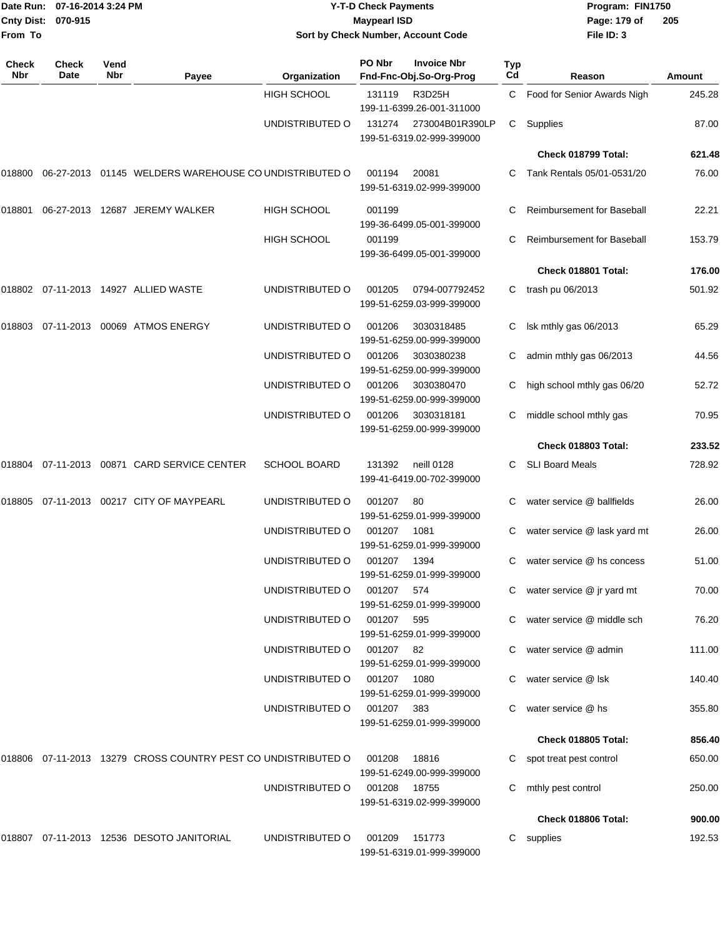| <b>Cnty Dist:</b><br>From To | Date Run: 07-16-2014 3:24 PM<br>070-915 |                    |                                                               | <b>Y-T-D Check Payments</b><br><b>Maypearl ISD</b><br>Sort by Check Number, Account Code |                      |                                               |                  | Program: FIN1750<br>Page: 179 of<br>File ID: 3                 | 205            |
|------------------------------|-----------------------------------------|--------------------|---------------------------------------------------------------|------------------------------------------------------------------------------------------|----------------------|-----------------------------------------------|------------------|----------------------------------------------------------------|----------------|
| <b>Check</b><br>Nbr          | Check<br>Date                           | Vend<br><b>Nbr</b> | Payee                                                         | Organization                                                                             | PO Nbr               | <b>Invoice Nbr</b><br>Fnd-Fnc-Obj.So-Org-Prog | <b>Typ</b><br>Cd | Reason                                                         | <b>Amount</b>  |
|                              |                                         |                    |                                                               | <b>HIGH SCHOOL</b>                                                                       | 131119               | R3D25H<br>199-11-6399.26-001-311000           | C.               | Food for Senior Awards Nigh                                    | 245.28         |
|                              |                                         |                    |                                                               | UNDISTRIBUTED O                                                                          | 131274               | 273004B01R390LP<br>199-51-6319.02-999-399000  | C                | Supplies                                                       | 87.00          |
|                              |                                         |                    |                                                               |                                                                                          |                      |                                               |                  | Check 018799 Total:                                            | 621.48         |
| 018800                       |                                         |                    | 06-27-2013 01145 WELDERS WAREHOUSE CO UNDISTRIBUTED O         |                                                                                          | 001194               | 20081<br>199-51-6319.02-999-399000            |                  | Tank Rentals 05/01-0531/20                                     | 76.00          |
| 018801                       |                                         |                    | 06-27-2013 12687 JEREMY WALKER                                | <b>HIGH SCHOOL</b>                                                                       | 001199               | 199-36-6499.05-001-399000                     |                  | <b>Reimbursement for Baseball</b>                              | 22.21          |
|                              |                                         |                    |                                                               | <b>HIGH SCHOOL</b>                                                                       | 001199               | 199-36-6499.05-001-399000                     | С                | <b>Reimbursement for Baseball</b>                              | 153.79         |
|                              |                                         |                    |                                                               |                                                                                          |                      |                                               |                  | Check 018801 Total:                                            | 176.00         |
|                              |                                         |                    | 018802 07-11-2013 14927 ALLIED WASTE                          | UNDISTRIBUTED O                                                                          | 001205               | 0794-007792452<br>199-51-6259.03-999-399000   | C                | trash pu 06/2013                                               | 501.92         |
| 018803                       |                                         |                    | 07-11-2013 00069 ATMOS ENERGY                                 | UNDISTRIBUTED O                                                                          | 001206               | 3030318485<br>199-51-6259.00-999-399000       | С                | Isk mthly gas 06/2013                                          | 65.29          |
|                              |                                         |                    |                                                               | UNDISTRIBUTED O                                                                          | 001206               | 3030380238<br>199-51-6259.00-999-399000       | С                | admin mthly gas 06/2013                                        | 44.56          |
|                              |                                         |                    |                                                               | UNDISTRIBUTED O                                                                          | 001206               | 3030380470<br>199-51-6259.00-999-399000       |                  | high school mthly gas 06/20                                    | 52.72          |
|                              |                                         |                    |                                                               | UNDISTRIBUTED O                                                                          | 001206               | 3030318181<br>199-51-6259.00-999-399000       | С                | middle school mthly gas                                        | 70.95          |
|                              |                                         |                    |                                                               |                                                                                          |                      |                                               |                  | Check 018803 Total:                                            | 233.52         |
| 018804                       |                                         |                    | 07-11-2013 00871 CARD SERVICE CENTER                          | <b>SCHOOL BOARD</b>                                                                      | 131392               | neill 0128<br>199-41-6419.00-702-399000       | C                | <b>SLI Board Meals</b>                                         | 728.92         |
| 018805                       |                                         |                    | 07-11-2013 00217 CITY OF MAYPEARL                             | UNDISTRIBUTED O                                                                          | 001207               | 80<br>199-51-6259.01-999-399000               | С                | water service @ ballfields                                     | 26.00          |
|                              |                                         |                    |                                                               | UNDISTRIBUTED O                                                                          | 001207               | 1081<br>199-51-6259.01-999-399000             | С                | water service @ lask yard mt                                   | 26.00          |
|                              |                                         |                    |                                                               | UNDISTRIBUTED O<br>UNDISTRIBUTED O                                                       | 001207<br>001207 574 | 1394<br>199-51-6259.01-999-399000             |                  | C water service $@$ hs concess<br>C water service @ jr yard mt | 51.00<br>70.00 |
|                              |                                         |                    |                                                               |                                                                                          |                      | 199-51-6259.01-999-399000                     |                  |                                                                |                |
|                              |                                         |                    |                                                               | UNDISTRIBUTED O                                                                          | 001207 595           | 199-51-6259.01-999-399000                     |                  | C water service @ middle sch                                   | 76.20          |
|                              |                                         |                    |                                                               | UNDISTRIBUTED O                                                                          | 001207 82            | 199-51-6259.01-999-399000                     |                  | C water service @ admin                                        | 111.00         |
|                              |                                         |                    |                                                               | UNDISTRIBUTED O                                                                          | 001207 1080          | 199-51-6259.01-999-399000                     |                  | C water service @ Isk                                          | 140.40         |
|                              |                                         |                    |                                                               | UNDISTRIBUTED O                                                                          | 001207 383           | 199-51-6259.01-999-399000                     |                  | C water service @ hs                                           | 355.80         |
|                              |                                         |                    |                                                               |                                                                                          |                      |                                               |                  | Check 018805 Total:                                            | 856.40         |
|                              |                                         |                    | 018806 07-11-2013 13279 CROSS COUNTRY PEST CO UNDISTRIBUTED O |                                                                                          | 001208               | 18816<br>199-51-6249.00-999-399000<br>18755   |                  | C spot treat pest control                                      | 650.00         |
|                              |                                         |                    |                                                               | UNDISTRIBUTED O                                                                          | 001208               | 199-51-6319.02-999-399000                     |                  | mthly pest control<br>Check 018806 Total:                      | 250.00         |
|                              |                                         |                    |                                                               |                                                                                          |                      |                                               |                  |                                                                | 900.00         |
|                              |                                         |                    | 018807 07-11-2013 12536 DESOTO JANITORIAL                     | UNDISTRIBUTED O                                                                          | 001209               | 151773<br>199-51-6319.01-999-399000           |                  | C supplies                                                     | 192.53         |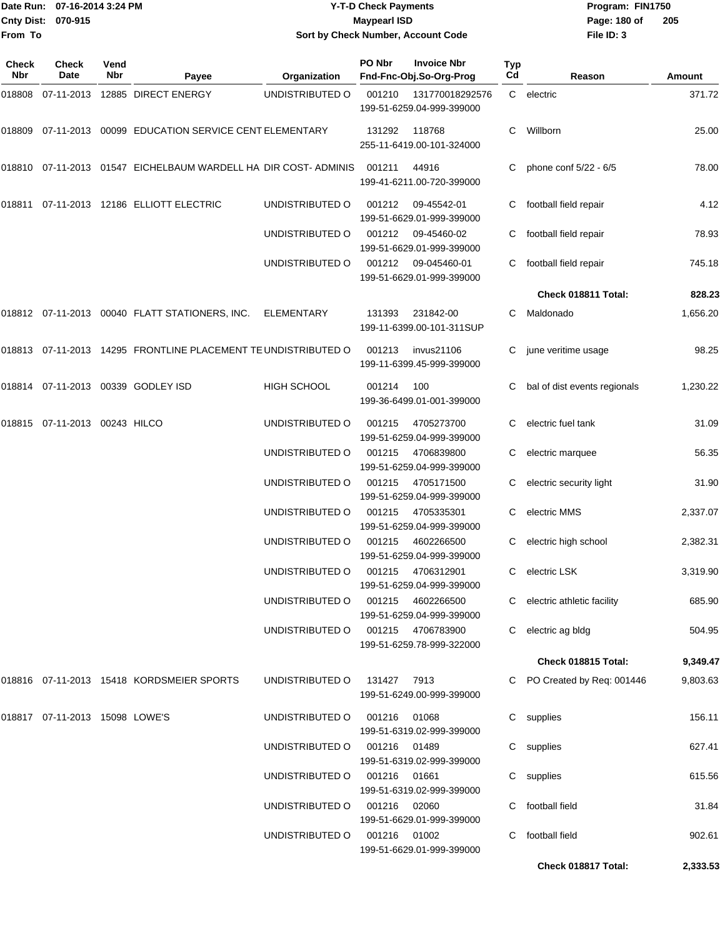|                    | Date Run: 07-16-2014 3:24 PM | <b>Y-T-D Check Payments</b>               | Program: FIN1750     |
|--------------------|------------------------------|-------------------------------------------|----------------------|
| Cnty Dist: 070-915 |                              | <b>Mavpearl ISD</b>                       | - 20<br>Page: 180 of |
| From To            |                              | <b>Sort by Check Number, Account Code</b> | File ID: 3           |

## **070-915 Maypearl ISD Sort by Check Number, Account Code**

| Check<br>Nbr | <b>Check</b><br>Date           | Vend<br>Nbr | Payee                                                           | Organization       | PO Nbr        | <b>Invoice Nbr</b><br>Fnd-Fnc-Obj.So-Org-Prog  | Typ<br>Cd | Reason                       | <b>Amount</b> |
|--------------|--------------------------------|-------------|-----------------------------------------------------------------|--------------------|---------------|------------------------------------------------|-----------|------------------------------|---------------|
| 018808       |                                |             | 07-11-2013 12885 DIRECT ENERGY                                  | UNDISTRIBUTED O    | 001210        | 131770018292576<br>199-51-6259.04-999-399000   |           | C electric                   | 371.72        |
| 018809       |                                |             | 07-11-2013 00099 EDUCATION SERVICE CENT ELEMENTARY              |                    | 131292        | 118768<br>255-11-6419.00-101-324000            | C.        | Willborn                     | 25.00         |
|              |                                |             | 018810 07-11-2013 01547 EICHELBAUM WARDELL HA DIR COST- ADMINIS |                    | 001211        | 44916<br>199-41-6211.00-720-399000             | C.        | phone conf 5/22 - 6/5        | 78.00         |
|              |                                |             | 018811 07-11-2013 12186 ELLIOTT ELECTRIC                        | UNDISTRIBUTED O    | 001212        | 09-45542-01<br>199-51-6629.01-999-399000       |           | football field repair        | 4.12          |
|              |                                |             |                                                                 | UNDISTRIBUTED O    | 001212        | 09-45460-02<br>199-51-6629.01-999-399000       | C.        | football field repair        | 78.93         |
|              |                                |             |                                                                 | UNDISTRIBUTED O    | 001212        | 09-045460-01<br>199-51-6629.01-999-399000      | C         | football field repair        | 745.18        |
|              |                                |             |                                                                 |                    |               |                                                |           | Check 018811 Total:          | 828.23        |
|              |                                |             | 018812 07-11-2013 00040 FLATT STATIONERS, INC.                  | <b>ELEMENTARY</b>  | 131393        | 231842-00<br>199-11-6399.00-101-311SUP         | C         | Maldonado                    | 1,656.20      |
|              |                                |             | 018813 07-11-2013 14295 FRONTLINE PLACEMENT TE UNDISTRIBUTED O  |                    | 001213        | invus21106<br>199-11-6399.45-999-399000        |           | june veritime usage          | 98.25         |
|              |                                |             | 018814 07-11-2013 00339 GODLEY ISD                              | <b>HIGH SCHOOL</b> | 001214        | 100<br>199-36-6499.01-001-399000               |           | bal of dist events regionals | 1,230.22      |
|              | 018815 07-11-2013 00243 HILCO  |             |                                                                 | UNDISTRIBUTED O    | 001215        | 4705273700<br>199-51-6259.04-999-399000        | C.        | electric fuel tank           | 31.09         |
|              |                                |             |                                                                 | UNDISTRIBUTED O    | 001215        | 4706839800<br>199-51-6259.04-999-399000        | C.        | electric marquee             | 56.35         |
|              |                                |             |                                                                 | UNDISTRIBUTED O    | 001215        | 4705171500<br>199-51-6259.04-999-399000        | C.        | electric security light      | 31.90         |
|              |                                |             |                                                                 | UNDISTRIBUTED O    | 001215        | 4705335301<br>199-51-6259.04-999-399000        | C         | electric MMS                 | 2,337.07      |
|              |                                |             |                                                                 | UNDISTRIBUTED O    | 001215        | 4602266500<br>199-51-6259.04-999-399000        |           | electric high school         | 2,382.31      |
|              |                                |             |                                                                 | UNDISTRIBUTED O    | 001215        | 4706312901<br>199-51-6259.04-999-399000        | C.        | electric LSK                 | 3,319.90      |
|              |                                |             |                                                                 | UNDISTRIBUTED O    | 001215        | 4602266500<br>199-51-6259.04-999-399000        |           | C electric athletic facility | 685.90        |
|              |                                |             |                                                                 | UNDISTRIBUTED O    |               | 001215 4706783900<br>199-51-6259.78-999-322000 | C         | electric ag bldg             | 504.95        |
|              |                                |             |                                                                 |                    |               |                                                |           | Check 018815 Total:          | 9,349.47      |
|              |                                |             | 018816 07-11-2013 15418 KORDSMEIER SPORTS                       | UNDISTRIBUTED O    | 131427 7913   | 199-51-6249.00-999-399000                      |           | C PO Created by Req: 001446  | 9,803.63      |
|              | 018817 07-11-2013 15098 LOWE'S |             |                                                                 | UNDISTRIBUTED O    | 001216        | 01068<br>199-51-6319.02-999-399000             |           | C supplies                   | 156.11        |
|              |                                |             |                                                                 | UNDISTRIBUTED O    | 001216 01489  | 199-51-6319.02-999-399000                      |           | C supplies                   | 627.41        |
|              |                                |             |                                                                 | UNDISTRIBUTED O    | 001216  01661 | 199-51-6319.02-999-399000                      |           | C supplies                   | 615.56        |
|              |                                |             |                                                                 | UNDISTRIBUTED O    | 001216        | 02060<br>199-51-6629.01-999-399000             |           | C football field             | 31.84         |
|              |                                |             |                                                                 | UNDISTRIBUTED O    | 001216 01002  | 199-51-6629.01-999-399000                      |           | C football field             | 902.61        |
|              |                                |             |                                                                 |                    |               |                                                |           | Check 018817 Total:          | 2,333.53      |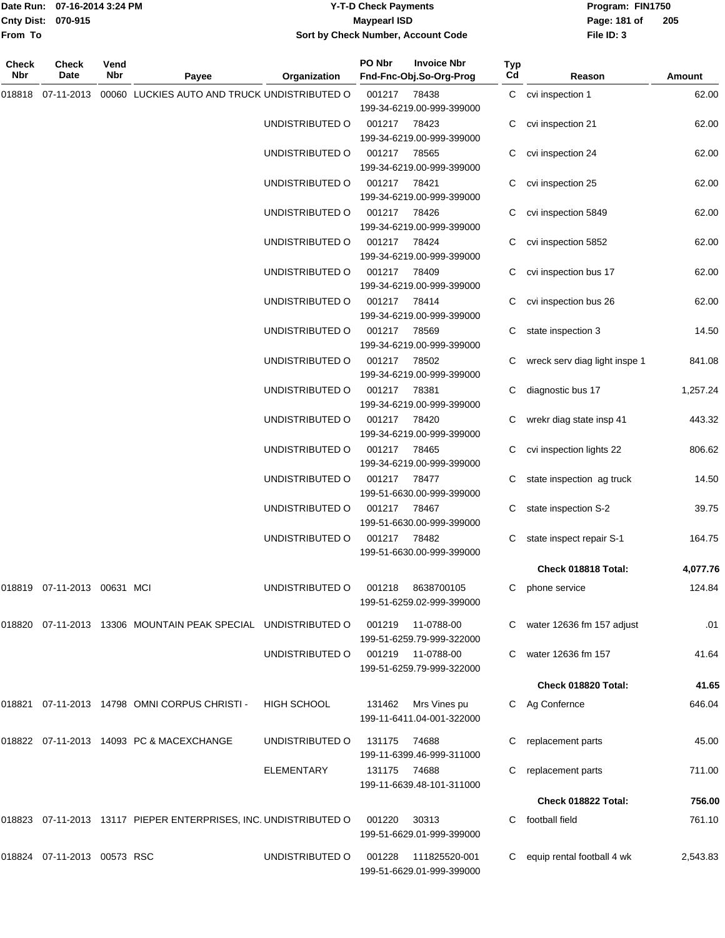|                    | Date Run: 07-16-2014 3:24 PM |
|--------------------|------------------------------|
| Cnty Dist: 070-915 |                              |
| From To            |                              |

### **Date Run: Program: FIN1750 07-16-2014 3:24 PM Y-T-D Check Payments Cnty Dist: Page: 181 of 070-915 Maypearl ISD Sort by Check Number, Account Code**

| Check<br>Nbr | <b>Check</b><br>Date           | Vend<br>Nbr | Payee                                                            | Organization    | PO Nbr                             | <b>Invoice Nbr</b><br>Fnd-Fnc-Obj.So-Org-Prog    | Typ<br>Cd                 | Reason                        | Amount   |
|--------------|--------------------------------|-------------|------------------------------------------------------------------|-----------------|------------------------------------|--------------------------------------------------|---------------------------|-------------------------------|----------|
| 018818       | 07-11-2013                     |             | 00060 LUCKIES AUTO AND TRUCK UNDISTRIBUTED O                     |                 | 001217                             | 78438<br>199-34-6219.00-999-399000               |                           | C cvi inspection 1            | 62.00    |
|              |                                |             |                                                                  | UNDISTRIBUTED O | 001217                             | 78423<br>199-34-6219.00-999-399000               |                           | cvi inspection 21             | 62.00    |
|              |                                |             |                                                                  | UNDISTRIBUTED O | 001217                             | 78565<br>199-34-6219.00-999-399000               | С                         | cvi inspection 24             | 62.00    |
|              |                                |             |                                                                  | UNDISTRIBUTED O | 001217                             | 78421<br>199-34-6219.00-999-399000               | С                         | cvi inspection 25             | 62.00    |
|              |                                |             |                                                                  | UNDISTRIBUTED O | 001217                             | 78426<br>199-34-6219.00-999-399000               |                           | cvi inspection 5849           | 62.00    |
|              |                                |             |                                                                  | UNDISTRIBUTED O | 001217                             | 78424<br>199-34-6219.00-999-399000               | C                         | cvi inspection 5852           | 62.00    |
|              |                                |             |                                                                  | UNDISTRIBUTED O | 001217                             | 78409<br>199-34-6219.00-999-399000               | C                         | cvi inspection bus 17         | 62.00    |
|              |                                |             |                                                                  | UNDISTRIBUTED O | 001217                             | 78414<br>199-34-6219.00-999-399000               |                           | cvi inspection bus 26         | 62.00    |
|              |                                |             |                                                                  | UNDISTRIBUTED O | 001217                             | 78569<br>199-34-6219.00-999-399000               | С                         | state inspection 3            | 14.50    |
|              |                                |             |                                                                  | UNDISTRIBUTED O | 001217                             | 78502<br>199-34-6219.00-999-399000               |                           | wreck serv diag light inspe 1 | 841.08   |
|              |                                |             |                                                                  | UNDISTRIBUTED O | 001217                             | 78381<br>199-34-6219.00-999-399000               |                           | diagnostic bus 17             | 1,257.24 |
|              |                                |             |                                                                  | UNDISTRIBUTED O | 001217                             | 78420<br>199-34-6219.00-999-399000               |                           | wrekr diag state insp 41      | 443.32   |
|              |                                |             |                                                                  | UNDISTRIBUTED O | 001217                             | 78465<br>199-34-6219.00-999-399000               | C                         | cvi inspection lights 22      | 806.62   |
|              |                                |             | UNDISTRIBUTED O                                                  | 001217          | 78477<br>199-51-6630.00-999-399000 |                                                  | state inspection ag truck | 14.50                         |          |
|              |                                |             |                                                                  | UNDISTRIBUTED O | 001217                             | 78467<br>199-51-6630.00-999-399000               | C                         | state inspection S-2          | 39.75    |
|              |                                |             |                                                                  | UNDISTRIBUTED O | 001217                             | 78482<br>199-51-6630.00-999-399000               | C                         | state inspect repair S-1      | 164.75   |
|              |                                |             |                                                                  |                 |                                    |                                                  |                           | Check 018818 Total:           | 4,077.76 |
|              | 018819  07-11-2013  00631  MCI |             |                                                                  | UNDISTRIBUTED O |                                    | 001218 8638700105<br>199-51-6259.02-999-399000   |                           | C phone service               | 124.84   |
|              |                                |             | 018820 07-11-2013 13306 MOUNTAIN PEAK SPECIAL UNDISTRIBUTED O    |                 |                                    | 001219 11-0788-00<br>199-51-6259.79-999-322000   |                           | C water 12636 fm 157 adjust   | .01      |
|              |                                |             |                                                                  | UNDISTRIBUTED O |                                    | 001219 11-0788-00<br>199-51-6259.79-999-322000   |                           | water 12636 fm 157            | 41.64    |
|              |                                |             |                                                                  |                 |                                    |                                                  |                           | Check 018820 Total:           | 41.65    |
|              |                                |             | 018821 07-11-2013 14798 OMNI CORPUS CHRISTI -                    | HIGH SCHOOL     |                                    | 131462 Mrs Vines pu<br>199-11-6411.04-001-322000 |                           | C Ag Confernce                | 646.04   |
|              |                                |             | 018822 07-11-2013 14093 PC & MACEXCHANGE                         | UNDISTRIBUTED O | 131175                             | 74688                                            |                           | replacement parts             | 45.00    |
|              |                                |             |                                                                  | ELEMENTARY      | 131175 74688                       | 199-11-6399.46-999-311000                        |                           | replacement parts             | 711.00   |
|              |                                |             |                                                                  |                 |                                    | 199-11-6639.48-101-311000                        |                           | Check 018822 Total:           | 756.00   |
|              |                                |             | 018823 07-11-2013 13117 PIEPER ENTERPRISES, INC. UNDISTRIBUTED O |                 | 001220                             | 30313                                            | C.                        | football field                | 761.10   |
|              |                                |             |                                                                  |                 |                                    | 199-51-6629.01-999-399000                        |                           |                               |          |
|              | 018824 07-11-2013 00573 RSC    |             |                                                                  | UNDISTRIBUTED O | 001228                             | 111825520-001<br>199-51-6629.01-999-399000       |                           | equip rental football 4 wk    | 2,543.83 |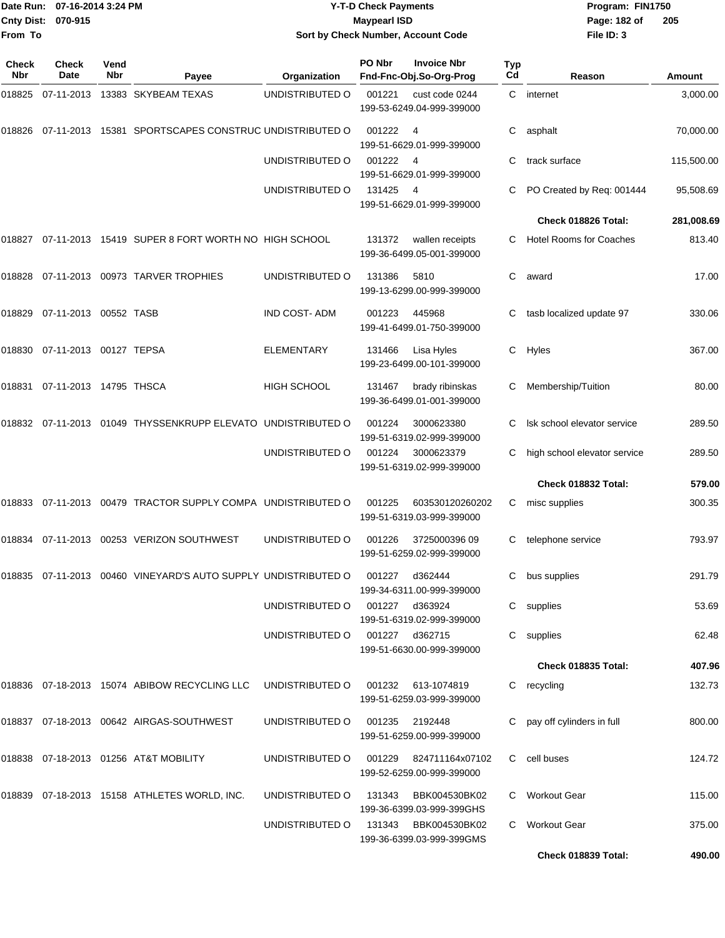| 07-16-2014 3:24 PM<br>Date Run: |                                      | <b>Y-T-D Check Payments</b><br><b>Maypearl ISD</b> |                                                                                  |                                    |                | Program: FIN1750                                    |           |                                |            |
|---------------------------------|--------------------------------------|----------------------------------------------------|----------------------------------------------------------------------------------|------------------------------------|----------------|-----------------------------------------------------|-----------|--------------------------------|------------|
| <b>Cnty Dist:</b><br>From To    | 070-915                              |                                                    |                                                                                  |                                    |                | Sort by Check Number, Account Code                  |           | Page: 182 of<br>File ID: 3     | 205        |
| Check<br>Nbr                    | <b>Check</b><br>Date                 | Vend<br>Nbr                                        | Payee                                                                            | Organization                       | PO Nbr         | <b>Invoice Nbr</b><br>Fnd-Fnc-Obj.So-Org-Prog       | Typ<br>Cd | Reason                         | Amount     |
|                                 |                                      |                                                    | 018825  07-11-2013  13383  SKYBEAM TEXAS                                         | UNDISTRIBUTED O                    | 001221         | cust code 0244<br>199-53-6249.04-999-399000         | C         | internet                       | 3,000.00   |
|                                 |                                      |                                                    | 018826  07-11-2013  15381  SPORTSCAPES CONSTRUC UNDISTRIBUTED O                  |                                    | 001222         | - 4<br>199-51-6629.01-999-399000                    | С         | asphalt                        | 70,000.00  |
|                                 |                                      |                                                    |                                                                                  | UNDISTRIBUTED O                    | 001222         | - 4<br>199-51-6629.01-999-399000                    | С         | track surface                  | 115,500.00 |
|                                 |                                      |                                                    |                                                                                  | UNDISTRIBUTED O                    | 131425         | - 4<br>199-51-6629.01-999-399000                    |           | PO Created by Req: 001444      | 95,508.69  |
|                                 |                                      |                                                    |                                                                                  |                                    |                |                                                     |           | Check 018826 Total:            | 281,008.69 |
|                                 |                                      |                                                    | 018827  07-11-2013  15419  SUPER 8  FORT WORTH NO HIGH SCHOOL                    |                                    | 131372         | wallen receipts<br>199-36-6499.05-001-399000        | С         | <b>Hotel Rooms for Coaches</b> | 813.40     |
|                                 |                                      |                                                    | 018828 07-11-2013 00973 TARVER TROPHIES                                          | UNDISTRIBUTED O                    | 131386         | 5810<br>199-13-6299.00-999-399000                   | С         | award                          | 17.00      |
|                                 | 018829    07-11-2013    00552   TASB |                                                    |                                                                                  | <b>IND COST-ADM</b>                | 001223         | 445968<br>199-41-6499.01-750-399000                 | С         | tasb localized update 97       | 330.06     |
|                                 | 018830 07-11-2013 00127 TEPSA        |                                                    |                                                                                  | ELEMENTARY                         | 131466         | Lisa Hyles<br>199-23-6499.00-101-399000             | С         | Hyles                          | 367.00     |
|                                 | 018831 07-11-2013 14795 THSCA        |                                                    |                                                                                  | <b>HIGH SCHOOL</b>                 | 131467         | brady ribinskas<br>199-36-6499.01-001-399000        | С         | Membership/Tuition             | 80.00      |
|                                 |                                      |                                                    | 018832  07-11-2013  01049  THYSSENKRUPP ELEVATO  UNDISTRIBUTED                 O |                                    | 001224         | 3000623380<br>199-51-6319.02-999-399000             | С         | Isk school elevator service    | 289.50     |
|                                 |                                      |                                                    |                                                                                  | UNDISTRIBUTED O                    | 001224         | 3000623379<br>199-51-6319.02-999-399000             | С         | high school elevator service   | 289.50     |
|                                 |                                      |                                                    |                                                                                  |                                    |                |                                                     |           | Check 018832 Total:            | 579.00     |
|                                 |                                      |                                                    | 018833  07-11-2013  00479  TRACTOR SUPPLY COMPA  UNDISTRIBUTED  O                |                                    | 001225         | 603530120260202<br>199-51-6319.03-999-399000        | С         | misc supplies                  | 300.35     |
|                                 |                                      |                                                    | 018834  07-11-2013  00253  VERIZON SOUTHWEST                                     | UNDISTRIBUTED O                    | 001226         | 3725000396 09<br>199-51-6259.02-999-399000          |           | C telephone service            | 793.97     |
|                                 |                                      |                                                    | 018835 07-11-2013 00460 VINEYARD'S AUTO SUPPLY UNDISTRIBUTED O                   |                                    | 001227         | d362444<br>199-34-6311.00-999-399000                |           | C bus supplies                 | 291.79     |
|                                 |                                      |                                                    |                                                                                  | UNDISTRIBUTED O                    | 001227 d363924 | 199-51-6319.02-999-399000                           |           | C supplies                     | 53.69      |
|                                 |                                      |                                                    |                                                                                  | UNDISTRIBUTED O 001227 d362715     |                | 199-51-6630.00-999-399000                           |           | C supplies                     | 62.48      |
|                                 |                                      |                                                    |                                                                                  |                                    |                |                                                     |           | Check 018835 Total:            | 407.96     |
|                                 |                                      |                                                    | 018836    07-18-2013    15074    ABIBOW RECYCLING LLC                            | UNDISTRIBUTED O 001232 613-1074819 |                | 199-51-6259.03-999-399000                           |           | C recycling                    | 132.73     |
|                                 |                                      |                                                    | 018837  07-18-2013  00642  AIRGAS-SOUTHWEST                                      | UNDISTRIBUTED O                    | 001235 2192448 | 199-51-6259.00-999-399000                           |           | C pay off cylinders in full    | 800.00     |
|                                 |                                      |                                                    | 018838  07-18-2013  01256  AT&T MOBILITY                                         | UNDISTRIBUTED O                    |                | 001229 824711164x07102<br>199-52-6259.00-999-399000 |           | C cell buses                   | 124.72     |
|                                 |                                      |                                                    | 018839  07-18-2013  15158  ATHLETES WORLD, INC.                                  | UNDISTRIBUTED O                    | 131343         | BBK004530BK02<br>199-36-6399.03-999-399GHS          |           | C Workout Gear                 | 115.00     |
|                                 |                                      |                                                    |                                                                                  | UNDISTRIBUTED O                    | 131343         | BBK004530BK02<br>199-36-6399.03-999-399GMS          |           | C Workout Gear                 | 375.00     |

**Check 018839 Total: 490.00**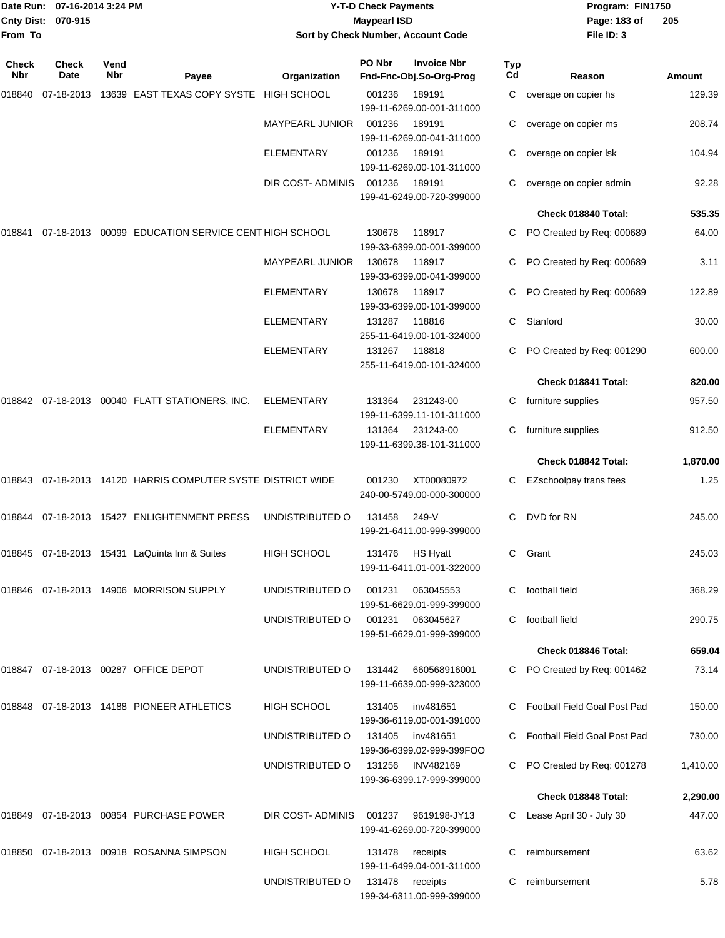| From To      | Date Run: 07-16-2014 3:24 PM<br><b>Cnty Dist:</b><br>070-915 |             |                                                              | <b>Y-T-D Check Payments</b><br><b>Maypearl ISD</b><br>Sort by Check Number, Account Code |        |                                                                  |           | Program: FIN1750<br>Page: 183 of<br>File ID: 3 | 205           |
|--------------|--------------------------------------------------------------|-------------|--------------------------------------------------------------|------------------------------------------------------------------------------------------|--------|------------------------------------------------------------------|-----------|------------------------------------------------|---------------|
| Check<br>Nbr | <b>Check</b><br>Date                                         | Vend<br>Nbr |                                                              | Organization                                                                             | PO Nbr | <b>Invoice Nbr</b><br>Fnd-Fnc-Obj.So-Org-Prog                    | Typ<br>Cd | Reason                                         | <b>Amount</b> |
| 018840       | 07-18-2013                                                   |             | Payee<br>13639 EAST TEXAS COPY SYSTE HIGH SCHOOL             |                                                                                          | 001236 | 189191                                                           | C         | overage on copier hs                           | 129.39        |
|              |                                                              |             |                                                              | <b>MAYPEARL JUNIOR</b>                                                                   | 001236 | 199-11-6269.00-001-311000<br>189191<br>199-11-6269.00-041-311000 | С         | overage on copier ms                           | 208.74        |
|              |                                                              |             |                                                              | ELEMENTARY                                                                               | 001236 | 189191<br>199-11-6269.00-101-311000                              |           | overage on copier Isk                          | 104.94        |
|              |                                                              |             |                                                              | DIR COST-ADMINIS                                                                         | 001236 | 189191<br>199-41-6249.00-720-399000                              | С         | overage on copier admin                        | 92.28         |
|              |                                                              |             |                                                              |                                                                                          |        |                                                                  |           | Check 018840 Total:                            | 535.35        |
| 018841       |                                                              |             | 07-18-2013 00099 EDUCATION SERVICE CENT HIGH SCHOOL          |                                                                                          | 130678 | 118917<br>199-33-6399.00-001-399000                              | С         | PO Created by Req: 000689                      | 64.00         |
|              |                                                              |             |                                                              | MAYPEARL JUNIOR                                                                          | 130678 | 118917<br>199-33-6399.00-041-399000                              | С         | PO Created by Req: 000689                      | 3.11          |
|              |                                                              |             |                                                              | ELEMENTARY                                                                               | 130678 | 118917<br>199-33-6399.00-101-399000                              |           | PO Created by Req: 000689                      | 122.89        |
|              |                                                              |             |                                                              | <b>ELEMENTARY</b>                                                                        | 131287 | 118816<br>255-11-6419.00-101-324000                              | С         | Stanford                                       | 30.00         |
|              |                                                              |             |                                                              | <b>ELEMENTARY</b>                                                                        | 131267 | 118818<br>255-11-6419.00-101-324000                              |           | PO Created by Req: 001290                      | 600.00        |
|              |                                                              |             |                                                              |                                                                                          |        |                                                                  |           | Check 018841 Total:                            | 820.00        |
|              |                                                              |             | 018842  07-18-2013  00040  FLATT STATIONERS, INC.            | ELEMENTARY                                                                               | 131364 | 231243-00<br>199-11-6399.11-101-311000                           | С         | furniture supplies                             | 957.50        |
|              |                                                              |             |                                                              | ELEMENTARY                                                                               | 131364 | 231243-00<br>199-11-6399.36-101-311000                           | С         | furniture supplies                             | 912.50        |
|              |                                                              |             |                                                              |                                                                                          |        |                                                                  |           | Check 018842 Total:                            | 1,870.00      |
|              |                                                              |             | 018843 07-18-2013 14120  HARRIS COMPUTER SYSTE DISTRICT WIDE |                                                                                          | 001230 | XT00080972<br>240-00-5749.00-000-300000                          | С         | EZschoolpay trans fees                         | 1.25          |
|              |                                                              |             | 018844    07-18-2013    15427    ENLIGHTENMENT    PRESS      | UNDISTRIBUTED O                                                                          | 131458 | 249-V<br>199-21-6411.00-999-399000                               | С         | DVD for RN                                     | 245.00        |
|              |                                                              |             | 018845 07-18-2013 15431 LaQuinta Inn & Suites                | HIGH SCHOOL                                                                              | 131476 | <b>HS Hyatt</b><br>199-11-6411.01-001-322000                     | C         | Grant                                          | 245.03        |
|              |                                                              |             | 018846  07-18-2013  14906  MORRISON SUPPLY                   | UNDISTRIBUTED O                                                                          | 001231 | 063045553<br>199-51-6629.01-999-399000                           |           | C football field                               | 368.29        |
|              |                                                              |             |                                                              | UNDISTRIBUTED O                                                                          | 001231 | 063045627<br>199-51-6629.01-999-399000                           | C.        | football field                                 | 290.75        |
|              |                                                              |             |                                                              |                                                                                          |        |                                                                  |           | Check 018846 Total:                            | 659.04        |
|              |                                                              |             | 018847  07-18-2013  00287  OFFICE DEPOT                      | UNDISTRIBUTED O                                                                          | 131442 | 660568916001<br>199-11-6639.00-999-323000                        |           | C PO Created by Req: 001462                    | 73.14         |
|              |                                                              |             | 018848 07-18-2013 14188 PIONEER ATHLETICS                    | HIGH SCHOOL                                                                              | 131405 | inv481651<br>199-36-6119.00-001-391000                           |           | C Football Field Goal Post Pad                 | 150.00        |
|              |                                                              |             |                                                              | UNDISTRIBUTED O                                                                          | 131405 | inv481651<br>199-36-6399.02-999-399FOO                           |           | C Football Field Goal Post Pad                 | 730.00        |
|              |                                                              |             |                                                              | UNDISTRIBUTED O                                                                          | 131256 | <b>INV482169</b><br>199-36-6399.17-999-399000                    | C         | PO Created by Req: 001278                      | 1,410.00      |
|              |                                                              |             |                                                              |                                                                                          |        |                                                                  |           | Check 018848 Total:                            | 2,290.00      |
|              |                                                              |             |                                                              | DIR COST-ADMINIS                                                                         | 001237 | 9619198-JY13<br>199-41-6269.00-720-399000                        | C         | Lease April 30 - July 30                       | 447.00        |
|              |                                                              |             | 018850 07-18-2013 00918  ROSANNA SIMPSON                     | HIGH SCHOOL                                                                              | 131478 | receipts<br>199-11-6499.04-001-311000                            | C         | reimbursement                                  | 63.62         |
|              |                                                              |             |                                                              | UNDISTRIBUTED O                                                                          | 131478 | receipts<br>199-34-6311.00-999-399000                            | С         | reimbursement                                  | 5.78          |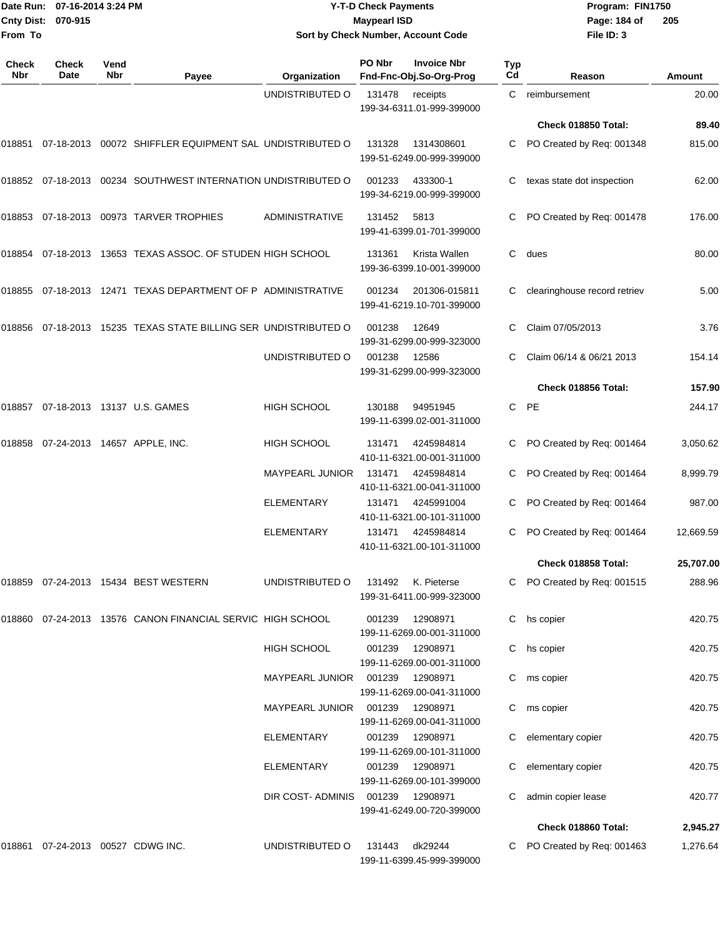|                    | TDate Run: 07-16-2014 3:24 PM | <b>Y-T-D Check Payments</b>        | Program: FIN1750 |                |
|--------------------|-------------------------------|------------------------------------|------------------|----------------|
| Cnty Dist: 070-915 |                               | <b>Mavpearl ISD</b>                | Page: 184 of     | $\overline{2}$ |
| <b>From To</b>     |                               | Sort by Check Number, Account Code | File ID: 3       |                |

# **Sort by Check Number, Account Code**

| Check<br>Nbr                           | Check<br>Date              | Vend<br>Nbr | Payee                                                            | Organization           | PO Nbr                                  | <b>Invoice Nbr</b><br>Fnd-Fnc-Obj.So-Org-Prog | <b>Typ</b><br>Cd          | Reason                       | <b>Amount</b> |
|----------------------------------------|----------------------------|-------------|------------------------------------------------------------------|------------------------|-----------------------------------------|-----------------------------------------------|---------------------------|------------------------------|---------------|
|                                        |                            |             |                                                                  | UNDISTRIBUTED O        | 131478                                  | receipts<br>199-34-6311.01-999-399000         | C                         | reimbursement                | 20.00         |
|                                        |                            |             |                                                                  |                        |                                         |                                               |                           | Check 018850 Total:          | 89.40         |
| 018851                                 | 07-18-2013                 |             | 00072 SHIFFLER EQUIPMENT SAL UNDISTRIBUTED O                     |                        | 131328                                  | 1314308601<br>199-51-6249.00-999-399000       | C                         | PO Created by Req: 001348    | 815.00        |
|                                        |                            |             | 018852  07-18-2013  00234  SOUTHWEST INTERNATION UNDISTRIBUTED O |                        | 001233                                  | 433300-1<br>199-34-6219.00-999-399000         | C                         | texas state dot inspection   | 62.00         |
| 018853                                 |                            |             | 07-18-2013 00973 TARVER TROPHIES                                 | <b>ADMINISTRATIVE</b>  | 131452                                  | 5813<br>199-41-6399.01-701-399000             |                           | PO Created by Req: 001478    | 176.00        |
| 018854                                 |                            |             | 07-18-2013 13653 TEXAS ASSOC. OF STUDEN HIGH SCHOOL              |                        | 131361                                  | Krista Wallen<br>199-36-6399.10-001-399000    | C                         | dues                         | 80.00         |
| 018855                                 |                            |             | 07-18-2013 12471 TEXAS DEPARTMENT OF P ADMINISTRATIVE            |                        | 001234                                  | 201306-015811<br>199-41-6219.10-701-399000    |                           | clearinghouse record retriev | 5.00          |
| 018856                                 |                            |             | 07-18-2013 15235 TEXAS STATE BILLING SER UNDISTRIBUTED O         |                        | 001238                                  | 12649<br>199-31-6299.00-999-323000            |                           | Claim 07/05/2013             | 3.76          |
|                                        |                            |             |                                                                  | UNDISTRIBUTED O        | 001238                                  | 12586<br>199-31-6299.00-999-323000            |                           | Claim 06/14 & 06/21 2013     | 154.14        |
|                                        |                            |             |                                                                  |                        |                                         |                                               |                           | Check 018856 Total:          | 157.90        |
|                                        |                            |             | 018857 07-18-2013 13137 U.S. GAMES                               | HIGH SCHOOL            | 130188                                  | 94951945<br>199-11-6399.02-001-311000         | $\mathsf{C}$              | PE                           | 244.17        |
| 07-24-2013 14657 APPLE, INC.<br>018858 |                            |             | <b>HIGH SCHOOL</b>                                               | 131471                 | 4245984814<br>410-11-6321.00-001-311000 | C                                             | PO Created by Req: 001464 | 3,050.62                     |               |
|                                        |                            |             | <b>MAYPEARL JUNIOR</b>                                           | 131471                 | 4245984814<br>410-11-6321.00-041-311000 |                                               | PO Created by Req: 001464 | 8,999.79                     |               |
|                                        |                            |             | ELEMENTARY                                                       | 131471                 | 4245991004<br>410-11-6321.00-101-311000 | C                                             | PO Created by Req: 001464 | 987.00                       |               |
|                                        |                            |             |                                                                  | ELEMENTARY             | 131471                                  | 4245984814<br>410-11-6321.00-101-311000       | C                         | PO Created by Req: 001464    | 12,669.59     |
|                                        |                            |             |                                                                  |                        |                                         |                                               |                           | Check 018858 Total:          | 25,707.00     |
| 018859                                 |                            |             | 07-24-2013 15434 BEST WESTERN                                    | UNDISTRIBUTED O        | 131492                                  | K. Pieterse<br>199-31-6411.00-999-323000      | C                         | PO Created by Req: 001515    | 288.96        |
|                                        |                            |             | 018860 07-24-2013 13576 CANON FINANCIAL SERVIC HIGH SCHOOL       |                        | 001239                                  | 12908971<br>199-11-6269.00-001-311000         |                           | C hs copier                  | 420.75        |
|                                        |                            |             |                                                                  | HIGH SCHOOL            | 001239                                  | 12908971<br>199-11-6269.00-001-311000         |                           | C hs copier                  | 420.75        |
|                                        |                            |             |                                                                  | MAYPEARL JUNIOR        | 001239                                  | 12908971<br>199-11-6269.00-041-311000         | C.                        | ms copier                    | 420.75        |
|                                        |                            |             |                                                                  | <b>MAYPEARL JUNIOR</b> | 001239                                  | 12908971<br>199-11-6269.00-041-311000         | C.                        | ms copier                    | 420.75        |
|                                        |                            |             |                                                                  | ELEMENTARY             | 001239                                  | 12908971<br>199-11-6269.00-101-311000         |                           | elementary copier            | 420.75        |
|                                        |                            |             |                                                                  | ELEMENTARY             | 001239                                  | 12908971<br>199-11-6269.00-101-399000         | С                         | elementary copier            | 420.75        |
|                                        |                            |             |                                                                  | DIR COST- ADMINIS      | 001239                                  | 12908971<br>199-41-6249.00-720-399000         |                           | admin copier lease           | 420.77        |
|                                        |                            |             |                                                                  |                        |                                         |                                               |                           | Check 018860 Total:          | 2,945.27      |
| 018861                                 | 07-24-2013 00527 CDWG INC. |             |                                                                  | UNDISTRIBUTED O        | 131443                                  | dk29244<br>199-11-6399.45-999-399000          |                           | PO Created by Req: 001463    | 1,276.64      |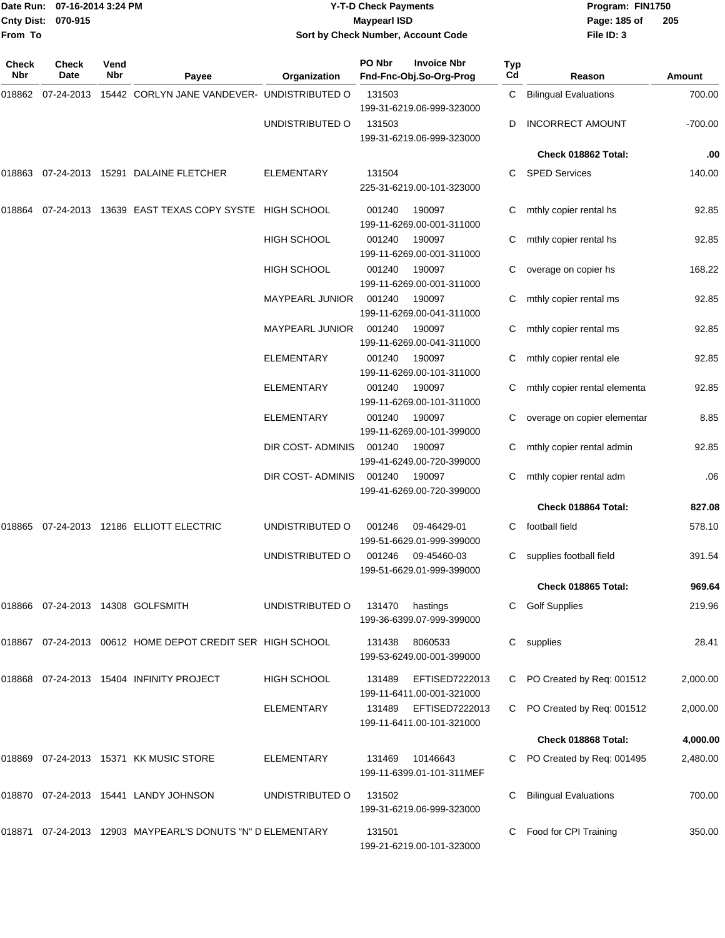|              | Date Run: 07-16-2014 3:24 PM<br>Cnty Dist: 070-915<br>From To |                   |                                                            | <b>Y-T-D Check Payments</b><br><b>Maypearl ISD</b><br>Sort by Check Number, Account Code |                                     |                                                        |                           | Program: FIN1750<br>Page: 185 of<br>File ID: 3 | 205       |
|--------------|---------------------------------------------------------------|-------------------|------------------------------------------------------------|------------------------------------------------------------------------------------------|-------------------------------------|--------------------------------------------------------|---------------------------|------------------------------------------------|-----------|
| Check<br>Nbr | <b>Check</b><br>Date                                          | Vend<br>Nbr       | Payee                                                      | Organization                                                                             | PO Nbr                              | <b>Invoice Nbr</b><br>Fnd-Fnc-Obj.So-Org-Prog          | Typ<br>Cd                 | Reason                                         | Amount    |
| 018862       |                                                               |                   | 07-24-2013 15442 CORLYN JANE VANDEVER- UNDISTRIBUTED O     |                                                                                          | 131503                              |                                                        | C                         | <b>Bilingual Evaluations</b>                   | 700.00    |
|              |                                                               |                   |                                                            | UNDISTRIBUTED O                                                                          | 131503                              | 199-31-6219.06-999-323000<br>199-31-6219.06-999-323000 | D                         | <b>INCORRECT AMOUNT</b>                        | $-700.00$ |
|              |                                                               |                   |                                                            |                                                                                          |                                     |                                                        |                           | Check 018862 Total:                            | .00       |
| 018863       |                                                               |                   | 07-24-2013 15291 DALAINE FLETCHER                          | <b>ELEMENTARY</b>                                                                        | 131504                              | 225-31-6219.00-101-323000                              | C.                        | <b>SPED Services</b>                           | 140.00    |
| 018864       |                                                               |                   | 07-24-2013 13639 EAST TEXAS COPY SYSTE HIGH SCHOOL         |                                                                                          | 001240                              | 190097<br>199-11-6269.00-001-311000                    |                           | mthly copier rental hs                         | 92.85     |
|              |                                                               |                   |                                                            | <b>HIGH SCHOOL</b>                                                                       | 001240                              | 190097<br>199-11-6269.00-001-311000                    | C                         | mthly copier rental hs                         | 92.85     |
|              |                                                               |                   |                                                            | <b>HIGH SCHOOL</b>                                                                       | 001240                              | 190097<br>199-11-6269.00-001-311000                    | C                         | overage on copier hs                           | 168.22    |
|              |                                                               |                   |                                                            | <b>MAYPEARL JUNIOR</b>                                                                   | 001240                              | 190097<br>199-11-6269.00-041-311000                    |                           | mthly copier rental ms                         | 92.85     |
|              |                                                               |                   |                                                            | <b>MAYPEARL JUNIOR</b>                                                                   | 001240                              | 190097<br>199-11-6269.00-041-311000                    | C                         | mthly copier rental ms                         | 92.85     |
|              |                                                               |                   |                                                            | <b>ELEMENTARY</b>                                                                        | 001240                              | 190097<br>199-11-6269.00-101-311000                    |                           | mthly copier rental ele                        | 92.85     |
|              |                                                               |                   |                                                            | <b>ELEMENTARY</b>                                                                        | 001240                              | 190097<br>199-11-6269.00-101-311000                    |                           | mthly copier rental elementa                   | 92.85     |
|              |                                                               | <b>ELEMENTARY</b> | 001240                                                     | 190097<br>199-11-6269.00-101-399000                                                      | C                                   | overage on copier elementar                            | 8.85                      |                                                |           |
|              |                                                               |                   | DIR COST-ADMINIS                                           | 001240                                                                                   | 190097<br>199-41-6249.00-720-399000 | C                                                      | mthly copier rental admin | 92.85                                          |           |
|              |                                                               |                   |                                                            | DIR COST- ADMINIS                                                                        | 001240                              | 190097<br>199-41-6269.00-720-399000                    |                           | mthly copier rental adm                        | .06       |
|              |                                                               |                   |                                                            |                                                                                          |                                     |                                                        |                           | Check 018864 Total:                            | 827.08    |
| 018865       |                                                               |                   | 07-24-2013  12186  ELLIOTT ELECTRIC                        | UNDISTRIBUTED O                                                                          | 001246                              | 09-46429-01<br>199-51-6629.01-999-399000               | C.                        | football field                                 | 578.10    |
|              |                                                               |                   |                                                            | UNDISTRIBUTED O                                                                          | 001246                              | 09-45460-03<br>199-51-6629.01-999-399000               |                           | C supplies football field                      | 391.54    |
|              |                                                               |                   |                                                            |                                                                                          |                                     |                                                        |                           | Check 018865 Total:                            | 969.64    |
|              |                                                               |                   | 018866 07-24-2013 14308 GOLFSMITH                          | UNDISTRIBUTED O                                                                          | 131470                              | hastings<br>199-36-6399.07-999-399000                  | C                         | <b>Golf Supplies</b>                           | 219.96    |
|              |                                                               |                   | 018867 07-24-2013 00612 HOME DEPOT CREDIT SER HIGH SCHOOL  |                                                                                          | 131438                              | 8060533<br>199-53-6249.00-001-399000                   |                           | C supplies                                     | 28.41     |
|              |                                                               |                   | 018868 07-24-2013 15404 INFINITY PROJECT                   | <b>HIGH SCHOOL</b>                                                                       | 131489                              | EFTISED7222013<br>199-11-6411.00-001-321000            |                           | C PO Created by Req: 001512                    | 2,000.00  |
|              |                                                               |                   |                                                            | ELEMENTARY                                                                               | 131489                              | EFTISED7222013<br>199-11-6411.00-101-321000            |                           | C PO Created by Req: 001512                    | 2,000.00  |
|              |                                                               |                   |                                                            |                                                                                          |                                     |                                                        |                           | Check 018868 Total:                            | 4,000.00  |
|              |                                                               |                   | 018869 07-24-2013 15371 KK MUSIC STORE                     | <b>ELEMENTARY</b>                                                                        | 131469                              | 10146643<br>199-11-6399.01-101-311MEF                  |                           | PO Created by Req: 001495                      | 2,480.00  |
|              |                                                               |                   | 018870 07-24-2013 15441 LANDY JOHNSON                      | UNDISTRIBUTED O                                                                          | 131502                              | 199-31-6219.06-999-323000                              |                           | <b>Bilingual Evaluations</b>                   | 700.00    |
|              |                                                               |                   | 018871 07-24-2013 12903 MAYPEARL'S DONUTS "N" D ELEMENTARY |                                                                                          | 131501                              | 199-21-6219.00-101-323000                              |                           | Food for CPI Training                          | 350.00    |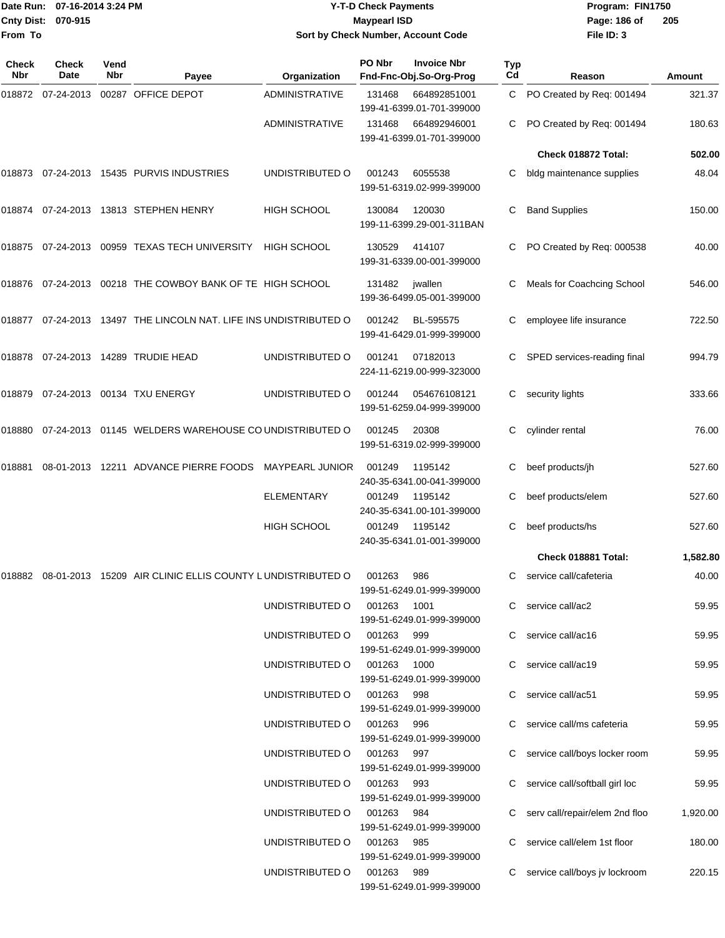|                    | Date Run: 07-16-2014 3:24 PM |
|--------------------|------------------------------|
| Cnty Dist: 070-915 |                              |
| From To            |                              |

## **Date Run: Program: FIN1750 07-16-2014 3:24 PM Y-T-D Check Payments Cnty Dist: Page: 186 of 070-915 Maypearl ISD Sort by Check Number, Account Code**

| Check<br>Nbr | Check<br>Date | Vend<br><b>Nbr</b> | Payee                                                                | Organization           | PO Nbr     | <b>Invoice Nbr</b><br>Fnd-Fnc-Obj.So-Org-Prog | Typ<br>Cd | Reason                         | Amount   |
|--------------|---------------|--------------------|----------------------------------------------------------------------|------------------------|------------|-----------------------------------------------|-----------|--------------------------------|----------|
| 018872       | 07-24-2013    |                    | 00287 OFFICE DEPOT                                                   | <b>ADMINISTRATIVE</b>  | 131468     | 664892851001<br>199-41-6399.01-701-399000     | C         | PO Created by Req: 001494      | 321.37   |
|              |               |                    |                                                                      | <b>ADMINISTRATIVE</b>  | 131468     | 664892946001<br>199-41-6399.01-701-399000     | C         | PO Created by Req: 001494      | 180.63   |
|              |               |                    |                                                                      |                        |            |                                               |           | Check 018872 Total:            | 502.00   |
| 018873       |               |                    | 07-24-2013 15435 PURVIS INDUSTRIES                                   | UNDISTRIBUTED O        | 001243     | 6055538<br>199-51-6319.02-999-399000          | C         | bldg maintenance supplies      | 48.04    |
|              |               |                    | 018874 07-24-2013 13813 STEPHEN HENRY                                | <b>HIGH SCHOOL</b>     | 130084     | 120030<br>199-11-6399.29-001-311BAN           | С         | <b>Band Supplies</b>           | 150.00   |
|              |               |                    | 018875 07-24-2013 00959 TEXAS TECH UNIVERSITY                        | <b>HIGH SCHOOL</b>     | 130529     | 414107<br>199-31-6339.00-001-399000           | С         | PO Created by Req: 000538      | 40.00    |
|              |               |                    | 018876 07-24-2013 00218 THE COWBOY BANK OF TE HIGH SCHOOL            |                        | 131482     | jwallen<br>199-36-6499.05-001-399000          | С         | Meals for Coachcing School     | 546.00   |
|              |               |                    | 018877  07-24-2013  13497  THE LINCOLN NAT. LIFE INS UNDISTRIBUTED O |                        | 001242     | BL-595575<br>199-41-6429.01-999-399000        | С         | employee life insurance        | 722.50   |
|              |               |                    | 018878 07-24-2013 14289 TRUDIE HEAD                                  | UNDISTRIBUTED O        | 001241     | 07182013<br>224-11-6219.00-999-323000         | C         | SPED services-reading final    | 994.79   |
| 018879       |               |                    | 07-24-2013  00134  TXU ENERGY                                        | UNDISTRIBUTED O        | 001244     | 054676108121<br>199-51-6259.04-999-399000     | С         | security lights                | 333.66   |
| 018880       |               |                    | 07-24-2013 01145 WELDERS WAREHOUSE CO UNDISTRIBUTED O                |                        | 001245     | 20308<br>199-51-6319.02-999-399000            | С         | cylinder rental                | 76.00    |
| 018881       |               |                    | 08-01-2013 12211 ADVANCE PIERRE FOODS                                | <b>MAYPEARL JUNIOR</b> | 001249     | 1195142<br>240-35-6341.00-041-399000          | С         | beef products/jh               | 527.60   |
|              |               |                    |                                                                      | <b>ELEMENTARY</b>      | 001249     | 1195142<br>240-35-6341.00-101-399000          | С         | beef products/elem             | 527.60   |
|              |               |                    |                                                                      | <b>HIGH SCHOOL</b>     | 001249     | 1195142<br>240-35-6341.01-001-399000          | С         | beef products/hs               | 527.60   |
|              |               |                    |                                                                      |                        |            |                                               |           | Check 018881 Total:            | 1,582.80 |
|              |               |                    | 018882 08-01-2013 15209 AIR CLINIC ELLIS COUNTY LUNDISTRIBUTED O     |                        | 001263     | 986<br>199-51-6249.01-999-399000              | C         | service call/cafeteria         | 40.00    |
|              |               |                    |                                                                      | UNDISTRIBUTED O        | 001263     | 1001<br>199-51-6249.01-999-399000             | C         | service call/ac2               | 59.95    |
|              |               |                    |                                                                      | UNDISTRIBUTED O        | 001263     | 999<br>199-51-6249.01-999-399000              | C         | service call/ac16              | 59.95    |
|              |               |                    |                                                                      | UNDISTRIBUTED O        | 001263     | 1000<br>199-51-6249.01-999-399000             | C         | service call/ac19              | 59.95    |
|              |               |                    |                                                                      | UNDISTRIBUTED O        | 001263     | 998<br>199-51-6249.01-999-399000              | С         | service call/ac51              | 59.95    |
|              |               |                    |                                                                      | UNDISTRIBUTED O        | 001263     | 996<br>199-51-6249.01-999-399000              |           | service call/ms cafeteria      | 59.95    |
|              |               |                    |                                                                      | UNDISTRIBUTED O        | 001263     | 997<br>199-51-6249.01-999-399000              |           | service call/boys locker room  | 59.95    |
|              |               |                    |                                                                      | UNDISTRIBUTED O        | 001263     | 993<br>199-51-6249.01-999-399000              |           | service call/softball girl loc | 59.95    |
|              |               |                    |                                                                      | UNDISTRIBUTED O        | 001263 984 | 199-51-6249.01-999-399000                     |           | serv call/repair/elem 2nd floo | 1,920.00 |
|              |               |                    |                                                                      | UNDISTRIBUTED O        | 001263     | 985<br>199-51-6249.01-999-399000              |           | service call/elem 1st floor    | 180.00   |
|              |               |                    |                                                                      | UNDISTRIBUTED O        | 001263     | 989<br>199-51-6249.01-999-399000              | С         | service call/boys jv lockroom  | 220.15   |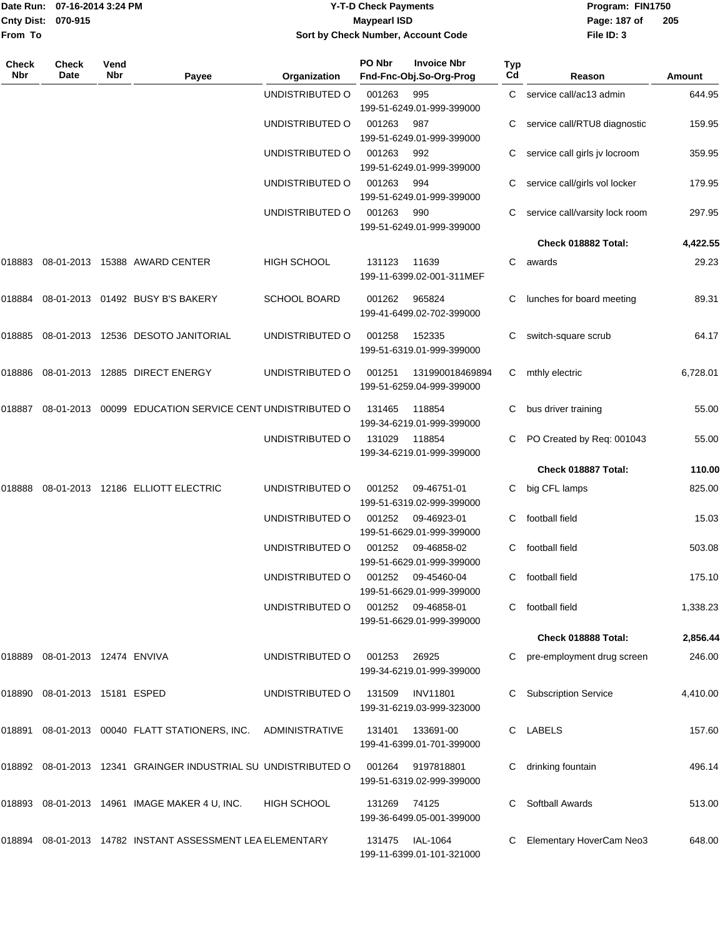|                    | Date Run: 07-16-2014 3:24 PM |
|--------------------|------------------------------|
| Cnty Dist: 070-915 |                              |
| <b>From To</b>     |                              |

### **Date Run: Program: FIN1750 07-16-2014 3:24 PM Y-T-D Check Payments Cnty Dist: Page: 187 of 070-915 Maypearl ISD Sort by Check Number, Account Code**

| <b>Check</b><br>Nbr | Check<br>Date           | Vend<br>Nbr | Payee                                                          | Organization          | PO Nbr | <b>Invoice Nbr</b><br>Fnd-Fnc-Obj.So-Org-Prog | <b>Typ</b><br>Cd | Reason                         | Amount   |
|---------------------|-------------------------|-------------|----------------------------------------------------------------|-----------------------|--------|-----------------------------------------------|------------------|--------------------------------|----------|
|                     |                         |             |                                                                | UNDISTRIBUTED O       | 001263 | 995<br>199-51-6249.01-999-399000              | C                | service call/ac13 admin        | 644.95   |
|                     |                         |             |                                                                | UNDISTRIBUTED O       | 001263 | 987<br>199-51-6249.01-999-399000              |                  | service call/RTU8 diagnostic   | 159.95   |
|                     |                         |             |                                                                | UNDISTRIBUTED O       | 001263 | 992<br>199-51-6249.01-999-399000              |                  | service call girls jv locroom  | 359.95   |
|                     |                         |             |                                                                | UNDISTRIBUTED O       | 001263 | 994<br>199-51-6249.01-999-399000              | С                | service call/girls vol locker  | 179.95   |
|                     |                         |             |                                                                | UNDISTRIBUTED O       | 001263 | 990<br>199-51-6249.01-999-399000              |                  | service call/varsity lock room | 297.95   |
|                     |                         |             |                                                                |                       |        |                                               |                  | Check 018882 Total:            | 4,422.55 |
| 018883              |                         |             | 08-01-2013 15388 AWARD CENTER                                  | <b>HIGH SCHOOL</b>    | 131123 | 11639<br>199-11-6399.02-001-311MEF            | С                | awards                         | 29.23    |
| 018884              |                         |             | 08-01-2013  01492  BUSY B'S BAKERY                             | <b>SCHOOL BOARD</b>   | 001262 | 965824<br>199-41-6499.02-702-399000           | С                | lunches for board meeting      | 89.31    |
| 018885              |                         |             | 08-01-2013  12536  DESOTO JANITORIAL                           | UNDISTRIBUTED O       | 001258 | 152335<br>199-51-6319.01-999-399000           | С                | switch-square scrub            | 64.17    |
| 018886              |                         |             | 08-01-2013 12885 DIRECT ENERGY                                 | UNDISTRIBUTED O       | 001251 | 131990018469894<br>199-51-6259.04-999-399000  | C                | mthly electric                 | 6,728.01 |
| 018887              |                         |             | 08-01-2013 00099 EDUCATION SERVICE CENT UNDISTRIBUTED O        |                       | 131465 | 118854<br>199-34-6219.01-999-399000           | С                | bus driver training            | 55.00    |
|                     |                         |             |                                                                | UNDISTRIBUTED O       | 131029 | 118854<br>199-34-6219.01-999-399000           |                  | PO Created by Req: 001043      | 55.00    |
|                     |                         |             |                                                                |                       |        |                                               |                  | Check 018887 Total:            | 110.00   |
| 018888              |                         |             | 08-01-2013 12186 ELLIOTT ELECTRIC                              | UNDISTRIBUTED O       | 001252 | 09-46751-01<br>199-51-6319.02-999-399000      | C                | big CFL lamps                  | 825.00   |
|                     |                         |             |                                                                | UNDISTRIBUTED O       | 001252 | 09-46923-01<br>199-51-6629.01-999-399000      | C                | football field                 | 15.03    |
|                     |                         |             |                                                                | UNDISTRIBUTED O       | 001252 | 09-46858-02<br>199-51-6629.01-999-399000      | C                | football field                 | 503.08   |
|                     |                         |             |                                                                | UNDISTRIBUTED O       | 001252 | 09-45460-04<br>199-51-6629.01-999-399000      | C                | football field                 | 175.10   |
|                     |                         |             |                                                                | UNDISTRIBUTED O       | 001252 | 09-46858-01<br>199-51-6629.01-999-399000      |                  | football field                 | 1,338.23 |
|                     |                         |             |                                                                |                       |        |                                               |                  | Check 018888 Total:            | 2,856.44 |
| 018889              | 08-01-2013 12474 ENVIVA |             |                                                                | UNDISTRIBUTED O       | 001253 | 26925<br>199-34-6219.01-999-399000            |                  | pre-employment drug screen     | 246.00   |
| 018890              | 08-01-2013 15181 ESPED  |             |                                                                | UNDISTRIBUTED O       | 131509 | <b>INV11801</b><br>199-31-6219.03-999-323000  |                  | <b>Subscription Service</b>    | 4,410.00 |
| 018891              |                         |             | 08-01-2013  00040  FLATT STATIONERS, INC.                      | <b>ADMINISTRATIVE</b> | 131401 | 133691-00<br>199-41-6399.01-701-399000        | C                | LABELS                         | 157.60   |
|                     |                         |             | 018892 08-01-2013 12341 GRAINGER INDUSTRIAL SU UNDISTRIBUTED O |                       | 001264 | 9197818801<br>199-51-6319.02-999-399000       |                  | drinking fountain              | 496.14   |
| 018893              |                         |             | 08-01-2013  14961  IMAGE MAKER 4 U, INC.                       | <b>HIGH SCHOOL</b>    | 131269 | 74125<br>199-36-6499.05-001-399000            | C                | <b>Softball Awards</b>         | 513.00   |
| 018894              |                         |             | 08-01-2013 14782 INSTANT ASSESSMENT LEA ELEMENTARY             |                       | 131475 | IAL-1064<br>199-11-6399.01-101-321000         |                  | Elementary HoverCam Neo3       | 648.00   |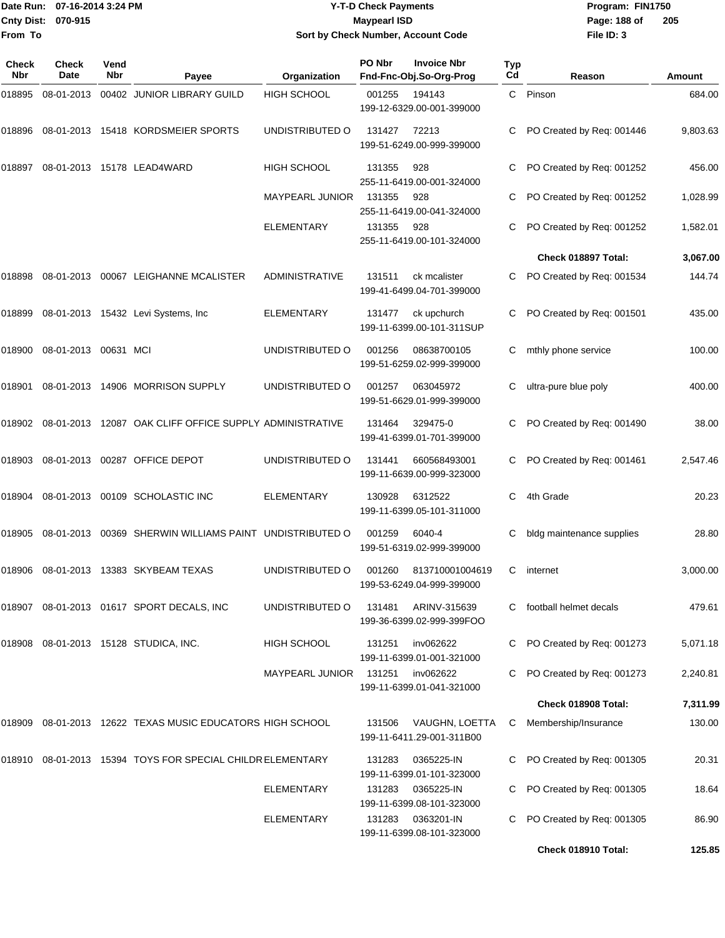|                    | Date Run: 07-16-2014 3:24 PM | <b>Y-T-D Check Payments</b>        | Program: FIN1750 |                |
|--------------------|------------------------------|------------------------------------|------------------|----------------|
| Cnty Dist: 070-915 |                              | <b>Mavpearl ISD</b>                | Page: 188 of     | $\overline{2}$ |
| lFrom To           |                              | Sort by Check Number, Account Code | File ID: 3       |                |

# **Sort by Check Number, Account Code**

| <b>Check</b><br>Nbr | Check<br>Date        | Vend<br>Nbr | Payee                                                   | Organization           | PO Nbr | <b>Invoice Nbr</b><br>Fnd-Fnc-Obj.So-Org-Prog | Typ<br>Cd | Reason                    | Amount   |
|---------------------|----------------------|-------------|---------------------------------------------------------|------------------------|--------|-----------------------------------------------|-----------|---------------------------|----------|
| 018895              | 08-01-2013           |             | 00402 JUNIOR LIBRARY GUILD                              | <b>HIGH SCHOOL</b>     | 001255 | 194143<br>199-12-6329.00-001-399000           | C.        | Pinson                    | 684.00   |
| 018896              |                      |             | 08-01-2013 15418 KORDSMEIER SPORTS                      | UNDISTRIBUTED O        | 131427 | 72213<br>199-51-6249.00-999-399000            | С         | PO Created by Req: 001446 | 9,803.63 |
| 018897              |                      |             | 08-01-2013 15178 LEAD4WARD                              | <b>HIGH SCHOOL</b>     | 131355 | 928<br>255-11-6419.00-001-324000              | С         | PO Created by Req: 001252 | 456.00   |
|                     |                      |             |                                                         | <b>MAYPEARL JUNIOR</b> | 131355 | 928<br>255-11-6419.00-041-324000              | С         | PO Created by Req: 001252 | 1,028.99 |
|                     |                      |             |                                                         | <b>ELEMENTARY</b>      | 131355 | 928<br>255-11-6419.00-101-324000              | C         | PO Created by Req: 001252 | 1,582.01 |
|                     |                      |             |                                                         |                        |        |                                               |           | Check 018897 Total:       | 3,067.00 |
| 018898              |                      |             | 08-01-2013 00067 LEIGHANNE MCALISTER                    | <b>ADMINISTRATIVE</b>  | 131511 | ck mcalister<br>199-41-6499.04-701-399000     | C         | PO Created by Req: 001534 | 144.74   |
| 018899              |                      |             | 08-01-2013 15432 Levi Systems, Inc                      | ELEMENTARY             | 131477 | ck upchurch<br>199-11-6399.00-101-311SUP      |           | PO Created by Req: 001501 | 435.00   |
| 018900              | 08-01-2013 00631 MCI |             |                                                         | UNDISTRIBUTED O        | 001256 | 08638700105<br>199-51-6259.02-999-399000      | С         | mthly phone service       | 100.00   |
| 018901              |                      |             | 08-01-2013  14906  MORRISON SUPPLY                      | UNDISTRIBUTED O        | 001257 | 063045972<br>199-51-6629.01-999-399000        | С         | ultra-pure blue poly      | 400.00   |
| 018902              |                      |             | 08-01-2013 12087 OAK CLIFF OFFICE SUPPLY ADMINISTRATIVE |                        | 131464 | 329475-0<br>199-41-6399.01-701-399000         | С         | PO Created by Req: 001490 | 38.00    |
| 018903              |                      |             | 08-01-2013 00287 OFFICE DEPOT                           | UNDISTRIBUTED O        | 131441 | 660568493001<br>199-11-6639.00-999-323000     | С         | PO Created by Req: 001461 | 2,547.46 |
| 018904              |                      |             | 08-01-2013 00109 SCHOLASTIC INC                         | ELEMENTARY             | 130928 | 6312522<br>199-11-6399.05-101-311000          | C         | 4th Grade                 | 20.23    |
| 018905              |                      |             | 08-01-2013 00369 SHERWIN WILLIAMS PAINT UNDISTRIBUTED O |                        | 001259 | 6040-4<br>199-51-6319.02-999-399000           | С         | bldg maintenance supplies | 28.80    |
| 018906              |                      |             | 08-01-2013 13383 SKYBEAM TEXAS                          | UNDISTRIBUTED O        | 001260 | 813710001004619<br>199-53-6249.04-999-399000  | С         | internet                  | 3,000.00 |
| 018907              |                      |             | 08-01-2013  01617  SPORT DECALS, INC                    | UNDISTRIBUTED O        | 131481 | ARINV-315639<br>199-36-6399.02-999-399FOO     |           | football helmet decals    | 479.61   |
| 018908              |                      |             | 08-01-2013 15128 STUDICA, INC.                          | <b>HIGH SCHOOL</b>     | 131251 | inv062622<br>199-11-6399.01-001-321000        | С         | PO Created by Req: 001273 | 5,071.18 |
|                     |                      |             |                                                         | <b>MAYPEARL JUNIOR</b> | 131251 | inv062622<br>199-11-6399.01-041-321000        | С         | PO Created by Req: 001273 | 2,240.81 |
|                     |                      |             |                                                         |                        |        |                                               |           | Check 018908 Total:       | 7,311.99 |
| 018909              |                      |             | 08-01-2013 12622 TEXAS MUSIC EDUCATORS HIGH SCHOOL      |                        | 131506 | VAUGHN, LOETTA<br>199-11-6411.29-001-311B00   | C         | Membership/Insurance      | 130.00   |
| 018910              |                      |             | 08-01-2013 15394 TOYS FOR SPECIAL CHILDR ELEMENTARY     |                        | 131283 | 0365225-IN<br>199-11-6399.01-101-323000       | С         | PO Created by Req: 001305 | 20.31    |
|                     |                      |             |                                                         | ELEMENTARY             | 131283 | 0365225-IN<br>199-11-6399.08-101-323000       | С         | PO Created by Req: 001305 | 18.64    |
|                     |                      |             |                                                         | ELEMENTARY             | 131283 | 0363201-IN<br>199-11-6399.08-101-323000       | С         | PO Created by Req: 001305 | 86.90    |
|                     |                      |             |                                                         |                        |        |                                               |           | Check 018910 Total:       | 125.85   |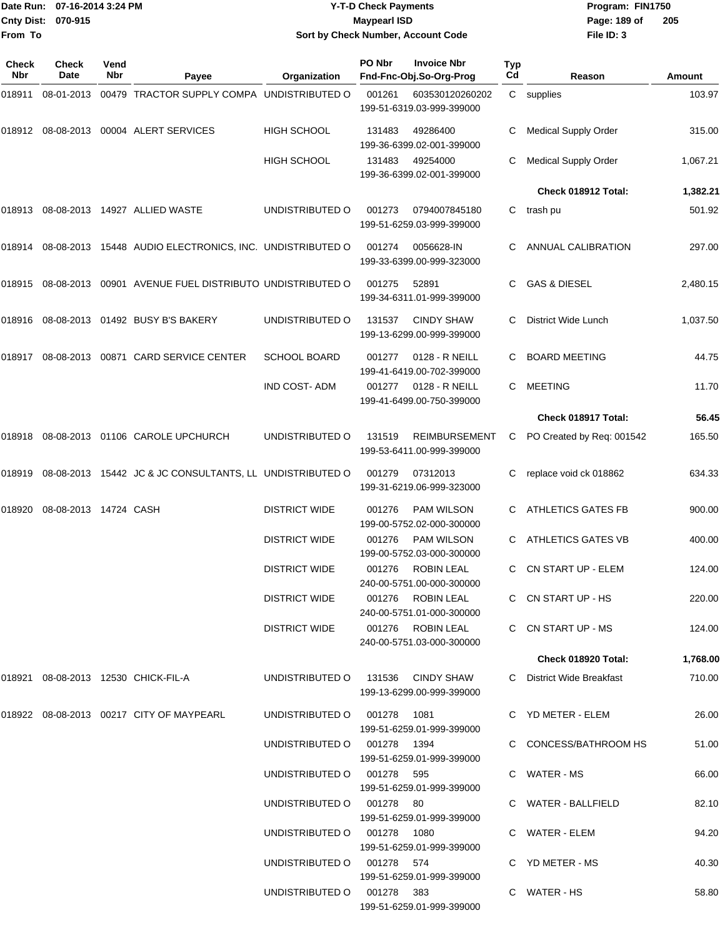| Date Run: 07-16-2014 3:24 PM<br><b>Cnty Dist:</b><br>070-915 |                       |             |                                                                                  | <b>Y-T-D Check Payments</b><br><b>Maypearl ISD</b>      | Program: FIN1750<br>Page: 189 of | 205                                               |                  |                                           |                |
|--------------------------------------------------------------|-----------------------|-------------|----------------------------------------------------------------------------------|---------------------------------------------------------|----------------------------------|---------------------------------------------------|------------------|-------------------------------------------|----------------|
| From To                                                      |                       |             |                                                                                  |                                                         |                                  | Sort by Check Number, Account Code                |                  | File ID: 3                                |                |
| Check<br>Nbr                                                 | <b>Check</b><br>Date  | Vend<br>Nbr | Payee                                                                            | Organization                                            | PO Nbr                           | <b>Invoice Nbr</b><br>Fnd-Fnc-Obj.So-Org-Prog     | <b>Typ</b><br>Cd | Reason                                    | Amount         |
| 018911                                                       | 08-01-2013            |             | 00479 TRACTOR SUPPLY COMPA UNDISTRIBUTED O                                       |                                                         | 001261                           | 603530120260202<br>199-51-6319.03-999-399000      |                  | C supplies                                | 103.97         |
|                                                              |                       |             | 018912    08-08-2013    00004    ALERT SERVICES                                  | <b>HIGH SCHOOL</b>                                      | 131483                           | 49286400<br>199-36-6399.02-001-399000             | С                | <b>Medical Supply Order</b>               | 315.00         |
|                                                              |                       |             |                                                                                  | <b>HIGH SCHOOL</b>                                      | 131483                           | 49254000<br>199-36-6399.02-001-399000             | С                | <b>Medical Supply Order</b>               | 1,067.21       |
|                                                              |                       |             |                                                                                  |                                                         |                                  |                                                   |                  | Check 018912 Total:                       | 1,382.21       |
|                                                              |                       |             |                                                                                  | UNDISTRIBUTED O                                         | 001273                           | 0794007845180<br>199-51-6259.03-999-399000        | C                | trash pu                                  | 501.92         |
|                                                              |                       |             | 018914   08-08-2013   15448   AUDIO ELECTRONICS, INC. UNDISTRIBUTED            O |                                                         | 001274                           | 0056628-IN<br>199-33-6399.00-999-323000           |                  | ANNUAL CALIBRATION                        | 297.00         |
|                                                              |                       |             |                                                                                  |                                                         | 001275                           | 52891<br>199-34-6311.01-999-399000                | C                | <b>GAS &amp; DIESEL</b>                   | 2,480.15       |
|                                                              |                       |             | 018916 08-08-2013 01492  BUSY B'S BAKERY                                         | UNDISTRIBUTED O                                         | 131537                           | <b>CINDY SHAW</b><br>199-13-6299.00-999-399000    | C                | District Wide Lunch                       | 1,037.50       |
|                                                              |                       |             | 018917 08-08-2013 00871  CARD SERVICE CENTER                                     | <b>SCHOOL BOARD</b>                                     | 001277                           | 0128 - R NEILL<br>199-41-6419.00-702-399000       | C                | <b>BOARD MEETING</b>                      | 44.75          |
|                                                              |                       |             |                                                                                  | <b>IND COST-ADM</b>                                     | 001277                           | 0128 - R NEILL<br>199-41-6499.00-750-399000       | С                | <b>MEETING</b>                            | 11.70          |
|                                                              |                       |             |                                                                                  |                                                         |                                  |                                                   |                  | Check 018917 Total:                       | 56.45          |
|                                                              |                       |             |                                                                                  | UNDISTRIBUTED O                                         | 131519                           | <b>REIMBURSEMENT</b><br>199-53-6411.00-999-399000 | C                | PO Created by Req: 001542                 | 165.50         |
|                                                              |                       |             | 018919  08-08-2013  15442  JC & JC CONSULTANTS, LL UNDISTRIBUTED O               |                                                         | 001279                           | 07312013<br>199-31-6219.06-999-323000             | C                | replace void ck 018862                    | 634.33         |
| 018920                                                       | 08-08-2013 14724 CASH |             |                                                                                  | <b>DISTRICT WIDE</b>                                    | 001276                           | <b>PAM WILSON</b><br>199-00-5752.02-000-300000    | C.               | <b>ATHLETICS GATES FB</b>                 | 900.00         |
|                                                              |                       |             |                                                                                  | <b>DISTRICT WIDE</b>                                    |                                  | 001276 PAM WILSON<br>199-00-5752.03-000-300000    |                  | C ATHLETICS GATES VB                      | 400.00         |
|                                                              |                       |             |                                                                                  | <b>DISTRICT WIDE</b>                                    |                                  | 001276 ROBIN LEAL<br>240-00-5751.00-000-300000    |                  | C CN START UP - ELEM                      | 124.00         |
|                                                              |                       |             |                                                                                  | <b>DISTRICT WIDE</b>                                    |                                  | 001276 ROBIN LEAL<br>240-00-5751.01-000-300000    |                  | C CN START UP - HS                        | 220.00         |
|                                                              |                       |             |                                                                                  | <b>DISTRICT WIDE</b>                                    |                                  | 001276 ROBIN LEAL<br>240-00-5751.03-000-300000    |                  | C CN START UP - MS<br>Check 018920 Total: | 124.00         |
|                                                              |                       |             |                                                                                  |                                                         |                                  |                                                   |                  |                                           | 1,768.00       |
|                                                              |                       |             |                                                                                  | UNDISTRIBUTED O 131536 CINDY SHAW                       |                                  | 199-13-6299.00-999-399000                         |                  | C District Wide Breakfast                 | 710.00         |
|                                                              |                       |             |                                                                                  | UNDISTRIBUTED O                                         | 001278  1081                     | 199-51-6259.01-999-399000                         |                  | C YD METER - ELEM                         | 26.00          |
|                                                              |                       |             |                                                                                  | UNDISTRIBUTED O                                         | 001278 1394                      | 199-51-6259.01-999-399000                         |                  | C CONCESS/BATHROOM HS                     | 51.00          |
|                                                              |                       |             |                                                                                  | UNDISTRIBUTED O 001278 595<br>UNDISTRIBUTED O 001278 80 |                                  | 199-51-6259.01-999-399000                         |                  | C WATER-MS<br>C WATER - BALLFIELD         | 66.00<br>82.10 |
|                                                              |                       |             |                                                                                  | UNDISTRIBUTED O 001278 1080                             |                                  | 199-51-6259.01-999-399000                         |                  | C WATER - ELEM                            | 94.20          |
|                                                              |                       |             |                                                                                  | UNDISTRIBUTED O 001278 574                              |                                  | 199-51-6259.01-999-399000                         |                  | C YD METER - MS                           | 40.30          |
|                                                              |                       |             |                                                                                  | UNDISTRIBUTED O 001278 383                              |                                  | 199-51-6259.01-999-399000                         |                  | C WATER-HS                                | 58.80          |

199-51-6259.01-999-399000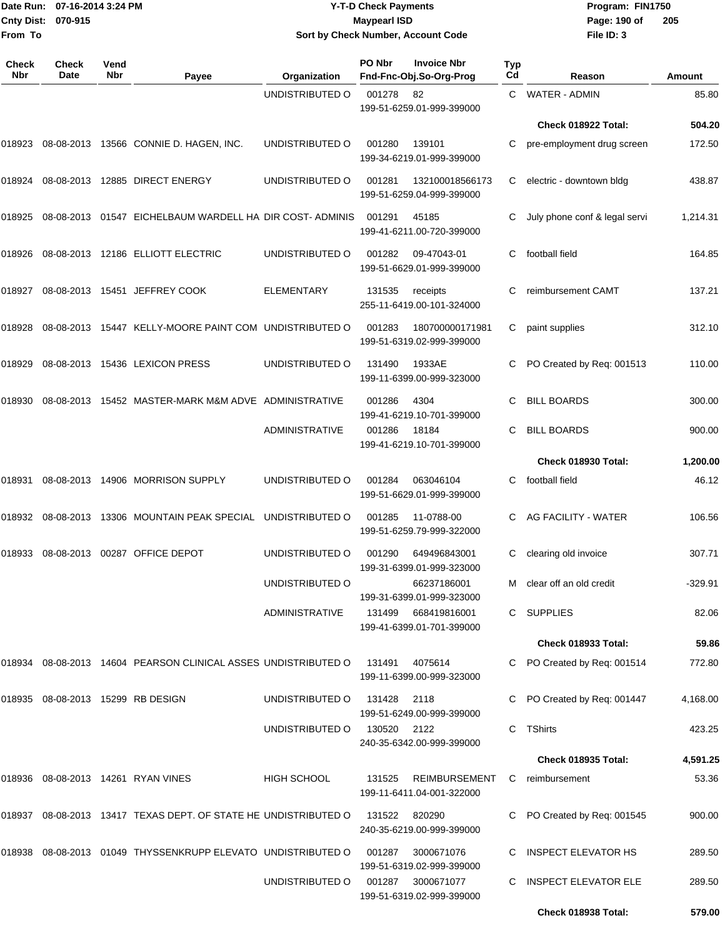**From To**

#### Date Run: 07-16-2014 3:24 PM **Program:** FIN1750 **Cnty Dist:** 070-915 **Page:** 190 of **Y-T-D Check Payments 070-915 Maypearl ISD Sort by Check Number, Account Code**

| Check<br><b>Nbr</b> | Check<br>Date | Vend<br>Nbr | Payee                                                           | Organization          | PO Nbr      | <b>Invoice Nbr</b><br>Fnd-Fnc-Obj.So-Org-Prog     | Typ<br>Cd | Reason                        | Amount   |
|---------------------|---------------|-------------|-----------------------------------------------------------------|-----------------------|-------------|---------------------------------------------------|-----------|-------------------------------|----------|
|                     |               |             |                                                                 | UNDISTRIBUTED O       | 001278      | 82<br>199-51-6259.01-999-399000                   |           | C WATER - ADMIN               | 85.80    |
|                     |               |             |                                                                 |                       |             |                                                   |           | Check 018922 Total:           | 504.20   |
| 018923              |               |             | 08-08-2013 13566 CONNIE D. HAGEN, INC.                          | UNDISTRIBUTED O       | 001280      | 139101<br>199-34-6219.01-999-399000               | С         | pre-employment drug screen    | 172.50   |
| 018924              |               |             | 08-08-2013 12885 DIRECT ENERGY                                  | UNDISTRIBUTED O       | 001281      | 132100018566173<br>199-51-6259.04-999-399000      | С         | electric - downtown bldg      | 438.87   |
| 018925              |               |             | 08-08-2013 01547 EICHELBAUM WARDELL HA DIR COST-ADMINIS         |                       | 001291      | 45185<br>199-41-6211.00-720-399000                |           | July phone conf & legal servi | 1,214.31 |
| 018926              |               |             | 08-08-2013  12186  ELLIOTT ELECTRIC                             | UNDISTRIBUTED O       | 001282      | 09-47043-01<br>199-51-6629.01-999-399000          | С         | football field                | 164.85   |
| 018927              |               |             | 08-08-2013 15451 JEFFREY COOK                                   | <b>ELEMENTARY</b>     | 131535      | receipts<br>255-11-6419.00-101-324000             | С         | reimbursement CAMT            | 137.21   |
| 018928              |               |             | 08-08-2013 15447 KELLY-MOORE PAINT COM UNDISTRIBUTED O          |                       | 001283      | 180700000171981<br>199-51-6319.02-999-399000      | С         | paint supplies                | 312.10   |
| 018929              |               |             | 08-08-2013 15436 LEXICON PRESS                                  | UNDISTRIBUTED O       | 131490      | 1933AE<br>199-11-6399.00-999-323000               |           | PO Created by Req: 001513     | 110.00   |
| 018930              |               |             | 08-08-2013 15452 MASTER-MARK M&M ADVE ADMINISTRATIVE            |                       | 001286      | 4304<br>199-41-6219.10-701-399000                 | C.        | <b>BILL BOARDS</b>            | 300.00   |
|                     |               |             |                                                                 | ADMINISTRATIVE        | 001286      | 18184<br>199-41-6219.10-701-399000                | С         | <b>BILL BOARDS</b>            | 900.00   |
|                     |               |             |                                                                 |                       |             |                                                   |           | Check 018930 Total:           | 1,200.00 |
| 018931              |               |             | 08-08-2013 14906 MORRISON SUPPLY                                | UNDISTRIBUTED O       | 001284      | 063046104<br>199-51-6629.01-999-399000            | С         | football field                | 46.12    |
| 018932              |               |             | 08-08-2013 13306 MOUNTAIN PEAK SPECIAL UNDISTRIBUTED O          |                       | 001285      | 11-0788-00<br>199-51-6259.79-999-322000           |           | AG FACILITY - WATER           | 106.56   |
| 018933              | 08-08-2013    |             | 00287 OFFICE DEPOT                                              | UNDISTRIBUTED O       | 001290      | 649496843001<br>199-31-6399.01-999-323000         | С         | clearing old invoice          | 307.71   |
|                     |               |             |                                                                 | UNDISTRIBUTED O       |             | 66237186001<br>199-31-6399.01-999-323000          |           | M clear off an old credit     | 329.91   |
|                     |               |             |                                                                 | <b>ADMINISTRATIVE</b> |             | 131499 668419816001<br>199-41-6399.01-701-399000  |           | C SUPPLIES                    | 82.06    |
|                     |               |             |                                                                 |                       |             |                                                   |           | Check 018933 Total:           | 59.86    |
|                     |               |             | 018934 08-08-2013 14604 PEARSON CLINICAL ASSES UNDISTRIBUTED O  |                       | 131491      | 4075614<br>199-11-6399.00-999-323000              |           | C PO Created by Req: 001514   | 772.80   |
|                     |               |             | 018935 08-08-2013 15299 RB DESIGN                               | UNDISTRIBUTED O       | 131428      | 2118<br>199-51-6249.00-999-399000                 |           | C PO Created by Req: 001447   | 4,168.00 |
|                     |               |             |                                                                 | UNDISTRIBUTED O       | 130520 2122 | 240-35-6342.00-999-399000                         |           | C TShirts                     | 423.25   |
|                     |               |             |                                                                 |                       |             |                                                   |           | Check 018935 Total:           | 4,591.25 |
|                     |               |             | 018936 08-08-2013 14261 RYAN VINES                              | <b>HIGH SCHOOL</b>    | 131525      | <b>REIMBURSEMENT</b><br>199-11-6411.04-001-322000 | C         | reimbursement                 | 53.36    |
|                     |               |             | 018937 08-08-2013 13417 TEXAS DEPT. OF STATE HE UNDISTRIBUTED O |                       | 131522      | 820290<br>240-35-6219.00-999-399000               |           | C PO Created by Req: 001545   | 900.00   |
|                     |               |             | 018938  08-08-2013  01049 THYSSENKRUPP ELEVATO UNDISTRIBUTED O  |                       | 001287      | 3000671076<br>199-51-6319.02-999-399000           |           | <b>INSPECT ELEVATOR HS</b>    | 289.50   |
|                     |               |             |                                                                 | UNDISTRIBUTED O       |             | 001287 3000671077<br>199-51-6319.02-999-399000    | C         | <b>INSPECT ELEVATOR ELE</b>   | 289.50   |
|                     |               |             |                                                                 |                       |             |                                                   |           | Check 018938 Total:           | 579.00   |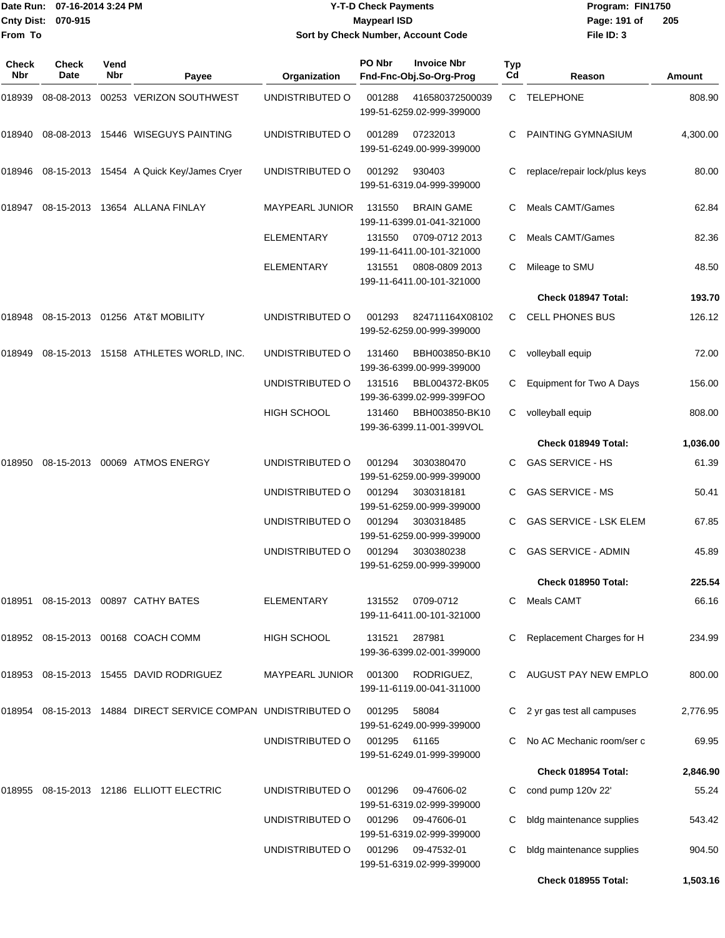|                    | Date Run: 07-16-2014 3:24 PM |
|--------------------|------------------------------|
| Cnty Dist: 070-915 |                              |
| From To            |                              |

### **Date Run: Program: FIN1750 07-16-2014 3:24 PM Y-T-D Check Payments Cnty Dist: Page: 191 of 070-915 Maypearl ISD Sort by Check Number, Account Code**

| <b>Check</b><br><b>Nbr</b> | <b>Check</b><br>Date | Vend<br>Nbr | Payee                                                         | Organization           | PO Nbr | <b>Invoice Nbr</b><br>Fnd-Fnc-Obj.So-Org-Prog  | <b>Typ</b><br>Cd | Reason                        | Amount   |
|----------------------------|----------------------|-------------|---------------------------------------------------------------|------------------------|--------|------------------------------------------------|------------------|-------------------------------|----------|
| 018939                     | 08-08-2013           |             | 00253 VERIZON SOUTHWEST                                       | UNDISTRIBUTED O        | 001288 | 416580372500039<br>199-51-6259.02-999-399000   | C                | <b>TELEPHONE</b>              | 808.90   |
| 018940                     |                      |             | 08-08-2013 15446 WISEGUYS PAINTING                            | UNDISTRIBUTED O        | 001289 | 07232013<br>199-51-6249.00-999-399000          | C                | PAINTING GYMNASIUM            | 4,300.00 |
| 018946                     |                      |             | 08-15-2013 15454 A Quick Key/James Cryer                      | UNDISTRIBUTED O        | 001292 | 930403<br>199-51-6319.04-999-399000            | C                | replace/repair lock/plus keys | 80.00    |
| 018947                     |                      |             | 08-15-2013 13654 ALLANA FINLAY                                | <b>MAYPEARL JUNIOR</b> | 131550 | <b>BRAIN GAME</b><br>199-11-6399.01-041-321000 | C                | Meals CAMT/Games              | 62.84    |
|                            |                      |             |                                                               | ELEMENTARY             | 131550 | 0709-0712 2013<br>199-11-6411.00-101-321000    | C.               | Meals CAMT/Games              | 82.36    |
|                            |                      |             |                                                               | <b>ELEMENTARY</b>      | 131551 | 0808-0809 2013<br>199-11-6411.00-101-321000    | C.               | Mileage to SMU                | 48.50    |
|                            |                      |             |                                                               |                        |        |                                                |                  | Check 018947 Total:           | 193.70   |
| 018948                     |                      |             | 08-15-2013 01256 AT&T MOBILITY                                | UNDISTRIBUTED O        | 001293 | 824711164X08102<br>199-52-6259.00-999-399000   | C.               | <b>CELL PHONES BUS</b>        | 126.12   |
| 018949                     |                      |             | 08-15-2013 15158 ATHLETES WORLD, INC.                         | UNDISTRIBUTED O        | 131460 | BBH003850-BK10<br>199-36-6399.00-999-399000    | C                | volleyball equip              | 72.00    |
|                            |                      |             |                                                               | UNDISTRIBUTED O        | 131516 | BBL004372-BK05<br>199-36-6399.02-999-399FOO    | C                | Equipment for Two A Days      | 156.00   |
|                            |                      |             |                                                               | <b>HIGH SCHOOL</b>     | 131460 | BBH003850-BK10<br>199-36-6399.11-001-399VOL    | C                | volleyball equip              | 808.00   |
|                            |                      |             |                                                               |                        |        |                                                |                  | Check 018949 Total:           | 1,036.00 |
| 018950                     |                      |             | 08-15-2013 00069 ATMOS ENERGY                                 | UNDISTRIBUTED O        | 001294 | 3030380470<br>199-51-6259.00-999-399000        | C.               | <b>GAS SERVICE - HS</b>       | 61.39    |
|                            |                      |             |                                                               | UNDISTRIBUTED O        | 001294 | 3030318181<br>199-51-6259.00-999-399000        | C.               | <b>GAS SERVICE - MS</b>       | 50.41    |
|                            |                      |             |                                                               | UNDISTRIBUTED O        | 001294 | 3030318485<br>199-51-6259.00-999-399000        |                  | <b>GAS SERVICE - LSK ELEM</b> | 67.85    |
|                            |                      |             |                                                               | UNDISTRIBUTED O        | 001294 | 3030380238<br>199-51-6259.00-999-399000        | C                | <b>GAS SERVICE - ADMIN</b>    | 45.89    |
|                            |                      |             |                                                               |                        |        |                                                |                  | Check 018950 Total:           | 225.54   |
| 018951                     |                      |             | 08-15-2013 00897 CATHY BATES                                  | <b>ELEMENTARY</b>      | 131552 | 0709-0712<br>199-11-6411.00-101-321000         | C.               | Meals CAMT                    | 66.16    |
|                            |                      |             | 018952 08-15-2013 00168 COACH COMM                            | <b>HIGH SCHOOL</b>     | 131521 | 287981<br>199-36-6399.02-001-399000            |                  | Replacement Charges for H     | 234.99   |
|                            |                      |             | 018953 08-15-2013 15455 DAVID RODRIGUEZ                       | MAYPEARL JUNIOR        | 001300 | RODRIGUEZ,<br>199-11-6119.00-041-311000        |                  | AUGUST PAY NEW EMPLO          | 800.00   |
|                            |                      |             | 018954 08-15-2013 14884 DIRECT SERVICE COMPAN UNDISTRIBUTED O |                        | 001295 | 58084<br>199-51-6249.00-999-399000             |                  | 2 yr gas test all campuses    | 2,776.95 |
|                            |                      |             |                                                               | UNDISTRIBUTED O        | 001295 | 61165<br>199-51-6249.01-999-399000             |                  | No AC Mechanic room/ser c     | 69.95    |
|                            |                      |             |                                                               |                        |        |                                                |                  | Check 018954 Total:           | 2,846.90 |
| 018955                     |                      |             | 08-15-2013  12186  ELLIOTT ELECTRIC                           | UNDISTRIBUTED O        | 001296 | 09-47606-02<br>199-51-6319.02-999-399000       | C.               | cond pump 120v 22'            | 55.24    |
|                            |                      |             |                                                               | UNDISTRIBUTED O        | 001296 | 09-47606-01<br>199-51-6319.02-999-399000       | C.               | bldg maintenance supplies     | 543.42   |
|                            |                      |             |                                                               | UNDISTRIBUTED O        | 001296 | 09-47532-01<br>199-51-6319.02-999-399000       | C.               | bldg maintenance supplies     | 904.50   |
|                            |                      |             |                                                               |                        |        |                                                |                  | Check 018955 Total:           | 1,503.16 |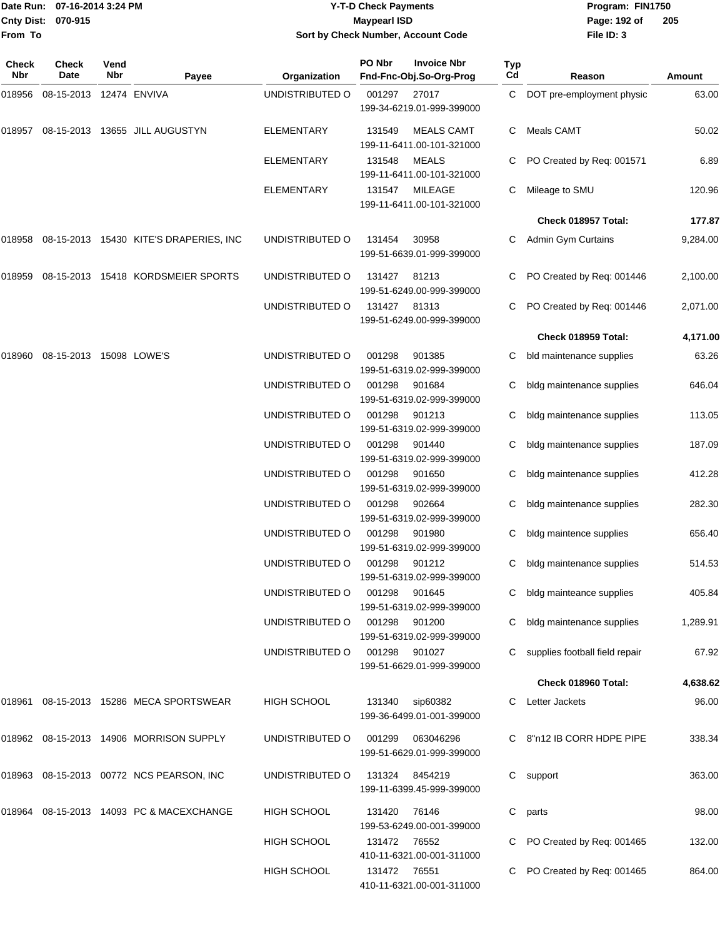|                    | Date Run: 07-16-2014 3:24 PM |
|--------------------|------------------------------|
| Cnty Dist: 070-915 |                              |
| lFrom To           |                              |

### **Date Run: Program: FIN1750 07-16-2014 3:24 PM Y-T-D Check Payments Cnty Dist: Page: 192 of 070-915 Maypearl ISD Sort by Check Number, Account Code**

| Check<br>Nbr | Check<br>Date           | Vend<br><b>Nbr</b> | Payee                                    | Organization       | PO Nbr       | <b>Invoice Nbr</b><br>Fnd-Fnc-Obj.So-Org-Prog                    | <b>Typ</b><br>Cd | Reason                         | Amount   |
|--------------|-------------------------|--------------------|------------------------------------------|--------------------|--------------|------------------------------------------------------------------|------------------|--------------------------------|----------|
| 018956       | 08-15-2013 12474 ENVIVA |                    |                                          | UNDISTRIBUTED O    | 001297       | 27017<br>199-34-6219.01-999-399000                               | C.               | DOT pre-employment physic      | 63.00    |
| 018957       |                         |                    | 08-15-2013 13655 JILL AUGUSTYN           | <b>ELEMENTARY</b>  | 131549       | <b>MEALS CAMT</b><br>199-11-6411.00-101-321000                   | C                | Meals CAMT                     | 50.02    |
|              |                         |                    |                                          | <b>ELEMENTARY</b>  | 131548       | MEALS<br>199-11-6411.00-101-321000                               |                  | PO Created by Req: 001571      | 6.89     |
|              |                         |                    |                                          | <b>ELEMENTARY</b>  | 131547       | MILEAGE<br>199-11-6411.00-101-321000                             | С                | Mileage to SMU                 | 120.96   |
|              |                         |                    |                                          |                    |              |                                                                  |                  | Check 018957 Total:            | 177.87   |
| 018958       |                         |                    | 08-15-2013 15430 KITE'S DRAPERIES, INC   | UNDISTRIBUTED O    | 131454       | 30958<br>199-51-6639.01-999-399000                               | С                | Admin Gym Curtains             | 9,284.00 |
| 018959       |                         |                    | 08-15-2013 15418 KORDSMEIER SPORTS       | UNDISTRIBUTED O    | 131427       | 81213<br>199-51-6249.00-999-399000                               |                  | PO Created by Req: 001446      | 2,100.00 |
|              |                         |                    |                                          | UNDISTRIBUTED O    | 131427       | 81313<br>199-51-6249.00-999-399000                               | C                | PO Created by Req: 001446      | 2,071.00 |
|              |                         |                    |                                          |                    |              |                                                                  |                  | Check 018959 Total:            | 4,171.00 |
| 018960       | 08-15-2013 15098 LOWE'S |                    |                                          | UNDISTRIBUTED O    | 001298       | 901385<br>199-51-6319.02-999-399000                              | C                | bld maintenance supplies       | 63.26    |
|              |                         |                    |                                          | UNDISTRIBUTED O    | 001298       | 901684<br>199-51-6319.02-999-399000                              | С                | bldg maintenance supplies      | 646.04   |
|              |                         |                    |                                          | UNDISTRIBUTED O    | 001298       | 901213<br>199-51-6319.02-999-399000                              | С                | bldg maintenance supplies      | 113.05   |
|              |                         |                    |                                          | UNDISTRIBUTED O    | 001298       | 901440<br>199-51-6319.02-999-399000                              | C                | bldg maintenance supplies      | 187.09   |
|              |                         |                    |                                          | UNDISTRIBUTED O    | 001298       | 901650<br>199-51-6319.02-999-399000                              | С                | bldg maintenance supplies      | 412.28   |
|              |                         |                    |                                          | UNDISTRIBUTED O    | 001298       | 902664<br>199-51-6319.02-999-399000                              | С                | bldg maintenance supplies      | 282.30   |
|              |                         |                    |                                          | UNDISTRIBUTED O    | 001298       | 901980<br>199-51-6319.02-999-399000                              | C                | bldg maintence supplies        | 656.40   |
|              |                         |                    |                                          | UNDISTRIBUTED O    | 001298       | 901212<br>199-51-6319.02-999-399000                              | С                | bldg maintenance supplies      | 514.53   |
|              |                         |                    |                                          | UNDISTRIBUTED O    | 001298       | 901645                                                           | C.               | bldg mainteance supplies       | 405.84   |
|              |                         |                    |                                          | UNDISTRIBUTED O    | 001298       | 199-51-6319.02-999-399000<br>901200<br>199-51-6319.02-999-399000 | C.               | bldg maintenance supplies      | 1,289.91 |
|              |                         |                    |                                          | UNDISTRIBUTED O    | 001298       | 901027<br>199-51-6629.01-999-399000                              |                  | supplies football field repair | 67.92    |
|              |                         |                    |                                          |                    |              |                                                                  |                  | Check 018960 Total:            | 4,638.62 |
| 018961       |                         |                    | 08-15-2013 15286 MECA SPORTSWEAR         | <b>HIGH SCHOOL</b> | 131340       | sip60382<br>199-36-6499.01-001-399000                            | C.               | Letter Jackets                 | 96.00    |
|              |                         |                    | 018962 08-15-2013 14906 MORRISON SUPPLY  | UNDISTRIBUTED O    | 001299       | 063046296<br>199-51-6629.01-999-399000                           |                  | C 8"n12 IB CORR HDPE PIPE      | 338.34   |
| 018963       |                         |                    | 08-15-2013  00772  NCS  PEARSON, INC     | UNDISTRIBUTED O    | 131324       | 8454219<br>199-11-6399.45-999-399000                             | C                | support                        | 363.00   |
|              |                         |                    | 018964 08-15-2013 14093 PC & MACEXCHANGE | <b>HIGH SCHOOL</b> | 131420       | 76146<br>199-53-6249.00-001-399000                               | С                | parts                          | 98.00    |
|              |                         |                    |                                          | <b>HIGH SCHOOL</b> | 131472 76552 | 410-11-6321.00-001-311000                                        |                  | PO Created by Req: 001465      | 132.00   |
|              |                         |                    |                                          | HIGH SCHOOL        | 131472 76551 | 410-11-6321.00-001-311000                                        |                  | PO Created by Req: 001465      | 864.00   |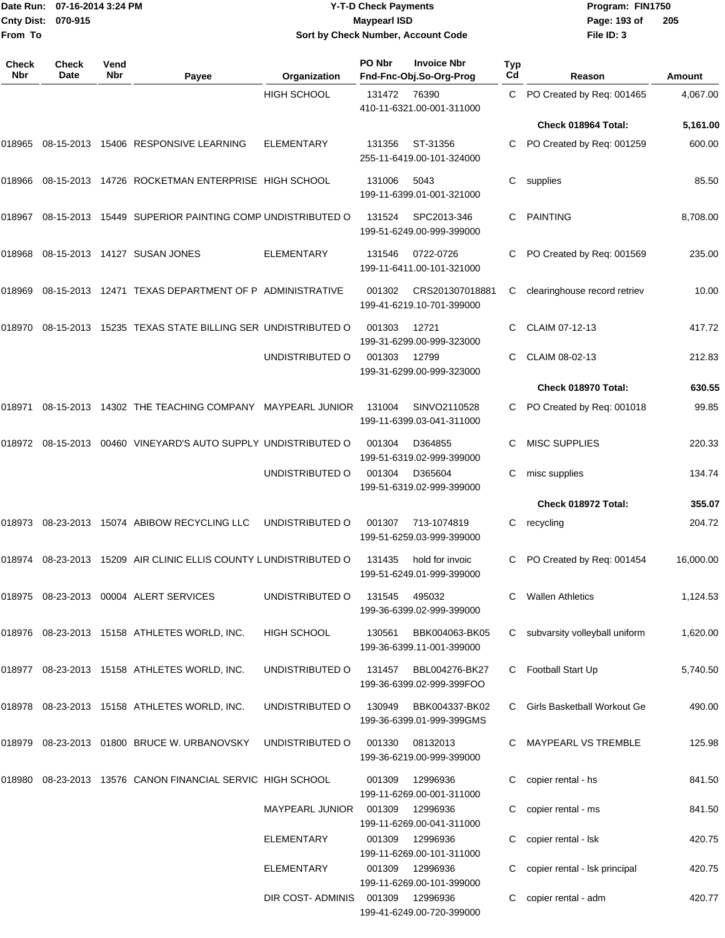**From To**

#### Date Run: 07-16-2014 3:24 PM **Program:** FIN1750 **Cnty Dist:** 070-915 **Page: 193 of** Maypearl ISD **CONTEX IS A RESERVE A Page: 193 of Y-T-D Check Payments 070-915 Maypearl ISD Sort by Check Number, Account Code**

| Check<br>Nbr | <b>Check</b><br>Date | Vend<br>Nbr | Payee                                                      | Organization           | PO Nbr | <b>Invoice Nbr</b><br>Fnd-Fnc-Obj.So-Org-Prog | Typ<br>Cd | Reason                        | Amount    |
|--------------|----------------------|-------------|------------------------------------------------------------|------------------------|--------|-----------------------------------------------|-----------|-------------------------------|-----------|
|              |                      |             |                                                            | <b>HIGH SCHOOL</b>     | 131472 | 76390<br>410-11-6321.00-001-311000            | C         | PO Created by Req: 001465     | 4,067.00  |
|              |                      |             |                                                            |                        |        |                                               |           | Check 018964 Total:           | 5,161.00  |
| 018965       |                      |             | 08-15-2013 15406 RESPONSIVE LEARNING                       | <b>ELEMENTARY</b>      | 131356 | ST-31356<br>255-11-6419.00-101-324000         | С         | PO Created by Req: 001259     | 600.00    |
| 018966       |                      |             | 08-15-2013 14726 ROCKETMAN ENTERPRISE HIGH SCHOOL          |                        | 131006 | 5043<br>199-11-6399.01-001-321000             | С         | supplies                      | 85.50     |
| 018967       |                      |             | 08-15-2013 15449 SUPERIOR PAINTING COMP UNDISTRIBUTED O    |                        | 131524 | SPC2013-346<br>199-51-6249.00-999-399000      | С         | <b>PAINTING</b>               | 8.708.00  |
| 018968       |                      |             | 08-15-2013 14127 SUSAN JONES                               | <b>ELEMENTARY</b>      | 131546 | 0722-0726<br>199-11-6411.00-101-321000        | С         | PO Created by Req: 001569     | 235.00    |
| 018969       |                      |             | 08-15-2013 12471 TEXAS DEPARTMENT OF P ADMINISTRATIVE      |                        | 001302 | CRS201307018881<br>199-41-6219.10-701-399000  | С         | clearinghouse record retriev  | 10.00     |
| 018970       |                      |             | 08-15-2013 15235 TEXAS STATE BILLING SER UNDISTRIBUTED O   |                        | 001303 | 12721<br>199-31-6299.00-999-323000            | С         | CLAIM 07-12-13                | 417.72    |
|              |                      |             |                                                            | UNDISTRIBUTED O        | 001303 | 12799<br>199-31-6299.00-999-323000            | С         | CLAIM 08-02-13                | 212.83    |
|              |                      |             |                                                            |                        |        |                                               |           | Check 018970 Total:           | 630.55    |
| 018971       |                      |             | 08-15-2013 14302 THE TEACHING COMPANY MAYPEARL JUNIOR      |                        | 131004 | SINVO2110528<br>199-11-6399.03-041-311000     | С         | PO Created by Req: 001018     | 99.85     |
| 018972       |                      |             | 08-15-2013 00460 VINEYARD'S AUTO SUPPLY UNDISTRIBUTED O    |                        | 001304 | D364855<br>199-51-6319.02-999-399000          | С         | <b>MISC SUPPLIES</b>          | 220.33    |
|              |                      |             |                                                            | UNDISTRIBUTED O        | 001304 | D365604<br>199-51-6319.02-999-399000          | С         | misc supplies                 | 134.74    |
|              |                      |             |                                                            |                        |        |                                               |           | Check 018972 Total:           | 355.07    |
| 018973       |                      |             | 08-23-2013 15074 ABIBOW RECYCLING LLC                      | UNDISTRIBUTED O        | 001307 | 713-1074819<br>199-51-6259.03-999-399000      | С         | recycling                     | 204.72    |
| 018974       | 08-23-2013           |             | 15209 AIR CLINIC ELLIS COUNTY LUNDISTRIBUTED O             |                        | 131435 | hold for invoic<br>199-51-6249.01-999-399000  | С         | PO Created by Reg: 001454     | 16,000.00 |
|              |                      |             | 018975 08-23-2013 00004 ALERT SERVICES                     | UNDISTRIBUTED O        | 131545 | 495032<br>199-36-6399.02-999-399000           |           | <b>Wallen Athletics</b>       | 1,124.53  |
|              |                      |             | 018976 08-23-2013 15158 ATHLETES WORLD, INC.               | HIGH SCHOOL            | 130561 | BBK004063-BK05<br>199-36-6399.11-001-399000   | C         | subvarsity volleyball uniform | 1,620.00  |
|              |                      |             | 018977 08-23-2013 15158 ATHLETES WORLD, INC.               | UNDISTRIBUTED O        | 131457 | BBL004276-BK27<br>199-36-6399.02-999-399FOO   | C         | Football Start Up             | 5,740.50  |
|              |                      |             | 018978 08-23-2013 15158 ATHLETES WORLD, INC.               | UNDISTRIBUTED O        | 130949 | BBK004337-BK02<br>199-36-6399.01-999-399GMS   | C         | Girls Basketball Workout Ge   | 490.00    |
|              |                      |             | 018979 08-23-2013 01800 BRUCE W. URBANOVSKY                | UNDISTRIBUTED O        | 001330 | 08132013<br>199-36-6219.00-999-399000         |           | C MAYPEARL VS TREMBLE         | 125.98    |
|              |                      |             | 018980 08-23-2013 13576 CANON FINANCIAL SERVIC HIGH SCHOOL |                        | 001309 | 12996936<br>199-11-6269.00-001-311000         | С         | copier rental - hs            | 841.50    |
|              |                      |             |                                                            | <b>MAYPEARL JUNIOR</b> | 001309 | 12996936<br>199-11-6269.00-041-311000         | С         | copier rental - ms            | 841.50    |
|              |                      |             |                                                            | ELEMENTARY             | 001309 | 12996936<br>199-11-6269.00-101-311000         | С         | copier rental - Isk           | 420.75    |
|              |                      |             |                                                            | ELEMENTARY             | 001309 | 12996936<br>199-11-6269.00-101-399000         |           | copier rental - Isk principal | 420.75    |
|              |                      |             |                                                            | DIR COST- ADMINIS      | 001309 | 12996936<br>199-41-6249.00-720-399000         | С         | copier rental - adm           | 420.77    |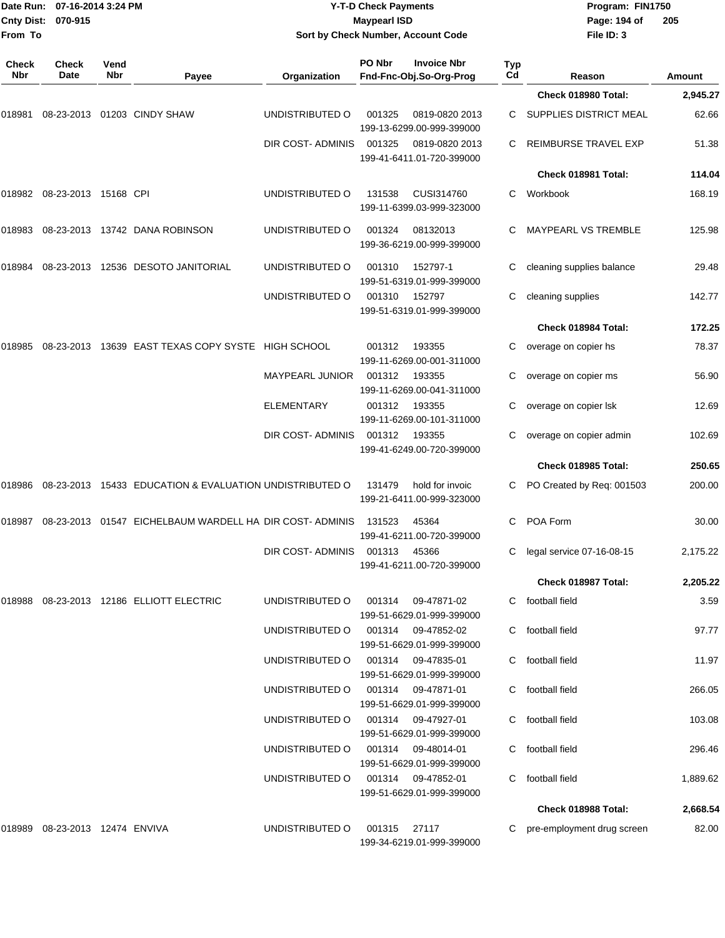|              | 07-16-2014 3:24 PM<br>Date Run:<br>Cnty Dist:<br>070-915 |             | <b>Y-T-D Check Payments</b><br><b>Maypearl ISD</b>                 |                                    |              |                                                 | Program: FIN1750<br>Page: 194 of | 205                           |          |
|--------------|----------------------------------------------------------|-------------|--------------------------------------------------------------------|------------------------------------|--------------|-------------------------------------------------|----------------------------------|-------------------------------|----------|
| From To      |                                                          |             |                                                                    | Sort by Check Number, Account Code |              |                                                 |                                  | File ID: 3                    |          |
| Check<br>Nbr | <b>Check</b><br>Date                                     | Vend<br>Nbr | Payee                                                              | Organization                       | PO Nbr       | <b>Invoice Nbr</b><br>Fnd-Fnc-Obj.So-Org-Prog   | <b>Typ</b><br>Cd                 | Reason                        | Amount   |
|              |                                                          |             |                                                                    |                                    |              |                                                 |                                  | Check 018980 Total:           | 2,945.27 |
| 018981       |                                                          |             | 08-23-2013 01203 CINDY SHAW                                        | UNDISTRIBUTED O                    | 001325       | 0819-0820 2013<br>199-13-6299.00-999-399000     |                                  | C SUPPLIES DISTRICT MEAL      | 62.66    |
|              |                                                          |             |                                                                    | DIR COST- ADMINIS                  | 001325       | 0819-0820 2013<br>199-41-6411.01-720-399000     |                                  | REIMBURSE TRAVEL EXP          | 51.38    |
|              |                                                          |             |                                                                    |                                    |              |                                                 |                                  | Check 018981 Total:           | 114.04   |
|              |                                                          |             |                                                                    | UNDISTRIBUTED O                    | 131538       | CUSI314760<br>199-11-6399.03-999-323000         | C                                | Workbook                      | 168.19   |
|              |                                                          |             | 018983  08-23-2013  13742  DANA ROBINSON                           | UNDISTRIBUTED O                    | 001324       | 08132013<br>199-36-6219.00-999-399000           | C                                | MAYPEARL VS TREMBLE           | 125.98   |
|              |                                                          |             | 018984  08-23-2013  12536  DESOTO JANITORIAL                       | UNDISTRIBUTED O                    | 001310       | 152797-1<br>199-51-6319.01-999-399000           |                                  | cleaning supplies balance     | 29.48    |
|              |                                                          |             |                                                                    | UNDISTRIBUTED O                    | 001310       | 152797<br>199-51-6319.01-999-399000             | C.                               | cleaning supplies             | 142.77   |
|              |                                                          |             |                                                                    |                                    |              |                                                 |                                  | Check 018984 Total:           | 172.25   |
| 018985       |                                                          |             | 08-23-2013 13639 EAST TEXAS COPY SYSTE HIGH SCHOOL                 |                                    | 001312       | 193355<br>199-11-6269.00-001-311000             |                                  | overage on copier hs          | 78.37    |
|              |                                                          |             |                                                                    | <b>MAYPEARL JUNIOR</b>             | 001312       | 193355<br>199-11-6269.00-041-311000             | C                                | overage on copier ms          | 56.90    |
|              |                                                          |             |                                                                    | <b>ELEMENTARY</b>                  | 001312       | 193355<br>199-11-6269.00-101-311000             |                                  | overage on copier Isk         | 12.69    |
|              |                                                          |             |                                                                    | DIR COST- ADMINIS                  | 001312       | 193355<br>199-41-6249.00-720-399000             |                                  | overage on copier admin       | 102.69   |
|              |                                                          |             |                                                                    |                                    |              |                                                 |                                  | Check 018985 Total:           | 250.65   |
|              |                                                          |             | 018986  08-23-2013  15433  EDUCATION & EVALUATION UNDISTRIBUTED O  |                                    | 131479       | hold for invoic<br>199-21-6411.00-999-323000    | C                                | PO Created by Req: 001503     | 200.00   |
|              |                                                          |             | 018987 08-23-2013 01547   EICHELBAUM WARDELL HA  DIR COST- ADMINIS |                                    | 131523       | 45364<br>199-41-6211.00-720-399000              | C.                               | POA Form                      | 30.00    |
|              |                                                          |             |                                                                    | DIR COST-ADMINIS 001313            |              | 45366<br>199-41-6211.00-720-399000              |                                  | C legal service $07-16-08-15$ | 2,175.22 |
|              |                                                          |             |                                                                    |                                    |              |                                                 |                                  | Check 018987 Total:           | 2,205.22 |
|              |                                                          |             |                                                                    | UNDISTRIBUTED O                    |              | 001314 09-47871-02<br>199-51-6629.01-999-399000 |                                  | C football field              | 3.59     |
|              |                                                          |             |                                                                    | UNDISTRIBUTED O                    |              | 001314 09-47852-02<br>199-51-6629.01-999-399000 | C.                               | football field                | 97.77    |
|              |                                                          |             |                                                                    | UNDISTRIBUTED O                    |              | 001314 09-47835-01<br>199-51-6629.01-999-399000 |                                  | C football field              | 11.97    |
|              |                                                          |             |                                                                    | UNDISTRIBUTED O                    |              | 001314 09-47871-01<br>199-51-6629.01-999-399000 |                                  | C football field              | 266.05   |
|              |                                                          |             |                                                                    | UNDISTRIBUTED O                    |              | 001314 09-47927-01<br>199-51-6629.01-999-399000 | C.                               | football field                | 103.08   |
|              |                                                          |             |                                                                    | UNDISTRIBUTED O                    |              | 001314 09-48014-01<br>199-51-6629.01-999-399000 |                                  | C football field              | 296.46   |
|              |                                                          |             |                                                                    | UNDISTRIBUTED O                    |              | 001314 09-47852-01<br>199-51-6629.01-999-399000 |                                  | C football field              | 1,889.62 |
|              |                                                          |             |                                                                    |                                    |              |                                                 |                                  | Check 018988 Total:           | 2,668.54 |
|              | 018989    08-23-2013    12474   ENVIVA                   |             |                                                                    | UNDISTRIBUTED O                    | 001315 27117 | 199-34-6219.01-999-399000                       |                                  | pre-employment drug screen    | 82.00    |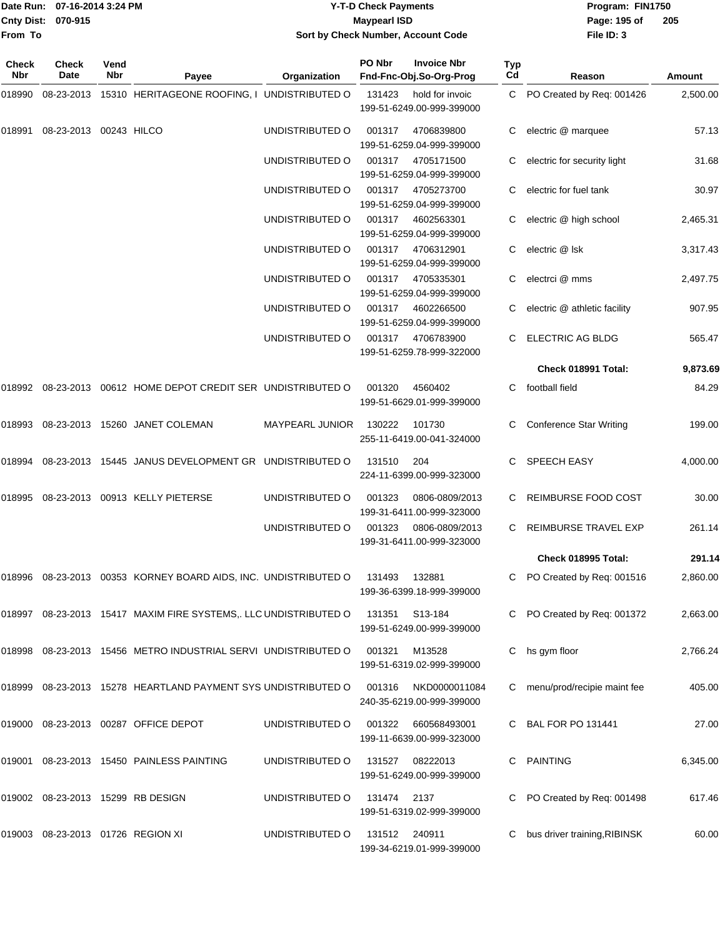|                    | Date Run: 07-16-2014 3:24 PM |
|--------------------|------------------------------|
| Cnty Dist: 070-915 |                              |
| From To            |                              |

## **Date Run: Program: FIN1750 07-16-2014 3:24 PM Y-T-D Check Payments Cnty Dist: Page: 195 of 070-915 Maypearl ISD Sort by Check Number, Account Code**

| Check<br>Nbr | <b>Check</b><br>Date              | Vend<br>Nbr | Payee                                                            | Organization           | PO Nbr        | <b>Invoice Nbr</b><br>Fnd-Fnc-Obj.So-Org-Prog | <b>Typ</b><br>Cd | Reason                         | Amount   |
|--------------|-----------------------------------|-------------|------------------------------------------------------------------|------------------------|---------------|-----------------------------------------------|------------------|--------------------------------|----------|
| 018990       |                                   |             | 08-23-2013 15310 HERITAGEONE ROOFING, I UNDISTRIBUTED O          |                        | 131423        | hold for invoic<br>199-51-6249.00-999-399000  |                  | C PO Created by Req: 001426    | 2,500.00 |
| 018991       | 08-23-2013 00243 HILCO            |             |                                                                  | UNDISTRIBUTED O        | 001317        | 4706839800<br>199-51-6259.04-999-399000       |                  | electric @ marquee             | 57.13    |
|              |                                   |             |                                                                  | UNDISTRIBUTED O        | 001317        | 4705171500<br>199-51-6259.04-999-399000       |                  | electric for security light    | 31.68    |
|              |                                   |             |                                                                  | UNDISTRIBUTED O        | 001317        | 4705273700<br>199-51-6259.04-999-399000       |                  | electric for fuel tank         | 30.97    |
|              |                                   |             |                                                                  | UNDISTRIBUTED O        | 001317        | 4602563301<br>199-51-6259.04-999-399000       |                  | electric @ high school         | 2,465.31 |
|              |                                   |             |                                                                  | UNDISTRIBUTED O        | 001317        | 4706312901<br>199-51-6259.04-999-399000       | С                | electric @ Isk                 | 3,317.43 |
|              |                                   |             |                                                                  | UNDISTRIBUTED O        | 001317        | 4705335301<br>199-51-6259.04-999-399000       |                  | electrci @ mms                 | 2,497.75 |
|              |                                   |             |                                                                  | UNDISTRIBUTED O        | 001317        | 4602266500<br>199-51-6259.04-999-399000       |                  | electric @ athletic facility   | 907.95   |
|              |                                   |             |                                                                  | UNDISTRIBUTED O        | 001317        | 4706783900<br>199-51-6259.78-999-322000       |                  | ELECTRIC AG BLDG               | 565.47   |
|              |                                   |             |                                                                  |                        |               |                                               |                  | Check 018991 Total:            | 9,873.69 |
|              |                                   |             | 018992 08-23-2013 00612 HOME DEPOT CREDIT SER UNDISTRIBUTED O    |                        | 001320        | 4560402<br>199-51-6629.01-999-399000          | C.               | football field                 | 84.29    |
| 018993       |                                   |             | 08-23-2013 15260 JANET COLEMAN                                   | <b>MAYPEARL JUNIOR</b> | 130222        | 101730<br>255-11-6419.00-041-324000           |                  | <b>Conference Star Writing</b> | 199.00   |
| 018994       |                                   |             | 08-23-2013 15445 JANUS DEVELOPMENT GR UNDISTRIBUTED O            |                        | 131510        | 204<br>224-11-6399.00-999-323000              | С                | SPEECH EASY                    | 4,000.00 |
| 018995       |                                   |             | 08-23-2013 00913 KELLY PIETERSE                                  | UNDISTRIBUTED O        | 001323        | 0806-0809/2013<br>199-31-6411.00-999-323000   |                  | <b>REIMBURSE FOOD COST</b>     | 30.00    |
|              |                                   |             |                                                                  | UNDISTRIBUTED O        | 001323        | 0806-0809/2013<br>199-31-6411.00-999-323000   |                  | REIMBURSE TRAVEL EXP           | 261.14   |
|              |                                   |             |                                                                  |                        |               |                                               |                  | Check 018995 Total:            | 291.14   |
|              |                                   |             | 018996 08-23-2013 00353 KORNEY BOARD AIDS, INC. UNDISTRIBUTED O  |                        | 131493        | 132881<br>199-36-6399.18-999-399000           | C                | PO Created by Req: 001516      | 2,860.00 |
|              |                                   |             | 018997 08-23-2013 15417 MAXIM FIRE SYSTEMS,. LLC UNDISTRIBUTED O |                        |               | 131351 S13-184<br>199-51-6249.00-999-399000   | С                | PO Created by Req: 001372      | 2,663.00 |
| 018998       |                                   |             | 08-23-2013 15456 METRO INDUSTRIAL SERVI UNDISTRIBUTED O          |                        | 001321        | M13528<br>199-51-6319.02-999-399000           | C                | hs gym floor                   | 2,766.24 |
| 018999       |                                   |             | 08-23-2013 15278 HEARTLAND PAYMENT SYS UNDISTRIBUTED O           |                        | 001316        | NKD0000011084<br>240-35-6219.00-999-399000    |                  | menu/prod/recipie maint fee    | 405.00   |
|              |                                   |             | 019000 08-23-2013 00287 OFFICE DEPOT                             | UNDISTRIBUTED O        | 001322        | 660568493001<br>199-11-6639.00-999-323000     |                  | <b>BAL FOR PO 131441</b>       | 27.00    |
| 019001       |                                   |             | 08-23-2013 15450 PAINLESS PAINTING                               | UNDISTRIBUTED O        | 131527        | 08222013<br>199-51-6249.00-999-399000         | С                | <b>PAINTING</b>                | 6,345.00 |
|              |                                   |             | 019002 08-23-2013 15299 RB DESIGN                                | UNDISTRIBUTED O        | 131474        | 2137<br>199-51-6319.02-999-399000             |                  | PO Created by Req: 001498      | 617.46   |
|              | 019003 08-23-2013 01726 REGION XI |             |                                                                  | UNDISTRIBUTED O        | 131512 240911 | 199-34-6219.01-999-399000                     |                  | bus driver training, RIBINSK   | 60.00    |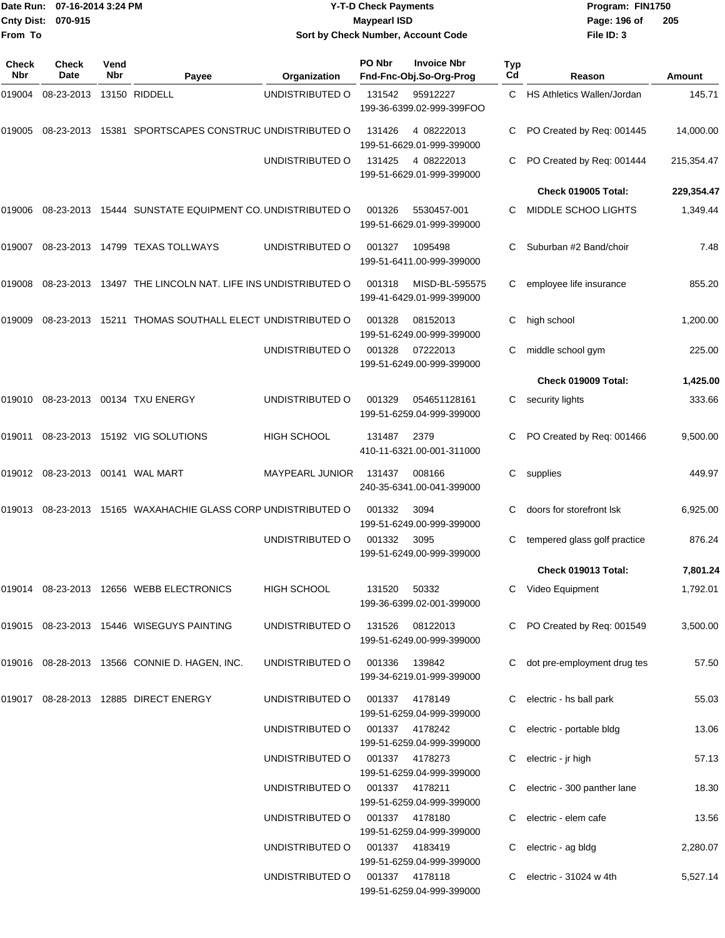| From To             | 07-16-2014 3:24 PM<br>Date Run:<br><b>Cnty Dist:</b><br>070-915 |             |                                                            | <b>Y-T-D Check Payments</b><br><b>Maypearl ISD</b><br>Sort by Check Number, Account Code |        |                                                        |           | Program: FIN1750<br>Page: 196 of<br>File ID: 3      | 205            |  |
|---------------------|-----------------------------------------------------------------|-------------|------------------------------------------------------------|------------------------------------------------------------------------------------------|--------|--------------------------------------------------------|-----------|-----------------------------------------------------|----------------|--|
| <b>Check</b><br>Nbr | <b>Check</b><br>Date                                            | Vend<br>Nbr | Payee                                                      | Organization                                                                             | PO Nbr | <b>Invoice Nbr</b><br>Fnd-Fnc-Obj.So-Org-Prog          | Typ<br>Cd | Reason                                              | Amount         |  |
| 019004              | 08-23-2013                                                      |             | 13150 RIDDELL                                              | UNDISTRIBUTED O                                                                          | 131542 | 95912227<br>199-36-6399.02-999-399FOO                  | C         | <b>HS Athletics Wallen/Jordan</b>                   | 145.71         |  |
| 019005              | 08-23-2013                                                      |             | 15381 SPORTSCAPES CONSTRUC UNDISTRIBUTED O                 |                                                                                          | 131426 | 4 08222013<br>199-51-6629.01-999-399000                | С         | PO Created by Req: 001445                           | 14,000.00      |  |
|                     |                                                                 |             |                                                            | UNDISTRIBUTED O                                                                          | 131425 | 4 08222013<br>199-51-6629.01-999-399000                | С         | PO Created by Req: 001444                           | 215,354.47     |  |
|                     |                                                                 |             |                                                            |                                                                                          |        |                                                        |           | Check 019005 Total:                                 | 229,354.47     |  |
| 019006              |                                                                 |             | 08-23-2013 15444 SUNSTATE EQUIPMENT CO. UNDISTRIBUTED O    |                                                                                          | 001326 | 5530457-001<br>199-51-6629.01-999-399000               | С         | MIDDLE SCHOO LIGHTS                                 | 1,349.44       |  |
| 019007              |                                                                 |             | 08-23-2013 14799 TEXAS TOLLWAYS                            | UNDISTRIBUTED O                                                                          | 001327 | 1095498<br>199-51-6411.00-999-399000                   | С         | Suburban #2 Band/choir                              | 7.48           |  |
| 019008              |                                                                 |             | 08-23-2013 13497 THE LINCOLN NAT. LIFE INS UNDISTRIBUTED O |                                                                                          | 001318 | MISD-BL-595575<br>199-41-6429.01-999-399000            | С         | employee life insurance                             | 855.20         |  |
| 019009              | 08-23-2013                                                      |             | 15211 THOMAS SOUTHALL ELECT UNDISTRIBUTED O                |                                                                                          | 001328 | 08152013<br>199-51-6249.00-999-399000                  | С         | high school                                         | 1,200.00       |  |
|                     |                                                                 |             |                                                            | UNDISTRIBUTED O                                                                          | 001328 | 07222013<br>199-51-6249.00-999-399000                  | С         | middle school gym                                   | 225.00         |  |
|                     |                                                                 |             |                                                            |                                                                                          |        |                                                        |           | Check 019009 Total:                                 | 1,425.00       |  |
| 019010              |                                                                 |             | 08-23-2013 00134 TXU ENERGY                                | UNDISTRIBUTED O                                                                          | 001329 | 054651128161<br>199-51-6259.04-999-399000              | С         | security lights                                     | 333.66         |  |
| 019011              |                                                                 |             | 08-23-2013 15192 VIG SOLUTIONS                             | <b>HIGH SCHOOL</b>                                                                       | 131487 | 2379<br>410-11-6321.00-001-311000                      |           | PO Created by Req: 001466                           | 9,500.00       |  |
| 019012              | 08-23-2013  00141  WAL MART                                     |             |                                                            | <b>MAYPEARL JUNIOR</b>                                                                   | 131437 | 008166<br>240-35-6341.00-041-399000                    | С         | supplies                                            | 449.97         |  |
| 019013              |                                                                 |             | 08-23-2013 15165 WAXAHACHIE GLASS CORP UNDISTRIBUTED O     |                                                                                          | 001332 | 3094<br>199-51-6249.00-999-399000                      | С         | doors for storefront Isk                            | 6,925.00       |  |
|                     |                                                                 |             |                                                            | UNDISTRIBUTED O                                                                          | 001332 | 3095<br>199-51-6249.00-999-399000                      |           | tempered glass golf practice                        | 876.24         |  |
|                     |                                                                 |             |                                                            |                                                                                          |        |                                                        |           | Check 019013 Total:                                 | 7,801.24       |  |
|                     |                                                                 |             | 019014 08-23-2013 12656 WEBB ELECTRONICS                   | <b>HIGH SCHOOL</b>                                                                       | 131520 | 50332<br>199-36-6399.02-001-399000                     |           | C Video Equipment                                   | 1,792.01       |  |
|                     |                                                                 |             | 019015 08-23-2013 15446 WISEGUYS PAINTING                  | UNDISTRIBUTED O                                                                          | 131526 | 08122013<br>199-51-6249.00-999-399000                  |           | C PO Created by Req: 001549                         | 3,500.00       |  |
|                     |                                                                 |             | 019016 08-28-2013 13566 CONNIE D. HAGEN, INC.              | UNDISTRIBUTED O                                                                          | 001336 | 139842<br>199-34-6219.01-999-399000                    |           | C dot pre-employment drug tes                       | 57.50          |  |
|                     |                                                                 |             | 019017 08-28-2013 12885 DIRECT ENERGY                      | UNDISTRIBUTED O                                                                          | 001337 | 4178149<br>199-51-6259.04-999-399000                   |           | C electric - hs ball park                           | 55.03          |  |
|                     |                                                                 |             |                                                            | UNDISTRIBUTED O                                                                          | 001337 | 4178242<br>199-51-6259.04-999-399000                   |           | electric - portable bldg                            | 13.06          |  |
|                     |                                                                 |             |                                                            | UNDISTRIBUTED O                                                                          | 001337 | 4178273<br>199-51-6259.04-999-399000                   |           | electric - jr high                                  | 57.13          |  |
|                     |                                                                 |             |                                                            | UNDISTRIBUTED O<br>UNDISTRIBUTED O                                                       | 001337 | 4178211<br>199-51-6259.04-999-399000<br>001337 4178180 |           | electric - 300 panther lane<br>electric - elem cafe | 18.30<br>13.56 |  |
|                     |                                                                 |             |                                                            |                                                                                          |        | 199-51-6259.04-999-399000                              |           |                                                     |                |  |
|                     |                                                                 |             |                                                            | UNDISTRIBUTED O                                                                          |        | 001337 4183419<br>199-51-6259.04-999-399000            |           | electric - ag bldg                                  | 2,280.07       |  |
|                     |                                                                 |             |                                                            | UNDISTRIBUTED O                                                                          |        | 001337 4178118<br>199-51-6259.04-999-399000            |           | C electric - $31024$ w 4th                          | 5,527.14       |  |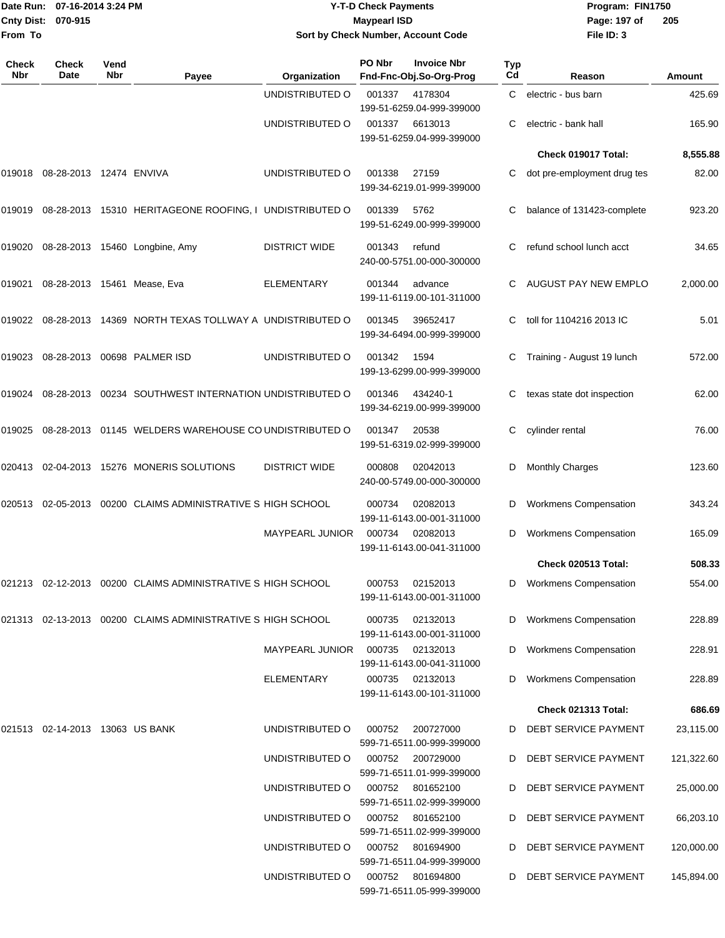| Date Run:                    | 07-16-2014 3:24 PM              |                    |                                                                |                        | <b>Y-T-D Check Payments</b> |                                               |                  | Program: FIN1750             |            |
|------------------------------|---------------------------------|--------------------|----------------------------------------------------------------|------------------------|-----------------------------|-----------------------------------------------|------------------|------------------------------|------------|
| <b>Cnty Dist:</b><br>From To | 070-915                         |                    |                                                                |                        | <b>Maypearl ISD</b>         | Sort by Check Number, Account Code            |                  | Page: 197 of<br>File ID: 3   | 205        |
|                              |                                 |                    |                                                                |                        |                             |                                               |                  |                              |            |
| Check<br><b>Nbr</b>          | Check<br>Date                   | Vend<br><b>Nbr</b> | Payee                                                          | Organization           | PO Nbr                      | <b>Invoice Nbr</b><br>Fnd-Fnc-Obj.So-Org-Prog | <b>Typ</b><br>Cd | Reason                       | Amount     |
|                              |                                 |                    |                                                                | UNDISTRIBUTED O        | 001337                      | 4178304<br>199-51-6259.04-999-399000          | C                | electric - bus barn          | 425.69     |
|                              |                                 |                    |                                                                | UNDISTRIBUTED O        | 001337                      | 6613013<br>199-51-6259.04-999-399000          | С                | electric - bank hall         | 165.90     |
|                              |                                 |                    |                                                                |                        |                             |                                               |                  | Check 019017 Total:          | 8,555.88   |
| 019018                       | 08-28-2013 12474 ENVIVA         |                    |                                                                | UNDISTRIBUTED O        | 001338                      | 27159<br>199-34-6219.01-999-399000            | C                | dot pre-employment drug tes  | 82.00      |
|                              |                                 |                    | 019019 08-28-2013 15310 HERITAGEONE ROOFING, I UNDISTRIBUTED O |                        | 001339                      | 5762<br>199-51-6249.00-999-399000             |                  | balance of 131423-complete   | 923.20     |
| 019020                       |                                 |                    | 08-28-2013 15460 Longbine, Amy                                 | <b>DISTRICT WIDE</b>   | 001343                      | refund<br>240-00-5751.00-000-300000           |                  | refund school lunch acct     | 34.65      |
| 019021                       | 08-28-2013 15461 Mease, Eva     |                    |                                                                | <b>ELEMENTARY</b>      | 001344                      | advance<br>199-11-6119.00-101-311000          | C.               | AUGUST PAY NEW EMPLO         | 2,000.00   |
|                              |                                 |                    | 019022 08-28-2013 14369 NORTH TEXAS TOLLWAY A UNDISTRIBUTED O  |                        | 001345                      | 39652417<br>199-34-6494.00-999-399000         | С                | toll for 1104216 2013 IC     | 5.01       |
| 019023                       | 08-28-2013                      |                    | 00698 PALMER ISD                                               | UNDISTRIBUTED O        | 001342                      | 1594<br>199-13-6299.00-999-399000             | С                | Training - August 19 lunch   | 572.00     |
|                              |                                 |                    | 019024 08-28-2013 00234 SOUTHWEST INTERNATION UNDISTRIBUTED O  |                        | 001346                      | 434240-1<br>199-34-6219.00-999-399000         | С                | texas state dot inspection   | 62.00      |
| 019025                       |                                 |                    | 08-28-2013 01145 WELDERS WAREHOUSE CO UNDISTRIBUTED O          |                        | 001347                      | 20538<br>199-51-6319.02-999-399000            |                  | cylinder rental              | 76.00      |
| 020413                       |                                 |                    | 02-04-2013 15276 MONERIS SOLUTIONS                             | <b>DISTRICT WIDE</b>   | 000808                      | 02042013<br>240-00-5749.00-000-300000         | D                | Monthly Charges              | 123.60     |
| 020513                       | 02-05-2013                      |                    | 00200 CLAIMS ADMINISTRATIVE S HIGH SCHOOL                      |                        | 000734                      | 02082013<br>199-11-6143.00-001-311000         | D                | <b>Workmens Compensation</b> | 343.24     |
|                              |                                 |                    |                                                                | <b>MAYPEARL JUNIOR</b> | 000734                      | 02082013<br>199-11-6143.00-041-311000         | D                | <b>Workmens Compensation</b> | 165.09     |
|                              |                                 |                    |                                                                |                        |                             |                                               |                  | Check 020513 Total:          | 508.33     |
|                              |                                 |                    | 021213 02-12-2013 00200 CLAIMS ADMINISTRATIVE S HIGH SCHOOL    |                        | 000753                      | 02152013<br>199-11-6143.00-001-311000         |                  | <b>Workmens Compensation</b> | 554.00     |
|                              |                                 |                    | 021313 02-13-2013 00200 CLAIMS ADMINISTRATIVE S HIGH SCHOOL    |                        | 000735                      | 02132013<br>199-11-6143.00-001-311000         | D                | <b>Workmens Compensation</b> | 228.89     |
|                              |                                 |                    |                                                                | <b>MAYPEARL JUNIOR</b> | 000735                      | 02132013<br>199-11-6143.00-041-311000         | D                | <b>Workmens Compensation</b> | 228.91     |
|                              |                                 |                    |                                                                | ELEMENTARY             | 000735                      | 02132013<br>199-11-6143.00-101-311000         |                  | <b>Workmens Compensation</b> | 228.89     |
|                              |                                 |                    |                                                                |                        |                             |                                               |                  | Check 021313 Total:          | 686.69     |
|                              | 021513 02-14-2013 13063 US BANK |                    |                                                                | UNDISTRIBUTED O        | 000752                      | 200727000<br>599-71-6511.00-999-399000        |                  | DEBT SERVICE PAYMENT         | 23,115.00  |
|                              |                                 |                    |                                                                | UNDISTRIBUTED O        | 000752                      | 200729000<br>599-71-6511.01-999-399000        | D                | DEBT SERVICE PAYMENT         | 121,322.60 |
|                              |                                 |                    |                                                                | UNDISTRIBUTED O        | 000752                      | 801652100<br>599-71-6511.02-999-399000        | D                | DEBT SERVICE PAYMENT         | 25,000.00  |
|                              |                                 |                    |                                                                | UNDISTRIBUTED O        | 000752                      | 801652100<br>599-71-6511.02-999-399000        | D                | DEBT SERVICE PAYMENT         | 66,203.10  |
|                              |                                 |                    |                                                                | UNDISTRIBUTED O        | 000752                      | 801694900<br>599-71-6511.04-999-399000        | D                | DEBT SERVICE PAYMENT         | 120,000.00 |
|                              |                                 |                    |                                                                | UNDISTRIBUTED O        | 000752                      | 801694800                                     | D                | DEBT SERVICE PAYMENT         | 145,894.00 |

599-71-6511.05-999-399000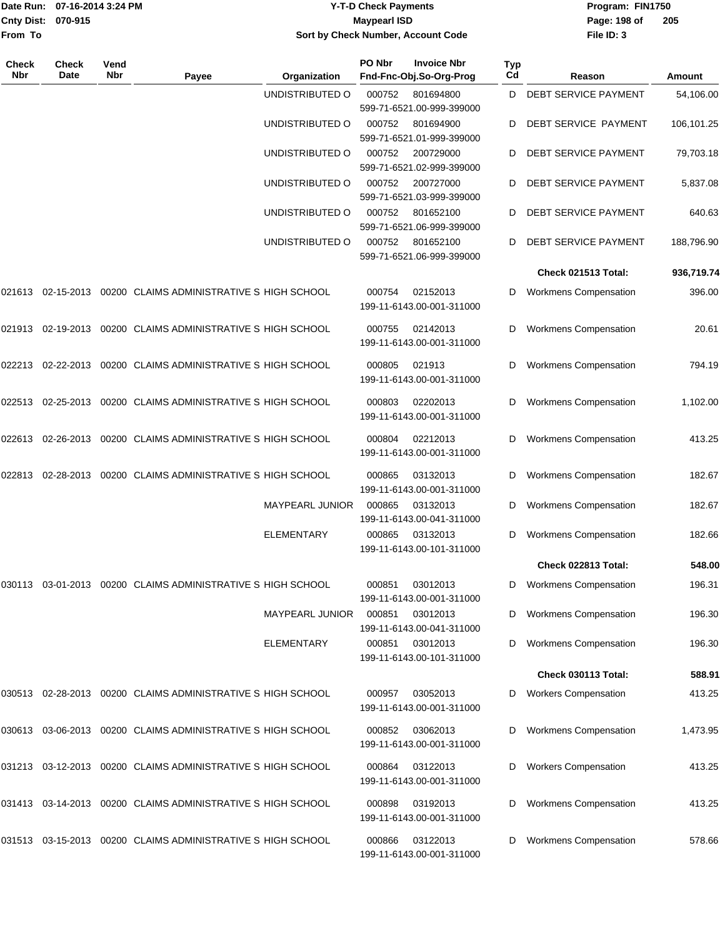|                    | Date Run: 07-16-2014 3:24 PM |
|--------------------|------------------------------|
| Cnty Dist: 070-915 |                              |
| From To            |                              |

## **Date Run: Program: FIN1750 07-16-2014 3:24 PM Y-T-D Check Payments Cnty Dist: Page: 198 of 070-915 Maypearl ISD Sort by Check Number, Account Code**

| Check<br><b>Nbr</b> | <b>Check</b><br>Date | Vend<br><b>Nbr</b> | Payee                                                                     | Organization           | PO Nbr | <b>Invoice Nbr</b><br>Fnd-Fnc-Obj.So-Org-Prog | <b>Typ</b><br>Cd | Reason                       | Amount     |
|---------------------|----------------------|--------------------|---------------------------------------------------------------------------|------------------------|--------|-----------------------------------------------|------------------|------------------------------|------------|
|                     |                      |                    |                                                                           | UNDISTRIBUTED O        | 000752 | 801694800<br>599-71-6521.00-999-399000        | D                | DEBT SERVICE PAYMENT         | 54,106.00  |
|                     |                      |                    |                                                                           | UNDISTRIBUTED O        | 000752 | 801694900<br>599-71-6521.01-999-399000        | D                | DEBT SERVICE PAYMENT         | 106,101.25 |
|                     |                      |                    |                                                                           | UNDISTRIBUTED O        | 000752 | 200729000<br>599-71-6521.02-999-399000        | D                | DEBT SERVICE PAYMENT         | 79,703.18  |
|                     |                      |                    |                                                                           | UNDISTRIBUTED O        | 000752 | 200727000<br>599-71-6521.03-999-399000        | D                | DEBT SERVICE PAYMENT         | 5,837.08   |
|                     |                      |                    |                                                                           | UNDISTRIBUTED O        | 000752 | 801652100<br>599-71-6521.06-999-399000        | D                | DEBT SERVICE PAYMENT         | 640.63     |
|                     |                      |                    |                                                                           | UNDISTRIBUTED O        | 000752 | 801652100<br>599-71-6521.06-999-399000        | D                | DEBT SERVICE PAYMENT         | 188,796.90 |
|                     |                      |                    |                                                                           |                        |        |                                               |                  | Check 021513 Total:          | 936,719.74 |
|                     |                      |                    | 021613 02-15-2013 00200 CLAIMS ADMINISTRATIVE S HIGH SCHOOL               |                        | 000754 | 02152013<br>199-11-6143.00-001-311000         | D                | <b>Workmens Compensation</b> | 396.00     |
|                     |                      |                    | 021913   02-19-2013   00200   CLAIMS   ADMINISTRATIVE   S   HIGH   SCHOOL |                        | 000755 | 02142013<br>199-11-6143.00-001-311000         | D                | <b>Workmens Compensation</b> | 20.61      |
|                     |                      |                    | 022213  02-22-2013  00200  CLAIMS ADMINISTRATIVE S            HIGH SCHOOL |                        | 000805 | 021913<br>199-11-6143.00-001-311000           | D                | <b>Workmens Compensation</b> | 794.19     |
| 022513              |                      |                    | 02-25-2013 00200 CLAIMS ADMINISTRATIVE S HIGH SCHOOL                      |                        | 000803 | 02202013<br>199-11-6143.00-001-311000         | D                | <b>Workmens Compensation</b> | 1,102.00   |
| 022613              |                      |                    | 02-26-2013 00200 CLAIMS ADMINISTRATIVE S HIGH SCHOOL                      |                        | 000804 | 02212013<br>199-11-6143.00-001-311000         | D                | <b>Workmens Compensation</b> | 413.25     |
|                     |                      |                    | 022813 02-28-2013 00200 CLAIMS ADMINISTRATIVE S HIGH SCHOOL               |                        | 000865 | 03132013<br>199-11-6143.00-001-311000         | D                | <b>Workmens Compensation</b> | 182.67     |
|                     |                      |                    |                                                                           | MAYPEARL JUNIOR        | 000865 | 03132013<br>199-11-6143.00-041-311000         | D                | <b>Workmens Compensation</b> | 182.67     |
|                     |                      |                    |                                                                           | <b>ELEMENTARY</b>      | 000865 | 03132013<br>199-11-6143.00-101-311000         | D                | <b>Workmens Compensation</b> | 182.66     |
|                     |                      |                    |                                                                           |                        |        |                                               |                  | Check 022813 Total:          | 548.00     |
|                     |                      |                    | 030113 03-01-2013 00200 CLAIMS ADMINISTRATIVE S HIGH SCHOOL               |                        | 000851 | 03012013<br>199-11-6143.00-001-311000         |                  | D Workmens Compensation      | 196.31     |
|                     |                      |                    |                                                                           | <b>MAYPEARL JUNIOR</b> | 000851 | 03012013<br>199-11-6143.00-041-311000         | D                | <b>Workmens Compensation</b> | 196.30     |
|                     |                      |                    |                                                                           | ELEMENTARY             | 000851 | 03012013<br>199-11-6143.00-101-311000         | D                | <b>Workmens Compensation</b> | 196.30     |
|                     |                      |                    |                                                                           |                        |        |                                               |                  | Check 030113 Total:          | 588.91     |
| 030513              |                      |                    | 02-28-2013 00200 CLAIMS ADMINISTRATIVE S HIGH SCHOOL                      |                        | 000957 | 03052013<br>199-11-6143.00-001-311000         | D                | <b>Workers Compensation</b>  | 413.25     |
|                     |                      |                    | 030613  03-06-2013  00200  CLAIMS ADMINISTRATIVE S            HIGH SCHOOL |                        | 000852 | 03062013<br>199-11-6143.00-001-311000         | D                | <b>Workmens Compensation</b> | 1,473.95   |
|                     |                      |                    | 031213 03-12-2013 00200 CLAIMS ADMINISTRATIVE S HIGH SCHOOL               |                        | 000864 | 03122013<br>199-11-6143.00-001-311000         | D                | <b>Workers Compensation</b>  | 413.25     |
|                     |                      |                    | 031413 03-14-2013 00200 CLAIMS ADMINISTRATIVE S HIGH SCHOOL               |                        | 000898 | 03192013<br>199-11-6143.00-001-311000         | D                | <b>Workmens Compensation</b> | 413.25     |
|                     |                      |                    | 031513  03-15-2013  00200  CLAIMS ADMINISTRATIVE S            HIGH SCHOOL |                        | 000866 | 03122013<br>199-11-6143.00-001-311000         | D                | <b>Workmens Compensation</b> | 578.66     |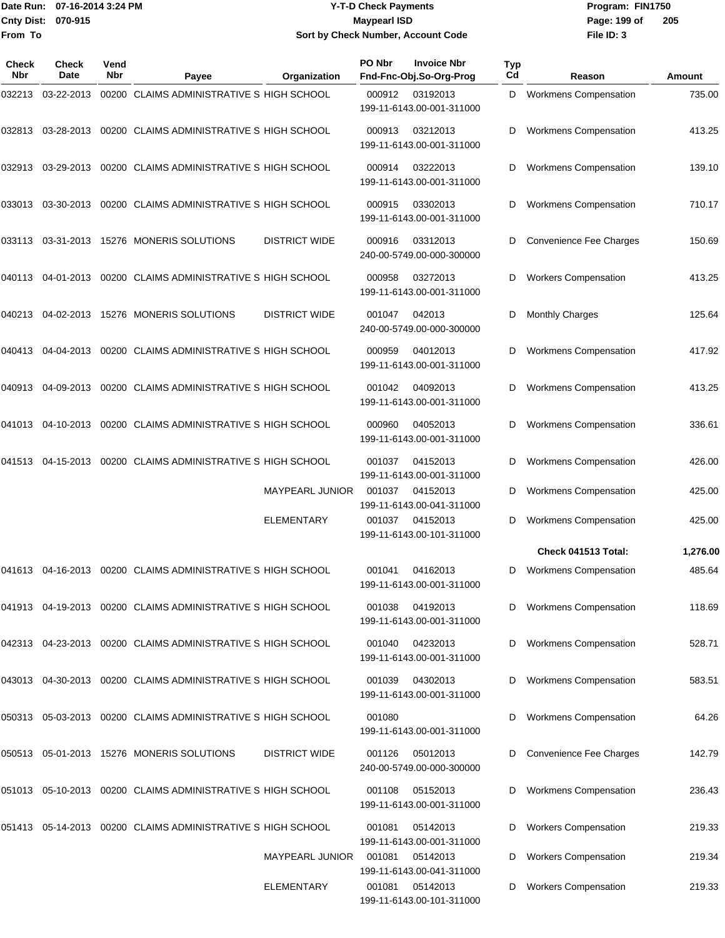#### Date Run: 07-16-2014 3:24 PM **Program:** FIN1750 **Cnty Dist:** 070-915 **Page:** 199 of **Y-T-D Check Payments 070-915 Maypearl ISD Sort by Check Number, Account Code**

| <b>Check</b><br>Nbr | <b>Check</b><br>Date | Vend<br>Nbr | Payee                                                            | Organization           | PO Nbr | <b>Invoice Nbr</b><br>Fnd-Fnc-Obj.So-Org-Prog | <b>Typ</b><br>Cd | Reason                         | Amount   |
|---------------------|----------------------|-------------|------------------------------------------------------------------|------------------------|--------|-----------------------------------------------|------------------|--------------------------------|----------|
| 032213              | 03-22-2013           |             | 00200 CLAIMS ADMINISTRATIVE S HIGH SCHOOL                        |                        | 000912 | 03192013<br>199-11-6143.00-001-311000         | D                | <b>Workmens Compensation</b>   | 735.00   |
| 032813              | 03-28-2013           |             | 00200 CLAIMS ADMINISTRATIVE S HIGH SCHOOL                        |                        | 000913 | 03212013<br>199-11-6143.00-001-311000         | D                | <b>Workmens Compensation</b>   | 413.25   |
| 032913              | 03-29-2013           |             | 00200 CLAIMS ADMINISTRATIVE S HIGH SCHOOL                        |                        | 000914 | 03222013<br>199-11-6143.00-001-311000         | D                | <b>Workmens Compensation</b>   | 139.10   |
| 033013              | 03-30-2013           |             | 00200 CLAIMS ADMINISTRATIVE S HIGH SCHOOL                        |                        | 000915 | 03302013<br>199-11-6143.00-001-311000         | D                | <b>Workmens Compensation</b>   | 710.17   |
| 033113              |                      |             | 03-31-2013 15276 MONERIS SOLUTIONS                               | <b>DISTRICT WIDE</b>   | 000916 | 03312013<br>240-00-5749.00-000-300000         | D                | <b>Convenience Fee Charges</b> | 150.69   |
| 040113              | 04-01-2013           |             | 00200 CLAIMS ADMINISTRATIVE S HIGH SCHOOL                        |                        | 000958 | 03272013<br>199-11-6143.00-001-311000         | D                | <b>Workers Compensation</b>    | 413.25   |
| 040213              | 04-02-2013           |             | 15276 MONERIS SOLUTIONS                                          | <b>DISTRICT WIDE</b>   | 001047 | 042013<br>240-00-5749.00-000-300000           | D                | <b>Monthly Charges</b>         | 125.64   |
| 040413              | 04-04-2013           |             | 00200 CLAIMS ADMINISTRATIVE S HIGH SCHOOL                        |                        | 000959 | 04012013<br>199-11-6143.00-001-311000         | D                | <b>Workmens Compensation</b>   | 417.92   |
| 040913              | 04-09-2013           |             | 00200 CLAIMS ADMINISTRATIVE S HIGH SCHOOL                        |                        | 001042 | 04092013<br>199-11-6143.00-001-311000         | D                | <b>Workmens Compensation</b>   | 413.25   |
| 041013              | 04-10-2013           |             | 00200 CLAIMS ADMINISTRATIVE S HIGH SCHOOL                        |                        | 000960 | 04052013<br>199-11-6143.00-001-311000         | D                | <b>Workmens Compensation</b>   | 336.61   |
| 041513              | 04-15-2013           |             | 00200 CLAIMS ADMINISTRATIVE S HIGH SCHOOL                        |                        | 001037 | 04152013<br>199-11-6143.00-001-311000         | D                | <b>Workmens Compensation</b>   | 426.00   |
|                     |                      |             |                                                                  | <b>MAYPEARL JUNIOR</b> | 001037 | 04152013<br>199-11-6143.00-041-311000         | D                | <b>Workmens Compensation</b>   | 425.00   |
|                     |                      |             |                                                                  | <b>ELEMENTARY</b>      | 001037 | 04152013<br>199-11-6143.00-101-311000         | D                | <b>Workmens Compensation</b>   | 425.00   |
|                     |                      |             |                                                                  |                        |        |                                               |                  | Check 041513 Total:            | 1,276.00 |
|                     |                      |             | 00200 CLAIMS ADMINISTRATIVE S HIGH SCHOOL                        |                        | 001041 | 04162013<br>199-11-6143.00-001-311000         | D                | <b>Workmens Compensation</b>   | 485.64   |
|                     |                      |             | 041913 04-19-2013 00200 CLAIMS ADMINISTRATIVE S HIGH SCHOOL      |                        | 001038 | 04192013<br>199-11-6143.00-001-311000         | D                | <b>Workmens Compensation</b>   | 118.69   |
|                     |                      |             | 042313  04-23-2013  00200  CLAIMS  ADMINISTRATIVE S  HIGH SCHOOL |                        | 001040 | 04232013<br>199-11-6143.00-001-311000         | D                | <b>Workmens Compensation</b>   | 528.71   |
|                     |                      |             | 043013  04-30-2013  00200  CLAIMS  ADMINISTRATIVE S  HIGH SCHOOL |                        | 001039 | 04302013<br>199-11-6143.00-001-311000         | D                | <b>Workmens Compensation</b>   | 583.51   |
|                     |                      |             | 050313 05-03-2013 00200 CLAIMS ADMINISTRATIVE S HIGH SCHOOL      |                        | 001080 | 199-11-6143.00-001-311000                     | D                | <b>Workmens Compensation</b>   | 64.26    |
|                     |                      |             | 050513  05-01-2013  15276  MONERIS SOLUTIONS                     | <b>DISTRICT WIDE</b>   | 001126 | 05012013<br>240-00-5749.00-000-300000         | D                | Convenience Fee Charges        | 142.79   |
|                     |                      |             | 051013 05-10-2013 00200 CLAIMS ADMINISTRATIVE S HIGH SCHOOL      |                        | 001108 | 05152013<br>199-11-6143.00-001-311000         | D                | <b>Workmens Compensation</b>   | 236.43   |
|                     |                      |             | 051413 05-14-2013 00200 CLAIMS ADMINISTRATIVE S HIGH SCHOOL      |                        | 001081 | 05142013<br>199-11-6143.00-001-311000         | D                | <b>Workers Compensation</b>    | 219.33   |
|                     |                      |             |                                                                  | <b>MAYPEARL JUNIOR</b> | 001081 | 05142013<br>199-11-6143.00-041-311000         | D                | <b>Workers Compensation</b>    | 219.34   |
|                     |                      |             |                                                                  | <b>ELEMENTARY</b>      | 001081 | 05142013<br>199-11-6143.00-101-311000         | D                | <b>Workers Compensation</b>    | 219.33   |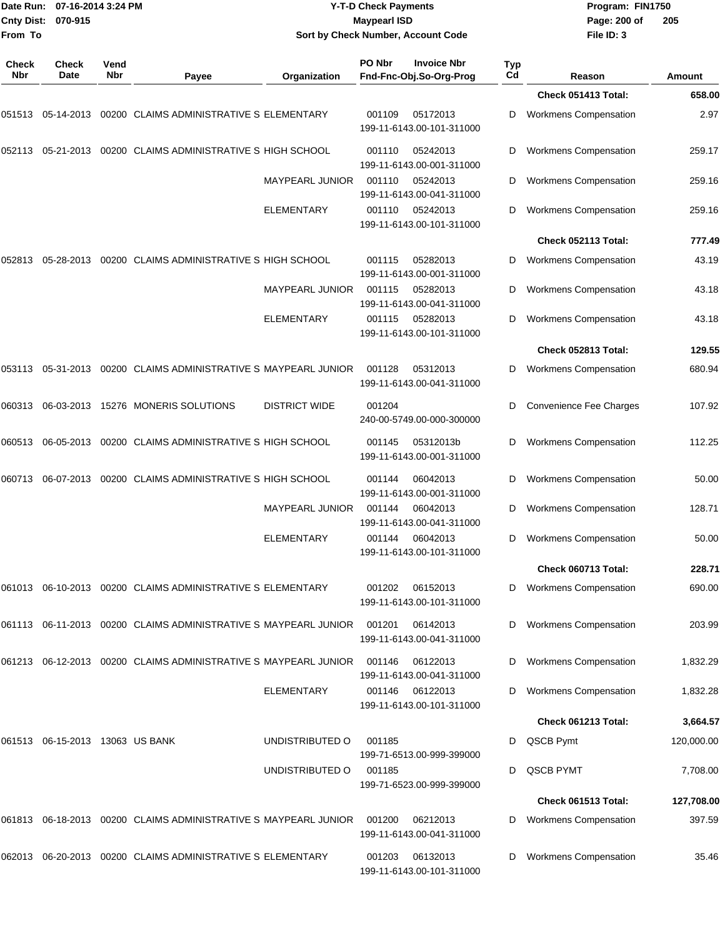|                     | Date Run: 07-16-2014 3:24 PM<br>Cnty Dist: 070-915 |             |                                                                    |                        | <b>Y-T-D Check Payments</b><br><b>Maypearl ISD</b> |                                               |           | Program: FIN1750<br>Page: 200 of | 205        |
|---------------------|----------------------------------------------------|-------------|--------------------------------------------------------------------|------------------------|----------------------------------------------------|-----------------------------------------------|-----------|----------------------------------|------------|
| From To             |                                                    |             |                                                                    |                        |                                                    | Sort by Check Number, Account Code            |           | File ID: 3                       |            |
| <b>Check</b><br>Nbr | Check<br>Date                                      | Vend<br>Nbr | Payee                                                              | Organization           | PO Nbr                                             | <b>Invoice Nbr</b><br>Fnd-Fnc-Obj.So-Org-Prog | Typ<br>Cd | Reason                           | Amount     |
|                     |                                                    |             |                                                                    |                        |                                                    |                                               |           | Check 051413 Total:              | 658.00     |
| 051513              | 05-14-2013                                         |             | 00200 CLAIMS ADMINISTRATIVE S ELEMENTARY                           |                        | 001109                                             | 05172013<br>199-11-6143.00-101-311000         | D         | <b>Workmens Compensation</b>     | 2.97       |
| 052113              | 05-21-2013                                         |             | 00200 CLAIMS ADMINISTRATIVE S HIGH SCHOOL                          |                        | 001110                                             | 05242013<br>199-11-6143.00-001-311000         | D         | <b>Workmens Compensation</b>     | 259.17     |
|                     |                                                    |             |                                                                    | <b>MAYPEARL JUNIOR</b> | 001110                                             | 05242013<br>199-11-6143.00-041-311000         | D         | <b>Workmens Compensation</b>     | 259.16     |
|                     |                                                    |             |                                                                    | ELEMENTARY             | 001110                                             | 05242013<br>199-11-6143.00-101-311000         | D         | <b>Workmens Compensation</b>     | 259.16     |
|                     |                                                    |             |                                                                    |                        |                                                    |                                               |           | Check 052113 Total:              | 777.49     |
| 052813              | 05-28-2013                                         |             | 00200 CLAIMS ADMINISTRATIVE S HIGH SCHOOL                          |                        | 001115                                             | 05282013<br>199-11-6143.00-001-311000         | D         | <b>Workmens Compensation</b>     | 43.19      |
|                     |                                                    |             |                                                                    | <b>MAYPEARL JUNIOR</b> | 001115                                             | 05282013<br>199-11-6143.00-041-311000         | D         | <b>Workmens Compensation</b>     | 43.18      |
|                     |                                                    |             |                                                                    | <b>ELEMENTARY</b>      | 001115                                             | 05282013<br>199-11-6143.00-101-311000         | D         | <b>Workmens Compensation</b>     | 43.18      |
|                     |                                                    |             |                                                                    |                        |                                                    |                                               |           | Check 052813 Total:              | 129.55     |
|                     |                                                    |             | 053113  05-31-2013  00200  CLAIMS ADMINISTRATIVE S MAYPEARL JUNIOR |                        | 001128                                             | 05312013<br>199-11-6143.00-041-311000         | D         | <b>Workmens Compensation</b>     | 680.94     |
| 060313              | 06-03-2013                                         |             | 15276 MONERIS SOLUTIONS                                            | <b>DISTRICT WIDE</b>   | 001204                                             | 240-00-5749.00-000-300000                     | D         | <b>Convenience Fee Charges</b>   | 107.92     |
| 060513              | 06-05-2013                                         |             | 00200 CLAIMS ADMINISTRATIVE S HIGH SCHOOL                          |                        | 001145                                             | 05312013b<br>199-11-6143.00-001-311000        | D         | Workmens Compensation            | 112.25     |
| 060713              | 06-07-2013                                         |             | 00200 CLAIMS ADMINISTRATIVE S HIGH SCHOOL                          |                        | 001144                                             | 06042013<br>199-11-6143.00-001-311000         | D         | <b>Workmens Compensation</b>     | 50.00      |
|                     |                                                    |             |                                                                    | <b>MAYPEARL JUNIOR</b> | 001144                                             | 06042013<br>199-11-6143.00-041-311000         | D         | <b>Workmens Compensation</b>     | 128.71     |
|                     |                                                    |             |                                                                    | <b>ELEMENTARY</b>      | 001144                                             | 06042013<br>199-11-6143.00-101-311000         | D         | <b>Workmens Compensation</b>     | 50.00      |
|                     |                                                    |             |                                                                    |                        |                                                    |                                               |           | Check 060713 Total:              | 228.71     |
|                     |                                                    |             | 061013 06-10-2013 00200 CLAIMS ADMINISTRATIVE S ELEMENTARY         |                        | 001202                                             | 06152013<br>199-11-6143.00-101-311000         | D         | <b>Workmens Compensation</b>     | 690.00     |
|                     |                                                    |             | 061113 06-11-2013 00200 CLAIMS ADMINISTRATIVE S MAYPEARL JUNIOR    |                        | 001201                                             | 06142013<br>199-11-6143.00-041-311000         | D         | <b>Workmens Compensation</b>     | 203.99     |
|                     |                                                    |             | 061213 06-12-2013 00200 CLAIMS ADMINISTRATIVE S MAYPEARL JUNIOR    |                        | 001146                                             | 06122013<br>199-11-6143.00-041-311000         | D         | <b>Workmens Compensation</b>     | 1,832.29   |
|                     |                                                    |             |                                                                    | <b>ELEMENTARY</b>      | 001146                                             | 06122013<br>199-11-6143.00-101-311000         | D         | <b>Workmens Compensation</b>     | 1,832.28   |
|                     |                                                    |             |                                                                    |                        |                                                    |                                               |           | Check 061213 Total:              | 3,664.57   |
|                     | 061513 06-15-2013 13063 US BANK                    |             |                                                                    | UNDISTRIBUTED O        | 001185                                             | 199-71-6513.00-999-399000                     | D         | QSCB Pymt                        | 120,000.00 |
|                     |                                                    |             |                                                                    | UNDISTRIBUTED O        | 001185                                             | 199-71-6523.00-999-399000                     | D         | QSCB PYMT                        | 7,708.00   |
|                     |                                                    |             |                                                                    |                        |                                                    |                                               |           | Check 061513 Total:              | 127,708.00 |
|                     |                                                    |             | 061813  06-18-2013  00200  CLAIMS ADMINISTRATIVE S MAYPEARL JUNIOR |                        | 001200                                             | 06212013<br>199-11-6143.00-041-311000         | D         | <b>Workmens Compensation</b>     | 397.59     |
|                     |                                                    |             | 062013 06-20-2013 00200 CLAIMS ADMINISTRATIVE S ELEMENTARY         |                        | 001203                                             | 06132013<br>199-11-6143.00-101-311000         | D         | <b>Workmens Compensation</b>     | 35.46      |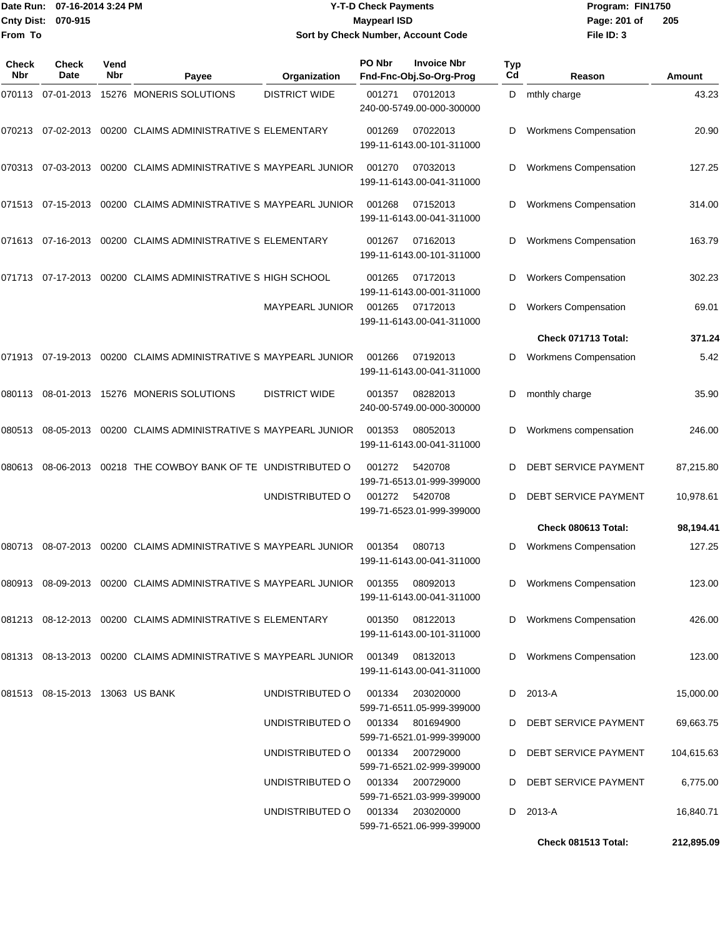|                    | Date Run: 07-16-2014 3:24 PM |
|--------------------|------------------------------|
| Cnty Dist: 070-915 |                              |
| From To            |                              |

#### **Date Run: Program: FIN1750 07-16-2014 3:24 PM Y-T-D Check Payments Cnty Dist: Page: 201 of 070-915 Maypearl ISD Sort by Check Number, Account Code**

| Check<br><b>Nbr</b> | Check<br><b>Date</b>            | Vend<br><b>Nbr</b> | Payee                                                                  | Organization         | PO Nbr | <b>Invoice Nbr</b><br>Fnd-Fnc-Obj.So-Org-Prog | Typ<br>C <sub>d</sub> | Reason                       | Amount     |
|---------------------|---------------------------------|--------------------|------------------------------------------------------------------------|----------------------|--------|-----------------------------------------------|-----------------------|------------------------------|------------|
| 070113              | 07-01-2013                      |                    | 15276 MONERIS SOLUTIONS                                                | <b>DISTRICT WIDE</b> | 001271 | 07012013<br>240-00-5749.00-000-300000         | D                     | mthly charge                 | 43.23      |
| 070213              | 07-02-2013                      |                    | 00200 CLAIMS ADMINISTRATIVE S ELEMENTARY                               |                      | 001269 | 07022013<br>199-11-6143.00-101-311000         | D                     | <b>Workmens Compensation</b> | 20.90      |
| 070313              | 07-03-2013                      |                    | 00200 CLAIMS ADMINISTRATIVE S MAYPEARL JUNIOR                          |                      | 001270 | 07032013<br>199-11-6143.00-041-311000         | D                     | <b>Workmens Compensation</b> | 127.25     |
| 071513              | 07-15-2013                      |                    | 00200 CLAIMS ADMINISTRATIVE S MAYPEARL JUNIOR                          |                      | 001268 | 07152013<br>199-11-6143.00-041-311000         | D                     | <b>Workmens Compensation</b> | 314.00     |
| 071613              | 07-16-2013                      |                    | 00200 CLAIMS ADMINISTRATIVE S ELEMENTARY                               |                      | 001267 | 07162013<br>199-11-6143.00-101-311000         | D                     | <b>Workmens Compensation</b> | 163.79     |
| 071713              | 07-17-2013                      |                    | 00200 CLAIMS ADMINISTRATIVE S HIGH SCHOOL                              |                      | 001265 | 07172013<br>199-11-6143.00-001-311000         | D                     | <b>Workers Compensation</b>  | 302.23     |
|                     |                                 |                    |                                                                        | MAYPEARL JUNIOR      | 001265 | 07172013<br>199-11-6143.00-041-311000         | D                     | <b>Workers Compensation</b>  | 69.01      |
|                     |                                 |                    |                                                                        |                      |        |                                               |                       | Check 071713 Total:          | 371.24     |
| 071913              | 07-19-2013                      |                    | 00200 CLAIMS ADMINISTRATIVE S MAYPEARL JUNIOR                          |                      | 001266 | 07192013<br>199-11-6143.00-041-311000         | D                     | <b>Workmens Compensation</b> | 5.42       |
| 080113              | 08-01-2013                      |                    | 15276 MONERIS SOLUTIONS                                                | <b>DISTRICT WIDE</b> | 001357 | 08282013<br>240-00-5749.00-000-300000         | D                     | monthly charge               | 35.90      |
| 080513              | 08-05-2013                      |                    | 00200 CLAIMS ADMINISTRATIVE S MAYPEARL JUNIOR                          |                      | 001353 | 08052013<br>199-11-6143.00-041-311000         | D                     | Workmens compensation        | 246.00     |
| 080613              | 08-06-2013                      |                    | 00218 THE COWBOY BANK OF TE UNDISTRIBUTED O                            |                      | 001272 | 5420708<br>199-71-6513.01-999-399000          | D                     | DEBT SERVICE PAYMENT         | 87,215.80  |
|                     |                                 |                    |                                                                        | UNDISTRIBUTED O      | 001272 | 5420708<br>199-71-6523.01-999-399000          | D                     | DEBT SERVICE PAYMENT         | 10,978.61  |
|                     |                                 |                    |                                                                        |                      |        |                                               |                       | Check 080613 Total:          | 98,194.41  |
| 080713              | 08-07-2013                      |                    | 00200 CLAIMS ADMINISTRATIVE S MAYPEARL JUNIOR                          |                      | 001354 | 080713<br>199-11-6143.00-041-311000           | D                     | <b>Workmens Compensation</b> | 127.25     |
|                     |                                 |                    | 080913 08-09-2013 00200 CLAIMS ADMINISTRATIVE S MAYPEARL JUNIOR 001355 |                      |        | 08092013<br>199-11-6143.00-041-311000         |                       | D Workmens Compensation      | 123.00     |
|                     |                                 |                    | 081213 08-12-2013 00200 CLAIMS ADMINISTRATIVE S ELEMENTARY             |                      | 001350 | 08122013<br>199-11-6143.00-101-311000         | D                     | <b>Workmens Compensation</b> | 426.00     |
|                     |                                 |                    | 081313 08-13-2013 00200 CLAIMS ADMINISTRATIVE S MAYPEARL JUNIOR 001349 |                      |        | 08132013<br>199-11-6143.00-041-311000         |                       | D Workmens Compensation      | 123.00     |
|                     | 081513 08-15-2013 13063 US BANK |                    |                                                                        | UNDISTRIBUTED O      | 001334 | 203020000<br>599-71-6511.05-999-399000        |                       | D 2013-A                     | 15,000.00  |
|                     |                                 |                    |                                                                        | UNDISTRIBUTED O      |        | 001334 801694900<br>599-71-6521.01-999-399000 | D                     | DEBT SERVICE PAYMENT         | 69,663.75  |
|                     |                                 |                    |                                                                        | UNDISTRIBUTED O      |        | 001334 200729000<br>599-71-6521.02-999-399000 | D                     | DEBT SERVICE PAYMENT         | 104,615.63 |
|                     |                                 |                    |                                                                        | UNDISTRIBUTED O      |        | 001334 200729000<br>599-71-6521.03-999-399000 | D                     | DEBT SERVICE PAYMENT         | 6,775.00   |
|                     |                                 |                    |                                                                        | UNDISTRIBUTED O      |        | 001334 203020000<br>599-71-6521.06-999-399000 | D                     | 2013-A                       | 16,840.71  |
|                     |                                 |                    |                                                                        |                      |        |                                               |                       | Check 081513 Total:          | 212,895.09 |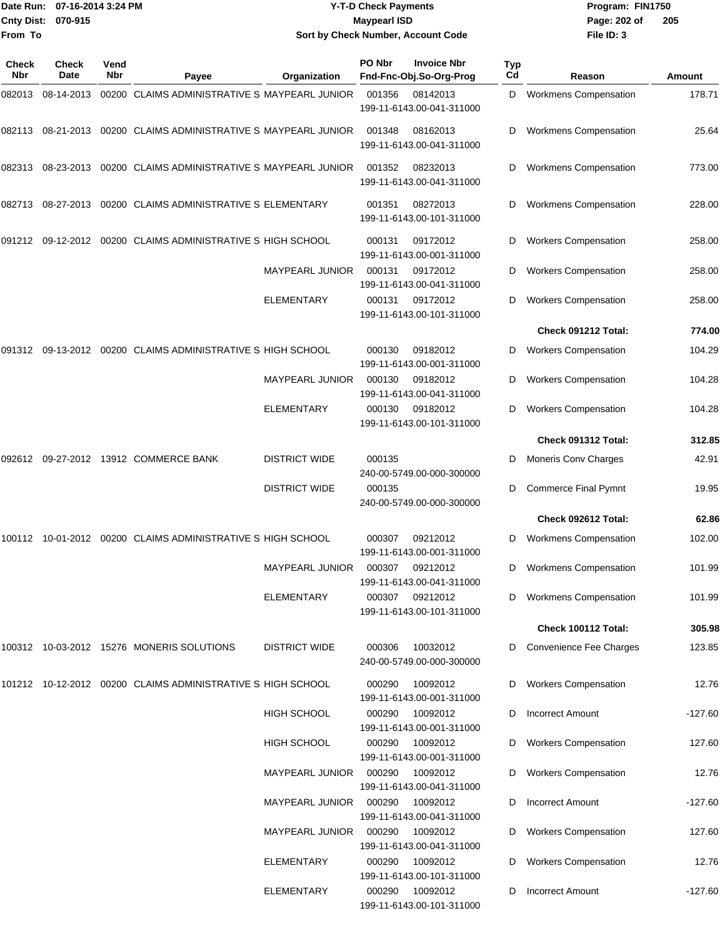|                    | Date Run: 07-16-2014 3:24 PM | <b>Y-T-D Check Payments</b>        | Program: FIN1750 |      |
|--------------------|------------------------------|------------------------------------|------------------|------|
| Cnty Dist: 070-915 |                              | <b>Mavpearl ISD</b>                | Page: 202 of     | - 20 |
| From To            |                              | Sort by Check Number, Account Code | File ID: 3       |      |

# **Sort by Check Number, Account Code**

| <b>Check</b><br>Nbr | <b>Check</b><br>Date | Vend<br>Nbr | Payee                                                          | Organization           | PO Nbr | <b>Invoice Nbr</b><br>Fnd-Fnc-Obj.So-Org-Prog | <b>Typ</b><br>Cd | Reason                       | Amount    |
|---------------------|----------------------|-------------|----------------------------------------------------------------|------------------------|--------|-----------------------------------------------|------------------|------------------------------|-----------|
| 082013              | 08-14-2013           |             | 00200 CLAIMS ADMINISTRATIVE S MAYPEARL JUNIOR                  |                        | 001356 | 08142013<br>199-11-6143.00-041-311000         | D                | <b>Workmens Compensation</b> | 178.71    |
| 082113              | 08-21-2013           |             | 00200 CLAIMS ADMINISTRATIVE S MAYPEARL JUNIOR                  |                        | 001348 | 08162013<br>199-11-6143.00-041-311000         | D                | <b>Workmens Compensation</b> | 25.64     |
| 082313              | 08-23-2013           |             | 00200 CLAIMS ADMINISTRATIVE S MAYPEARL JUNIOR                  |                        | 001352 | 08232013<br>199-11-6143.00-041-311000         | D                | <b>Workmens Compensation</b> | 773.00    |
|                     |                      |             | 082713  08-27-2013  00200  CLAIMS  ADMINISTRATIVE S ELEMENTARY |                        | 001351 | 08272013<br>199-11-6143.00-101-311000         | D                | <b>Workmens Compensation</b> | 228.00    |
| 091212              |                      |             | 09-12-2012 00200 CLAIMS ADMINISTRATIVE S HIGH SCHOOL           |                        | 000131 | 09172012<br>199-11-6143.00-001-311000         | D                | <b>Workers Compensation</b>  | 258.00    |
|                     |                      |             |                                                                | <b>MAYPEARL JUNIOR</b> | 000131 | 09172012<br>199-11-6143.00-041-311000         | D                | <b>Workers Compensation</b>  | 258.00    |
|                     |                      |             |                                                                | <b>ELEMENTARY</b>      | 000131 | 09172012<br>199-11-6143.00-101-311000         |                  | <b>Workers Compensation</b>  | 258.00    |
|                     |                      |             |                                                                |                        |        |                                               |                  | Check 091212 Total:          | 774.00    |
|                     |                      |             | 091312 09-13-2012 00200 CLAIMS ADMINISTRATIVE S HIGH SCHOOL    |                        | 000130 | 09182012<br>199-11-6143.00-001-311000         | D                | <b>Workers Compensation</b>  | 104.29    |
|                     |                      |             |                                                                | MAYPEARL JUNIOR        | 000130 | 09182012<br>199-11-6143.00-041-311000         | D                | <b>Workers Compensation</b>  | 104.28    |
|                     |                      |             |                                                                | <b>ELEMENTARY</b>      | 000130 | 09182012<br>199-11-6143.00-101-311000         | D                | <b>Workers Compensation</b>  | 104.28    |
|                     |                      |             |                                                                |                        |        |                                               |                  | Check 091312 Total:          | 312.85    |
| 092612              |                      |             | 09-27-2012 13912 COMMERCE BANK                                 | <b>DISTRICT WIDE</b>   | 000135 | 240-00-5749.00-000-300000                     | D                | Moneris Conv Charges         | 42.91     |
|                     |                      |             |                                                                | <b>DISTRICT WIDE</b>   | 000135 | 240-00-5749.00-000-300000                     | D                | <b>Commerce Final Pymnt</b>  | 19.95     |
|                     |                      |             |                                                                |                        |        |                                               |                  | Check 092612 Total:          | 62.86     |
|                     |                      |             | 100112 10-01-2012 00200 CLAIMS ADMINISTRATIVE S HIGH SCHOOL    |                        | 000307 | 09212012<br>199-11-6143.00-001-311000         | D                | <b>Workmens Compensation</b> | 102.00    |
|                     |                      |             |                                                                | <b>MAYPEARL JUNIOR</b> | 000307 | 09212012<br>199-11-6143.00-041-311000         | D                | <b>Workmens Compensation</b> | 101.99    |
|                     |                      |             |                                                                | <b>ELEMENTARY</b>      | 000307 | 09212012<br>199-11-6143.00-101-311000         | D                | <b>Workmens Compensation</b> | 101.99    |
|                     |                      |             |                                                                |                        |        |                                               |                  | Check 100112 Total:          | 305.98    |
|                     |                      |             | 100312 10-03-2012 15276 MONERIS SOLUTIONS                      | <b>DISTRICT WIDE</b>   | 000306 | 10032012<br>240-00-5749.00-000-300000         | D                | Convenience Fee Charges      | 123.85    |
|                     |                      |             | 101212 10-12-2012 00200 CLAIMS ADMINISTRATIVE S HIGH SCHOOL    |                        | 000290 | 10092012<br>199-11-6143.00-001-311000         |                  | <b>Workers Compensation</b>  | 12.76     |
|                     |                      |             |                                                                | <b>HIGH SCHOOL</b>     | 000290 | 10092012<br>199-11-6143.00-001-311000         | D                | <b>Incorrect Amount</b>      | $-127.60$ |
|                     |                      |             |                                                                | HIGH SCHOOL            | 000290 | 10092012<br>199-11-6143.00-001-311000         | D                | <b>Workers Compensation</b>  | 127.60    |
|                     |                      |             |                                                                | <b>MAYPEARL JUNIOR</b> | 000290 | 10092012<br>199-11-6143.00-041-311000         |                  | D Workers Compensation       | 12.76     |
|                     |                      |             |                                                                | <b>MAYPEARL JUNIOR</b> | 000290 | 10092012<br>199-11-6143.00-041-311000         | D                | <b>Incorrect Amount</b>      | $-127.60$ |
|                     |                      |             |                                                                | <b>MAYPEARL JUNIOR</b> | 000290 | 10092012<br>199-11-6143.00-041-311000         | D                | <b>Workers Compensation</b>  | 127.60    |
|                     |                      |             |                                                                | ELEMENTARY             | 000290 | 10092012<br>199-11-6143.00-101-311000         |                  | <b>Workers Compensation</b>  | 12.76     |
|                     |                      |             |                                                                | ELEMENTARY             | 000290 | 10092012<br>199-11-6143.00-101-311000         | D                | <b>Incorrect Amount</b>      | $-127.60$ |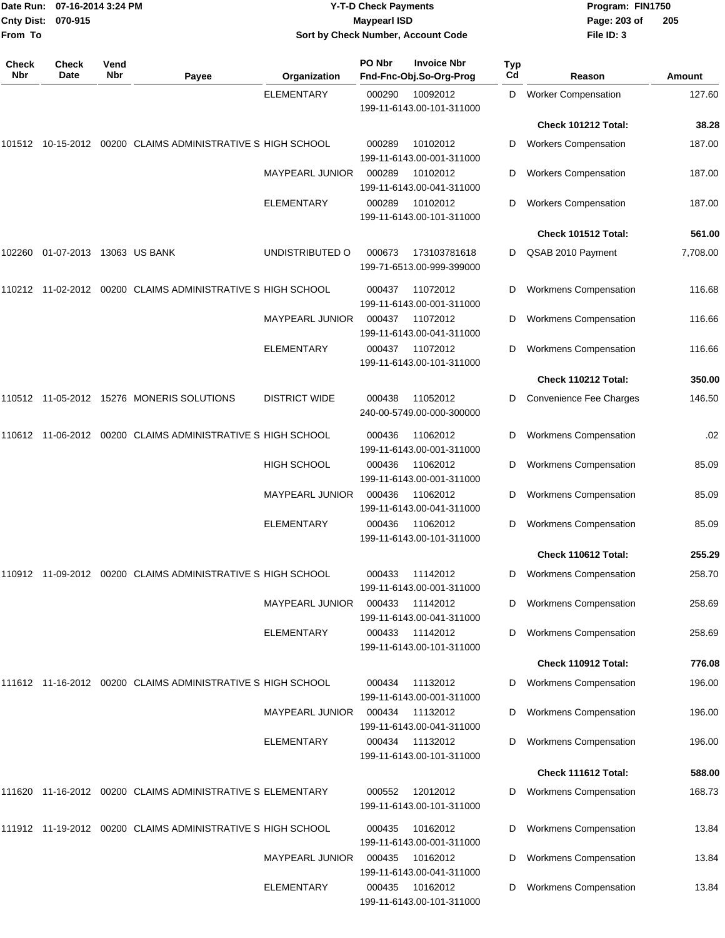| Date Run: 07-16-2014 3:24 PM<br>Cnty Dist: 070-915<br>From To |                          |             |                                                             |                                             | <b>Y-T-D Check Payments</b><br><b>Maypearl ISD</b> | Sort by Check Number, Account Code            |           | Program: FIN1750<br>Page: 203 of<br>File ID: 3               | 205      |
|---------------------------------------------------------------|--------------------------|-------------|-------------------------------------------------------------|---------------------------------------------|----------------------------------------------------|-----------------------------------------------|-----------|--------------------------------------------------------------|----------|
| <b>Check</b><br>Nbr                                           | Check<br>Date            | Vend<br>Nbr | Payee                                                       | Organization                                | PO Nbr                                             | <b>Invoice Nbr</b><br>Fnd-Fnc-Obj.So-Org-Prog | Typ<br>Cd | Reason                                                       | Amount   |
|                                                               |                          |             |                                                             | <b>ELEMENTARY</b>                           | 000290                                             | 10092012<br>199-11-6143.00-101-311000         | D         | <b>Worker Compensation</b>                                   | 127.60   |
|                                                               |                          |             |                                                             |                                             |                                                    |                                               |           | <b>Check 101212 Total:</b>                                   | 38.28    |
|                                                               |                          |             | 101512 10-15-2012 00200 CLAIMS ADMINISTRATIVE S HIGH SCHOOL |                                             | 000289                                             | 10102012<br>199-11-6143.00-001-311000         | D         | <b>Workers Compensation</b>                                  | 187.00   |
|                                                               |                          |             |                                                             | <b>MAYPEARL JUNIOR</b>                      | 000289                                             | 10102012<br>199-11-6143.00-041-311000         | D         | <b>Workers Compensation</b>                                  | 187.00   |
|                                                               |                          |             |                                                             | ELEMENTARY                                  | 000289                                             | 10102012<br>199-11-6143.00-101-311000         | D         | <b>Workers Compensation</b>                                  | 187.00   |
|                                                               |                          |             |                                                             |                                             |                                                    |                                               |           | <b>Check 101512 Total:</b>                                   | 561.00   |
| 102260                                                        | 01-07-2013 13063 US BANK |             |                                                             | UNDISTRIBUTED O                             | 000673                                             | 173103781618<br>199-71-6513.00-999-399000     | D         | QSAB 2010 Payment                                            | 7,708.00 |
|                                                               |                          |             | 110212 11-02-2012 00200 CLAIMS ADMINISTRATIVE S HIGH SCHOOL |                                             | 000437                                             | 11072012<br>199-11-6143.00-001-311000         | D         | <b>Workmens Compensation</b>                                 | 116.68   |
|                                                               |                          |             |                                                             | MAYPEARL JUNIOR                             | 000437                                             | 11072012<br>199-11-6143.00-041-311000         | D         | <b>Workmens Compensation</b>                                 | 116.66   |
|                                                               |                          |             |                                                             | <b>ELEMENTARY</b>                           | 000437                                             | 11072012<br>199-11-6143.00-101-311000         | D         | <b>Workmens Compensation</b>                                 | 116.66   |
|                                                               |                          |             |                                                             |                                             |                                                    |                                               |           | <b>Check 110212 Total:</b>                                   | 350.00   |
|                                                               |                          |             | 110512 11-05-2012 15276 MONERIS SOLUTIONS                   | <b>DISTRICT WIDE</b>                        | 000438                                             | 11052012<br>240-00-5749.00-000-300000         | D         | Convenience Fee Charges                                      | 146.50   |
|                                                               |                          |             | 110612 11-06-2012 00200 CLAIMS ADMINISTRATIVE S HIGH SCHOOL |                                             | 000436                                             | 11062012<br>199-11-6143.00-001-311000         | D         | <b>Workmens Compensation</b>                                 | .02      |
|                                                               |                          |             |                                                             | <b>HIGH SCHOOL</b>                          | 000436                                             | 11062012<br>199-11-6143.00-001-311000         | D         | <b>Workmens Compensation</b>                                 | 85.09    |
|                                                               |                          |             |                                                             | MAYPEARL JUNIOR                             | 000436                                             | 11062012<br>199-11-6143.00-041-311000         | D         | <b>Workmens Compensation</b>                                 | 85.09    |
|                                                               |                          |             |                                                             | ELEMENTARY                                  | 000436                                             | 11062012<br>199-11-6143.00-101-311000         | D         | <b>Workmens Compensation</b>                                 | 85.09    |
|                                                               |                          |             |                                                             |                                             |                                                    |                                               |           | Check 110612 Total:                                          | 255.29   |
|                                                               |                          |             | 110912 11-09-2012 00200 CLAIMS ADMINISTRATIVE S HIGH SCHOOL |                                             | 000433                                             | 11142012<br>199-11-6143.00-001-311000         | D         | <b>Workmens Compensation</b>                                 | 258.70   |
|                                                               |                          |             |                                                             | <b>MAYPEARL JUNIOR</b>                      | 000433                                             | 11142012<br>199-11-6143.00-041-311000         | D         | <b>Workmens Compensation</b>                                 | 258.69   |
|                                                               |                          |             |                                                             | ELEMENTARY                                  | 000433                                             | 11142012<br>199-11-6143.00-101-311000         | D         | <b>Workmens Compensation</b>                                 | 258.69   |
|                                                               |                          |             |                                                             |                                             |                                                    |                                               |           | Check 110912 Total:                                          | 776.08   |
|                                                               |                          |             | 111612 11-16-2012 00200 CLAIMS ADMINISTRATIVE S HIGH SCHOOL |                                             | 000434                                             | 11132012<br>199-11-6143.00-001-311000         | D         | <b>Workmens Compensation</b>                                 | 196.00   |
|                                                               |                          |             |                                                             | <b>MAYPEARL JUNIOR</b><br><b>ELEMENTARY</b> | 000434                                             | 11132012<br>199-11-6143.00-041-311000         | D         | <b>Workmens Compensation</b><br><b>Workmens Compensation</b> | 196.00   |
|                                                               |                          |             |                                                             |                                             | 000434                                             | 11132012<br>199-11-6143.00-101-311000         |           |                                                              | 196.00   |
|                                                               |                          |             |                                                             |                                             |                                                    |                                               |           | Check 111612 Total:                                          | 588.00   |
|                                                               |                          |             | 111620 11-16-2012 00200 CLAIMS ADMINISTRATIVE S ELEMENTARY  |                                             | 000552                                             | 12012012<br>199-11-6143.00-101-311000         | D         | <b>Workmens Compensation</b>                                 | 168.73   |
|                                                               |                          |             | 111912 11-19-2012 00200 CLAIMS ADMINISTRATIVE S HIGH SCHOOL |                                             | 000435                                             | 10162012<br>199-11-6143.00-001-311000         | D         | <b>Workmens Compensation</b>                                 | 13.84    |
|                                                               |                          |             |                                                             | <b>MAYPEARL JUNIOR</b>                      | 000435                                             | 10162012<br>199-11-6143.00-041-311000         | D         | <b>Workmens Compensation</b>                                 | 13.84    |
|                                                               |                          |             |                                                             | ELEMENTARY                                  | 000435                                             | 10162012<br>199-11-6143.00-101-311000         | D         | <b>Workmens Compensation</b>                                 | 13.84    |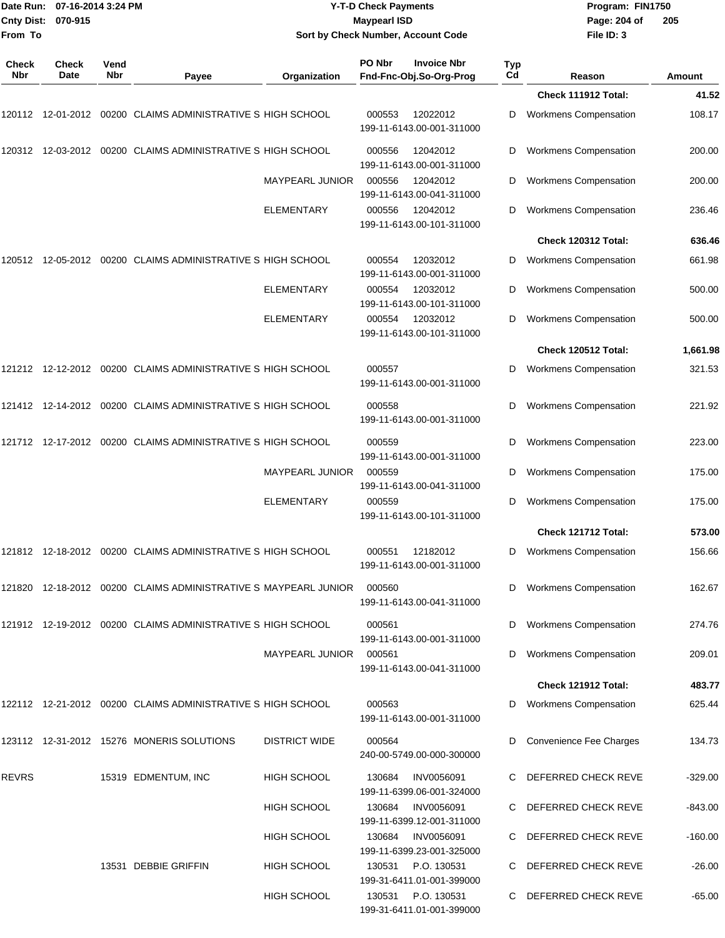| Date Run: 07-16-2014 3:24 PM<br>Cnty Dist: 070-915 |               |             |                                                                 |                        | <b>Y-T-D Check Payments</b><br><b>Maypearl ISD</b>       |           | Program: FIN1750<br>Page: 204 of | 205           |
|----------------------------------------------------|---------------|-------------|-----------------------------------------------------------------|------------------------|----------------------------------------------------------|-----------|----------------------------------|---------------|
| From To                                            |               |             |                                                                 |                        | Sort by Check Number, Account Code                       |           | File ID: 3                       |               |
| <b>Check</b><br>Nbr                                | Check<br>Date | Vend<br>Nbr | Payee                                                           | Organization           | PO Nbr<br><b>Invoice Nbr</b><br>Fnd-Fnc-Obj.So-Org-Prog  | Typ<br>Cd | Reason                           | <b>Amount</b> |
|                                                    |               |             |                                                                 |                        |                                                          |           | Check 111912 Total:              | 41.52         |
|                                                    |               |             | 120112 12-01-2012 00200 CLAIMS ADMINISTRATIVE S HIGH SCHOOL     |                        | 000553<br>12022012<br>199-11-6143.00-001-311000          | D         | <b>Workmens Compensation</b>     | 108.17        |
|                                                    |               |             | 120312 12-03-2012 00200 CLAIMS ADMINISTRATIVE S HIGH SCHOOL     |                        | 000556<br>12042012<br>199-11-6143.00-001-311000          | D         | <b>Workmens Compensation</b>     | 200.00        |
|                                                    |               |             |                                                                 | <b>MAYPEARL JUNIOR</b> | 000556<br>12042012<br>199-11-6143.00-041-311000          | D         | <b>Workmens Compensation</b>     | 200.00        |
|                                                    |               |             |                                                                 | <b>ELEMENTARY</b>      | 000556<br>12042012<br>199-11-6143.00-101-311000          | D         | Workmens Compensation            | 236.46        |
|                                                    |               |             |                                                                 |                        |                                                          |           | <b>Check 120312 Total:</b>       | 636.46        |
| 120512                                             |               |             | 12-05-2012 00200 CLAIMS ADMINISTRATIVE S HIGH SCHOOL            |                        | 12032012<br>000554<br>199-11-6143.00-001-311000          | D         | <b>Workmens Compensation</b>     | 661.98        |
|                                                    |               |             |                                                                 | <b>ELEMENTARY</b>      | 000554<br>12032012<br>199-11-6143.00-101-311000          | D         | Workmens Compensation            | 500.00        |
|                                                    |               |             |                                                                 | <b>ELEMENTARY</b>      | 000554<br>12032012<br>199-11-6143.00-101-311000          | D         | <b>Workmens Compensation</b>     | 500.00        |
|                                                    |               |             |                                                                 |                        |                                                          |           | Check 120512 Total:              | 1,661.98      |
|                                                    |               |             | 121212 12-12-2012 00200 CLAIMS ADMINISTRATIVE S HIGH SCHOOL     |                        | 000557<br>199-11-6143.00-001-311000                      | D         | <b>Workmens Compensation</b>     | 321.53        |
|                                                    |               |             | 121412 12-14-2012 00200 CLAIMS ADMINISTRATIVE S HIGH SCHOOL     |                        | 000558<br>199-11-6143.00-001-311000                      | D         | Workmens Compensation            | 221.92        |
|                                                    |               |             | 121712 12-17-2012 00200 CLAIMS ADMINISTRATIVE S HIGH SCHOOL     |                        | 000559<br>199-11-6143.00-001-311000                      | D         | Workmens Compensation            | 223.00        |
|                                                    |               |             |                                                                 | <b>MAYPEARL JUNIOR</b> | 000559<br>199-11-6143.00-041-311000                      | D         | Workmens Compensation            | 175.00        |
|                                                    |               |             |                                                                 | <b>ELEMENTARY</b>      | 000559<br>199-11-6143.00-101-311000                      | D         | Workmens Compensation            | 175.00        |
|                                                    |               |             |                                                                 |                        |                                                          |           | Check 121712 Total:              | 573.00        |
|                                                    |               |             | 121812 12-18-2012 00200 CLAIMS ADMINISTRATIVE S HIGH SCHOOL     |                        | 000551<br>12182012<br>199-11-6143.00-001-311000          | D         | <b>Workmens Compensation</b>     | 156.66        |
|                                                    |               |             | 121820 12-18-2012 00200 CLAIMS ADMINISTRATIVE S MAYPEARL JUNIOR |                        | 000560<br>199-11-6143.00-041-311000                      | D         | <b>Workmens Compensation</b>     | 162.67        |
|                                                    |               |             | 121912 12-19-2012 00200 CLAIMS ADMINISTRATIVE S HIGH SCHOOL     |                        | 000561<br>199-11-6143.00-001-311000                      | D         | <b>Workmens Compensation</b>     | 274.76        |
|                                                    |               |             |                                                                 | <b>MAYPEARL JUNIOR</b> | 000561<br>199-11-6143.00-041-311000                      | D         | <b>Workmens Compensation</b>     | 209.01        |
|                                                    |               |             |                                                                 |                        |                                                          |           | Check 121912 Total:              | 483.77        |
|                                                    |               |             | 122112 12-21-2012 00200 CLAIMS ADMINISTRATIVE S HIGH SCHOOL     |                        | 000563<br>199-11-6143.00-001-311000                      | D         | <b>Workmens Compensation</b>     | 625.44        |
|                                                    |               |             | 123112 12-31-2012 15276 MONERIS SOLUTIONS                       | <b>DISTRICT WIDE</b>   | 000564<br>240-00-5749.00-000-300000                      | D         | Convenience Fee Charges          | 134.73        |
| <b>REVRS</b>                                       |               |             | 15319 EDMENTUM, INC                                             | HIGH SCHOOL            | <b>INV0056091</b><br>130684<br>199-11-6399.06-001-324000 |           | C DEFERRED CHECK REVE            | $-329.00$     |
|                                                    |               |             |                                                                 | <b>HIGH SCHOOL</b>     | <b>INV0056091</b><br>130684<br>199-11-6399.12-001-311000 | C.        | DEFERRED CHECK REVE              | -843.00       |
|                                                    |               |             |                                                                 | HIGH SCHOOL            | 130684<br><b>INV0056091</b><br>199-11-6399.23-001-325000 | C.        | DEFERRED CHECK REVE              | $-160.00$     |
|                                                    |               |             | 13531 DEBBIE GRIFFIN                                            | HIGH SCHOOL            | P.O. 130531<br>130531<br>199-31-6411.01-001-399000       | C.        | DEFERRED CHECK REVE              | $-26.00$      |
|                                                    |               |             |                                                                 | HIGH SCHOOL            | P.O. 130531<br>130531<br>199-31-6411.01-001-399000       |           | C DEFERRED CHECK REVE            | $-65.00$      |